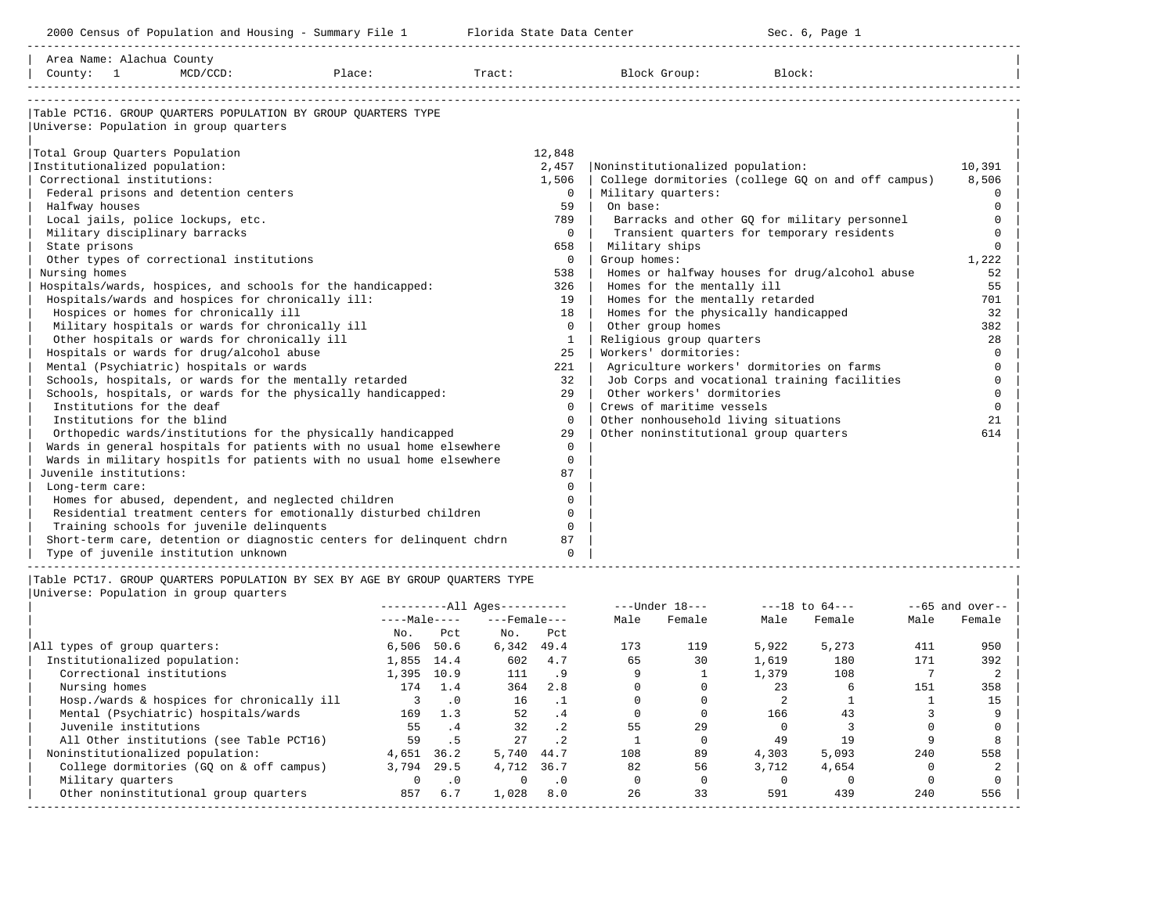| 2000 Census of Population and Housing - Summary File 1 Florida State Data Center                                                                                                                                                                                                                                                                                                                                                                                                                                          |              | Sec. 6, Page 1                                     |          |
|---------------------------------------------------------------------------------------------------------------------------------------------------------------------------------------------------------------------------------------------------------------------------------------------------------------------------------------------------------------------------------------------------------------------------------------------------------------------------------------------------------------------------|--------------|----------------------------------------------------|----------|
| Area Name: Alachua County                                                                                                                                                                                                                                                                                                                                                                                                                                                                                                 |              |                                                    |          |
| $\texttt{County:} \begin{minipage}{0.9\textwidth} \begin{minipage}{0.9\textwidth} \begin{minipage}{0.9\textwidth} \begin{minipage}{0.9\textwidth} \begin{minipage}{0.9\textwidth} \begin{minipage}{0.9\textwidth} \begin{minipage}{0.9\textwidth} \begin{minipage}{0.9\textwidth} \begin{minipage}{0.9\textwidth} \begin{minipage}{0.9\textwidth} \begin{minipage}{0.9\textwidth} \begin{minipage}{0.9\textwidth} \begin{minipage}{0.9\textwidth} \begin{minipage}{0.9\textwidth} \begin{minipage}{0.9\textwidth} \begin$ |              |                                                    |          |
| Table PCT16. GROUP OUARTERS POPULATION BY GROUP OUARTERS TYPE                                                                                                                                                                                                                                                                                                                                                                                                                                                             |              |                                                    |          |
| Universe: Population in group quarters                                                                                                                                                                                                                                                                                                                                                                                                                                                                                    |              |                                                    |          |
| Total Group Quarters Population                                                                                                                                                                                                                                                                                                                                                                                                                                                                                           | 12,848       |                                                    |          |
| Institutionalized population:                                                                                                                                                                                                                                                                                                                                                                                                                                                                                             | 2,457        | Noninstitutionalized population:                   | 10,391   |
| Correctional institutions:                                                                                                                                                                                                                                                                                                                                                                                                                                                                                                | 1,506        | College dormitories (college GQ on and off campus) | 8,506    |
| Federal prisons and detention centers                                                                                                                                                                                                                                                                                                                                                                                                                                                                                     | $\Omega$     | Military quarters:                                 | $\Omega$ |
| Halfway houses                                                                                                                                                                                                                                                                                                                                                                                                                                                                                                            | 59           | On base:                                           | $\Omega$ |
| Local jails, police lockups, etc.                                                                                                                                                                                                                                                                                                                                                                                                                                                                                         | 789          | Barracks and other GQ for military personnel       | $\Omega$ |
| Military disciplinary barracks                                                                                                                                                                                                                                                                                                                                                                                                                                                                                            | $\Omega$     | Transient quarters for temporary residents         | $\Omega$ |
| State prisons                                                                                                                                                                                                                                                                                                                                                                                                                                                                                                             | 658          | Military ships                                     | $\Omega$ |
| Other types of correctional institutions                                                                                                                                                                                                                                                                                                                                                                                                                                                                                  | $\mathbf{0}$ | Group homes:                                       | 1,222    |
| Nursing homes                                                                                                                                                                                                                                                                                                                                                                                                                                                                                                             | 538          | Homes or halfway houses for drug/alcohol abuse     | 52       |
| Hospitals/wards, hospices, and schools for the handicapped:                                                                                                                                                                                                                                                                                                                                                                                                                                                               | 326          | Homes for the mentally ill                         | 55       |
| Hospitals/wards and hospices for chronically ill:                                                                                                                                                                                                                                                                                                                                                                                                                                                                         | 19           | Homes for the mentally retarded                    | 701      |
| Hospices or homes for chronically ill                                                                                                                                                                                                                                                                                                                                                                                                                                                                                     | 18           | Homes for the physically handicapped               | 32       |
| Military hospitals or wards for chronically ill                                                                                                                                                                                                                                                                                                                                                                                                                                                                           | $\Omega$     | Other group homes                                  | 382      |
| Other hospitals or wards for chronically ill                                                                                                                                                                                                                                                                                                                                                                                                                                                                              | $\mathbf{1}$ | Religious group quarters                           | 28       |
| Hospitals or wards for drug/alcohol abuse                                                                                                                                                                                                                                                                                                                                                                                                                                                                                 | 25           | Workers' dormitories:                              | $\Omega$ |
| Mental (Psychiatric) hospitals or wards                                                                                                                                                                                                                                                                                                                                                                                                                                                                                   | 221          | Agriculture workers' dormitories on farms          | $\Omega$ |
| Schools, hospitals, or wards for the mentally retarded                                                                                                                                                                                                                                                                                                                                                                                                                                                                    | 32           | Job Corps and vocational training facilities       | $\Omega$ |
| Schools, hospitals, or wards for the physically handicapped:                                                                                                                                                                                                                                                                                                                                                                                                                                                              | 29           | Other workers' dormitories                         | $\Omega$ |
| Institutions for the deaf                                                                                                                                                                                                                                                                                                                                                                                                                                                                                                 | $\Omega$     | Crews of maritime vessels                          | $\Omega$ |
| Institutions for the blind                                                                                                                                                                                                                                                                                                                                                                                                                                                                                                | $\Omega$     | Other nonhousehold living situations               | 21       |
| Orthopedic wards/institutions for the physically handicapped                                                                                                                                                                                                                                                                                                                                                                                                                                                              | 29           | Other noninstitutional group quarters              | 614      |
| Wards in general hospitals for patients with no usual home elsewhere                                                                                                                                                                                                                                                                                                                                                                                                                                                      | $\Omega$     |                                                    |          |
| Wards in military hospitls for patients with no usual home elsewhere                                                                                                                                                                                                                                                                                                                                                                                                                                                      | $\circ$      |                                                    |          |
| Juvenile institutions:                                                                                                                                                                                                                                                                                                                                                                                                                                                                                                    | 87           |                                                    |          |
| Long-term care:                                                                                                                                                                                                                                                                                                                                                                                                                                                                                                           | $\Omega$     |                                                    |          |
| Homes for abused, dependent, and neglected children                                                                                                                                                                                                                                                                                                                                                                                                                                                                       | $\Omega$     |                                                    |          |
| Residential treatment centers for emotionally disturbed children                                                                                                                                                                                                                                                                                                                                                                                                                                                          | $\Omega$     |                                                    |          |
| Training schools for juvenile delinquents                                                                                                                                                                                                                                                                                                                                                                                                                                                                                 | $\Omega$     |                                                    |          |
| Short-term care, detention or diagnostic centers for delinquent chdrn                                                                                                                                                                                                                                                                                                                                                                                                                                                     | 87           |                                                    |          |
| Type of juvenile institution unknown                                                                                                                                                                                                                                                                                                                                                                                                                                                                                      | $\Omega$     |                                                    |          |

|Table PCT17. GROUP QUARTERS POPULATION BY SEX BY AGE BY GROUP QUARTERS TYPE |

|                                            | $------All Aqes------$ |           |                    |           |              | $---Under 18---$ |       | $---18$ to $64---$ | $--65$ and over-- |        |
|--------------------------------------------|------------------------|-----------|--------------------|-----------|--------------|------------------|-------|--------------------|-------------------|--------|
|                                            | $---Male---$           |           | $---$ Female $---$ |           | Male         | Female           | Male  | Female             | Male              | Female |
|                                            | No.                    | Pct       | No.                | Pct       |              |                  |       |                    |                   |        |
| All types of group quarters:               | 6,506                  | 50.6      | 6,342              | 49.4      | 173          | 119              | 5,922 | 5,273              | 411               | 950    |
| Institutionalized population:              | 1,855 14.4             |           | 602                | 4.7       | 65           | 30               | 1,619 | 180                | 171               | 392    |
| Correctional institutions                  | 1,395                  | 10.9      | 111                | .9        | $\mathsf{Q}$ |                  | 1,379 | 108                |                   |        |
| Nursing homes                              | 174                    | 1.4       | 364                | 2.8       |              |                  | 23    |                    | 151               | 358    |
| Hosp./wards & hospices for chronically ill |                        | $\cdot$ 0 | 16                 | $\cdot$ 1 |              |                  |       |                    |                   | 15     |
| Mental (Psychiatric) hospitals/wards       | 169                    | 1.3       | 52                 | $\cdot$ 4 |              |                  | 166   | 43                 |                   |        |
| Juvenile institutions                      | 55                     | . 4       | 32                 | $\cdot$ 2 | 55           | 29               |       |                    |                   |        |
| All Other institutions (see Table PCT16)   | 59                     | .5        | 27                 | $\cdot$ 2 |              |                  | 49    | 19                 |                   |        |
| Noninstitutionalized population:           | 4,651                  | 36.2      | 5,740              | 44.7      | 108          | 89               | 4,303 | 5,093              | 240               | 558    |
| College dormitories (GO on & off campus)   | 3,794                  | 29.5      | 4,712              | 36.7      | 82           | 56               | 3,712 | 4,654              |                   |        |
| Military quarters                          | 0                      | $\cdot$ 0 |                    | $\cdot$ 0 |              |                  |       |                    |                   |        |
| Other noninstitutional group quarters      | 857                    | 6.7       | 1,028              | 8.0       | 26           | 33               | 591   | 439                | 240               | 556    |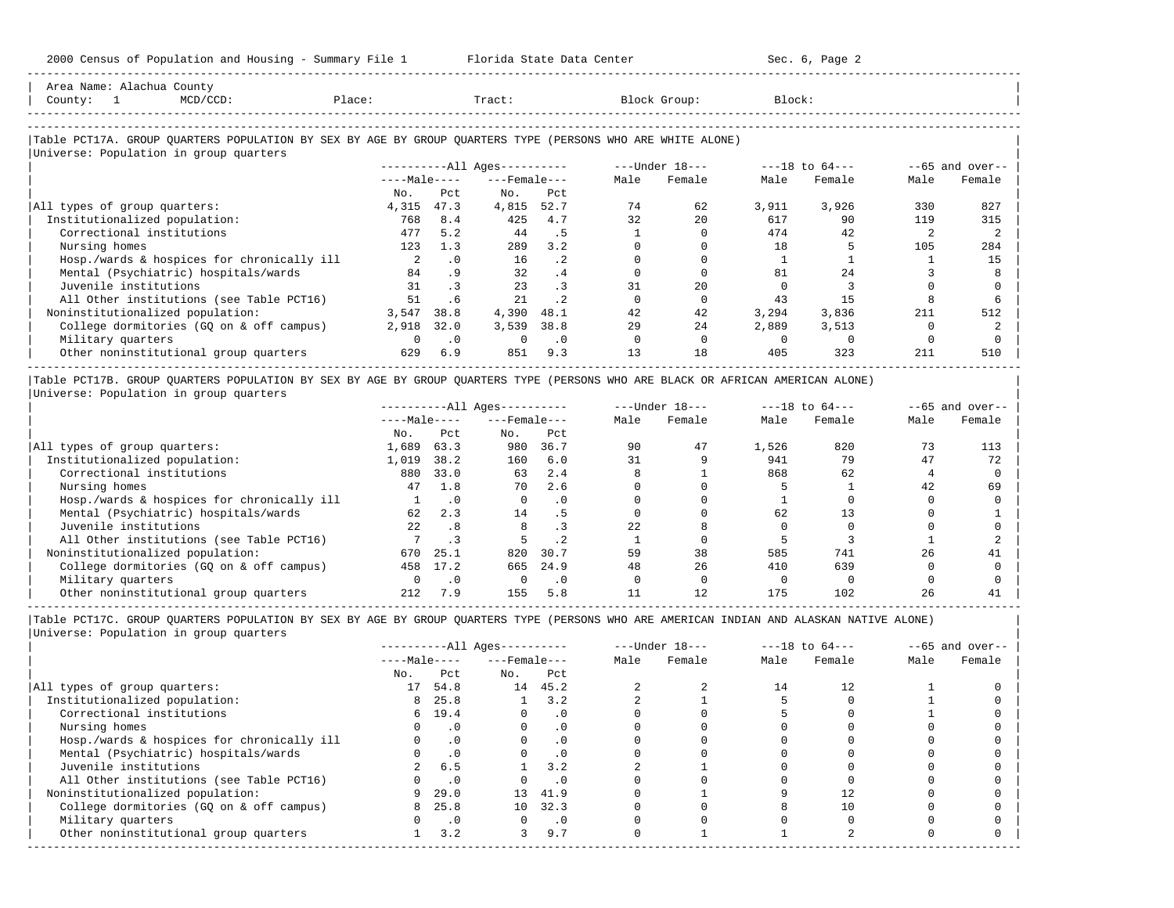| $MCD/CCD$ :<br>County:<br>$\overline{1}$                                                                   | Place:       |           | Tract:                 |           |      | Block Group:   | Block: |                |      |                   |
|------------------------------------------------------------------------------------------------------------|--------------|-----------|------------------------|-----------|------|----------------|--------|----------------|------|-------------------|
| Table PCT17A. GROUP QUARTERS POPULATION BY SEX BY AGE BY GROUP QUARTERS TYPE (PERSONS WHO ARE WHITE ALONE) |              |           |                        |           |      |                |        |                |      |                   |
| Universe: Population in group quarters                                                                     |              |           | $------All Aqes------$ |           |      | ---Under 18--- |        | ---18 to 64--- |      | $--65$ and over-- |
|                                                                                                            | $---Male---$ |           | $---$ Female $---$     |           | Male | Female         | Male   | Female         | Male | Female            |
|                                                                                                            | No.          | Pct       | No.                    | Pct       |      |                |        |                |      |                   |
| All types of group quarters:                                                                               | 4,315        | 47.3      | 4,815                  | 52.7      | 74   | 62             | 3,911  | 3,926          | 330  | 827               |
| Institutionalized population:                                                                              | 768          | 8.4       | 425                    | 4.7       | 32   | 20             | 617    | 90             | 119  | 315               |
| Correctional institutions                                                                                  | 477          | 5.2       | 44                     | . 5       |      |                | 474    | 42             |      |                   |
| Nursing homes                                                                                              | 123          | 1.3       | 289                    | 3.2       |      |                | 18     |                | 105  | 284               |
| Hosp./wards & hospices for chronically ill                                                                 | 2            | $\cdot$ 0 | 16                     | $\cdot$ 2 |      |                |        |                |      | 15                |
| Mental (Psychiatric) hospitals/wards                                                                       | 84           | .9        | 32                     | .4        |      |                | 81     | 2.4            |      |                   |
| Juvenile institutions                                                                                      | 31           | $\cdot$ 3 | 23                     | $\cdot$ 3 | 31   | 20             |        |                |      |                   |
| All Other institutions (see Table PCT16)                                                                   | 51           | . 6       | 21                     | $\cdot$ 2 |      |                | 43     | 15             |      |                   |
| Noninstitutionalized population:                                                                           | 3,547        | 38.8      | 4,390                  | 48.1      | 42   | 42             | 3,294  | 3,836          | 211  | 512               |
| College dormitories (GQ on & off campus)                                                                   | 2,918        | 32.0      | 3,539                  | 38.8      | 29   | 24             | 2,889  | 3,513          |      |                   |
| Military quarters                                                                                          | $\Omega$     | $\cdot$ 0 |                        | $\cdot$ 0 |      |                |        |                |      |                   |
| Other noninstitutional group quarters                                                                      | 629          | 6.9       | 851                    | 9.3       | 13   | 18             | 405    | 323            | 211  | 510               |

-----------------------------------------------------------------------------------------------------------------------------------------------------

|Table PCT17B. GROUP QUARTERS POPULATION BY SEX BY AGE BY GROUP QUARTERS TYPE (PERSONS WHO ARE BLACK OR AFRICAN AMERICAN ALONE) | |Universe: Population in group quarters |

|                                            |              |           | $------All Aqes------$ |           |      | $---Under 18---$ |       | $---18$ to $64---$ | $--65$ and over-- |        |
|--------------------------------------------|--------------|-----------|------------------------|-----------|------|------------------|-------|--------------------|-------------------|--------|
|                                            | $---Male---$ |           | $---$ Female $---$     |           | Male | Female           | Male  | Female             | Male              | Female |
|                                            | No.          | Pct       | No.                    | Pct       |      |                  |       |                    |                   |        |
| All types of group quarters:               | 1,689        | 63.3      | 980                    | 36.7      | 90   | 47               | 1,526 | 820                |                   | 113    |
| Institutionalized population:              | 1,019        | 38.2      | 160                    | 6.0       | 31   |                  | 941   | 79                 | 47                | 72     |
| Correctional institutions                  | 880          | 33.0      | 63                     | 2.4       |      |                  | 868   | 62                 |                   |        |
| Nursing homes                              | 47           | 1.8       | 70                     | 2.6       |      |                  |       |                    | 42                | 69     |
| Hosp./wards & hospices for chronically ill |              | $\cdot$ 0 |                        | $\cdot$ 0 |      |                  |       |                    |                   |        |
| Mental (Psychiatric) hospitals/wards       | 62           | 2.3       | 14                     | . 5       |      |                  | 62    |                    |                   |        |
| Juvenile institutions                      | 2.2.         | .8        |                        | . 3       | 22   |                  |       |                    |                   |        |
| All Other institutions (see Table PCT16)   |              |           |                        | .2        |      |                  |       |                    |                   |        |
| Noninstitutionalized population:           | 670          | 25.1      | 820                    | 30.7      | 59   | 38               | 585   | 741                | 26                | 41     |
| College dormitories (GO on & off campus)   | 458          | 17.2      | 665                    | 24.9      | 48   | 26               | 410   | 639                |                   |        |
| Military quarters                          |              | $\cdot$ 0 |                        | $\cdot$ 0 |      |                  |       |                    |                   |        |
| Other noninstitutional group quarters      | 212          | 7.9       | 155                    | 5.8       |      | 12               | 175   | 102                | 26                |        |

-----------------------------------------------------------------------------------------------------------------------------------------------------

|Table PCT17C. GROUP QUARTERS POPULATION BY SEX BY AGE BY GROUP QUARTERS TYPE (PERSONS WHO ARE AMERICAN INDIAN AND ALASKAN NATIVE ALONE) | |Universe: Population in group quarters |

| Male<br>Female |        |
|----------------|--------|
|                | Female |
|                |        |
| 12             |        |
|                |        |
|                |        |
|                |        |
|                |        |
|                |        |
|                |        |
|                |        |
|                |        |
| 10             |        |
|                |        |
|                |        |
|                |        |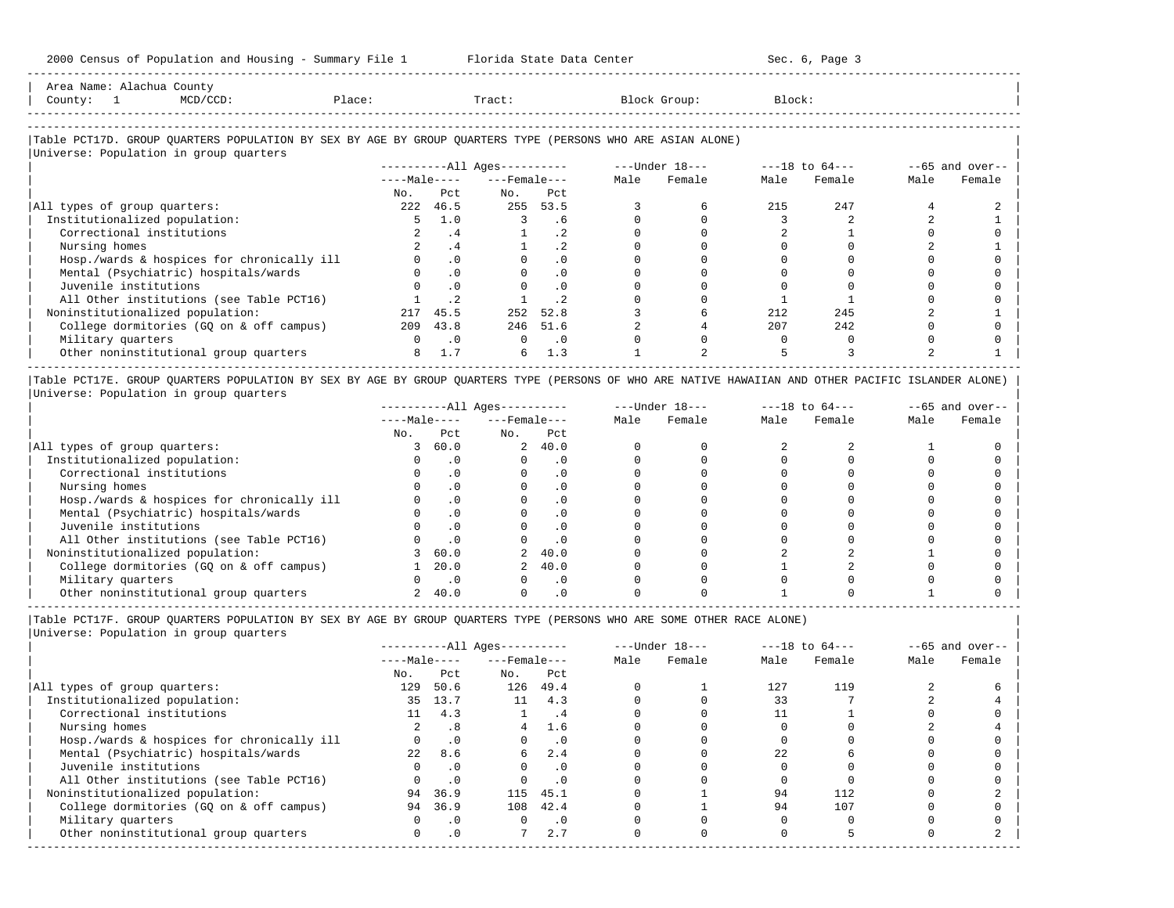| Area                     | . JULLU 7                                                                       |       |       |       |
|--------------------------|---------------------------------------------------------------------------------|-------|-------|-------|
| County                   | the contract of the contract of the contract of the contract of the contract of | Place | Tract | ⊤ock: |
| ------------------------ |                                                                                 |       |       |       |

-----------------------------------------------------------------------------------------------------------------------------------------------------

### |Table PCT17D. GROUP QUARTERS POPULATION BY SEX BY AGE BY GROUP QUARTERS TYPE (PERSONS WHO ARE ASIAN ALONE) |

|                                            |              |           | $------All Ages------$ |                 | ---Under 18--- |        | $---18$ to $64---$ |        | $--65$ and over-- |        |
|--------------------------------------------|--------------|-----------|------------------------|-----------------|----------------|--------|--------------------|--------|-------------------|--------|
|                                            | $---Male---$ |           | $---$ Female $---$     |                 | Male           | Female | Male               | Female | Male              | Female |
|                                            | No.          | Pct       | No.                    | Pct             |                |        |                    |        |                   |        |
| All types of group quarters:               | 222          | 46.5      | 255                    | 53.5            |                |        | 215                | 247    |                   |        |
| Institutionalized population:              |              | 1.0       |                        | . 6             |                |        |                    |        |                   |        |
| Correctional institutions                  |              | . 4       |                        | .2 <sub>2</sub> |                |        |                    |        |                   |        |
| Nursing homes                              |              | . 4       |                        | $\cdot$ 2       |                |        |                    |        |                   |        |
| Hosp./wards & hospices for chronically ill |              | $\cdot$ 0 |                        | .0              |                |        |                    |        |                   |        |
| Mental (Psychiatric) hospitals/wards       |              | $\cdot$ 0 |                        | $\cdot$ 0       |                |        |                    |        |                   |        |
| Juvenile institutions                      |              |           |                        | $\cdot$ 0       |                |        |                    |        |                   |        |
| All Other institutions (see Table PCT16)   |              |           |                        |                 |                |        |                    |        |                   |        |
| Noninstitutionalized population:           | 217          | 45.5      | 252                    | 52.8            |                |        | 212                | 245    |                   |        |
| College dormitories (GO on & off campus)   | 209          | 43.8      |                        | 246 51.6        |                |        | 207                | 2.42   |                   |        |
| Military quarters                          |              | $\cdot$ 0 | $\Omega$               | $\cdot$ 0       |                |        |                    |        |                   |        |
| Other noninstitutional group quarters      | 8            | 1.7       | б.                     | 1.3             |                |        |                    |        |                   |        |

|Table PCT17E. GROUP QUARTERS POPULATION BY SEX BY AGE BY GROUP QUARTERS TYPE (PERSONS OF WHO ARE NATIVE HAWAIIAN AND OTHER PACIFIC ISLANDER ALONE) | |Universe: Population in group quarters |

|                                            | $------All Ages------$ |           |                    |                | $---Under 18---$ |        | $---18$ to $64---$ |        | $- -65$ and over-- |        |
|--------------------------------------------|------------------------|-----------|--------------------|----------------|------------------|--------|--------------------|--------|--------------------|--------|
|                                            | $---Male---$           |           | $---$ Female $---$ |                | Male             | Female | Male               | Female | Male               | Female |
|                                            | No.                    | Pct       | No.                | Pct            |                  |        |                    |        |                    |        |
| All types of group quarters:               |                        | 60.0      |                    | 2, 40.0        |                  |        |                    |        |                    |        |
| Institutionalized population:              |                        | $\Omega$  |                    | . 0            |                  |        |                    |        |                    |        |
| Correctional institutions                  |                        |           |                    |                |                  |        |                    |        |                    |        |
| Nursing homes                              |                        | $\cdot$ 0 |                    | $\cdot$ 0      |                  |        |                    |        |                    |        |
| Hosp./wards & hospices for chronically ill |                        |           |                    |                |                  |        |                    |        |                    |        |
| Mental (Psychiatric) hospitals/wards       |                        | $\Omega$  |                    | $\cdot$ 0      |                  |        |                    |        |                    |        |
| Juvenile institutions                      |                        |           |                    | . 0            |                  |        |                    |        |                    |        |
| All Other institutions (see Table PCT16)   |                        | .0        |                    | $\overline{0}$ |                  |        |                    |        |                    |        |
| Noninstitutionalized population:           |                        | 60.0      |                    | 40.0           |                  |        |                    |        |                    |        |
| College dormitories (GO on & off campus)   |                        | 20.0      |                    | 2, 40.0        |                  |        |                    |        |                    |        |
| Military quarters                          |                        | $\cdot$ 0 |                    | $\cdot$ 0      |                  |        |                    |        |                    |        |
| Other noninstitutional group quarters      |                        | 40.0      |                    |                |                  |        |                    |        |                    |        |

-----------------------------------------------------------------------------------------------------------------------------------------------------

|Table PCT17F. GROUP QUARTERS POPULATION BY SEX BY AGE BY GROUP QUARTERS TYPE (PERSONS WHO ARE SOME OTHER RACE ALONE) |

|                                            |                  |           | $------All Aqes------$ |           |      | $---Under 18---$ |      | $---18$ to $64---$ | $--65$ and over-- |        |
|--------------------------------------------|------------------|-----------|------------------------|-----------|------|------------------|------|--------------------|-------------------|--------|
|                                            | $---Male---$     |           | $---$ Female ---       |           | Male | Female           | Male | Female             | Male              | Female |
|                                            | No.              | Pct       | No.                    | Pct       |      |                  |      |                    |                   |        |
| All types of group quarters:               | 129              | 50.6      | 126                    | 49.4      |      |                  | 127  | 119                |                   |        |
| Institutionalized population:              | 35               | 13.7      | 11                     | 4.3       |      |                  | 33   |                    |                   |        |
| Correctional institutions                  | 11               | 4.3       |                        | .4        |      |                  |      |                    |                   |        |
| Nursing homes                              |                  | .8        | 4                      | 1.6       |      |                  |      |                    |                   |        |
| Hosp./wards & hospices for chronically ill |                  | $\cdot$ 0 |                        | $\cdot$ 0 |      |                  |      |                    |                   |        |
| Mental (Psychiatric) hospitals/wards       | 2.2 <sub>1</sub> | 8.6       | 6                      | 2.4       |      |                  | 2.2. |                    |                   |        |
| Juvenile institutions                      |                  | $\cdot$ 0 | O                      | .0        |      |                  |      |                    |                   |        |
| All Other institutions (see Table PCT16)   |                  | $\cdot$ 0 |                        | .0        |      |                  |      |                    |                   |        |
| Noninstitutionalized population:           | 94               | 36.9      | 115                    | 45.1      |      |                  | 94   | 112                |                   |        |
| College dormitories (GO on & off campus)   | 94               | 36.9      | 108                    | 42.4      |      |                  | 94   | 107                |                   |        |
| Military quarters                          |                  | $\cdot$ 0 | $\Omega$               | $\cdot$ 0 |      |                  |      |                    |                   |        |
| Other noninstitutional group quarters      | 0                | .0        |                        | 2.7       |      |                  |      |                    |                   |        |
|                                            |                  |           |                        |           |      |                  |      |                    |                   |        |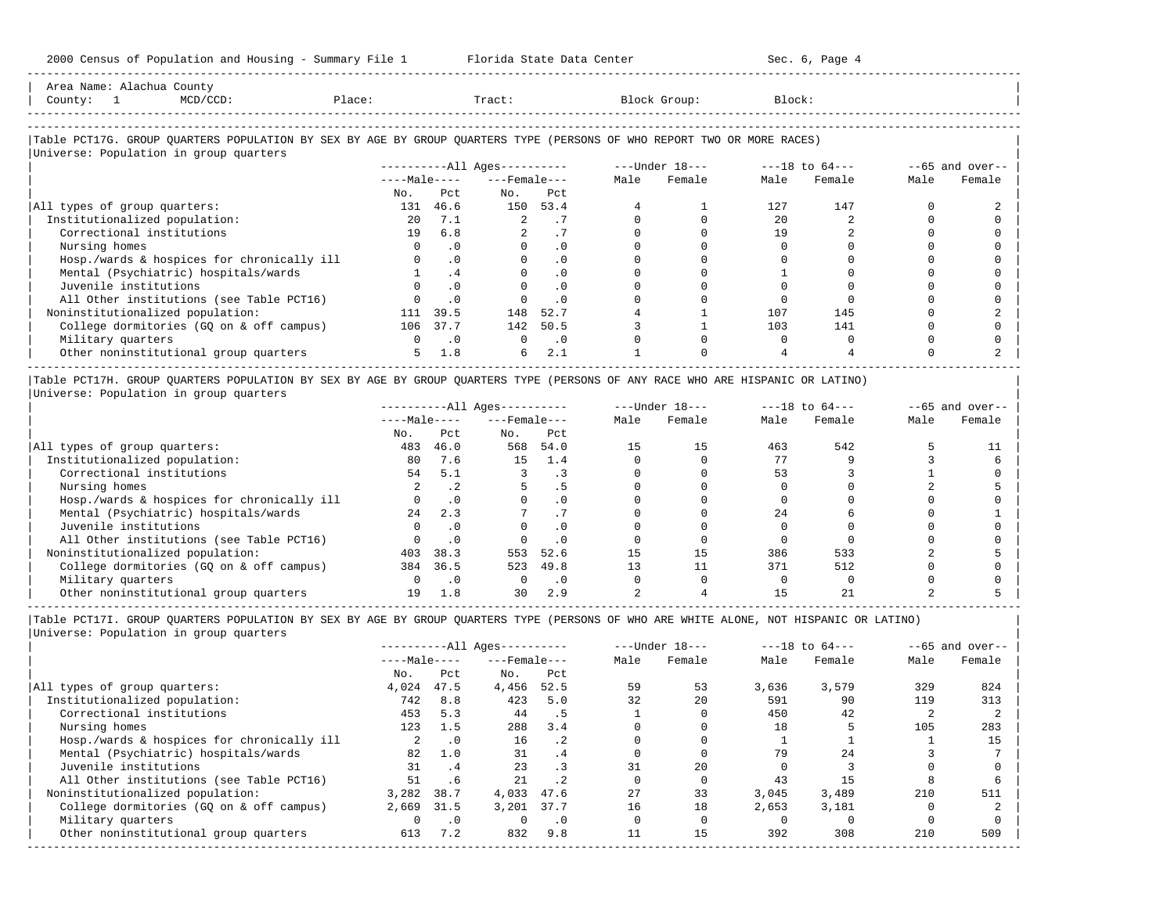-----------------------------------------------------------------------------------------------------------------------------------------------------

| Area Name: Alachua County<br>Place:<br>County: 1<br>MCD/CCD:                                                                  |          |               | material and the Tract:  |               |      | Block Group: | Block: |        |      |                   |
|-------------------------------------------------------------------------------------------------------------------------------|----------|---------------|--------------------------|---------------|------|--------------|--------|--------|------|-------------------|
|                                                                                                                               |          |               |                          |               |      |              |        |        |      |                   |
|                                                                                                                               |          |               |                          |               |      |              |        |        |      |                   |
| Table PCT17G. GROUP QUARTERS POPULATION BY SEX BY AGE BY GROUP QUARTERS TYPE (PERSONS OF WHO REPORT TWO OR MORE RACES)        |          |               |                          |               |      |              |        |        |      |                   |
| Universe: Population in group quarters                                                                                        |          |               |                          |               |      |              |        |        |      |                   |
|                                                                                                                               |          |               |                          |               |      |              |        |        |      | $--65$ and over-- |
|                                                                                                                               |          |               | $---Male-- ---Female---$ |               | Male | Female       | Male   | Female | Male | Female            |
|                                                                                                                               | No.      | Pct.          |                          | No. Pct       |      |              |        |        |      |                   |
| All types of group quarters:                                                                                                  |          | 131 46.6      |                          | 150 53.4      |      |              | 127    | 147    |      |                   |
| Institutionalized population:                                                                                                 |          | 20 7.1        |                          | 2 .7          |      |              | 2.0    |        |      |                   |
| Correctional institutions                                                                                                     |          | 19 6.8        |                          | .7            |      |              | 19     |        |      |                   |
| Nursing homes                                                                                                                 | $\Omega$ | $\cdot$ 0     |                          | $\cdot$ 0     |      |              |        |        |      |                   |
| Hosp./wards & hospices for chronically ill                                                                                    |          | .0            |                          | $\cdot$ 0     |      |              |        |        |      |                   |
| Mental (Psychiatric) hospitals/wards                                                                                          |          | .4            |                          | $\cdot$ 0     |      |              |        |        |      |                   |
| Juvenile institutions                                                                                                         |          | .0            |                          | $\cdot$ 0     |      |              |        |        |      |                   |
| All Other institutions (see Table PCT16)                                                                                      |          | $\cdot$ 0     |                          | $\cdot$ 0     |      |              |        |        |      |                   |
| Noninstitutionalized population:                                                                                              | 111      | 39.5          | 148                      | 52.7          |      |              | 107    | 145    |      |                   |
| College dormitories (GQ on & off campus)                                                                                      |          | 106 37.7      |                          | 142 50.5      |      |              | 103    | 141    |      |                   |
| Military quarters                                                                                                             |          | $0 \qquad .0$ |                          | $0 \qquad .0$ |      |              |        |        |      |                   |
| Other noninstitutional group quarters                                                                                         |          | $5 \t 1.8$    | 6                        | 2.1           |      |              |        |        |      |                   |
|                                                                                                                               |          |               |                          |               |      |              |        |        |      |                   |
| Table PCT17H. GROUP QUARTERS POPULATION BY SEX BY AGE BY GROUP QUARTERS TYPE (PERSONS OF ANY RACE WHO ARE HISPANIC OR LATINO) |          |               |                          |               |      |              |        |        |      |                   |
| Universe: Population in group quarters                                                                                        |          |               |                          |               |      |              |        |        |      |                   |

|                                            |              |           | $------All Ages------$ |      |      | $---Under 18---$ |      | $---18$ to $64---$ | $--65$ and over-- |        |
|--------------------------------------------|--------------|-----------|------------------------|------|------|------------------|------|--------------------|-------------------|--------|
|                                            | $---Male---$ |           | $---$ Female $---$     |      | Male | Female           | Male | Female             | Male              | Female |
|                                            | No.          | Pct       | No.                    | Pct  |      |                  |      |                    |                   |        |
| All types of group quarters:               | 483          | 46.0      | 568                    | 54.0 | 15   | 15               | 463  | 542                |                   |        |
| Institutionalized population:              | 80           | 7.6       | 15                     | 1.4  |      |                  |      |                    |                   |        |
| Correctional institutions                  | 54           | 5.1       |                        | . 3  |      |                  | 53   |                    |                   |        |
| Nursing homes                              |              | .2        |                        |      |      |                  |      |                    |                   |        |
| Hosp./wards & hospices for chronically ill |              | . 0       |                        |      |      |                  |      |                    |                   |        |
| Mental (Psychiatric) hospitals/wards       | 2.4          | 2.3       |                        |      |      |                  | 2.4  |                    |                   |        |
| Juvenile institutions                      |              | . 0       |                        |      |      |                  |      |                    |                   |        |
| All Other institutions (see Table PCT16)   |              | $\cdot$ 0 |                        |      |      |                  |      |                    |                   |        |
| Noninstitutionalized population:           | 403          | 38.3      | 553                    | 52.6 | 15   | 15               | 386  | 533                |                   |        |
| College dormitories (GQ on & off campus)   | 384          | 36.5      | 523                    | 49.8 | 13   |                  | 371  | 512                |                   |        |
| Military quarters                          |              | . 0       |                        |      |      |                  |      |                    |                   |        |
| Other noninstitutional group quarters      |              | 1.8       | 30                     | 2.9  |      |                  |      |                    |                   |        |

-----------------------------------------------------------------------------------------------------------------------------------------------------

|Table PCT17I. GROUP QUARTERS POPULATION BY SEX BY AGE BY GROUP QUARTERS TYPE (PERSONS OF WHO ARE WHITE ALONE, NOT HISPANIC OR LATINO) | |Universe: Population in group quarters |

|                                            |              |           | ----------All Ages---------- |           |      | $---Under 18---$ | $---18$ to $64---$ |        |      | $--65$ and over-- |
|--------------------------------------------|--------------|-----------|------------------------------|-----------|------|------------------|--------------------|--------|------|-------------------|
|                                            | $---Male---$ |           | $---$ Female $---$           |           | Male | Female           | Male               | Female | Male | Female            |
|                                            | No.          | Pct       | No.                          | Pct       |      |                  |                    |        |      |                   |
| All types of group quarters:               | 4,024        | 47.5      | 4,456                        | 52.5      | 59   | 53               | 3,636              | 3,579  | 329  | 824               |
| Institutionalized population:              | 742          | 8.8       | 423                          | 5.0       | 32   | 20               | 591                | 90     | 119  | 313               |
| Correctional institutions                  | 453          | 5.3       | 44                           | . 5       |      |                  | 450                | 42     |      |                   |
| Nursing homes                              | 123          | 1.5       | 288                          | 3.4       |      |                  | 18                 |        | 105  | 283               |
| Hosp./wards & hospices for chronically ill |              | $\cdot$ 0 | 16                           | $\cdot$ 2 |      |                  |                    |        |      | 15                |
| Mental (Psychiatric) hospitals/wards       | 82           | 1.0       | 31                           | .4        |      |                  | 79                 | 2.4    |      |                   |
| Juvenile institutions                      | 31           | .4        | 23                           |           |      | 2.0              |                    |        |      |                   |
| All Other institutions (see Table PCT16)   | 51           | . 6       | 21                           | $\cdot$ 2 |      |                  | 43                 | 15     |      |                   |
| Noninstitutionalized population:           | 3,282        | 38.7      | 4,033                        | 47.6      | 27   | 33               | 3.045              | 3,489  | 210  | 511               |
| College dormitories (GQ on & off campus)   | 2,669        | 31.5      | 3.201                        | 37.7      | 16   | 18               | 2,653              | 3,181  |      |                   |
| Military quarters                          |              | $\cdot$ 0 |                              | $\cdot$ 0 |      |                  |                    |        |      |                   |
| Other noninstitutional group quarters      | 613          | 7.2       | 832                          | 9.8       |      | 15               | 392                | 308    | 210  | 509               |
|                                            |              |           |                              |           |      |                  |                    |        |      |                   |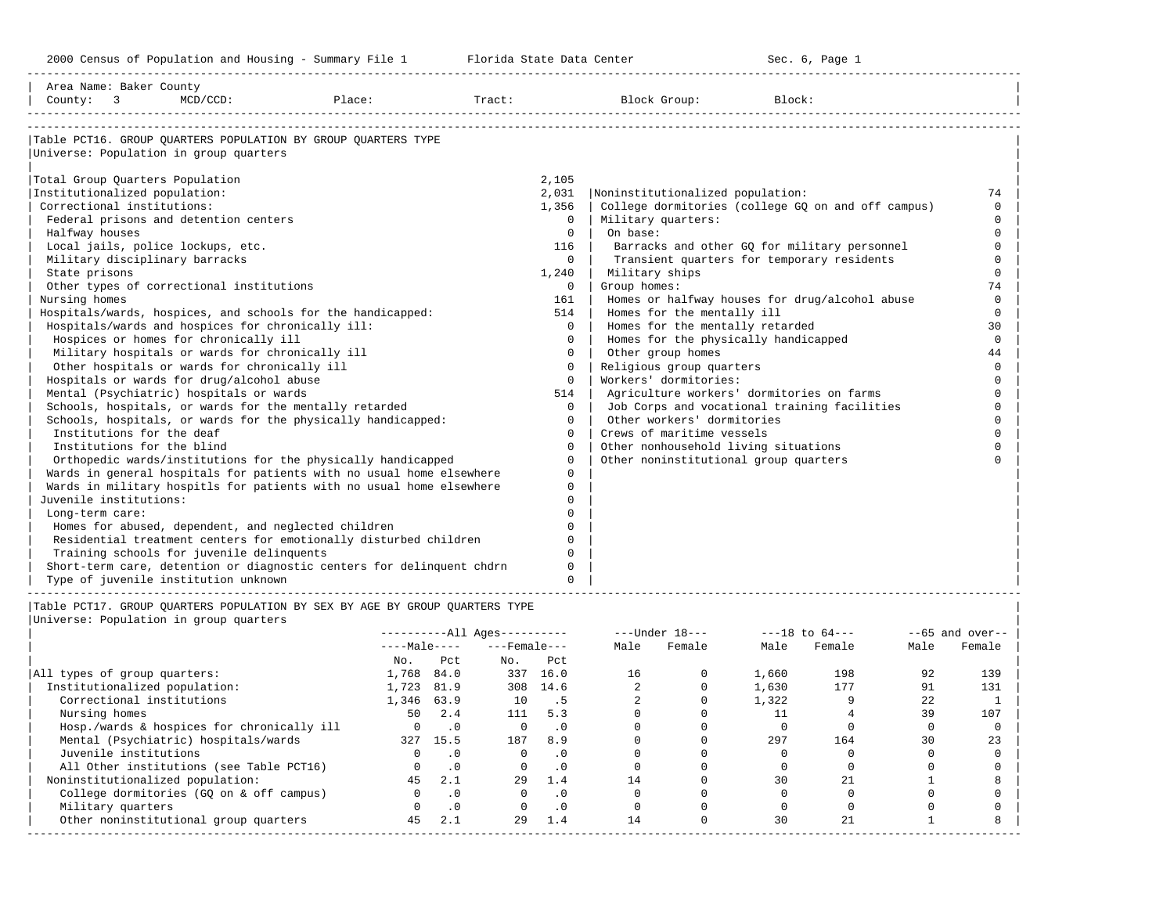| Table PCT16. GROUP OUARTERS POPULATION BY GROUP OUARTERS TYPE<br>Universe: Population in group quarters<br>Total Group Quarters Population<br>2,105<br>Institutionalized population:<br>2,031<br>Noninstitutionalized population:<br>74<br>Correctional institutions:<br>College dormitories (college GQ on and off campus)<br>1,356<br>$\Omega$<br>Federal prisons and detention centers<br>Military quarters:<br>$\Omega$<br>$\Omega$<br>$\Omega$<br>On base:<br>Halfway houses<br>$\Omega$<br>Local jails, police lockups, etc.<br>116<br>Barracks and other GO for military personnel<br>$\Omega$<br>Transient quarters for temporary residents<br>Military disciplinary barracks<br>$\Omega$<br>$\Omega$<br>State prisons<br>Military ships<br>$\Omega$<br>1,240<br>Other types of correctional institutions<br>Group homes:<br>74<br>$\Omega$<br>Nursing homes<br>161<br>Homes or halfway houses for drug/alcohol abuse<br>$\Omega$<br>Homes for the mentally ill<br>Hospitals/wards, hospices, and schools for the handicapped:<br>514<br>$\Omega$<br>Hospitals/wards and hospices for chronically ill:<br>Homes for the mentally retarded<br>$\Omega$<br>30<br>Hospices or homes for chronically ill<br>Homes for the physically handicapped<br>$\Omega$<br>$\mathbf 0$<br>Military hospitals or wards for chronically ill<br>$\Omega$<br>Other group homes<br>44<br>Other hospitals or wards for chronically ill<br>Religious group quarters<br>$\Omega$<br>$\Omega$<br>Workers' dormitories:<br>Hospitals or wards for drug/alcohol abuse<br>$\Omega$<br>$\cap$<br>Mental (Psychiatric) hospitals or wards<br>Agriculture workers' dormitories on farms<br>514<br>$\Omega$<br>Schools, hospitals, or wards for the mentally retarded<br>Job Corps and vocational training facilities<br>$\Omega$<br>$\Omega$<br>Schools, hospitals, or wards for the physically handicapped:<br>Other workers' dormitories<br>$\Omega$<br>$\Omega$<br>Institutions for the deaf<br>Crews of maritime vessels<br>$\Omega$<br>Institutions for the blind<br>$\Omega$<br>Other nonhousehold living situations<br>$\cap$<br>Other noninstitutional group quarters<br>Orthopedic wards/institutions for the physically handicapped<br>$\Omega$<br>$\Omega$<br>Wards in general hospitals for patients with no usual home elsewhere<br>Wards in military hospitls for patients with no usual home elsewhere<br>$\Omega$<br>Juvenile institutions:<br>$\cap$<br>Long-term care:<br>$\Omega$ | Area Name: Baker County<br>County: 3 MCD/CCD:<br>Place: |  |  |
|--------------------------------------------------------------------------------------------------------------------------------------------------------------------------------------------------------------------------------------------------------------------------------------------------------------------------------------------------------------------------------------------------------------------------------------------------------------------------------------------------------------------------------------------------------------------------------------------------------------------------------------------------------------------------------------------------------------------------------------------------------------------------------------------------------------------------------------------------------------------------------------------------------------------------------------------------------------------------------------------------------------------------------------------------------------------------------------------------------------------------------------------------------------------------------------------------------------------------------------------------------------------------------------------------------------------------------------------------------------------------------------------------------------------------------------------------------------------------------------------------------------------------------------------------------------------------------------------------------------------------------------------------------------------------------------------------------------------------------------------------------------------------------------------------------------------------------------------------------------------------------------------------------------------------------------------------------------------------------------------------------------------------------------------------------------------------------------------------------------------------------------------------------------------------------------------------------------------------------------------------------------------------------------------------------------------------------------------------------------------------------------------------------------------------------------------------------------------------------|---------------------------------------------------------|--|--|
| Homes for abused, dependent, and neglected children<br>$\Omega$<br>Residential treatment centers for emotionally disturbed children<br>$\Omega$                                                                                                                                                                                                                                                                                                                                                                                                                                                                                                                                                                                                                                                                                                                                                                                                                                                                                                                                                                                                                                                                                                                                                                                                                                                                                                                                                                                                                                                                                                                                                                                                                                                                                                                                                                                                                                                                                                                                                                                                                                                                                                                                                                                                                                                                                                                                |                                                         |  |  |
| Training schools for juvenile delinquents<br>$\Omega$<br>Short-term care, detention or diagnostic centers for delinguent chdrn<br>$\Omega$<br>Type of juvenile institution unknown<br>$\Omega$                                                                                                                                                                                                                                                                                                                                                                                                                                                                                                                                                                                                                                                                                                                                                                                                                                                                                                                                                                                                                                                                                                                                                                                                                                                                                                                                                                                                                                                                                                                                                                                                                                                                                                                                                                                                                                                                                                                                                                                                                                                                                                                                                                                                                                                                                 |                                                         |  |  |

|                                            |              |           | ----------All Ages---------- |           |      | $---Under 18---$ |       | $---18$ to $64---$ |      | $--65$ and over-- |
|--------------------------------------------|--------------|-----------|------------------------------|-----------|------|------------------|-------|--------------------|------|-------------------|
|                                            | $---Male---$ |           | $---$ Female $---$           |           | Male | Female           | Male  | Female             | Male | Female            |
|                                            | No.          | Pct       | No.                          | Pct       |      |                  |       |                    |      |                   |
| All types of group quarters:               | 1,768        | 84.0      | 337                          | 16.0      | 16   |                  | 1,660 | 198                | 92   | 139               |
| Institutionalized population:              | 1,723        | 81.9      | 308                          | 14.6      |      |                  | 1,630 | 177                | 91   | 131               |
| Correctional institutions                  | 1,346 63.9   |           | 10                           |           |      |                  | 1,322 |                    | 22   |                   |
| Nursing homes                              | 50           | 2.4       | 111                          | 5.3       |      |                  |       |                    | 39   | 107               |
| Hosp./wards & hospices for chronically ill |              | $\cdot$ 0 |                              | $\cdot$ 0 |      |                  |       |                    |      |                   |
| Mental (Psychiatric) hospitals/wards       | 327          | 15.5      | 187                          | 8.9       |      |                  | 297   | 164                | 30   | 23                |
| Juvenile institutions                      |              | $\cdot$ 0 |                              | .0        |      |                  |       |                    |      |                   |
| All Other institutions (see Table PCT16)   |              | $\cdot$ 0 |                              | . 0       |      |                  |       |                    |      |                   |
| Noninstitutionalized population:           | 45           | 2.1       | 29                           | 1.4       | 14   |                  | 30    |                    |      |                   |
| College dormitories (GO on & off campus)   |              | $\cdot$ 0 |                              |           |      |                  |       |                    |      |                   |
| Military quarters                          |              | $\cdot$ 0 |                              | $\cdot$ 0 |      |                  |       |                    |      |                   |
| Other noninstitutional group quarters      | 45           | 2.1       | 29                           | 1.4       | 14   |                  | 30    | 21                 |      |                   |
|                                            |              |           |                              |           |      |                  |       |                    |      |                   |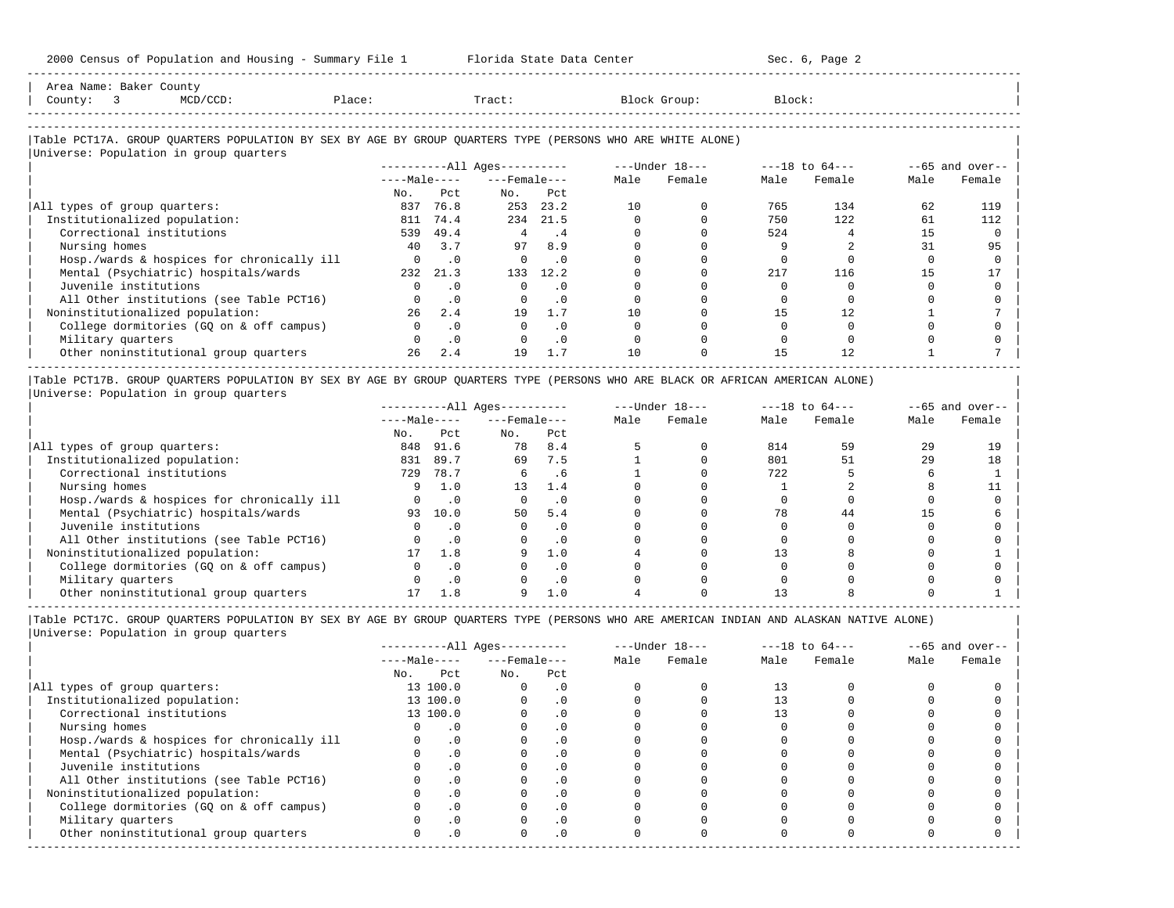| Area Name: Baker County                                                                                                                                                                                                           |             |        |        |              |        |  |
|-----------------------------------------------------------------------------------------------------------------------------------------------------------------------------------------------------------------------------------|-------------|--------|--------|--------------|--------|--|
| County:                                                                                                                                                                                                                           | $MCD/CCD$ : | Place: | Tract: | Block Group: | Block: |  |
|                                                                                                                                                                                                                                   |             |        |        |              |        |  |
|                                                                                                                                                                                                                                   |             |        |        |              |        |  |
| $\mathbf{r}$ . The contract of the contract of the contract of the contract of the contract of the contract of the contract of the contract of the contract of the contract of the contract of the contract of the contract of th |             |        |        |              |        |  |

-----------------------------------------------------------------------------------------------------------------------------------------------------

#### |Table PCT17A. GROUP QUARTERS POPULATION BY SEX BY AGE BY GROUP QUARTERS TYPE (PERSONS WHO ARE WHITE ALONE) | |<br>|Universe: Population in group quarters

| $---Male---$<br>Pct.<br>76.8<br>74.4<br>49.4 | $---$ Female $---$<br>No.<br>253<br>234 | Pct<br>23.2 | Male<br>10 | Female | Male<br>765 | Female | Male | Female |
|----------------------------------------------|-----------------------------------------|-------------|------------|--------|-------------|--------|------|--------|
|                                              |                                         |             |            |        |             |        |      |        |
|                                              |                                         |             |            |        |             |        |      |        |
|                                              |                                         |             |            |        |             | 134    | 62   | 119    |
|                                              |                                         | 21.5        |            |        | 750         | 122    | 61   | 112    |
|                                              | 4                                       | . 4         |            |        | 524         |        | 15   |        |
| 3.7                                          | 97                                      | 8.9         |            |        |             |        | 31   | 95     |
| $\cdot$ 0                                    | $\Omega$                                | $\cdot$ 0   |            |        |             |        |      |        |
| 21.3                                         | 133                                     | 12.2        |            |        | 217         | 116    | 15   |        |
| . 0                                          |                                         | $\cdot$ 0   |            |        |             |        |      |        |
| $\cdot$ 0                                    | $\Omega$                                | .0          |            |        |             |        |      |        |
| 2.4                                          | 19                                      | 1.7         | 10         |        | 15          |        |      |        |
| . 0                                          |                                         | $\cdot$ 0   |            |        |             |        |      |        |
| $\cdot$ 0                                    |                                         | $\cdot$ 0   |            |        |             |        |      |        |
| 2.4                                          | 19                                      | 1.7         | 10         |        | 15          | 12.    |      |        |
|                                              |                                         |             |            |        |             |        |      |        |

|Table PCT17B. GROUP QUARTERS POPULATION BY SEX BY AGE BY GROUP QUARTERS TYPE (PERSONS WHO ARE BLACK OR AFRICAN AMERICAN ALONE) | |Universe: Population in group quarters |

|                                            |              |           | $------All Ages------$ |           |      | $---Under 18---$ |      | $---18$ to $64---$ |      | $- -65$ and over-- |
|--------------------------------------------|--------------|-----------|------------------------|-----------|------|------------------|------|--------------------|------|--------------------|
|                                            | $---Male---$ |           | $---$ Female $---$     |           | Male | Female           | Male | Female             | Male | Female             |
|                                            | No.          | Pct       | No.                    | Pct       |      |                  |      |                    |      |                    |
| All types of group quarters:               | 848          | 91.6      | 78                     | 8.4       |      |                  | 814  | 59                 | 29   | 19                 |
| Institutionalized population:              | 831          | 89.7      | 69                     | 7.5       |      |                  | 801  | 51                 | 29   | 18                 |
| Correctional institutions                  | 729          | 78.7      |                        | . 6       |      |                  | 722  |                    |      |                    |
| Nursing homes                              |              | 1.0       | 13                     | 1.4       |      |                  |      |                    |      |                    |
| Hosp./wards & hospices for chronically ill |              | . 0       |                        | . 0       |      |                  |      |                    |      |                    |
| Mental (Psychiatric) hospitals/wards       | 93           | 10.0      | 50                     | 5.4       |      |                  | 78   | 44                 |      |                    |
| Juvenile institutions                      |              | . 0       |                        | . 0       |      |                  |      |                    |      |                    |
| All Other institutions (see Table PCT16)   |              | $\cdot$ 0 |                        | $\cdot$ 0 |      |                  |      |                    |      |                    |
| Noninstitutionalized population:           |              | 1.8       |                        | 1.0       |      |                  |      |                    |      |                    |
| College dormitories (GO on & off campus)   |              |           |                        | $\cdot$ 0 |      |                  |      |                    |      |                    |
| Military quarters                          |              | $\cdot$ 0 |                        | . 0       |      |                  |      |                    |      |                    |
| Other noninstitutional group quarters      |              |           |                        | 1.0       |      |                  |      |                    |      |                    |

-----------------------------------------------------------------------------------------------------------------------------------------------------

|Table PCT17C. GROUP QUARTERS POPULATION BY SEX BY AGE BY GROUP QUARTERS TYPE (PERSONS WHO ARE AMERICAN INDIAN AND ALASKAN NATIVE ALONE) | |Universe: Population in group quarters |

|                                            |              |           | $------All Aqes------$ |            |      | $---Under 18---$ |      | $---18$ to $64---$ |      | $- -65$ and over-- |
|--------------------------------------------|--------------|-----------|------------------------|------------|------|------------------|------|--------------------|------|--------------------|
|                                            | $---Male---$ |           | $---$ Female $---$     |            | Male | Female           | Male | Female             | Male | Female             |
|                                            | No.          | Pct       | No.                    | Pct        |      |                  |      |                    |      |                    |
| All types of group quarters:               |              | 13 100.0  |                        | . 0        |      |                  | 13   |                    |      |                    |
| Institutionalized population:              |              | 13 100.0  |                        | $\cdot$ 0  |      |                  |      |                    |      |                    |
| Correctional institutions                  |              | 13 100.0  |                        | . 0        |      |                  |      |                    |      |                    |
| Nursing homes                              |              |           |                        | . 0        |      |                  |      |                    |      |                    |
| Hosp./wards & hospices for chronically ill |              | $\cdot$ 0 |                        |            |      |                  |      |                    |      |                    |
| Mental (Psychiatric) hospitals/wards       |              | $\cdot$ 0 |                        | . 0        |      |                  |      |                    |      |                    |
| Juvenile institutions                      |              |           |                        | . 0        |      |                  |      |                    |      |                    |
| All Other institutions (see Table PCT16)   |              | $\cdot$ 0 |                        |            |      |                  |      |                    |      |                    |
| Noninstitutionalized population:           |              | $\cdot$ 0 |                        | $\cdot$ 0  |      |                  |      |                    |      |                    |
| College dormitories (GQ on & off campus)   |              |           |                        | $\cdot$ 0  |      |                  |      |                    |      |                    |
| Military quarters                          |              | . 0       |                        | $\cdot$ 0  |      |                  |      |                    |      |                    |
| Other noninstitutional group quarters      | <sup>n</sup> | $\cdot$ 0 |                        | $.0 \cdot$ |      |                  |      |                    |      |                    |
|                                            |              |           |                        |            |      |                  |      |                    |      |                    |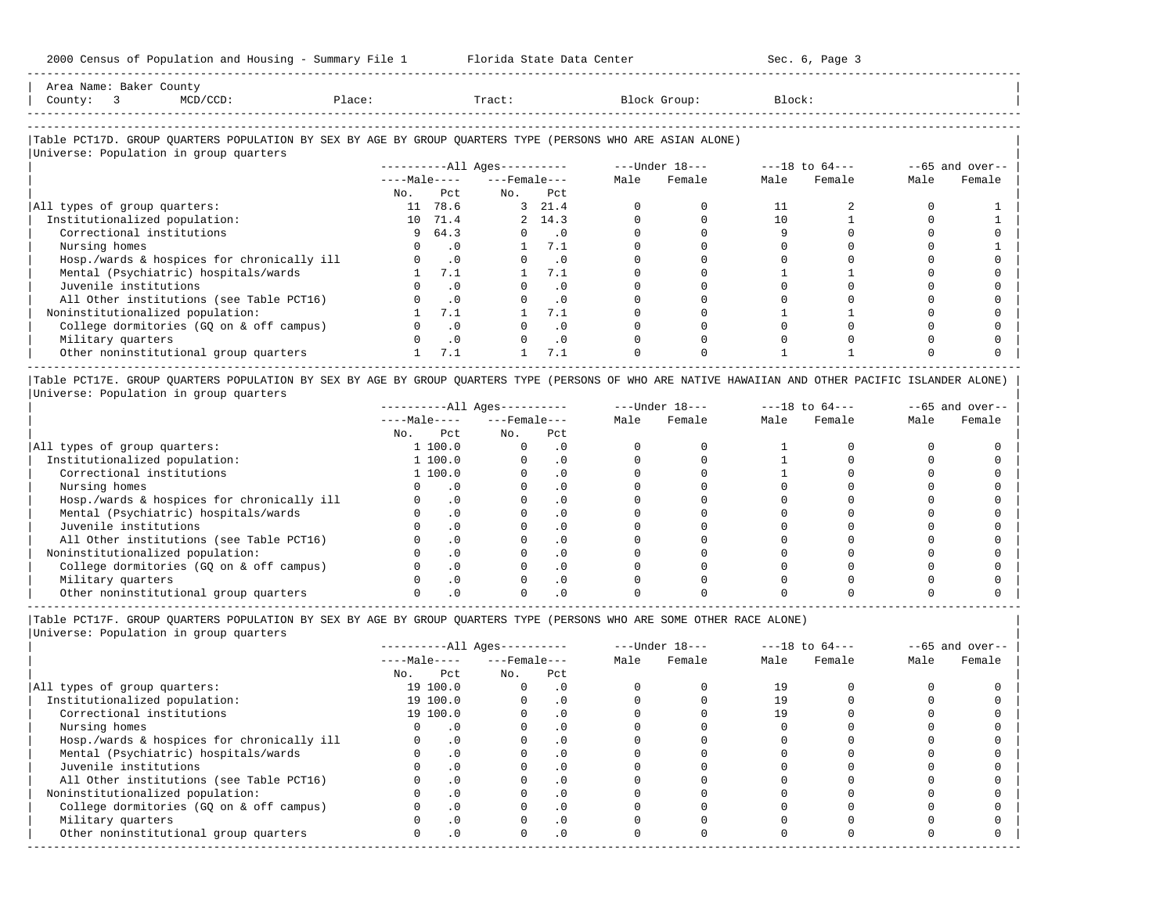| Name<br>Area         | Baker<br>. | County |        |       |       |        |
|----------------------|------------|--------|--------|-------|-------|--------|
| County               |            |        | Place: | Tract | Group | Block: |
| -------------------- |            |        |        |       |       |        |

-----------------------------------------------------------------------------------------------------------------------------------------------------

### |Table PCT17D. GROUP QUARTERS POPULATION BY SEX BY AGE BY GROUP QUARTERS TYPE (PERSONS WHO ARE ASIAN ALONE) |

|                                            |              |           | $------All Ages------$ |                             |      | ---Under 18--- |      | $---18$ to $64---$ |      | $--65$ and over-- |
|--------------------------------------------|--------------|-----------|------------------------|-----------------------------|------|----------------|------|--------------------|------|-------------------|
|                                            | $---Male---$ |           | $---$ Female $---$     |                             | Male | Female         | Male | Female             | Male | Female            |
|                                            | No.          | Pct       | No.                    | Pct                         |      |                |      |                    |      |                   |
| All types of group quarters:               | 11           | 78.6      |                        | 3, 21.4                     |      |                | 11   |                    |      |                   |
| Institutionalized population:              |              | 10 71.4   |                        | 2, 14.3                     |      |                | 10   |                    |      |                   |
| Correctional institutions                  |              | 964.3     |                        | $\overline{\phantom{0}}$ .0 |      |                |      |                    |      |                   |
| Nursing homes                              |              | . 0       |                        | 7.1                         |      |                |      |                    |      |                   |
| Hosp./wards & hospices for chronically ill |              | $\cdot$ 0 |                        | . 0                         |      |                |      |                    |      |                   |
| Mental (Psychiatric) hospitals/wards       |              | 7.1       |                        | 7.1                         |      |                |      |                    |      |                   |
| Juvenile institutions                      |              | . 0       |                        | . 0                         |      |                |      |                    |      |                   |
| All Other institutions (see Table PCT16)   |              | $\cdot$ 0 |                        | $\cdot$ 0                   |      |                |      |                    |      |                   |
| Noninstitutionalized population:           |              | 7.1       |                        | 7.1                         |      |                |      |                    |      |                   |
| College dormitories (GO on & off campus)   |              | $\cdot$ 0 |                        | $\cdot$ 0                   |      |                |      |                    |      |                   |
| Military quarters                          |              | $\cdot$ 0 |                        | $\cdot$ 0                   |      |                |      |                    |      |                   |
| Other noninstitutional group quarters      |              | 7.1       |                        | 7.1                         |      |                |      |                    |      |                   |

|Table PCT17E. GROUP QUARTERS POPULATION BY SEX BY AGE BY GROUP QUARTERS TYPE (PERSONS OF WHO ARE NATIVE HAWAIIAN AND OTHER PACIFIC ISLANDER ALONE) | |Universe: Population in group quarters |

|                                            |              |           | $------All Ages------$ |           |      | $---Under 18---$ |      | $---18$ to $64---$ |      | $--65$ and over-- |
|--------------------------------------------|--------------|-----------|------------------------|-----------|------|------------------|------|--------------------|------|-------------------|
|                                            | $---Male---$ |           | $---$ Female $---$     |           | Male | Female           | Male | Female             | Male | Female            |
|                                            | No.          | Pct       | No.                    | Pct       |      |                  |      |                    |      |                   |
| All types of group quarters:               |              | 1 100.0   |                        | . 0       |      |                  |      |                    |      |                   |
| Institutionalized population:              |              | 1 100.0   |                        | . 0       |      |                  |      |                    |      |                   |
| Correctional institutions                  |              | 1 100.0   |                        | . 0       |      |                  |      |                    |      |                   |
| Nursing homes                              |              |           |                        | . 0       |      |                  |      |                    |      |                   |
| Hosp./wards & hospices for chronically ill |              | $\cdot$ 0 |                        | $\cdot$ 0 |      |                  |      |                    |      |                   |
| Mental (Psychiatric) hospitals/wards       |              |           |                        | . 0       |      |                  |      |                    |      |                   |
| Juvenile institutions                      |              | $\Omega$  |                        | . 0       |      |                  |      |                    |      |                   |
| All Other institutions (see Table PCT16)   |              |           |                        |           |      |                  |      |                    |      |                   |
| Noninstitutionalized population:           |              |           |                        |           |      |                  |      |                    |      |                   |
| College dormitories (GO on & off campus)   |              |           |                        |           |      |                  |      |                    |      |                   |
| Military quarters                          |              |           |                        |           |      |                  |      |                    |      |                   |
| Other noninstitutional group quarters      |              |           |                        |           |      |                  |      |                    |      |                   |

-----------------------------------------------------------------------------------------------------------------------------------------------------

|Table PCT17F. GROUP QUARTERS POPULATION BY SEX BY AGE BY GROUP QUARTERS TYPE (PERSONS WHO ARE SOME OTHER RACE ALONE) |

|                                            |              |           | ----------All Ages---------- |           |      | $---Under 18---$ |      | $---18$ to $64---$ |      | $--65$ and over-- |
|--------------------------------------------|--------------|-----------|------------------------------|-----------|------|------------------|------|--------------------|------|-------------------|
|                                            | $---Male---$ |           | $---$ Female $---$           |           | Male | Female           | Male | Female             | Male | Female            |
|                                            | No.          | Pct       | No.                          | Pct       |      |                  |      |                    |      |                   |
| All types of group quarters:               |              | 19 100.0  | 0                            | $\cdot$ 0 |      |                  | 19   |                    |      |                   |
| Institutionalized population:              |              | 19 100.0  |                              | $\cdot$ 0 |      |                  | 19   |                    |      |                   |
| Correctional institutions                  |              | 19 100.0  |                              | $\cdot$ 0 |      |                  | 19   |                    |      |                   |
| Nursing homes                              |              | $\cdot$ 0 |                              | .0        |      |                  |      |                    |      |                   |
| Hosp./wards & hospices for chronically ill |              | $\cdot$ 0 |                              | $\cdot$ 0 |      |                  |      |                    |      |                   |
| Mental (Psychiatric) hospitals/wards       |              | $\cdot$ 0 |                              |           |      |                  |      |                    |      |                   |
| Juvenile institutions                      |              | .0        |                              | $\cdot$ 0 |      |                  |      |                    |      |                   |
| All Other institutions (see Table PCT16)   |              | $\cdot$ 0 |                              |           |      |                  |      |                    |      |                   |
| Noninstitutionalized population:           |              | $\cdot$ 0 |                              | $\cdot$ 0 |      |                  |      |                    |      |                   |
| College dormitories (GQ on & off campus)   |              | .0        |                              |           |      |                  |      |                    |      |                   |
| Military quarters                          |              | $\cdot$ 0 |                              | . 0       |      |                  |      |                    |      |                   |
| Other noninstitutional group quarters      |              | $\cdot$ 0 | O.                           | $\cdot$ 0 |      |                  |      |                    |      |                   |
|                                            |              |           |                              |           |      |                  |      |                    |      |                   |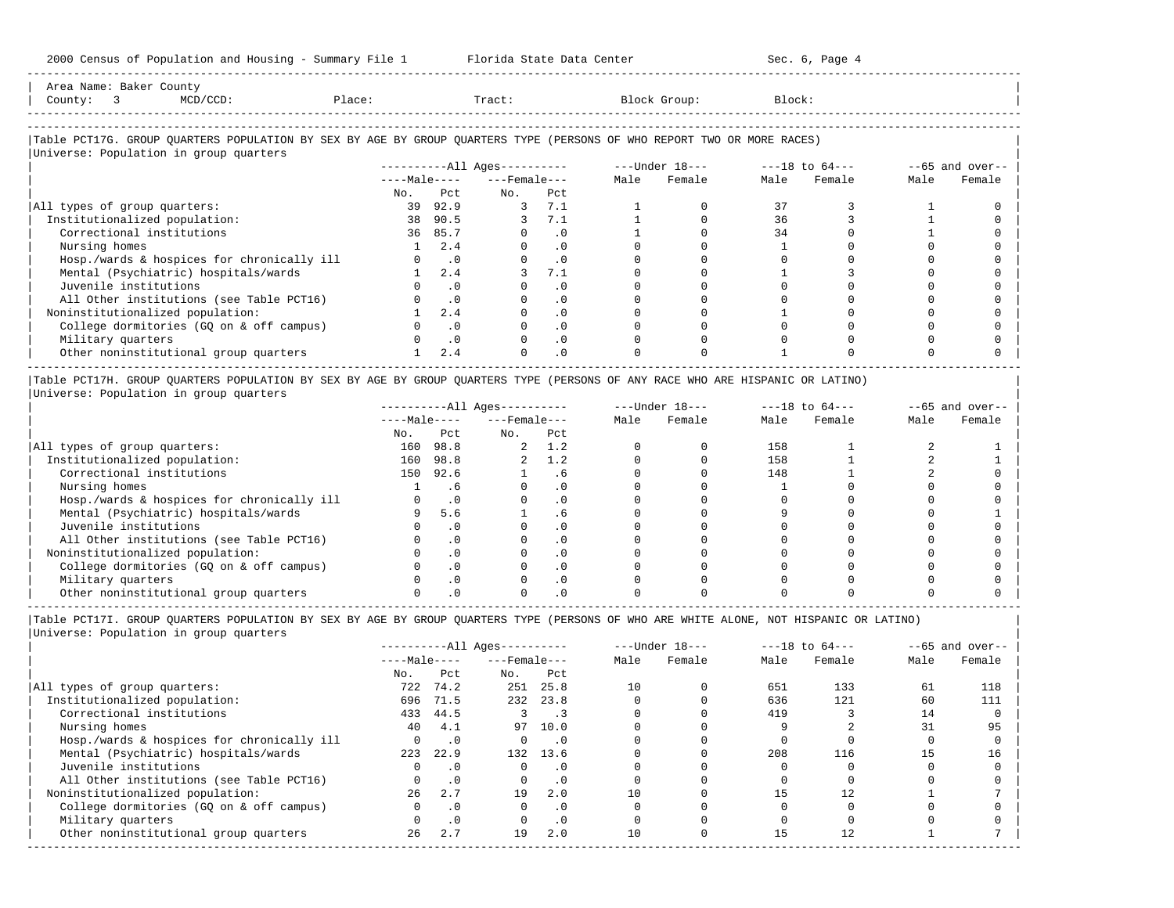| Area Name: Baker County<br>$MCD/CCD$ :<br>County: 3                                                                    | Place: |              | Tract:                 |           |      | Block Group:   | Block: |                    |      |                   |
|------------------------------------------------------------------------------------------------------------------------|--------|--------------|------------------------|-----------|------|----------------|--------|--------------------|------|-------------------|
|                                                                                                                        |        |              |                        |           |      |                |        |                    |      |                   |
| Table PCT17G. GROUP OUARTERS POPULATION BY SEX BY AGE BY GROUP OUARTERS TYPE (PERSONS OF WHO REPORT TWO OR MORE RACES) |        |              |                        |           |      |                |        |                    |      |                   |
| Universe: Population in group quarters                                                                                 |        |              |                        |           |      |                |        |                    |      |                   |
|                                                                                                                        |        |              | $------All Aqes------$ |           |      | ---Under 18--- |        | $---18$ to $64---$ |      | $--65$ and over-- |
|                                                                                                                        |        | $---Male---$ | $---$ Female $---$     |           | Male | Female         | Male   | Female             | Male | Female            |
|                                                                                                                        | No.    | Pct          | No.                    | Pct       |      |                |        |                    |      |                   |
| All types of group quarters:                                                                                           | 39     | 92.9         | 3                      | 7.1       |      |                | 37     |                    |      |                   |
| Institutionalized population:                                                                                          |        | 38 90.5      |                        | 3, 7.1    |      |                | 36     |                    |      |                   |
| Correctional institutions                                                                                              | 36     | 85.7         | $\Omega$               | $\cdot$ 0 |      |                | 34     |                    |      |                   |
| Nursing homes                                                                                                          |        | 2.4          | $\Omega$               | $\cdot$ 0 |      |                |        |                    |      |                   |
| Hosp./wards & hospices for chronically ill                                                                             |        | $\cdot$ 0    | 0                      | $\cdot$ 0 |      |                |        |                    |      |                   |

| Mental (Psychiatric) hospitals/wards     |  |  |  |  |  |
|------------------------------------------|--|--|--|--|--|
| Juvenile institutions                    |  |  |  |  |  |
| All Other institutions (see Table PCT16) |  |  |  |  |  |
| Noninstitutionalized population:         |  |  |  |  |  |
| College dormitories (GQ on & off campus) |  |  |  |  |  |
| Military quarters                        |  |  |  |  |  |
| Other noninstitutional group quarters    |  |  |  |  |  |
|                                          |  |  |  |  |  |

|Table PCT17H. GROUP QUARTERS POPULATION BY SEX BY AGE BY GROUP QUARTERS TYPE (PERSONS OF ANY RACE WHO ARE HISPANIC OR LATINO) | |Universe: Population in group quarters |

|                                            |              |           | $------All Aqes------$ |           |      | $---Under 18---$ |      | $---18$ to $64---$ |      | $--65$ and over-- |
|--------------------------------------------|--------------|-----------|------------------------|-----------|------|------------------|------|--------------------|------|-------------------|
|                                            | $---Male---$ |           | $---$ Female $---$     |           | Male | Female           | Male | Female             | Male | Female            |
|                                            | No.          | Pct       | No.                    | Pct       |      |                  |      |                    |      |                   |
| All types of group quarters:               | 160          | 98.8      |                        | 1.2       |      |                  | 158  |                    |      |                   |
| Institutionalized population:              | 160          | 98.8      |                        | 1.2       |      |                  | 158  |                    |      |                   |
| Correctional institutions                  | 150          | 92.6      |                        | . 6       |      |                  | 148  |                    |      |                   |
| Nursing homes                              |              | . 6       |                        | . 0       |      |                  |      |                    |      |                   |
| Hosp./wards & hospices for chronically ill |              |           |                        | . 0       |      |                  |      |                    |      |                   |
| Mental (Psychiatric) hospitals/wards       |              | 5.6       |                        | $.6 \,$   |      |                  |      |                    |      |                   |
| Juvenile institutions                      |              |           |                        | . 0       |      |                  |      |                    |      |                   |
| All Other institutions (see Table PCT16)   |              |           |                        | $\cdot$ 0 |      |                  |      |                    |      |                   |
| Noninstitutionalized population:           |              |           |                        | . 0       |      |                  |      |                    |      |                   |
| College dormitories (GQ on & off campus)   |              | $\cdot$ 0 |                        | $\cdot$ 0 |      |                  |      |                    |      |                   |
| Military quarters                          |              |           |                        | $\cdot$ 0 |      |                  |      |                    |      |                   |
| Other noninstitutional group quarters      |              |           |                        |           |      |                  |      |                    |      |                   |

-----------------------------------------------------------------------------------------------------------------------------------------------------

|Table PCT17I. GROUP QUARTERS POPULATION BY SEX BY AGE BY GROUP QUARTERS TYPE (PERSONS OF WHO ARE WHITE ALONE, NOT HISPANIC OR LATINO) |

|                                            |          |              | $------All \text{Aqes}---$ |                          |    | $---Under 18---$ | $---18$ to $64---$ |        |      | $--65$ and over-- |
|--------------------------------------------|----------|--------------|----------------------------|--------------------------|----|------------------|--------------------|--------|------|-------------------|
|                                            |          | $---Male---$ |                            | $---$ Female $---$       |    | Female           | Male               | Female | Male | Female            |
|                                            | No.      | Pct          | No.                        | Pct                      |    |                  |                    |        |      |                   |
| All types of group quarters:               | 722      | 74.2         | 251                        | 25.8                     | 10 |                  | 651                | 133    | 61   | 118               |
| Institutionalized population:              | 696      | 71.5         | 232                        | 23.8                     |    |                  | 636                | 121    | 60   | 111               |
| Correctional institutions                  | 433      | 44.5         | 3                          | $\overline{\phantom{0}}$ |    |                  | 419                |        | 14   |                   |
| Nursing homes                              | 40       | 4.1          | 97                         | 10.0                     |    |                  |                    |        | 31   | 95                |
| Hosp./wards & hospices for chronically ill | $\Omega$ | $\cdot$ 0    | $\Omega$                   | $\cdot$ 0                |    |                  |                    |        |      |                   |
| Mental (Psychiatric) hospitals/wards       | 223      | 22.9         | 132                        | 13.6                     |    |                  | 208                | 116    | 15   | 16                |
| Juvenile institutions                      | O.       | $\cdot$ 0    | $\Omega$                   | $\cdot$ 0                |    |                  |                    |        |      |                   |
| All Other institutions (see Table PCT16)   |          | $\cdot$ 0    | $\Omega$                   | $\cdot$ 0                |    |                  |                    |        |      |                   |
| Noninstitutionalized population:           | 26       | 2.7          | 19                         | 2.0                      | 10 |                  | 15                 | 12     |      |                   |
| College dormitories (GO on & off campus)   | $\Omega$ | $\cdot$ 0    | $\Omega$                   | $\cdot$ 0                |    |                  |                    |        |      |                   |
| Military quarters                          |          | $\cdot$ 0    | $\Omega$                   | .0                       |    |                  |                    |        |      |                   |
| Other noninstitutional group quarters      | 26       | 2.7          | 19                         | 2.0                      | 10 |                  | 15                 | 12.    |      |                   |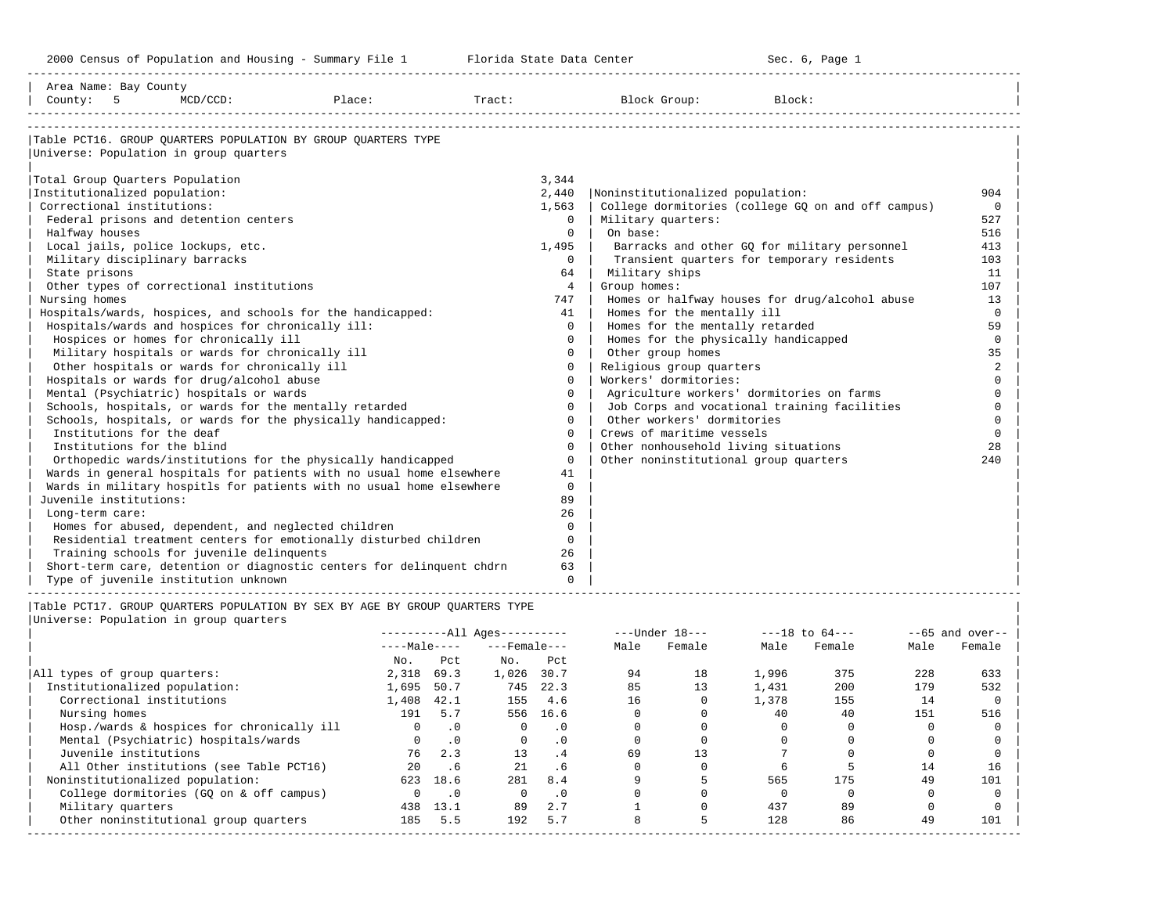| Area Name: Bay County<br>County: 5 MCD/CCD:                                                                                                                                                                                                                                                                                                                                                                                                                                                                                                                                                                                                                                                                 |                                                                                                                                                                                                                                                                                                                                                           |                                                                                                                                                                                             |                                                                                                                                                                                                                                                                                                                                                                      |                                                                                                                                                                                                                                                    |                                                                                                                                                                       |
|-------------------------------------------------------------------------------------------------------------------------------------------------------------------------------------------------------------------------------------------------------------------------------------------------------------------------------------------------------------------------------------------------------------------------------------------------------------------------------------------------------------------------------------------------------------------------------------------------------------------------------------------------------------------------------------------------------------|-----------------------------------------------------------------------------------------------------------------------------------------------------------------------------------------------------------------------------------------------------------------------------------------------------------------------------------------------------------|---------------------------------------------------------------------------------------------------------------------------------------------------------------------------------------------|----------------------------------------------------------------------------------------------------------------------------------------------------------------------------------------------------------------------------------------------------------------------------------------------------------------------------------------------------------------------|----------------------------------------------------------------------------------------------------------------------------------------------------------------------------------------------------------------------------------------------------|-----------------------------------------------------------------------------------------------------------------------------------------------------------------------|
| Universe: Population in group quarters<br>Total Group Quarters Population<br>Institutionalized population:<br>Correctional institutions:<br>Federal prisons and detention centers<br>Halfway houses<br>Local jails, police lockups, etc.<br>Military disciplinary barracks<br>State prisons<br>Other types of correctional institutions<br>Nursing homes<br>Hospitals/wards and hospices for chronically ill:<br>Hospices or homes for chronically ill<br>Military hospitals or wards for chronically ill<br>Other hospitals or wards for chronically ill<br>Hospitals or wards for drug/alcohol abuse<br>Mental (Psychiatric) hospitals or wards<br>Schools, hospitals, or wards for the mentally retarded | Table PCT16. GROUP OUARTERS POPULATION BY GROUP OUARTERS TYPE<br>Hospitals/wards, hospices, and schools for the handicapped:<br>Schools, hospitals, or wards for the physically handicapped:                                                                                                                                                              | 3,344<br>2,440<br>1,563<br>$\Omega$<br>$\Omega$<br>1,495<br>$\Omega$<br>64<br>$\overline{4}$<br>747<br>41<br>$\Omega$<br>$\Omega$<br>$\Omega$<br>0<br>$\Omega$<br>$\Omega$<br>$\Omega$<br>0 | Noninstitutionalized population:<br>Military quarters:<br>  On base:<br>Military ships<br>Group homes:<br>Homes for the mentally ill<br>Homes for the mentally retarded<br>Homes for the physically handicapped<br>Other group homes<br>Religious group quarters<br>Workers' dormitories:<br>Agriculture workers' dormitories on farms<br>Other workers' dormitories | College dormitories (college GQ on and off campus)<br>Barracks and other GO for military personnel<br>Transient quarters for temporary residents<br>Homes or halfway houses for drug/alcohol abuse<br>Job Corps and vocational training facilities | 904<br>$\overline{0}$<br>527<br>516<br>413<br>103<br>11<br>107<br>13<br>$\overline{0}$<br>59<br>$\circ$<br>35<br>2<br>$\Omega$<br>$\Omega$<br>$\Omega$<br>$\mathbf 0$ |
| Institutions for the deaf<br>Institutions for the blind<br>Juvenile institutions:<br>Long-term care:<br>Homes for abused, dependent, and neglected children<br>Training schools for juvenile delinquents<br>Type of juvenile institution unknown                                                                                                                                                                                                                                                                                                                                                                                                                                                            | Orthopedic wards/institutions for the physically handicapped<br>Wards in general hospitals for patients with no usual home elsewhere<br>Wards in military hospitls for patients with no usual home elsewhere<br>Residential treatment centers for emotionally disturbed children<br>Short-term care, detention or diagnostic centers for delinquent chdrn | $\Omega$<br>$\Omega$<br>$\Omega$<br>41<br>$\mathbf 0$<br>89<br>26<br>$\Omega$<br>$\Omega$<br>26<br>63<br>$\Omega$                                                                           | Crews of maritime vessels<br>Other nonhousehold living situations<br>Other noninstitutional group quarters                                                                                                                                                                                                                                                           |                                                                                                                                                                                                                                                    | $\mathbf 0$<br>28<br>240                                                                                                                                              |
| Universe: Population in group quarters                                                                                                                                                                                                                                                                                                                                                                                                                                                                                                                                                                                                                                                                      | Table PCT17. GROUP OUARTERS POPULATION BY SEX BY AGE BY GROUP OUARTERS TYPE                                                                                                                                                                                                                                                                               |                                                                                                                                                                                             |                                                                                                                                                                                                                                                                                                                                                                      |                                                                                                                                                                                                                                                    | $-65$ and over--                                                                                                                                                      |

|                                            |              |           | ALL AYLU           |           |      | UILULI IU |       | エローレい ロエ |      | vu ana vvci |
|--------------------------------------------|--------------|-----------|--------------------|-----------|------|-----------|-------|----------|------|-------------|
|                                            | $---Male---$ |           | $---$ Female $---$ |           | Male | Female    | Male  | Female   | Male | Female      |
|                                            | No.          | Pct       | No.                | Pct       |      |           |       |          |      |             |
| All types of group quarters:               | 2,318        | 69.3      | 1,026              | 30.7      | 94   | 18        | 1,996 | 375      | 228  | 633         |
| Institutionalized population:              | 1,695        | 50.7      | 745                | 22.3      | 85   | 13        | 1,431 | 200      | 179  | 532         |
| Correctional institutions                  | 1,408        | 42.1      | 155                | 4.6       | 16   |           | 1,378 | 155      | 14   |             |
| Nursing homes                              | 191          | 5.7       |                    | 556 16.6  |      |           | 40    | 40       | 151  | 516         |
| Hosp./wards & hospices for chronically ill |              | $\cdot$ 0 | $\Omega$           | $\cdot$ 0 |      |           |       |          |      |             |
| Mental (Psychiatric) hospitals/wards       |              | $\cdot$ 0 | $\Omega$           | $\cdot$ 0 |      |           |       |          |      |             |
| Juvenile institutions                      | 76           | 2.3       | 13                 | . 4       | 69   |           |       |          |      |             |
| All Other institutions (see Table PCT16)   | 2.0          | .6        | 21                 | .6        |      |           |       |          | 14   | 16          |
| Noninstitutionalized population:           | 623          | 18.6      | 281                | 8.4       |      |           | 565   | 175      | 49   | 101         |
| College dormitories (GO on & off campus)   | <sup>n</sup> | $\cdot$ 0 | $\Omega$           | $\cdot$ 0 |      |           |       |          |      |             |
| Military quarters                          | 438          | 13.1      | 89                 | 2.7       |      |           | 437   | 89       |      |             |
| Other noninstitutional group quarters      | 185          | 5.5       | 192                | 5.7       |      |           | 128   | 86       | 49   | 101         |
|                                            |              |           |                    |           |      |           |       |          |      |             |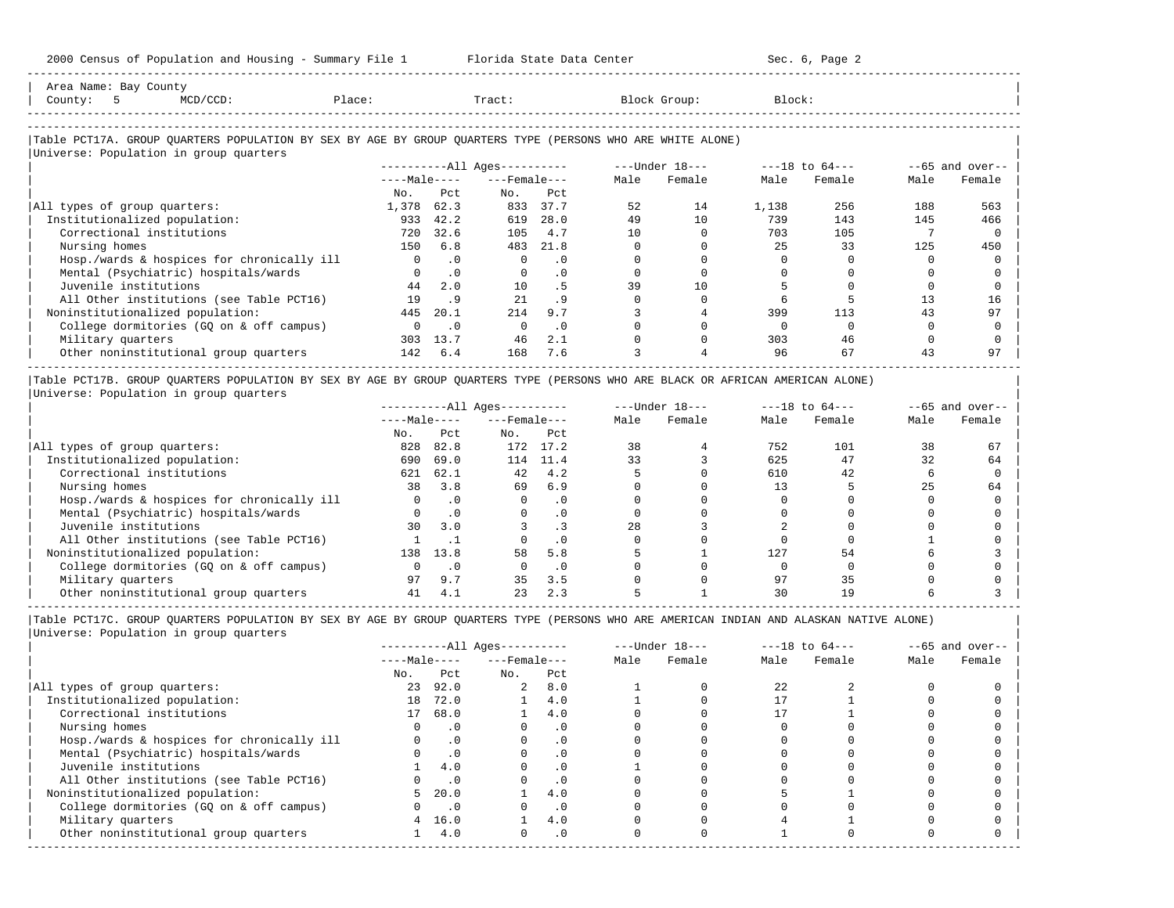2000 Census of Population and Housing - Summary File 1 Florida State Data Center Sec. 6, Page 2 -----------------------------------------------------------------------------------------------------------------------------------------------------

| Area Name: Bay County                                                                                      |          |              |                        |           |      |                |        |                    |      |                   |
|------------------------------------------------------------------------------------------------------------|----------|--------------|------------------------|-----------|------|----------------|--------|--------------------|------|-------------------|
| $MCD/CCD$ :<br>County:<br>5                                                                                | Place:   |              | Tract:                 |           |      | Block Group:   | Block: |                    |      |                   |
|                                                                                                            |          |              |                        |           |      |                |        |                    |      |                   |
| Table PCT17A. GROUP QUARTERS POPULATION BY SEX BY AGE BY GROUP QUARTERS TYPE (PERSONS WHO ARE WHITE ALONE) |          |              |                        |           |      |                |        |                    |      |                   |
| Universe: Population in group quarters                                                                     |          |              |                        |           |      |                |        |                    |      |                   |
|                                                                                                            |          |              | $------All Ages------$ |           |      | ---Under 18--- |        | $---18$ to $64---$ |      | $--65$ and over-- |
|                                                                                                            |          | $---Male---$ | $---$ Female $---$     |           | Male | Female         | Male   | Female             | Male | Female            |
|                                                                                                            | No.      | Pct          | No.                    | Pct       |      |                |        |                    |      |                   |
| All types of group quarters:                                                                               | 1,378    | 62.3         | 833                    | 37.7      | 52   | 14             | 1,138  | 256                | 188  | 563               |
| Institutionalized population:                                                                              | 933      | 42.2         | 619                    | 28.0      | 49   | 10             | 739    | 143                | 145  | 466               |
| Correctional institutions                                                                                  | 720      | 32.6         | 105                    | 4.7       | 10   |                | 703    | 105                |      |                   |
| Nursing homes                                                                                              | 150      | 6.8          | 483                    | 21.8      |      |                | 25     | 33                 | 125  | 450               |
| Hosp./wards & hospices for chronically ill                                                                 | $\Omega$ | $\cdot$ 0    | $\Omega$               | $\cdot$ 0 |      |                |        |                    |      |                   |
| Mental (Psychiatric) hospitals/wards                                                                       |          | $\cdot$ 0    | $\mathbf{0}$           | $\cdot$ 0 |      |                |        |                    |      |                   |
| Juvenile institutions                                                                                      | 44       | 2.0          | 10                     | .5        | 39   | 10             |        |                    |      |                   |
| All Other institutions (see Table PCT16)                                                                   | 19       | .9           | 21                     | .9        |      |                |        |                    | 13   | 16                |
| Noninstitutionalized population:                                                                           | 445      | 20.1         | 214                    | 9.7       |      |                | 399    | 113                | 43   | 97                |
| College dormitories (GQ on & off campus)                                                                   | $\Omega$ | $\cdot$ 0    | $\Omega$               | $\cdot$ 0 |      |                |        |                    |      |                   |
| Military quarters                                                                                          | 303      | 13.7         | 46                     | 2.1       |      |                | 303    | 46                 |      |                   |
| Other noninstitutional group quarters                                                                      | 142      | 6.4          | 168                    | 7.6       |      |                | 96     | 67                 |      | 97                |

|Table PCT17B. GROUP QUARTERS POPULATION BY SEX BY AGE BY GROUP QUARTERS TYPE (PERSONS WHO ARE BLACK OR AFRICAN AMERICAN ALONE) | |Universe: Population in group quarters |

|                                            |              |           | $------All Ages------$ |           |      | $---Under 18---$ |      | $---18$ to $64---$ |      | $--65$ and over-- |
|--------------------------------------------|--------------|-----------|------------------------|-----------|------|------------------|------|--------------------|------|-------------------|
|                                            | $---Male---$ |           | $---$ Female $---$     |           | Male | Female           | Male | Female             | Male | Female            |
|                                            | No.          | Pct       | No.                    | Pct       |      |                  |      |                    |      |                   |
| All types of group quarters:               | 828          | 82.8      | 172                    | 17.2      | 38   |                  | 752  | 101                | 38   | 67                |
| Institutionalized population:              | 690          | 69.0      | 114                    | 11.4      | 33   |                  | 625  | 47                 | 32   | 64                |
| Correctional institutions                  | 621          | 62.1      | 42                     | 4.2       |      |                  | 610  | 42                 |      |                   |
| Nursing homes                              | 38           | 3.8       | 69                     | 6.9       |      |                  |      |                    | 25   | 64                |
| Hosp./wards & hospices for chronically ill |              | . 0       |                        | . 0       |      |                  |      |                    |      |                   |
| Mental (Psychiatric) hospitals/wards       |              | $\cdot$ 0 |                        |           |      |                  |      |                    |      |                   |
| Juvenile institutions                      | 30           | 3.0       |                        |           | 28   |                  |      |                    |      |                   |
| All Other institutions (see Table PCT16)   |              |           |                        |           |      |                  |      |                    |      |                   |
| Noninstitutionalized population:           | 138          | 13.8      | 58                     | 5.8       |      |                  | 127  | 54                 |      |                   |
| College dormitories (GO on & off campus)   |              | $\cdot$ 0 |                        | $\cdot$ 0 |      |                  |      |                    |      |                   |
| Military quarters                          | 97           | 9.7       | 35                     | 3.5       |      |                  | 97   | 35                 |      |                   |
| Other noninstitutional group quarters      | 41           | 4.1       | 23                     | 2.3       |      |                  |      | 19                 |      |                   |

-----------------------------------------------------------------------------------------------------------------------------------------------------

|Table PCT17C. GROUP QUARTERS POPULATION BY SEX BY AGE BY GROUP QUARTERS TYPE (PERSONS WHO ARE AMERICAN INDIAN AND ALASKAN NATIVE ALONE) | |Universe: Population in group quarters |

|                                            |              |           | $------All Aqes------$ |           |      | $---Under 18---$ |      | $---18$ to $64---$ |      | $--65$ and over-- |
|--------------------------------------------|--------------|-----------|------------------------|-----------|------|------------------|------|--------------------|------|-------------------|
|                                            | $---Male---$ |           | $---$ Female $---$     |           | Male | Female           | Male | Female             | Male | Female            |
|                                            | No.          | Pct       | No.                    | Pct       |      |                  |      |                    |      |                   |
| All types of group quarters:               | 23           | 92.0      | $\overline{a}$         | 8.0       |      |                  | 2.2. |                    |      |                   |
| Institutionalized population:              | 18           | 72.0      |                        | 4.0       |      |                  |      |                    |      |                   |
| Correctional institutions                  | 17           | 68.0      |                        | 4.0       |      |                  |      |                    |      |                   |
| Nursing homes                              |              | $\cdot$ 0 |                        | . 0       |      |                  |      |                    |      |                   |
| Hosp./wards & hospices for chronically ill |              | $\cdot$ 0 |                        | . 0       |      |                  |      |                    |      |                   |
| Mental (Psychiatric) hospitals/wards       |              | $\cdot$ 0 |                        | . 0       |      |                  |      |                    |      |                   |
| Juvenile institutions                      |              | 4.0       |                        | . 0       |      |                  |      |                    |      |                   |
| All Other institutions (see Table PCT16)   |              | $\cdot$ 0 |                        |           |      |                  |      |                    |      |                   |
| Noninstitutionalized population:           | 5.           | 20.0      |                        | 4.0       |      |                  |      |                    |      |                   |
| College dormitories (GQ on & off campus)   |              | $\cdot$ 0 |                        | $\cdot$ 0 |      |                  |      |                    |      |                   |
| Military quarters                          | 4            | 16.0      |                        | 4.0       |      |                  |      |                    |      |                   |
| Other noninstitutional group quarters      |              | 4.0       |                        | $\cdot$ 0 |      |                  |      |                    |      |                   |
|                                            |              |           |                        |           |      |                  |      |                    |      |                   |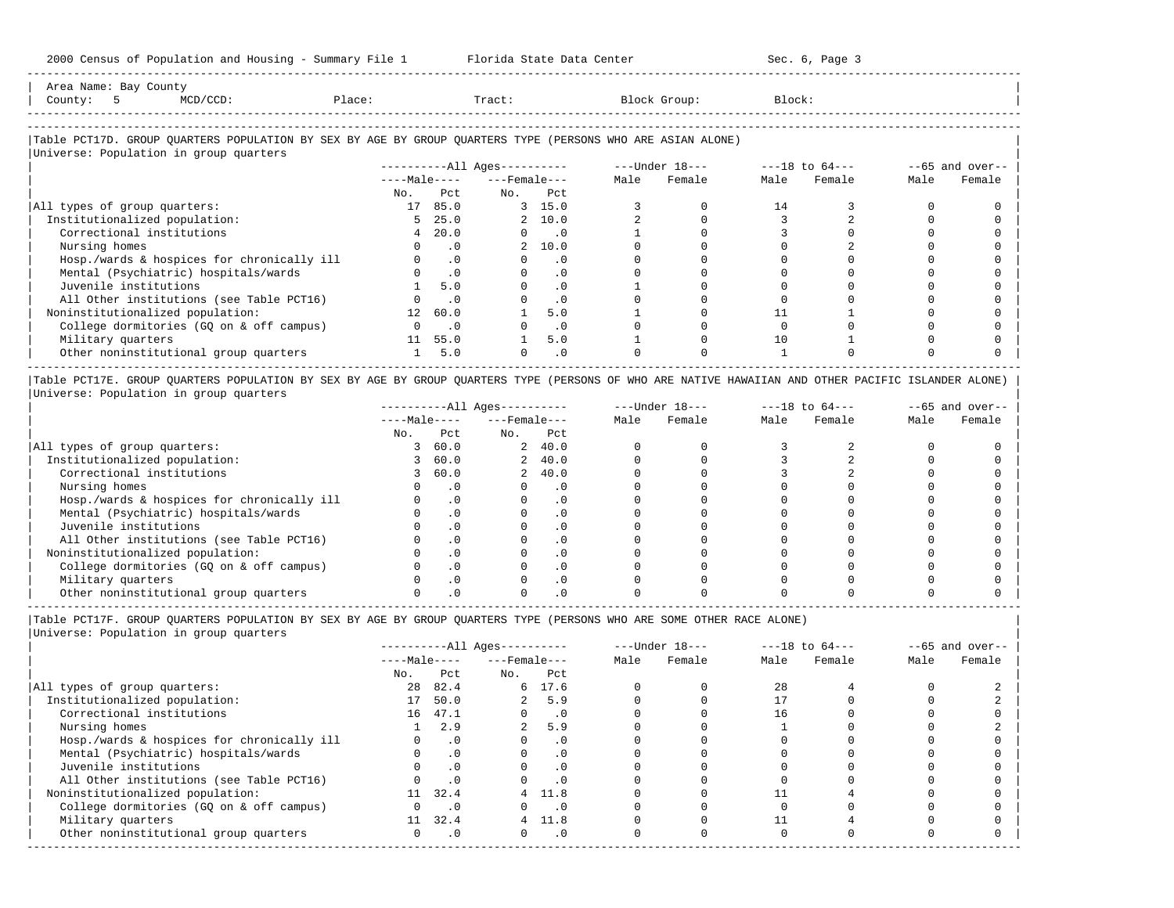| Area<br>Name                    | Ba <sup>,</sup><br>بالملكات |  |       |                                        |
|---------------------------------|-----------------------------|--|-------|----------------------------------------|
| County                          |                             |  | Tract |                                        |
|                                 |                             |  |       |                                        |
| ------------------------------- |                             |  |       | -------------------------------------- |

-----------------------------------------------------------------------------------------------------------------------------------------------------

### |Table PCT17D. GROUP QUARTERS POPULATION BY SEX BY AGE BY GROUP QUARTERS TYPE (PERSONS WHO ARE ASIAN ALONE) |

|                                            |                 |                | $------All Ages------$ |                             | ---Under 18--- |        | $---18$ to $64---$ |        |      | $--65$ and over-- |
|--------------------------------------------|-----------------|----------------|------------------------|-----------------------------|----------------|--------|--------------------|--------|------|-------------------|
|                                            | $---Male---$    |                | $---$ Female $---$     |                             | Male           | Female | Male               | Female | Male | Female            |
|                                            | No.             | Pct.           | No.                    | Pct                         |                |        |                    |        |      |                   |
| All types of group quarters:               | 17              | 85.0           |                        | 3, 15.0                     |                |        | 14                 |        |      |                   |
| Institutionalized population:              | 5               | 25.0           |                        | 2, 10.0                     |                |        |                    |        |      |                   |
| Correctional institutions                  | 4               | 20.0           | $\Omega$               | $\overline{\phantom{0}}$ .0 |                |        |                    |        |      |                   |
| Nursing homes                              |                 | $\cdot$ 0      |                        | 2, 10.0                     |                |        |                    |        |      |                   |
| Hosp./wards & hospices for chronically ill |                 | $\cdot$ 0      |                        | $\cdot$ 0                   |                |        |                    |        |      |                   |
| Mental (Psychiatric) hospitals/wards       |                 | $\cdot$ 0      |                        | $\cdot$ 0                   |                |        |                    |        |      |                   |
| Juvenile institutions                      |                 | 5.0            |                        | $\cdot$ 0                   |                |        |                    |        |      |                   |
| All Other institutions (see Table PCT16)   |                 | $\cdot$ 0      |                        | $\cdot$ 0                   |                |        |                    |        |      |                   |
| Noninstitutionalized population:           | 12 <sup>7</sup> | 60.0           |                        | 5.0                         |                |        |                    |        |      |                   |
| College dormitories (GQ on & off campus)   |                 | $\overline{0}$ |                        | $\cdot$ 0                   |                |        |                    |        |      |                   |
| Military quarters                          | 11              | 55.0           |                        | 5.0                         |                |        | 10                 |        |      |                   |
| Other noninstitutional group quarters      |                 | 5.0            |                        | $\cdot$ 0                   |                |        |                    |        |      |                   |

|Table PCT17E. GROUP QUARTERS POPULATION BY SEX BY AGE BY GROUP QUARTERS TYPE (PERSONS OF WHO ARE NATIVE HAWAIIAN AND OTHER PACIFIC ISLANDER ALONE) | |Universe: Population in group quarters |

|                                            |              |      | $------All Ages------$ |           |      | $---Under 18---$ |      | $---18$ to $64---$ |      | $--65$ and over-- |
|--------------------------------------------|--------------|------|------------------------|-----------|------|------------------|------|--------------------|------|-------------------|
|                                            | $---Male---$ |      | $---$ Female $---$     |           | Male | Female           | Male | Female             | Male | Female            |
|                                            | No.          | Pct  | No.                    | Pct       |      |                  |      |                    |      |                   |
| All types of group quarters:               |              | 60.0 |                        | 2, 40.0   |      |                  |      |                    |      |                   |
| Institutionalized population:              |              | 60.0 |                        | 2, 40.0   |      |                  |      |                    |      |                   |
| Correctional institutions                  |              | 60.0 |                        | 2, 40.0   |      |                  |      |                    |      |                   |
| Nursing homes                              |              |      |                        | . 0       |      |                  |      |                    |      |                   |
| Hosp./wards & hospices for chronically ill |              | . 0  |                        | $\cdot$ 0 |      |                  |      |                    |      |                   |
| Mental (Psychiatric) hospitals/wards       |              |      |                        |           |      |                  |      |                    |      |                   |
| Juvenile institutions                      |              |      |                        |           |      |                  |      |                    |      |                   |
| All Other institutions (see Table PCT16)   |              |      |                        |           |      |                  |      |                    |      |                   |
| Noninstitutionalized population:           |              |      |                        |           |      |                  |      |                    |      |                   |
| College dormitories (GQ on & off campus)   |              |      |                        |           |      |                  |      |                    |      |                   |
| Military quarters                          |              |      |                        |           |      |                  |      |                    |      |                   |
| Other noninstitutional group quarters      |              |      |                        |           |      |                  |      |                    |      |                   |

----------------------------------------------------------------------------------------------------------------------------------------------------- |Table PCT17F. GROUP QUARTERS POPULATION BY SEX BY AGE BY GROUP QUARTERS TYPE (PERSONS WHO ARE SOME OTHER RACE ALONE) |

|                                            |              |           | $------All Aqes------$ |           |      | $---Under 18---$ |      | $---18$ to $64---$ |      | $--65$ and over-- |
|--------------------------------------------|--------------|-----------|------------------------|-----------|------|------------------|------|--------------------|------|-------------------|
|                                            | $---Male---$ |           | $---$ Female $---$     |           | Male | Female           | Male | Female             | Male | Female            |
|                                            | No.          | Pct       | No.                    | Pct       |      |                  |      |                    |      |                   |
| All types of group quarters:               | 28           | 82.4      |                        | 6 17.6    |      |                  | 28   |                    |      |                   |
| Institutionalized population:              | 17           | 50.0      |                        | 5.9       |      |                  |      |                    |      |                   |
| Correctional institutions                  | 16           | 47.1      |                        | $\cdot$ 0 |      |                  | 16   |                    |      |                   |
| Nursing homes                              |              | 2.9       | $\overline{a}$         | 5.9       |      |                  |      |                    |      |                   |
| Hosp./wards & hospices for chronically ill |              | $\cdot$ 0 |                        | $\cdot$ 0 |      |                  |      |                    |      |                   |
| Mental (Psychiatric) hospitals/wards       |              | $\cdot$ 0 |                        | . 0       |      |                  |      |                    |      |                   |
| Juvenile institutions                      |              | $\cdot$ 0 |                        |           |      |                  |      |                    |      |                   |
| All Other institutions (see Table PCT16)   |              | $\cdot$ 0 |                        |           |      |                  |      |                    |      |                   |
| Noninstitutionalized population:           | 11           | 32.4      |                        | 4 11.8    |      |                  |      |                    |      |                   |
| College dormitories (GQ on & off campus)   |              | $\cdot$ 0 |                        |           |      |                  |      |                    |      |                   |
| Military quarters                          | 11           | 32.4      |                        | 4 11.8    |      |                  |      |                    |      |                   |
| Other noninstitutional group quarters      | <sup>n</sup> | $\cdot$ 0 |                        | $\cdot$ 0 |      |                  |      |                    |      |                   |
|                                            |              |           |                        |           |      |                  |      |                    |      |                   |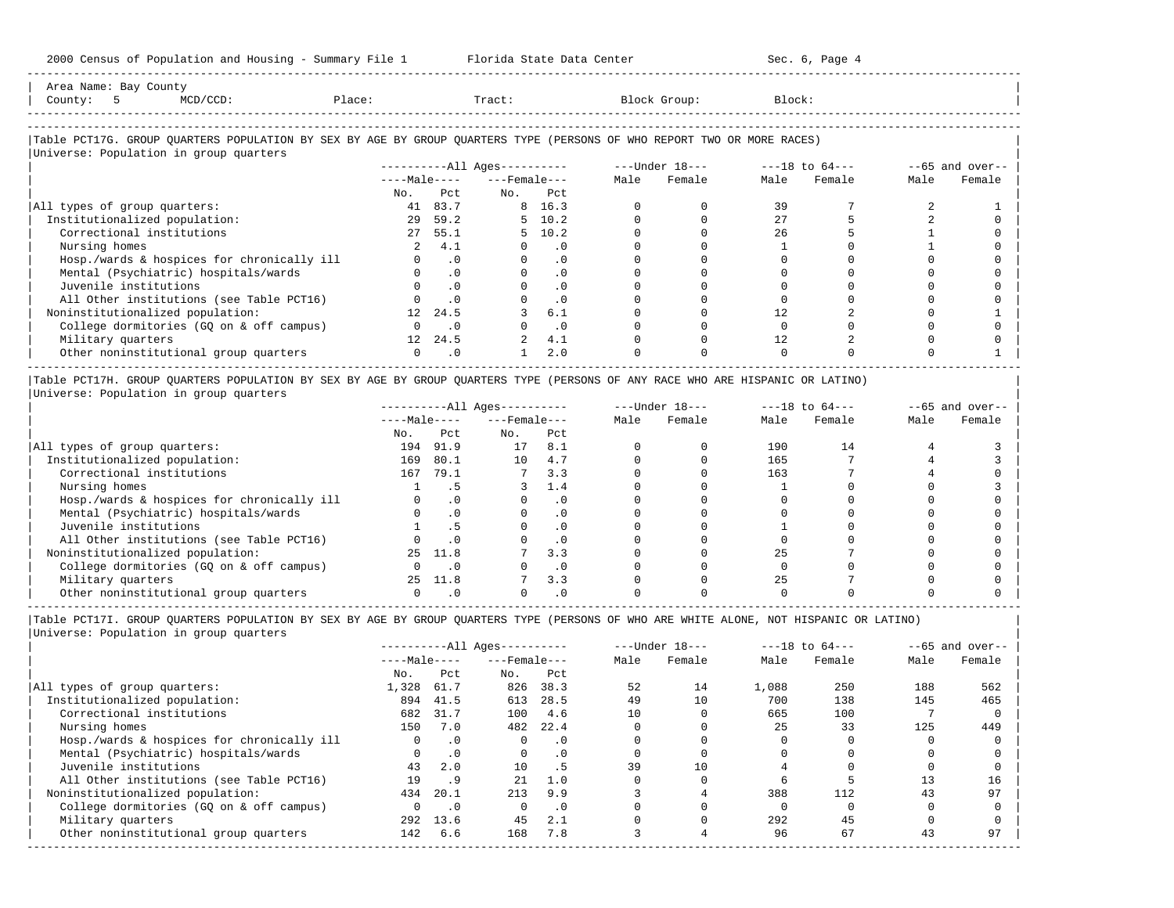| 2000 Census of Population and Housing - Summary File 1 Florida State Data Center                                              |                |                             |                          |                             |                     |                                                                 |                   | Sec. 6, Page 4                                                 |      |                    |
|-------------------------------------------------------------------------------------------------------------------------------|----------------|-----------------------------|--------------------------|-----------------------------|---------------------|-----------------------------------------------------------------|-------------------|----------------------------------------------------------------|------|--------------------|
| Area Name: Bay County<br>Place:<br>County: 5<br>MCD/CCD:                                                                      |                |                             |                          |                             | Tract: Block Group: |                                                                 | Block:            |                                                                |      |                    |
| Table PCT17G. GROUP QUARTERS POPULATION BY SEX BY AGE BY GROUP QUARTERS TYPE (PERSONS OF WHO REPORT TWO OR MORE RACES)        |                |                             |                          |                             |                     |                                                                 |                   |                                                                |      |                    |
| Universe: Population in group quarters                                                                                        |                |                             |                          |                             |                     |                                                                 |                   |                                                                |      |                    |
|                                                                                                                               |                |                             |                          |                             |                     | ----------All Ages---------- ----Under $18---$ ---18 to $64---$ |                   |                                                                |      | $- -65$ and over-- |
|                                                                                                                               |                |                             | $---Male-- ---Female---$ |                             | Male                |                                                                 | Female Male       | Female                                                         | Male | Female             |
|                                                                                                                               | No.            | P.C.L.                      | $N_{\text{O}}$ .         | Pct.                        |                     |                                                                 |                   |                                                                |      |                    |
| All types of group quarters:                                                                                                  |                | 41 83.7                     |                          | 8 16.3                      |                     |                                                                 | 39                |                                                                |      |                    |
| Institutionalized population:                                                                                                 |                | 29 59.2                     |                          | $5 \quad 10.2$              | $\Omega$            | $\Omega$                                                        | 27                |                                                                |      |                    |
| Correctional institutions                                                                                                     |                | 27, 55.1                    |                          | 5, 10.2                     |                     |                                                                 | 26                |                                                                |      |                    |
| Nursing homes                                                                                                                 |                | 2, 4.1                      |                          | $\cdot$ 0                   |                     |                                                                 |                   |                                                                |      |                    |
| Hosp./wards & hospices for chronically ill                                                                                    |                | $\cdot$ 0                   | $\Omega$                 | .0                          |                     |                                                                 |                   |                                                                |      |                    |
| Mental (Psychiatric) hospitals/wards                                                                                          |                | .0                          |                          | .0                          |                     |                                                                 |                   |                                                                |      |                    |
| Juvenile institutions                                                                                                         |                | $\cdot$ 0                   |                          | $\cdot$ 0                   |                     |                                                                 |                   |                                                                |      |                    |
| All Other institutions (see Table PCT16)                                                                                      |                | .0                          |                          | $\cdot$ 0                   |                     |                                                                 |                   |                                                                |      |                    |
| Noninstitutionalized population:                                                                                              | 12             | 24.5                        |                          | 6.1                         |                     |                                                                 | $12 \overline{ }$ |                                                                |      |                    |
| College dormitories (GQ on & off campus)                                                                                      | $\overline{0}$ | $\overline{\phantom{0}}$ .0 |                          | $\overline{\phantom{0}}$ .0 |                     |                                                                 | $\Omega$          |                                                                |      |                    |
| Military quarters                                                                                                             | 12 24.5        |                             |                          | 4.1                         |                     |                                                                 | $12 \overline{ }$ |                                                                |      |                    |
| Other noninstitutional group quarters                                                                                         | $\Omega$       | $\cdot$ 0                   | $\mathbf{1}$             | 2.0                         |                     |                                                                 |                   |                                                                |      |                    |
| Table PCT17H. GROUP QUARTERS POPULATION BY SEX BY AGE BY GROUP QUARTERS TYPE (PERSONS OF ANY RACE WHO ARE HISPANIC OR LATINO) |                |                             |                          |                             |                     |                                                                 |                   |                                                                |      |                    |
| Universe: Population in group quarters                                                                                        |                |                             |                          |                             |                     |                                                                 |                   |                                                                |      |                    |
|                                                                                                                               |                |                             |                          |                             |                     |                                                                 |                   | ----------All Ages---------- ---- Under $18--$ ---18 to $64--$ |      | $--65$ and over--  |
|                                                                                                                               |                |                             | $---Male-- ---Female---$ |                             |                     | Male Female                                                     | Male              | Female                                                         | Male | Female             |
|                                                                                                                               |                | No. Pct                     | No. Pct                  |                             |                     |                                                                 |                   |                                                                |      |                    |
|                                                                                                                               |                |                             |                          |                             |                     |                                                                 | .                 |                                                                |      |                    |

| All types of group quarters:               | 194 | 91.9 | 17 | 8.1      |  | 190 |  |  |
|--------------------------------------------|-----|------|----|----------|--|-----|--|--|
| Institutionalized population:              | 169 | 80.1 | 10 | 4.7      |  | 165 |  |  |
| Correctional institutions                  | 167 | 79.1 |    | 3.3      |  | 163 |  |  |
| Nursing homes                              |     |      |    |          |  |     |  |  |
| Hosp./wards & hospices for chronically ill |     |      |    |          |  |     |  |  |
| Mental (Psychiatric) hospitals/wards       |     |      |    |          |  |     |  |  |
| Juvenile institutions                      |     |      |    | $\Omega$ |  |     |  |  |
| All Other institutions (see Table PCT16)   |     |      |    | $\Omega$ |  |     |  |  |
| Noninstitutionalized population:           |     |      |    | 3.3      |  |     |  |  |
| College dormitories (GQ on & off campus)   |     |      |    |          |  |     |  |  |
| Military quarters                          | 25  | 11.8 |    | 3.3      |  |     |  |  |
| Other noninstitutional group quarters      |     |      |    |          |  |     |  |  |

----------------------------------------------------------------------------------------------------------------------------------------------------- |Table PCT17I. GROUP QUARTERS POPULATION BY SEX BY AGE BY GROUP QUARTERS TYPE (PERSONS OF WHO ARE WHITE ALONE, NOT HISPANIC OR LATINO) | |Universe: Population in group quarters |

|                                            |              |           | $------All Aqes------$ |           |      | $---Under 18---$ |       | $---18$ to $64---$ |      | $--65$ and over-- |
|--------------------------------------------|--------------|-----------|------------------------|-----------|------|------------------|-------|--------------------|------|-------------------|
|                                            | $---Male---$ |           | $---$ Female $---$     |           | Male | Female           | Male  | Female             | Male | Female            |
|                                            | No.          | Pct       | No.                    | Pct       |      |                  |       |                    |      |                   |
| All types of group quarters:               | 1,328        | 61.7      | 826                    | 38.3      | 52   | 14               | 1,088 | 250                | 188  | 562               |
| Institutionalized population:              | 894          | 41.5      | 613                    | 28.5      | 49   | 10               | 700   | 138                | 145  | 465               |
| Correctional institutions                  | 682          | 31.7      | 100                    | 4.6       | 10   |                  | 665   | 100                |      |                   |
| Nursing homes                              | 150          | 7.0       | 482                    | 22.4      |      |                  | 25    | 33                 | 125  | 449               |
| Hosp./wards & hospices for chronically ill | $\Omega$     | $\cdot$ 0 |                        | $\cdot$ 0 |      |                  |       |                    |      |                   |
| Mental (Psychiatric) hospitals/wards       | 0            | $\cdot$ 0 | $\Omega$               | . 0       |      |                  |       |                    |      |                   |
| Juvenile institutions                      | 43           | 2.0       | 10                     | . 5       | 39   | 10               |       |                    |      |                   |
| All Other institutions (see Table PCT16)   | 19           | .9        | 2.1                    | 1.0       |      |                  |       |                    |      | 16                |
| Noninstitutionalized population:           | 434          | 20.1      | 213                    | 9.9       |      |                  | 388   | 112                | 43   | 97                |
| College dormitories (GO on & off campus)   |              | $\cdot$ 0 |                        | $\cdot$ 0 |      |                  |       |                    |      |                   |
| Military quarters                          | 292          | 13.6      | 45                     | 2.1       |      |                  | 292   | 45                 |      |                   |
| Other noninstitutional group quarters      | 142          | 6.6       | 168                    | 7.8       |      |                  | 96    | 67                 | 43   | 97                |
|                                            |              |           |                        |           |      |                  |       |                    |      |                   |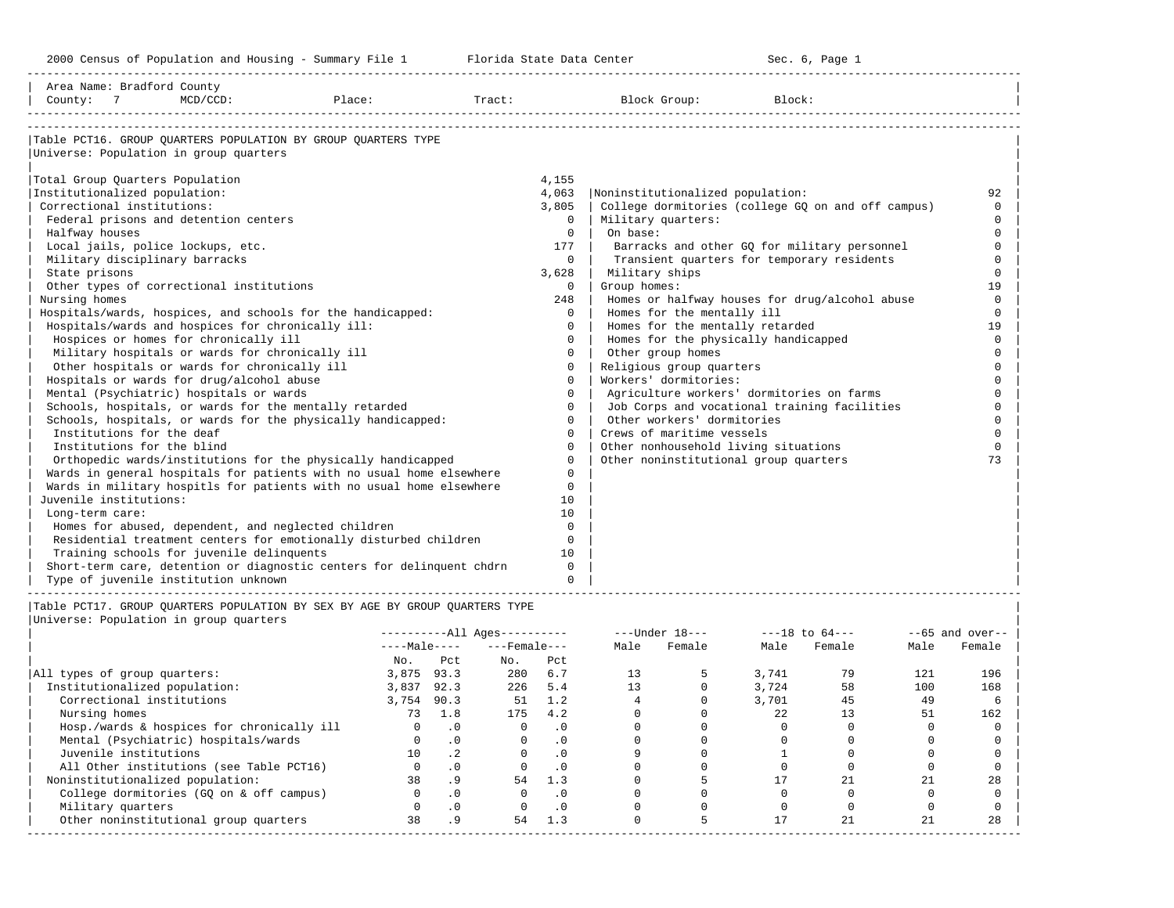-----------------------------------------------------------------------------------------------------------------------------------------------------

| Area Name: Bradford County<br>County: 7           | $MCD/CCD$ : | Place:                                                                | Tract: |             | Block Group:                              | Block:                                             |          |
|---------------------------------------------------|-------------|-----------------------------------------------------------------------|--------|-------------|-------------------------------------------|----------------------------------------------------|----------|
|                                                   |             | Table PCT16. GROUP OUARTERS POPULATION BY GROUP OUARTERS TYPE         |        |             |                                           |                                                    |          |
| Universe: Population in group quarters            |             |                                                                       |        |             |                                           |                                                    |          |
| Total Group Quarters Population                   |             |                                                                       |        | 4,155       |                                           |                                                    |          |
| Institutionalized population:                     |             |                                                                       |        | 4,063       | Noninstitutionalized population:          |                                                    | 92       |
| Correctional institutions:                        |             |                                                                       |        | 3,805       |                                           | College dormitories (college GO on and off campus) | $\Omega$ |
| Federal prisons and detention centers             |             |                                                                       |        | $\Omega$    | Military quarters:                        |                                                    | $\Omega$ |
| Halfway houses                                    |             |                                                                       |        | $\Omega$    | On base:                                  |                                                    | $\Omega$ |
| Local jails, police lockups, etc.                 |             |                                                                       |        | 177         |                                           | Barracks and other GO for military personnel       | $\Omega$ |
| Military disciplinary barracks                    |             |                                                                       |        | $\Omega$    |                                           | Transient quarters for temporary residents         | $\Omega$ |
| State prisons                                     |             |                                                                       |        | 3,628       | Military ships                            |                                                    | $\Omega$ |
| Other types of correctional institutions          |             |                                                                       |        | $\Omega$    | Group homes:                              |                                                    | 19       |
| Nursing homes                                     |             |                                                                       |        | 248         |                                           | Homes or halfway houses for drug/alcohol abuse     | $\Omega$ |
|                                                   |             | Hospitals/wards, hospices, and schools for the handicapped:           |        | $\Omega$    | Homes for the mentally ill                |                                                    | $\cap$   |
| Hospitals/wards and hospices for chronically ill: |             |                                                                       |        | $\Omega$    | Homes for the mentally retarded           |                                                    | 19       |
| Hospices or homes for chronically ill             |             |                                                                       |        | $\Omega$    | Homes for the physically handicapped      |                                                    | $\Omega$ |
| Military hospitals or wards for chronically ill   |             |                                                                       |        | $\mathbf 0$ | Other group homes                         |                                                    | $\Omega$ |
| Other hospitals or wards for chronically ill      |             |                                                                       |        | $\Omega$    | Religious group quarters                  |                                                    | $\cap$   |
| Hospitals or wards for drug/alcohol abuse         |             |                                                                       |        | $\Omega$    | Workers' dormitories:                     |                                                    | $\Omega$ |
| Mental (Psychiatric) hospitals or wards           |             |                                                                       |        | $\Omega$    | Agriculture workers' dormitories on farms |                                                    |          |
|                                                   |             | Schools, hospitals, or wards for the mentally retarded                |        | $\Omega$    |                                           | Job Corps and vocational training facilities       |          |
|                                                   |             | Schools, hospitals, or wards for the physically handicapped:          |        | $\Omega$    | Other workers' dormitories                |                                                    | $\Omega$ |
| Institutions for the deaf                         |             |                                                                       |        | $\Omega$    | Crews of maritime vessels                 |                                                    | $\Omega$ |
| Institutions for the blind                        |             |                                                                       |        | $\Omega$    | Other nonhousehold living situations      |                                                    | $\Omega$ |
|                                                   |             | Orthopedic wards/institutions for the physically handicapped          |        | $\Omega$    | Other noninstitutional group quarters     |                                                    | 73       |
|                                                   |             | Wards in general hospitals for patients with no usual home elsewhere  |        | $\Omega$    |                                           |                                                    |          |
|                                                   |             | Wards in military hospitls for patients with no usual home elsewhere  |        | $\Omega$    |                                           |                                                    |          |
| Juvenile institutions:                            |             |                                                                       |        | 10          |                                           |                                                    |          |
| Long-term care:                                   |             |                                                                       |        | 10          |                                           |                                                    |          |
|                                                   |             | Homes for abused, dependent, and neglected children                   |        | $\Omega$    |                                           |                                                    |          |
|                                                   |             | Residential treatment centers for emotionally disturbed children      |        | $\Omega$    |                                           |                                                    |          |
| Training schools for juvenile delinquents         |             |                                                                       |        | 10          |                                           |                                                    |          |
|                                                   |             | Short-term care, detention or diagnostic centers for delinquent chdrn |        | $\Omega$    |                                           |                                                    |          |
| Type of juvenile institution unknown              |             |                                                                       |        | $\Omega$    |                                           |                                                    |          |

|                                            |              |           | $------All Aqes------$ |           |      | $---Under 18---$ |       | $---18$ to $64---$ |      | $--65$ and over-- |
|--------------------------------------------|--------------|-----------|------------------------|-----------|------|------------------|-------|--------------------|------|-------------------|
|                                            | $---Male---$ |           | $---$ Female $---$     |           | Male | Female           | Male  | Female             | Male | Female            |
|                                            | No.          | Pct       | No.                    | Pct       |      |                  |       |                    |      |                   |
| All types of group quarters:               | 3,875        | 93.3      | 280                    | 6.7       |      |                  | 3,741 | 79                 | 121  | 196               |
| Institutionalized population:              | 3,837        | 92.3      | 226                    | 5.4       |      |                  | 3,724 | 58                 | 100  | 168               |
| Correctional institutions                  | 3,754        | 90.3      | 51                     | 1.2       |      |                  | 3,701 | 45                 | 49   |                   |
| Nursing homes                              | 73           | 1.8       | 175                    | 4.2       |      |                  | 2.2.  |                    | 51   | 162               |
| Hosp./wards & hospices for chronically ill |              |           |                        | . 0       |      |                  |       |                    |      |                   |
| Mental (Psychiatric) hospitals/wards       |              | $\cdot$ 0 |                        | $\cdot$ 0 |      |                  |       |                    |      |                   |
| Juvenile institutions                      | 10           | .2        |                        | $\cdot$ 0 |      |                  |       |                    |      |                   |
| All Other institutions (see Table PCT16)   |              |           |                        | . 0       |      |                  |       |                    |      |                   |
| Noninstitutionalized population:           | 38           | . 9       | 54                     | 1.3       |      |                  |       |                    |      | 28                |
| College dormitories (GO on & off campus)   |              | $\cdot$ 0 |                        | . 0       |      |                  |       |                    |      |                   |
| Military quarters                          |              | $\cdot$ 0 |                        | $\cdot$ 0 |      |                  |       |                    |      |                   |
| Other noninstitutional group quarters      | 38           | . 9       | 54                     | 1.3       |      |                  |       | 21                 |      | 28                |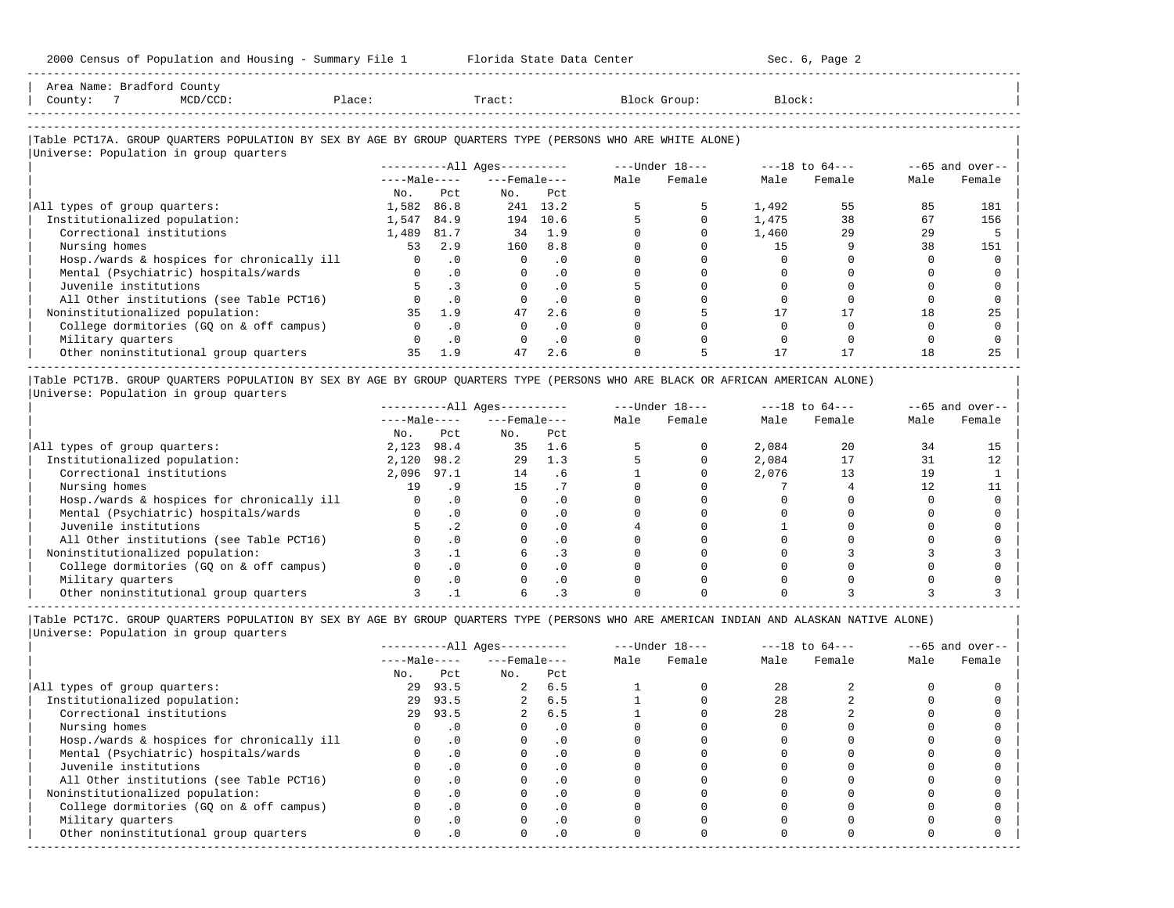| Area Name: Bradford County<br>$MCD/CCD$ :<br>Place:<br>County:<br>$\overline{7}$                           |          |              | Tract:                 |           |      | Block Group:   | Block: |                    |      |                   |
|------------------------------------------------------------------------------------------------------------|----------|--------------|------------------------|-----------|------|----------------|--------|--------------------|------|-------------------|
|                                                                                                            |          |              |                        |           |      |                |        |                    |      |                   |
| Table PCT17A. GROUP QUARTERS POPULATION BY SEX BY AGE BY GROUP QUARTERS TYPE (PERSONS WHO ARE WHITE ALONE) |          |              |                        |           |      |                |        |                    |      |                   |
| Universe: Population in group quarters                                                                     |          |              |                        |           |      |                |        |                    |      |                   |
|                                                                                                            |          |              | $------All Aqes------$ |           |      | ---Under 18--- |        | $---18$ to $64---$ |      | $--65$ and over-- |
|                                                                                                            |          | $---Male---$ | $---$ Female $---$     |           | Male | Female         | Male   | Female             | Male | Female            |
|                                                                                                            | No.      | Pct          | No.                    | Pct       |      |                |        |                    |      |                   |
| All types of group quarters:                                                                               | 1,582    | 86.8         |                        | 241 13.2  |      |                | 1,492  | 55                 | 85   | 181               |
| Institutionalized population:                                                                              | 1,547    | 84.9         | 194                    | 10.6      |      |                | 1,475  | 38                 | 67   | 156               |
| Correctional institutions                                                                                  | 1,489    | 81.7         | 34                     | 1.9       |      |                | 1,460  | 29                 | 29   |                   |
| Nursing homes                                                                                              | 53       | 2.9          | 160                    | 8.8       |      |                | 1.5    |                    | 38   | 151               |
| Hosp./wards & hospices for chronically ill                                                                 | $\Omega$ | $\cdot$ 0    | $\Omega$               | $\cdot$ 0 |      |                |        |                    |      |                   |
| Mental (Psychiatric) hospitals/wards                                                                       |          | $\cdot$ 0    |                        | $\cdot$ 0 |      |                |        |                    |      |                   |
| Juvenile institutions                                                                                      | 5.       | $\cdot$ 3    |                        | $\cdot$ 0 |      |                |        |                    |      |                   |
| All Other institutions (see Table PCT16)                                                                   |          | $\cdot$ 0    |                        | $\cdot$ 0 |      |                |        |                    |      |                   |
| Noninstitutionalized population:                                                                           | 35       | 1.9          | 47                     | 2.6       |      |                |        |                    | 18   | 25                |
| College dormitories (GQ on & off campus)                                                                   |          | $\Omega$     |                        | $\cdot$ 0 |      |                |        |                    |      |                   |
| Military quarters                                                                                          |          | $\cdot$ 0    |                        | $\cdot$ 0 |      |                |        |                    |      |                   |
| Other noninstitutional group quarters                                                                      | 35       | 1.9          | 47                     | 2.6       |      |                |        |                    | 18   | 25                |

|Table PCT17B. GROUP QUARTERS POPULATION BY SEX BY AGE BY GROUP QUARTERS TYPE (PERSONS WHO ARE BLACK OR AFRICAN AMERICAN ALONE) | |Universe: Population in group quarters |

|                                            |              |           | $------All Ages------$ |           |      | $---Under 18---$ |       | $---18$ to $64---$ |      | $- -65$ and over-- |
|--------------------------------------------|--------------|-----------|------------------------|-----------|------|------------------|-------|--------------------|------|--------------------|
|                                            | $---Male---$ |           | $---$ Female $---$     |           | Male | Female           | Male  | Female             | Male | Female             |
|                                            | No.          | Pct       | No.                    | Pct       |      |                  |       |                    |      |                    |
| All types of group quarters:               | 2,123        | 98.4      | 35                     | 1.6       |      |                  | 2,084 | 20                 | 34   |                    |
| Institutionalized population:              | 2,120        | 98.2      | 29                     | 1.3       |      |                  | 2,084 |                    |      |                    |
| Correctional institutions                  | 2,096 97.1   |           | 14                     | . 6       |      |                  | 2,076 | 13                 | 19   |                    |
| Nursing homes                              | 19           | . 9       |                        |           |      |                  |       |                    |      |                    |
| Hosp./wards & hospices for chronically ill |              | $\cdot$ 0 |                        |           |      |                  |       |                    |      |                    |
| Mental (Psychiatric) hospitals/wards       |              | $\cdot$ 0 |                        |           |      |                  |       |                    |      |                    |
| Juvenile institutions                      |              | .2        |                        | . 0       |      |                  |       |                    |      |                    |
| All Other institutions (see Table PCT16)   |              | $\cdot$ 0 |                        |           |      |                  |       |                    |      |                    |
| Noninstitutionalized population:           |              |           |                        |           |      |                  |       |                    |      |                    |
| College dormitories (GO on & off campus)   |              | $\cdot$ 0 |                        |           |      |                  |       |                    |      |                    |
| Military quarters                          |              | . 0       |                        | $\cdot$ 0 |      |                  |       |                    |      |                    |
| Other noninstitutional group quarters      |              |           |                        |           |      |                  |       |                    |      |                    |

-----------------------------------------------------------------------------------------------------------------------------------------------------

-----------------------------------------------------------------------------------------------------------------------------------------------------

|Table PCT17C. GROUP QUARTERS POPULATION BY SEX BY AGE BY GROUP QUARTERS TYPE (PERSONS WHO ARE AMERICAN INDIAN AND ALASKAN NATIVE ALONE) | |Universe: Population in group quarters |

|                                            |              |           | $------All Ages------$ |           |      | $---Under 18---$ |      | $---18$ to $64---$ |      | $--65$ and over-- |
|--------------------------------------------|--------------|-----------|------------------------|-----------|------|------------------|------|--------------------|------|-------------------|
|                                            | $---Male---$ |           | $---$ Female $---$     |           | Male | Female           | Male | Female             | Male | Female            |
|                                            | No.          | Pct       | No.                    | Pct       |      |                  |      |                    |      |                   |
| All types of group quarters:               | 29           | 93.5      | $\overline{a}$         | 6.5       |      |                  | 28   |                    |      |                   |
| Institutionalized population:              | 29           | 93.5      | $\overline{a}$         | 6.5       |      |                  | 28   |                    |      |                   |
| Correctional institutions                  |              | 29 93.5   |                        | 6.5       |      |                  | 2.8  |                    |      |                   |
| Nursing homes                              |              | $\cdot$ 0 |                        | $\cdot$ 0 |      |                  |      |                    |      |                   |
| Hosp./wards & hospices for chronically ill |              | $\cdot$ 0 |                        |           |      |                  |      |                    |      |                   |
| Mental (Psychiatric) hospitals/wards       |              | $\cdot$ 0 |                        | $\cdot$ 0 |      |                  |      |                    |      |                   |
| Juvenile institutions                      |              |           |                        | $\cdot$ 0 |      |                  |      |                    |      |                   |
| All Other institutions (see Table PCT16)   |              |           |                        |           |      |                  |      |                    |      |                   |
| Noninstitutionalized population:           |              | $\cdot$ 0 |                        | $\cdot$ 0 |      |                  |      |                    |      |                   |
| College dormitories (GO on & off campus)   |              |           |                        | $\cdot$ 0 |      |                  |      |                    |      |                   |
| Military quarters                          |              |           |                        | $\cdot$ 0 |      |                  |      |                    |      |                   |
| Other noninstitutional group quarters      | <sup>n</sup> | $\cdot$ 0 |                        | $\cdot$ 0 |      |                  |      |                    |      |                   |
|                                            |              |           |                        |           |      |                  |      |                    |      |                   |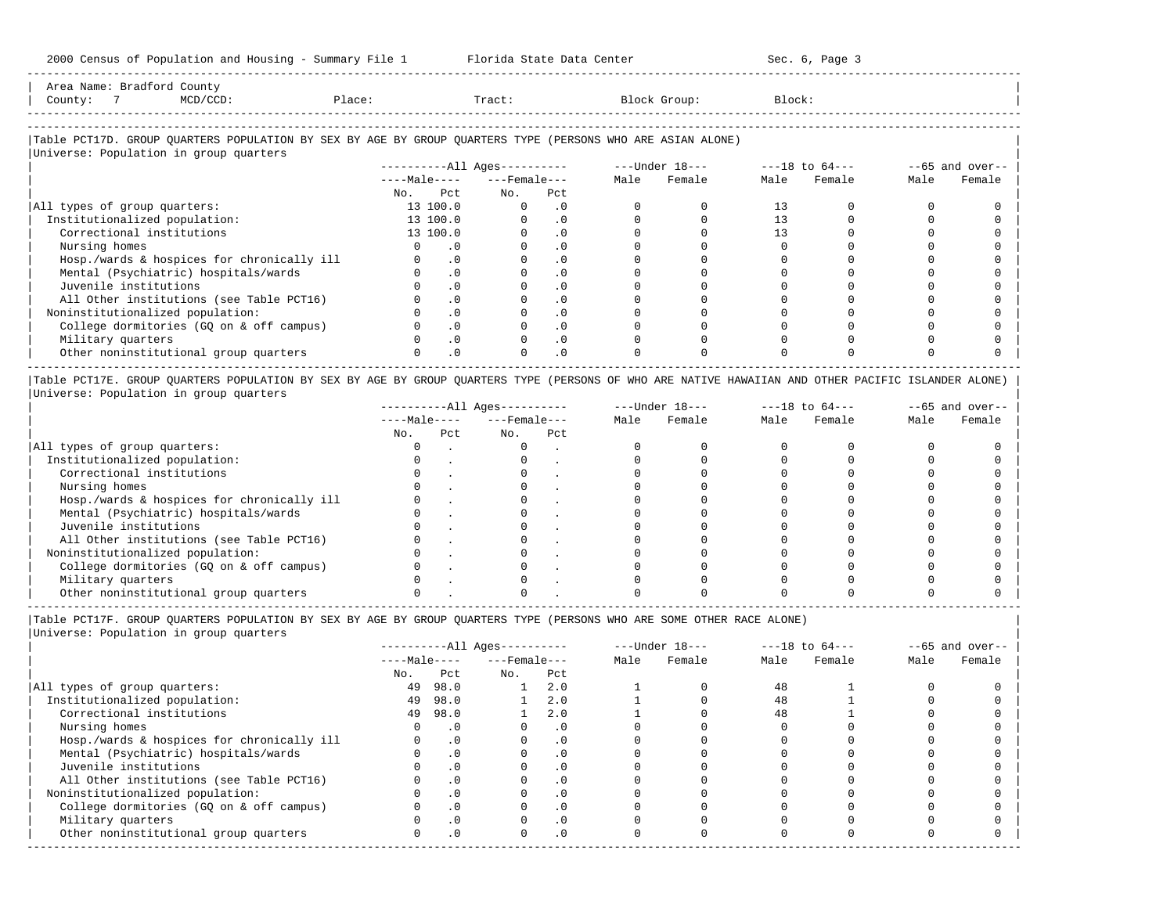| Area<br>Name | Jount,                                                                          |                         |       |        |        |
|--------------|---------------------------------------------------------------------------------|-------------------------|-------|--------|--------|
| County       | the contract of the contract of the contract of the contract of the contract of | $\overline{a}$<br>⊇⊥ace | Tract | uroup: | Block' |
|              |                                                                                 |                         |       |        |        |

-----------------------------------------------------------------------------------------------------------------------------------------------------

-----------------------------------------------------------------------------------------------------------------------------------------------------

# |Table PCT17D. GROUP QUARTERS POPULATION BY SEX BY AGE BY GROUP QUARTERS TYPE (PERSONS WHO ARE ASIAN ALONE) |

|                                            | $------All Ages------$ |           |                    |           |      | ---Under 18--- |      | $---18$ to $64---$ |      | $--65$ and over-- |
|--------------------------------------------|------------------------|-----------|--------------------|-----------|------|----------------|------|--------------------|------|-------------------|
|                                            | $---Male---$           |           | $---$ Female $---$ |           | Male | Female         | Male | Female             | Male | Female            |
|                                            | No.                    | Pct       | No.                | Pct       |      |                |      |                    |      |                   |
| All types of group quarters:               | 13 100.0               |           | $\Omega$           | . 0       |      |                | 13   |                    |      |                   |
| Institutionalized population:              | 13 100.0               |           |                    | $\cdot$ 0 |      |                |      |                    |      |                   |
| Correctional institutions                  | 13 100.0               |           |                    | $\cdot$ 0 |      |                |      |                    |      |                   |
| Nursing homes                              |                        | . 0       |                    |           |      |                |      |                    |      |                   |
| Hosp./wards & hospices for chronically ill |                        | $\cdot$ 0 |                    | . 0       |      |                |      |                    |      |                   |
| Mental (Psychiatric) hospitals/wards       |                        | $\cdot$ 0 |                    | $\cdot$ 0 |      |                |      |                    |      |                   |
| Juvenile institutions                      |                        | $\cdot$ 0 |                    |           |      |                |      |                    |      |                   |
| All Other institutions (see Table PCT16)   |                        | $\cdot$ 0 |                    | $\cdot$ 0 |      |                |      |                    |      |                   |
| Noninstitutionalized population:           |                        | $\cdot$ 0 |                    | $\cdot$ 0 |      |                |      |                    |      |                   |
| College dormitories (GQ on & off campus)   |                        | $\cdot$ 0 |                    | $\cdot$ 0 |      |                |      |                    |      |                   |
| Military quarters                          |                        | $\cdot$ 0 |                    | $\cdot$ 0 |      |                |      |                    |      |                   |
| Other noninstitutional group quarters      |                        | $\cdot$ 0 |                    | $\cdot$ 0 |      |                |      |                    |      |                   |

|Table PCT17E. GROUP QUARTERS POPULATION BY SEX BY AGE BY GROUP QUARTERS TYPE (PERSONS OF WHO ARE NATIVE HAWAIIAN AND OTHER PACIFIC ISLANDER ALONE) | |Universe: Population in group quarters |

|                                            |              |     | $------All Aqes------$ |     |      | $---Under 18---$ |      | $---18$ to $64---$ |      | $- -65$ and over-- |
|--------------------------------------------|--------------|-----|------------------------|-----|------|------------------|------|--------------------|------|--------------------|
|                                            | $---Male---$ |     | $---$ Female $---$     |     | Male | Female           | Male | Female             | Male | Female             |
|                                            | No.          | Pct | No.                    | Pct |      |                  |      |                    |      |                    |
| All types of group quarters:               |              |     |                        |     |      |                  |      |                    |      |                    |
| Institutionalized population:              |              |     |                        |     |      |                  |      |                    |      |                    |
| Correctional institutions                  |              |     |                        |     |      |                  |      |                    |      |                    |
| Nursing homes                              |              |     |                        |     |      |                  |      |                    |      |                    |
| Hosp./wards & hospices for chronically ill |              |     |                        |     |      |                  |      |                    |      |                    |
| Mental (Psychiatric) hospitals/wards       |              |     |                        |     |      |                  |      |                    |      |                    |
| Juvenile institutions                      |              |     |                        |     |      |                  |      |                    |      |                    |
| All Other institutions (see Table PCT16)   |              |     |                        |     |      |                  |      |                    |      |                    |
| Noninstitutionalized population:           |              |     |                        |     |      |                  |      |                    |      |                    |
| College dormitories (GQ on & off campus)   |              |     |                        |     |      |                  |      |                    |      |                    |
| Military quarters                          |              |     |                        |     |      |                  |      |                    |      |                    |
| Other noninstitutional group quarters      |              |     |                        |     |      |                  |      |                    |      |                    |

----------------------------------------------------------------------------------------------------------------------------------------------------- |Table PCT17F. GROUP QUARTERS POPULATION BY SEX BY AGE BY GROUP QUARTERS TYPE (PERSONS WHO ARE SOME OTHER RACE ALONE) |

|                                            |              |           | $------All Aqes------$ |           |      | $---Under 18---$ |      | $---18$ to $64---$ |      | $- -65$ and over-- |
|--------------------------------------------|--------------|-----------|------------------------|-----------|------|------------------|------|--------------------|------|--------------------|
|                                            | $---Male---$ |           | $---$ Female $---$     |           | Male | Female           | Male | Female             | Male | Female             |
|                                            | No.          | Pct       | No.                    | Pct       |      |                  |      |                    |      |                    |
| All types of group quarters:               | 49           | 98.0      |                        | 2.0       |      |                  | 48   |                    |      |                    |
| Institutionalized population:              | 49           | 98.0      |                        | 2.0       |      |                  | 48   |                    |      |                    |
| Correctional institutions                  | 49           | 98.0      |                        | 2.0       |      |                  | 48   |                    |      |                    |
| Nursing homes                              |              | $\cdot$ 0 |                        | $\cdot$ 0 |      |                  |      |                    |      |                    |
| Hosp./wards & hospices for chronically ill |              | $\cdot$ 0 |                        | .0        |      |                  |      |                    |      |                    |
| Mental (Psychiatric) hospitals/wards       |              | $\cdot$ 0 |                        | $\cdot$ 0 |      |                  |      |                    |      |                    |
| Juvenile institutions                      |              | $\cdot$ 0 |                        |           |      |                  |      |                    |      |                    |
| All Other institutions (see Table PCT16)   |              | $\cdot$ 0 |                        |           |      |                  |      |                    |      |                    |
| Noninstitutionalized population:           |              | $\cdot$ 0 |                        | . 0       |      |                  |      |                    |      |                    |
| College dormitories (GQ on & off campus)   |              | $\cdot$ 0 |                        |           |      |                  |      |                    |      |                    |
| Military quarters                          |              | $\cdot$ 0 |                        |           |      |                  |      |                    |      |                    |
| Other noninstitutional group quarters      |              | $\cdot$ 0 |                        | $\cdot$ 0 |      |                  |      |                    |      |                    |
|                                            |              |           |                        |           |      |                  |      |                    |      |                    |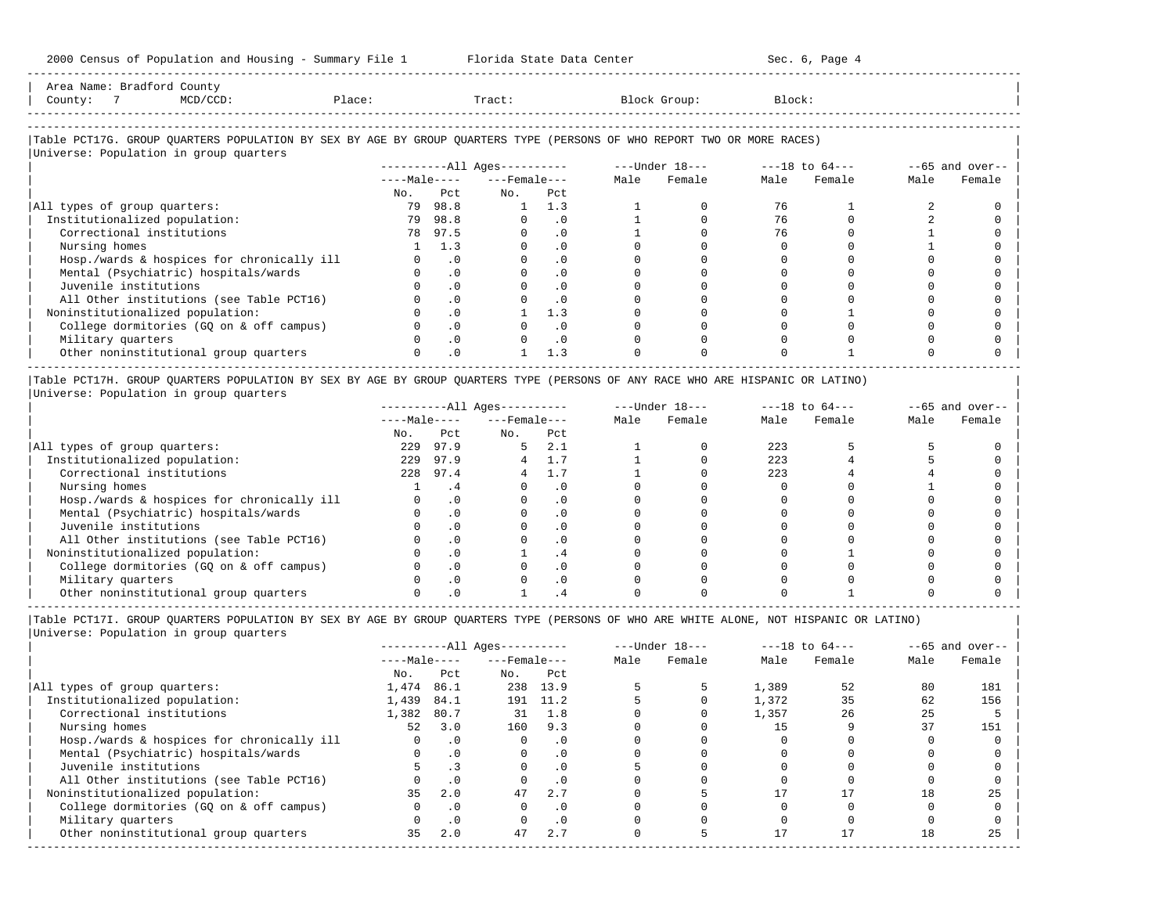| 2000 Census of Population and Housing - Summary File 1 Florida State Data Center 5 1 1 Sec. 6, Page 4                         |                |                                                                 |                              |               |                     |                                     |          |          |                |                   |
|-------------------------------------------------------------------------------------------------------------------------------|----------------|-----------------------------------------------------------------|------------------------------|---------------|---------------------|-------------------------------------|----------|----------|----------------|-------------------|
| Area Name: Bradford County<br>County: 7<br>$MCD/CCD$ :<br>Place:                                                              |                |                                                                 |                              |               | Tract: Block Group: |                                     | Block:   |          |                |                   |
| Table PCT17G. GROUP QUARTERS POPULATION BY SEX BY AGE BY GROUP QUARTERS TYPE (PERSONS OF WHO REPORT TWO OR MORE RACES)        |                |                                                                 |                              |               |                     |                                     |          |          |                |                   |
| Universe: Population in group quarters                                                                                        |                |                                                                 |                              |               |                     |                                     |          |          |                |                   |
|                                                                                                                               |                |                                                                 |                              |               |                     |                                     |          |          |                | $--65$ and over-- |
|                                                                                                                               |                |                                                                 | $---Male-- ---Female---$     |               | Male                | Female                              | Male     | Female   | Male           | Female            |
|                                                                                                                               | No.            | Pct                                                             | $NQ$ .                       | Pct           |                     |                                     |          |          |                |                   |
| All types of group quarters:                                                                                                  |                | 79 98.8                                                         |                              | $1 \quad 1.3$ | $\mathbf{1}$        | $\mathbf{0}$                        | 76       |          | 2              | $\Omega$          |
| Institutionalized population:                                                                                                 |                | 79 98.8                                                         | $0 \qquad \qquad$            | $\cdot$ 0     | $1 \quad \cdots$    | $\Omega$                            | 76 —     | $\Omega$ | $\mathfrak{D}$ |                   |
| Correctional institutions                                                                                                     |                | 78 97.5                                                         | $0 \qquad \qquad$            | $\cdot$ 0     | $1 \quad \cdots$    | $\Omega$                            | 76       | $\Omega$ |                |                   |
| Nursing homes                                                                                                                 |                | 1 1.3                                                           | $\Omega$                     | $\cdot$ 0     | $\Omega$            | $\Omega$                            | $\Omega$ |          |                |                   |
| Hosp./wards & hospices for chronically ill                                                                                    |                | $0 \qquad .0$                                                   |                              | .0            |                     | $\Omega$                            |          |          |                |                   |
| Mental (Psychiatric) hospitals/wards                                                                                          |                | .0                                                              | $0 \qquad \qquad$            | $\cdot$ 0     | $\Omega$            | $\Omega$                            | $\Omega$ |          |                |                   |
| Juvenile institutions                                                                                                         | $\overline{0}$ | .0                                                              | $0 \qquad \qquad$            | $\cdot$ 0     | $\Omega$            | $\Omega$                            |          |          | $\Omega$       |                   |
| All Other institutions (see Table PCT16)                                                                                      | $\Omega$       | .0                                                              |                              | .0            | $\Omega$            | $\Omega$                            | $\Omega$ |          | $\cap$         |                   |
| Noninstitutionalized population:                                                                                              | $\Omega$       | .0                                                              |                              | $1 \quad 1.3$ | $\Omega$            | $\Omega$                            |          |          | n              | $\Omega$          |
| College dormitories (GQ on & off campus)                                                                                      |                | $\cdot$ 0                                                       |                              | $0 \qquad .0$ |                     | $\Omega$                            |          |          |                |                   |
| Military quarters                                                                                                             |                | .0                                                              |                              | $0 \qquad .0$ | $\Omega$            | $\Omega$                            | $\Omega$ |          |                |                   |
| Other noninstitutional group quarters                                                                                         |                | .0                                                              |                              | 1.3           | $\Omega$            | $\Omega$                            |          |          |                |                   |
| Table PCT17H. GROUP QUARTERS POPULATION BY SEX BY AGE BY GROUP QUARTERS TYPE (PERSONS OF ANY RACE WHO ARE HISPANIC OR LATINO) |                |                                                                 |                              |               |                     |                                     |          |          |                |                   |
| Universe: Population in group quarters                                                                                        |                |                                                                 |                              |               |                     |                                     |          |          |                |                   |
|                                                                                                                               |                |                                                                 | ----------All Ages---------- |               |                     | $---$ Under $18-- ---18$ to $64---$ |          |          |                | $-65$ and over--  |
|                                                                                                                               |                |                                                                 | $---Male-- ---Female---$     |               | Male                | Female                              | Male     | Female   | Male           | Female            |
|                                                                                                                               | No.            | Pct                                                             | $NQ$ .                       | Pct           |                     |                                     |          |          |                |                   |
| All types of group quarters:                                                                                                  |                | 229 97.9                                                        | $5 \t 2.1$                   |               |                     | $\Omega$ and $\Omega$               | 223      |          |                | $\Omega$          |
| Institutionalized population:                                                                                                 |                | 229 97.9                                                        | 4 1.7                        |               |                     | $\overline{0}$                      | 223      |          |                |                   |
| Correctional institutions                                                                                                     |                | 228 97.4                                                        |                              | $4 \quad 1.7$ | 1                   | $\Omega$                            | 223      |          |                |                   |
| $\mathbf{v}$                                                                                                                  |                | $\mathbf{a}$ and $\mathbf{a}$ and $\mathbf{a}$ and $\mathbf{a}$ | $\sim$ $\sim$ $\sim$ $\sim$  |               | $\sim$ $\sim$       | $\sim$                              | $\sim$   |          |                |                   |

|                                            | INU. | どじし      | INU. | ピピレ   |  |     |  |  |
|--------------------------------------------|------|----------|------|-------|--|-----|--|--|
| All types of group quarters:               | 229  | 97.9     |      | 2.1   |  | 223 |  |  |
| Institutionalized population:              | 229  | 97.9     |      |       |  | 223 |  |  |
| Correctional institutions                  | 228  | 97.4     |      | . . 7 |  | 223 |  |  |
| Nursing homes                              |      |          |      |       |  |     |  |  |
| Hosp./wards & hospices for chronically ill |      |          |      |       |  |     |  |  |
| Mental (Psychiatric) hospitals/wards       |      | . 0      |      |       |  |     |  |  |
| Juvenile institutions                      |      |          |      |       |  |     |  |  |
| All Other institutions (see Table PCT16)   |      |          |      |       |  |     |  |  |
| Noninstitutionalized population:           |      |          |      |       |  |     |  |  |
| College dormitories (GQ on & off campus)   |      | $\Omega$ |      |       |  |     |  |  |
| Military quarters                          |      |          |      |       |  |     |  |  |
| Other noninstitutional group quarters      |      |          |      |       |  |     |  |  |
|                                            |      |          |      |       |  |     |  |  |

|Table PCT17I. GROUP QUARTERS POPULATION BY SEX BY AGE BY GROUP QUARTERS TYPE (PERSONS OF WHO ARE WHITE ALONE, NOT HISPANIC OR LATINO) | |Universe: Population in group quarters |

|                                            |              |           | $------All Ages------$ |           |      | $---Under 18---$ |       | $---18$ to $64---$ |      | $--65$ and over-- |
|--------------------------------------------|--------------|-----------|------------------------|-----------|------|------------------|-------|--------------------|------|-------------------|
|                                            | $---Male---$ |           | $---$ Female $---$     |           | Male | Female           | Male  | Female             | Male | Female            |
|                                            | No.          | Pct       | No.                    | Pct       |      |                  |       |                    |      |                   |
| All types of group quarters:               | 1,474        | 86.1      | 238                    | 13.9      |      |                  | 1,389 | 52                 | 80   | 181               |
| Institutionalized population:              | 1,439        | 84.1      | 191                    | 11.2      |      |                  | 1,372 | 35                 | 62   | 156               |
| Correctional institutions                  | 1,382        | 80.7      | 31                     | 1.8       |      |                  | 1,357 | 26                 | 25   |                   |
| Nursing homes                              | 52           | 3.0       | 160                    | 9.3       |      |                  |       |                    | 37   | 151               |
| Hosp./wards & hospices for chronically ill |              | $\cdot$ 0 |                        | . 0       |      |                  |       |                    |      |                   |
| Mental (Psychiatric) hospitals/wards       |              | $\cdot$ 0 |                        | . 0       |      |                  |       |                    |      |                   |
| Juvenile institutions                      |              |           |                        | $\cdot$ 0 |      |                  |       |                    |      |                   |
| All Other institutions (see Table PCT16)   |              |           |                        | . 0       |      |                  |       |                    |      |                   |
| Noninstitutionalized population:           | 35           | 2.0       | 47                     | 2.7       |      |                  |       |                    | 18   | 25                |
| College dormitories (GO on & off campus)   |              | $\cdot$ 0 |                        | . 0       |      |                  |       |                    |      |                   |
| Military quarters                          |              | .0        |                        | . 0       |      |                  |       |                    |      |                   |
| Other noninstitutional group quarters      | 35           | 2.0       | 47                     | 2.7       |      |                  |       |                    | 18   | 25                |
|                                            |              |           |                        |           |      |                  |       |                    |      |                   |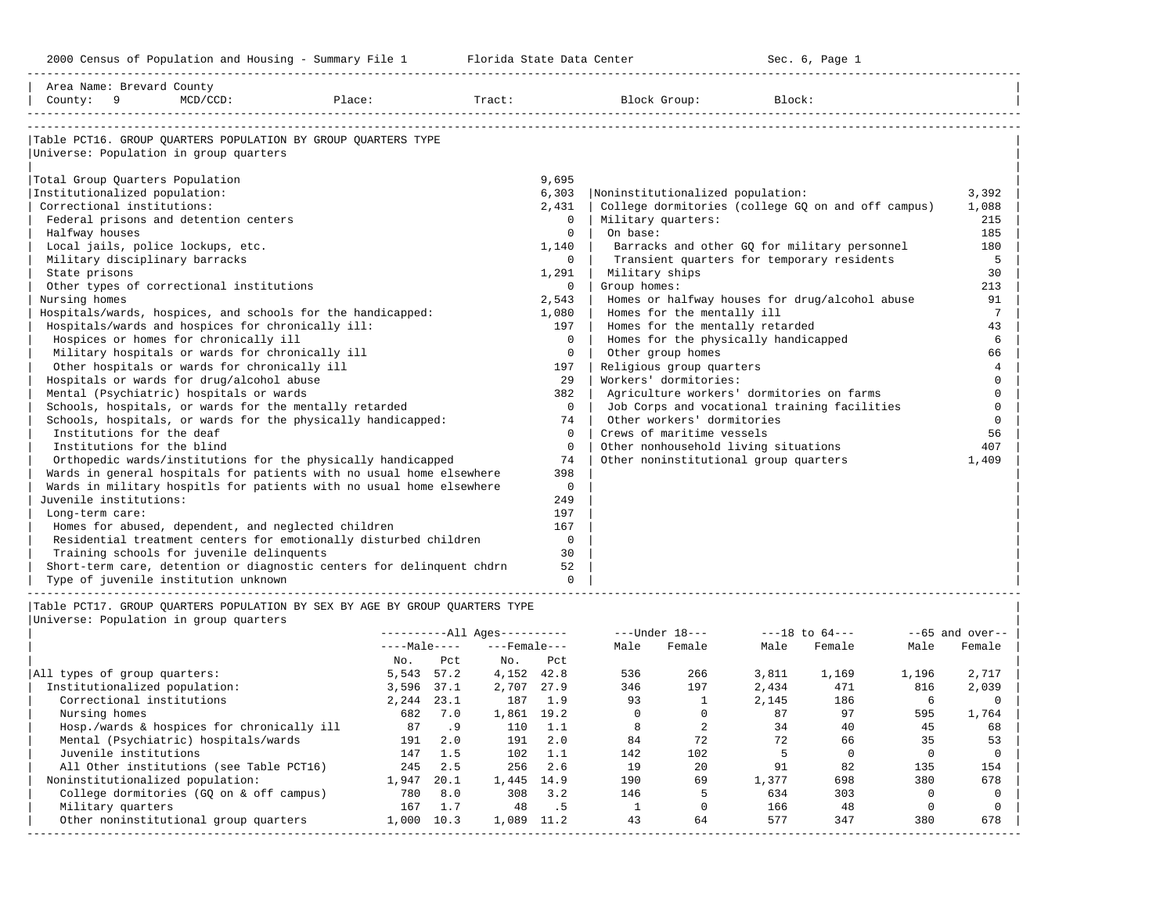| Area Name: Brevard County<br>County: 9 | MCD/CCD:                                                                                                      | Place: |            |     | Tract:                 |                |                    | Block Group:                          | Block: |                                                    |       |                    |
|----------------------------------------|---------------------------------------------------------------------------------------------------------------|--------|------------|-----|------------------------|----------------|--------------------|---------------------------------------|--------|----------------------------------------------------|-------|--------------------|
|                                        | Table PCT16. GROUP OUARTERS POPULATION BY GROUP OUARTERS TYPE<br>Universe: Population in group quarters       |        |            |     |                        |                |                    |                                       |        |                                                    |       |                    |
| Total Group Quarters Population        |                                                                                                               |        |            |     |                        | 9,695          |                    |                                       |        |                                                    |       |                    |
| Institutionalized population:          |                                                                                                               |        |            |     |                        | 6,303          |                    | Noninstitutionalized population:      |        |                                                    |       | 3,392              |
| Correctional institutions:             |                                                                                                               |        |            |     |                        | 2,431          |                    |                                       |        | College dormitories (college GQ on and off campus) |       | 1,088              |
|                                        | Federal prisons and detention centers                                                                         |        |            |     |                        | $\overline{0}$ | Military quarters: |                                       |        |                                                    |       | 215                |
| Halfway houses                         |                                                                                                               |        |            |     |                        | $\Omega$       | On base:           |                                       |        |                                                    |       | 185                |
|                                        | Local jails, police lockups, etc.                                                                             |        |            |     |                        | 1,140          |                    |                                       |        | Barracks and other GQ for military personnel       |       | 180                |
| Military disciplinary barracks         |                                                                                                               |        |            |     |                        | $\mathbf{0}$   |                    |                                       |        | Transient quarters for temporary residents         |       | 5                  |
| State prisons                          |                                                                                                               |        |            |     |                        | 1,291          | Military ships     |                                       |        |                                                    |       | 30                 |
|                                        | Other types of correctional institutions                                                                      |        |            |     |                        | $\mathbf{0}$   | Group homes:       |                                       |        |                                                    |       | 213                |
| Nursing homes                          |                                                                                                               |        |            |     |                        | 2,543          |                    |                                       |        | Homes or halfway houses for drug/alcohol abuse     |       | 91                 |
|                                        | Hospitals/wards, hospices, and schools for the handicapped:                                                   |        |            |     |                        | 1,080          |                    | Homes for the mentally ill            |        |                                                    |       | 7                  |
|                                        | Hospitals/wards and hospices for chronically ill:                                                             |        |            |     |                        | 197            |                    | Homes for the mentally retarded       |        |                                                    |       | 43                 |
|                                        | Hospices or homes for chronically ill                                                                         |        |            |     |                        | $\Omega$       |                    | Homes for the physically handicapped  |        |                                                    |       | 6                  |
|                                        | Military hospitals or wards for chronically ill                                                               |        |            |     |                        | $\Omega$       |                    | Other group homes                     |        |                                                    |       | 66                 |
|                                        | Other hospitals or wards for chronically ill                                                                  |        |            |     |                        | 197            |                    | Religious group quarters              |        |                                                    |       | 4                  |
|                                        | Hospitals or wards for drug/alcohol abuse                                                                     |        |            |     |                        | 29             |                    | Workers' dormitories:                 |        |                                                    |       | $\Omega$           |
|                                        |                                                                                                               |        |            |     |                        | 382            |                    |                                       |        |                                                    |       | $\mathbf 0$        |
|                                        | Mental (Psychiatric) hospitals or wards                                                                       |        |            |     |                        | $\mathbf 0$    |                    |                                       |        | Agriculture workers' dormitories on farms          |       | $\Omega$           |
|                                        | Schools, hospitals, or wards for the mentally retarded                                                        |        |            |     |                        |                |                    |                                       |        | Job Corps and vocational training facilities       |       | $\Omega$           |
|                                        | Schools, hospitals, or wards for the physically handicapped:                                                  |        |            |     |                        | 74             |                    | Other workers' dormitories            |        |                                                    |       |                    |
| Institutions for the deaf              |                                                                                                               |        |            |     |                        | $\Omega$       |                    | Crews of maritime vessels             |        |                                                    |       | 56                 |
| Institutions for the blind             |                                                                                                               |        |            |     |                        | $\mathbf 0$    |                    | Other nonhousehold living situations  |        |                                                    |       | 407                |
|                                        | Orthopedic wards/institutions for the physically handicapped                                                  |        |            |     |                        | 74             |                    | Other noninstitutional group quarters |        |                                                    |       | 1,409              |
|                                        | Wards in general hospitals for patients with no usual home elsewhere                                          |        |            |     |                        | 398            |                    |                                       |        |                                                    |       |                    |
|                                        | Wards in military hospitls for patients with no usual home elsewhere                                          |        |            |     |                        | $\mathbf 0$    |                    |                                       |        |                                                    |       |                    |
| Juvenile institutions:                 |                                                                                                               |        |            |     |                        | 249            |                    |                                       |        |                                                    |       |                    |
| Long-term care:                        |                                                                                                               |        |            |     |                        | 197            |                    |                                       |        |                                                    |       |                    |
|                                        | Homes for abused, dependent, and neglected children                                                           |        |            |     |                        | 167            |                    |                                       |        |                                                    |       |                    |
|                                        | Residential treatment centers for emotionally disturbed children                                              |        |            |     |                        | $\mathbf{0}$   |                    |                                       |        |                                                    |       |                    |
|                                        | Training schools for juvenile delinquents                                                                     |        |            |     |                        | 30             |                    |                                       |        |                                                    |       |                    |
|                                        | Short-term care, detention or diagnostic centers for delinquent chdrn<br>Type of juvenile institution unknown |        |            |     |                        | 52<br>$\Omega$ |                    |                                       |        |                                                    |       |                    |
|                                        | Table PCT17. GROUP QUARTERS POPULATION BY SEX BY AGE BY GROUP QUARTERS TYPE                                   |        |            |     |                        |                |                    |                                       |        |                                                    |       |                    |
|                                        | Universe: Population in group quarters                                                                        |        |            |     |                        |                |                    |                                       |        |                                                    |       |                    |
|                                        |                                                                                                               |        |            |     | $------All Aqes------$ |                |                    | $---Under 18---$                      |        | $---18$ to $64---$                                 |       | $- -65$ and over-- |
|                                        |                                                                                                               |        |            |     | $---Male-- ---Female$  |                |                    | Male Female                           | Male   | Female                                             | Male  | Female             |
|                                        |                                                                                                               |        | No.        | Pct | $NQ$ .                 | Pct            |                    |                                       |        |                                                    |       |                    |
| All types of group quarters:           |                                                                                                               |        | 5,543 57.2 |     | 4,152 42.8             |                | 536                | 266                                   | 3,811  | 1,169                                              | 1,196 | 2,717              |
| Institutionalized population:          |                                                                                                               |        | 3,596 37.1 |     | 2,707 27.9             |                | 346                | 197                                   | 2,434  | 471                                                | 816   | 2,039              |
| Correctional institutions              |                                                                                                               |        | 2,244 23.1 |     |                        | 187 1.9        | 93                 | $\mathbf{1}$                          | 2,145  | 186                                                | 6     | $\mathbf 0$        |
| Nursing homes                          |                                                                                                               |        | 682 7.0    |     | 1,861 19.2             |                | $\overline{0}$     | $\mathbf{0}$                          | 87     | 97                                                 | 595   | 1,764              |
|                                        | Hosp./wards & hospices for chronically ill                                                                    |        | 87         | .9  |                        | 110 1.1        | 8                  | 2                                     | 34     | 40                                                 | 45    | 68                 |
|                                        | Mental (Psychiatric) hospitals/wards                                                                          |        | 191        | 2.0 | 191                    | 2.0            | 84                 | 72                                    | 72     | 66                                                 | 35    | 53                 |

|                                            |              |      | $------All Aqes------$ |      |      | $---Under 18---$ |       | $---18$ to $64---$ |       | $--65$ and over-- |
|--------------------------------------------|--------------|------|------------------------|------|------|------------------|-------|--------------------|-------|-------------------|
|                                            | $---Male---$ |      | $---$ Female $---$     |      | Male | Female           | Male  | Female             | Male  | Female            |
|                                            | No.          | Pct  | No.                    | Pct  |      |                  |       |                    |       |                   |
| All types of group quarters:               | 5,543        | 57.2 | 4,152                  | 42.8 | 536  | 266              | 3,811 | 1,169              | 1,196 | 2,717             |
| Institutionalized population:              | 3,596        | 37.1 | 2,707                  | 27.9 | 346  | 197              | 2,434 | 471                | 816   | 2,039             |
| Correctional institutions                  | 2,244        | 23.1 | 187                    | 1.9  | 93   |                  | 2,145 | 186                | b     |                   |
| Nursing homes                              | 682          | 7.0  | 1,861                  | 19.2 |      |                  | 87    | 97                 | 595   | 1,764             |
| Hosp./wards & hospices for chronically ill | 87           | .9   | 110                    | 1.1  |      |                  | 34    | 40                 | 45    | 68                |
| Mental (Psychiatric) hospitals/wards       | 191          | 2.0  | 191                    | 2.0  | 84   | 72               | 72    | 66                 | 35    | 53                |
| Juvenile institutions                      | 147          | 1.5  | 102                    | 1.1  | 142  | 102              |       |                    |       |                   |
| All Other institutions (see Table PCT16)   | 245          | 2.5  | 256                    | 2.6  | 19   | 20               | 91    | 82                 | 135   | 154               |
| Noninstitutionalized population:           | 1,947        | 20.1 | 1,445                  | 14.9 | 190  | 69               | 1,377 | 698                | 380   | 678               |
| College dormitories (GQ on & off campus)   | 780          | 8.0  | 308                    | 3.2  | 146  |                  | 634   | 303                |       |                   |
| Military quarters                          | 167          | 1.7  | 48                     | . 5  |      |                  | 166   | 48                 |       |                   |
| Other noninstitutional group quarters      | 1,000        | 10.3 | 1,089                  | 11.2 | 43   | 64               | 577   | 347                | 380   | 678               |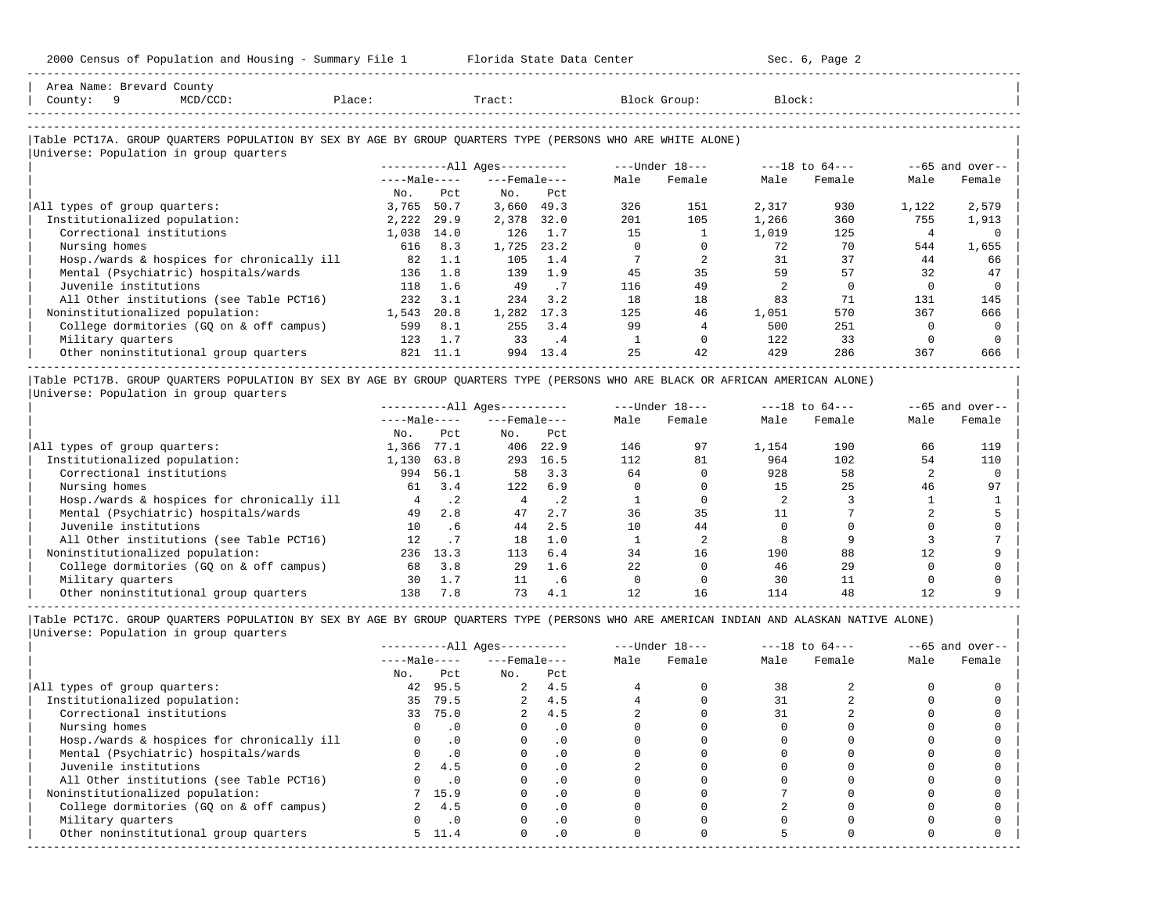-----------------------------------------------------------------------------------------------------------------------------------------------------

| Area Name: Brevard County<br>- 9<br>$MCD/CCD$ :                                                                                                                          | Place: |      | Tract:                 |                    |          |                | Block:         |                |                |                             |
|--------------------------------------------------------------------------------------------------------------------------------------------------------------------------|--------|------|------------------------|--------------------|----------|----------------|----------------|----------------|----------------|-----------------------------|
| County:                                                                                                                                                                  |        |      |                        |                    |          | Block Group:   |                |                |                |                             |
|                                                                                                                                                                          |        |      |                        |                    |          |                |                |                |                |                             |
| Table PCT17A. GROUP QUARTERS POPULATION BY SEX BY AGE BY GROUP QUARTERS TYPE (PERSONS WHO ARE WHITE ALONE)                                                               |        |      |                        |                    |          |                |                |                |                |                             |
| Universe: Population in group quarters                                                                                                                                   |        |      | $------All Aqes------$ |                    |          | ---Under 18--- |                | ---18 to 64--- |                |                             |
|                                                                                                                                                                          |        |      | $---Male-- ---Female$  |                    | Male     | Female         | Male           | Female         | Male           | $--65$ and over--<br>Female |
|                                                                                                                                                                          | No.    | Pct. | No.                    | Pct.               |          |                |                |                |                |                             |
| All types of group quarters:                                                                                                                                             | 3,765  | 50.7 | 3,660                  | 49.3               | 326      | 151            | 2,317          | 930            | 1,122          | 2,579                       |
| Institutionalized population:                                                                                                                                            | 2,222  | 29.9 | 2,378                  | 32.0               | 201      | 105            | 1,266          | 360            | 755            | 1,913                       |
| Correctional institutions                                                                                                                                                | 1,038  | 14.0 | 126                    | 1.7                | 1.5      |                | 1,019          | 125            | $\overline{4}$ |                             |
| Nursing homes                                                                                                                                                            | 616    | 8.3  | 1,725                  | 23.2               | $\Omega$ | $\Omega$       | 72             | 70             | 544            | 1,655                       |
| Hosp./wards & hospices for chronically ill                                                                                                                               | 82     | 1.1  | 105                    | 1.4                |          | $\overline{2}$ | 31             | 37             | 44             | 66                          |
| Mental (Psychiatric) hospitals/wards                                                                                                                                     | 136    | 1.8  | 139                    | 1.9                | 45       | 35             | 59             | 57             | 32             | 47                          |
| Juvenile institutions                                                                                                                                                    | 118    | 1.6  | 49                     | .7                 | 116      | 49             | $\overline{2}$ | $\Omega$       | $\Omega$       | $\Omega$                    |
| All Other institutions (see Table PCT16)                                                                                                                                 | 232    | 3.1  | 234                    | 3.2                | 18       | 18             | 83             | 71             | 131            | 145                         |
| Noninstitutionalized population:                                                                                                                                         | 1,543  | 20.8 | 1,282                  | 17.3               | 125      | 46             | 1,051          | 570            | 367            | 666                         |
| College dormitories (GQ on & off campus)                                                                                                                                 | 599    | 8.1  | 255                    | $\overline{3}$ , 4 | 99       | 4              | 500            | 251            | $\Omega$       |                             |
| Military quarters                                                                                                                                                        | 123    | 1.7  | 33                     | .4                 |          | $\Omega$       | 122            | 33             | $\Omega$       |                             |
| Other noninstitutional group quarters                                                                                                                                    | 821    | 11.1 | 994                    | 13.4               | 2.5      | 42             | 429            | 286            | 367            | 666                         |
|                                                                                                                                                                          |        |      |                        |                    |          |                |                |                |                |                             |
| Table PCT17B. GROUP QUARTERS POPULATION BY SEX BY AGE BY GROUP QUARTERS TYPE (PERSONS WHO ARE BLACK OR AFRICAN AMERICAN ALONE)<br>Universe: Population in group quarters |        |      |                        |                    |          |                |                |                |                |                             |
|                                                                                                                                                                          |        |      |                        |                    |          |                |                |                |                | --65 and over--             |

|                                            | $---Male---$ |      | $---$ Female $---$ |      | Male | Female | Male  | Female | Male | Female |
|--------------------------------------------|--------------|------|--------------------|------|------|--------|-------|--------|------|--------|
|                                            | No.          | Pct  | No.                | Pct  |      |        |       |        |      |        |
| All types of group quarters:               | 1,366        | 77.1 | 406                | 22.9 | 146  | 97     | 1,154 | 190    | 66   | 119    |
| Institutionalized population:              | 1,130        | 63.8 | 293                | 16.5 | 112  | 81     | 964   | 102    | 54   | 110    |
| Correctional institutions                  | 994          | 56.1 | 58                 | 3.3  | 64   |        | 928   | 58     |      |        |
| Nursing homes                              | 61           | 3.4  | 122                | 6.9  |      |        |       | 25     | 46   | 97     |
| Hosp./wards & hospices for chronically ill |              | .2   |                    | .2   |      |        |       |        |      |        |
| Mental (Psychiatric) hospitals/wards       | 49           | 2.8  | 47                 | 2.7  | 36   | 35     |       |        |      |        |
| Juvenile institutions                      | 10           | .6   | 44                 | 2.5  | 10   | 44     |       |        |      |        |
| All Other institutions (see Table PCT16)   | 12           |      | 18                 | 1.0  |      |        |       |        |      |        |
| Noninstitutionalized population:           | 236          | 13.3 | 113                | 6.4  | 34   | 16     | 190   | 88     |      |        |
| College dormitories (GQ on & off campus)   | 68           | 3.8  | 29                 | 1.6  | 22   |        | 46    | 29     |      |        |
| Military quarters                          | 30           | 1.7  |                    | . 6  |      |        | 30    |        |      |        |
| Other noninstitutional group quarters      | 138          | 7.8  | 73                 | 4.1  |      | 16     | 114   | 48     |      |        |

|Table PCT17C. GROUP QUARTERS POPULATION BY SEX BY AGE BY GROUP QUARTERS TYPE (PERSONS WHO ARE AMERICAN INDIAN AND ALASKAN NATIVE ALONE) | |Universe: Population in group quarters |

-----------------------------------------------------------------------------------------------------------------------------------------------------

|                                            |              |            | $------All Aqes------$ |           |      | $---Under 18---$ |      | $---18$ to $64---$ |      | $--65$ and over-- |
|--------------------------------------------|--------------|------------|------------------------|-----------|------|------------------|------|--------------------|------|-------------------|
|                                            | $---Male---$ |            | $---$ Female $---$     |           | Male | Female           | Male | Female             | Male | Female            |
|                                            | No.          | Pct        | No.                    | Pct       |      |                  |      |                    |      |                   |
| All types of group quarters:               | 42           | 95.5       |                        | 2, 4.5    |      |                  | 38   |                    |      |                   |
| Institutionalized population:              | 35           | 79.5       | $\overline{a}$         | 4.5       |      |                  |      |                    |      |                   |
| Correctional institutions                  | 33           | 75.0       |                        | 4.5       |      |                  | 31   |                    |      |                   |
| Nursing homes                              |              | $\cdot$ 0  |                        | . 0       |      |                  |      |                    |      |                   |
| Hosp./wards & hospices for chronically ill |              | $\cdot$ 0  |                        | . 0       |      |                  |      |                    |      |                   |
| Mental (Psychiatric) hospitals/wards       |              | $\cdot$ 0  |                        | . 0       |      |                  |      |                    |      |                   |
| Juvenile institutions                      |              | 4.5        |                        | $\cdot$ 0 |      |                  |      |                    |      |                   |
| All Other institutions (see Table PCT16)   |              | $\cdot$ .0 |                        |           |      |                  |      |                    |      |                   |
| Noninstitutionalized population:           |              | 7 15.9     |                        | .0        |      |                  |      |                    |      |                   |
| College dormitories (GQ on & off campus)   |              | 4.5        |                        | $\cdot$ 0 |      |                  |      |                    |      |                   |
| Military quarters                          |              | $\cdot$ 0  |                        | $\cdot$ 0 |      |                  |      |                    |      |                   |
| Other noninstitutional group quarters      |              | 5, 11.4    | $\Omega$               | $\cdot$ 0 |      |                  |      |                    |      |                   |
|                                            |              |            |                        |           |      |                  |      |                    |      |                   |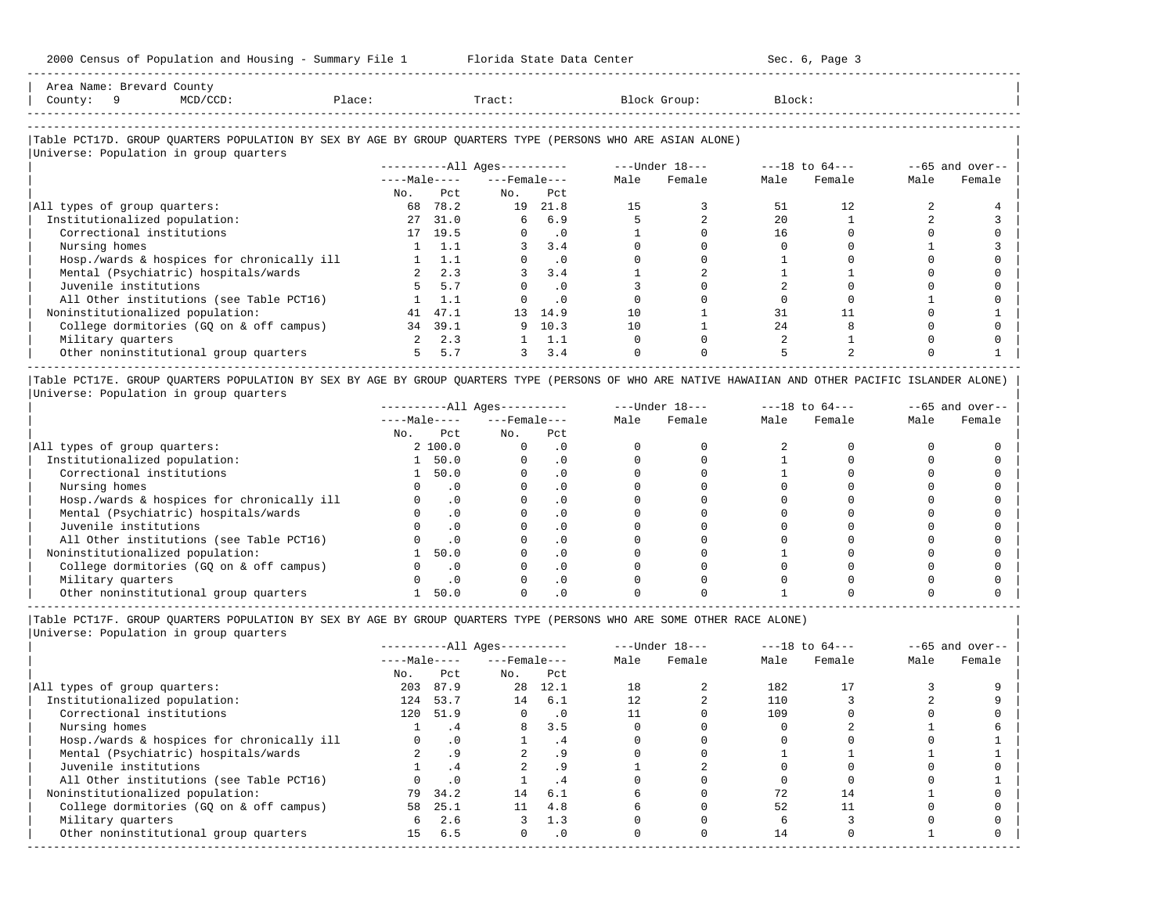| Area Name: Brevard County<br>County: 9 | MCD/CCD:                                                                                                   | Place: | Tract: | Block Group: | Block: |  |
|----------------------------------------|------------------------------------------------------------------------------------------------------------|--------|--------|--------------|--------|--|
|                                        | Table PCT17D. GROUP OUARTERS POPULATION BY SEX BY AGE BY GROUP OUARTERS TYPE (PERSONS WHO ARE ASIAN ALONE) |        |        |              |        |  |
|                                        | Universe: Population in group quarters                                                                     |        |        |              |        |  |

-----------------------------------------------------------------------------------------------------------------------------------------------------

|                                            |              |         | ----------All Ages---------- |           |      | $---Under 18---$ |      | $---18$ to $64---$ |      | $--65$ and over-- |
|--------------------------------------------|--------------|---------|------------------------------|-----------|------|------------------|------|--------------------|------|-------------------|
|                                            | $---Male---$ |         | $---$ Female $---$           |           | Male | Female           | Male | Female             | Male | Female            |
|                                            | No.          | Pct     | No.                          | Pct       |      |                  |      |                    |      |                   |
| All types of group quarters:               | 68           | 78.2    | 19                           | 21.8      | 15   |                  | 51   | 12.                |      |                   |
| Institutionalized population:              | 27           | 31.0    | 6                            | 6.9       |      |                  | 2.0  |                    |      |                   |
| Correctional institutions                  |              | 17 19.5 |                              | $\cdot$ 0 |      |                  | 16   |                    |      |                   |
| Nursing homes                              |              | 1.1     |                              | 3.4       |      |                  |      |                    |      |                   |
| Hosp./wards & hospices for chronically ill |              |         |                              | . 0       |      |                  |      |                    |      |                   |
| Mental (Psychiatric) hospitals/wards       |              | 2.3     |                              | 3.4       |      |                  |      |                    |      |                   |
| Juvenile institutions                      |              | 5.7     |                              | . 0       |      |                  |      |                    |      |                   |
| All Other institutions (see Table PCT16)   |              | 1.1     |                              |           |      |                  |      |                    |      |                   |
| Noninstitutionalized population:           | 41           | 47.1    | 13 <sup>7</sup>              | 14.9      | 10   |                  | 31   |                    |      |                   |
| College dormitories (GQ on & off campus)   | 34           | 39.1    | 9                            | 10.3      | 10   |                  | 2.4  |                    |      |                   |
| Military quarters                          |              | 2.3     |                              |           |      |                  |      |                    |      |                   |
| Other noninstitutional group quarters      | 5.           | 5.7     |                              | 3.4       |      |                  |      |                    |      |                   |

|Table PCT17E. GROUP QUARTERS POPULATION BY SEX BY AGE BY GROUP QUARTERS TYPE (PERSONS OF WHO ARE NATIVE HAWAIIAN AND OTHER PACIFIC ISLANDER ALONE) | |Universe: Population in group quarters |

|                                            |              |           | $------All Ages------$ |           |      | $---Under 18---$ |      | $---18$ to $64---$ |      | $--65$ and over-- |
|--------------------------------------------|--------------|-----------|------------------------|-----------|------|------------------|------|--------------------|------|-------------------|
|                                            | $---Male---$ |           | $---$ Female $---$     |           | Male | Female           | Male | Female             | Male | Female            |
|                                            | No.          | Pct       | No.                    | Pct       |      |                  |      |                    |      |                   |
| All types of group quarters:               |              | 2 100.0   |                        | . 0       |      |                  |      |                    |      |                   |
| Institutionalized population:              |              | 50.0      |                        | . 0       |      |                  |      |                    |      |                   |
| Correctional institutions                  |              | 50.0      |                        | . 0       |      |                  |      |                    |      |                   |
| Nursing homes                              |              |           |                        | $\Omega$  |      |                  |      |                    |      |                   |
| Hosp./wards & hospices for chronically ill |              | $\cdot$ 0 |                        | $\cdot$ 0 |      |                  |      |                    |      |                   |
| Mental (Psychiatric) hospitals/wards       |              |           |                        | $\cdot$ 0 |      |                  |      |                    |      |                   |
| Juvenile institutions                      |              |           |                        | . 0       |      |                  |      |                    |      |                   |
| All Other institutions (see Table PCT16)   |              | $\Omega$  |                        | $\cdot$ 0 |      |                  |      |                    |      |                   |
| Noninstitutionalized population:           |              | 50.0      |                        | . 0       |      |                  |      |                    |      |                   |
| College dormitories (GQ on & off campus)   |              | $\cdot$ 0 |                        | . 0       |      |                  |      |                    |      |                   |
| Military quarters                          |              |           |                        |           |      |                  |      |                    |      |                   |
| Other noninstitutional group quarters      |              | 50.0      |                        | . 0       |      |                  |      |                    |      |                   |

|Table PCT17F. GROUP QUARTERS POPULATION BY SEX BY AGE BY GROUP QUARTERS TYPE (PERSONS WHO ARE SOME OTHER RACE ALONE) |

|     |           |                                 |           |                                                          |        |                  |        |                    | $--65$ and over-- |
|-----|-----------|---------------------------------|-----------|----------------------------------------------------------|--------|------------------|--------|--------------------|-------------------|
|     |           |                                 |           | Male                                                     | Female | Male             | Female | Male               | Female            |
| No. | Pct       | No.                             | Pct       |                                                          |        |                  |        |                    |                   |
| 203 | 87.9      |                                 | 12.1      | 18                                                       |        | 182              |        |                    |                   |
| 124 | 53.7      | 14                              | 6.1       |                                                          |        | 110              |        |                    |                   |
| 120 |           | $\Omega$                        | $\cdot$ 0 |                                                          |        | 109              |        |                    |                   |
|     | .4        | 8                               | 3.5       |                                                          |        |                  |        |                    |                   |
|     | $\cdot$ 0 |                                 | . 4       |                                                          |        |                  |        |                    |                   |
|     | .9        |                                 | . 9       |                                                          |        |                  |        |                    |                   |
|     | .4        |                                 | .9        |                                                          |        |                  |        |                    |                   |
|     | $\cdot$ 0 |                                 | . 4       |                                                          |        |                  |        |                    |                   |
|     |           | 14                              | 6.1       |                                                          |        | 72               | 14     |                    |                   |
|     | 25.1      | 11                              | 4.8       |                                                          |        | 52               |        |                    |                   |
|     | 2.6       |                                 | 1.3       |                                                          |        |                  |        |                    |                   |
| 15  | 6.5       | $\Omega$                        | $\cdot$ 0 |                                                          |        | 14               |        |                    |                   |
|     | 58<br>6   | $---Male---$<br>51.9<br>79 34.2 |           | ----------All Ages----------<br>$---$ Female $---$<br>28 |        | $---Under 18---$ |        | $---18$ to $64---$ |                   |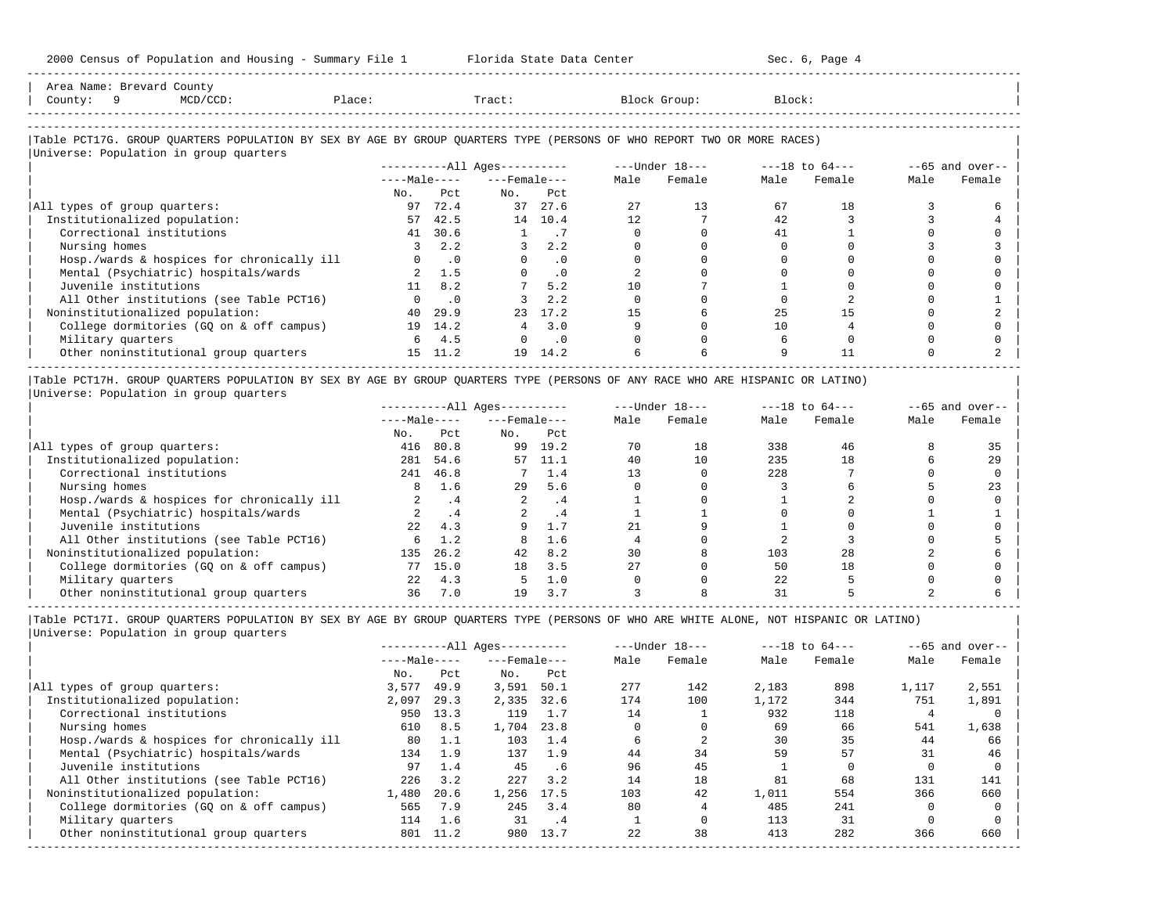| Area Name: Brevard County<br>County: 9<br>MCD/CCD:                                                                                                               | Place:        |                | Tract:                       |           |        | Block Group:   | Block: |                |      |                   |
|------------------------------------------------------------------------------------------------------------------------------------------------------------------|---------------|----------------|------------------------------|-----------|--------|----------------|--------|----------------|------|-------------------|
| Table PCT17G. GROUP QUARTERS POPULATION BY SEX BY AGE BY GROUP QUARTERS TYPE (PERSONS OF WHO REPORT TWO OR MORE RACES)<br>Universe: Population in group quarters |               |                |                              |           |        |                |        |                |      |                   |
|                                                                                                                                                                  |               |                | ----------All Ages---------- |           |        | ---Under 18--- |        | ---18 to 64--- |      | $--65$ and over-- |
|                                                                                                                                                                  |               |                | $---Male-- ---Female---$     |           | Male   | Female         | Male   | Female         | Male | Female            |
|                                                                                                                                                                  | No.           | Pct.           | No.                          | Pct.      |        |                |        |                |      |                   |
| All types of group quarters:                                                                                                                                     | 97            | 72.4           |                              | 37 27.6   | 27     | 13             | 67     | 18             |      |                   |
| Institutionalized population:                                                                                                                                    | 57            | 42.5           |                              | 14 10.4   | 12.    |                | 42     |                |      |                   |
| Correctional institutions                                                                                                                                        | 41            | 30.6           | $\overline{1}$               | .7        | $\cap$ |                | 41     |                |      |                   |
| Nursing homes                                                                                                                                                    | $\mathcal{R}$ | 2.2            |                              | 2.2       |        |                |        |                |      |                   |
| Hosp./wards & hospices for chronically ill                                                                                                                       |               | $0 \qquad .0$  | $\Omega$                     | $\cdot$ 0 |        |                |        |                |      |                   |
| Mental (Psychiatric) hospitals/wards                                                                                                                             |               | 2, 1.5         |                              | $\cdot$ 0 |        |                |        |                |      |                   |
| Juvenile institutions                                                                                                                                            |               | $11 \quad 8.2$ |                              | 5.2       | 10     |                |        |                |      |                   |
| All Other institutions (see Table PCT16)                                                                                                                         |               | $0 \qquad .0$  |                              | 2.2       |        |                |        |                |      |                   |
| Noninstitutionalized population:                                                                                                                                 | 40            | 29.9           | 23                           | 17.2      | 15     |                | 25     | 15             |      |                   |
| College dormitories (GQ on & off campus)                                                                                                                         |               | 19 14.2        | $4^{\circ}$                  | 3.0       |        |                | 10     |                |      |                   |
| Military quarters                                                                                                                                                |               | 6 4.5          |                              | $\cdot$ 0 |        |                |        |                |      |                   |
| Other noninstitutional group quarters                                                                                                                            |               | 15 11.2        | 19                           | 14.2      |        |                |        | 11             |      |                   |

|                                            |              |           | $------All Ages------$ |      |      | $---Under 18---$ |      | $---18$ to $64---$ |      | $--65$ and over-- |
|--------------------------------------------|--------------|-----------|------------------------|------|------|------------------|------|--------------------|------|-------------------|
|                                            | $---Male---$ |           | $---$ Female $---$     |      | Male | Female           | Male | Female             | Male | Female            |
|                                            | No.          | Pct       | No.                    | Pct  |      |                  |      |                    |      |                   |
| All types of group quarters:               | 416          | 80.8      | 99                     | 19.2 | 70   | 18               | 338  | 46                 |      |                   |
| Institutionalized population:              | 281          | 54.6      | 57                     | 11.1 | 40   | 10               | 235  | 18                 |      | 29                |
| Correctional institutions                  | 241          | 46.8      |                        | 1.4  | 13   |                  | 228  |                    |      |                   |
| Nursing homes                              | 8            | 1.6       | 29                     | 5.6  |      |                  |      |                    |      | 23                |
| Hosp./wards & hospices for chronically ill |              | $\cdot$ 4 | 2                      | . 4  |      |                  |      |                    |      |                   |
| Mental (Psychiatric) hospitals/wards       |              |           |                        | .4   |      |                  |      |                    |      |                   |
| Juvenile institutions                      | 2.2          | 4.3       |                        | 1.7  | 21   |                  |      |                    |      |                   |
| All Other institutions (see Table PCT16)   | б.           | 1.2       |                        | 1.6  |      |                  |      |                    |      |                   |
| Noninstitutionalized population:           | 135          | 26.2      | 42                     | 8.2  | 30   |                  | 103  | 28                 |      |                   |
| College dormitories (GO on & off campus)   | 77           | 15.0      | 18                     | 3.5  | 2.7  |                  | 50   | 18                 |      |                   |
| Military quarters                          | 2.2.         | 4.3       |                        | 1.0  |      |                  | 22   |                    |      |                   |
| Other noninstitutional group quarters      | 36           | 7.0       | 19                     | 3.7  |      |                  | 31   |                    |      |                   |

|Table PCT17I. GROUP QUARTERS POPULATION BY SEX BY AGE BY GROUP QUARTERS TYPE (PERSONS OF WHO ARE WHITE ALONE, NOT HISPANIC OR LATINO) | |Universe: Population in group quarters |

|                                            |              |      | $------All Aqes------$ |      |      | $---Under 18---$ |       | $---18$ to $64---$ |       | $--65$ and over-- |
|--------------------------------------------|--------------|------|------------------------|------|------|------------------|-------|--------------------|-------|-------------------|
|                                            | $---Male---$ |      | $---$ Female $---$     |      | Male | Female           | Male  | Female             | Male  | Female            |
|                                            | No.          | Pct  | No.                    | Pct  |      |                  |       |                    |       |                   |
| All types of group quarters:               | 3,577        | 49.9 | 3,591                  | 50.1 | 277  | 142              | 2,183 | 898                | 1,117 | 2,551             |
| Institutionalized population:              | 2,097        | 29.3 | 2,335                  | 32.6 | 174  | 100              | 1,172 | 344                | 751   | 1,891             |
| Correctional institutions                  | 950          | 13.3 | 119                    | 1.7  | 14   |                  | 932   | 118                |       |                   |
| Nursing homes                              | 610          | 8.5  | 1,704                  | 23.8 |      |                  | 69    | 66                 | 541   | 1,638             |
| Hosp./wards & hospices for chronically ill | 80           | 1.1  | 103                    | 1.4  |      |                  | 30    | 35                 | 44    | 66                |
| Mental (Psychiatric) hospitals/wards       | 134          | 1.9  | 137                    | 1.9  | 44   | 34               | 59    | 57                 | 31    | 46                |
| Juvenile institutions                      | 97           | 1.4  | 45                     | .6   | 96   | 45               |       |                    |       |                   |
| All Other institutions (see Table PCT16)   | 226          | 3.2  | 227                    | 3.2  | 14   | 18               | 81    | 68                 | 131   | 141               |
| Noninstitutionalized population:           | 1,480        | 20.6 | 1,256                  | 17.5 | 103  | 42               | 1,011 | 554                | 366   | 660               |
| College dormitories (GO on & off campus)   | 565          | 7.9  | 245                    | 3.4  | 80   |                  | 485   | 241                |       |                   |
| Military quarters                          | 114          | 1.6  | 31                     | .4   |      |                  | 113   | 31                 |       |                   |
| Other noninstitutional group quarters      | 801          | 11.2 | 980                    | 13.7 | 22   | 38               | 413   | 282                | 366   | 660               |
|                                            |              |      |                        |      |      |                  |       |                    |       |                   |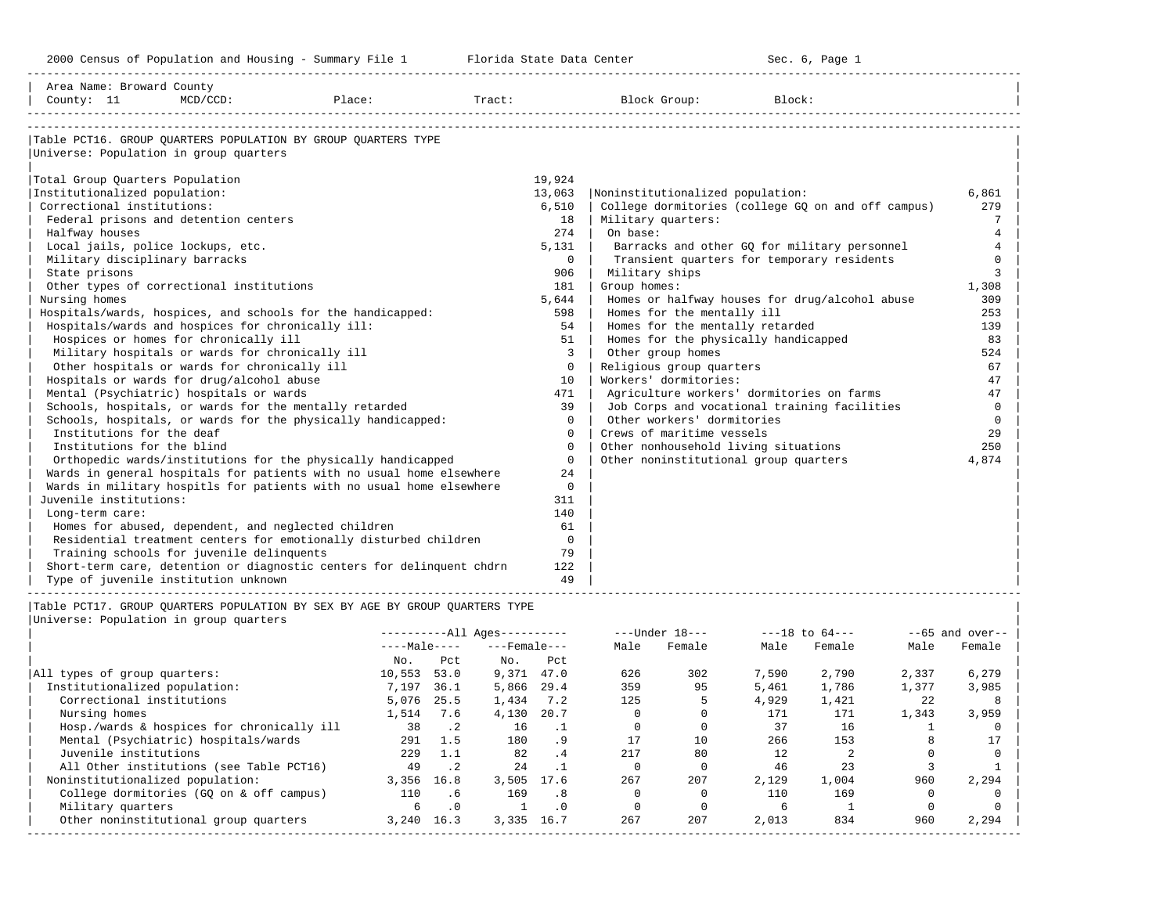| Area Name: Broward County<br>County: 11 | $MCD/CCD$ :                                                                                                   | Place:        |            | Tract:                 |                |                                  | Block Group:                          | Block: |                                                    |              |                   |
|-----------------------------------------|---------------------------------------------------------------------------------------------------------------|---------------|------------|------------------------|----------------|----------------------------------|---------------------------------------|--------|----------------------------------------------------|--------------|-------------------|
| Universe: Population in group quarters  | Table PCT16. GROUP OUARTERS POPULATION BY GROUP OUARTERS TYPE                                                 |               |            |                        |                |                                  |                                       |        |                                                    |              |                   |
| Total Group Quarters Population         |                                                                                                               |               |            |                        | 19,924         |                                  |                                       |        |                                                    |              |                   |
| Institutionalized population:           |                                                                                                               |               |            |                        | 13,063         | Noninstitutionalized population: |                                       |        |                                                    |              | 6,861             |
| Correctional institutions:              |                                                                                                               |               |            |                        | 6,510          |                                  |                                       |        | College dormitories (college GQ on and off campus) |              | 279               |
|                                         | Federal prisons and detention centers                                                                         |               |            |                        | 18             | Military quarters:               |                                       |        |                                                    |              | $7\phantom{.0}$   |
| Halfway houses                          |                                                                                                               |               |            |                        | 274            | On base:                         |                                       |        |                                                    |              | $\overline{4}$    |
| Local jails, police lockups, etc.       |                                                                                                               |               |            |                        | 5,131          |                                  |                                       |        | Barracks and other GQ for military personnel       |              | $\overline{4}$    |
| Military disciplinary barracks          |                                                                                                               |               |            |                        | $\Omega$       |                                  |                                       |        | Transient quarters for temporary residents         |              | $\Omega$          |
| State prisons                           |                                                                                                               |               |            |                        | 906            | Military ships                   |                                       |        |                                                    |              | 3                 |
|                                         | Other types of correctional institutions                                                                      |               |            |                        | 181            | Group homes:                     |                                       |        |                                                    |              | 1,308             |
| Nursing homes                           |                                                                                                               |               |            |                        | 5,644          |                                  |                                       |        | Homes or halfway houses for drug/alcohol abuse     |              | 309               |
|                                         | Hospitals/wards, hospices, and schools for the handicapped:                                                   |               |            |                        | 598            |                                  | Homes for the mentally ill            |        |                                                    |              | 253               |
|                                         | Hospitals/wards and hospices for chronically ill:                                                             |               |            |                        | 54             |                                  | Homes for the mentally retarded       |        |                                                    |              | 139               |
|                                         | Hospices or homes for chronically ill                                                                         |               |            |                        | 51             |                                  | Homes for the physically handicapped  |        |                                                    |              | 83                |
|                                         | Military hospitals or wards for chronically ill                                                               |               |            |                        | $\overline{3}$ |                                  | Other group homes                     |        |                                                    |              | 524               |
|                                         | Other hospitals or wards for chronically ill                                                                  |               |            |                        | $\mathbf{0}$   |                                  | Religious group quarters              |        |                                                    |              | 67                |
|                                         | Hospitals or wards for drug/alcohol abuse                                                                     |               |            |                        | 10             |                                  | Workers' dormitories:                 |        |                                                    |              | 47                |
|                                         | Mental (Psychiatric) hospitals or wards                                                                       |               |            |                        | 471            |                                  |                                       |        | Agriculture workers' dormitories on farms          |              | 47                |
|                                         | Schools, hospitals, or wards for the mentally retarded                                                        |               |            |                        | 39             |                                  |                                       |        | Job Corps and vocational training facilities       |              | $\mathbf 0$       |
|                                         | Schools, hospitals, or wards for the physically handicapped:                                                  |               |            |                        | $\Omega$       |                                  | Other workers' dormitories            |        |                                                    |              | $\mathbf 0$       |
| Institutions for the deaf               |                                                                                                               |               |            |                        | $\mathbf 0$    |                                  | Crews of maritime vessels             |        |                                                    |              | 29                |
| Institutions for the blind              |                                                                                                               |               |            |                        | $\Omega$       |                                  | Other nonhousehold living situations  |        |                                                    |              | 250               |
|                                         | Orthopedic wards/institutions for the physically handicapped                                                  |               |            |                        | $\Omega$       |                                  | Other noninstitutional group quarters |        |                                                    |              | 4,874             |
|                                         | Wards in general hospitals for patients with no usual home elsewhere                                          |               |            |                        | 24             |                                  |                                       |        |                                                    |              |                   |
|                                         | Wards in military hospitls for patients with no usual home elsewhere                                          |               |            |                        | $\Omega$       |                                  |                                       |        |                                                    |              |                   |
| Juvenile institutions:                  |                                                                                                               |               |            |                        | 311            |                                  |                                       |        |                                                    |              |                   |
| Long-term care:                         |                                                                                                               |               |            |                        | 140            |                                  |                                       |        |                                                    |              |                   |
|                                         | Homes for abused, dependent, and neglected children                                                           |               |            |                        | 61             |                                  |                                       |        |                                                    |              |                   |
|                                         | Residential treatment centers for emotionally disturbed children                                              |               |            |                        | $\Omega$       |                                  |                                       |        |                                                    |              |                   |
|                                         | Training schools for juvenile delinquents                                                                     |               |            |                        | 79             |                                  |                                       |        |                                                    |              |                   |
|                                         | Short-term care, detention or diagnostic centers for delinquent chdrn<br>Type of juvenile institution unknown |               |            |                        | 122<br>49      |                                  |                                       |        |                                                    |              |                   |
|                                         | Table PCT17. GROUP QUARTERS POPULATION BY SEX BY AGE BY GROUP QUARTERS TYPE                                   |               |            |                        |                |                                  |                                       |        |                                                    |              |                   |
| Universe: Population in group quarters  |                                                                                                               |               |            |                        |                |                                  |                                       |        |                                                    |              |                   |
|                                         |                                                                                                               |               |            | $------All Aqes------$ |                |                                  | ---Under 18---                        |        | $---18$ to $64---$                                 |              | $--65$ and over-- |
|                                         |                                                                                                               |               |            | $---Male-- ---Female$  |                |                                  | Male Female                           | Male   | Female                                             | Male         | Female            |
|                                         |                                                                                                               |               | No. Pct    | $NQ$ .                 | Pct            |                                  |                                       |        |                                                    |              |                   |
| All types of group quarters:            |                                                                                                               | $10,553$ 53.0 |            | 9,371 47.0             |                | 626                              | 302                                   | 7,590  | 2,790                                              | 2,337        | 6,279             |
| Institutionalized population:           |                                                                                                               | 7,197 36.1    |            | 5,866 29.4             |                | 359                              | 95                                    | 5,461  | 1,786                                              | 1,377        | 3,985             |
| Correctional institutions               |                                                                                                               |               | 5,076 25.5 | 1,434 7.2              |                | 125                              | - 5                                   | 4,929  | 1,421                                              | 22           | 8                 |
| Nursing homes                           |                                                                                                               |               | 1,514 7.6  | 4,130 20.7             |                | $\bigcirc$                       | $\circ$                               | 171    | 171                                                | 1,343        | 3,959             |
|                                         | Hosp./wards & hospices for chronically ill                                                                    | 38 .2         |            | 16 .1                  |                | $\Omega$                         | $\Omega$                              | 37     | 16                                                 | $\mathbf{1}$ | $\Omega$          |
|                                         | Mental (Psychiatric) hospitals/wards                                                                          |               | 291 1.5    | 180                    | .9             | 17                               | 10                                    | 266    | 153                                                | $\mathsf{R}$ | 17                |

|                                            |              |           | $------All Aqes------$ |      |      | $---Under 18---$ |       | $---18$ to $64---$ |       | $--65$ and over-- |
|--------------------------------------------|--------------|-----------|------------------------|------|------|------------------|-------|--------------------|-------|-------------------|
|                                            | $---Male---$ |           | $---$ Female $---$     |      | Male | Female           | Male  | Female             | Male  | Female            |
|                                            | No.          | Pct       | No.                    | Pct  |      |                  |       |                    |       |                   |
| All types of group quarters:               | 10,553       | 53.0      | 9,371                  | 47.0 | 626  | 302              | 7,590 | 2,790              | 2,337 | 6,279             |
| Institutionalized population:              | 7,197        | 36.1      | 5,866                  | 29.4 | 359  | 95               | 5,461 | 1,786              | 1,377 | 3,985             |
| Correctional institutions                  | 5,076        | 25.5      | 1,434                  | 7.2  | 125  |                  | 4,929 | 1,421              | 22    |                   |
| Nursing homes                              | 1,514        | 7.6       | 4,130                  | 20.7 |      |                  | 171   | 171                | 1,343 | 3,959             |
| Hosp./wards & hospices for chronically ill | 38           | $\cdot$ 2 | 16                     | . 1  |      |                  | 37    | 16                 |       |                   |
| Mental (Psychiatric) hospitals/wards       | 291          | 1.5       | 180                    | .9   |      | 10               | 266   | 153                |       | 17                |
| Juvenile institutions                      | 229          | 1.1       | 82                     | .4   | 217  | 80               | 12.   |                    |       |                   |
| All Other institutions (see Table PCT16)   | 49           | $\cdot$ 2 | 24                     |      |      |                  | 46    | 23                 |       |                   |
| Noninstitutionalized population:           | 3,356        | 16.8      | 3,505                  | 17.6 | 267  | 207              | 2,129 | 1,004              | 960   | 2,294             |
| College dormitories (GO on & off campus)   | 110          | .6        | 169                    | .8   |      |                  | 110   | 169                |       |                   |
| Military quarters                          | 6            | $\cdot$ 0 |                        | .0   |      |                  |       |                    |       |                   |
| Other noninstitutional group quarters      | 3.240        | 16.3      | 3,335                  | 16.7 | 267  | 207              | 2,013 | 834                | 960   | 2,294             |
|                                            |              |           |                        |      |      |                  |       |                    |       |                   |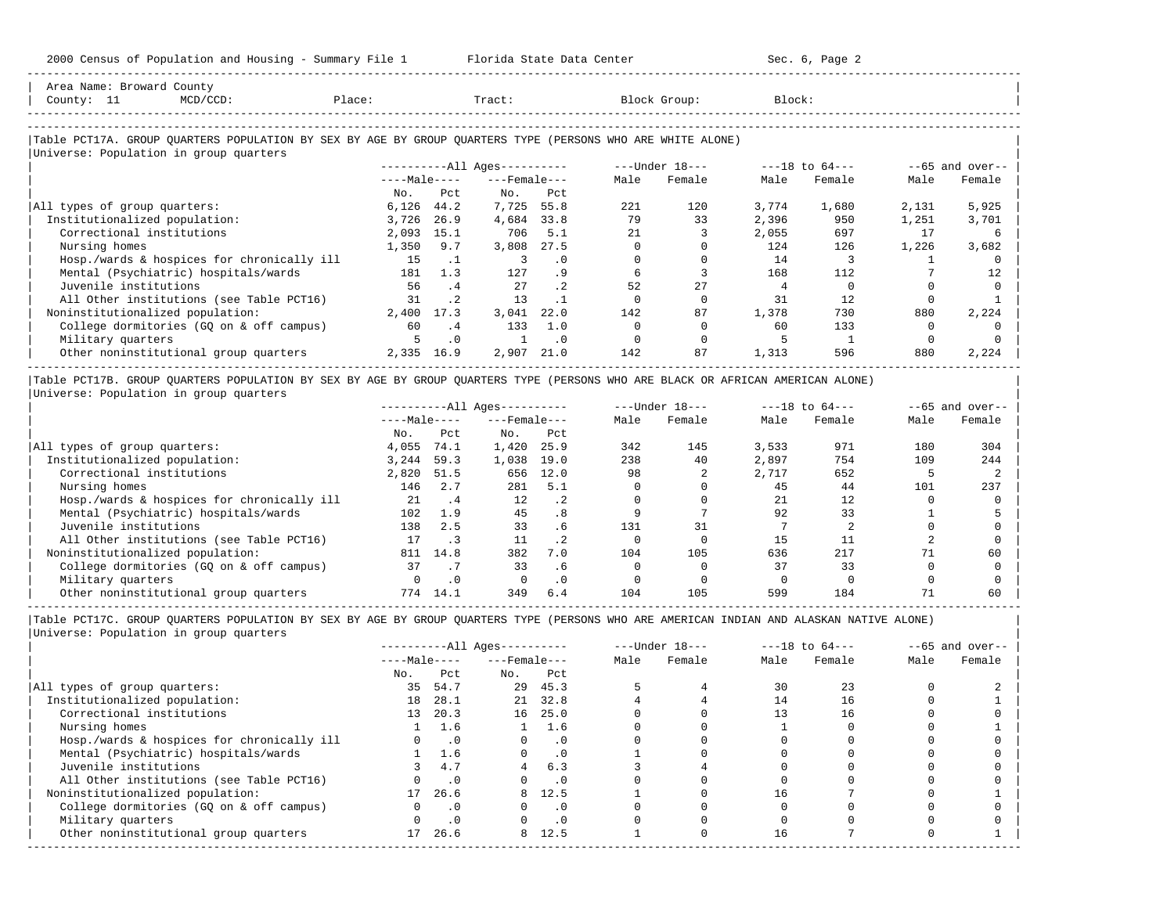-----------------------------------------------------------------------------------------------------------------------------------------------------

| Area Name: Broward County                                                                                                                                                |                                            |        |            |                                |           |      |                                                                                                                                         |        |                    |          |                    |
|--------------------------------------------------------------------------------------------------------------------------------------------------------------------------|--------------------------------------------|--------|------------|--------------------------------|-----------|------|-----------------------------------------------------------------------------------------------------------------------------------------|--------|--------------------|----------|--------------------|
| County: 11                                                                                                                                                               | MCD/CCD:                                   | Place: |            | Tract:                         |           |      | Block Group:                                                                                                                            | Block: |                    |          |                    |
|                                                                                                                                                                          |                                            |        |            |                                |           |      |                                                                                                                                         |        |                    |          |                    |
| Table PCT17A. GROUP QUARTERS POPULATION BY SEX BY AGE BY GROUP QUARTERS TYPE (PERSONS WHO ARE WHITE ALONE)                                                               |                                            |        |            |                                |           |      |                                                                                                                                         |        |                    |          |                    |
| Universe: Population in group quarters                                                                                                                                   |                                            |        |            |                                |           |      |                                                                                                                                         |        |                    |          |                    |
|                                                                                                                                                                          |                                            |        |            | ----------All Ages----------   |           |      | ---Under 18---                                                                                                                          |        | $---18$ to $64---$ |          | $- -65$ and over-- |
|                                                                                                                                                                          |                                            |        |            | $---Ma$ ]e $---Fema$ ]e $---F$ |           | Male | Female                                                                                                                                  | Male   | Female             | Male     | Female             |
|                                                                                                                                                                          |                                            | No.    | Pct        | No.                            | Pct       |      |                                                                                                                                         |        |                    |          |                    |
| All types of group quarters:                                                                                                                                             |                                            | 6,126  | 44.2       | 7,725 55.8                     |           | 221  | 120                                                                                                                                     | 3,774  | 1,680              | 2,131    | 5,925              |
| Institutionalized population:                                                                                                                                            |                                            | 3,726  | 26.9       | 4,684 33.8                     |           | 79   | 33                                                                                                                                      | 2,396  | 950                | 1,251    | 3,701              |
| Correctional institutions                                                                                                                                                |                                            | 2,093  | 15.1       | 706                            | 5.1       | 2.1  |                                                                                                                                         | 2,055  | 697                | 17       | 6                  |
| Nursing homes                                                                                                                                                            |                                            | 1,350  | 9.7        | 3,808                          | 27.5      |      | $\Omega$                                                                                                                                | 124    | 126                | 1,226    | 3,682              |
|                                                                                                                                                                          | Hosp./wards & hospices for chronically ill | 1.5    | $\cdot$ 1  | 3                              | $\cdot$ 0 |      |                                                                                                                                         | 14     |                    |          |                    |
|                                                                                                                                                                          | Mental (Psychiatric) hospitals/wards       | 181    | 1.3        | 127                            | .9        | 6    |                                                                                                                                         | 168    | 112                |          | 12                 |
| Juvenile institutions                                                                                                                                                    |                                            | 56     | .4         | 27                             | $\cdot$ 2 | 52   | 27                                                                                                                                      |        |                    |          |                    |
|                                                                                                                                                                          | All Other institutions (see Table PCT16)   | 31     | $\cdot$ 2  | 13                             | $\cdot$ 1 |      |                                                                                                                                         | 31     | 12                 |          |                    |
| Noninstitutionalized population:                                                                                                                                         |                                            | 2,400  | 17.3       | 3,041                          | 22.0      | 142  | 87                                                                                                                                      | 1,378  | 730                | 880      | 2,224              |
|                                                                                                                                                                          | College dormitories (GQ on & off campus)   | 60     | $\cdot$ 4  | 133                            | 1.0       |      |                                                                                                                                         | 60     | 133                | $\Omega$ |                    |
| Military quarters                                                                                                                                                        |                                            |        | $\cdot$ 0  |                                | $\cdot$ 0 |      |                                                                                                                                         |        |                    | $\Omega$ |                    |
|                                                                                                                                                                          | Other noninstitutional group quarters      |        | 2,335 16.9 | 2,907 21.0                     |           | 142  | 87                                                                                                                                      | 1,313  | 596                | 880      | 2,224              |
|                                                                                                                                                                          |                                            |        |            |                                |           |      |                                                                                                                                         |        |                    |          |                    |
| Table PCT17B. GROUP QUARTERS POPULATION BY SEX BY AGE BY GROUP QUARTERS TYPE (PERSONS WHO ARE BLACK OR AFRICAN AMERICAN ALONE)<br>Universe: Population in group quarters |                                            |        |            |                                |           |      |                                                                                                                                         |        |                    |          |                    |
|                                                                                                                                                                          |                                            |        |            |                                |           |      |                                                                                                                                         |        |                    |          | $--65$ and over--  |
|                                                                                                                                                                          |                                            |        |            |                                |           |      | 그 그 사람들은 그 사람들은 그 사람들을 지원하고 있다. 그 사람들은 그 사람들은 그 사람들을 지원하고 있다. 그 사람들은 그 사람들은 그 사람들은 그 사람들을 지원하고 있다. 그 사람들은 그 사람들은 그 사람들은 그 사람들을 지원하고 있다. |        |                    |          |                    |

|                                            | $---Male---$ |      | $---$ Female $---$ |           | Male | Female | Male  | Female | Male | Female |
|--------------------------------------------|--------------|------|--------------------|-----------|------|--------|-------|--------|------|--------|
|                                            | No.          | Pct  | No.                | Pct       |      |        |       |        |      |        |
| All types of group quarters:               | 4,055        | 74.1 | 1,420              | 25.9      | 342  | 145    | 3,533 | 971    | 180  | 304    |
| Institutionalized population:              | 3,244        | 59.3 | 1,038              | 19.0      | 238  | 40     | 2,897 | 754    | 109  | 244    |
| Correctional institutions                  | 2,820        | 51.5 | 656                | 12.0      | 98   |        | 2,717 | 652    |      |        |
| Nursing homes                              | 146          | 2.7  | 281                | 5.1       |      |        | 45    | 44     | 101  | 237    |
| Hosp./wards & hospices for chronically ill | 21           | .4   | 12                 | $\cdot$ 2 |      |        | 21    | 12     |      |        |
| Mental (Psychiatric) hospitals/wards       | 102          | 1.9  | 45                 | .8        |      |        | 92    | 33     |      |        |
| Juvenile institutions                      | 138          | 2.5  | 33                 | . 6       | 131  | 31     |       |        |      |        |
| All Other institutions (see Table PCT16)   |              |      | 11                 | .2        |      |        | 15    |        |      |        |
| Noninstitutionalized population:           | 811          | 14.8 | 382                | 7.0       | 104  | 105    | 636   | 217    |      | 60     |
| College dormitories (GO on & off campus)   | 37           |      | 33                 | . 6       |      |        | 37    | 33     |      |        |
| Military quarters                          |              |      |                    | $\cdot$ 0 |      |        |       |        |      |        |
| Other noninstitutional group quarters      | 774          | 14.1 | 349                | 6.4       | 104  | 105    | 599   | 184    |      | 60     |

-----------------------------------------------------------------------------------------------------------------------------------------------------

|Table PCT17C. GROUP QUARTERS POPULATION BY SEX BY AGE BY GROUP QUARTERS TYPE (PERSONS WHO ARE AMERICAN INDIAN AND ALASKAN NATIVE ALONE) | |Universe: Population in group quarters |

|                                            |              |           | $------All Ages------$ |           |      | $---Under 18---$ |      | $---18$ to $64---$ |      | $--65$ and over-- |
|--------------------------------------------|--------------|-----------|------------------------|-----------|------|------------------|------|--------------------|------|-------------------|
|                                            | $---Male---$ |           | $---$ Female $---$     |           | Male | Female           | Male | Female             | Male | Female            |
|                                            | No.          | Pct       | No.                    | Pct       |      |                  |      |                    |      |                   |
| All types of group quarters:               | 35           | 54.7      |                        | 29 45.3   |      |                  | 30   | 23                 |      |                   |
| Institutionalized population:              | 18           | 28.1      | 21                     | 32.8      |      |                  | 14   | 16                 |      |                   |
| Correctional institutions                  | 13           | 20.3      |                        | 16 25.0   |      |                  | 13   | 16                 |      |                   |
| Nursing homes                              |              | 1.6       |                        | 1.6       |      |                  |      |                    |      |                   |
| Hosp./wards & hospices for chronically ill |              | $\cdot$ 0 |                        | $\cdot$ 0 |      |                  |      |                    |      |                   |
| Mental (Psychiatric) hospitals/wards       |              | 1.6       | $\Omega$               | $\cdot$ 0 |      |                  |      |                    |      |                   |
| Juvenile institutions                      |              | 4.7       |                        | 6.3       |      |                  |      |                    |      |                   |
| All Other institutions (see Table PCT16)   |              | $\cdot$ 0 |                        | . 0       |      |                  |      |                    |      |                   |
| Noninstitutionalized population:           | 17           | 26.6      |                        | 8 12.5    |      |                  | 16   |                    |      |                   |
| College dormitories (GO on & off campus)   |              | $\cdot$ 0 |                        | $\cdot$ 0 |      |                  |      |                    |      |                   |
| Military quarters                          |              | $\cdot$ 0 |                        | $\cdot$ 0 |      |                  |      |                    |      |                   |
| Other noninstitutional group quarters      | 17           | 26.6      | 8                      | 12.5      |      |                  | 16   |                    |      |                   |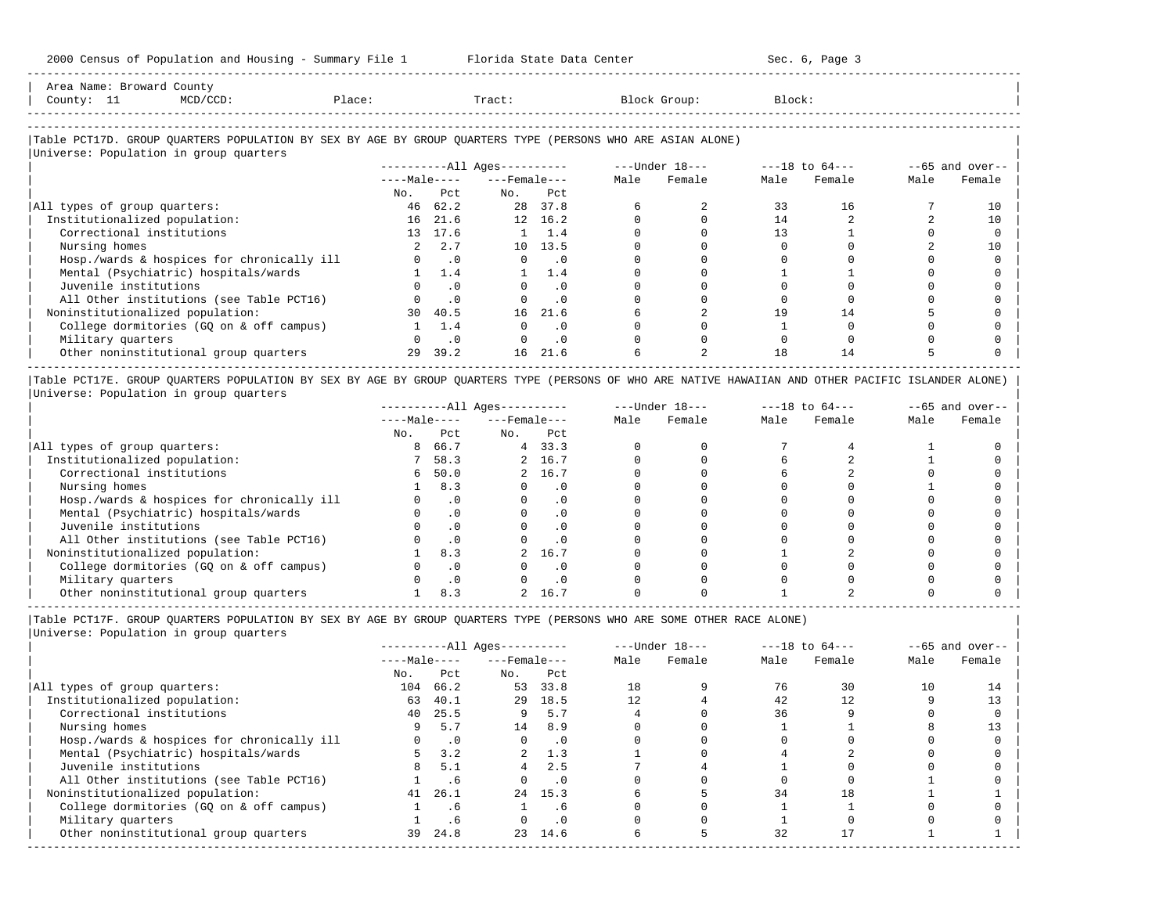-----------------------------------------------------------------------------------------------------------------------------------------------------

| Area<br>Name | war | count                                                                           |                 |       |        |       |
|--------------|-----|---------------------------------------------------------------------------------|-----------------|-------|--------|-------|
| County       | --  | the contract of the contract of the contract of the contract of the contract of | $\sim$<br>≀⊥асы | Tract | JLOUD: | Block |
|              |     |                                                                                 |                 |       |        |       |

-----------------------------------------------------------------------------------------------------------------------------------------------------

### |Table PCT17D. GROUP QUARTERS POPULATION BY SEX BY AGE BY GROUP QUARTERS TYPE (PERSONS WHO ARE ASIAN ALONE) |

|                                            |              |               | $------All Ages------$ |               |      | $---Under 18---$ |      | $---18$ to $64---$ |      | $--65$ and over-- |
|--------------------------------------------|--------------|---------------|------------------------|---------------|------|------------------|------|--------------------|------|-------------------|
|                                            | $---Male---$ |               | $---$ Female $---$     |               | Male | Female           | Male | Female             | Male | Female            |
|                                            | No.          | Pct.          | No.                    | Pct           |      |                  |      |                    |      |                   |
| All types of group quarters:               | 46           | 62.2          | 28                     | 37.8          |      |                  | 33   | 16                 |      | 10                |
| Institutionalized population:              |              | 16 21.6       |                        | 12 16.2       |      |                  | 14   |                    |      | 10                |
| Correctional institutions                  |              | 13 17.6       |                        | $1 \quad 1.4$ |      |                  |      |                    |      |                   |
| Nursing homes                              |              | 2, 2, 7       |                        | 10 13.5       |      |                  |      |                    |      | 10                |
| Hosp./wards & hospices for chronically ill |              | $0 \qquad .0$ | $\Omega$               | . 0           |      |                  |      |                    |      |                   |
| Mental (Psychiatric) hospitals/wards       |              | 1.4           |                        | 1.4           |      |                  |      |                    |      |                   |
| Juvenile institutions                      |              | . 0           |                        | $\cdot$ 0     |      |                  |      |                    |      |                   |
| All Other institutions (see Table PCT16)   |              | $\cdot$ 0     |                        | $\cdot$ 0     |      |                  |      |                    |      |                   |
| Noninstitutionalized population:           | 30           | 40.5          | 16                     | 21.6          |      |                  | 19   | 14                 |      |                   |
| College dormitories (GQ on & off campus)   |              | 1.4           |                        | $\cdot$ 0     |      |                  |      |                    |      |                   |
| Military quarters                          |              | $\cdot$ 0     | $\Omega$               | $\cdot$ 0     |      |                  |      |                    |      |                   |
| Other noninstitutional group quarters      | 29           | 39.2          | 16                     | 21.6          |      |                  | 18   | 14                 |      |                   |

|Table PCT17E. GROUP QUARTERS POPULATION BY SEX BY AGE BY GROUP QUARTERS TYPE (PERSONS OF WHO ARE NATIVE HAWAIIAN AND OTHER PACIFIC ISLANDER ALONE) | |Universe: Population in group quarters |

|                                            |              |           | $------All Ages------$ |           |      | $---Under 18---$ |      | $---18$ to $64---$ |      | $--65$ and over-- |
|--------------------------------------------|--------------|-----------|------------------------|-----------|------|------------------|------|--------------------|------|-------------------|
|                                            | $---Male---$ |           | $---$ Female $---$     |           | Male | Female           | Male | Female             | Male | Female            |
|                                            | No.          | Pct       | No.                    | Pct       |      |                  |      |                    |      |                   |
| All types of group quarters:               | 8            | 66.7      |                        | 4, 33.3   |      |                  |      |                    |      |                   |
| Institutionalized population:              |              | 58.3      |                        | 2 16.7    |      |                  |      |                    |      |                   |
| Correctional institutions                  | 6            | 50.0      |                        | 2 16.7    |      |                  |      |                    |      |                   |
| Nursing homes                              |              | 8.3       |                        | $\cdot$ 0 |      |                  |      |                    |      |                   |
| Hosp./wards & hospices for chronically ill |              | $\cdot$ 0 |                        | . 0       |      |                  |      |                    |      |                   |
| Mental (Psychiatric) hospitals/wards       |              |           |                        | . 0       |      |                  |      |                    |      |                   |
| Juvenile institutions                      |              |           |                        | . 0       |      |                  |      |                    |      |                   |
| All Other institutions (see Table PCT16)   |              |           |                        | $\cdot$ 0 |      |                  |      |                    |      |                   |
| Noninstitutionalized population:           |              | 8.3       |                        | 16.7      |      |                  |      |                    |      |                   |
| College dormitories (GQ on & off campus)   |              |           |                        | $\cdot$ 0 |      |                  |      |                    |      |                   |
| Military quarters                          |              | $\cdot$ 0 |                        | $\cdot$ 0 |      |                  |      |                    |      |                   |
| Other noninstitutional group quarters      |              | 8.3       |                        | 16.7      |      |                  |      |                    |      |                   |

-----------------------------------------------------------------------------------------------------------------------------------------------------

|Table PCT17F. GROUP QUARTERS POPULATION BY SEX BY AGE BY GROUP QUARTERS TYPE (PERSONS WHO ARE SOME OTHER RACE ALONE) |

|                                            |              |           | $------All Aqes------$ |            |      | $---Under 18---$ |      | $---18$ to $64---$ |      | $--65$ and over-- |
|--------------------------------------------|--------------|-----------|------------------------|------------|------|------------------|------|--------------------|------|-------------------|
|                                            | $---Male---$ |           | $---$ Female ---       |            | Male | Female           | Male | Female             | Male | Female            |
|                                            | No.          | Pct       | No.                    | Pct        |      |                  |      |                    |      |                   |
| All types of group quarters:               | 104          | 66.2      | 53                     | 33.8       | 18   |                  | 76   | 30                 | 10   | 14                |
| Institutionalized population:              | 63           | 40.1      | 29                     | 18.5       | 12.  |                  | 42   | 12                 |      |                   |
| Correctional institutions                  |              | 40 25.5   | 9                      | 5.7        |      |                  | 36   |                    |      |                   |
| Nursing homes                              | 9            | 5.7       | 14                     | 8.9        |      |                  |      |                    |      |                   |
| Hosp./wards & hospices for chronically ill |              | $\cdot$ 0 | $\Omega$               | $\cdot$ .0 |      |                  |      |                    |      |                   |
| Mental (Psychiatric) hospitals/wards       |              | 3.2       |                        | 1.3        |      |                  |      |                    |      |                   |
| Juvenile institutions                      | 8            | 5.1       | 4                      | 2.5        |      |                  |      |                    |      |                   |
| All Other institutions (see Table PCT16)   |              | . 6       |                        | $\cdot$ 0  |      |                  |      |                    |      |                   |
| Noninstitutionalized population:           | 41           | 26.1      |                        | 24 15.3    |      |                  | 34   | 18                 |      |                   |
| College dormitories (GO on & off campus)   |              | . 6       |                        | . 6        |      |                  |      |                    |      |                   |
| Military quarters                          |              | .6        |                        | $\cdot$ 0  |      |                  |      |                    |      |                   |
| Other noninstitutional group quarters      | 39           | 24.8      |                        | 23 14.6    |      |                  | 32   |                    |      |                   |
|                                            |              |           |                        |            |      |                  |      |                    |      |                   |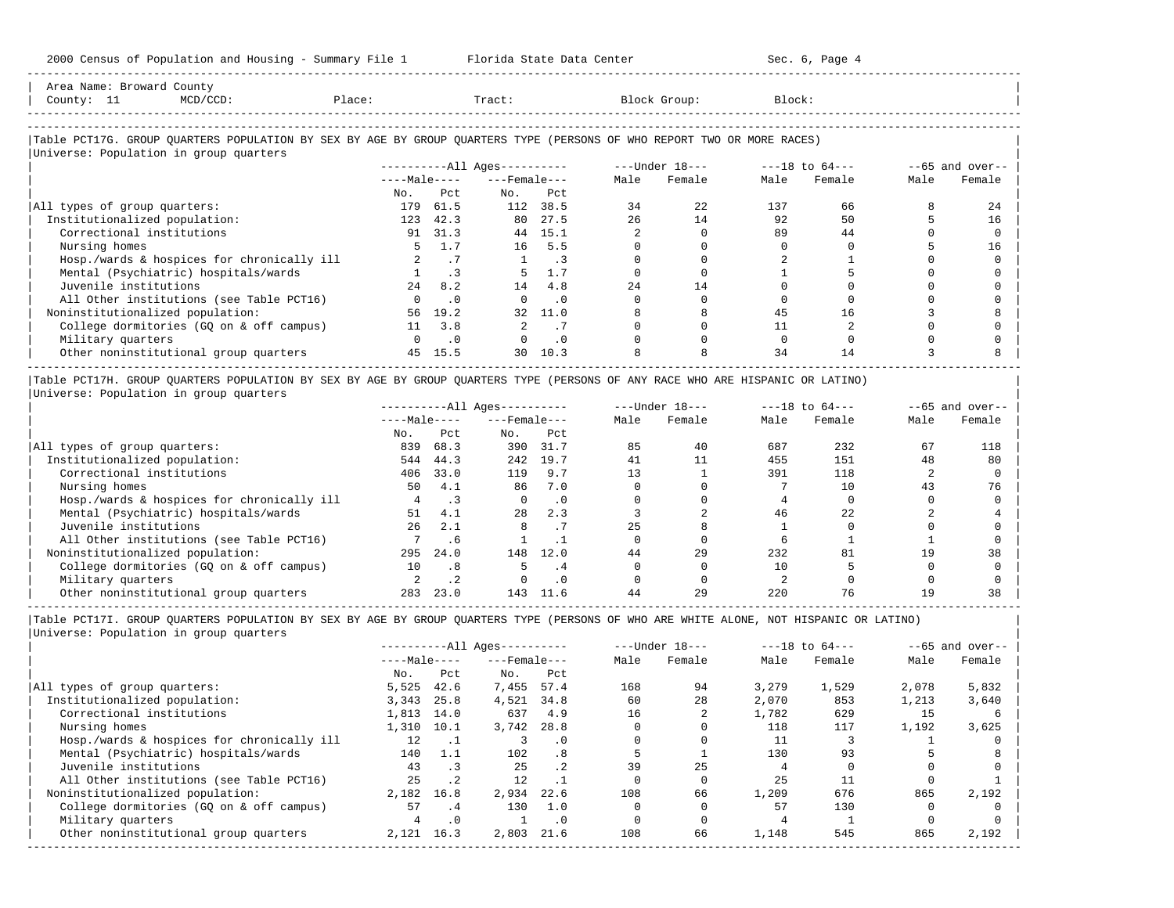-----------------------------------------------------------------------------------------------------------------------------------------------------

| Area Name: Broward County<br>County: 11<br>$MCD/CCD$ :                                                                                                                  | Place:       |                | Tract:                       |           |      | Block Group:                   | Block: |        |      |                   |
|-------------------------------------------------------------------------------------------------------------------------------------------------------------------------|--------------|----------------|------------------------------|-----------|------|--------------------------------|--------|--------|------|-------------------|
|                                                                                                                                                                         |              |                |                              |           |      |                                |        |        |      |                   |
| Table PCT17G. GROUP QUARTERS POPULATION BY SEX BY AGE BY GROUP QUARTERS TYPE (PERSONS OF WHO REPORT TWO OR MORE RACES)                                                  |              |                |                              |           |      |                                |        |        |      |                   |
| Universe: Population in group quarters                                                                                                                                  |              |                |                              |           |      |                                |        |        |      |                   |
|                                                                                                                                                                         |              |                | ----------All Ages---------- |           |      | ---Under 18--- ----18 to 64--- |        |        |      | $--65$ and over-- |
|                                                                                                                                                                         | $---Male---$ |                | $---$ Female $---$           |           | Male | Female                         | Male   | Female | Male | Female            |
|                                                                                                                                                                         | No.          | Pct.           | No.                          | Pct.      |      |                                |        |        |      |                   |
| All types of group quarters:                                                                                                                                            |              | 179 61.5       |                              | 112 38.5  | 34   | 22                             | 137    | 66     |      | 2.4               |
| Institutionalized population:                                                                                                                                           | 123          | 42.3           |                              | 80 27.5   | 2.6  | 14                             | 92     | 50     |      | 16                |
| Correctional institutions                                                                                                                                               | 91           | 31.3           |                              | 44 15.1   |      |                                | 89     | 44     |      |                   |
| Nursing homes                                                                                                                                                           | 5.           | 1.7            | 16                           | 5.5       |      |                                |        |        |      | 16                |
| Hosp./wards & hospices for chronically ill                                                                                                                              |              | .7             |                              | $\cdot$ 3 |      |                                |        |        |      |                   |
| Mental (Psychiatric) hospitals/wards                                                                                                                                    |              | $\cdot$ 3      |                              | 1.7       |      |                                |        |        |      |                   |
| Juvenile institutions                                                                                                                                                   | 2.4          | 8.2            | 14                           | 4.8       | 2.4  | 14                             |        |        |      |                   |
| All Other institutions (see Table PCT16)                                                                                                                                |              | $\cdot$ 0      | $\Omega$                     | $\cdot$ 0 |      |                                |        |        |      |                   |
| Noninstitutionalized population:                                                                                                                                        |              | 56 19.2        | 32                           | 11.0      |      |                                | 45     | 16     |      |                   |
| College dormitories (GQ on & off campus)                                                                                                                                |              | $11 \quad 3.8$ | $\overline{a}$               | .7        |      |                                | 11     |        |      |                   |
| Military quarters                                                                                                                                                       | $\Omega$     | $\cdot$ 0      |                              | $\cdot$ 0 |      |                                |        |        |      |                   |
| Other noninstitutional group quarters                                                                                                                                   |              | 45 15.5        | 30                           | 10.3      |      |                                | 34     | 14     |      |                   |
| Table PCT17H. GROUP QUARTERS POPULATION BY SEX BY AGE BY GROUP QUARTERS TYPE (PERSONS OF ANY RACE WHO ARE HISPANIC OR LATINO)<br>Universe: Population in group quarters |              |                |                              |           |      |                                |        |        |      |                   |

|                                            | $------All Aqes------$ |      |                    |           |      | $---Under 18---$ |      | $---18$ to $64---$ |      | $--65$ and over-- |
|--------------------------------------------|------------------------|------|--------------------|-----------|------|------------------|------|--------------------|------|-------------------|
|                                            | $---Male---$           |      | $---$ Female $---$ |           | Male | Female           | Male | Female             | Male | Female            |
|                                            | No.                    | Pct. | No.                | Pct       |      |                  |      |                    |      |                   |
| All types of group quarters:               | 839                    | 68.3 | 390                | 31.7      | 85   | 40               | 687  | 232                | 67   | 118               |
| Institutionalized population:              | 544                    | 44.3 | 242                | 19.7      | 41   |                  | 455  | 151                | 48   | 80                |
| Correctional institutions                  | 406                    | 33.0 | 119                | 9.7       | 13   |                  | 391  | 118                |      |                   |
| Nursing homes                              | 50                     | 4.1  | 86                 | 7.0       |      |                  |      | 10                 |      | 76                |
| Hosp./wards & hospices for chronically ill |                        |      |                    | $\cdot$ 0 |      |                  |      |                    |      |                   |
| Mental (Psychiatric) hospitals/wards       | 51                     | 4.1  | 28                 | 2.3       |      |                  | 46   | 2.2.               |      |                   |
| Juvenile institutions                      | 26                     | 2.1  |                    | . 1       | 25   |                  |      |                    |      |                   |
| All Other institutions (see Table PCT16)   |                        | . 6  |                    |           |      |                  |      |                    |      |                   |
| Noninstitutionalized population:           | 295                    | 24.0 | 148                | 12.0      | 44   | 29               | 232  | 81                 | 1 Q  | 38                |
| College dormitories (GQ on & off campus)   | 10                     | .8   |                    | .4        |      |                  | 10   |                    |      |                   |
| Military quarters                          |                        | . .  |                    | . 0       |      |                  |      |                    |      |                   |
| Other noninstitutional group quarters      | 283                    | 23.0 | 143                | 11.6      | 44   | 29               | 220  | 76                 |      | 38                |

-----------------------------------------------------------------------------------------------------------------------------------------------------

|Table PCT17I. GROUP QUARTERS POPULATION BY SEX BY AGE BY GROUP QUARTERS TYPE (PERSONS OF WHO ARE WHITE ALONE, NOT HISPANIC OR LATINO) | |Universe: Population in group quarters |

|                                            |              |           | $------All Aqes------$ |                 |      | $---Under 18---$ |       | $---18$ to $64---$ |       | $--65$ and over-- |
|--------------------------------------------|--------------|-----------|------------------------|-----------------|------|------------------|-------|--------------------|-------|-------------------|
|                                            | $---Male---$ |           | $---$ Female $---$     |                 | Male | Female           | Male  | Female             | Male  | Female            |
|                                            | No.          | Pct       | No.                    | Pct             |      |                  |       |                    |       |                   |
| All types of group quarters:               | 5,525        | 42.6      | 7,455                  | 57.4            | 168  | 94               | 3,279 | 1,529              | 2,078 | 5,832             |
| Institutionalized population:              | 3,343        | 25.8      | 4,521                  | 34.8            | 60   | 28               | 2,070 | 853                | 1,213 | 3,640             |
| Correctional institutions                  | 1,813        | 14.0      | 637                    | 4.9             | 16   |                  | 1,782 | 629                | 15    |                   |
| Nursing homes                              | 1,310        | 10.1      | 3,742                  | 28.8            |      |                  | 118   | 117                | 1,192 | 3,625             |
| Hosp./wards & hospices for chronically ill | 12           |           |                        | $\cdot$ 0       |      |                  | 11    |                    |       |                   |
| Mental (Psychiatric) hospitals/wards       | 140          | 1.1       | 102                    | .8              |      |                  | 130   | 93                 |       |                   |
| Juvenile institutions                      | 43           |           | 25                     | .2 <sub>2</sub> | 39   | 2.5              |       |                    |       |                   |
| All Other institutions (see Table PCT16)   | 25           | $\cdot$ 2 | 12                     |                 |      |                  | 25    |                    |       |                   |
| Noninstitutionalized population:           | 2,182        | 16.8      | 2,934                  | 22.6            | 108  | 66               | 1,209 | 676                | 865   | 2,192             |
| College dormitories (GO on & off campus)   | 57           | . 4       | 130                    | 1.0             |      |                  | 57    | 130                |       |                   |
| Military quarters                          |              | $\cdot$ 0 |                        | $\cdot$ 0       |      |                  |       |                    |       |                   |
| Other noninstitutional group quarters      | 2,121        | 16.3      | 2,803                  | 21.6            | 108  | 66               | 1,148 | 545                | 865   | 2,192             |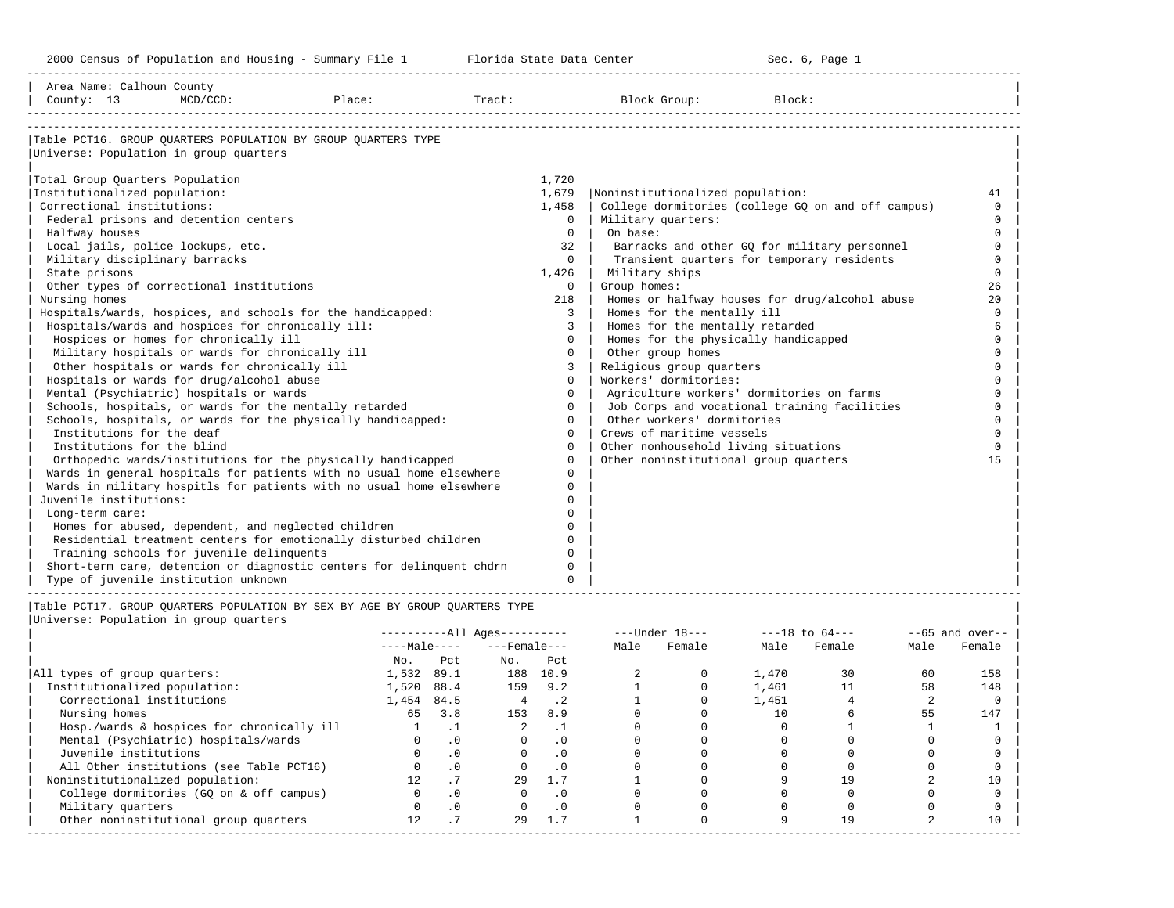-----------------------------------------------------------------------------------------------------------------------------------------------------

| Area Name: Calhoun County<br>County: 13<br>Place:<br>$MCD/CCD$ :            | Tract:         | Block Group:<br>Block:                             |          |
|-----------------------------------------------------------------------------|----------------|----------------------------------------------------|----------|
| Table PCT16. GROUP OUARTERS POPULATION BY GROUP OUARTERS TYPE               |                |                                                    |          |
| Universe: Population in group quarters                                      |                |                                                    |          |
| Total Group Quarters Population                                             | 1,720          |                                                    |          |
| Institutionalized population:                                               | 1,679          | Noninstitutionalized population:                   | 41       |
| Correctional institutions:                                                  | 1,458          | College dormitories (college GQ on and off campus) | $\cap$   |
| Federal prisons and detention centers                                       | $\Omega$       | Military quarters:                                 | $\Omega$ |
| Halfway houses                                                              | $\Omega$       | On base:                                           | $\Omega$ |
| Local jails, police lockups, etc.                                           | 32             | Barracks and other GQ for military personnel       | $\Omega$ |
| Military disciplinary barracks                                              | $\Omega$       | Transient quarters for temporary residents         | $\Omega$ |
| State prisons                                                               | 1,426          | Military ships                                     | $\Omega$ |
| Other types of correctional institutions                                    | $\Omega$       | Group homes:                                       | 26       |
| Nursing homes                                                               | 218            | Homes or halfway houses for drug/alcohol abuse     | 20       |
| Hospitals/wards, hospices, and schools for the handicapped:                 | 3              | Homes for the mentally ill                         | $\Omega$ |
| Hospitals/wards and hospices for chronically ill:                           | 3              | Homes for the mentally retarded                    | 6        |
| Hospices or homes for chronically ill                                       | $\Omega$       | Homes for the physically handicapped               | $\Omega$ |
| Military hospitals or wards for chronically ill                             | $\mathbf 0$    | Other group homes                                  |          |
| Other hospitals or wards for chronically ill                                | $\overline{3}$ | Religious group quarters                           | $\cap$   |
| Hospitals or wards for drug/alcohol abuse                                   | $\Omega$       | Workers' dormitories:                              |          |
| Mental (Psychiatric) hospitals or wards                                     | $\Omega$       | Agriculture workers' dormitories on farms          |          |
| Schools, hospitals, or wards for the mentally retarded                      | $\Omega$       | Job Corps and vocational training facilities       |          |
| Schools, hospitals, or wards for the physically handicapped:                | $\Omega$       | Other workers' dormitories                         | $\Omega$ |
| Institutions for the deaf                                                   | $\Omega$       | Crews of maritime vessels                          | $\Omega$ |
| Institutions for the blind                                                  | $\Omega$       | Other nonhousehold living situations               | $\Omega$ |
| Orthopedic wards/institutions for the physically handicapped                | $\Omega$       | Other noninstitutional group quarters              | 15       |
| Wards in general hospitals for patients with no usual home elsewhere        | $\Omega$       |                                                    |          |
| Wards in military hospitls for patients with no usual home elsewhere        | $\Omega$       |                                                    |          |
| Juvenile institutions:                                                      |                |                                                    |          |
| Long-term care:                                                             | $\cap$         |                                                    |          |
| Homes for abused, dependent, and neglected children                         | <sup>n</sup>   |                                                    |          |
| Residential treatment centers for emotionally disturbed children            | $\Omega$       |                                                    |          |
| Training schools for juvenile delinquents                                   | $\Omega$       |                                                    |          |
| Short-term care, detention or diagnostic centers for delinquent chdrn       | $\Omega$       |                                                    |          |
| Type of juvenile institution unknown                                        | $\Omega$       |                                                    |          |
| Table PCT17. GROUP OUARTERS POPULATION BY SEX BY AGE BY GROUP OUARTERS TYPE |                |                                                    |          |

|                                            |              |           | $------All Aqes------$ |           |      | $---Under 18---$ |       | $---18$ to $64---$ |      | $- -65$ and over-- |
|--------------------------------------------|--------------|-----------|------------------------|-----------|------|------------------|-------|--------------------|------|--------------------|
|                                            | $---Male---$ |           | $---$ Female $---$     |           | Male | Female           | Male  | Female             | Male | Female             |
|                                            | No.          | Pct       | No.                    | Pct       |      |                  |       |                    |      |                    |
| All types of group quarters:               | 1,532        | 89.1      | 188                    | 10.9      |      |                  | 1,470 | 30                 | 60   | 158                |
| Institutionalized population:              | 1,520        | 88.4      | 159                    | 9.2       |      |                  | 1,461 |                    | 58   | 148                |
| Correctional institutions                  | 1,454        | 84.5      |                        | . 2       |      |                  | 1,451 |                    |      |                    |
| Nursing homes                              | 65           | 3.8       | 153                    | 8.9       |      |                  | 10    |                    | 55   | 147                |
| Hosp./wards & hospices for chronically ill |              | . .       |                        | . .       |      |                  |       |                    |      |                    |
| Mental (Psychiatric) hospitals/wards       |              | $\cdot$ 0 |                        | . 0       |      |                  |       |                    |      |                    |
| Juvenile institutions                      |              | $\cdot$ 0 |                        | $\cdot$ 0 |      |                  |       |                    |      |                    |
| All Other institutions (see Table PCT16)   |              | $\cdot$ 0 |                        | $\cdot$ 0 |      |                  |       |                    |      |                    |
| Noninstitutionalized population:           |              |           | 29                     | 1.7       |      |                  |       | 19                 |      | 10                 |
| College dormitories (GO on & off campus)   |              | $\cdot$ 0 |                        | $\cdot$ 0 |      |                  |       |                    |      |                    |
| Military quarters                          |              | $\cdot$ 0 |                        | $\cdot$ 0 |      |                  |       |                    |      |                    |
| Other noninstitutional group quarters      | 12.          | . .       | 29                     | 1.7       |      |                  |       | 19                 |      | 10                 |
|                                            |              |           |                        |           |      |                  |       |                    |      |                    |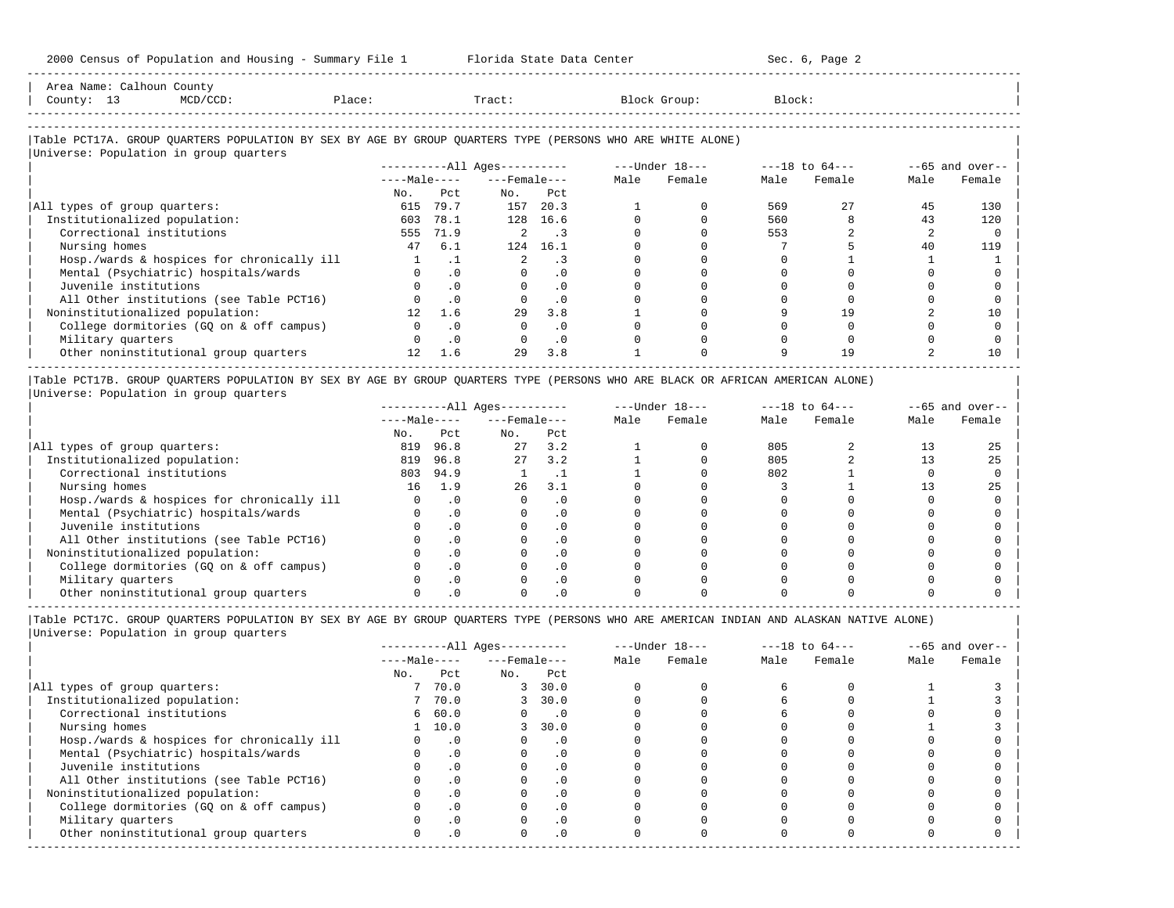| Area Name:          | Calhoun County |        |        |              |        |  |
|---------------------|----------------|--------|--------|--------------|--------|--|
| County:<br><u>_</u> | $MCD/CCD$ :    | Place: | Tract: | Block Group: | Block: |  |
|                     |                |        |        |              |        |  |

-----------------------------------------------------------------------------------------------------------------------------------------------------

-----------------------------------------------------------------------------------------------------------------------------------------------------

# |Table PCT17A. GROUP QUARTERS POPULATION BY SEX BY AGE BY GROUP QUARTERS TYPE (PERSONS WHO ARE WHITE ALONE) |

|                                            |                 |           | $------All Ages------$ |                             |      | $---Under 18---$ |      | $---18$ to $64---$ |      | $--65$ and over-- |
|--------------------------------------------|-----------------|-----------|------------------------|-----------------------------|------|------------------|------|--------------------|------|-------------------|
|                                            | $---Male---$    |           | $---$ Female $---$     |                             | Male | Female           | Male | Female             | Male | Female            |
|                                            | No.             | Pct       | No.                    | Pct                         |      |                  |      |                    |      |                   |
| All types of group quarters:               | 615             | 79.7      | 157                    | 20.3                        |      |                  | 569  | 27                 | 45   | 130               |
| Institutionalized population:              | 603             | 78.1      | 128                    | 16.6                        |      |                  | 560  |                    | 43   | 120               |
| Correctional institutions                  | 555             | 71.9      |                        | $\overline{\phantom{a}}$ .3 |      |                  | 553  |                    |      |                   |
| Nursing homes                              | 47              | 6.1       | 124                    | 16.1                        |      |                  |      |                    | 40   | 119               |
| Hosp./wards & hospices for chronically ill |                 | . 1       |                        |                             |      |                  |      |                    |      |                   |
| Mental (Psychiatric) hospitals/wards       |                 | $\cdot$ 0 |                        | . 0                         |      |                  |      |                    |      |                   |
| Juvenile institutions                      |                 | $\cdot$ 0 |                        | $\cdot$ 0                   |      |                  |      |                    |      |                   |
| All Other institutions (see Table PCT16)   |                 | $\cdot$ 0 |                        | $\cdot$ 0                   |      |                  |      |                    |      |                   |
| Noninstitutionalized population:           | 12 <sup>°</sup> | 1.6       | 29                     | 3.8                         |      |                  |      | 19                 |      | 10                |
| College dormitories (GQ on & off campus)   |                 | $\cdot$ 0 |                        | $\cdot$ 0                   |      |                  |      |                    |      |                   |
| Military quarters                          |                 | $\cdot$ 0 |                        | $\cdot$ 0                   |      |                  |      |                    |      |                   |
| Other noninstitutional group quarters      | 12 <sup>°</sup> | 1.6       | 29                     | 3.8                         |      |                  |      | 19                 |      | 10                |

|Table PCT17B. GROUP QUARTERS POPULATION BY SEX BY AGE BY GROUP QUARTERS TYPE (PERSONS WHO ARE BLACK OR AFRICAN AMERICAN ALONE) | |Universe: Population in group quarters |

|                                            |              |           | $------All Aqes------$ |           |      | $---Under 18---$ |      | $---18$ to $64---$ |      | $- -65$ and over-- |
|--------------------------------------------|--------------|-----------|------------------------|-----------|------|------------------|------|--------------------|------|--------------------|
|                                            | $---Male---$ |           | $---$ Female $---$     |           | Male | Female           | Male | Female             | Male | Female             |
|                                            | No.          | Pct       | No.                    | Pct       |      |                  |      |                    |      |                    |
| All types of group quarters:               | 819          | 96.8      | 27                     | 3.2       |      |                  | 805  |                    |      | 25                 |
| Institutionalized population:              | 819          | 96.8      | 27                     | 3.2       |      |                  | 805  |                    |      | 25                 |
| Correctional institutions                  | 803          | 94.9      |                        | . .       |      |                  | 802  |                    |      |                    |
| Nursing homes                              | 16           | 1.9       | 26                     | 3.1       |      |                  |      |                    |      | 25                 |
| Hosp./wards & hospices for chronically ill |              | $\cdot$ 0 |                        | . 0       |      |                  |      |                    |      |                    |
| Mental (Psychiatric) hospitals/wards       |              |           |                        | . 0       |      |                  |      |                    |      |                    |
| Juvenile institutions                      |              |           |                        | . 0       |      |                  |      |                    |      |                    |
| All Other institutions (see Table PCT16)   |              |           |                        | $\cdot$ 0 |      |                  |      |                    |      |                    |
| Noninstitutionalized population:           |              |           |                        | . 0       |      |                  |      |                    |      |                    |
| College dormitories (GO on & off campus)   |              |           |                        | $\cdot$ 0 |      |                  |      |                    |      |                    |
| Military quarters                          |              |           |                        | . 0       |      |                  |      |                    |      |                    |
| Other noninstitutional group quarters      |              |           |                        |           |      |                  |      |                    |      |                    |

|Table PCT17C. GROUP QUARTERS POPULATION BY SEX BY AGE BY GROUP QUARTERS TYPE (PERSONS WHO ARE AMERICAN INDIAN AND ALASKAN NATIVE ALONE) | |Universe: Population in group quarters |

-----------------------------------------------------------------------------------------------------------------------------------------------------

|                                            |              |           | $------All Ages------$ |                             |      | $---Under 18---$ |      | $---18$ to $64---$ |      | $--65$ and over-- |
|--------------------------------------------|--------------|-----------|------------------------|-----------------------------|------|------------------|------|--------------------|------|-------------------|
|                                            | $---Male---$ |           | $---$ Female $---$     |                             | Male | Female           | Male | Female             | Male | Female            |
|                                            | No.          | Pct       | No.                    | Pct                         |      |                  |      |                    |      |                   |
| All types of group quarters:               |              | 70.0      | 3                      | 30.0                        |      |                  |      |                    |      |                   |
| Institutionalized population:              |              | 7 70.0    | 3                      | 30.0                        |      |                  |      |                    |      |                   |
| Correctional institutions                  |              | 660.0     | $\Omega$               | $\overline{\phantom{0}}$ .0 |      |                  |      |                    |      |                   |
| Nursing homes                              |              | 10.0      |                        | 30.0                        |      |                  |      |                    |      |                   |
| Hosp./wards & hospices for chronically ill |              | $\cdot$ 0 |                        | . 0                         |      |                  |      |                    |      |                   |
| Mental (Psychiatric) hospitals/wards       |              | $\cdot$ 0 |                        | . 0                         |      |                  |      |                    |      |                   |
| Juvenile institutions                      |              |           |                        | $\cdot$ 0                   |      |                  |      |                    |      |                   |
| All Other institutions (see Table PCT16)   |              |           |                        |                             |      |                  |      |                    |      |                   |
| Noninstitutionalized population:           |              | $\cdot$ 0 |                        | $\cdot$ 0                   |      |                  |      |                    |      |                   |
| College dormitories (GO on & off campus)   |              |           |                        | $\cdot$ 0                   |      |                  |      |                    |      |                   |
| Military quarters                          |              | . 0       |                        | $\cdot$ 0                   |      |                  |      |                    |      |                   |
| Other noninstitutional group quarters      | <sup>n</sup> | $\cdot$ 0 |                        | $\cdot$ 0                   |      |                  |      |                    |      |                   |
|                                            |              |           |                        |                             |      |                  |      |                    |      |                   |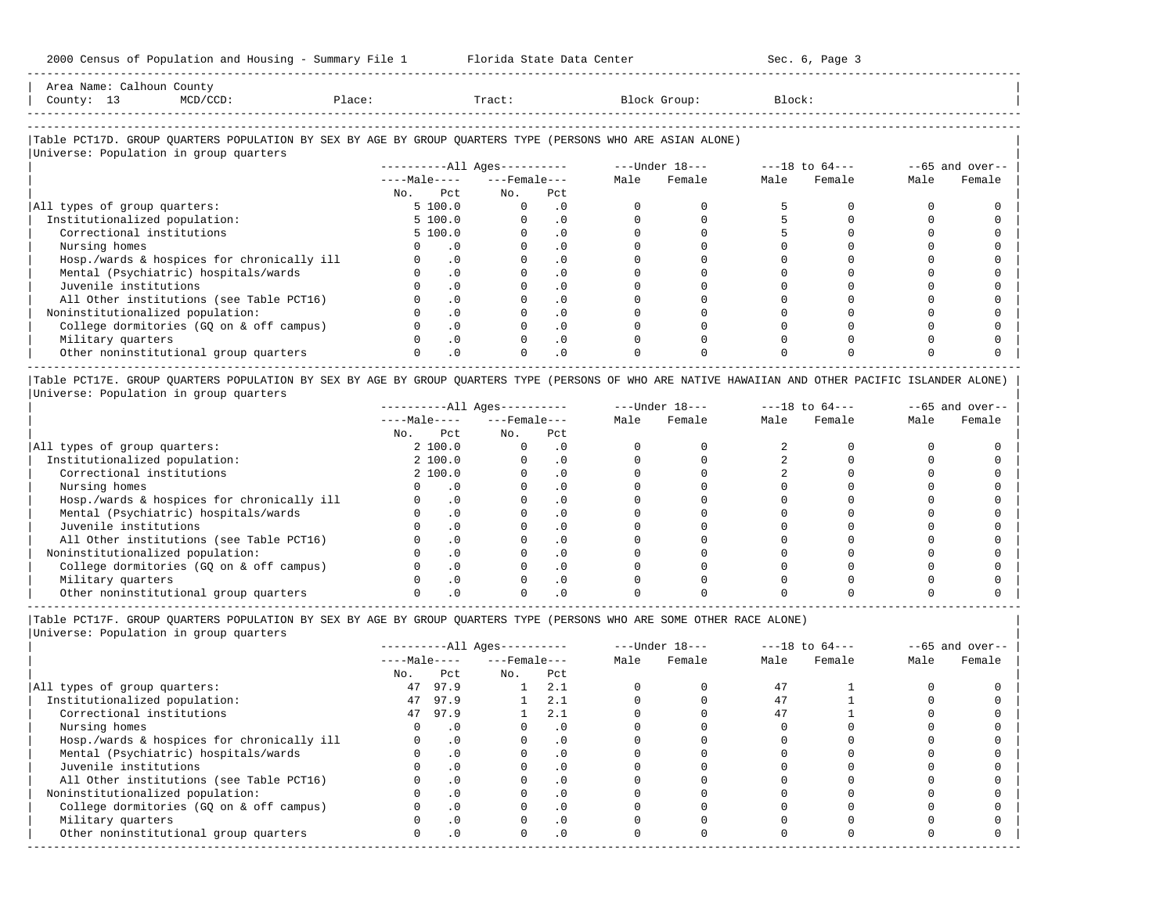| Area<br>Name | <b>hour</b><br>. | County                                                                                                          |     |       |         |        |
|--------------|------------------|-----------------------------------------------------------------------------------------------------------------|-----|-------|---------|--------|
| County       |                  | the contract of the contract of the contract of the contract of the contract of the contract of the contract of | ⊥ac | Tract | JLOUD : | Block' |
|              |                  |                                                                                                                 |     |       |         |        |

-----------------------------------------------------------------------------------------------------------------------------------------------------

-----------------------------------------------------------------------------------------------------------------------------------------------------

### |Table PCT17D. GROUP QUARTERS POPULATION BY SEX BY AGE BY GROUP QUARTERS TYPE (PERSONS WHO ARE ASIAN ALONE) |

|                                            | $------All Aqes------$ |           |                    |           |      | ---Under 18--- |      | $---18$ to $64---$ |      | $--65$ and over-- |
|--------------------------------------------|------------------------|-----------|--------------------|-----------|------|----------------|------|--------------------|------|-------------------|
|                                            | $---Male---$           |           | $---$ Female $---$ |           | Male | Female         | Male | Female             | Male | Female            |
|                                            | Pct<br>No.             |           | No.                | Pct       |      |                |      |                    |      |                   |
| All types of group quarters:               | 5 100.0                |           | $\Omega$           | . 0       |      |                |      |                    |      |                   |
| Institutionalized population:              | 5 100.0                |           |                    | $\cdot$ 0 |      |                |      |                    |      |                   |
| Correctional institutions                  | 5 100.0                |           |                    | $\cdot$ 0 |      |                |      |                    |      |                   |
| Nursing homes                              |                        | . 0       |                    |           |      |                |      |                    |      |                   |
| Hosp./wards & hospices for chronically ill |                        | $\cdot$ 0 |                    | . 0       |      |                |      |                    |      |                   |
| Mental (Psychiatric) hospitals/wards       |                        | $\cdot$ 0 |                    | $\cdot$ 0 |      |                |      |                    |      |                   |
| Juvenile institutions                      |                        | $\cdot$ 0 |                    |           |      |                |      |                    |      |                   |
| All Other institutions (see Table PCT16)   |                        | $\cdot$ 0 |                    | $\cdot$ 0 |      |                |      |                    |      |                   |
| Noninstitutionalized population:           |                        | $\cdot$ 0 |                    | $\cdot$ 0 |      |                |      |                    |      |                   |
| College dormitories (GQ on & off campus)   |                        | $\cdot$ 0 |                    | $\cdot$ 0 |      |                |      |                    |      |                   |
| Military quarters                          |                        | .0        |                    | $\cdot$ 0 |      |                |      |                    |      |                   |
| Other noninstitutional group quarters      |                        | $\cdot$ 0 |                    | $\cdot$ 0 |      |                |      |                    |      |                   |

|Table PCT17E. GROUP QUARTERS POPULATION BY SEX BY AGE BY GROUP QUARTERS TYPE (PERSONS OF WHO ARE NATIVE HAWAIIAN AND OTHER PACIFIC ISLANDER ALONE) | |Universe: Population in group quarters |

|                                            |              |          | $------All Aqes------$ |           |      | $---Under 18---$ |      | $---18$ to $64---$ |      | $- -65$ and over-- |
|--------------------------------------------|--------------|----------|------------------------|-----------|------|------------------|------|--------------------|------|--------------------|
|                                            | $---Male---$ |          | $---$ Female $---$     |           | Male | Female           | Male | Female             | Male | Female             |
|                                            | No.          | Pct      | No.                    | Pct       |      |                  |      |                    |      |                    |
| All types of group quarters:               |              | 2 100.0  |                        | . 0       |      |                  |      |                    |      |                    |
| Institutionalized population:              |              | 2, 100.0 |                        | $\cdot$ 0 |      |                  |      |                    |      |                    |
| Correctional institutions                  |              | 2 100.0  |                        | . 0       |      |                  |      |                    |      |                    |
| Nursing homes                              |              |          |                        | . 0       |      |                  |      |                    |      |                    |
| Hosp./wards & hospices for chronically ill |              | . 0      |                        | . 0       |      |                  |      |                    |      |                    |
| Mental (Psychiatric) hospitals/wards       |              |          |                        | $\cdot$ 0 |      |                  |      |                    |      |                    |
| Juvenile institutions                      |              |          |                        | . 0       |      |                  |      |                    |      |                    |
| All Other institutions (see Table PCT16)   |              |          |                        | $\cdot$ 0 |      |                  |      |                    |      |                    |
| Noninstitutionalized population:           |              |          |                        | . 0       |      |                  |      |                    |      |                    |
| College dormitories (GO on & off campus)   |              |          |                        | . 0       |      |                  |      |                    |      |                    |
| Military quarters                          |              |          |                        | $\cdot$ 0 |      |                  |      |                    |      |                    |
| Other noninstitutional group quarters      |              |          |                        |           |      |                  |      |                    |      |                    |

-----------------------------------------------------------------------------------------------------------------------------------------------------

|Table PCT17F. GROUP QUARTERS POPULATION BY SEX BY AGE BY GROUP QUARTERS TYPE (PERSONS WHO ARE SOME OTHER RACE ALONE) |

|                                            |              |           | $------All Aqes------$ |           |      | $---Under 18---$ |      | $---18$ to $64---$ |      | $- -65$ and over-- |
|--------------------------------------------|--------------|-----------|------------------------|-----------|------|------------------|------|--------------------|------|--------------------|
|                                            | $---Male---$ |           | $---$ Female $---$     |           | Male | Female           | Male | Female             | Male | Female             |
|                                            | No.          | Pct       | No.                    | Pct       |      |                  |      |                    |      |                    |
| All types of group quarters:               | 47           | 97.9      |                        | 2.1       |      |                  | 47   |                    |      |                    |
| Institutionalized population:              | 47           | 97.9      |                        | 2.1       |      |                  | 47   |                    |      |                    |
| Correctional institutions                  |              | 47 97.9   |                        | 2.1       |      |                  | 47   |                    |      |                    |
| Nursing homes                              |              | $\cdot$ 0 |                        | $\cdot$ 0 |      |                  |      |                    |      |                    |
| Hosp./wards & hospices for chronically ill |              | .0        |                        | $\cdot$ 0 |      |                  |      |                    |      |                    |
| Mental (Psychiatric) hospitals/wards       |              | .0        |                        | $\cdot$ 0 |      |                  |      |                    |      |                    |
| Juvenile institutions                      |              | $\cdot$ 0 |                        | $\Omega$  |      |                  |      |                    |      |                    |
| All Other institutions (see Table PCT16)   |              | .0        |                        | $\cdot$ 0 |      |                  |      |                    |      |                    |
| Noninstitutionalized population:           |              | $\cdot$ 0 |                        | . 0       |      |                  |      |                    |      |                    |
| College dormitories (GO on & off campus)   |              | $\cdot$ 0 |                        |           |      |                  |      |                    |      |                    |
| Military quarters                          |              | $\cdot$ 0 |                        | $\cdot$ 0 |      |                  |      |                    |      |                    |
| Other noninstitutional group quarters      |              | $\cdot$ 0 | $\Omega$               | $\cdot$ 0 |      |                  |      |                    |      |                    |
|                                            |              |           |                        |           |      |                  |      |                    |      |                    |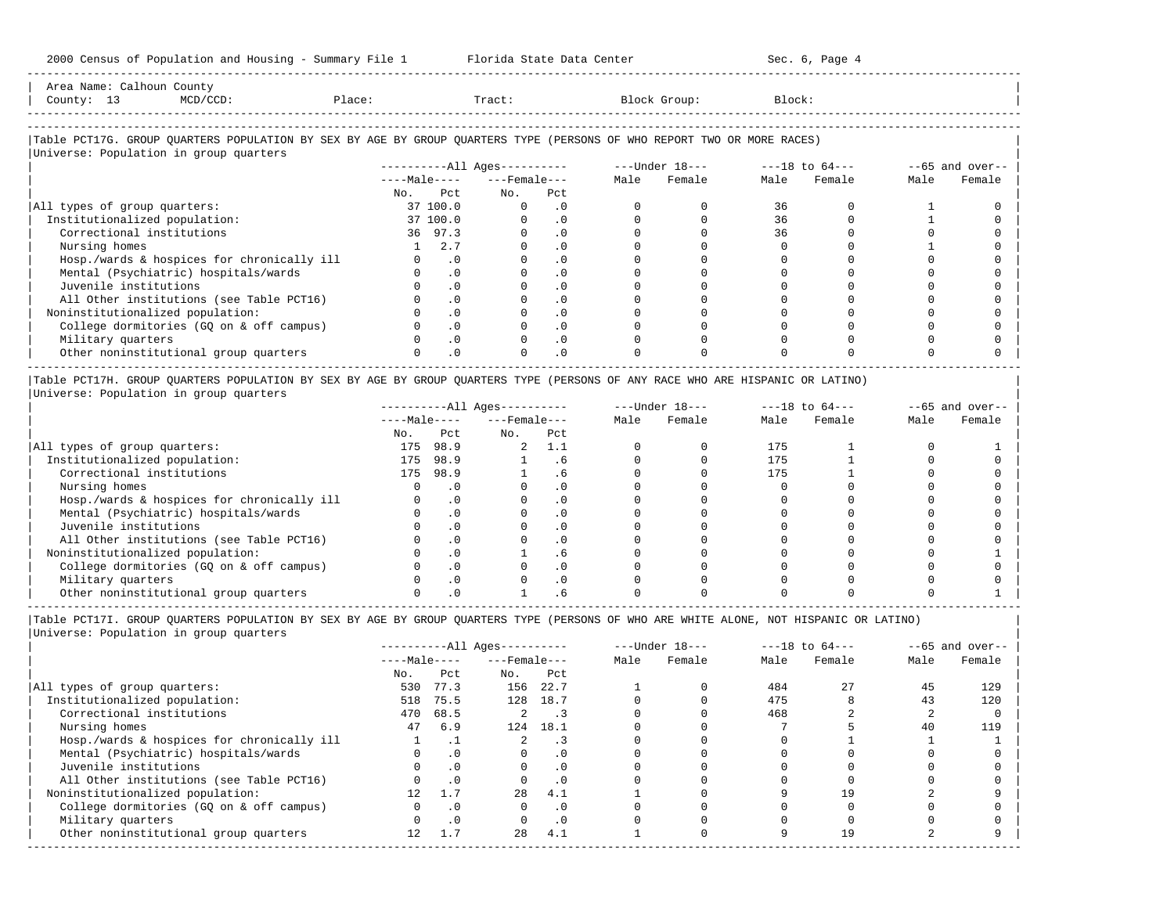| Area Name: Calhoun County<br>County: 13<br>MCD/CCD:                                                                    | Place:                       | Tract:       |                             |      | Block Group:   | Block:             |        |      |                   |
|------------------------------------------------------------------------------------------------------------------------|------------------------------|--------------|-----------------------------|------|----------------|--------------------|--------|------|-------------------|
|                                                                                                                        |                              |              |                             |      |                |                    |        |      |                   |
| Table PCT17G. GROUP OUARTERS POPULATION BY SEX BY AGE BY GROUP OUARTERS TYPE (PERSONS OF WHO REPORT TWO OR MORE RACES) |                              |              |                             |      |                |                    |        |      |                   |
| Universe: Population in group quarters                                                                                 |                              |              |                             |      |                |                    |        |      |                   |
|                                                                                                                        | ----------All Ages---------- |              |                             |      | ---Under 18--- | $---18$ to $64---$ |        |      | $--65$ and over-- |
|                                                                                                                        | $---Male-- ---Female---$     |              |                             | Male | Female         | Male               | Female | Male | Female            |
|                                                                                                                        | P.c.t.<br>No.                | No.          | Pct                         |      |                |                    |        |      |                   |
| All types of group quarters:                                                                                           | 37 100.0                     | $\mathbf{0}$ | $\overline{\phantom{0}}$ .0 |      |                | 36                 |        |      |                   |
| Institutionalized population:                                                                                          | 37 100.0                     | $\Omega$     | $\cdot$ 0                   |      |                | 36                 |        |      |                   |
| Correctional institutions                                                                                              | 36 97.3                      | $\Omega$     | $\overline{\phantom{0}}$ .0 |      |                | 36                 |        |      |                   |
| Nursing homes                                                                                                          | $1 \t 2.7$                   | $\Omega$     | $\cdot$ 0                   |      |                |                    |        |      |                   |
| Hosp./wards & hospices for chronically ill                                                                             | $\cdot$ 0<br>$\Omega$        | $\Omega$     | $\cdot$ 0                   |      |                |                    |        |      |                   |
| Montel (Devebiated a) boardtole (voude                                                                                 | $\circ$ $\circ$              |              | $\sim$                      |      |                |                    |        |      |                   |

-----------------------------------------------------------------------------------------------------------------------------------------------------

| Hosp./wards & hospices for chronically ill |  |  |  |  |  |
|--------------------------------------------|--|--|--|--|--|
| Mental (Psychiatric) hospitals/wards       |  |  |  |  |  |
| Juvenile institutions                      |  |  |  |  |  |
| All Other institutions (see Table PCT16)   |  |  |  |  |  |
| Noninstitutionalized population:           |  |  |  |  |  |
| College dormitories (GQ on & off campus)   |  |  |  |  |  |
| Military quarters                          |  |  |  |  |  |
| Other noninstitutional group quarters      |  |  |  |  |  |
|                                            |  |  |  |  |  |

|Table PCT17H. GROUP QUARTERS POPULATION BY SEX BY AGE BY GROUP QUARTERS TYPE (PERSONS OF ANY RACE WHO ARE HISPANIC OR LATINO) | |Universe: Population in group quarters |

|                                            |              |           | $------All Aqes------$ |         |      | $---Under 18---$ | $---18$ to $64---$ |        | $--65$ and over-- |        |
|--------------------------------------------|--------------|-----------|------------------------|---------|------|------------------|--------------------|--------|-------------------|--------|
|                                            | $---Male---$ |           | $---$ Female $---$     |         | Male | Female           | Male               | Female | Male              | Female |
|                                            | No.          | Pct       | No.                    | Pct     |      |                  |                    |        |                   |        |
| All types of group quarters:               | 175          | 98.9      |                        | - 1.1   |      |                  | 175                |        |                   |        |
| Institutionalized population:              | 175          | 98.9      |                        | . 6     |      |                  | 175                |        |                   |        |
| Correctional institutions                  | 175          | 98.9      |                        |         |      |                  | 175                |        |                   |        |
| Nursing homes                              |              |           |                        |         |      |                  |                    |        |                   |        |
| Hosp./wards & hospices for chronically ill |              | . 0       |                        |         |      |                  |                    |        |                   |        |
| Mental (Psychiatric) hospitals/wards       |              |           |                        |         |      |                  |                    |        |                   |        |
| Juvenile institutions                      |              | . 0       |                        |         |      |                  |                    |        |                   |        |
| All Other institutions (see Table PCT16)   |              |           |                        |         |      |                  |                    |        |                   |        |
| Noninstitutionalized population:           |              | . 0       |                        | $.6 \,$ |      |                  |                    |        |                   |        |
| College dormitories (GO on & off campus)   |              | $\cdot$ 0 |                        |         |      |                  |                    |        |                   |        |
| Military quarters                          |              | . 0       |                        |         |      |                  |                    |        |                   |        |
| Other noninstitutional group quarters      |              |           |                        |         |      |                  |                    |        |                   |        |

-----------------------------------------------------------------------------------------------------------------------------------------------------

|Table PCT17I. GROUP QUARTERS POPULATION BY SEX BY AGE BY GROUP QUARTERS TYPE (PERSONS OF WHO ARE WHITE ALONE, NOT HISPANIC OR LATINO) |

|                                            |              |           | $------All Ages------$ |           |      | $---Under 18---$ |      | $---18$ to $64---$ |      | $--65$ and over-- |
|--------------------------------------------|--------------|-----------|------------------------|-----------|------|------------------|------|--------------------|------|-------------------|
|                                            | $---Male---$ |           | $---$ Female $---$     |           | Male | Female           | Male | Female             | Male | Female            |
|                                            | No.          | Pct       | No.                    | Pct       |      |                  |      |                    |      |                   |
| All types of group quarters:               | 530          | 77.3      | 156                    | 22.7      |      |                  | 484  | 27                 | 45   | 129               |
| Institutionalized population:              | 518          | 75.5      | 128                    | 18.7      |      |                  | 475  |                    | 43   | 120               |
| Correctional institutions                  | 470          | 68.5      |                        |           |      |                  | 468  |                    |      |                   |
| Nursing homes                              | 47           | 6.9       | 124                    | 18.1      |      |                  |      |                    | 40   | 119               |
| Hosp./wards & hospices for chronically ill |              |           |                        |           |      |                  |      |                    |      |                   |
| Mental (Psychiatric) hospitals/wards       |              | $\cdot$ 0 |                        | . 0       |      |                  |      |                    |      |                   |
| Juvenile institutions                      |              | $\cdot$ 0 |                        |           |      |                  |      |                    |      |                   |
| All Other institutions (see Table PCT16)   |              | $\cdot$ 0 |                        | $\cdot$ 0 |      |                  |      |                    |      |                   |
| Noninstitutionalized population:           | 12.          | 1.7       | 2.8                    | 4.1       |      |                  |      |                    |      |                   |
| College dormitories (GQ on & off campus)   |              | $\cdot$ 0 |                        |           |      |                  |      |                    |      |                   |
| Military quarters                          |              | $\cdot$ 0 |                        | $\cdot$ 0 |      |                  |      |                    |      |                   |
| Other noninstitutional group quarters      | 12.          | 1.7       | 28                     | 4.1       |      |                  |      | 19                 |      |                   |
|                                            |              |           |                        |           |      |                  |      |                    |      |                   |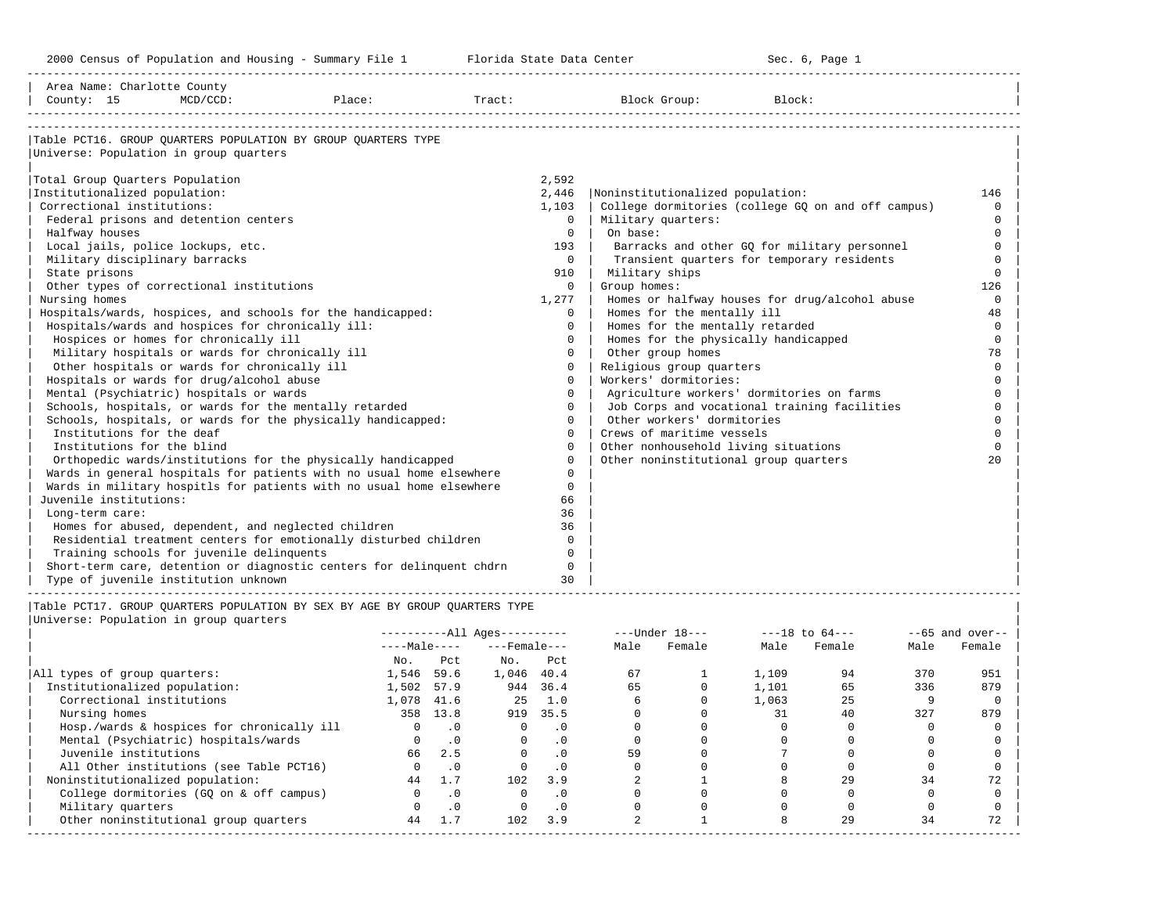-----------------------------------------------------------------------------------------------------------------------------------------------------

| Area Name: Charlotte County<br>County: 15         | $MCD/CCD$ : | Place:                                                                      | Tract: |              | Block Group:                              | Block:                                             |              |
|---------------------------------------------------|-------------|-----------------------------------------------------------------------------|--------|--------------|-------------------------------------------|----------------------------------------------------|--------------|
|                                                   |             |                                                                             |        |              |                                           |                                                    |              |
|                                                   |             | Table PCT16. GROUP QUARTERS POPULATION BY GROUP QUARTERS TYPE               |        |              |                                           |                                                    |              |
| Universe: Population in group quarters            |             |                                                                             |        |              |                                           |                                                    |              |
| Total Group Quarters Population                   |             |                                                                             |        | 2,592        |                                           |                                                    |              |
| Institutionalized population:                     |             |                                                                             |        | 2,446        | Noninstitutionalized population:          |                                                    | 146          |
| Correctional institutions:                        |             |                                                                             |        | 1,103        |                                           | College dormitories (college GQ on and off campus) | $\Omega$     |
| Federal prisons and detention centers             |             |                                                                             |        | $\Omega$     | Military quarters:                        |                                                    | $\Omega$     |
| Halfway houses                                    |             |                                                                             |        | $\Omega$     | On base:                                  |                                                    | $\Omega$     |
| Local jails, police lockups, etc.                 |             |                                                                             |        | 193          |                                           | Barracks and other GQ for military personnel       | $\cap$       |
| Military disciplinary barracks                    |             |                                                                             |        | $\mathbf{0}$ |                                           | Transient quarters for temporary residents         | $\Omega$     |
| State prisons                                     |             |                                                                             |        | 910          | Military ships                            |                                                    | $\Omega$     |
| Other types of correctional institutions          |             |                                                                             |        | $\Omega$     | Group homes:                              |                                                    | 126          |
| Nursing homes                                     |             |                                                                             |        | 1,277        |                                           | Homes or halfway houses for drug/alcohol abuse     | $\Omega$     |
|                                                   |             | Hospitals/wards, hospices, and schools for the handicapped:                 |        | $\Omega$     | Homes for the mentally ill                |                                                    | 48           |
| Hospitals/wards and hospices for chronically ill: |             |                                                                             |        | $\Omega$     | Homes for the mentally retarded           |                                                    | $\Omega$     |
| Hospices or homes for chronically ill             |             |                                                                             |        | $\Omega$     | Homes for the physically handicapped      |                                                    | $\Omega$     |
| Military hospitals or wards for chronically ill   |             |                                                                             |        | 0            | Other group homes                         |                                                    | 78           |
| Other hospitals or wards for chronically ill      |             |                                                                             |        | $\Omega$     | Religious group quarters                  |                                                    | $\Omega$     |
| Hospitals or wards for drug/alcohol abuse         |             |                                                                             |        | $\Omega$     | Workers' dormitories:                     |                                                    |              |
| Mental (Psychiatric) hospitals or wards           |             |                                                                             |        | $\cap$       | Agriculture workers' dormitories on farms |                                                    | $\cap$       |
|                                                   |             | Schools, hospitals, or wards for the mentally retarded                      |        | $\Omega$     |                                           | Job Corps and vocational training facilities       | $\Omega$     |
|                                                   |             | Schools, hospitals, or wards for the physically handicapped:                |        | $\Omega$     | Other workers' dormitories                |                                                    | $\Omega$     |
| Institutions for the deaf                         |             |                                                                             |        | $\Omega$     | Crews of maritime vessels                 |                                                    | $\cap$       |
| Institutions for the blind                        |             |                                                                             |        | $\Omega$     | Other nonhousehold living situations      |                                                    | $\Omega$     |
|                                                   |             | Orthopedic wards/institutions for the physically handicapped                |        | $\Omega$     | Other noninstitutional group quarters     |                                                    | $20^{\circ}$ |
|                                                   |             | Wards in general hospitals for patients with no usual home elsewhere        |        | $\Omega$     |                                           |                                                    |              |
|                                                   |             | Wards in military hospitls for patients with no usual home elsewhere        |        | $\Omega$     |                                           |                                                    |              |
| Juvenile institutions:                            |             |                                                                             |        | 66           |                                           |                                                    |              |
| Long-term care:                                   |             |                                                                             |        | 36           |                                           |                                                    |              |
|                                                   |             | Homes for abused, dependent, and neglected children                         |        | 36           |                                           |                                                    |              |
|                                                   |             | Residential treatment centers for emotionally disturbed children            |        | $\Omega$     |                                           |                                                    |              |
| Training schools for juvenile delinquents         |             |                                                                             |        | $\Omega$     |                                           |                                                    |              |
|                                                   |             | Short-term care, detention or diagnostic centers for delinguent chdrn       |        | $\mathbf 0$  |                                           |                                                    |              |
| Type of juvenile institution unknown              |             |                                                                             |        | 30           |                                           |                                                    |              |
|                                                   |             | Table PCT17. GROUP OUARTERS POPULATION BY SEX BY AGE BY GROUP OUARTERS TYPE |        |              |                                           |                                                    |              |
| Universe: Population in group quarters            |             |                                                                             |        |              |                                           |                                                    |              |
|                                                   |             | $-11$                                                                       |        |              | $-1$ $-1$ $-1$ $\alpha$                   | $\overline{10}$ $\overline{10}$                    |              |

|                                            |              |           | ----------All Ages---------- |           |      | $---Under 18---$ |       | $---18$ to $64---$ |      | $--65$ and over-- |
|--------------------------------------------|--------------|-----------|------------------------------|-----------|------|------------------|-------|--------------------|------|-------------------|
|                                            | $---Male---$ |           | $---$ Female $---$           |           | Male | Female           | Male  | Female             | Male | Female            |
|                                            | No.          | Pct       | No.                          | Pct       |      |                  |       |                    |      |                   |
| All types of group quarters:               | 1,546        | 59.6      | 1,046                        | 40.4      | 67   |                  | 1,109 | 94                 | 370  | 951               |
| Institutionalized population:              | 1,502        | 57.9      | 944                          | 36.4      | 65   |                  | 1,101 | 65                 | 336  | 879               |
| Correctional institutions                  | 1,078        | 41.6      | 25                           | 1.0       |      |                  | 1,063 | 25                 |      |                   |
| Nursing homes                              |              | 358 13.8  | 919                          | 35.5      |      |                  | 31    | 40                 | 327  | 879               |
| Hosp./wards & hospices for chronically ill |              | $\cdot$ 0 |                              | $\cdot$ 0 |      |                  |       |                    |      |                   |
| Mental (Psychiatric) hospitals/wards       |              | $\cdot$ 0 |                              |           |      |                  |       |                    |      |                   |
| Juvenile institutions                      | 66           | 2.5       |                              | $\cdot$ 0 | 59   |                  |       |                    |      |                   |
| All Other institutions (see Table PCT16)   |              | $\cdot$ 0 |                              | $\cdot$ 0 |      |                  |       |                    |      |                   |
| Noninstitutionalized population:           | 44           | 1.7       | 102                          | 3.9       |      |                  |       | 29                 | 34   |                   |
| College dormitories (GO on & off campus)   |              | $\cdot$ 0 |                              | $\cdot$ 0 |      |                  |       |                    |      |                   |
| Military quarters                          |              | $\cdot$ 0 |                              | $\cdot$ 0 |      |                  |       |                    |      |                   |
| Other noninstitutional group quarters      | 44           | 1.7       | 102                          | 3.9       |      |                  |       | 29                 | 34   | 72                |
|                                            |              |           |                              |           |      |                  |       |                    |      |                   |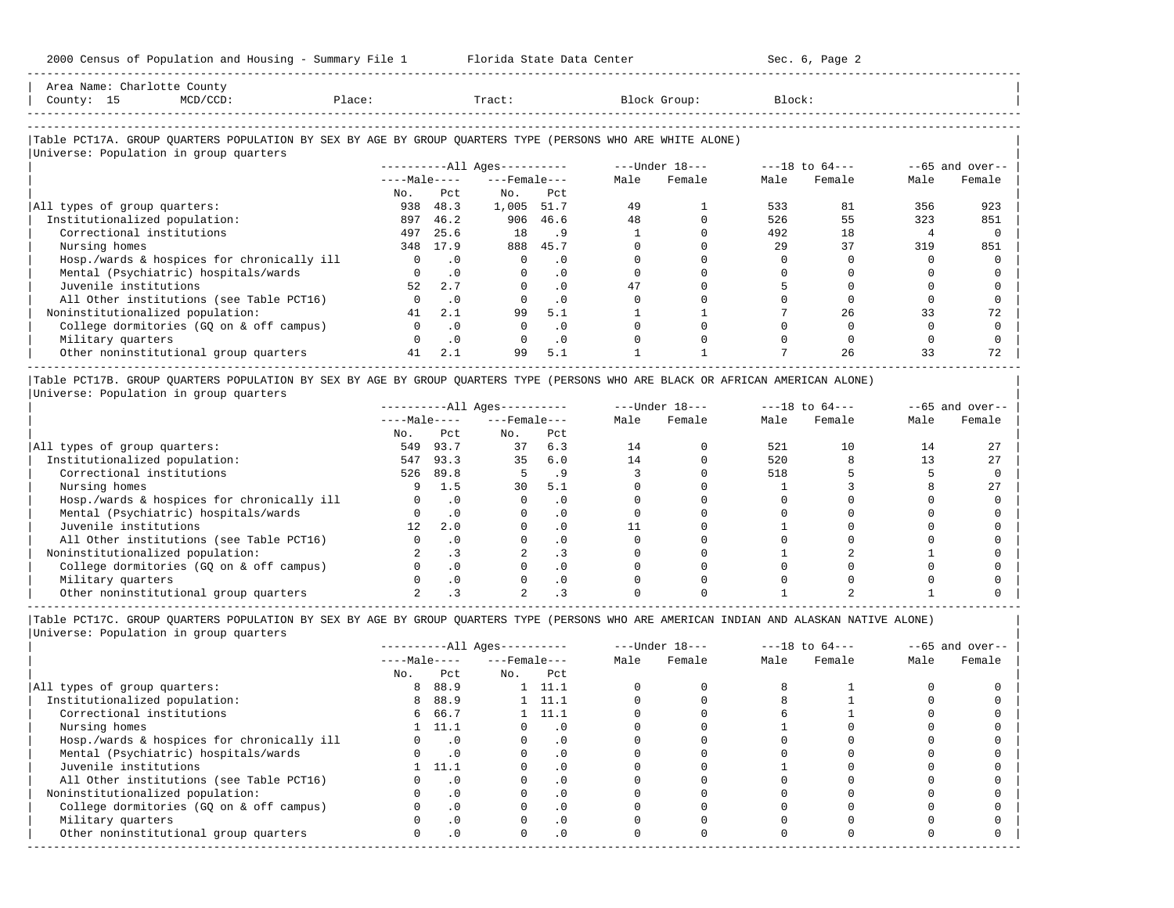| Area Name: Charlotte County |                                        |                                                                                                            |                              |                |                |                           |
|-----------------------------|----------------------------------------|------------------------------------------------------------------------------------------------------------|------------------------------|----------------|----------------|---------------------------|
| County: 15                  | MCD/CCD:                               | Place:                                                                                                     | Tract:                       | Block Group:   | Block:         |                           |
|                             |                                        |                                                                                                            |                              |                |                |                           |
|                             |                                        |                                                                                                            |                              |                |                |                           |
|                             |                                        | Table PCT17A. GROUP QUARTERS POPULATION BY SEX BY AGE BY GROUP QUARTERS TYPE (PERSONS WHO ARE WHITE ALONE) |                              |                |                |                           |
|                             | Universe: Population in group quarters |                                                                                                            |                              |                |                |                           |
|                             |                                        |                                                                                                            | ----------All Ages---------- | ---Under 18--- | ---18 to 64--- | $--65$ and over-- $\vert$ |
|                             |                                        |                                                                                                            | __                           | .              | .              |                           |

-----------------------------------------------------------------------------------------------------------------------------------------------------

|                                            | $---Male---$ |           | $---$ Female $---$ |           | Male | Female | Male | Female | Male | Female |
|--------------------------------------------|--------------|-----------|--------------------|-----------|------|--------|------|--------|------|--------|
|                                            | No.          | Pct       | No.                | Pct       |      |        |      |        |      |        |
| All types of group quarters:               | 938          | 48.3      | 1,005              | 51.7      | 49   |        | 533  | 81     | 356  | 923    |
| Institutionalized population:              | 897          | 46.2      | 906                | 46.6      | 48   |        | 526  | 55     | 323  | 851    |
| Correctional institutions                  | 497          | 25.6      | 18                 | . 9       |      |        | 492  | 18     |      |        |
| Nursing homes                              | 348          | 17.9      | 888                | 45.7      |      |        | 29   | 37     | 319  | 851    |
| Hosp./wards & hospices for chronically ill |              |           |                    | . 0       |      |        |      |        |      |        |
| Mental (Psychiatric) hospitals/wards       |              | .0        |                    | . 0       |      |        |      |        |      |        |
| Juvenile institutions                      | 52           | 2.7       |                    | $\cdot$ 0 |      |        |      |        |      |        |
| All Other institutions (see Table PCT16)   |              | $\cdot$ 0 |                    | $\cdot$ 0 |      |        |      |        |      |        |
| Noninstitutionalized population:           | 41           | 2.1       | 99                 | 5.1       |      |        |      | 26     | 33   |        |
| College dormitories (GO on & off campus)   |              | $\cdot$ 0 |                    | $\cdot$ 0 |      |        |      |        |      |        |
| Military quarters                          |              | .0        |                    | $\cdot$ 0 |      |        |      |        |      |        |
| Other noninstitutional group quarters      | 41           | 2.1       | 99                 | 5.1       |      |        |      | 26     | 33   |        |

|Table PCT17B. GROUP QUARTERS POPULATION BY SEX BY AGE BY GROUP QUARTERS TYPE (PERSONS WHO ARE BLACK OR AFRICAN AMERICAN ALONE) | |Universe: Population in group quarters |

|                                            |              |      | $------All Ages------$ |          | $---Under 18---$ |        | $---18$ to $64---$ |        | $--65$ and over-- |        |
|--------------------------------------------|--------------|------|------------------------|----------|------------------|--------|--------------------|--------|-------------------|--------|
|                                            | $---Male---$ |      | $---$ Female $---$     |          | Male             | Female | Male               | Female | Male              | Female |
|                                            | No.          | Pct  | No.                    | Pct      |                  |        |                    |        |                   |        |
| All types of group quarters:               | 549          | 93.7 | 37                     | 6.3      | 14               |        | 521                | 10     | 14                |        |
| Institutionalized population:              | 547          | 93.3 | 35                     | 6.0      | 14               |        | 520                |        |                   | 27     |
| Correctional institutions                  | 526          | 89.8 |                        |          |                  |        | 518                |        |                   |        |
| Nursing homes                              |              | 1.5  | 30                     | 5.1      |                  |        |                    |        |                   |        |
| Hosp./wards & hospices for chronically ill |              |      |                        |          |                  |        |                    |        |                   |        |
| Mental (Psychiatric) hospitals/wards       |              |      |                        |          |                  |        |                    |        |                   |        |
| Juvenile institutions                      |              | 2.0  |                        | . 0      |                  |        |                    |        |                   |        |
| All Other institutions (see Table PCT16)   |              |      |                        |          |                  |        |                    |        |                   |        |
| Noninstitutionalized population:           |              |      |                        | . 3      |                  |        |                    |        |                   |        |
| College dormitories (GO on & off campus)   |              |      |                        | $\Omega$ |                  |        |                    |        |                   |        |
| Military quarters                          |              |      |                        | . 0      |                  |        |                    |        |                   |        |
| Other noninstitutional group quarters      |              |      |                        |          |                  |        |                    |        |                   |        |

-----------------------------------------------------------------------------------------------------------------------------------------------------

|Table PCT17C. GROUP QUARTERS POPULATION BY SEX BY AGE BY GROUP QUARTERS TYPE (PERSONS WHO ARE AMERICAN INDIAN AND ALASKAN NATIVE ALONE) | |Universe: Population in group quarters |

|                                            |              |                | $------All Ages------$ |                |      | $---Under 18---$ |      | $---18$ to $64---$ |      | $--65$ and over-- |
|--------------------------------------------|--------------|----------------|------------------------|----------------|------|------------------|------|--------------------|------|-------------------|
|                                            | $---Male---$ |                | $---$ Female $---$     |                | Male | Female           | Male | Female             | Male | Female            |
|                                            | No.          | Pct            | No.                    | Pct            |      |                  |      |                    |      |                   |
| All types of group quarters:               | 8            | 88.9           |                        | $1 \quad 11.1$ |      |                  |      |                    |      |                   |
| Institutionalized population:              | 8            | 88.9           |                        | $1 \quad 11.1$ |      |                  |      |                    |      |                   |
| Correctional institutions                  |              | 6 66.7         |                        | 1 11.1         |      |                  |      |                    |      |                   |
| Nursing homes                              |              | 1, 11.1        |                        | . 0            |      |                  |      |                    |      |                   |
| Hosp./wards & hospices for chronically ill |              | $\cdot$ 0      |                        | . 0            |      |                  |      |                    |      |                   |
| Mental (Psychiatric) hospitals/wards       |              | $\overline{0}$ |                        | . 0            |      |                  |      |                    |      |                   |
| Juvenile institutions                      |              | 11.1           |                        | $\cdot$ 0      |      |                  |      |                    |      |                   |
| All Other institutions (see Table PCT16)   |              | $\cdot$ 0      |                        | $\cdot$ 0      |      |                  |      |                    |      |                   |
| Noninstitutionalized population:           |              | $\cdot$ 0      |                        | $\Omega$ .     |      |                  |      |                    |      |                   |
| College dormitories (GQ on & off campus)   |              | $\cdot$ 0      |                        | $\cdot$ 0      |      |                  |      |                    |      |                   |
| Military quarters                          |              | . 0            |                        | $\cdot$ 0      |      |                  |      |                    |      |                   |
| Other noninstitutional group quarters      | <sup>n</sup> | $\cdot$ 0      |                        | $\cdot$ 0      |      |                  |      |                    |      |                   |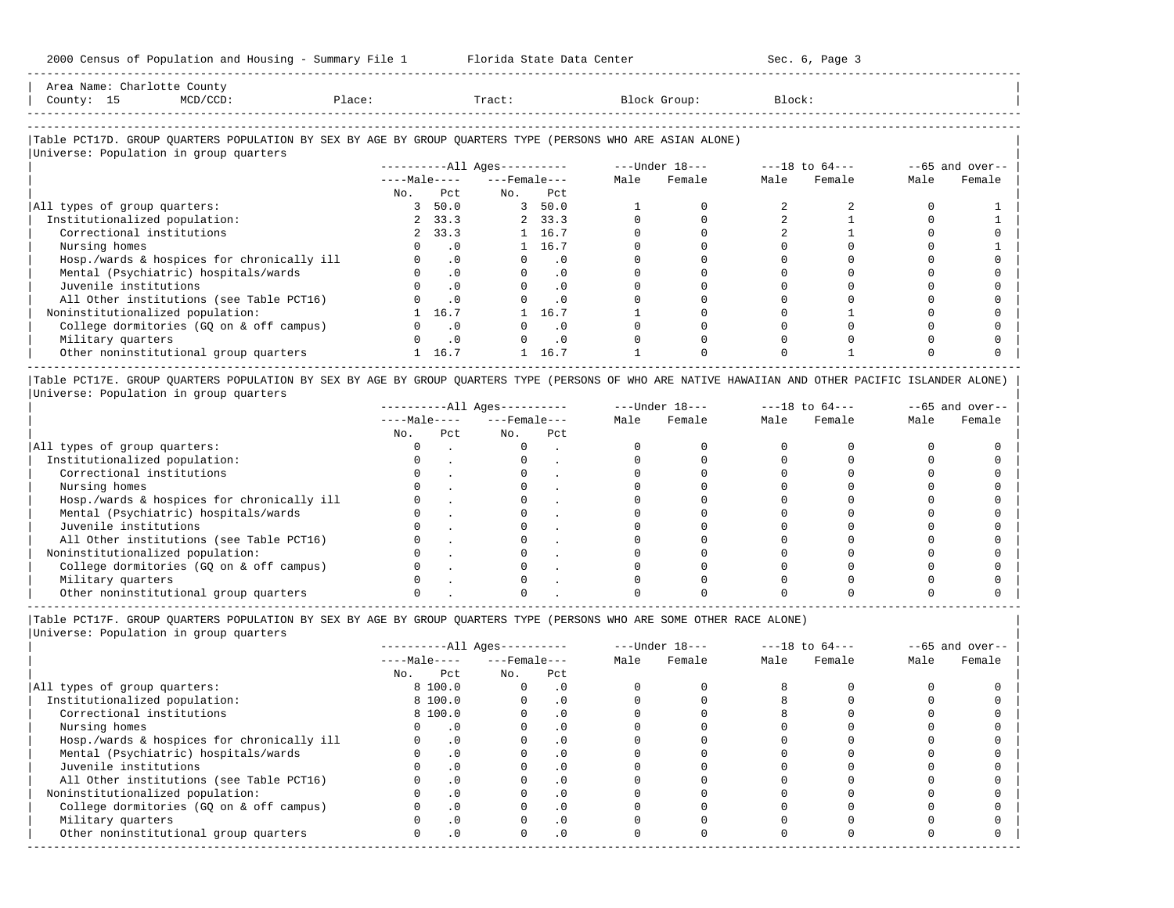-----------------------------------------------------------------------------------------------------------------------------------------------------

-----------------------------------------------------------------------------------------------------------------------------------------------------

| Area Name: Charl |    |       |        |        |                    |        |  |
|------------------|----|-------|--------|--------|--------------------|--------|--|
| County:          | ŢР | 1/CCD | Place: | Tract. | Block<br>$T$ roun. | Block: |  |
|                  |    |       |        |        |                    |        |  |

# |Table PCT17D. GROUP QUARTERS POPULATION BY SEX BY AGE BY GROUP QUARTERS TYPE (PERSONS WHO ARE ASIAN ALONE) |

|                                            |              |           | ----------All Ages---------- |           |      | ---Under 18--- |      | $---18$ to $64---$ |      | $--65$ and over-- |
|--------------------------------------------|--------------|-----------|------------------------------|-----------|------|----------------|------|--------------------|------|-------------------|
|                                            | $---Male---$ |           | $---$ Female $---$           |           | Male | Female         | Male | Female             | Male | Female            |
|                                            | No.          | Pct.      | No.                          | Pct       |      |                |      |                    |      |                   |
| All types of group quarters:               |              | 3, 50.0   |                              | 3, 50.0   |      |                |      |                    |      |                   |
| Institutionalized population:              |              | 2, 33.3   |                              | 2, 33.3   |      |                |      |                    |      |                   |
| Correctional institutions                  |              | 2, 33.3   |                              | 1 16.7    |      |                |      |                    |      |                   |
| Nursing homes                              |              | $\cdot$ 0 |                              | 1 16.7    |      |                |      |                    |      |                   |
| Hosp./wards & hospices for chronically ill |              | $\cdot$ 0 |                              | $\cdot$ 0 |      |                |      |                    |      |                   |
| Mental (Psychiatric) hospitals/wards       |              | $\cdot$ 0 |                              | $\cdot$ 0 |      |                |      |                    |      |                   |
| Juvenile institutions                      |              | $\cdot$ 0 |                              | $\cdot$ 0 |      |                |      |                    |      |                   |
| All Other institutions (see Table PCT16)   |              | $\cdot$ 0 |                              | $\cdot$ 0 |      |                |      |                    |      |                   |
| Noninstitutionalized population:           |              | 16.7      |                              | 16.7      |      |                |      |                    |      |                   |
| College dormitories (GO on & off campus)   |              | $\cdot$ 0 |                              | $\cdot$ 0 |      |                |      |                    |      |                   |
| Military quarters                          |              | $\cdot$ 0 |                              | $\cdot$ 0 |      |                |      |                    |      |                   |
| Other noninstitutional group quarters      |              | 16.7      |                              | 16.7      |      |                |      |                    |      |                   |

|Table PCT17E. GROUP QUARTERS POPULATION BY SEX BY AGE BY GROUP QUARTERS TYPE (PERSONS OF WHO ARE NATIVE HAWAIIAN AND OTHER PACIFIC ISLANDER ALONE) | |Universe: Population in group quarters |

|                                            |              |     | $------All Aqes------$ |     |      | $---Under 18---$ |      | $---18$ to $64---$ |      | $- -65$ and over-- |
|--------------------------------------------|--------------|-----|------------------------|-----|------|------------------|------|--------------------|------|--------------------|
|                                            | $---Male---$ |     | $---$ Female $---$     |     | Male | Female           | Male | Female             | Male | Female             |
|                                            | No.          | Pct | No.                    | Pct |      |                  |      |                    |      |                    |
| All types of group quarters:               |              |     |                        |     |      |                  |      |                    |      |                    |
| Institutionalized population:              |              |     |                        |     |      |                  |      |                    |      |                    |
| Correctional institutions                  |              |     |                        |     |      |                  |      |                    |      |                    |
| Nursing homes                              |              |     |                        |     |      |                  |      |                    |      |                    |
| Hosp./wards & hospices for chronically ill |              |     |                        |     |      |                  |      |                    |      |                    |
| Mental (Psychiatric) hospitals/wards       |              |     |                        |     |      |                  |      |                    |      |                    |
| Juvenile institutions                      |              |     |                        |     |      |                  |      |                    |      |                    |
| All Other institutions (see Table PCT16)   |              |     |                        |     |      |                  |      |                    |      |                    |
| Noninstitutionalized population:           |              |     |                        |     |      |                  |      |                    |      |                    |
| College dormitories (GO on & off campus)   |              |     |                        |     |      |                  |      |                    |      |                    |
| Military quarters                          |              |     |                        |     |      |                  |      |                    |      |                    |
| Other noninstitutional group quarters      |              |     |                        |     |      |                  |      |                    |      |                    |

|Table PCT17F. GROUP QUARTERS POPULATION BY SEX BY AGE BY GROUP QUARTERS TYPE (PERSONS WHO ARE SOME OTHER RACE ALONE) |

|                                            |              |           | $------All Aqes------$ |            |      | $---Under 18---$ |      | $---18$ to $64---$ |      | $--65$ and over-- |
|--------------------------------------------|--------------|-----------|------------------------|------------|------|------------------|------|--------------------|------|-------------------|
|                                            | $---Male---$ |           | $---$ Female ---       |            | Male | Female           | Male | Female             | Male | Female            |
|                                            | No.          | Pct       | No.                    | Pct        |      |                  |      |                    |      |                   |
| All types of group quarters:               |              | 8 100.0   |                        | . 0        |      |                  |      |                    |      |                   |
| Institutionalized population:              |              | 8 100.0   |                        | $\cdot$ 0  |      |                  |      |                    |      |                   |
| Correctional institutions                  |              | 8 100.0   |                        | . 0        |      |                  |      |                    |      |                   |
| Nursing homes                              |              | . 0       |                        |            |      |                  |      |                    |      |                   |
| Hosp./wards & hospices for chronically ill |              | $\cdot$ 0 |                        | $\cdot$ 0  |      |                  |      |                    |      |                   |
| Mental (Psychiatric) hospitals/wards       |              | $\cdot$ 0 |                        | $\cdot$ 0  |      |                  |      |                    |      |                   |
| Juvenile institutions                      |              |           |                        | .0         |      |                  |      |                    |      |                   |
| All Other institutions (see Table PCT16)   |              | $\cdot$ 0 |                        | . 0        |      |                  |      |                    |      |                   |
| Noninstitutionalized population:           |              | $\cdot$ 0 |                        | $\cdot$ 0  |      |                  |      |                    |      |                   |
| College dormitories (GO on & off campus)   |              |           |                        | $\cdot$ 0  |      |                  |      |                    |      |                   |
| Military quarters                          |              | $\cdot$ 0 |                        | $\cdot$ 0  |      |                  |      |                    |      |                   |
| Other noninstitutional group quarters      | <sup>n</sup> | $\cdot$ 0 |                        | $.0 \cdot$ |      |                  |      |                    |      |                   |
|                                            |              |           |                        |            |      |                  |      |                    |      |                   |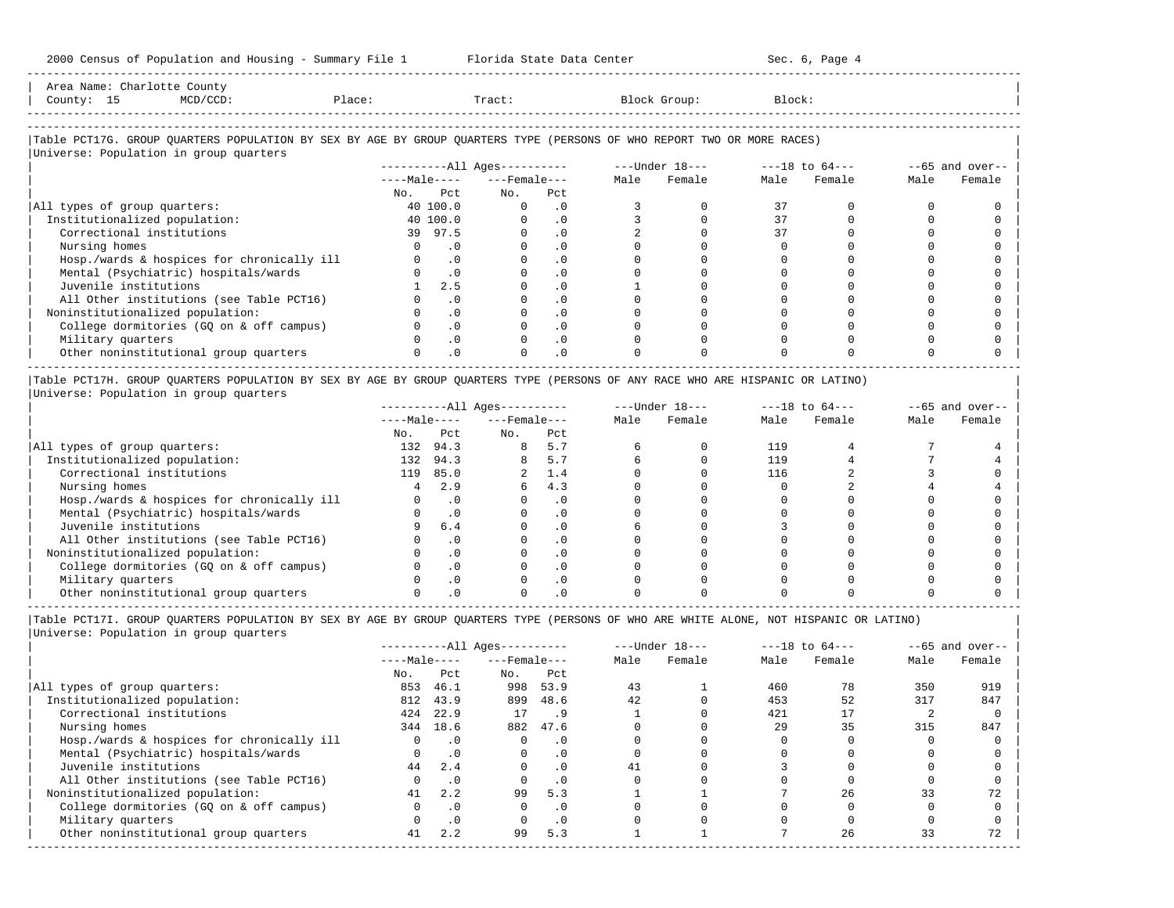|            | Area Name: Charlotte County                                                                                            |        |                          |          |      |                |                |      |                   |
|------------|------------------------------------------------------------------------------------------------------------------------|--------|--------------------------|----------|------|----------------|----------------|------|-------------------|
| County: 15 | MCD/CCD:                                                                                                               | Place: | Tract:                   |          |      | Block Group:   | Block:         |      |                   |
|            |                                                                                                                        |        |                          |          |      |                |                |      |                   |
|            |                                                                                                                        |        |                          |          |      |                |                |      |                   |
|            | Table PCT17G. GROUP QUARTERS POPULATION BY SEX BY AGE BY GROUP QUARTERS TYPE (PERSONS OF WHO REPORT TWO OR MORE RACES) |        |                          |          |      |                |                |      |                   |
|            | Universe: Population in group quarters                                                                                 |        |                          |          |      |                |                |      |                   |
|            |                                                                                                                        |        | $------All Aqes------$   |          |      | ---Under 18--- | ---18 to 64--- |      | $--65$ and over-- |
|            |                                                                                                                        |        | $---Male-- ---Female---$ |          | Male | Female         | Male Female    | Male | Female            |
|            |                                                                                                                        | No.    | Pct<br>No.               | Pct      |      |                |                |      |                   |
|            | All types of group quarters:                                                                                           |        | 40 100.0                 | $\Omega$ |      |                |                |      |                   |

-----------------------------------------------------------------------------------------------------------------------------------------------------

|                                            |            | .        |  |  |  |  |
|--------------------------------------------|------------|----------|--|--|--|--|
| All types of group quarters:               | 40 100.0   |          |  |  |  |  |
| Institutionalized population:              | 40 100.0   |          |  |  |  |  |
| Correctional institutions                  | 97.5<br>39 |          |  |  |  |  |
| Nursing homes                              |            |          |  |  |  |  |
| Hosp./wards & hospices for chronically ill |            |          |  |  |  |  |
| Mental (Psychiatric) hospitals/wards       |            |          |  |  |  |  |
| Juvenile institutions                      | 2.5        |          |  |  |  |  |
| All Other institutions (see Table PCT16)   |            |          |  |  |  |  |
| Noninstitutionalized population:           |            |          |  |  |  |  |
| College dormitories (GQ on & off campus)   |            | $\Omega$ |  |  |  |  |
| Military quarters                          |            |          |  |  |  |  |
| Other noninstitutional group quarters      |            |          |  |  |  |  |
|                                            |            |          |  |  |  |  |

|Table PCT17H. GROUP QUARTERS POPULATION BY SEX BY AGE BY GROUP QUARTERS TYPE (PERSONS OF ANY RACE WHO ARE HISPANIC OR LATINO) | |Universe: Population in group quarters |

|                                            |              |           | $------All Aqes------$ |           |      | $---Under 18---$ |      | $---18$ to $64---$ |      | $--65$ and over-- |
|--------------------------------------------|--------------|-----------|------------------------|-----------|------|------------------|------|--------------------|------|-------------------|
|                                            | $---Male---$ |           | $---$ Female $---$     |           | Male | Female           | Male | Female             | Male | Female            |
|                                            | No.          | Pct       | No.                    | Pct       |      |                  |      |                    |      |                   |
| All types of group quarters:               | 132          | 94.3      | 8                      | 5.7       |      |                  | 119  |                    |      |                   |
| Institutionalized population:              | 132          | 94.3      | 8                      | 5.7       |      |                  | 119  |                    |      |                   |
| Correctional institutions                  | 119          | 85.0      |                        | - 1.4     |      |                  | 116  |                    |      |                   |
| Nursing homes                              |              | 2.9       | б.                     | 4.3       |      |                  |      |                    |      |                   |
| Hosp./wards & hospices for chronically ill |              | . 0       |                        | . 0       |      |                  |      |                    |      |                   |
| Mental (Psychiatric) hospitals/wards       |              |           |                        | $\cdot$ 0 |      |                  |      |                    |      |                   |
| Juvenile institutions                      |              | 6.4       |                        | . 0       |      |                  |      |                    |      |                   |
| All Other institutions (see Table PCT16)   |              |           |                        | $\cdot$ 0 |      |                  |      |                    |      |                   |
| Noninstitutionalized population:           |              |           |                        | . 0       |      |                  |      |                    |      |                   |
| College dormitories (GQ on & off campus)   |              | $\cdot$ 0 |                        | $\cdot$ 0 |      |                  |      |                    |      |                   |
| Military quarters                          |              |           |                        | $\cdot$ 0 |      |                  |      |                    |      |                   |
| Other noninstitutional group quarters      |              |           |                        |           |      |                  |      |                    |      |                   |

-----------------------------------------------------------------------------------------------------------------------------------------------------

|Table PCT17I. GROUP QUARTERS POPULATION BY SEX BY AGE BY GROUP QUARTERS TYPE (PERSONS OF WHO ARE WHITE ALONE, NOT HISPANIC OR LATINO) |

|                                            |              |           | $------All Ages------$ |           |      | $---Under 18---$ |      | $---18$ to $64---$ |      | $--65$ and over-- |
|--------------------------------------------|--------------|-----------|------------------------|-----------|------|------------------|------|--------------------|------|-------------------|
|                                            | $---Male---$ |           | $---$ Female $---$     |           | Male | Female           | Male | Female             | Male | Female            |
|                                            | No.          | Pct       | No.                    | Pct       |      |                  |      |                    |      |                   |
| All types of group quarters:               | 853          | 46.1      | 998                    | 53.9      | 43   |                  | 460  | 78                 | 350  | 919               |
| Institutionalized population:              | 812          | 43.9      | 899                    | 48.6      | 42   |                  | 453  | 52                 | 317  | 847               |
| Correctional institutions                  | 424          | 22.9      | 17                     | .9        |      |                  | 421  |                    |      |                   |
| Nursing homes                              | 344          | 18.6      | 882                    | 47.6      |      |                  | 29   | 35                 | 315  | 847               |
| Hosp./wards & hospices for chronically ill | 0            | $\cdot$ 0 | $\Omega$               | $\cdot$ 0 |      |                  |      |                    |      |                   |
| Mental (Psychiatric) hospitals/wards       |              | $\cdot$ 0 | $\Omega$               | $\cdot$ 0 |      |                  |      |                    |      |                   |
| Juvenile institutions                      | 44           | 2.4       | $\Omega$               | $\cdot$ 0 | 41   |                  |      |                    |      |                   |
| All Other institutions (see Table PCT16)   |              | $\cdot$ 0 |                        | $\cdot$ 0 |      |                  |      |                    |      |                   |
| Noninstitutionalized population:           | 41           | 2.2       | 99                     | 5.3       |      |                  |      | 26                 |      | 72                |
| College dormitories (GO on & off campus)   |              | $\cdot$ 0 | $\Omega$               | $\cdot$ 0 |      |                  |      |                    |      |                   |
| Military quarters                          |              | $\cdot$ 0 |                        | $\cdot$ 0 |      |                  |      |                    |      |                   |
| Other noninstitutional group quarters      | 41           | 2.2       | 99                     | 5.3       |      |                  |      | 26                 | 33   | 72                |
|                                            |              |           |                        |           |      |                  |      |                    |      |                   |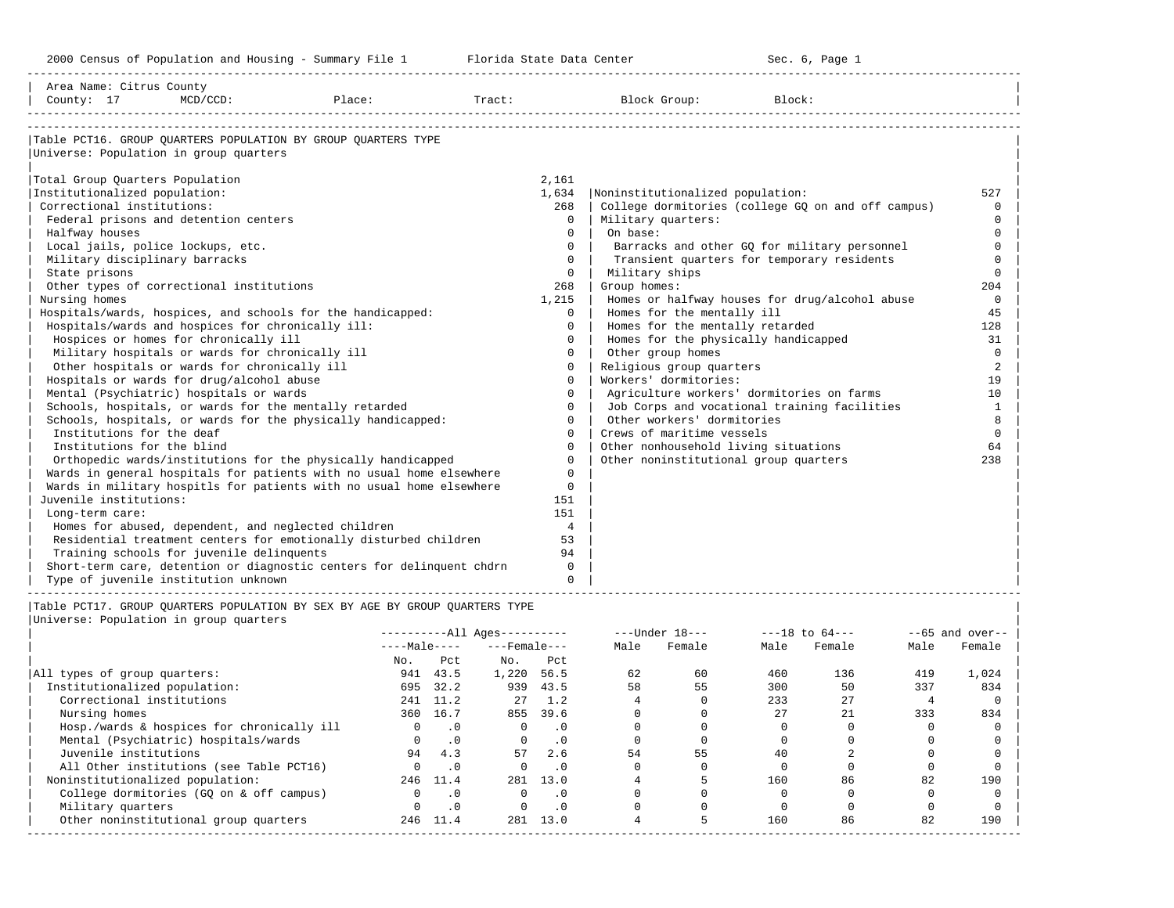| Area Name: Citrus County<br>County: 17                           | $MCD/CCD$ :                                         | Place:                                                                                                                               |          | Tract:                       |                      |                | Block Group:                                       | Block: |                |      |                    |             |
|------------------------------------------------------------------|-----------------------------------------------------|--------------------------------------------------------------------------------------------------------------------------------------|----------|------------------------------|----------------------|----------------|----------------------------------------------------|--------|----------------|------|--------------------|-------------|
|                                                                  |                                                     |                                                                                                                                      |          |                              |                      |                |                                                    |        |                |      |                    |             |
|                                                                  | Universe: Population in group quarters              | Table PCT16. GROUP OUARTERS POPULATION BY GROUP OUARTERS TYPE                                                                        |          |                              |                      |                |                                                    |        |                |      |                    |             |
| Total Group Quarters Population<br>Institutionalized population: |                                                     |                                                                                                                                      |          |                              | 2,161<br>1,634       |                | Noninstitutionalized population:                   |        |                |      |                    | 527         |
| Correctional institutions:                                       |                                                     |                                                                                                                                      |          |                              | 268                  |                | College dormitories (college GQ on and off campus) |        |                |      |                    | $\Omega$    |
|                                                                  | Federal prisons and detention centers               |                                                                                                                                      |          |                              | $\Omega$             |                | Military quarters:                                 |        |                |      |                    | $\Omega$    |
| Halfway houses                                                   |                                                     |                                                                                                                                      |          |                              | $\Omega$             | On base:       |                                                    |        |                |      |                    | $\Omega$    |
|                                                                  | Local jails, police lockups, etc.                   |                                                                                                                                      |          |                              | $\Omega$             |                | Barracks and other GQ for military personnel       |        |                |      |                    | $\Omega$    |
| Military disciplinary barracks                                   |                                                     |                                                                                                                                      |          |                              | $\Omega$             |                | Transient quarters for temporary residents         |        |                |      |                    | $\Omega$    |
| State prisons                                                    |                                                     |                                                                                                                                      |          |                              | $\Omega$             | Military ships |                                                    |        |                |      |                    | $\Omega$    |
|                                                                  | Other types of correctional institutions            |                                                                                                                                      |          |                              | 268                  | Group homes:   |                                                    |        |                |      |                    | 204         |
| Nursing homes                                                    |                                                     |                                                                                                                                      |          |                              | 1,215                |                | Homes or halfway houses for drug/alcohol abuse     |        |                |      |                    | $\mathbf 0$ |
|                                                                  |                                                     | Hospitals/wards, hospices, and schools for the handicapped:                                                                          |          |                              | $\Omega$             |                | Homes for the mentally ill                         |        |                |      |                    | 45          |
|                                                                  | Hospitals/wards and hospices for chronically ill:   |                                                                                                                                      |          |                              | $\Omega$             |                | Homes for the mentally retarded                    |        |                |      |                    | 128         |
|                                                                  | Hospices or homes for chronically ill               |                                                                                                                                      |          |                              | $\Omega$             |                | Homes for the physically handicapped               |        |                |      |                    | 31          |
|                                                                  | Military hospitals or wards for chronically ill     |                                                                                                                                      |          |                              | $\Omega$             |                | Other group homes                                  |        |                |      |                    | $\Omega$    |
|                                                                  | Other hospitals or wards for chronically ill        |                                                                                                                                      |          |                              | $\Omega$             |                | Religious group quarters                           |        |                |      |                    | 2           |
|                                                                  | Hospitals or wards for drug/alcohol abuse           |                                                                                                                                      |          |                              | $\Omega$             |                | Workers' dormitories:                              |        |                |      |                    | 19          |
|                                                                  | Mental (Psychiatric) hospitals or wards             |                                                                                                                                      |          |                              | $\Omega$             |                | Agriculture workers' dormitories on farms          |        |                |      |                    | 10          |
|                                                                  |                                                     | Schools, hospitals, or wards for the mentally retarded                                                                               |          |                              | $\Omega$             |                | Job Corps and vocational training facilities       |        |                |      |                    | 1           |
|                                                                  |                                                     | Schools, hospitals, or wards for the physically handicapped:                                                                         |          |                              | $\Omega$             |                | Other workers' dormitories                         |        |                |      |                    | 8           |
| Institutions for the deaf                                        |                                                     |                                                                                                                                      |          |                              | $\Omega$             |                | Crews of maritime vessels                          |        |                |      |                    | $\Omega$    |
| Institutions for the blind                                       |                                                     |                                                                                                                                      |          |                              | $\Omega$<br>$\Omega$ |                | Other nonhousehold living situations               |        |                |      |                    | 64<br>238   |
|                                                                  |                                                     | Orthopedic wards/institutions for the physically handicapped<br>Wards in general hospitals for patients with no usual home elsewhere |          |                              | $\Omega$             |                | Other noninstitutional group quarters              |        |                |      |                    |             |
|                                                                  |                                                     | Wards in military hospitls for patients with no usual home elsewhere                                                                 |          |                              | $\Omega$             |                |                                                    |        |                |      |                    |             |
| Juvenile institutions:                                           |                                                     |                                                                                                                                      |          |                              | 151                  |                |                                                    |        |                |      |                    |             |
| Long-term care:                                                  |                                                     |                                                                                                                                      |          |                              | 151                  |                |                                                    |        |                |      |                    |             |
|                                                                  | Homes for abused, dependent, and neglected children |                                                                                                                                      |          |                              | $\overline{4}$       |                |                                                    |        |                |      |                    |             |
|                                                                  |                                                     | Residential treatment centers for emotionally disturbed children                                                                     |          |                              | 53                   |                |                                                    |        |                |      |                    |             |
|                                                                  | Training schools for juvenile delinguents           |                                                                                                                                      |          |                              | 94                   |                |                                                    |        |                |      |                    |             |
|                                                                  |                                                     | Short-term care, detention or diagnostic centers for delinquent chdrn                                                                |          |                              | $\Omega$             |                |                                                    |        |                |      |                    |             |
|                                                                  | Type of juvenile institution unknown                |                                                                                                                                      |          |                              | $\Omega$             |                |                                                    |        |                |      |                    |             |
|                                                                  |                                                     | Table PCT17. GROUP OUARTERS POPULATION BY SEX BY AGE BY GROUP OUARTERS TYPE                                                          |          |                              |                      |                |                                                    |        |                |      |                    |             |
|                                                                  | Universe: Population in group quarters              |                                                                                                                                      |          |                              |                      |                |                                                    |        |                |      |                    |             |
|                                                                  |                                                     |                                                                                                                                      |          | ----------All Ages---------- |                      |                | ---Under 18---                                     |        | ---18 to 64--- |      | $- -65$ and over-- |             |
|                                                                  |                                                     |                                                                                                                                      |          | $---Male-- ---Female---$     |                      | Male           | Female                                             |        | Male Female    | Male | Female             |             |
|                                                                  |                                                     | No.                                                                                                                                  |          | Pct No.                      | Pct                  |                |                                                    |        |                |      |                    |             |
| All types of group quarters:                                     |                                                     |                                                                                                                                      | 941 43.5 | 1,220 56.5                   |                      | 62             | 60                                                 | 460    | 136            | 419  | 1,024              |             |

|                                            | NO. | PCL       | NO.   | PCL  |    |    |     |     |     |       |
|--------------------------------------------|-----|-----------|-------|------|----|----|-----|-----|-----|-------|
| All types of group quarters:               | 941 | 43.5      | 1,220 | 56.5 | 62 | 60 | 460 | 136 | 419 | 1,024 |
| Institutionalized population:              | 695 | 32.2      | 939   | 43.5 | 58 | 55 | 300 | 50  | 337 | 834   |
| Correctional institutions                  | 241 | 11.2      | 27    | 1.2  |    |    | 233 | 27  |     |       |
| Nursing homes                              | 360 | 16.7      | 855   | 39.6 |    |    | 27  | 21  | 333 | 834   |
| Hosp./wards & hospices for chronically ill |     |           |       |      |    |    |     |     |     |       |
| Mental (Psychiatric) hospitals/wards       |     | $\cdot$ 0 |       |      |    |    |     |     |     |       |
| Juvenile institutions                      | 94  | 4.3       | 57    | 2.6  | 54 | 55 | 40  |     |     |       |
| All Other institutions (see Table PCT16)   |     | $\cdot$ 0 |       |      |    |    |     |     |     |       |
| Noninstitutionalized population:           | 246 | 11.4      | 281   | 13.0 |    |    | 160 | 86  | 82  | 190   |
| College dormitories (GQ on & off campus)   |     | $\cdot$ 0 |       | . 0  |    |    |     |     |     |       |
| Military quarters                          |     | $\cdot$ 0 |       |      |    |    |     |     |     |       |
| Other noninstitutional group quarters      | 246 | 11.4      | 281   | 13.0 |    |    | 160 | 86  | 82  | 190   |
|                                            |     |           |       |      |    |    |     |     |     |       |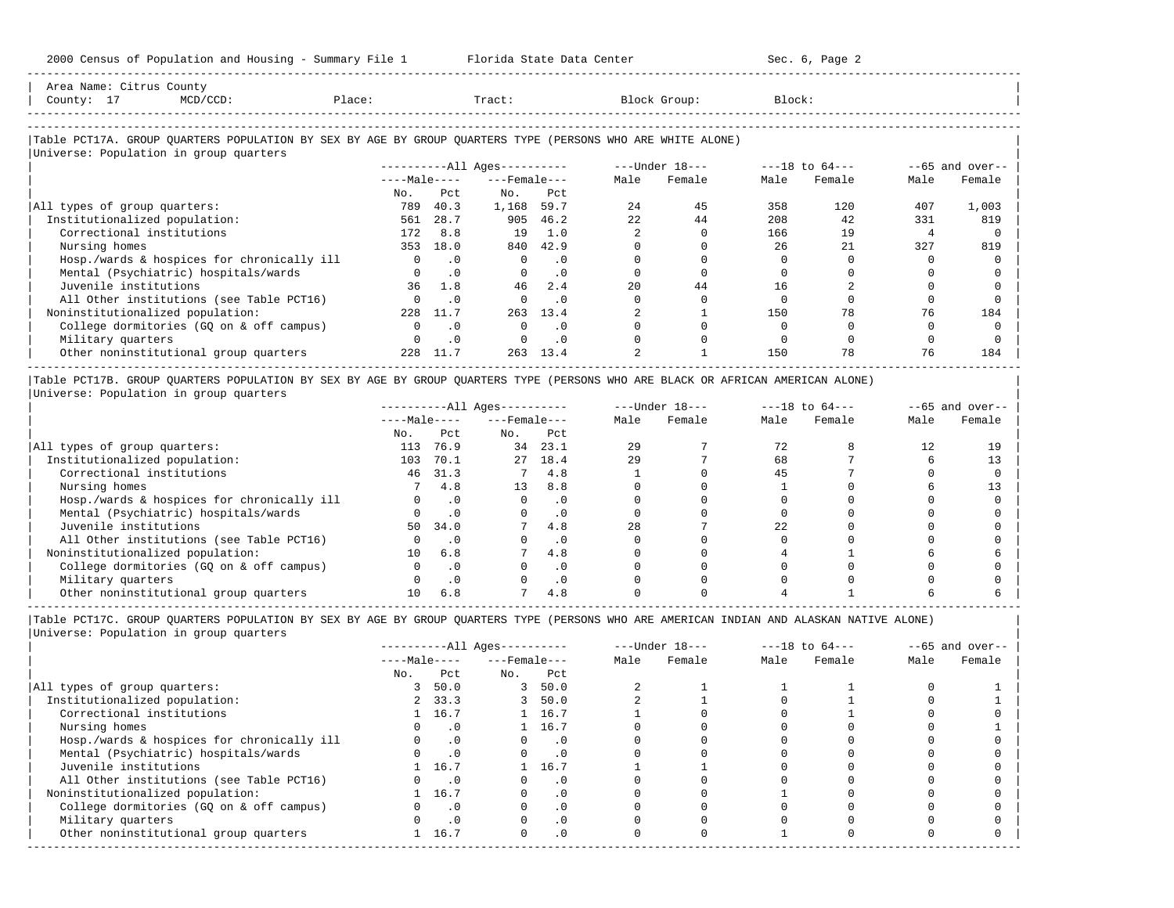2000 Census of Population and Housing - Summary File 1 Florida State Data Center Sec. 6, Page 2 -----------------------------------------------------------------------------------------------------------------------------------------------------

| Area Name: Citrus County<br>$MCD/CCD$ :<br>County: 17<br>Place:                                            |              |              | Tract:                 |           |      | Block Group:   | Block: |                    |      |                   |
|------------------------------------------------------------------------------------------------------------|--------------|--------------|------------------------|-----------|------|----------------|--------|--------------------|------|-------------------|
| Table PCT17A. GROUP QUARTERS POPULATION BY SEX BY AGE BY GROUP QUARTERS TYPE (PERSONS WHO ARE WHITE ALONE) |              |              |                        |           |      |                |        |                    |      |                   |
| Universe: Population in group quarters                                                                     |              |              | $------All Aqes------$ |           |      | ---Under 18--- |        | $---18$ to $64---$ |      | $--65$ and over-- |
|                                                                                                            |              | $---Male---$ | $---$ Female $---$     |           | Male | Female         | Male   | Female             | Male | Female            |
|                                                                                                            | No.          | Pct          | No.                    | Pct       |      |                |        |                    |      |                   |
| All types of group quarters:                                                                               | 789          | 40.3         | 1,168                  | 59.7      | 2.4  | 45             | 358    | 120                | 407  | 1,003             |
| Institutionalized population:                                                                              | 561          | 28.7         |                        | 905 46.2  | 2.2. | 44             | 208    | 42                 | 331  | 819               |
| Correctional institutions                                                                                  | 172          | 8.8          | 19                     | 1.0       |      |                | 166    | 19                 |      |                   |
| Nursing homes                                                                                              | 353          | 18.0         | 840                    | 42.9      |      |                | 26     | 2.1                | 327  | 819               |
| Hosp./wards & hospices for chronically ill                                                                 | $\mathbf{0}$ | . 0          | $\circ$                | . 0       |      |                |        |                    |      |                   |
| Mental (Psychiatric) hospitals/wards                                                                       |              | $\cdot$ 0    | $\Omega$               | $\cdot$ 0 |      |                |        |                    |      |                   |
| Juvenile institutions                                                                                      | 36           | 1.8          | 46                     | 2.4       | 20   | 44             | 16     |                    |      |                   |
| All Other institutions (see Table PCT16)                                                                   |              | $\cdot$ 0    |                        | $\cdot$ 0 |      |                |        |                    |      |                   |
| Noninstitutionalized population:                                                                           | 228          | 11.7         | 263                    | 13.4      |      |                | 150    | 78                 | 76   | 184               |
| College dormitories (GQ on & off campus)                                                                   | $\Omega$     | $\cdot$ 0    | $\Omega$               | . 0       |      |                |        |                    |      |                   |
| Military quarters                                                                                          |              | $\cdot$ 0    | 0                      | $\cdot$ 0 |      |                |        |                    |      |                   |

|Table PCT17B. GROUP QUARTERS POPULATION BY SEX BY AGE BY GROUP QUARTERS TYPE (PERSONS WHO ARE BLACK OR AFRICAN AMERICAN ALONE) | |Universe: Population in group quarters |

|                                            |              |           | $------All Ages------$ |           |      | $---Under 18---$ |      | $---18$ to $64---$ |      | $- -65$ and over-- |
|--------------------------------------------|--------------|-----------|------------------------|-----------|------|------------------|------|--------------------|------|--------------------|
|                                            | $---Male---$ |           | $---$ Female $---$     |           | Male | Female           | Male | Female             | Male | Female             |
|                                            | No.          | Pct       | No.                    | Pct       |      |                  |      |                    |      |                    |
| All types of group quarters:               | 113          | 76.9      | 34                     | -23.1     | 29   |                  | 72   |                    |      | 19                 |
| Institutionalized population:              | 103          | 70.1      | 27                     | 18.4      | 29   |                  | 68   |                    |      |                    |
| Correctional institutions                  | 46           | 31.3      |                        | 4.8       |      |                  | 45   |                    |      |                    |
| Nursing homes                              |              | 4.8       | 13                     | 8.8       |      |                  |      |                    |      |                    |
| Hosp./wards & hospices for chronically ill |              | $\cdot$ 0 |                        | . 0       |      |                  |      |                    |      |                    |
| Mental (Psychiatric) hospitals/wards       |              |           |                        | $\cdot$ 0 |      |                  |      |                    |      |                    |
| Juvenile institutions                      | 50           | 34.0      |                        | 4.8       | 28   |                  | 2.2. |                    |      |                    |
| All Other institutions (see Table PCT16)   |              |           |                        | $\cdot$ 0 |      |                  |      |                    |      |                    |
| Noninstitutionalized population:           | 10           | 6.8       |                        | 4.8       |      |                  |      |                    |      |                    |
| College dormitories (GO on & off campus)   |              | $\cdot$ 0 |                        | $\cdot$ 0 |      |                  |      |                    |      |                    |
| Military quarters                          |              | $\cdot$ 0 |                        | . 0       |      |                  |      |                    |      |                    |
| Other noninstitutional group quarters      |              | 6.8       |                        | 4.8       |      |                  |      |                    |      |                    |

-----------------------------------------------------------------------------------------------------------------------------------------------------

 $\vert$  Other noninstitutional group quarters  $\vert$  28  $\vert$  1.7  $\vert$  263  $\vert$  1.4  $\vert$  2  $\vert$   $\vert$  1.50  $\vert$  78  $\vert$  76  $\vert$  184  $\vert$ -----------------------------------------------------------------------------------------------------------------------------------------------------

|Table PCT17C. GROUP QUARTERS POPULATION BY SEX BY AGE BY GROUP QUARTERS TYPE (PERSONS WHO ARE AMERICAN INDIAN AND ALASKAN NATIVE ALONE) | |Universe: Population in group quarters |

|                                            |              |           | $------All Ages------$ |                            |      | $---Under 18---$ |      | $---18$ to $64---$ |      | $--65$ and over-- |
|--------------------------------------------|--------------|-----------|------------------------|----------------------------|------|------------------|------|--------------------|------|-------------------|
|                                            | $---Male---$ |           | $---$ Female $---$     |                            | Male | Female           | Male | Female             | Male | Female            |
|                                            | No.          | Pct       | No.                    | Pct                        |      |                  |      |                    |      |                   |
| All types of group quarters:               |              | 50.0      | 3                      | 50.0                       |      |                  |      |                    |      |                   |
| Institutionalized population:              |              | 2, 33.3   | 3                      | 50.0                       |      |                  |      |                    |      |                   |
| Correctional institutions                  |              | 1 16.7    |                        | 1 16.7                     |      |                  |      |                    |      |                   |
| Nursing homes                              |              | $\cdot$ 0 |                        | 1 16.7                     |      |                  |      |                    |      |                   |
| Hosp./wards & hospices for chronically ill |              | $\cdot$ 0 |                        | $\cdot$ 0                  |      |                  |      |                    |      |                   |
| Mental (Psychiatric) hospitals/wards       |              | $\cdot$ 0 |                        | $\overline{\phantom{0}}$ . |      |                  |      |                    |      |                   |
| Juvenile institutions                      |              | 16.7      |                        | 16.7                       |      |                  |      |                    |      |                   |
| All Other institutions (see Table PCT16)   |              | $\cdot$ 0 |                        | $\cdot$ 0                  |      |                  |      |                    |      |                   |
| Noninstitutionalized population:           |              | 16.7      | $\Omega$               | .0                         |      |                  |      |                    |      |                   |
| College dormitories (GQ on & off campus)   |              | $\cdot$ 0 |                        | $\cdot$ 0                  |      |                  |      |                    |      |                   |
| Military quarters                          |              | $\cdot$ 0 |                        | $\cdot$ 0                  |      |                  |      |                    |      |                   |
| Other noninstitutional group quarters      |              | 1 16.7    | $\Omega$               | $\cdot$ 0                  |      |                  |      |                    |      |                   |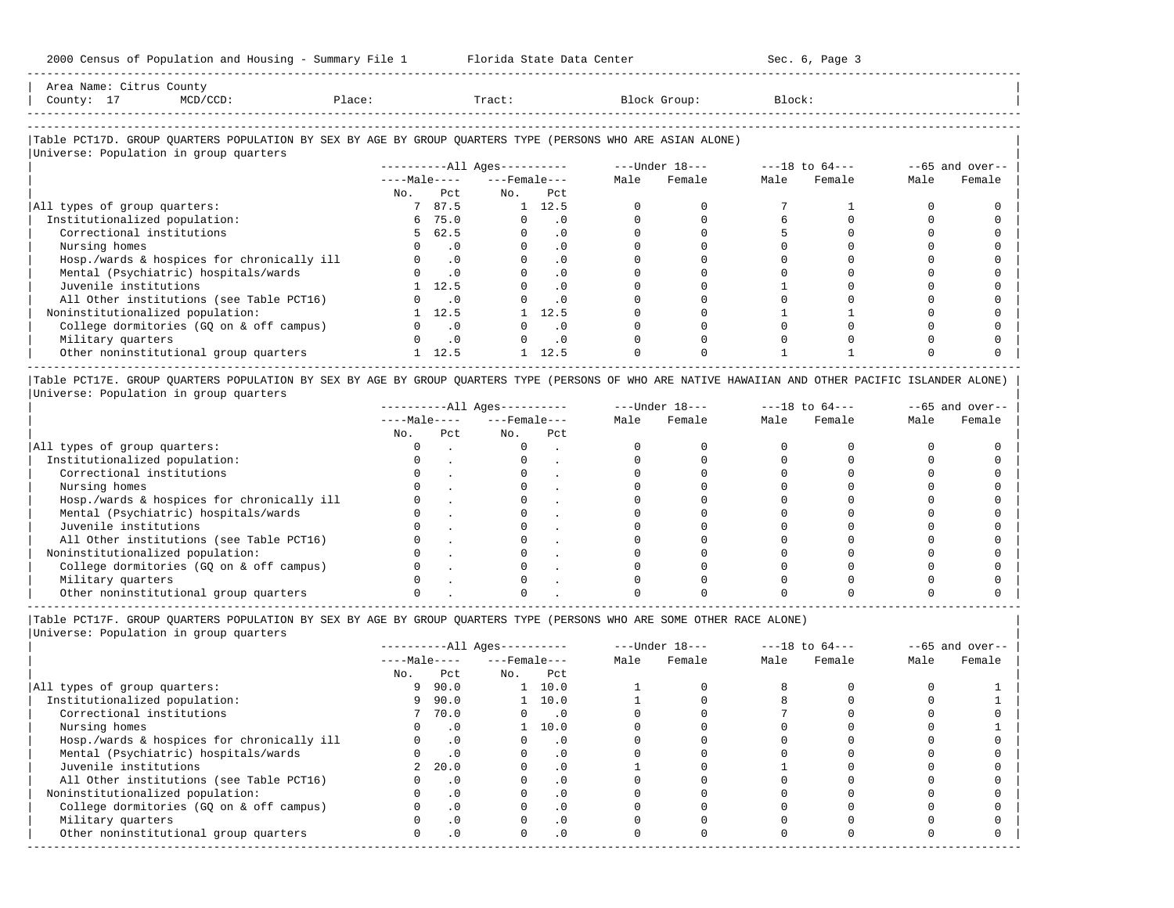| Name<br>Area         | $\bigcap_{i=1}^{n}$ $\bigcup_{i=1}^{n}$<br>County |        |       |       |        |  |
|----------------------|---------------------------------------------------|--------|-------|-------|--------|--|
| County<br><b>__</b>  |                                                   | Place: | Tract | Group | Block: |  |
| -------------------- |                                                   |        |       |       |        |  |

-----------------------------------------------------------------------------------------------------------------------------------------------------

### |Table PCT17D. GROUP QUARTERS POPULATION BY SEX BY AGE BY GROUP QUARTERS TYPE (PERSONS WHO ARE ASIAN ALONE) |

|                                            |              |           | $------All Ages------$ |                | ---Under 18--- |        | $---18$ to $64---$ |        | $--65$ and over-- |        |
|--------------------------------------------|--------------|-----------|------------------------|----------------|----------------|--------|--------------------|--------|-------------------|--------|
|                                            | $---Male---$ |           | $---$ Female $---$     |                | Male           | Female | Male               | Female | Male              | Female |
|                                            | No.          | Pct       | No.                    | Pct            |                |        |                    |        |                   |        |
| All types of group quarters:               |              | 7 87.5    |                        | $1 \quad 12.5$ |                |        |                    |        |                   |        |
| Institutionalized population:              |              | 6 75.0    |                        | . 0            |                |        |                    |        |                   |        |
| Correctional institutions                  |              | 5 62.5    |                        | $\cdot$ 0      |                |        |                    |        |                   |        |
| Nursing homes                              |              | . 0       |                        |                |                |        |                    |        |                   |        |
| Hosp./wards & hospices for chronically ill |              | $\cdot$ 0 |                        | $\cdot$ 0      |                |        |                    |        |                   |        |
| Mental (Psychiatric) hospitals/wards       |              | $\cdot$ 0 |                        | $\cdot$ 0      |                |        |                    |        |                   |        |
| Juvenile institutions                      |              | 12.5      |                        | $\cdot$ 0      |                |        |                    |        |                   |        |
| All Other institutions (see Table PCT16)   |              | $\cdot$ 0 |                        | $\cdot$ 0      |                |        |                    |        |                   |        |
| Noninstitutionalized population:           |              | 12.5      |                        | 12.5           |                |        |                    |        |                   |        |
| College dormitories (GQ on & off campus)   |              | $\cdot$ 0 |                        | . 0            |                |        |                    |        |                   |        |
| Military quarters                          |              | $\cdot$ 0 |                        | $\cdot$ 0      |                |        |                    |        |                   |        |
| Other noninstitutional group quarters      |              | 12.5      |                        | 12.5           |                |        |                    |        |                   |        |

|Table PCT17E. GROUP QUARTERS POPULATION BY SEX BY AGE BY GROUP QUARTERS TYPE (PERSONS OF WHO ARE NATIVE HAWAIIAN AND OTHER PACIFIC ISLANDER ALONE) | |Universe: Population in group quarters |

|                                            | $------All Aqes------$ |     |                    |     |      | $---Under 18---$ |      | $---18$ to $64---$ | $--65$ and over-- |        |
|--------------------------------------------|------------------------|-----|--------------------|-----|------|------------------|------|--------------------|-------------------|--------|
|                                            | $---Male---$           |     | $---$ Female $---$ |     | Male | Female           | Male | Female             | Male              | Female |
|                                            | No.                    | Pct | No.                | Pct |      |                  |      |                    |                   |        |
| All types of group quarters:               |                        |     |                    |     |      |                  |      |                    |                   |        |
| Institutionalized population:              |                        |     |                    |     |      |                  |      |                    |                   |        |
| Correctional institutions                  |                        |     |                    |     |      |                  |      |                    |                   |        |
| Nursing homes                              |                        |     |                    |     |      |                  |      |                    |                   |        |
| Hosp./wards & hospices for chronically ill |                        |     |                    |     |      |                  |      |                    |                   |        |
| Mental (Psychiatric) hospitals/wards       |                        |     |                    |     |      |                  |      |                    |                   |        |
| Juvenile institutions                      |                        |     |                    |     |      |                  |      |                    |                   |        |
| All Other institutions (see Table PCT16)   |                        |     |                    |     |      |                  |      |                    |                   |        |
| Noninstitutionalized population:           |                        |     |                    |     |      |                  |      |                    |                   |        |
| College dormitories (GO on & off campus)   |                        |     |                    |     |      |                  |      |                    |                   |        |
| Military quarters                          |                        |     |                    |     |      |                  |      |                    |                   |        |
| Other noninstitutional group quarters      |                        |     |                    |     |      |                  |      |                    |                   |        |

----------------------------------------------------------------------------------------------------------------------------------------------------- |Table PCT17F. GROUP QUARTERS POPULATION BY SEX BY AGE BY GROUP QUARTERS TYPE (PERSONS WHO ARE SOME OTHER RACE ALONE) |

|                                            | $------All Ages------$ |           |                    |                             |      | $---Under 18---$ |      | $---18$ to $64---$ | $--65$ and over-- |        |
|--------------------------------------------|------------------------|-----------|--------------------|-----------------------------|------|------------------|------|--------------------|-------------------|--------|
|                                            | $---Male---$           |           | $---$ Female $---$ |                             | Male | Female           | Male | Female             | Male              | Female |
|                                            | No.                    | Pct       | No.                | Pct                         |      |                  |      |                    |                   |        |
| All types of group quarters:               | 9                      | 90.0      |                    | $1 \quad 10.0$              |      |                  |      |                    |                   |        |
| Institutionalized population:              | 9                      | 90.0      |                    | $1 \quad 10.0$              |      |                  |      |                    |                   |        |
| Correctional institutions                  |                        | 7 70.0    |                    | $\overline{\phantom{0}}$ .0 |      |                  |      |                    |                   |        |
| Nursing homes                              |                        | $\cdot$ 0 |                    | 10.0                        |      |                  |      |                    |                   |        |
| Hosp./wards & hospices for chronically ill |                        | .0        |                    | $\cdot$ 0                   |      |                  |      |                    |                   |        |
| Mental (Psychiatric) hospitals/wards       |                        | $\cdot$ 0 |                    | . 0                         |      |                  |      |                    |                   |        |
| Juvenile institutions                      | $\overline{2}$         | 20.0      |                    |                             |      |                  |      |                    |                   |        |
| All Other institutions (see Table PCT16)   |                        | $\cdot$ 0 |                    |                             |      |                  |      |                    |                   |        |
| Noninstitutionalized population:           |                        | $\cdot$ 0 |                    | $\cdot$ 0                   |      |                  |      |                    |                   |        |
| College dormitories (GQ on & off campus)   |                        | $\cdot$ 0 |                    |                             |      |                  |      |                    |                   |        |
| Military quarters                          |                        | $\cdot$ 0 |                    | $\cdot$ 0                   |      |                  |      |                    |                   |        |
| Other noninstitutional group quarters      |                        | $\cdot$ 0 |                    | $.0 \cdot$                  |      |                  |      |                    |                   |        |
|                                            |                        |           |                    |                             |      |                  |      |                    |                   |        |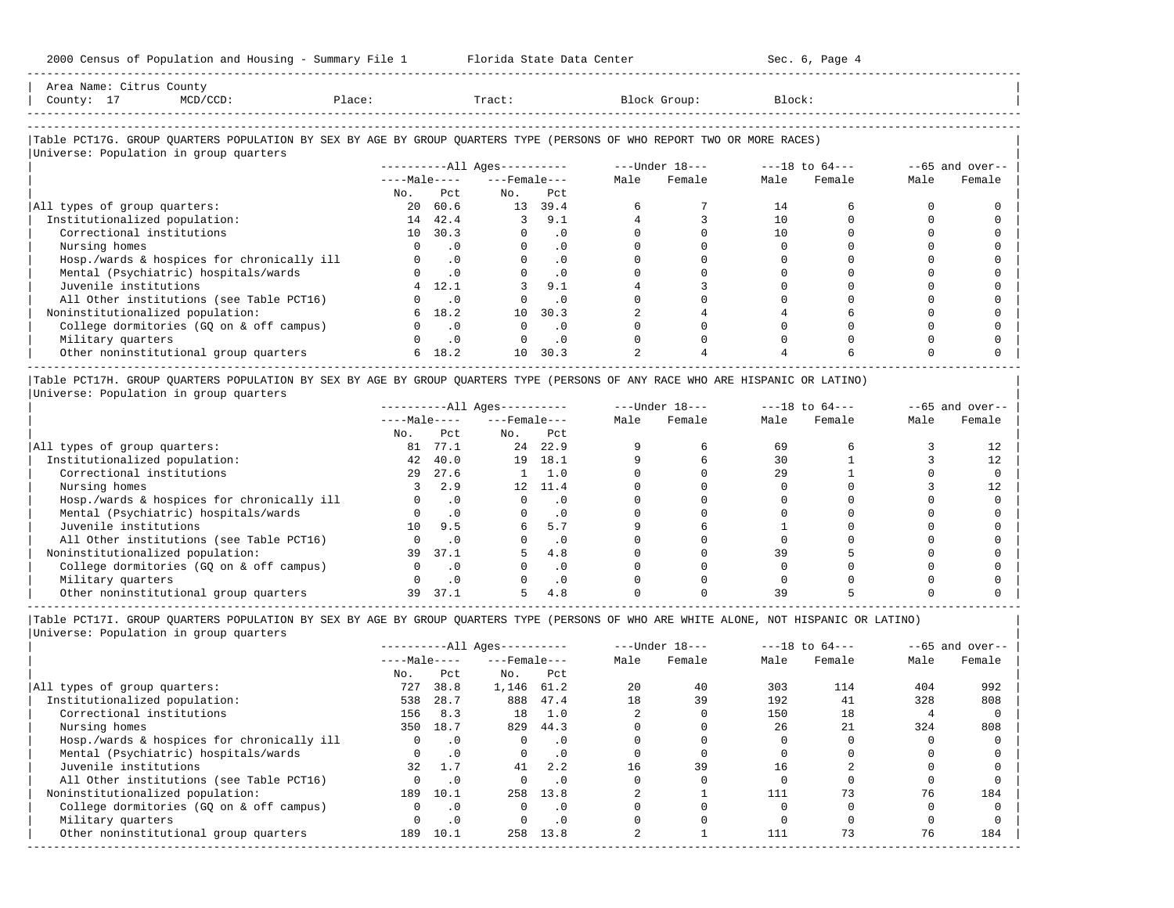| Area Name: Citrus County<br>County: 17<br>$MCD/CCD$ :<br>Place:                                                                                                  |          |                             | Tract:                   |           |      | Block Group: | Block: |                                                                  |                   |        |  |
|------------------------------------------------------------------------------------------------------------------------------------------------------------------|----------|-----------------------------|--------------------------|-----------|------|--------------|--------|------------------------------------------------------------------|-------------------|--------|--|
| Table PCT17G. GROUP QUARTERS POPULATION BY SEX BY AGE BY GROUP QUARTERS TYPE (PERSONS OF WHO REPORT TWO OR MORE RACES)<br>Universe: Population in group quarters |          |                             |                          |           |      |              |        |                                                                  |                   |        |  |
|                                                                                                                                                                  |          |                             |                          |           |      |              |        | ----------All Ages----------    ---Under 18---    ---18 to 64--- | $--65$ and over-- |        |  |
|                                                                                                                                                                  |          |                             | $---Male-- ---Female---$ |           | Male | Female       | Male   | Female                                                           | Male              | Female |  |
|                                                                                                                                                                  | No.      | Pct.                        | No. Pct                  |           |      |              |        |                                                                  |                   |        |  |
| All types of group quarters:                                                                                                                                     |          | 20 60.6                     |                          | 13 39.4   |      |              | 14     |                                                                  |                   |        |  |
| Institutionalized population:                                                                                                                                    |          | 14 42.4                     | $\overline{3}$           | 9.1       |      |              | 10     |                                                                  |                   |        |  |
| Correctional institutions                                                                                                                                        |          | 10, 30.3                    | $\Omega$                 | $\cdot$ 0 |      |              | 10     |                                                                  |                   |        |  |
| Nursing homes                                                                                                                                                    | $\circ$  | $\cdot$ 0                   |                          | $\cdot$ 0 |      |              |        |                                                                  |                   |        |  |
| Hosp./wards & hospices for chronically ill                                                                                                                       |          | $\overline{0}$<br>$\Omega$  |                          | $\cdot$ 0 |      |              |        |                                                                  |                   |        |  |
| Mental (Psychiatric) hospitals/wards                                                                                                                             |          | $\cdot$ 0                   |                          | $\cdot$ 0 |      |              |        |                                                                  |                   |        |  |
| Juvenile institutions                                                                                                                                            | 4        | 12.1                        |                          | 9.1       |      |              |        |                                                                  |                   |        |  |
| All Other institutions (see Table PCT16)                                                                                                                         | $\Omega$ | $\cdot$ 0                   |                          | $\cdot$ 0 |      |              |        |                                                                  |                   |        |  |
| Noninstitutionalized population:                                                                                                                                 | 6        | 18.2                        | 10                       | 30.3      |      |              |        |                                                                  |                   |        |  |
| College dormitories (GQ on & off campus)                                                                                                                         | $\Omega$ | $\overline{\phantom{0}}$ .0 | $\Omega$                 | $\cdot$ 0 |      |              |        |                                                                  |                   |        |  |
| Military quarters                                                                                                                                                |          | $\cdot$ 0                   |                          | $\cdot$ 0 |      |              |        |                                                                  |                   |        |  |
| Other noninstitutional group quarters                                                                                                                            | 6        | 18.2                        | 10                       | 30.3      |      |              |        |                                                                  |                   |        |  |
|                                                                                                                                                                  |          |                             |                          |           |      |              |        |                                                                  |                   |        |  |

|Table PCT17H. GROUP QUARTERS POPULATION BY SEX BY AGE BY GROUP QUARTERS TYPE (PERSONS OF ANY RACE WHO ARE HISPANIC OR LATINO) | |Universe: Population in group quarters |

|                                            | $------All Ages------$ |           |                    |           |      | $---Under 18---$ |      | $---18$ to $64---$ | $--65$ and over-- |        |
|--------------------------------------------|------------------------|-----------|--------------------|-----------|------|------------------|------|--------------------|-------------------|--------|
|                                            | $---Male---$           |           | $---$ Female $---$ |           | Male | Female           | Male | Female             | Male              | Female |
|                                            | No.                    | Pct       | No.                | Pct       |      |                  |      |                    |                   |        |
| All types of group quarters:               | 81                     | 77.1      | 24                 | 22.9      |      |                  | 69   |                    |                   |        |
| Institutionalized population:              | 42                     | 40.0      | 19                 | 18.1      |      |                  | 30   |                    |                   |        |
| Correctional institutions                  | 29                     | 27.6      |                    | 1.0       |      |                  | 29   |                    |                   |        |
| Nursing homes                              |                        | 2.9       | 12 <sup>1</sup>    | 11.4      |      |                  |      |                    |                   |        |
| Hosp./wards & hospices for chronically ill |                        |           |                    | . 0       |      |                  |      |                    |                   |        |
| Mental (Psychiatric) hospitals/wards       |                        | .0        |                    | $\cdot$ 0 |      |                  |      |                    |                   |        |
| Juvenile institutions                      | $10^{\circ}$           | 9.5       |                    | 5.7       |      |                  |      |                    |                   |        |
| All Other institutions (see Table PCT16)   |                        | .0        |                    | $\Omega$  |      |                  |      |                    |                   |        |
| Noninstitutionalized population:           | 39                     | 37.1      |                    | 4.8       |      |                  |      |                    |                   |        |
| College dormitories (GO on & off campus)   |                        | $\cdot$ 0 |                    | $\Omega$  |      |                  |      |                    |                   |        |
| Military quarters                          |                        |           |                    |           |      |                  |      |                    |                   |        |
| Other noninstitutional group quarters      | 39                     | 37.1      |                    | 4.8       |      |                  |      |                    |                   |        |

-----------------------------------------------------------------------------------------------------------------------------------------------------

|Table PCT17I. GROUP QUARTERS POPULATION BY SEX BY AGE BY GROUP QUARTERS TYPE (PERSONS OF WHO ARE WHITE ALONE, NOT HISPANIC OR LATINO) | |Universe: Population in group quarters |

| $---$ Female $---$<br>Pct<br>No. | Male | Female | Male |        |      |        |
|----------------------------------|------|--------|------|--------|------|--------|
|                                  |      |        |      | Female | Male | Female |
|                                  |      |        |      |        |      |        |
| 1,146<br>61.2                    | 20   | 40     | 303  | 114    | 404  | 992    |
| 888<br>47.4                      | 18   | 39     | 192  | 41     | 328  | 808    |
| 18<br>1.0                        |      |        | 150  | 18     |      |        |
| 829<br>44.3                      |      |        | 26   | 21     | 324  | 808    |
| . 0                              |      |        |      |        |      |        |
| $\Omega$<br>$\cdot$ 0            |      |        |      |        |      |        |
| 41<br>2.2                        | 16   | 39     | 16   |        |      |        |
| $\cdot$ 0                        |      |        |      |        |      |        |
| 258<br>13.8                      |      |        | 111  |        | 76   | 184    |
| $\cdot$ 0<br>$\Omega$            |      |        |      |        |      |        |
| $\cdot$ 0                        |      |        |      |        |      |        |
| 13.8<br>258                      |      |        | 111  | 73     | 76   | 184    |
|                                  |      |        |      |        |      |        |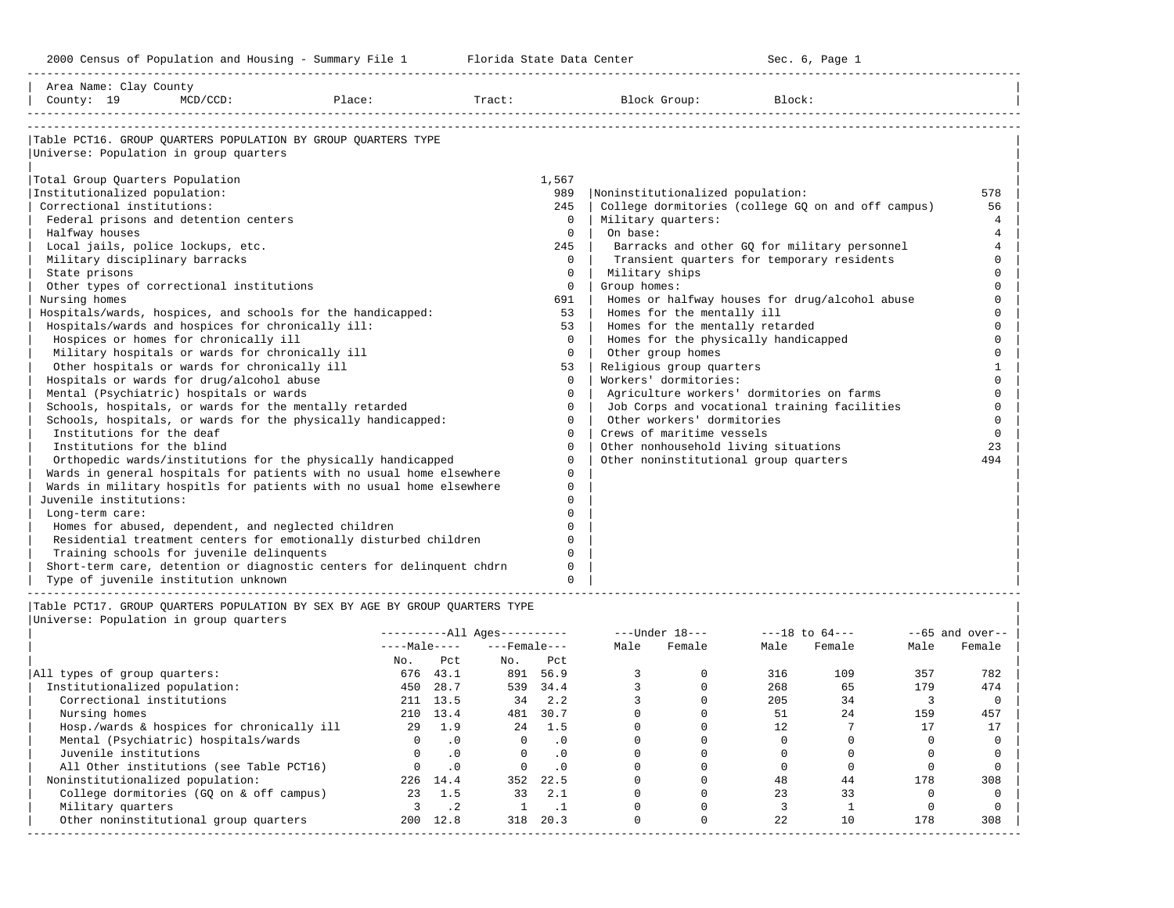2000 Census of Population and Housing - Summary File 1 Telorida State Data Center Sec. 6, Page 1 North Sec. 6, Page

-----------------------------------------------------------------------------------------------------------------------------------------------------

| Area Name: Clay County<br>County: 19<br>$MCD/CCD$ :    | Place:                                                                | Tract: |              | Block Group:                              | Block:                                             |          |
|--------------------------------------------------------|-----------------------------------------------------------------------|--------|--------------|-------------------------------------------|----------------------------------------------------|----------|
|                                                        |                                                                       |        |              |                                           |                                                    |          |
|                                                        | Table PCT16. GROUP OUARTERS POPULATION BY GROUP OUARTERS TYPE         |        |              |                                           |                                                    |          |
| Universe: Population in group quarters                 |                                                                       |        |              |                                           |                                                    |          |
| Total Group Quarters Population                        |                                                                       | 1,567  |              |                                           |                                                    |          |
| Institutionalized population:                          |                                                                       |        | 989          | Noninstitutionalized population:          |                                                    | 578      |
| Correctional institutions:                             |                                                                       |        | 245          |                                           | College dormitories (college GQ on and off campus) | 56       |
| Federal prisons and detention centers                  |                                                                       |        | $\Omega$     | Military quarters:                        |                                                    | 4        |
| Halfway houses                                         |                                                                       |        | $\Omega$     | On base:                                  |                                                    | 4        |
| Local jails, police lockups, etc.                      |                                                                       |        | 245          |                                           | Barracks and other GQ for military personnel       | 4        |
| Military disciplinary barracks                         |                                                                       |        | $\Omega$     |                                           | Transient quarters for temporary residents         | $\Omega$ |
| State prisons                                          |                                                                       |        | $\mathbf{0}$ | Military ships                            |                                                    |          |
| Other types of correctional institutions               |                                                                       |        | $\circ$      | Group homes:                              |                                                    | $\cap$   |
| Nursing homes                                          |                                                                       |        | 691          |                                           | Homes or halfway houses for drug/alcohol abuse     |          |
|                                                        | Hospitals/wards, hospices, and schools for the handicapped:           |        | 53           | Homes for the mentally ill                |                                                    |          |
| Hospitals/wards and hospices for chronically ill:      |                                                                       |        | 53           | Homes for the mentally retarded           |                                                    |          |
| Hospices or homes for chronically ill                  |                                                                       |        | $\Omega$     | Homes for the physically handicapped      |                                                    |          |
| Military hospitals or wards for chronically ill        |                                                                       |        | $\Omega$     | Other group homes                         |                                                    | $\cap$   |
| Other hospitals or wards for chronically ill           |                                                                       |        | 53           | Religious group quarters                  |                                                    |          |
| Hospitals or wards for drug/alcohol abuse              |                                                                       |        | $\Omega$     | Workers' dormitories:                     |                                                    | $\Omega$ |
| Mental (Psychiatric) hospitals or wards                |                                                                       |        | $\Omega$     | Agriculture workers' dormitories on farms |                                                    | $\Omega$ |
| Schools, hospitals, or wards for the mentally retarded |                                                                       |        | $\Omega$     |                                           | Job Corps and vocational training facilities       | $\Omega$ |
|                                                        | Schools, hospitals, or wards for the physically handicapped:          |        | $\Omega$     | Other workers' dormitories                |                                                    | $\Omega$ |
| Institutions for the deaf                              |                                                                       |        | $\Omega$     | Crews of maritime vessels                 |                                                    | $\Omega$ |
| Institutions for the blind                             |                                                                       |        | $\Omega$     | Other nonhousehold living situations      |                                                    | 23       |
|                                                        | Orthopedic wards/institutions for the physically handicapped          |        | $\Omega$     | Other noninstitutional group quarters     |                                                    | 494      |
|                                                        | Wards in general hospitals for patients with no usual home elsewhere  |        | $\Omega$     |                                           |                                                    |          |
|                                                        | Wards in military hospitls for patients with no usual home elsewhere  |        | $\mathbf{0}$ |                                           |                                                    |          |
| Juvenile institutions:                                 |                                                                       |        | 0            |                                           |                                                    |          |
| Long-term care:                                        |                                                                       |        | $\Omega$     |                                           |                                                    |          |
| Homes for abused, dependent, and neglected children    |                                                                       |        | 0            |                                           |                                                    |          |
|                                                        | Residential treatment centers for emotionally disturbed children      |        | $\Omega$     |                                           |                                                    |          |
| Training schools for juvenile delinquents              |                                                                       |        | $\Omega$     |                                           |                                                    |          |
|                                                        | Short-term care, detention or diagnostic centers for delinquent chdrn |        | $\Omega$     |                                           |                                                    |          |
| Type of juvenile institution unknown                   |                                                                       |        | $\Omega$     |                                           |                                                    |          |

|                                            | $------All Ages------$ |           |                    |           |      | $---Under 18---$ | $---18$ to $64---$ |        | $--65$ and over-- |        |
|--------------------------------------------|------------------------|-----------|--------------------|-----------|------|------------------|--------------------|--------|-------------------|--------|
|                                            | $---Male---$           |           | $---$ Female $---$ |           | Male | Female           | Male               | Female | Male              | Female |
|                                            | No.                    | Pct       | No.                | Pct       |      |                  |                    |        |                   |        |
| All types of group quarters:               | 676                    | 43.1      | 891                | 56.9      |      |                  | 316                | 109    | 357               | 782    |
| Institutionalized population:              | 450                    | 28.7      | 539                | 34.4      |      |                  | 268                | 65     | 179               | 474    |
| Correctional institutions                  |                        | 211 13.5  | 34                 | 2.2       |      |                  | 205                | 34     |                   |        |
| Nursing homes                              | 210                    | 13.4      | 481                | 30.7      |      |                  | 51                 | 2.4    | 159               | 457    |
| Hosp./wards & hospices for chronically ill | 29                     | 1.9       | 2.4                | 1.5       |      |                  | 12                 |        |                   |        |
| Mental (Psychiatric) hospitals/wards       |                        | . 0       | $\Omega$           | . 0       |      |                  |                    |        |                   |        |
| Juvenile institutions                      |                        | . 0       |                    | $\cdot$ 0 |      |                  |                    |        |                   |        |
| All Other institutions (see Table PCT16)   |                        | $\cdot$ 0 |                    | . 0       |      |                  |                    |        |                   |        |
| Noninstitutionalized population:           | 226                    | 14.4      | 352                | 22.5      |      |                  | 48                 | 44     | 178               | 308    |
| College dormitories (GO on & off campus)   | 23                     | 1.5       | 33                 | 2.1       |      |                  | 23                 | 33     |                   |        |
| Military quarters                          |                        | $\cdot$ 2 |                    | . .       |      |                  |                    |        |                   |        |
| Other noninstitutional group quarters      | 200                    | 12.8      | 318                | 20.3      |      |                  | 22                 | 10     | 178               | 308    |
|                                            |                        |           |                    |           |      |                  |                    |        |                   |        |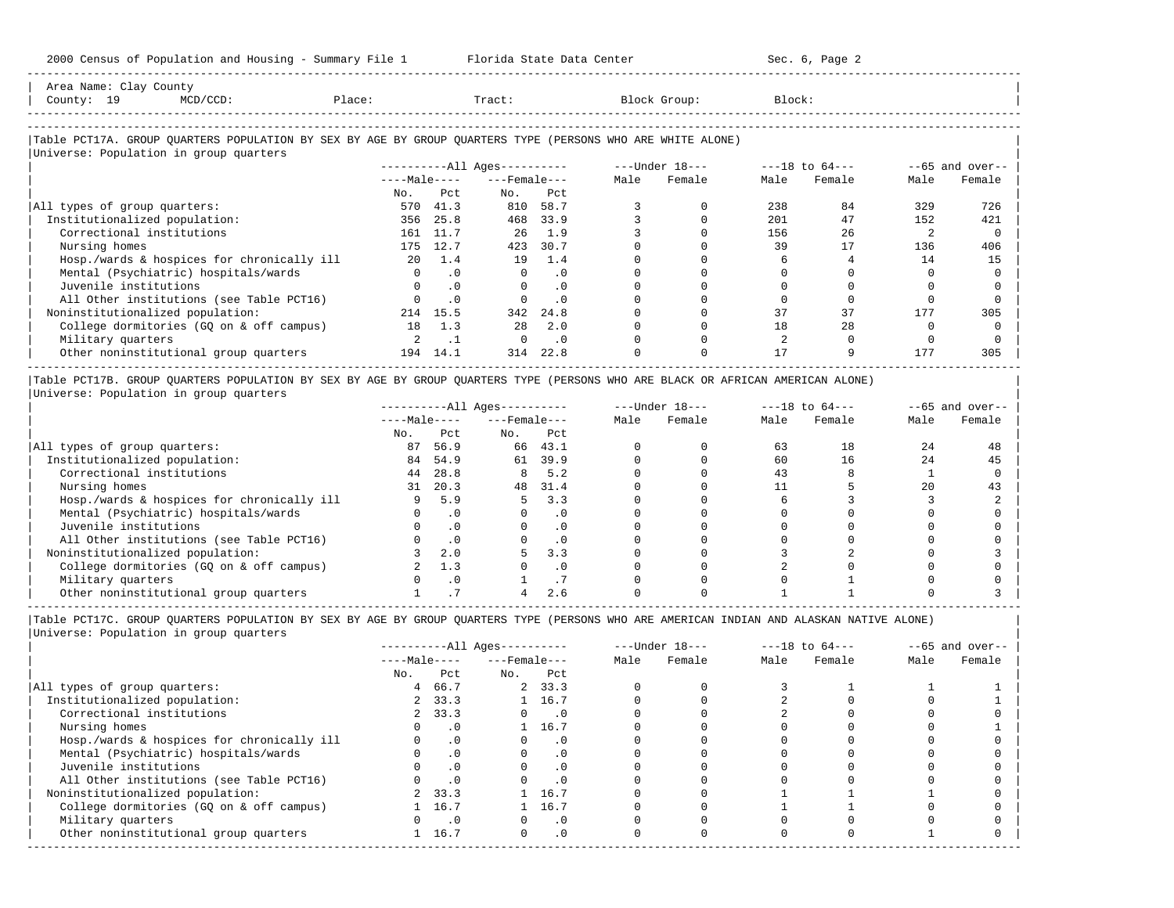| Area Name: | Clay County |                    |       |       |        |
|------------|-------------|--------------------|-------|-------|--------|
| County:    | <b></b>     | Place:<br>$\cdots$ | Tract | roup. | Block: |
|            |             |                    |       |       |        |
|            |             |                    |       |       |        |

-----------------------------------------------------------------------------------------------------------------------------------------------------

### |Table PCT17A. GROUP QUARTERS POPULATION BY SEX BY AGE BY GROUP QUARTERS TYPE (PERSONS WHO ARE WHITE ALONE) |

|                                            |              |           | $------All Aqes------$ |                    |  | ---Under 18--- | $---18$ to $64---$ |        | $--65$ and over-- |        |
|--------------------------------------------|--------------|-----------|------------------------|--------------------|--|----------------|--------------------|--------|-------------------|--------|
|                                            | $---Male---$ |           |                        | $---$ Female $---$ |  | Female         | Male               | Female | Male              | Female |
|                                            | No.          | Pct       | No.                    | Pct                |  |                |                    |        |                   |        |
| All types of group quarters:               | 570          | 41.3      | 810                    | 58.7               |  |                | 238                | 84     | 329               | 726    |
| Institutionalized population:              | 356          | 25.8      | 468                    | 33.9               |  |                | 201                | 47     | 152               | 421    |
| Correctional institutions                  | 161          | 11.7      | 26                     | 1.9                |  |                | 156                | 26     |                   |        |
| Nursing homes                              | 175          | 12.7      | 423                    | 30.7               |  |                | 39                 | 17     | 136               | 406    |
| Hosp./wards & hospices for chronically ill | 20           | 1.4       | 19                     | 1.4                |  |                |                    |        | 14                | 15     |
| Mental (Psychiatric) hospitals/wards       |              | .0        | $\Omega$               | $\cdot$ 0          |  |                |                    |        |                   |        |
| Juvenile institutions                      |              | .0        | $\Omega$               | $\cdot$ 0          |  |                |                    |        |                   |        |
| All Other institutions (see Table PCT16)   |              | $\cdot$ 0 |                        | . 0                |  |                |                    |        |                   |        |
| Noninstitutionalized population:           | 214          | 15.5      | 342                    | 24.8               |  |                | 37                 | 37     | 177               | 305    |
| College dormitories (GO on & off campus)   | 18           | 1.3       | 28                     | 2.0                |  |                | 18                 | 28     |                   |        |
| Military quarters                          |              |           | $\Omega$               | $\cdot$ 0          |  |                |                    |        |                   |        |
| Other noninstitutional group quarters      | 194          | 14.1      | 314                    | 22.8               |  |                |                    |        | 177               | 305    |

|Table PCT17B. GROUP QUARTERS POPULATION BY SEX BY AGE BY GROUP QUARTERS TYPE (PERSONS WHO ARE BLACK OR AFRICAN AMERICAN ALONE) | |Universe: Population in group quarters |

|                                            |              |           | $------All Ages------$ |           |      | $---Under 18---$ | $---18$ to $64---$ |        | $--65$ and over-- |        |
|--------------------------------------------|--------------|-----------|------------------------|-----------|------|------------------|--------------------|--------|-------------------|--------|
|                                            | $---Male---$ |           | $---$ Female $---$     |           | Male | Female           | Male               | Female | Male              | Female |
|                                            | No.          | Pct       | No.                    | Pct       |      |                  |                    |        |                   |        |
| All types of group quarters:               | 87           | 56.9      | 66                     | 43.1      |      |                  | 63                 | 18     | 24                | 48     |
| Institutionalized population:              | 84           | 54.9      | 61                     | 39.9      |      |                  | 60                 | 16     | 24                | 45     |
| Correctional institutions                  | 44           | 28.8      | 8                      | 5.2       |      |                  | 43                 |        |                   |        |
| Nursing homes                              | 31           | 20.3      | 48                     | 31.4      |      |                  |                    |        | 20                |        |
| Hosp./wards & hospices for chronically ill |              | 5.9       | 5.                     | 3.3       |      |                  |                    |        |                   |        |
| Mental (Psychiatric) hospitals/wards       |              |           |                        | $\cdot$ 0 |      |                  |                    |        |                   |        |
| Juvenile institutions                      |              | . 0       |                        | . 0       |      |                  |                    |        |                   |        |
| All Other institutions (see Table PCT16)   |              |           |                        | $\cdot$ 0 |      |                  |                    |        |                   |        |
| Noninstitutionalized population:           |              | 2.0       |                        | 3.3       |      |                  |                    |        |                   |        |
| College dormitories (GQ on & off campus)   |              | 1.3       |                        | $\cdot$ 0 |      |                  |                    |        |                   |        |
| Military quarters                          |              | $\cdot$ 0 |                        |           |      |                  |                    |        |                   |        |
| Other noninstitutional group quarters      |              |           |                        | 2.6       |      |                  |                    |        |                   |        |

-----------------------------------------------------------------------------------------------------------------------------------------------------

|                                            | $------All Ages------$ |            |                    |                             |      | $---Under 18---$ | $---18$ to $64---$ |        | $--65$ and over-- |        |
|--------------------------------------------|------------------------|------------|--------------------|-----------------------------|------|------------------|--------------------|--------|-------------------|--------|
|                                            | $---Male---$           |            | $---$ Female $---$ |                             | Male | Female           | Male               | Female | Male              | Female |
|                                            | No.                    | Pct        | No.                | Pct                         |      |                  |                    |        |                   |        |
| All types of group quarters:               | 4                      | 66.7       |                    | 2, 33.3                     |      |                  |                    |        |                   |        |
| Institutionalized population:              |                        | 2, 33.3    |                    | 1 16.7                      |      |                  |                    |        |                   |        |
| Correctional institutions                  |                        | 2, 33.3    | $\Omega$           | $\overline{\phantom{0}}$ .0 |      |                  |                    |        |                   |        |
| Nursing homes                              |                        | $\cdot$ 0  |                    | 1 16.7                      |      |                  |                    |        |                   |        |
| Hosp./wards & hospices for chronically ill |                        | $\cdot$ 0  |                    | . 0                         |      |                  |                    |        |                   |        |
| Mental (Psychiatric) hospitals/wards       |                        | $\cdot$ 0  |                    | $\cdot$ 0                   |      |                  |                    |        |                   |        |
| Juvenile institutions                      |                        | $\cdot$ 0  |                    |                             |      |                  |                    |        |                   |        |
| All Other institutions (see Table PCT16)   |                        | $\cdot$ 0  |                    |                             |      |                  |                    |        |                   |        |
| Noninstitutionalized population:           |                        | 2 33.3     |                    | 1 16.7                      |      |                  |                    |        |                   |        |
| College dormitories (GQ on & off campus)   |                        | 16.7       |                    | 1 16.7                      |      |                  |                    |        |                   |        |
| Military quarters                          |                        | $\cdot$ .0 |                    | $\cdot$ 0                   |      |                  |                    |        |                   |        |
| Other noninstitutional group quarters      |                        | 16.7       | $\Omega$           | .0                          |      |                  |                    |        |                   |        |
|                                            |                        |            |                    |                             |      |                  |                    |        |                   |        |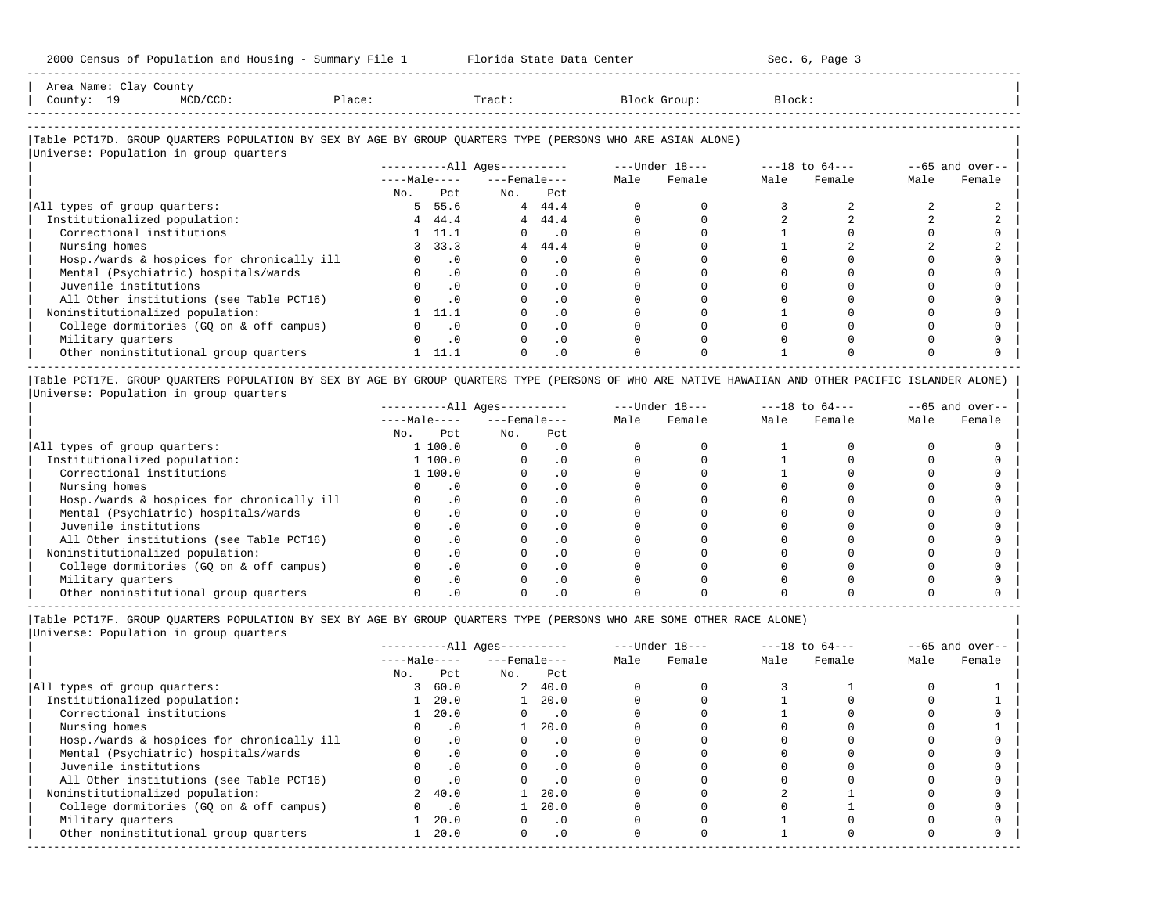| Area Name:<br>$\begin{array}{ccc} \multicolumn{3}{c}{} & \multicolumn{3}{c}{} & \multicolumn{3}{c}{} & \multicolumn{3}{c}{} & \multicolumn{3}{c}{} & \multicolumn{3}{c}{} & \multicolumn{3}{c}{} & \multicolumn{3}{c}{} & \multicolumn{3}{c}{} & \multicolumn{3}{c}{} & \multicolumn{3}{c}{} & \multicolumn{3}{c}{} & \multicolumn{3}{c}{} & \multicolumn{3}{c}{} & \multicolumn{3}{c}{} & \multicolumn{3}{c}{} & \multicolumn{3}{c}{} & \multicolumn{3}{c}{} & \multicolumn{3}{c}{} & \multicolumn$<br>. | Clay County |        |       |       |        |  |
|-----------------------------------------------------------------------------------------------------------------------------------------------------------------------------------------------------------------------------------------------------------------------------------------------------------------------------------------------------------------------------------------------------------------------------------------------------------------------------------------------------------|-------------|--------|-------|-------|--------|--|
| County:<br>∸                                                                                                                                                                                                                                                                                                                                                                                                                                                                                              |             | Place: | Tract | Group | Block: |  |
| --------------------                                                                                                                                                                                                                                                                                                                                                                                                                                                                                      |             |        |       |       |        |  |

-----------------------------------------------------------------------------------------------------------------------------------------------------

#### |Table PCT17D. GROUP QUARTERS POPULATION BY SEX BY AGE BY GROUP QUARTERS TYPE (PERSONS WHO ARE ASIAN ALONE) |

|                                            |              |                | $------All Ages------$ |                             |      | ---Under 18--- | $---18$ to $64---$ |        | $--65$ and over-- |        |
|--------------------------------------------|--------------|----------------|------------------------|-----------------------------|------|----------------|--------------------|--------|-------------------|--------|
|                                            | $---Male---$ |                | $---$ Female $---$     |                             | Male | Female         | Male               | Female | Male              | Female |
|                                            | No.          | Pct            | No.                    | Pct                         |      |                |                    |        |                   |        |
| All types of group quarters:               |              | 5 55.6         |                        | 4 44.4                      |      |                |                    |        |                   |        |
| Institutionalized population:              |              | 4, 44.4        |                        | 44.4                        |      |                |                    |        |                   |        |
| Correctional institutions                  |              | $1 \quad 11.1$ | $\Omega$               | $\overline{\phantom{0}}$ .0 |      |                |                    |        |                   |        |
| Nursing homes                              |              | 3, 33.3        |                        | 4, 44.4                     |      |                |                    |        |                   |        |
| Hosp./wards & hospices for chronically ill |              | $0 \qquad .0$  |                        | $\cdot$ 0                   |      |                |                    |        |                   |        |
| Mental (Psychiatric) hospitals/wards       |              | $\cdot$ 0      |                        | $\cdot$ 0                   |      |                |                    |        |                   |        |
| Juvenile institutions                      |              | $\cdot$ 0      |                        | $\cdot$ 0                   |      |                |                    |        |                   |        |
| All Other institutions (see Table PCT16)   |              | $\cdot$ 0      |                        | $\cdot$ 0                   |      |                |                    |        |                   |        |
| Noninstitutionalized population:           |              | 11.1           |                        | $\cdot$ 0                   |      |                |                    |        |                   |        |
| College dormitories (GQ on & off campus)   |              | $\cdot$ 0      |                        | $\cdot$ 0                   |      |                |                    |        |                   |        |
| Military quarters                          |              | $\cdot$ 0      |                        | $\cdot$ 0                   |      |                |                    |        |                   |        |
| Other noninstitutional group quarters      |              | 11.1           |                        | $\cdot$ 0                   |      |                |                    |        |                   |        |

|Table PCT17E. GROUP QUARTERS POPULATION BY SEX BY AGE BY GROUP QUARTERS TYPE (PERSONS OF WHO ARE NATIVE HAWAIIAN AND OTHER PACIFIC ISLANDER ALONE) | |Universe: Population in group quarters |

|                                            |              |         | $------All Aqes------$ |           |      | $---Under 18---$ |      | $---18$ to $64---$ |      | $--65$ and over-- |
|--------------------------------------------|--------------|---------|------------------------|-----------|------|------------------|------|--------------------|------|-------------------|
|                                            | $---Male---$ |         | $---$ Female $---$     |           | Male | Female           | Male | Female             | Male | Female            |
|                                            | No.          | Pct     | No.                    | Pct       |      |                  |      |                    |      |                   |
| All types of group quarters:               |              | 1 100.0 |                        | . 0       |      |                  |      |                    |      |                   |
| Institutionalized population:              |              | 1 100.0 |                        | . 0       |      |                  |      |                    |      |                   |
| Correctional institutions                  |              | 1 100.0 |                        | . 0       |      |                  |      |                    |      |                   |
| Nursing homes                              |              |         |                        | . 0       |      |                  |      |                    |      |                   |
| Hosp./wards & hospices for chronically ill |              | . 0     |                        | . 0       |      |                  |      |                    |      |                   |
| Mental (Psychiatric) hospitals/wards       |              |         |                        | $\cdot$ 0 |      |                  |      |                    |      |                   |
| Juvenile institutions                      |              |         |                        | . 0       |      |                  |      |                    |      |                   |
| All Other institutions (see Table PCT16)   |              |         |                        | $\cdot$ 0 |      |                  |      |                    |      |                   |
| Noninstitutionalized population:           |              |         |                        | . 0       |      |                  |      |                    |      |                   |
| College dormitories (GO on & off campus)   |              |         |                        | . 0       |      |                  |      |                    |      |                   |
| Military quarters                          |              |         |                        | $\cdot$ 0 |      |                  |      |                    |      |                   |
| Other noninstitutional group quarters      |              |         |                        |           |      |                  |      |                    |      |                   |

-----------------------------------------------------------------------------------------------------------------------------------------------------

|Table PCT17F. GROUP QUARTERS POPULATION BY SEX BY AGE BY GROUP QUARTERS TYPE (PERSONS WHO ARE SOME OTHER RACE ALONE) |

|                                            |                |           | ----------All Ages---------- |                             |      | $---Under 18---$ | $---18$ to $64---$ |        | $--65$ and over-- |        |
|--------------------------------------------|----------------|-----------|------------------------------|-----------------------------|------|------------------|--------------------|--------|-------------------|--------|
|                                            | $---Male---$   |           | $---$ Female $---$           |                             | Male | Female           | Male               | Female | Male              | Female |
|                                            | No.            | Pct       | No.                          | Pct                         |      |                  |                    |        |                   |        |
| All types of group quarters:               | 3              | 60.0      |                              | 2, 40.0                     |      |                  |                    |        |                   |        |
| Institutionalized population:              |                | 20.0      |                              | 20.0                        |      |                  |                    |        |                   |        |
| Correctional institutions                  |                | 20.0      |                              | $\overline{\phantom{0}}$ .0 |      |                  |                    |        |                   |        |
| Nursing homes                              |                | $\cdot$ 0 |                              | 20.0                        |      |                  |                    |        |                   |        |
| Hosp./wards & hospices for chronically ill |                | $\cdot$ 0 |                              | $\cdot$ 0                   |      |                  |                    |        |                   |        |
| Mental (Psychiatric) hospitals/wards       |                | $\cdot$ 0 |                              |                             |      |                  |                    |        |                   |        |
| Juvenile institutions                      |                | $\cdot$ 0 | O                            | $\cdot$ 0                   |      |                  |                    |        |                   |        |
| All Other institutions (see Table PCT16)   |                | .0        |                              | $\cdot$ 0                   |      |                  |                    |        |                   |        |
| Noninstitutionalized population:           | $\overline{2}$ | 40.0      |                              | 20.0                        |      |                  |                    |        |                   |        |
| College dormitories (GQ on & off campus)   |                | $\cdot$ 0 |                              | 20.0                        |      |                  |                    |        |                   |        |
| Military quarters                          |                | 20.0      |                              | $\cdot$ 0                   |      |                  |                    |        |                   |        |
| Other noninstitutional group quarters      |                | 20.0      | $\Omega$                     | $\cdot$ 0                   |      |                  |                    |        |                   |        |
|                                            |                |           |                              |                             |      |                  |                    |        |                   |        |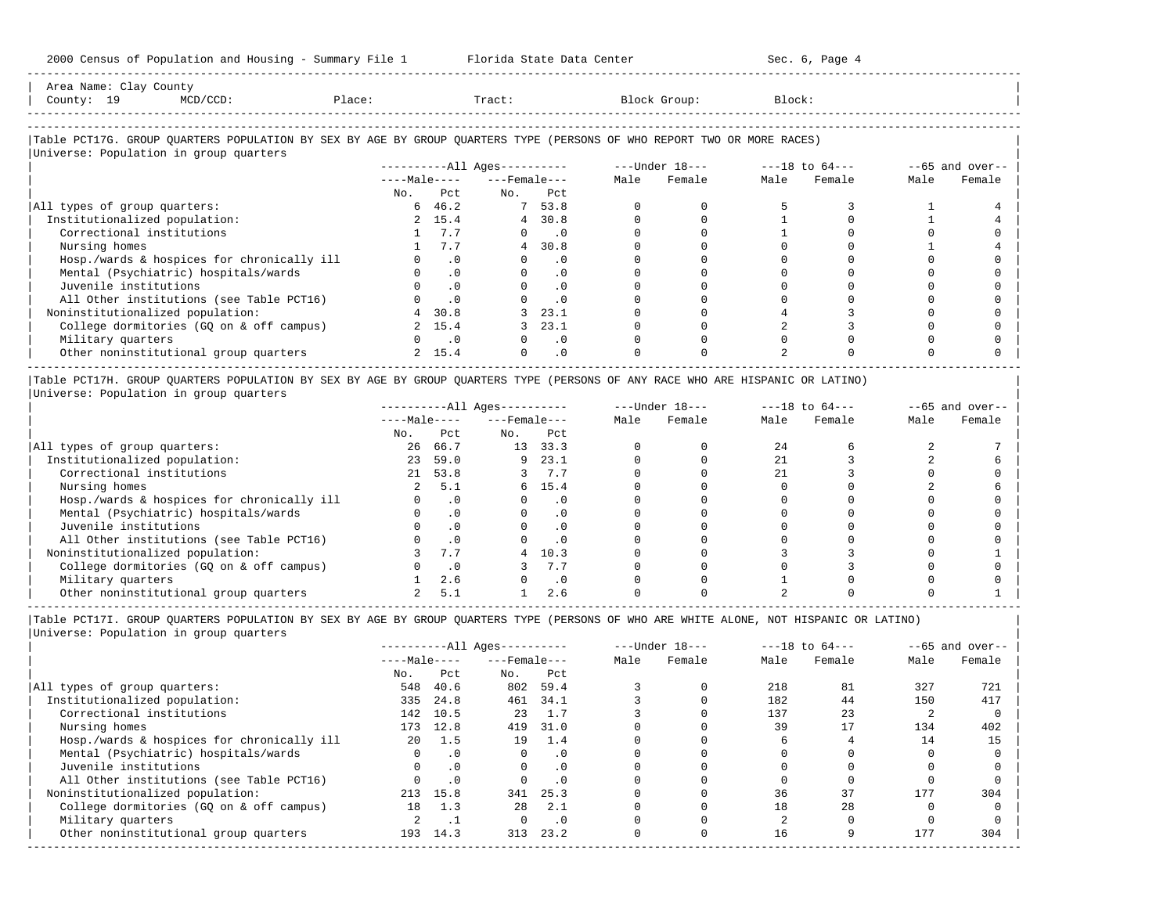| Area Name: Clay County<br>County: 19<br>Place: Tract:<br>MCD/CCD:                                                                                                       |                |               |                          |                          | Block Group: | Block: |        |      |                   |
|-------------------------------------------------------------------------------------------------------------------------------------------------------------------------|----------------|---------------|--------------------------|--------------------------|--------------|--------|--------|------|-------------------|
| Table PCT17G. GROUP QUARTERS POPULATION BY SEX BY AGE BY GROUP QUARTERS TYPE (PERSONS OF WHO REPORT TWO OR MORE RACES)                                                  |                |               |                          |                          |              |        |        |      |                   |
| Universe: Population in group quarters                                                                                                                                  |                |               |                          |                          |              |        |        |      |                   |
|                                                                                                                                                                         |                |               |                          |                          |              |        |        |      | $--65$ and over-- |
|                                                                                                                                                                         |                |               | $---Male-- ---Female---$ |                          | Male Female  | Male   | Female | Male | Female            |
|                                                                                                                                                                         |                | No. Pet       | No. Pct                  |                          |              |        |        |      |                   |
| All types of group quarters:                                                                                                                                            |                | $6 \t 46.2$   | 7 53.8                   |                          |              |        |        |      |                   |
| Institutionalized population:                                                                                                                                           |                | 2, 15.4       |                          | 4 30.8                   |              |        |        |      |                   |
| Correctional institutions                                                                                                                                               |                | 1 7.7         |                          | $\overline{\phantom{0}}$ |              |        |        |      |                   |
| Nursing homes                                                                                                                                                           |                | 7.7           |                          | 4, 30.8                  |              |        |        |      |                   |
| Hosp./wards & hospices for chronically ill                                                                                                                              |                | $\cdot$ 0     |                          | $\cdot$ 0                |              |        |        |      |                   |
| Mental (Psychiatric) hospitals/wards                                                                                                                                    |                | $\cdot$ 0     |                          | .0                       |              |        |        |      |                   |
| Juvenile institutions                                                                                                                                                   |                | $\cdot$ 0     |                          | $\cdot$ 0                |              |        |        |      |                   |
| All Other institutions (see Table PCT16)                                                                                                                                |                | $\cdot$ 0     |                          | $\cdot$ 0                |              |        |        |      |                   |
| Noninstitutionalized population:                                                                                                                                        | $\overline{4}$ | 30.8          |                          | 23.1                     |              |        |        |      |                   |
| College dormitories (GQ on & off campus)                                                                                                                                |                | 2, 15.4       |                          | 23.1                     |              |        |        |      |                   |
| Military quarters                                                                                                                                                       |                | $0 \qquad .0$ | $\mathbf{0}$             | $\cdot$ 0                |              |        |        |      |                   |
| Other noninstitutional group quarters                                                                                                                                   |                | 2, 15.4       | $\Omega$                 | $\cdot$ 0                |              |        |        |      |                   |
|                                                                                                                                                                         |                |               |                          |                          |              |        |        |      |                   |
| Table PCT17H. GROUP QUARTERS POPULATION BY SEX BY AGE BY GROUP QUARTERS TYPE (PERSONS OF ANY RACE WHO ARE HISPANIC OR LATINO)<br>Universe: Population in group quarters |                |               |                          |                          |              |        |        |      |                   |
|                                                                                                                                                                         |                |               |                          |                          |              |        |        |      |                   |

|                                            |              |           | ----------All Ages---------- |           |      | $---Under 18---$ | $---18$ to $64---$ |        | $--65$ and over-- |        |
|--------------------------------------------|--------------|-----------|------------------------------|-----------|------|------------------|--------------------|--------|-------------------|--------|
|                                            | $---Male---$ |           | $---$ Female $---$           |           | Male | Female           | Male               | Female | Male              | Female |
|                                            | No.          | Pct       | No.                          | Pct       |      |                  |                    |        |                   |        |
| All types of group quarters:               | 26           | 66.7      | 13                           | 33.3      |      |                  | 2.4                |        |                   |        |
| Institutionalized population:              | 23           | 59.0      | 9                            | 23.1      |      |                  | 21                 |        |                   |        |
| Correctional institutions                  | 21           | 53.8      |                              | 7.7       |      |                  |                    |        |                   |        |
| Nursing homes                              |              | 5.1       | 6                            | 15.4      |      |                  |                    |        |                   |        |
| Hosp./wards & hospices for chronically ill |              | $\cdot$ 0 |                              | $\cdot$ 0 |      |                  |                    |        |                   |        |
| Mental (Psychiatric) hospitals/wards       |              | $\cdot$ 0 |                              |           |      |                  |                    |        |                   |        |
| Juvenile institutions                      |              | $\cdot$ 0 |                              | $\cdot$ 0 |      |                  |                    |        |                   |        |
| All Other institutions (see Table PCT16)   |              | $\cdot$ 0 |                              | .0        |      |                  |                    |        |                   |        |
| Noninstitutionalized population:           |              | 7.7       | 4                            | 10.3      |      |                  |                    |        |                   |        |
| College dormitories (GQ on & off campus)   |              | . 0       |                              | 7.7       |      |                  |                    |        |                   |        |
| Military quarters                          |              | 2.6       |                              |           |      |                  |                    |        |                   |        |
| Other noninstitutional group quarters      | 2.           | 5.1       |                              | 2.6       |      |                  |                    |        |                   |        |

|Table PCT17I. GROUP QUARTERS POPULATION BY SEX BY AGE BY GROUP QUARTERS TYPE (PERSONS OF WHO ARE WHITE ALONE, NOT HISPANIC OR LATINO) | |Universe: Population in group quarters |

|          |           |                            |           |                                              |        |                  |        |                    | $--65$ and over-- |
|----------|-----------|----------------------------|-----------|----------------------------------------------|--------|------------------|--------|--------------------|-------------------|
|          |           |                            |           | Male                                         | Female | Male             | Female | Male               | Female            |
| No.      | Pct       | No.                        | Pct       |                                              |        |                  |        |                    |                   |
| 548      | 40.6      | 802                        | 59.4      |                                              |        | 218              | 81     | 327                | 721               |
| 335      | 24.8      | 461                        | 34.1      |                                              |        | 182              | 44     | 150                | 417               |
|          | 10.5      | 23                         | 1.7       |                                              |        | 137              | 23     |                    |                   |
| 173      | 12.8      | 419                        | 31.0      |                                              |        | 39               |        | 134                | 402               |
| 20       | 1.5       | 19                         | 1.4       |                                              |        |                  |        | 14                 | 15                |
| $\Omega$ | $\cdot$ 0 | $\Omega$                   | $\cdot$ 0 |                                              |        |                  |        |                    |                   |
| 0        |           |                            | $\cdot$ 0 |                                              |        |                  |        |                    |                   |
|          | $\cdot$ 0 |                            |           |                                              |        |                  |        |                    |                   |
|          | 15.8      | 341                        | 25.3      |                                              |        | 36               | 37     | 177                | 304               |
| 18       | 1.3       | 28                         | 2.1       |                                              |        | 18               | 28     |                    |                   |
|          |           |                            | $\cdot$ 0 |                                              |        |                  |        |                    |                   |
| 193      | 14.3      | 313                        | 23.2      |                                              |        | 16               |        | 177                | 304               |
|          |           | $---Male---$<br>142<br>213 |           | $------All Ages------$<br>$---$ Female $---$ |        | $---Under 18---$ |        | $---18$ to $64---$ |                   |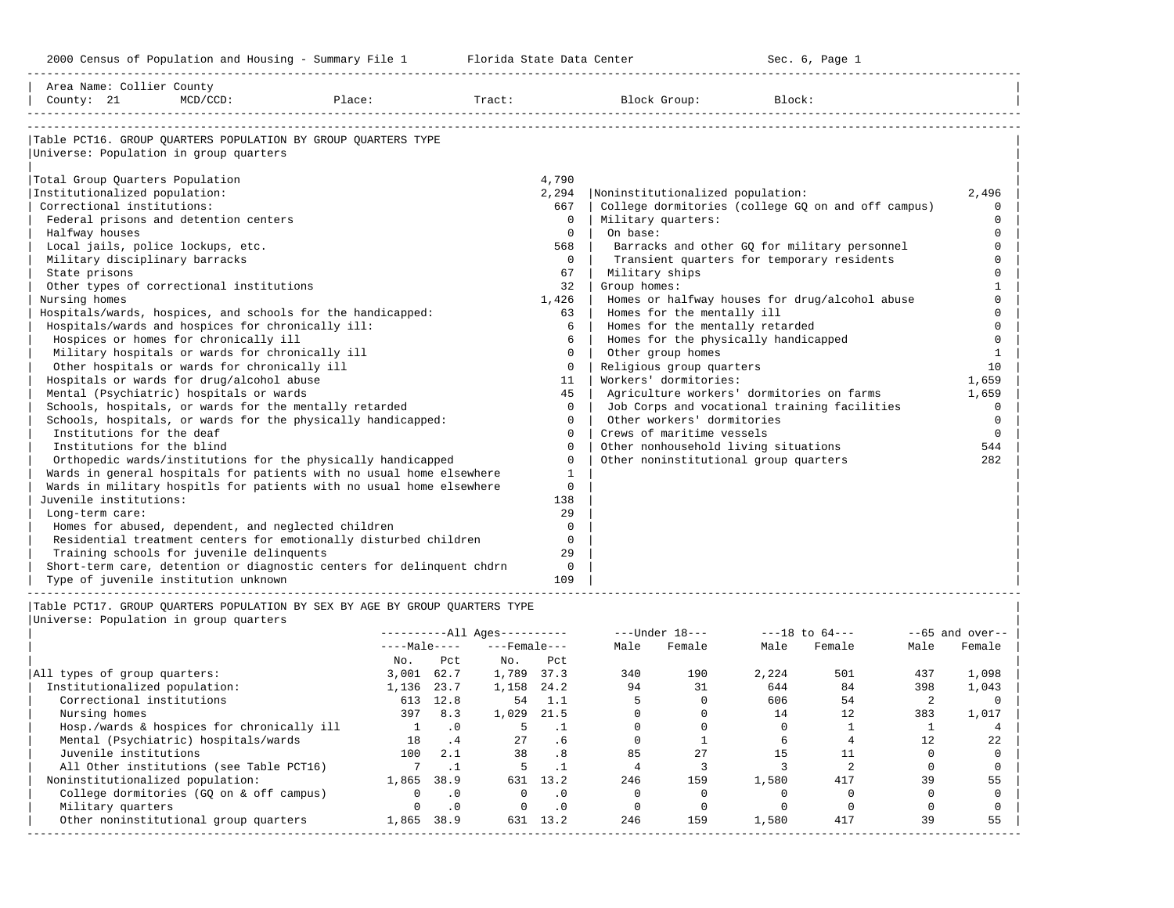2000 Census of Population and Housing - Summary File 1 Telorida State Data Center Sec. 6, Page 1 North Sec. 6, Page

| Area Name: Collier County              |                                                     |                                                                             |                          |            |                |                |                                                    |                    |        |                |                   |
|----------------------------------------|-----------------------------------------------------|-----------------------------------------------------------------------------|--------------------------|------------|----------------|----------------|----------------------------------------------------|--------------------|--------|----------------|-------------------|
| County: 21                             | MCD/CCD:                                            | Place:                                                                      |                          |            |                |                | Tract: Block Group:                                | Block:             |        |                |                   |
|                                        |                                                     |                                                                             |                          |            |                |                |                                                    |                    |        |                |                   |
|                                        |                                                     |                                                                             |                          |            |                |                |                                                    |                    |        |                |                   |
|                                        |                                                     | Table PCT16. GROUP QUARTERS POPULATION BY GROUP QUARTERS TYPE               |                          |            |                |                |                                                    |                    |        |                |                   |
| Universe: Population in group quarters |                                                     |                                                                             |                          |            |                |                |                                                    |                    |        |                |                   |
|                                        |                                                     |                                                                             |                          |            |                |                |                                                    |                    |        |                |                   |
| Total Group Quarters Population        |                                                     |                                                                             |                          |            | 4,790          |                |                                                    |                    |        |                |                   |
| Institutionalized population:          |                                                     |                                                                             |                          |            | 2,294          |                | Noninstitutionalized population:                   |                    |        |                | 2,496             |
| Correctional institutions:             |                                                     |                                                                             |                          |            | 667            |                | College dormitories (college GO on and off campus) |                    |        |                | $\mathbf 0$       |
|                                        | Federal prisons and detention centers               |                                                                             |                          |            | $\Omega$       |                | Military quarters:                                 |                    |        |                | $\Omega$          |
| Halfway houses                         |                                                     |                                                                             |                          |            | $\Omega$       | On base:       |                                                    |                    |        |                | $\Omega$          |
| Local jails, police lockups, etc.      |                                                     |                                                                             |                          |            | 568            |                | Barracks and other GQ for military personnel       |                    |        |                | $\Omega$          |
| Military disciplinary barracks         |                                                     |                                                                             |                          |            | $\circ$        |                | Transient quarters for temporary residents         |                    |        |                | $\Omega$          |
| State prisons                          |                                                     |                                                                             |                          |            | 67             | Military ships |                                                    |                    |        |                | $\Omega$          |
|                                        | Other types of correctional institutions            |                                                                             |                          |            | 32             | Group homes:   |                                                    |                    |        |                | $\mathbf{1}$      |
| Nursing homes                          |                                                     |                                                                             |                          |            | 1,426          |                | Homes or halfway houses for drug/alcohol abuse     |                    |        |                | $\Omega$          |
|                                        |                                                     | Hospitals/wards, hospices, and schools for the handicapped:                 |                          |            | 63             |                | Homes for the mentally ill                         |                    |        |                | $\Omega$          |
|                                        | Hospitals/wards and hospices for chronically ill:   |                                                                             |                          |            | 6              |                | Homes for the mentally retarded                    |                    |        |                | $\Omega$          |
|                                        | Hospices or homes for chronically ill               |                                                                             |                          |            | 6              |                | Homes for the physically handicapped               |                    |        |                | $\Omega$          |
|                                        | Military hospitals or wards for chronically ill     |                                                                             |                          |            | $\Omega$       |                | Other group homes                                  |                    |        |                | 1                 |
|                                        | Other hospitals or wards for chronically ill        |                                                                             |                          |            | $\mathbf 0$    |                | Religious group quarters                           |                    |        |                | 10                |
|                                        | Hospitals or wards for drug/alcohol abuse           |                                                                             |                          |            | 11             |                | Workers' dormitories:                              |                    |        |                | 1,659             |
|                                        | Mental (Psychiatric) hospitals or wards             |                                                                             |                          |            | 45             |                | Agriculture workers' dormitories on farms          |                    |        |                | 1,659             |
|                                        |                                                     | Schools, hospitals, or wards for the mentally retarded                      |                          |            | $\Omega$       |                | Job Corps and vocational training facilities       |                    |        |                | $\Omega$          |
|                                        |                                                     | Schools, hospitals, or wards for the physically handicapped:                |                          |            | $\Omega$       |                | Other workers' dormitories                         |                    |        |                | $\Omega$          |
| Institutions for the deaf              |                                                     |                                                                             |                          |            | $\mathbf 0$    |                | Crews of maritime vessels                          |                    |        |                | $\circ$           |
| Institutions for the blind             |                                                     |                                                                             |                          |            | $\Omega$       |                | Other nonhousehold living situations               |                    |        |                | 544               |
|                                        |                                                     | Orthopedic wards/institutions for the physically handicapped                |                          |            | $\Omega$       |                | Other noninstitutional group quarters              |                    |        |                | 282               |
|                                        |                                                     | Wards in general hospitals for patients with no usual home elsewhere        |                          |            | $\mathbf{1}$   |                |                                                    |                    |        |                |                   |
|                                        |                                                     | Wards in military hospitls for patients with no usual home elsewhere        |                          |            | $\Omega$       |                |                                                    |                    |        |                |                   |
| Juvenile institutions:                 |                                                     |                                                                             |                          |            | 138            |                |                                                    |                    |        |                |                   |
| Long-term care:                        |                                                     |                                                                             |                          |            | 29<br>$\Omega$ |                |                                                    |                    |        |                |                   |
|                                        | Homes for abused, dependent, and neglected children | Residential treatment centers for emotionally disturbed children            |                          |            | $\Omega$       |                |                                                    |                    |        |                |                   |
|                                        | Training schools for juvenile delinquents           |                                                                             |                          |            | 29             |                |                                                    |                    |        |                |                   |
|                                        |                                                     | Short-term care, detention or diagnostic centers for delinquent chdrn       |                          |            | $\overline{0}$ |                |                                                    |                    |        |                |                   |
|                                        | Type of juvenile institution unknown                |                                                                             |                          |            | 109            |                |                                                    |                    |        |                |                   |
|                                        |                                                     |                                                                             |                          |            |                |                |                                                    |                    |        |                |                   |
|                                        |                                                     | Table PCT17. GROUP QUARTERS POPULATION BY SEX BY AGE BY GROUP QUARTERS TYPE |                          |            |                |                |                                                    |                    |        |                |                   |
| Universe: Population in group quarters |                                                     |                                                                             |                          |            |                |                |                                                    |                    |        |                |                   |
|                                        |                                                     |                                                                             | $------All Aqes------$   |            |                |                | ---Under 18---                                     | $---18$ to $64---$ |        |                | $--65$ and over-- |
|                                        |                                                     |                                                                             | $---Male-- ---Female---$ |            |                | Male           | Female                                             | Male               | Female | Male           | Female            |
|                                        |                                                     | No.                                                                         | Pct                      | $NQ$ .     | Pct            |                |                                                    |                    |        |                |                   |
| All types of group quarters:           |                                                     |                                                                             | 3,001 62.7               | 1,789 37.3 |                | 340            | 190                                                | 2,224              | 501    | 437            | 1,098             |
| Institutionalized population:          |                                                     |                                                                             | 1,136 23.7               | 1,158 24.2 |                | 94             | 31                                                 | 644                | 84     | 398            | 1,043             |
| Correctional institutions              |                                                     |                                                                             | 613 12.8 54 1.1          |            |                | $\overline{5}$ | $\overline{a}$                                     | 606                | 54     | $\overline{2}$ | $\overline{a}$    |

| Institutionalized population:              | 1,136 | 23.7      | 1,158 | 24.2 |     |     | 644   |     | 398 | 1,043 |
|--------------------------------------------|-------|-----------|-------|------|-----|-----|-------|-----|-----|-------|
| Correctional institutions                  | 613   | 12.8      | 54    |      |     |     | 606   | 54  |     |       |
| Nursing homes                              | 397   | 8.3       | 1,029 | 21.5 |     |     | 14    | 12  | 383 | 1,017 |
| Hosp./wards & hospices for chronically ill |       |           |       |      |     |     |       |     |     |       |
| Mental (Psychiatric) hospitals/wards       | 18    |           | 27    | . 6  |     |     |       |     |     | 22    |
| Juvenile institutions                      | 100   | 2.1       | 38    |      | 85  | 27  |       |     |     |       |
| All Other institutions (see Table PCT16)   |       |           |       |      |     |     |       |     |     |       |
| Noninstitutionalized population:           | 1,865 | 38.9      | 631   | 13.2 | 246 | 159 | 1,580 | 417 | 39  | 55    |
| College dormitories (GO on & off campus)   |       | $\cdot$ 0 |       |      |     |     |       |     |     |       |
| Military quarters                          |       | $\cdot$ 0 |       |      |     |     |       |     |     |       |
| Other noninstitutional group quarters      | 1,865 | 38.9      | 631   | 13.2 | 246 | 159 | .,580 | 417 |     | 55    |

-----------------------------------------------------------------------------------------------------------------------------------------------------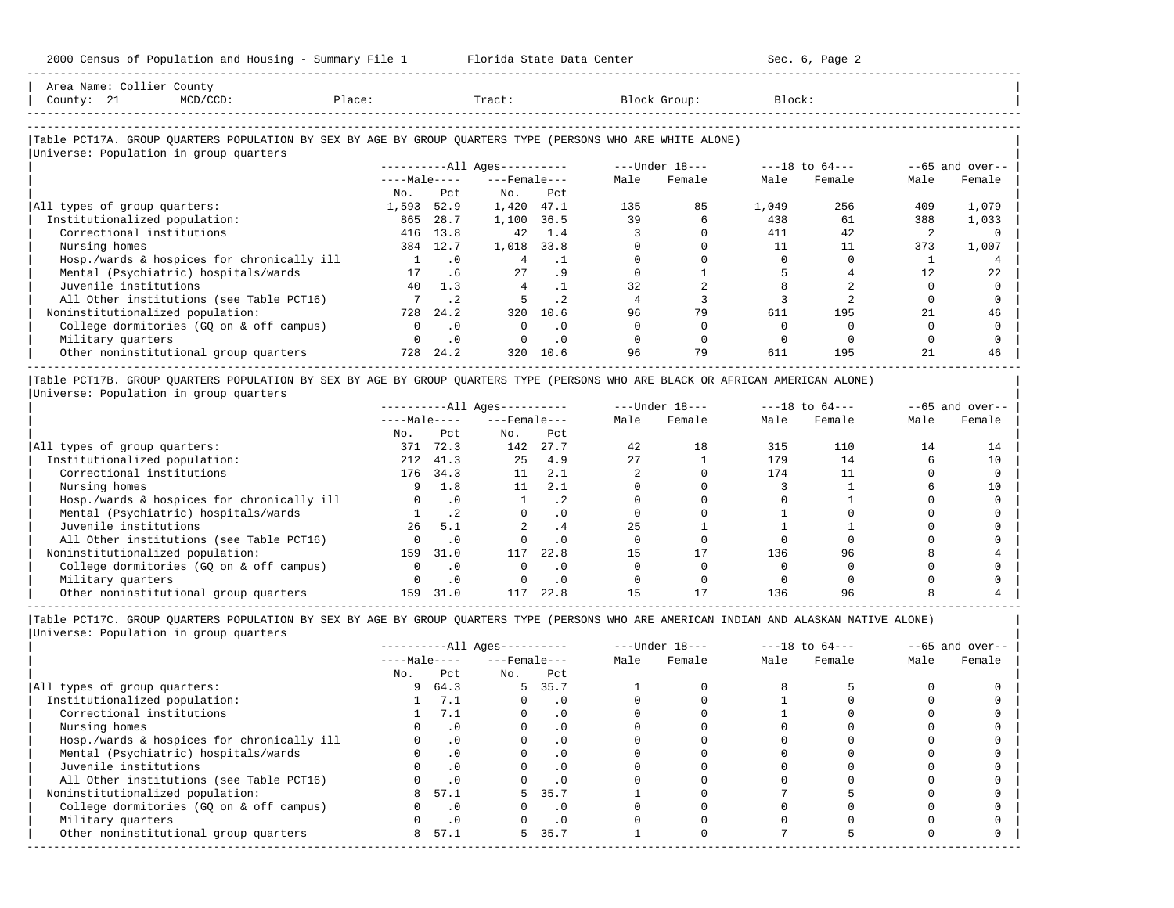| Area Name: Collier County        |                                                                                                            |              |           |                        |      |      |                  |        |                    |      |                   |
|----------------------------------|------------------------------------------------------------------------------------------------------------|--------------|-----------|------------------------|------|------|------------------|--------|--------------------|------|-------------------|
| County: 21                       | $MCD/CCD$ :                                                                                                | Place:       |           | Tract:                 |      |      | Block Group:     | Block: |                    |      |                   |
|                                  |                                                                                                            |              |           |                        |      |      |                  |        |                    |      |                   |
|                                  | Table PCT17A. GROUP QUARTERS POPULATION BY SEX BY AGE BY GROUP QUARTERS TYPE (PERSONS WHO ARE WHITE ALONE) |              |           |                        |      |      |                  |        |                    |      |                   |
|                                  | Universe: Population in group quarters                                                                     |              |           |                        |      |      |                  |        |                    |      |                   |
|                                  |                                                                                                            |              |           | $------All Aqes------$ |      |      | $---Under 18---$ |        | $---18$ to $64---$ |      | $--65$ and over-- |
|                                  |                                                                                                            | $---Male---$ |           | $---$ Female $---$     |      | Male | Female           | Male   | Female             | Male | Female            |
|                                  |                                                                                                            | No.          | Pct       | No.                    | Pct  |      |                  |        |                    |      |                   |
| All types of group quarters:     |                                                                                                            | 1,593        | 52.9      | 1,420                  | 47.1 | 135  | 85               | 1,049  | 256                | 409  | 1,079             |
| Institutionalized population:    |                                                                                                            | 865          | 28.7      | 1,100                  | 36.5 | 39   |                  | 438    | 61                 | 388  | 1,033             |
| Correctional institutions        |                                                                                                            | 416          | 13.8      | 42                     | 1.4  |      |                  | 411    | 42                 |      |                   |
| Nursing homes                    |                                                                                                            | 384          | 12.7      | 1,018                  | 33.8 |      |                  | 11     | 11                 | 373  | 1,007             |
|                                  | Hosp./wards & hospices for chronically ill                                                                 |              | $\cdot$ 0 |                        | . 1  |      |                  |        |                    |      |                   |
|                                  | Mental (Psychiatric) hospitals/wards                                                                       | 17           | .6        | 27                     | .9   |      |                  |        |                    | 12   | 22                |
| Juvenile institutions            |                                                                                                            | 40           | 1.3       |                        |      | 32   |                  |        |                    |      |                   |
|                                  | All Other institutions (see Table PCT16)                                                                   |              | $\cdot$ 2 |                        | .2   |      |                  |        |                    |      |                   |
| Noninstitutionalized population: |                                                                                                            | 728          | 24.2      | 320                    | 10.6 | 96   | 79               | 611    | 195                | 21   | 46                |
|                                  | College dormitories (GQ on & off campus)                                                                   |              | $\cdot$ 0 | $\Omega$               | . 0  |      |                  |        |                    |      |                   |
| Military quarters                |                                                                                                            |              | $\cdot$ 0 |                        | . 0  |      |                  |        |                    |      |                   |
|                                  | Other noninstitutional group quarters                                                                      | 728          | 24.2      | 320                    | 10.6 | 96   | 79               | 611    | 195                | 21   | 46                |

|Table PCT17B. GROUP QUARTERS POPULATION BY SEX BY AGE BY GROUP QUARTERS TYPE (PERSONS WHO ARE BLACK OR AFRICAN AMERICAN ALONE) | |Universe: Population in group quarters |

-----------------------------------------------------------------------------------------------------------------------------------------------------

|                                            |              |           | $------All Aqes------$ |           |      | $---Under 18---$ |      | $---18$ to $64---$ |      | $--65$ and over-- |
|--------------------------------------------|--------------|-----------|------------------------|-----------|------|------------------|------|--------------------|------|-------------------|
|                                            | $---Male---$ |           | $---$ Female $---$     |           | Male | Female           | Male | Female             | Male | Female            |
|                                            | No.          | Pct       | No.                    | Pct       |      |                  |      |                    |      |                   |
| All types of group quarters:               | 371          | 72.3      | 142                    | 27.7      | 42   | 18               | 315  | 110                | 14   |                   |
| Institutionalized population:              | 212          | 41.3      | 2.5                    | 4.9       | 2.7  |                  | 179  | 14                 |      | 10                |
| Correctional institutions                  | 176          | 34.3      | 11                     | 2.1       |      |                  | 174  |                    |      |                   |
| Nursing homes                              |              | 1.8       | 11                     | 2.1       |      |                  |      |                    |      | 10                |
| Hosp./wards & hospices for chronically ill |              | $\cdot$ 0 |                        | $\cdot$ 2 |      |                  |      |                    |      |                   |
| Mental (Psychiatric) hospitals/wards       |              |           |                        | . 0       |      |                  |      |                    |      |                   |
| Juvenile institutions                      | 26           | 5.1       |                        | . 4       | 25   |                  |      |                    |      |                   |
| All Other institutions (see Table PCT16)   |              |           |                        | . 0       |      |                  |      |                    |      |                   |
| Noninstitutionalized population:           | 159          | 31.0      | 117                    | 22.8      | 15   |                  | 136  | 96                 |      |                   |
| College dormitories (GQ on & off campus)   |              |           |                        | $\cdot$ 0 |      |                  |      |                    |      |                   |
| Military quarters                          |              | $\cdot$ 0 |                        | . 0       |      |                  |      |                    |      |                   |
| Other noninstitutional group quarters      | 159          | 31.0      | 117                    | 22.8      |      |                  | 136  |                    |      |                   |

-----------------------------------------------------------------------------------------------------------------------------------------------------

-----------------------------------------------------------------------------------------------------------------------------------------------------

|                                            |              |      | $------All Ages------$ |           |      | $---Under 18---$ |      | $---18$ to $64---$ |      | $--65$ and over-- |
|--------------------------------------------|--------------|------|------------------------|-----------|------|------------------|------|--------------------|------|-------------------|
|                                            | $---Male---$ |      | $---$ Female $---$     |           | Male | Female           | Male | Female             | Male | Female            |
|                                            | No.          | Pct  | No.                    | Pct       |      |                  |      |                    |      |                   |
| All types of group quarters:               | 9            | 64.3 | 5                      | 35.7      |      |                  |      |                    |      |                   |
| Institutionalized population:              |              | 7.1  |                        | . 0       |      |                  |      |                    |      |                   |
| Correctional institutions                  |              | 7.1  |                        | . 0       |      |                  |      |                    |      |                   |
| Nursing homes                              |              |      |                        | $\cdot$ 0 |      |                  |      |                    |      |                   |
| Hosp./wards & hospices for chronically ill |              |      |                        | . 0       |      |                  |      |                    |      |                   |
| Mental (Psychiatric) hospitals/wards       |              |      |                        | . 0       |      |                  |      |                    |      |                   |
| Juvenile institutions                      |              |      |                        | . 0       |      |                  |      |                    |      |                   |
| All Other institutions (see Table PCT16)   |              |      |                        |           |      |                  |      |                    |      |                   |
| Noninstitutionalized population:           |              | 57.1 | 5.                     | 35.7      |      |                  |      |                    |      |                   |
| College dormitories (GO on & off campus)   |              |      |                        | . 0       |      |                  |      |                    |      |                   |
| Military quarters                          |              |      |                        | . 0       |      |                  |      |                    |      |                   |
| Other noninstitutional group quarters      | 8            | 57.1 | 5.                     | 35.7      |      |                  |      |                    |      |                   |
|                                            |              |      |                        |           |      |                  |      |                    |      |                   |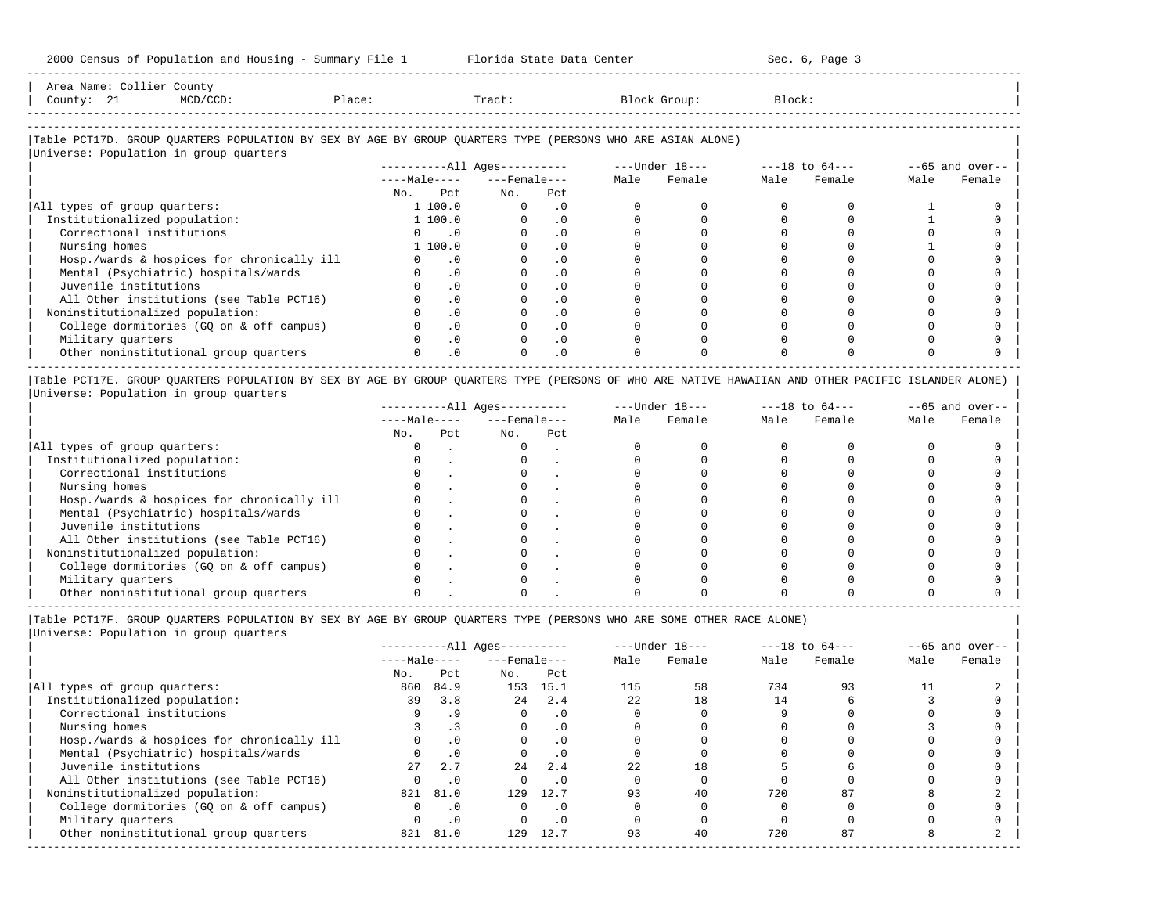| $N$ ron |  |  |        |
|---------|--|--|--------|
| ount?   |  |  | $-220$ |
|         |  |  |        |
|         |  |  |        |

-----------------------------------------------------------------------------------------------------------------------------------------------------

### |Table PCT17D. GROUP QUARTERS POPULATION BY SEX BY AGE BY GROUP QUARTERS TYPE (PERSONS WHO ARE ASIAN ALONE) |

|                                            | $------All Aqes------$ |                             |          |                    |  | ---Under 18--- |      | $---18$ to $64---$ | $--65$ and over-- |        |
|--------------------------------------------|------------------------|-----------------------------|----------|--------------------|--|----------------|------|--------------------|-------------------|--------|
|                                            | $---Male---$           |                             |          | $---$ Female $---$ |  | Female         | Male | Female             | Male              | Female |
|                                            | No.                    | Pct                         | No.      | Pct                |  |                |      |                    |                   |        |
| All types of group quarters:               | 1 100.0                |                             | $\Omega$ | $\cdot$ 0          |  |                |      |                    |                   |        |
| Institutionalized population:              | 1 100.0                |                             |          | $\cdot$ 0          |  |                |      |                    |                   |        |
| Correctional institutions                  |                        | $\overline{\phantom{0}}$ .0 |          | $\cdot$ 0          |  |                |      |                    |                   |        |
| Nursing homes                              | 1 100.0                |                             |          | $\cdot$ 0          |  |                |      |                    |                   |        |
| Hosp./wards & hospices for chronically ill |                        | $\cdot$ 0                   |          | $\cdot$ 0          |  |                |      |                    |                   |        |
| Mental (Psychiatric) hospitals/wards       |                        | $\cdot$ 0                   |          | .0                 |  |                |      |                    |                   |        |
| Juvenile institutions                      |                        | $\cdot$ 0                   |          | $\cdot$ 0          |  |                |      |                    |                   |        |
| All Other institutions (see Table PCT16)   |                        | $\cdot$ 0                   |          | $\cdot$ 0          |  |                |      |                    |                   |        |
| Noninstitutionalized population:           |                        | $\cdot$ 0                   |          | $\cdot$ 0          |  |                |      |                    |                   |        |
| College dormitories (GQ on & off campus)   |                        | $\cdot$ 0                   |          | $\cdot$ 0          |  |                |      |                    |                   |        |
| Military quarters                          |                        | $\cdot$ 0                   |          | $\cdot$ 0          |  |                |      |                    |                   |        |
| Other noninstitutional group quarters      |                        | $\cdot$ 0                   |          | $\cdot$ 0          |  |                |      |                    |                   |        |

|Table PCT17E. GROUP QUARTERS POPULATION BY SEX BY AGE BY GROUP QUARTERS TYPE (PERSONS OF WHO ARE NATIVE HAWAIIAN AND OTHER PACIFIC ISLANDER ALONE) | |Universe: Population in group quarters |

|                                            |              |     | $------All Aqes------$ |     |      | $---Under 18---$ |      | $---18$ to $64---$ |      | $--65$ and over-- |
|--------------------------------------------|--------------|-----|------------------------|-----|------|------------------|------|--------------------|------|-------------------|
|                                            | $---Male---$ |     | $---$ Female $---$     |     | Male | Female           | Male | Female             | Male | Female            |
|                                            | No.          | Pct | No.                    | Pct |      |                  |      |                    |      |                   |
| All types of group quarters:               |              |     |                        |     |      |                  |      |                    |      |                   |
| Institutionalized population:              |              |     |                        |     |      |                  |      |                    |      |                   |
| Correctional institutions                  |              |     |                        |     |      |                  |      |                    |      |                   |
| Nursing homes                              |              |     |                        |     |      |                  |      |                    |      |                   |
| Hosp./wards & hospices for chronically ill |              |     |                        |     |      |                  |      |                    |      |                   |
| Mental (Psychiatric) hospitals/wards       |              |     |                        |     |      |                  |      |                    |      |                   |
| Juvenile institutions                      |              |     |                        |     |      |                  |      |                    |      |                   |
| All Other institutions (see Table PCT16)   |              |     |                        |     |      |                  |      |                    |      |                   |
| Noninstitutionalized population:           |              |     |                        |     |      |                  |      |                    |      |                   |
| College dormitories (GO on & off campus)   |              |     |                        |     |      |                  |      |                    |      |                   |
| Military quarters                          |              |     |                        |     |      |                  |      |                    |      |                   |
| Other noninstitutional group quarters      |              |     |                        |     |      |                  |      |                    |      |                   |

----------------------------------------------------------------------------------------------------------------------------------------------------- |Table PCT17F. GROUP QUARTERS POPULATION BY SEX BY AGE BY GROUP QUARTERS TYPE (PERSONS WHO ARE SOME OTHER RACE ALONE) |

|                                            | $------All Ages------$ |           |                    |           |      | $---Under 18---$ |      | $---18$ to $64---$ |      | $--65$ and over-- |
|--------------------------------------------|------------------------|-----------|--------------------|-----------|------|------------------|------|--------------------|------|-------------------|
|                                            | $---Male---$           |           | $---$ Female $---$ |           | Male | Female           | Male | Female             | Male | Female            |
|                                            | No.                    | Pct       | No.                | Pct       |      |                  |      |                    |      |                   |
| All types of group quarters:               | 860                    | 84.9      | 153                | 15.1      | 115  | 58               | 734  | 93                 |      |                   |
| Institutionalized population:              | 39                     | 3.8       | 2.4                | 2.4       | 2.2  | 18               | 14   |                    |      |                   |
| Correctional institutions                  |                        | .9        | $\Omega$           | $\cdot$ 0 |      |                  |      |                    |      |                   |
| Nursing homes                              |                        |           | O                  | $\cdot$ 0 |      |                  |      |                    |      |                   |
| Hosp./wards & hospices for chronically ill |                        | $\cdot$ 0 |                    | $\cdot$ 0 |      |                  |      |                    |      |                   |
| Mental (Psychiatric) hospitals/wards       |                        | $\cdot$ 0 |                    | $\cdot$ 0 |      |                  |      |                    |      |                   |
| Juvenile institutions                      | 27                     | 2.7       | 2.4                | 2.4       | 22   | 18               |      |                    |      |                   |
| All Other institutions (see Table PCT16)   |                        | $\cdot$ 0 |                    | $\cdot$ 0 |      |                  |      |                    |      |                   |
| Noninstitutionalized population:           | 821                    | 81.0      | 129                | 12.7      | 93   | 40               | 720  | 87                 |      |                   |
| College dormitories (GQ on & off campus)   |                        | $\cdot$ 0 | $\Omega$           | $\cdot$ 0 |      |                  |      |                    |      |                   |
| Military quarters                          |                        | $\cdot$ 0 |                    | $\cdot$ 0 |      |                  |      |                    |      |                   |
| Other noninstitutional group quarters      | 821                    | 81.0      | 129                | 12.7      | 93   | 40               | 720  | 87                 |      |                   |
|                                            |                        |           |                    |           |      |                  |      |                    |      |                   |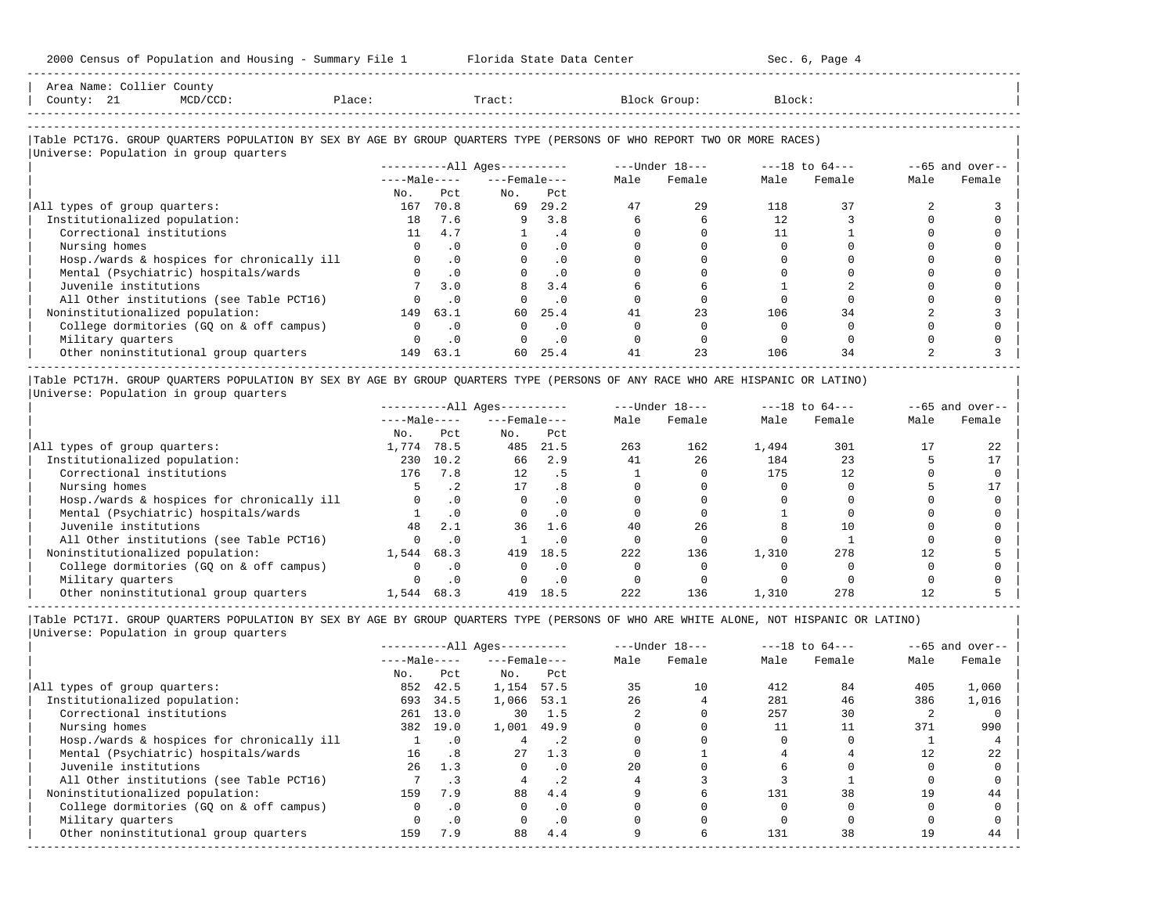-----------------------------------------------------------------------------------------------------------------------------------------------------

| County: 21<br>$MCD/CCD$ :                                                                                              | Place: |              | Tract:                       |           |      | Block Group:   | Block: |                |      |                   |
|------------------------------------------------------------------------------------------------------------------------|--------|--------------|------------------------------|-----------|------|----------------|--------|----------------|------|-------------------|
|                                                                                                                        |        |              |                              |           |      |                |        |                |      |                   |
| Table PCT17G. GROUP QUARTERS POPULATION BY SEX BY AGE BY GROUP QUARTERS TYPE (PERSONS OF WHO REPORT TWO OR MORE RACES) |        |              |                              |           |      |                |        |                |      |                   |
| Universe: Population in group quarters                                                                                 |        |              |                              |           |      | ---Under 18--- |        | ---18 to 64--- |      |                   |
|                                                                                                                        |        | $---Male---$ | ----------All Ages---------- |           |      |                |        |                |      | $--65$ and over-- |
|                                                                                                                        | No.    | Pct          | $---$ Female $---$<br>No.    | Pct       | Male | Female         | Male   | Female         | Male | Female            |
| All types of group quarters:                                                                                           | 167    | 70.8         |                              | 69 29.2   | 47   | 29             | 118    | 37             |      |                   |
| Institutionalized population:                                                                                          | 18     | 7.6          | 9                            | 3.8       |      |                | 12.    |                |      |                   |
| Correctional institutions                                                                                              | 11     | 4.7          |                              | .4        |      |                | 11     |                |      |                   |
| Nursing homes                                                                                                          |        | $\cdot$ 0    | $\Omega$                     | $\Omega$  |      |                |        |                |      |                   |
| Hosp./wards & hospices for chronically ill                                                                             |        | $\cdot$ 0    | $\Omega$                     | $\cdot$ 0 |      |                |        |                |      |                   |
| Mental (Psychiatric) hospitals/wards                                                                                   |        | .0           |                              | .0        |      |                |        |                |      |                   |
| Juvenile institutions                                                                                                  |        | 3.0          |                              | 3.4       |      |                |        |                |      |                   |
| All Other institutions (see Table PCT16)                                                                               |        | $\cdot$ 0    |                              | $\Omega$  |      |                |        |                |      |                   |
| Noninstitutionalized population:                                                                                       | 149    | 63.1         | 60                           | 25.4      | 41   | 23             | 106    | 34             |      |                   |
| College dormitories (GQ on & off campus)                                                                               |        | $\cdot$ 0    | $\Omega$                     | $\cdot$ 0 |      |                |        |                |      |                   |
| Military quarters                                                                                                      |        | $\cdot$ 0    |                              | $\cdot$ 0 |      |                |        |                |      |                   |
| Other noninstitutional group quarters                                                                                  | 149    | 63.1         | 60                           | 25.4      | 41   | 23             | 106    | 34             |      |                   |

| ----------All Ages---------- ---Under 18--- ---18 to 64--- --65 and over-- | ----Male---- ---Female--- Male Female Male Female Male Female No. Pct No. Pct<br>1,774 78.5 485 21.5 263 162 1,494 301 17 22 |<br>| 1,774 78.5 485 21.5 263 162 1,494 301 17 22<br>| 1.11 Institutionalized population: 230 10.2 66 2.9 41 26 184 23 5 17<br>| Correctional institutions 176 7.8 12 .5 1 0 175 12 0 0 | Institutionalized population: 230 10.2 66 2.9 41 26 184 23 5 17 | | Correctional institutions 176 7.8 12 .5 1 0 175 12 0 0 | | Nursing homes 5 .2 17 .8 0 0 0 0 5 17 | | Hosp./wards & hospices for chronically ill 0 .0 0 .0 0 0 0 0 0 0 | | Mental (Psychiatric) hospitals/wards 1 .0 0 .0 0 0 1 0 0 0 | | Juvenile institutions 48 2.1 36 1.6 40 26 8 10 0 0 | | All Other institutions (see Table PCT16) 0 .0 1 .0 0 0 0 1 0 0 | | Noninstitutionalized population: 1,544 68.3 419 18.5 222 136 1,310 278 12 5 | | College dormitories (GQ on & off campus) 0 .0 0 .0 0 0 0 0 0 0 | | Military quarters 0 .0 0 .0 0 0 0 0 0 0 | | Other noninstitutional group quarters 1,544 68.3 419 18.5 222 136 1,310 278 12 5 |

|Table PCT17I. GROUP QUARTERS POPULATION BY SEX BY AGE BY GROUP QUARTERS TYPE (PERSONS OF WHO ARE WHITE ALONE, NOT HISPANIC OR LATINO) | |Universe: Population in group quarters |

|                                            | $------All Aqes------$ |           |                    |           |      | $---Under 18---$ |      | $---18$ to $64---$ |      | $--65$ and over-- |
|--------------------------------------------|------------------------|-----------|--------------------|-----------|------|------------------|------|--------------------|------|-------------------|
|                                            | $---Male---$           |           | $---$ Female $---$ |           | Male | Female           | Male | Female             | Male | Female            |
|                                            | No.                    | Pct       | No.                | Pct       |      |                  |      |                    |      |                   |
| All types of group quarters:               | 852                    | 42.5      | 1,154              | 57.5      | 35   | 10               | 412  | 84                 | 405  | 1,060             |
| Institutionalized population:              | 693                    | 34.5      | 1,066              | 53.1      | 26   |                  | 281  | 46                 | 386  | 1,016             |
| Correctional institutions                  | 261                    | 13.0      | 30                 | 1.5       |      |                  | 257  | 30                 |      |                   |
| Nursing homes                              |                        | 382 19.0  | 1,001              | 49.9      |      |                  |      |                    | 371  | 990               |
| Hosp./wards & hospices for chronically ill |                        | . 0       |                    | $\cdot$ 2 |      |                  |      |                    |      |                   |
| Mental (Psychiatric) hospitals/wards       | 16                     | .8        | 27                 | 1.3       |      |                  |      |                    |      | 22                |
| Juvenile institutions                      | 26                     | 1.3       |                    | $\cdot$ 0 | 20   |                  |      |                    |      |                   |
| All Other institutions (see Table PCT16)   |                        |           |                    | $\cdot$ 2 |      |                  |      |                    |      |                   |
| Noninstitutionalized population:           | 159                    | 7.9       | 88                 | 4.4       |      |                  | 131  | 38                 | 19   | 44                |
| College dormitories (GQ on & off campus)   |                        | $\cdot$ 0 |                    | $\cdot$ 0 |      |                  |      |                    |      |                   |
| Military quarters                          |                        | $\cdot$ 0 |                    | $\cdot$ 0 |      |                  |      |                    |      |                   |
| Other noninstitutional group quarters      | 159                    | 7.9       | 88                 | 4.4       |      | b                | 131  | 38                 | 19   | 44                |
|                                            |                        |           |                    |           |      |                  |      |                    |      |                   |

-----------------------------------------------------------------------------------------------------------------------------------------------------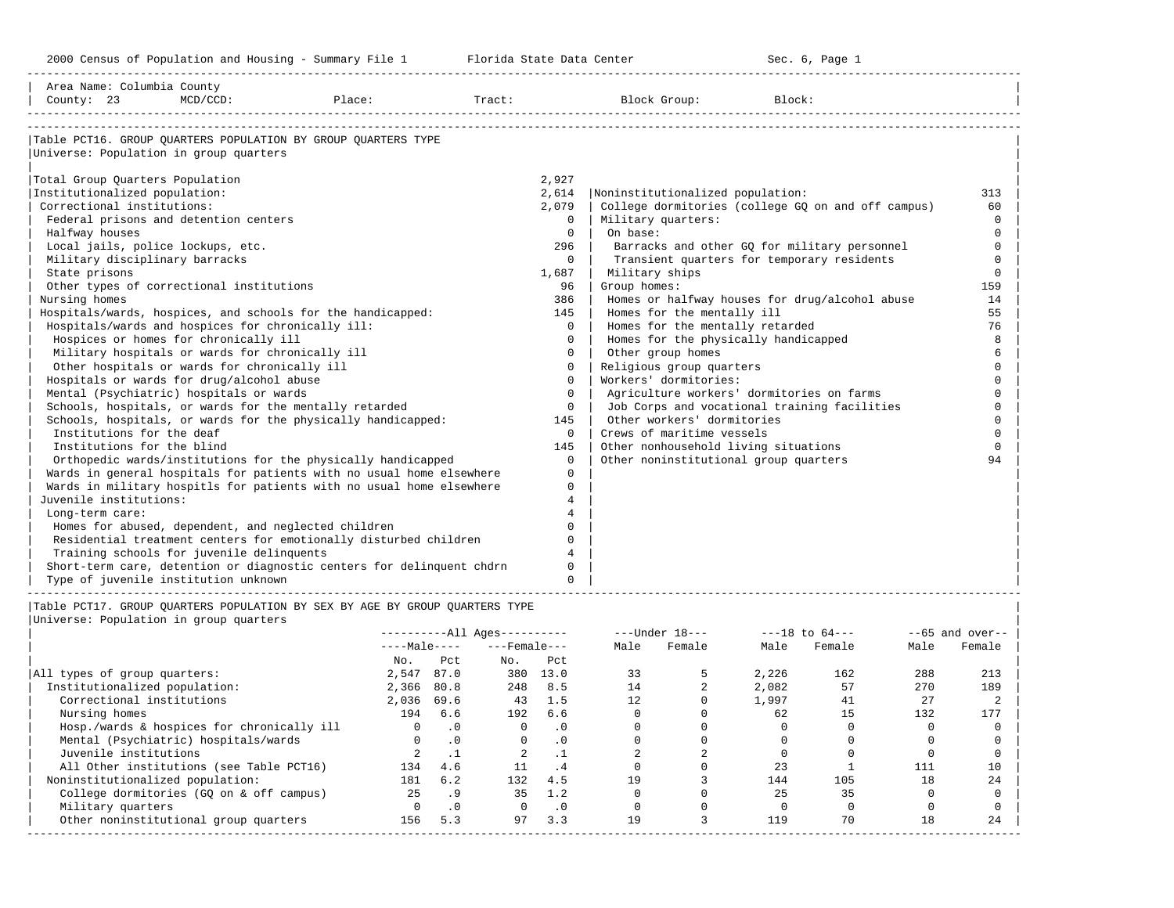-----------------------------------------------------------------------------------------------------------------------------------------------------

| Area Name: Columbia County<br>County: 23          | $MCD/CCD$ : | Place:                                                                      |                | Tract: Block Group:                       | Block:                                             |                  |
|---------------------------------------------------|-------------|-----------------------------------------------------------------------------|----------------|-------------------------------------------|----------------------------------------------------|------------------|
|                                                   |             |                                                                             |                |                                           |                                                    |                  |
|                                                   |             | Table PCT16. GROUP OUARTERS POPULATION BY GROUP OUARTERS TYPE               |                |                                           |                                                    |                  |
| Universe: Population in group quarters            |             |                                                                             |                |                                           |                                                    |                  |
| Total Group Quarters Population                   |             |                                                                             | 2,927          |                                           |                                                    |                  |
| Institutionalized population:                     |             |                                                                             | 2,614          | Noninstitutionalized population:          |                                                    | 313              |
| Correctional institutions:                        |             |                                                                             | 2,079          |                                           | College dormitories (college GQ on and off campus) | 60               |
| Federal prisons and detention centers             |             |                                                                             | 0              | Military quarters:                        |                                                    | $\Omega$         |
| Halfway houses                                    |             |                                                                             | $\Omega$       | On base:                                  |                                                    | $\Omega$         |
| Local jails, police lockups, etc.                 |             |                                                                             | 296            |                                           | Barracks and other GQ for military personnel       | $\Omega$         |
| Military disciplinary barracks                    |             |                                                                             | $\Omega$       |                                           | Transient quarters for temporary residents         | $\Omega$         |
| State prisons                                     |             |                                                                             | 1,687          | Military ships                            |                                                    | $\Omega$         |
| Other types of correctional institutions          |             |                                                                             | 96             | Group homes:                              |                                                    | 159              |
| Nursing homes                                     |             |                                                                             | 386            |                                           | Homes or halfway houses for drug/alcohol abuse     | 14               |
|                                                   |             | Hospitals/wards, hospices, and schools for the handicapped:                 | 145            | Homes for the mentally ill                |                                                    | 55               |
| Hospitals/wards and hospices for chronically ill: |             |                                                                             | $\Omega$       | Homes for the mentally retarded           |                                                    | 76               |
| Hospices or homes for chronically ill             |             |                                                                             | $\Omega$       | Homes for the physically handicapped      |                                                    | 8                |
| Military hospitals or wards for chronically ill   |             |                                                                             | 0              | Other group homes                         |                                                    |                  |
| Other hospitals or wards for chronically ill      |             |                                                                             | $\Omega$       | Religious group quarters                  |                                                    | $\Omega$         |
| Hospitals or wards for drug/alcohol abuse         |             |                                                                             | $\Omega$       | Workers' dormitories:                     |                                                    | $\Omega$         |
| Mental (Psychiatric) hospitals or wards           |             |                                                                             | $\Omega$       | Agriculture workers' dormitories on farms |                                                    | $\Omega$         |
|                                                   |             | Schools, hospitals, or wards for the mentally retarded                      | $\Omega$       |                                           | Job Corps and vocational training facilities       | $\Omega$         |
|                                                   |             | Schools, hospitals, or wards for the physically handicapped:                | 145            | Other workers' dormitories                |                                                    | $\Omega$         |
| Institutions for the deaf                         |             |                                                                             | $\Omega$       | Crews of maritime vessels                 |                                                    | $\Omega$         |
| Institutions for the blind                        |             |                                                                             | 145            | Other nonhousehold living situations      |                                                    | $\Omega$         |
|                                                   |             | Orthopedic wards/institutions for the physically handicapped                | $\Omega$       | Other noninstitutional group quarters     |                                                    | 94               |
|                                                   |             | Wards in general hospitals for patients with no usual home elsewhere        | $\Omega$       |                                           |                                                    |                  |
|                                                   |             | Wards in military hospitls for patients with no usual home elsewhere        | $\Omega$       |                                           |                                                    |                  |
| Juvenile institutions:                            |             |                                                                             | 4              |                                           |                                                    |                  |
| Long-term care:                                   |             |                                                                             |                |                                           |                                                    |                  |
|                                                   |             | Homes for abused, dependent, and neglected children                         | $\Omega$       |                                           |                                                    |                  |
|                                                   |             | Residential treatment centers for emotionally disturbed children            | $\Omega$       |                                           |                                                    |                  |
| Training schools for juvenile delinquents         |             |                                                                             | $\overline{4}$ |                                           |                                                    |                  |
|                                                   |             | Short-term care, detention or diagnostic centers for delinquent chdrn       | $\Omega$       |                                           |                                                    |                  |
| Type of juvenile institution unknown              |             |                                                                             | $\Omega$       |                                           |                                                    |                  |
|                                                   |             | Table PCT17. GROUP OUARTERS POPULATION BY SEX BY AGE BY GROUP OUARTERS TYPE |                |                                           |                                                    |                  |
| Universe: Population in group quarters            |             |                                                                             |                |                                           |                                                    |                  |
|                                                   |             | ----------All Ages----------                                                |                | $---Under 18-- ---18 to 64---$            |                                                    | $-65$ and over-- |

|                                            | ---------- <u>All Ayes----------</u> |                 |                    |           |      | ----under to--- |       | ---IO LU 04--- |      | $-$ -00 dilu Over $-$ |
|--------------------------------------------|--------------------------------------|-----------------|--------------------|-----------|------|-----------------|-------|----------------|------|-----------------------|
|                                            | $---Male---$                         |                 | $---$ Female $---$ |           | Male | Female          | Male  | Female         | Male | Female                |
|                                            | No.                                  | Pct             | No.                | Pct       |      |                 |       |                |      |                       |
| All types of group quarters:               | 2,547                                | 87.0            | 380                | 13.0      | 33   |                 | 2,226 | 162            | 288  | 213                   |
| Institutionalized population:              | 2,366                                | 80.8            | 248                | 8.5       | 14   |                 | 2,082 | 57             | 270  | 189                   |
| Correctional institutions                  | 2,036                                | 69.6            | 43                 | 1.5       | 12   |                 | 1,997 | 41             | 27   |                       |
| Nursing homes                              | 194                                  | 6.6             | 192                | 6.6       |      |                 | 62    |                | 132  | 177                   |
| Hosp./wards & hospices for chronically ill | 0                                    | $\cdot$ 0       | $\Omega$           | $\cdot$ 0 |      |                 |       |                |      |                       |
| Mental (Psychiatric) hospitals/wards       |                                      | $\cdot$ 0       | $\Omega$           | $\cdot$ 0 |      |                 |       |                |      |                       |
| Juvenile institutions                      |                                      |                 |                    |           |      |                 |       |                |      |                       |
| All Other institutions (see Table PCT16)   | 134                                  | 4.6             | 11                 | . 4       |      |                 | 23    |                | 111  | 10                    |
| Noninstitutionalized population:           | 181                                  | 6.2             | 132                | 4.5       | 19   |                 | 144   | 105            | 18   | 24                    |
| College dormitories (GQ on & off campus)   | 25                                   | .9 <sub>o</sub> | 35                 | 1.2       |      |                 | 25    | 35             |      |                       |
| Military quarters                          |                                      | $\cdot$ 0       |                    | $\cdot$ 0 |      |                 |       |                |      |                       |
| Other noninstitutional group quarters      | 156                                  | 5.3             | 97                 | 3.3       | 19   |                 | 119   | 70             | 18   | 24                    |
|                                            |                                      |                 |                    |           |      |                 |       |                |      |                       |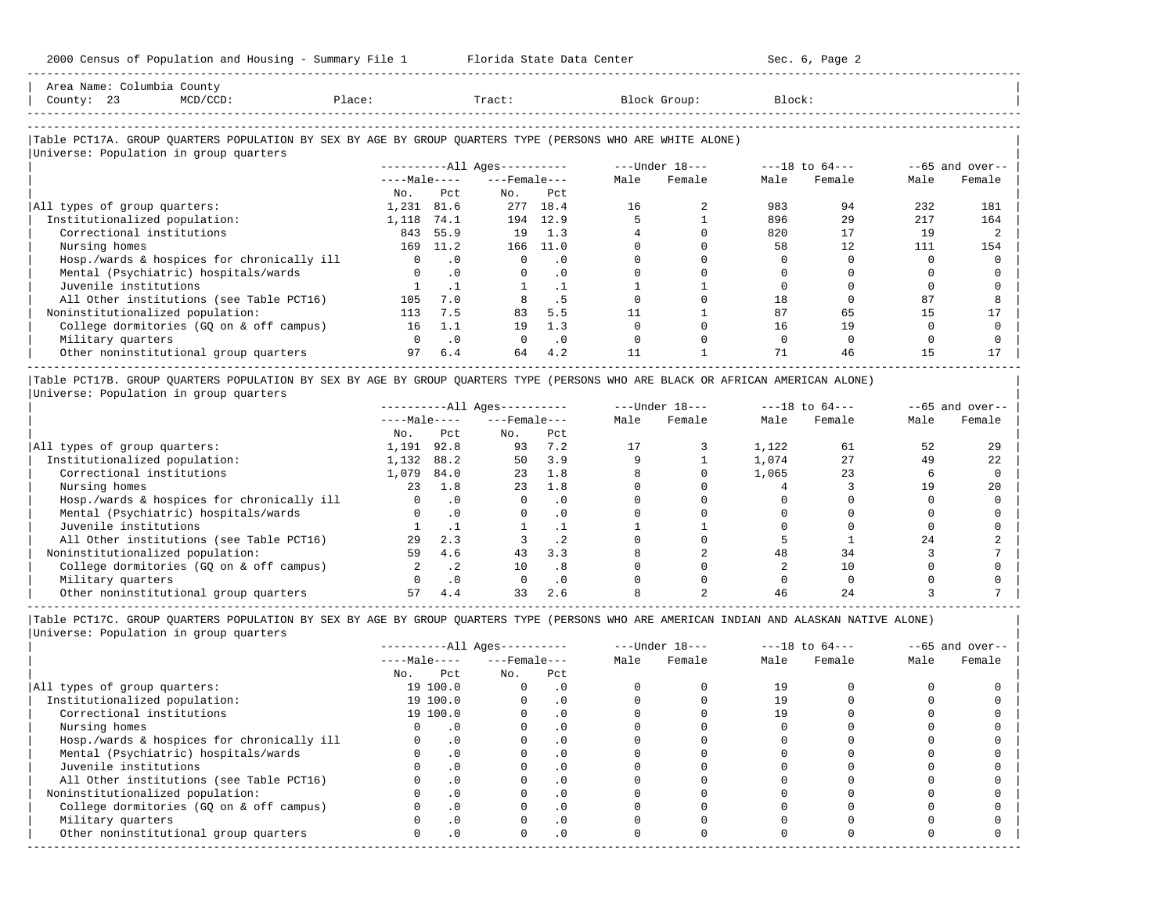| Area Name: Columbia County<br>County: 23<br>$MCD/CCD$ :                                                                                              | Place:       |           | Tract:                 |           |      | Block Group:                   | Block: |        |      |                  |
|------------------------------------------------------------------------------------------------------------------------------------------------------|--------------|-----------|------------------------|-----------|------|--------------------------------|--------|--------|------|------------------|
| Table PCT17A. GROUP OUARTERS POPULATION BY SEX BY AGE BY GROUP OUARTERS TYPE (PERSONS WHO ARE WHITE ALONE)<br>Universe: Population in group quarters |              |           |                        |           |      |                                |        |        |      |                  |
|                                                                                                                                                      |              |           | $------All Aqes------$ |           |      | $---Under 18-- ---18 to 64---$ |        |        |      | $-65$ and over-- |
|                                                                                                                                                      |              |           | $---Male---$           |           | Male | Female                         | Male   | Female | Male | Female           |
|                                                                                                                                                      | No.          | Pct.      | No.                    | Pct.      |      |                                |        |        |      |                  |
| All types of group quarters:                                                                                                                         | 1,231        | 81.6      |                        | 277 18.4  | 16   |                                | 983    | 94     | 232  | 181              |
| Institutionalized population:                                                                                                                        | 1,118        | 74.1      | 194                    | 12.9      |      |                                | 896    | 29     | 217  | 164              |
| Correctional institutions                                                                                                                            | 843          | 55.9      | 19                     | 1.3       |      |                                | 820    | 17     | 19   |                  |
| Nursing homes                                                                                                                                        | 169          | 11.2      | 166                    | 11.0      |      |                                | 58     | 12     | 111  | 154              |
| Hosp./wards & hospices for chronically ill                                                                                                           | $\Omega$     | $\cdot$ 0 | $\Omega$               | $\cdot$ 0 |      |                                |        |        |      |                  |
| Mental (Psychiatric) hospitals/wards                                                                                                                 |              | .0        |                        | $\cdot$ 0 |      |                                |        |        |      |                  |
| Juvenile institutions                                                                                                                                |              | $\cdot$ 1 |                        | $\cdot$ 1 |      |                                |        |        |      |                  |
| All Other institutions (see Table PCT16)                                                                                                             | 105          | 7.0       |                        | . 5       |      |                                | 18     |        | 87   |                  |
| Noninstitutionalized population:                                                                                                                     | 113          | 7.5       | 83                     | 5.5       |      |                                | 87     | 65     | 15   |                  |
| College dormitories (GQ on & off campus)                                                                                                             | 16           | 1.1       | 19                     | 1.3       |      |                                | 16     | 19     |      |                  |
| Military quarters                                                                                                                                    | <sup>n</sup> | $\cdot$ 0 |                        | $\cdot$ 0 |      |                                |        |        |      |                  |

|Table PCT17B. GROUP QUARTERS POPULATION BY SEX BY AGE BY GROUP QUARTERS TYPE (PERSONS WHO ARE BLACK OR AFRICAN AMERICAN ALONE) | |Universe: Population in group quarters |

|                                            |              | $------All Ages------$ |                    |           |      | $---Under 18---$ | $---18$ to $64---$ |        | $- -65$ and over-- |        |
|--------------------------------------------|--------------|------------------------|--------------------|-----------|------|------------------|--------------------|--------|--------------------|--------|
|                                            | $---Male---$ |                        | $---$ Female $---$ |           | Male | Female           | Male               | Female | Male               | Female |
|                                            | No.          | Pct                    | No.                | Pct       |      |                  |                    |        |                    |        |
| All types of group quarters:               | 1,191        | 92.8                   | 93                 | 7.2       |      |                  | 1,122              | 61     | 52                 | 29     |
| Institutionalized population:              | 1,132        | 88.2                   | 50                 | 3.9       |      |                  | 1,074              | 27     | 49                 | 22     |
| Correctional institutions                  | 1,079        | 84.0                   | 23                 | 1.8       |      |                  | 1,065              | 23     |                    |        |
| Nursing homes                              | 23           | 1.8                    | 23                 | 1.8       |      |                  |                    |        | 1 Q                | 20     |
| Hosp./wards & hospices for chronically ill |              | $\cdot$ 0              |                    | . 0       |      |                  |                    |        |                    |        |
| Mental (Psychiatric) hospitals/wards       |              |                        |                    | $\cdot$ 0 |      |                  |                    |        |                    |        |
| Juvenile institutions                      |              |                        |                    |           |      |                  |                    |        |                    |        |
| All Other institutions (see Table PCT16)   | 29           | 2.3                    |                    | .2        |      |                  |                    |        | 24                 |        |
| Noninstitutionalized population:           | 59           | 4.6                    | 43                 | 3.3       |      |                  | 48                 | 34     |                    |        |
| College dormitories (GO on & off campus)   |              | . 2                    | 10                 | .8        |      |                  |                    | 10     |                    |        |
| Military quarters                          |              | $\cdot$ 0              |                    | . 0       |      |                  |                    |        |                    |        |
| Other noninstitutional group quarters      |              | 4.4                    | 33                 | 2.6       |      |                  | 46                 |        |                    |        |

-----------------------------------------------------------------------------------------------------------------------------------------------------

 $\vert$  Other noninstitutional group quarters  $\vert$  97 6.4 64 4.2  $\vert$  11 1  $\vert$  1 71 46  $\vert$  15 17  $\vert$ -----------------------------------------------------------------------------------------------------------------------------------------------------

|                                            |     |              | $------All Aqes------$ |           |      | $---Under 18---$ | $---18$ to $64---$ |        | $--65$ and over-- |        |
|--------------------------------------------|-----|--------------|------------------------|-----------|------|------------------|--------------------|--------|-------------------|--------|
|                                            |     | $---Male---$ | $---$ Female $---$     |           | Male | Female           | Male               | Female | Male              | Female |
|                                            | No. | Pct          | No.                    | Pct       |      |                  |                    |        |                   |        |
| All types of group quarters:               |     | 19 100.0     |                        | $\cdot$ 0 |      |                  | 19                 |        |                   |        |
| Institutionalized population:              |     | 19 100.0     |                        | $\cdot$ 0 |      |                  | 19                 |        |                   |        |
| Correctional institutions                  |     | 19 100.0     |                        | . 0       |      |                  |                    |        |                   |        |
| Nursing homes                              |     |              |                        | . 0       |      |                  |                    |        |                   |        |
| Hosp./wards & hospices for chronically ill |     |              |                        | . 0       |      |                  |                    |        |                   |        |
| Mental (Psychiatric) hospitals/wards       |     | $\cdot$ 0    |                        | . 0       |      |                  |                    |        |                   |        |
| Juvenile institutions                      |     |              |                        | $\cdot$ 0 |      |                  |                    |        |                   |        |
| All Other institutions (see Table PCT16)   |     |              |                        | . 0       |      |                  |                    |        |                   |        |
| Noninstitutionalized population:           |     | .0           |                        | $\cdot$ 0 |      |                  |                    |        |                   |        |
| College dormitories (GQ on & off campus)   |     |              |                        | $\cdot$ 0 |      |                  |                    |        |                   |        |
| Military quarters                          |     |              |                        | . 0       |      |                  |                    |        |                   |        |
| Other noninstitutional group quarters      |     | .0           | <sup>n</sup>           | $\cdot$ 0 |      |                  |                    |        |                   |        |
|                                            |     |              |                        |           |      |                  |                    |        |                   |        |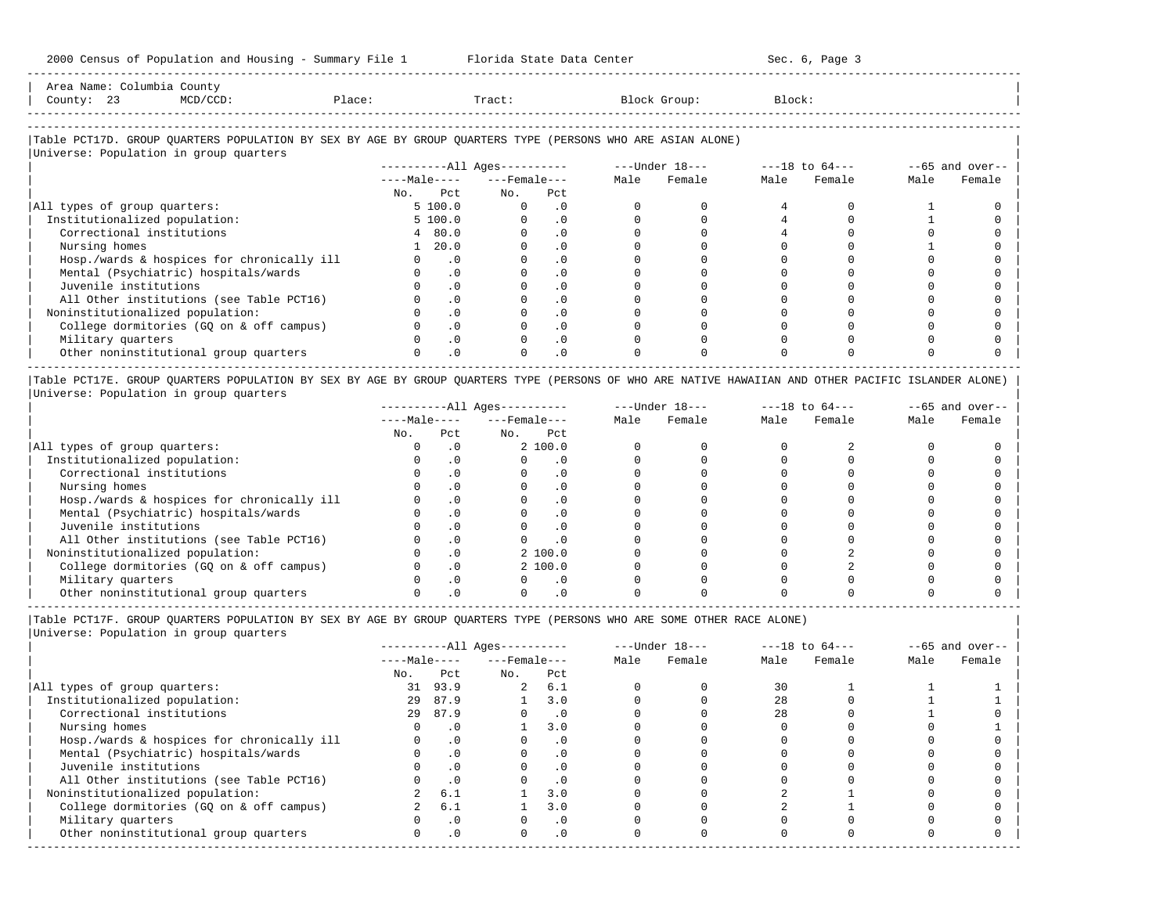-----------------------------------------------------------------------------------------------------------------------------------------------------

| Area<br>Name |     | ount,                                                                                                           |       |       |        |        |
|--------------|-----|-----------------------------------------------------------------------------------------------------------------|-------|-------|--------|--------|
| County       | ر ت | the contract of the contract of the contract of the contract of the contract of the contract of the contract of | 101.5 | Tract | … ∪up∴ | Block' |
|              |     |                                                                                                                 |       |       |        |        |

-----------------------------------------------------------------------------------------------------------------------------------------------------

### |Table PCT17D. GROUP QUARTERS POPULATION BY SEX BY AGE BY GROUP QUARTERS TYPE (PERSONS WHO ARE ASIAN ALONE) |

| Universe: Population in group quarters     |              |                        |           |      |                |      |                    |                   |        |
|--------------------------------------------|--------------|------------------------|-----------|------|----------------|------|--------------------|-------------------|--------|
|                                            |              | $------All Ages------$ |           |      | ---Under 18--- |      | $---18$ to $64---$ | $--65$ and over-- |        |
|                                            | $---Male---$ | $---$ Female ---       |           | Male | Female         | Male | Female             | Male              | Female |
|                                            | No. Pct      | No.                    | Pct       |      |                |      |                    |                   |        |
| All types of group quarters:               | 5 100.0      |                        | $\cdot$ 0 |      |                |      |                    |                   |        |
| Institutionalized population:              | 5 100.0      |                        | . 0       |      |                |      |                    |                   |        |
| Correctional institutions                  | 480.0        |                        | $\cdot$ 0 |      |                |      |                    |                   |        |
| Nursing homes                              | 1, 20.0      |                        | $\cdot$ 0 |      |                |      |                    |                   |        |
| Hosp./wards & hospices for chronically ill | $\cdot$ 0    |                        | $\cdot$ 0 |      |                |      |                    |                   |        |
| Mental (Psychiatric) hospitals/wards       | $\cdot$ 0    |                        | . 0       |      |                |      |                    |                   |        |
| Juvenile institutions                      | $\cdot$ 0    |                        | $\cdot$ 0 |      |                |      |                    |                   |        |
| All Other institutions (see Table PCT16)   | $\cdot$ 0    |                        |           |      |                |      |                    |                   |        |
| Noninstitutionalized population:           | $\cdot$ 0    |                        | $\cdot$ 0 |      |                |      |                    |                   |        |
| College dormitories (GO on & off campus)   | $\cdot$ 0    |                        |           |      |                |      |                    |                   |        |
| Military quarters                          | $\cdot$ 0    |                        | $\cdot$ 0 |      |                |      |                    |                   |        |
| Other noninstitutional group quarters      | $\cdot$ 0    |                        | $\cdot$ 0 |      |                |      |                    |                   |        |

|Table PCT17E. GROUP QUARTERS POPULATION BY SEX BY AGE BY GROUP QUARTERS TYPE (PERSONS OF WHO ARE NATIVE HAWAIIAN AND OTHER PACIFIC ISLANDER ALONE) | |Universe: Population in group quarters |

|                                            |              |     | $------All Aqes------$ |           |      | $---Under 18---$ | $---18$ to $64---$ |        | $--65$ and over-- |        |
|--------------------------------------------|--------------|-----|------------------------|-----------|------|------------------|--------------------|--------|-------------------|--------|
|                                            | $---Male---$ |     | $---$ Female $---$     |           | Male | Female           | Male               | Female | Male              | Female |
|                                            | No.          | Pct | No.                    | Pct       |      |                  |                    |        |                   |        |
| All types of group quarters:               |              |     |                        | 2, 100.0  |      |                  |                    |        |                   |        |
| Institutionalized population:              |              |     |                        |           |      |                  |                    |        |                   |        |
| Correctional institutions                  |              |     |                        | . 0       |      |                  |                    |        |                   |        |
| Nursing homes                              |              |     |                        | $\cdot$ 0 |      |                  |                    |        |                   |        |
| Hosp./wards & hospices for chronically ill |              |     |                        | . 0       |      |                  |                    |        |                   |        |
| Mental (Psychiatric) hospitals/wards       |              |     |                        | . 0       |      |                  |                    |        |                   |        |
| Juvenile institutions                      |              |     |                        | . 0       |      |                  |                    |        |                   |        |
| All Other institutions (see Table PCT16)   |              |     |                        | $\cdot$ 0 |      |                  |                    |        |                   |        |
| Noninstitutionalized population:           |              | . 0 |                        | 2, 100.0  |      |                  |                    |        |                   |        |
| College dormitories (GO on & off campus)   |              |     |                        | 2, 100.0  |      |                  |                    |        |                   |        |
| Military quarters                          |              |     |                        | $\cdot$ 0 |      |                  |                    |        |                   |        |
| Other noninstitutional group quarters      |              |     |                        |           |      |                  |                    |        |                   |        |

----------------------------------------------------------------------------------------------------------------------------------------------------- |Table PCT17F. GROUP QUARTERS POPULATION BY SEX BY AGE BY GROUP QUARTERS TYPE (PERSONS WHO ARE SOME OTHER RACE ALONE) |

|                                            |              |           | $------All Aqes------$ |           |      | $---Under 18---$ | $---18$ to $64---$ |        | $--65$ and over-- |        |
|--------------------------------------------|--------------|-----------|------------------------|-----------|------|------------------|--------------------|--------|-------------------|--------|
|                                            | $---Male---$ |           | $---$ Female $---$     |           | Male | Female           | Male               | Female | Male              | Female |
|                                            | No.          | Pct       | No.                    | Pct       |      |                  |                    |        |                   |        |
| All types of group quarters:               | 31           | 93.9      | $\overline{a}$         | 6.1       |      |                  | 30                 |        |                   |        |
| Institutionalized population:              | 29           | 87.9      |                        | 3.0       |      |                  | 28                 |        |                   |        |
| Correctional institutions                  | 29           | 87.9      |                        | $\cdot$ 0 |      |                  | 28                 |        |                   |        |
| Nursing homes                              |              | $\cdot$ 0 |                        | 3.0       |      |                  |                    |        |                   |        |
| Hosp./wards & hospices for chronically ill |              | $\cdot$ 0 |                        | $\cdot$ 0 |      |                  |                    |        |                   |        |
| Mental (Psychiatric) hospitals/wards       |              | $\cdot$ 0 |                        | $\cdot$ 0 |      |                  |                    |        |                   |        |
| Juvenile institutions                      |              | $\cdot$ 0 |                        |           |      |                  |                    |        |                   |        |
| All Other institutions (see Table PCT16)   |              | $\cdot$ 0 |                        |           |      |                  |                    |        |                   |        |
| Noninstitutionalized population:           |              | 6.1       |                        | 3.0       |      |                  |                    |        |                   |        |
| College dormitories (GQ on & off campus)   |              | 6.1       |                        | 3.0       |      |                  |                    |        |                   |        |
| Military quarters                          |              | $\cdot$ 0 |                        | $\cdot$ 0 |      |                  |                    |        |                   |        |
| Other noninstitutional group quarters      |              | $\cdot$ 0 |                        | $\cdot$ 0 |      |                  |                    |        |                   |        |
|                                            |              |           |                        |           |      |                  |                    |        |                   |        |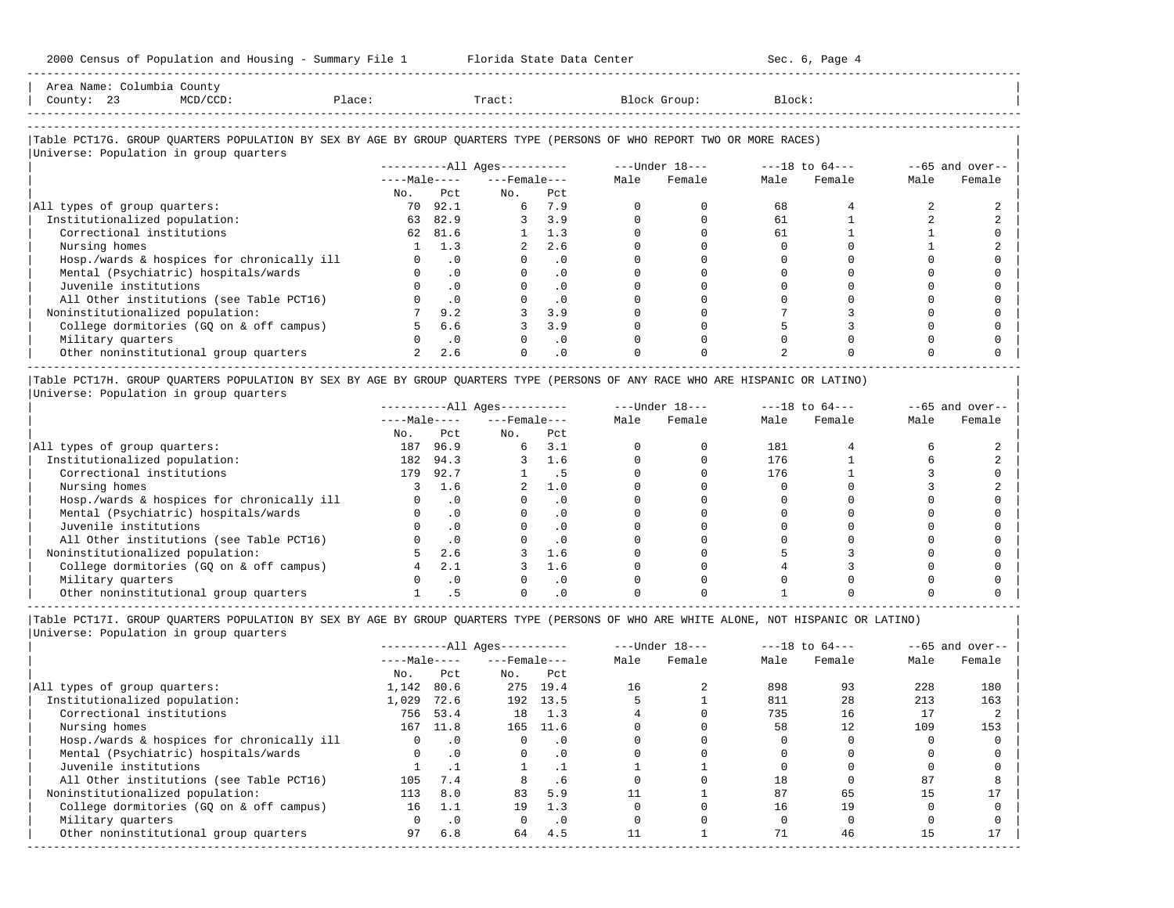| Area Name: Columbia County<br>County: 23<br>$MCD/CCD$ :                                                                                                          | Place: |           | Tract:                   |            | Block Group:                                                      | Block: |             |      |                   |
|------------------------------------------------------------------------------------------------------------------------------------------------------------------|--------|-----------|--------------------------|------------|-------------------------------------------------------------------|--------|-------------|------|-------------------|
| Table PCT17G. GROUP QUARTERS POPULATION BY SEX BY AGE BY GROUP QUARTERS TYPE (PERSONS OF WHO REPORT TWO OR MORE RACES)<br>Universe: Population in group quarters |        |           |                          |            |                                                                   |        |             |      |                   |
|                                                                                                                                                                  |        |           |                          |            | ----------All Ages---------- ----Under $18$ --- ---18 to $64$ --- |        |             |      | $--65$ and over-- |
|                                                                                                                                                                  |        |           | $---Male-- ---Female---$ |            | Male Female                                                       |        | Male Female | Male | Female            |
|                                                                                                                                                                  | No.    | Pct       | No.                      | Pct        |                                                                   |        |             |      |                   |
| All types of group quarters:                                                                                                                                     |        | 70 92.1   |                          | 6 7.9      |                                                                   | 68     |             |      |                   |
| Institutionalized population:                                                                                                                                    | 63     | 82.9      |                          | 3, 3.9     |                                                                   | 61     |             |      |                   |
| Correctional institutions                                                                                                                                        | 62     | 81.6      |                          | 1.3        |                                                                   | 61     |             |      |                   |
| Nursing homes                                                                                                                                                    |        | 1.3       | $\overline{2}$           | 2.6        |                                                                   |        |             |      |                   |
| Hosp./wards & hospices for chronically ill                                                                                                                       |        | $\cdot$ 0 |                          | $\Omega$   |                                                                   |        |             |      |                   |
| Mental (Psychiatric) hospitals/wards                                                                                                                             |        | $\cdot$ 0 |                          | $\cdot$ 0  |                                                                   |        |             |      |                   |
| Juvenile institutions                                                                                                                                            |        | .0        |                          | $\Omega$   |                                                                   |        |             |      |                   |
| All Other institutions (see Table PCT16)                                                                                                                         |        | .0        |                          | .0         |                                                                   |        |             |      |                   |
| Noninstitutionalized population:                                                                                                                                 |        | 9.2       |                          | 3.9        |                                                                   |        |             |      |                   |
| College dormitories (GO on & off campus)                                                                                                                         |        | 6.6       |                          | 3.9        |                                                                   |        |             |      |                   |
| Military quarters                                                                                                                                                |        | $\cdot$ 0 |                          | $\cdot$ 0  |                                                                   |        |             |      |                   |
| Other noninstitutional group quarters                                                                                                                            |        | 2.6       |                          | $\Omega$ . |                                                                   |        |             |      |                   |

|Table PCT17H. GROUP QUARTERS POPULATION BY SEX BY AGE BY GROUP QUARTERS TYPE (PERSONS OF ANY RACE WHO ARE HISPANIC OR LATINO) | |Universe: Population in group quarters |

|                     |                   |                      |           |      | $---Under 18---$ |      |        | $--65$ and over-- |        |
|---------------------|-------------------|----------------------|-----------|------|------------------|------|--------|-------------------|--------|
| $---Male---$<br>No. |                   | $---$ Female $---$   |           | Male | Female           | Male | Female | Male              | Female |
|                     | Pct               | No.                  | Pct       |      |                  |      |        |                   |        |
|                     |                   | 6                    | 3.1       |      |                  | 181  |        |                   |        |
|                     |                   |                      | 1.6       |      |                  | 176  |        |                   |        |
|                     |                   |                      |           |      |                  | 176  |        |                   |        |
|                     | 1.6               | 2.                   | 1.0       |      |                  |      |        |                   |        |
|                     | . 0               |                      |           |      |                  |      |        |                   |        |
|                     | $\cdot$ 0         |                      | $\cdot$ 0 |      |                  |      |        |                   |        |
|                     | $\cdot$ 0         |                      | $\cdot$ 0 |      |                  |      |        |                   |        |
|                     | $\cdot$ 0         |                      | $\cdot$ 0 |      |                  |      |        |                   |        |
|                     | 2.6               |                      | 1.6       |      |                  |      |        |                   |        |
| 4                   | 2.1               |                      | 1.6       |      |                  |      |        |                   |        |
|                     | $\cdot$ 0         |                      | $\cdot$ 0 |      |                  |      |        |                   |        |
|                     | . 5               | $\Omega$             | $\cdot$ 0 |      |                  |      |        |                   |        |
|                     | 187<br>182<br>179 | 96.9<br>94.3<br>92.7 |           |      |                  |      |        |                   |        |

-----------------------------------------------------------------------------------------------------------------------------------------------------

|Table PCT17I. GROUP QUARTERS POPULATION BY SEX BY AGE BY GROUP QUARTERS TYPE (PERSONS OF WHO ARE WHITE ALONE, NOT HISPANIC OR LATINO) |

| $---$ Female $---$    | Male | Female | Male |        |      |        |
|-----------------------|------|--------|------|--------|------|--------|
|                       |      |        |      | Female | Male | Female |
|                       |      |        |      |        |      |        |
| 275 19.4              | 16   |        | 898  | 93     | 228  | 180    |
| 192 13.5              |      |        | 811  | 28     | 213  | 163    |
| 18<br>1.3             |      |        | 735  | 16     |      |        |
| 165<br>11.6           |      |        | 58   | 12     | 109  | 153    |
| $\cdot$ 0<br>O.       |      |        |      |        |      |        |
| $\Omega$<br>$\cdot$ 0 |      |        |      |        |      |        |
|                       |      |        |      |        |      |        |
| .6                    |      |        | 18   |        | 87   |        |
| 83<br>5.9             |      |        | 87   | 65     | 15   |        |
| 19<br>1.3             |      |        | 16   | 19     |      |        |
| $\cdot$ 0             |      |        |      |        |      |        |
| 64<br>4.5             |      |        | 71   | 46     | 15   |        |
|                       | Pct  |        |      |        |      |        |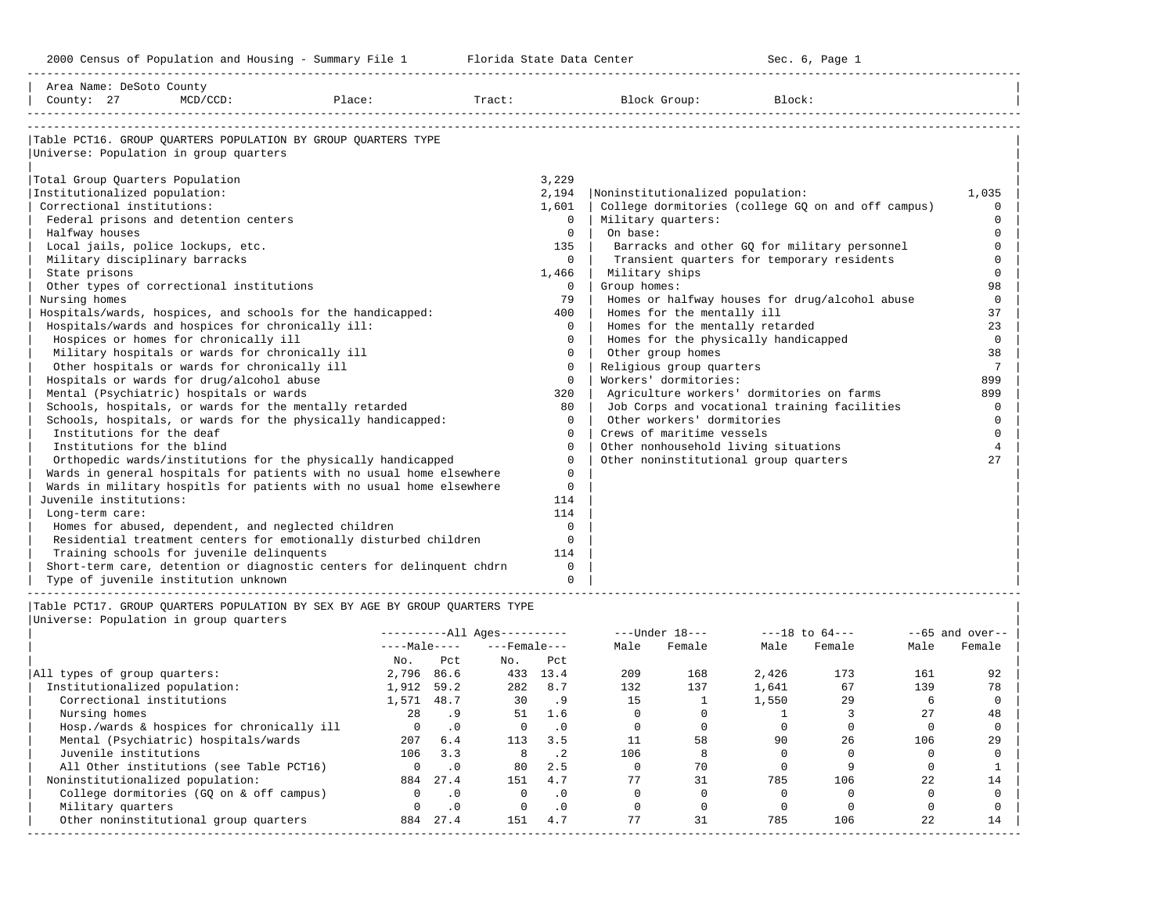| Area Name: DeSoto County        |                                                     |                                                                                                                        |     |                              |                |                                                                            |        |        |                                              |      |                    |
|---------------------------------|-----------------------------------------------------|------------------------------------------------------------------------------------------------------------------------|-----|------------------------------|----------------|----------------------------------------------------------------------------|--------|--------|----------------------------------------------|------|--------------------|
| County: 27                      | $MCD/CCD$ :                                         | Place:                                                                                                                 |     | Tract:                       |                | Block Group:                                                               |        | Block: |                                              |      |                    |
|                                 |                                                     |                                                                                                                        |     |                              |                |                                                                            |        |        |                                              |      |                    |
|                                 |                                                     |                                                                                                                        |     |                              |                |                                                                            |        |        |                                              |      |                    |
|                                 | Universe: Population in group quarters              | Table PCT16. GROUP OUARTERS POPULATION BY GROUP OUARTERS TYPE                                                          |     |                              |                |                                                                            |        |        |                                              |      |                    |
|                                 |                                                     |                                                                                                                        |     |                              |                |                                                                            |        |        |                                              |      |                    |
| Total Group Quarters Population |                                                     |                                                                                                                        |     |                              | 3,229          |                                                                            |        |        |                                              |      |                    |
| Institutionalized population:   |                                                     |                                                                                                                        |     |                              | 2,194          | Noninstitutionalized population:                                           |        |        |                                              |      | 1,035              |
| Correctional institutions:      |                                                     |                                                                                                                        |     |                              | 1,601          | College dormitories (college GQ on and off campus)                         |        |        |                                              |      | $\Omega$           |
|                                 | Federal prisons and detention centers               |                                                                                                                        |     |                              | $\Omega$       | Military quarters:                                                         |        |        |                                              |      | $\Omega$           |
| Halfway houses                  |                                                     |                                                                                                                        |     |                              | $\overline{0}$ | On base:                                                                   |        |        |                                              |      | $\mathbf 0$        |
|                                 | Local jails, police lockups, etc.                   |                                                                                                                        |     |                              | 135            |                                                                            |        |        | Barracks and other GO for military personnel |      | $\Omega$           |
| Military disciplinary barracks  |                                                     |                                                                                                                        |     |                              | $\Omega$       |                                                                            |        |        | Transient quarters for temporary residents   |      | $\Omega$           |
| State prisons                   |                                                     |                                                                                                                        |     |                              | 1,466          | Military ships                                                             |        |        |                                              |      | $\mathbf 0$        |
|                                 | Other types of correctional institutions            |                                                                                                                        |     |                              | $\circ$        | Group homes:                                                               |        |        |                                              |      | 98                 |
| Nursing homes                   |                                                     |                                                                                                                        |     |                              | 79             | Homes or halfway houses for drug/alcohol abuse                             |        |        |                                              |      | $\mathbf 0$        |
|                                 |                                                     | Hospitals/wards, hospices, and schools for the handicapped:                                                            |     |                              | 400            | Homes for the mentally ill                                                 |        |        |                                              |      | 37                 |
|                                 | Hospitals/wards and hospices for chronically ill:   |                                                                                                                        |     |                              | $\Omega$       | Homes for the mentally retarded                                            |        |        |                                              |      | 23                 |
|                                 | Hospices or homes for chronically ill               |                                                                                                                        |     |                              | $\Omega$       | Homes for the physically handicapped                                       |        |        |                                              |      | $\mathbf 0$        |
|                                 | Military hospitals or wards for chronically ill     |                                                                                                                        |     |                              | $\Omega$       | Other group homes                                                          |        |        |                                              |      | 38                 |
|                                 | Other hospitals or wards for chronically ill        |                                                                                                                        |     |                              | $\Omega$       | Religious group quarters                                                   |        |        |                                              |      | 7                  |
|                                 | Hospitals or wards for drug/alcohol abuse           |                                                                                                                        |     |                              | $\Omega$       | Workers' dormitories:                                                      |        |        |                                              |      | 899                |
|                                 | Mental (Psychiatric) hospitals or wards             |                                                                                                                        |     |                              | 320            | Agriculture workers' dormitories on farms                                  |        |        |                                              |      | 899<br>$\Omega$    |
|                                 |                                                     | Schools, hospitals, or wards for the mentally retarded<br>Schools, hospitals, or wards for the physically handicapped: |     |                              | 80<br>$\Omega$ | Job Corps and vocational training facilities<br>Other workers' dormitories |        |        |                                              |      | $\mathbf 0$        |
| Institutions for the deaf       |                                                     |                                                                                                                        |     |                              | $\Omega$       | Crews of maritime vessels                                                  |        |        |                                              |      | $\Omega$           |
| Institutions for the blind      |                                                     |                                                                                                                        |     |                              | $\Omega$       | Other nonhousehold living situations                                       |        |        |                                              |      | $\overline{4}$     |
|                                 |                                                     | Orthopedic wards/institutions for the physically handicapped                                                           |     |                              | $\Omega$       | Other noninstitutional group quarters                                      |        |        |                                              |      | 27                 |
|                                 |                                                     | Wards in general hospitals for patients with no usual home elsewhere                                                   |     |                              | $\Omega$       |                                                                            |        |        |                                              |      |                    |
|                                 |                                                     | Wards in military hospitls for patients with no usual home elsewhere                                                   |     |                              | $\mathbf 0$    |                                                                            |        |        |                                              |      |                    |
| Juvenile institutions:          |                                                     |                                                                                                                        |     |                              | 114            |                                                                            |        |        |                                              |      |                    |
| Long-term care:                 |                                                     |                                                                                                                        |     |                              | 114            |                                                                            |        |        |                                              |      |                    |
|                                 | Homes for abused, dependent, and neglected children |                                                                                                                        |     |                              | $\Omega$       |                                                                            |        |        |                                              |      |                    |
|                                 |                                                     | Residential treatment centers for emotionally disturbed children                                                       |     |                              | $\Omega$       |                                                                            |        |        |                                              |      |                    |
|                                 | Training schools for juvenile delinquents           |                                                                                                                        |     |                              | 114            |                                                                            |        |        |                                              |      |                    |
|                                 |                                                     | Short-term care, detention or diagnostic centers for delinguent chdrn                                                  |     |                              | $\Omega$       |                                                                            |        |        |                                              |      |                    |
|                                 | Type of juvenile institution unknown                |                                                                                                                        |     |                              | $\Omega$       |                                                                            |        |        |                                              |      |                    |
|                                 |                                                     |                                                                                                                        |     |                              |                |                                                                            |        |        |                                              |      |                    |
|                                 |                                                     | Table PCT17. GROUP OUARTERS POPULATION BY SEX BY AGE BY GROUP OUARTERS TYPE                                            |     |                              |                |                                                                            |        |        |                                              |      |                    |
|                                 | Universe: Population in group quarters              |                                                                                                                        |     | ----------All Ages---------- |                | ---Under 18---                                                             |        |        | $---18$ to $64---$                           |      | $- -65$ and over-- |
|                                 |                                                     |                                                                                                                        |     | $---Male-- ---Female---$     |                | Male                                                                       | Female | Male   | Female                                       | Male | Female             |
|                                 |                                                     | No.                                                                                                                    | Pct | $N_{\text{O}}$ .             | Pct            |                                                                            |        |        |                                              |      |                    |
| All types of group quarters:    |                                                     | 2,796 86.6                                                                                                             |     |                              | 433 13.4       | 209                                                                        | 168    | 2,426  | 173                                          | 161  | 92                 |

| All types of group quarters:               | 2,796 | 86.6      | 433 | 13.4 | 209 | 168 | 2,426 | 173 | 161 |    |
|--------------------------------------------|-------|-----------|-----|------|-----|-----|-------|-----|-----|----|
| Institutionalized population:              | 1,912 | 59.2      | 282 | 8.7  | 132 | 137 | 1,641 | 67  | 139 | 78 |
| Correctional institutions                  | .,571 | 48.7      | 30  | .9   | 15  |     | 1,550 | 29  |     |    |
| Nursing homes                              | 28    | .9        | 51  | 1.6  |     |     |       |     | 27  | 48 |
| Hosp./wards & hospices for chronically ill |       | $\cdot$ 0 |     | . 0  |     |     |       |     |     |    |
| Mental (Psychiatric) hospitals/wards       | 207   | 6.4       | 113 | 3.5  |     | 58  | 90    | 26  | 106 | 29 |
| Juvenile institutions                      | 106   | 3.3       | 8   |      | 106 |     |       |     |     |    |
| All Other institutions (see Table PCT16)   |       | $\cdot$ 0 | 80  | 2.5  |     | 70  |       |     |     |    |
| Noninstitutionalized population:           | 884   | 27.4      | 151 | 4.7  | 77  | 31  | 785   | 106 | 22  |    |
| College dormitories (GQ on & off campus)   |       | $\cdot$ 0 |     | . 0  |     |     |       |     |     |    |
| Military quarters                          |       | $\cdot$ 0 |     | . 0  |     |     |       |     |     |    |
| Other noninstitutional group quarters      | 884   | 27.4      | 151 | 4.7  |     | 31  | 785   | 106 | 22  | 14 |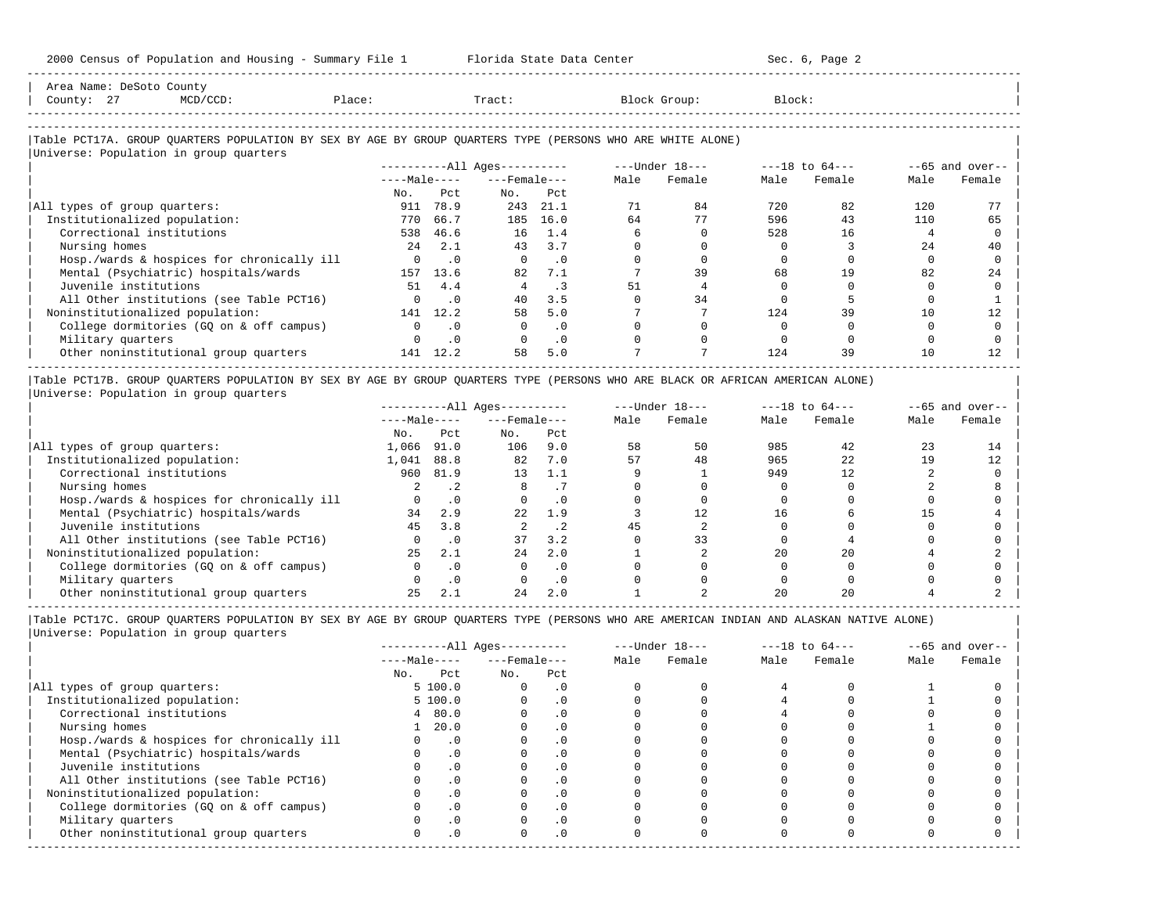| Area Name: DeSoto County<br>County: 27<br>$MCD/CCD$ :                                                      | Place:       |               | Tract:                       |           |      | Block Group:   | Block: |                    |      |                   |
|------------------------------------------------------------------------------------------------------------|--------------|---------------|------------------------------|-----------|------|----------------|--------|--------------------|------|-------------------|
|                                                                                                            |              |               |                              |           |      |                |        |                    |      |                   |
| Table PCT17A. GROUP QUARTERS POPULATION BY SEX BY AGE BY GROUP QUARTERS TYPE (PERSONS WHO ARE WHITE ALONE) |              |               |                              |           |      |                |        |                    |      |                   |
| Universe: Population in group quarters                                                                     |              |               |                              |           |      |                |        |                    |      |                   |
|                                                                                                            |              |               | ----------All Ages---------- |           |      | ---Under 18--- |        | $---18$ to $64---$ |      | $--65$ and over-- |
|                                                                                                            |              | $---Male---$  | $---$ Female $---$           |           | Male | Female         | Male   | Female             | Male | Female            |
|                                                                                                            | No.          | Pct           | No.                          | Pct       |      |                |        |                    |      |                   |
| All types of group quarters:                                                                               | 911          | 78.9          | 243                          | 21.1      | 71   | 84             | 720    | 82                 | 120  |                   |
| Institutionalized population:                                                                              | 770          | 66.7          | 185                          | 16.0      | 64   | 77             | 596    | 43                 | 110  | 65                |
| Correctional institutions                                                                                  | 538          | 46.6          | 16                           | 1.4       |      |                | 528    | 16                 |      |                   |
| Nursing homes                                                                                              | 24           | 2.1           | 43                           | 3.7       |      |                |        |                    | 24   | 40                |
| Hosp./wards & hospices for chronically ill                                                                 |              | $0 \qquad .0$ | $\Omega$                     | $\cdot$ 0 |      |                |        |                    |      |                   |
| Mental (Psychiatric) hospitals/wards                                                                       | 157          | 13.6          | 82                           | 7.1       |      | 39             | 68     | 19                 | 82   | 24                |
| Juvenile institutions                                                                                      | 51           | 4.4           | 4                            | $\cdot$ 3 | 51   |                |        |                    |      |                   |
| All Other institutions (see Table PCT16)                                                                   | $\Omega$     | .0            | 40                           | 3.5       |      | 34             |        |                    |      |                   |
| Noninstitutionalized population:                                                                           | 141          | 12.2          | 58                           | 5.0       |      |                | 124    | 39                 | 10   | 12                |
| College dormitories (GQ on & off campus)                                                                   | $\mathbf{0}$ | $\cdot$ 0     | $\Omega$                     | $\cdot$ 0 |      |                |        |                    |      |                   |
| Military quarters                                                                                          | 0            | $\cdot$ 0     | $\Omega$                     | $\cdot$ 0 |      |                |        |                    |      |                   |

|Table PCT17B. GROUP QUARTERS POPULATION BY SEX BY AGE BY GROUP QUARTERS TYPE (PERSONS WHO ARE BLACK OR AFRICAN AMERICAN ALONE) | |Universe: Population in group quarters |

|                                            |              |           | $------All Ages------$ |           |      | $---Under 18---$ |      | $---18$ to $64---$ |      | $- -65$ and over-- |
|--------------------------------------------|--------------|-----------|------------------------|-----------|------|------------------|------|--------------------|------|--------------------|
|                                            | $---Male---$ |           | $---$ Female $---$     |           | Male | Female           | Male | Female             | Male | Female             |
|                                            | No.          | Pct       | No.                    | Pct       |      |                  |      |                    |      |                    |
| All types of group quarters:               | 1,066        | 91.0      | 106                    | 9.0       | 58   | 50               | 985  | 42                 | 23   |                    |
| Institutionalized population:              | 1,041        | 88.8      | 82                     | 7.0       | 57   | 48               | 965  | 22                 | 19   |                    |
| Correctional institutions                  | 960          | 81.9      | 13                     | 1.1       |      |                  | 949  | 12                 |      |                    |
| Nursing homes                              |              | . 2       |                        |           |      |                  |      |                    |      |                    |
| Hosp./wards & hospices for chronically ill |              | $\cdot$ 0 |                        | . 0       |      |                  |      |                    |      |                    |
| Mental (Psychiatric) hospitals/wards       | 34           | 2.9       | 2.2.                   | 1.9       |      | 12.              |      |                    |      |                    |
| Juvenile institutions                      | 45           | 3.8       |                        | $\cdot$ 2 | 45   |                  |      |                    |      |                    |
| All Other institutions (see Table PCT16)   |              | $\cdot$ 0 | 37                     | 3.2       |      | 33               |      |                    |      |                    |
| Noninstitutionalized population:           | 25           | 2.1       | 24                     | 2.0       |      |                  | 20   | 2.0                |      |                    |
| College dormitories (GO on & off campus)   |              |           |                        | $\cdot$ 0 |      |                  |      |                    |      |                    |
| Military quarters                          |              | .0        |                        | . 0       |      |                  |      |                    |      |                    |
| Other noninstitutional group quarters      |              | 2.1       | 24                     | 2.0       |      |                  |      |                    |      |                    |

-----------------------------------------------------------------------------------------------------------------------------------------------------

0ther noninstitutional group quarters 141 12.2 58 5.0 7 7 124 39 10 12

-----------------------------------------------------------------------------------------------------------------------------------------------------

|                                            |              |           | $------All Aqes------$ |           |      | $---Under 18---$ |      | $---18$ to $64---$ |      | $--65$ and over-- |
|--------------------------------------------|--------------|-----------|------------------------|-----------|------|------------------|------|--------------------|------|-------------------|
|                                            | $---Male---$ |           | $---$ Female $---$     |           | Male | Female           | Male | Female             | Male | Female            |
|                                            | No.          | Pct       | No.                    | Pct       |      |                  |      |                    |      |                   |
| All types of group quarters:               |              | 5 100.0   |                        | $\cdot$ 0 |      |                  |      |                    |      |                   |
| Institutionalized population:              |              | 5 100.0   |                        | . 0       |      |                  |      |                    |      |                   |
| Correctional institutions                  |              | 4 80.0    |                        | . 0       |      |                  |      |                    |      |                   |
| Nursing homes                              |              | 20.0      |                        | . 0       |      |                  |      |                    |      |                   |
| Hosp./wards & hospices for chronically ill |              | $\cdot$ 0 |                        | . 0       |      |                  |      |                    |      |                   |
| Mental (Psychiatric) hospitals/wards       |              | $\cdot$ 0 |                        | . 0       |      |                  |      |                    |      |                   |
| Juvenile institutions                      |              |           |                        | $\cdot$ 0 |      |                  |      |                    |      |                   |
| All Other institutions (see Table PCT16)   |              |           |                        | . 0       |      |                  |      |                    |      |                   |
| Noninstitutionalized population:           |              | .0        |                        | $\cdot$ 0 |      |                  |      |                    |      |                   |
| College dormitories (GQ on & off campus)   |              |           |                        | $\cdot$ 0 |      |                  |      |                    |      |                   |
| Military quarters                          |              |           |                        | . 0       |      |                  |      |                    |      |                   |
| Other noninstitutional group quarters      |              | .0        |                        | $\cdot$ 0 |      |                  |      |                    |      |                   |
|                                            |              |           |                        |           |      |                  |      |                    |      |                   |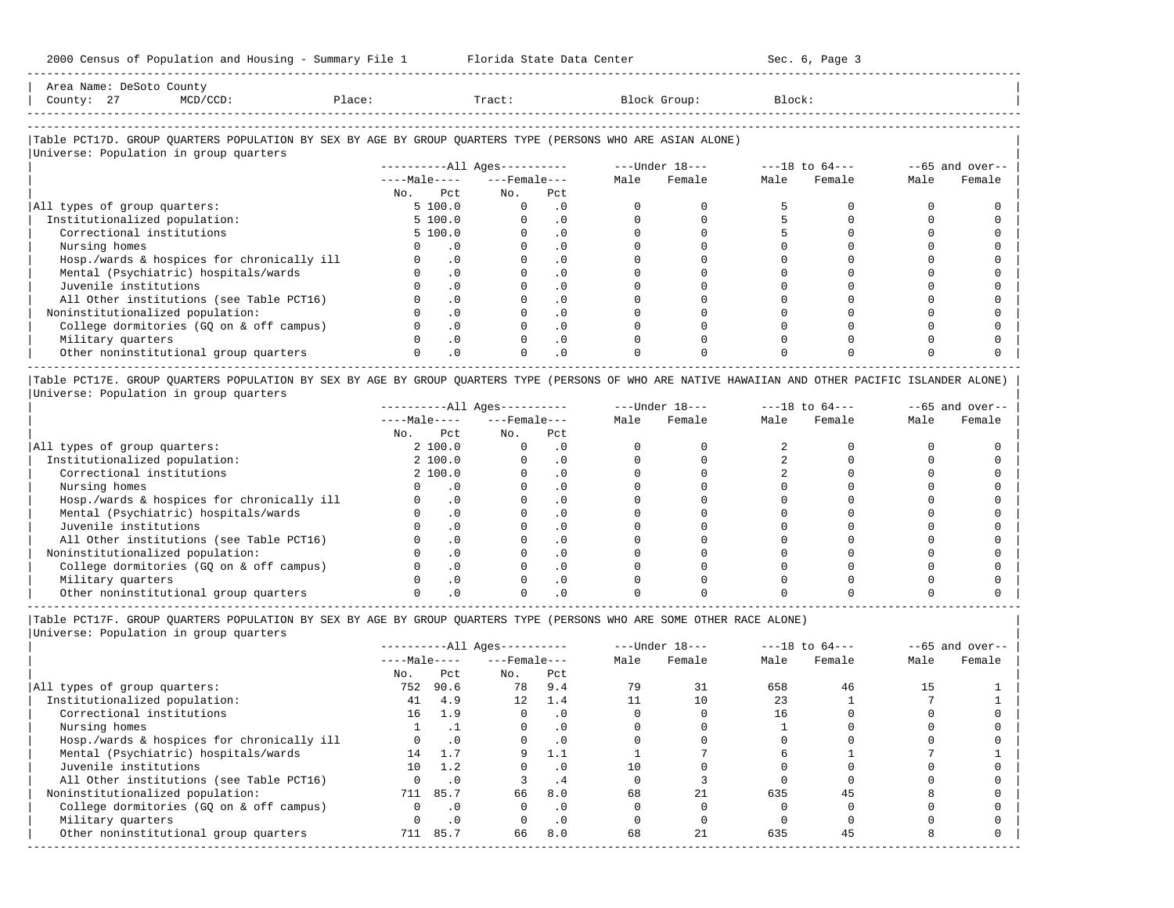-----------------------------------------------------------------------------------------------------------------------------------------------------

-----------------------------------------------------------------------------------------------------------------------------------------------------

| Area<br>Name |   | Count                                                                                                           |     |       |         |        |
|--------------|---|-----------------------------------------------------------------------------------------------------------------|-----|-------|---------|--------|
| County       | - | the contract of the contract of the contract of the contract of the contract of the contract of the contract of | ⊥ac | Tract | JLOUD : | Block' |
|              |   |                                                                                                                 |     |       |         |        |

-----------------------------------------------------------------------------------------------------------------------------------------------------

### |Table PCT17D. GROUP QUARTERS POPULATION BY SEX BY AGE BY GROUP QUARTERS TYPE (PERSONS WHO ARE ASIAN ALONE) |

| Universe: Population in group quarters     |     |              | $------All Aqes------$ |           |      | ---Under 18--- |      | $---18$ to $64---$ |      | $--65$ and over-- |
|--------------------------------------------|-----|--------------|------------------------|-----------|------|----------------|------|--------------------|------|-------------------|
|                                            |     | $---Male---$ | $---$ Female ---       |           | Male | Female         | Male | Female             | Male | Female            |
|                                            | No. | Pct          | No.                    | Pct       |      |                |      |                    |      |                   |
| All types of group quarters:               |     | 5 100.0      |                        | $\cdot$ 0 |      |                |      |                    |      |                   |
| Institutionalized population:              |     | 5 100.0      |                        | $\cdot$ 0 |      |                |      |                    |      |                   |
| Correctional institutions                  |     | 5 100.0      |                        | $\cdot$ 0 |      |                |      |                    |      |                   |
| Nursing homes                              |     | $\cdot$ 0    |                        | . 0       |      |                |      |                    |      |                   |
| Hosp./wards & hospices for chronically ill |     | .0           |                        | $\cdot$ 0 |      |                |      |                    |      |                   |
| Mental (Psychiatric) hospitals/wards       |     | $\cdot$ 0    |                        | $\cdot$ 0 |      |                |      |                    |      |                   |
| Juvenile institutions                      |     | .0           |                        | $\cdot$ 0 |      |                |      |                    |      |                   |
| All Other institutions (see Table PCT16)   |     | $\cdot$ 0    |                        | $\cdot$ 0 |      |                |      |                    |      |                   |
| Noninstitutionalized population:           |     | .0           |                        | $\cdot$ 0 |      |                |      |                    |      |                   |
| College dormitories (GO on & off campus)   |     | .0           |                        | $\cdot$ 0 |      |                |      |                    |      |                   |
| Military quarters                          |     | $\Omega$ .   |                        | $\cdot$ 0 |      |                |      |                    |      |                   |
| Other noninstitutional group quarters      |     | $.0 \cdot$   |                        | $\cdot$ 0 |      |                |      |                    |      |                   |

|Table PCT17E. GROUP QUARTERS POPULATION BY SEX BY AGE BY GROUP QUARTERS TYPE (PERSONS OF WHO ARE NATIVE HAWAIIAN AND OTHER PACIFIC ISLANDER ALONE) | |Universe: Population in group quarters |

|                                            |              |          | $------All Aqes------$ |           |      | $---Under 18---$ |      | $---18$ to $64---$ |      | $--65$ and over-- |
|--------------------------------------------|--------------|----------|------------------------|-----------|------|------------------|------|--------------------|------|-------------------|
|                                            | $---Male---$ |          | $---$ Female $---$     |           | Male | Female           | Male | Female             | Male | Female            |
|                                            | No.          | Pct      | No.                    | Pct       |      |                  |      |                    |      |                   |
| All types of group quarters:               |              | 2 100.0  |                        | . 0       |      |                  |      |                    |      |                   |
| Institutionalized population:              |              | 2, 100.0 |                        | $\cdot$ 0 |      |                  |      |                    |      |                   |
| Correctional institutions                  |              | 2 100.0  |                        | . 0       |      |                  |      |                    |      |                   |
| Nursing homes                              |              |          |                        | . 0       |      |                  |      |                    |      |                   |
| Hosp./wards & hospices for chronically ill |              | . 0      |                        | . 0       |      |                  |      |                    |      |                   |
| Mental (Psychiatric) hospitals/wards       |              |          |                        | $\cdot$ 0 |      |                  |      |                    |      |                   |
| Juvenile institutions                      |              |          |                        | . 0       |      |                  |      |                    |      |                   |
| All Other institutions (see Table PCT16)   |              |          |                        | $\cdot$ 0 |      |                  |      |                    |      |                   |
| Noninstitutionalized population:           |              |          |                        | . 0       |      |                  |      |                    |      |                   |
| College dormitories (GO on & off campus)   |              |          |                        | . 0       |      |                  |      |                    |      |                   |
| Military quarters                          |              |          |                        | $\cdot$ 0 |      |                  |      |                    |      |                   |
| Other noninstitutional group quarters      |              |          |                        |           |      |                  |      |                    |      |                   |

|Table PCT17F. GROUP QUARTERS POPULATION BY SEX BY AGE BY GROUP QUARTERS TYPE (PERSONS WHO ARE SOME OTHER RACE ALONE) |

|                                            |              |           | $------All Ages------$ |           |      | $---Under 18---$ |      | $---18$ to $64---$ |      | $--65$ and over-- |
|--------------------------------------------|--------------|-----------|------------------------|-----------|------|------------------|------|--------------------|------|-------------------|
|                                            | $---Male---$ |           | $---$ Female $---$     |           | Male | Female           | Male | Female             | Male | Female            |
|                                            | No.          | Pct       | No.                    | Pct       |      |                  |      |                    |      |                   |
| All types of group quarters:               | 752          | 90.6      | 78                     | 9.4       | 79   | 31               | 658  | 46                 | 15   |                   |
| Institutionalized population:              | 41           | 4.9       | 12                     | 1.4       |      | 10               | 23   |                    |      |                   |
| Correctional institutions                  | 16           | 1.9       | $\Omega$               | $\cdot$ 0 |      |                  | 16   |                    |      |                   |
| Nursing homes                              |              |           | 0                      | $\cdot$ 0 |      |                  |      |                    |      |                   |
| Hosp./wards & hospices for chronically ill |              | $\cdot$ 0 |                        | .0        |      |                  |      |                    |      |                   |
| Mental (Psychiatric) hospitals/wards       | 14           |           | 9                      | 1.1       |      |                  |      |                    |      |                   |
| Juvenile institutions                      | 10           | 1.2       |                        | $\cdot$ 0 | 10   |                  |      |                    |      |                   |
| All Other institutions (see Table PCT16)   |              | $\cdot$ 0 |                        | . 4       |      |                  |      |                    |      |                   |
| Noninstitutionalized population:           | 711          | 85.7      | 66                     | 8.0       | 68   | 21               | 635  | 45                 |      |                   |
| College dormitories (GQ on & off campus)   |              | $\cdot$ 0 |                        | $\cdot$ 0 |      |                  |      |                    |      |                   |
| Military quarters                          |              | $\cdot$ 0 |                        | $\cdot$ 0 |      |                  |      |                    |      |                   |
| Other noninstitutional group quarters      | 711          | 85.7      | 66                     | 8.0       | 68   | 21               | 635  | 45                 |      |                   |
|                                            |              |           |                        |           |      |                  |      |                    |      |                   |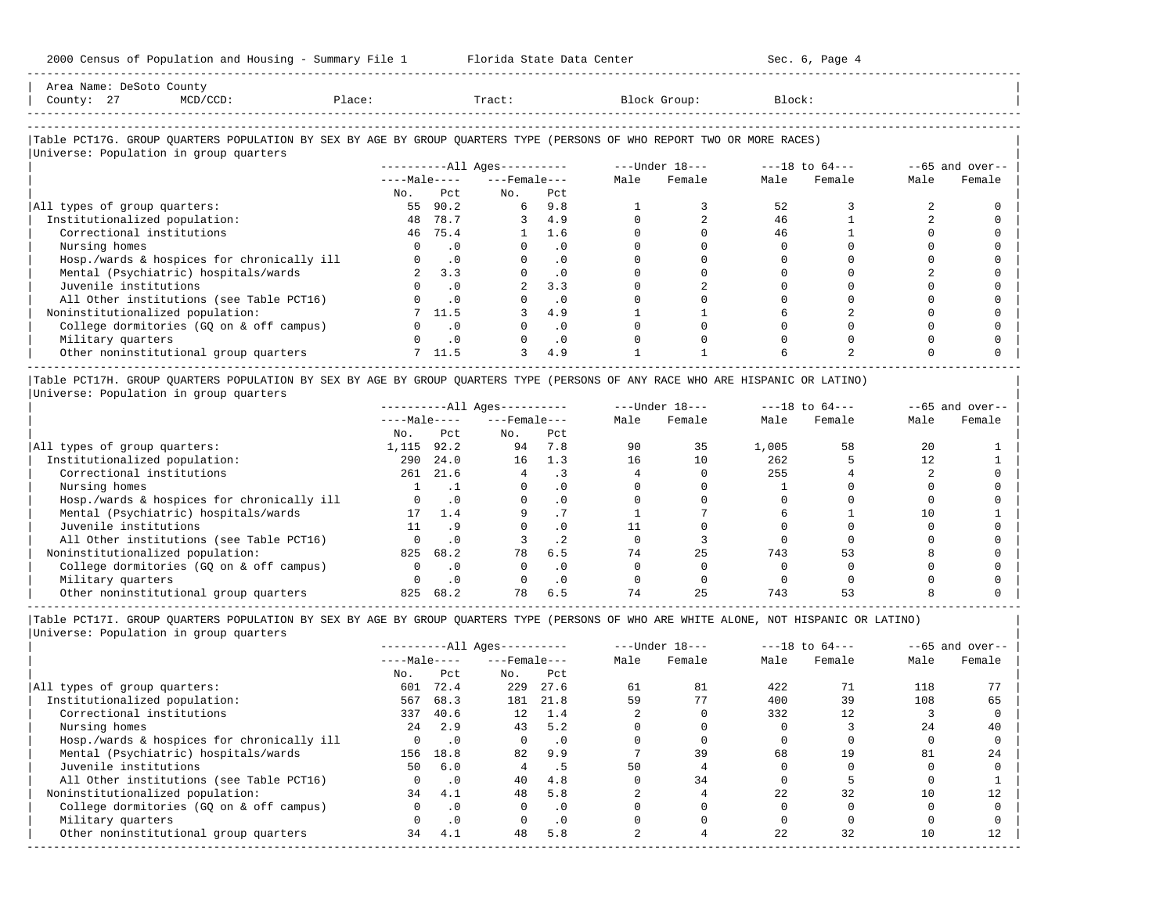| 2000 Census of Population and Housing - Summary File 1 Florida State Data Center                                                                                                                                                                                                                                              |                                              |               |                                |               |                        |                            |                                                                                                                                                                                                                                                                                                                                 | Sec. 6, Page 4 |                |                   |
|-------------------------------------------------------------------------------------------------------------------------------------------------------------------------------------------------------------------------------------------------------------------------------------------------------------------------------|----------------------------------------------|---------------|--------------------------------|---------------|------------------------|----------------------------|---------------------------------------------------------------------------------------------------------------------------------------------------------------------------------------------------------------------------------------------------------------------------------------------------------------------------------|----------------|----------------|-------------------|
| Area Name: DeSoto County<br>MCD/CCD: Place: Tract: Block Group: Block:<br>County: 27                                                                                                                                                                                                                                          |                                              |               |                                |               |                        |                            |                                                                                                                                                                                                                                                                                                                                 |                |                |                   |
|                                                                                                                                                                                                                                                                                                                               |                                              |               |                                |               |                        |                            |                                                                                                                                                                                                                                                                                                                                 |                |                |                   |
| Table PCT17G. GROUP OUARTERS POPULATION BY SEX BY AGE BY GROUP OUARTERS TYPE (PERSONS OF WHO REPORT TWO OR MORE RACES)                                                                                                                                                                                                        |                                              |               |                                |               |                        |                            |                                                                                                                                                                                                                                                                                                                                 |                |                |                   |
| Universe: Population in group quarters                                                                                                                                                                                                                                                                                        |                                              |               |                                |               |                        |                            |                                                                                                                                                                                                                                                                                                                                 |                |                |                   |
|                                                                                                                                                                                                                                                                                                                               |                                              |               |                                |               |                        |                            |                                                                                                                                                                                                                                                                                                                                 |                |                | $--65$ and over-- |
|                                                                                                                                                                                                                                                                                                                               | $---Male---$                                 |               | $---$ Female $---$             |               |                        |                            | Male Female Male Female                                                                                                                                                                                                                                                                                                         |                | Male           | Female            |
|                                                                                                                                                                                                                                                                                                                               | No.                                          |               | Pct No.                        | Pct           |                        |                            |                                                                                                                                                                                                                                                                                                                                 |                |                |                   |
| All types of group quarters:                                                                                                                                                                                                                                                                                                  |                                              | 55 90.2       | 69.8                           |               | $1 \quad \blacksquare$ | $3^{\circ}$                | 52                                                                                                                                                                                                                                                                                                                              | 3              | 2              | 0                 |
| Institutionalized population:                                                                                                                                                                                                                                                                                                 | 48 78.7                                      |               | 3, 4.9                         |               | $\Omega$               | $2^{\circ}$                | 46                                                                                                                                                                                                                                                                                                                              | $\mathbf{1}$   | $\overline{2}$ | $\Omega$          |
| Correctional institutions                                                                                                                                                                                                                                                                                                     | 46 75.4                                      |               | $1 \t 1.6$                     |               | $\Omega$               |                            | 46<br>$\Omega$                                                                                                                                                                                                                                                                                                                  |                | $\Omega$       | $\Omega$          |
| Nursing homes                                                                                                                                                                                                                                                                                                                 |                                              | $0 \qquad .0$ | $0 \qquad .0$                  |               |                        | $0 \qquad \qquad$          | $\begin{matrix} 0 & 0 \end{matrix}$                                                                                                                                                                                                                                                                                             | $\Omega$       | $\Omega$       | $\cap$            |
| Hosp./wards & hospices for chronically ill $\begin{array}{cccc} 0 & 0 & 0 & 0 & 0 \\ 0 & 0 & 0 & 0 & 0 \\ \text{Mental (Psychiatric) hospitals/wards} & 2 & 3.3 & 0 & 0 \\ \text{Juvenile institutions} & 0 & 0 & 2 & 3.3 \\ \text{All Other institutions (see Table PCT16)} & 0 & 0 & 0 \\ 0 & 0 & 0 & 0 & 0 \\ \end{array}$ |                                              |               |                                |               |                        | $\overline{0}$             | $\begin{matrix} 0 & 0 & 0 \\ 0 & 0 & 0 \\ 0 & 0 & 0 \\ 0 & 0 & 0 \\ 0 & 0 & 0 \\ 0 & 0 & 0 \\ 0 & 0 & 0 \\ 0 & 0 & 0 \\ 0 & 0 & 0 & 0 \\ 0 & 0 & 0 & 0 \\ 0 & 0 & 0 & 0 \\ 0 & 0 & 0 & 0 \\ 0 & 0 & 0 & 0 & 0 \\ 0 & 0 & 0 & 0 & 0 \\ 0 & 0 & 0 & 0 & 0 \\ 0 & 0 & 0 & 0 & 0 & 0 \\ 0 & 0 & 0 & 0 & 0 & 0 \\ 0 & 0 & 0 & 0 & 0$ | $\Omega$       | $\Omega$       | $\Omega$          |
|                                                                                                                                                                                                                                                                                                                               |                                              |               |                                |               |                        | $\Omega$                   | $\Omega$                                                                                                                                                                                                                                                                                                                        | $\Omega$       | $\overline{2}$ | $\Omega$          |
|                                                                                                                                                                                                                                                                                                                               |                                              |               |                                |               |                        | $\overline{2}$             | $\Omega$                                                                                                                                                                                                                                                                                                                        | $\Omega$       | $\Omega$       | $\Omega$          |
|                                                                                                                                                                                                                                                                                                                               |                                              |               |                                |               |                        | $\Omega$                   | $\Omega$                                                                                                                                                                                                                                                                                                                        | $\Omega$       | $\Omega$       | $\Omega$          |
| Noninstitutionalized population:                                                                                                                                                                                                                                                                                              | 7 11.5                                       |               |                                | 3, 4.9        |                        |                            | $6^{\circ}$                                                                                                                                                                                                                                                                                                                     |                | $\Omega$       | $\Omega$          |
| College dormitories (GQ on & off campus)                                                                                                                                                                                                                                                                                      | $\begin{matrix} 0 & 0 \\ 0 & 0 \end{matrix}$ |               |                                | $0 \qquad .0$ |                        | $\overline{0}$<br>$\Omega$ | $\Omega$                                                                                                                                                                                                                                                                                                                        | $\Omega$       | $\Omega$       | $\Omega$          |
| Military quarters                                                                                                                                                                                                                                                                                                             |                                              | $0 \qquad .0$ |                                | $0 \qquad .0$ | $\Omega$               | $\Omega$                   | $\Omega$                                                                                                                                                                                                                                                                                                                        | $\Omega$       | $\Omega$       | $\Omega$          |
| Other noninstitutional group quarters                                                                                                                                                                                                                                                                                         | 711.5                                        |               |                                | 3, 4, 9       | $\mathbf{1}$           | $\mathbf{1}$               | 6                                                                                                                                                                                                                                                                                                                               | $\overline{a}$ | $\Omega$       | $\cap$            |
| Table PCT17H. GROUP QUARTERS POPULATION BY SEX BY AGE BY GROUP QUARTERS TYPE (PERSONS OF ANY RACE WHO ARE HISPANIC OR LATINO)                                                                                                                                                                                                 |                                              |               |                                |               |                        |                            |                                                                                                                                                                                                                                                                                                                                 |                |                |                   |
| Universe: Population in group quarters                                                                                                                                                                                                                                                                                        |                                              |               |                                |               |                        |                            |                                                                                                                                                                                                                                                                                                                                 |                |                |                   |
|                                                                                                                                                                                                                                                                                                                               |                                              |               | ----------All Ages---------    |               |                        |                            | $---Under 18-- ---18 to 64---$                                                                                                                                                                                                                                                                                                  |                |                | $-65$ and over--  |
|                                                                                                                                                                                                                                                                                                                               |                                              |               | $---Male-- ---Female---$       |               |                        |                            | Male Female Male Female                                                                                                                                                                                                                                                                                                         |                | Male           | Female            |
|                                                                                                                                                                                                                                                                                                                               | $\mathbb N\circ$ .                           |               | Pct No. Pct                    |               |                        |                            |                                                                                                                                                                                                                                                                                                                                 |                |                |                   |
| All types of group quarters:                                                                                                                                                                                                                                                                                                  | 1,115 92.2                                   |               | 94 7.8                         |               | 90                     | 35                         | 1,005                                                                                                                                                                                                                                                                                                                           | 58             | 20             | 1                 |
| Institutionalized population:                                                                                                                                                                                                                                                                                                 | 290 24.0                                     |               | $16 \t 1.3$                    |               | 16                     | 10                         | 262                                                                                                                                                                                                                                                                                                                             | 5              | 12             | $\mathbf{1}$      |
| Correctional institutions                                                                                                                                                                                                                                                                                                     | 261 21.6                                     |               | 4 .3                           |               | $4 \quad \blacksquare$ | $\Omega$                   | 255                                                                                                                                                                                                                                                                                                                             | 4              | 2              | $\Omega$          |
| Nursing homes                                                                                                                                                                                                                                                                                                                 |                                              | $1 \quad .1$  |                                | $0 \qquad .0$ | $\circ$                | $\mathbf{0}$               | $\sim$ 1                                                                                                                                                                                                                                                                                                                        | $\Omega$       | $\Omega$       | $\Omega$          |
| Hosp./wards & hospices for chronically ill                                                                                                                                                                                                                                                                                    |                                              | $0 \qquad .0$ |                                | $0 \qquad .0$ | $0 \qquad \qquad$      | $\Omega$                   | $\overline{0}$                                                                                                                                                                                                                                                                                                                  | $\Omega$       | $\Omega$       | $\Omega$          |
| Mental (Psychiatric) hospitals/wards                                                                                                                                                                                                                                                                                          | 17 1.4                                       |               |                                | 9 .7          |                        |                            | 6                                                                                                                                                                                                                                                                                                                               |                | 10             |                   |
| Juvenile institutions                                                                                                                                                                                                                                                                                                         | 11 .9                                        |               |                                | $0 \qquad .0$ | 11                     | $\Omega$                   | $\Omega$                                                                                                                                                                                                                                                                                                                        | $\Omega$       | $\Omega$       | $\Omega$          |
| All Other institutions (see Table PCT16)                                                                                                                                                                                                                                                                                      |                                              |               |                                |               | $\overline{0}$         | $\overline{\mathbf{3}}$    | $\overline{0}$                                                                                                                                                                                                                                                                                                                  | $\Omega$       | $\Omega$       | $\Omega$          |
| Noninstitutionalized population:                                                                                                                                                                                                                                                                                              |                                              |               | $0$ 0.0 3.2<br>825 68.2 78 6.5 |               | 74                     | 2.5                        | 743                                                                                                                                                                                                                                                                                                                             | 53             | 8              |                   |
| College dormitories (GQ on & off campus)                                                                                                                                                                                                                                                                                      | $\begin{matrix}0&0\end{matrix}$              |               | $\Omega$                       | .0            | $\Omega$               | $\Omega$                   | $\Omega$                                                                                                                                                                                                                                                                                                                        | $\Omega$       | $\Omega$       |                   |

|Table PCT17I. GROUP QUARTERS POPULATION BY SEX BY AGE BY GROUP QUARTERS TYPE (PERSONS OF WHO ARE WHITE ALONE, NOT HISPANIC OR LATINO) | |Universe: Population in group quarters |

|                                            |              |           | $------All Aqes------$ |           |      | $---Under 18---$ |      | $---18$ to $64---$ |      | $--65$ and over-- |
|--------------------------------------------|--------------|-----------|------------------------|-----------|------|------------------|------|--------------------|------|-------------------|
|                                            | $---Male---$ |           | $---$ Female $---$     |           | Male | Female           | Male | Female             | Male | Female            |
|                                            | No.          | Pct       | No.                    | Pct       |      |                  |      |                    |      |                   |
| All types of group quarters:               | 601          | 72.4      | 229                    | 27.6      | 61   | 81               | 422  | 71                 | 118  |                   |
| Institutionalized population:              | 567          | 68.3      | 181                    | 21.8      | 59   | 77               | 400  | 39                 | 108  | 65                |
| Correctional institutions                  | 337          | 40.6      | 12 <sup>°</sup>        | 1.4       |      |                  | 332  | 12                 |      |                   |
| Nursing homes                              | 2.4          | 2.9       | 43                     | 5.2       |      |                  |      |                    | 24   | 40                |
| Hosp./wards & hospices for chronically ill | $\Omega$     | $\cdot$ 0 |                        | $\cdot$ 0 |      |                  |      |                    |      |                   |
| Mental (Psychiatric) hospitals/wards       | 156          | 18.8      | 82                     | 9.9       |      | 39               | 68   |                    | 81   | 24                |
| Juvenile institutions                      | 50           | 6.0       |                        |           | 50   |                  |      |                    |      |                   |
| All Other institutions (see Table PCT16)   | $\Omega$     | $\cdot$ 0 | 40                     | 4.8       |      | 34               |      |                    |      |                   |
| Noninstitutionalized population:           | 34           | 4.1       | 48                     | 5.8       |      |                  | 22   | 32                 | 10   |                   |
| College dormitories (GO on & off campus)   |              | $\cdot$ 0 |                        | $\cdot$ 0 |      |                  |      |                    |      |                   |
| Military quarters                          |              | $\cdot$ 0 |                        | $\cdot$ 0 |      |                  |      |                    |      |                   |
| Other noninstitutional group quarters      | 34           | 4.1       | 48                     | 5.8       |      |                  | 22   | 32                 | 10   | 12                |
|                                            |              |           |                        |           |      |                  |      |                    |      |                   |

| Military quarters 0 .0 0 .0 0 0 0 0 0 0 |  $\vert$  Other noninstitutional group quarters  $825$   $68.2$   $78$   $6.5$   $74$   $25$   $743$   $53$   $8$   $0$   $\vert$ -----------------------------------------------------------------------------------------------------------------------------------------------------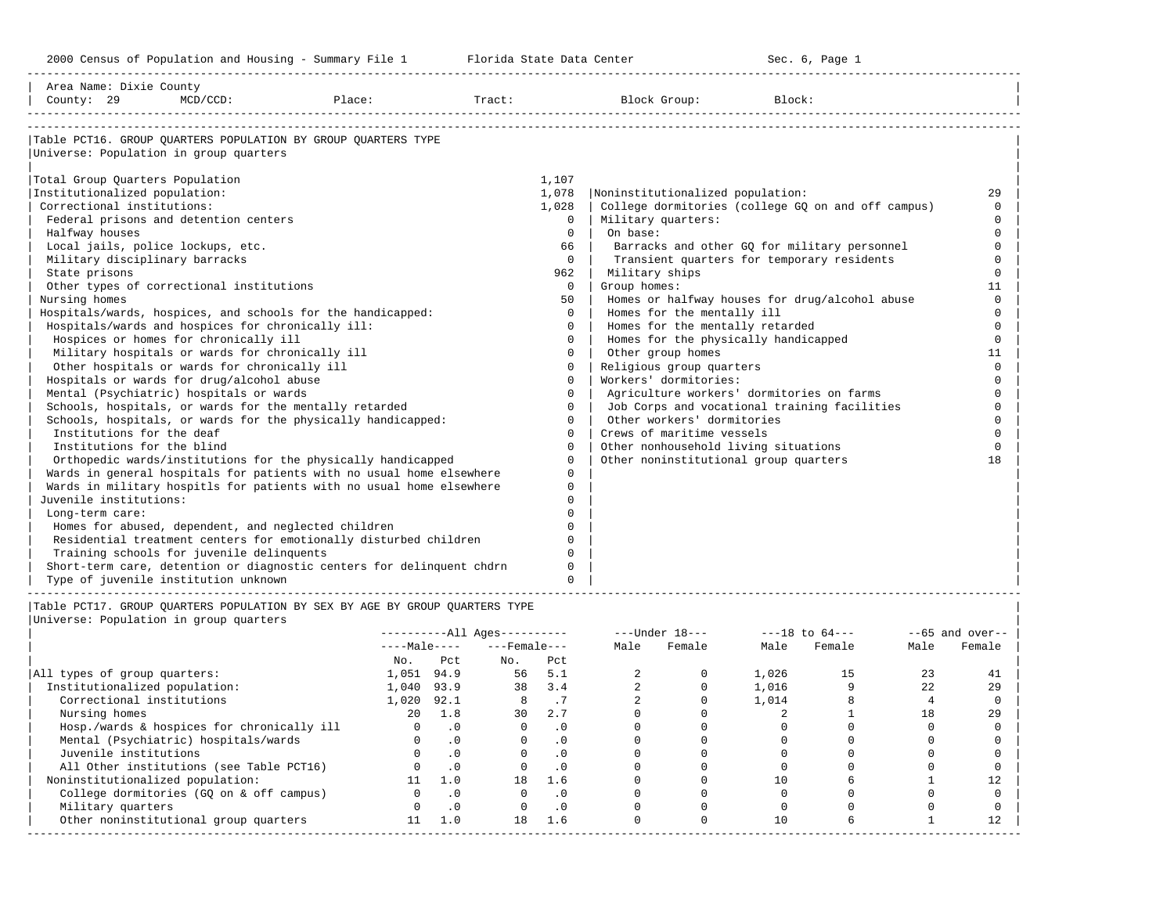-----------------------------------------------------------------------------------------------------------------------------------------------------

| Area Name: Dixie County<br>County: 29 | $MCD/CCD$ :                                            | Place:                                                                | Tract: |              | Block Group:                          | Block:                                             |          |
|---------------------------------------|--------------------------------------------------------|-----------------------------------------------------------------------|--------|--------------|---------------------------------------|----------------------------------------------------|----------|
|                                       |                                                        | Table PCT16. GROUP QUARTERS POPULATION BY GROUP QUARTERS TYPE         |        |              |                                       |                                                    |          |
|                                       | Universe: Population in group quarters                 |                                                                       |        |              |                                       |                                                    |          |
| Total Group Quarters Population       |                                                        |                                                                       | 1,107  |              |                                       |                                                    |          |
| Institutionalized population:         |                                                        |                                                                       | 1,078  |              | Noninstitutionalized population:      |                                                    | 29       |
| Correctional institutions:            |                                                        |                                                                       | 1,028  |              |                                       | College dormitories (college GQ on and off campus) | $\Omega$ |
|                                       | Federal prisons and detention centers                  |                                                                       |        | $\Omega$     | Military quarters:                    |                                                    | $\cap$   |
| Halfway houses                        |                                                        |                                                                       |        | $\Omega$     | On base:                              |                                                    | $\cap$   |
|                                       | Local jails, police lockups, etc.                      |                                                                       |        | 66           |                                       | Barracks and other GO for military personnel       | $\cap$   |
| Military disciplinary barracks        |                                                        |                                                                       |        | $\Omega$     |                                       | Transient quarters for temporary residents         | $\Omega$ |
| State prisons                         |                                                        |                                                                       |        | 962          | Military ships                        |                                                    | $\Omega$ |
|                                       | Other types of correctional institutions               |                                                                       |        | $\mathbf{0}$ | Group homes:                          |                                                    | 11       |
| Nursing homes                         |                                                        |                                                                       |        | 50           |                                       | Homes or halfway houses for drug/alcohol abuse     | $\Omega$ |
|                                       |                                                        | Hospitals/wards, hospices, and schools for the handicapped:           |        | $\Omega$     | Homes for the mentally ill            |                                                    |          |
|                                       | Hospitals/wards and hospices for chronically ill:      |                                                                       |        | $\Omega$     | Homes for the mentally retarded       |                                                    | $\Omega$ |
|                                       | Hospices or homes for chronically ill                  |                                                                       |        | $\Omega$     | Homes for the physically handicapped  |                                                    | $\Omega$ |
|                                       | Military hospitals or wards for chronically ill        |                                                                       |        | $\Omega$     | Other group homes                     |                                                    | 11       |
|                                       | Other hospitals or wards for chronically ill           |                                                                       |        | $\Omega$     | Religious group quarters              |                                                    | $\Omega$ |
|                                       | Hospitals or wards for drug/alcohol abuse              |                                                                       |        | $\Omega$     | Workers' dormitories:                 |                                                    |          |
|                                       | Mental (Psychiatric) hospitals or wards                |                                                                       |        | $\Omega$     |                                       | Agriculture workers' dormitories on farms          | $\Omega$ |
|                                       | Schools, hospitals, or wards for the mentally retarded |                                                                       |        | $\Omega$     |                                       | Job Corps and vocational training facilities       | $\Omega$ |
|                                       |                                                        | Schools, hospitals, or wards for the physically handicapped:          |        | $\Omega$     | Other workers' dormitories            |                                                    | $\Omega$ |
| Institutions for the deaf             |                                                        |                                                                       |        | $\Omega$     | Crews of maritime vessels             |                                                    |          |
| Institutions for the blind            |                                                        |                                                                       |        | $\Omega$     | Other nonhousehold living situations  |                                                    | $\cap$   |
|                                       |                                                        | Orthopedic wards/institutions for the physically handicapped          |        | $\Omega$     | Other noninstitutional group quarters |                                                    | 18       |
|                                       |                                                        | Wards in general hospitals for patients with no usual home elsewhere  |        | $\Omega$     |                                       |                                                    |          |
|                                       |                                                        | Wards in military hospitls for patients with no usual home elsewhere  |        | $\Omega$     |                                       |                                                    |          |
| Juvenile institutions:                |                                                        |                                                                       |        | $\cap$       |                                       |                                                    |          |
| Long-term care:                       |                                                        |                                                                       |        | $\cap$       |                                       |                                                    |          |
|                                       | Homes for abused, dependent, and neglected children    |                                                                       |        | $\Omega$     |                                       |                                                    |          |
|                                       |                                                        | Residential treatment centers for emotionally disturbed children      |        | $\Omega$     |                                       |                                                    |          |
|                                       | Training schools for juvenile delinquents              |                                                                       |        | $\Omega$     |                                       |                                                    |          |
|                                       |                                                        | Short-term care, detention or diagnostic centers for delinguent chdrn |        | $\Omega$     |                                       |                                                    |          |
|                                       | Type of juvenile institution unknown                   |                                                                       |        | $\cap$       |                                       |                                                    |          |

|Table PCT17. GROUP QUARTERS POPULATION BY SEX BY AGE BY GROUP QUARTERS TYPE | |Universe: Population in group quarters |

|                                            |              |           | $------All Ages------$ |           | $---Under 18---$ |        | $---18$ to $64---$ |        | $--65$ and over-- |        |
|--------------------------------------------|--------------|-----------|------------------------|-----------|------------------|--------|--------------------|--------|-------------------|--------|
|                                            | $---Male---$ |           | $---$ Female $---$     |           | Male             | Female | Male               | Female | Male              | Female |
|                                            | No.          | Pct       | No.                    | Pct       |                  |        |                    |        |                   |        |
| All types of group quarters:               | 1,051        | 94.9      | 56                     | 5.1       |                  |        | 1,026              | 15     |                   | 41     |
| Institutionalized population:              | 1,040        | 93.9      | 38                     | 3.4       |                  |        | 1,016              |        | 22                | 29     |
| Correctional institutions                  | 1,020        | 92.1      |                        | . 1       |                  |        | 1,014              |        |                   |        |
| Nursing homes                              | 20           | 1.8       | 30                     | 2.7       |                  |        |                    |        | 18                | 29     |
| Hosp./wards & hospices for chronically ill |              | $\cdot$ 0 |                        | . 0       |                  |        |                    |        |                   |        |
| Mental (Psychiatric) hospitals/wards       | $\Omega$     | $\cdot$ 0 |                        | .0        |                  |        |                    |        |                   |        |
| Juvenile institutions                      |              | $\cdot$ 0 |                        | $\cdot$ 0 |                  |        |                    |        |                   |        |
| All Other institutions (see Table PCT16)   |              | $\cdot$ 0 |                        | $\cdot$ 0 |                  |        |                    |        |                   |        |
| Noninstitutionalized population:           | 11           | 1.0       | 18                     | 1.6       |                  |        | 10                 |        |                   |        |
| College dormitories (GQ on & off campus)   |              | $\cdot$ 0 |                        | $\cdot$ 0 |                  |        |                    |        |                   |        |
| Military quarters                          |              | $\cdot$ 0 |                        | $\cdot$ 0 |                  |        |                    |        |                   |        |
| Other noninstitutional group quarters      | 11           | 1.0       | 18                     | 1.6       |                  |        | 10                 |        |                   |        |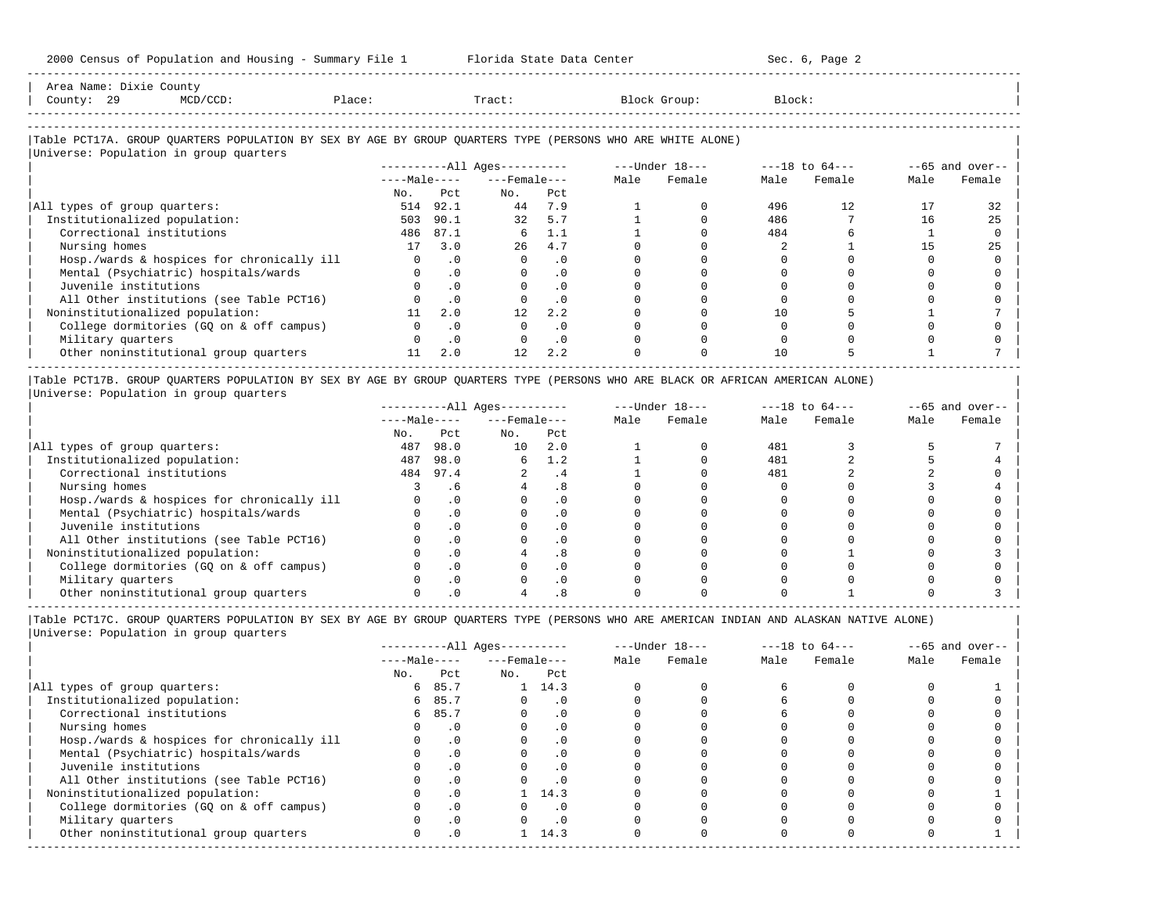| Area<br>Name | ـ ـ ـ ـ ـ ـ | Count <sup>,</sup>                                                              |                             |       |        |       |
|--------------|-------------|---------------------------------------------------------------------------------|-----------------------------|-------|--------|-------|
| Count,       | ر ت         | the contract of the contract of the contract of the contract of the contract of | $n \cap \triangle$<br>⊇lac⊧ | Tract | ⊶roup∶ | Block |
|              |             |                                                                                 |                             |       |        |       |

-----------------------------------------------------------------------------------------------------------------------------------------------------

-----------------------------------------------------------------------------------------------------------------------------------------------------

### |Table PCT17A. GROUP QUARTERS POPULATION BY SEX BY AGE BY GROUP QUARTERS TYPE (PERSONS WHO ARE WHITE ALONE) |

| Universe: Population in group quarters     |              |           |                        |           |      |                  |      |                    |      |                   |
|--------------------------------------------|--------------|-----------|------------------------|-----------|------|------------------|------|--------------------|------|-------------------|
|                                            |              |           | $------All Aqes------$ |           |      | $---Under 18---$ |      | $---18$ to $64---$ |      | $--65$ and over-- |
|                                            | $---Male---$ |           | $---$ Female $---$     |           | Male | Female           | Male | Female             | Male | Female            |
|                                            | No.          | Pct       | No.                    | Pct       |      |                  |      |                    |      |                   |
| All types of group quarters:               | 514          | 92.1      | 44                     | 7.9       |      |                  | 496  | 12.                |      | 32                |
| Institutionalized population:              | 503          | 90.1      | 32                     | 5.7       |      |                  | 486  |                    | 16   | 25                |
| Correctional institutions                  | 486          | 87.1      | 6                      | 1.1       |      |                  | 484  |                    |      |                   |
| Nursing homes                              | 17           | 3.0       | 26                     | 4.7       |      |                  |      |                    |      | 25                |
| Hosp./wards & hospices for chronically ill |              | . 0       |                        | . 0       |      |                  |      |                    |      |                   |
| Mental (Psychiatric) hospitals/wards       |              |           |                        | $\cdot$ 0 |      |                  |      |                    |      |                   |
| Juvenile institutions                      |              | . 0       |                        | . 0       |      |                  |      |                    |      |                   |
| All Other institutions (see Table PCT16)   |              | .0        |                        | $\cdot$ 0 |      |                  |      |                    |      |                   |
| Noninstitutionalized population:           |              | 2.0       | 12 <sup>°</sup>        | 2.2       |      |                  |      |                    |      |                   |
| College dormitories (GQ on & off campus)   |              | $\cdot$ 0 |                        | . 0       |      |                  |      |                    |      |                   |
| Military quarters                          |              | $\cdot$ 0 |                        | $\cdot$ 0 |      |                  |      |                    |      |                   |
| Other noninstitutional group quarters      | 11           | 2.0       | 12                     | 2.2       |      |                  | 10   |                    |      |                   |

|Table PCT17B. GROUP QUARTERS POPULATION BY SEX BY AGE BY GROUP QUARTERS TYPE (PERSONS WHO ARE BLACK OR AFRICAN AMERICAN ALONE) | |Universe: Population in group quarters |

|                                            |              |      | $------All Aqes------$ |           |      | $---Under 18---$ |      | $---18$ to $64---$ |      | $--65$ and over-- |
|--------------------------------------------|--------------|------|------------------------|-----------|------|------------------|------|--------------------|------|-------------------|
|                                            | $---Male---$ |      | $---$ Female $---$     |           | Male | Female           | Male | Female             | Male | Female            |
|                                            | No.          | Pct  | No.                    | Pct       |      |                  |      |                    |      |                   |
| All types of group quarters:               | 487          | 98.0 | 10                     | 2.0       |      |                  | 481  |                    |      |                   |
| Institutionalized population:              | 487          | 98.0 | б.                     | 1.2       |      |                  | 481  |                    |      |                   |
| Correctional institutions                  | 484          | 97.4 |                        | . 4       |      |                  | 481  |                    |      |                   |
| Nursing homes                              |              | . 6  |                        |           |      |                  |      |                    |      |                   |
| Hosp./wards & hospices for chronically ill |              |      |                        | . 0       |      |                  |      |                    |      |                   |
| Mental (Psychiatric) hospitals/wards       |              |      |                        | . 0       |      |                  |      |                    |      |                   |
| Juvenile institutions                      |              |      |                        | . 0       |      |                  |      |                    |      |                   |
| All Other institutions (see Table PCT16)   |              |      |                        | $\Omega$  |      |                  |      |                    |      |                   |
| Noninstitutionalized population:           |              |      |                        | .8        |      |                  |      |                    |      |                   |
| College dormitories (GO on & off campus)   |              |      |                        | $\cdot$ 0 |      |                  |      |                    |      |                   |
| Military quarters                          |              |      |                        | . 0       |      |                  |      |                    |      |                   |
| Other noninstitutional group quarters      |              |      |                        |           |      |                  |      |                    |      |                   |

-----------------------------------------------------------------------------------------------------------------------------------------------------

|                                            |              |           | $------All Aqes------$ |           | $---Under 18---$ |        | $---18$ to $64---$ |        | $--65$ and over-- |        |
|--------------------------------------------|--------------|-----------|------------------------|-----------|------------------|--------|--------------------|--------|-------------------|--------|
|                                            | $---Male---$ |           | $---$ Female ---       |           | Male             | Female | Male               | Female | Male              | Female |
|                                            | No.          | Pct       | No.                    | Pct       |                  |        |                    |        |                   |        |
| All types of group quarters:               | 6            | 85.7      |                        | 14.3      |                  |        |                    |        |                   |        |
| Institutionalized population:              | 6            | 85.7      |                        | . 0       |                  |        |                    |        |                   |        |
| Correctional institutions                  | 6            | 85.7      |                        | . 0       |                  |        |                    |        |                   |        |
| Nursing homes                              |              |           |                        | . 0       |                  |        |                    |        |                   |        |
| Hosp./wards & hospices for chronically ill |              | .0        |                        | . 0       |                  |        |                    |        |                   |        |
| Mental (Psychiatric) hospitals/wards       |              | $\cdot$ 0 |                        | $\cdot$ 0 |                  |        |                    |        |                   |        |
| Juvenile institutions                      |              |           |                        | $\cdot$ 0 |                  |        |                    |        |                   |        |
| All Other institutions (see Table PCT16)   |              |           |                        | . 0       |                  |        |                    |        |                   |        |
| Noninstitutionalized population:           |              | $\cdot$ 0 |                        | 14.3      |                  |        |                    |        |                   |        |
| College dormitories (GO on & off campus)   |              | .0        |                        | $\cdot$ 0 |                  |        |                    |        |                   |        |
| Military quarters                          |              |           |                        | . 0       |                  |        |                    |        |                   |        |
| Other noninstitutional group quarters      |              | $\cdot$ 0 |                        | 14.3      |                  |        |                    |        |                   |        |
|                                            |              |           |                        |           |                  |        |                    |        |                   |        |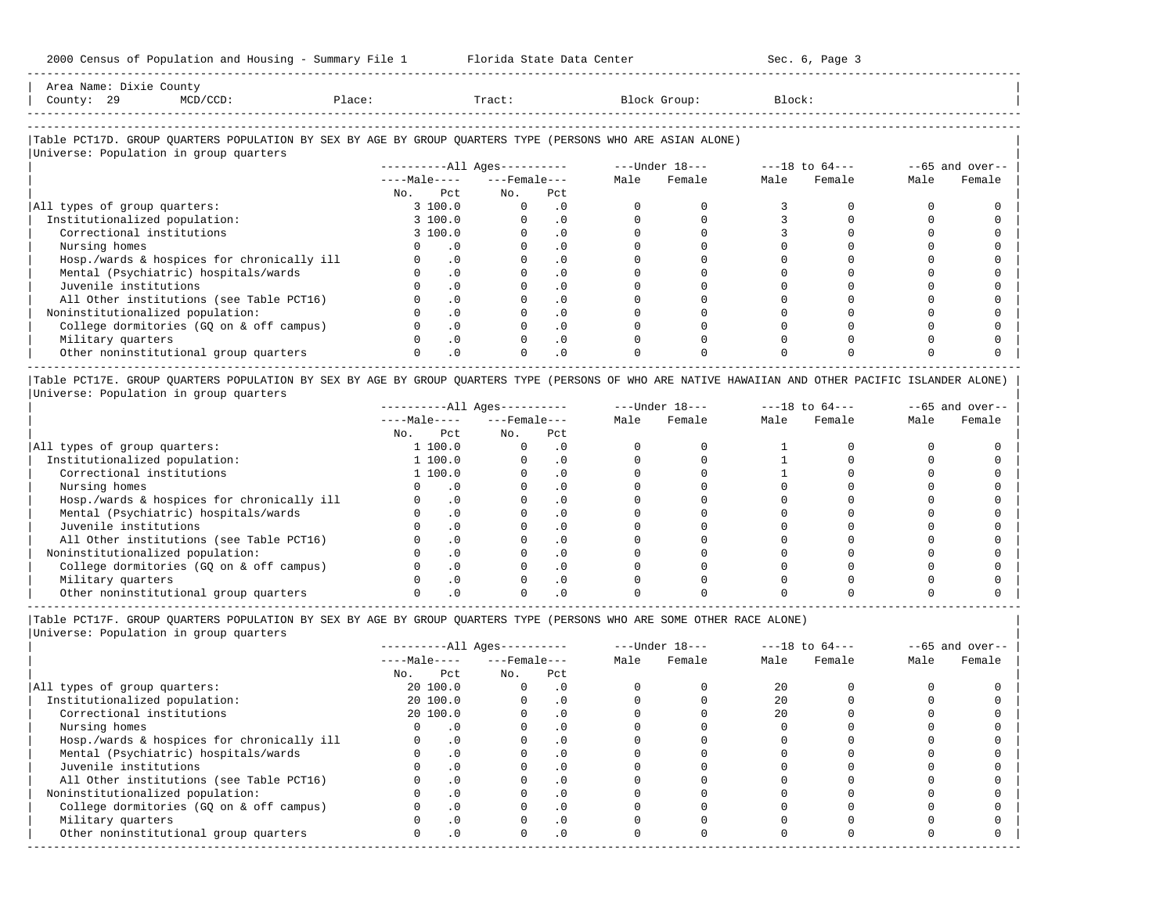-----------------------------------------------------------------------------------------------------------------------------------------------------

| Area<br>Name | ,⊥∧⊥\ | court                                                                           |                |  |  |
|--------------|-------|---------------------------------------------------------------------------------|----------------|--|--|
| Count,       | ر ت   | the contract of the contract of the contract of the contract of the contract of | $\overline{a}$ |  |  |
|              |       |                                                                                 |                |  |  |

-----------------------------------------------------------------------------------------------------------------------------------------------------

# |Table PCT17D. GROUP QUARTERS POPULATION BY SEX BY AGE BY GROUP QUARTERS TYPE (PERSONS WHO ARE ASIAN ALONE) |

| Universe: Population in group quarters     |              |     |                        |  |                |                    |        |                   |        |
|--------------------------------------------|--------------|-----|------------------------|--|----------------|--------------------|--------|-------------------|--------|
|                                            |              |     | $------All Aqes------$ |  | ---Under 18--- | $---18$ to $64---$ |        | $--65$ and over-- |        |
|                                            | $---Male---$ |     | $---$ Female ---       |  | Female         | Male               | Female | Male              | Female |
|                                            | Pct<br>No.   | No. | Pct                    |  |                |                    |        |                   |        |
| All types of group quarters:               | 3 100.0      |     | . 0                    |  |                |                    |        |                   |        |
| Institutionalized population:              | 3 100.0      |     | $\cdot$ 0              |  |                |                    |        |                   |        |
| Correctional institutions                  | 3 100.0      |     | $\cdot$ 0              |  |                |                    |        |                   |        |
| Nursing homes                              | $\cdot$ 0    |     | . 0                    |  |                |                    |        |                   |        |
| Hosp./wards & hospices for chronically ill | .0           |     | $\cdot$ 0              |  |                |                    |        |                   |        |
| Mental (Psychiatric) hospitals/wards       | $\cdot$ 0    |     | $\cdot$ 0              |  |                |                    |        |                   |        |
| Juvenile institutions                      | .0           |     | $\cdot$ 0              |  |                |                    |        |                   |        |
| All Other institutions (see Table PCT16)   | .0           |     | $\cdot$ 0              |  |                |                    |        |                   |        |
| Noninstitutionalized population:           | .0           |     | $\cdot$ 0              |  |                |                    |        |                   |        |
| College dormitories (GO on & off campus)   | .0           |     | $\cdot$ 0              |  |                |                    |        |                   |        |
| Military quarters                          | $\Omega$ .   |     | $\cdot$ 0              |  |                |                    |        |                   |        |
| Other noninstitutional group quarters      | $.0 \cdot$   |     | $\cdot$ 0              |  |                |                    |        |                   |        |
|                                            |              |     |                        |  |                |                    |        |                   |        |

|Table PCT17E. GROUP QUARTERS POPULATION BY SEX BY AGE BY GROUP QUARTERS TYPE (PERSONS OF WHO ARE NATIVE HAWAIIAN AND OTHER PACIFIC ISLANDER ALONE) | |Universe: Population in group quarters |

|                                            |              |           | $------All Ages------$ |           |      | $---Under 18---$ |      | $---18$ to $64---$ |      | $--65$ and over-- |
|--------------------------------------------|--------------|-----------|------------------------|-----------|------|------------------|------|--------------------|------|-------------------|
|                                            | $---Male---$ |           | $---$ Female $---$     |           | Male | Female           | Male | Female             | Male | Female            |
|                                            | No.          | Pct       | No.                    | Pct       |      |                  |      |                    |      |                   |
| All types of group quarters:               |              | 1 100.0   |                        | . 0       |      |                  |      |                    |      |                   |
| Institutionalized population:              |              | 1 100.0   |                        | . 0       |      |                  |      |                    |      |                   |
| Correctional institutions                  |              | 1 100.0   |                        | . 0       |      |                  |      |                    |      |                   |
| Nursing homes                              |              |           |                        | . 0       |      |                  |      |                    |      |                   |
| Hosp./wards & hospices for chronically ill |              | $\cdot$ 0 |                        | $\cdot$ 0 |      |                  |      |                    |      |                   |
| Mental (Psychiatric) hospitals/wards       |              |           |                        | . 0       |      |                  |      |                    |      |                   |
| Juvenile institutions                      |              | $\Omega$  |                        | . 0       |      |                  |      |                    |      |                   |
| All Other institutions (see Table PCT16)   |              |           |                        |           |      |                  |      |                    |      |                   |
| Noninstitutionalized population:           |              |           |                        |           |      |                  |      |                    |      |                   |
| College dormitories (GO on & off campus)   |              |           |                        |           |      |                  |      |                    |      |                   |
| Military quarters                          |              |           |                        |           |      |                  |      |                    |      |                   |
| Other noninstitutional group quarters      |              |           |                        |           |      |                  |      |                    |      |                   |

-----------------------------------------------------------------------------------------------------------------------------------------------------

|Table PCT17F. GROUP QUARTERS POPULATION BY SEX BY AGE BY GROUP QUARTERS TYPE (PERSONS WHO ARE SOME OTHER RACE ALONE) |

|                                            |              |           | $------All Ages------$ |                |      | $---Under 18---$ | $---18$ to $64---$ |        | $--65$ and over-- |        |
|--------------------------------------------|--------------|-----------|------------------------|----------------|------|------------------|--------------------|--------|-------------------|--------|
|                                            | $---Male---$ |           | $---$ Female $---$     |                | Male | Female           | Male               | Female | Male              | Female |
|                                            | No.          | Pct       | No.                    | Pct            |      |                  |                    |        |                   |        |
| All types of group quarters:               |              | 20 100.0  |                        | $\cdot$ 0      |      |                  | 20                 |        |                   |        |
| Institutionalized population:              |              | 20 100.0  |                        | $\cdot$ 0      |      |                  | 2.0                |        |                   |        |
| Correctional institutions                  |              | 20 100.0  |                        |                |      |                  | 2.0                |        |                   |        |
| Nursing homes                              |              | $\cdot$ 0 |                        | $\Omega$ .     |      |                  |                    |        |                   |        |
| Hosp./wards & hospices for chronically ill |              | $\cdot$ 0 |                        | $\overline{0}$ |      |                  |                    |        |                   |        |
| Mental (Psychiatric) hospitals/wards       |              | $\cdot$ 0 |                        |                |      |                  |                    |        |                   |        |
| Juvenile institutions                      |              | .0        |                        | .0             |      |                  |                    |        |                   |        |
| All Other institutions (see Table PCT16)   |              | $\Omega$  |                        |                |      |                  |                    |        |                   |        |
| Noninstitutionalized population:           |              | $\cdot$ 0 |                        | $\Omega$       |      |                  |                    |        |                   |        |
| College dormitories (GQ on & off campus)   |              | $\cdot$ 0 |                        |                |      |                  |                    |        |                   |        |
| Military quarters                          |              | $\cdot$ 0 |                        | $\cdot$ 0      |      |                  |                    |        |                   |        |
| Other noninstitutional group quarters      |              | $\cdot$ 0 |                        | $\cdot$ 0      |      |                  |                    |        |                   |        |
|                                            |              |           |                        |                |      |                  |                    |        |                   |        |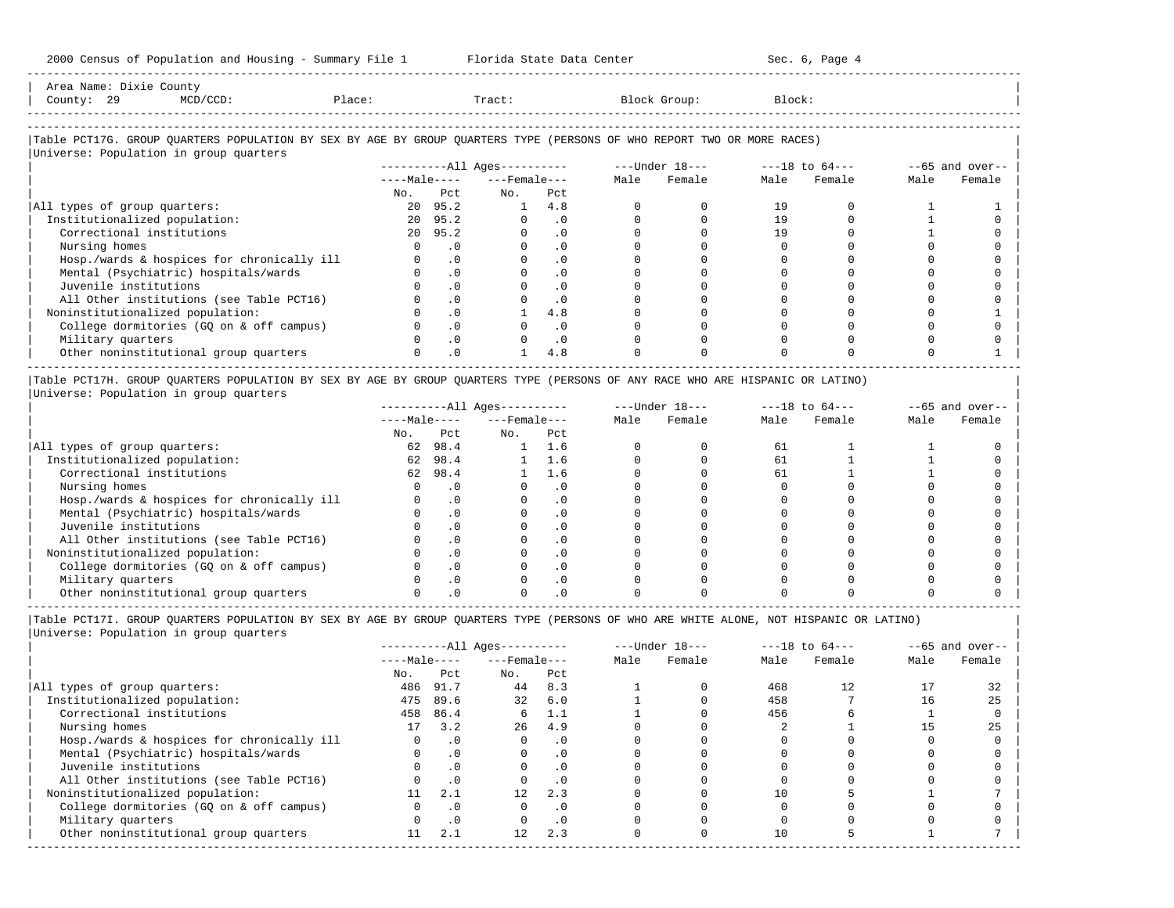| Area Name: Dixie County<br>County: 29<br>MCD/CCD:                                                                                                                | Place:   |                             | Tract:                       |               | Block Group:   | Block:             |        |      |                   |
|------------------------------------------------------------------------------------------------------------------------------------------------------------------|----------|-----------------------------|------------------------------|---------------|----------------|--------------------|--------|------|-------------------|
| Table PCT17G. GROUP QUARTERS POPULATION BY SEX BY AGE BY GROUP QUARTERS TYPE (PERSONS OF WHO REPORT TWO OR MORE RACES)<br>Universe: Population in group quarters |          |                             |                              |               |                |                    |        |      |                   |
|                                                                                                                                                                  |          |                             |                              |               |                |                    |        |      |                   |
|                                                                                                                                                                  |          |                             | ----------All Ages---------- |               | ---Under 18--- | $---18$ to $64---$ |        |      | $--65$ and over-- |
|                                                                                                                                                                  |          |                             | $---Male-- ---Female$        |               | Male Female    | Male               | Female | Male | Female            |
|                                                                                                                                                                  |          | No. Pct                     | No.                          | Pct           |                |                    |        |      |                   |
| All types of group quarters:                                                                                                                                     |          | 20 95.2                     | 1 4.8                        |               |                | 19                 |        |      |                   |
| Institutionalized population:                                                                                                                                    |          | 20 95.2                     |                              | $0 \qquad .0$ |                | 19                 |        |      |                   |
| Correctional institutions                                                                                                                                        |          | 20 95.2                     | $\Omega$                     | .0            |                | 19                 |        |      |                   |
| Nursing homes                                                                                                                                                    | $\Omega$ | $\overline{\phantom{0}}$ .0 |                              | $\cdot$ 0     |                |                    |        |      |                   |
| Hosp./wards & hospices for chronically ill                                                                                                                       |          | $\cdot$ 0                   |                              | $\cdot$ 0     |                |                    |        |      |                   |
| Mental (Psychiatric) hospitals/wards                                                                                                                             | $\Omega$ | $\Omega$                    |                              | $\cdot$ 0     |                |                    |        |      |                   |
| Juvenile institutions                                                                                                                                            |          | $\cdot$ 0                   |                              |               |                |                    |        |      |                   |

| All Other institutions (see Table PCT16) 0 .0 0 .0 0 0 0 0 0 0 |

| Noninstitutionalized population: 0 .0 1 4.8 0 0 0 0 0 1 | | College dormitories (GQ on & off campus) 0 .0 0 .0 0 0 0 0 0 0 | | Military quarters 0 .0 0 .0 0 0 0 0 0 0 | | Other noninstitutional group quarters 0 .0 1 4.8 0 0 0 0 0 1 | ----------------------------------------------------------------------------------------------------------------------------------------------------- |Table PCT17H. GROUP QUARTERS POPULATION BY SEX BY AGE BY GROUP QUARTERS TYPE (PERSONS OF ANY RACE WHO ARE HISPANIC OR LATINO) |

|Universe: Population in group quarters |

|                                            |              |           | $------All Ages------$ |     |      | $---Under 18---$ |      | $---18$ to $64---$ |      | $--65$ and over-- |
|--------------------------------------------|--------------|-----------|------------------------|-----|------|------------------|------|--------------------|------|-------------------|
|                                            | $---Male---$ |           | $---$ Female $---$     |     | Male | Female           | Male | Female             | Male | Female            |
|                                            | No.          | Pct       | No.                    | Pct |      |                  |      |                    |      |                   |
| All types of group quarters:               | 62           | 98.4      |                        | 1.6 |      |                  | 61   |                    |      |                   |
| Institutionalized population:              | 62           | 98.4      |                        | 1.6 |      |                  | 61   |                    |      |                   |
| Correctional institutions                  | 62           | 98.4      |                        | 1.6 |      |                  | 61   |                    |      |                   |
| Nursing homes                              |              | $\cdot$ 0 |                        |     |      |                  |      |                    |      |                   |
| Hosp./wards & hospices for chronically ill |              | . 0       |                        |     |      |                  |      |                    |      |                   |
| Mental (Psychiatric) hospitals/wards       |              | . 0       |                        |     |      |                  |      |                    |      |                   |
| Juvenile institutions                      |              | . 0       |                        |     |      |                  |      |                    |      |                   |
| All Other institutions (see Table PCT16)   |              | $\Omega$  |                        |     |      |                  |      |                    |      |                   |
| Noninstitutionalized population:           |              | $\cdot$ 0 |                        |     |      |                  |      |                    |      |                   |
| College dormitories (GQ on & off campus)   |              | . 0       |                        |     |      |                  |      |                    |      |                   |
| Military quarters                          |              | . 0       |                        |     |      |                  |      |                    |      |                   |
| Other noninstitutional group quarters      |              |           |                        |     |      |                  |      |                    |      |                   |

|Table PCT17I. GROUP QUARTERS POPULATION BY SEX BY AGE BY GROUP QUARTERS TYPE (PERSONS OF WHO ARE WHITE ALONE, NOT HISPANIC OR LATINO) | |Universe: Population in group quarters |

|                                            |              |           | $------All Ages------$ |           | $---Under 18---$ |        | $---18$ to $64---$ |        | $--65$ and over-- |        |
|--------------------------------------------|--------------|-----------|------------------------|-----------|------------------|--------|--------------------|--------|-------------------|--------|
|                                            | $---Male---$ |           | $---$ Female $---$     |           | Male             | Female | Male               | Female | Male              | Female |
|                                            | No.          | Pct       | No.                    | Pct       |                  |        |                    |        |                   |        |
| All types of group quarters:               | 486          | 91.7      | 44                     | 8.3       |                  |        | 468                | 12     |                   | 32     |
| Institutionalized population:              | 475          | 89.6      | 32                     | 6.0       |                  |        | 458                |        | 16                | 25     |
| Correctional institutions                  | 458          | 86.4      | 6                      | 1.1       |                  |        | 456                |        |                   |        |
| Nursing homes                              | 17           | 3.2       | 26                     | 4.9       |                  |        |                    |        |                   | 25     |
| Hosp./wards & hospices for chronically ill |              | $\cdot$ 0 |                        | . 0       |                  |        |                    |        |                   |        |
| Mental (Psychiatric) hospitals/wards       |              | .0        | $\Omega$               | $\cdot$ 0 |                  |        |                    |        |                   |        |
| Juvenile institutions                      |              | $\cdot$ 0 |                        | $\cdot$ 0 |                  |        |                    |        |                   |        |
| All Other institutions (see Table PCT16)   |              | $\cdot$ 0 |                        | . 0       |                  |        |                    |        |                   |        |
| Noninstitutionalized population:           |              | 2.1       | 12.                    | 2.3       |                  |        | 10                 |        |                   |        |
| College dormitories (GO on & off campus)   |              | .0        |                        | $\cdot$ 0 |                  |        |                    |        |                   |        |
| Military quarters                          |              | $\cdot$ 0 |                        | $\cdot$ 0 |                  |        |                    |        |                   |        |
| Other noninstitutional group quarters      | 11           | 2.1       | 12                     | 2.3       |                  |        | 10                 |        |                   |        |
|                                            |              |           |                        |           |                  |        |                    |        |                   |        |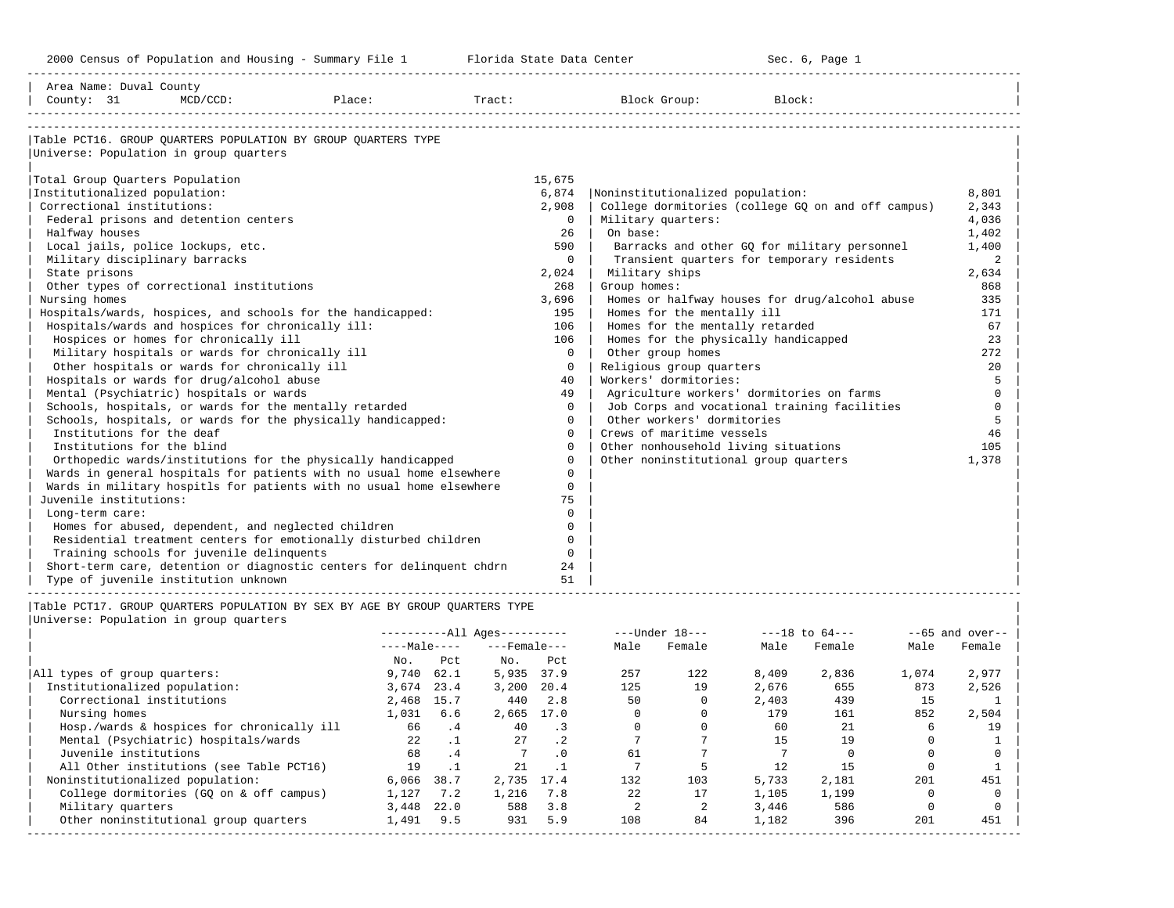| Area Name: Duval County<br>County: 31 | $MCD/CCD$ :                                                                                                           | Place:       |                              |                    | Tract:      |                | Block Group:                          | Block: |                                                    |                |                   |
|---------------------------------------|-----------------------------------------------------------------------------------------------------------------------|--------------|------------------------------|--------------------|-------------|----------------|---------------------------------------|--------|----------------------------------------------------|----------------|-------------------|
|                                       | Table PCT16. GROUP OUARTERS POPULATION BY GROUP OUARTERS TYPE<br>Universe: Population in group quarters               |              |                              |                    |             |                |                                       |        |                                                    |                |                   |
| Total Group Quarters Population       |                                                                                                                       |              |                              |                    | 15,675      |                |                                       |        |                                                    |                |                   |
| Institutionalized population:         |                                                                                                                       |              |                              |                    | 6,874       |                | Noninstitutionalized population:      |        |                                                    |                | 8,801             |
| Correctional institutions:            |                                                                                                                       |              |                              |                    | 2,908       |                |                                       |        | College dormitories (college GQ on and off campus) |                | 2,343             |
|                                       | Federal prisons and detention centers                                                                                 |              |                              |                    | $\Omega$    |                | Military quarters:                    |        |                                                    |                | 4,036             |
| Halfway houses                        |                                                                                                                       |              |                              |                    | 26          | On base:       |                                       |        |                                                    |                | 1,402             |
| Local jails, police lockups, etc.     |                                                                                                                       |              |                              |                    | 590         |                |                                       |        | Barracks and other GQ for military personnel       |                | 1,400             |
| Military disciplinary barracks        |                                                                                                                       |              |                              |                    | $\Omega$    |                |                                       |        | Transient quarters for temporary residents         |                | 2                 |
| State prisons                         |                                                                                                                       |              |                              |                    | 2,024       | Military ships |                                       |        |                                                    |                | 2,634             |
|                                       | Other types of correctional institutions                                                                              |              |                              |                    | 268         | Group homes:   |                                       |        |                                                    |                | 868               |
| Nursing homes                         |                                                                                                                       |              |                              |                    | 3,696       |                |                                       |        | Homes or halfway houses for drug/alcohol abuse     |                | 335               |
|                                       | Hospitals/wards, hospices, and schools for the handicapped:                                                           |              |                              |                    | 195         |                | Homes for the mentally ill            |        |                                                    |                | 171               |
|                                       | Hospitals/wards and hospices for chronically ill:                                                                     |              |                              |                    | 106         |                | Homes for the mentally retarded       |        |                                                    |                | 67                |
|                                       | Hospices or homes for chronically ill                                                                                 |              |                              |                    | 106         |                | Homes for the physically handicapped  |        |                                                    |                | 23                |
|                                       | Military hospitals or wards for chronically ill                                                                       |              |                              |                    | $\mathbf 0$ |                | Other group homes                     |        |                                                    |                | 272               |
|                                       | Other hospitals or wards for chronically ill                                                                          |              |                              |                    | $\circ$     |                | Religious group quarters              |        |                                                    |                | 20                |
|                                       | Hospitals or wards for drug/alcohol abuse                                                                             |              |                              |                    | 40          |                | Workers' dormitories:                 |        |                                                    |                | 5                 |
|                                       | Mental (Psychiatric) hospitals or wards                                                                               |              |                              |                    | 49          |                |                                       |        | Agriculture workers' dormitories on farms          |                | $\mathbf 0$       |
|                                       | Schools, hospitals, or wards for the mentally retarded                                                                |              |                              |                    | $\Omega$    |                |                                       |        | Job Corps and vocational training facilities       |                | $\Omega$          |
|                                       | Schools, hospitals, or wards for the physically handicapped:                                                          |              |                              |                    | $\Omega$    |                | Other workers' dormitories            |        |                                                    |                | 5                 |
| Institutions for the deaf             |                                                                                                                       |              |                              |                    | $\Omega$    |                | Crews of maritime vessels             |        |                                                    |                | 46                |
| Institutions for the blind            |                                                                                                                       |              |                              |                    | $\Omega$    |                | Other nonhousehold living situations  |        |                                                    |                | 105               |
|                                       | Orthopedic wards/institutions for the physically handicapped                                                          |              |                              |                    | $\Omega$    |                | Other noninstitutional group quarters |        |                                                    |                | 1,378             |
|                                       | Wards in general hospitals for patients with no usual home elsewhere                                                  |              |                              |                    | $\Omega$    |                |                                       |        |                                                    |                |                   |
|                                       | Wards in military hospitls for patients with no usual home elsewhere                                                  |              |                              |                    | $\Omega$    |                |                                       |        |                                                    |                |                   |
| Juvenile institutions:                |                                                                                                                       |              |                              |                    | 75          |                |                                       |        |                                                    |                |                   |
| Long-term care:                       |                                                                                                                       |              |                              |                    | $\Omega$    |                |                                       |        |                                                    |                |                   |
|                                       | Homes for abused, dependent, and neglected children                                                                   |              |                              |                    | $\Omega$    |                |                                       |        |                                                    |                |                   |
|                                       | Residential treatment centers for emotionally disturbed children                                                      |              |                              |                    | $\Omega$    |                |                                       |        |                                                    |                |                   |
|                                       | Training schools for juvenile delinquents                                                                             |              |                              |                    | $\Omega$    |                |                                       |        |                                                    |                |                   |
|                                       | Short-term care, detention or diagnostic centers for delinquent chdrn                                                 |              |                              |                    | 24          |                |                                       |        |                                                    |                |                   |
|                                       | Type of juvenile institution unknown                                                                                  |              |                              |                    | 51          |                |                                       |        |                                                    |                |                   |
|                                       | Table PCT17. GROUP QUARTERS POPULATION BY SEX BY AGE BY GROUP QUARTERS TYPE<br>Universe: Population in group quarters |              |                              |                    |             |                |                                       |        |                                                    |                |                   |
|                                       |                                                                                                                       |              | ----------All Ages---------- |                    |             |                | ---Under 18---                        |        | $---18$ to $64---$                                 |                | $--65$ and over-- |
|                                       |                                                                                                                       | $---Male---$ |                              | $---$ Female $---$ |             | Male           | Female                                | Male   | Female                                             | Male           | Female            |
|                                       |                                                                                                                       | No.          | Pct                          | $NQ$ .             | Pct         |                |                                       |        |                                                    |                |                   |
| All types of group quarters:          |                                                                                                                       | $9,740$ 62.1 |                              | 5,935 37.9         |             | 257            | 122                                   | 8,409  | 2,836                                              | 1,074          | 2,977             |
| Institutionalized population:         |                                                                                                                       | 3,674 23.4   |                              | $3,200$ 20.4       |             | 125            | 19                                    | 2,676  | 655                                                | 873            | 2,526             |
| Correctional institutions             |                                                                                                                       | 2,468 15.7   |                              | 440 2.8            |             | 50             | $\circ$                               | 2,403  | 439                                                | 15             | 1                 |
| Nursing homes                         |                                                                                                                       | 1,031 6.6    |                              | 2,665 17.0         |             | $\circ$        | $\mathbf 0$                           | 179    | 161                                                | 852            | 2,504             |
|                                       | Hosp /wards & hospices for chronically ill $\overline{66}$ $\overline{4}$ and $\overline{3}$                          |              |                              |                    |             | $\Omega$       | $\Omega$                              | 60     | 2.1                                                | 6 <sup>6</sup> | <b>19</b>         |

|                                            |              |      | -------All Ayes--------- |           | ---UIUCI 10--- |        | ---IO LU 04--- |        |       | $--$ və allu over $--$ |
|--------------------------------------------|--------------|------|--------------------------|-----------|----------------|--------|----------------|--------|-------|------------------------|
|                                            | $---Male---$ |      | $---$ Female $---$       |           | Male           | Female | Male           | Female | Male  | Female                 |
|                                            | No.          | Pct  | No.                      | Pct       |                |        |                |        |       |                        |
| All types of group quarters:               | 9,740        | 62.1 | 5,935                    | 37.9      | 257            | 122    | 8,409          | 2,836  | 1,074 | 2,977                  |
| Institutionalized population:              | 3,674        | 23.4 | 3,200                    | 20.4      | 125            | 19     | 2,676          | 655    | 873   | 2,526                  |
| Correctional institutions                  | 2,468        | 15.7 | 440                      | 2.8       | 50             |        | 2,403          | 439    | 15    |                        |
| Nursing homes                              | 1,031        | 6.6  | 2,665                    | 17.0      |                |        | 179            | 161    | 852   | 2,504                  |
| Hosp./wards & hospices for chronically ill | 66           | . 4  | 40                       | . 3       |                |        | 60             | 21     | b     | 19                     |
| Mental (Psychiatric) hospitals/wards       | 22           |      | 27                       | $\cdot$ 2 |                |        | 15             | 19     |       |                        |
| Juvenile institutions                      | 68           | . 4  |                          | $\cdot$ 0 | 61             |        |                |        |       |                        |
| All Other institutions (see Table PCT16)   | 19           |      | 21                       |           |                |        |                | 15     |       |                        |
| Noninstitutionalized population:           | 6,066        | 38.7 | 2,735                    | 17.4      | 132            | 103    | 5,733          | 2,181  | 201   | 451                    |
| College dormitories (GO on & off campus)   | 1,127        | 7.2  | 1,216                    | 7.8       | 22             |        | 1,105          | 1,199  |       |                        |
| Military quarters                          | 3,448        | 22.0 | 588                      | 3.8       |                |        | 3,446          | 586    |       |                        |
| Other noninstitutional group quarters      | 1,491        | 9.5  | 931                      | 5.9       | 108            | 84     | 1,182          | 396    | 201   | 451                    |
|                                            |              |      |                          |           |                |        |                |        |       |                        |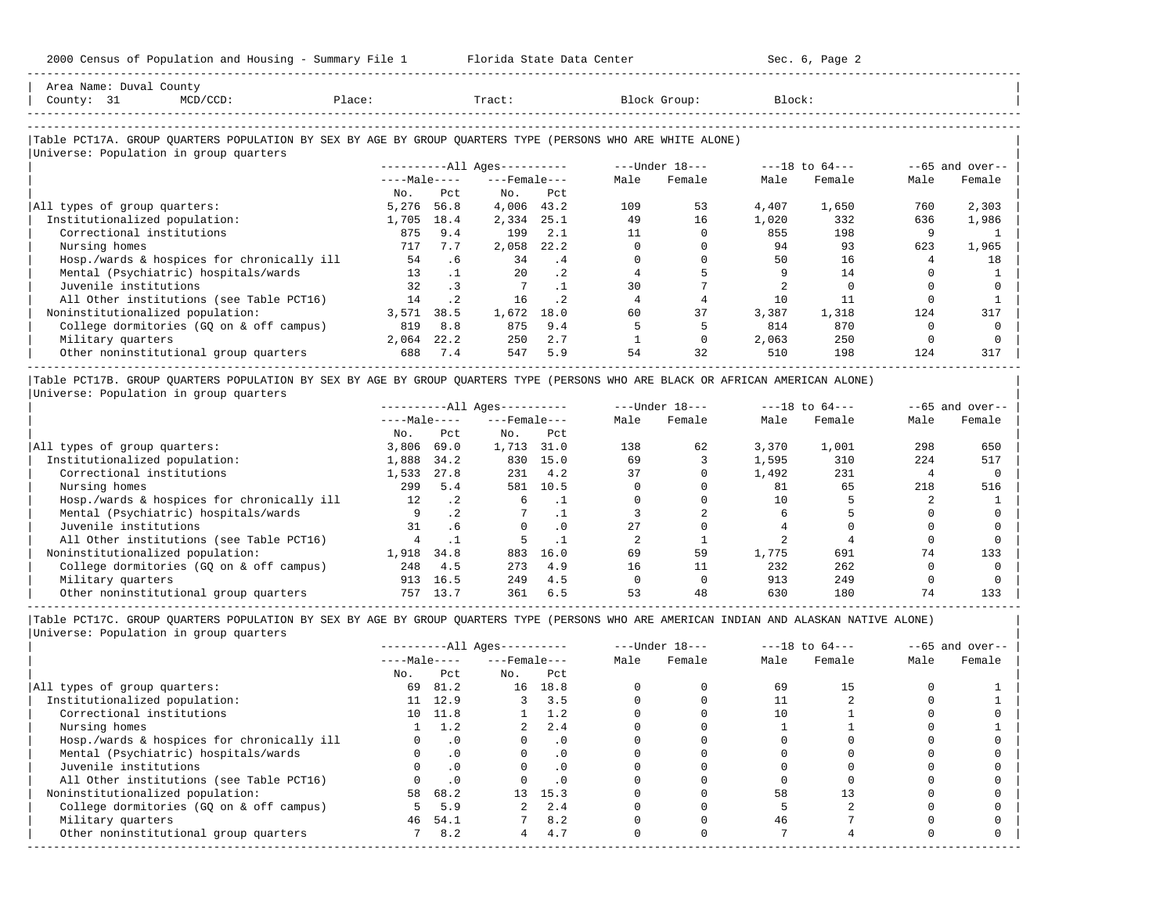-----------------------------------------------------------------------------------------------------------------------------------------------------

| Area Name: Duval County<br>County: 31 | $MCD/CCD$ :                                                                                                                    | Place: |           | Tract:                   |           |      | Block Group:                                                      | Block: |                |          |                    |
|---------------------------------------|--------------------------------------------------------------------------------------------------------------------------------|--------|-----------|--------------------------|-----------|------|-------------------------------------------------------------------|--------|----------------|----------|--------------------|
|                                       |                                                                                                                                |        |           |                          |           |      |                                                                   |        |                |          |                    |
|                                       | Table PCT17A. GROUP QUARTERS POPULATION BY SEX BY AGE BY GROUP QUARTERS TYPE (PERSONS WHO ARE WHITE ALONE)                     |        |           |                          |           |      |                                                                   |        |                |          |                    |
|                                       | Universe: Population in group quarters                                                                                         |        |           |                          |           |      |                                                                   |        |                |          |                    |
|                                       |                                                                                                                                |        |           | $------All Ages------$   |           |      | ---Under 18---                                                    |        | ---18 to 64--- |          | $- -65$ and over-- |
|                                       |                                                                                                                                |        |           | $---Male-- ---Female---$ |           | Male | Female                                                            | Male   | Female         | Male     | Female             |
|                                       |                                                                                                                                | No.    | Pct       | No.                      | Pct       |      |                                                                   |        |                |          |                    |
| All types of group quarters:          |                                                                                                                                | 5,276  | 56.8      | 4,006 43.2               |           | 109  | 53                                                                | 4,407  | 1,650          | 760      | 2,303              |
| Institutionalized population:         |                                                                                                                                | 1,705  | 18.4      | 2,334                    | 25.1      | 49   | 16                                                                | 1,020  | 332            | 636      | 1,986              |
| Correctional institutions             |                                                                                                                                | 875    | 9.4       | 199                      | 2.1       | 11   | $\Omega$                                                          | 855    | 198            | 9        |                    |
| Nursing homes                         |                                                                                                                                | 717    | 7.7       | 2,058                    | 22.2      |      |                                                                   | 94     | 93             | 623      | 1,965              |
|                                       | Hosp./wards & hospices for chronically ill                                                                                     | 54     | .6        | 34                       | .4        |      |                                                                   | 50     | 16             | 4        | 18                 |
|                                       | Mental (Psychiatric) hospitals/wards                                                                                           | 13     | $\cdot$ 1 | 20                       | $\cdot$ 2 |      |                                                                   |        | 14             |          |                    |
| Juvenile institutions                 |                                                                                                                                | 32     | $\cdot$ 3 |                          | $\cdot$ 1 | 30   |                                                                   |        |                |          |                    |
|                                       | All Other institutions (see Table PCT16)                                                                                       | 14     | $\cdot$ 2 | 16                       | $\cdot$ 2 |      |                                                                   | 10     | 11             |          |                    |
|                                       | Noninstitutionalized population:                                                                                               | 3,571  | 38.5      | 1,672                    | 18.0      | 60   | 37                                                                | 3,387  | 1,318          | 124      | 317                |
|                                       | College dormitories (GQ on & off campus)                                                                                       | 819    | 8.8       | 875                      | 9.4       |      |                                                                   | 814    | 870            | $\Omega$ |                    |
| Military quarters                     |                                                                                                                                | 2,064  | 22.2      | 250                      | 2.7       |      | $\Omega$                                                          | 2,063  | 250            | $\Omega$ | n                  |
|                                       | Other noninstitutional group quarters                                                                                          | 688    | 7.4       | 547                      | 5.9       | 54   | 32                                                                | 510    | 198            | 124      | 317                |
|                                       | Table PCT17B. GROUP QUARTERS POPULATION BY SEX BY AGE BY GROUP QUARTERS TYPE (PERSONS WHO ARE BLACK OR AFRICAN AMERICAN ALONE) |        |           |                          |           |      |                                                                   |        |                |          |                    |
|                                       | Universe: Population in group quarters                                                                                         |        |           |                          |           |      |                                                                   |        |                |          |                    |
|                                       |                                                                                                                                |        |           |                          |           |      | ----------All Ages---------- ----Under $18$ --- ---18 to $64$ --- |        |                |          | $-65$ and over--   |
|                                       |                                                                                                                                |        |           | $---Male---$             |           |      | Male Female                                                       | Male   | Female         | Male     | Female             |

|                                            | $\sim$            |           |       |          |     |    |       |       |     |     |
|--------------------------------------------|-------------------|-----------|-------|----------|-----|----|-------|-------|-----|-----|
|                                            | No.               | Pct       | No.   | Pct      |     |    |       |       |     |     |
| All types of group quarters:               | 3,806             | 69.0      | 1,713 | 31.0     | 138 | 62 | 3,370 | 1,001 | 298 | 650 |
| Institutionalized population:              | 1,888             | 34.2      | 830   | 15.0     | 69  |    | 1,595 | 310   | 224 | 517 |
| Correctional institutions                  | 1.533             | 27.8      | 231   | 4.2      | 37  |    | 1,492 | 231   |     |     |
| Nursing homes                              | 299               | 5.4       | 581   | 10.5     |     |    | 81    | 65    | 218 | 516 |
| Hosp./wards & hospices for chronically ill | $12 \overline{ }$ | $\cdot$ 2 |       |          |     |    |       |       |     |     |
| Mental (Psychiatric) hospitals/wards       |                   |           |       |          |     |    |       |       |     |     |
| Juvenile institutions                      | 31                | . 6       |       | $\Omega$ | 2.7 |    |       |       |     |     |
| All Other institutions (see Table PCT16)   |                   |           |       |          |     |    |       |       |     |     |
| Noninstitutionalized population:           | 1,918             | 34.8      | 883   | 16.0     | 69  | 59 | 1,775 | 691   | 74  | 133 |
| College dormitories (GQ on & off campus)   | 248               | 4.5       | 273   | 4.9      | 16  |    | 232   | 262   |     |     |
| Military quarters                          | 913               | 16.5      | 249   | 4.5      |     |    | 913   | 249   |     |     |
| Other noninstitutional group quarters      | 757               | 13.7      | 361   | 6.5      | 53  | 48 | 630   | 180   | 74  | 133 |

|                                            |              |           | $------All Aqes------$ |               |      | $---Under 18---$ | $---18$ to $64---$ |        |      | $--65$ and over-- |
|--------------------------------------------|--------------|-----------|------------------------|---------------|------|------------------|--------------------|--------|------|-------------------|
|                                            | $---Male---$ |           | $---$ Female $---$     |               | Male | Female           | Male               | Female | Male | Female            |
|                                            | No.          | Pct       | No.                    | Pct           |      |                  |                    |        |      |                   |
| All types of group quarters:               | 69           | 81.2      |                        | 16 18.8       |      |                  | 69                 | 15     |      |                   |
| Institutionalized population:              |              | 11 12.9   |                        | 3.5           |      |                  |                    |        |      |                   |
| Correctional institutions                  |              | 10 11.8   |                        | $1 \quad 1.2$ |      |                  | 10                 |        |      |                   |
| Nursing homes                              |              | 1.2       |                        | 2.4           |      |                  |                    |        |      |                   |
| Hosp./wards & hospices for chronically ill |              | $\cdot$ 0 |                        | $\cdot$ 0     |      |                  |                    |        |      |                   |
| Mental (Psychiatric) hospitals/wards       |              | $\cdot$ 0 |                        | . 0           |      |                  |                    |        |      |                   |
| Juvenile institutions                      |              |           |                        | $\cdot$ 0     |      |                  |                    |        |      |                   |
| All Other institutions (see Table PCT16)   |              | $\cdot$ 0 |                        |               |      |                  |                    |        |      |                   |
| Noninstitutionalized population:           | 58           | 68.2      |                        | 13 15.3       |      |                  | 58                 |        |      |                   |
| College dormitories (GQ on & off campus)   |              | 5.9       |                        | 2.4           |      |                  |                    |        |      |                   |
| Military quarters                          | 46           | 54.1      |                        | 8.2           |      |                  | 46                 |        |      |                   |
| Other noninstitutional group quarters      |              | 8.2       | 4                      | 4.7           |      |                  |                    |        |      |                   |
|                                            |              |           |                        |               |      |                  |                    |        |      |                   |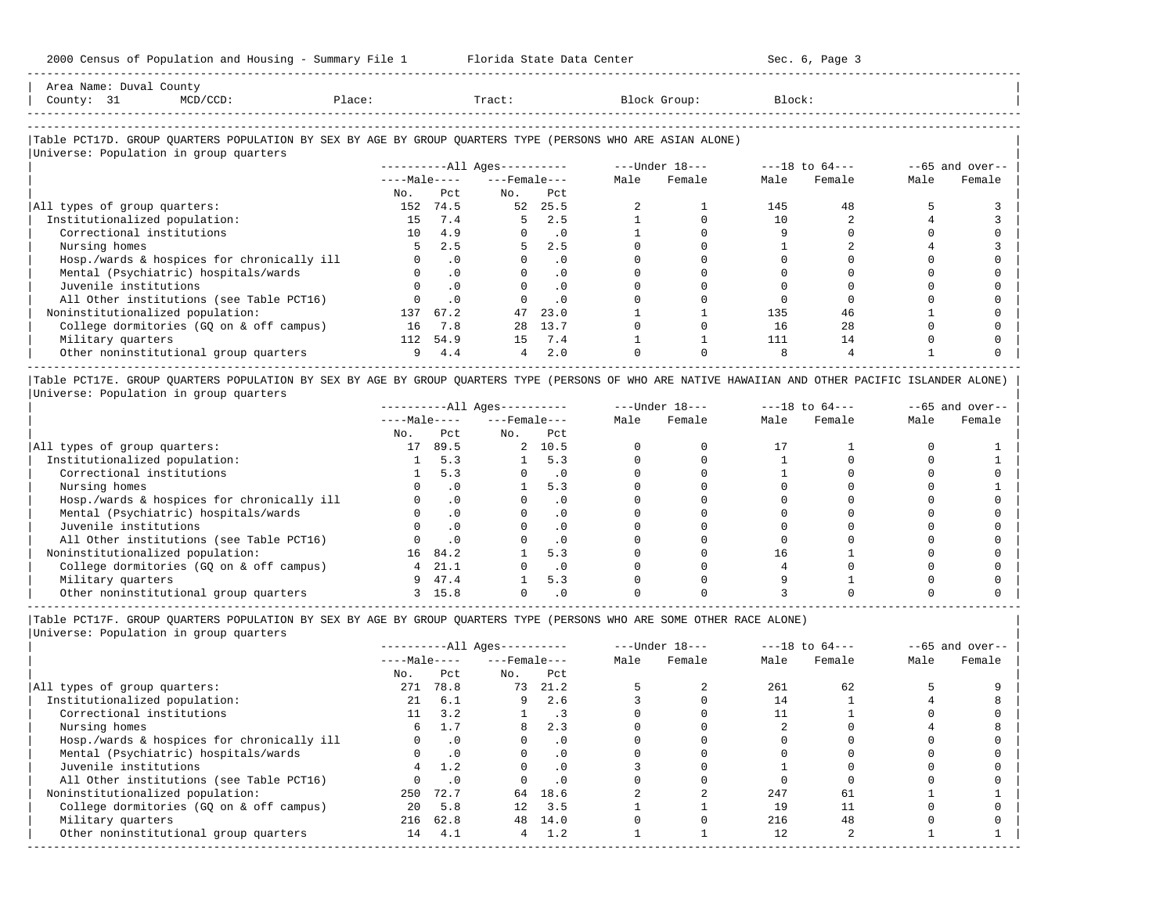| Area<br>Name                  | $C_{\text{out}}$<br>Duval<br>counc |  |       |  |
|-------------------------------|------------------------------------|--|-------|--|
| County                        |                                    |  | Tract |  |
|                               |                                    |  |       |  |
| ----------------------------- |                                    |  |       |  |

-----------------------------------------------------------------------------------------------------------------------------------------------------

#### |Table PCT17D. GROUP QUARTERS POPULATION BY SEX BY AGE BY GROUP QUARTERS TYPE (PERSONS WHO ARE ASIAN ALONE) |

|                                            |                 |           | $------All Ages------$ |           |      | $---Under 18---$ |      | $---18$ to $64---$ |      | $--65$ and over-- |
|--------------------------------------------|-----------------|-----------|------------------------|-----------|------|------------------|------|--------------------|------|-------------------|
|                                            | $---Male---$    |           | $---$ Female $---$     |           | Male | Female           | Male | Female             | Male | Female            |
|                                            | No.             | Pct.      | No.                    | Pct       |      |                  |      |                    |      |                   |
| All types of group quarters:               | 152             | 74.5      | 52                     | 25.5      |      |                  | 145  | 48                 |      |                   |
| Institutionalized population:              | 15              | 7.4       | 5.                     | 2.5       |      |                  | 10   |                    |      |                   |
| Correctional institutions                  | 10 <sup>1</sup> | 4.9       |                        | $\cdot$ 0 |      |                  |      |                    |      |                   |
| Nursing homes                              |                 | 2.5       | 5                      | 2.5       |      |                  |      |                    |      |                   |
| Hosp./wards & hospices for chronically ill |                 | $\cdot$ 0 |                        | . 0       |      |                  |      |                    |      |                   |
| Mental (Psychiatric) hospitals/wards       |                 | $\cdot$ 0 |                        | $\cdot$ 0 |      |                  |      |                    |      |                   |
| Juvenile institutions                      |                 | $\cdot$ 0 |                        | $\cdot$ 0 |      |                  |      |                    |      |                   |
| All Other institutions (see Table PCT16)   |                 | $\cdot$ 0 |                        | $\cdot$ 0 |      |                  |      |                    |      |                   |
| Noninstitutionalized population:           | 137             | 67.2      | 47                     | 23.0      |      |                  | 135  | 46                 |      |                   |
| College dormitories (GQ on & off campus)   | 16              | 7.8       | 28                     | 13.7      |      |                  | 16   | 2.8                |      |                   |
| Military quarters                          | 112             | 54.9      | 1.5                    | 7.4       |      |                  | 111  | 14                 |      |                   |
| Other noninstitutional group quarters      | 9               | 4.4       | 4                      | 2.0       |      |                  |      |                    |      |                   |

|Table PCT17E. GROUP QUARTERS POPULATION BY SEX BY AGE BY GROUP QUARTERS TYPE (PERSONS OF WHO ARE NATIVE HAWAIIAN AND OTHER PACIFIC ISLANDER ALONE) | |Universe: Population in group quarters |

|                                            |              |      | $------All Aqes------$ |           |      | $---Under 18---$ | $---18$ to $64---$ |        |      | $--65$ and over-- |
|--------------------------------------------|--------------|------|------------------------|-----------|------|------------------|--------------------|--------|------|-------------------|
|                                            | $---Male---$ |      | $---$ Female $---$     |           | Male | Female           | Male               | Female | Male | Female            |
|                                            | No.          | Pct  | No.                    | Pct       |      |                  |                    |        |      |                   |
| All types of group quarters:               | 17           | 89.5 |                        | 2, 10.5   |      |                  |                    |        |      |                   |
| Institutionalized population:              |              | 5.3  |                        | 5.3       |      |                  |                    |        |      |                   |
| Correctional institutions                  |              | 5.3  |                        | . 0       |      |                  |                    |        |      |                   |
| Nursing homes                              |              |      |                        | 5.3       |      |                  |                    |        |      |                   |
| Hosp./wards & hospices for chronically ill |              |      |                        | . 0       |      |                  |                    |        |      |                   |
| Mental (Psychiatric) hospitals/wards       |              |      |                        | $\cdot$ 0 |      |                  |                    |        |      |                   |
| Juvenile institutions                      |              |      |                        | . 0       |      |                  |                    |        |      |                   |
| All Other institutions (see Table PCT16)   |              |      |                        | $\cdot$ 0 |      |                  |                    |        |      |                   |
| Noninstitutionalized population:           | 16           | 84.2 |                        | 5.3       |      |                  | 16                 |        |      |                   |
| College dormitories (GO on & off campus)   |              | 21.1 |                        | $\cdot$ 0 |      |                  |                    |        |      |                   |
| Military quarters                          | 9            | 47.4 |                        | 5.3       |      |                  |                    |        |      |                   |
| Other noninstitutional group quarters      |              | 15.8 |                        | $\cdot$ 0 |      |                  |                    |        |      |                   |

-----------------------------------------------------------------------------------------------------------------------------------------------------

|Table PCT17F. GROUP QUARTERS POPULATION BY SEX BY AGE BY GROUP QUARTERS TYPE (PERSONS WHO ARE SOME OTHER RACE ALONE) |

|                                            |              | $------All Aqes------$ |                    |           | $---Under 18---$ | $---18$ to $64---$ |      |        | $--65$ and over-- |        |
|--------------------------------------------|--------------|------------------------|--------------------|-----------|------------------|--------------------|------|--------|-------------------|--------|
|                                            | $---Male---$ |                        | $---$ Female $---$ |           | Male             | Female             | Male | Female | Male              | Female |
|                                            | No.          | Pct                    | No.                | Pct       |                  |                    |      |        |                   |        |
| All types of group quarters:               | 271          | 78.8                   | 73                 | 21.2      |                  |                    | 261  | 62     |                   |        |
| Institutionalized population:              | 21           | 6.1                    | 9                  | 2.6       |                  |                    | 14   |        |                   |        |
| Correctional institutions                  |              | 3.2                    |                    |           |                  |                    |      |        |                   |        |
| Nursing homes                              | 6.           |                        | 8                  | 2.3       |                  |                    |      |        |                   |        |
| Hosp./wards & hospices for chronically ill |              | $\cdot$ 0              |                    | $\cdot$ 0 |                  |                    |      |        |                   |        |
| Mental (Psychiatric) hospitals/wards       |              | $\cdot$ 0              | $\Omega$           | $\cdot$ 0 |                  |                    |      |        |                   |        |
| Juvenile institutions                      |              | 1.2                    | O                  | $\cdot$ 0 |                  |                    |      |        |                   |        |
| All Other institutions (see Table PCT16)   |              | $\cdot$ 0              |                    | .0        |                  |                    |      |        |                   |        |
| Noninstitutionalized population:           | 250          | 72.7                   |                    | 64 18.6   |                  |                    | 247  | 61     |                   |        |
| College dormitories (GO on & off campus)   | $20^{\circ}$ | 5.8                    | 12                 | 3.5       |                  |                    | 19   |        |                   |        |
| Military quarters                          |              | 216 62.8               | 48                 | 14.0      |                  |                    | 216  | 48     |                   |        |
| Other noninstitutional group quarters      | 14           | 4.1                    | 4                  | 1.2       |                  |                    | 12   |        |                   |        |
|                                            |              |                        |                    |           |                  |                    |      |        |                   |        |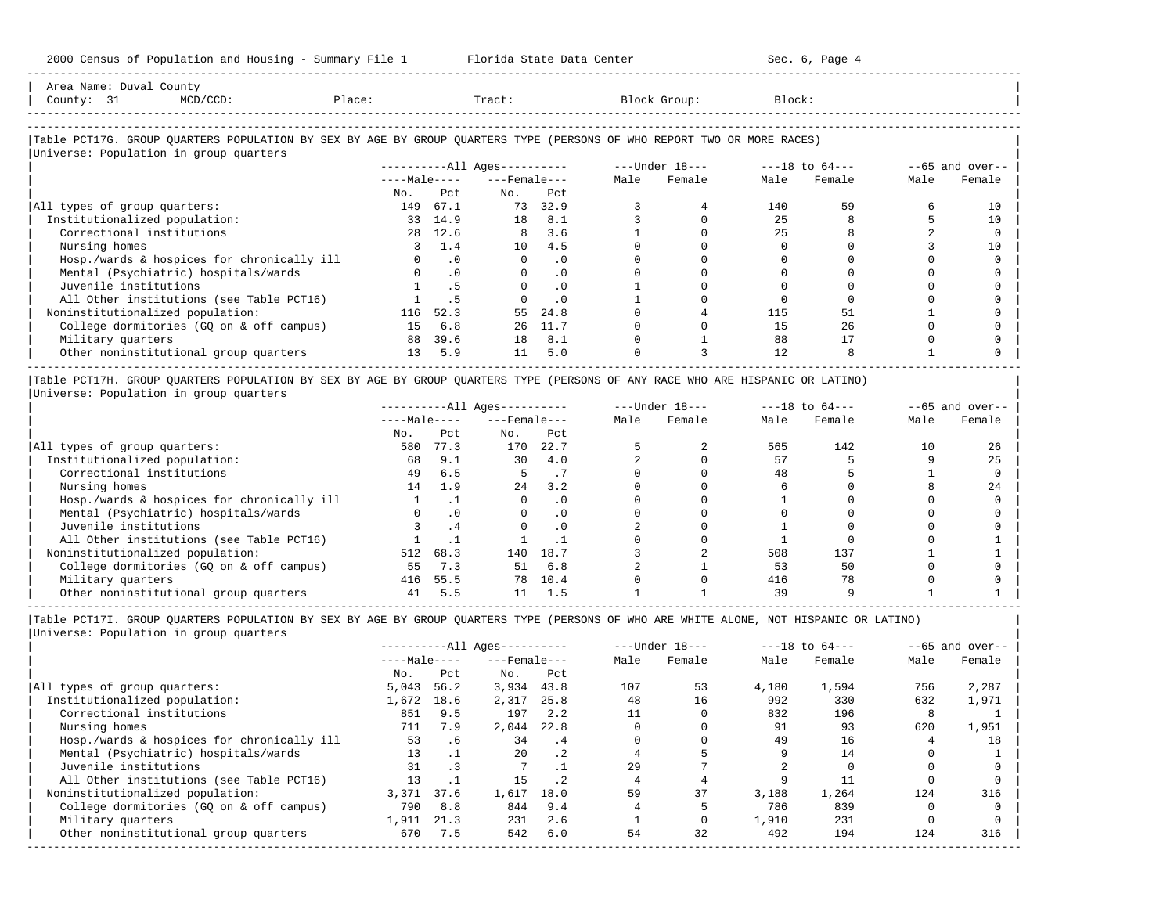-----------------------------------------------------------------------------------------------------------------------------------------------------

| Area Name: Duval County<br>County: 31<br>Place:<br>$MCD/CCD$ :                                                                |     |           | Tract:                |           |      | Block Group:                                                    | Block: |        |      |                  |
|-------------------------------------------------------------------------------------------------------------------------------|-----|-----------|-----------------------|-----------|------|-----------------------------------------------------------------|--------|--------|------|------------------|
|                                                                                                                               |     |           |                       |           |      |                                                                 |        |        |      |                  |
|                                                                                                                               |     |           |                       |           |      |                                                                 |        |        |      |                  |
| Table PCT17G. GROUP QUARTERS POPULATION BY SEX BY AGE BY GROUP QUARTERS TYPE (PERSONS OF WHO REPORT TWO OR MORE RACES)        |     |           |                       |           |      |                                                                 |        |        |      |                  |
| Universe: Population in group quarters                                                                                        |     |           |                       |           |      |                                                                 |        |        |      |                  |
|                                                                                                                               |     |           |                       |           |      | -----------All Ages---------- ---- Under $18--$ ---18 to $64--$ |        |        |      | $-65$ and over-- |
|                                                                                                                               |     |           | $---Male-- ---Female$ |           | Male | Female                                                          | Male   | Female | Male | Female           |
|                                                                                                                               | No. | Pct.      | No.                   | Pct.      |      |                                                                 |        |        |      |                  |
| All types of group quarters:                                                                                                  | 149 | 67.1      |                       | 73 32.9   |      |                                                                 | 140    | 59     |      | 10               |
| Institutionalized population:                                                                                                 |     | 33 14.9   |                       | 18 8.1    |      |                                                                 | 25     |        |      | 10               |
| Correctional institutions                                                                                                     |     | 28 12.6   |                       | 8 3.6     |      |                                                                 | 2.5    |        |      |                  |
| Nursing homes                                                                                                                 |     | 1.4       | 10                    | 4.5       |      |                                                                 |        |        |      | 10               |
| Hosp./wards & hospices for chronically ill                                                                                    |     | $\cdot$ 0 | $\Omega$              | $\cdot$ 0 |      |                                                                 |        |        |      |                  |
| Mental (Psychiatric) hospitals/wards                                                                                          |     | $\cdot$ 0 |                       | $\cdot$ 0 |      |                                                                 |        |        |      |                  |
| Juvenile institutions                                                                                                         |     | . 5       |                       | $\cdot$ 0 |      |                                                                 |        |        |      |                  |
| All Other institutions (see Table PCT16)                                                                                      |     |           |                       | $\cdot$ 0 |      |                                                                 |        |        |      |                  |
| Noninstitutionalized population:                                                                                              | 116 | 52.3      | 55                    | 24.8      |      |                                                                 | 115    | 51     |      |                  |
| College dormitories (GQ on & off campus)                                                                                      | 15  | 6.8       | 26                    | 11.7      |      |                                                                 | 1.5    | 26     |      |                  |
| Military quarters                                                                                                             |     | 88 39.6   | 18                    | 8.1       |      |                                                                 | 88     | 17     |      |                  |
| Other noninstitutional group quarters                                                                                         |     | 13, 5.9   | 11                    | 5.0       |      |                                                                 | 12.    |        |      |                  |
|                                                                                                                               |     |           |                       |           |      |                                                                 |        |        |      |                  |
| Table PCT17H. GROUP QUARTERS POPULATION BY SEX BY AGE BY GROUP QUARTERS TYPE (PERSONS OF ANY RACE WHO ARE HISPANIC OR LATINO) |     |           |                       |           |      |                                                                 |        |        |      |                  |

|Universe: Population in group quarters |

|                                            |              |           | $------All Aqes------$ |           |      | $---Under 18---$ | $---18$ to $64---$ |        | $--65$ and over-- |        |
|--------------------------------------------|--------------|-----------|------------------------|-----------|------|------------------|--------------------|--------|-------------------|--------|
|                                            | $---Male---$ |           | $---$ Female $---$     |           | Male | Female           | Male               | Female | Male              | Female |
|                                            | No.          | Pct       | No.                    | Pct       |      |                  |                    |        |                   |        |
| All types of group quarters:               | 580          | 77.3      | 170                    | 22.7      |      |                  | 565                | 142    | 10                | 26     |
| Institutionalized population:              | 68           | 9.1       | 30                     | 4.0       |      |                  | 57                 |        |                   | 25     |
| Correctional institutions                  | 49           | 6.5       |                        | . 1       |      |                  | 48                 |        |                   |        |
| Nursing homes                              | 14           | 1.9       | 24                     | 3.2       |      |                  |                    |        |                   | 24     |
| Hosp./wards & hospices for chronically ill |              |           |                        | . 0       |      |                  |                    |        |                   |        |
| Mental (Psychiatric) hospitals/wards       |              | $\cdot$ 0 |                        | $\cdot$ 0 |      |                  |                    |        |                   |        |
| Juvenile institutions                      |              | . 4       |                        | . 0       |      |                  |                    |        |                   |        |
| All Other institutions (see Table PCT16)   |              |           |                        |           |      |                  |                    |        |                   |        |
| Noninstitutionalized population:           | 512          | 68.3      | 140                    | 18.7      |      |                  | 508                | 137    |                   |        |
| College dormitories (GO on & off campus)   | 55           | 7.3       | 51                     | 6.8       |      |                  | 53                 | 50     |                   |        |
| Military quarters                          | 416          | 55.5      | 78                     | 10.4      |      |                  | 416                | 78     |                   |        |
| Other noninstitutional group quarters      | 41           | 5.5       |                        | 1.5       |      |                  | 39                 |        |                   |        |

|Table PCT17I. GROUP QUARTERS POPULATION BY SEX BY AGE BY GROUP QUARTERS TYPE (PERSONS OF WHO ARE WHITE ALONE, NOT HISPANIC OR LATINO) | |Universe: Population in group quarters |

|                                            |              |      | $------All Aqes------$ |            |      | $---Under 18---$ | $---18$ to $64---$ |        | $--65$ and over-- |        |
|--------------------------------------------|--------------|------|------------------------|------------|------|------------------|--------------------|--------|-------------------|--------|
|                                            | $---Male---$ |      | $---$ Female $---$     |            | Male | Female           | Male               | Female | Male              | Female |
|                                            | No.          | Pct  | No.                    | Pct        |      |                  |                    |        |                   |        |
| All types of group quarters:               | 5,043        | 56.2 | 3,934                  | 43.8       | 107  | 53               | 4,180              | 1,594  | 756               | 2,287  |
| Institutionalized population:              | 1,672        | 18.6 | 2,317                  | 25.8       | 48   | 16               | 992                | 330    | 632               | 1,971  |
| Correctional institutions                  | 851          | 9.5  | 197                    | 2.2        |      |                  | 832                | 196    | 8                 |        |
| Nursing homes                              | 711          | 7.9  | 2,044                  | 22.8       |      |                  | 91                 | 93     | 620               | 1,951  |
| Hosp./wards & hospices for chronically ill | 53           | .6   | 34                     | $\cdot$ .4 |      |                  | 49                 | 16     |                   | 18     |
| Mental (Psychiatric) hospitals/wards       | 13           |      | 20                     | $\cdot$ 2  |      |                  |                    | 14     |                   |        |
| Juvenile institutions                      | 31           |      |                        |            | 2.9  |                  |                    |        |                   |        |
| All Other institutions (see Table PCT16)   | 13           |      | 15                     | $\cdot$ 2  |      |                  |                    |        |                   |        |
| Noninstitutionalized population:           | 3,371        | 37.6 | 1,617                  | 18.0       | 59   | 37               | 3,188              | 1,264  | 124               | 316    |
| College dormitories (GO on & off campus)   | 790          | 8.8  | 844                    | 9.4        |      |                  | 786                | 839    |                   |        |
| Military quarters                          | 1,911        | 21.3 | 231                    | 2.6        |      |                  | 1,910              | 231    |                   |        |
| Other noninstitutional group quarters      | 670          | 7.5  | 542                    | 6.0        | 54   | 32               | 492                | 194    | 124               | 316    |
|                                            |              |      |                        |            |      |                  |                    |        |                   |        |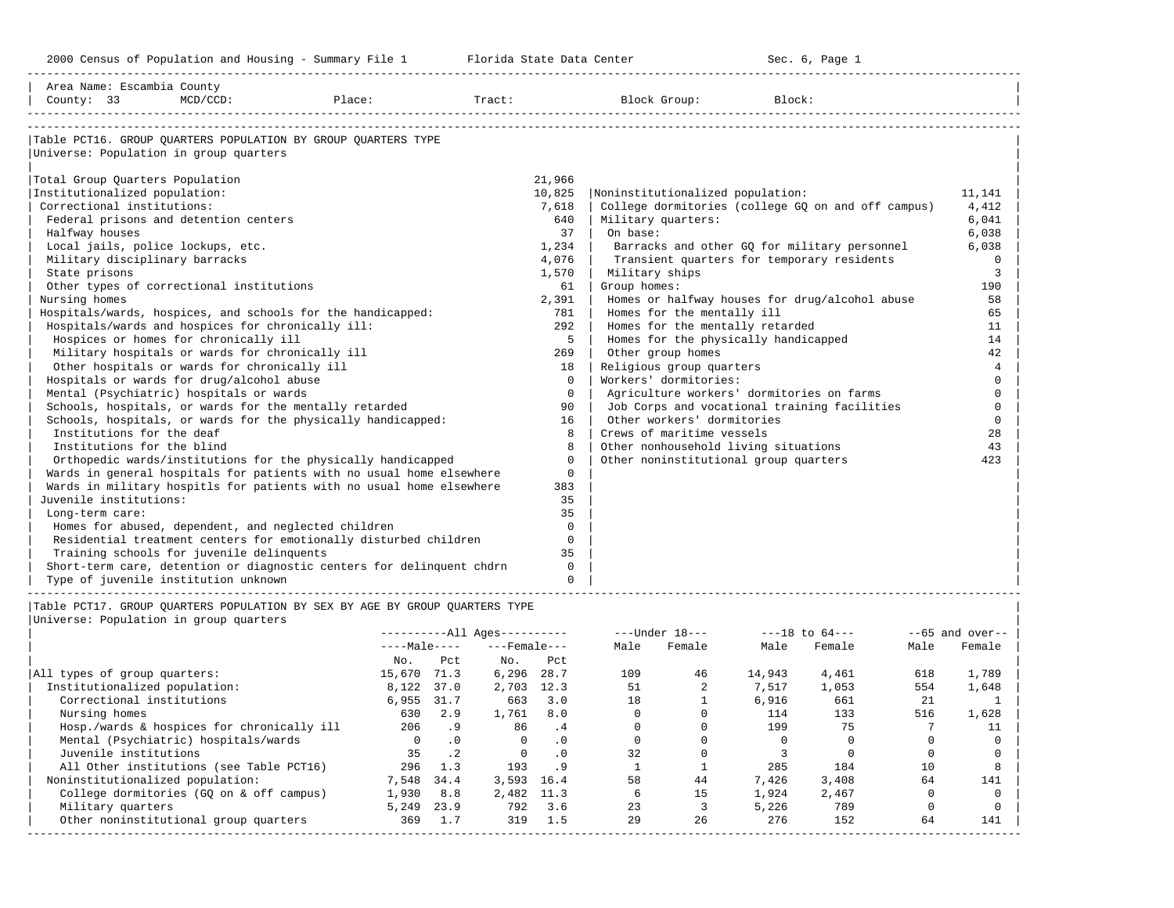-----------------------------------------------------------------------------------------------------------------------------------------------------

| Area Name: Escambia County                        |             |                                                                             |                   |             |                                       |                                                    |          |
|---------------------------------------------------|-------------|-----------------------------------------------------------------------------|-------------------|-------------|---------------------------------------|----------------------------------------------------|----------|
| County: 33                                        | $MCD/CCD$ : | Place:                                                                      | $\texttt{Tract}:$ |             | Block Group:                          | Block:                                             |          |
|                                                   |             |                                                                             |                   |             |                                       |                                                    |          |
|                                                   |             | Table PCT16. GROUP OUARTERS POPULATION BY GROUP OUARTERS TYPE               |                   |             |                                       |                                                    |          |
| Universe: Population in group quarters            |             |                                                                             |                   |             |                                       |                                                    |          |
|                                                   |             |                                                                             |                   |             |                                       |                                                    |          |
| Total Group Quarters Population                   |             |                                                                             |                   | 21,966      |                                       |                                                    |          |
| Institutionalized population:                     |             |                                                                             |                   | 10,825      | Noninstitutionalized population:      |                                                    | 11,141   |
| Correctional institutions:                        |             |                                                                             |                   | 7,618       |                                       | College dormitories (college GO on and off campus) | 4,412    |
| Federal prisons and detention centers             |             |                                                                             |                   | 640         | Military quarters:                    |                                                    | 6,041    |
| Halfway houses                                    |             |                                                                             |                   | 37          | On base:                              |                                                    | 6,038    |
| Local jails, police lockups, etc.                 |             |                                                                             |                   | 1,234       |                                       | Barracks and other GQ for military personnel       | 6,038    |
| Military disciplinary barracks                    |             |                                                                             |                   | 4,076       |                                       | Transient quarters for temporary residents         | $\Omega$ |
| State prisons                                     |             |                                                                             |                   | 1,570       | Military ships                        |                                                    | 3        |
| Other types of correctional institutions          |             |                                                                             |                   | 61          | Group homes:                          |                                                    | 190      |
| Nursing homes                                     |             |                                                                             |                   | 2,391       |                                       | Homes or halfway houses for drug/alcohol abuse     | 58       |
|                                                   |             | Hospitals/wards, hospices, and schools for the handicapped:                 |                   | 781         | Homes for the mentally ill            |                                                    | 65       |
| Hospitals/wards and hospices for chronically ill: |             |                                                                             |                   | 292         | Homes for the mentally retarded       |                                                    | 11       |
| Hospices or homes for chronically ill             |             |                                                                             |                   | 5           | Homes for the physically handicapped  |                                                    | 14       |
| Military hospitals or wards for chronically ill   |             |                                                                             |                   | 269         | Other group homes                     |                                                    | 42       |
| Other hospitals or wards for chronically ill      |             |                                                                             |                   | 18          | Religious group quarters              |                                                    | 4        |
| Hospitals or wards for drug/alcohol abuse         |             |                                                                             |                   | $\Omega$    | Workers' dormitories:                 |                                                    | $\Omega$ |
| Mental (Psychiatric) hospitals or wards           |             |                                                                             |                   | $\Omega$    |                                       | Agriculture workers' dormitories on farms          | $\Omega$ |
|                                                   |             | Schools, hospitals, or wards for the mentally retarded                      |                   | 90          |                                       | Job Corps and vocational training facilities       | $\Omega$ |
|                                                   |             | Schools, hospitals, or wards for the physically handicapped:                |                   | 16          | Other workers' dormitories            |                                                    | $\Omega$ |
| Institutions for the deaf                         |             |                                                                             |                   | 8           | Crews of maritime vessels             |                                                    | 28       |
| Institutions for the blind                        |             |                                                                             |                   | 8           | Other nonhousehold living situations  |                                                    | 43       |
|                                                   |             | Orthopedic wards/institutions for the physically handicapped                |                   | $\Omega$    | Other noninstitutional group quarters |                                                    | 423      |
|                                                   |             | Wards in general hospitals for patients with no usual home elsewhere        |                   | $\mathbf 0$ |                                       |                                                    |          |
|                                                   |             | Wards in military hospitls for patients with no usual home elsewhere        |                   | 383         |                                       |                                                    |          |
| Juvenile institutions:                            |             |                                                                             |                   | 35          |                                       |                                                    |          |
| Long-term care:                                   |             |                                                                             |                   | 35          |                                       |                                                    |          |
|                                                   |             | Homes for abused, dependent, and neglected children                         |                   | $\Omega$    |                                       |                                                    |          |
|                                                   |             | Residential treatment centers for emotionally disturbed children            |                   | $\Omega$    |                                       |                                                    |          |
| Training schools for juvenile delinquents         |             |                                                                             |                   | 35          |                                       |                                                    |          |
|                                                   |             | Short-term care, detention or diagnostic centers for delinguent chdrn       |                   | $\Omega$    |                                       |                                                    |          |
| Type of juvenile institution unknown              |             |                                                                             |                   | $\Omega$    |                                       |                                                    |          |
|                                                   |             | Table PCT17. GROUP OUARTERS POPULATION BY SEX BY AGE BY GROUP OUARTERS TYPE |                   |             |                                       |                                                    |          |
| Universe: Population in group quarters            |             |                                                                             |                   |             |                                       |                                                    |          |
|                                                   |             |                                                                             |                   |             |                                       |                                                    |          |
|                                                   |             |                                                                             |                   |             |                                       |                                                    |          |

|                                            | ----Male---- |           | $---$ Female $---$ |           | Male | Female | Male   | Female | Male | Female |
|--------------------------------------------|--------------|-----------|--------------------|-----------|------|--------|--------|--------|------|--------|
|                                            | No.          | Pct       | No.                | Pct       |      |        |        |        |      |        |
| All types of group quarters:               | 15,670       | 71.3      | 6,296              | 28.7      | 109  | 46     | 14,943 | 4,461  | 618  | 1,789  |
| Institutionalized population:              | 8,122        | 37.0      | 2,703              | 12.3      | 51   |        | 7,517  | 1,053  | 554  | 1,648  |
| Correctional institutions                  | 6,955        | 31.7      | 663                | 3.0       | 18   |        | 6,916  | 661    | 21   |        |
| Nursing homes                              | 630          | 2.9       | 1,761              | 8.0       |      |        | 114    | 133    | 516  | 1,628  |
| Hosp./wards & hospices for chronically ill | 206          | . 9       | 86                 | .4        |      |        | 199    | 75     |      |        |
| Mental (Psychiatric) hospitals/wards       | $\Omega$     | .0        | $\Omega$           | $\cdot$ 0 |      |        |        |        |      |        |
| Juvenile institutions                      | 35           | $\cdot$ 2 | $\Omega$           | $\cdot$ 0 | 32   |        |        |        |      |        |
| All Other institutions (see Table PCT16)   | 296          | 1.3       | 193                | . 9       |      |        | 285    | 184    | 10   |        |
| Noninstitutionalized population:           | 7,548        | 34.4      | 3,593              | 16.4      | 58   | 44     | 7,426  | 3,408  | 64   | 141    |
| College dormitories (GO on & off campus)   | 1,930        | 8.8       | 2,482 11.3         |           |      | 15     | 1,924  | 2,467  |      |        |
| Military quarters                          | 5,249        | 23.9      | 792                | 3.6       | 23   |        | 5,226  | 789    |      |        |
| Other noninstitutional group quarters      | 369          | 1.7       | 319                | 1.5       | 29   | 26     | 276    | 152    | 64   | 141    |
|                                            |              |           |                    |           |      |        |        |        |      |        |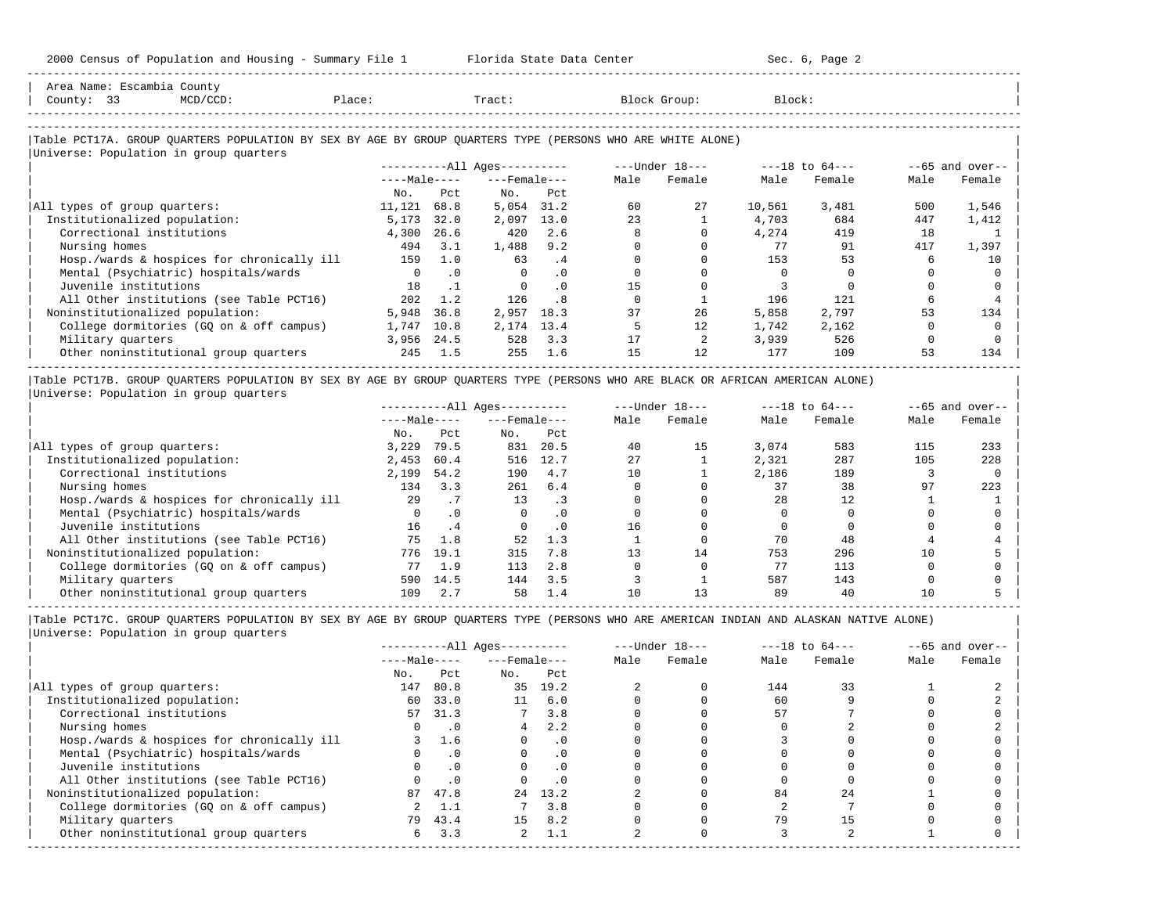| Area Name: Escambia County<br>County: 33<br>$MCD/CCD$ :                                                                                              | Place:         |           | Tract:                       |           |      | Block Group:      | Block:   |                |          |                    |
|------------------------------------------------------------------------------------------------------------------------------------------------------|----------------|-----------|------------------------------|-----------|------|-------------------|----------|----------------|----------|--------------------|
| Table PCT17A. GROUP QUARTERS POPULATION BY SEX BY AGE BY GROUP QUARTERS TYPE (PERSONS WHO ARE WHITE ALONE)<br>Universe: Population in group quarters |                |           |                              |           |      |                   |          |                |          |                    |
|                                                                                                                                                      |                |           | ----------All Ages---------- |           |      | ---Under 18---    |          | ---18 to 64--- |          | $- -65$ and over-- |
|                                                                                                                                                      | $---Male---$   |           | $---$ Female $---$           |           | Male | Female            | Male     | Female         | Male     | Female             |
|                                                                                                                                                      | No.            | Pct.      | No.                          | Pct.      |      |                   |          |                |          |                    |
| All types of group quarters:                                                                                                                         | 11,121         | 68.8      | 5,054                        | 31.2      | 60   | 27                | 10,561   | 3,481          | 500      | 1,546              |
| Institutionalized population:                                                                                                                        | 5,173          | 32.0      | 2,097                        | 13.0      | 23   |                   | 4,703    | 684            | 447      | 1,412              |
| Correctional institutions                                                                                                                            | 4,300          | 26.6      | 420                          | 2.6       |      |                   | 4,274    | 419            | 18       |                    |
| Nursing homes                                                                                                                                        | 494            | 3.1       | 1,488                        | 9.2       |      |                   | 77       | 91             | 417      | 1,397              |
| Hosp./wards & hospices for chronically ill                                                                                                           | 159            | 1.0       | 63                           | .4        |      |                   | 153      | 53             | 6        | 10                 |
| Mental (Psychiatric) hospitals/wards                                                                                                                 | $\overline{0}$ | $\cdot$ 0 | $\mathbf{0}$                 | $\cdot$ 0 |      |                   | $\Omega$ |                |          |                    |
| Juvenile institutions                                                                                                                                | 18             | $\cdot$ 1 | $\circ$                      | $\cdot$ 0 | 15   |                   |          |                |          |                    |
| All Other institutions (see Table PCT16)                                                                                                             | 202            | 1.2       | 126                          | . 8       |      |                   | 196      | 121            |          |                    |
| Noninstitutionalized population:                                                                                                                     | 5,948          | 36.8      | 2,957                        | 18.3      | 37   | 26                | 5,858    | 2,797          | 53       | 134                |
| College dormitories (GQ on & off campus)                                                                                                             | 1,747          | 10.8      | 2,174                        | 13.4      |      | $12 \overline{ }$ | 1,742    | 2,162          | $\Omega$ | $\Omega$           |
| Military quarters                                                                                                                                    | 3,956          | 24.5      | 528                          | 3.3       | 17   |                   | 3,939    | 526            | $\Omega$ |                    |
| Other noninstitutional group quarters                                                                                                                | 245            | 1.5       | 255                          | 1.6       | 15   | 12                | 177      | 109            | 53       | 134                |

|                                            |              |           | ----------All Ages---------- |           | $---Under 18---$ |        | $---18$ to $64---$ |        | $--65$ and over-- |        |
|--------------------------------------------|--------------|-----------|------------------------------|-----------|------------------|--------|--------------------|--------|-------------------|--------|
|                                            | $---Male---$ |           | $---$ Female $---$           |           | Male             | Female | Male               | Female | Male              | Female |
|                                            | No.          | Pct       | No.                          | Pct       |                  |        |                    |        |                   |        |
| All types of group quarters:               | 3,229        | 79.5      | 831                          | 20.5      | 40               | 15     | 3,074              | 583    | 115               | 233    |
| Institutionalized population:              | 2,453        | 60.4      | 516                          | 12.7      | 27               |        | 2,321              | 287    | 105               | 228    |
| Correctional institutions                  | 2,199        | 54.2      | 190                          | 4.7       | 10               |        | 2,186              | 189    |                   |        |
| Nursing homes                              | 134          | 3.3       | 261                          | 6.4       |                  |        | 37                 | 38     | 97                | 223    |
| Hosp./wards & hospices for chronically ill | 29           | .7        | 13                           | . 3       |                  |        | 28                 | 12     |                   |        |
| Mental (Psychiatric) hospitals/wards       |              | $\cdot$ 0 |                              | $\cdot$ 0 |                  |        |                    |        |                   |        |
| Juvenile institutions                      | 16           | . 4       | $\Omega$                     | . 0       | 16               |        |                    |        |                   |        |
| All Other institutions (see Table PCT16)   | 75           | 1.8       | 52                           | 1.3       |                  |        | 70                 | 48     |                   |        |
| Noninstitutionalized population:           | 776          | 19.1      | 315                          | 7.8       |                  | 14     | 753                | 296    | 10                |        |
| College dormitories (GO on & off campus)   |              | 1.9       | 113                          | 2.8       |                  |        | 77                 | 113    |                   |        |
| Military quarters                          | 590          | 14.5      | 144                          | 3.5       |                  |        | 587                | 143    |                   |        |
| Other noninstitutional group quarters      | 109          | 2.7       | 58                           | 1.4       | 10               |        | 89                 | 40     | 10                |        |

|Table PCT17C. GROUP QUARTERS POPULATION BY SEX BY AGE BY GROUP QUARTERS TYPE (PERSONS WHO ARE AMERICAN INDIAN AND ALASKAN NATIVE ALONE) | |Universe: Population in group quarters |

-----------------------------------------------------------------------------------------------------------------------------------------------------

|                                            |              |           | $------All Aqes------$ |           | $---Under 18---$ |        | $---18$ to $64---$ |        |      | $--65$ and over-- |
|--------------------------------------------|--------------|-----------|------------------------|-----------|------------------|--------|--------------------|--------|------|-------------------|
|                                            | $---Male---$ |           | $---$ Female $---$     |           | Male             | Female | Male               | Female | Male | Female            |
|                                            | No.          | Pct       | No.                    | Pct       |                  |        |                    |        |      |                   |
| All types of group quarters:               | 147          | 80.8      |                        | 35 19.2   |                  |        | 144                | 33     |      |                   |
| Institutionalized population:              | 60           | 33.0      | 11                     | 6.0       |                  |        | 60                 |        |      |                   |
| Correctional institutions                  | 57           | 31.3      |                        | 3.8       |                  |        | 57                 |        |      |                   |
| Nursing homes                              |              | .0        | 4                      | 2.2       |                  |        |                    |        |      |                   |
| Hosp./wards & hospices for chronically ill |              | 1.6       |                        | $\cdot$ 0 |                  |        |                    |        |      |                   |
| Mental (Psychiatric) hospitals/wards       |              | $\cdot$ 0 |                        | . 0       |                  |        |                    |        |      |                   |
| Juvenile institutions                      |              |           |                        | $\cdot$ 0 |                  |        |                    |        |      |                   |
| All Other institutions (see Table PCT16)   |              | $\cdot$ 0 |                        |           |                  |        |                    |        |      |                   |
| Noninstitutionalized population:           | 87           | 47.8      | 24                     | 13.2      |                  |        | 84                 | 2.4    |      |                   |
| College dormitories (GQ on & off campus)   |              | 1.1       |                        | 3.8       |                  |        |                    |        |      |                   |
| Military quarters                          | 79           | 43.4      | 15                     | 8.2       |                  |        | 79                 |        |      |                   |
| Other noninstitutional group quarters      | 6            | 3.3       | $\overline{a}$         | -1.1      |                  |        |                    |        |      |                   |
|                                            |              |           |                        |           |                  |        |                    |        |      |                   |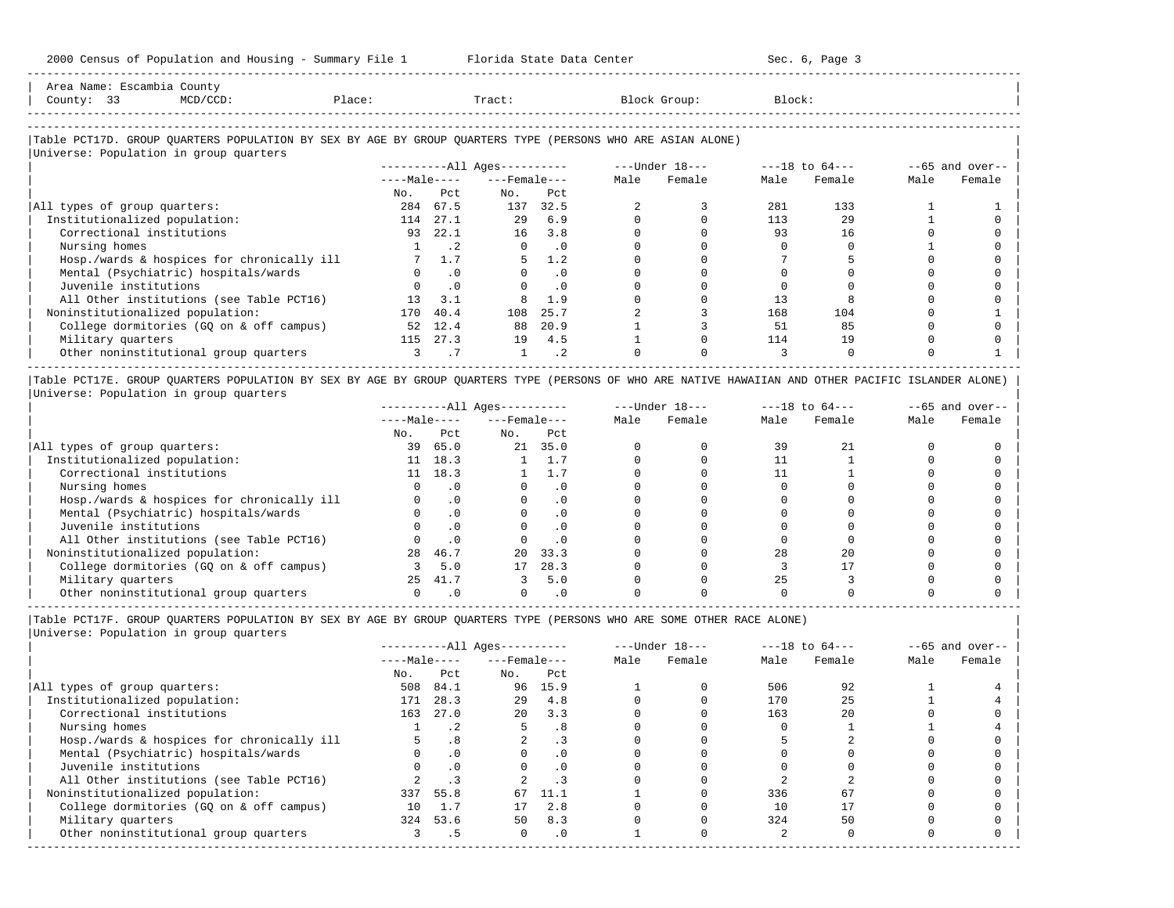| Area Name: | Escambia County |        |       |              |                                |
|------------|-----------------|--------|-------|--------------|--------------------------------|
| County:    | $\sim$<br>33    | Place: | Tract | Block Group: | Block:<br>$\sim$ $\sim$ $\sim$ |
|            |                 |        |       |              |                                |
|            |                 |        |       |              |                                |

-----------------------------------------------------------------------------------------------------------------------------------------------------

### |Table PCT17D. GROUP QUARTERS POPULATION BY SEX BY AGE BY GROUP QUARTERS TYPE (PERSONS WHO ARE ASIAN ALONE) |

|                                            |              |           | $------All Ages------$ |           | $---Under 18---$ |        | $---18$ to $64---$ |        |      | $--65$ and over-- |
|--------------------------------------------|--------------|-----------|------------------------|-----------|------------------|--------|--------------------|--------|------|-------------------|
|                                            | $---Male---$ |           | $---$ Female $---$     |           | Male             | Female | Male               | Female | Male | Female            |
|                                            | No.          | Pct.      | No.                    | Pct       |                  |        |                    |        |      |                   |
| All types of group quarters:               | 284          | 67.5      | 137                    | 32.5      |                  |        | 281                | 133    |      |                   |
| Institutionalized population:              | 114          | 27.1      | 29                     | 6.9       |                  |        | 113                | 29     |      |                   |
| Correctional institutions                  | 93           | 22.1      | 16                     | 3.8       |                  |        | 93                 | 16     |      |                   |
| Nursing homes                              |              | . 2       |                        | . 0       |                  |        |                    |        |      |                   |
| Hosp./wards & hospices for chronically ill |              | 1.7       | 5                      | 1.2       |                  |        |                    |        |      |                   |
| Mental (Psychiatric) hospitals/wards       |              | $\cdot$ 0 |                        | $\cdot$ 0 |                  |        |                    |        |      |                   |
| Juvenile institutions                      |              | $\cdot$ 0 |                        | $\cdot$ 0 |                  |        |                    |        |      |                   |
| All Other institutions (see Table PCT16)   | 13           | 3.1       |                        | 1.9       |                  |        |                    |        |      |                   |
| Noninstitutionalized population:           | 170          | 40.4      | 108                    | 25.7      |                  |        | 168                | 104    |      |                   |
| College dormitories (GQ on & off campus)   | 52           | 12.4      | 88                     | 20.9      |                  |        | 51                 | 85     |      |                   |
| Military quarters                          | 115          | 27.3      | 19                     | 4.5       |                  |        | 114                | 19     |      |                   |
| Other noninstitutional group quarters      |              |           |                        | $\cdot$ 2 |                  |        |                    |        |      |                   |

|Table PCT17E. GROUP QUARTERS POPULATION BY SEX BY AGE BY GROUP QUARTERS TYPE (PERSONS OF WHO ARE NATIVE HAWAIIAN AND OTHER PACIFIC ISLANDER ALONE) | |Universe: Population in group quarters |

|                                            |              |         | $------All Ages------$ |           |      | $---Under 18---$ | $---18$ to $64---$ |        |      | $--65$ and over-- |
|--------------------------------------------|--------------|---------|------------------------|-----------|------|------------------|--------------------|--------|------|-------------------|
|                                            | $---Male---$ |         | $---$ Female $---$     |           | Male | Female           | Male               | Female | Male | Female            |
|                                            | No.          | Pct     | No.                    | Pct       |      |                  |                    |        |      |                   |
| All types of group quarters:               | 39           | 65.0    | 21                     | 35.0      |      |                  | 39                 | 2.1    |      |                   |
| Institutionalized population:              | 11           | 18.3    |                        | 1.7       |      |                  |                    |        |      |                   |
| Correctional institutions                  |              | 11 18.3 |                        |           |      |                  |                    |        |      |                   |
| Nursing homes                              |              |         |                        | . 0       |      |                  |                    |        |      |                   |
| Hosp./wards & hospices for chronically ill |              | . 0     |                        | . 0       |      |                  |                    |        |      |                   |
| Mental (Psychiatric) hospitals/wards       |              |         |                        | . 0       |      |                  |                    |        |      |                   |
| Juvenile institutions                      |              |         |                        | . 0       |      |                  |                    |        |      |                   |
| All Other institutions (see Table PCT16)   |              |         |                        | $\cdot$ 0 |      |                  |                    |        |      |                   |
| Noninstitutionalized population:           | 28           | 46.7    | 20                     | 33.3      |      |                  | 28                 | 2.0    |      |                   |
| College dormitories (GQ on & off campus)   |              | 5.0     |                        | 28.3      |      |                  |                    |        |      |                   |
| Military quarters                          | 2.5          | 41.7    |                        | 5.0       |      |                  | 25                 |        |      |                   |
| Other noninstitutional group quarters      |              |         |                        | $\cdot$ 0 |      |                  |                    |        |      |                   |

-----------------------------------------------------------------------------------------------------------------------------------------------------

|Table PCT17F. GROUP QUARTERS POPULATION BY SEX BY AGE BY GROUP QUARTERS TYPE (PERSONS WHO ARE SOME OTHER RACE ALONE) |

|                                            |              |                 | $------All Ages------$ |           | $---Under 18---$ |        | $---18$ to $64---$ |        |      | $--65$ and over-- |
|--------------------------------------------|--------------|-----------------|------------------------|-----------|------------------|--------|--------------------|--------|------|-------------------|
|                                            | $---Male---$ |                 | $---$ Female $---$     |           | Male             | Female | Male               | Female | Male | Female            |
|                                            | No.          | Pct             | No.                    | Pct       |                  |        |                    |        |      |                   |
| All types of group quarters:               | 508          | 84.1            |                        | 96 15.9   |                  |        | 506                | 92     |      |                   |
| Institutionalized population:              | 171          | 28.3            | 29                     | 4.8       |                  |        | 170                | 25     |      |                   |
| Correctional institutions                  | 163          | 27.0            | 20                     | 3.3       |                  |        | 163                | 20     |      |                   |
| Nursing homes                              |              | .2 <sub>2</sub> | 5.                     | .8        |                  |        |                    |        |      |                   |
| Hosp./wards & hospices for chronically ill |              | .8              |                        |           |                  |        |                    |        |      |                   |
| Mental (Psychiatric) hospitals/wards       |              | $\cdot$ 0       |                        | $\cdot$ 0 |                  |        |                    |        |      |                   |
| Juvenile institutions                      |              | .0              | O                      | $\cdot$ 0 |                  |        |                    |        |      |                   |
| All Other institutions (see Table PCT16)   |              |                 |                        |           |                  |        |                    |        |      |                   |
| Noninstitutionalized population:           |              | 337 55.8        | 67                     | 11.1      |                  |        | 336                | 67     |      |                   |
| College dormitories (GQ on & off campus)   | 10           |                 | 17                     | 2.8       |                  |        | 10                 |        |      |                   |
| Military quarters                          |              | 324 53.6        | 50                     | 8.3       |                  |        | 324                | 50     |      |                   |
| Other noninstitutional group quarters      |              | . 5             | $\Omega$               | $\cdot$ 0 |                  |        |                    |        |      |                   |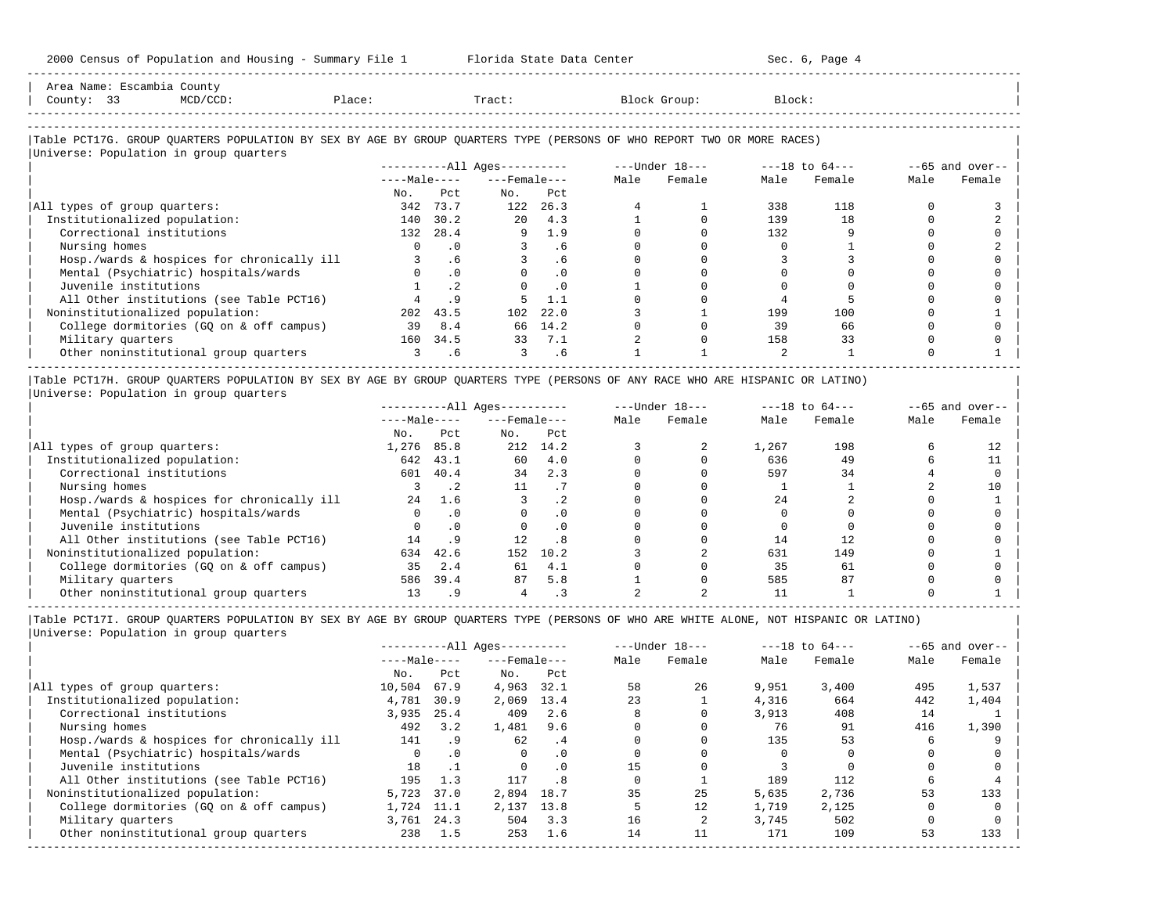| 2000 Census of Population and Housing - Summary File 1 Florida State Data Center<br>--------------------------                |                                            |               |                              |               |                |                                     | Sec. 6, Page 4 |                                                                 |              |                  |
|-------------------------------------------------------------------------------------------------------------------------------|--------------------------------------------|---------------|------------------------------|---------------|----------------|-------------------------------------|----------------|-----------------------------------------------------------------|--------------|------------------|
| Area Name: Escambia County<br>County: 33                                                                                      |                                            |               |                              |               |                |                                     |                |                                                                 |              |                  |
|                                                                                                                               |                                            |               |                              |               |                |                                     |                |                                                                 |              |                  |
| Table PCT17G. GROUP QUARTERS POPULATION BY SEX BY AGE BY GROUP QUARTERS TYPE (PERSONS OF WHO REPORT TWO OR MORE RACES)        |                                            |               |                              |               |                |                                     |                |                                                                 |              |                  |
| Universe: Population in group quarters                                                                                        |                                            |               |                              |               |                |                                     |                |                                                                 |              |                  |
|                                                                                                                               |                                            |               |                              |               |                |                                     |                | ----------All Ages---------- - ----Under $18--$ ---18 to $64--$ |              | $-65$ and over-- |
|                                                                                                                               |                                            |               | $---Male-- ---Female$        |               | Male           | Female                              | Male           | Female                                                          | Male         | Female           |
|                                                                                                                               | No.                                        | Pct           | No.                          | Pct           |                |                                     |                |                                                                 |              |                  |
| All types of group quarters:                                                                                                  |                                            | 342 73.7      | 122 26.3                     |               | 4              |                                     | 338            | 118                                                             | $\Omega$     | 3                |
| Institutionalized population:                                                                                                 |                                            | 140 30.2      |                              | 20 4.3        |                | $\Omega$                            | 139            | 18                                                              | $\Omega$     |                  |
| Correctional institutions                                                                                                     |                                            | 132 28.4      | $9 \t 1.9$                   |               | $\Omega$       | $\Omega$                            | 132            | 9                                                               | $\Omega$     |                  |
| Nursing homes                                                                                                                 |                                            | $0 \qquad .0$ |                              | $3 \cdot .6$  | $\Omega$       | $\Omega$                            | $\bigcirc$     | $\mathbf{1}$                                                    | $\Omega$     |                  |
| Hosp./wards & hospices for chronically ill                                                                                    |                                            | $3 \cdot .6$  |                              | $3 \cdot 6$   |                |                                     | -3             | ζ                                                               |              |                  |
| Mental (Psychiatric) hospitals/wards                                                                                          |                                            | $0 \qquad .0$ |                              | $0 \qquad 0$  |                | $\Omega$                            | $\Omega$       | $\Omega$                                                        | $\cap$       |                  |
| Juvenile institutions                                                                                                         |                                            | $1 \quad .2$  |                              | $0 \qquad .0$ |                | $\Omega$                            | $\Omega$       | $\Omega$                                                        | $\Omega$     |                  |
| All Other institutions (see Table PCT16)                                                                                      |                                            | $4 \qquad 9$  | 5                            | 1.1           | $\Omega$       | $\Omega$                            | $\overline{4}$ |                                                                 | $\Omega$     |                  |
| Noninstitutionalized population:                                                                                              |                                            | 202 43.5      |                              | 102 22.0      | $\mathbf{3}$   | 1                                   | 199            | 100                                                             | $\Omega$     |                  |
| College dormitories (GO on & off campus)                                                                                      | 39 8.4                                     |               |                              | 66 14.2       | $\Omega$       | $\Omega$                            | 39             | 66                                                              | $\Omega$     | $\cap$           |
| Military quarters                                                                                                             |                                            | 160 34.5      |                              | 33 7.1        | $\overline{a}$ | $\Omega$                            | 158            | 33                                                              | $\Omega$     |                  |
| 0ther noninstitutional group quarters 3 5.6                                                                                   |                                            |               | $3 \t 6$                     |               |                |                                     | $\overline{2}$ | $\overline{1}$                                                  | $\Omega$     |                  |
| Table PCT17H. GROUP QUARTERS POPULATION BY SEX BY AGE BY GROUP QUARTERS TYPE (PERSONS OF ANY RACE WHO ARE HISPANIC OR LATINO) |                                            |               |                              |               |                |                                     |                |                                                                 |              |                  |
| Universe: Population in group quarters                                                                                        |                                            |               |                              |               |                |                                     |                |                                                                 |              |                  |
|                                                                                                                               |                                            |               | ----------All Ages---------- |               |                | $---$ Under $18-- ---18$ to $64---$ |                |                                                                 |              | $-65$ and over-- |
|                                                                                                                               |                                            |               | $---Male-- ---Female$        |               | Male           | Female                              | Male           | Female                                                          | Male         | Female           |
|                                                                                                                               | No.                                        | Pct           | $NQ$ .                       | Pct           |                |                                     |                |                                                                 |              |                  |
| All types of group quarters:                                                                                                  | 1,276 85.8                                 |               | 212 14.2                     |               | 3              | 2                                   | 1,267          | 198                                                             | 6            | 12               |
| Institutionalized population:                                                                                                 |                                            | 642 43.1      | 60 4.0                       |               | $\Omega$       | $\Omega$                            | 636            | 49                                                              | 6            | 11               |
| Correctional institutions                                                                                                     |                                            | 601 40.4      | $34$ 2.3                     |               | $\Omega$       | $\Omega$                            | 597            | 34                                                              |              | $\Omega$         |
| Nursing homes                                                                                                                 |                                            | $3 \cdot 2$   | 11 .7                        |               |                | $\Omega$                            | $\frac{1}{2}$  | $\mathbf{1}$                                                    |              | 10               |
| Hosp./wards & hospices for chronically ill $24$ 1.6                                                                           |                                            |               | $\sim$ 3                     | $\cdot$ 2     | $\Omega$       | $\Omega$                            | 24             | $\mathfrak{D}$                                                  | <sup>n</sup> |                  |
| Mental (Psychiatric) hospitals/wards                                                                                          | $\begin{array}{ccc} & & & 0 & \end{array}$ |               | $\overline{a}$               |               |                | $\cap$                              | $\cap$         | $\cap$                                                          |              |                  |

| MAT STILA ILAMO                            |     | . .        |     |      |  |     |     | ∸∽ |
|--------------------------------------------|-----|------------|-----|------|--|-----|-----|----|
| Hosp./wards & hospices for chronically ill |     | $\perp$ .6 |     |      |  |     |     |    |
| Mental (Psychiatric) hospitals/wards       |     |            |     |      |  |     |     |    |
| Juvenile institutions                      |     |            |     |      |  |     |     |    |
| All Other institutions (see Table PCT16)   |     |            |     |      |  |     |     |    |
| Noninstitutionalized population:           | 634 | 42.6       | 152 | 10.2 |  | 631 | 149 |    |
| College dormitories (GQ on & off campus)   | 35. | 2.4        |     | -4.1 |  | 35  | 61  |    |
| Military quarters                          | 586 | 39.4       |     | 5.8  |  | 585 | 87  |    |
| Other noninstitutional group quarters      |     |            |     |      |  |     |     |    |

----------------------------------------------------------------------------------------------------------------------------------------------------- |Table PCT17I. GROUP QUARTERS POPULATION BY SEX BY AGE BY GROUP QUARTERS TYPE (PERSONS OF WHO ARE WHITE ALONE, NOT HISPANIC OR LATINO) |

|                                            |              |           | $------All Aqes------$ |           |      | $---Under 18---$ | $---18$ to $64---$ |        |      | $--65$ and over-- |
|--------------------------------------------|--------------|-----------|------------------------|-----------|------|------------------|--------------------|--------|------|-------------------|
|                                            | $---Male---$ |           | $---$ Female $---$     |           | Male | Female           | Male               | Female | Male | Female            |
|                                            | No.          | Pct       | No.                    | Pct       |      |                  |                    |        |      |                   |
| All types of group quarters:               | 10,504       | 67.9      | 4,963                  | 32.1      | 58   | 26               | 9,951              | 3,400  | 495  | 1,537             |
| Institutionalized population:              | 4,781        | 30.9      | 2,069                  | 13.4      | 23   |                  | 4,316              | 664    | 442  | 1,404             |
| Correctional institutions                  | 3,935        | 25.4      | 409                    | 2.6       |      |                  | 3,913              | 408    | 14   |                   |
| Nursing homes                              | 492          | 3.2       | 1,481                  | 9.6       |      |                  | 76                 | 91     | 416  | 1,390             |
| Hosp./wards & hospices for chronically ill | 141          | . 9       | 62                     | .4        |      |                  | 135                | 53     |      |                   |
| Mental (Psychiatric) hospitals/wards       | $\Omega$     | $\cdot$ 0 | 0                      | $\cdot$ 0 |      |                  |                    |        |      |                   |
| Juvenile institutions                      | 18           |           | $\Omega$               | $\cdot$ 0 | 15   |                  |                    |        |      |                   |
| All Other institutions (see Table PCT16)   | 195          | 1.3       | 117                    | .8        |      |                  | 189                | 112    |      |                   |
| Noninstitutionalized population:           | 5,723        | 37.0      | 2,894                  | 18.7      | 35   | 25               | 5,635              | 2,736  | 53   | 133               |
| College dormitories (GO on & off campus)   | 1,724        | 11.1      | 2,137                  | 13.8      |      | 12               | 1,719              | 2,125  |      |                   |
| Military quarters                          | 3,761 24.3   |           | 504                    | 3.3       | 16   |                  | 3,745              | 502    |      |                   |
| Other noninstitutional group quarters      | 238          | 1.5       | 253                    | 1.6       | 14   |                  | 171                | 109    | 53   | 133               |
|                                            |              |           |                        |           |      |                  |                    |        |      |                   |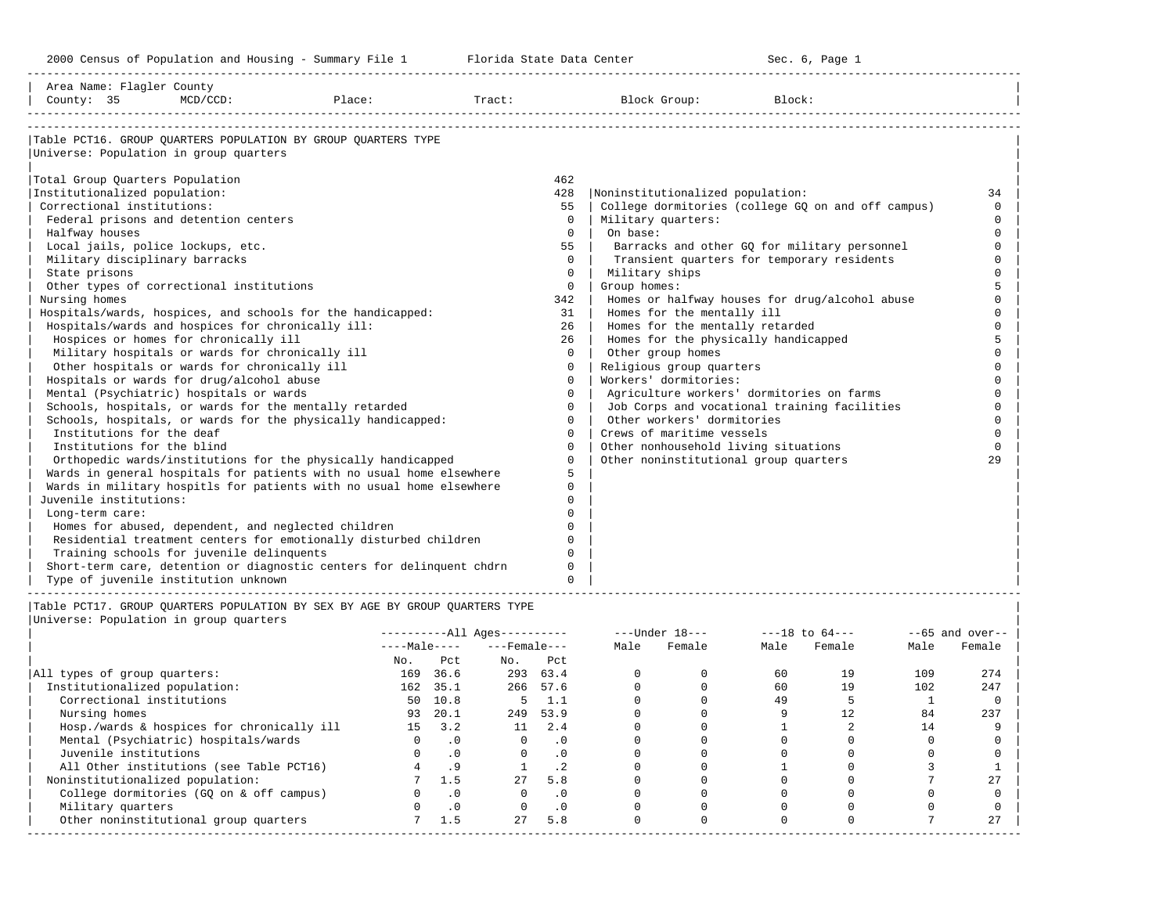-----------------------------------------------------------------------------------------------------------------------------------------------------

| Tract:<br>Table PCT16. GROUP OUARTERS POPULATION BY GROUP OUARTERS TYPE<br>Universe: Population in group quarters<br>Total Group Quarters Population<br>462<br>Institutionalized population:<br>428<br>Noninstitutionalized population:<br>34<br>Correctional institutions:<br>College dormitories (college GO on and off campus)<br>55<br>$\Omega$<br>Federal prisons and detention centers<br>$\Omega$<br>Military quarters:<br>$\Omega$<br>On base:<br>$\Omega$<br>Halfway houses<br>$\Omega$<br>Local jails, police lockups, etc.<br>55<br>Barracks and other GQ for military personnel<br>$\Omega$<br>Transient quarters for temporary residents<br>Military disciplinary barracks<br>$\Omega$<br>$\Omega$<br>State prisons<br>Military ships<br>$\Omega$<br>Other types of correctional institutions<br>Group homes:<br>$\Omega$<br>Nursing homes<br>Homes or halfway houses for drug/alcohol abuse<br>342<br>Hospitals/wards, hospices, and schools for the handicapped:<br>Homes for the mentally ill<br>31<br>Hospitals/wards and hospices for chronically ill:<br>26<br>Homes for the mentally retarded<br>Hospices or homes for chronically ill<br>26<br>Homes for the physically handicapped<br>Military hospitals or wards for chronically ill<br>Other group homes<br>$\Omega$<br>Religious group quarters<br>Other hospitals or wards for chronically ill<br>$\Omega$<br>Workers' dormitories:<br>Hospitals or wards for drug/alcohol abuse<br>$\Omega$<br>Mental (Psychiatric) hospitals or wards<br>Agriculture workers' dormitories on farms<br>$\Omega$<br>$\cap$<br>Schools, hospitals, or wards for the mentally retarded<br>Job Corps and vocational training facilities<br>$\Omega$<br>Other workers' dormitories<br>Schools, hospitals, or wards for the physically handicapped:<br>$\Omega$<br>Institutions for the deaf<br>Crews of maritime vessels<br>$\Omega$<br>$\cap$<br>Institutions for the blind<br>Other nonhousehold living situations<br>$\Omega$<br>$\cap$<br>Other noninstitutional group quarters<br>Orthopedic wards/institutions for the physically handicapped<br>29<br>$\Omega$<br>Wards in general hospitals for patients with no usual home elsewhere<br>5<br>Wards in military hospitls for patients with no usual home elsewhere<br>$\Omega$<br>Juvenile institutions:<br>Long-term care:<br>Homes for abused, dependent, and neglected children<br>$\cap$<br>Residential treatment centers for emotionally disturbed children<br>$\cap$<br>Training schools for juvenile delinquents<br>$\cap$<br>Short-term care, detention or diagnostic centers for delinquent chdrn<br>$\Omega$<br>Type of juvenile institution unknown<br>$\Omega$ | Area Name: Flagler County |             |        |              |        |  |
|------------------------------------------------------------------------------------------------------------------------------------------------------------------------------------------------------------------------------------------------------------------------------------------------------------------------------------------------------------------------------------------------------------------------------------------------------------------------------------------------------------------------------------------------------------------------------------------------------------------------------------------------------------------------------------------------------------------------------------------------------------------------------------------------------------------------------------------------------------------------------------------------------------------------------------------------------------------------------------------------------------------------------------------------------------------------------------------------------------------------------------------------------------------------------------------------------------------------------------------------------------------------------------------------------------------------------------------------------------------------------------------------------------------------------------------------------------------------------------------------------------------------------------------------------------------------------------------------------------------------------------------------------------------------------------------------------------------------------------------------------------------------------------------------------------------------------------------------------------------------------------------------------------------------------------------------------------------------------------------------------------------------------------------------------------------------------------------------------------------------------------------------------------------------------------------------------------------------------------------------------------------------------------------------------------------------------------------------------------------------------------------------------------------------------------------------------------------------------------------------------------------------------------------------------------------------------------------------------------------------------------------------------------------------------------------|---------------------------|-------------|--------|--------------|--------|--|
|                                                                                                                                                                                                                                                                                                                                                                                                                                                                                                                                                                                                                                                                                                                                                                                                                                                                                                                                                                                                                                                                                                                                                                                                                                                                                                                                                                                                                                                                                                                                                                                                                                                                                                                                                                                                                                                                                                                                                                                                                                                                                                                                                                                                                                                                                                                                                                                                                                                                                                                                                                                                                                                                                          | County: 35                | $MCD/CCD$ : | Place: | Block Group: | Block: |  |
|                                                                                                                                                                                                                                                                                                                                                                                                                                                                                                                                                                                                                                                                                                                                                                                                                                                                                                                                                                                                                                                                                                                                                                                                                                                                                                                                                                                                                                                                                                                                                                                                                                                                                                                                                                                                                                                                                                                                                                                                                                                                                                                                                                                                                                                                                                                                                                                                                                                                                                                                                                                                                                                                                          |                           |             |        |              |        |  |
|                                                                                                                                                                                                                                                                                                                                                                                                                                                                                                                                                                                                                                                                                                                                                                                                                                                                                                                                                                                                                                                                                                                                                                                                                                                                                                                                                                                                                                                                                                                                                                                                                                                                                                                                                                                                                                                                                                                                                                                                                                                                                                                                                                                                                                                                                                                                                                                                                                                                                                                                                                                                                                                                                          |                           |             |        |              |        |  |
|                                                                                                                                                                                                                                                                                                                                                                                                                                                                                                                                                                                                                                                                                                                                                                                                                                                                                                                                                                                                                                                                                                                                                                                                                                                                                                                                                                                                                                                                                                                                                                                                                                                                                                                                                                                                                                                                                                                                                                                                                                                                                                                                                                                                                                                                                                                                                                                                                                                                                                                                                                                                                                                                                          |                           |             |        |              |        |  |
|                                                                                                                                                                                                                                                                                                                                                                                                                                                                                                                                                                                                                                                                                                                                                                                                                                                                                                                                                                                                                                                                                                                                                                                                                                                                                                                                                                                                                                                                                                                                                                                                                                                                                                                                                                                                                                                                                                                                                                                                                                                                                                                                                                                                                                                                                                                                                                                                                                                                                                                                                                                                                                                                                          |                           |             |        |              |        |  |
|                                                                                                                                                                                                                                                                                                                                                                                                                                                                                                                                                                                                                                                                                                                                                                                                                                                                                                                                                                                                                                                                                                                                                                                                                                                                                                                                                                                                                                                                                                                                                                                                                                                                                                                                                                                                                                                                                                                                                                                                                                                                                                                                                                                                                                                                                                                                                                                                                                                                                                                                                                                                                                                                                          |                           |             |        |              |        |  |
|                                                                                                                                                                                                                                                                                                                                                                                                                                                                                                                                                                                                                                                                                                                                                                                                                                                                                                                                                                                                                                                                                                                                                                                                                                                                                                                                                                                                                                                                                                                                                                                                                                                                                                                                                                                                                                                                                                                                                                                                                                                                                                                                                                                                                                                                                                                                                                                                                                                                                                                                                                                                                                                                                          |                           |             |        |              |        |  |
|                                                                                                                                                                                                                                                                                                                                                                                                                                                                                                                                                                                                                                                                                                                                                                                                                                                                                                                                                                                                                                                                                                                                                                                                                                                                                                                                                                                                                                                                                                                                                                                                                                                                                                                                                                                                                                                                                                                                                                                                                                                                                                                                                                                                                                                                                                                                                                                                                                                                                                                                                                                                                                                                                          |                           |             |        |              |        |  |
|                                                                                                                                                                                                                                                                                                                                                                                                                                                                                                                                                                                                                                                                                                                                                                                                                                                                                                                                                                                                                                                                                                                                                                                                                                                                                                                                                                                                                                                                                                                                                                                                                                                                                                                                                                                                                                                                                                                                                                                                                                                                                                                                                                                                                                                                                                                                                                                                                                                                                                                                                                                                                                                                                          |                           |             |        |              |        |  |
|                                                                                                                                                                                                                                                                                                                                                                                                                                                                                                                                                                                                                                                                                                                                                                                                                                                                                                                                                                                                                                                                                                                                                                                                                                                                                                                                                                                                                                                                                                                                                                                                                                                                                                                                                                                                                                                                                                                                                                                                                                                                                                                                                                                                                                                                                                                                                                                                                                                                                                                                                                                                                                                                                          |                           |             |        |              |        |  |
|                                                                                                                                                                                                                                                                                                                                                                                                                                                                                                                                                                                                                                                                                                                                                                                                                                                                                                                                                                                                                                                                                                                                                                                                                                                                                                                                                                                                                                                                                                                                                                                                                                                                                                                                                                                                                                                                                                                                                                                                                                                                                                                                                                                                                                                                                                                                                                                                                                                                                                                                                                                                                                                                                          |                           |             |        |              |        |  |
|                                                                                                                                                                                                                                                                                                                                                                                                                                                                                                                                                                                                                                                                                                                                                                                                                                                                                                                                                                                                                                                                                                                                                                                                                                                                                                                                                                                                                                                                                                                                                                                                                                                                                                                                                                                                                                                                                                                                                                                                                                                                                                                                                                                                                                                                                                                                                                                                                                                                                                                                                                                                                                                                                          |                           |             |        |              |        |  |
|                                                                                                                                                                                                                                                                                                                                                                                                                                                                                                                                                                                                                                                                                                                                                                                                                                                                                                                                                                                                                                                                                                                                                                                                                                                                                                                                                                                                                                                                                                                                                                                                                                                                                                                                                                                                                                                                                                                                                                                                                                                                                                                                                                                                                                                                                                                                                                                                                                                                                                                                                                                                                                                                                          |                           |             |        |              |        |  |
|                                                                                                                                                                                                                                                                                                                                                                                                                                                                                                                                                                                                                                                                                                                                                                                                                                                                                                                                                                                                                                                                                                                                                                                                                                                                                                                                                                                                                                                                                                                                                                                                                                                                                                                                                                                                                                                                                                                                                                                                                                                                                                                                                                                                                                                                                                                                                                                                                                                                                                                                                                                                                                                                                          |                           |             |        |              |        |  |
|                                                                                                                                                                                                                                                                                                                                                                                                                                                                                                                                                                                                                                                                                                                                                                                                                                                                                                                                                                                                                                                                                                                                                                                                                                                                                                                                                                                                                                                                                                                                                                                                                                                                                                                                                                                                                                                                                                                                                                                                                                                                                                                                                                                                                                                                                                                                                                                                                                                                                                                                                                                                                                                                                          |                           |             |        |              |        |  |
|                                                                                                                                                                                                                                                                                                                                                                                                                                                                                                                                                                                                                                                                                                                                                                                                                                                                                                                                                                                                                                                                                                                                                                                                                                                                                                                                                                                                                                                                                                                                                                                                                                                                                                                                                                                                                                                                                                                                                                                                                                                                                                                                                                                                                                                                                                                                                                                                                                                                                                                                                                                                                                                                                          |                           |             |        |              |        |  |
|                                                                                                                                                                                                                                                                                                                                                                                                                                                                                                                                                                                                                                                                                                                                                                                                                                                                                                                                                                                                                                                                                                                                                                                                                                                                                                                                                                                                                                                                                                                                                                                                                                                                                                                                                                                                                                                                                                                                                                                                                                                                                                                                                                                                                                                                                                                                                                                                                                                                                                                                                                                                                                                                                          |                           |             |        |              |        |  |
|                                                                                                                                                                                                                                                                                                                                                                                                                                                                                                                                                                                                                                                                                                                                                                                                                                                                                                                                                                                                                                                                                                                                                                                                                                                                                                                                                                                                                                                                                                                                                                                                                                                                                                                                                                                                                                                                                                                                                                                                                                                                                                                                                                                                                                                                                                                                                                                                                                                                                                                                                                                                                                                                                          |                           |             |        |              |        |  |
|                                                                                                                                                                                                                                                                                                                                                                                                                                                                                                                                                                                                                                                                                                                                                                                                                                                                                                                                                                                                                                                                                                                                                                                                                                                                                                                                                                                                                                                                                                                                                                                                                                                                                                                                                                                                                                                                                                                                                                                                                                                                                                                                                                                                                                                                                                                                                                                                                                                                                                                                                                                                                                                                                          |                           |             |        |              |        |  |
|                                                                                                                                                                                                                                                                                                                                                                                                                                                                                                                                                                                                                                                                                                                                                                                                                                                                                                                                                                                                                                                                                                                                                                                                                                                                                                                                                                                                                                                                                                                                                                                                                                                                                                                                                                                                                                                                                                                                                                                                                                                                                                                                                                                                                                                                                                                                                                                                                                                                                                                                                                                                                                                                                          |                           |             |        |              |        |  |
|                                                                                                                                                                                                                                                                                                                                                                                                                                                                                                                                                                                                                                                                                                                                                                                                                                                                                                                                                                                                                                                                                                                                                                                                                                                                                                                                                                                                                                                                                                                                                                                                                                                                                                                                                                                                                                                                                                                                                                                                                                                                                                                                                                                                                                                                                                                                                                                                                                                                                                                                                                                                                                                                                          |                           |             |        |              |        |  |
|                                                                                                                                                                                                                                                                                                                                                                                                                                                                                                                                                                                                                                                                                                                                                                                                                                                                                                                                                                                                                                                                                                                                                                                                                                                                                                                                                                                                                                                                                                                                                                                                                                                                                                                                                                                                                                                                                                                                                                                                                                                                                                                                                                                                                                                                                                                                                                                                                                                                                                                                                                                                                                                                                          |                           |             |        |              |        |  |
|                                                                                                                                                                                                                                                                                                                                                                                                                                                                                                                                                                                                                                                                                                                                                                                                                                                                                                                                                                                                                                                                                                                                                                                                                                                                                                                                                                                                                                                                                                                                                                                                                                                                                                                                                                                                                                                                                                                                                                                                                                                                                                                                                                                                                                                                                                                                                                                                                                                                                                                                                                                                                                                                                          |                           |             |        |              |        |  |
|                                                                                                                                                                                                                                                                                                                                                                                                                                                                                                                                                                                                                                                                                                                                                                                                                                                                                                                                                                                                                                                                                                                                                                                                                                                                                                                                                                                                                                                                                                                                                                                                                                                                                                                                                                                                                                                                                                                                                                                                                                                                                                                                                                                                                                                                                                                                                                                                                                                                                                                                                                                                                                                                                          |                           |             |        |              |        |  |
|                                                                                                                                                                                                                                                                                                                                                                                                                                                                                                                                                                                                                                                                                                                                                                                                                                                                                                                                                                                                                                                                                                                                                                                                                                                                                                                                                                                                                                                                                                                                                                                                                                                                                                                                                                                                                                                                                                                                                                                                                                                                                                                                                                                                                                                                                                                                                                                                                                                                                                                                                                                                                                                                                          |                           |             |        |              |        |  |
|                                                                                                                                                                                                                                                                                                                                                                                                                                                                                                                                                                                                                                                                                                                                                                                                                                                                                                                                                                                                                                                                                                                                                                                                                                                                                                                                                                                                                                                                                                                                                                                                                                                                                                                                                                                                                                                                                                                                                                                                                                                                                                                                                                                                                                                                                                                                                                                                                                                                                                                                                                                                                                                                                          |                           |             |        |              |        |  |
|                                                                                                                                                                                                                                                                                                                                                                                                                                                                                                                                                                                                                                                                                                                                                                                                                                                                                                                                                                                                                                                                                                                                                                                                                                                                                                                                                                                                                                                                                                                                                                                                                                                                                                                                                                                                                                                                                                                                                                                                                                                                                                                                                                                                                                                                                                                                                                                                                                                                                                                                                                                                                                                                                          |                           |             |        |              |        |  |
|                                                                                                                                                                                                                                                                                                                                                                                                                                                                                                                                                                                                                                                                                                                                                                                                                                                                                                                                                                                                                                                                                                                                                                                                                                                                                                                                                                                                                                                                                                                                                                                                                                                                                                                                                                                                                                                                                                                                                                                                                                                                                                                                                                                                                                                                                                                                                                                                                                                                                                                                                                                                                                                                                          |                           |             |        |              |        |  |
|                                                                                                                                                                                                                                                                                                                                                                                                                                                                                                                                                                                                                                                                                                                                                                                                                                                                                                                                                                                                                                                                                                                                                                                                                                                                                                                                                                                                                                                                                                                                                                                                                                                                                                                                                                                                                                                                                                                                                                                                                                                                                                                                                                                                                                                                                                                                                                                                                                                                                                                                                                                                                                                                                          |                           |             |        |              |        |  |
|                                                                                                                                                                                                                                                                                                                                                                                                                                                                                                                                                                                                                                                                                                                                                                                                                                                                                                                                                                                                                                                                                                                                                                                                                                                                                                                                                                                                                                                                                                                                                                                                                                                                                                                                                                                                                                                                                                                                                                                                                                                                                                                                                                                                                                                                                                                                                                                                                                                                                                                                                                                                                                                                                          |                           |             |        |              |        |  |
|                                                                                                                                                                                                                                                                                                                                                                                                                                                                                                                                                                                                                                                                                                                                                                                                                                                                                                                                                                                                                                                                                                                                                                                                                                                                                                                                                                                                                                                                                                                                                                                                                                                                                                                                                                                                                                                                                                                                                                                                                                                                                                                                                                                                                                                                                                                                                                                                                                                                                                                                                                                                                                                                                          |                           |             |        |              |        |  |
|                                                                                                                                                                                                                                                                                                                                                                                                                                                                                                                                                                                                                                                                                                                                                                                                                                                                                                                                                                                                                                                                                                                                                                                                                                                                                                                                                                                                                                                                                                                                                                                                                                                                                                                                                                                                                                                                                                                                                                                                                                                                                                                                                                                                                                                                                                                                                                                                                                                                                                                                                                                                                                                                                          |                           |             |        |              |        |  |
|                                                                                                                                                                                                                                                                                                                                                                                                                                                                                                                                                                                                                                                                                                                                                                                                                                                                                                                                                                                                                                                                                                                                                                                                                                                                                                                                                                                                                                                                                                                                                                                                                                                                                                                                                                                                                                                                                                                                                                                                                                                                                                                                                                                                                                                                                                                                                                                                                                                                                                                                                                                                                                                                                          |                           |             |        |              |        |  |
|                                                                                                                                                                                                                                                                                                                                                                                                                                                                                                                                                                                                                                                                                                                                                                                                                                                                                                                                                                                                                                                                                                                                                                                                                                                                                                                                                                                                                                                                                                                                                                                                                                                                                                                                                                                                                                                                                                                                                                                                                                                                                                                                                                                                                                                                                                                                                                                                                                                                                                                                                                                                                                                                                          |                           |             |        |              |        |  |
|                                                                                                                                                                                                                                                                                                                                                                                                                                                                                                                                                                                                                                                                                                                                                                                                                                                                                                                                                                                                                                                                                                                                                                                                                                                                                                                                                                                                                                                                                                                                                                                                                                                                                                                                                                                                                                                                                                                                                                                                                                                                                                                                                                                                                                                                                                                                                                                                                                                                                                                                                                                                                                                                                          |                           |             |        |              |        |  |

|Table PCT17. GROUP QUARTERS POPULATION BY SEX BY AGE BY GROUP QUARTERS TYPE | |Universe: Population in group quarters |

|                                            |              | $------All Ages------$ |                    |           |      | $---Under 18---$ | $---18$ to $64---$ |        | $--65$ and over-- |        |
|--------------------------------------------|--------------|------------------------|--------------------|-----------|------|------------------|--------------------|--------|-------------------|--------|
|                                            | $---Male---$ |                        | $---$ Female $---$ |           | Male | Female           | Male               | Female | Male              | Female |
|                                            | No.          | Pct                    | No.                | Pct       |      |                  |                    |        |                   |        |
| All types of group quarters:               | 169          | 36.6                   | 293                | 63.4      |      |                  | 60                 | 19     | 109               | 274    |
| Institutionalized population:              | 162          | 35.1                   |                    | 266 57.6  |      |                  | 60                 | 19     | 102               | 247    |
| Correctional institutions                  | 50           | 10.8                   | 5.                 | 1.1       |      |                  | 49                 |        |                   |        |
| Nursing homes                              | 93           | 20.1                   | 249                | 53.9      |      |                  |                    |        | 84                | 237    |
| Hosp./wards & hospices for chronically ill | 15           | 3.2                    | 11                 | 2.4       |      |                  |                    |        | 14                |        |
| Mental (Psychiatric) hospitals/wards       | <sup>n</sup> | $\cdot$ 0              | $\Omega$           | $\cdot$ 0 |      |                  |                    |        |                   |        |
| Juvenile institutions                      |              |                        |                    | $\cdot$ 0 |      |                  |                    |        |                   |        |
| All Other institutions (see Table PCT16)   |              |                        |                    | $\cdot$ 2 |      |                  |                    |        |                   |        |
| Noninstitutionalized population:           |              | 1.5                    | 27                 | 5.8       |      |                  |                    |        |                   |        |
| College dormitories (GQ on & off campus)   |              | $\cdot$ 0              |                    | . 0       |      |                  |                    |        |                   |        |
| Military quarters                          |              | $\cdot$ 0              |                    | $\cdot$ 0 |      |                  |                    |        |                   |        |
| Other noninstitutional group quarters      |              | 1.5                    | 27                 | 5.8       |      |                  |                    |        |                   | 27     |
|                                            |              |                        |                    |           |      |                  |                    |        |                   |        |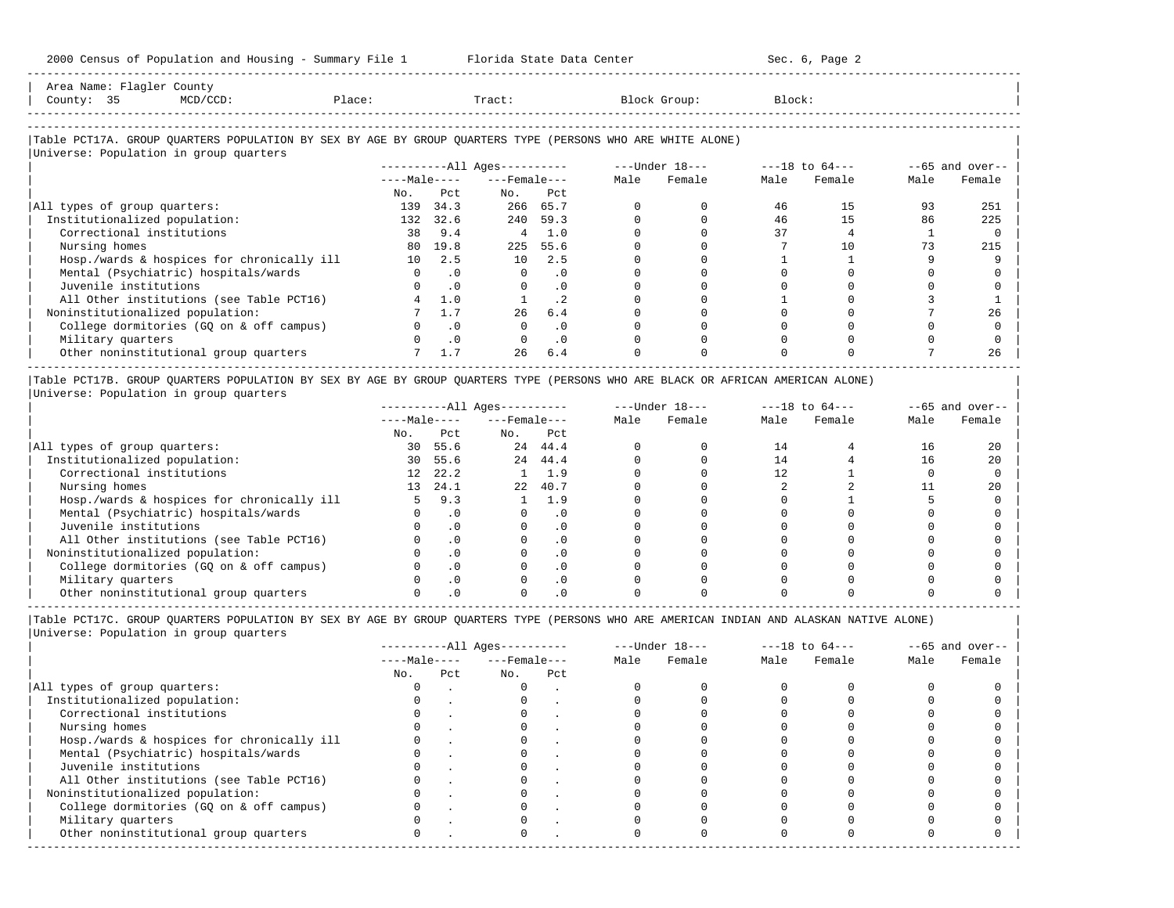| Aros<br>N⊺omo |                                 |  |  |  |
|---------------|---------------------------------|--|--|--|
| lount:        |                                 |  |  |  |
|               | ------------------------------- |  |  |  |

-----------------------------------------------------------------------------------------------------------------------------------------------------

#### |Table PCT17A. GROUP QUARTERS POPULATION BY SEX BY AGE BY GROUP QUARTERS TYPE (PERSONS WHO ARE WHITE ALONE) | |<br>|Universe: Population in group quarters

|                                            |              |           | ----------All Ages---------- |           | $---Under 18---$ |        | $---18$ to $64---$ |        |      | $--65$ and over-- |
|--------------------------------------------|--------------|-----------|------------------------------|-----------|------------------|--------|--------------------|--------|------|-------------------|
|                                            | $---Male---$ |           | $---$ Female $---$           |           | Male             | Female | Male               | Female | Male | Female            |
|                                            | No.          | Pct       | No.                          | Pct       |                  |        |                    |        |      |                   |
| All types of group quarters:               | 139          | 34.3      |                              | 266 65.7  |                  |        | 46                 | 15     | 93   | 251               |
| Institutionalized population:              | 132          | 32.6      | 240                          | 59.3      |                  |        | 46                 | 15     | 86   | 225               |
| Correctional institutions                  | 38           | 9.4       | 4                            | 1.0       |                  |        | 37                 |        |      |                   |
| Nursing homes                              | 80           | 19.8      |                              | 225 55.6  |                  |        |                    | 10     |      | 215               |
| Hosp./wards & hospices for chronically ill | 10           | 2.5       | 10                           | 2.5       |                  |        |                    |        |      |                   |
| Mental (Psychiatric) hospitals/wards       |              | . 0       | $\Omega$                     | . 0       |                  |        |                    |        |      |                   |
| Juvenile institutions                      |              | $\cdot$ 0 |                              | . 0       |                  |        |                    |        |      |                   |
| All Other institutions (see Table PCT16)   |              | 1.0       |                              | $\cdot$ 2 |                  |        |                    |        |      |                   |
| Noninstitutionalized population:           |              |           | 26                           | 6.4       |                  |        |                    |        |      | 26                |
| College dormitories (GO on & off campus)   |              | $\cdot$ 0 |                              | $\cdot$ 0 |                  |        |                    |        |      |                   |
| Military quarters                          |              | $\cdot$ 0 |                              | $\cdot$ 0 |                  |        |                    |        |      |                   |
| Other noninstitutional group quarters      |              | 1.7       | 26                           | 6.4       |                  |        |                    |        |      | 26                |

|Table PCT17B. GROUP QUARTERS POPULATION BY SEX BY AGE BY GROUP QUARTERS TYPE (PERSONS WHO ARE BLACK OR AFRICAN AMERICAN ALONE) | |Universe: Population in group quarters |

|                                            |                 |            | $------All Aqes------$ |           |      | $---Under 18---$ | $---18$ to $64---$ |        | $--65$ and over-- |        |
|--------------------------------------------|-----------------|------------|------------------------|-----------|------|------------------|--------------------|--------|-------------------|--------|
|                                            | $---Male---$    |            | $---$ Female $---$     |           | Male | Female           | Male               | Female | Male              | Female |
|                                            | No.             | Pct        | No.                    | Pct       |      |                  |                    |        |                   |        |
| All types of group quarters:               | 30              | 55.6       |                        | 24 44.4   |      |                  | 14                 |        | 16                | 20     |
| Institutionalized population:              | 30              | 55.6       | 2.4                    | 44.4      |      |                  | 14                 |        | 16                | 20     |
| Correctional institutions                  | 12              | 22.2       |                        | 1.9       |      |                  |                    |        |                   |        |
| Nursing homes                              | 13 <sup>1</sup> | 24.1       | 2.2                    | 40.7      |      |                  |                    |        |                   | 20     |
| Hosp./wards & hospices for chronically ill |                 | 9.3        |                        | 1.9       |      |                  |                    |        |                   |        |
| Mental (Psychiatric) hospitals/wards       |                 |            |                        | . 0       |      |                  |                    |        |                   |        |
| Juvenile institutions                      |                 |            |                        | . 0       |      |                  |                    |        |                   |        |
| All Other institutions (see Table PCT16)   |                 |            |                        | $\cdot$ 0 |      |                  |                    |        |                   |        |
| Noninstitutionalized population:           |                 |            |                        | . 0       |      |                  |                    |        |                   |        |
| College dormitories (GO on & off campus)   |                 | $.0 \cdot$ |                        | $\cdot$ 0 |      |                  |                    |        |                   |        |
| Military quarters                          |                 |            |                        | . 0       |      |                  |                    |        |                   |        |
| Other noninstitutional group quarters      |                 |            |                        |           |      |                  |                    |        |                   |        |

|                                            |              |     | $------All Aqes------$ |     | $---Under 18---$ |        | $---18$ to $64---$ |        | $--65$ and over-- |        |
|--------------------------------------------|--------------|-----|------------------------|-----|------------------|--------|--------------------|--------|-------------------|--------|
|                                            | $---Male---$ |     | $---$ Female $---$     |     | Male             | Female | Male               | Female | Male              | Female |
|                                            | No.          | Pct | No.                    | Pct |                  |        |                    |        |                   |        |
| All types of group quarters:               |              |     |                        |     |                  |        |                    |        |                   |        |
| Institutionalized population:              |              |     |                        |     |                  |        |                    |        |                   |        |
| Correctional institutions                  |              |     |                        |     |                  |        |                    |        |                   |        |
| Nursing homes                              |              |     |                        |     |                  |        |                    |        |                   |        |
| Hosp./wards & hospices for chronically ill |              |     |                        |     |                  |        |                    |        |                   |        |
| Mental (Psychiatric) hospitals/wards       |              |     |                        |     |                  |        |                    |        |                   |        |
| Juvenile institutions                      |              |     |                        |     |                  |        |                    |        |                   |        |
| All Other institutions (see Table PCT16)   |              |     |                        |     |                  |        |                    |        |                   |        |
| Noninstitutionalized population:           |              |     |                        |     |                  |        |                    |        |                   |        |
| College dormitories (GQ on & off campus)   |              |     |                        |     |                  |        |                    |        |                   |        |
| Military quarters                          |              |     |                        |     |                  |        |                    |        |                   |        |
| Other noninstitutional group quarters      | <sup>n</sup> |     |                        |     |                  |        |                    |        |                   |        |
|                                            |              |     |                        |     |                  |        |                    |        |                   |        |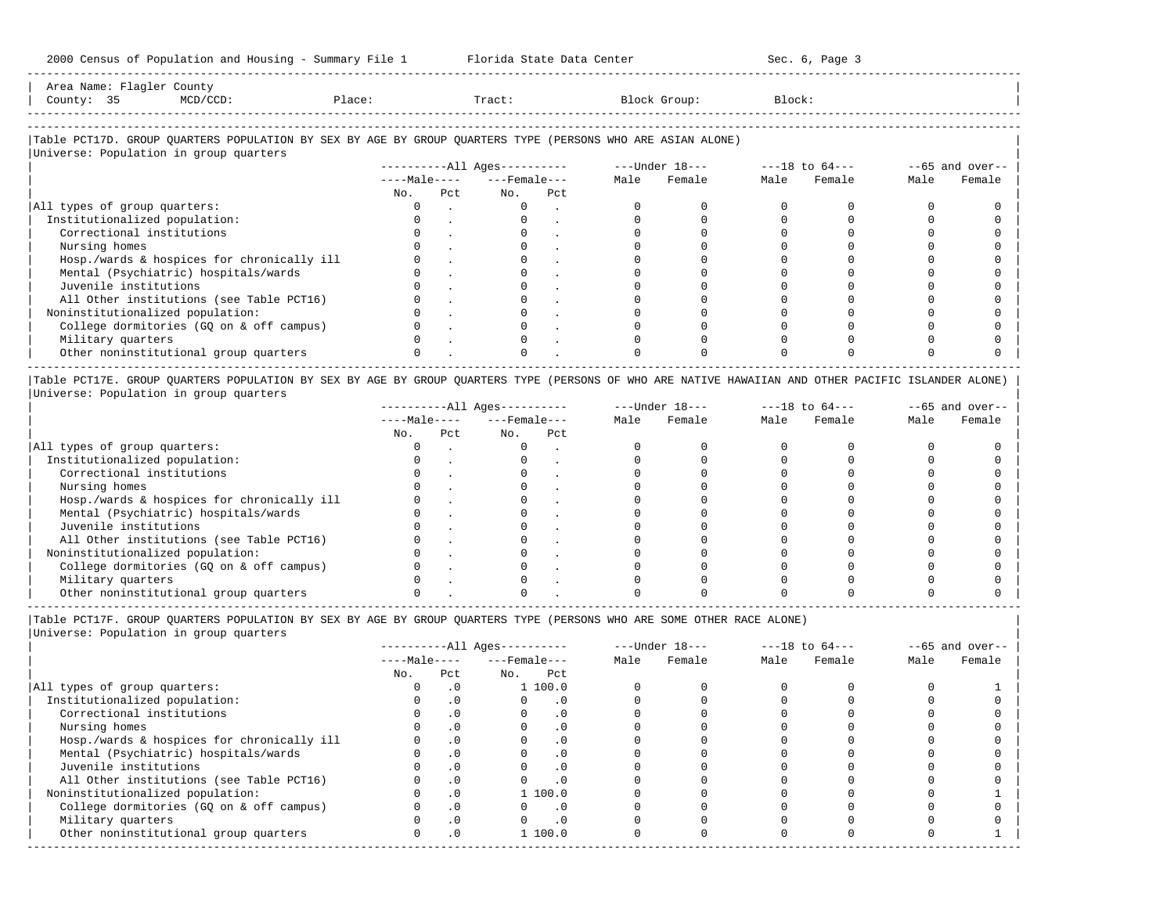Area Name: Flagler County | County: 35 MCD/CCD: Place: Tract: Block Group: Block: |

-----------------------------------------------------------------------------------------------------------------------------------------------------

-----------------------------------------------------------------------------------------------------------------------------------------------------

|Table PCT17D. GROUP QUARTERS POPULATION BY SEX BY AGE BY GROUP QUARTERS TYPE (PERSONS WHO ARE ASIAN ALONE) |  $\overline{\mathbf{U}}$ 

|                                            |              |     | $------All \text{Aqes}---$ |     | $---Under 18---$ |        | $---18$ to $64---$ |        | $--65$ and over-- |        |
|--------------------------------------------|--------------|-----|----------------------------|-----|------------------|--------|--------------------|--------|-------------------|--------|
|                                            | $---Male---$ |     | $---$ Female $---$         |     | Male             | Female | Male               | Female | Male              | Female |
|                                            | No.          | Pct | No.                        | Pct |                  |        |                    |        |                   |        |
| All types of group quarters:               |              |     |                            |     |                  |        |                    |        |                   |        |
| Institutionalized population:              |              |     |                            |     |                  |        |                    |        |                   |        |
| Correctional institutions                  |              |     |                            |     |                  |        |                    |        |                   |        |
| Nursing homes                              |              |     |                            |     |                  |        |                    |        |                   |        |
| Hosp./wards & hospices for chronically ill |              |     |                            |     |                  |        |                    |        |                   |        |
| Mental (Psychiatric) hospitals/wards       |              |     |                            |     |                  |        |                    |        |                   |        |
| Juvenile institutions                      |              |     |                            |     |                  |        |                    |        |                   |        |
| All Other institutions (see Table PCT16)   |              |     |                            |     |                  |        |                    |        |                   |        |
| Noninstitutionalized population:           |              |     |                            |     |                  |        |                    |        |                   |        |
| College dormitories (GQ on & off campus)   |              |     |                            |     |                  |        |                    |        |                   |        |
| Military quarters                          |              |     |                            |     |                  |        |                    |        |                   |        |
| Other noninstitutional group quarters      |              |     |                            |     |                  |        |                    |        |                   |        |

|Table PCT17E. GROUP QUARTERS POPULATION BY SEX BY AGE BY GROUP QUARTERS TYPE (PERSONS OF WHO ARE NATIVE HAWAIIAN AND OTHER PACIFIC ISLANDER ALONE) | |Universe: Population in group quarters |

|                                            |              |     | $------All Aqes------$ |     |      | $---Under 18---$ | $---18$ to $64---$ |        | $--65$ and over-- |        |
|--------------------------------------------|--------------|-----|------------------------|-----|------|------------------|--------------------|--------|-------------------|--------|
|                                            | $---Male---$ |     | $---$ Female $---$     |     | Male | Female           | Male               | Female | Male              | Female |
|                                            | No.          | Pct | No.                    | Pct |      |                  |                    |        |                   |        |
| All types of group quarters:               |              |     |                        |     |      |                  |                    |        |                   |        |
| Institutionalized population:              |              |     |                        |     |      |                  |                    |        |                   |        |
| Correctional institutions                  |              |     |                        |     |      |                  |                    |        |                   |        |
| Nursing homes                              |              |     |                        |     |      |                  |                    |        |                   |        |
| Hosp./wards & hospices for chronically ill |              |     |                        |     |      |                  |                    |        |                   |        |
| Mental (Psychiatric) hospitals/wards       |              |     |                        |     |      |                  |                    |        |                   |        |
| Juvenile institutions                      |              |     |                        |     |      |                  |                    |        |                   |        |
| All Other institutions (see Table PCT16)   |              |     |                        |     |      |                  |                    |        |                   |        |
| Noninstitutionalized population:           |              |     |                        |     |      |                  |                    |        |                   |        |
| College dormitories (GQ on & off campus)   |              |     |                        |     |      |                  |                    |        |                   |        |
| Military quarters                          |              |     |                        |     |      |                  |                    |        |                   |        |
| Other noninstitutional group quarters      |              |     |                        |     |      |                  |                    |        |                   |        |

----------------------------------------------------------------------------------------------------------------------------------------------------- |Table PCT17F. GROUP QUARTERS POPULATION BY SEX BY AGE BY GROUP QUARTERS TYPE (PERSONS WHO ARE SOME OTHER RACE ALONE) |

|                                            |              |           | $------All Ages------$ |           |      | $---Under 18---$ | $---18$ to $64---$ |        | $--65$ and over-- |        |
|--------------------------------------------|--------------|-----------|------------------------|-----------|------|------------------|--------------------|--------|-------------------|--------|
|                                            | $---Male---$ |           | $---$ Female $---$     |           | Male | Female           | Male               | Female | Male              | Female |
|                                            | No.          | Pct       | No.                    | Pct       |      |                  |                    |        |                   |        |
| All types of group quarters:               |              | $\cdot$ 0 |                        | 1 100.0   |      |                  |                    |        |                   |        |
| Institutionalized population:              |              | $\cdot$ 0 |                        | $\cdot$ 0 |      |                  |                    |        |                   |        |
| Correctional institutions                  |              | . 0       |                        |           |      |                  |                    |        |                   |        |
| Nursing homes                              |              | $\cdot$ 0 | $\Omega$               | $\cdot$ 0 |      |                  |                    |        |                   |        |
| Hosp./wards & hospices for chronically ill |              | $\cdot$ 0 |                        |           |      |                  |                    |        |                   |        |
| Mental (Psychiatric) hospitals/wards       |              | $\cdot$ 0 |                        | $\cdot$ 0 |      |                  |                    |        |                   |        |
| Juvenile institutions                      |              | $\cdot$ 0 |                        | $\Omega$  |      |                  |                    |        |                   |        |
| All Other institutions (see Table PCT16)   |              | .0        |                        | $\cdot$ 0 |      |                  |                    |        |                   |        |
| Noninstitutionalized population:           |              | $\cdot$ 0 |                        | 1 100.0   |      |                  |                    |        |                   |        |
| College dormitories (GQ on & off campus)   |              | $\cdot$ 0 |                        | . 0       |      |                  |                    |        |                   |        |
| Military quarters                          |              | $\cdot$ 0 |                        | $\cdot$ 0 |      |                  |                    |        |                   |        |
| Other noninstitutional group quarters      | 0            | $\cdot$ 0 |                        | 1 100.0   |      |                  |                    |        |                   |        |
|                                            |              |           |                        |           |      |                  |                    |        |                   |        |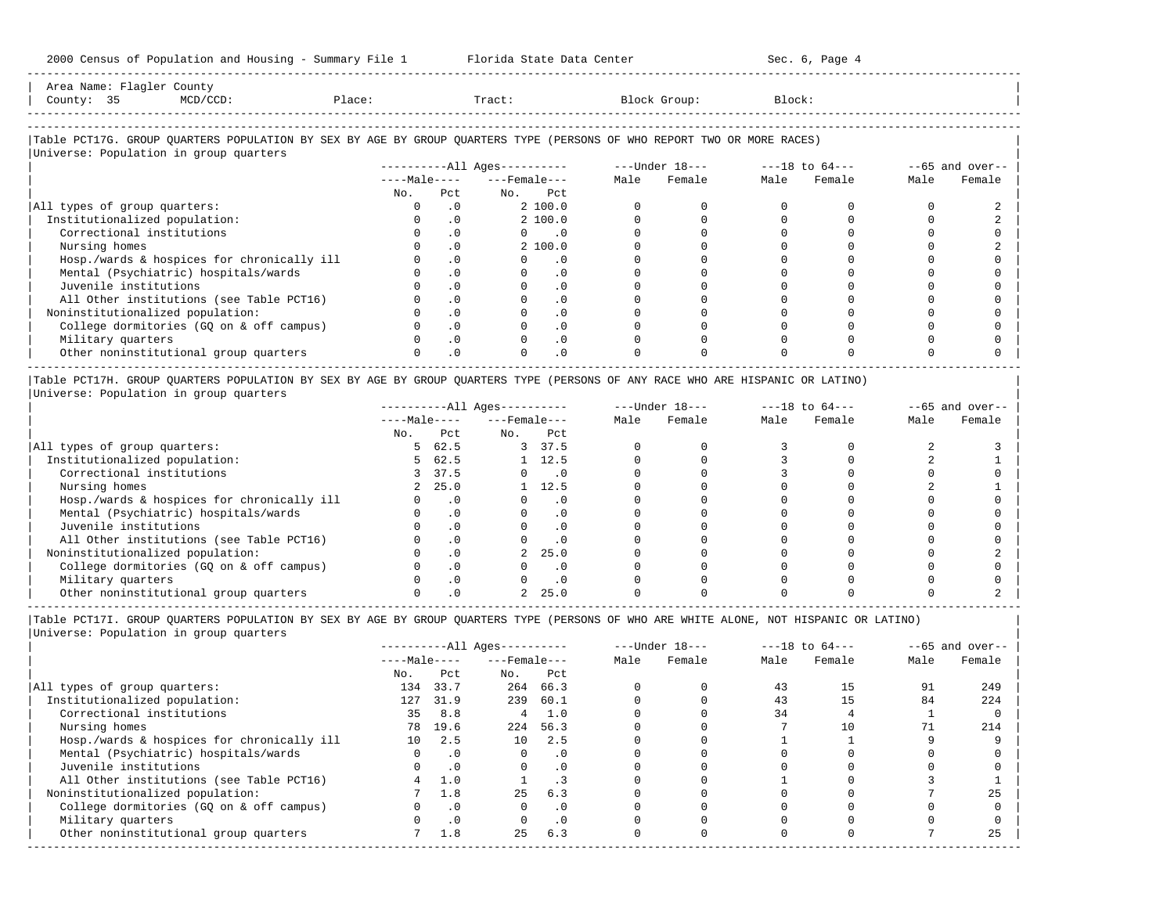|           | Tract:                              |           |                                                                                                         | Block Group:                                                                                                           | Block: |        |                |                           |
|-----------|-------------------------------------|-----------|---------------------------------------------------------------------------------------------------------|------------------------------------------------------------------------------------------------------------------------|--------|--------|----------------|---------------------------|
|           |                                     |           |                                                                                                         |                                                                                                                        |        |        |                |                           |
|           |                                     |           |                                                                                                         | Table PCT17G. GROUP QUARTERS POPULATION BY SEX BY AGE BY GROUP QUARTERS TYPE (PERSONS OF WHO REPORT TWO OR MORE RACES) |        |        |                |                           |
|           |                                     |           |                                                                                                         |                                                                                                                        |        |        |                |                           |
|           |                                     |           |                                                                                                         |                                                                                                                        |        |        |                | Female                    |
| Pct.      |                                     | Pct.      |                                                                                                         |                                                                                                                        |        |        |                |                           |
| $\Omega$  |                                     |           |                                                                                                         |                                                                                                                        |        |        |                |                           |
| $\cdot$ 0 |                                     |           |                                                                                                         |                                                                                                                        |        |        |                |                           |
| $\cdot$ 0 |                                     | $\cdot$ 0 |                                                                                                         |                                                                                                                        |        |        |                |                           |
| $\cdot$ 0 |                                     |           |                                                                                                         |                                                                                                                        |        |        |                |                           |
| $\cdot$ 0 |                                     | $\cdot$ 0 |                                                                                                         |                                                                                                                        |        |        |                |                           |
| $\cdot$ 0 |                                     | $\cdot$ 0 |                                                                                                         |                                                                                                                        |        |        |                |                           |
| $\cdot$ 0 |                                     | $\cdot$ 0 |                                                                                                         |                                                                                                                        |        |        |                |                           |
| $\cdot$ 0 |                                     | $\cdot$ 0 |                                                                                                         |                                                                                                                        |        |        |                |                           |
|           |                                     |           |                                                                                                         |                                                                                                                        |        |        |                |                           |
|           |                                     |           |                                                                                                         |                                                                                                                        |        |        |                |                           |
|           |                                     |           |                                                                                                         |                                                                                                                        |        |        |                |                           |
| $\cdot$ 0 |                                     | $\cdot$ 0 |                                                                                                         |                                                                                                                        |        |        |                |                           |
| No.       | $\cdot$ 0<br>$\cdot$ 0<br>$\cdot$ 0 |           | $---Male-- ---Female---$<br>No.<br>2 100.0<br>2 100.0<br>2 100.0<br>$\cdot$ 0<br>$\cdot$ 0<br>$\cdot$ 0 | Male                                                                                                                   |        | Female | Male<br>Female | $--65$ and over--<br>Male |

|Table PCT17H. GROUP QUARTERS POPULATION BY SEX BY AGE BY GROUP QUARTERS TYPE (PERSONS OF ANY RACE WHO ARE HISPANIC OR LATINO) | |Universe: Population in group quarters |

|                                            |              |           | $------All Aqes------$ |           |      | $---Under 18---$ | $---18$ to $64---$ |        | $--65$ and over-- |        |
|--------------------------------------------|--------------|-----------|------------------------|-----------|------|------------------|--------------------|--------|-------------------|--------|
|                                            | $---Male---$ |           | $---$ Female $---$     |           | Male | Female           | Male               | Female | Male              | Female |
|                                            | No.          | Pct       | No.                    | Pct       |      |                  |                    |        |                   |        |
| All types of group quarters:               |              | 62.5      |                        | 37.5      |      |                  |                    |        |                   |        |
| Institutionalized population:              |              | 62.5      |                        | 12.5      |      |                  |                    |        |                   |        |
| Correctional institutions                  |              | 37.5      |                        | . 0       |      |                  |                    |        |                   |        |
| Nursing homes                              |              | 25.0      |                        | 12.5      |      |                  |                    |        |                   |        |
| Hosp./wards & hospices for chronically ill |              |           |                        | . 0       |      |                  |                    |        |                   |        |
| Mental (Psychiatric) hospitals/wards       |              |           |                        | $\cdot$ 0 |      |                  |                    |        |                   |        |
| Juvenile institutions                      |              |           |                        | . 0       |      |                  |                    |        |                   |        |
| All Other institutions (see Table PCT16)   |              |           |                        | $\cdot$ 0 |      |                  |                    |        |                   |        |
| Noninstitutionalized population:           |              | $\cdot$ 0 |                        | 25.0      |      |                  |                    |        |                   |        |
| College dormitories (GO on & off campus)   |              | .0        |                        | $\cdot$ 0 |      |                  |                    |        |                   |        |
| Military quarters                          |              |           |                        | . 0       |      |                  |                    |        |                   |        |
| Other noninstitutional group quarters      |              |           |                        | 25.0      |      |                  |                    |        |                   |        |

-----------------------------------------------------------------------------------------------------------------------------------------------------

|Table PCT17I. GROUP QUARTERS POPULATION BY SEX BY AGE BY GROUP QUARTERS TYPE (PERSONS OF WHO ARE WHITE ALONE, NOT HISPANIC OR LATINO) |

|                                            |              |           | $------All Ages------$ |           |      | $---Under 18---$ | $---18$ to $64---$ |        | $--65$ and over-- |        |
|--------------------------------------------|--------------|-----------|------------------------|-----------|------|------------------|--------------------|--------|-------------------|--------|
|                                            | $---Male---$ |           | $---$ Female $---$     |           | Male | Female           | Male               | Female | Male              | Female |
|                                            | No.          | Pct       | No.                    | Pct       |      |                  |                    |        |                   |        |
| All types of group quarters:               | 134          | 33.7      | 264                    | 66.3      |      |                  | 43                 | 15     | 91                | 249    |
| Institutionalized population:              | 127          | 31.9      | 239                    | 60.1      |      |                  | 43                 |        | 84                | 224    |
| Correctional institutions                  | 35           | 8.8       | 4                      | 1.0       |      |                  | 34                 |        |                   |        |
| Nursing homes                              | 78           | 19.6      | 224                    | 56.3      |      |                  |                    | 10     |                   | 214    |
| Hosp./wards & hospices for chronically ill | 10           | 2.5       | 10                     | 2.5       |      |                  |                    |        |                   |        |
| Mental (Psychiatric) hospitals/wards       | 0            | $\cdot$ 0 | $\Omega$               | $\cdot$ 0 |      |                  |                    |        |                   |        |
| Juvenile institutions                      |              | $\cdot$ 0 | $\Omega$               | $\cdot$ 0 |      |                  |                    |        |                   |        |
| All Other institutions (see Table PCT16)   |              | 1.0       |                        |           |      |                  |                    |        |                   |        |
| Noninstitutionalized population:           |              | 1.8       | 25                     | 6.3       |      |                  |                    |        |                   | 25     |
| College dormitories (GO on & off campus)   |              | $\cdot$ 0 | $\Omega$               | $\cdot$ 0 |      |                  |                    |        |                   |        |
| Military quarters                          |              | $\cdot$ 0 |                        | $\cdot$ 0 |      |                  |                    |        |                   |        |
| Other noninstitutional group quarters      |              | 1.8       | 25                     | 6.3       |      |                  |                    |        |                   | 25     |
|                                            |              |           |                        |           |      |                  |                    |        |                   |        |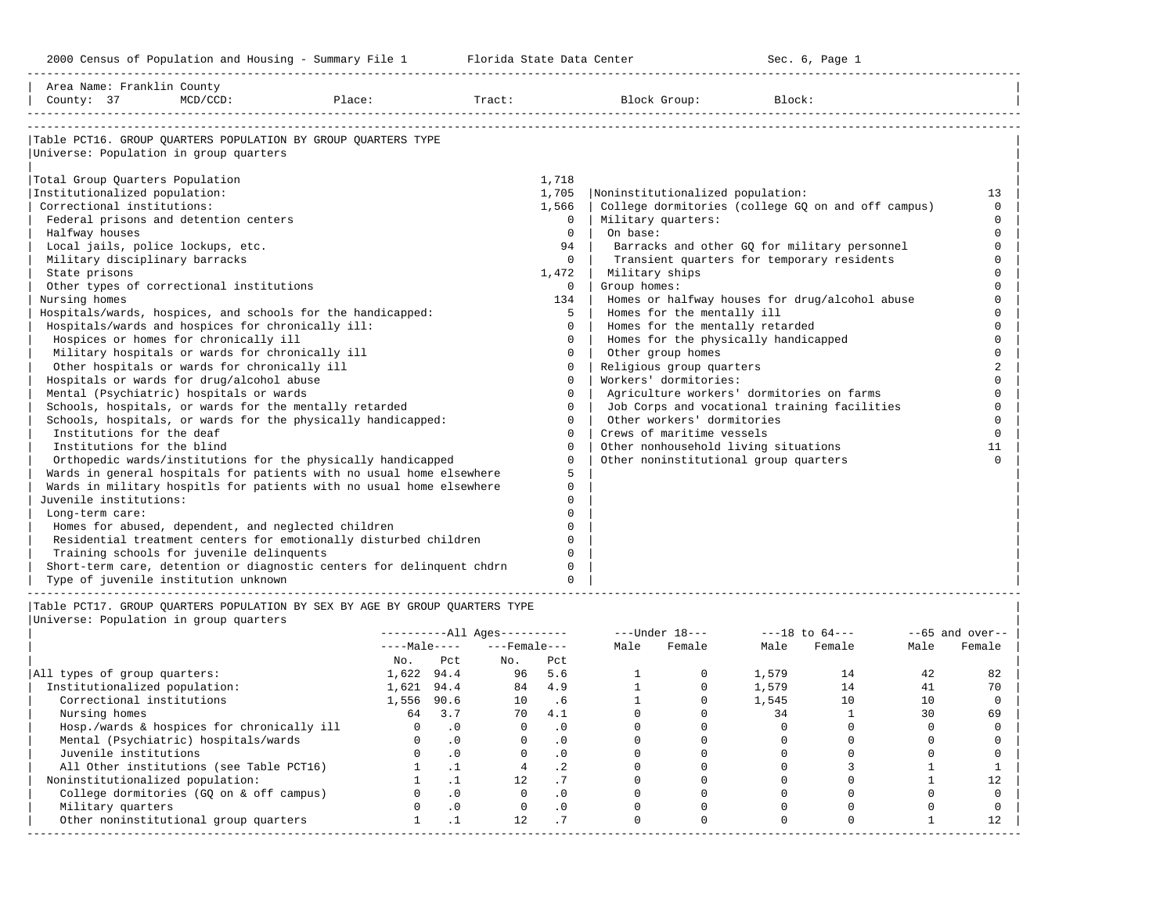-----------------------------------------------------------------------------------------------------------------------------------------------------

| County: 37                                                                                                                                                                                                                                                                                                                                                                                                                                                                                                                                                                                                                                                                                                   | Area Name: Franklin County<br>$MCD/CCD$ : | Place:                                                                                                                                                                                                                                                                                                                                                                                                                                                                 | Tract:                           |                                                                                                                                                                                                                      | Block Group:<br>Block:                                                                                                                                                                                                                                                                                                                                                                                                                                                                                                                                                                                                                                                                                                                 |                                                                                                                                    |
|--------------------------------------------------------------------------------------------------------------------------------------------------------------------------------------------------------------------------------------------------------------------------------------------------------------------------------------------------------------------------------------------------------------------------------------------------------------------------------------------------------------------------------------------------------------------------------------------------------------------------------------------------------------------------------------------------------------|-------------------------------------------|------------------------------------------------------------------------------------------------------------------------------------------------------------------------------------------------------------------------------------------------------------------------------------------------------------------------------------------------------------------------------------------------------------------------------------------------------------------------|----------------------------------|----------------------------------------------------------------------------------------------------------------------------------------------------------------------------------------------------------------------|----------------------------------------------------------------------------------------------------------------------------------------------------------------------------------------------------------------------------------------------------------------------------------------------------------------------------------------------------------------------------------------------------------------------------------------------------------------------------------------------------------------------------------------------------------------------------------------------------------------------------------------------------------------------------------------------------------------------------------------|------------------------------------------------------------------------------------------------------------------------------------|
| Universe: Population in group quarters<br>Total Group Quarters Population<br>Institutionalized population:<br>Correctional institutions:<br>Federal prisons and detention centers<br>Halfway houses<br>Local jails, police lockups, etc.<br>Military disciplinary barracks<br>State prisons<br>Other types of correctional institutions<br>Nursing homes<br>Hospitals/wards and hospices for chronically ill:<br>Hospices or homes for chronically ill<br>Military hospitals or wards for chronically ill<br>Other hospitals or wards for chronically ill<br>Hospitals or wards for drug/alcohol abuse<br>Mental (Psychiatric) hospitals or wards<br>Institutions for the deaf<br>Institutions for the blind |                                           | Table PCT16. GROUP OUARTERS POPULATION BY GROUP OUARTERS TYPE<br>Hospitals/wards, hospices, and schools for the handicapped:<br>Schools, hospitals, or wards for the mentally retarded<br>Schools, hospitals, or wards for the physically handicapped:<br>Orthopedic wards/institutions for the physically handicapped<br>Wards in general hospitals for patients with no usual home elsewhere<br>Wards in military hospitls for patients with no usual home elsewhere | 1,718<br>1,705<br>1,566<br>1,472 | $\Omega$<br>$\Omega$<br>94<br>$\Omega$<br>$\Omega$<br>134<br>5.<br>$\Omega$<br>$\Omega$<br>$\Omega$<br>$\Omega$<br>$\Omega$<br>$\Omega$<br>$\Omega$<br>$\Omega$<br>$\Omega$<br>$\Omega$<br>$\Omega$<br>5<br>$\Omega$ | Noninstitutionalized population:<br>College dormitories (college GQ on and off campus)<br>Military quarters:<br>On base:<br>Barracks and other GQ for military personnel<br>Transient quarters for temporary residents<br>Military ships<br>Group homes:<br>Homes or halfway houses for drug/alcohol abuse<br>Homes for the mentally ill<br>Homes for the mentally retarded<br>Homes for the physically handicapped<br>Other group homes<br>Religious group quarters<br>Workers' dormitories:<br>Agriculture workers' dormitories on farms<br>Job Corps and vocational training facilities<br>Other workers' dormitories<br>Crews of maritime vessels<br>Other nonhousehold living situations<br>Other noninstitutional group quarters | 13<br>$\Omega$<br>$\Omega$<br>$\Omega$<br>$\Omega$<br>$\cap$<br>$\cap$<br>$\cap$<br>$\Omega$<br>$\cap$<br>$\cap$<br>$\Omega$<br>11 |
| Juvenile institutions:<br>Long-term care:<br>Training schools for juvenile delinquents                                                                                                                                                                                                                                                                                                                                                                                                                                                                                                                                                                                                                       |                                           | Homes for abused, dependent, and neglected children<br>Residential treatment centers for emotionally disturbed children<br>Short-term care, detention or diagnostic centers for delinquent chdrn                                                                                                                                                                                                                                                                       |                                  | U.<br>U<br><sup>n</sup><br>$\cap$<br>$\Omega$                                                                                                                                                                        |                                                                                                                                                                                                                                                                                                                                                                                                                                                                                                                                                                                                                                                                                                                                        |                                                                                                                                    |

|                                            |              |           | $------All Aqes------$ |                  |      | $---Under 18---$ | $---18$ to $64---$ |        | $--65$ and over-- |        |
|--------------------------------------------|--------------|-----------|------------------------|------------------|------|------------------|--------------------|--------|-------------------|--------|
|                                            | $---Male---$ |           | $---$ Female $---$     |                  | Male | Female           | Male               | Female | Male              | Female |
|                                            | No.          | Pct.      | No.                    | Pct              |      |                  |                    |        |                   |        |
| All types of group quarters:               | 1,622        | 94.4      | 96                     | 5.6              |      |                  | 1,579              | 14     | 42                | 82     |
| Institutionalized population:              | 1,621 94.4   |           | 84                     | 4.9              |      |                  | 1,579              | 14     | 41                | 70     |
| Correctional institutions                  | 1,556        | 90.6      | 10                     | .6               |      |                  | 1,545              | 10     | 10                |        |
| Nursing homes                              | 64           | 3.7       | 70                     | 4.1              |      |                  | 34                 |        | 30                | 69     |
| Hosp./wards & hospices for chronically ill |              | $\cdot$ 0 |                        |                  |      |                  |                    |        |                   |        |
| Mental (Psychiatric) hospitals/wards       |              | $\cdot$ 0 |                        | . 0              |      |                  |                    |        |                   |        |
| Juvenile institutions                      |              | $\cdot$ 0 |                        |                  |      |                  |                    |        |                   |        |
| All Other institutions (see Table PCT16)   |              |           |                        | . 4              |      |                  |                    |        |                   |        |
| Noninstitutionalized population:           |              |           | 12                     | $\cdot$ $\prime$ |      |                  |                    |        |                   |        |
| College dormitories (GO on & off campus)   |              | $\cdot$ 0 |                        |                  |      |                  |                    |        |                   |        |
| Military quarters                          |              | $\cdot$ 0 |                        |                  |      |                  |                    |        |                   |        |
| Other noninstitutional group quarters      |              |           | 12                     | . .              |      |                  |                    |        |                   |        |
|                                            |              |           |                        |                  |      |                  |                    |        |                   |        |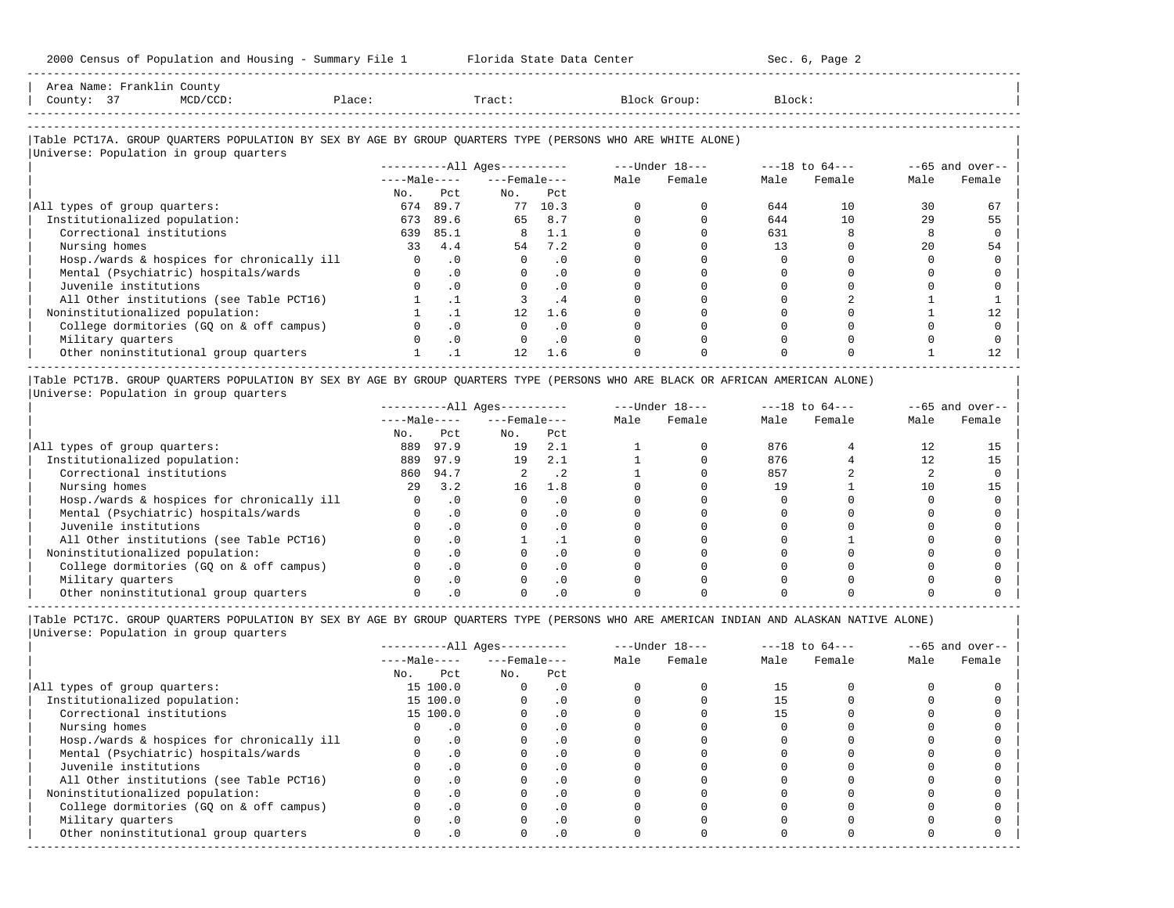| Area Name: Franklin County |                                        |        |               |                                                                                                            |           |                        |
|----------------------------|----------------------------------------|--------|---------------|------------------------------------------------------------------------------------------------------------|-----------|------------------------|
| County: 37                 | MCD/CCD:                               | Place: | Tract:        | Block Group:                                                                                               | Block:    |                        |
|                            |                                        |        |               |                                                                                                            |           |                        |
|                            |                                        |        |               |                                                                                                            |           |                        |
|                            |                                        |        |               | Table PCT17A. GROUP OUARTERS POPULATION BY SEX BY AGE BY GROUP OUARTERS TYPE (PERSONS WHO ARE WHITE ALONE) |           |                        |
|                            | Universe: Population in group quarters |        |               |                                                                                                            |           |                        |
|                            |                                        |        | <b>BILBON</b> | $T_{1}$ $T_{2}$ $T_{3}$ $T_{4}$ $T_{5}$ $T_{6}$ $T_{7}$                                                    | $10 - 56$ | $\sqrt{2}$ and contact |

-----------------------------------------------------------------------------------------------------------------------------------------------------

|                                            |              | $------All Ages------$ |                    |           | $---Under 18---$ | $---18$ to $64---$ |      | $--65$ and over-- |              |        |
|--------------------------------------------|--------------|------------------------|--------------------|-----------|------------------|--------------------|------|-------------------|--------------|--------|
|                                            | $---Male---$ |                        | $---$ Female $---$ |           | Male             | Female             | Male | Female            | Male         | Female |
|                                            | No.          | Pct                    | No.                | Pct       |                  |                    |      |                   |              |        |
| All types of group quarters:               | 674          | 89.7                   | 77                 | 10.3      |                  |                    | 644  | 10                | 30           | 67     |
| Institutionalized population:              | 673          | 89.6                   | 65                 | 8.7       |                  |                    | 644  | 10                | 29           | 55     |
| Correctional institutions                  | 639          | 85.1                   | 8                  | 1.1       |                  |                    | 631  |                   |              |        |
| Nursing homes                              | 33           | 4.4                    | 54                 | 7.2       |                  |                    |      |                   | $20^{\circ}$ | 54     |
| Hosp./wards & hospices for chronically ill |              | $\cdot$ 0              |                    | . 0       |                  |                    |      |                   |              |        |
| Mental (Psychiatric) hospitals/wards       |              | $\cdot$ 0              |                    | . 0       |                  |                    |      |                   |              |        |
| Juvenile institutions                      |              | $\cdot$ 0              |                    | $\cdot$ 0 |                  |                    |      |                   |              |        |
| All Other institutions (see Table PCT16)   |              |                        |                    | . 4       |                  |                    |      |                   |              |        |
| Noninstitutionalized population:           |              |                        | 12                 | 1.6       |                  |                    |      |                   |              |        |
| College dormitories (GO on & off campus)   |              |                        |                    |           |                  |                    |      |                   |              |        |
| Military quarters                          |              | $\cdot$ 0              |                    | . 0       |                  |                    |      |                   |              |        |
| Other noninstitutional group quarters      |              |                        | 12                 | 1.6       |                  |                    |      |                   |              |        |
|                                            |              |                        |                    |           |                  |                    |      |                   |              |        |

|Table PCT17B. GROUP QUARTERS POPULATION BY SEX BY AGE BY GROUP QUARTERS TYPE (PERSONS WHO ARE BLACK OR AFRICAN AMERICAN ALONE) | |Universe: Population in group quarters |

|                                            |              |      | $------All Ages------$ |           | $---Under 18---$ |        | $---18$ to $64---$ |        | $--65$ and over-- |        |
|--------------------------------------------|--------------|------|------------------------|-----------|------------------|--------|--------------------|--------|-------------------|--------|
|                                            | $---Male---$ |      | $---$ Female $---$     |           | Male             | Female | Male               | Female | Male              | Female |
|                                            | No.          | Pct  | No.                    | Pct       |                  |        |                    |        |                   |        |
| All types of group quarters:               | 889          | 97.9 | 19                     | 2.1       |                  |        | 876                |        |                   |        |
| Institutionalized population:              | 889          | 97.9 | 19                     | 2.1       |                  |        | 876                |        |                   |        |
| Correctional institutions                  | 860          | 94.7 |                        | . 2       |                  |        | 857                |        |                   |        |
| Nursing homes                              | 2.9          | 3.2  | 16                     | 1.8       |                  |        | 19                 |        | 10                |        |
| Hosp./wards & hospices for chronically ill |              |      |                        |           |                  |        |                    |        |                   |        |
| Mental (Psychiatric) hospitals/wards       |              |      |                        |           |                  |        |                    |        |                   |        |
| Juvenile institutions                      |              |      |                        | . 0       |                  |        |                    |        |                   |        |
| All Other institutions (see Table PCT16)   |              |      |                        |           |                  |        |                    |        |                   |        |
| Noninstitutionalized population:           |              |      |                        | . 0       |                  |        |                    |        |                   |        |
| College dormitories (GO on & off campus)   |              |      |                        | $\cdot$ 0 |                  |        |                    |        |                   |        |
| Military quarters                          |              |      |                        | . 0       |                  |        |                    |        |                   |        |
| Other noninstitutional group quarters      |              |      |                        |           |                  |        |                    |        |                   |        |

-----------------------------------------------------------------------------------------------------------------------------------------------------

|                                            |              | $------All Ages------$ |                    |           | $---Under 18---$ | $---18$ to $64---$ |      | $--65$ and over-- |      |        |
|--------------------------------------------|--------------|------------------------|--------------------|-----------|------------------|--------------------|------|-------------------|------|--------|
|                                            | $---Male---$ |                        | $---$ Female $---$ |           | Male             | Female             | Male | Female            | Male | Female |
|                                            | No.          | Pct                    | No.                | Pct       |                  |                    |      |                   |      |        |
| All types of group quarters:               |              | 15 100.0               | $\Omega$           | $\cdot$ 0 |                  |                    |      |                   |      |        |
| Institutionalized population:              |              | 15 100.0               |                    | $\cdot$ 0 |                  |                    |      |                   |      |        |
| Correctional institutions                  |              | 15 100.0               |                    | $\cdot$ 0 |                  |                    |      |                   |      |        |
| Nursing homes                              |              |                        |                    | $\cdot$ 0 |                  |                    |      |                   |      |        |
| Hosp./wards & hospices for chronically ill |              | $\cdot$ 0              |                    |           |                  |                    |      |                   |      |        |
| Mental (Psychiatric) hospitals/wards       |              | $\cdot$ 0              |                    | $\cdot$ 0 |                  |                    |      |                   |      |        |
| Juvenile institutions                      |              |                        |                    | . 0       |                  |                    |      |                   |      |        |
| All Other institutions (see Table PCT16)   |              |                        |                    |           |                  |                    |      |                   |      |        |
| Noninstitutionalized population:           |              | $\cdot$ 0              |                    | $\cdot$ 0 |                  |                    |      |                   |      |        |
| College dormitories (GO on & off campus)   |              |                        |                    | $\cdot$ 0 |                  |                    |      |                   |      |        |
| Military quarters                          |              |                        |                    | $\cdot$ 0 |                  |                    |      |                   |      |        |
| Other noninstitutional group quarters      | <sup>n</sup> | $\cdot$ 0              |                    | $\cdot$ 0 |                  |                    |      |                   |      |        |
|                                            |              |                        |                    |           |                  |                    |      |                   |      |        |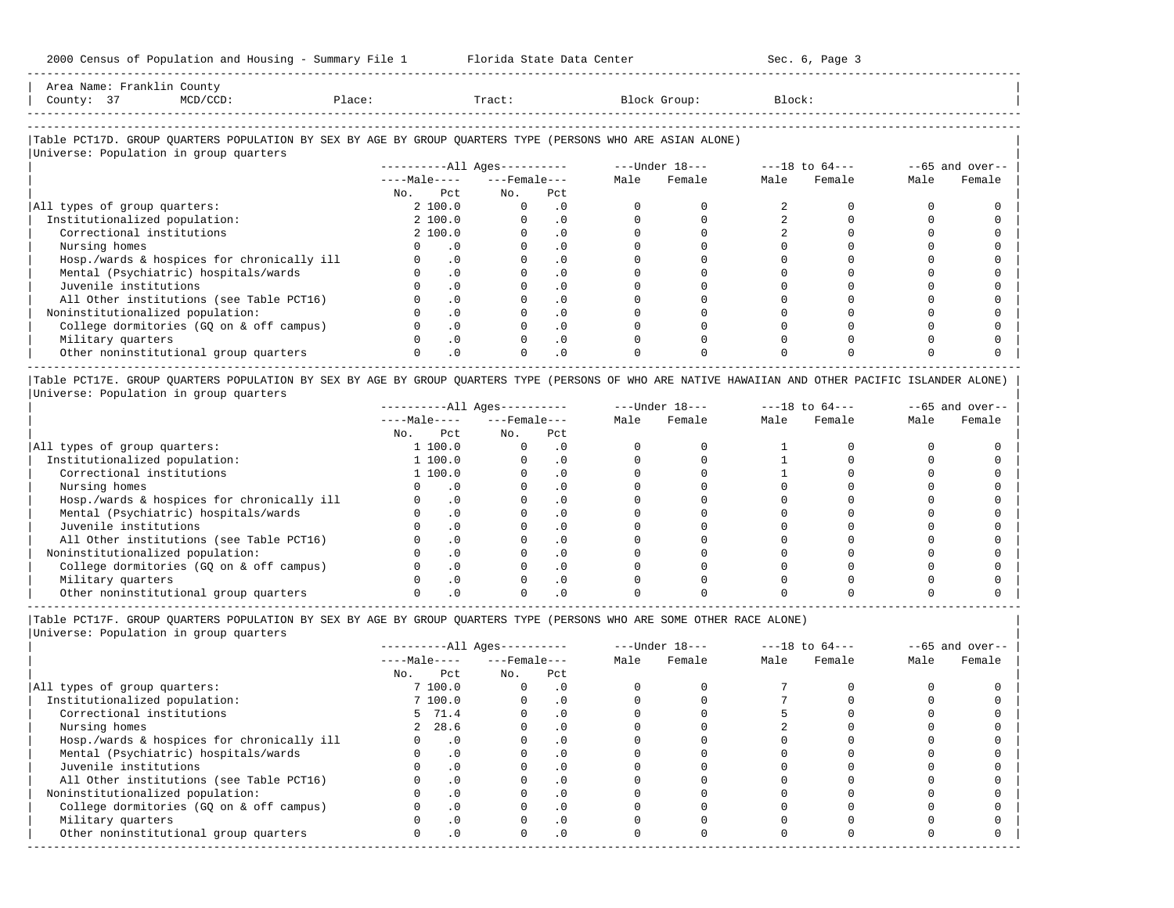-----------------------------------------------------------------------------------------------------------------------------------------------------

| Area<br>Name | ount                                                                                                            |      |       |          |        |
|--------------|-----------------------------------------------------------------------------------------------------------------|------|-------|----------|--------|
| County       | the contract of the contract of the contract of the contract of the contract of the contract of the contract of | 1.71 | Tract | JL OUD : | Block' |
|              |                                                                                                                 |      |       |          |        |

-----------------------------------------------------------------------------------------------------------------------------------------------------

# |Table PCT17D. GROUP QUARTERS POPULATION BY SEX BY AGE BY GROUP QUARTERS TYPE (PERSONS WHO ARE ASIAN ALONE) |

| Universe: Population in group quarters     |              |           |                        |           |      |                |                    |        |                   |        |
|--------------------------------------------|--------------|-----------|------------------------|-----------|------|----------------|--------------------|--------|-------------------|--------|
|                                            |              |           | $------All Ages------$ |           |      | ---Under 18--- | $---18$ to $64---$ |        | $--65$ and over-- |        |
|                                            | $---Male---$ |           | $---$ Female ---       |           | Male | Female         | Male               | Female | Male              | Female |
|                                            | No.          | Pct       | No.                    | Pct       |      |                |                    |        |                   |        |
| All types of group quarters:               |              | 2 100.0   |                        | $\cdot$ 0 |      |                |                    |        |                   |        |
| Institutionalized population:              |              | 2 100.0   |                        | $\cdot$ 0 |      |                |                    |        |                   |        |
| Correctional institutions                  |              | 2 100.0   |                        | $\cdot$ 0 |      |                |                    |        |                   |        |
| Nursing homes                              |              | $\cdot$ 0 |                        | $\cdot$ 0 |      |                |                    |        |                   |        |
| Hosp./wards & hospices for chronically ill |              | $\cdot$ 0 |                        | $\cdot$ 0 |      |                |                    |        |                   |        |
| Mental (Psychiatric) hospitals/wards       |              | $\cdot$ 0 |                        | . 0       |      |                |                    |        |                   |        |
| Juvenile institutions                      |              | $\cdot$ 0 |                        | $\cdot$ 0 |      |                |                    |        |                   |        |
| All Other institutions (see Table PCT16)   |              | $\cdot$ 0 |                        |           |      |                |                    |        |                   |        |
| Noninstitutionalized population:           |              | $\cdot$ 0 |                        | $\cdot$ 0 |      |                |                    |        |                   |        |
| College dormitories (GO on & off campus)   |              | $\cdot$ 0 |                        |           |      |                |                    |        |                   |        |
| Military quarters                          |              | $\cdot$ 0 |                        | $\cdot$ 0 |      |                |                    |        |                   |        |
| Other noninstitutional group quarters      |              | $\cdot$ 0 |                        | $\cdot$ 0 |      |                |                    |        |                   |        |
|                                            |              |           |                        |           |      |                |                    |        |                   |        |

|Table PCT17E. GROUP QUARTERS POPULATION BY SEX BY AGE BY GROUP QUARTERS TYPE (PERSONS OF WHO ARE NATIVE HAWAIIAN AND OTHER PACIFIC ISLANDER ALONE) | |Universe: Population in group quarters |

|                                            |              |           | $------All Ages------$ |           | $---Under 18---$ |        | $---18$ to $64---$ |        | $--65$ and over-- |        |
|--------------------------------------------|--------------|-----------|------------------------|-----------|------------------|--------|--------------------|--------|-------------------|--------|
|                                            | $---Male---$ |           | $---$ Female $---$     |           | Male             | Female | Male               | Female | Male              | Female |
|                                            | No.          | Pct       | No.                    | Pct       |                  |        |                    |        |                   |        |
| All types of group quarters:               |              | 1 100.0   |                        | . 0       |                  |        |                    |        |                   |        |
| Institutionalized population:              |              | 1 100.0   |                        | . 0       |                  |        |                    |        |                   |        |
| Correctional institutions                  |              | 1 100.0   |                        | . 0       |                  |        |                    |        |                   |        |
| Nursing homes                              |              |           |                        | . 0       |                  |        |                    |        |                   |        |
| Hosp./wards & hospices for chronically ill |              | $\cdot$ 0 |                        | $\cdot$ 0 |                  |        |                    |        |                   |        |
| Mental (Psychiatric) hospitals/wards       |              |           |                        | . 0       |                  |        |                    |        |                   |        |
| Juvenile institutions                      |              | $\Omega$  |                        | . 0       |                  |        |                    |        |                   |        |
| All Other institutions (see Table PCT16)   |              |           |                        |           |                  |        |                    |        |                   |        |
| Noninstitutionalized population:           |              |           |                        |           |                  |        |                    |        |                   |        |
| College dormitories (GO on & off campus)   |              |           |                        |           |                  |        |                    |        |                   |        |
| Military quarters                          |              |           |                        |           |                  |        |                    |        |                   |        |
| Other noninstitutional group quarters      |              |           |                        |           |                  |        |                    |        |                   |        |

-----------------------------------------------------------------------------------------------------------------------------------------------------

|Table PCT17F. GROUP QUARTERS POPULATION BY SEX BY AGE BY GROUP QUARTERS TYPE (PERSONS WHO ARE SOME OTHER RACE ALONE) |

|                                            |              |           | ----------All Ages---------- |           | $---Under 18---$ |        | $---18$ to $64---$ |        | $--65$ and over-- |        |
|--------------------------------------------|--------------|-----------|------------------------------|-----------|------------------|--------|--------------------|--------|-------------------|--------|
|                                            | $---Male---$ |           | $---$ Female $---$           |           | Male             | Female | Male               | Female | Male              | Female |
|                                            | No.          | Pct       | No.                          | Pct       |                  |        |                    |        |                   |        |
| All types of group quarters:               |              | 7 100.0   | 0                            | $\cdot$ 0 |                  |        |                    |        |                   |        |
| Institutionalized population:              |              | 7 100.0   |                              | . 0       |                  |        |                    |        |                   |        |
| Correctional institutions                  |              | 5 71.4    |                              | $\cdot$ 0 |                  |        |                    |        |                   |        |
| Nursing homes                              |              | 2, 28.6   |                              | $\cdot$ 0 |                  |        |                    |        |                   |        |
| Hosp./wards & hospices for chronically ill |              | $\cdot$ 0 |                              | $\cdot$ 0 |                  |        |                    |        |                   |        |
| Mental (Psychiatric) hospitals/wards       |              | $\cdot$ 0 |                              |           |                  |        |                    |        |                   |        |
| Juvenile institutions                      |              | $\cdot$ 0 |                              | $\cdot$ 0 |                  |        |                    |        |                   |        |
| All Other institutions (see Table PCT16)   |              | $\cdot$ 0 |                              |           |                  |        |                    |        |                   |        |
| Noninstitutionalized population:           |              | $\cdot$ 0 |                              | $\cdot$ 0 |                  |        |                    |        |                   |        |
| College dormitories (GQ on & off campus)   |              | .0        |                              |           |                  |        |                    |        |                   |        |
| Military quarters                          |              | $\cdot$ 0 |                              | . 0       |                  |        |                    |        |                   |        |
| Other noninstitutional group quarters      |              | $\cdot$ 0 | U                            | $\cdot$ 0 |                  |        |                    |        |                   |        |
|                                            |              |           |                              |           |                  |        |                    |        |                   |        |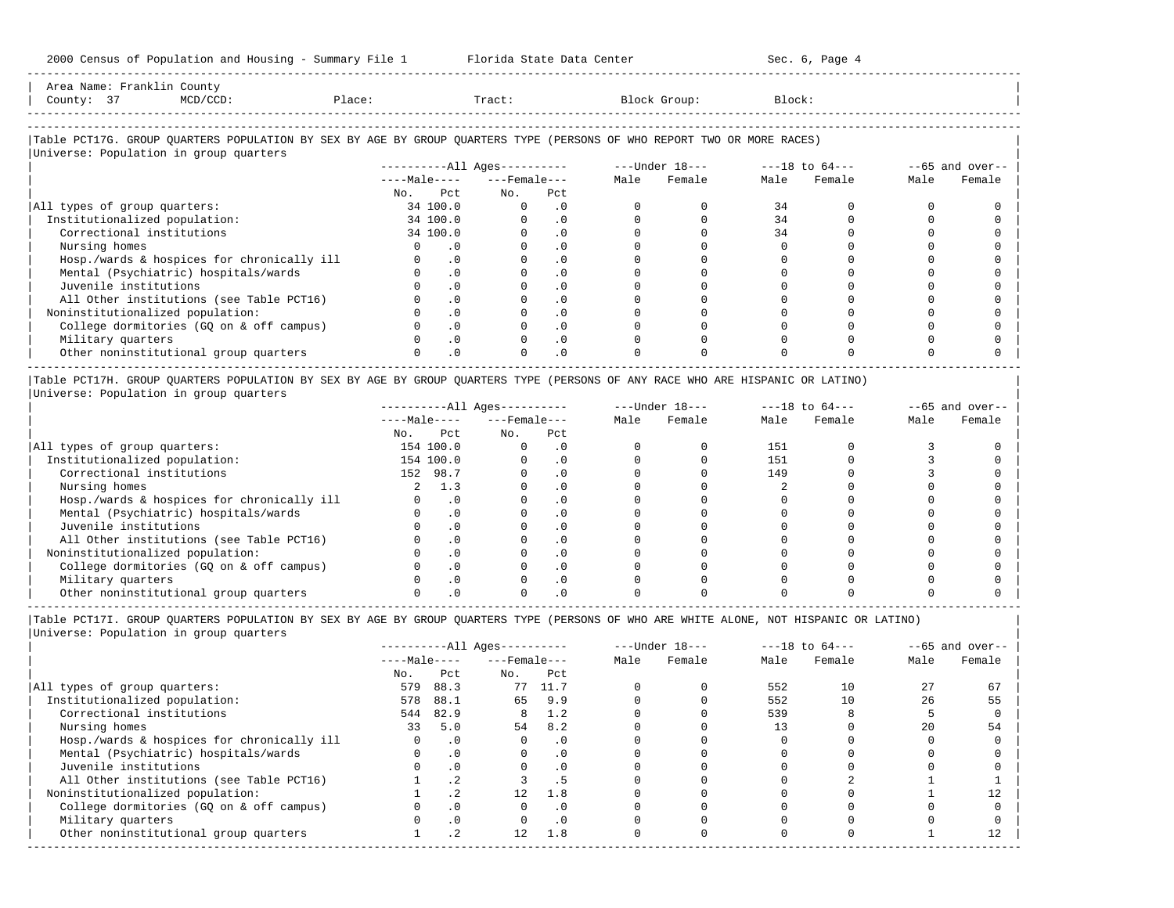2000 Census of Population and Housing - Summary File 1 Florida State Data Center Sec. 6, Page 4 -----------------------------------------------------------------------------------------------------------------------------------------------------

|                              | Area Name: Franklin County |                                        |                                                                                                                        |          |                                     |           |              |                |        |                |      |                   |
|------------------------------|----------------------------|----------------------------------------|------------------------------------------------------------------------------------------------------------------------|----------|-------------------------------------|-----------|--------------|----------------|--------|----------------|------|-------------------|
| County: 37                   |                            | MCD/CCD:                               | Place:                                                                                                                 |          | Tract:                              |           |              | Block Group:   | Block: |                |      |                   |
|                              |                            |                                        |                                                                                                                        |          |                                     |           |              |                |        |                |      |                   |
|                              |                            |                                        |                                                                                                                        |          |                                     |           |              |                |        |                |      |                   |
|                              |                            |                                        | Table PCT17G. GROUP OUARTERS POPULATION BY SEX BY AGE BY GROUP OUARTERS TYPE (PERSONS OF WHO REPORT TWO OR MORE RACES) |          |                                     |           |              |                |        |                |      |                   |
|                              |                            | Universe: Population in group quarters |                                                                                                                        |          |                                     |           |              |                |        |                |      |                   |
|                              |                            |                                        |                                                                                                                        |          | ----------All Ages----------        |           |              | ---Under 18--- |        | ---18 to 64--- |      | $--65$ and over-- |
|                              |                            |                                        |                                                                                                                        |          | $---Ma$ ]e - - - $---$ Female - - - |           | Male         | Female         |        | Male Female    | Male | Female            |
|                              |                            |                                        | No.                                                                                                                    | Pct      | No.                                 | Pct       |              |                |        |                |      |                   |
| All types of group quarters: |                            |                                        |                                                                                                                        | 34 100.0 |                                     | $\cdot$ 0 | <sup>n</sup> |                | 34     | 0              |      |                   |

| Institutionalized population: 34 100.0 0 .0 0 0 34 0 0 0 | | Correctional institutions 34 100.0 0 .0 0 0 34 0 0 0 | | Nursing homes 0 .0 0 .0 0 0 0 0 0 0 | | Hosp./wards & hospices for chronically ill 0 .0 0 .0 0 0 0 0 0 0 | | Mental (Psychiatric) hospitals/wards 0 .0 0 .0 0 0 0 0 0 0 | | Juvenile institutions 0 .0 0 .0 0 0 0 0 0 0 | | All Other institutions (see Table PCT16) 0 .0 0 .0 0 0 0 0 0 0 | | Noninstitutionalized population: 0 .0 0 .0 0 0 0 0 0 0 | | College dormitories (GQ on & off campus) 0 .0 0 .0 0 0 0 0 0 0 | | Military quarters 0 .0 0 .0 0 0 0 0 0 0 | | Other noninstitutional group quarters 0 .0 0 .0 0 0 0 0 0 0 |

----------------------------------------------------------------------------------------------------------------------------------------------------- |Table PCT17H. GROUP QUARTERS POPULATION BY SEX BY AGE BY GROUP QUARTERS TYPE (PERSONS OF ANY RACE WHO ARE HISPANIC OR LATINO) | |Universe: Population in group quarters |

|                                            |              |           | $------All Ages------$ |     | $---Under 18---$ |        | $---18$ to $64---$ |        | $--65$ and over-- |        |
|--------------------------------------------|--------------|-----------|------------------------|-----|------------------|--------|--------------------|--------|-------------------|--------|
|                                            | $---Male---$ |           | $---$ Female $---$     |     | Male             | Female | Male               | Female | Male              | Female |
|                                            | No.          | Pct       | No.                    | Pct |                  |        |                    |        |                   |        |
| All types of group quarters:               |              | 154 100.0 |                        |     |                  |        | 151                |        |                   |        |
| Institutionalized population:              |              | 154 100.0 |                        |     |                  |        | 151                |        |                   |        |
| Correctional institutions                  |              | 152 98.7  |                        |     |                  |        | 149                |        |                   |        |
| Nursing homes                              |              | 1.3       |                        |     |                  |        |                    |        |                   |        |
| Hosp./wards & hospices for chronically ill |              | . 0       |                        |     |                  |        |                    |        |                   |        |
| Mental (Psychiatric) hospitals/wards       |              | $\cdot$ 0 |                        |     |                  |        |                    |        |                   |        |
| Juvenile institutions                      |              | . 0       |                        |     |                  |        |                    |        |                   |        |
| All Other institutions (see Table PCT16)   |              |           |                        |     |                  |        |                    |        |                   |        |
| Noninstitutionalized population:           |              | $\cdot$ 0 |                        |     |                  |        |                    |        |                   |        |
| College dormitories (GO on & off campus)   |              | $\cdot$ 0 |                        |     |                  |        |                    |        |                   |        |
| Military quarters                          |              | $\Omega$  |                        |     |                  |        |                    |        |                   |        |
| Other noninstitutional group quarters      |              |           |                        |     |                  |        |                    |        |                   |        |

|Table PCT17I. GROUP QUARTERS POPULATION BY SEX BY AGE BY GROUP QUARTERS TYPE (PERSONS OF WHO ARE WHITE ALONE, NOT HISPANIC OR LATINO) |

|                                            | $------All Ages------$ |           |                    |           | $---Under 18---$ |        | $---18$ to $64---$ |        | $--65$ and over-- |        |
|--------------------------------------------|------------------------|-----------|--------------------|-----------|------------------|--------|--------------------|--------|-------------------|--------|
|                                            | $---Male---$           |           | $---$ Female $---$ |           | Male             | Female | Male               | Female | Male              | Female |
|                                            | No.                    | Pct       | No.                | Pct       |                  |        |                    |        |                   |        |
| All types of group quarters:               | 579                    | 88.3      |                    | 77 11.7   |                  |        | 552                | 10     | 27                | 67     |
| Institutionalized population:              | 578                    | 88.1      | 65                 | 9.9       |                  |        | 552                | 10     | 26                | 55     |
| Correctional institutions                  |                        | 544 82.9  | 8                  | 1.2       |                  |        | 539                |        |                   |        |
| Nursing homes                              | 33                     | 5.0       | 54                 | 8.2       |                  |        | 13                 |        | 20                | 54     |
| Hosp./wards & hospices for chronically ill |                        | $\cdot$ 0 |                    | $\cdot$ 0 |                  |        |                    |        |                   |        |
| Mental (Psychiatric) hospitals/wards       |                        | $\cdot$ 0 |                    | . 0       |                  |        |                    |        |                   |        |
| Juvenile institutions                      |                        | $\cdot$ 0 |                    |           |                  |        |                    |        |                   |        |
| All Other institutions (see Table PCT16)   |                        |           |                    |           |                  |        |                    |        |                   |        |
| Noninstitutionalized population:           |                        | . 2       | 12                 | 1.8       |                  |        |                    |        |                   |        |
| College dormitories (GQ on & off campus)   |                        | $\cdot$ 0 |                    |           |                  |        |                    |        |                   |        |
| Military quarters                          |                        | $\cdot$ 0 |                    | $\cdot$ 0 |                  |        |                    |        |                   |        |
| Other noninstitutional group quarters      |                        | . 2       | 12                 | 1.8       |                  |        |                    |        |                   |        |
|                                            |                        |           |                    |           |                  |        |                    |        |                   |        |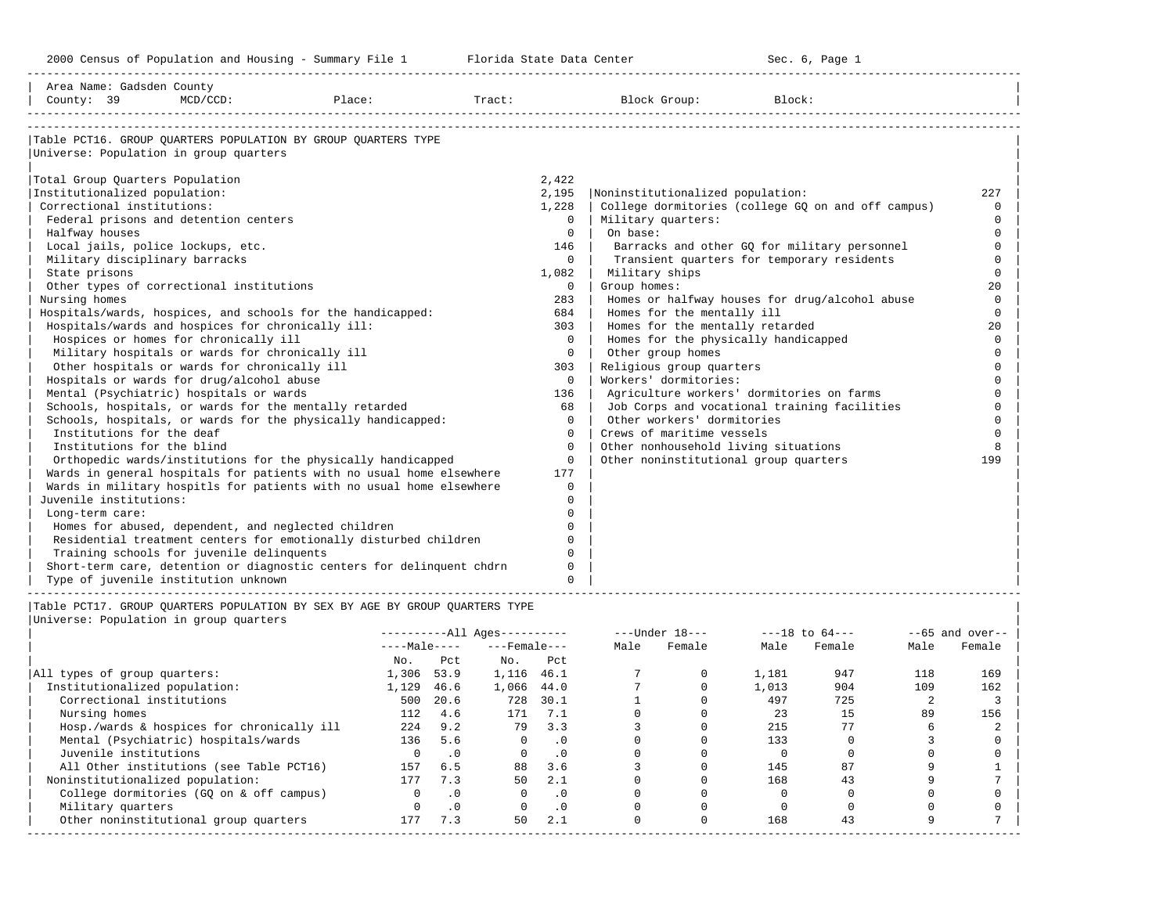| Area Name: Gadsden County<br>County: 39                                                                                                                                                                                        | $MCD/CCD$ :                                                                                                                                                                                                                                                                                                                                                          | Place:                                                                                                                                                                                                                                                                                                                                                                                                                                                                              | Tract:                                                                                                                        | Block Group:                                                                                                                                                                                                                                                                                                                                                        | Block:                                                                                                                                                                                             |                                                                                                                                                                   |
|--------------------------------------------------------------------------------------------------------------------------------------------------------------------------------------------------------------------------------|----------------------------------------------------------------------------------------------------------------------------------------------------------------------------------------------------------------------------------------------------------------------------------------------------------------------------------------------------------------------|-------------------------------------------------------------------------------------------------------------------------------------------------------------------------------------------------------------------------------------------------------------------------------------------------------------------------------------------------------------------------------------------------------------------------------------------------------------------------------------|-------------------------------------------------------------------------------------------------------------------------------|---------------------------------------------------------------------------------------------------------------------------------------------------------------------------------------------------------------------------------------------------------------------------------------------------------------------------------------------------------------------|----------------------------------------------------------------------------------------------------------------------------------------------------------------------------------------------------|-------------------------------------------------------------------------------------------------------------------------------------------------------------------|
| Universe: Population in group quarters<br>Total Group Quarters Population<br>Institutionalized population:<br>Correctional institutions:<br>Halfway houses<br>Military disciplinary barracks<br>State prisons<br>Nursing homes | Federal prisons and detention centers<br>Local jails, police lockups, etc.<br>Other types of correctional institutions<br>Hospitals/wards and hospices for chronically ill:<br>Hospices or homes for chronically ill<br>Military hospitals or wards for chronically ill<br>Other hospitals or wards for chronically ill<br>Hospitals or wards for drug/alcohol abuse | Table PCT16. GROUP OUARTERS POPULATION BY GROUP OUARTERS TYPE<br>Hospitals/wards, hospices, and schools for the handicapped:                                                                                                                                                                                                                                                                                                                                                        | 2,422<br>2,195<br>1,228<br>146<br>1,082<br>283<br>684<br>303<br>$\Omega$<br>303                                               | Noninstitutionalized population:<br>$\Omega$<br>  Military quarters:<br>  On base:<br>$\Omega$<br>$\Omega$<br>Military ships<br>Group homes:<br>$\Omega$<br>Homes for the mentally ill<br>Homes for the mentally retarded<br>Homes for the physically handicapped<br>$\Omega$<br>Other group homes<br>Religious group quarters<br>Workers' dormitories:<br>$\Omega$ | College dormitories (college GQ on and off campus)<br>Barracks and other GQ for military personnel<br>Transient quarters for temporary residents<br>Homes or halfway houses for drug/alcohol abuse | 227<br>$\Omega$<br>$\Omega$<br>$\Omega$<br>$\Omega$<br>$\Omega$<br>$\Omega$<br>2.0<br>$\Omega$<br>$\Omega$<br>2.0<br>$\Omega$<br>$\Omega$<br>$\Omega$<br>$\Omega$ |
| Institutions for the deaf<br>Institutions for the blind<br>Juvenile institutions:<br>Long-term care:                                                                                                                           | Mental (Psychiatric) hospitals or wards<br>Homes for abused, dependent, and neglected children<br>Training schools for juvenile delinquents<br>Type of juvenile institution unknown                                                                                                                                                                                  | Schools, hospitals, or wards for the mentally retarded<br>Schools, hospitals, or wards for the physically handicapped:<br>Orthopedic wards/institutions for the physically handicapped<br>Wards in general hospitals for patients with no usual home elsewhere<br>Wards in military hospitls for patients with no usual home elsewhere<br>Residential treatment centers for emotionally disturbed children<br>Short-term care, detention or diagnostic centers for delinguent chdrn | 136<br>68<br>$\Omega$<br>$\Omega$<br>$\Omega$<br>$\mathbf 0$<br>177<br>$\Omega$<br>$\Omega$<br>$\Omega$<br>$\cap$<br>$\Omega$ | Other workers' dormitories<br>Crews of maritime vessels<br>Other nonhousehold living situations<br>Other noninstitutional group quarters<br>$\Omega$<br>$\Omega$<br>$\Omega$                                                                                                                                                                                        | Agriculture workers' dormitories on farms<br>Job Corps and vocational training facilities                                                                                                          | $\Omega$<br>$\Omega$<br>$\Omega$<br>$\Omega$<br>8<br>199                                                                                                          |
| Universe: Population in group quarters                                                                                                                                                                                         |                                                                                                                                                                                                                                                                                                                                                                      | Table PCT17. GROUP QUARTERS POPULATION BY SEX BY AGE BY GROUP QUARTERS TYPE<br>No.<br>Pct                                                                                                                                                                                                                                                                                                                                                                                           | $------All Aqes------$<br>$---Male-- ---Female---$<br>No.<br>Pct.                                                             | ---Under 18---<br>Female<br>Male                                                                                                                                                                                                                                                                                                                                    | ---18 to 64---<br>Female<br>Male<br>Male                                                                                                                                                           | $-65$ and over--<br>Female                                                                                                                                        |

|                                            | No.   | Pct.      | No.        | Pct       |  |       |     |     |     |
|--------------------------------------------|-------|-----------|------------|-----------|--|-------|-----|-----|-----|
| All types of group quarters:               | 1,306 | 53.9      | 1,116      | 46.1      |  | 1,181 | 947 | 118 | 169 |
| Institutionalized population:              | 1,129 | 46.6      | 1,066 44.0 |           |  | 1,013 | 904 | 109 | 162 |
| Correctional institutions                  | 500   | 20.6      | 728        | 30.1      |  | 497   | 725 |     |     |
| Nursing homes                              | 112   | 4.6       | 171        | 7.1       |  | 23    | 15  | 89  | 156 |
| Hosp./wards & hospices for chronically ill | 224   | 9.2       | 79         | 3.3       |  | 215   |     |     |     |
| Mental (Psychiatric) hospitals/wards       | 136   | 5.6       | $\Omega$   | .0        |  | 133   |     |     |     |
| Juvenile institutions                      |       | $\cdot$ 0 | $\Omega$   | $\cdot$ 0 |  |       |     |     |     |
| All Other institutions (see Table PCT16)   | 157   | 6.5       | 88         | 3.6       |  | 145   | 87  |     |     |
| Noninstitutionalized population:           | 177   | 7.3       | 50         | 2.1       |  | 168   | 43  |     |     |
| College dormitories (GQ on & off campus)   |       | $\cdot$ 0 | $\Omega$   | $\cdot$ 0 |  |       |     |     |     |
| Military quarters                          |       | $\cdot$ 0 |            | $\cdot$ 0 |  |       |     |     |     |
| Other noninstitutional group quarters      | 177   | 7.3       | 50         | 2.1       |  | 168   | 43  |     |     |
|                                            |       |           |            |           |  |       |     |     |     |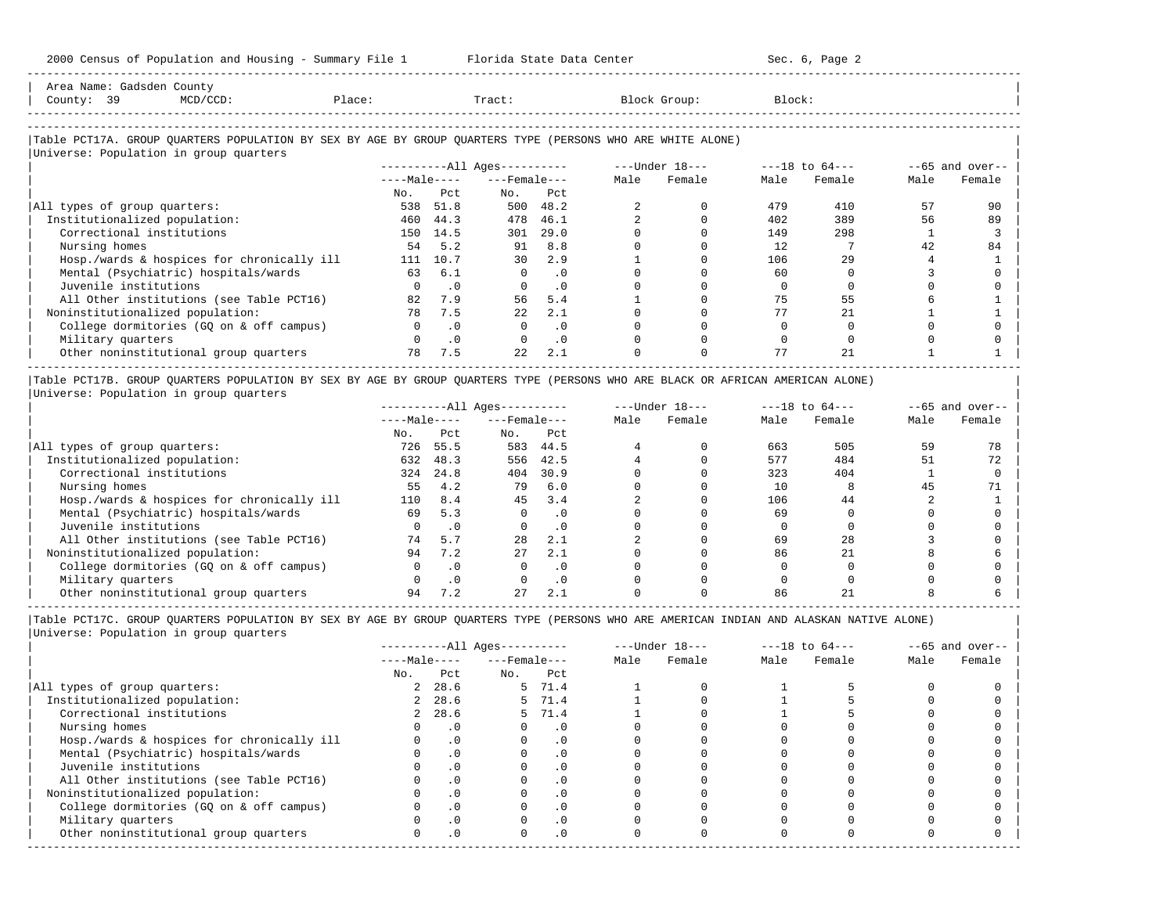| Area Name: Gadsden County<br>County: 39 | MCD/CCD:                                   | Place: | Tract: | Block Group:                                                                                               | Block: |  |
|-----------------------------------------|--------------------------------------------|--------|--------|------------------------------------------------------------------------------------------------------------|--------|--|
|                                         |                                            |        |        |                                                                                                            |        |  |
|                                         | Ittelización Danilation in cuante cuantora |        |        | Table PCT17A. GROUP OUARTERS POPULATION BY SEX BY AGE BY GROUP OUARTERS TYPE (PERSONS WHO ARE WHITE ALONE) |        |  |

-----------------------------------------------------------------------------------------------------------------------------------------------------

|                                            |              |           | ----------All Ages---------- |           |      | $---Under 18---$ |      | $---18$ to $64---$ |      | $--65$ and over-- |
|--------------------------------------------|--------------|-----------|------------------------------|-----------|------|------------------|------|--------------------|------|-------------------|
|                                            | $---Male---$ |           | $---$ Female $---$           |           | Male | Female           | Male | Female             | Male | Female            |
|                                            | No.          | Pct       | No.                          | Pct       |      |                  |      |                    |      |                   |
| All types of group quarters:               | 538          | 51.8      | 500                          | 48.2      |      |                  | 479  | 410                | 57   | 90                |
| Institutionalized population:              | 460          | 44.3      | 478                          | 46.1      |      |                  | 402  | 389                | 56   | 89                |
| Correctional institutions                  | 150          | 14.5      | 301                          | 29.0      |      |                  | 149  | 298                |      |                   |
| Nursing homes                              | 54           | 5.2       | 91                           | 8.8       |      |                  | 12   |                    | 42   | 84                |
| Hosp./wards & hospices for chronically ill | 111          | 10.7      | 30                           | 2.9       |      |                  | 106  | 29                 |      |                   |
| Mental (Psychiatric) hospitals/wards       | 63           | 6.1       | $\Omega$                     | . 0       |      |                  | 60   |                    |      |                   |
| Juvenile institutions                      |              | $\cdot$ 0 |                              | . 0       |      |                  |      |                    |      |                   |
| All Other institutions (see Table PCT16)   | 82           | 7.9       | 56                           | 5.4       |      |                  | 75   | 55                 |      |                   |
| Noninstitutionalized population:           | 78           | 7.5       | 22.2                         | 2.1       |      |                  |      | 21                 |      |                   |
| College dormitories (GO on & off campus)   |              | $\cdot$ 0 |                              | . 0       |      |                  |      |                    |      |                   |
| Military quarters                          |              | $\cdot$ 0 |                              | $\cdot$ 0 |      |                  |      |                    |      |                   |
| Other noninstitutional group quarters      | 78           | 7.5       | 22                           | 2.1       |      |                  | 77   | 21                 |      |                   |

|Table PCT17B. GROUP QUARTERS POPULATION BY SEX BY AGE BY GROUP QUARTERS TYPE (PERSONS WHO ARE BLACK OR AFRICAN AMERICAN ALONE) | |Universe: Population in group quarters |

|                                            |              |           | $------All Aqes------$ |           |      | $---Under 18---$ |      | $---18$ to $64---$ |      | $- -65$ and over-- |
|--------------------------------------------|--------------|-----------|------------------------|-----------|------|------------------|------|--------------------|------|--------------------|
|                                            | $---Male---$ |           | $---$ Female $---$     |           | Male | Female           | Male | Female             | Male | Female             |
|                                            | No.          | Pct       | No.                    | Pct       |      |                  |      |                    |      |                    |
| All types of group quarters:               | 726          | 55.5      | 583                    | 44.5      |      |                  | 663  | 505                | 59   |                    |
| Institutionalized population:              | 632          | 48.3      | 556                    | 42.5      |      |                  | 577  | 484                | 51   | 72                 |
| Correctional institutions                  | 324          | 24.8      | 404                    | 30.9      |      |                  | 323  | 404                |      |                    |
| Nursing homes                              | 55           | 4.2       | 79                     | 6.0       |      |                  |      |                    | 45   |                    |
| Hosp./wards & hospices for chronically ill | 110          | 8.4       | 45                     | 3.4       |      |                  | 106  | 44                 |      |                    |
| Mental (Psychiatric) hospitals/wards       | 69           | 5.3       |                        | $\cdot$ 0 |      |                  | 69   |                    |      |                    |
| Juvenile institutions                      |              | $\cdot$ 0 |                        | . 0       |      |                  |      |                    |      |                    |
| All Other institutions (see Table PCT16)   | 74           | 5.7       | 28                     | 2.1       |      |                  | 69   | 28                 |      |                    |
| Noninstitutionalized population:           | 94           | 7.2       | 27                     | 2.1       |      |                  | 86   | 21                 |      |                    |
| College dormitories (GO on & off campus)   |              | $\cdot$ 0 |                        | $\cdot$ 0 |      |                  |      |                    |      |                    |
| Military quarters                          |              | $\cdot$ 0 |                        | $\cdot$ 0 |      |                  |      |                    |      |                    |
| Other noninstitutional group quarters      | 94           |           | 27                     | 2.1       |      |                  | 86   |                    |      |                    |

-----------------------------------------------------------------------------------------------------------------------------------------------------

|                                            |                |           | $------All Ages------$ |           |      | $---Under 18---$ |      | $---18$ to $64---$ |      | $--65$ and over-- |
|--------------------------------------------|----------------|-----------|------------------------|-----------|------|------------------|------|--------------------|------|-------------------|
|                                            | $---Male---$   |           | $---$ Female $---$     |           | Male | Female           | Male | Female             | Male | Female            |
|                                            | No.            | Pct       | No.                    | Pct       |      |                  |      |                    |      |                   |
| All types of group quarters:               | 2              | 28.6      |                        | 5 71.4    |      |                  |      |                    |      |                   |
| Institutionalized population:              | $\overline{2}$ | 28.6      |                        | 5 71.4    |      |                  |      |                    |      |                   |
| Correctional institutions                  |                | 2, 28.6   |                        | 5 71.4    |      |                  |      |                    |      |                   |
| Nursing homes                              |                | $\cdot$ 0 |                        | $\cdot$ 0 |      |                  |      |                    |      |                   |
| Hosp./wards & hospices for chronically ill |                | $\cdot$ 0 |                        | . 0       |      |                  |      |                    |      |                   |
| Mental (Psychiatric) hospitals/wards       |                | $\cdot$ 0 |                        | $\cdot$ 0 |      |                  |      |                    |      |                   |
| Juvenile institutions                      |                |           |                        | $\cdot$ 0 |      |                  |      |                    |      |                   |
| All Other institutions (see Table PCT16)   |                |           |                        |           |      |                  |      |                    |      |                   |
| Noninstitutionalized population:           |                | $\cdot$ 0 |                        | $\cdot$ 0 |      |                  |      |                    |      |                   |
| College dormitories (GO on & off campus)   |                |           |                        | $\cdot$ 0 |      |                  |      |                    |      |                   |
| Military quarters                          |                |           |                        | $\cdot$ 0 |      |                  |      |                    |      |                   |
| Other noninstitutional group quarters      | <sup>n</sup>   | $\cdot$ 0 |                        | $\cdot$ 0 |      |                  |      |                    |      |                   |
|                                            |                |           |                        |           |      |                  |      |                    |      |                   |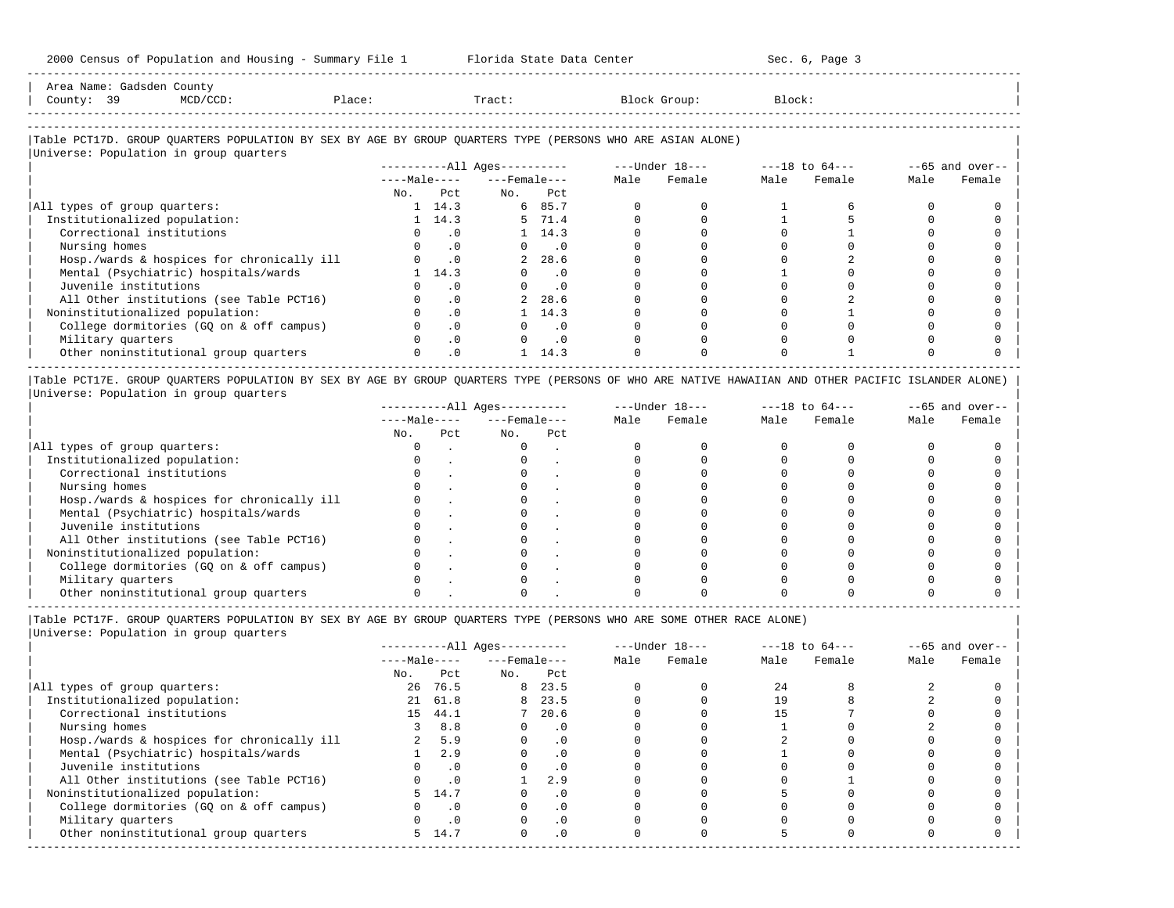| 2000 Census of Population and Housing - Summary File 1                                                                                               |        |                             | Florida State Data Center    |               |  |                |                | Sec. 6, Page 3 |      |                   |
|------------------------------------------------------------------------------------------------------------------------------------------------------|--------|-----------------------------|------------------------------|---------------|--|----------------|----------------|----------------|------|-------------------|
| Area Name: Gadsden County<br>County: 39<br>MCD/CCD:                                                                                                  | Place: |                             | Tract:                       |               |  | Block Group:   | Block:         |                |      |                   |
| Table PCT17D. GROUP QUARTERS POPULATION BY SEX BY AGE BY GROUP QUARTERS TYPE (PERSONS WHO ARE ASIAN ALONE)<br>Universe: Population in group quarters |        |                             | ----------All Ages---------- |               |  | ---Under 18--- | ---18 to 64--- |                |      | $--65$ and over-- |
|                                                                                                                                                      |        |                             | $---Male-- ---Female$        |               |  | Male Female    | Male           | Female         | Male | Female            |
|                                                                                                                                                      |        | No. Pct                     |                              | No. Pct       |  |                |                |                |      |                   |
| All types of group quarters:                                                                                                                         |        | 1 14.3                      |                              | 6 85.7        |  |                |                |                |      |                   |
| Institutionalized population:                                                                                                                        |        | 1 14.3                      |                              | 5 71.4        |  |                |                |                |      |                   |
| Correctional institutions                                                                                                                            |        | $\sim$ 0                    |                              | 1, 14.3       |  |                |                |                |      |                   |
| Nursing homes                                                                                                                                        |        | $\cdot$ 0                   |                              | $0 \qquad .0$ |  |                |                |                |      |                   |
| Hosp./wards & hospices for chronically ill                                                                                                           |        | $\overline{\phantom{0}}$ .0 |                              | 2 28.6        |  |                |                |                |      |                   |
| Mental (Psychiatric) hospitals/wards                                                                                                                 |        | 14.3                        |                              | $\cdot$ 0     |  |                |                |                |      |                   |
| Juvenile institutions                                                                                                                                |        | $\cdot$ 0                   |                              | $\cdot$ 0     |  |                |                |                |      |                   |
| All Other institutions (see Table PCT16)                                                                                                             |        | $\cdot$ 0                   |                              | 28.6          |  |                |                |                |      |                   |

| All Other institutions (see Table PCT16)                                                                                                                                                                                                         |  | 2 28.6 |  |  |  |
|--------------------------------------------------------------------------------------------------------------------------------------------------------------------------------------------------------------------------------------------------|--|--------|--|--|--|
| Noninstitutionalized population:                                                                                                                                                                                                                 |  | 14.3   |  |  |  |
| College dormitories (GQ on & off campus)                                                                                                                                                                                                         |  |        |  |  |  |
| Military quarters                                                                                                                                                                                                                                |  |        |  |  |  |
| Other noninstitutional group quarters                                                                                                                                                                                                            |  | 14.3   |  |  |  |
| $ -$<br>------<br>Anally allowsed cardio-provided by any by an ell analysis allows and the color of the color climate and analysis and the color of the color of the color of the color of the color of the color of the color of the color of t |  |        |  |  |  |

|Table PCT17E. GROUP QUARTERS POPULATION BY SEX BY AGE BY GROUP QUARTERS TYPE (PERSONS OF WHO ARE NATIVE HAWAIIAN AND OTHER PACIFIC ISLANDER ALONE) | |Universe: Population in group quarters |

|                                            |              |     | $------All Aqes------$ |     |      | $---Under 18---$ |      | $---18$ to $64---$ |      | $--65$ and over-- |
|--------------------------------------------|--------------|-----|------------------------|-----|------|------------------|------|--------------------|------|-------------------|
|                                            | $---Male---$ |     | $---$ Female $---$     |     | Male | Female           | Male | Female             | Male | Female            |
|                                            | No.          | Pct | No.                    | Pct |      |                  |      |                    |      |                   |
| All types of group quarters:               |              |     |                        |     |      |                  |      |                    |      |                   |
| Institutionalized population:              |              |     |                        |     |      |                  |      |                    |      |                   |
| Correctional institutions                  |              |     |                        |     |      |                  |      |                    |      |                   |
| Nursing homes                              |              |     |                        |     |      |                  |      |                    |      |                   |
| Hosp./wards & hospices for chronically ill |              |     |                        |     |      |                  |      |                    |      |                   |
| Mental (Psychiatric) hospitals/wards       |              |     |                        |     |      |                  |      |                    |      |                   |
| Juvenile institutions                      |              |     |                        |     |      |                  |      |                    |      |                   |
| All Other institutions (see Table PCT16)   |              |     |                        |     |      |                  |      |                    |      |                   |
| Noninstitutionalized population:           |              |     |                        |     |      |                  |      |                    |      |                   |
| College dormitories (GO on & off campus)   |              |     |                        |     |      |                  |      |                    |      |                   |
| Military quarters                          |              |     |                        |     |      |                  |      |                    |      |                   |
| Other noninstitutional group quarters      |              |     |                        |     |      |                  |      |                    |      |                   |

|Table PCT17F. GROUP QUARTERS POPULATION BY SEX BY AGE BY GROUP QUARTERS TYPE (PERSONS WHO ARE SOME OTHER RACE ALONE) |

|                                            |              |           | ----------All Ages---------- |           |      | $---Under 18---$ |      | $---18$ to $64---$ |      | $--65$ and over-- |
|--------------------------------------------|--------------|-----------|------------------------------|-----------|------|------------------|------|--------------------|------|-------------------|
|                                            | $---Male---$ |           | $---$ Female $---$           |           | Male | Female           | Male | Female             | Male | Female            |
|                                            | No.          | Pct       | No.                          | Pct       |      |                  |      |                    |      |                   |
| All types of group quarters:               |              | 26 76.5   |                              | 8 23.5    |      |                  | 24   |                    |      |                   |
| Institutionalized population:              |              | 21 61.8   | 8                            | 23.5      |      |                  | 19   |                    |      |                   |
| Correctional institutions                  | 15           | 44.1      |                              | 20.6      |      |                  |      |                    |      |                   |
| Nursing homes                              |              | 8.8       | $\Omega$                     | .0        |      |                  |      |                    |      |                   |
| Hosp./wards & hospices for chronically ill |              | 5.9       |                              | $\cdot$ 0 |      |                  |      |                    |      |                   |
| Mental (Psychiatric) hospitals/wards       |              | 2.9       |                              | . 0       |      |                  |      |                    |      |                   |
| Juvenile institutions                      |              | $\cdot$ 0 |                              | .0        |      |                  |      |                    |      |                   |
| All Other institutions (see Table PCT16)   |              | .0        |                              | 2.9       |      |                  |      |                    |      |                   |
| Noninstitutionalized population:           | 5.           | 14.7      |                              | .0        |      |                  |      |                    |      |                   |
| College dormitories (GQ on & off campus)   |              | $\cdot$ 0 |                              | $\cdot$ 0 |      |                  |      |                    |      |                   |
| Military quarters                          |              | $\cdot$ 0 |                              | $\cdot$ 0 |      |                  |      |                    |      |                   |
| Other noninstitutional group quarters      |              | 5 14.7    | $\Omega$                     | $\cdot$ 0 |      |                  |      |                    |      |                   |
|                                            |              |           |                              |           |      |                  |      |                    |      |                   |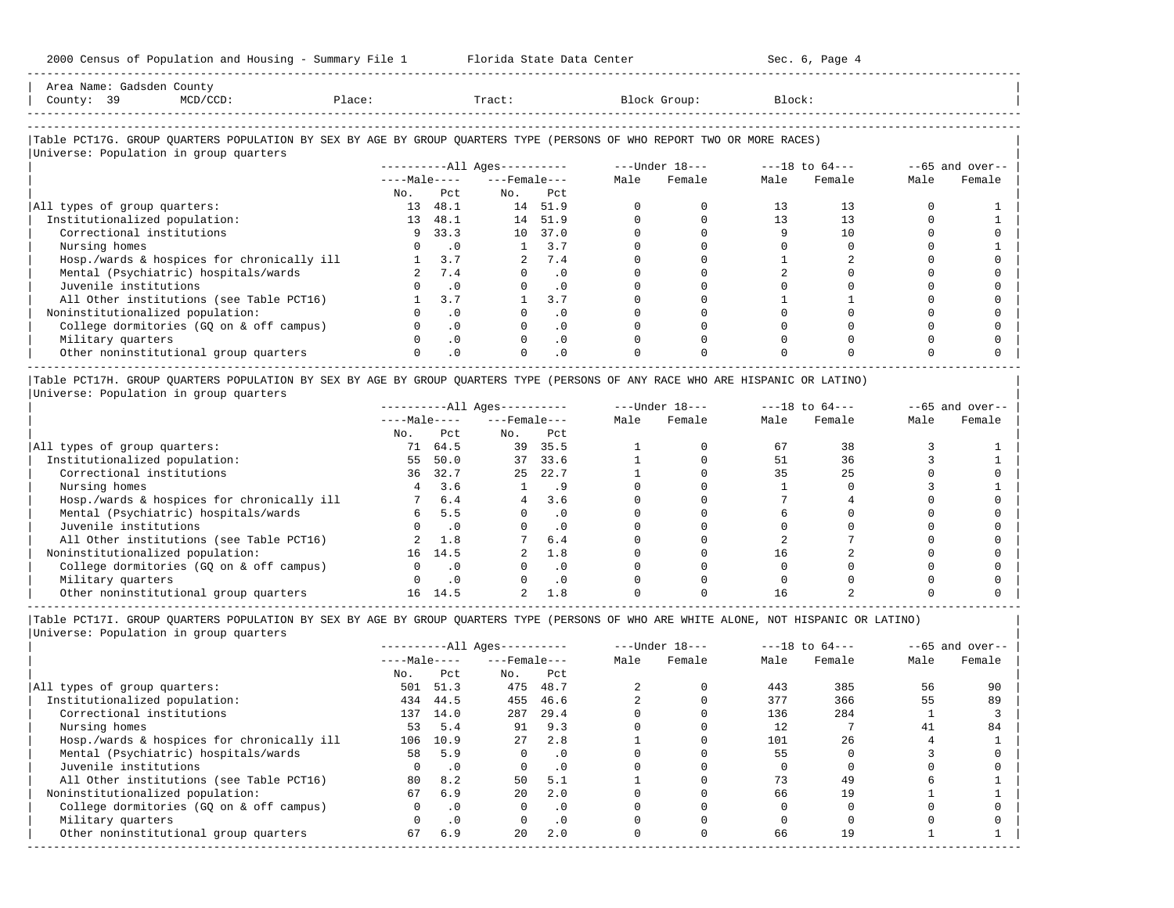| 2000 Census of Population and Housing - Summary File 1 Florida State Data Center                                              |           |                             |                             |               |          |              |              | Sec. 6, Page 4                |              |                    |
|-------------------------------------------------------------------------------------------------------------------------------|-----------|-----------------------------|-----------------------------|---------------|----------|--------------|--------------|-------------------------------|--------------|--------------------|
| Area Name: Gadsden County<br>County: 39<br>Place: Tract:<br>$MCD/CCD$ :                                                       |           |                             |                             |               |          | Block Group: | Block:       |                               |              |                    |
| Table PCT17G. GROUP QUARTERS POPULATION BY SEX BY AGE BY GROUP QUARTERS TYPE (PERSONS OF WHO REPORT TWO OR MORE RACES)        |           |                             |                             |               |          |              |              |                               |              |                    |
| Universe: Population in group quarters                                                                                        |           |                             |                             |               |          |              |              |                               |              |                    |
|                                                                                                                               |           |                             |                             |               |          |              |              |                               |              | $- -65$ and over-- |
|                                                                                                                               |           |                             | $---Male-- ---Female---$    |               |          | Male Female  | Male         | Female                        | Male         | Female             |
|                                                                                                                               | No.       | Pct.                        | No.                         | Pct.          |          |              |              |                               |              |                    |
| All types of group quarters:                                                                                                  |           | 13 48.1                     |                             | 14 51.9       | $\Omega$ | $\Omega$     | 13           | 13                            | <sup>0</sup> |                    |
| Institutionalized population:                                                                                                 |           | 13 48.1                     |                             | 14 51.9       | $\Omega$ | $\Omega$     | 13           | 13                            | $\Omega$     |                    |
| Correctional institutions                                                                                                     |           | 9, 33.3                     |                             | 10 37.0       | $\Omega$ | $\Omega$     | 9            | 10                            | $\cap$       |                    |
| Nursing homes                                                                                                                 |           | $0 \qquad .0$               | $\mathbf{1}$                | 3.7           | $\Omega$ | $\Omega$     | <sup>n</sup> | $\Omega$                      |              |                    |
| Hosp./wards & hospices for chronically ill                                                                                    | $1 \t3.7$ |                             |                             | 2 7.4         |          | $\Omega$     |              |                               |              |                    |
| Mental (Psychiatric) hospitals/wards                                                                                          |           | 2 7.4                       |                             | $0 \qquad 0$  | $\Omega$ | $\Omega$     |              | <sup>n</sup>                  |              |                    |
| Juvenile institutions                                                                                                         |           | $\overline{\phantom{0}}$ .0 |                             | $0 \qquad .0$ | $\Omega$ | $\Omega$     |              |                               |              |                    |
| All Other institutions (see Table PCT16)                                                                                      |           | $1 \quad 3.7$               |                             | 3.7           | $\Omega$ | $\Omega$     |              |                               |              |                    |
| Noninstitutionalized population:                                                                                              |           | $\cdot$ 0                   |                             | $\cdot$ 0     |          |              |              |                               |              |                    |
| College dormitories (GQ on & off campus)                                                                                      |           | $\cdot$ 0                   | $\circ$                     | $\cdot$ 0     |          | $\Omega$     |              |                               |              |                    |
| Military quarters                                                                                                             |           | $\cdot$ 0                   | $\Omega$                    | $\cdot$ 0     | $\Omega$ |              |              |                               |              |                    |
| Other noninstitutional group quarters                                                                                         |           | .0                          | $\Omega$                    | $\cdot$ 0     |          |              |              |                               |              |                    |
| Table PCT17H. GROUP QUARTERS POPULATION BY SEX BY AGE BY GROUP QUARTERS TYPE (PERSONS OF ANY RACE WHO ARE HISPANIC OR LATINO) |           |                             |                             |               |          |              |              |                               |              |                    |
| Universe: Population in group quarters                                                                                        |           |                             |                             |               |          |              |              |                               |              |                    |
|                                                                                                                               |           |                             | ----------All Ages--------- |               |          |              |              | ---Under 18--- ---18 to 64--- |              | $- -65$ and over-- |
|                                                                                                                               |           |                             | $---Male-- ---Female---$    |               |          | Male Female  | Male         | Female                        | Male         | Female             |
|                                                                                                                               |           | No. Pct                     | No. Pct                     |               |          |              |              |                               |              |                    |
| All types of group quarters:                                                                                                  | 71 64.5   |                             | 39 35.5                     |               |          | $\Omega$     | 67           | 38                            |              |                    |
| Institutionalized population:                                                                                                 |           | 55 50.0                     | 37 33.6                     |               |          | $\Omega$     | 51           | 36                            | ζ            |                    |

| Correctional institutions 36 32.7 25 22.7 1 0 35 25 0 0 | | Nursing homes 4 3.6 1 .9 0 0 1 0 3 1 |  $\vert$  Hosp./wards & hospices for chronically ill  $\vert$  7  $\vert$  6.4  $\vert$  4  $\vert$  3.6  $\vert$  0  $\vert$  0  $\vert$  0  $\vert$  0  $\vert$  0  $\vert$  0  $\vert$  0  $\vert$  0  $\vert$  0  $\vert$  0  $\vert$  0  $\vert$  0  $\vert$  0  $\vert$  0  $\vert$  0  $\vert$  0  $\vert$  1  $\vert$  1  $\vert$  1  $\vert$  1 | Mental (Psychiatric) hospitals/wards 6 5.5 0 .0 0 0 6 0 0 0 | | Juvenile institutions 0 .0 0 .0 0 0 0 0 0 0 | | All Other institutions (see Table PCT16) 2 1.8 7 6.4 0 0 2 7 0 0 | | Noninstitutionalized population: 16 14.5 2 1.8 0 0 16 2 0 0 | | College dormitories (GQ on & off campus) 0 .0 0 .0 0 0 0 0 0 0 | | Military quarters 0 .0 0 .0 0 0 0 0 0 0 |  $\vert$  Other noninstitutional group quarters  $\vert$  16  $\vert$  14.5  $\vert$  2  $\vert$  1.8  $\vert$  0  $\vert$  0  $\vert$  0  $\vert$  0  $\vert$  0  $\vert$  0  $\vert$  0  $\vert$  0  $\vert$  0  $\vert$  1.8  $\vert$  0  $\vert$  0  $\vert$  0  $\vert$  0  $\vert$ 

----------------------------------------------------------------------------------------------------------------------------------------------------- |Table PCT17I. GROUP QUARTERS POPULATION BY SEX BY AGE BY GROUP QUARTERS TYPE (PERSONS OF WHO ARE WHITE ALONE, NOT HISPANIC OR LATINO) | |Universe: Population in group quarters |

| ----------All Ages---------- ---Under 18--- ---18 to 64--- --65 and over-- | | ----Male---- ---Female--- Male Female Male Female Male Female | | No. Pct No. Pct No. Pct No. Prediction of the set of the set of the set of the set of the set of the set of the set of the set of the set of the set of the set of the set of the set of the set of the set of the set of th |All types of group quarters: 501 51.3 475 48.7 2 0 443 385 56 90 | | Institutionalized population: 434 44.5 455 46.6 2 0 377 366 55 89 | | Correctional institutions 137 14.0 287 29.4 0 0 136 284 1 3 | | Nursing homes 53 5.4 91 9.3 0 0 12 7 41 84 | | Hosp./wards & hospices for chronically ill 106 10.9 27 2.8 1 0 101 26 4 1 | | Mental (Psychiatric) hospitals/wards 58 5.9 0 .0 0 0 55 0 3 0 | | Juvenile institutions 0 .0 0 .0 0 0 0 0 0 0 | | All Other institutions (see Table PCT16) 80 8.2 50 5.1 1 0 73 49 6 1 | | Noninstitutionalized population: 67 6.9 20 2.0 0 0 66 19 1 1 | | College dormitories (GQ on & off campus) 0 .0 0 .0 0 0 0 0 0 0 | | Military quarters 0 .0 0 .0 0 0 0 0 0 0 | | Other noninstitutional group quarters 67 6.9 20 2.0 0 0 66 19 1 1 | -----------------------------------------------------------------------------------------------------------------------------------------------------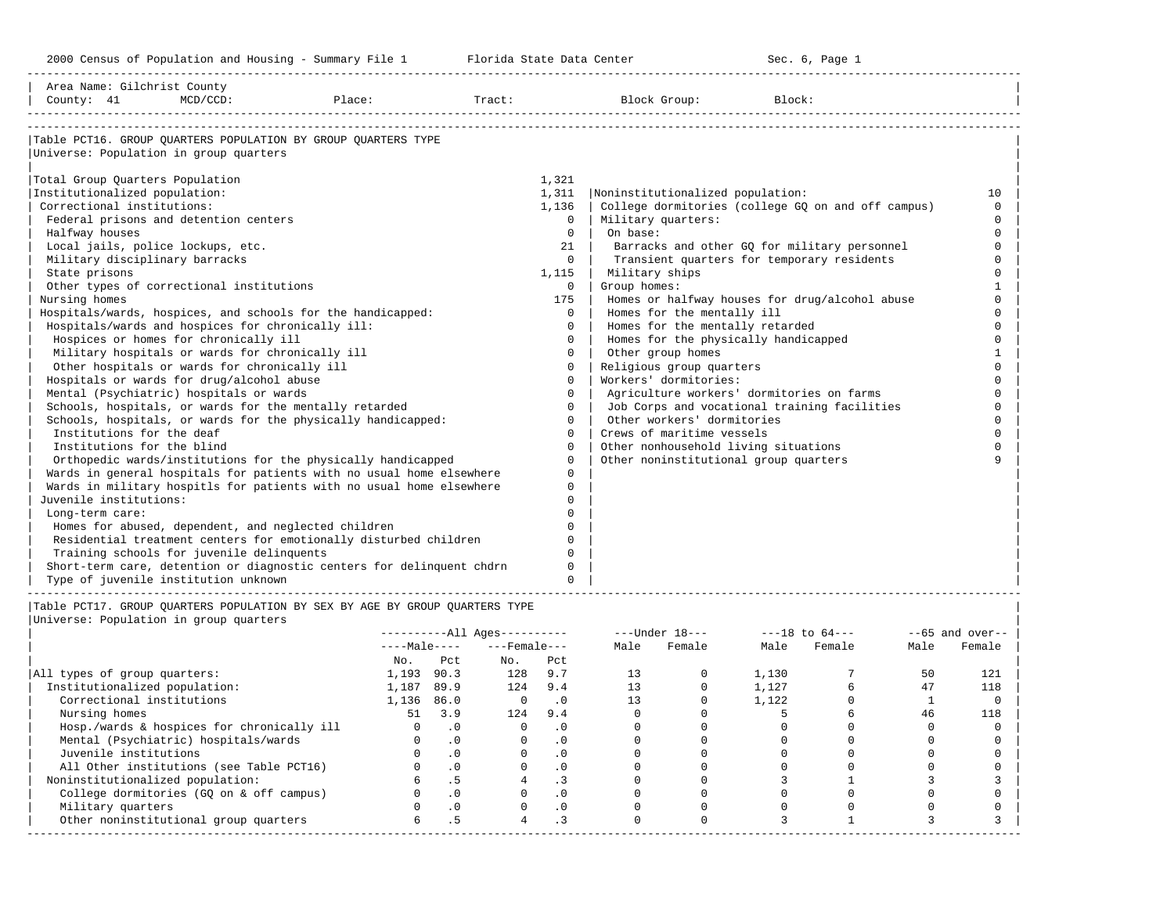-----------------------------------------------------------------------------------------------------------------------------------------------------

| Area Name: Gilchrist County<br>County: 41         | $MCD/CCD$ : | Place:                                                                | Tract: |              | Block Group:                              | Block:                                             |          |
|---------------------------------------------------|-------------|-----------------------------------------------------------------------|--------|--------------|-------------------------------------------|----------------------------------------------------|----------|
|                                                   |             | Table PCT16. GROUP OUARTERS POPULATION BY GROUP OUARTERS TYPE         |        |              |                                           |                                                    |          |
| Universe: Population in group quarters            |             |                                                                       |        |              |                                           |                                                    |          |
| Total Group Quarters Population                   |             |                                                                       |        | 1,321        |                                           |                                                    |          |
| Institutionalized population:                     |             |                                                                       |        | 1,311        | Noninstitutionalized population:          |                                                    | 10       |
| Correctional institutions:                        |             |                                                                       |        | 1,136        |                                           | College dormitories (college GO on and off campus) | $\Omega$ |
| Federal prisons and detention centers             |             |                                                                       |        | $\Omega$     | Military quarters:                        |                                                    | $\Omega$ |
| Halfway houses                                    |             |                                                                       |        | $\Omega$     | On base:                                  |                                                    | $\Omega$ |
| Local jails, police lockups, etc.                 |             |                                                                       |        | 21           |                                           | Barracks and other GO for military personnel       | $\Omega$ |
| Military disciplinary barracks                    |             |                                                                       |        | $\Omega$     |                                           | Transient quarters for temporary residents         |          |
| State prisons                                     |             |                                                                       |        | 1,115        | Military ships                            |                                                    |          |
| Other types of correctional institutions          |             |                                                                       |        | $\mathbf{0}$ | Group homes:                              |                                                    |          |
| Nursing homes                                     |             |                                                                       |        | 175          |                                           | Homes or halfway houses for drug/alcohol abuse     | $\Omega$ |
|                                                   |             | Hospitals/wards, hospices, and schools for the handicapped:           |        | $\Omega$     | Homes for the mentally ill                |                                                    |          |
| Hospitals/wards and hospices for chronically ill: |             |                                                                       |        | $\Omega$     | Homes for the mentally retarded           |                                                    |          |
| Hospices or homes for chronically ill             |             |                                                                       |        | $\Omega$     | Homes for the physically handicapped      |                                                    |          |
| Military hospitals or wards for chronically ill   |             |                                                                       |        | $\Omega$     | Other group homes                         |                                                    |          |
| Other hospitals or wards for chronically ill      |             |                                                                       |        | $\Omega$     | Religious group quarters                  |                                                    | $\Omega$ |
| Hospitals or wards for drug/alcohol abuse         |             |                                                                       |        | $\Omega$     | Workers' dormitories:                     |                                                    | $\Omega$ |
| Mental (Psychiatric) hospitals or wards           |             |                                                                       |        | $\Omega$     | Agriculture workers' dormitories on farms |                                                    | $\Omega$ |
|                                                   |             | Schools, hospitals, or wards for the mentally retarded                |        | $\Omega$     |                                           | Job Corps and vocational training facilities       | $\Omega$ |
|                                                   |             | Schools, hospitals, or wards for the physically handicapped:          |        | $\Omega$     | Other workers' dormitories                |                                                    |          |
| Institutions for the deaf                         |             |                                                                       |        | $\Omega$     | Crews of maritime vessels                 |                                                    | $\cap$   |
| Institutions for the blind                        |             |                                                                       |        | $\Omega$     | Other nonhousehold living situations      |                                                    | $\cap$   |
|                                                   |             | Orthopedic wards/institutions for the physically handicapped          |        | 0            | Other noninstitutional group quarters     |                                                    |          |
|                                                   |             | Wards in general hospitals for patients with no usual home elsewhere  |        | $\Omega$     |                                           |                                                    |          |
|                                                   |             | Wards in military hospitls for patients with no usual home elsewhere  |        | $\Omega$     |                                           |                                                    |          |
| Juvenile institutions:                            |             |                                                                       |        | U            |                                           |                                                    |          |
| Long-term care:                                   |             |                                                                       |        | $\cap$       |                                           |                                                    |          |
|                                                   |             | Homes for abused, dependent, and neglected children                   |        | U            |                                           |                                                    |          |
|                                                   |             | Residential treatment centers for emotionally disturbed children      |        | U            |                                           |                                                    |          |
| Training schools for juvenile delinquents         |             |                                                                       |        | $\Omega$     |                                           |                                                    |          |
|                                                   |             | Short-term care, detention or diagnostic centers for delinguent chdrn |        | $\Omega$     |                                           |                                                    |          |
| Type of juvenile institution unknown              |             |                                                                       |        | $\cap$       |                                           |                                                    |          |

|                                            |              |                 | $------All Aqes------$ |           |      | $---Under 18---$ | $---18$ to $64---$ |        | $--65$ and over-- |        |
|--------------------------------------------|--------------|-----------------|------------------------|-----------|------|------------------|--------------------|--------|-------------------|--------|
|                                            | $---Male---$ |                 | $---$ Female $---$     |           | Male | Female           | Male               | Female | Male              | Female |
|                                            | No.          | Pct.            | No.                    | Pct       |      |                  |                    |        |                   |        |
| All types of group quarters:               | 1,193        | 90.3            | 128                    | 9.7       |      |                  | 1,130              |        | 50                | 121    |
| Institutionalized population:              | 1,187        | 89.9            | 124                    | 9.4       | 13   |                  | 1,127              |        | 47                | 118    |
| Correctional institutions                  | 1,136        | 86.0            | $\Omega$               | $\cdot$ 0 | 13   |                  | 1,122              |        |                   |        |
| Nursing homes                              | 51           | 3.9             | 124                    | 9.4       |      |                  |                    |        | 46                | 118    |
| Hosp./wards & hospices for chronically ill |              | $\cdot$ 0       |                        | . 0       |      |                  |                    |        |                   |        |
| Mental (Psychiatric) hospitals/wards       |              | $\cdot$ 0       |                        | $\cdot$ 0 |      |                  |                    |        |                   |        |
| Juvenile institutions                      |              | $\cdot$ 0       |                        | $\Omega$  |      |                  |                    |        |                   |        |
| All Other institutions (see Table PCT16)   |              | $\cdot$ 0       |                        |           |      |                  |                    |        |                   |        |
| Noninstitutionalized population:           |              | .5 <sub>1</sub> |                        | $\cdot$ 3 |      |                  |                    |        |                   |        |
| College dormitories (GQ on & off campus)   |              | $\cdot$ 0       |                        | . 0       |      |                  |                    |        |                   |        |
| Military quarters                          |              | $\cdot$ 0       |                        | . 0       |      |                  |                    |        |                   |        |
| Other noninstitutional group quarters      | 6            | .5              |                        | $\cdot$ 3 |      |                  |                    |        |                   |        |
|                                            |              |                 |                        |           |      |                  |                    |        |                   |        |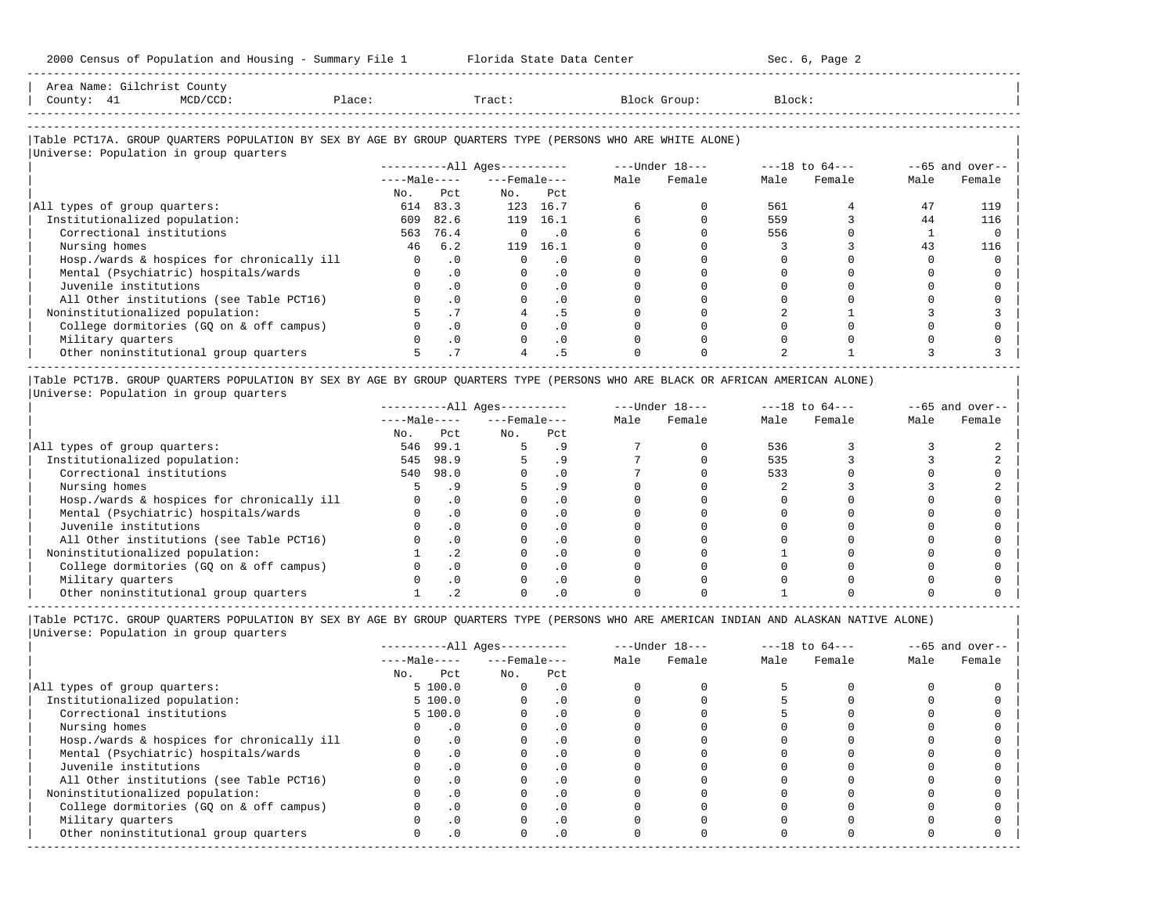| Area  |    | ::זמנוכ                                                                         |                |                |     |
|-------|----|---------------------------------------------------------------------------------|----------------|----------------|-----|
| Count | -- | the contract of the contract of the contract of the contract of the contract of | $\overline{a}$ | $\overline{a}$ | nek |
|       |    |                                                                                 |                |                |     |

-----------------------------------------------------------------------------------------------------------------------------------------------------

-----------------------------------------------------------------------------------------------------------------------------------------------------

### |Table PCT17A. GROUP QUARTERS POPULATION BY SEX BY AGE BY GROUP QUARTERS TYPE (PERSONS WHO ARE WHITE ALONE) | |<br>|Universe: Population in group quarters

| Universe, roparacion in group quarters     |              |           |                            |           |      |                  |                    |        |                   |        |
|--------------------------------------------|--------------|-----------|----------------------------|-----------|------|------------------|--------------------|--------|-------------------|--------|
|                                            |              |           | $------All \text{Aqes}---$ |           |      | $---Under 18---$ | $---18$ to $64---$ |        | $--65$ and over-- |        |
|                                            | $---Male---$ |           | $---$ Female $---$         |           | Male | Female           | Male               | Female | Male              | Female |
|                                            | No.          | Pct       | No.                        | Pct       |      |                  |                    |        |                   |        |
| All types of group quarters:               | 614          | 83.3      | 123                        | 16.7      |      |                  | 561                |        | 47                | 119    |
| Institutionalized population:              | 609          | 82.6      | 119                        | 16.1      |      |                  | 559                |        | 44                | 116    |
| Correctional institutions                  | 563          | 76.4      |                            | . 0       |      |                  | 556                |        |                   |        |
| Nursing homes                              | 46           | 6.2       | 119                        | 16.1      |      |                  |                    |        | 43                | 116    |
| Hosp./wards & hospices for chronically ill |              | $\cdot$ 0 |                            | $\cdot$ 0 |      |                  |                    |        |                   |        |
| Mental (Psychiatric) hospitals/wards       |              | $\cdot$ 0 |                            | . 0       |      |                  |                    |        |                   |        |
| Juvenile institutions                      |              |           |                            |           |      |                  |                    |        |                   |        |
| All Other institutions (see Table PCT16)   |              | $\cdot$ 0 |                            |           |      |                  |                    |        |                   |        |
| Noninstitutionalized population:           |              |           |                            |           |      |                  |                    |        |                   |        |
| College dormitories (GO on & off campus)   |              |           |                            |           |      |                  |                    |        |                   |        |
| Military quarters                          |              | $\cdot$ 0 |                            | . 0       |      |                  |                    |        |                   |        |
| Other noninstitutional group quarters      |              |           | 4                          | . 5       |      |                  |                    |        |                   |        |

|Table PCT17B. GROUP QUARTERS POPULATION BY SEX BY AGE BY GROUP QUARTERS TYPE (PERSONS WHO ARE BLACK OR AFRICAN AMERICAN ALONE) | |Universe: Population in group quarters |

|                                            |              |      | $------All Aqes------$ |           |      | $---Under 18---$ | $---18$ to $64---$ |        | $--65$ and over-- |        |
|--------------------------------------------|--------------|------|------------------------|-----------|------|------------------|--------------------|--------|-------------------|--------|
|                                            | $---Male---$ |      | $---$ Female $---$     |           | Male | Female           | Male               | Female | Male              | Female |
|                                            | No.          | Pct  | No.                    | Pct       |      |                  |                    |        |                   |        |
| All types of group quarters:               | 546          | 99.1 |                        |           |      |                  | 536                |        |                   |        |
| Institutionalized population:              | 545          | 98.9 |                        |           |      |                  | 535                |        |                   |        |
| Correctional institutions                  | 540          | 98.0 |                        | . 0       |      |                  | 533                |        |                   |        |
| Nursing homes                              |              |      |                        |           |      |                  |                    |        |                   |        |
| Hosp./wards & hospices for chronically ill |              |      |                        | . 0       |      |                  |                    |        |                   |        |
| Mental (Psychiatric) hospitals/wards       |              |      |                        | . 0       |      |                  |                    |        |                   |        |
| Juvenile institutions                      |              |      |                        | . 0       |      |                  |                    |        |                   |        |
| All Other institutions (see Table PCT16)   |              |      |                        | $\Omega$  |      |                  |                    |        |                   |        |
| Noninstitutionalized population:           |              | .2   |                        | . 0       |      |                  |                    |        |                   |        |
| College dormitories (GO on & off campus)   |              |      |                        | $\cdot$ 0 |      |                  |                    |        |                   |        |
| Military quarters                          |              |      |                        | . 0       |      |                  |                    |        |                   |        |
| Other noninstitutional group quarters      |              |      |                        |           |      |                  |                    |        |                   |        |

|                                            |              |           | $------All Ages------$ |           |      | $---Under 18---$ | $---18$ to $64---$ |        | $--65$ and over-- |        |
|--------------------------------------------|--------------|-----------|------------------------|-----------|------|------------------|--------------------|--------|-------------------|--------|
|                                            | $---Male---$ |           | $---$ Female $---$     |           | Male | Female           | Male               | Female | Male              | Female |
|                                            | No.          | Pct       | No.                    | Pct       |      |                  |                    |        |                   |        |
| All types of group quarters:               |              | 5 100.0   |                        | . 0       |      |                  |                    |        |                   |        |
| Institutionalized population:              |              | 5 100.0   |                        | . 0       |      |                  |                    |        |                   |        |
| Correctional institutions                  |              | 5 100.0   |                        |           |      |                  |                    |        |                   |        |
| Nursing homes                              |              | $\cdot$ 0 |                        | . 0       |      |                  |                    |        |                   |        |
| Hosp./wards & hospices for chronically ill |              |           |                        |           |      |                  |                    |        |                   |        |
| Mental (Psychiatric) hospitals/wards       |              | $\cdot$ 0 |                        | . 0       |      |                  |                    |        |                   |        |
| Juvenile institutions                      |              |           |                        | . 0       |      |                  |                    |        |                   |        |
| All Other institutions (see Table PCT16)   |              |           |                        | $\Omega$  |      |                  |                    |        |                   |        |
| Noninstitutionalized population:           |              | $\cdot$ 0 |                        | $\cdot$ 0 |      |                  |                    |        |                   |        |
| College dormitories (GQ on & off campus)   |              |           |                        | $\cdot$ 0 |      |                  |                    |        |                   |        |
| Military quarters                          |              |           |                        | . 0       |      |                  |                    |        |                   |        |
| Other noninstitutional group quarters      |              | .0        |                        | $\cdot$ 0 |      |                  |                    |        |                   |        |
|                                            |              |           |                        |           |      |                  |                    |        |                   |        |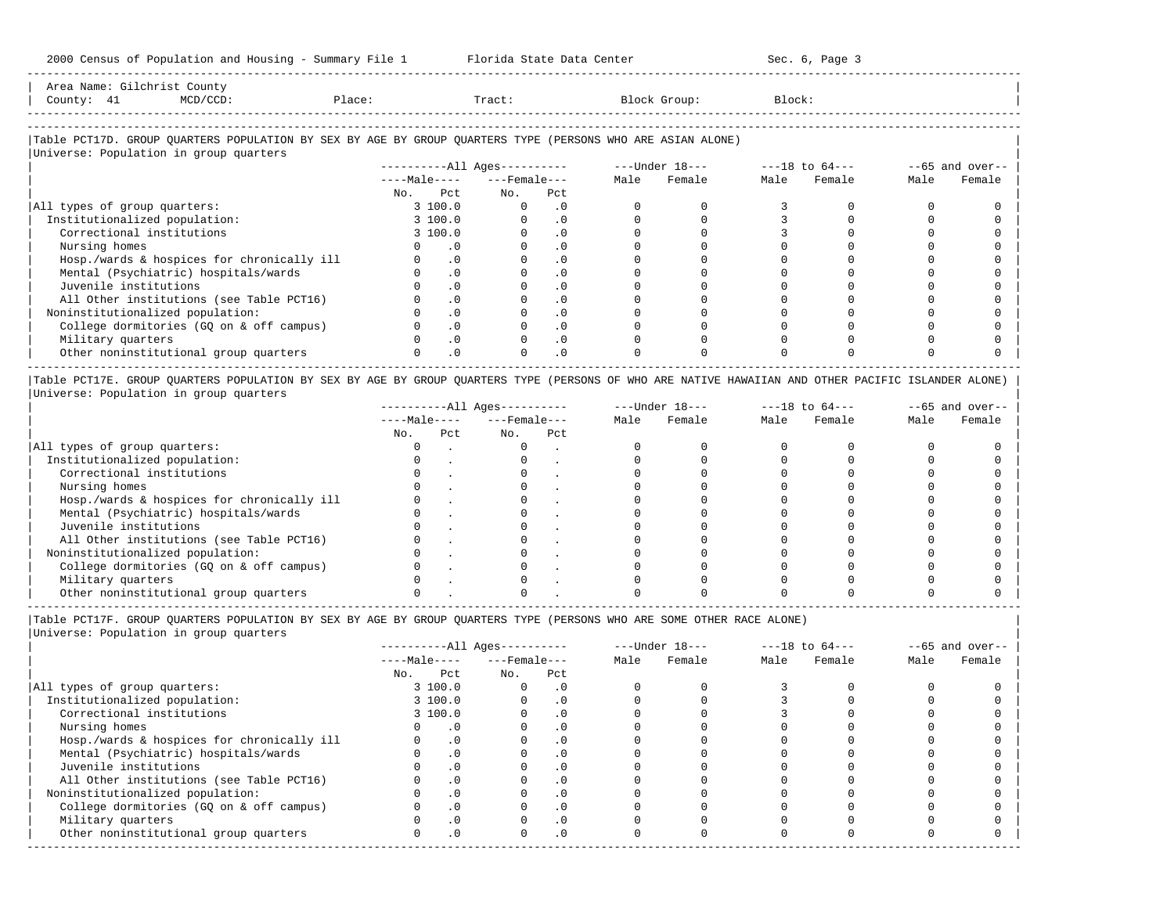-----------------------------------------------------------------------------------------------------------------------------------------------------

| Area<br>Name | محصا مصد | county:                                                                         |       |       |        |        |
|--------------|----------|---------------------------------------------------------------------------------|-------|-------|--------|--------|
| County       | --       | the contract of the contract of the contract of the contract of the contract of | Place | Tract | uroup: | Block' |
|              |          |                                                                                 |       |       |        |        |

-----------------------------------------------------------------------------------------------------------------------------------------------------

# |Table PCT17D. GROUP QUARTERS POPULATION BY SEX BY AGE BY GROUP QUARTERS TYPE (PERSONS WHO ARE ASIAN ALONE) |

|                                            |              | $------All Aqes------$ |           |      | $---Under 18---$ |      | $---18$ to $64---$ | $--65$ and over-- |        |
|--------------------------------------------|--------------|------------------------|-----------|------|------------------|------|--------------------|-------------------|--------|
|                                            | $---Male---$ | $---$ Female $---$     |           | Male | Female           | Male | Female             | Male              | Female |
|                                            | Pct<br>No.   | No.                    | Pct       |      |                  |      |                    |                   |        |
| All types of group quarters:               | 3 100.0      | $\Omega$               | $\cdot$ 0 |      |                  |      |                    |                   |        |
| Institutionalized population:              | 3 100.0      |                        | $\cdot$ 0 |      |                  |      |                    |                   |        |
| Correctional institutions                  | 3 100.0      |                        | $\cdot$ 0 |      |                  |      |                    |                   |        |
| Nursing homes                              |              |                        | $\cdot$ 0 |      |                  |      |                    |                   |        |
| Hosp./wards & hospices for chronically ill | $\cdot$ 0    |                        | $\cdot$ 0 |      |                  |      |                    |                   |        |
| Mental (Psychiatric) hospitals/wards       | $\cdot$ 0    |                        | .0        |      |                  |      |                    |                   |        |
| Juvenile institutions                      |              |                        | $\cdot$ 0 |      |                  |      |                    |                   |        |
| All Other institutions (see Table PCT16)   |              | $\cdot$ 0              | $\cdot$ 0 |      |                  |      |                    |                   |        |
| Noninstitutionalized population:           |              | $\cdot$ 0              | $\cdot$ 0 |      |                  |      |                    |                   |        |
| College dormitories (GQ on & off campus)   | $\cdot$ 0    |                        | $\cdot$ 0 |      |                  |      |                    |                   |        |
| Military quarters                          |              | $\cdot$ 0              | $\cdot$ 0 |      |                  |      |                    |                   |        |
| Other noninstitutional group quarters      |              | $\cdot$ 0              | $\cdot$ 0 |      |                  |      |                    |                   |        |

|Table PCT17E. GROUP QUARTERS POPULATION BY SEX BY AGE BY GROUP QUARTERS TYPE (PERSONS OF WHO ARE NATIVE HAWAIIAN AND OTHER PACIFIC ISLANDER ALONE) | |Universe: Population in group quarters |

|                                            |              |     | $------All Aqes------$ |     |      | $---Under 18---$ | $---18$ to $64---$ |        | $--65$ and over-- |        |
|--------------------------------------------|--------------|-----|------------------------|-----|------|------------------|--------------------|--------|-------------------|--------|
|                                            | $---Male---$ |     | $---$ Female $---$     |     | Male | Female           | Male               | Female | Male              | Female |
|                                            | No.          | Pct | No.                    | Pct |      |                  |                    |        |                   |        |
| All types of group quarters:               |              |     |                        |     |      |                  |                    |        |                   |        |
| Institutionalized population:              |              |     |                        |     |      |                  |                    |        |                   |        |
| Correctional institutions                  |              |     |                        |     |      |                  |                    |        |                   |        |
| Nursing homes                              |              |     |                        |     |      |                  |                    |        |                   |        |
| Hosp./wards & hospices for chronically ill |              |     |                        |     |      |                  |                    |        |                   |        |
| Mental (Psychiatric) hospitals/wards       |              |     |                        |     |      |                  |                    |        |                   |        |
| Juvenile institutions                      |              |     |                        |     |      |                  |                    |        |                   |        |
| All Other institutions (see Table PCT16)   |              |     |                        |     |      |                  |                    |        |                   |        |
| Noninstitutionalized population:           |              |     |                        |     |      |                  |                    |        |                   |        |
| College dormitories (GO on & off campus)   |              |     |                        |     |      |                  |                    |        |                   |        |
| Military quarters                          |              |     |                        |     |      |                  |                    |        |                   |        |
| Other noninstitutional group quarters      |              |     |                        |     |      |                  |                    |        |                   |        |

----------------------------------------------------------------------------------------------------------------------------------------------------- |Table PCT17F. GROUP QUARTERS POPULATION BY SEX BY AGE BY GROUP QUARTERS TYPE (PERSONS WHO ARE SOME OTHER RACE ALONE) |

|                                            |              |           | $------All Aqes------$ |           |      | $---Under 18---$ | $---18$ to $64---$ |        | $--65$ and over-- |        |
|--------------------------------------------|--------------|-----------|------------------------|-----------|------|------------------|--------------------|--------|-------------------|--------|
|                                            | $---Male---$ |           | $---$ Female ---       |           | Male | Female           | Male               | Female | Male              | Female |
|                                            | No.          | Pct       | No.                    | Pct       |      |                  |                    |        |                   |        |
| All types of group quarters:               |              | 3100.0    |                        | . 0       |      |                  |                    |        |                   |        |
| Institutionalized population:              |              | 3100.0    |                        | $\cdot$ 0 |      |                  |                    |        |                   |        |
| Correctional institutions                  |              | 3100.0    |                        | $\cdot$ 0 |      |                  |                    |        |                   |        |
| Nursing homes                              |              | $\cdot$ 0 |                        | $\cdot$ 0 |      |                  |                    |        |                   |        |
| Hosp./wards & hospices for chronically ill |              | .0        |                        | .0        |      |                  |                    |        |                   |        |
| Mental (Psychiatric) hospitals/wards       |              | $\cdot$ 0 |                        | $\cdot$ 0 |      |                  |                    |        |                   |        |
| Juvenile institutions                      |              | $\cdot$ 0 |                        |           |      |                  |                    |        |                   |        |
| All Other institutions (see Table PCT16)   |              | $\cdot$ 0 |                        |           |      |                  |                    |        |                   |        |
| Noninstitutionalized population:           |              | $\cdot$ 0 |                        | . 0       |      |                  |                    |        |                   |        |
| College dormitories (GQ on & off campus)   |              | $\cdot$ 0 |                        |           |      |                  |                    |        |                   |        |
| Military quarters                          |              | $\cdot$ 0 |                        |           |      |                  |                    |        |                   |        |
| Other noninstitutional group quarters      |              | $\cdot$ 0 |                        | $\cdot$ 0 |      |                  |                    |        |                   |        |
|                                            |              |           |                        |           |      |                  |                    |        |                   |        |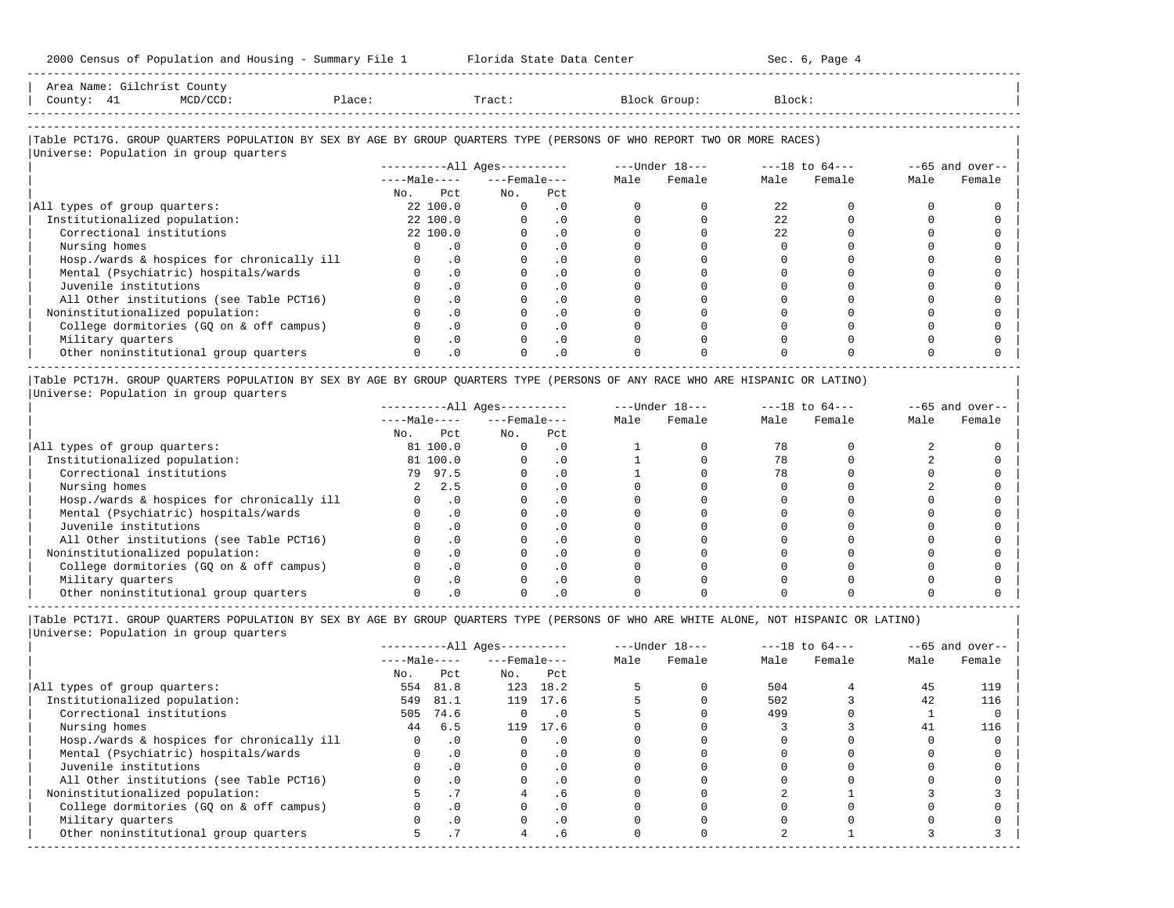-----------------------------------------------------------------------------------------------------------------------------------------------------

|            | Area Name: Gilchrist County                                                                                            |        |     |                              |                |                |                           |
|------------|------------------------------------------------------------------------------------------------------------------------|--------|-----|------------------------------|----------------|----------------|---------------------------|
| County: 41 | MCD/CCD:                                                                                                               | Place: |     | Tract:                       | Block Group:   | Block:         |                           |
|            |                                                                                                                        |        |     |                              |                |                |                           |
|            |                                                                                                                        |        |     |                              |                |                |                           |
|            | Table PCT17G. GROUP QUARTERS POPULATION BY SEX BY AGE BY GROUP QUARTERS TYPE (PERSONS OF WHO REPORT TWO OR MORE RACES) |        |     |                              |                |                |                           |
|            | Universe: Population in group quarters                                                                                 |        |     |                              |                |                |                           |
|            |                                                                                                                        |        |     | ----------All Ages---------- | ---Under 18--- | ---18 to 64--- | $--65$ and over-- $\vert$ |
|            |                                                                                                                        |        |     | $---Male-- ---Female---$     | Female<br>Male | Male Female    | Female<br>Male            |
|            |                                                                                                                        | No.    | Pct | Pct<br>No.                   |                |                |                           |

-----------------------------------------------------------------------------------------------------------------------------------------------------

| All types of group quarters:               | 22 100.0  |  |  |    |  |  |
|--------------------------------------------|-----------|--|--|----|--|--|
| Institutionalized population:              | 22 100.0  |  |  | 22 |  |  |
| Correctional institutions                  | 22, 100.0 |  |  | 22 |  |  |
| Nursing homes                              |           |  |  |    |  |  |
| Hosp./wards & hospices for chronically ill |           |  |  |    |  |  |
| Mental (Psychiatric) hospitals/wards       |           |  |  |    |  |  |
| Juvenile institutions                      |           |  |  |    |  |  |
| All Other institutions (see Table PCT16)   |           |  |  |    |  |  |
| Noninstitutionalized population:           |           |  |  |    |  |  |
| College dormitories (GQ on & off campus)   |           |  |  |    |  |  |
| Military quarters                          |           |  |  |    |  |  |
| Other noninstitutional group quarters      |           |  |  |    |  |  |
|                                            |           |  |  |    |  |  |

|Table PCT17H. GROUP QUARTERS POPULATION BY SEX BY AGE BY GROUP QUARTERS TYPE (PERSONS OF ANY RACE WHO ARE HISPANIC OR LATINO) | |Universe: Population in group quarters |

|                                            |     |              | $------All Aqes------$ |     |      | $---Under 18---$ | $---18$ to $64---$ |        | $--65$ and over-- |        |
|--------------------------------------------|-----|--------------|------------------------|-----|------|------------------|--------------------|--------|-------------------|--------|
|                                            |     | $---Male---$ | $---$ Female $---$     |     | Male | Female           | Male               | Female | Male              | Female |
|                                            | No. | Pct          | No.                    | Pct |      |                  |                    |        |                   |        |
| All types of group quarters:               |     | 81 100.0     |                        | . 0 |      |                  |                    |        |                   |        |
| Institutionalized population:              |     | 81 100.0     |                        | . 0 |      |                  |                    |        |                   |        |
| Correctional institutions                  | 79  | 97.5         |                        |     |      |                  |                    |        |                   |        |
| Nursing homes                              |     | 2.5          |                        |     |      |                  |                    |        |                   |        |
| Hosp./wards & hospices for chronically ill |     |              |                        |     |      |                  |                    |        |                   |        |
| Mental (Psychiatric) hospitals/wards       |     |              |                        |     |      |                  |                    |        |                   |        |
| Juvenile institutions                      |     |              |                        |     |      |                  |                    |        |                   |        |
| All Other institutions (see Table PCT16)   |     |              |                        |     |      |                  |                    |        |                   |        |
| Noninstitutionalized population:           |     |              |                        | . 0 |      |                  |                    |        |                   |        |
| College dormitories (GO on & off campus)   |     |              |                        |     |      |                  |                    |        |                   |        |
| Military quarters                          |     |              |                        | . 0 |      |                  |                    |        |                   |        |
| Other noninstitutional group quarters      |     |              |                        |     |      |                  |                    |        |                   |        |

|Table PCT17I. GROUP QUARTERS POPULATION BY SEX BY AGE BY GROUP QUARTERS TYPE (PERSONS OF WHO ARE WHITE ALONE, NOT HISPANIC OR LATINO) |

|                                            |              |           | ----------All Ages---------- |           |      | $---Under 18---$ | $---18$ to $64---$ |        |      | $--65$ and over-- |
|--------------------------------------------|--------------|-----------|------------------------------|-----------|------|------------------|--------------------|--------|------|-------------------|
|                                            | $---Male---$ |           | $---$ Female $---$           |           | Male | Female           | Male               | Female | Male | Female            |
|                                            | No.          | Pct       | No.                          | Pct       |      |                  |                    |        |      |                   |
| All types of group quarters:               | 554          | 81.8      | 123                          | 18.2      |      |                  | 504                |        | 45   | 119               |
| Institutionalized population:              | 549          | 81.1      |                              | 119 17.6  |      |                  | 502                |        | 42   | 116               |
| Correctional institutions                  | 505          | 74.6      | $\Omega$                     | $\cdot$ 0 |      |                  | 499                |        |      |                   |
| Nursing homes                              | 44           | 6.5       | 119                          | 17.6      |      |                  |                    |        | 41   | 116               |
| Hosp./wards & hospices for chronically ill |              | $\cdot$ 0 |                              | $\cdot$ 0 |      |                  |                    |        |      |                   |
| Mental (Psychiatric) hospitals/wards       |              | $\cdot$ 0 |                              | $\cdot$ 0 |      |                  |                    |        |      |                   |
| Juvenile institutions                      |              | $\cdot$ 0 |                              | $\cdot$ 0 |      |                  |                    |        |      |                   |
| All Other institutions (see Table PCT16)   |              | $\cdot$ 0 |                              | $\cdot$ 0 |      |                  |                    |        |      |                   |
| Noninstitutionalized population:           |              | . 1       |                              | . 6       |      |                  |                    |        |      |                   |
| College dormitories (GO on & off campus)   |              | $\cdot$ 0 |                              | .0        |      |                  |                    |        |      |                   |
| Military quarters                          |              | $\cdot$ 0 |                              | $\cdot$ 0 |      |                  |                    |        |      |                   |
| Other noninstitutional group quarters      |              | . 1       | 4                            | . 6       |      |                  |                    |        |      |                   |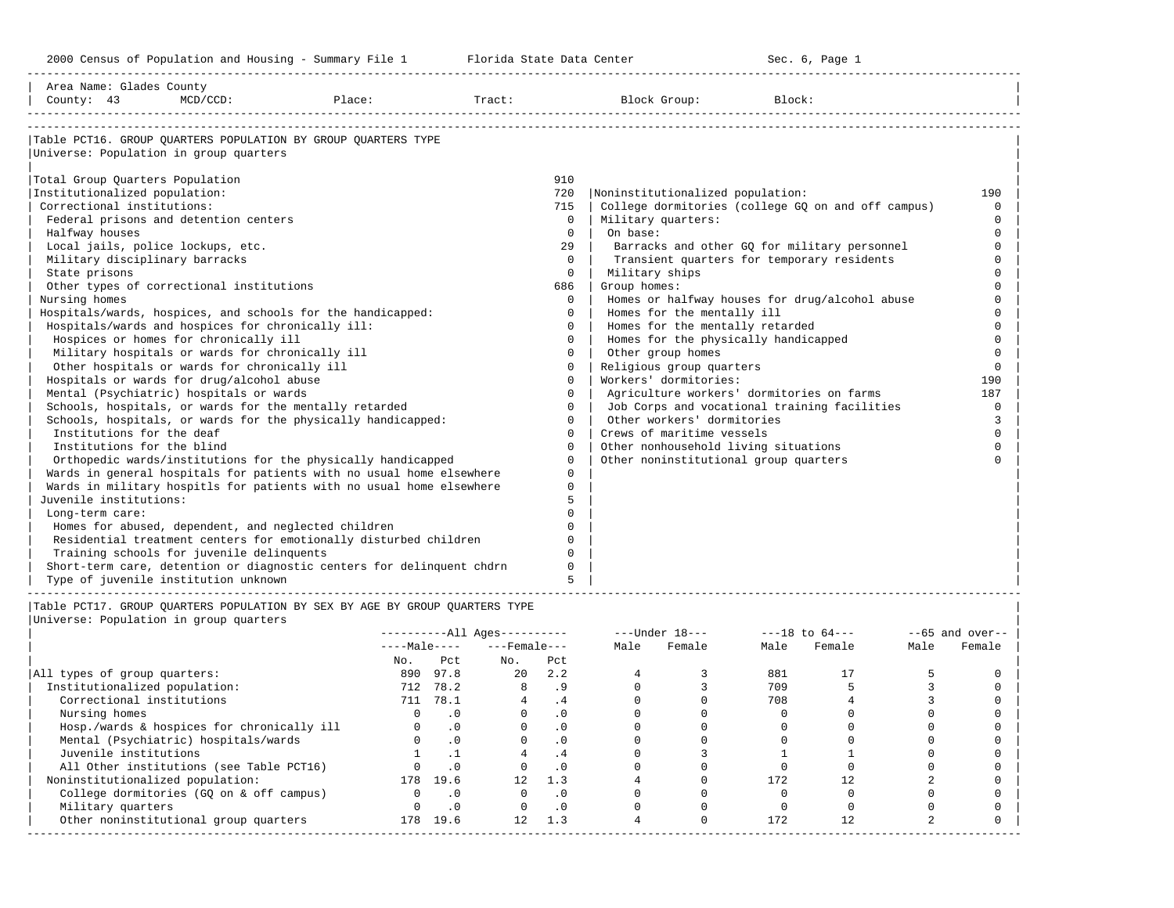-----------------------------------------------------------------------------------------------------------------------------------------------------

| Area Name: Glades County<br>County: 43                 | $MCD/CCD$ : | Place:                                                                      | Tract: |             | Block Group:                              | Block:                                             |          |
|--------------------------------------------------------|-------------|-----------------------------------------------------------------------------|--------|-------------|-------------------------------------------|----------------------------------------------------|----------|
|                                                        |             |                                                                             |        |             |                                           |                                                    |          |
|                                                        |             | Table PCT16. GROUP OUARTERS POPULATION BY GROUP OUARTERS TYPE               |        |             |                                           |                                                    |          |
| Universe: Population in group quarters                 |             |                                                                             |        |             |                                           |                                                    |          |
| Total Group Quarters Population                        |             |                                                                             |        | 910         |                                           |                                                    |          |
| Institutionalized population:                          |             |                                                                             |        | 720         | Noninstitutionalized population:          |                                                    | 190      |
| Correctional institutions:                             |             |                                                                             |        | 715         |                                           | College dormitories (college GQ on and off campus) | $\Omega$ |
| Federal prisons and detention centers                  |             |                                                                             |        | $\Omega$    | Military quarters:                        |                                                    | $\Omega$ |
| Halfway houses                                         |             |                                                                             |        | $\Omega$    | On base:                                  |                                                    | $\Omega$ |
| Local jails, police lockups, etc.                      |             |                                                                             |        | 29          |                                           | Barracks and other GQ for military personnel       | $\Omega$ |
| Military disciplinary barracks                         |             |                                                                             |        | $\Omega$    |                                           | Transient quarters for temporary residents         |          |
| State prisons                                          |             |                                                                             |        | $\Omega$    | Military ships                            |                                                    |          |
| Other types of correctional institutions               |             |                                                                             |        | 686         | Group homes:                              |                                                    |          |
| Nursing homes                                          |             |                                                                             |        | $\Omega$    |                                           | Homes or halfway houses for drug/alcohol abuse     |          |
|                                                        |             | Hospitals/wards, hospices, and schools for the handicapped:                 |        | $\Omega$    | Homes for the mentally ill                |                                                    |          |
| Hospitals/wards and hospices for chronically ill:      |             |                                                                             |        | $\Omega$    | Homes for the mentally retarded           |                                                    | $\Omega$ |
| Hospices or homes for chronically ill                  |             |                                                                             |        | $\Omega$    | Homes for the physically handicapped      |                                                    | $\Omega$ |
| Military hospitals or wards for chronically ill        |             |                                                                             |        | $\Omega$    | Other group homes                         |                                                    | $\Omega$ |
| Other hospitals or wards for chronically ill           |             |                                                                             |        | $\Omega$    | Religious group quarters                  |                                                    | $\Omega$ |
| Hospitals or wards for drug/alcohol abuse              |             |                                                                             |        | $\Omega$    | Workers' dormitories:                     |                                                    | 190      |
| Mental (Psychiatric) hospitals or wards                |             |                                                                             |        | $\Omega$    | Agriculture workers' dormitories on farms |                                                    | 187      |
| Schools, hospitals, or wards for the mentally retarded |             |                                                                             |        | $\Omega$    |                                           | Job Corps and vocational training facilities       | $\Omega$ |
|                                                        |             | Schools, hospitals, or wards for the physically handicapped:                |        | $\Omega$    | Other workers' dormitories                |                                                    | 3        |
| Institutions for the deaf                              |             |                                                                             |        | $\Omega$    | Crews of maritime vessels                 |                                                    | $\Omega$ |
| Institutions for the blind                             |             |                                                                             |        | $\Omega$    | Other nonhousehold living situations      |                                                    | $\Omega$ |
|                                                        |             | Orthopedic wards/institutions for the physically handicapped                |        | $\Omega$    | Other noninstitutional group quarters     |                                                    |          |
|                                                        |             | Wards in general hospitals for patients with no usual home elsewhere        |        | $\Omega$    |                                           |                                                    |          |
|                                                        |             | Wards in military hospitls for patients with no usual home elsewhere        |        | $\Omega$    |                                           |                                                    |          |
| Juvenile institutions:                                 |             |                                                                             |        | 5           |                                           |                                                    |          |
| Long-term care:                                        |             |                                                                             |        | $\cap$      |                                           |                                                    |          |
| Homes for abused, dependent, and neglected children    |             |                                                                             |        | $\cap$      |                                           |                                                    |          |
|                                                        |             | Residential treatment centers for emotionally disturbed children            |        | $\Omega$    |                                           |                                                    |          |
| Training schools for juvenile delinquents              |             |                                                                             |        | $\Omega$    |                                           |                                                    |          |
|                                                        |             | Short-term care, detention or diagnostic centers for delinquent chdrn       |        | $\mathbf 0$ |                                           |                                                    |          |
| Type of juvenile institution unknown                   |             |                                                                             |        | 5           |                                           |                                                    |          |
|                                                        |             | Table PCT17. GROUP OUARTERS POPULATION BY SEX BY AGE BY GROUP OUARTERS TYPE |        |             |                                           |                                                    |          |

|     |           |                          |           |                                              |        |                  |        | $--65$ and over--  |        |
|-----|-----------|--------------------------|-----------|----------------------------------------------|--------|------------------|--------|--------------------|--------|
|     |           |                          |           | Male                                         | Female | Male             | Female | Male               | Female |
| No. | Pct       | No.                      | Pct       |                                              |        |                  |        |                    |        |
| 890 | 97.8      | 20                       | 2.2       |                                              |        | 881              |        |                    |        |
| 712 | 78.2      |                          | . 9       |                                              |        | 709              |        |                    |        |
| 711 | 78.1      |                          |           |                                              |        | 708              |        |                    |        |
|     | . 0       |                          | $\cdot$ 0 |                                              |        |                  |        |                    |        |
|     |           |                          |           |                                              |        |                  |        |                    |        |
|     | $\cdot$ 0 |                          |           |                                              |        |                  |        |                    |        |
|     |           |                          | . 4       |                                              |        |                  |        |                    |        |
|     |           |                          |           |                                              |        |                  |        |                    |        |
|     |           | 12                       | 1.3       |                                              |        | 172              |        |                    |        |
|     | $\cdot$ 0 |                          |           |                                              |        |                  |        |                    |        |
|     | $\cdot$ 0 |                          | . 0       |                                              |        |                  |        |                    |        |
| 178 | 19.6      | 12                       | 1.3       |                                              |        | 172              |        |                    |        |
|     |           | $---Male---$<br>178 19.6 |           | $------All Ages------$<br>$---$ Female $---$ |        | $---Under 18---$ |        | $---18$ to $64---$ |        |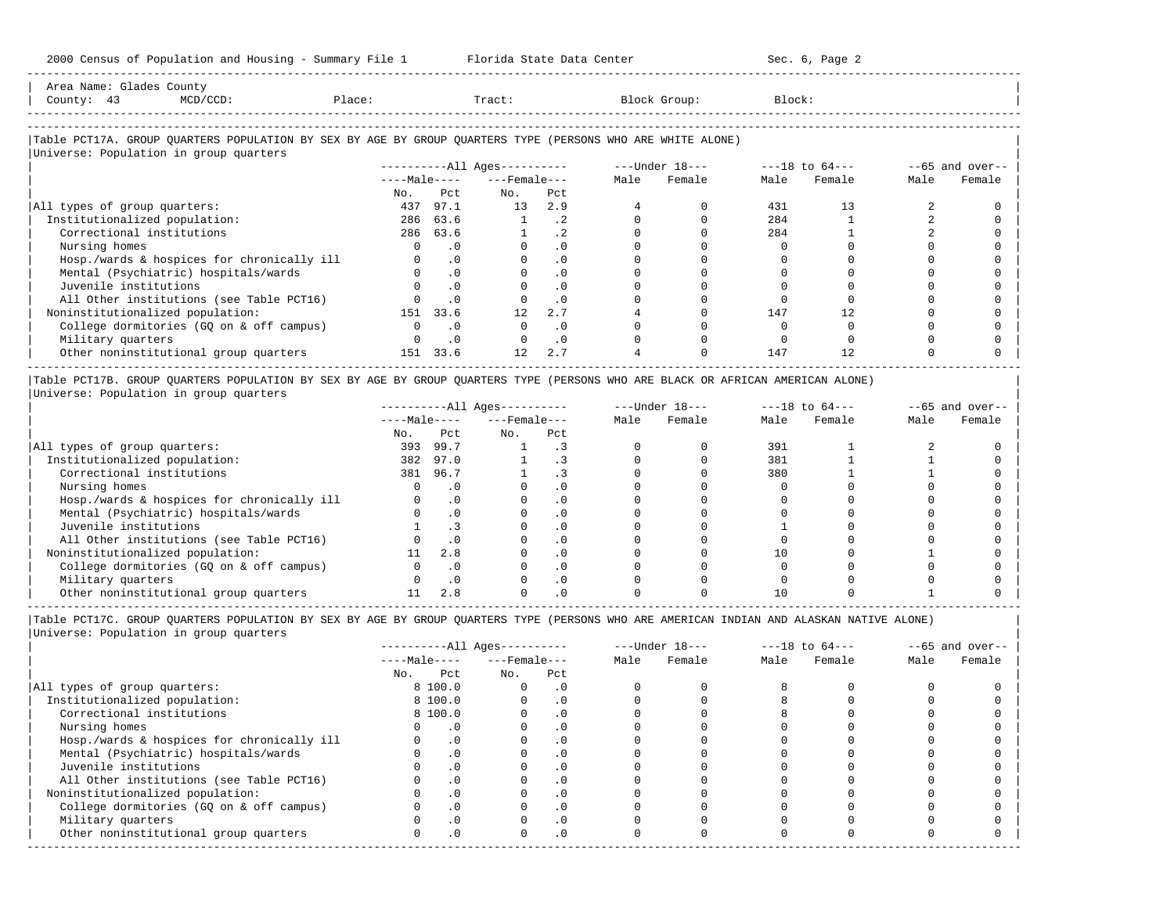| Area Name: Glades County<br>$MCD/CCD$ :<br>County: 43                                                           | Place: |                      | Tract:                 |           |      | Block Group:     | Block: |                    |      |                 |
|-----------------------------------------------------------------------------------------------------------------|--------|----------------------|------------------------|-----------|------|------------------|--------|--------------------|------|-----------------|
|                                                                                                                 |        |                      |                        |           |      |                  |        |                    |      |                 |
| Table PCT17A. GROUP OUARTERS POPULATION BY SEX BY AGE BY GROUP OUARTERS TYPE (PERSONS WHO ARE WHITE ALONE)      |        |                      |                        |           |      |                  |        |                    |      |                 |
| Universe: Population in group quarters                                                                          |        |                      |                        |           |      |                  |        |                    |      |                 |
|                                                                                                                 |        |                      | $------All Aqes------$ |           |      | $---Under 18---$ |        | $---18$ to $64---$ |      | --65 and over-- |
|                                                                                                                 |        | $---Ma2 e---$        | $---$ Female $---$     |           | Male | Female           | Male   | Female             | Male | Female          |
|                                                                                                                 | No.    | Pct                  | No.                    | Pct       |      |                  |        |                    |      |                 |
| All types of group quarters:                                                                                    | 437    | 97.1                 | 13                     | 2.9       |      |                  | 431    | 13                 |      |                 |
| Institutionalized population:                                                                                   |        | 286 63.6             |                        | . 2       |      |                  | 284    |                    |      |                 |
| Correctional institutions                                                                                       |        | 286 63.6             |                        | $\cdot$ 2 |      |                  | 284    |                    |      |                 |
| the contract of the contract of the contract of the contract of the contract of the contract of the contract of |        | $\sim$ $\sim$ $\sim$ |                        | $\sim$    |      |                  | $\sim$ |                    |      |                 |

| Institutionalized population: 286 63.6 1 .2 0 0 284 1 2 0 | | Correctional institutions 286 63.6 1 .2 0 0 284 1 2 0 | | Nursing homes 0 .0 0 .0 0 0 0 0 0 0 |

-----------------------------------------------------------------------------------------------------------------------------------------------------

| Hosp./wards & hospices for chronically ill |     |           |     |  |     |  |  |
|--------------------------------------------|-----|-----------|-----|--|-----|--|--|
| Mental (Psychiatric) hospitals/wards       |     |           |     |  |     |  |  |
| Juvenile institutions                      |     | $\cdot$ 0 |     |  |     |  |  |
| All Other institutions (see Table PCT16)   |     | $\cdot$ 0 |     |  |     |  |  |
| Noninstitutionalized population:           | 151 | 33.6      | 2.7 |  | 147 |  |  |
| College dormitories (GO on & off campus)   |     | $\cdot$ 0 |     |  |     |  |  |
| Military quarters                          |     | .0        |     |  |     |  |  |
| Other noninstitutional group quarters      | 151 | 33.6      |     |  | 147 |  |  |
|                                            |     |           |     |  |     |  |  |

|Table PCT17B. GROUP QUARTERS POPULATION BY SEX BY AGE BY GROUP QUARTERS TYPE (PERSONS WHO ARE BLACK OR AFRICAN AMERICAN ALONE) | |Universe: Population in group quarters |

|                                            |              |      | $------All Aqes------$ |           |      | $---Under 18---$ | $---18$ to $64---$ |        | $--65$ and over-- |        |
|--------------------------------------------|--------------|------|------------------------|-----------|------|------------------|--------------------|--------|-------------------|--------|
|                                            | $---Male---$ |      | $---$ Female $---$     |           | Male | Female           | Male               | Female | Male              | Female |
|                                            | No.          | Pct  | No.                    | Pct       |      |                  |                    |        |                   |        |
| All types of group quarters:               | 393          | 99.7 |                        |           |      |                  | 391                |        |                   |        |
| Institutionalized population:              | 382          | 97.0 |                        |           |      |                  | 381                |        |                   |        |
| Correctional institutions                  | 381          | 96.7 |                        |           |      |                  | 380                |        |                   |        |
| Nursing homes                              |              |      |                        |           |      |                  |                    |        |                   |        |
| Hosp./wards & hospices for chronically ill |              |      |                        | . 0       |      |                  |                    |        |                   |        |
| Mental (Psychiatric) hospitals/wards       |              |      |                        | . 0       |      |                  |                    |        |                   |        |
| Juvenile institutions                      |              | د.   |                        | . 0       |      |                  |                    |        |                   |        |
| All Other institutions (see Table PCT16)   |              |      |                        | $\cdot$ 0 |      |                  |                    |        |                   |        |
| Noninstitutionalized population:           |              | 2.8  |                        | . 0       |      |                  |                    |        |                   |        |
| College dormitories (GO on & off campus)   |              |      |                        | $\cdot$ 0 |      |                  |                    |        |                   |        |
| Military quarters                          |              |      |                        | . 0       |      |                  |                    |        |                   |        |
| Other noninstitutional group quarters      |              |      |                        |           |      |                  |                    |        |                   |        |

|                                            |              |           | $------All Ages------$ |           |      | $---Under 18---$ | $---18$ to $64---$ |        | $--65$ and over-- |        |
|--------------------------------------------|--------------|-----------|------------------------|-----------|------|------------------|--------------------|--------|-------------------|--------|
|                                            | $---Male---$ |           | $---$ Female $---$     |           | Male | Female           | Male               | Female | Male              | Female |
|                                            | No.          | Pct       | No.                    | Pct       |      |                  |                    |        |                   |        |
| All types of group quarters:               |              | 8 100.0   | $\Omega$               | $\cdot$ 0 |      |                  |                    |        |                   |        |
| Institutionalized population:              |              | 8 100.0   |                        | $\cdot$ 0 |      |                  |                    |        |                   |        |
| Correctional institutions                  |              | 8 100.0   |                        | $\cdot$ 0 |      |                  |                    |        |                   |        |
| Nursing homes                              |              |           |                        | $\cdot$ 0 |      |                  |                    |        |                   |        |
| Hosp./wards & hospices for chronically ill |              | $\cdot$ 0 |                        |           |      |                  |                    |        |                   |        |
| Mental (Psychiatric) hospitals/wards       |              | $\cdot$ 0 |                        | . 0       |      |                  |                    |        |                   |        |
| Juvenile institutions                      |              |           |                        | . 0       |      |                  |                    |        |                   |        |
| All Other institutions (see Table PCT16)   |              |           |                        |           |      |                  |                    |        |                   |        |
| Noninstitutionalized population:           |              | $\cdot$ 0 |                        | $\cdot$ 0 |      |                  |                    |        |                   |        |
| College dormitories (GO on & off campus)   |              |           |                        | $\cdot$ 0 |      |                  |                    |        |                   |        |
| Military quarters                          |              |           |                        | $\cdot$ 0 |      |                  |                    |        |                   |        |
| Other noninstitutional group quarters      |              | $\cdot$ 0 |                        | $\cdot$ 0 |      |                  |                    |        |                   |        |
|                                            |              |           |                        |           |      |                  |                    |        |                   |        |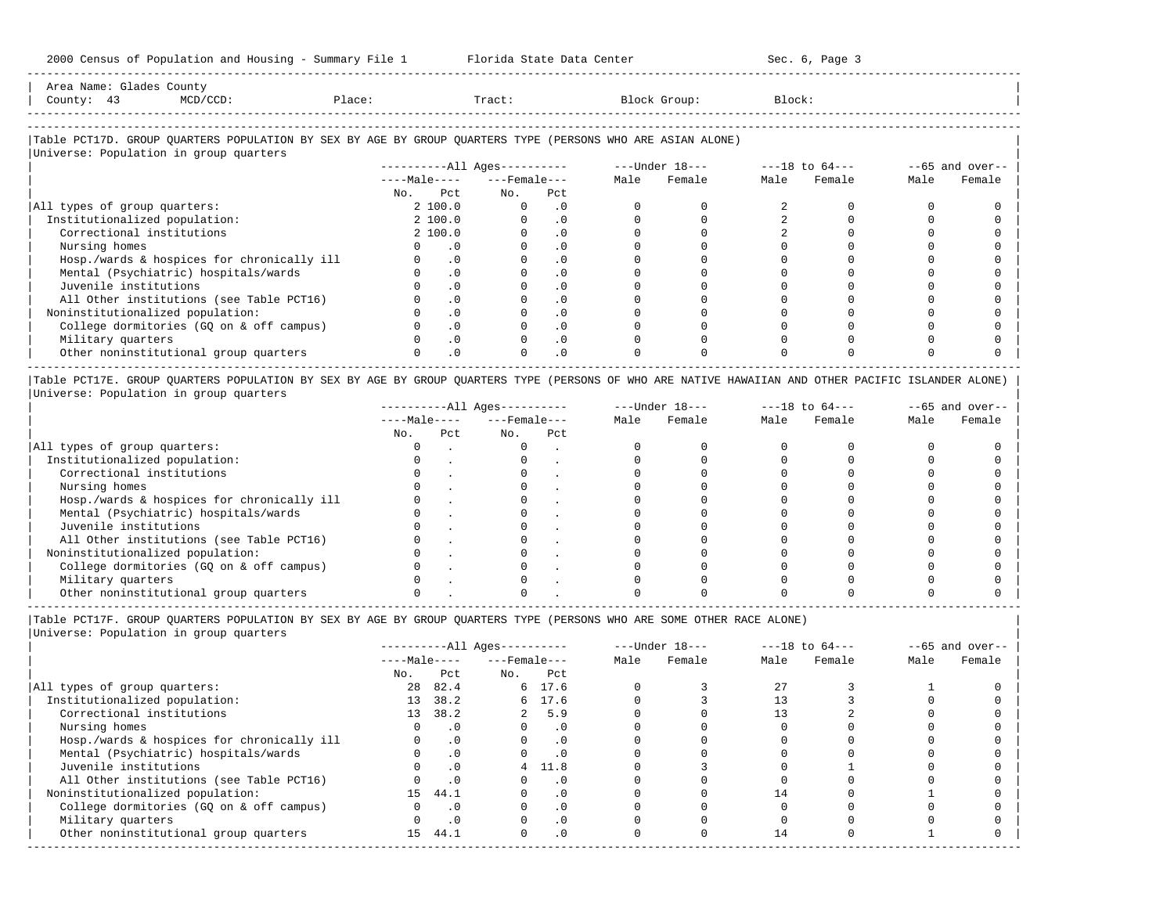| Area<br>Name       | Count,                                                                          |                |      |      |
|--------------------|---------------------------------------------------------------------------------|----------------|------|------|
| Count <sup>.</sup> | the contract of the contract of the contract of the contract of the contract of | $\overline{a}$ | -u v | エヘヘル |
|                    |                                                                                 |                |      |      |

-----------------------------------------------------------------------------------------------------------------------------------------------------

-----------------------------------------------------------------------------------------------------------------------------------------------------

# |Table PCT17D. GROUP QUARTERS POPULATION BY SEX BY AGE BY GROUP QUARTERS TYPE (PERSONS WHO ARE ASIAN ALONE) |

|                                            |              | $------All Aqes------$ |                    |  | $---Under 18---$ | $---18$ to $64---$ |        |      | $--65$ and over-- |
|--------------------------------------------|--------------|------------------------|--------------------|--|------------------|--------------------|--------|------|-------------------|
|                                            | $---Male---$ |                        | $---$ Female $---$ |  | Female           | Male               | Female | Male | Female            |
|                                            | Pct<br>No.   | No.                    | Pct                |  |                  |                    |        |      |                   |
| All types of group quarters:               | 2 100.0      | $\Omega$               | . 0                |  |                  |                    |        |      |                   |
| Institutionalized population:              | 2 100.0      |                        | $\cdot$ 0          |  |                  |                    |        |      |                   |
| Correctional institutions                  | 2 100.0      |                        | $\cdot$ 0          |  |                  |                    |        |      |                   |
| Nursing homes                              |              | . 0                    |                    |  |                  |                    |        |      |                   |
| Hosp./wards & hospices for chronically ill |              | $\cdot$ 0              | . 0                |  |                  |                    |        |      |                   |
| Mental (Psychiatric) hospitals/wards       |              | $\cdot$ 0              | $\cdot$ 0          |  |                  |                    |        |      |                   |
| Juvenile institutions                      |              | $\cdot$ 0              |                    |  |                  |                    |        |      |                   |
| All Other institutions (see Table PCT16)   |              | $\cdot$ 0              | $\cdot$ 0          |  |                  |                    |        |      |                   |
| Noninstitutionalized population:           |              | $\cdot$ 0              | $\cdot$ 0          |  |                  |                    |        |      |                   |
| College dormitories (GQ on & off campus)   |              | $\cdot$ 0              | $\cdot$ 0          |  |                  |                    |        |      |                   |
| Military quarters                          |              | $\cdot$ 0              | $\cdot$ 0          |  |                  |                    |        |      |                   |
| Other noninstitutional group quarters      |              | $\cdot$ 0              | $\cdot$ 0          |  |                  |                    |        |      |                   |

|Table PCT17E. GROUP QUARTERS POPULATION BY SEX BY AGE BY GROUP QUARTERS TYPE (PERSONS OF WHO ARE NATIVE HAWAIIAN AND OTHER PACIFIC ISLANDER ALONE) | |Universe: Population in group quarters |

|                                            |              |     | $------All Aqes------$ |     |      | $---Under 18---$ | $---18$ to $64---$ |        | $--65$ and over-- |        |
|--------------------------------------------|--------------|-----|------------------------|-----|------|------------------|--------------------|--------|-------------------|--------|
|                                            | $---Male---$ |     | $---$ Female $---$     |     | Male | Female           | Male               | Female | Male              | Female |
|                                            | No.          | Pct | No.                    | Pct |      |                  |                    |        |                   |        |
| All types of group quarters:               |              |     |                        |     |      |                  |                    |        |                   |        |
| Institutionalized population:              |              |     |                        |     |      |                  |                    |        |                   |        |
| Correctional institutions                  |              |     |                        |     |      |                  |                    |        |                   |        |
| Nursing homes                              |              |     |                        |     |      |                  |                    |        |                   |        |
| Hosp./wards & hospices for chronically ill |              |     |                        |     |      |                  |                    |        |                   |        |
| Mental (Psychiatric) hospitals/wards       |              |     |                        |     |      |                  |                    |        |                   |        |
| Juvenile institutions                      |              |     |                        |     |      |                  |                    |        |                   |        |
| All Other institutions (see Table PCT16)   |              |     |                        |     |      |                  |                    |        |                   |        |
| Noninstitutionalized population:           |              |     |                        |     |      |                  |                    |        |                   |        |
| College dormitories (GO on & off campus)   |              |     |                        |     |      |                  |                    |        |                   |        |
| Military quarters                          |              |     |                        |     |      |                  |                    |        |                   |        |
| Other noninstitutional group quarters      |              |     |                        |     |      |                  |                    |        |                   |        |

-----------------------------------------------------------------------------------------------------------------------------------------------------

|Table PCT17F. GROUP QUARTERS POPULATION BY SEX BY AGE BY GROUP QUARTERS TYPE (PERSONS WHO ARE SOME OTHER RACE ALONE) |

|                                            |              |           | $------All Ages------$ |           |      | $---Under 18---$ | $---18$ to $64---$ |        |      | $--65$ and over-- |
|--------------------------------------------|--------------|-----------|------------------------|-----------|------|------------------|--------------------|--------|------|-------------------|
|                                            | $---Male---$ |           | $---$ Female $---$     |           | Male | Female           | Male               | Female | Male | Female            |
|                                            | No.          | Pct       | No.                    | Pct       |      |                  |                    |        |      |                   |
| All types of group quarters:               | 28           | 82.4      |                        | 6 17.6    |      |                  | 27                 |        |      |                   |
| Institutionalized population:              | 13           | 38.2      |                        | 6 17.6    |      |                  |                    |        |      |                   |
| Correctional institutions                  |              | 13 38.2   |                        | 2, 5.9    |      |                  |                    |        |      |                   |
| Nursing homes                              |              | $\cdot$ 0 | 0                      | .0        |      |                  |                    |        |      |                   |
| Hosp./wards & hospices for chronically ill |              | .0        |                        | $\cdot$ 0 |      |                  |                    |        |      |                   |
| Mental (Psychiatric) hospitals/wards       |              | $\cdot$ 0 |                        | $\cdot$ 0 |      |                  |                    |        |      |                   |
| Juvenile institutions                      |              | .0        | 4                      | 11.8      |      |                  |                    |        |      |                   |
| All Other institutions (see Table PCT16)   |              | $\cdot$ 0 |                        | $\cdot$ 0 |      |                  |                    |        |      |                   |
| Noninstitutionalized population:           | 15           | 44.1      |                        | $\cdot$ 0 |      |                  | 14                 |        |      |                   |
| College dormitories (GQ on & off campus)   |              | $\cdot$ 0 |                        | $\cdot$ 0 |      |                  |                    |        |      |                   |
| Military quarters                          |              | $\cdot$ 0 |                        | $\cdot$ 0 |      |                  |                    |        |      |                   |
| Other noninstitutional group quarters      | 15           | 44.1      | $\Omega$               | $\cdot$ 0 |      |                  | 14                 |        |      |                   |
|                                            |              |           |                        |           |      |                  |                    |        |      |                   |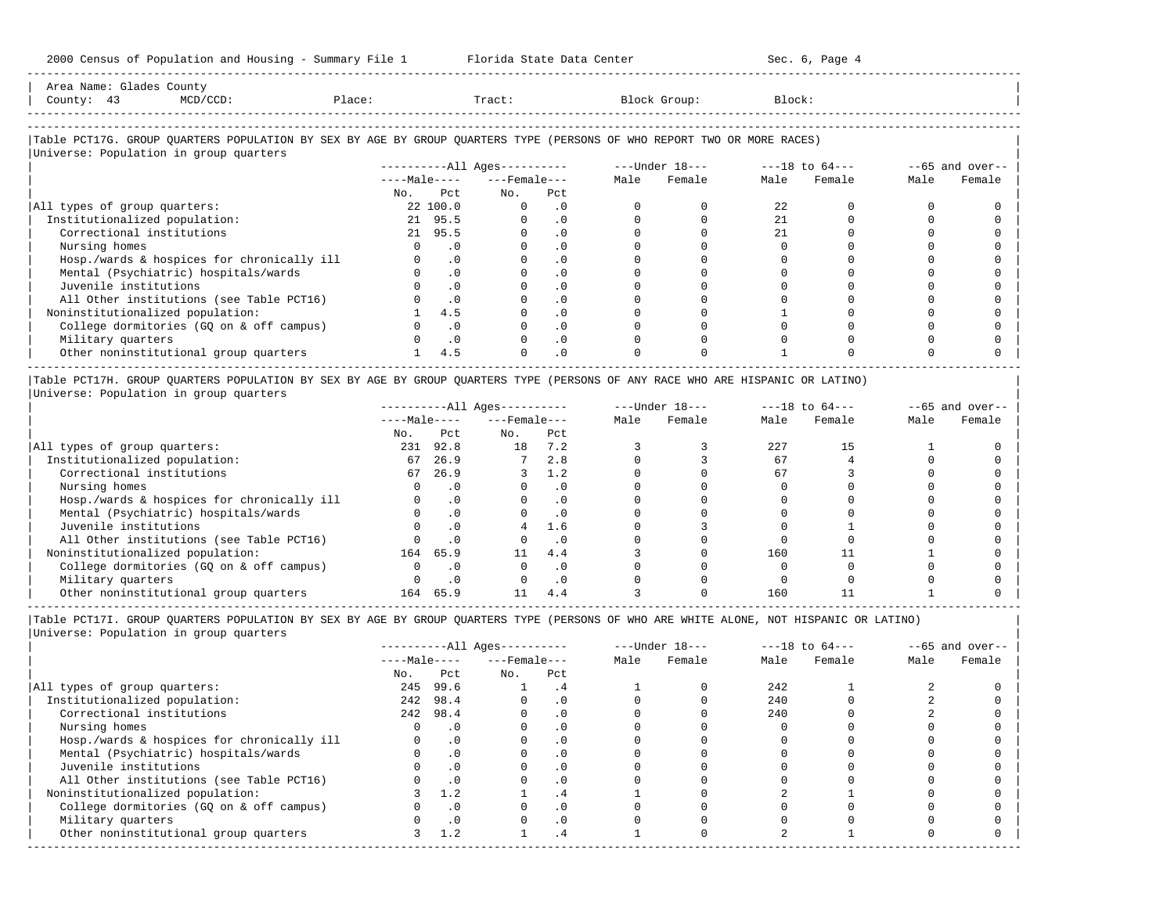2000 Census of Population and Housing - Summary File 1 Florida State Data Center Sec. 6, Page 4 -----------------------------------------------------------------------------------------------------------------------------------------------------

| Area Name: Glades County<br>County: 43                                                                                                                           | MCD/CCD: | Place: |                | Tract:                       |                             |          | Block Group:   | Block: |                    |      |                   |
|------------------------------------------------------------------------------------------------------------------------------------------------------------------|----------|--------|----------------|------------------------------|-----------------------------|----------|----------------|--------|--------------------|------|-------------------|
| Table PCT17G. GROUP OUARTERS POPULATION BY SEX BY AGE BY GROUP OUARTERS TYPE (PERSONS OF WHO REPORT TWO OR MORE RACES)<br>Universe: Population in group quarters |          |        |                |                              |                             |          |                |        |                    |      |                   |
|                                                                                                                                                                  |          |        |                | ----------All Ages---------- |                             |          | ---Under 18--- |        | $---18$ to $64---$ |      | $--65$ and over-- |
|                                                                                                                                                                  |          |        | $---Ma$ $e---$ | $---$ Female - - -           |                             | Male     | Female         | Male   | Female             | Male | Female            |
|                                                                                                                                                                  |          | No.    | P.c.t.         | No.                          | Pct                         |          |                |        |                    |      |                   |
| All types of group quarters:                                                                                                                                     |          |        | 22 100.0       | $\mathbf{0}$                 | $\overline{\phantom{0}}$ .0 | $\Omega$ |                | 22     |                    |      |                   |
| Institutionalized population:                                                                                                                                    |          |        | 21 95.5        | $\Omega$                     | $\cdot$ 0                   | $\Omega$ |                | 2.1    |                    |      |                   |
| Correctional institutions                                                                                                                                        |          |        | 21 95.5        | $\Omega$                     | $\cdot$ 0                   |          |                | 2.1    |                    |      |                   |

| Nursing homes 0 .0 0 .0 0 0 0 0 0 0 | | Hosp./wards & hospices for chronically ill 0 .0 0 .0 0 0 0 0 0 0 | | Mental (Psychiatric) hospitals/wards 0 .0 0 .0 0 0 0 0 0 0 | | Juvenile institutions 0 .0 0 .0 0 0 0 0 0 0 |

| All Other institutions (see Table PCT16)                                                                                      |     |  |  |  |  |
|-------------------------------------------------------------------------------------------------------------------------------|-----|--|--|--|--|
| Noninstitutionalized population:                                                                                              | 4.5 |  |  |  |  |
| College dormitories (GQ on & off campus)                                                                                      |     |  |  |  |  |
| Military quarters                                                                                                             |     |  |  |  |  |
| Other noninstitutional group quarters                                                                                         | 4.5 |  |  |  |  |
|                                                                                                                               |     |  |  |  |  |
| TABLE POT17H, GROUP OUARTERS POPULATION BY SEX BY AGE BY GROUP OUARTERS TYPE (PERSONS OF ANY RACE WHO ARE HISPANIC OR LATINO) |     |  |  |  |  |

|Table PCT17H. GROUP QUARTERS POPULATION BY SEX BY AGE BY GROUP QUARTERS TYPE (PERSONS OF ANY RACE WHO ARE HISPANIC OR LATINO) | |Universe: Population in group quarters |

|                                            |              |      | $------All Ages------$ |          |      | $---Under 18---$ | $---18$ to $64---$ |        | $--65$ and over-- |        |
|--------------------------------------------|--------------|------|------------------------|----------|------|------------------|--------------------|--------|-------------------|--------|
|                                            | $---Male---$ |      | $---$ Female $---$     |          | Male | Female           | Male               | Female | Male              | Female |
|                                            | No.          | Pct  | No.                    | Pct      |      |                  |                    |        |                   |        |
| All types of group quarters:               | 231          | 92.8 | 18                     | 7.2      |      |                  | 227                | 15     |                   |        |
| Institutionalized population:              | 67           | 26.9 |                        | 2.8      |      |                  | 67                 |        |                   |        |
| Correctional institutions                  | 67           | 26.9 |                        | 1.2      |      |                  | 67                 |        |                   |        |
| Nursing homes                              |              |      |                        | $\Omega$ |      |                  |                    |        |                   |        |
| Hosp./wards & hospices for chronically ill |              |      |                        | . 0      |      |                  |                    |        |                   |        |
| Mental (Psychiatric) hospitals/wards       |              |      |                        |          |      |                  |                    |        |                   |        |
| Juvenile institutions                      |              |      |                        | 1.6      |      |                  |                    |        |                   |        |
| All Other institutions (see Table PCT16)   |              |      |                        | . 0      |      |                  |                    |        |                   |        |
| Noninstitutionalized population:           | 164          | 65.9 | 11                     | 4.4      |      |                  | 160                |        |                   |        |
| College dormitories (GO on & off campus)   |              |      |                        | . 0      |      |                  |                    |        |                   |        |
| Military quarters                          |              |      |                        | . 0      |      |                  |                    |        |                   |        |
| Other noninstitutional group quarters      | 164          | 65.9 |                        | 4.4      |      |                  | 160                |        |                   |        |

-----------------------------------------------------------------------------------------------------------------------------------------------------

|Table PCT17I. GROUP QUARTERS POPULATION BY SEX BY AGE BY GROUP QUARTERS TYPE (PERSONS OF WHO ARE WHITE ALONE, NOT HISPANIC OR LATINO) | |Universe: Population in group quarters |

|                                            |              |           | $------All Aqes------$ |           |      | $---Under 18---$ | $---18$ to $64---$ |        | $--65$ and over-- |        |
|--------------------------------------------|--------------|-----------|------------------------|-----------|------|------------------|--------------------|--------|-------------------|--------|
|                                            | $---Male---$ |           | $---$ Female $---$     |           | Male | Female           | Male               | Female | Male              | Female |
|                                            | No.          | Pct       | No.                    | Pct       |      |                  |                    |        |                   |        |
| All types of group quarters:               | 245          | 99.6      |                        | $\cdot$ 4 |      |                  | 242                |        |                   |        |
| Institutionalized population:              | 242          | 98.4      |                        | $\cdot$ 0 |      |                  | 240                |        |                   |        |
| Correctional institutions                  |              | 242 98.4  |                        | . 0       |      |                  | 240                |        |                   |        |
| Nursing homes                              |              |           |                        | . 0       |      |                  |                    |        |                   |        |
| Hosp./wards & hospices for chronically ill |              | $\cdot$ 0 |                        |           |      |                  |                    |        |                   |        |
| Mental (Psychiatric) hospitals/wards       |              | . 0       |                        | . 0       |      |                  |                    |        |                   |        |
| Juvenile institutions                      |              |           |                        | . 0       |      |                  |                    |        |                   |        |
| All Other institutions (see Table PCT16)   |              | $\cdot$ 0 |                        | . 0       |      |                  |                    |        |                   |        |
| Noninstitutionalized population:           |              | 1.2       |                        | $\cdot$ 4 |      |                  |                    |        |                   |        |
| College dormitories (GQ on & off campus)   |              |           |                        | $\cdot$ 0 |      |                  |                    |        |                   |        |
| Military quarters                          |              | $\cdot$ 0 |                        | . 0       |      |                  |                    |        |                   |        |
| Other noninstitutional group quarters      |              | 1.2       |                        | $\cdot$ 4 |      |                  |                    |        |                   |        |
|                                            |              |           |                        |           |      |                  |                    |        |                   |        |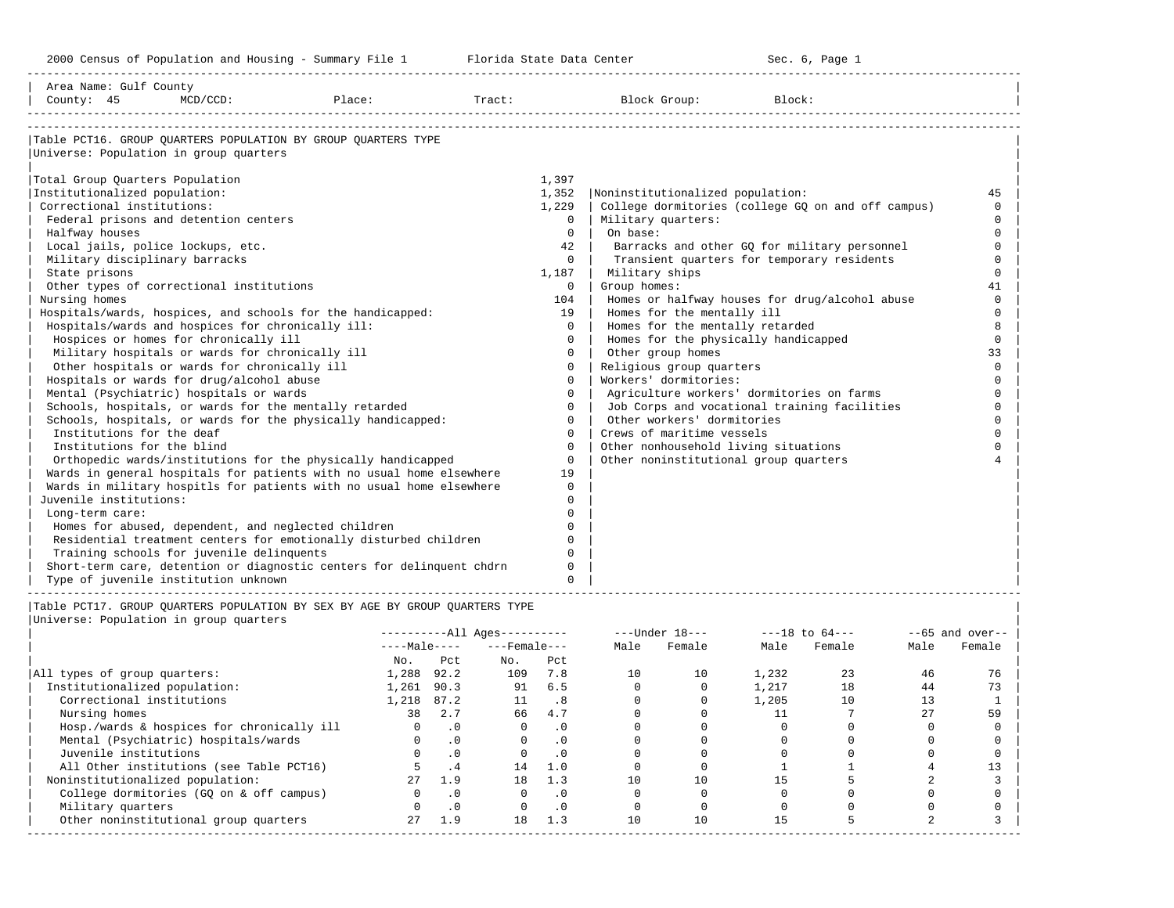-----------------------------------------------------------------------------------------------------------------------------------------------------

| Area Name: Gulf County                                 |          |                                                                             |        |          |                                           |                                                    |          |
|--------------------------------------------------------|----------|-----------------------------------------------------------------------------|--------|----------|-------------------------------------------|----------------------------------------------------|----------|
| County: 45                                             | MCD/CCD: | Place:                                                                      | Tract: |          | Block Group:                              | Block:                                             |          |
|                                                        |          |                                                                             |        |          |                                           |                                                    |          |
|                                                        |          | Table PCT16. GROUP QUARTERS POPULATION BY GROUP QUARTERS TYPE               |        |          |                                           |                                                    |          |
| Universe: Population in group quarters                 |          |                                                                             |        |          |                                           |                                                    |          |
| Total Group Quarters Population                        |          |                                                                             |        | 1,397    |                                           |                                                    |          |
| Institutionalized population:                          |          |                                                                             |        | 1,352    | Noninstitutionalized population:          |                                                    | 45       |
| Correctional institutions:                             |          |                                                                             |        | 1,229    |                                           | College dormitories (college GQ on and off campus) | $\Omega$ |
| Federal prisons and detention centers                  |          |                                                                             |        | $\Omega$ | Military quarters:                        |                                                    | $\Omega$ |
| Halfway houses                                         |          |                                                                             |        | $\Omega$ | On base:                                  |                                                    | $\Omega$ |
| Local jails, police lockups, etc.                      |          |                                                                             |        | 42       |                                           | Barracks and other GQ for military personnel       | $\Omega$ |
| Military disciplinary barracks                         |          |                                                                             |        | $\Omega$ |                                           | Transient quarters for temporary residents         | $\Omega$ |
| State prisons                                          |          |                                                                             |        | 1,187    | Military ships                            |                                                    | $\Omega$ |
| Other types of correctional institutions               |          |                                                                             |        | $\Omega$ | Group homes:                              |                                                    | 41       |
| Nursing homes                                          |          |                                                                             |        | 104      |                                           | Homes or halfway houses for drug/alcohol abuse     | $\Omega$ |
|                                                        |          | Hospitals/wards, hospices, and schools for the handicapped:                 |        | 19       | Homes for the mentally ill                |                                                    | $\cap$   |
| Hospitals/wards and hospices for chronically ill:      |          |                                                                             |        | $\Omega$ | Homes for the mentally retarded           |                                                    |          |
| Hospices or homes for chronically ill                  |          |                                                                             |        | $\Omega$ | Homes for the physically handicapped      |                                                    | $\Omega$ |
| Military hospitals or wards for chronically ill        |          |                                                                             |        | $\Omega$ | Other group homes                         |                                                    | 33       |
| Other hospitals or wards for chronically ill           |          |                                                                             |        | $\Omega$ | Religious group quarters                  |                                                    | $\Omega$ |
| Hospitals or wards for drug/alcohol abuse              |          |                                                                             |        | $\Omega$ | Workers' dormitories:                     |                                                    | $\Omega$ |
| Mental (Psychiatric) hospitals or wards                |          |                                                                             |        | $\Omega$ | Agriculture workers' dormitories on farms |                                                    | $\Omega$ |
| Schools, hospitals, or wards for the mentally retarded |          |                                                                             |        | $\Omega$ |                                           | Job Corps and vocational training facilities       | $\Omega$ |
|                                                        |          | Schools, hospitals, or wards for the physically handicapped:                |        | $\Omega$ | Other workers' dormitories                |                                                    | $\Omega$ |
| Institutions for the deaf                              |          |                                                                             |        | $\Omega$ | Crews of maritime vessels                 |                                                    |          |
| Institutions for the blind                             |          |                                                                             |        | $\Omega$ | Other nonhousehold living situations      |                                                    |          |
|                                                        |          | Orthopedic wards/institutions for the physically handicapped                |        | $\Omega$ | Other noninstitutional group quarters     |                                                    |          |
|                                                        |          | Wards in general hospitals for patients with no usual home elsewhere        |        | 19       |                                           |                                                    |          |
|                                                        |          | Wards in military hospitls for patients with no usual home elsewhere        |        | $\Omega$ |                                           |                                                    |          |
| Juvenile institutions:                                 |          |                                                                             |        | $\Omega$ |                                           |                                                    |          |
| Long-term care:                                        |          |                                                                             |        | $\Omega$ |                                           |                                                    |          |
| Homes for abused, dependent, and neglected children    |          |                                                                             |        | $\Omega$ |                                           |                                                    |          |
|                                                        |          | Residential treatment centers for emotionally disturbed children            |        | $\Omega$ |                                           |                                                    |          |
| Training schools for juvenile delinquents              |          |                                                                             |        | $\Omega$ |                                           |                                                    |          |
|                                                        |          | Short-term care, detention or diagnostic centers for delinquent chdrn       |        | $\Omega$ |                                           |                                                    |          |
| Type of juvenile institution unknown                   |          |                                                                             |        | $\Omega$ |                                           |                                                    |          |
|                                                        |          | Table PCT17. GROUP OUARTERS POPULATION BY SEX BY AGE BY GROUP OUARTERS TYPE |        |          |                                           |                                                    |          |

|          |           |              |           |                                                    |        | $---18$ to $64---$ |        | $--65$ and over-- |        |
|----------|-----------|--------------|-----------|----------------------------------------------------|--------|--------------------|--------|-------------------|--------|
|          |           |              |           | Male                                               | Female | Male               | Female | Male              | Female |
| No.      | Pct       | No.          | Pct       |                                                    |        |                    |        |                   |        |
| 1,288    | 92.2      | 109          | 7.8       | 10                                                 | 10     | 1,232              | 23     | 46                | 76     |
| 1,261    | 90.3      | 91           | 6.5       |                                                    |        | 1,217              | 18     | 44                | 73     |
| 1,218    | 87.2      | 11           | .8        |                                                    |        | 1,205              | 10     |                   |        |
| 38       | 2.7       | 66           | 4.7       |                                                    |        |                    |        | 27                | 59     |
|          | $\cdot$ 0 |              | . 0       |                                                    |        |                    |        |                   |        |
| $\Omega$ | $\cdot$ 0 | $\Omega$     | .0        |                                                    |        |                    |        |                   |        |
|          |           |              | $\cdot$ 0 |                                                    |        |                    |        |                   |        |
|          | . 4       | 14           | 1.0       |                                                    |        |                    |        |                   |        |
| 27       | 1.9       | 18           | 1.3       |                                                    | 10     |                    |        |                   |        |
|          | $\cdot$ 0 |              | $\cdot$ 0 |                                                    |        |                    |        |                   |        |
|          | $\cdot$ 0 |              | $\cdot$ 0 |                                                    |        |                    |        |                   |        |
| 27       | 1.9       | 18           | 1.3       | 10                                                 | 10     |                    |        |                   |        |
|          |           | $---Male---$ |           | ----------All Ages----------<br>$---$ Female $---$ |        | $---Under 18---$   |        |                   |        |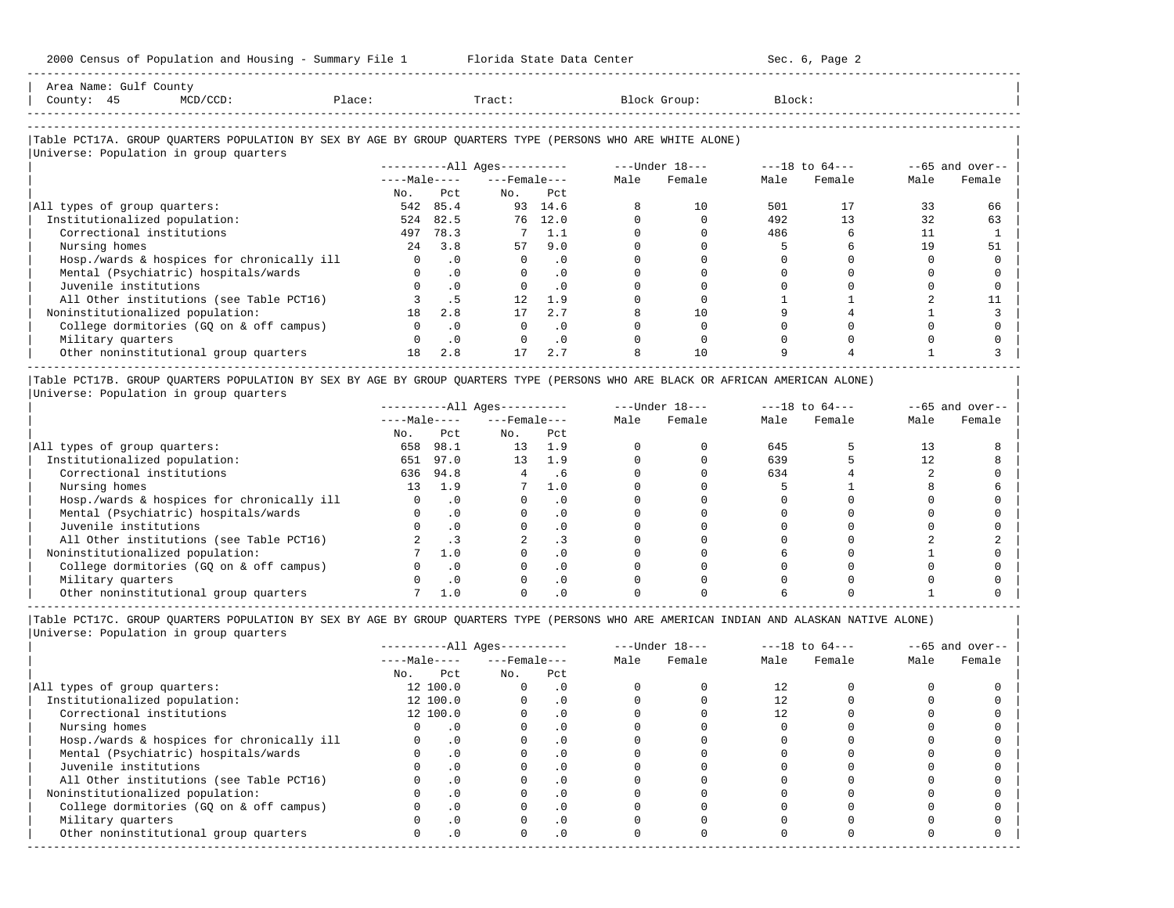| Area   | JUULL<br>and the state of the state of the state of the state of the state of the state of the state of the state of the |                                                                                 |          |       |       |
|--------|--------------------------------------------------------------------------------------------------------------------------|---------------------------------------------------------------------------------|----------|-------|-------|
| County |                                                                                                                          | the contract of the contract of the contract of the contract of the contract of | . ۱۵۵۵ ت | Tract | .ock: |
|        | ------------------------                                                                                                 |                                                                                 |          |       |       |

-----------------------------------------------------------------------------------------------------------------------------------------------------

# |Table PCT17A. GROUP QUARTERS POPULATION BY SEX BY AGE BY GROUP QUARTERS TYPE (PERSONS WHO ARE WHITE ALONE) |

|                                            |              |           | $------All Ages------$ |           |      | ---Under 18--- |      | $---18$ to $64---$ |      | $--65$ and over-- |
|--------------------------------------------|--------------|-----------|------------------------|-----------|------|----------------|------|--------------------|------|-------------------|
|                                            | $---Male---$ |           | $---$ Female $---$     |           | Male | Female         | Male | Female             | Male | Female            |
|                                            | No.          | Pct       | No.                    | Pct       |      |                |      |                    |      |                   |
| All types of group quarters:               | 542          | 85.4      | 93                     | 14.6      |      | 10             | 501  |                    | 33   | 66                |
| Institutionalized population:              | 524          | 82.5      | 76                     | 12.0      |      |                | 492  | 13                 | 32   | 63                |
| Correctional institutions                  | 497          | 78.3      |                        | 7 1.1     |      |                | 486  |                    |      |                   |
| Nursing homes                              | 2.4          | 3.8       | 57                     | 9.0       |      |                |      |                    | 19   | 51                |
| Hosp./wards & hospices for chronically ill |              | $\cdot$ 0 | $\Omega$               | $\cdot$ 0 |      |                |      |                    |      |                   |
| Mental (Psychiatric) hospitals/wards       |              | $\cdot$ 0 | $\Omega$               | $\cdot$ 0 |      |                |      |                    |      |                   |
| Juvenile institutions                      |              | $\cdot$ 0 |                        | $\cdot$ 0 |      |                |      |                    |      |                   |
| All Other institutions (see Table PCT16)   |              |           |                        | 1.9       |      |                |      |                    |      |                   |
| Noninstitutionalized population:           | 18           | 2.8       |                        | 2.7       |      | 10             |      |                    |      |                   |
| College dormitories (GQ on & off campus)   |              | $\cdot$ 0 |                        | $\cdot$ 0 |      |                |      |                    |      |                   |
| Military quarters                          |              | $\cdot$ 0 |                        | .0        |      |                |      |                    |      |                   |
| Other noninstitutional group quarters      | 18           | 2.8       | 17                     | 2.7       |      | 10             |      |                    |      |                   |

|Table PCT17B. GROUP QUARTERS POPULATION BY SEX BY AGE BY GROUP QUARTERS TYPE (PERSONS WHO ARE BLACK OR AFRICAN AMERICAN ALONE) | |Universe: Population in group quarters |

|                                            |              |      | $------All Aqes------$ |           |      | $---Under 18---$ | $---18$ to $64---$ |        | $--65$ and over-- |        |
|--------------------------------------------|--------------|------|------------------------|-----------|------|------------------|--------------------|--------|-------------------|--------|
|                                            | $---Male---$ |      | $---$ Female $---$     |           | Male | Female           | Male               | Female | Male              | Female |
|                                            | No.          | Pct  | No.                    | Pct       |      |                  |                    |        |                   |        |
| All types of group quarters:               | 658          | 98.1 | 13                     | 1.9       |      |                  | 645                |        |                   |        |
| Institutionalized population:              | 651          | 97.0 | 13                     | 1.9       |      |                  | 639                |        |                   |        |
| Correctional institutions                  | 636          | 94.8 |                        | . 6       |      |                  | 634                |        |                   |        |
| Nursing homes                              | 13           | 1.9  |                        | 1.0       |      |                  |                    |        |                   |        |
| Hosp./wards & hospices for chronically ill |              |      |                        | . 0       |      |                  |                    |        |                   |        |
| Mental (Psychiatric) hospitals/wards       |              |      |                        | . 0       |      |                  |                    |        |                   |        |
| Juvenile institutions                      |              |      |                        | . 0       |      |                  |                    |        |                   |        |
| All Other institutions (see Table PCT16)   |              |      |                        |           |      |                  |                    |        |                   |        |
| Noninstitutionalized population:           |              | 1.0  |                        | . 0       |      |                  |                    |        |                   |        |
| College dormitories (GO on & off campus)   |              |      |                        | $\cdot$ 0 |      |                  |                    |        |                   |        |
| Military quarters                          |              | . 0  |                        | . 0       |      |                  |                    |        |                   |        |
| Other noninstitutional group quarters      |              |      |                        |           |      |                  |                    |        |                   |        |

|                                            |              |              | $------All Aqes------$ |            |      | $---Under 18---$ |      | $---18$ to $64---$ |      | $--65$ and over-- |
|--------------------------------------------|--------------|--------------|------------------------|------------|------|------------------|------|--------------------|------|-------------------|
|                                            |              | $---Male---$ | $---$ Female $---$     |            | Male | Female           | Male | Female             | Male | Female            |
|                                            | No.          | Pct          | No.                    | Pct        |      |                  |      |                    |      |                   |
| All types of group quarters:               |              | 12 100.0     |                        | . 0        |      |                  | 12   |                    |      |                   |
| Institutionalized population:              |              | 12 100.0     |                        | $\cdot$ 0  |      |                  |      |                    |      |                   |
| Correctional institutions                  |              | 12 100.0     |                        | . 0        |      |                  | 12.  |                    |      |                   |
| Nursing homes                              |              |              |                        | . 0        |      |                  |      |                    |      |                   |
| Hosp./wards & hospices for chronically ill |              | $\cdot$ 0    |                        |            |      |                  |      |                    |      |                   |
| Mental (Psychiatric) hospitals/wards       |              | $\cdot$ 0    |                        | . 0        |      |                  |      |                    |      |                   |
| Juvenile institutions                      |              |              |                        | . 0        |      |                  |      |                    |      |                   |
| All Other institutions (see Table PCT16)   |              | $\cdot$ 0    |                        |            |      |                  |      |                    |      |                   |
| Noninstitutionalized population:           |              | $\cdot$ 0    |                        | .0         |      |                  |      |                    |      |                   |
| College dormitories (GQ on & off campus)   |              |              |                        | $\cdot$ 0  |      |                  |      |                    |      |                   |
| Military quarters                          |              | . 0          |                        | $\cdot$ 0  |      |                  |      |                    |      |                   |
| Other noninstitutional group quarters      | <sup>n</sup> | $\cdot$ 0    |                        | $.0 \cdot$ |      |                  |      |                    |      |                   |
|                                            |              |              |                        |            |      |                  |      |                    |      |                   |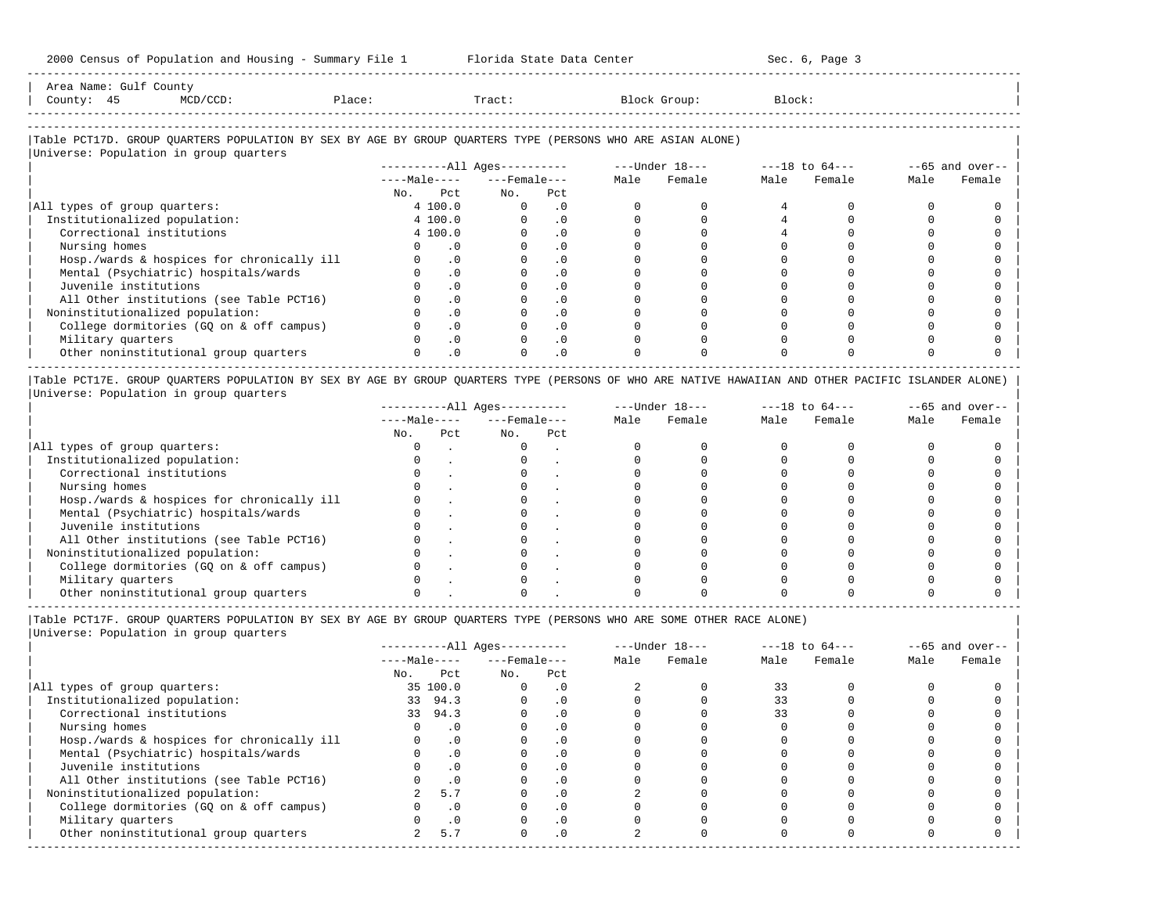| Area<br>Name | Gult<br>Count <sup>.</sup> |                                                                                                                 |      |       |         |        |
|--------------|----------------------------|-----------------------------------------------------------------------------------------------------------------|------|-------|---------|--------|
| County       |                            | the contract of the contract of the contract of the contract of the contract of the contract of the contract of | 1.71 | Tract | GL OUD. | Block. |
|              |                            |                                                                                                                 |      |       |         |        |

-----------------------------------------------------------------------------------------------------------------------------------------------------

-----------------------------------------------------------------------------------------------------------------------------------------------------

# |Table PCT17D. GROUP QUARTERS POPULATION BY SEX BY AGE BY GROUP QUARTERS TYPE (PERSONS WHO ARE ASIAN ALONE) |

|                                            | $------All Aqes------$ |                    |           |      | $---Under 18---$ |      | $---18$ to $64---$ |      | $--65$ and over-- |
|--------------------------------------------|------------------------|--------------------|-----------|------|------------------|------|--------------------|------|-------------------|
|                                            | $---Male---$           | $---$ Female $---$ |           | Male | Female           | Male | Female             | Male | Female            |
|                                            | Pct<br>No.             | No.                | Pct       |      |                  |      |                    |      |                   |
| All types of group quarters:               | 4 100.0                | $\Omega$           | . 0       |      |                  |      |                    |      |                   |
| Institutionalized population:              | 4 100.0                |                    | $\cdot$ 0 |      |                  |      |                    |      |                   |
| Correctional institutions                  | 4 100.0                |                    | $\cdot$ 0 |      |                  |      |                    |      |                   |
| Nursing homes                              | . 0                    |                    |           |      |                  |      |                    |      |                   |
| Hosp./wards & hospices for chronically ill | $\cdot$ 0              |                    | . 0       |      |                  |      |                    |      |                   |
| Mental (Psychiatric) hospitals/wards       | $\cdot$ 0              |                    | $\cdot$ 0 |      |                  |      |                    |      |                   |
| Juvenile institutions                      | $\cdot$ 0              |                    |           |      |                  |      |                    |      |                   |
| All Other institutions (see Table PCT16)   | $\cdot$ 0              |                    | $\cdot$ 0 |      |                  |      |                    |      |                   |
| Noninstitutionalized population:           | $\cdot$ 0              |                    | $\cdot$ 0 |      |                  |      |                    |      |                   |
| College dormitories (GQ on & off campus)   | $\cdot$ 0              |                    | $\cdot$ 0 |      |                  |      |                    |      |                   |
| Military quarters                          | .0                     |                    | $\cdot$ 0 |      |                  |      |                    |      |                   |
| Other noninstitutional group quarters      | $\cdot$ 0              |                    | $\cdot$ 0 |      |                  |      |                    |      |                   |

|Table PCT17E. GROUP QUARTERS POPULATION BY SEX BY AGE BY GROUP QUARTERS TYPE (PERSONS OF WHO ARE NATIVE HAWAIIAN AND OTHER PACIFIC ISLANDER ALONE) | |Universe: Population in group quarters |

|                                            | $------All Aqes------$ |     |                    |     |      | $---Under 18---$ | $---18$ to $64---$ |        | $--65$ and over-- |        |
|--------------------------------------------|------------------------|-----|--------------------|-----|------|------------------|--------------------|--------|-------------------|--------|
|                                            | $---Male---$           |     | $---$ Female $---$ |     | Male | Female           | Male               | Female | Male              | Female |
|                                            | No.                    | Pct | No.                | Pct |      |                  |                    |        |                   |        |
| All types of group quarters:               |                        |     |                    |     |      |                  |                    |        |                   |        |
| Institutionalized population:              |                        |     |                    |     |      |                  |                    |        |                   |        |
| Correctional institutions                  |                        |     |                    |     |      |                  |                    |        |                   |        |
| Nursing homes                              |                        |     |                    |     |      |                  |                    |        |                   |        |
| Hosp./wards & hospices for chronically ill |                        |     |                    |     |      |                  |                    |        |                   |        |
| Mental (Psychiatric) hospitals/wards       |                        |     |                    |     |      |                  |                    |        |                   |        |
| Juvenile institutions                      |                        |     |                    |     |      |                  |                    |        |                   |        |
| All Other institutions (see Table PCT16)   |                        |     |                    |     |      |                  |                    |        |                   |        |
| Noninstitutionalized population:           |                        |     |                    |     |      |                  |                    |        |                   |        |
| College dormitories (GO on & off campus)   |                        |     |                    |     |      |                  |                    |        |                   |        |
| Military quarters                          |                        |     |                    |     |      |                  |                    |        |                   |        |
| Other noninstitutional group quarters      |                        |     |                    |     |      |                  |                    |        |                   |        |

-----------------------------------------------------------------------------------------------------------------------------------------------------

|Table PCT17F. GROUP QUARTERS POPULATION BY SEX BY AGE BY GROUP QUARTERS TYPE (PERSONS WHO ARE SOME OTHER RACE ALONE) |

|                                            |     |              | $------All Aqes------$ |           |      | $---Under 18---$ |      | $---18$ to $64---$ | $--65$ and over-- |        |
|--------------------------------------------|-----|--------------|------------------------|-----------|------|------------------|------|--------------------|-------------------|--------|
|                                            |     | $---Male---$ | $---$ Female $---$     |           | Male | Female           | Male | Female             | Male              | Female |
|                                            | No. | Pct          | No.                    | Pct       |      |                  |      |                    |                   |        |
| All types of group quarters:               |     | 35 100.0     | $\Omega$               | . 0       |      |                  | 33   |                    |                   |        |
| Institutionalized population:              |     | 33 94.3      |                        | $\cdot$ 0 |      |                  | 33   |                    |                   |        |
| Correctional institutions                  |     | 33 94.3      |                        |           |      |                  | 33   |                    |                   |        |
| Nursing homes                              |     | $\cdot$ 0    |                        | $\cdot$ 0 |      |                  |      |                    |                   |        |
| Hosp./wards & hospices for chronically ill |     | $\cdot$ 0    |                        |           |      |                  |      |                    |                   |        |
| Mental (Psychiatric) hospitals/wards       |     | $\cdot$ 0    |                        | . 0       |      |                  |      |                    |                   |        |
| Juvenile institutions                      |     | $\cdot$ 0    |                        |           |      |                  |      |                    |                   |        |
| All Other institutions (see Table PCT16)   |     | .0           |                        |           |      |                  |      |                    |                   |        |
| Noninstitutionalized population:           |     | 5.7          |                        | $\cdot$ 0 |      |                  |      |                    |                   |        |
| College dormitories (GQ on & off campus)   |     | $\cdot$ 0    |                        |           |      |                  |      |                    |                   |        |
| Military quarters                          |     | $\cdot$ 0    |                        | $\cdot$ 0 |      |                  |      |                    |                   |        |
| Other noninstitutional group quarters      |     | 5.7          |                        | .0        |      |                  |      |                    |                   |        |
|                                            |     |              |                        |           |      |                  |      |                    |                   |        |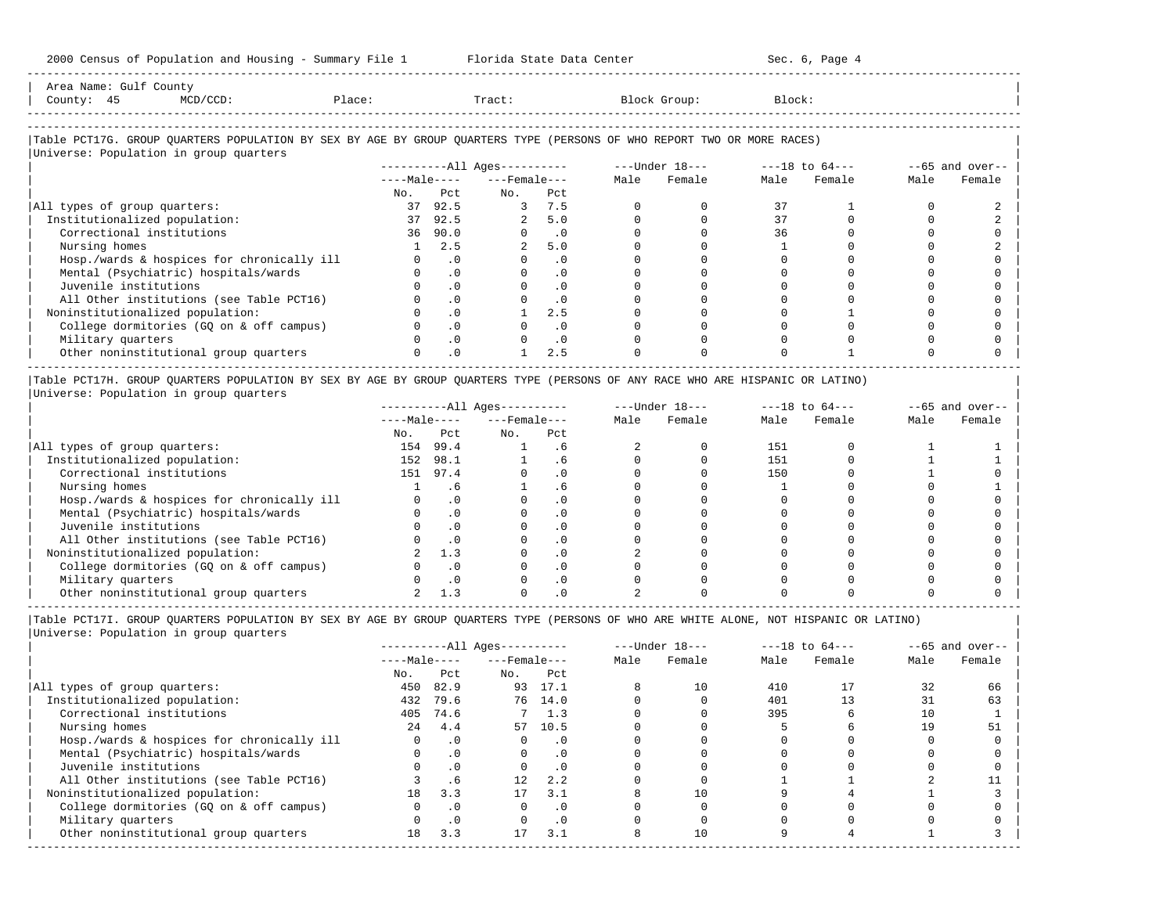| Area Name: Gulf County<br>County: 45<br>MCD/CCD:                                                                       | Place: |               | Tract:                       |           |      | Block Group:                   | Block: |        |      |                   |
|------------------------------------------------------------------------------------------------------------------------|--------|---------------|------------------------------|-----------|------|--------------------------------|--------|--------|------|-------------------|
| Table PCT17G. GROUP OUARTERS POPULATION BY SEX BY AGE BY GROUP OUARTERS TYPE (PERSONS OF WHO REPORT TWO OR MORE RACES) |        |               |                              |           |      |                                |        |        |      |                   |
| Universe: Population in group quarters                                                                                 |        |               |                              |           |      |                                |        |        |      |                   |
|                                                                                                                        |        |               | ----------All Ages---------- |           |      | $---Under 18-- ---18 to 64---$ |        |        |      | $--65$ and over-- |
|                                                                                                                        |        | $---Male---$  | $---$ Female $---$           |           | Male | Female                         | Male   | Female | Male | Female            |
|                                                                                                                        |        | No. Pct       | No.                          | Pct       |      |                                |        |        |      |                   |
| All types of group quarters:                                                                                           |        | 37 92.5       |                              | 3 7.5     |      |                                | 37     |        |      |                   |
| Institutionalized population:                                                                                          |        | 37 92.5       |                              | 2, 5.0    |      |                                | 37     |        |      |                   |
| Correctional institutions                                                                                              |        | 36 90.0       | $\Omega$                     | $\cdot$ 0 |      |                                | 36     |        |      |                   |
| Nursing homes                                                                                                          |        | 2.5           | $\overline{2}$               | 5.0       |      |                                |        |        |      |                   |
| Hosp./wards & hospices for chronically ill                                                                             |        | $0 \qquad .0$ | $\Omega$                     | $\cdot$ 0 |      |                                |        |        |      |                   |
| Mental (Psychiatric) hospitals/wards                                                                                   |        | $\cdot$ 0     | $\Omega$                     | $\cdot$ 0 |      |                                |        |        |      |                   |
| Juvenile institutions                                                                                                  |        | $\cdot$ 0     |                              | $\cdot$ 0 |      |                                |        |        |      |                   |
| All Other institutions (see Table PCT16)                                                                               |        | $\cdot$ 0     |                              | $\cdot$ 0 |      |                                |        |        |      |                   |

| Noninstitutionalized population: 0 .0 1 2.5 0 0 0 1 0 0 | | College dormitories (GQ on & off campus) 0 .0 0 .0 0 0 0 0 0 0 | | Military quarters 0 .0 0 .0 0 0 0 0 0 0 |

| Other noninstitutional group quarters 0 .0 1 2.5 0 0 0 1 0 0 | ----------------------------------------------------------------------------------------------------------------------------------------------------- |Table PCT17H. GROUP QUARTERS POPULATION BY SEX BY AGE BY GROUP QUARTERS TYPE (PERSONS OF ANY RACE WHO ARE HISPANIC OR LATINO) | |Universe: Population in group quarters |

|                                            |              |           | $------All Ages------$ |           | $---Under 18---$ |        | $---18$ to $64---$ |        | $--65$ and over-- |        |
|--------------------------------------------|--------------|-----------|------------------------|-----------|------------------|--------|--------------------|--------|-------------------|--------|
|                                            | $---Male---$ |           | $---$ Female $---$     |           | Male             | Female | Male               | Female | Male              | Female |
|                                            | No.          | Pct       | No.                    | Pct       |                  |        |                    |        |                   |        |
| All types of group quarters:               | 154          | 99.4      |                        | . 6       |                  |        | 151                |        |                   |        |
| Institutionalized population:              | 152          | 98.1      |                        |           |                  |        | 151                |        |                   |        |
| Correctional institutions                  | 151          | 97.4      |                        | $\cdot$ 0 |                  |        | 150                |        |                   |        |
| Nursing homes                              |              | . ხ       |                        |           |                  |        |                    |        |                   |        |
| Hosp./wards & hospices for chronically ill |              | $\cdot$ 0 |                        | $\cdot$ 0 |                  |        |                    |        |                   |        |
| Mental (Psychiatric) hospitals/wards       |              |           |                        |           |                  |        |                    |        |                   |        |
| Juvenile institutions                      |              | . 0       |                        | $\cdot$ 0 |                  |        |                    |        |                   |        |
| All Other institutions (see Table PCT16)   |              |           |                        |           |                  |        |                    |        |                   |        |
| Noninstitutionalized population:           |              | 1.3       |                        |           |                  |        |                    |        |                   |        |
| College dormitories (GQ on & off campus)   |              |           |                        |           |                  |        |                    |        |                   |        |
| Military quarters                          |              |           |                        |           |                  |        |                    |        |                   |        |
| Other noninstitutional group quarters      |              |           |                        |           |                  |        |                    |        |                   |        |

|Table PCT17I. GROUP QUARTERS POPULATION BY SEX BY AGE BY GROUP QUARTERS TYPE (PERSONS OF WHO ARE WHITE ALONE, NOT HISPANIC OR LATINO) |

|                                            |              |           | $------All Ages------$ |               | $---Under 18---$ |        | $---18$ to $64---$ |        | $--65$ and over-- |        |
|--------------------------------------------|--------------|-----------|------------------------|---------------|------------------|--------|--------------------|--------|-------------------|--------|
|                                            | $---Male---$ |           | $---$ Female $---$     |               | Male             | Female | Male               | Female | Male              | Female |
|                                            | No.          | Pct       | No.                    | Pct           |                  |        |                    |        |                   |        |
| All types of group quarters:               | 450          | 82.9      |                        | 93 17.1       |                  | 10     | 410                |        | 32                | 66     |
| Institutionalized population:              | 432          | 79.6      |                        | 76 14.0       |                  |        | 401                |        |                   | 63     |
| Correctional institutions                  | 405          | 74.6      |                        | $7 \quad 1.3$ |                  |        | 395                |        | 10                |        |
| Nursing homes                              | 2.4          | 4.4       | 57                     | 10.5          |                  |        |                    |        | 19                | 51     |
| Hosp./wards & hospices for chronically ill |              | $\cdot$ 0 | 0                      | $\cdot$ 0     |                  |        |                    |        |                   |        |
| Mental (Psychiatric) hospitals/wards       |              | $\cdot$ 0 | $\Omega$               | $\cdot$ 0     |                  |        |                    |        |                   |        |
| Juvenile institutions                      |              | $\cdot$ 0 |                        | $\cdot$ 0     |                  |        |                    |        |                   |        |
| All Other institutions (see Table PCT16)   |              | .6        | 12                     | 2.2           |                  |        |                    |        |                   |        |
| Noninstitutionalized population:           | 18           | 3.3       | 17                     | 3.1           |                  |        |                    |        |                   |        |
| College dormitories (GQ on & off campus)   |              | $\cdot$ 0 |                        | $\cdot$ 0     |                  |        |                    |        |                   |        |
| Military quarters                          |              | $\cdot$ 0 |                        | $\cdot$ 0     |                  |        |                    |        |                   |        |
| Other noninstitutional group quarters      | 18           | 3.3       | 17                     | 3.1           |                  | 10     |                    |        |                   |        |
|                                            |              |           |                        |               |                  |        |                    |        |                   |        |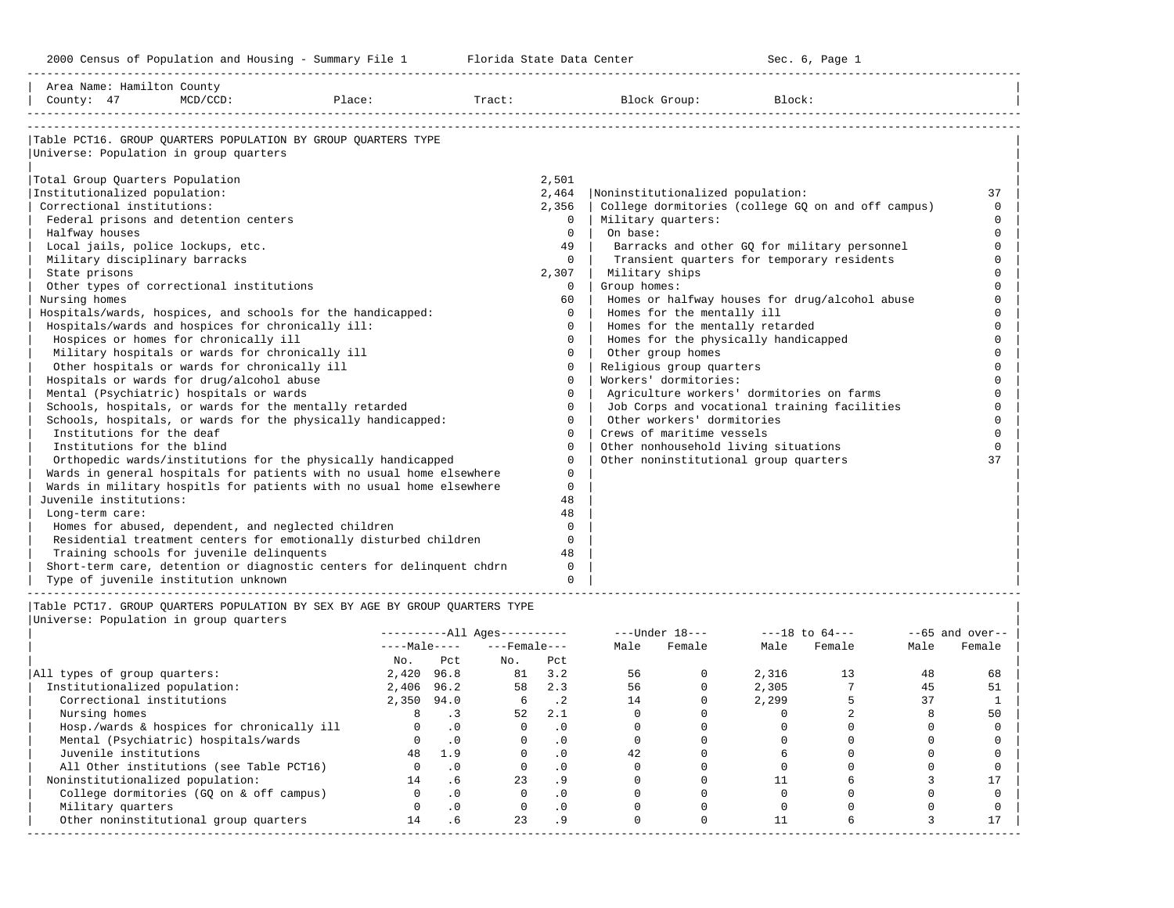-----------------------------------------------------------------------------------------------------------------------------------------------------

| Area Name: Hamilton County<br>County: 47               | $MCD/CCD$ : | Place:                                                                | Tract: |             | Block Group:                              | Block:                                             |          |
|--------------------------------------------------------|-------------|-----------------------------------------------------------------------|--------|-------------|-------------------------------------------|----------------------------------------------------|----------|
|                                                        |             |                                                                       |        |             |                                           |                                                    |          |
|                                                        |             | Table PCT16. GROUP OUARTERS POPULATION BY GROUP OUARTERS TYPE         |        |             |                                           |                                                    |          |
| Universe: Population in group quarters                 |             |                                                                       |        |             |                                           |                                                    |          |
|                                                        |             |                                                                       |        |             |                                           |                                                    |          |
| Total Group Quarters Population                        |             |                                                                       |        | 2,501       |                                           |                                                    |          |
| Institutionalized population:                          |             |                                                                       |        | 2,464       | Noninstitutionalized population:          |                                                    | 37       |
| Correctional institutions:                             |             |                                                                       |        | 2,356       |                                           | College dormitories (college GQ on and off campus) | $\Omega$ |
| Federal prisons and detention centers                  |             |                                                                       |        | $\Omega$    | Military quarters:                        |                                                    | $\cap$   |
| Halfway houses                                         |             |                                                                       |        | $\Omega$    | On base:                                  |                                                    | $\Omega$ |
| Local jails, police lockups, etc.                      |             |                                                                       |        | 49          |                                           | Barracks and other GQ for military personnel       | $\Omega$ |
| Military disciplinary barracks                         |             |                                                                       |        | $\Omega$    |                                           | Transient quarters for temporary residents         | $\Omega$ |
| State prisons                                          |             |                                                                       |        | 2,307       | Military ships                            |                                                    |          |
| Other types of correctional institutions               |             |                                                                       |        | $\Omega$    | Group homes:                              |                                                    |          |
| Nursing homes                                          |             |                                                                       |        | 60          |                                           | Homes or halfway houses for drug/alcohol abuse     |          |
|                                                        |             | Hospitals/wards, hospices, and schools for the handicapped:           |        | $\Omega$    | Homes for the mentally ill                |                                                    |          |
| Hospitals/wards and hospices for chronically ill:      |             |                                                                       |        | $\Omega$    | Homes for the mentally retarded           |                                                    |          |
| Hospices or homes for chronically ill                  |             |                                                                       |        | $\Omega$    | Homes for the physically handicapped      |                                                    | $\cap$   |
| Military hospitals or wards for chronically ill        |             |                                                                       |        | $\Omega$    | Other group homes                         |                                                    | $\cap$   |
| Other hospitals or wards for chronically ill           |             |                                                                       |        | $\mathbf 0$ | Religious group quarters                  |                                                    | $\cap$   |
| Hospitals or wards for drug/alcohol abuse              |             |                                                                       |        | $\Omega$    | Workers' dormitories:                     |                                                    |          |
| Mental (Psychiatric) hospitals or wards                |             |                                                                       |        | $\Omega$    | Agriculture workers' dormitories on farms |                                                    | $\cap$   |
| Schools, hospitals, or wards for the mentally retarded |             |                                                                       |        | $\Omega$    |                                           | Job Corps and vocational training facilities       | $\Omega$ |
|                                                        |             | Schools, hospitals, or wards for the physically handicapped:          |        | $\Omega$    | Other workers' dormitories                |                                                    |          |
| Institutions for the deaf                              |             |                                                                       |        | $\Omega$    | Crews of maritime vessels                 |                                                    | $\cap$   |
| Institutions for the blind                             |             |                                                                       |        | $\Omega$    | Other nonhousehold living situations      |                                                    | $\Omega$ |
|                                                        |             | Orthopedic wards/institutions for the physically handicapped          |        | $\Omega$    | Other noninstitutional group quarters     |                                                    | 37       |
|                                                        |             | Wards in general hospitals for patients with no usual home elsewhere  |        | $\Omega$    |                                           |                                                    |          |
|                                                        |             | Wards in military hospitls for patients with no usual home elsewhere  |        | $\Omega$    |                                           |                                                    |          |
| Juvenile institutions:                                 |             |                                                                       |        | 48          |                                           |                                                    |          |
| Long-term care:                                        |             |                                                                       |        | 48          |                                           |                                                    |          |
| Homes for abused, dependent, and neglected children    |             |                                                                       |        | $\Omega$    |                                           |                                                    |          |
|                                                        |             | Residential treatment centers for emotionally disturbed children      |        | $\Omega$    |                                           |                                                    |          |
| Training schools for juvenile delinquents              |             |                                                                       |        | 48          |                                           |                                                    |          |
|                                                        |             | Short-term care, detention or diagnostic centers for delinquent chdrn |        | $\Omega$    |                                           |                                                    |          |
| Type of juvenile institution unknown                   |             |                                                                       |        | $\Omega$    |                                           |                                                    |          |

|                                            |              |           | $------All Ages------$ |           |      | $---Under 18---$ | $---18$ to $64---$ |        |      | $--65$ and over-- |
|--------------------------------------------|--------------|-----------|------------------------|-----------|------|------------------|--------------------|--------|------|-------------------|
|                                            | $---Male---$ |           | $---$ Female $---$     |           | Male | Female           | Male               | Female | Male | Female            |
|                                            | No.          | Pct       | No.                    | Pct       |      |                  |                    |        |      |                   |
| All types of group quarters:               | 2,420        | 96.8      | 81                     | 3.2       | 56   |                  | 2,316              | 13     | 48   | 68                |
| Institutionalized population:              | 2,406 96.2   |           | 58                     | 2.3       | 56   |                  | 2,305              |        | 45   | 51                |
| Correctional institutions                  | 2,350 94.0   |           | 6                      | . 2       | 14   |                  | 2,299              |        | 37   |                   |
| Nursing homes                              |              |           | 52                     | 2.1       |      |                  |                    |        |      | 50                |
| Hosp./wards & hospices for chronically ill |              | $\cdot$ 0 |                        | . 0       |      |                  |                    |        |      |                   |
| Mental (Psychiatric) hospitals/wards       |              | $\cdot$ 0 |                        | $\cdot$ 0 |      |                  |                    |        |      |                   |
| Juvenile institutions                      | 48           | 1.9       |                        |           | 42   |                  |                    |        |      |                   |
| All Other institutions (see Table PCT16)   |              | . 0       |                        | . 0       |      |                  |                    |        |      |                   |
| Noninstitutionalized population:           | 14           | .6        | 23                     | . 9       |      |                  |                    |        |      |                   |
| College dormitories (GO on & off campus)   |              | $\cdot$ 0 |                        | $\cdot$ 0 |      |                  |                    |        |      |                   |
| Military quarters                          |              | $\cdot$ 0 |                        | $\cdot$ 0 |      |                  |                    |        |      |                   |
| Other noninstitutional group quarters      | 14           | . 6       | 23                     | .9        |      |                  |                    |        |      |                   |
|                                            |              |           |                        |           |      |                  |                    |        |      |                   |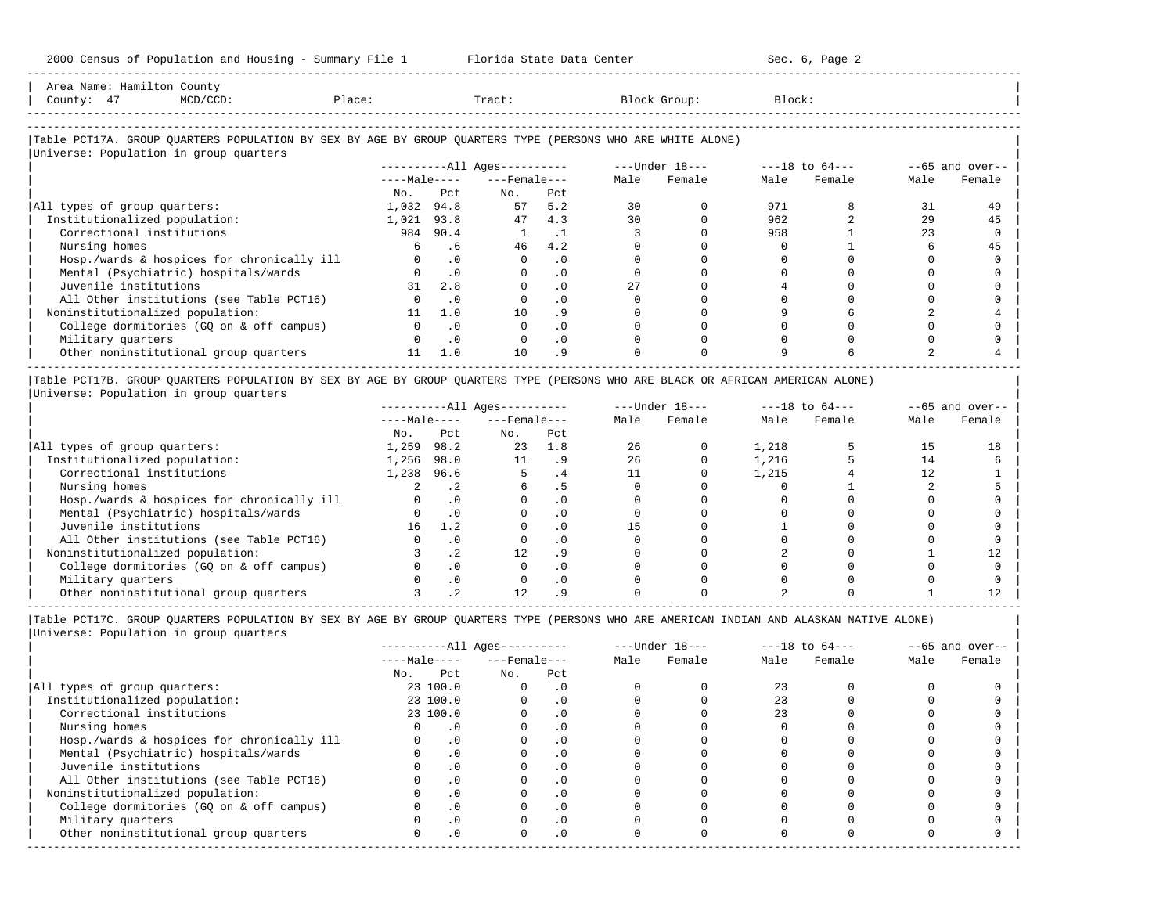| 2000 Census of Population and Housing - Summary File 1 Florida State Data Center                                                                                         |              |             |                              |           |          | Sec. 6, Page 2                 |             |                    |                |                    |
|--------------------------------------------------------------------------------------------------------------------------------------------------------------------------|--------------|-------------|------------------------------|-----------|----------|--------------------------------|-------------|--------------------|----------------|--------------------|
| Area Name: Hamilton County<br>County: 47<br>$MCD/CCD$ :<br>Place:                                                                                                        |              |             | Tract:                       |           |          | Block Group:                   | Block:      |                    |                |                    |
| Table PCT17A. GROUP QUARTERS POPULATION BY SEX BY AGE BY GROUP QUARTERS TYPE (PERSONS WHO ARE WHITE ALONE)<br>Universe: Population in group quarters                     |              |             |                              |           |          |                                |             |                    |                |                    |
|                                                                                                                                                                          |              |             | $------All Aqes------$       |           |          | ---Under 18---                 |             | $---18$ to $64---$ |                | $-65$ and over--   |
|                                                                                                                                                                          |              |             | $---Male-- ---Female---$     |           | Male     | Female                         | Male        | Female             | Male           | Female             |
|                                                                                                                                                                          | No.          | Pct         | $NQ$ .                       | Pct       |          |                                |             |                    |                |                    |
| All types of group quarters:                                                                                                                                             | 1,032 94.8   |             | 57                           | 5.2       | 30       | $\Omega$                       | 971         | 8                  | 31             | 49                 |
| Institutionalized population:                                                                                                                                            | 1,021 93.8   |             | 47                           | 4.3       | 30       | $\Omega$                       | 962         | $\overline{a}$     | 29             | 45                 |
| Correctional institutions                                                                                                                                                |              | 984 90.4    | <sup>1</sup>                 | $\cdot$ 1 | 3        | $\Omega$                       | 958         |                    | 2.3            | $\Omega$           |
| Nursing homes                                                                                                                                                            | 6            | .6          | 46                           | 4.2       | $\Omega$ | $\Omega$                       | $\mathbf 0$ |                    | 6              | 45                 |
| Hosp./wards & hospices for chronically ill                                                                                                                               | $\Omega$     | $\cdot$ 0   | $\Omega$                     | $\cdot$ 0 | $\Omega$ | $\Omega$                       | $\Omega$    | $\Omega$           | $\Omega$       |                    |
| Mental (Psychiatric) hospitals/wards                                                                                                                                     |              | $\cdot$ 0   | $\Omega$                     | $\cdot$ 0 | $\Omega$ | $\Omega$                       | $\Omega$    | $\Omega$           | $\Omega$       |                    |
| Juvenile institutions                                                                                                                                                    |              | $31 \t 2.8$ | $\Omega$                     | $\cdot$ 0 | 2.7      | $\Omega$                       |             |                    | $\cap$         |                    |
| All Other institutions (see Table PCT16)                                                                                                                                 | $\mathbf{0}$ | $\cdot$ 0   | $\mathbf 0$                  | $\cdot$ 0 | $\Omega$ | $\mathbf 0$                    | $\Omega$    | $\Omega$           | $\Omega$       |                    |
| Noninstitutionalized population:                                                                                                                                         | 11           | 1.0         | 10                           | . 9       | $\Omega$ | $\Omega$                       | 9           |                    | $\overline{a}$ |                    |
| College dormitories (GQ on & off campus)                                                                                                                                 | $\Omega$     | $\cdot$ 0   | $\Omega$                     | $\cdot$ 0 | $\Omega$ | $\Omega$                       | $\Omega$    | $\cap$             | $\cap$         |                    |
| Military quarters                                                                                                                                                        | $\Omega$     | $\cdot$ 0   | $\mathbf 0$                  | $\cdot$ 0 | $\Omega$ | $\Omega$                       | $\Omega$    | $\Omega$           | $\Omega$       |                    |
| Other noninstitutional group quarters                                                                                                                                    | 11           | 1.0         | 10                           | .9        |          |                                | 9           |                    |                |                    |
| Table PCT17B. GROUP QUARTERS POPULATION BY SEX BY AGE BY GROUP QUARTERS TYPE (PERSONS WHO ARE BLACK OR AFRICAN AMERICAN ALONE)<br>Universe: Population in group quarters |              |             |                              |           |          |                                |             |                    |                |                    |
|                                                                                                                                                                          |              |             | ----------All Ages---------- |           |          | $---Under 18-- ---18 to 64---$ |             |                    |                | $- -65$ and over-- |
|                                                                                                                                                                          |              |             | $---Male-- ---Female---$     |           | Male     | Female                         | Male        | Female             | Male           | Female             |
|                                                                                                                                                                          | No.          | Pct         | No. Pct                      |           |          |                                |             |                    |                |                    |
| All types of group quarters:                                                                                                                                             | 1,259 98.2   |             | 23 1.8                       |           | 26       | $\Omega$                       | 1,218       |                    | 1.5            | 18                 |
| Institutionalized population:                                                                                                                                            | 1,256 98.0   |             | 11                           | .9        | 26       | $\Omega$                       | 1,216       | 5                  | 14             |                    |
| Correctional institutions                                                                                                                                                | 1,238 96.6   |             | $5 - 5$                      | .4        | 11       | $\Omega$                       | 1,215       |                    | 12             |                    |

| Nursing homes 2 .2 6 .5 0 0 0 1 2 5 | | Hosp./wards & hospices for chronically ill 0 .0 0 .0 0 0 0 0 0 0 | | Mental (Psychiatric) hospitals/wards 0 .0 0 .0 0 0 0 0 0 0 | | Juvenile institutions 16 1.2 0 .0 15 0 1 0 0 0 | | All Other institutions (see Table PCT16) 0 .0 0 .0 0 0 0 0 0 0 | | Noninstitutionalized population: 3 .2 12 .9 0 0 2 0 1 12 | | College dormitories (GQ on & off campus) 0 .0 0 .0 0 0 0 0 0 0 |  $\begin{array}{ccccccc} 0 & .0 & & 0 & .0 \ 0 & .0 & & 0 & .0 \ 3 & .2 & & 12 & .9 \end{array}$ | Other noninstitutional group quarters 3 .2 12 .9 0 0 2 0 1 12 |

|Table PCT17C. GROUP QUARTERS POPULATION BY SEX BY AGE BY GROUP QUARTERS TYPE (PERSONS WHO ARE AMERICAN INDIAN AND ALASKAN NATIVE ALONE) | |Universe: Population in group quarters |

|                                            |     |              | $------All Aqes------$ |           |      | $---Under 18---$ | $---18$ to $64---$ |        | $--65$ and over-- |        |
|--------------------------------------------|-----|--------------|------------------------|-----------|------|------------------|--------------------|--------|-------------------|--------|
|                                            |     | $---Male---$ | $---$ Female ---       |           | Male | Female           | Male               | Female | Male              | Female |
|                                            | No. | Pct          | No.                    | Pct       |      |                  |                    |        |                   |        |
| All types of group quarters:               |     | 23 100.0     |                        | . 0       |      |                  | 23                 |        |                   |        |
| Institutionalized population:              |     | 23 100.0     |                        | $\cdot$ 0 |      |                  |                    |        |                   |        |
| Correctional institutions                  |     | 23 100.0     |                        | . 0       |      |                  | 23                 |        |                   |        |
| Nursing homes                              |     |              |                        | . 0       |      |                  |                    |        |                   |        |
| Hosp./wards & hospices for chronically ill |     | .0           |                        | . 0       |      |                  |                    |        |                   |        |
| Mental (Psychiatric) hospitals/wards       |     | $\cdot$ 0    |                        | $\cdot$ 0 |      |                  |                    |        |                   |        |
| Juvenile institutions                      |     |              |                        | $\cdot$ 0 |      |                  |                    |        |                   |        |
| All Other institutions (see Table PCT16)   |     |              |                        | . 0       |      |                  |                    |        |                   |        |
| Noninstitutionalized population:           |     | .0           |                        | $\cdot$ 0 |      |                  |                    |        |                   |        |
| College dormitories (GO on & off campus)   |     |              |                        | $\cdot$ 0 |      |                  |                    |        |                   |        |
| Military quarters                          |     |              |                        | $\cdot$ 0 |      |                  |                    |        |                   |        |
| Other noninstitutional group quarters      |     | .0           |                        | $\cdot$ 0 |      |                  |                    |        |                   |        |
|                                            |     |              |                        |           |      |                  |                    |        |                   |        |

-----------------------------------------------------------------------------------------------------------------------------------------------------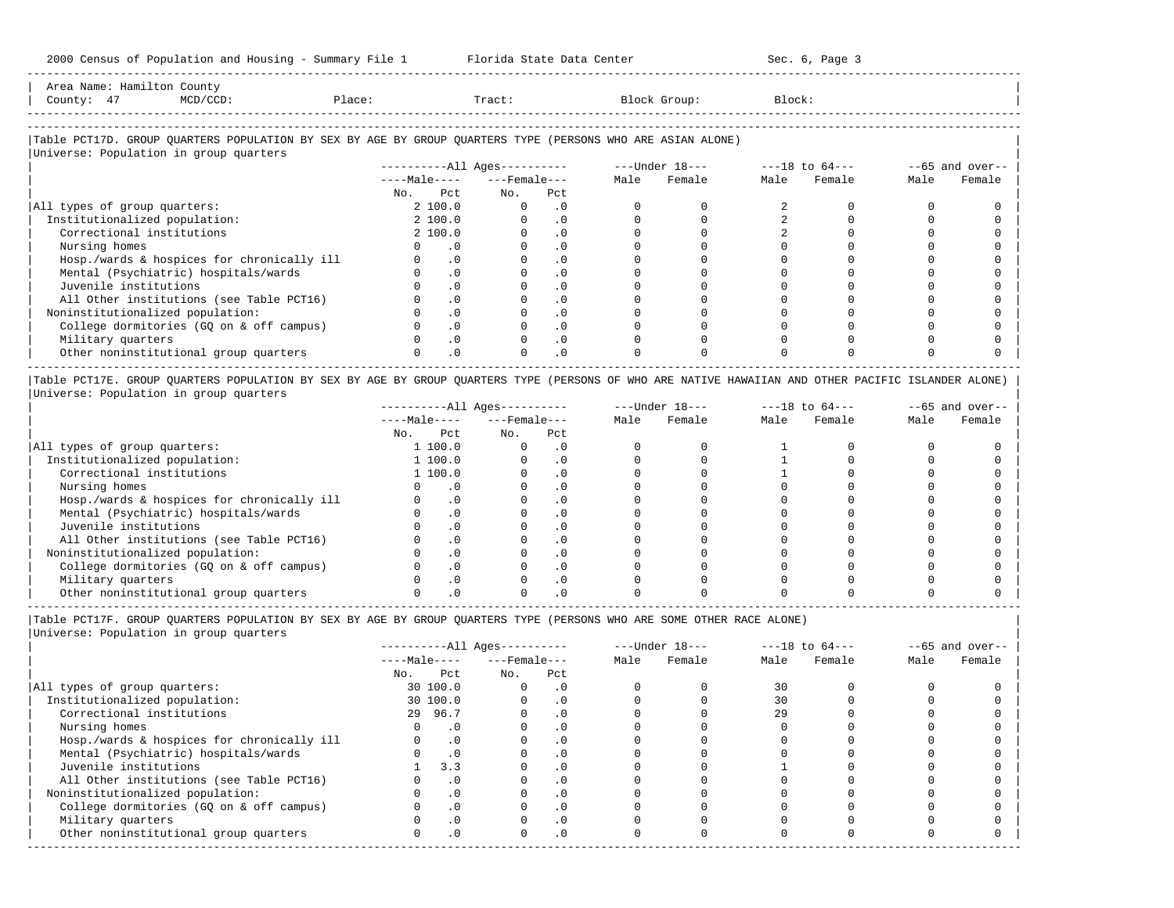-----------------------------------------------------------------------------------------------------------------------------------------------------

| Area<br>Name | ⊣am | Count <sup>.</sup>                                                              |      |       |         |        |
|--------------|-----|---------------------------------------------------------------------------------|------|-------|---------|--------|
| County       |     | the contract of the contract of the contract of the contract of the contract of | 1.71 | Tract | JLOUD : | Block' |
|              |     |                                                                                 |      |       |         |        |

-----------------------------------------------------------------------------------------------------------------------------------------------------

# |Table PCT17D. GROUP QUARTERS POPULATION BY SEX BY AGE BY GROUP QUARTERS TYPE (PERSONS WHO ARE ASIAN ALONE) |

| Universe: Population in group quarters     |     |              |                        |                  |      |                  |                    |        |                   |        |
|--------------------------------------------|-----|--------------|------------------------|------------------|------|------------------|--------------------|--------|-------------------|--------|
|                                            |     |              | $------All Ages------$ |                  |      | $---Under 18---$ | $---18$ to $64---$ |        | $--65$ and over-- |        |
|                                            |     | $---Male---$ |                        | $---$ Female --- | Male | Female           | Male               | Female | Male              | Female |
|                                            | No. | Pct          | No.                    | Pct              |      |                  |                    |        |                   |        |
| All types of group quarters:               |     | 2 100.0      |                        | $\cdot$ 0        |      |                  |                    |        |                   |        |
| Institutionalized population:              |     | 2 100.0      |                        | $\cdot$ 0        |      |                  |                    |        |                   |        |
| Correctional institutions                  |     | 2 100.0      |                        | $\cdot$ 0        |      |                  |                    |        |                   |        |
| Nursing homes                              |     | $\cdot$ 0    |                        | $\cdot$ 0        |      |                  |                    |        |                   |        |
| Hosp./wards & hospices for chronically ill |     | $\cdot$ 0    |                        | $\cdot$ 0        |      |                  |                    |        |                   |        |
| Mental (Psychiatric) hospitals/wards       |     | $\cdot$ 0    |                        | . 0              |      |                  |                    |        |                   |        |
| Juvenile institutions                      |     | $\cdot$ 0    |                        | $\cdot$ 0        |      |                  |                    |        |                   |        |
| All Other institutions (see Table PCT16)   |     | $\cdot$ 0    |                        |                  |      |                  |                    |        |                   |        |
| Noninstitutionalized population:           |     | $\cdot$ 0    |                        | $\cdot$ 0        |      |                  |                    |        |                   |        |
| College dormitories (GO on & off campus)   |     | $\cdot$ 0    |                        |                  |      |                  |                    |        |                   |        |
| Military quarters                          |     | $\cdot$ 0    |                        | $\cdot$ 0        |      |                  |                    |        |                   |        |
| Other noninstitutional group quarters      |     | $\cdot$ 0    |                        | $\cdot$ 0        |      |                  |                    |        |                   |        |
|                                            |     |              |                        |                  |      |                  |                    |        |                   |        |

|Table PCT17E. GROUP QUARTERS POPULATION BY SEX BY AGE BY GROUP QUARTERS TYPE (PERSONS OF WHO ARE NATIVE HAWAIIAN AND OTHER PACIFIC ISLANDER ALONE) | |Universe: Population in group quarters |

|                                            |              |           | $------All Ages------$ |           |      | $---Under 18---$ |      | $---18$ to $64---$ |      | $--65$ and over-- |
|--------------------------------------------|--------------|-----------|------------------------|-----------|------|------------------|------|--------------------|------|-------------------|
|                                            | $---Male---$ |           | $---$ Female $---$     |           | Male | Female           | Male | Female             | Male | Female            |
|                                            | No.          | Pct       | No.                    | Pct       |      |                  |      |                    |      |                   |
| All types of group quarters:               |              | 1 100.0   |                        | . 0       |      |                  |      |                    |      |                   |
| Institutionalized population:              |              | 1 100.0   |                        | . 0       |      |                  |      |                    |      |                   |
| Correctional institutions                  |              | 1 100.0   |                        | . 0       |      |                  |      |                    |      |                   |
| Nursing homes                              |              |           |                        | . 0       |      |                  |      |                    |      |                   |
| Hosp./wards & hospices for chronically ill |              | $\cdot$ 0 |                        | $\cdot$ 0 |      |                  |      |                    |      |                   |
| Mental (Psychiatric) hospitals/wards       |              |           |                        | . 0       |      |                  |      |                    |      |                   |
| Juvenile institutions                      |              | $\Omega$  |                        | . 0       |      |                  |      |                    |      |                   |
| All Other institutions (see Table PCT16)   |              |           |                        |           |      |                  |      |                    |      |                   |
| Noninstitutionalized population:           |              |           |                        |           |      |                  |      |                    |      |                   |
| College dormitories (GO on & off campus)   |              |           |                        |           |      |                  |      |                    |      |                   |
| Military quarters                          |              |           |                        |           |      |                  |      |                    |      |                   |
| Other noninstitutional group quarters      |              |           |                        |           |      |                  |      |                    |      |                   |

-----------------------------------------------------------------------------------------------------------------------------------------------------

|Table PCT17F. GROUP QUARTERS POPULATION BY SEX BY AGE BY GROUP QUARTERS TYPE (PERSONS WHO ARE SOME OTHER RACE ALONE) |

|                                            |              |           | ----------All Ages---------- |           |      | $---Under 18---$ |      | $---18$ to $64---$ |      | $--65$ and over-- |
|--------------------------------------------|--------------|-----------|------------------------------|-----------|------|------------------|------|--------------------|------|-------------------|
|                                            | $---Male---$ |           | $---$ Female $---$           |           | Male | Female           | Male | Female             | Male | Female            |
|                                            | No.          | Pct       | No.                          | Pct       |      |                  |      |                    |      |                   |
| All types of group quarters:               |              | 30 100.0  | 0                            | $\cdot$ 0 |      |                  | 30   |                    |      |                   |
| Institutionalized population:              |              | 30 100.0  |                              | $\cdot$ 0 |      |                  | 30   |                    |      |                   |
| Correctional institutions                  |              | 29 96.7   |                              | $\cdot$ 0 |      |                  | 29   |                    |      |                   |
| Nursing homes                              |              | $\cdot$ 0 |                              | .0        |      |                  |      |                    |      |                   |
| Hosp./wards & hospices for chronically ill |              | $\cdot$ 0 |                              | $\cdot$ 0 |      |                  |      |                    |      |                   |
| Mental (Psychiatric) hospitals/wards       |              | $\cdot$ 0 |                              |           |      |                  |      |                    |      |                   |
| Juvenile institutions                      |              | 3.3       |                              | $\cdot$ 0 |      |                  |      |                    |      |                   |
| All Other institutions (see Table PCT16)   |              | $\cdot$ 0 |                              |           |      |                  |      |                    |      |                   |
| Noninstitutionalized population:           |              | $\cdot$ 0 |                              | $\cdot$ 0 |      |                  |      |                    |      |                   |
| College dormitories (GQ on & off campus)   |              | .0        |                              |           |      |                  |      |                    |      |                   |
| Military quarters                          |              | $\cdot$ 0 |                              | . 0       |      |                  |      |                    |      |                   |
| Other noninstitutional group quarters      |              | $\cdot$ 0 | O.                           | $\cdot$ 0 |      |                  |      |                    |      |                   |
|                                            |              |           |                              |           |      |                  |      |                    |      |                   |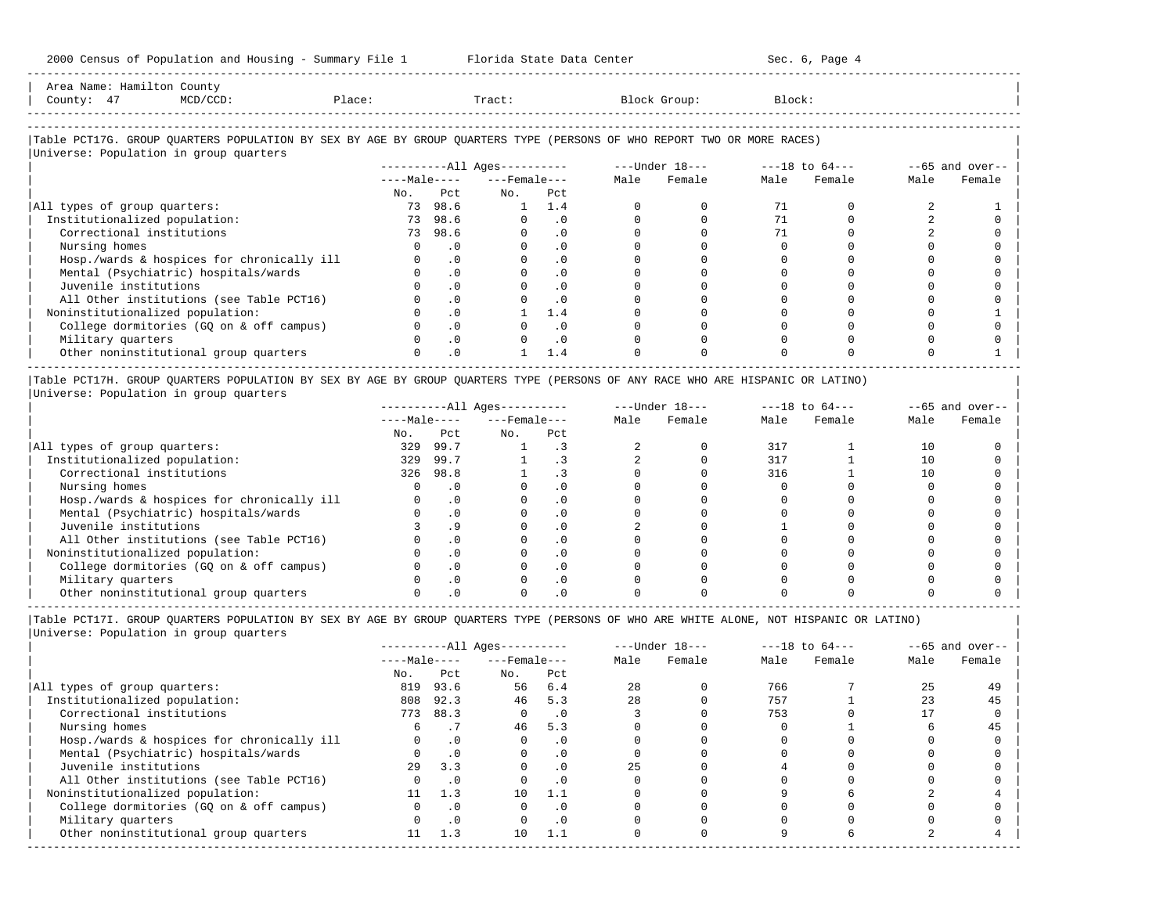| Area Name: Hamilton County<br>County: 47<br>$MCD/CCD$ :                                                                | Place: |           | Tract:                |           |                                                                         | Block Group: | Block:      |      |                   |
|------------------------------------------------------------------------------------------------------------------------|--------|-----------|-----------------------|-----------|-------------------------------------------------------------------------|--------------|-------------|------|-------------------|
| Table PCT17G. GROUP QUARTERS POPULATION BY SEX BY AGE BY GROUP QUARTERS TYPE (PERSONS OF WHO REPORT TWO OR MORE RACES) |        |           |                       |           |                                                                         |              |             |      |                   |
| Universe: Population in group quarters                                                                                 |        |           |                       |           |                                                                         |              |             |      |                   |
|                                                                                                                        |        |           |                       |           | -----------All Ages---------- ---- ---- Under 18--- ---- ---18 to 64--- |              |             |      | $--65$ and over-- |
|                                                                                                                        |        |           | $---Male-- ---Female$ |           |                                                                         | Male Female  | Male Female | Male | Female            |
|                                                                                                                        |        |           | No. Pet. No. Pet.     |           |                                                                         |              |             |      |                   |
| All types of group quarters:                                                                                           |        | 73 98.6   |                       | 1 1.4     |                                                                         |              | 71          |      |                   |
| Institutionalized population:                                                                                          |        | 73 98.6   | $\Omega$              | $\cdot$ 0 |                                                                         |              | 71          |      |                   |
| Correctional institutions                                                                                              |        | 73 98.6   |                       | $\cdot$ 0 |                                                                         |              |             |      |                   |
| Nursing homes                                                                                                          |        | $\cdot$ 0 |                       | $\cdot$ 0 |                                                                         |              |             |      |                   |
| Hosp./wards & hospices for chronically ill                                                                             |        | $\cdot$ 0 |                       | $\cdot$ 0 |                                                                         |              |             |      |                   |
| Mental (Psychiatric) hospitals/wards                                                                                   |        | .0        |                       | $\cdot$ 0 |                                                                         |              |             |      |                   |
| Juvenile institutions                                                                                                  |        | $\cdot$ 0 |                       | $\cdot$ 0 |                                                                         |              |             |      |                   |
| All Other institutions (see Table PCT16)                                                                               |        | $\cdot$ 0 |                       | $\cdot$ 0 |                                                                         |              |             |      |                   |
| Noninstitutionalized population:                                                                                       |        | $\cdot$ 0 |                       | 1.4       |                                                                         |              |             |      |                   |
| College dormitories (GQ on & off campus)                                                                               |        | $\cdot$ 0 |                       | $\cdot$ 0 |                                                                         |              |             |      |                   |
| Military quarters                                                                                                      |        | $\cdot$ 0 |                       | $\cdot$ 0 |                                                                         |              |             |      |                   |
| Other noninstitutional group quarters                                                                                  |        | $\cdot$ 0 |                       | 1.4       |                                                                         |              |             |      |                   |

|Table PCT17H. GROUP QUARTERS POPULATION BY SEX BY AGE BY GROUP QUARTERS TYPE (PERSONS OF ANY RACE WHO ARE HISPANIC OR LATINO) | |Universe: Population in group quarters |

|                                            |              |      | $------All Aqes------$ |           |      | $---Under 18---$ |      | $---18$ to $64---$ |      | $- -65$ and over-- |
|--------------------------------------------|--------------|------|------------------------|-----------|------|------------------|------|--------------------|------|--------------------|
|                                            | $---Male---$ |      | $---$ Female $---$     |           | Male | Female           | Male | Female             | Male | Female             |
|                                            | No.          | Pct  | No.                    | Pct       |      |                  |      |                    |      |                    |
| All types of group quarters:               | 329          | 99.7 |                        |           |      |                  | 317  |                    | 10   |                    |
| Institutionalized population:              | 329          | 99.7 |                        |           |      |                  | 317  |                    | 10   |                    |
| Correctional institutions                  | 326          | 98.8 |                        |           |      |                  | 316  |                    | 10   |                    |
| Nursing homes                              |              |      |                        |           |      |                  |      |                    |      |                    |
| Hosp./wards & hospices for chronically ill |              |      |                        | . 0       |      |                  |      |                    |      |                    |
| Mental (Psychiatric) hospitals/wards       |              |      |                        | . 0       |      |                  |      |                    |      |                    |
| Juvenile institutions                      |              | . 9  |                        | . 0       |      |                  |      |                    |      |                    |
| All Other institutions (see Table PCT16)   |              |      |                        | $\Omega$  |      |                  |      |                    |      |                    |
| Noninstitutionalized population:           |              |      |                        | . 0       |      |                  |      |                    |      |                    |
| College dormitories (GO on & off campus)   |              |      |                        | $\cdot$ 0 |      |                  |      |                    |      |                    |
| Military quarters                          |              |      |                        | . 0       |      |                  |      |                    |      |                    |
| Other noninstitutional group quarters      |              |      |                        |           |      |                  |      |                    |      |                    |

-----------------------------------------------------------------------------------------------------------------------------------------------------

|Table PCT17I. GROUP QUARTERS POPULATION BY SEX BY AGE BY GROUP QUARTERS TYPE (PERSONS OF WHO ARE WHITE ALONE, NOT HISPANIC OR LATINO) | |Universe: Population in group quarters |

|                                            |              |           | $------All Ages------$ |           |      | $---Under 18---$ |      | $---18$ to $64---$ |      | $--65$ and over-- |
|--------------------------------------------|--------------|-----------|------------------------|-----------|------|------------------|------|--------------------|------|-------------------|
|                                            | $---Male---$ |           | $---$ Female $---$     |           | Male | Female           | Male | Female             | Male | Female            |
|                                            | No.          | Pct       | No.                    | Pct       |      |                  |      |                    |      |                   |
| All types of group quarters:               | 819          | 93.6      | 56                     | 6.4       | 28   |                  | 766  |                    | 25   | 49                |
| Institutionalized population:              | 808          | 92.3      | 46                     | 5.3       | 28   |                  | 757  |                    | 23   | 45                |
| Correctional institutions                  | 773          | 88.3      | $\Omega$               | $\cdot$ 0 |      |                  | 753  |                    |      |                   |
| Nursing homes                              | 6            |           | 46                     | 5.3       |      |                  |      |                    |      | 45                |
| Hosp./wards & hospices for chronically ill |              | $\cdot$ 0 |                        | . 0       |      |                  |      |                    |      |                   |
| Mental (Psychiatric) hospitals/wards       |              | $\cdot$ 0 |                        | . 0       |      |                  |      |                    |      |                   |
| Juvenile institutions                      | 29           | 3.3       |                        | $\cdot$ 0 | 25   |                  |      |                    |      |                   |
| All Other institutions (see Table PCT16)   |              | $\cdot$ 0 |                        |           |      |                  |      |                    |      |                   |
| Noninstitutionalized population:           | 11           | 1.3       | 10                     | 1.1       |      |                  |      |                    |      |                   |
| College dormitories (GO on & off campus)   |              | $\cdot$ 0 |                        | . 0       |      |                  |      |                    |      |                   |
| Military quarters                          |              | $\cdot$ 0 |                        | $\cdot$ 0 |      |                  |      |                    |      |                   |
| Other noninstitutional group quarters      | 11           | 1.3       | 10                     | 1.1       |      |                  |      |                    |      |                   |
|                                            |              |           |                        |           |      |                  |      |                    |      |                   |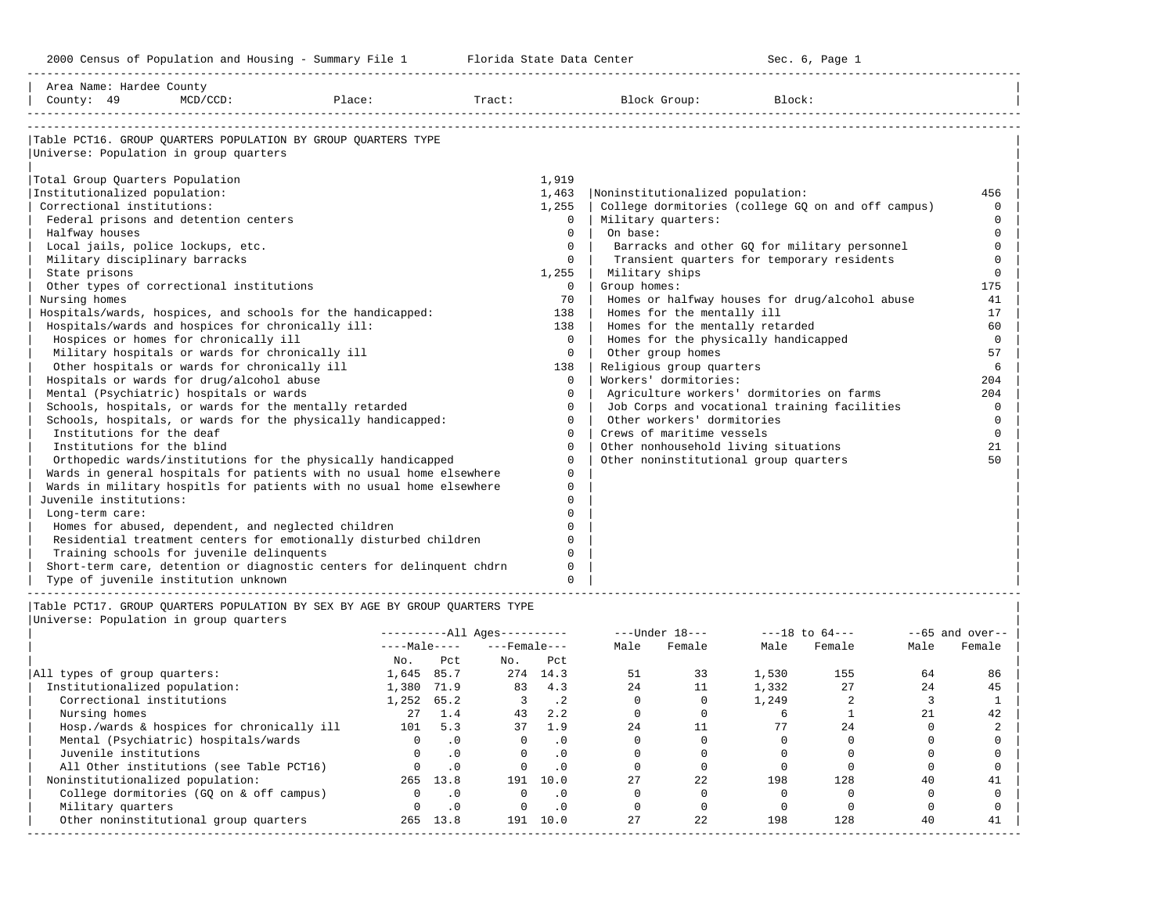| Table PCT16. GROUP QUARTERS POPULATION BY GROUP OUARTERS TYPE<br>Universe: Population in group quarters<br>Total Group Quarters Population<br>1,919<br>Institutionalized population:<br>1,463<br>Noninstitutionalized population:<br>456<br>Correctional institutions:<br>College dormitories (college GQ on and off campus)<br>1,255<br>$\Omega$<br>Federal prisons and detention centers<br>$\Omega$<br>Military quarters:<br>$\Omega$<br>On base:<br>Halfway houses<br>$\Omega$<br>$\Omega$<br>Local jails, police lockups, etc.<br>$\Omega$<br>Barracks and other GO for military personnel<br>$\Omega$<br>Transient quarters for temporary residents<br>Military disciplinary barracks<br>$\Omega$<br>$\Omega$<br>State prisons<br>Military ships<br>$\Omega$<br>1,255<br>Other types of correctional institutions<br>Group homes:<br>175<br>$\Omega$<br>Nursing homes<br>Homes or halfway houses for drug/alcohol abuse<br>70<br>41<br>Homes for the mentally ill<br>Hospitals/wards, hospices, and schools for the handicapped:<br>138<br>17<br>Hospitals/wards and hospices for chronically ill:<br>Homes for the mentally retarded<br>138<br>60<br>Hospices or homes for chronically ill<br>Homes for the physically handicapped<br>$\Omega$<br>$\mathbf 0$<br>Military hospitals or wards for chronically ill<br>Other group homes<br>$\Omega$<br>57<br>Other hospitals or wards for chronically ill<br>Religious group quarters<br>138<br>6<br>Workers' dormitories:<br>Hospitals or wards for drug/alcohol abuse<br>204<br>$\Omega$<br>Agriculture workers' dormitories on farms<br>Mental (Psychiatric) hospitals or wards<br>204<br>$\Omega$<br>Schools, hospitals, or wards for the mentally retarded<br>$\Omega$<br>Job Corps and vocational training facilities<br>$\mathbf 0$<br>Other workers' dormitories<br>Schools, hospitals, or wards for the physically handicapped:<br>$\mathbf{0}$<br>$\mathbf 0$<br>Institutions for the deaf<br>Crews of maritime vessels<br>$\Omega$<br>$\mathbf 0$<br>Institutions for the blind<br>Other nonhousehold living situations<br>$\Omega$<br>21<br>Orthopedic wards/institutions for the physically handicapped<br>$\Omega$<br>Other noninstitutional group quarters<br>50<br>Wards in general hospitals for patients with no usual home elsewhere<br>$\Omega$<br>$\Omega$<br>Wards in military hospitls for patients with no usual home elsewhere<br>Juvenile institutions:<br>$\Omega$<br>Long-term care:<br>$\Omega$<br>Homes for abused, dependent, and neglected children<br>$\Omega$<br>Residential treatment centers for emotionally disturbed children<br>$\Omega$ | Area Name: Hardee County<br>County: 49 |  |  |  |
|--------------------------------------------------------------------------------------------------------------------------------------------------------------------------------------------------------------------------------------------------------------------------------------------------------------------------------------------------------------------------------------------------------------------------------------------------------------------------------------------------------------------------------------------------------------------------------------------------------------------------------------------------------------------------------------------------------------------------------------------------------------------------------------------------------------------------------------------------------------------------------------------------------------------------------------------------------------------------------------------------------------------------------------------------------------------------------------------------------------------------------------------------------------------------------------------------------------------------------------------------------------------------------------------------------------------------------------------------------------------------------------------------------------------------------------------------------------------------------------------------------------------------------------------------------------------------------------------------------------------------------------------------------------------------------------------------------------------------------------------------------------------------------------------------------------------------------------------------------------------------------------------------------------------------------------------------------------------------------------------------------------------------------------------------------------------------------------------------------------------------------------------------------------------------------------------------------------------------------------------------------------------------------------------------------------------------------------------------------------------------------------------------------------------------------------------------------------------------------------------------------------------------------------------------------------------------------------------------------------------------------------|----------------------------------------|--|--|--|
|                                                                                                                                                                                                                                                                                                                                                                                                                                                                                                                                                                                                                                                                                                                                                                                                                                                                                                                                                                                                                                                                                                                                                                                                                                                                                                                                                                                                                                                                                                                                                                                                                                                                                                                                                                                                                                                                                                                                                                                                                                                                                                                                                                                                                                                                                                                                                                                                                                                                                                                                                                                                                                      |                                        |  |  |  |
| Training schools for juvenile delinquents<br>$\cap$<br>Short-term care, detention or diagnostic centers for delinquent chdrn<br>$\Omega$<br>Type of juvenile institution unknown<br>$\cap$                                                                                                                                                                                                                                                                                                                                                                                                                                                                                                                                                                                                                                                                                                                                                                                                                                                                                                                                                                                                                                                                                                                                                                                                                                                                                                                                                                                                                                                                                                                                                                                                                                                                                                                                                                                                                                                                                                                                                                                                                                                                                                                                                                                                                                                                                                                                                                                                                                           |                                        |  |  |  |

|                                            |              |           | ALL AYLU           |           |      | UILULI IU |       | エローレい ロエ |      | vu ana vvci |
|--------------------------------------------|--------------|-----------|--------------------|-----------|------|-----------|-------|----------|------|-------------|
|                                            | $---Male---$ |           | $---$ Female $---$ |           | Male | Female    | Male  | Female   | Male | Female      |
|                                            | No.          | Pct       | No.                | Pct       |      |           |       |          |      |             |
| All types of group quarters:               | 1,645        | 85.7      |                    | 274 14.3  | 51   | 33        | 1,530 | 155      | 64   | 86          |
| Institutionalized population:              | 1,380        | 71.9      | 83                 | 4.3       | 24   |           | 1,332 | 27       | 24   | 45          |
| Correctional institutions                  | $1,252$ 65.2 |           |                    | .2        |      |           | 1,249 |          |      |             |
| Nursing homes                              | 27           | 1.4       | 43                 | 2.2       |      |           |       |          |      | 42          |
| Hosp./wards & hospices for chronically ill | 101          | 5.3       | 37                 | 1.9       | 2.4  |           |       | 2.4      |      |             |
| Mental (Psychiatric) hospitals/wards       |              | $\cdot$ 0 | O                  | $\cdot$ 0 |      |           |       |          |      |             |
| Juvenile institutions                      |              | $\cdot$ 0 |                    | . 0       |      |           |       |          |      |             |
| All Other institutions (see Table PCT16)   |              | .0        | $\Omega$           | .0        |      |           |       |          |      |             |
| Noninstitutionalized population:           | 265          | 13.8      | 191                | 10.0      | 27   | 22        | 198   | 128      | 40   | 41          |
| College dormitories (GO on & off campus)   | <sup>n</sup> | $\cdot$ 0 | $\Omega$           | $\cdot$ 0 |      |           |       |          |      |             |
| Military quarters                          |              | $\cdot$ 0 |                    | $\cdot$ 0 |      |           |       |          |      |             |
| Other noninstitutional group quarters      | 265          | 13.8      | 191                | 10.0      | 27   | 22        | 198   | 128      | 40   | 41          |
|                                            |              |           |                    |           |      |           |       |          |      |             |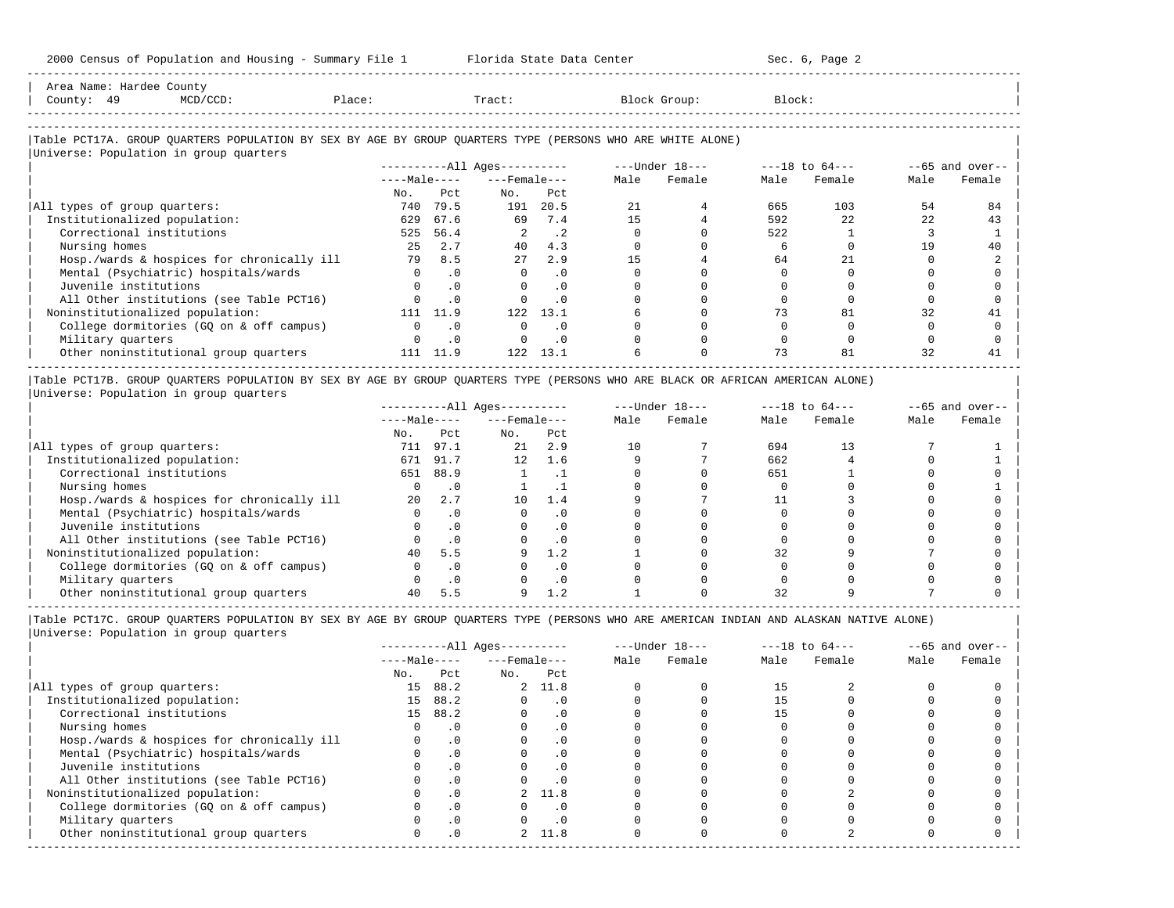2000 Census of Population and Housing - Summary File 1 Florida State Data Center Sec. 6, Page 2 -----------------------------------------------------------------------------------------------------------------------------------------------------

| Area Name: Hardee County<br>County: 49<br>$MCD/CCD$ :                                                      | Place:       |           | Tract:                       |           |      | Block Group:   | Block: |                    |      |                   |
|------------------------------------------------------------------------------------------------------------|--------------|-----------|------------------------------|-----------|------|----------------|--------|--------------------|------|-------------------|
| Table PCT17A. GROUP OUARTERS POPULATION BY SEX BY AGE BY GROUP OUARTERS TYPE (PERSONS WHO ARE WHITE ALONE) |              |           |                              |           |      |                |        |                    |      |                   |
| Universe: Population in group quarters                                                                     |              |           | ----------All Ages---------- |           |      | ---Under 18--- |        | $---18$ to $64---$ |      | $--65$ and over-- |
|                                                                                                            | $---Male---$ |           | $---$ Female $---$           |           | Male | Female         | Male   | Female             | Male | Female            |
|                                                                                                            | No.          | Pct       | No.                          | Pct       |      |                |        |                    |      |                   |
| All types of group quarters:                                                                               | 740          | 79.5      | 191                          | 20.5      | 21   |                | 665    | 103                | 54   | 84                |
| Institutionalized population:                                                                              | 629          | 67.6      | 69                           | 7.4       | 15   |                | 592    | 22                 | 22   | 43                |
| Correctional institutions                                                                                  | 525          | 56.4      |                              | $\cdot$ 2 |      |                | 522    |                    |      |                   |
| Nursing homes                                                                                              | 25           | 2.7       | 40                           | 4.3       |      |                |        |                    | 19   | 40                |
| Hosp./wards & hospices for chronically ill                                                                 | 79           | 8.5       | 27                           | 2.9       | 15   |                | 64     | 21                 |      |                   |
| Mental (Psychiatric) hospitals/wards                                                                       |              | $\cdot$ 0 | $\Omega$                     | $\cdot$ 0 |      |                |        |                    |      |                   |
| Juvenile institutions                                                                                      |              | $\cdot$ 0 |                              | $\Omega$  |      |                |        |                    |      |                   |
| All Other institutions (see Table PCT16)                                                                   |              | .0        |                              | $\cdot$ 0 |      |                |        |                    |      |                   |
| Noninstitutionalized population:                                                                           | 111          | 11.9      | 122                          | 13.1      |      |                | 73     | 81                 | 32   |                   |

| College dormitories (GQ on & off campus) 0 .0 0 .0 0 0 0 0 0 0 | | Military quarters 0 .0 0 .0 0 0 0 0 0 0 |

| Other noninstitutional group quarters 111 11.9 122 13.1 6 0 73 81 32 41 | ----------------------------------------------------------------------------------------------------------------------------------------------------- |Table PCT17B. GROUP QUARTERS POPULATION BY SEX BY AGE BY GROUP QUARTERS TYPE (PERSONS WHO ARE BLACK OR AFRICAN AMERICAN ALONE) |

|Universe: Population in group quarters |

|                                            |              |           | $------All Ages------$ |           |      | $---Under 18---$ |      | $---18$ to $64---$ |      | $--65$ and over-- |
|--------------------------------------------|--------------|-----------|------------------------|-----------|------|------------------|------|--------------------|------|-------------------|
|                                            | $---Male---$ |           | $---$ Female $---$     |           | Male | Female           | Male | Female             | Male | Female            |
|                                            | No.          | Pct.      | No.                    | Pct       |      |                  |      |                    |      |                   |
| All types of group quarters:               | 711          | 97.1      | 21                     | 2.9       |      |                  | 694  | 13                 |      |                   |
| Institutionalized population:              | 671          | 91.7      | 12 <sup>12</sup>       | 1.6       |      |                  | 662  |                    |      |                   |
| Correctional institutions                  | 651          | 88.9      |                        |           |      |                  | 651  |                    |      |                   |
| Nursing homes                              |              |           |                        |           |      |                  |      |                    |      |                   |
| Hosp./wards & hospices for chronically ill | 20           | 2.7       | 10                     | 1.4       |      |                  |      |                    |      |                   |
| Mental (Psychiatric) hospitals/wards       |              |           |                        | $\cdot$ 0 |      |                  |      |                    |      |                   |
| Juvenile institutions                      |              |           |                        | . 0       |      |                  |      |                    |      |                   |
| All Other institutions (see Table PCT16)   |              |           |                        | $\cdot$ 0 |      |                  |      |                    |      |                   |
| Noninstitutionalized population:           | 40           | 5.5       |                        | 1.2       |      |                  | 32   |                    |      |                   |
| College dormitories (GO on & off campus)   |              |           |                        | $\cdot$ 0 |      |                  |      |                    |      |                   |
| Military quarters                          |              | $\cdot$ 0 |                        | $\cdot$ 0 |      |                  |      |                    |      |                   |
| Other noninstitutional group quarters      | 40           |           |                        |           |      |                  |      |                    |      |                   |

-----------------------------------------------------------------------------------------------------------------------------------------------------

|                                            |              |           | $------All Aqes------$ |           |      | $---Under 18---$ |      | $---18$ to $64---$ |      | $--65$ and over-- |
|--------------------------------------------|--------------|-----------|------------------------|-----------|------|------------------|------|--------------------|------|-------------------|
|                                            | $---Male---$ |           | $---$ Female $---$     |           | Male | Female           | Male | Female             | Male | Female            |
|                                            | No.          | Pct       | No.                    | Pct       |      |                  |      |                    |      |                   |
| All types of group quarters:               | 15           | 88.2      |                        | 2, 11.8   |      |                  |      |                    |      |                   |
| Institutionalized population:              | 15           | 88.2      |                        | . 0       |      |                  |      |                    |      |                   |
| Correctional institutions                  |              | 15 88.2   |                        | . 0       |      |                  |      |                    |      |                   |
| Nursing homes                              |              |           |                        | . 0       |      |                  |      |                    |      |                   |
| Hosp./wards & hospices for chronically ill |              |           |                        | . 0       |      |                  |      |                    |      |                   |
| Mental (Psychiatric) hospitals/wards       |              | $\cdot$ 0 |                        | . 0       |      |                  |      |                    |      |                   |
| Juvenile institutions                      |              |           |                        | $\cdot$ 0 |      |                  |      |                    |      |                   |
| All Other institutions (see Table PCT16)   |              |           |                        |           |      |                  |      |                    |      |                   |
| Noninstitutionalized population:           |              | $\cdot$ 0 |                        | 2 11.8    |      |                  |      |                    |      |                   |
| College dormitories (GQ on & off campus)   |              | $\cdot$ 0 |                        | . 0       |      |                  |      |                    |      |                   |
| Military quarters                          |              |           |                        | . 0       |      |                  |      |                    |      |                   |
| Other noninstitutional group quarters      |              | .0        |                        | 2, 11.8   |      |                  |      |                    |      |                   |
|                                            |              |           |                        |           |      |                  |      |                    |      |                   |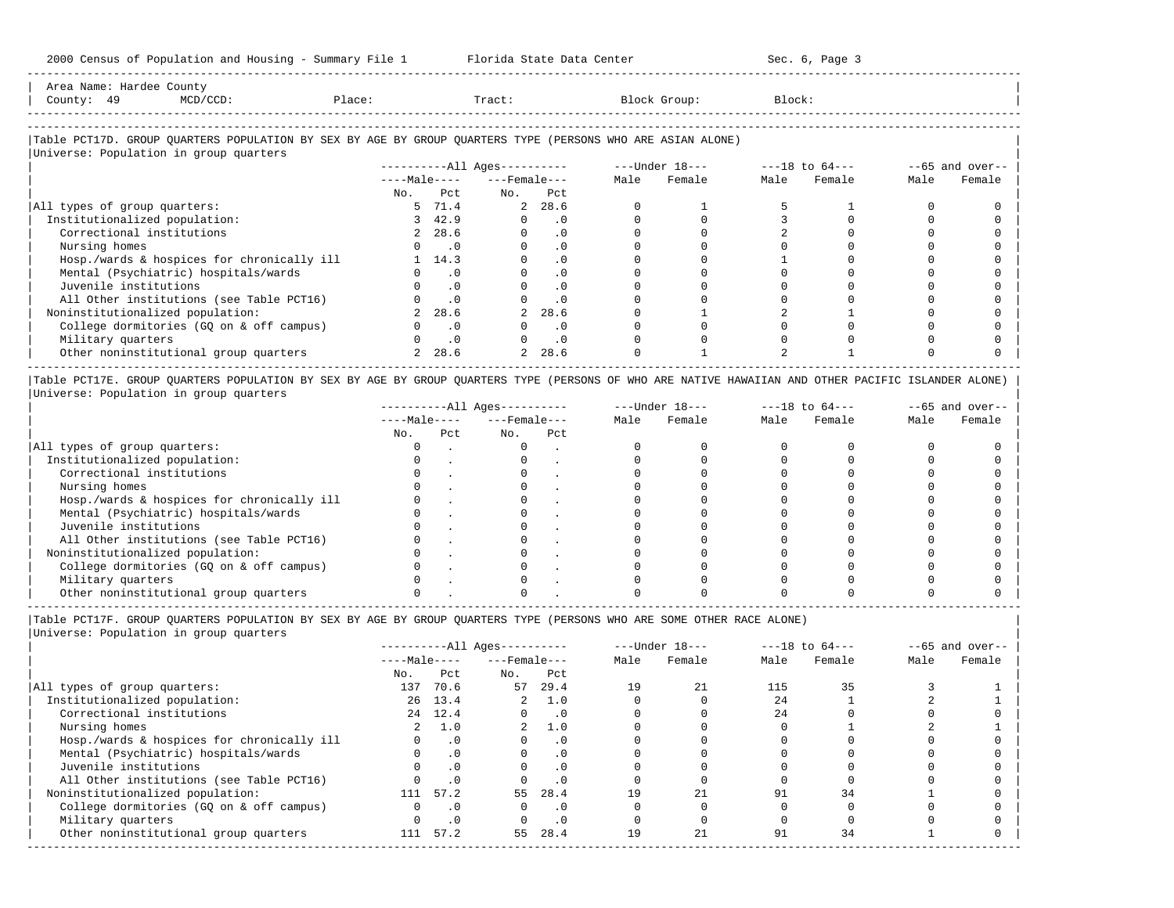| Area Name: | Hardee Countv |        |       |              |                                |
|------------|---------------|--------|-------|--------------|--------------------------------|
| County:    | 49            | Place: | Tract | Block Group: | Block:<br>$\sim$ $\sim$ $\sim$ |
|            |               |        |       |              |                                |
|            |               |        |       |              |                                |

-----------------------------------------------------------------------------------------------------------------------------------------------------

## |Table PCT17D. GROUP QUARTERS POPULATION BY SEX BY AGE BY GROUP QUARTERS TYPE (PERSONS WHO ARE ASIAN ALONE) |

|                                            |              |           | $------All Ages------$ |           |      | $---Under 18---$ |      | $---18$ to $64---$ |      | $--65$ and over-- |
|--------------------------------------------|--------------|-----------|------------------------|-----------|------|------------------|------|--------------------|------|-------------------|
|                                            | $---Male---$ |           | $---$ Female $---$     |           | Male | Female           | Male | Female             | Male | Female            |
|                                            | No.          | Pct       | No.                    | Pct       |      |                  |      |                    |      |                   |
| All types of group quarters:               |              | 5 71.4    |                        | 2, 28.6   |      |                  |      |                    |      |                   |
| Institutionalized population:              |              | 3, 42.9   |                        | $\cdot$ 0 |      |                  |      |                    |      |                   |
| Correctional institutions                  |              | 2, 28.6   |                        | .0        |      |                  |      |                    |      |                   |
| Nursing homes                              |              | . 0       |                        | . 0       |      |                  |      |                    |      |                   |
| Hosp./wards & hospices for chronically ill |              | 1 14.3    |                        | .0        |      |                  |      |                    |      |                   |
| Mental (Psychiatric) hospitals/wards       |              | $\cdot$ 0 |                        | .0        |      |                  |      |                    |      |                   |
| Juvenile institutions                      |              | $\cdot$ 0 |                        | $\cdot$ 0 |      |                  |      |                    |      |                   |
| All Other institutions (see Table PCT16)   |              | $\cdot$ 0 |                        | $\cdot$ 0 |      |                  |      |                    |      |                   |
| Noninstitutionalized population:           |              | 28.6      |                        | 28.6      |      |                  |      |                    |      |                   |
| College dormitories (GQ on & off campus)   |              | $\cdot$ 0 |                        | $\cdot$ 0 |      |                  |      |                    |      |                   |
| Military quarters                          |              | $\cdot$ 0 |                        | $\cdot$ 0 |      |                  |      |                    |      |                   |
| Other noninstitutional group quarters      |              | 2, 28.6   |                        | 2, 28.6   |      |                  |      |                    |      |                   |

|Table PCT17E. GROUP QUARTERS POPULATION BY SEX BY AGE BY GROUP QUARTERS TYPE (PERSONS OF WHO ARE NATIVE HAWAIIAN AND OTHER PACIFIC ISLANDER ALONE) | |Universe: Population in group quarters |

|                                            |              |     | $------All Aqes------$ |     |      | $---Under 18---$ |      | $---18$ to $64---$ |      | $- -65$ and over-- |
|--------------------------------------------|--------------|-----|------------------------|-----|------|------------------|------|--------------------|------|--------------------|
|                                            | $---Male---$ |     | $---$ Female $---$     |     | Male | Female           | Male | Female             | Male | Female             |
|                                            | No.          | Pct | No.                    | Pct |      |                  |      |                    |      |                    |
| All types of group quarters:               |              |     |                        |     |      |                  |      |                    |      |                    |
| Institutionalized population:              |              |     |                        |     |      |                  |      |                    |      |                    |
| Correctional institutions                  |              |     |                        |     |      |                  |      |                    |      |                    |
| Nursing homes                              |              |     |                        |     |      |                  |      |                    |      |                    |
| Hosp./wards & hospices for chronically ill |              |     |                        |     |      |                  |      |                    |      |                    |
| Mental (Psychiatric) hospitals/wards       |              |     |                        |     |      |                  |      |                    |      |                    |
| Juvenile institutions                      |              |     |                        |     |      |                  |      |                    |      |                    |
| All Other institutions (see Table PCT16)   |              |     |                        |     |      |                  |      |                    |      |                    |
| Noninstitutionalized population:           |              |     |                        |     |      |                  |      |                    |      |                    |
| College dormitories (GO on & off campus)   |              |     |                        |     |      |                  |      |                    |      |                    |
| Military quarters                          |              |     |                        |     |      |                  |      |                    |      |                    |
| Other noninstitutional group quarters      |              |     |                        |     |      |                  |      |                    |      |                    |

-----------------------------------------------------------------------------------------------------------------------------------------------------

|Table PCT17F. GROUP QUARTERS POPULATION BY SEX BY AGE BY GROUP QUARTERS TYPE (PERSONS WHO ARE SOME OTHER RACE ALONE) |

|                                            |              |           | $------All Ages------$ |           |      | $---Under 18---$ |      | $---18$ to $64---$ |      | $--65$ and over-- |
|--------------------------------------------|--------------|-----------|------------------------|-----------|------|------------------|------|--------------------|------|-------------------|
|                                            | $---Male---$ |           | $---$ Female $---$     |           | Male | Female           | Male | Female             | Male | Female            |
|                                            | No.          | Pct       | No.                    | Pct       |      |                  |      |                    |      |                   |
| All types of group quarters:               | 137          | 70.6      | 57                     | 29.4      | 19   | 21               | 115  | 35                 |      |                   |
| Institutionalized population:              |              | 26 13.4   | $\overline{2}$         | 1.0       |      |                  | 2.4  |                    |      |                   |
| Correctional institutions                  |              | 24 12.4   | $\Omega$               | $\cdot$ 0 |      |                  | 2.4  |                    |      |                   |
| Nursing homes                              |              | 1.0       | $2^{\circ}$            | 1.0       |      |                  |      |                    |      |                   |
| Hosp./wards & hospices for chronically ill |              | $\cdot$ 0 |                        | $\cdot$ 0 |      |                  |      |                    |      |                   |
| Mental (Psychiatric) hospitals/wards       | 0            | $\cdot$ 0 |                        | $\cdot$ 0 |      |                  |      |                    |      |                   |
| Juvenile institutions                      |              | $\cdot$ 0 |                        | $\cdot$ 0 |      |                  |      |                    |      |                   |
| All Other institutions (see Table PCT16)   |              | $\cdot$ 0 |                        | $\cdot$ 0 |      |                  |      |                    |      |                   |
| Noninstitutionalized population:           | 111          | 57.2      | 55                     | 28.4      |      | 21               | 91   | 34                 |      |                   |
| College dormitories (GQ on & off campus)   |              | $\cdot$ 0 | O.                     | $\cdot$ 0 |      |                  |      |                    |      |                   |
| Military quarters                          |              | $\cdot$ 0 |                        | $\cdot$ 0 |      |                  |      |                    |      |                   |
| Other noninstitutional group quarters      | 111          | 57.2      | 55                     | 28.4      | 19   | 21               | 91   | 34                 |      |                   |
|                                            |              |           |                        |           |      |                  |      |                    |      |                   |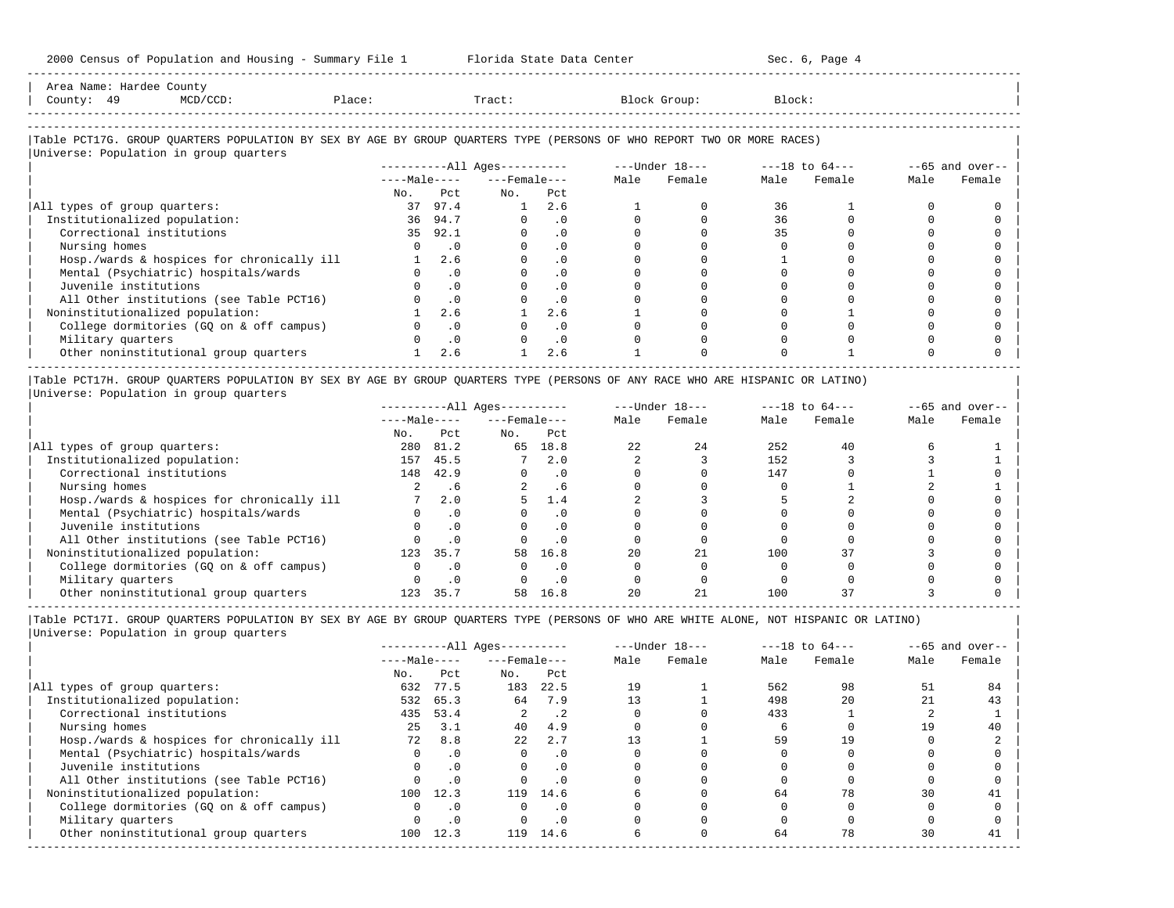| Area Name: Hardee County<br>County: 49<br>MCD/CCD:                                                                     | Place: |               | Tract:                   |           |      | Block Group: | Block: |             |      |                    |
|------------------------------------------------------------------------------------------------------------------------|--------|---------------|--------------------------|-----------|------|--------------|--------|-------------|------|--------------------|
| Table PCT17G. GROUP QUARTERS POPULATION BY SEX BY AGE BY GROUP QUARTERS TYPE (PERSONS OF WHO REPORT TWO OR MORE RACES) |        |               |                          |           |      |              |        |             |      |                    |
| Universe: Population in group quarters                                                                                 |        |               |                          |           |      |              |        |             |      | $- -65$ and over-- |
|                                                                                                                        |        |               | $---Male-- ---Female---$ |           | Male | Female       |        | Male Female | Male | Female             |
|                                                                                                                        | No.    | Pct.          | No.                      | Pct       |      |              |        |             |      |                    |
| All types of group quarters:                                                                                           | 37     | 97.4          | 1                        | 2.6       |      |              | 36     |             |      |                    |
| Institutionalized population:                                                                                          |        | 36 94.7       |                          | $\cdot$ 0 |      |              | 36     |             |      |                    |
| Correctional institutions                                                                                              | 35     | 92.1          |                          | $\cdot$ 0 |      |              | 35     |             |      |                    |
| Nursing homes                                                                                                          |        | $\cdot$ 0     | $\Omega$                 | $\cdot$ 0 |      |              |        |             |      |                    |
| Hosp./wards & hospices for chronically ill                                                                             |        | $1 \quad 2.6$ |                          | $\cdot$ 0 |      |              |        |             |      |                    |
| Mental (Psychiatric) hospitals/wards                                                                                   |        | $\cdot$ 0     |                          | $\cdot$ 0 |      |              |        |             |      |                    |
| Juvenile institutions                                                                                                  |        | $\cdot$ 0     |                          | $\cdot$ 0 |      |              |        |             |      |                    |
| All Other institutions (see Table PCT16)                                                                               |        | $\cdot$ 0     |                          | $\cdot$ 0 |      |              |        |             |      |                    |
| Noninstitutionalized population:                                                                                       |        | 2.6           |                          | 2.6       |      |              |        |             |      |                    |
| College dormitories (GQ on & off campus)                                                                               |        | $\cdot$ 0     |                          | $\cdot$ 0 |      |              |        |             |      |                    |
| Military quarters                                                                                                      |        | $\cdot$ 0     |                          | $\cdot$ 0 |      |              |        |             |      |                    |
| Other noninstitutional group quarters                                                                                  |        | 2.6           |                          | 2.6       |      |              |        |             |      |                    |

|Table PCT17H. GROUP QUARTERS POPULATION BY SEX BY AGE BY GROUP QUARTERS TYPE (PERSONS OF ANY RACE WHO ARE HISPANIC OR LATINO) | |Universe: Population in group quarters |

|                                            |              |      | $------All Ages------$ |           |      | $---Under 18---$ |      | $---18$ to $64---$ |      | $- -65$ and over-- |
|--------------------------------------------|--------------|------|------------------------|-----------|------|------------------|------|--------------------|------|--------------------|
|                                            | $---Male---$ |      | $---$ Female $---$     |           | Male | Female           | Male | Female             | Male | Female             |
|                                            | No.          | Pct  | No.                    | Pct       |      |                  |      |                    |      |                    |
| All types of group quarters:               | 280          | 81.2 | 65                     | 18.8      | 22   | 24               | 252  | 40                 |      |                    |
| Institutionalized population:              | 157          | 45.5 |                        | 2.0       |      |                  | 152  |                    |      |                    |
| Correctional institutions                  | 148          | 42.9 |                        | . 0       |      |                  | 147  |                    |      |                    |
| Nursing homes                              |              | . 6  |                        | . 6       |      |                  |      |                    |      |                    |
| Hosp./wards & hospices for chronically ill |              | 2.0  |                        | 1.4       |      |                  |      |                    |      |                    |
| Mental (Psychiatric) hospitals/wards       |              |      |                        | . 0       |      |                  |      |                    |      |                    |
| Juvenile institutions                      |              |      |                        | . 0       |      |                  |      |                    |      |                    |
| All Other institutions (see Table PCT16)   |              |      |                        | $\cdot$ 0 |      |                  |      |                    |      |                    |
| Noninstitutionalized population:           | 123          | 35.7 | 58                     | 16.8      | 20   | 21               | 100  | 37                 |      |                    |
| College dormitories (GO on & off campus)   |              |      |                        | $\cdot$ 0 |      |                  |      |                    |      |                    |
| Military quarters                          |              | .0   |                        | . 0       |      |                  |      |                    |      |                    |
| Other noninstitutional group quarters      | 123          | 35.7 | 58                     | 16.8      | 20   | 21               | 100  |                    |      |                    |

-----------------------------------------------------------------------------------------------------------------------------------------------------

Other noninstitutional group quarters  $\begin{array}{cccccccc} 1 & 2.6 & 1 & 2.6 & 1 & 0 & 0 & 1 & 0 & 0 \end{array}$ 

-----------------------------------------------------------------------------------------------------------------------------------------------------

|Table PCT17I. GROUP QUARTERS POPULATION BY SEX BY AGE BY GROUP QUARTERS TYPE (PERSONS OF WHO ARE WHITE ALONE, NOT HISPANIC OR LATINO) | |Universe: Population in group quarters |

| $---$ Female $---$<br>No. |           | Male | Female |      |        |      |        |
|---------------------------|-----------|------|--------|------|--------|------|--------|
|                           |           |      |        | Male | Female | Male | Female |
|                           | Pct       |      |        |      |        |      |        |
| 183                       | 22.5      | 19   |        | 562  | 98     | 51   | 84     |
| 64                        | 7.9       |      |        | 498  | 20     | 21   | 43     |
|                           | . 2       |      |        | 433  |        |      |        |
| 40                        | 4.9       |      |        |      |        | 19   | 40     |
| 22                        | 2.7       |      |        | 59   | 19     |      |        |
|                           | $\cdot$ 0 |      |        |      |        |      |        |
|                           | . 0       |      |        |      |        |      |        |
|                           |           |      |        |      |        |      |        |
| 119                       | 14.6      |      |        | 64   | 78     | 30   | 41     |
|                           | . 0       |      |        |      |        |      |        |
|                           | . 0       |      |        |      |        |      |        |
| 119                       | 14.6      |      |        | 64   | 78     | 30   | 41     |
|                           |           |      |        |      |        |      |        |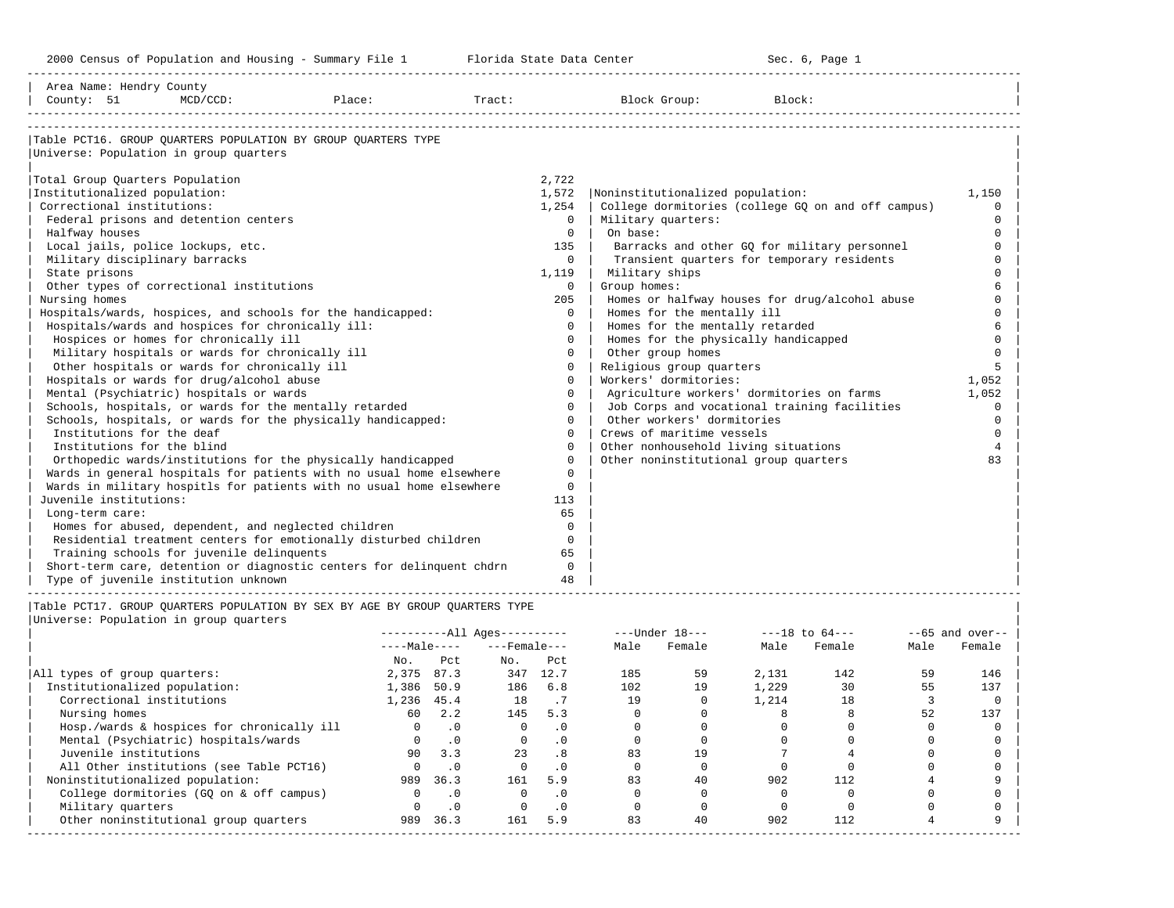| Area Name: Hendry County<br>County: 51                                    | MCD/CCD:                                            | Place:                                                                      | Tract:                       |                | Block Group:                          | Block:                                             |                  |
|---------------------------------------------------------------------------|-----------------------------------------------------|-----------------------------------------------------------------------------|------------------------------|----------------|---------------------------------------|----------------------------------------------------|------------------|
| Universe: Population in group quarters<br>Total Group Quarters Population |                                                     | Table PCT16. GROUP OUARTERS POPULATION BY GROUP OUARTERS TYPE               |                              | 2,722          |                                       |                                                    |                  |
| Institutionalized population:                                             |                                                     |                                                                             |                              | 1,572          | Noninstitutionalized population:      |                                                    | 1,150            |
| Correctional institutions:                                                |                                                     |                                                                             |                              | 1,254          |                                       | College dormitories (college GQ on and off campus) | $\Omega$         |
|                                                                           | Federal prisons and detention centers               |                                                                             |                              | $\Omega$       | Military quarters:                    |                                                    | $\Omega$         |
| Halfway houses                                                            |                                                     |                                                                             |                              | $\Omega$       | On base:                              |                                                    | $\Omega$         |
| Local jails, police lockups, etc.                                         |                                                     |                                                                             |                              | 135            |                                       | Barracks and other GQ for military personnel       | $\mathbf 0$      |
| Military disciplinary barracks                                            |                                                     |                                                                             |                              | $\Omega$       |                                       | Transient quarters for temporary residents         | $\Omega$         |
| State prisons                                                             |                                                     |                                                                             |                              | 1,119          | Military ships                        |                                                    | $\cap$           |
|                                                                           | Other types of correctional institutions            |                                                                             |                              | $\Omega$       | Group homes:                          |                                                    | 6                |
| Nursing homes                                                             |                                                     |                                                                             |                              | 205            |                                       | Homes or halfway houses for drug/alcohol abuse     | $\Omega$         |
|                                                                           |                                                     | Hospitals/wards, hospices, and schools for the handicapped:                 |                              | $\Omega$       | Homes for the mentally ill            |                                                    | $\Omega$         |
|                                                                           | Hospitals/wards and hospices for chronically ill:   |                                                                             |                              | $\Omega$       | Homes for the mentally retarded       |                                                    | 6                |
|                                                                           | Hospices or homes for chronically ill               |                                                                             |                              | $\Omega$       | Homes for the physically handicapped  |                                                    | $\Omega$         |
|                                                                           | Military hospitals or wards for chronically ill     |                                                                             |                              | $\Omega$       | Other group homes                     |                                                    | $\Omega$         |
|                                                                           | Other hospitals or wards for chronically ill        |                                                                             |                              | $\mathbf 0$    | Religious group quarters              |                                                    | 5                |
|                                                                           | Hospitals or wards for drug/alcohol abuse           |                                                                             |                              | $\Omega$       | Workers' dormitories:                 |                                                    | 1,052            |
|                                                                           | Mental (Psychiatric) hospitals or wards             |                                                                             |                              | $\Omega$       |                                       | Agriculture workers' dormitories on farms          | 1,052            |
|                                                                           |                                                     | Schools, hospitals, or wards for the mentally retarded                      |                              | $\Omega$       |                                       | Job Corps and vocational training facilities       | $\Omega$         |
|                                                                           |                                                     | Schools, hospitals, or wards for the physically handicapped:                |                              | $\Omega$       | Other workers' dormitories            |                                                    | $\Omega$         |
| Institutions for the deaf                                                 |                                                     |                                                                             |                              | $\Omega$       | Crews of maritime vessels             |                                                    | $\Omega$         |
| Institutions for the blind                                                |                                                     |                                                                             |                              | $\Omega$       | Other nonhousehold living situations  |                                                    | $\overline{4}$   |
|                                                                           |                                                     | Orthopedic wards/institutions for the physically handicapped                |                              | $\Omega$       | Other noninstitutional group quarters |                                                    | 83               |
|                                                                           |                                                     | Wards in general hospitals for patients with no usual home elsewhere        |                              | $\Omega$       |                                       |                                                    |                  |
|                                                                           |                                                     | Wards in military hospitls for patients with no usual home elsewhere        |                              | $\Omega$       |                                       |                                                    |                  |
| Juvenile institutions:                                                    |                                                     |                                                                             |                              | 113            |                                       |                                                    |                  |
| Long-term care:                                                           |                                                     |                                                                             |                              | 65             |                                       |                                                    |                  |
|                                                                           | Homes for abused, dependent, and neglected children |                                                                             |                              | $\Omega$       |                                       |                                                    |                  |
|                                                                           |                                                     | Residential treatment centers for emotionally disturbed children            |                              | $\Omega$       |                                       |                                                    |                  |
|                                                                           | Training schools for juvenile delinquents           |                                                                             |                              | 65<br>$\Omega$ |                                       |                                                    |                  |
|                                                                           |                                                     | Short-term care, detention or diagnostic centers for delinquent chdrn       |                              | 48             |                                       |                                                    |                  |
|                                                                           | Type of juvenile institution unknown                |                                                                             |                              |                |                                       |                                                    |                  |
| Universe: Population in group quarters                                    |                                                     | Table PCT17. GROUP OUARTERS POPULATION BY SEX BY AGE BY GROUP OUARTERS TYPE |                              |                |                                       |                                                    |                  |
|                                                                           |                                                     |                                                                             | ----------All Ages---------- |                | ---Under 18---                        | ---18 to 64---                                     | $-65$ and over-- |
|                                                                           |                                                     |                                                                             | $---Male-- ---Female$        |                | Male Female                           | Male<br>Female<br>Male                             | Female           |
|                                                                           |                                                     | No.<br>Pct                                                                  | No.                          | Pct            | ----                                  |                                                    |                  |

|                                            | No.        | Pct.      | No.      | Pct       |     |    |       |     |    |     |
|--------------------------------------------|------------|-----------|----------|-----------|-----|----|-------|-----|----|-----|
| All types of group quarters:               | 2,375      | 87.3      | 347      | 12.7      | 185 | 59 | 2,131 | 142 | 59 | 146 |
| Institutionalized population:              | 1,386 50.9 |           | 186      | 6.8       | 102 | 19 | 1,229 | 30  | 55 | 137 |
| Correctional institutions                  | 1,236      | 45.4      | 18       |           | 19  |    | 1,214 | 18  |    |     |
| Nursing homes                              | 60         | 2.2       | 145      | 5.3       |     |    |       |     | 52 | 137 |
| Hosp./wards & hospices for chronically ill |            | .0        | $\Omega$ | $\cdot$ 0 |     |    |       |     |    |     |
| Mental (Psychiatric) hospitals/wards       |            | $\cdot$ 0 | $\Omega$ | .0        |     |    |       |     |    |     |
| Juvenile institutions                      | 90         | 3.3       | 23       | . 8       | 83  | 19 |       |     |    |     |
| All Other institutions (see Table PCT16)   |            | .0        |          | $\Omega$  |     |    |       |     |    |     |
| Noninstitutionalized population:           | 989        | 36.3      | 161      | 5.9       | 83  | 40 | 902   | 112 |    |     |
| College dormitories (GQ on & off campus)   |            | .0        | $\Omega$ | $\Omega$  |     |    |       |     |    |     |
| Military quarters                          |            | $\cdot$ 0 |          | $\Omega$  |     |    |       |     |    |     |
| Other noninstitutional group quarters      | 989        | 36.3      | 161      | 5.9       | 83  | 40 | 902   | 112 |    |     |
|                                            |            |           |          |           |     |    |       |     |    |     |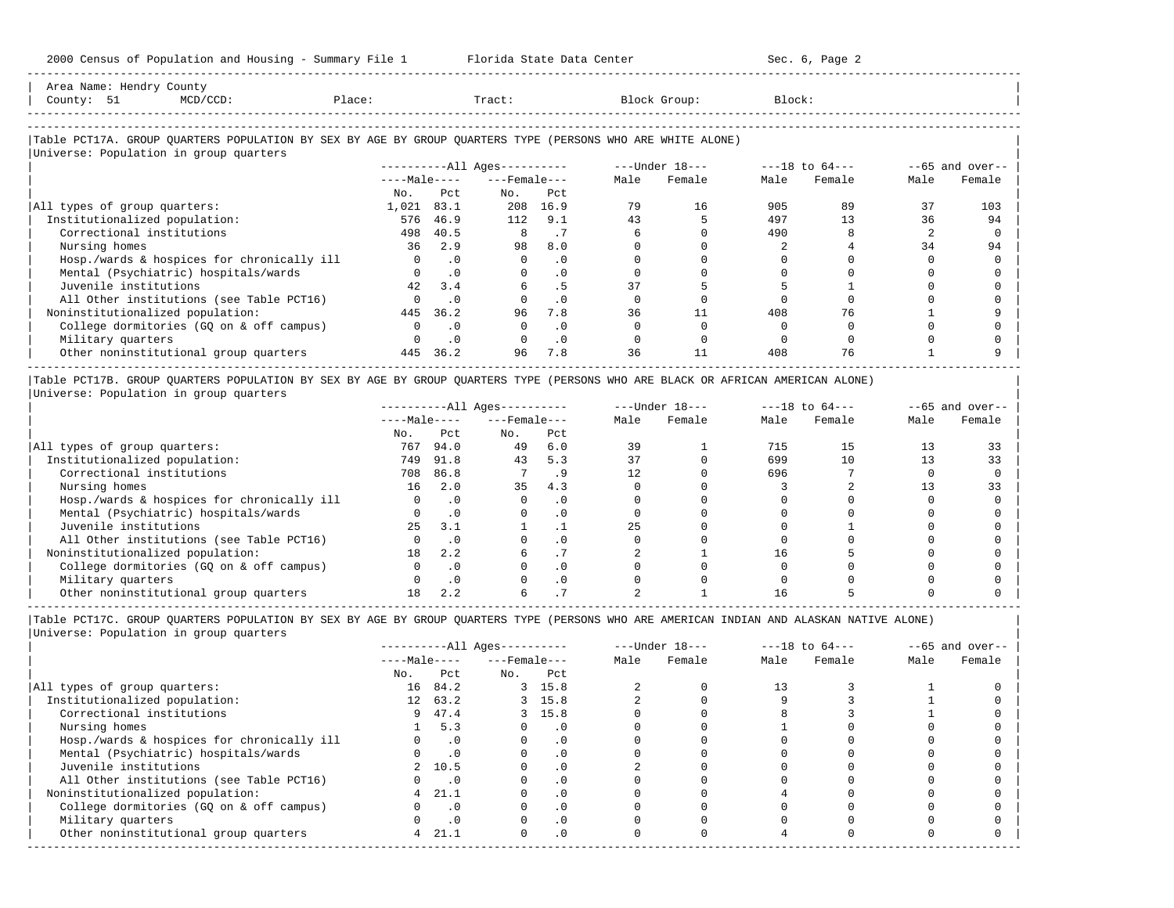| Area Name: Hendry County<br>County: 51<br>$MCD/CCD$ :<br>Place:                                                                                      |              |           | Tract:                 |           |      | Block Group:   | Block: |                |      |                   |
|------------------------------------------------------------------------------------------------------------------------------------------------------|--------------|-----------|------------------------|-----------|------|----------------|--------|----------------|------|-------------------|
| Table PCT17A. GROUP QUARTERS POPULATION BY SEX BY AGE BY GROUP QUARTERS TYPE (PERSONS WHO ARE WHITE ALONE)<br>Universe: Population in group quarters |              |           |                        |           |      |                |        |                |      |                   |
|                                                                                                                                                      |              |           | $------All Aqes------$ |           |      | ---Under 18--- |        | ---18 to 64--- |      | $--65$ and over-- |
|                                                                                                                                                      | $---Male---$ |           | $---$ Female $---$     |           | Male | Female         | Male   | Female         | Male | Female            |
|                                                                                                                                                      | No.          | Pct       | No.                    | Pct       |      |                |        |                |      |                   |
| All types of group quarters:                                                                                                                         | 1,021        | 83.1      | 208                    | 16.9      | 79   | 16             | 905    | 89             | 37   | 103               |
| Institutionalized population:                                                                                                                        | 576          | 46.9      | 112                    | 9.1       | 43   |                | 497    | 13             | 36   | 94                |
| Correctional institutions                                                                                                                            | 498          | 40.5      | 8                      | .7        |      |                | 490    |                |      |                   |
| Nursing homes                                                                                                                                        | 36           | 2.9       | 98                     | 8.0       |      |                |        |                | 34   | 94                |
| Hosp./wards & hospices for chronically ill                                                                                                           | $\Omega$     | $\cdot$ 0 | $\Omega$               | $\cdot$ 0 |      |                |        |                |      |                   |
| Mental (Psychiatric) hospitals/wards                                                                                                                 |              | $\cdot$ 0 | $\Omega$               | $\cdot$ 0 |      |                |        |                |      |                   |
| Juvenile institutions                                                                                                                                | 42           | 3.4       |                        | . 5       | 37   |                |        |                |      |                   |
| All Other institutions (see Table PCT16)                                                                                                             | $\Omega$     | $\cdot$ 0 |                        | $\cdot$ 0 |      |                |        |                |      |                   |
| Noninstitutionalized population:                                                                                                                     | 445          | 36.2      | 96                     | 7.8       | 36   | 11             | 408    | 76             |      |                   |
| College dormitories (GQ on & off campus)                                                                                                             | $\Omega$     | . 0       | $\Omega$               | $\cdot$ 0 |      |                |        |                |      |                   |
| Military quarters                                                                                                                                    |              | . 0       |                        | $\cdot$ 0 |      |                |        |                |      |                   |
| Other noninstitutional group quarters                                                                                                                | 445          | 36.2      | 96                     | 7.8       | 36   |                | 408    | 76             |      |                   |

-----------------------------------------------------------------------------------------------------------------------------------------------------

|Table PCT17B. GROUP QUARTERS POPULATION BY SEX BY AGE BY GROUP QUARTERS TYPE (PERSONS WHO ARE BLACK OR AFRICAN AMERICAN ALONE) | |Universe: Population in group quarters |

|                                            |              |           | $------All Ages------$ |           |      | $---Under 18---$ |      | $---18$ to $64---$ |      | $- -65$ and over-- |
|--------------------------------------------|--------------|-----------|------------------------|-----------|------|------------------|------|--------------------|------|--------------------|
|                                            | $---Male---$ |           | $---$ Female $---$     |           | Male | Female           | Male | Female             | Male | Female             |
|                                            | No.          | Pct       | No.                    | Pct       |      |                  |      |                    |      |                    |
| All types of group quarters:               | 767          | 94.0      | 49                     | 6.0       | 39   |                  | 715  | 15                 |      |                    |
| Institutionalized population:              | 749          | 91.8      | 43                     | 5.3       | 37   |                  | 699  |                    |      | 33                 |
| Correctional institutions                  | 708          | 86.8      |                        | . .       | 12   |                  | 696  |                    |      |                    |
| Nursing homes                              | 16           | 2.0       | 35                     | 4.3       |      |                  |      |                    |      | 33                 |
| Hosp./wards & hospices for chronically ill |              |           |                        | . 0       |      |                  |      |                    |      |                    |
| Mental (Psychiatric) hospitals/wards       |              |           |                        | . 0       |      |                  |      |                    |      |                    |
| Juvenile institutions                      | 25           | 3.1       |                        |           | 25   |                  |      |                    |      |                    |
| All Other institutions (see Table PCT16)   |              |           |                        | $\cdot$ 0 |      |                  |      |                    |      |                    |
| Noninstitutionalized population:           | 18           | 2.2       |                        |           |      |                  | 16   |                    |      |                    |
| College dormitories (GO on & off campus)   |              |           |                        | $\cdot$ 0 |      |                  |      |                    |      |                    |
| Military quarters                          |              | $\cdot$ 0 |                        | . 0       |      |                  |      |                    |      |                    |
| Other noninstitutional group quarters      |              | 2.2       |                        |           |      |                  |      |                    |      |                    |

-----------------------------------------------------------------------------------------------------------------------------------------------------

-----------------------------------------------------------------------------------------------------------------------------------------------------

|                                            |                 |           | $------All Ages------$ |           |      | $---Under 18---$ |      | $---18$ to $64---$ |      | $--65$ and over-- |
|--------------------------------------------|-----------------|-----------|------------------------|-----------|------|------------------|------|--------------------|------|-------------------|
|                                            | $---Male---$    |           | $---$ Female $---$     |           | Male | Female           | Male | Female             | Male | Female            |
|                                            | No.             | Pct       | No.                    | Pct       |      |                  |      |                    |      |                   |
| All types of group quarters:               | 16              | 84.2      |                        | 3, 15.8   |      |                  | 13   |                    |      |                   |
| Institutionalized population:              | 12 <sup>7</sup> | 63.2      |                        | 3, 15.8   |      |                  |      |                    |      |                   |
| Correctional institutions                  | 9               | 47.4      |                        | 3, 15.8   |      |                  |      |                    |      |                   |
| Nursing homes                              |                 | 5.3       |                        | $\cdot$ 0 |      |                  |      |                    |      |                   |
| Hosp./wards & hospices for chronically ill |                 | $\cdot$ 0 |                        | . 0       |      |                  |      |                    |      |                   |
| Mental (Psychiatric) hospitals/wards       |                 | $\cdot$ 0 |                        | . 0       |      |                  |      |                    |      |                   |
| Juvenile institutions                      | $2^{\circ}$     | 10.5      |                        | $\cdot$ 0 |      |                  |      |                    |      |                   |
| All Other institutions (see Table PCT16)   |                 | $\cdot$ 0 |                        |           |      |                  |      |                    |      |                   |
| Noninstitutionalized population:           | 4               | 21.1      |                        | $\cdot$ 0 |      |                  |      |                    |      |                   |
| College dormitories (GO on & off campus)   |                 | $\cdot$ 0 |                        | $\cdot$ 0 |      |                  |      |                    |      |                   |
| Military quarters                          |                 | $\cdot$ 0 |                        | $\cdot$ 0 |      |                  |      |                    |      |                   |
| Other noninstitutional group quarters      | 4               | 21.1      |                        | $\cdot$ 0 |      |                  |      |                    |      |                   |
|                                            |                 |           |                        |           |      |                  |      |                    |      |                   |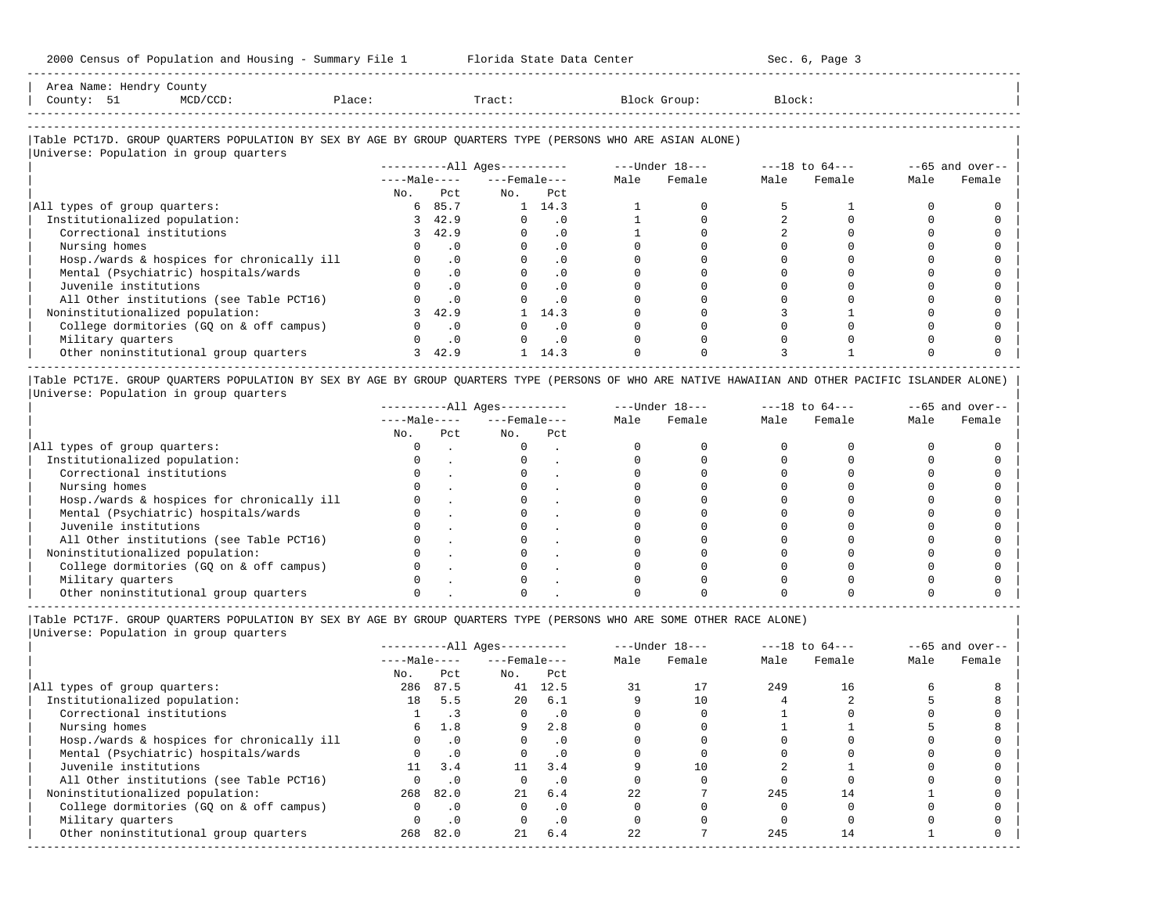| Area Name: Hendry County                                                                                   |  |        |  |        |  |              |        |  |  |
|------------------------------------------------------------------------------------------------------------|--|--------|--|--------|--|--------------|--------|--|--|
| County: 51                                                                                                 |  | Place: |  | Tract: |  | Block Group: | Block: |  |  |
|                                                                                                            |  |        |  |        |  |              |        |  |  |
|                                                                                                            |  |        |  |        |  |              |        |  |  |
| Table PCT17D. GROUP QUARTERS POPULATION BY SEX BY AGE BY GROUP QUARTERS TYPE (PERSONS WHO ARE ASIAN ALONE) |  |        |  |        |  |              |        |  |  |

-----------------------------------------------------------------------------------------------------------------------------------------------------

## |Universe: Population in group quarters | ----------All Ages---------- ---Under 18---<br>----Male---- ---Female--- Male Female | ----Male---- ---Female--- Male Female Male Female Male Female | | No. Pct No. Pct No. Pct No. Prediction of the set of the set of the set of the set of the set of the set of the set of the set of the set of the set of the set of the set of the set of the set of the set of the set of th |All types of group quarters:  $\begin{array}{cccccccccccccc} & 6 & 85.7 & 1 & 14.3 & 1 & 0 & 5 & 1 & 0 & 0 & 0 \end{array}$ | Institutionalized population: 3 42.9 0 .0 1 0 2 0 0 0 | | Correctional institutions 3 42.9 0 .0 1 0 2 0 0 0 | | Nursing homes 0 .0 0 .0 0 0 0 0 0 0 | | Hosp./wards & hospices for chronically ill 0 .0 0 .0 0 0 0 0 0 0 | | Mental (Psychiatric) hospitals/wards 0 .0 0 .0 0 0 0 0 0 0 | | Juvenile institutions 0 .0 0 .0 0 0 0 0 0 0 | | All Other institutions (see Table PCT16) 0 .0 0 .0 0 0 0 0 0 0 | | Noninstitutionalized population: 3 42.9 1 14.3 0 0 3 1 0 0 | | College dormitories (GQ on & off campus) 0 .0 0 .0 0 0 0 0 0 0 | | Military quarters 0 .0 0 .0 0 0 0 0 0 0 | | Other noninstitutional group quarters 3 42.9 1 14.3 0 0 3 1 0 0 | -----------------------------------------------------------------------------------------------------------------------------------------------------

|Table PCT17E. GROUP QUARTERS POPULATION BY SEX BY AGE BY GROUP QUARTERS TYPE (PERSONS OF WHO ARE NATIVE HAWAIIAN AND OTHER PACIFIC ISLANDER ALONE) | |Universe: Population in group quarters |

|                                            |              |     | $------All Aqes------$ |     |      | $---Under 18---$ |      | $---18$ to $64---$ |      | $--65$ and over-- |
|--------------------------------------------|--------------|-----|------------------------|-----|------|------------------|------|--------------------|------|-------------------|
|                                            | $---Male---$ |     | $---$ Female $---$     |     | Male | Female           | Male | Female             | Male | Female            |
|                                            | No.          | Pct | No.                    | Pct |      |                  |      |                    |      |                   |
| All types of group quarters:               |              |     |                        |     |      |                  |      |                    |      |                   |
| Institutionalized population:              |              |     |                        |     |      |                  |      |                    |      |                   |
| Correctional institutions                  |              |     |                        |     |      |                  |      |                    |      |                   |
| Nursing homes                              |              |     |                        |     |      |                  |      |                    |      |                   |
| Hosp./wards & hospices for chronically ill |              |     |                        |     |      |                  |      |                    |      |                   |
| Mental (Psychiatric) hospitals/wards       |              |     |                        |     |      |                  |      |                    |      |                   |
| Juvenile institutions                      |              |     |                        |     |      |                  |      |                    |      |                   |
| All Other institutions (see Table PCT16)   |              |     |                        |     |      |                  |      |                    |      |                   |
| Noninstitutionalized population:           |              |     |                        |     |      |                  |      |                    |      |                   |
| College dormitories (GQ on & off campus)   |              |     |                        |     |      |                  |      |                    |      |                   |
| Military quarters                          |              |     |                        |     |      |                  |      |                    |      |                   |
| Other noninstitutional group quarters      |              |     |                        |     |      |                  |      |                    |      |                   |

-----------------------------------------------------------------------------------------------------------------------------------------------------

|Table PCT17F. GROUP QUARTERS POPULATION BY SEX BY AGE BY GROUP QUARTERS TYPE (PERSONS WHO ARE SOME OTHER RACE ALONE) |

|                                            |              |           | $------All Aqes------$ |           |      | $---Under 18---$ |      | $---18$ to $64---$ |      | $--65$ and over-- |
|--------------------------------------------|--------------|-----------|------------------------|-----------|------|------------------|------|--------------------|------|-------------------|
|                                            | $---Male---$ |           | $---$ Female $---$     |           | Male | Female           | Male | Female             | Male | Female            |
|                                            | No.          | Pct       | No.                    | Pct       |      |                  |      |                    |      |                   |
| All types of group quarters:               | 286          | 87.5      | 41                     | 12.5      |      |                  | 249  | 16                 |      |                   |
| Institutionalized population:              | 18           | 5.5       | 20                     | 6.1       |      |                  |      |                    |      |                   |
| Correctional institutions                  |              |           |                        | $\cdot$ 0 |      |                  |      |                    |      |                   |
| Nursing homes                              | 6.           | 1.8       | 9                      | 2.8       |      |                  |      |                    |      |                   |
| Hosp./wards & hospices for chronically ill |              | $\cdot$ 0 |                        | . 0       |      |                  |      |                    |      |                   |
| Mental (Psychiatric) hospitals/wards       |              | $\cdot$ 0 |                        | $\cdot$ 0 |      |                  |      |                    |      |                   |
| Juvenile institutions                      | 11           | 3.4       | 11                     | 3.4       |      |                  |      |                    |      |                   |
| All Other institutions (see Table PCT16)   |              | $\cdot$ 0 |                        | $\cdot$ 0 |      |                  |      |                    |      |                   |
| Noninstitutionalized population:           | 268          | 82.0      | 21                     | 6.4       | 22   |                  | 245  | 14                 |      |                   |
| College dormitories (GQ on & off campus)   |              | $\cdot$ 0 |                        | $\cdot$ 0 |      |                  |      |                    |      |                   |
| Military quarters                          |              | $\cdot$ 0 |                        | $\cdot$ 0 |      |                  |      |                    |      |                   |
| Other noninstitutional group quarters      | 268          | 82.0      | 21                     | 6.4       | 2.2. |                  | 245  | 14                 |      |                   |
|                                            |              |           |                        |           |      |                  |      |                    |      |                   |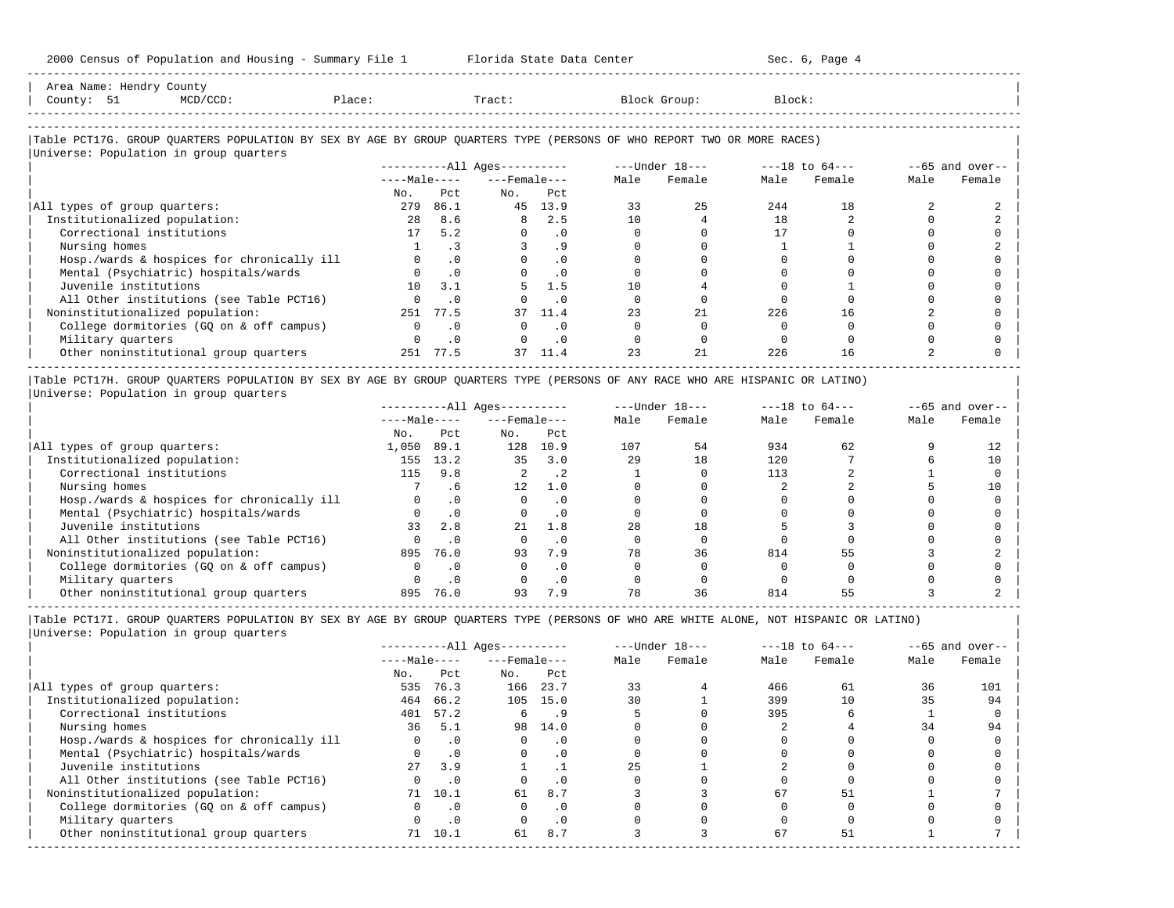-----------------------------------------------------------------------------------------------------------------------------------------------------

| County: 51<br>$MCD/CCD$ :                                                                                              | Place: |           | Tract:                   |           |      | Block Group:                                                   | Block: |        |      |                    |
|------------------------------------------------------------------------------------------------------------------------|--------|-----------|--------------------------|-----------|------|----------------------------------------------------------------|--------|--------|------|--------------------|
| Table PCT17G. GROUP QUARTERS POPULATION BY SEX BY AGE BY GROUP QUARTERS TYPE (PERSONS OF WHO REPORT TWO OR MORE RACES) |        |           |                          |           |      |                                                                |        |        |      |                    |
| Universe: Population in group quarters                                                                                 |        |           |                          |           |      |                                                                |        |        |      |                    |
|                                                                                                                        |        |           |                          |           |      | ----------All Ages---------- ---- Under $18--$ ---18 to $64--$ |        |        |      | $- -65$ and over-- |
|                                                                                                                        |        |           | $---Male-- ---Female---$ |           | Male | Female                                                         | Male   | Female | Male | Female             |
|                                                                                                                        | No.    | Pct.      | No.                      | Pct.      |      |                                                                |        |        |      |                    |
| All types of group quarters:                                                                                           | 279    | 86.1      |                          | 45 13.9   | 33   | 25                                                             | 244    | 18     |      |                    |
| Institutionalized population:                                                                                          | 28     | 8.6       | 8                        | 2.5       | 10   |                                                                | 18     |        |      |                    |
| Correctional institutions                                                                                              | 17     | 5.2       |                          | $\cdot$ 0 |      |                                                                | 17     |        |      |                    |
| Nursing homes                                                                                                          |        | $\cdot$ 3 |                          | .9        |      |                                                                |        |        |      |                    |
| Hosp./wards & hospices for chronically ill                                                                             |        | $\cdot$ 0 |                          | $\cdot$ 0 |      |                                                                |        |        |      |                    |
| Mental (Psychiatric) hospitals/wards                                                                                   |        | .0        |                          | $\cdot$ 0 |      |                                                                |        |        |      |                    |
| Juvenile institutions                                                                                                  | 10     | 3.1       |                          | 1.5       | 10   |                                                                |        |        |      |                    |
| All Other institutions (see Table PCT16)                                                                               |        | $\cdot$ 0 |                          | $\cdot$ 0 |      |                                                                |        |        |      |                    |
| Noninstitutionalized population:                                                                                       | 251    | 77.5      | 37                       | 11.4      | 23   | 21                                                             | 226    | 16     |      |                    |
| College dormitories (GQ on & off campus)                                                                               |        | $\cdot$ 0 |                          | $\cdot$ 0 |      |                                                                |        |        |      |                    |
| Military quarters                                                                                                      |        | $\cdot$ 0 |                          | $\cdot$ 0 |      |                                                                |        |        |      |                    |
| Other noninstitutional group quarters                                                                                  |        | 251 77.5  | 37                       | 11.4      | 23   | 21                                                             | 226    | 16     |      |                    |

|Universe: Population in group quarters |

|                                            |              |      | $------All Aqes------$ |           |      | $---Under 18---$ |      | $---18$ to $64---$ |      | $--65$ and over-- |
|--------------------------------------------|--------------|------|------------------------|-----------|------|------------------|------|--------------------|------|-------------------|
|                                            | $---Male---$ |      | $---$ Female $---$     |           | Male | Female           | Male | Female             | Male | Female            |
|                                            | No.          | Pct  | No.                    | Pct       |      |                  |      |                    |      |                   |
| All types of group quarters:               | 1,050        | 89.1 | 128                    | 10.9      | 107  | 54               | 934  | 62                 |      |                   |
| Institutionalized population:              | 155          | 13.2 | 35                     | 3.0       | 29   | 18               | 120  |                    |      | 10                |
| Correctional institutions                  | 115          | 9.8  | 2                      | $\cdot$ 2 |      |                  | 113  |                    |      |                   |
| Nursing homes                              |              | . 6  | 12                     | 1.0       |      |                  |      |                    |      | 10                |
| Hosp./wards & hospices for chronically ill |              |      |                        | . 0       |      |                  |      |                    |      |                   |
| Mental (Psychiatric) hospitals/wards       |              |      |                        | . 0       |      |                  |      |                    |      |                   |
| Juvenile institutions                      | 33           | 2.8  | 21                     | 1.8       | 28   | 18               |      |                    |      |                   |
| All Other institutions (see Table PCT16)   |              |      |                        | . 0       |      |                  |      |                    |      |                   |
| Noninstitutionalized population:           | 895          | 76.0 | 93                     | 7.9       | 78   | 36               | 814  |                    |      |                   |
| College dormitories (GQ on & off campus)   |              |      |                        | $\Omega$  |      |                  |      |                    |      |                   |
| Military quarters                          |              |      |                        | . 0       |      |                  |      |                    |      |                   |
| Other noninstitutional group quarters      | 895          | 76.0 | 93                     | 7.9       |      | 36               | 814  |                    |      |                   |

-----------------------------------------------------------------------------------------------------------------------------------------------------

|Table PCT17I. GROUP QUARTERS POPULATION BY SEX BY AGE BY GROUP QUARTERS TYPE (PERSONS OF WHO ARE WHITE ALONE, NOT HISPANIC OR LATINO) | |Universe: Population in group quarters |

|                                            |              |           | $------All Ages------$ |           |      | $---Under 18---$ |      | $---18$ to $64---$ |      | $- -65$ and over-- |
|--------------------------------------------|--------------|-----------|------------------------|-----------|------|------------------|------|--------------------|------|--------------------|
|                                            | $---Male---$ |           | $---$ Female $---$     |           | Male | Female           | Male | Female             | Male | Female             |
|                                            | No.          | Pct       | No.                    | Pct       |      |                  |      |                    |      |                    |
| All types of group quarters:               | 535          | 76.3      | 166                    | 23.7      | 33   |                  | 466  | 61                 | 36   | 101                |
| Institutionalized population:              | 464          | 66.2      |                        | 105 15.0  | 30   |                  | 399  | 10                 | 35   | 94                 |
| Correctional institutions                  | 401          | 57.2      | 6                      | . 9       |      |                  | 395  |                    |      |                    |
| Nursing homes                              | 36           | 5.1       | 98                     | 14.0      |      |                  |      |                    | 34   | 94                 |
| Hosp./wards & hospices for chronically ill |              | $\cdot$ 0 |                        | $\cdot$ 0 |      |                  |      |                    |      |                    |
| Mental (Psychiatric) hospitals/wards       |              | .0        | $\Omega$               | $\cdot$ 0 |      |                  |      |                    |      |                    |
| Juvenile institutions                      | 27           | 3.9       |                        |           | 2.5  |                  |      |                    |      |                    |
| All Other institutions (see Table PCT16)   |              | $\cdot$ 0 |                        | $\cdot$ 0 |      |                  |      |                    |      |                    |
| Noninstitutionalized population:           | 71           | 10.1      | 61                     | 8.7       |      |                  | 67   | 51                 |      |                    |
| College dormitories (GQ on & off campus)   |              | $\cdot$ 0 |                        | $\cdot$ 0 |      |                  |      |                    |      |                    |
| Military quarters                          |              | $\cdot$ 0 |                        | $\cdot$ 0 |      |                  |      |                    |      |                    |
| Other noninstitutional group quarters      | 71           | 10.1      | 61                     | 8.7       |      |                  | 67   | 51                 |      |                    |
|                                            |              |           |                        |           |      |                  |      |                    |      |                    |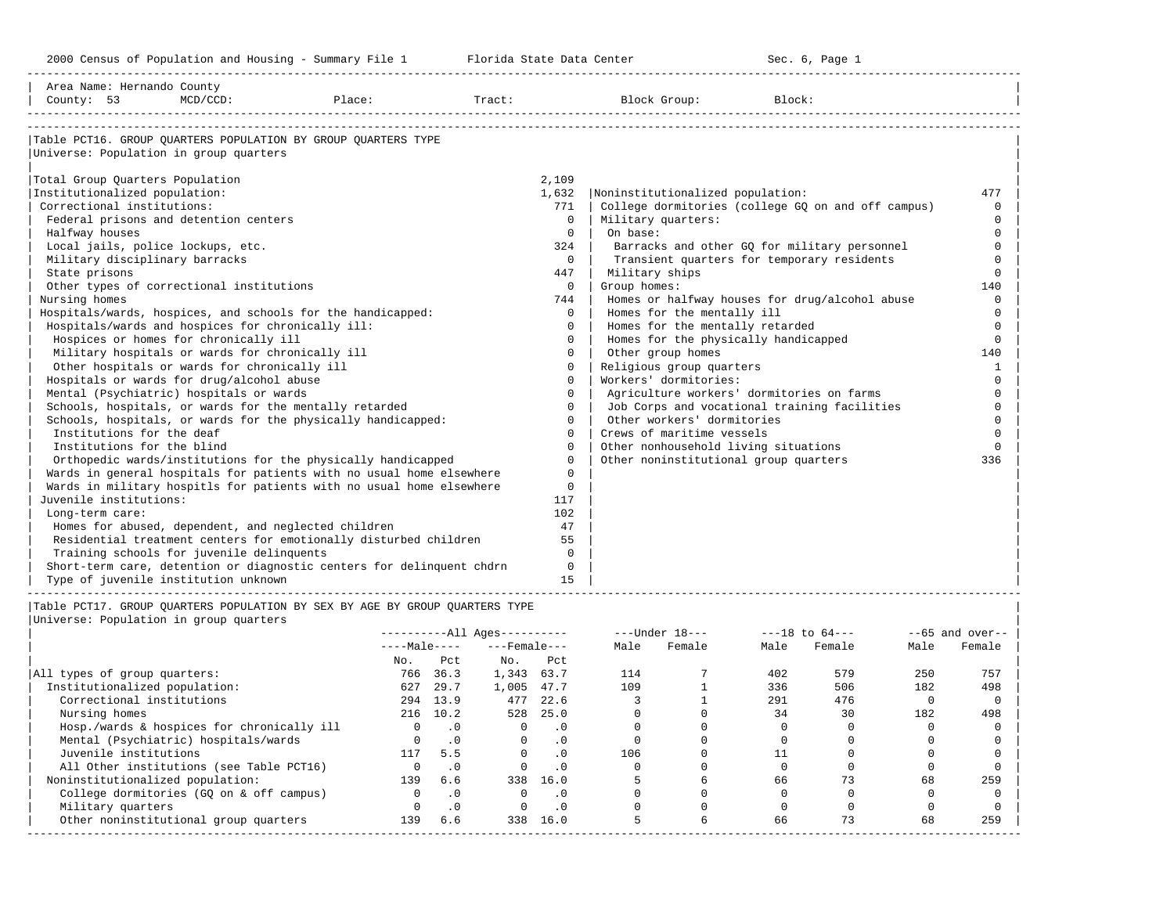-----------------------------------------------------------------------------------------------------------------------------------------------------

| Area Name: Hernando County<br>County: 53          | MCD/CCD: | Place:                                                                      | Tract: |          | Block Group:                          | Block:                                             |              |
|---------------------------------------------------|----------|-----------------------------------------------------------------------------|--------|----------|---------------------------------------|----------------------------------------------------|--------------|
|                                                   |          |                                                                             |        |          |                                       |                                                    |              |
|                                                   |          | Table PCT16. GROUP OUARTERS POPULATION BY GROUP OUARTERS TYPE               |        |          |                                       |                                                    |              |
| Universe: Population in group quarters            |          |                                                                             |        |          |                                       |                                                    |              |
|                                                   |          |                                                                             |        |          |                                       |                                                    |              |
| Total Group Quarters Population                   |          |                                                                             |        | 2,109    |                                       |                                                    |              |
| Institutionalized population:                     |          |                                                                             |        | 1,632    | Noninstitutionalized population:      |                                                    | 477          |
| Correctional institutions:                        |          |                                                                             |        | 771      |                                       | College dormitories (college GQ on and off campus) | $\Omega$     |
| Federal prisons and detention centers             |          |                                                                             |        | $\Omega$ | Military quarters:                    |                                                    | $\Omega$     |
| Halfway houses                                    |          |                                                                             |        | $\Omega$ | On base:                              |                                                    | $\Omega$     |
| Local jails, police lockups, etc.                 |          |                                                                             |        | 324      |                                       | Barracks and other GO for military personnel       | $\Omega$     |
| Military disciplinary barracks                    |          |                                                                             |        | $\Omega$ |                                       | Transient quarters for temporary residents         | $\Omega$     |
| State prisons                                     |          |                                                                             |        | 447      | Military ships                        |                                                    | $\Omega$     |
| Other types of correctional institutions          |          |                                                                             |        | $\Omega$ | Group homes:                          |                                                    | 140          |
| Nursing homes                                     |          |                                                                             |        | 744      |                                       | Homes or halfway houses for drug/alcohol abuse     | $\Omega$     |
|                                                   |          | Hospitals/wards, hospices, and schools for the handicapped:                 |        | $\Omega$ | Homes for the mentally ill            |                                                    | $\Omega$     |
| Hospitals/wards and hospices for chronically ill: |          |                                                                             |        | $\Omega$ | Homes for the mentally retarded       |                                                    | $\Omega$     |
| Hospices or homes for chronically ill             |          |                                                                             |        | $\Omega$ | Homes for the physically handicapped  |                                                    | $\Omega$     |
| Military hospitals or wards for chronically ill   |          |                                                                             |        | $\Omega$ | Other group homes                     |                                                    | 140          |
| Other hospitals or wards for chronically ill      |          |                                                                             |        | $\Omega$ | Religious group quarters              |                                                    | $\mathbf{1}$ |
| Hospitals or wards for drug/alcohol abuse         |          |                                                                             |        | $\Omega$ | Workers' dormitories:                 |                                                    | $\Omega$     |
| Mental (Psychiatric) hospitals or wards           |          |                                                                             |        | $\Omega$ |                                       | Agriculture workers' dormitories on farms          | $\Omega$     |
|                                                   |          | Schools, hospitals, or wards for the mentally retarded                      |        | $\Omega$ |                                       | Job Corps and vocational training facilities       | $\Omega$     |
|                                                   |          | Schools, hospitals, or wards for the physically handicapped:                |        | $\Omega$ | Other workers' dormitories            |                                                    | $\Omega$     |
| Institutions for the deaf                         |          |                                                                             |        | $\Omega$ | Crews of maritime vessels             |                                                    | $\cap$       |
| Institutions for the blind                        |          |                                                                             |        | $\Omega$ | Other nonhousehold living situations  |                                                    | $\Omega$     |
|                                                   |          | Orthopedic wards/institutions for the physically handicapped                |        | $\Omega$ | Other noninstitutional group quarters |                                                    | 336          |
|                                                   |          | Wards in general hospitals for patients with no usual home elsewhere        |        | $\Omega$ |                                       |                                                    |              |
|                                                   |          | Wards in military hospitls for patients with no usual home elsewhere        |        | $\Omega$ |                                       |                                                    |              |
| Juvenile institutions:                            |          |                                                                             |        | 117      |                                       |                                                    |              |
| Long-term care:                                   |          |                                                                             |        | 102      |                                       |                                                    |              |
|                                                   |          | Homes for abused, dependent, and neglected children                         |        | 47       |                                       |                                                    |              |
|                                                   |          | Residential treatment centers for emotionally disturbed children            |        | 55       |                                       |                                                    |              |
| Training schools for juvenile delinquents         |          |                                                                             |        | $\Omega$ |                                       |                                                    |              |
|                                                   |          | Short-term care, detention or diagnostic centers for delinquent chdrn       |        | $\Omega$ |                                       |                                                    |              |
| Type of juvenile institution unknown              |          |                                                                             |        | 15       |                                       |                                                    |              |
|                                                   |          | Table PCT17. GROUP OUARTERS POPULATION BY SEX BY AGE BY GROUP OUARTERS TYPE |        |          |                                       |                                                    |              |
| Universe: Population in group quarters            |          |                                                                             |        |          |                                       |                                                    |              |
|                                                   |          |                                                                             |        |          |                                       |                                                    |              |

|                                            |              |           | ----------All Ages---------- |           |      | $---Under 18---$ |      | $---18$ to $64---$ |      | $--65$ and over-- |
|--------------------------------------------|--------------|-----------|------------------------------|-----------|------|------------------|------|--------------------|------|-------------------|
|                                            | $---Male---$ |           | $---$ Female $---$           |           | Male | Female           | Male | Female             | Male | Female            |
|                                            | No.          | Pct       | No.                          | Pct       |      |                  |      |                    |      |                   |
| All types of group quarters:               | 766          | 36.3      | 1,343                        | 63.7      | 114  |                  | 402  | 579                | 250  | 757               |
| Institutionalized population:              | 627          | 29.7      | 1,005                        | 47.7      | 109  |                  | 336  | 506                | 182  | 498               |
| Correctional institutions                  | 294          | 13.9      | 477                          | 22.6      |      |                  | 291  | 476                |      |                   |
| Nursing homes                              | 216          | 10.2      | 528                          | 25.0      |      |                  | 34   | 30                 | 182  | 498               |
| Hosp./wards & hospices for chronically ill |              | $\cdot$ 0 |                              | . 0       |      |                  |      |                    |      |                   |
| Mental (Psychiatric) hospitals/wards       |              | $\cdot$ 0 |                              | . 0       |      |                  |      |                    |      |                   |
| Juvenile institutions                      | 117          | 5.5       | $\Omega$                     | .0        | 106  |                  |      |                    |      |                   |
| All Other institutions (see Table PCT16)   |              | $\cdot$ 0 |                              | $\cdot$ 0 |      |                  |      |                    |      |                   |
| Noninstitutionalized population:           | 139          | 6.6       | 338                          | 16.0      |      |                  | 66   |                    | 68   | 259               |
| College dormitories (GO on & off campus)   |              | $\cdot$ 0 |                              | . 0       |      |                  |      |                    |      |                   |
| Military quarters                          |              | $\cdot$ 0 |                              | $\cdot$ 0 |      |                  |      |                    |      |                   |
| Other noninstitutional group quarters      | 139          | 6.6       | 338                          | 16.0      |      |                  | 66   | 73                 | 68   | 259               |
|                                            |              |           |                              |           |      |                  |      |                    |      |                   |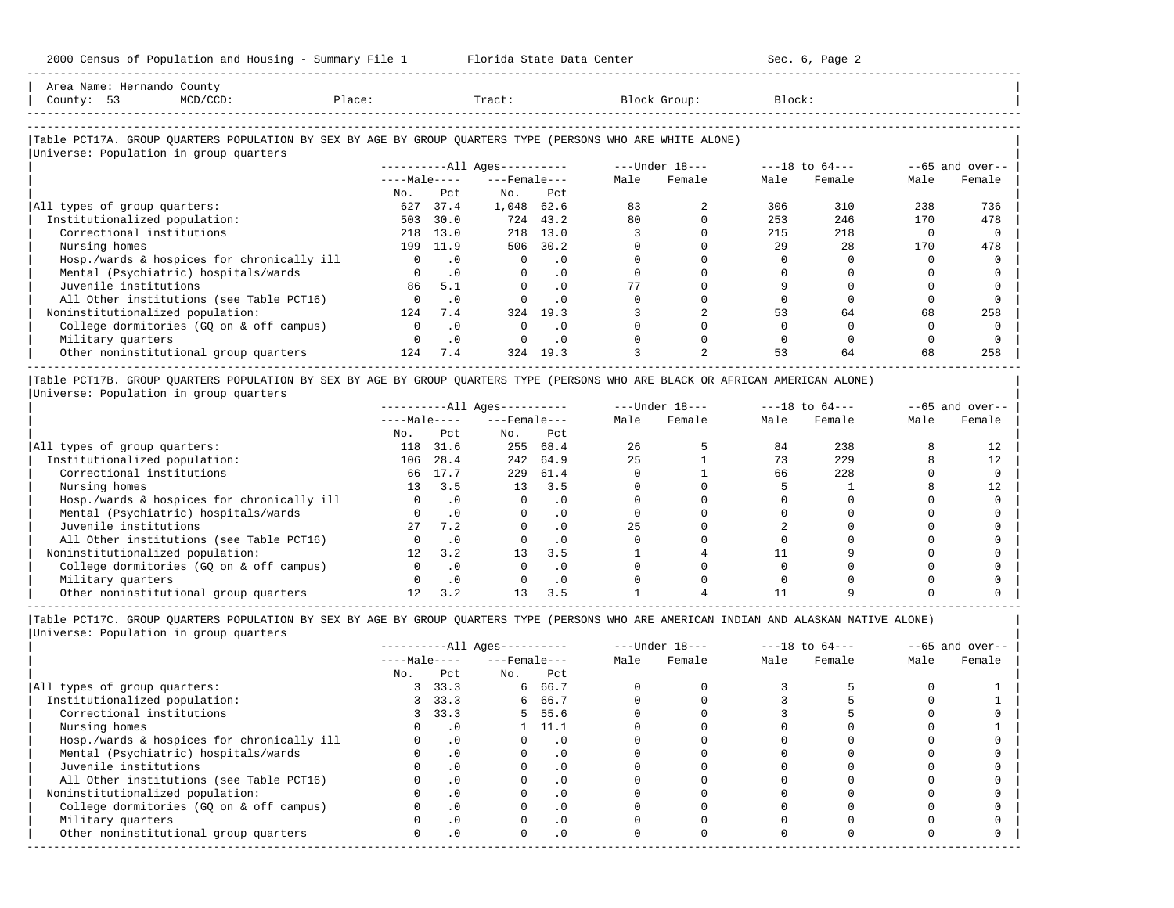2000 Census of Population and Housing - Summary File 1 Florida State Data Center Sec. 6, Page 2 -----------------------------------------------------------------------------------------------------------------------------------------------------

| Area Name: Hernando County<br>County: 53<br>MCD/CCD:<br>Place:                                                                                       |          |              | Tract:                       |           |      | Block Group:   | Block: |                    |      |                   |
|------------------------------------------------------------------------------------------------------------------------------------------------------|----------|--------------|------------------------------|-----------|------|----------------|--------|--------------------|------|-------------------|
| Table PCT17A. GROUP OUARTERS POPULATION BY SEX BY AGE BY GROUP OUARTERS TYPE (PERSONS WHO ARE WHITE ALONE)<br>Universe: Population in group quarters |          |              |                              |           |      |                |        |                    |      |                   |
|                                                                                                                                                      |          |              | ----------All Ages---------- |           |      | ---Under 18--- |        | $---18$ to $64---$ |      | $--65$ and over-- |
|                                                                                                                                                      |          | $---Male---$ | $---$ Female $---$           |           | Male | Female         | Male   | Female             | Male | Female            |
|                                                                                                                                                      | No.      | Pct          | No.                          | Pct       |      |                |        |                    |      |                   |
| All types of group quarters:                                                                                                                         | 627      | 37.4         | 1,048                        | 62.6      | 83   |                | 306    | 310                | 238  | 736               |
| Institutionalized population:                                                                                                                        | 503      | 30.0         | 724                          | 43.2      | 80   |                | 253    | 246                | 170  | 478               |
| Correctional institutions                                                                                                                            | 218      | 13.0         | 218                          | 13.0      |      |                | 215    | 218                |      |                   |
| Nursing homes                                                                                                                                        | 199      | 11.9         | 506                          | 30.2      |      |                | 29     | 28                 | 170  | 478               |
| Hosp./wards & hospices for chronically ill                                                                                                           | $\circ$  | $\cdot$ 0    | $\circ$                      | $\cdot$ 0 |      |                |        |                    |      |                   |
| Mental (Psychiatric) hospitals/wards                                                                                                                 | $\Omega$ | $\cdot$ 0    | $\Omega$                     | $\cdot$ 0 |      |                |        |                    |      |                   |
| Juvenile institutions                                                                                                                                | 86       | 5.1          |                              | $\cdot$ 0 | 77   |                |        |                    |      |                   |
| All Other institutions (see Table PCT16)                                                                                                             |          | $\cdot$ 0    |                              | $\cdot$ 0 |      |                |        |                    |      |                   |
| Noninstitutionalized population:                                                                                                                     | 124      | 7.4          | 324                          | 19.3      |      |                | 53     | 64                 | 68   | 258               |

| College dormitories (GQ on & off campus) 0 .0 0 .0 0 0 0 0 0 0 |

| Military quarters 0 .0 0 .0 0 0 0 0 0 0 |  $\vert$  Other $noninstitutional $\rm{group~quarters}$  124  $\rm{7.4}$  324  $\rm{19.3}$   $\rm{3}$   $\rm{2}$   $\rm{53}$   $\rm{64}$   $\rm{68}$   $\rm{258}$   $\vert$$ ----------------------------------------------------------------------------------------------------------------------------------------------------- |Table PCT17B. GROUP QUARTERS POPULATION BY SEX BY AGE BY GROUP QUARTERS TYPE (PERSONS WHO ARE BLACK OR AFRICAN AMERICAN ALONE) |

|Universe: Population in group quarters |

|                                            |                 |           | ----------All Ages---------- |           |      | $---Under 18---$ |      | $---18$ to $64---$ |      | $- -65$ and over-- |
|--------------------------------------------|-----------------|-----------|------------------------------|-----------|------|------------------|------|--------------------|------|--------------------|
|                                            | $---Male---$    |           | $---$ Female $---$           |           | Male | Female           | Male | Female             | Male | Female             |
|                                            | No.             | Pct       | No.                          | Pct       |      |                  |      |                    |      |                    |
| All types of group quarters:               | 118             | 31.6      | 255                          | 68.4      | 26   |                  | 84   | 238                |      |                    |
| Institutionalized population:              | 106             | 28.4      | 242                          | 64.9      | 25   |                  | 73   | 229                |      | 12                 |
| Correctional institutions                  | 66              | 17.7      | 229                          | 61.4      |      |                  | 66   | 228                |      |                    |
| Nursing homes                              | 13              | 3.5       | 13 <sup>°</sup>              | 3.5       |      |                  |      |                    |      |                    |
| Hosp./wards & hospices for chronically ill | 0               | $\cdot$ 0 | $\Omega$                     | . 0       |      |                  |      |                    |      |                    |
| Mental (Psychiatric) hospitals/wards       |                 |           |                              | . 0       |      |                  |      |                    |      |                    |
| Juvenile institutions                      | 27              | 7.2       |                              | . 0       | 25   |                  |      |                    |      |                    |
| All Other institutions (see Table PCT16)   |                 |           |                              | $\cdot$ 0 |      |                  |      |                    |      |                    |
| Noninstitutionalized population:           | 12 <sup>°</sup> | 3.2       | 13                           | 3.5       |      |                  |      |                    |      |                    |
| College dormitories (GQ on & off campus)   |                 |           |                              | $\cdot$ 0 |      |                  |      |                    |      |                    |
| Military quarters                          |                 | $\cdot$ 0 |                              | $\cdot$ 0 |      |                  |      |                    |      |                    |
| Other noninstitutional group quarters      |                 | 3.2       |                              | 3.5       |      |                  |      |                    |      |                    |

|                                            |              |           | $------All Aqes------$ |           |      | $---Under 18---$ |      | $---18$ to $64---$ |      | $--65$ and over-- |
|--------------------------------------------|--------------|-----------|------------------------|-----------|------|------------------|------|--------------------|------|-------------------|
|                                            | $---Male---$ |           | $---$ Female $---$     |           | Male | Female           | Male | Female             | Male | Female            |
|                                            | No.          | Pct       | No.                    | Pct       |      |                  |      |                    |      |                   |
| All types of group quarters:               | 3            | 33.3      |                        | 6 66.7    |      |                  |      |                    |      |                   |
| Institutionalized population:              |              | 3, 33.3   |                        | 6 66.7    |      |                  |      |                    |      |                   |
| Correctional institutions                  |              | 3, 33.3   |                        | 5 55.6    |      |                  |      |                    |      |                   |
| Nursing homes                              |              |           |                        | 11.1      |      |                  |      |                    |      |                   |
| Hosp./wards & hospices for chronically ill |              |           |                        | . 0       |      |                  |      |                    |      |                   |
| Mental (Psychiatric) hospitals/wards       |              | $\cdot$ 0 |                        | . 0       |      |                  |      |                    |      |                   |
| Juvenile institutions                      |              |           |                        | $\cdot$ 0 |      |                  |      |                    |      |                   |
| All Other institutions (see Table PCT16)   |              |           |                        | . 0       |      |                  |      |                    |      |                   |
| Noninstitutionalized population:           |              | .0        |                        | $\cdot$ 0 |      |                  |      |                    |      |                   |
| College dormitories (GQ on & off campus)   |              |           |                        | $\cdot$ 0 |      |                  |      |                    |      |                   |
| Military quarters                          |              |           |                        | . 0       |      |                  |      |                    |      |                   |
| Other noninstitutional group quarters      |              | .0        | <sup>o</sup>           | $\cdot$ 0 |      |                  |      |                    |      |                   |
|                                            |              |           |                        |           |      |                  |      |                    |      |                   |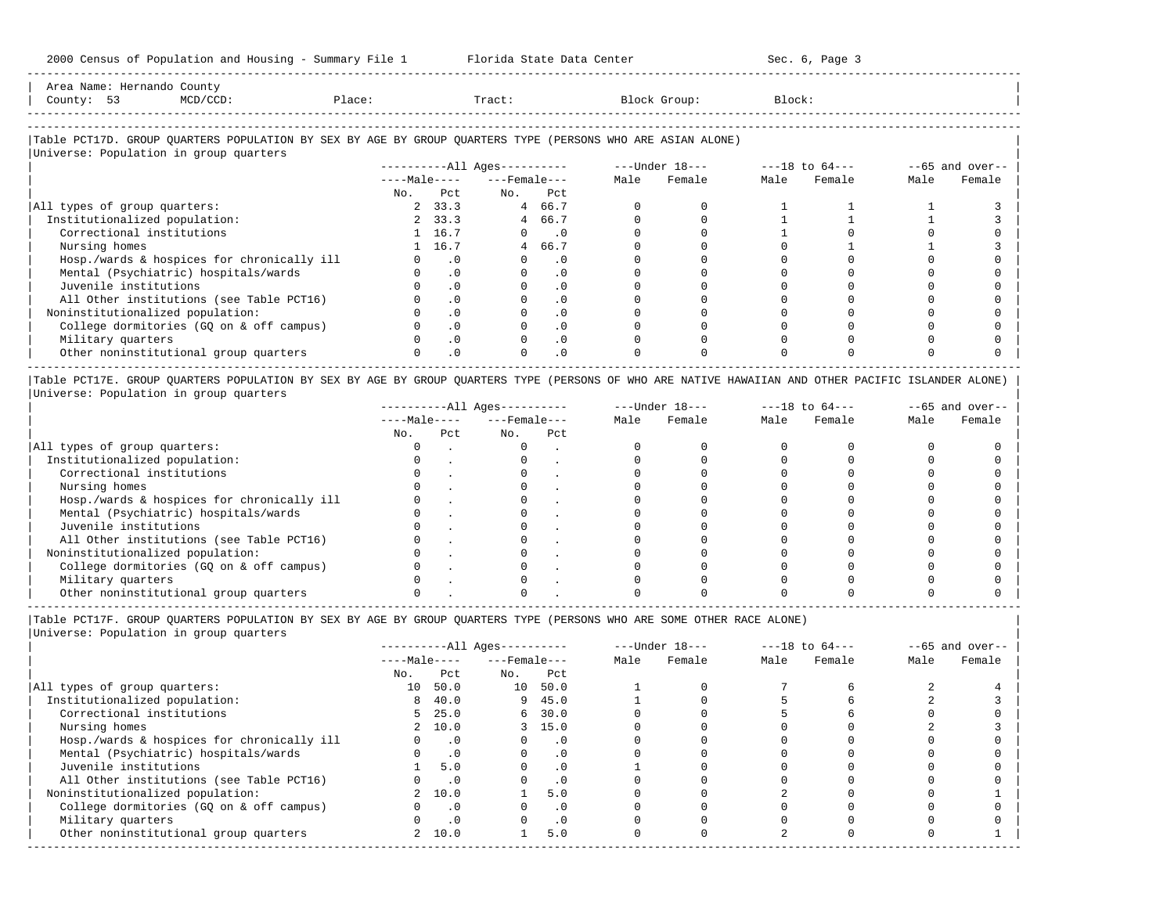| Ares<br>Name |             |  |       |        |
|--------------|-------------|--|-------|--------|
| County:      | $ -$<br>- - |  | "ract | Block: |
|              |             |  |       |        |
|              |             |  |       |        |

-----------------------------------------------------------------------------------------------------------------------------------------------------

### |Table PCT17D. GROUP QUARTERS POPULATION BY SEX BY AGE BY GROUP QUARTERS TYPE (PERSONS WHO ARE ASIAN ALONE) | |<br>|Universe: Population in group quarters

|                                            |              |           | $------All Aqes------$ |           |      | $---Under 18---$ |      | $---18$ to $64---$ |      | $--65$ and over-- |
|--------------------------------------------|--------------|-----------|------------------------|-----------|------|------------------|------|--------------------|------|-------------------|
|                                            | $---Male---$ |           | $---$ Female $---$     |           | Male | Female           | Male | Female             | Male | Female            |
|                                            | No.          | Pct.      | No.                    | Pct       |      |                  |      |                    |      |                   |
| All types of group quarters:               |              | 2, 33.3   |                        | 4 66.7    |      |                  |      |                    |      |                   |
| Institutionalized population:              |              | 2, 33.3   |                        | 4 66.7    |      |                  |      |                    |      |                   |
| Correctional institutions                  |              | 1 16.7    | $\Omega$               | $\sim$ .0 |      |                  |      |                    |      |                   |
| Nursing homes                              |              | 1 16.7    |                        | 4 66.7    |      |                  |      |                    |      |                   |
| Hosp./wards & hospices for chronically ill |              | $\cdot$ 0 |                        | $\cdot$ 0 |      |                  |      |                    |      |                   |
| Mental (Psychiatric) hospitals/wards       |              | $\cdot$ 0 |                        | $\cdot$ 0 |      |                  |      |                    |      |                   |
| Juvenile institutions                      |              | $\cdot$ 0 |                        |           |      |                  |      |                    |      |                   |
| All Other institutions (see Table PCT16)   |              | $\cdot$ 0 |                        | $\cdot$ 0 |      |                  |      |                    |      |                   |
| Noninstitutionalized population:           |              | $\cdot$ 0 |                        |           |      |                  |      |                    |      |                   |
| College dormitories (GO on & off campus)   |              | $\cdot$ 0 |                        | $\cdot$ 0 |      |                  |      |                    |      |                   |
| Military quarters                          |              | $\cdot$ 0 |                        | $\cdot$ 0 |      |                  |      |                    |      |                   |
| Other noninstitutional group quarters      |              | $\cdot$ 0 |                        | $\cdot$ 0 |      |                  |      |                    |      |                   |

|Table PCT17E. GROUP QUARTERS POPULATION BY SEX BY AGE BY GROUP QUARTERS TYPE (PERSONS OF WHO ARE NATIVE HAWAIIAN AND OTHER PACIFIC ISLANDER ALONE) | |Universe: Population in group quarters |

|                                            |              |     | $------All Aqes------$ |     |      | $---Under 18---$ |      | $---18$ to $64---$ |      | $--65$ and over-- |
|--------------------------------------------|--------------|-----|------------------------|-----|------|------------------|------|--------------------|------|-------------------|
|                                            | $---Male---$ |     | $---$ Female $---$     |     | Male | Female           | Male | Female             | Male | Female            |
|                                            | No.          | Pct | No.                    | Pct |      |                  |      |                    |      |                   |
| All types of group quarters:               |              |     |                        |     |      |                  |      |                    |      |                   |
| Institutionalized population:              |              |     |                        |     |      |                  |      |                    |      |                   |
| Correctional institutions                  |              |     |                        |     |      |                  |      |                    |      |                   |
| Nursing homes                              |              |     |                        |     |      |                  |      |                    |      |                   |
| Hosp./wards & hospices for chronically ill |              |     |                        |     |      |                  |      |                    |      |                   |
| Mental (Psychiatric) hospitals/wards       |              |     |                        |     |      |                  |      |                    |      |                   |
| Juvenile institutions                      |              |     |                        |     |      |                  |      |                    |      |                   |
| All Other institutions (see Table PCT16)   |              |     |                        |     |      |                  |      |                    |      |                   |
| Noninstitutionalized population:           |              |     |                        |     |      |                  |      |                    |      |                   |
| College dormitories (GO on & off campus)   |              |     |                        |     |      |                  |      |                    |      |                   |
| Military quarters                          |              |     |                        |     |      |                  |      |                    |      |                   |
| Other noninstitutional group quarters      |              |     |                        |     |      |                  |      |                    |      |                   |

-----------------------------------------------------------------------------------------------------------------------------------------------------

|Table PCT17F. GROUP QUARTERS POPULATION BY SEX BY AGE BY GROUP QUARTERS TYPE (PERSONS WHO ARE SOME OTHER RACE ALONE) |

|                                            |              |           | $------All Ages------$ |           |      | $---Under 18---$ |      | $---18$ to $64---$ |      | $--65$ and over-- |
|--------------------------------------------|--------------|-----------|------------------------|-----------|------|------------------|------|--------------------|------|-------------------|
|                                            | $---Male---$ |           | $---$ Female $---$     |           | Male | Female           | Male | Female             | Male | Female            |
|                                            | No.          | Pct       | No.                    | Pct       |      |                  |      |                    |      |                   |
| All types of group quarters:               | 10           | 50.0      | 10                     | 50.0      |      |                  |      |                    |      |                   |
| Institutionalized population:              | 8            | 40.0      | 9                      | 45.0      |      |                  |      |                    |      |                   |
| Correctional institutions                  |              | 5, 25.0   |                        | 6, 30.0   |      |                  |      |                    |      |                   |
| Nursing homes                              |              | 2, 10.0   |                        | 3, 15.0   |      |                  |      |                    |      |                   |
| Hosp./wards & hospices for chronically ill |              | $\cdot$ 0 |                        | $\cdot$ 0 |      |                  |      |                    |      |                   |
| Mental (Psychiatric) hospitals/wards       |              | $\cdot$ 0 |                        | $\cdot$ 0 |      |                  |      |                    |      |                   |
| Juvenile institutions                      |              | 5.0       |                        | $\cdot$ 0 |      |                  |      |                    |      |                   |
| All Other institutions (see Table PCT16)   |              | $\cdot$ 0 |                        | $\cdot$ 0 |      |                  |      |                    |      |                   |
| Noninstitutionalized population:           |              | 2 10.0    |                        | 5.0       |      |                  |      |                    |      |                   |
| College dormitories (GQ on & off campus)   |              | $\cdot$ 0 |                        |           |      |                  |      |                    |      |                   |
| Military quarters                          |              | $\cdot$ 0 |                        | $\cdot$ 0 |      |                  |      |                    |      |                   |
| Other noninstitutional group quarters      |              | 2, 10.0   |                        | 5.0       |      |                  |      |                    |      |                   |
|                                            |              |           |                        |           |      |                  |      |                    |      |                   |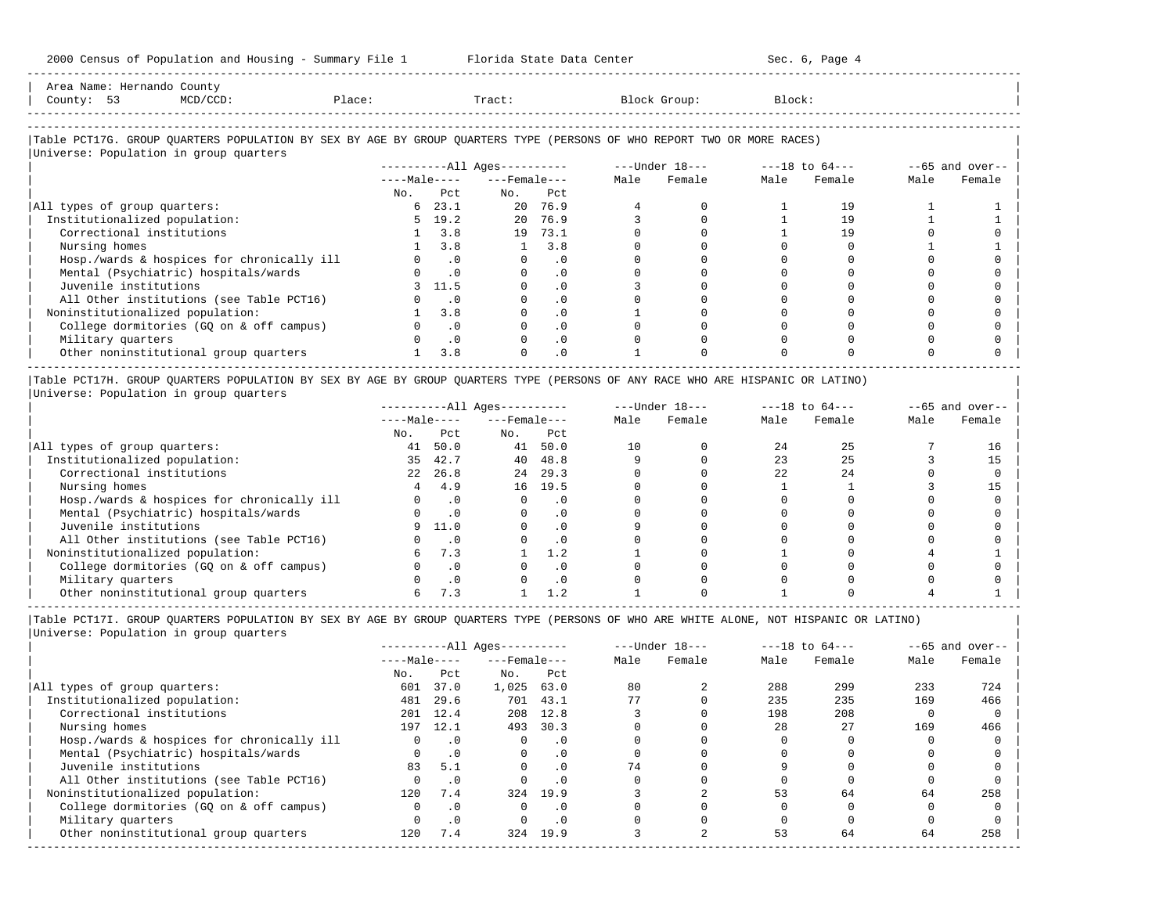| 2000 Census of Population and Housing - Summary File 1                                                                                                                  |     |                             | Florida State Data Center                                                                                                                                                                                                                                                                                            |           |              |             |        | Sec. 6, Page 4 |      |                            |
|-------------------------------------------------------------------------------------------------------------------------------------------------------------------------|-----|-----------------------------|----------------------------------------------------------------------------------------------------------------------------------------------------------------------------------------------------------------------------------------------------------------------------------------------------------------------|-----------|--------------|-------------|--------|----------------|------|----------------------------|
| Area Name: Hernando County<br>Place:<br>County: 53<br>MCD/CCD:                                                                                                          |     |                             | Tract:                                                                                                                                                                                                                                                                                                               |           | Block Group: |             | Block: |                |      |                            |
| Table PCT17G. GROUP QUARTERS POPULATION BY SEX BY AGE BY GROUP QUARTERS TYPE (PERSONS OF WHO REPORT TWO OR MORE RACES)                                                  |     |                             |                                                                                                                                                                                                                                                                                                                      |           |              |             |        |                |      |                            |
| Universe: Population in group quarters                                                                                                                                  |     |                             |                                                                                                                                                                                                                                                                                                                      |           |              |             |        |                |      | $-65$ and over--           |
|                                                                                                                                                                         |     |                             | $---Male-- ---Female---$                                                                                                                                                                                                                                                                                             |           | Male         | Female      | Male   | Female         | Male | Female                     |
|                                                                                                                                                                         | No. | Pct                         | No. Pct                                                                                                                                                                                                                                                                                                              |           |              |             |        |                |      |                            |
| All types of group quarters:                                                                                                                                            |     | $6\quad 23.1$               |                                                                                                                                                                                                                                                                                                                      | 20 76.9   |              |             |        | 19             |      |                            |
| Institutionalized population:                                                                                                                                           |     | $5 \quad 19.2$              | 20                                                                                                                                                                                                                                                                                                                   | 76.9      |              |             |        | 19             |      |                            |
| Correctional institutions                                                                                                                                               |     | 3.8                         |                                                                                                                                                                                                                                                                                                                      | 19 73.1   |              |             |        | 19             |      |                            |
| Nursing homes                                                                                                                                                           |     | 3.8                         | 1                                                                                                                                                                                                                                                                                                                    | 3.8       |              |             |        |                |      |                            |
| Hosp./wards & hospices for chronically ill                                                                                                                              |     | $0 \qquad .0$               |                                                                                                                                                                                                                                                                                                                      | .0        |              |             |        |                |      |                            |
| Mental (Psychiatric) hospitals/wards                                                                                                                                    |     | $\cdot$ 0                   |                                                                                                                                                                                                                                                                                                                      | $\cdot$ 0 |              |             |        |                |      |                            |
| Juvenile institutions                                                                                                                                                   |     | 11.5                        | $\Omega$                                                                                                                                                                                                                                                                                                             | $\cdot$ 0 |              |             |        |                |      |                            |
| All Other institutions (see Table PCT16)                                                                                                                                |     | $\overline{\phantom{0}}$ .0 | $\Omega$                                                                                                                                                                                                                                                                                                             | $\cdot$ 0 |              |             |        |                |      |                            |
| Noninstitutionalized population:                                                                                                                                        |     | $1 \quad 3.8$               |                                                                                                                                                                                                                                                                                                                      | .0        |              |             |        |                |      |                            |
| College dormitories (GQ on & off campus)                                                                                                                                |     | .0                          |                                                                                                                                                                                                                                                                                                                      | $\cdot$ 0 |              |             |        |                |      |                            |
| Military quarters                                                                                                                                                       |     | $\cdot$ 0                   | $\Omega$                                                                                                                                                                                                                                                                                                             | .0        |              |             |        |                |      |                            |
| Other noninstitutional group quarters                                                                                                                                   |     | 3.8                         | $\cap$                                                                                                                                                                                                                                                                                                               | $\cdot$ 0 |              |             |        |                |      |                            |
| Table PCT17H. GROUP QUARTERS POPULATION BY SEX BY AGE BY GROUP QUARTERS TYPE (PERSONS OF ANY RACE WHO ARE HISPANIC OR LATINO)<br>Universe: Population in group quarters |     |                             |                                                                                                                                                                                                                                                                                                                      |           |              |             |        |                |      |                            |
|                                                                                                                                                                         |     |                             | $---Male-- ---Female---$<br>$\mathbf{r}$ , and $\mathbf{r}$ , and $\mathbf{r}$ , and $\mathbf{r}$ , and $\mathbf{r}$ , and $\mathbf{r}$ , and $\mathbf{r}$ , and $\mathbf{r}$ , and $\mathbf{r}$ , and $\mathbf{r}$ , and $\mathbf{r}$ , and $\mathbf{r}$ , and $\mathbf{r}$ , and $\mathbf{r}$ , and $\mathbf{r}$ , |           |              | Male Female | Male   | Female         | Male | $-65$ and over--<br>Female |

|                                            | $---Male---$ |           | $---$ Female $---$ |           | Male | Female | Male | Female | Male | Female |
|--------------------------------------------|--------------|-----------|--------------------|-----------|------|--------|------|--------|------|--------|
|                                            | No.          | Pct       | No.                | Pct       |      |        |      |        |      |        |
| All types of group quarters:               | 41           | 50.0      | 41                 | 50.0      | 10   |        | 2.4  |        |      | 16     |
| Institutionalized population:              | 35           | 42.7      | 40                 | 48.8      |      |        | 23   |        |      |        |
| Correctional institutions                  | 2.2          | 26.8      | 24                 | 29.3      |      |        | 2.2. | 24     |      |        |
| Nursing homes                              |              | 4.9       | 16                 | 19.5      |      |        |      |        |      |        |
| Hosp./wards & hospices for chronically ill |              | $\cdot$ 0 |                    | . 0       |      |        |      |        |      |        |
| Mental (Psychiatric) hospitals/wards       |              | $\cdot$ 0 |                    | . 0       |      |        |      |        |      |        |
| Juvenile institutions                      |              | 11.0      |                    | . 0       |      |        |      |        |      |        |
| All Other institutions (see Table PCT16)   |              | $\cdot$ 0 |                    | $\cdot$ 0 |      |        |      |        |      |        |
| Noninstitutionalized population:           |              | 7.3       |                    | 1.2       |      |        |      |        |      |        |
| College dormitories (GQ on & off campus)   |              | $\cdot$ 0 |                    | . 0       |      |        |      |        |      |        |
| Military quarters                          |              | $\cdot$ 0 |                    | $\Omega$  |      |        |      |        |      |        |
| Other noninstitutional group quarters      |              | 7.3       |                    |           |      |        |      |        |      |        |

|Table PCT17I. GROUP QUARTERS POPULATION BY SEX BY AGE BY GROUP QUARTERS TYPE (PERSONS OF WHO ARE WHITE ALONE, NOT HISPANIC OR LATINO) | |Universe: Population in group quarters |

-----------------------------------------------------------------------------------------------------------------------------------------------------

|                                            | $------All Ages------$ |           |                    |           | $---Under 18---$ |        | $---18$ to $64---$ |        | $--65$ and over-- |        |
|--------------------------------------------|------------------------|-----------|--------------------|-----------|------------------|--------|--------------------|--------|-------------------|--------|
|                                            | $---Male---$           |           | $---$ Female $---$ |           | Male             | Female | Male               | Female | Male              | Female |
|                                            | No.                    | Pct       | No.                | Pct       |                  |        |                    |        |                   |        |
| All types of group quarters:               | 601                    | 37.0      | 1,025              | 63.0      | 80               |        | 288                | 299    | 233               | 724    |
| Institutionalized population:              | 481                    | 29.6      | 701                | 43.1      | 77               |        | 235                | 235    | 169               | 466    |
| Correctional institutions                  | 201                    | 12.4      | 208                | 12.8      |                  |        | 198                | 208    |                   |        |
| Nursing homes                              | 197                    | 12.1      | 493                | 30.3      |                  |        | 28                 | 27     | 169               | 466    |
| Hosp./wards & hospices for chronically ill |                        | $\cdot$ 0 |                    | . 0       |                  |        |                    |        |                   |        |
| Mental (Psychiatric) hospitals/wards       |                        | $\cdot$ 0 | $\Omega$           | . 0       |                  |        |                    |        |                   |        |
| Juvenile institutions                      | 83                     | 5.1       |                    | $\cdot$ 0 | 74               |        |                    |        |                   |        |
| All Other institutions (see Table PCT16)   |                        | $\cdot$ 0 |                    | . 0       |                  |        |                    |        |                   |        |
| Noninstitutionalized population:           | 120                    | 7.4       | 324                | 19.9      |                  |        | 53                 | 64     | 64                | 258    |
| College dormitories (GO on & off campus)   |                        | $\cdot$ 0 |                    | . 0       |                  |        |                    |        |                   |        |
| Military quarters                          |                        | $\cdot$ 0 |                    | . 0       |                  |        |                    |        |                   |        |
| Other noninstitutional group quarters      | 120                    | 7.4       | 324                | 19.9      |                  |        | 53                 | 64     | 64                | 258    |
|                                            |                        |           |                    |           |                  |        |                    |        |                   |        |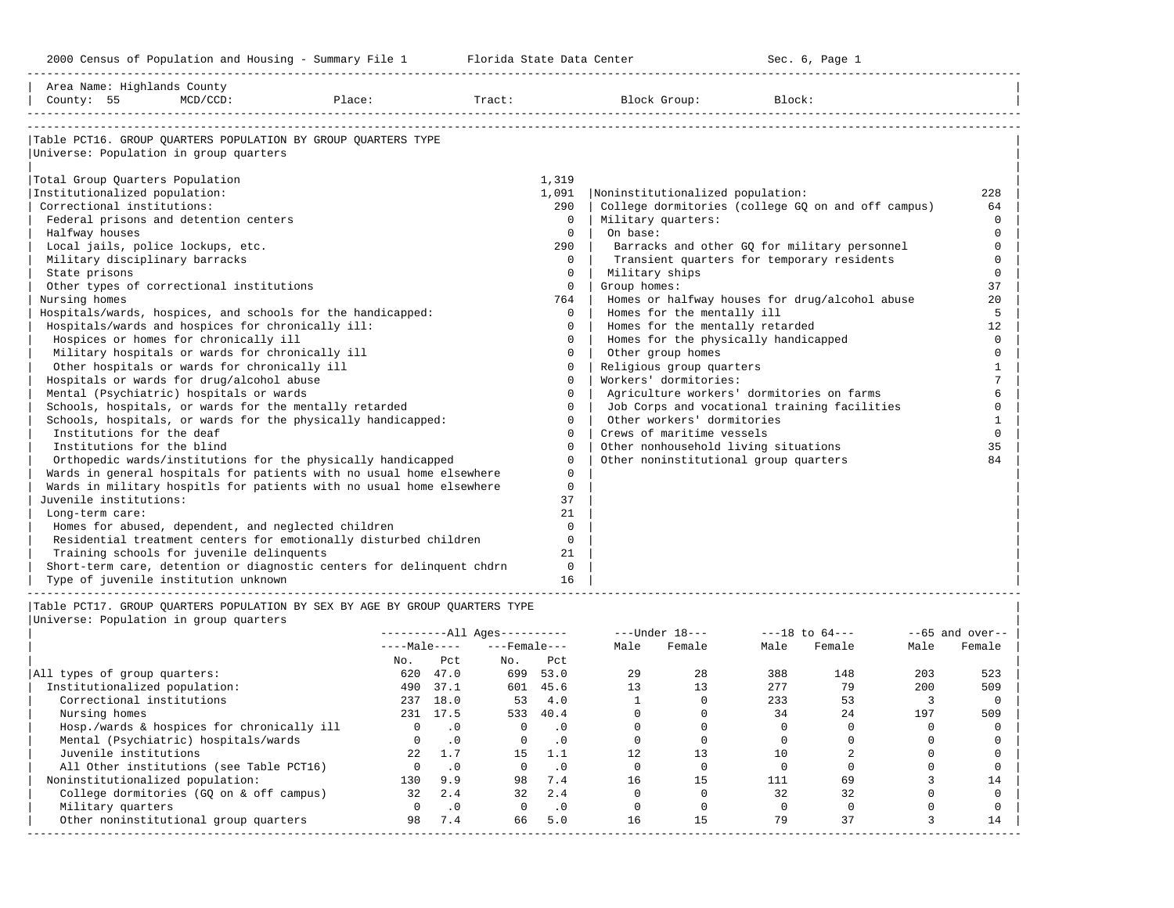-----------------------------------------------------------------------------------------------------------------------------------------------------

| Area Name: Highlands County<br>County: 55         | $MCD/CCD$ : | Place:                                                                      | Tract: |          | Block Group:                          | Block:                                             |              |
|---------------------------------------------------|-------------|-----------------------------------------------------------------------------|--------|----------|---------------------------------------|----------------------------------------------------|--------------|
|                                                   |             |                                                                             |        |          |                                       |                                                    |              |
|                                                   |             | Table PCT16. GROUP OUARTERS POPULATION BY GROUP OUARTERS TYPE               |        |          |                                       |                                                    |              |
| Universe: Population in group quarters            |             |                                                                             |        |          |                                       |                                                    |              |
| Total Group Quarters Population                   |             |                                                                             |        | 1,319    |                                       |                                                    |              |
| Institutionalized population:                     |             |                                                                             |        | 1,091    | Noninstitutionalized population:      |                                                    | 228          |
| Correctional institutions:                        |             |                                                                             |        | 290      |                                       | College dormitories (college GO on and off campus) | 64           |
| Federal prisons and detention centers             |             |                                                                             |        | $\Omega$ | Military quarters:                    |                                                    | $\Omega$     |
| Halfway houses                                    |             |                                                                             |        | $\Omega$ | On base:                              |                                                    | $\Omega$     |
| Local jails, police lockups, etc.                 |             |                                                                             |        | 290      |                                       | Barracks and other GO for military personnel       | $\cap$       |
| Military disciplinary barracks                    |             |                                                                             |        | $\Omega$ |                                       | Transient quarters for temporary residents         | $\Omega$     |
| State prisons                                     |             |                                                                             |        | 0        | Military ships                        |                                                    | $\Omega$     |
| Other types of correctional institutions          |             |                                                                             |        | $\Omega$ | Group homes:                          |                                                    | 37           |
| Nursing homes                                     |             |                                                                             |        | 764      |                                       | Homes or halfway houses for drug/alcohol abuse     | 20           |
|                                                   |             | Hospitals/wards, hospices, and schools for the handicapped:                 |        | $\Omega$ | Homes for the mentally ill            |                                                    | 5            |
| Hospitals/wards and hospices for chronically ill: |             |                                                                             |        | $\Omega$ | Homes for the mentally retarded       |                                                    | 12           |
| Hospices or homes for chronically ill             |             |                                                                             |        | $\Omega$ | Homes for the physically handicapped  |                                                    | $\Omega$     |
| Military hospitals or wards for chronically ill   |             |                                                                             |        | $\Omega$ | Other group homes                     |                                                    | $\Omega$     |
| Other hospitals or wards for chronically ill      |             |                                                                             |        | $\Omega$ | Religious group quarters              |                                                    |              |
| Hospitals or wards for drug/alcohol abuse         |             |                                                                             |        | $\Omega$ | Workers' dormitories:                 |                                                    | 7            |
| Mental (Psychiatric) hospitals or wards           |             |                                                                             |        | $\Omega$ |                                       | Agriculture workers' dormitories on farms          |              |
|                                                   |             | Schools, hospitals, or wards for the mentally retarded                      |        | $\Omega$ |                                       | Job Corps and vocational training facilities       | $\Omega$     |
|                                                   |             | Schools, hospitals, or wards for the physically handicapped:                |        | $\Omega$ | Other workers' dormitories            |                                                    | $\mathbf{1}$ |
| Institutions for the deaf                         |             |                                                                             |        | $\Omega$ | Crews of maritime vessels             |                                                    | $\Omega$     |
| Institutions for the blind                        |             |                                                                             |        | $\Omega$ | Other nonhousehold living situations  |                                                    | 35           |
|                                                   |             | Orthopedic wards/institutions for the physically handicapped                |        | $\Omega$ | Other noninstitutional group quarters |                                                    | 84           |
|                                                   |             | Wards in general hospitals for patients with no usual home elsewhere        |        | $\Omega$ |                                       |                                                    |              |
|                                                   |             | Wards in military hospitls for patients with no usual home elsewhere        |        | $\Omega$ |                                       |                                                    |              |
| Juvenile institutions:                            |             |                                                                             |        | 37       |                                       |                                                    |              |
| Long-term care:                                   |             |                                                                             |        | 21       |                                       |                                                    |              |
|                                                   |             | Homes for abused, dependent, and neglected children                         |        | $\Omega$ |                                       |                                                    |              |
|                                                   |             | Residential treatment centers for emotionally disturbed children            |        | $\Omega$ |                                       |                                                    |              |
| Training schools for juvenile delinquents         |             |                                                                             |        | 21       |                                       |                                                    |              |
|                                                   |             | Short-term care, detention or diagnostic centers for delinquent chdrn       |        | $\Omega$ |                                       |                                                    |              |
| Type of juvenile institution unknown              |             |                                                                             |        | 16       |                                       |                                                    |              |
|                                                   |             | Table PCT17. GROUP OUARTERS POPULATION BY SEX BY AGE BY GROUP OUARTERS TYPE |        |          |                                       |                                                    |              |
| Universe: Population in group quarters            |             |                                                                             |        |          |                                       |                                                    |              |
|                                                   |             |                                                                             |        |          |                                       |                                                    |              |

|                                            | ----------All Ages---------- |           |                    |           | $---Under 18---$ |        | $---18$ to $64---$ |        | $--65$ and over-- |        |
|--------------------------------------------|------------------------------|-----------|--------------------|-----------|------------------|--------|--------------------|--------|-------------------|--------|
|                                            | $---Male---$                 |           | $---$ Female $---$ |           | Male             | Female | Male               | Female | Male              | Female |
|                                            | No.                          | Pct       | No.                | Pct       |                  |        |                    |        |                   |        |
| All types of group quarters:               | 620                          | 47.0      | 699                | 53.0      | 29               | 28     | 388                | 148    | 203               | 523    |
| Institutionalized population:              | 490                          | 37.1      | 601                | 45.6      | 13               | 13     | 277                | 79     | 200               | 509    |
| Correctional institutions                  | 237                          | 18.0      | 53                 | 4.0       |                  |        | 233                | 53     |                   |        |
| Nursing homes                              |                              | 231 17.5  | 533                | 40.4      |                  |        | 34                 | 24     | 197               | 509    |
| Hosp./wards & hospices for chronically ill |                              | $\cdot$ 0 | $\Omega$           | $\cdot$ 0 |                  |        |                    |        |                   |        |
| Mental (Psychiatric) hospitals/wards       |                              | $\cdot$ 0 |                    | $\cdot$ 0 |                  |        |                    |        |                   |        |
| Juvenile institutions                      | 2.2 <sub>1</sub>             | 1.7       | 15                 | 1.1       | 12               |        | 10                 |        |                   |        |
| All Other institutions (see Table PCT16)   |                              | $\cdot$ 0 |                    | $\cdot$ 0 |                  |        |                    |        |                   |        |
| Noninstitutionalized population:           | 130                          | 9.9       | 98                 | 7.4       | 16               | 15     | 111                | 69     |                   | 14     |
| College dormitories (GQ on & off campus)   | 32                           | 2.4       | 32                 | 2.4       |                  |        | 32                 | 32     |                   |        |
| Military quarters                          |                              | $\cdot$ 0 |                    | $\cdot$ 0 |                  |        |                    |        |                   |        |
| Other noninstitutional group quarters      | 98                           | 7.4       | 66                 | 5.0       | 16               | 15     | 79                 | 37     |                   | 14     |
|                                            |                              |           |                    |           |                  |        |                    |        |                   |        |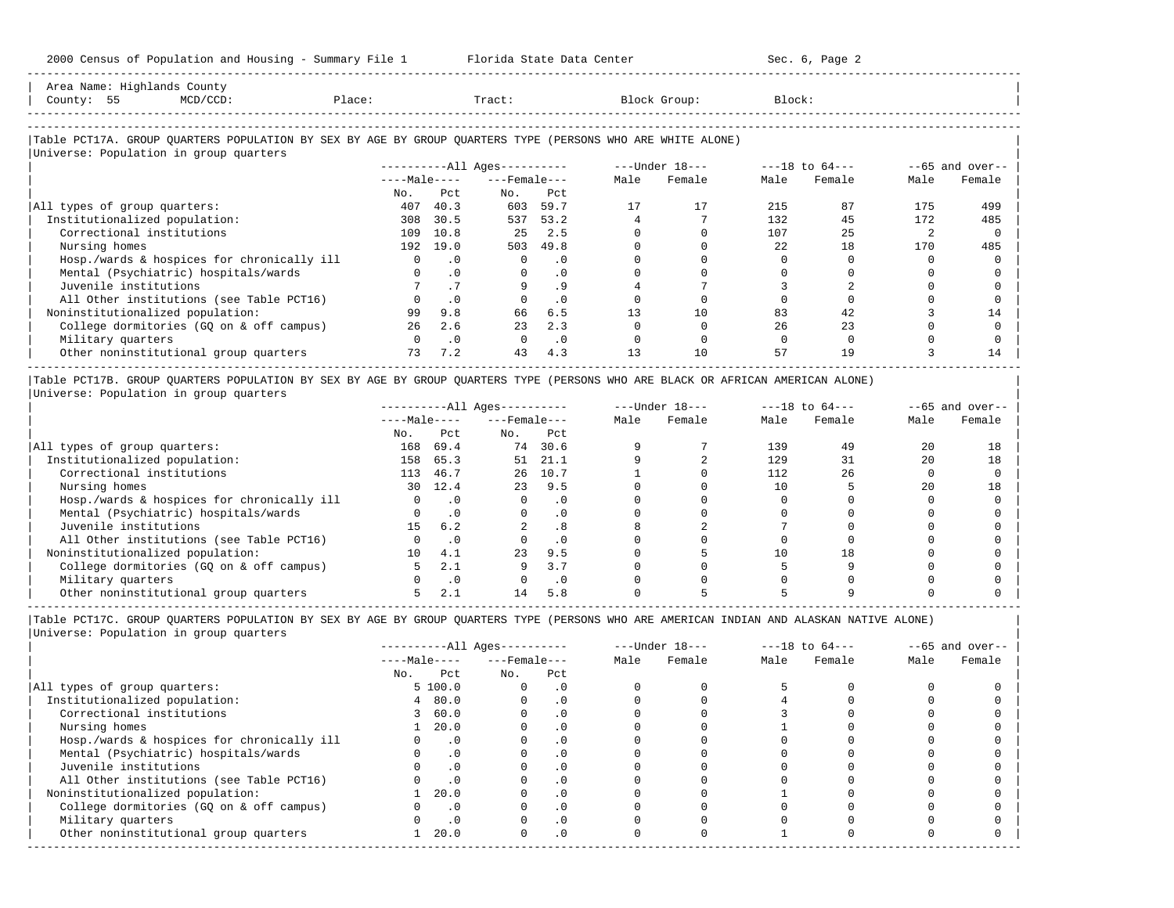| Area<br>Name |             | County |        |        |          |        |
|--------------|-------------|--------|--------|--------|----------|--------|
| County       | $ -$<br>- - |        | Dlage' | Tract. | JI UUU - | ,lock' |
|              |             |        |        |        |          |        |

-----------------------------------------------------------------------------------------------------------------------------------------------------

-----------------------------------------------------------------------------------------------------------------------------------------------------

### |Table PCT17A. GROUP QUARTERS POPULATION BY SEX BY AGE BY GROUP QUARTERS TYPE (PERSONS WHO ARE WHITE ALONE) | |<br>|Universe: Population in group quarters

|                                            | ----------All Ages---------- |           |                    |           |      | $---Under 18---$ |      | $---18$ to $64---$ | $--65$ and over-- |        |
|--------------------------------------------|------------------------------|-----------|--------------------|-----------|------|------------------|------|--------------------|-------------------|--------|
|                                            | $---Male---$                 |           | $---$ Female $---$ |           | Male | Female           | Male | Female             | Male              | Female |
|                                            | No.                          | Pct       | No.                | Pct       |      |                  |      |                    |                   |        |
| All types of group quarters:               | 407                          | 40.3      | 603                | 59.7      |      | 17               | 215  | 87                 | 175               | 499    |
| Institutionalized population:              | 308                          | 30.5      | 537                | 53.2      |      |                  | 132  | 45                 | 172               | 485    |
| Correctional institutions                  | 109                          | 10.8      | 25                 | 2.5       |      |                  | 107  | 25                 |                   |        |
| Nursing homes                              | 192                          | 19.0      | 503                | 49.8      |      |                  | 22   | 18                 | 170               | 485    |
| Hosp./wards & hospices for chronically ill |                              | $\cdot$ 0 | 0                  | $\cdot$ 0 |      |                  |      |                    |                   |        |
| Mental (Psychiatric) hospitals/wards       |                              | $\cdot$ 0 | $\Omega$           | $\cdot$ 0 |      |                  |      |                    |                   |        |
| Juvenile institutions                      |                              |           |                    | . 9       |      |                  |      |                    |                   |        |
| All Other institutions (see Table PCT16)   |                              | $\cdot$ 0 | $\Omega$           | $\cdot$ 0 |      |                  |      |                    |                   |        |
| Noninstitutionalized population:           | 99                           | 9.8       | 66                 | 6.5       | 13   | 10               | 83   | 42                 |                   | 14     |
| College dormitories (GO on & off campus)   | 26                           | 2.6       | 23                 | 2.3       |      |                  | 26   | 23                 |                   |        |
| Military quarters                          |                              | $\cdot$ 0 | $\Omega$           | $\cdot$ 0 |      |                  |      |                    |                   |        |
| Other noninstitutional group quarters      | 73                           | 7.2       | 43                 | 4.3       | 13   | 10               | 57   | 19                 |                   | 14     |

|Table PCT17B. GROUP QUARTERS POPULATION BY SEX BY AGE BY GROUP QUARTERS TYPE (PERSONS WHO ARE BLACK OR AFRICAN AMERICAN ALONE) | |Universe: Population in group quarters |

|                                            |              |           | $------All Ages------$ |           |      | $---Under 18---$ | $---18$ to $64---$ |        | $- -65$ and over-- |        |
|--------------------------------------------|--------------|-----------|------------------------|-----------|------|------------------|--------------------|--------|--------------------|--------|
|                                            | $---Male---$ |           | $---$ Female $---$     |           | Male | Female           | Male               | Female | Male               | Female |
|                                            | No.          | Pct       | No.                    | Pct       |      |                  |                    |        |                    |        |
| All types of group quarters:               | 168          | 69.4      |                        | 74 30.6   |      |                  | 139                | 49     | 20                 | 18     |
| Institutionalized population:              | 158          | 65.3      | 51                     | 21.1      |      |                  | 129                |        | 20                 | 18     |
| Correctional institutions                  | 113          | 46.7      | 26                     | 10.7      |      |                  | 112                | 26     |                    |        |
| Nursing homes                              | 30 ·         | 12.4      | 23                     | 9.5       |      |                  |                    |        | 20                 | 18     |
| Hosp./wards & hospices for chronically ill |              |           |                        | . 0       |      |                  |                    |        |                    |        |
| Mental (Psychiatric) hospitals/wards       |              |           |                        | $\cdot$ 0 |      |                  |                    |        |                    |        |
| Juvenile institutions                      | 15           | 6.2       |                        | .8        |      |                  |                    |        |                    |        |
| All Other institutions (see Table PCT16)   |              |           |                        | $\cdot$ 0 |      |                  |                    |        |                    |        |
| Noninstitutionalized population:           | 10           | 4.1       | 23                     | 9.5       |      |                  |                    | 18     |                    |        |
| College dormitories (GO on & off campus)   |              | 2.1       | 9                      | 3.7       |      |                  |                    |        |                    |        |
| Military quarters                          |              | $\cdot$ 0 |                        | . 0       |      |                  |                    |        |                    |        |
| Other noninstitutional group quarters      |              |           |                        | 5.8       |      |                  |                    |        |                    |        |

-----------------------------------------------------------------------------------------------------------------------------------------------------

|                                            |              |           | $------All Aqes------$ |           |      | $---Under 18---$ |      | $---18$ to $64---$ |      | $--65$ and over-- |
|--------------------------------------------|--------------|-----------|------------------------|-----------|------|------------------|------|--------------------|------|-------------------|
|                                            | $---Male---$ |           | $---$ Female $---$     |           | Male | Female           | Male | Female             | Male | Female            |
|                                            | No.          | Pct       | No.                    | Pct       |      |                  |      |                    |      |                   |
| All types of group quarters:               |              | 5100.0    |                        | . 0       |      |                  |      |                    |      |                   |
| Institutionalized population:              | 4            | 80.0      |                        | $\cdot$ 0 |      |                  |      |                    |      |                   |
| Correctional institutions                  |              | 60.0      |                        | . 0       |      |                  |      |                    |      |                   |
| Nursing homes                              |              | 20.0      |                        | $\cdot$ 0 |      |                  |      |                    |      |                   |
| Hosp./wards & hospices for chronically ill |              | $\cdot$ 0 |                        |           |      |                  |      |                    |      |                   |
| Mental (Psychiatric) hospitals/wards       |              | $\cdot$ 0 |                        | . 0       |      |                  |      |                    |      |                   |
| Juvenile institutions                      |              |           |                        | . 0       |      |                  |      |                    |      |                   |
| All Other institutions (see Table PCT16)   |              | $\cdot$ 0 |                        |           |      |                  |      |                    |      |                   |
| Noninstitutionalized population:           |              | 20.0      |                        | .0        |      |                  |      |                    |      |                   |
| College dormitories (GQ on & off campus)   |              | $\cdot$ 0 |                        | $\cdot$ 0 |      |                  |      |                    |      |                   |
| Military quarters                          |              | $\cdot$ 0 |                        | . 0       |      |                  |      |                    |      |                   |
| Other noninstitutional group quarters      |              | 20.0      | $\Omega$               | $\cdot$ 0 |      |                  |      |                    |      |                   |
|                                            |              |           |                        |           |      |                  |      |                    |      |                   |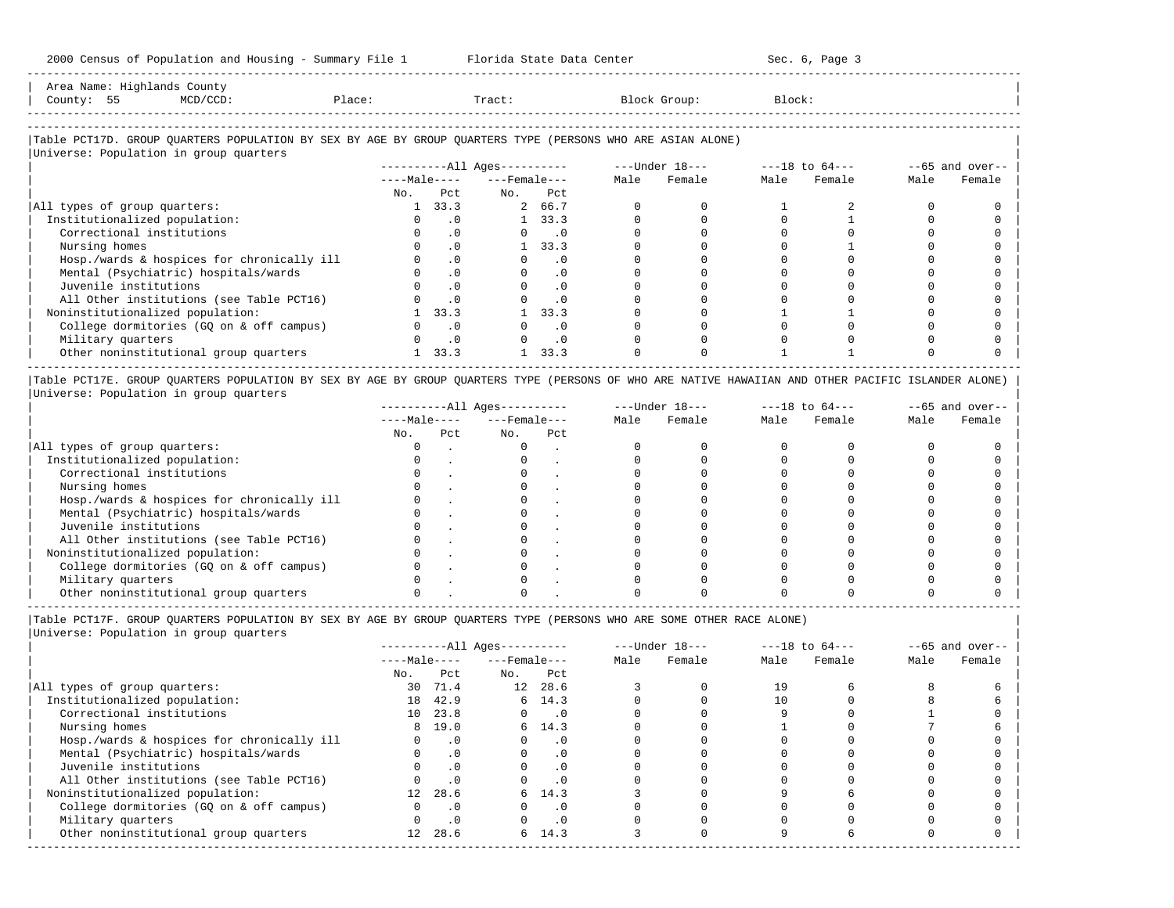| Area Name: Highlands County<br>County: 55 | MCD/CCD: | Place: | Tract: | Block Group:                                                                                               | Block: |  |
|-------------------------------------------|----------|--------|--------|------------------------------------------------------------------------------------------------------------|--------|--|
| Universe: Population in group quarters    |          |        |        | Table PCT17D. GROUP OUARTERS POPULATION BY SEX BY AGE BY GROUP OUARTERS TYPE (PERSONS WHO ARE ASIAN ALONE) |        |  |

-----------------------------------------------------------------------------------------------------------------------------------------------------

|                                            |              |           | $------All Aqes------$ |           |      | $---Under 18---$ |      | $---18$ to $64---$ | $--65$ and over-- |        |
|--------------------------------------------|--------------|-----------|------------------------|-----------|------|------------------|------|--------------------|-------------------|--------|
|                                            | $---Male---$ |           | $---$ Female $---$     |           | Male | Female           | Male | Female             | Male              | Female |
|                                            | No.          | Pct       | No.                    | Pct       |      |                  |      |                    |                   |        |
| All types of group quarters:               |              | 33.3      |                        | 2 66.7    |      |                  |      |                    |                   |        |
| Institutionalized population:              |              |           |                        | 33.3      |      |                  |      |                    |                   |        |
| Correctional institutions                  |              | $\cdot$ 0 |                        | $\cdot$ 0 |      |                  |      |                    |                   |        |
| Nursing homes                              |              | $\cdot$ 0 |                        | 33.3      |      |                  |      |                    |                   |        |
| Hosp./wards & hospices for chronically ill |              |           |                        | . 0       |      |                  |      |                    |                   |        |
| Mental (Psychiatric) hospitals/wards       |              | $\cdot$ 0 |                        | $\cdot$ 0 |      |                  |      |                    |                   |        |
| Juvenile institutions                      |              |           |                        | $\cdot$ 0 |      |                  |      |                    |                   |        |
| All Other institutions (see Table PCT16)   |              |           |                        |           |      |                  |      |                    |                   |        |
| Noninstitutionalized population:           |              | 33.3      |                        | 33.3      |      |                  |      |                    |                   |        |
| College dormitories (GQ on & off campus)   |              | $\cdot$ 0 |                        | . 0       |      |                  |      |                    |                   |        |
| Military quarters                          |              |           |                        | $\cdot$ 0 |      |                  |      |                    |                   |        |
| Other noninstitutional group quarters      |              | 33.3      |                        | 33.3      |      |                  |      |                    |                   |        |
|                                            |              |           |                        |           |      |                  |      |                    |                   |        |

|Table PCT17E. GROUP QUARTERS POPULATION BY SEX BY AGE BY GROUP QUARTERS TYPE (PERSONS OF WHO ARE NATIVE HAWAIIAN AND OTHER PACIFIC ISLANDER ALONE) | |Universe: Population in group quarters |

|                                            |              | $------All Aqes------$ |                    |     |      | $---Under 18---$ | $---18$ to $64---$ |        | $- -65$ and over-- |        |
|--------------------------------------------|--------------|------------------------|--------------------|-----|------|------------------|--------------------|--------|--------------------|--------|
|                                            | $---Male---$ |                        | $---$ Female $---$ |     | Male | Female           | Male               | Female | Male               | Female |
|                                            | No.          | Pct                    | No.                | Pct |      |                  |                    |        |                    |        |
| All types of group quarters:               |              |                        |                    |     |      |                  |                    |        |                    |        |
| Institutionalized population:              |              |                        |                    |     |      |                  |                    |        |                    |        |
| Correctional institutions                  |              |                        |                    |     |      |                  |                    |        |                    |        |
| Nursing homes                              |              |                        |                    |     |      |                  |                    |        |                    |        |
| Hosp./wards & hospices for chronically ill |              |                        |                    |     |      |                  |                    |        |                    |        |
| Mental (Psychiatric) hospitals/wards       |              |                        |                    |     |      |                  |                    |        |                    |        |
| Juvenile institutions                      |              |                        |                    |     |      |                  |                    |        |                    |        |
| All Other institutions (see Table PCT16)   |              |                        |                    |     |      |                  |                    |        |                    |        |
| Noninstitutionalized population:           |              |                        |                    |     |      |                  |                    |        |                    |        |
| College dormitories (GO on & off campus)   |              |                        |                    |     |      |                  |                    |        |                    |        |
| Military quarters                          |              |                        |                    |     |      |                  |                    |        |                    |        |
| Other noninstitutional group quarters      |              |                        |                    |     |      |                  |                    |        |                    |        |

----------------------------------------------------------------------------------------------------------------------------------------------------- |Table PCT17F. GROUP QUARTERS POPULATION BY SEX BY AGE BY GROUP QUARTERS TYPE (PERSONS WHO ARE SOME OTHER RACE ALONE) |

|                                            | $------All Aqes------$ |           |                    |                             | $---Under 18---$ |        | $---18$ to $64---$ |        | $--65$ and over-- |        |
|--------------------------------------------|------------------------|-----------|--------------------|-----------------------------|------------------|--------|--------------------|--------|-------------------|--------|
|                                            | $---Male---$           |           | $---$ Female $---$ |                             | Male             | Female | Male               | Female | Male              | Female |
|                                            | No.                    | Pct       | No.                | Pct                         |                  |        |                    |        |                   |        |
| All types of group quarters:               | 30 ·                   | 71.4      |                    | 12 28.6                     |                  |        | 19                 |        |                   |        |
| Institutionalized population:              | 18                     | 42.9      |                    | 6, 14.3                     |                  |        |                    |        |                   |        |
| Correctional institutions                  |                        | 10 23.8   | $\Omega$           | $\overline{\phantom{0}}$ .0 |                  |        |                    |        |                   |        |
| Nursing homes                              |                        | 8 19.0    |                    | 6, 14.3                     |                  |        |                    |        |                   |        |
| Hosp./wards & hospices for chronically ill |                        | $\cdot$ 0 |                    | $\cdot$ 0                   |                  |        |                    |        |                   |        |
| Mental (Psychiatric) hospitals/wards       | $\Omega$               | $\cdot$ 0 | $\Omega$           | $\cdot$ 0                   |                  |        |                    |        |                   |        |
| Juvenile institutions                      |                        | .0        |                    | $\cdot$ 0                   |                  |        |                    |        |                   |        |
| All Other institutions (see Table PCT16)   |                        | $\cdot$ 0 |                    | .0                          |                  |        |                    |        |                   |        |
| Noninstitutionalized population:           | 12 <sup>1</sup>        | 28.6      |                    | 6, 14.3                     |                  |        |                    |        |                   |        |
| College dormitories (GQ on & off campus)   |                        | $\cdot$ 0 |                    | $\cdot$ 0                   |                  |        |                    |        |                   |        |
| Military quarters                          |                        | $\cdot$ 0 |                    | $\cdot$ 0                   |                  |        |                    |        |                   |        |
| Other noninstitutional group quarters      | 12 <sup>°</sup>        | 28.6      |                    | 6, 14.3                     |                  |        |                    |        |                   |        |
|                                            |                        |           |                    |                             |                  |        |                    |        |                   |        |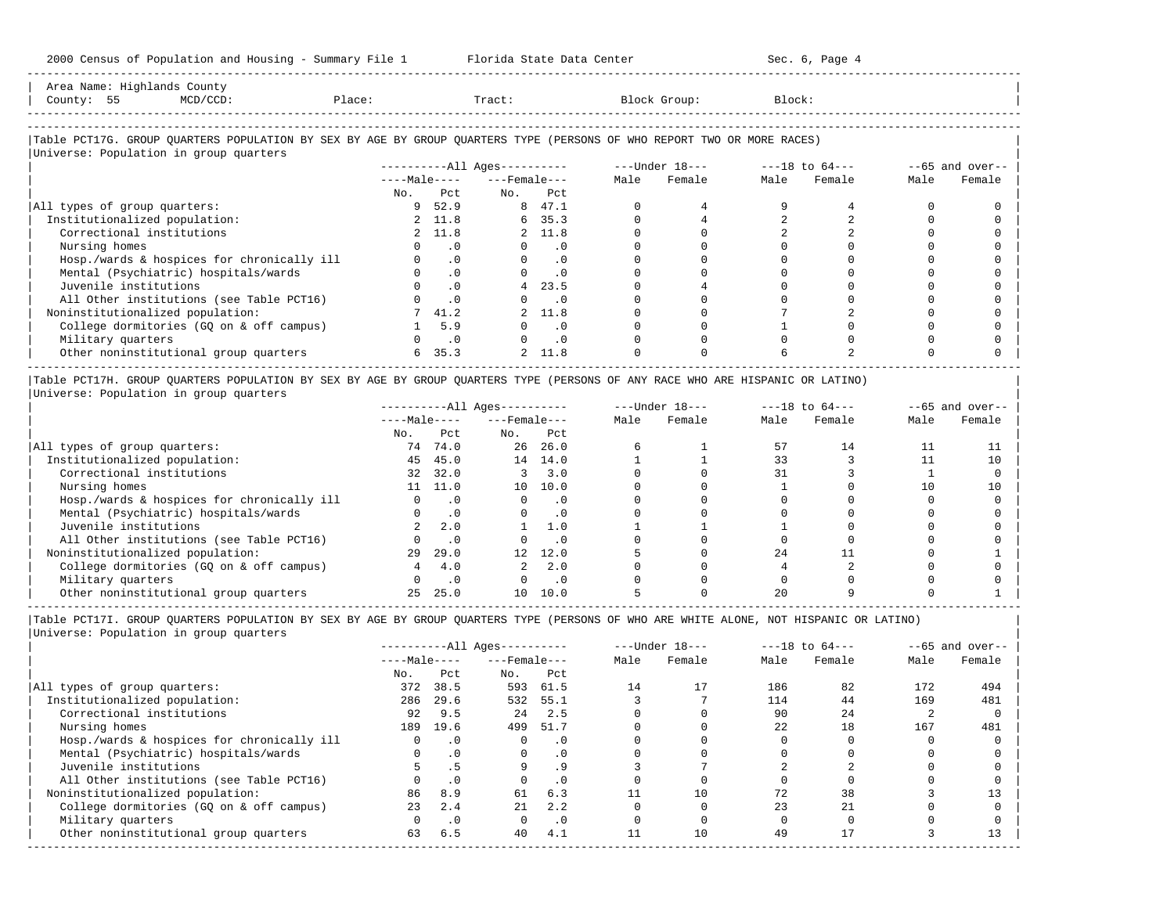| Area Name: Highlands County<br>County: 55<br>$MCD/CCD$ :                                                               | Place: |           |                              | Tract:                      |      | Block Group: |                                | Block: |                   |        |
|------------------------------------------------------------------------------------------------------------------------|--------|-----------|------------------------------|-----------------------------|------|--------------|--------------------------------|--------|-------------------|--------|
| Table PCT17G. GROUP QUARTERS POPULATION BY SEX BY AGE BY GROUP QUARTERS TYPE (PERSONS OF WHO REPORT TWO OR MORE RACES) |        |           |                              |                             |      |              |                                |        |                   |        |
| Universe: Population in group quarters                                                                                 |        |           |                              |                             |      |              |                                |        |                   |        |
|                                                                                                                        |        |           | ----------All Ages---------- |                             |      |              | $---Under 18-- ---18 to 64---$ |        | $--65$ and over-- |        |
|                                                                                                                        |        |           | $---Male-- ---Female---$     |                             | Male | Female       | Male                           | Female | Male              | Female |
|                                                                                                                        |        | No. Pct   | No. Pct                      |                             |      |              |                                |        |                   |        |
| All types of group quarters:                                                                                           |        | 9 52.9    |                              | 8 47.1                      |      |              |                                |        |                   |        |
| Institutionalized population:                                                                                          |        | 2 11.8    |                              | 6 35.3                      |      |              |                                |        |                   |        |
| Correctional institutions                                                                                              |        | 2 11.8    |                              | 2 11.8                      |      |              |                                |        |                   |        |
| Nursing homes                                                                                                          |        | $\cdot$ 0 | $\Omega$                     | $\cdot$ 0                   |      |              |                                |        |                   |        |
| Hosp./wards & hospices for chronically ill                                                                             |        | $\cdot$ 0 |                              | $\Omega$<br>$\cdot$ 0       |      |              |                                |        |                   |        |
| Mental (Psychiatric) hospitals/wards                                                                                   |        | $\cdot$ 0 | $\Omega$                     | $\cdot$ 0                   |      |              |                                |        |                   |        |
| Juvenile institutions                                                                                                  |        | $\cdot$ 0 |                              | 4, 23.5                     |      |              |                                |        |                   |        |
| All Other institutions (see Table PCT16)                                                                               |        | $\cdot$ 0 |                              | $\overline{\phantom{0}}$ .0 |      |              |                                |        |                   |        |
| Noninstitutionalized population:                                                                                       |        | 41.2      |                              | 2 11.8                      |      |              |                                |        |                   |        |
| College dormitories (GQ on & off campus)                                                                               |        | 5.9       | 0                            | $\cdot$ 0                   |      |              |                                |        |                   |        |

| Military quarters 0 .0 0 .0 0 0 0 0 0 0 | | Other noninstitutional group quarters 6 35.3 2 11.8 0 0 6 2 0 0 |

----------------------------------------------------------------------------------------------------------------------------------------------------- |Table PCT17H. GROUP QUARTERS POPULATION BY SEX BY AGE BY GROUP QUARTERS TYPE (PERSONS OF ANY RACE WHO ARE HISPANIC OR LATINO) | |Universe: Population in group quarters |

|                                            | $------All Aqes------$ |           |                  | $---Under 18---$ |      | $---18$ to $64---$ |      | $--65$ and over-- |      |        |
|--------------------------------------------|------------------------|-----------|------------------|------------------|------|--------------------|------|-------------------|------|--------|
|                                            | $---Male---$           |           | $---$ Female --- |                  | Male | Female             | Male | Female            | Male | Female |
|                                            | No.                    | Pct.      | No.              | Pct.             |      |                    |      |                   |      |        |
| All types of group quarters:               |                        | 74 74.0   | 26               | 26.0             |      |                    | 57   | 14                |      |        |
| Institutionalized population:              | 45                     | 45.0      |                  | 14 14.0          |      |                    | 33   |                   |      | 10     |
| Correctional institutions                  | 32                     | 32.0      |                  | 3.0              |      |                    | 31   |                   |      |        |
| Nursing homes                              | 11 -                   | 11.0      | 10 <sup>1</sup>  | 10.0             |      |                    |      |                   | 10   | 10     |
| Hosp./wards & hospices for chronically ill |                        | $\cdot$ 0 |                  | $\cdot$ 0        |      |                    |      |                   |      |        |
| Mental (Psychiatric) hospitals/wards       |                        | $\cdot$ 0 |                  | . 0              |      |                    |      |                   |      |        |
| Juvenile institutions                      |                        | 2.0       |                  | 1.0              |      |                    |      |                   |      |        |
| All Other institutions (see Table PCT16)   |                        | $\cdot$ 0 |                  |                  |      |                    |      |                   |      |        |
| Noninstitutionalized population:           | 29                     | 29.0      | 12 <sup>12</sup> | 12.0             |      |                    | 24   |                   |      |        |
| College dormitories (GO on & off campus)   |                        | 4.0       |                  | 2.0              |      |                    |      |                   |      |        |
| Military quarters                          |                        | $\cdot$ 0 |                  | $\cdot$ 0        |      |                    |      |                   |      |        |
| Other noninstitutional group quarters      |                        | 25.0      | 10               | 10.0             |      |                    |      |                   |      |        |

-----------------------------------------------------------------------------------------------------------------------------------------------------

|Table PCT17I. GROUP QUARTERS POPULATION BY SEX BY AGE BY GROUP QUARTERS TYPE (PERSONS OF WHO ARE WHITE ALONE, NOT HISPANIC OR LATINO) | |Universe: Population in group quarters |

|                                            | $------All Ages------$ |           |                    | $---Under 18---$ |      |        |      | $---18$ to $64---$ | $--65$ and over-- |        |
|--------------------------------------------|------------------------|-----------|--------------------|------------------|------|--------|------|--------------------|-------------------|--------|
|                                            | $---Male---$           |           | $---$ Female $---$ |                  | Male | Female | Male | Female             | Male              | Female |
|                                            | No.                    | Pct       | No.                | Pct              |      |        |      |                    |                   |        |
| All types of group quarters:               | 372                    | 38.5      | 593                | 61.5             | 14   | 17     | 186  | 82                 | 172               | 494    |
| Institutionalized population:              | 286                    | 29.6      | 532                | 55.1             |      |        | 114  | 44                 | 169               | 481    |
| Correctional institutions                  | 92                     | 9.5       | 2.4                | 2.5              |      |        | 90   | 24                 |                   |        |
| Nursing homes                              | 189                    | 19.6      | 499                | 51.7             |      |        | 2.2. | 18                 | 167               | 481    |
| Hosp./wards & hospices for chronically ill | 0                      | $\cdot$ 0 |                    | $\cdot$ 0        |      |        |      |                    |                   |        |
| Mental (Psychiatric) hospitals/wards       |                        | $\cdot$ 0 | $\Omega$           | $\cdot$ 0        |      |        |      |                    |                   |        |
| Juvenile institutions                      |                        |           |                    | . 9              |      |        |      |                    |                   |        |
| All Other institutions (see Table PCT16)   |                        | $\cdot$ 0 |                    | $\cdot$ 0        |      |        |      |                    |                   |        |
| Noninstitutionalized population:           | 86                     | 8.9       | 61                 | 6.3              |      | 10     | 72   | 38                 |                   |        |
| College dormitories (GO on & off campus)   | 23                     | 2.4       | 21                 | 2.2              |      |        | 23   | 2.1                |                   |        |
| Military quarters                          |                        | $\cdot$ 0 |                    | $\cdot$ 0        |      |        |      |                    |                   |        |
| Other noninstitutional group quarters      | 63                     | 6.5       | 40                 | 4.1              |      | 10     | 49   |                    |                   |        |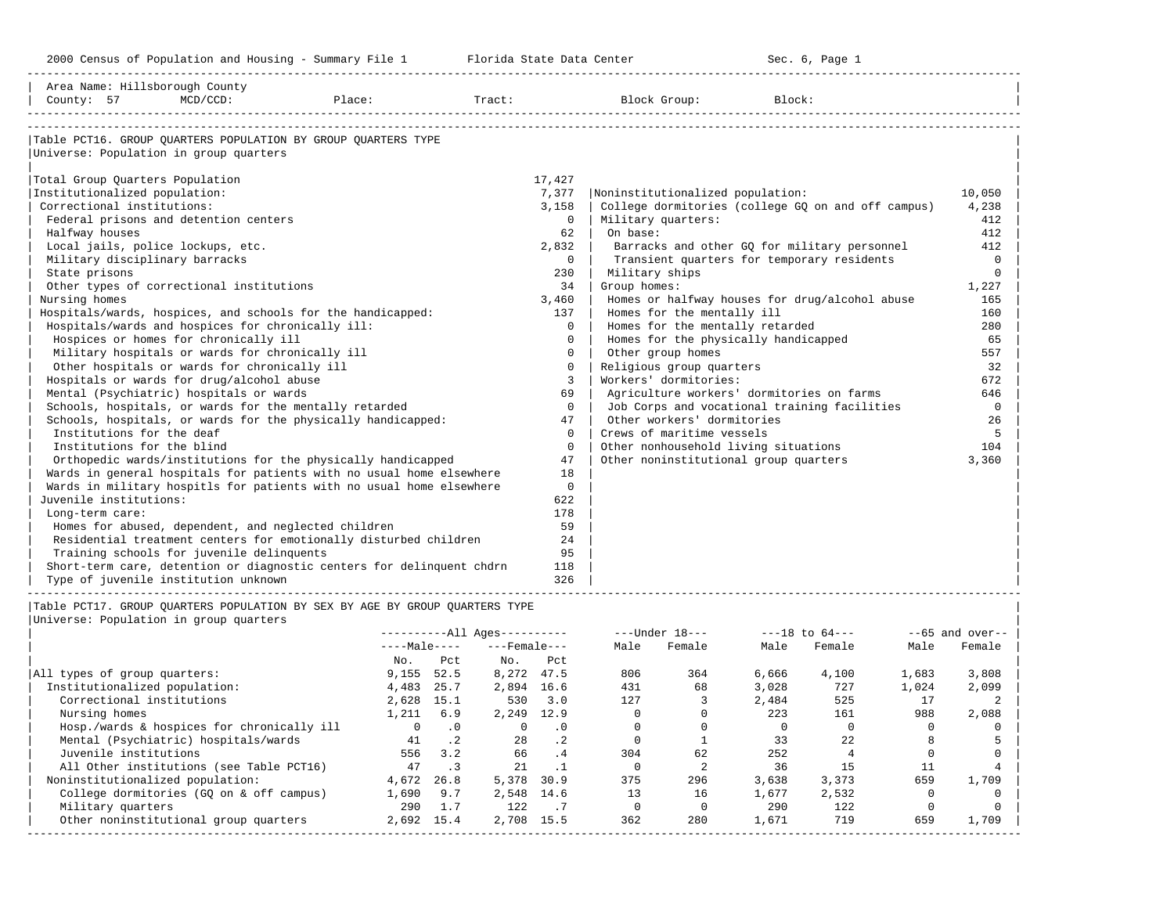-----------------------------------------------------------------------------------------------------------------------------------------------------

| Area Name: Hillsborough County                                              |                   |                  |                                                 |                |                    |                            |                                       |                                                    |             |                   |
|-----------------------------------------------------------------------------|-------------------|------------------|-------------------------------------------------|----------------|--------------------|----------------------------|---------------------------------------|----------------------------------------------------|-------------|-------------------|
| $MCD/CCD$ :<br>County: 57<br>Place:                                         |                   |                  | Tract:                                          |                |                    | Block Group:               | Block:                                |                                                    |             |                   |
|                                                                             |                   |                  |                                                 |                |                    |                            |                                       |                                                    |             |                   |
| Table PCT16. GROUP QUARTERS POPULATION BY GROUP QUARTERS TYPE               |                   |                  |                                                 |                |                    |                            |                                       |                                                    |             |                   |
| Universe: Population in group quarters                                      |                   |                  |                                                 |                |                    |                            |                                       |                                                    |             |                   |
|                                                                             |                   |                  |                                                 | 17,427         |                    |                            |                                       |                                                    |             |                   |
| Total Group Quarters Population<br>Institutionalized population:            |                   |                  |                                                 | 7,377          |                    |                            | Noninstitutionalized population:      |                                                    |             | 10,050            |
| Correctional institutions:                                                  |                   |                  |                                                 | 3,158          |                    |                            |                                       | College dormitories (college GQ on and off campus) |             | 4,238             |
| Federal prisons and detention centers                                       |                   |                  |                                                 | $\Omega$       | Military quarters: |                            |                                       |                                                    |             | 412               |
| Halfway houses                                                              |                   |                  |                                                 | 62             | On base:           |                            |                                       |                                                    |             | 412               |
| Local jails, police lockups, etc.                                           |                   |                  |                                                 | 2,832          |                    |                            |                                       | Barracks and other GQ for military personnel       |             | 412               |
| Military disciplinary barracks                                              |                   |                  |                                                 | $\Omega$       |                    |                            |                                       | Transient quarters for temporary residents         |             | $\Omega$          |
| State prisons                                                               |                   |                  |                                                 | 230            | Military ships     |                            |                                       |                                                    |             | $\mathbf 0$       |
| Other types of correctional institutions                                    |                   |                  |                                                 | 34             | Group homes:       |                            |                                       |                                                    |             | 1,227             |
| Nursing homes                                                               |                   |                  |                                                 | 3,460          |                    |                            |                                       | Homes or halfway houses for drug/alcohol abuse     |             | 165               |
| Hospitals/wards, hospices, and schools for the handicapped:                 |                   |                  |                                                 | 137            |                    | Homes for the mentally ill |                                       |                                                    |             | 160               |
| Hospitals/wards and hospices for chronically ill:                           |                   |                  |                                                 | $\Omega$       |                    |                            | Homes for the mentally retarded       |                                                    |             | 280               |
| Hospices or homes for chronically ill                                       |                   |                  |                                                 | $\Omega$       |                    |                            | Homes for the physically handicapped  |                                                    |             | 65                |
| Military hospitals or wards for chronically ill                             |                   |                  |                                                 | $\mathbf 0$    |                    | Other group homes          |                                       |                                                    |             | 557               |
| Other hospitals or wards for chronically ill                                |                   |                  |                                                 | $\Omega$       |                    | Religious group quarters   |                                       |                                                    |             | 32                |
| Hospitals or wards for drug/alcohol abuse                                   |                   |                  |                                                 | $\overline{3}$ |                    | Workers' dormitories:      |                                       |                                                    |             | 672               |
| Mental (Psychiatric) hospitals or wards                                     |                   |                  |                                                 | 69             |                    |                            |                                       | Agriculture workers' dormitories on farms          |             | 646               |
| Schools, hospitals, or wards for the mentally retarded                      |                   |                  |                                                 | $\Omega$       |                    |                            |                                       | Job Corps and vocational training facilities       |             | $\circ$           |
| Schools, hospitals, or wards for the physically handicapped:                |                   |                  |                                                 | 47             |                    | Other workers' dormitories |                                       |                                                    |             | 26                |
| Institutions for the deaf                                                   |                   |                  |                                                 | $\Omega$       |                    | Crews of maritime vessels  |                                       |                                                    |             | 5                 |
| Institutions for the blind                                                  |                   |                  |                                                 | $\Omega$       |                    |                            | Other nonhousehold living situations  |                                                    |             | 104               |
| Orthopedic wards/institutions for the physically handicapped                |                   |                  |                                                 | 47             |                    |                            | Other noninstitutional group quarters |                                                    |             | 3,360             |
| Wards in general hospitals for patients with no usual home elsewhere        |                   |                  |                                                 | 18             |                    |                            |                                       |                                                    |             |                   |
| Wards in military hospitls for patients with no usual home elsewhere        |                   |                  |                                                 | $\mathbf 0$    |                    |                            |                                       |                                                    |             |                   |
| Juvenile institutions:                                                      |                   |                  |                                                 | 622<br>178     |                    |                            |                                       |                                                    |             |                   |
| Long-term care:<br>Homes for abused, dependent, and neglected children      |                   |                  |                                                 | 59             |                    |                            |                                       |                                                    |             |                   |
| Residential treatment centers for emotionally disturbed children            |                   |                  |                                                 | 24             |                    |                            |                                       |                                                    |             |                   |
| Training schools for juvenile delinquents                                   |                   |                  |                                                 | 95             |                    |                            |                                       |                                                    |             |                   |
| Short-term care, detention or diagnostic centers for delinquent chdrn       |                   |                  |                                                 | 118            |                    |                            |                                       |                                                    |             |                   |
| Type of juvenile institution unknown                                        |                   |                  |                                                 | 326            |                    |                            |                                       |                                                    |             |                   |
| ____________________                                                        |                   |                  |                                                 |                |                    |                            |                                       |                                                    |             |                   |
| Table PCT17. GROUP QUARTERS POPULATION BY SEX BY AGE BY GROUP QUARTERS TYPE |                   |                  |                                                 |                |                    |                            |                                       |                                                    |             |                   |
| Universe: Population in group quarters                                      |                   |                  |                                                 |                |                    |                            |                                       |                                                    |             |                   |
|                                                                             |                   |                  | $------All Ages------$<br>$---Male-- ---Female$ |                |                    | $---Under 18---$<br>Female | Male                                  | $---18$ to $64---$<br>Female                       |             | $--65$ and over-- |
|                                                                             |                   |                  |                                                 |                | Male               |                            |                                       |                                                    | Male        | Female            |
| All types of group quarters:                                                | No.<br>9,155 52.5 | Pct              | No.<br>8,272 47.5                               | Pct            | 806                | 364                        | 6,666                                 | 4,100                                              | 1,683       | 3,808             |
| Institutionalized population:                                               | 4,483 25.7        |                  | 2,894 16.6                                      |                | 431                | 68                         | 3,028                                 | 727                                                | 1,024       | 2,099             |
| Correctional institutions                                                   | 2,628 15.1        |                  |                                                 | 530 3.0        | 127                | $\overline{3}$             | 2,484                                 | 525                                                | 17          | 2                 |
| Nursing homes                                                               | $1,211$ 6.9       |                  | 2,249 12.9                                      |                | $\bigcirc$         | $\Omega$                   | 223                                   | 161                                                | 988         | 2,088             |
| Hosp./wards & hospices for chronically ill                                  | $\mathbf{0}$      | $\overline{0}$ . | $\mathbf{0}$                                    | $\cdot$ 0      | $\mathbf 0$        | $\mathbf 0$                | $\overline{0}$                        | $\Omega$                                           | $\mathbf 0$ | 0                 |
| Mental (Psychiatric) hospitals/wards                                        | 41                | $\cdot$ . 2      | 28                                              | $\cdot$ 2      | $\circ$            | $\mathbf{1}$               | 33                                    | 22                                                 | 8           | 5                 |
| Juvenile institutions                                                       | 556               | 3.2              | 66                                              | .4             | 304                | 62                         | 252                                   | $\overline{4}$                                     | $\Omega$    | $\Omega$          |

| All Other institutions (see Table PCT16) 47 .3 21 .1 0 2 36 15 11 4 | | Noninstitutionalized population: 4,672 26.8 5,378 30.9 375 296 3,638 3,373 659 1,709 | | College dormitories (GQ on & off campus) 1,690 9.7 2,548 14.6 13 16 1,677 2,532 0 0 | | Military quarters 290 1.7 122 .7 0 0 290 122 0 0 | | Other noninstitutional group quarters 2,692 15.4 2,708 15.5 362 280 1,671 719 659 1,709 | -----------------------------------------------------------------------------------------------------------------------------------------------------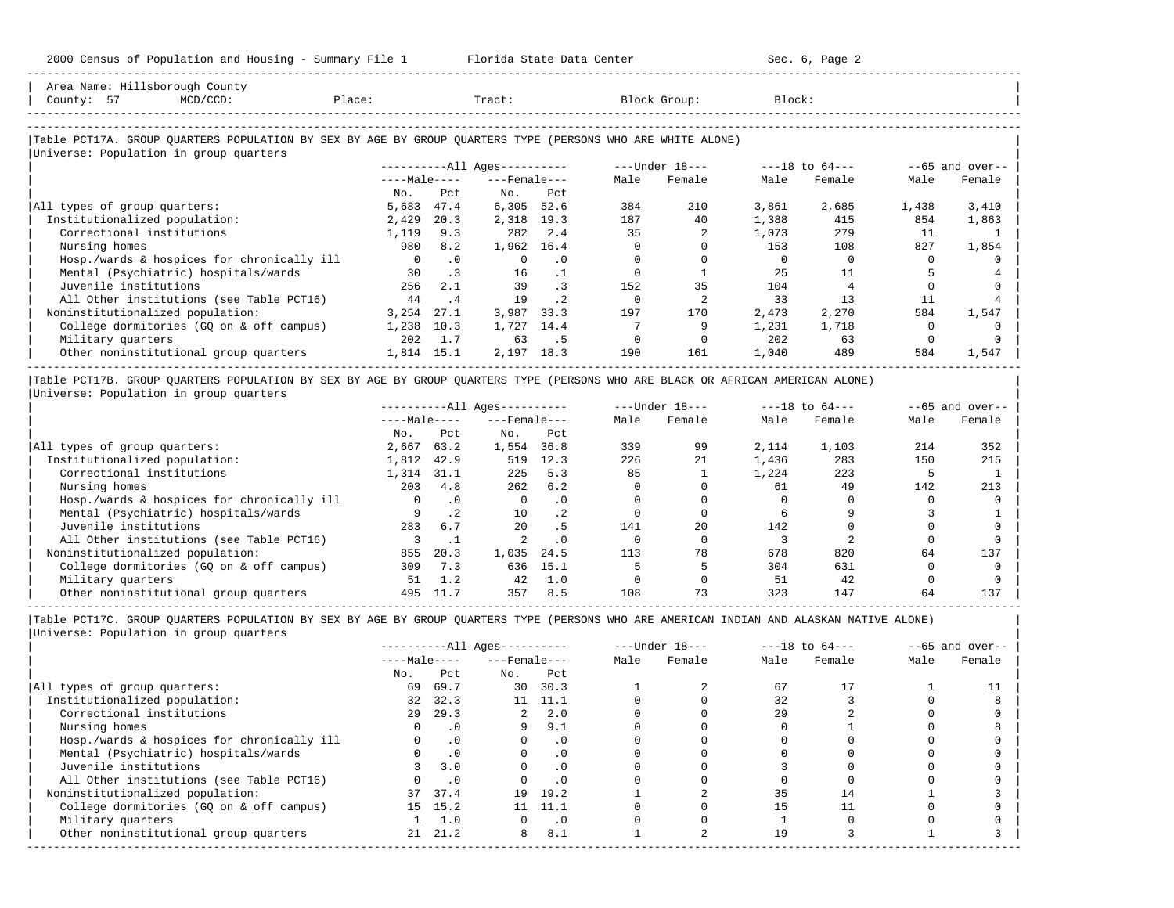| Area Name: Hillsborough County                                                                             |              |           |                        |           |      |                  |        |                    |       |                   |
|------------------------------------------------------------------------------------------------------------|--------------|-----------|------------------------|-----------|------|------------------|--------|--------------------|-------|-------------------|
| County: 57<br>$MCD/CCD$ :                                                                                  | Place:       |           | Tract:                 |           |      | Block Group:     | Block: |                    |       |                   |
|                                                                                                            |              |           |                        |           |      |                  |        |                    |       |                   |
| Table PCT17A. GROUP QUARTERS POPULATION BY SEX BY AGE BY GROUP QUARTERS TYPE (PERSONS WHO ARE WHITE ALONE) |              |           |                        |           |      |                  |        |                    |       |                   |
| Universe: Population in group quarters                                                                     |              |           |                        |           |      |                  |        |                    |       |                   |
|                                                                                                            |              |           | $------All Aqes------$ |           |      | $---Under 18---$ |        | $---18$ to $64---$ |       | $--65$ and over-- |
|                                                                                                            | $---Male---$ |           | $---$ Female $---$     |           | Male | Female           | Male   | Female             | Male  | Female            |
|                                                                                                            | No.          | Pct.      | No.                    | Pct       |      |                  |        |                    |       |                   |
| All types of group quarters:                                                                               | 5,683        | 47.4      | 6,305                  | 52.6      | 384  | 210              | 3,861  | 2,685              | 1,438 | 3,410             |
| Institutionalized population:                                                                              | 2,429        | 20.3      | 2,318                  | 19.3      | 187  | 40               | 1,388  | 415                | 854   | 1,863             |
| Correctional institutions                                                                                  | 1,119        | 9.3       | 282                    | 2.4       | 35   |                  | 1,073  | 279                | 11    |                   |
| Nursing homes                                                                                              | 980          | 8.2       | 1,962                  | 16.4      |      |                  | 153    | 108                | 827   | 1,854             |
| Hosp./wards & hospices for chronically ill                                                                 | $\Omega$     | $\cdot$ 0 |                        | . 0       |      |                  |        |                    |       |                   |
| Mental (Psychiatric) hospitals/wards                                                                       | 30           | $\cdot$ 3 | 16                     |           |      |                  | 2.5    | 11                 |       |                   |
| Juvenile institutions                                                                                      | 256          | 2.1       | 39                     | $\cdot$ 3 | 152  | 35               | 104    |                    |       |                   |
| All Other institutions (see Table PCT16)                                                                   | 44           | . 4       | 19                     | $\cdot$ 2 |      |                  | 33     | 13                 | 11    |                   |
| Noninstitutionalized population:                                                                           | 3,254        | 27.1      | 3,987                  | 33.3      | 197  | 170              | 2,473  | 2,270              | 584   | 1,547             |
| College dormitories (GQ on & off campus)                                                                   | 1,238        | 10.3      | 1,727                  | 14.4      |      |                  | 1,231  | 1,718              |       |                   |
| Military quarters                                                                                          | 202          | 1.7       | 63                     | .5        |      |                  | 202    | 63                 |       |                   |
| Other noninstitutional group quarters                                                                      | 1,814 15.1   |           | 2,197                  | 18.3      | 190  | 161              | 1,040  | 489                | 584   | 1,547             |

|Table PCT17B. GROUP QUARTERS POPULATION BY SEX BY AGE BY GROUP QUARTERS TYPE (PERSONS WHO ARE BLACK OR AFRICAN AMERICAN ALONE) | |Universe: Population in group quarters |

-----------------------------------------------------------------------------------------------------------------------------------------------------

|                                            |              |           | $------All Aqes------$ |           |      | $---Under 18---$ |       | $---18$ to $64---$ |      | $--65$ and over-- |
|--------------------------------------------|--------------|-----------|------------------------|-----------|------|------------------|-------|--------------------|------|-------------------|
|                                            | $---Male---$ |           | $---$ Female $---$     |           | Male | Female           | Male  | Female             | Male | Female            |
|                                            | No.          | Pct       | No.                    | Pct       |      |                  |       |                    |      |                   |
| All types of group quarters:               | 2,667        | 63.2      | 1,554                  | 36.8      | 339  | 99               | 2,114 | 1,103              | 214  | 352               |
| Institutionalized population:              | 1,812        | 42.9      | 519                    | 12.3      | 226  | 21               | 1,436 | 283                | 150  | 215               |
| Correctional institutions                  | 1,314        | 31.1      | 225                    | 5.3       | 85   |                  | 1,224 | 223                |      |                   |
| Nursing homes                              | 203          | 4.8       | 262                    | 6.2       |      |                  | 61    | 49                 | 142  | 213               |
| Hosp./wards & hospices for chronically ill |              | $\cdot$ 0 | $\mathbf{0}$           | $\cdot$ 0 |      |                  |       |                    |      |                   |
| Mental (Psychiatric) hospitals/wards       |              | . 2       | 10                     | $\cdot$ 2 |      |                  |       |                    |      |                   |
| Juvenile institutions                      | 283          | 6.7       | 20                     | . 5       | 141  | 20               | 142   |                    |      |                   |
| All Other institutions (see Table PCT16)   |              |           |                        | $\cdot$ 0 |      |                  |       |                    |      |                   |
| Noninstitutionalized population:           | 855          | 20.3      | 1,035                  | 24.5      | 113  | 78               | 678   | 820                | 64   | 137               |
| College dormitories (GO on & off campus)   | 309          | 7.3       | 636                    | 15.1      |      |                  | 304   | 631                |      |                   |
| Military quarters                          | 51           |           | 42                     | 1.0       |      |                  | 51    | 42                 |      |                   |
| Other noninstitutional group quarters      | 495          |           | 357                    | 8.5       | 108  | 73               | 323   | 147                | 64   | 137               |

-----------------------------------------------------------------------------------------------------------------------------------------------------

|                                            |              |           | $------All Ages------$ |           |      | $---Under 18---$ |      | $---18$ to $64---$ |      | $--65$ and over-- |
|--------------------------------------------|--------------|-----------|------------------------|-----------|------|------------------|------|--------------------|------|-------------------|
|                                            | $---Male---$ |           | $---$ Female $---$     |           | Male | Female           | Male | Female             | Male | Female            |
|                                            | No.          | Pct       | No.                    | Pct       |      |                  |      |                    |      |                   |
| All types of group quarters:               | 69           | 69.7      | 30                     | 30.3      |      |                  | 67   |                    |      |                   |
| Institutionalized population:              | 32           | 32.3      | 11                     | 11.1      |      |                  | 32   |                    |      |                   |
| Correctional institutions                  | 29           | 29.3      | 2                      | 2.0       |      |                  | 29   |                    |      |                   |
| Nursing homes                              |              | $\cdot$ 0 | 9                      | 9.1       |      |                  |      |                    |      |                   |
| Hosp./wards & hospices for chronically ill |              | $\cdot$ 0 |                        | . 0       |      |                  |      |                    |      |                   |
| Mental (Psychiatric) hospitals/wards       |              | $\cdot$ 0 |                        | $\cdot$ 0 |      |                  |      |                    |      |                   |
| Juvenile institutions                      |              | 3.0       |                        | $\cdot$ 0 |      |                  |      |                    |      |                   |
| All Other institutions (see Table PCT16)   |              | $\cdot$ 0 |                        |           |      |                  |      |                    |      |                   |
| Noninstitutionalized population:           |              | 37 37.4   | 19                     | 19.2      |      |                  | 35   | 14                 |      |                   |
| College dormitories (GO on & off campus)   |              | 15 15.2   |                        | 11.1      |      |                  |      |                    |      |                   |
| Military quarters                          |              | 1.0       |                        | $\cdot$ 0 |      |                  |      |                    |      |                   |
| Other noninstitutional group quarters      | 21           | 21.2      | 8                      | 8.1       |      |                  | 19   |                    |      |                   |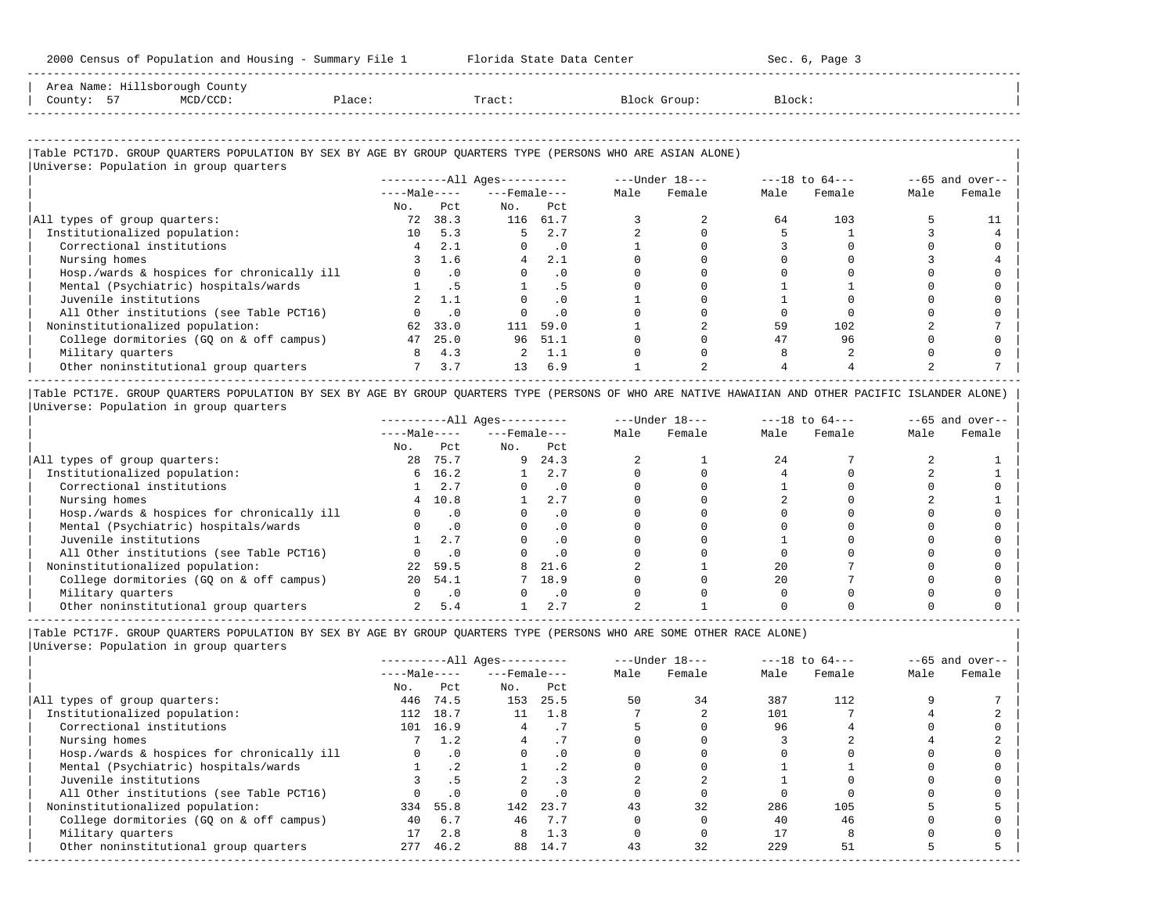|                                | 2000 Census of Population and Housing - Summary File 1 |        | Florida State Data Center |              | Sec. 6, Page 3 |
|--------------------------------|--------------------------------------------------------|--------|---------------------------|--------------|----------------|
| Area Name: Hillsborough County |                                                        |        |                           |              |                |
| County: 57                     | $MCD/CCD$ :                                            | Place: | Tract:                    | Block Group: | Block:         |

-----------------------------------------------------------------------------------------------------------------------------------------------------

| Universe: Population in group quarters     |                |                             | ----------All Ages---------- |                | $---Under 18-- ---18 to 64---$ |      |        |      | $--65$ and over-- |
|--------------------------------------------|----------------|-----------------------------|------------------------------|----------------|--------------------------------|------|--------|------|-------------------|
|                                            |                |                             | $---Male-- ---Female$        |                | Male Female                    | Male | Female | Male | Female            |
|                                            | No.            | Pct.                        | No.                          | Pct.           |                                |      |        |      |                   |
| All types of group quarters:               | 72             | 38.3                        |                              | 116 61.7       |                                | 64   | 103    |      |                   |
| Institutionalized population:              | 10             | 5.3                         | 5                            | 2.7            |                                |      |        |      |                   |
| Correctional institutions                  | 4              | 2.1                         | $\Omega$                     | $\overline{0}$ |                                |      |        |      |                   |
| Nursing homes                              | 3              | 1.6                         | 4                            | 2.1            |                                |      |        |      |                   |
| Hosp./wards & hospices for chronically ill | $\overline{0}$ | $\cdot$ 0                   | $\Omega$                     | $\cdot$ 0      |                                |      |        |      |                   |
| Mental (Psychiatric) hospitals/wards       |                | 1.5                         |                              | . 5            |                                |      |        |      |                   |
| Juvenile institutions                      |                | 2, 1.1                      | $\Omega$                     | .0             |                                |      |        |      |                   |
| All Other institutions (see Table PCT16)   |                | $\overline{\phantom{0}}$ .0 |                              | .0             |                                |      |        |      |                   |
| Noninstitutionalized population:           |                | 62 33.0                     | 111                          | 59.0           |                                | 59   | 102    |      |                   |
| College dormitories (GQ on & off campus)   | 47             | 25.0                        |                              | 96 51.1        |                                |      | 96     |      |                   |
| Military quarters                          | 8              | 4.3                         |                              | 2, 1.1         |                                |      |        |      |                   |
| Other noninstitutional group quarters      |                | $7 \quad 3.7$               | 13                           | 6.9            |                                |      |        |      |                   |

|Table PCT17E. GROUP QUARTERS POPULATION BY SEX BY AGE BY GROUP QUARTERS TYPE (PERSONS OF WHO ARE NATIVE HAWAIIAN AND OTHER PACIFIC ISLANDER ALONE) | |Universe: Population in group quarters |

|                                            |              |           | $------All Ages------$ |           |      | $---Under 18---$ |      | $---18$ to $64---$ |      | $--65$ and over-- |
|--------------------------------------------|--------------|-----------|------------------------|-----------|------|------------------|------|--------------------|------|-------------------|
|                                            | $---Male---$ |           | $---$ Female $---$     |           | Male | Female           | Male | Female             | Male | Female            |
|                                            | No.          | Pct       | No.                    | Pct       |      |                  |      |                    |      |                   |
| All types of group quarters:               | 28           | 75.7      | 9                      | 24.3      |      |                  | 24   |                    |      |                   |
| Institutionalized population:              |              | 6, 16.2   |                        | 2.7       |      |                  |      |                    |      |                   |
| Correctional institutions                  |              | 2.7       |                        | $\cdot$ 0 |      |                  |      |                    |      |                   |
| Nursing homes                              | 4            | 10.8      |                        | 2.7       |      |                  |      |                    |      |                   |
| Hosp./wards & hospices for chronically ill |              | $\cdot$ 0 |                        | . 0       |      |                  |      |                    |      |                   |
| Mental (Psychiatric) hospitals/wards       |              | $\cdot$ 0 |                        | . 0       |      |                  |      |                    |      |                   |
| Juvenile institutions                      |              | 2.7       |                        | $\cdot$ 0 |      |                  |      |                    |      |                   |
| All Other institutions (see Table PCT16)   |              | $\cdot$ 0 |                        |           |      |                  |      |                    |      |                   |
| Noninstitutionalized population:           | 22           | 59.5      | 8                      | 21.6      |      |                  | 20   |                    |      |                   |
| College dormitories (GQ on & off campus)   | 20           | 54.1      |                        | 18.9      |      |                  | 2.0  |                    |      |                   |
| Military quarters                          |              | $\cdot$ 0 |                        | $\cdot$ 0 |      |                  |      |                    |      |                   |
| Other noninstitutional group quarters      |              | 5.4       |                        | 2.7       |      |                  |      |                    |      |                   |

|Table PCT17F. GROUP QUARTERS POPULATION BY SEX BY AGE BY GROUP QUARTERS TYPE (PERSONS WHO ARE SOME OTHER RACE ALONE) |

|                                            |              |           | $------All Aqes------$ |      |      | $---Under 18---$ |      | $---18$ to $64---$ |      | $--65$ and over-- |
|--------------------------------------------|--------------|-----------|------------------------|------|------|------------------|------|--------------------|------|-------------------|
|                                            | $---Male---$ |           | $---$ Female $---$     |      | Male | Female           | Male | Female             | Male | Female            |
|                                            | No.          | Pct       | No.                    | Pct  |      |                  |      |                    |      |                   |
| All types of group quarters:               | 446          | 74.5      | 153                    | 25.5 | 50   | 34               | 387  | 112                |      |                   |
| Institutionalized population:              | 112          | 18.7      | 11                     | 1.8  |      |                  | 101  |                    |      |                   |
| Correctional institutions                  | 101          | 16.9      |                        |      |      |                  | 96   |                    |      |                   |
| Nursing homes                              |              | 1.2       |                        |      |      |                  |      |                    |      |                   |
| Hosp./wards & hospices for chronically ill |              | $\Omega$  |                        | . 0  |      |                  |      |                    |      |                   |
| Mental (Psychiatric) hospitals/wards       |              |           |                        | . .  |      |                  |      |                    |      |                   |
| Juvenile institutions                      |              |           |                        | . 3  |      |                  |      |                    |      |                   |
| All Other institutions (see Table PCT16)   |              | $\cdot$ 0 |                        | . 0  |      |                  |      |                    |      |                   |
| Noninstitutionalized population:           | 334          | 55.8      | 142                    | 23.7 | 43   | 32               | 286  | 105                |      |                   |
| College dormitories (GQ on & off campus)   | 40           | 6.7       | 46                     | 7.7  |      |                  | 40   | 46                 |      |                   |
| Military quarters                          |              | 2.8       |                        | 1.3  |      |                  |      |                    |      |                   |
| Other noninstitutional group quarters      | 277          | 46.2      | 88                     | 14.7 | 43   | 32               | 229  | 51                 |      |                   |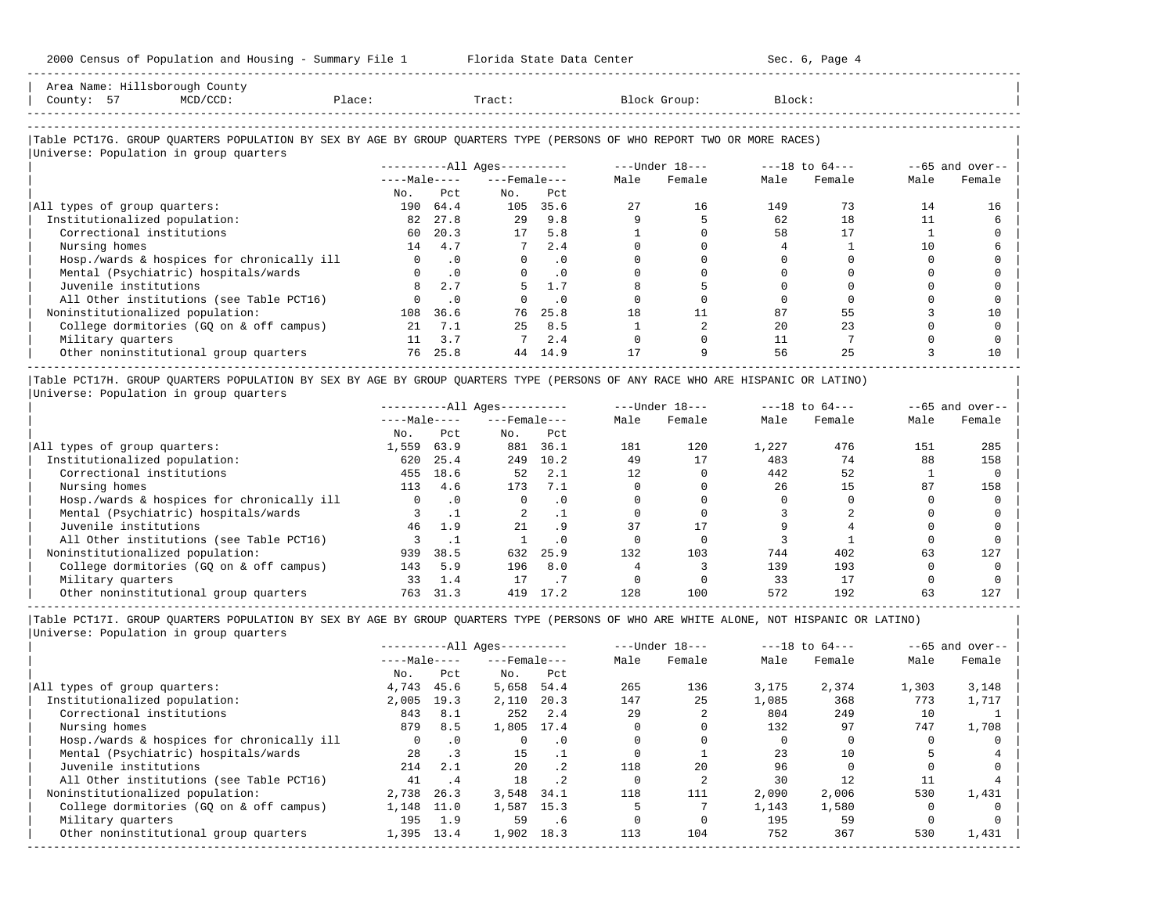-----------------------------------------------------------------------------------------------------------------------------------------------------

| Area Name: Hillsborough County                                                                                         |              |           |                        |           |      |                |        |                |      |                   |
|------------------------------------------------------------------------------------------------------------------------|--------------|-----------|------------------------|-----------|------|----------------|--------|----------------|------|-------------------|
| County: 57<br>MCD/CCD:                                                                                                 | Place:       |           | Tract:                 |           |      | Block Group:   | Block: |                |      |                   |
|                                                                                                                        |              |           |                        |           |      |                |        |                |      |                   |
| Table PCT17G. GROUP QUARTERS POPULATION BY SEX BY AGE BY GROUP QUARTERS TYPE (PERSONS OF WHO REPORT TWO OR MORE RACES) |              |           |                        |           |      |                |        |                |      |                   |
| Universe: Population in group quarters                                                                                 |              |           |                        |           |      |                |        |                |      |                   |
|                                                                                                                        |              |           | $------All Aqes------$ |           |      | ---Under 18--- |        | ---18 to 64--- |      | $--65$ and over-- |
|                                                                                                                        | $---Male---$ |           | $---$ Female $---$     |           | Male | Female         | Male   | Female         | Male | Female            |
|                                                                                                                        | No.          | Pct       | No.                    | Pct       |      |                |        |                |      |                   |
| All types of group quarters:                                                                                           | 190          | 64.4      | 105                    | 35.6      | 27   | 16             | 149    | 73             | 14   | 16                |
| Institutionalized population:                                                                                          | 82           | 27.8      | 2.9                    | 9.8       |      |                | 62     | 18             | 11   |                   |
| Correctional institutions                                                                                              | 60           | 20.3      | 17                     | 5.8       |      |                | 58     | 17             |      |                   |
| Nursing homes                                                                                                          | 14           | 4.7       |                        | 2.4       |      |                |        |                | 10   |                   |
| Hosp./wards & hospices for chronically ill                                                                             | $\mathbf{0}$ | $\cdot$ 0 | $\mathbf{0}$           | $\cdot$ 0 |      |                |        |                |      |                   |
| Mental (Psychiatric) hospitals/wards                                                                                   |              | $\cdot$ 0 | $\Omega$               | $\cdot$ 0 |      |                |        |                |      |                   |
| Juvenile institutions                                                                                                  |              | 2.7       |                        | 1.7       |      |                |        |                |      |                   |
| All Other institutions (see Table PCT16)                                                                               |              | $\cdot$ 0 |                        | $\cdot$ 0 |      |                |        |                |      |                   |
| Noninstitutionalized population:                                                                                       | 108          | 36.6      | 76                     | 25.8      | 18   | 11             | 87     | 55             |      | 10                |
| College dormitories (GQ on & off campus)                                                                               | 21           | 7.1       | 2.5                    | 8.5       |      |                | 2.0    | 23             |      |                   |
| Military quarters                                                                                                      | 11           | 3.7       |                        | 2.4       |      |                | 11     |                |      |                   |
| Other noninstitutional group quarters                                                                                  | 76           | 25.8      | 44                     | 14.9      |      |                | 56     | 25             |      | 10                |

|Table PCT17H. GROUP QUARTERS POPULATION BY SEX BY AGE BY GROUP QUARTERS TYPE (PERSONS OF ANY RACE WHO ARE HISPANIC OR LATINO) | |Universe: Population in group quarters |

|                                            |              |           | $------All Aqes------$ |           |      | $---Under 18---$ |       | $---18$ to $64---$ |      | $--65$ and over-- |
|--------------------------------------------|--------------|-----------|------------------------|-----------|------|------------------|-------|--------------------|------|-------------------|
|                                            | $---Male---$ |           | $---$ Female $---$     |           | Male | Female           | Male  | Female             | Male | Female            |
|                                            | No.          | Pct       | No.                    | Pct       |      |                  |       |                    |      |                   |
| All types of group quarters:               | 1,559        | 63.9      | 881                    | 36.1      | 181  | 120              | 1,227 | 476                | 151  | 285               |
| Institutionalized population:              | 620          | 25.4      | 249                    | 10.2      | 49   | 17               | 483   | 74                 | 88   | 158               |
| Correctional institutions                  | 455          | 18.6      | 52                     | 2.1       |      |                  | 442   | 52                 |      |                   |
| Nursing homes                              | 113          | 4.6       | 173                    | 7.1       |      |                  | 26    | 15                 | 87   | 158               |
| Hosp./wards & hospices for chronically ill | 0            | $\cdot$ 0 |                        | $\cdot$ 0 |      |                  |       |                    |      |                   |
| Mental (Psychiatric) hospitals/wards       |              |           | 2                      |           |      |                  |       |                    |      |                   |
| Juvenile institutions                      | 46           | 1.9       | 21                     | . 9       |      | 17               |       |                    |      |                   |
| All Other institutions (see Table PCT16)   |              |           |                        | .0        |      |                  |       |                    |      |                   |
| Noninstitutionalized population:           | 939          | 38.5      | 632                    | 25.9      | 132  | 103              | 744   | 402                | 63   | 127               |
| College dormitories (GQ on & off campus)   | 143          | 5.9       | 196                    | 8.0       |      |                  | 139   | 193                |      |                   |
| Military quarters                          | 33           | 1.4       |                        |           |      |                  | 33    |                    |      |                   |
| Other noninstitutional group quarters      | 763          | 31.3      | 419                    | 17.2      | 128  | 100              | 572   | 192                | 63   | 127               |

-----------------------------------------------------------------------------------------------------------------------------------------------------

|Table PCT17I. GROUP QUARTERS POPULATION BY SEX BY AGE BY GROUP QUARTERS TYPE (PERSONS OF WHO ARE WHITE ALONE, NOT HISPANIC OR LATINO) | |Universe: Population in group quarters |

|          |      |              |           |                                                              |        |                  |        |                    | $--65$ and over-- |
|----------|------|--------------|-----------|--------------------------------------------------------------|--------|------------------|--------|--------------------|-------------------|
|          |      |              |           | Male                                                         | Female | Male             | Female | Male               | Female            |
| No.      | Pct  | No.          | Pct       |                                                              |        |                  |        |                    |                   |
| 4,743    | 45.6 | 5,658        | 54.4      | 265                                                          | 136    | 3,175            | 2,374  | 1,303              | 3,148             |
| 2,005    | 19.3 | 2,110        | 20.3      | 147                                                          | 25     | 1,085            | 368    | 773                | 1,717             |
| 843      | 8.1  | 252          | 2.4       | 29                                                           |        | 804              | 249    | 10                 |                   |
| 879      | 8.5  | 1,805        |           |                                                              |        | 132              | 97     | 747                | 1,708             |
| $\Omega$ | .0   |              | $\cdot$ 0 |                                                              |        |                  |        |                    |                   |
| 2.8      |      | 15           |           |                                                              |        | 23               | 10     |                    |                   |
| 214      | 2.1  | 2.0          | .2        | 118                                                          | 2.0    | 96               |        |                    |                   |
| 41       | . 4  | 18           | $\cdot$ 2 |                                                              |        | 30               | 12     |                    |                   |
| 2,738    | 26.3 | 3,548        | 34.1      | 118                                                          | 111    | 2,090            | 2,006  | 530                | 1,431             |
| 1,148    | 11.0 | 1,587        |           |                                                              |        | 1,143            | 1,580  |                    |                   |
| 195      | 1.9  | 59           | .6        |                                                              |        | 195              | 59     |                    |                   |
| 1,395    | 13.4 | 1,902        | 18.3      | 113                                                          | 104    | 752              | 367    | 530                | 1,431             |
|          |      | $---Male---$ |           | $------All Aqes------$<br>$---$ Female $---$<br>17.4<br>15.3 |        | $---Under 18---$ |        | $---18$ to $64---$ |                   |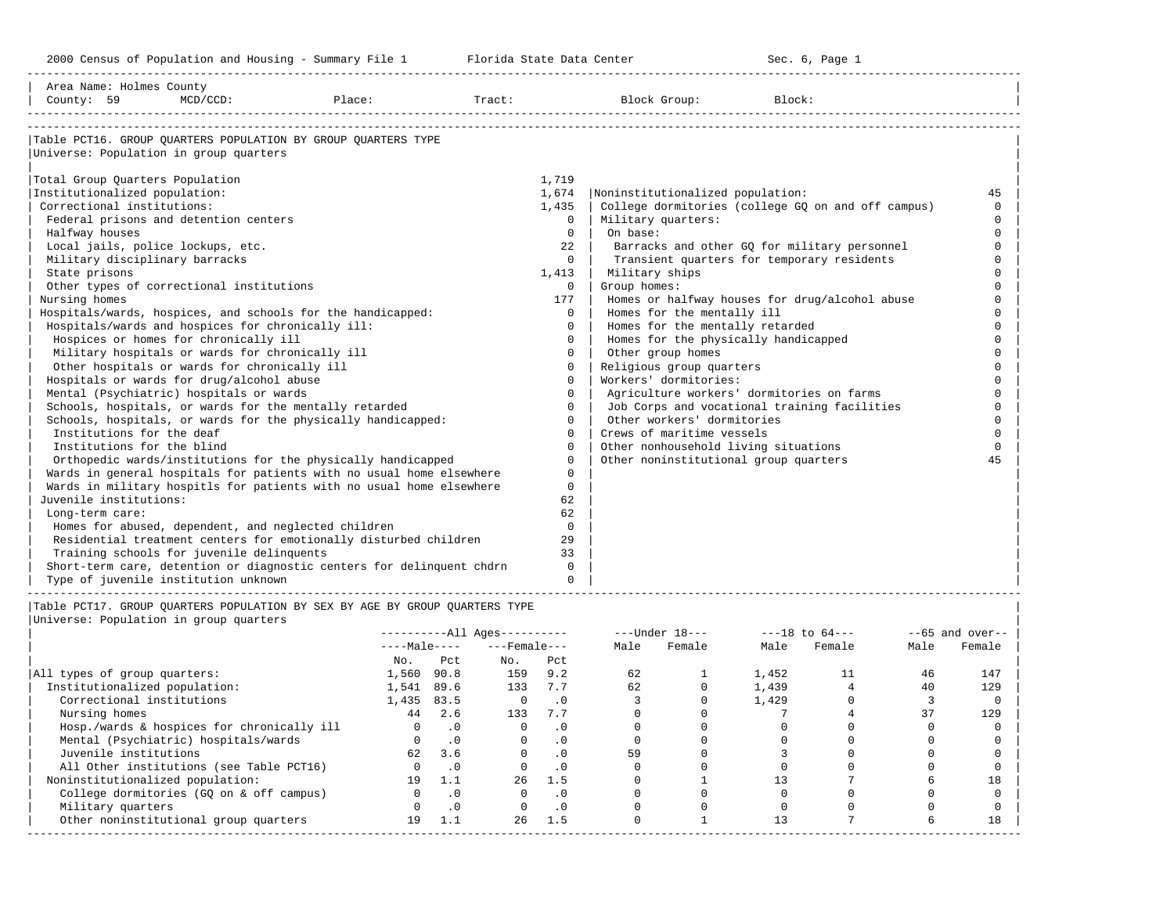-----------------------------------------------------------------------------------------------------------------------------------------------------

| Area Name: Holmes County<br>County: 59                 | $MCD/CCD$ : | Place:                                                                | Tract: |          | Block Group:                              | Block:                                             |          |
|--------------------------------------------------------|-------------|-----------------------------------------------------------------------|--------|----------|-------------------------------------------|----------------------------------------------------|----------|
|                                                        |             |                                                                       |        |          |                                           |                                                    |          |
|                                                        |             | Table PCT16. GROUP OUARTERS POPULATION BY GROUP OUARTERS TYPE         |        |          |                                           |                                                    |          |
| Universe: Population in group quarters                 |             |                                                                       |        |          |                                           |                                                    |          |
| Total Group Quarters Population                        |             |                                                                       |        | 1,719    |                                           |                                                    |          |
| Institutionalized population:                          |             |                                                                       |        | 1,674    | Noninstitutionalized population:          |                                                    | 45       |
| Correctional institutions:                             |             |                                                                       |        | 1,435    |                                           | College dormitories (college GQ on and off campus) | $\Omega$ |
| Federal prisons and detention centers                  |             |                                                                       |        | $\Omega$ | Military quarters:                        |                                                    | $\Omega$ |
| Halfway houses                                         |             |                                                                       |        | $\Omega$ | On base:                                  |                                                    |          |
| Local jails, police lockups, etc.                      |             |                                                                       |        | 22       |                                           | Barracks and other GQ for military personnel       |          |
| Military disciplinary barracks                         |             |                                                                       |        | $\Omega$ |                                           | Transient quarters for temporary residents         |          |
| State prisons                                          |             |                                                                       |        | 1,413    | Military ships                            |                                                    |          |
| Other types of correctional institutions               |             |                                                                       |        | $\Omega$ | Group homes:                              |                                                    |          |
| Nursing homes                                          |             |                                                                       |        | 177      |                                           | Homes or halfway houses for drug/alcohol abuse     |          |
|                                                        |             | Hospitals/wards, hospices, and schools for the handicapped:           |        | $\Omega$ | Homes for the mentally ill                |                                                    |          |
| Hospitals/wards and hospices for chronically ill:      |             |                                                                       |        | $\Omega$ | Homes for the mentally retarded           |                                                    |          |
| Hospices or homes for chronically ill                  |             |                                                                       |        | $\Omega$ | Homes for the physically handicapped      |                                                    |          |
| Military hospitals or wards for chronically ill        |             |                                                                       |        | $\Omega$ | Other group homes                         |                                                    |          |
| Other hospitals or wards for chronically ill           |             |                                                                       |        | $\Omega$ | Religious group quarters                  |                                                    |          |
| Hospitals or wards for drug/alcohol abuse              |             |                                                                       |        | $\Omega$ | Workers' dormitories:                     |                                                    |          |
| Mental (Psychiatric) hospitals or wards                |             |                                                                       |        | $\Omega$ | Agriculture workers' dormitories on farms |                                                    |          |
| Schools, hospitals, or wards for the mentally retarded |             |                                                                       |        | $\Omega$ |                                           | Job Corps and vocational training facilities       |          |
|                                                        |             | Schools, hospitals, or wards for the physically handicapped:          |        | $\Omega$ | Other workers' dormitories                |                                                    |          |
| Institutions for the deaf                              |             |                                                                       |        | $\Omega$ | Crews of maritime vessels                 |                                                    | $\cap$   |
| Institutions for the blind                             |             |                                                                       |        | $\Omega$ | Other nonhousehold living situations      |                                                    | $\cap$   |
|                                                        |             | Orthopedic wards/institutions for the physically handicapped          |        | $\Omega$ | Other noninstitutional group quarters     |                                                    | 45       |
|                                                        |             | Wards in general hospitals for patients with no usual home elsewhere  |        | $\Omega$ |                                           |                                                    |          |
|                                                        |             | Wards in military hospitls for patients with no usual home elsewhere  |        | $\Omega$ |                                           |                                                    |          |
| Juvenile institutions:                                 |             |                                                                       |        | 62       |                                           |                                                    |          |
| Long-term care:                                        |             |                                                                       |        | 62       |                                           |                                                    |          |
| Homes for abused, dependent, and neglected children    |             |                                                                       |        | $\Omega$ |                                           |                                                    |          |
|                                                        |             | Residential treatment centers for emotionally disturbed children      |        | 29       |                                           |                                                    |          |
| Training schools for juvenile delinquents              |             |                                                                       |        | 33       |                                           |                                                    |          |
|                                                        |             | Short-term care, detention or diagnostic centers for delinquent chdrn |        | $\Omega$ |                                           |                                                    |          |
| Type of juvenile institution unknown                   |             |                                                                       |        | $\Omega$ |                                           |                                                    |          |
|                                                        |             |                                                                       |        |          |                                           |                                                    |          |

|Table PCT17. GROUP QUARTERS POPULATION BY SEX BY AGE BY GROUP QUARTERS TYPE | |Universe: Population in group quarters |

|                                            |              | $------All Ages-.$ |                    |           |      | $---Under 18---$ |       | $---18$ to $64---$ |      | $--65$ and over-- |
|--------------------------------------------|--------------|--------------------|--------------------|-----------|------|------------------|-------|--------------------|------|-------------------|
|                                            | $---Male---$ |                    | $---$ Female $---$ |           | Male | Female           | Male  | Female             | Male | Female            |
|                                            | No.          | Pct.               | No.                | Pct       |      |                  |       |                    |      |                   |
| All types of group quarters:               | 1,560        | 90.8               | 159                | 9.2       | 62   |                  | 1,452 |                    | 46   | 147               |
| Institutionalized population:              | 1,541        | 89.6               | 133                | 7.7       | 62   |                  | 1,439 |                    | 40   | 129               |
| Correctional institutions                  | 1,435        | 83.5               |                    | $\cdot$ 0 |      |                  | 1,429 |                    |      |                   |
| Nursing homes                              | 44           | 2.6                | 133                | 7.7       |      |                  |       |                    | 37   | 129               |
| Hosp./wards & hospices for chronically ill |              | $\cdot$ 0          |                    | . 0       |      |                  |       |                    |      |                   |
| Mental (Psychiatric) hospitals/wards       |              | $\cdot$ 0          |                    | $\cdot$ 0 |      |                  |       |                    |      |                   |
| Juvenile institutions                      | 62           | 3.6                |                    | $\cdot$ 0 | 59   |                  |       |                    |      |                   |
| All Other institutions (see Table PCT16)   |              | $\cdot$ 0          |                    | . 0       |      |                  |       |                    |      |                   |
| Noninstitutionalized population:           | 19           | 1.1                | 26                 | 1.5       |      |                  |       |                    |      | 18                |
| College dormitories (GO on & off campus)   |              | $\cdot$ 0          |                    | . 0       |      |                  |       |                    |      |                   |
| Military quarters                          |              | $\cdot$ 0          |                    | $\cdot$ 0 |      |                  |       |                    |      |                   |
| Other noninstitutional group quarters      | 19           | 1.1                | 26                 | 1.5       |      |                  |       |                    |      | 18                |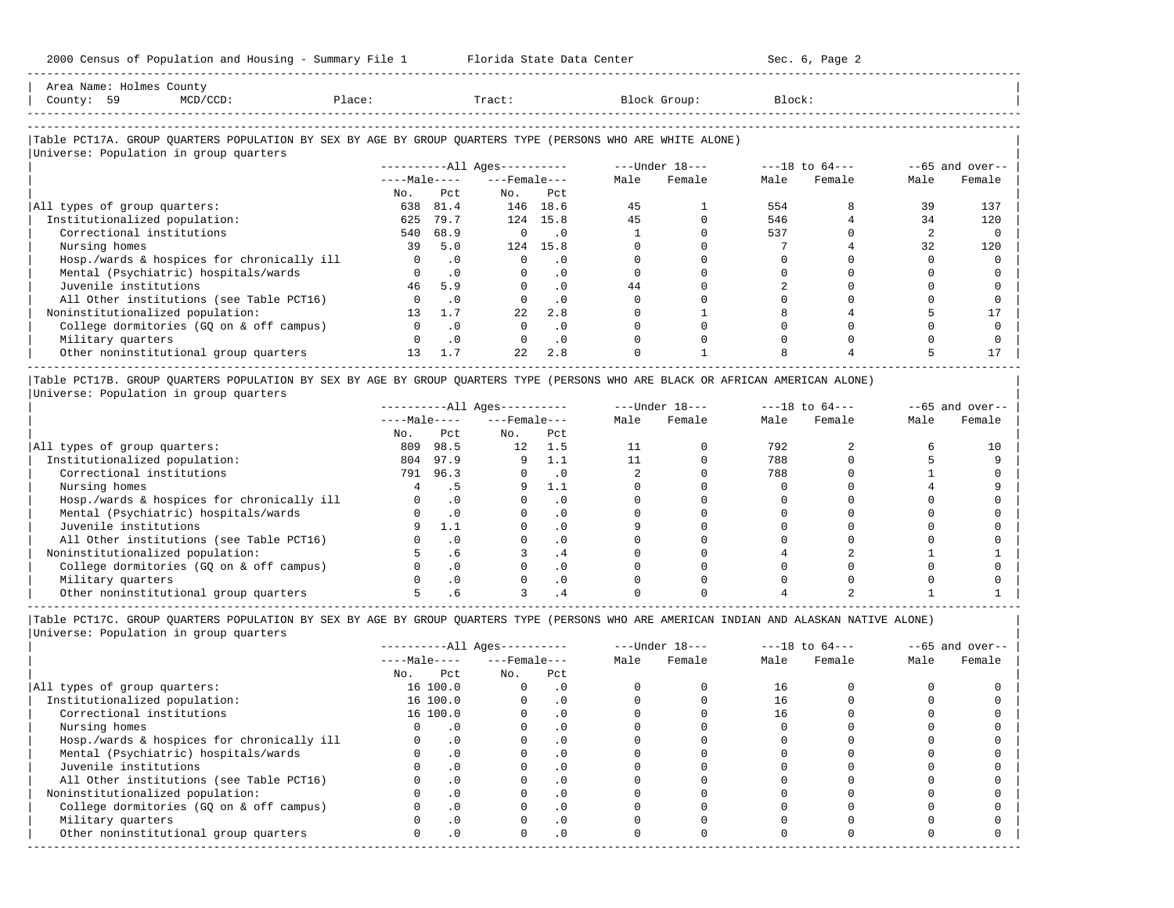|         | Area Name: Holmes County |        |        |         |              |                 |
|---------|--------------------------|--------|--------|---------|--------------|-----------------|
| County: | 59                       | D/CCD: | Place: | Tract ( | Block Group: | Block:<br>$  -$ |
|         |                          |        |        |         |              |                 |
|         |                          |        |        |         |              |                 |

-----------------------------------------------------------------------------------------------------------------------------------------------------

#### |Table PCT17A. GROUP QUARTERS POPULATION BY SEX BY AGE BY GROUP QUARTERS TYPE (PERSONS WHO ARE WHITE ALONE) | |<br>|Universe: Population in group quarters

|                                            |                 |           | $------All \text{Aqes}---$ |           |      | $---Under 18---$ |      | $---18$ to $64---$ |      | $--65$ and over-- |
|--------------------------------------------|-----------------|-----------|----------------------------|-----------|------|------------------|------|--------------------|------|-------------------|
|                                            | $---Male---$    |           | $---$ Female $---$         |           | Male | Female           | Male | Female             | Male | Female            |
|                                            | No.             | Pct.      | No.                        | Pct       |      |                  |      |                    |      |                   |
| All types of group quarters:               | 638             | 81.4      |                            | 146 18.6  | 45   |                  | 554  |                    | 39   | 137               |
| Institutionalized population:              | 625             | 79.7      | 124                        | 15.8      | 45   |                  | 546  |                    | 34   | 120               |
| Correctional institutions                  | 540             | 68.9      |                            | . 0       |      |                  | 537  |                    |      |                   |
| Nursing homes                              | 39              | 5.0       |                            | 124 15.8  |      |                  |      |                    | 32   | 120               |
| Hosp./wards & hospices for chronically ill |                 | $\cdot$ 0 |                            | . 0       |      |                  |      |                    |      |                   |
| Mental (Psychiatric) hospitals/wards       |                 | $\cdot$ 0 |                            | $\cdot$ 0 |      |                  |      |                    |      |                   |
| Juvenile institutions                      | 46              | 5.9       |                            | $\cdot$ 0 | 44   |                  |      |                    |      |                   |
| All Other institutions (see Table PCT16)   |                 | . 0       |                            | $\cdot$ 0 |      |                  |      |                    |      |                   |
| Noninstitutionalized population:           | 13 <sup>°</sup> | 1.7       | 22.2                       | 2.8       |      |                  |      |                    |      |                   |
| College dormitories (GO on & off campus)   |                 | $\cdot$ 0 |                            | . 0       |      |                  |      |                    |      |                   |
| Military quarters                          |                 | $\cdot$ 0 |                            | $\cdot$ 0 |      |                  |      |                    |      |                   |
| Other noninstitutional group quarters      | 13 <sup>°</sup> | 1.7       | 22                         | 2.8       |      |                  |      |                    |      |                   |
|                                            |                 |           |                            |           |      |                  |      |                    |      |                   |

|Table PCT17B. GROUP QUARTERS POPULATION BY SEX BY AGE BY GROUP QUARTERS TYPE (PERSONS WHO ARE BLACK OR AFRICAN AMERICAN ALONE) | |Universe: Population in group quarters |

|                                            |              |               | $------All Aqes------$ |           | $---Under 18---$ |        | $---18$ to $64---$ |        | $--65$ and over-- |        |
|--------------------------------------------|--------------|---------------|------------------------|-----------|------------------|--------|--------------------|--------|-------------------|--------|
|                                            | $---Male---$ |               | $---$ Female $---$     |           | Male             | Female | Male               | Female | Male              | Female |
|                                            | No.          | Pct           | No.                    | Pct       |                  |        |                    |        |                   |        |
| All types of group quarters:               | 809          | 98.5          | 12 <sup>°</sup>        | 1.5       |                  |        | 792                |        |                   |        |
| Institutionalized population:              | 804          | 97.9          |                        |           |                  |        | 788                |        |                   |        |
| Correctional institutions                  | 791          | 96.3          |                        | . 0       |                  |        | 788                |        |                   |        |
| Nursing homes                              |              |               |                        | 1.1       |                  |        |                    |        |                   |        |
| Hosp./wards & hospices for chronically ill |              | . 0           |                        | $\cdot$ 0 |                  |        |                    |        |                   |        |
| Mental (Psychiatric) hospitals/wards       |              |               |                        | $\cdot$ 0 |                  |        |                    |        |                   |        |
| Juvenile institutions                      |              | $\pm$ . $\pm$ |                        | $\cdot$ 0 |                  |        |                    |        |                   |        |
| All Other institutions (see Table PCT16)   |              |               |                        | $\cdot$ 0 |                  |        |                    |        |                   |        |
| Noninstitutionalized population:           |              | . 6           |                        | . 4       |                  |        |                    |        |                   |        |
| College dormitories (GO on & off campus)   |              |               |                        | $\cdot$ 0 |                  |        |                    |        |                   |        |
| Military quarters                          |              | $\cdot$ 0     |                        | $\cdot$ 0 |                  |        |                    |        |                   |        |
| Other noninstitutional group quarters      |              |               |                        |           |                  |        |                    |        |                   |        |

-----------------------------------------------------------------------------------------------------------------------------------------------------

|                                            |     |              | $------All Ages------$ |           |      | $---Under 18---$ |      | $---18$ to $64---$ |      | $--65$ and over-- |
|--------------------------------------------|-----|--------------|------------------------|-----------|------|------------------|------|--------------------|------|-------------------|
|                                            |     | $---Male---$ | $---$ Female $---$     |           | Male | Female           | Male | Female             | Male | Female            |
|                                            | No. | Pct          | No.                    | Pct       |      |                  |      |                    |      |                   |
| All types of group quarters:               |     | 16 100.0     |                        | . 0       |      |                  | 16   |                    |      |                   |
| Institutionalized population:              |     | 16 100.0     |                        | $\cdot$ 0 |      |                  | 16   |                    |      |                   |
| Correctional institutions                  |     | 16 100.0     |                        |           |      |                  |      |                    |      |                   |
| Nursing homes                              |     | $\Omega$     |                        | . 0       |      |                  |      |                    |      |                   |
| Hosp./wards & hospices for chronically ill |     |              |                        |           |      |                  |      |                    |      |                   |
| Mental (Psychiatric) hospitals/wards       |     | $\cdot$ 0    |                        | . 0       |      |                  |      |                    |      |                   |
| Juvenile institutions                      |     |              |                        | . 0       |      |                  |      |                    |      |                   |
| All Other institutions (see Table PCT16)   |     |              |                        | $\Omega$  |      |                  |      |                    |      |                   |
| Noninstitutionalized population:           |     | $\cdot$ 0    |                        | $\cdot$ 0 |      |                  |      |                    |      |                   |
| College dormitories (GQ on & off campus)   |     |              |                        | $\cdot$ 0 |      |                  |      |                    |      |                   |
| Military quarters                          |     |              |                        | . 0       |      |                  |      |                    |      |                   |
| Other noninstitutional group quarters      |     | .0           |                        | $\cdot$ 0 |      |                  |      |                    |      |                   |
|                                            |     |              |                        |           |      |                  |      |                    |      |                   |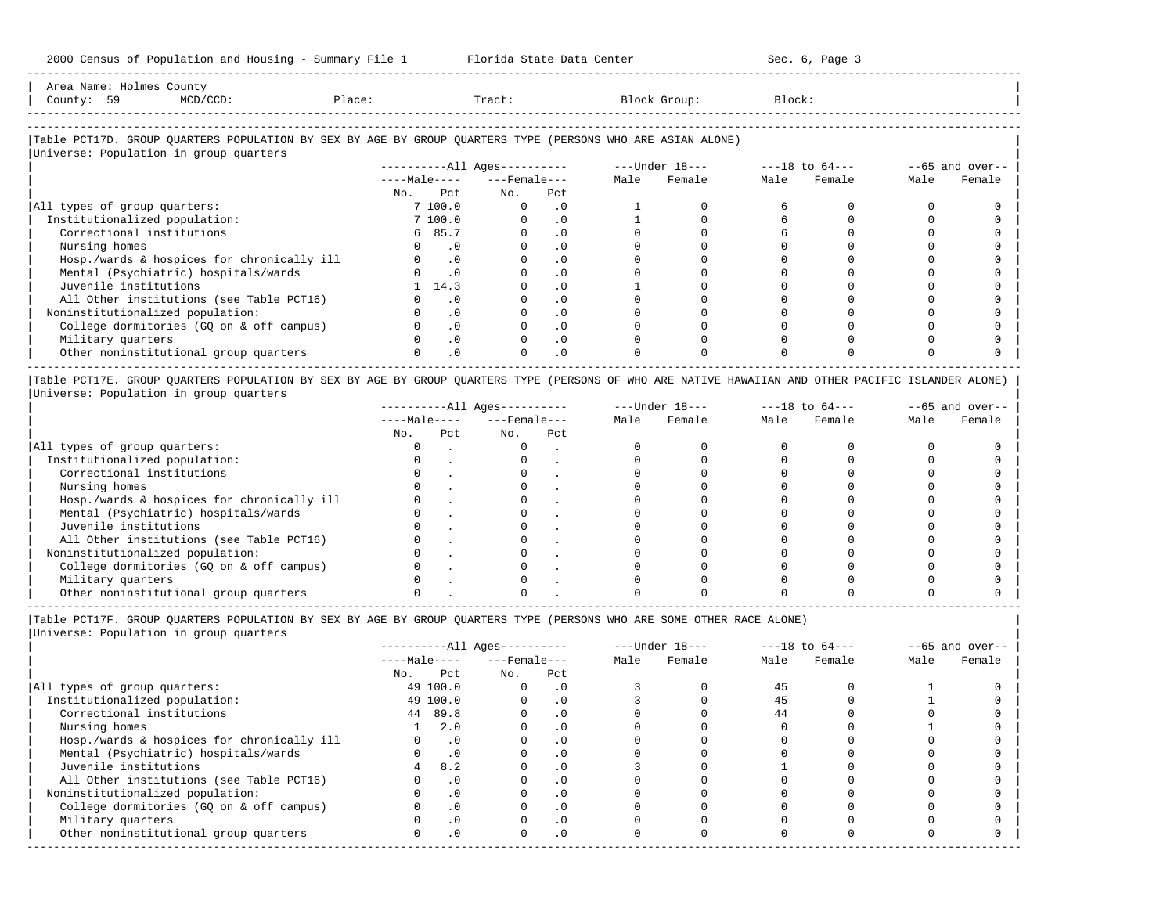| Area Name:           | Holmes o | County |        |       |       |        |
|----------------------|----------|--------|--------|-------|-------|--------|
| County               | 59       |        | Place: | Tract | Group | Block: |
| -------------------- |          |        |        |       |       |        |

-----------------------------------------------------------------------------------------------------------------------------------------------------

#### |Table PCT17D. GROUP QUARTERS POPULATION BY SEX BY AGE BY GROUP QUARTERS TYPE (PERSONS WHO ARE ASIAN ALONE) |

|                                            | $------All Aqes------$ |                    |           |      | $---Under 18---$ |      | $---18$ to $64---$ |      | $--65$ and over-- |
|--------------------------------------------|------------------------|--------------------|-----------|------|------------------|------|--------------------|------|-------------------|
|                                            | $---Male---$           | $---$ Female $---$ |           | Male | Female           | Male | Female             | Male | Female            |
|                                            | Pct<br>No.             | No.                | Pct       |      |                  |      |                    |      |                   |
| All types of group quarters:               | 7 100.0                | $\Omega$           | $\cdot$ 0 |      |                  |      |                    |      |                   |
| Institutionalized population:              | 7 100.0                |                    | $\cdot$ 0 |      |                  |      |                    |      |                   |
| Correctional institutions                  | 6 85.7                 |                    | $\cdot$ 0 |      |                  |      |                    |      |                   |
| Nursing homes                              | . 0                    |                    |           |      |                  |      |                    |      |                   |
| Hosp./wards & hospices for chronically ill | $\cdot$ 0              |                    | $\cdot$ 0 |      |                  |      |                    |      |                   |
| Mental (Psychiatric) hospitals/wards       | $\cdot$ 0              |                    | $\cdot$ 0 |      |                  |      |                    |      |                   |
| Juvenile institutions                      | 14.3                   |                    | $\cdot$ 0 |      |                  |      |                    |      |                   |
| All Other institutions (see Table PCT16)   | . 0                    |                    | $\cdot$ 0 |      |                  |      |                    |      |                   |
| Noninstitutionalized population:           | $\cdot$ 0              |                    | $\cdot$ 0 |      |                  |      |                    |      |                   |
| College dormitories (GQ on & off campus)   | $\cdot$ 0              |                    | $\cdot$ 0 |      |                  |      |                    |      |                   |
| Military quarters                          | $\cdot$ 0              |                    | $\cdot$ 0 |      |                  |      |                    |      |                   |
| Other noninstitutional group quarters      | .0                     |                    | $\cdot$ 0 |      |                  |      |                    |      |                   |

|Table PCT17E. GROUP QUARTERS POPULATION BY SEX BY AGE BY GROUP QUARTERS TYPE (PERSONS OF WHO ARE NATIVE HAWAIIAN AND OTHER PACIFIC ISLANDER ALONE) | |Universe: Population in group quarters |

|                                            |              |     | $------All Aqes------$ |     | $---Under 18---$ |        | $---18$ to $64---$ |        | $--65$ and over-- |        |
|--------------------------------------------|--------------|-----|------------------------|-----|------------------|--------|--------------------|--------|-------------------|--------|
|                                            | $---Male---$ |     | $---$ Female $---$     |     | Male             | Female | Male               | Female | Male              | Female |
|                                            | No.          | Pct | No.                    | Pct |                  |        |                    |        |                   |        |
| All types of group quarters:               |              |     |                        |     |                  |        |                    |        |                   |        |
| Institutionalized population:              |              |     |                        |     |                  |        |                    |        |                   |        |
| Correctional institutions                  |              |     |                        |     |                  |        |                    |        |                   |        |
| Nursing homes                              |              |     |                        |     |                  |        |                    |        |                   |        |
| Hosp./wards & hospices for chronically ill |              |     |                        |     |                  |        |                    |        |                   |        |
| Mental (Psychiatric) hospitals/wards       |              |     |                        |     |                  |        |                    |        |                   |        |
| Juvenile institutions                      |              |     |                        |     |                  |        |                    |        |                   |        |
| All Other institutions (see Table PCT16)   |              |     |                        |     |                  |        |                    |        |                   |        |
| Noninstitutionalized population:           |              |     |                        |     |                  |        |                    |        |                   |        |
| College dormitories (GO on & off campus)   |              |     |                        |     |                  |        |                    |        |                   |        |
| Military quarters                          |              |     |                        |     |                  |        |                    |        |                   |        |
| Other noninstitutional group quarters      |              |     |                        |     |                  |        |                    |        |                   |        |

|Table PCT17F. GROUP QUARTERS POPULATION BY SEX BY AGE BY GROUP QUARTERS TYPE (PERSONS WHO ARE SOME OTHER RACE ALONE) |

|                                            |              |           | ----------All Ages---------- |           |      | $---Under 18---$ |      | $---18$ to $64---$ |      | $--65$ and over-- |
|--------------------------------------------|--------------|-----------|------------------------------|-----------|------|------------------|------|--------------------|------|-------------------|
|                                            | $---Male---$ |           | $---$ Female $---$           |           | Male | Female           | Male | Female             | Male | Female            |
|                                            | No.          | Pct       | No.                          | Pct       |      |                  |      |                    |      |                   |
| All types of group quarters:               | 49 100.0     |           | $\Omega$                     | $\cdot$ 0 |      |                  | 45   |                    |      |                   |
| Institutionalized population:              | 49 100.0     |           |                              | $\cdot$ 0 |      |                  | 45   |                    |      |                   |
| Correctional institutions                  | 44 89.8      |           |                              |           |      |                  | 44   |                    |      |                   |
| Nursing homes                              |              | 2.0       |                              | $\cdot$ 0 |      |                  |      |                    |      |                   |
| Hosp./wards & hospices for chronically ill |              | $\cdot$ 0 |                              |           |      |                  |      |                    |      |                   |
| Mental (Psychiatric) hospitals/wards       |              | $\cdot$ 0 |                              |           |      |                  |      |                    |      |                   |
| Juvenile institutions                      |              | 8.2       |                              |           |      |                  |      |                    |      |                   |
| All Other institutions (see Table PCT16)   |              | $\cdot$ 0 |                              |           |      |                  |      |                    |      |                   |
| Noninstitutionalized population:           |              | $\cdot$ 0 |                              | $\cdot$ 0 |      |                  |      |                    |      |                   |
| College dormitories (GQ on & off campus)   |              | $\cdot$ 0 |                              |           |      |                  |      |                    |      |                   |
| Military quarters                          |              | $\cdot$ 0 |                              | $\cdot$ 0 |      |                  |      |                    |      |                   |
| Other noninstitutional group quarters      |              | $\cdot$ 0 |                              | $\cdot$ 0 |      |                  |      |                    |      |                   |
|                                            |              |           |                              |           |      |                  |      |                    |      |                   |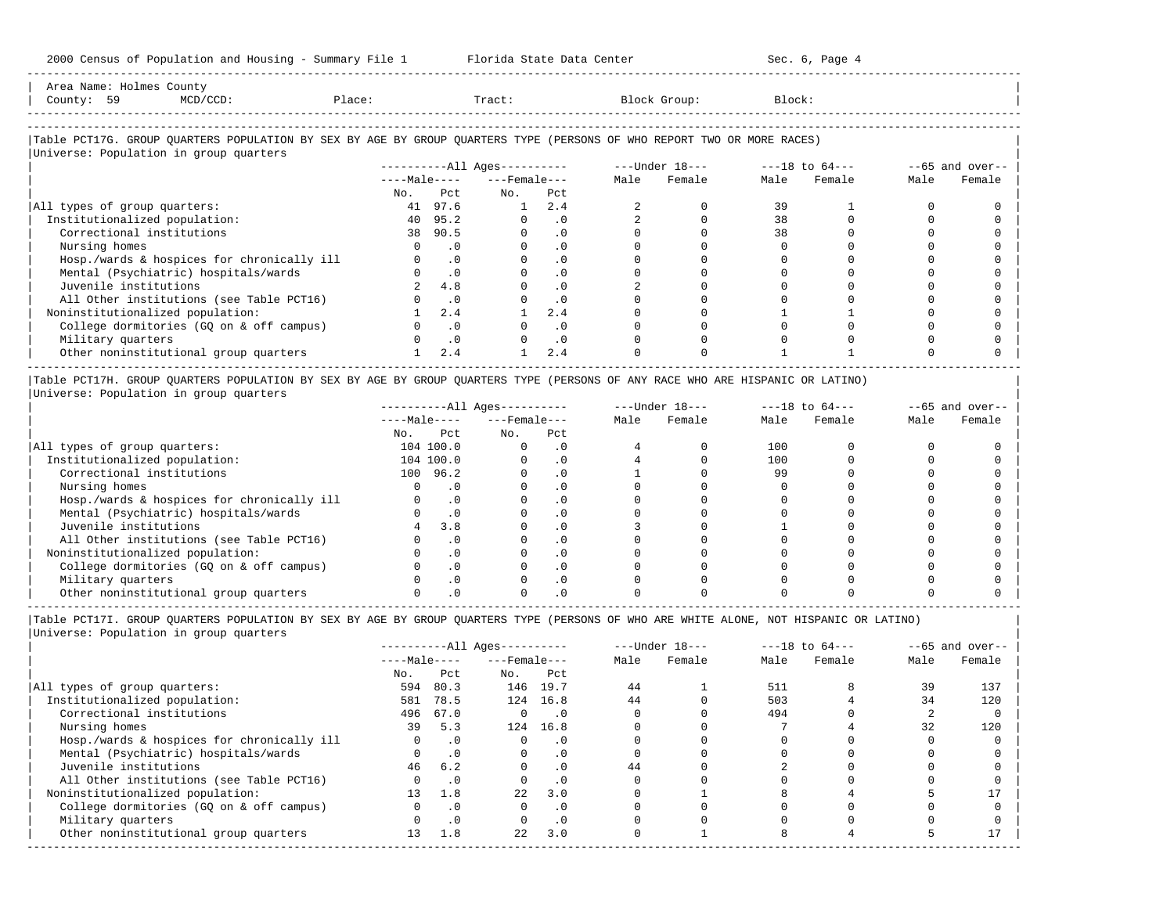| Area Name: Holmes County<br>County: 59<br>MCD/CCD:                                                                     | Place:          |           | Tract:                 |           |      | Block Group:     | Block: |                    |      |                   |
|------------------------------------------------------------------------------------------------------------------------|-----------------|-----------|------------------------|-----------|------|------------------|--------|--------------------|------|-------------------|
| Table PCT17G. GROUP OUARTERS POPULATION BY SEX BY AGE BY GROUP OUARTERS TYPE (PERSONS OF WHO REPORT TWO OR MORE RACES) |                 |           |                        |           |      |                  |        |                    |      |                   |
| Universe: Population in group quarters                                                                                 |                 |           |                        |           |      |                  |        |                    |      |                   |
|                                                                                                                        |                 |           | $------All Aqes------$ |           |      | $---Under 18---$ |        | $---18$ to $64---$ |      | $--65$ and over-- |
|                                                                                                                        | $---Ma$ ]e ---- |           | $---$ Female $---$     |           | Male | Female           | Male   | Female             | Male | Female            |
|                                                                                                                        | No.             | Pct.      | No.                    | Pct       |      |                  |        |                    |      |                   |
| All types of group quarters:                                                                                           |                 | 41 97.6   |                        | 2.4       |      |                  | 39     |                    |      |                   |
| Institutionalized population:                                                                                          |                 | 40 95.2   | $\Omega$               | $\cdot$ 0 |      |                  | 38     |                    |      |                   |
| Correctional institutions                                                                                              |                 | 38 90.5   | $\Omega$               | .0        |      |                  | 38     |                    |      |                   |
| Nursing homes                                                                                                          | 0               | $\cdot$ 0 | $\Omega$               | $\cdot$ 0 |      |                  |        |                    |      |                   |
| Hosp./wards & hospices for chronically ill                                                                             |                 | $\cdot$ 0 |                        | $\cdot$ 0 |      |                  |        |                    |      |                   |

-----------------------------------------------------------------------------------------------------------------------------------------------------

| Mental (Psychiatric) hospitals/wards     |     |  |  |  |  |
|------------------------------------------|-----|--|--|--|--|
| Juvenile institutions                    | 4.8 |  |  |  |  |
| All Other institutions (see Table PCT16) |     |  |  |  |  |
| Noninstitutionalized population:         |     |  |  |  |  |
| College dormitories (GQ on & off campus) |     |  |  |  |  |
| Military quarters                        |     |  |  |  |  |
| Other noninstitutional group quarters    |     |  |  |  |  |

-----------------------------------------------------------------------------------------------------------------------------------------------------

|Table PCT17H. GROUP QUARTERS POPULATION BY SEX BY AGE BY GROUP QUARTERS TYPE (PERSONS OF ANY RACE WHO ARE HISPANIC OR LATINO) | |Universe: Population in group quarters |

|                                            |     |              | $------All Aqes------$ |     |      | $---Under 18---$ |      | $---18$ to $64---$ |      | $--65$ and over-- |
|--------------------------------------------|-----|--------------|------------------------|-----|------|------------------|------|--------------------|------|-------------------|
|                                            |     | $---Male---$ | $---$ Female $---$     |     | Male | Female           | Male | Female             | Male | Female            |
|                                            | No. | Pct          | No.                    | Pct |      |                  |      |                    |      |                   |
| All types of group quarters:               |     | 104 100.0    |                        | . 0 |      |                  | 100  |                    |      |                   |
| Institutionalized population:              |     | 104 100.0    |                        | . 0 |      |                  | 100  |                    |      |                   |
| Correctional institutions                  | 100 | 96.2         |                        |     |      |                  | 99   |                    |      |                   |
| Nursing homes                              |     |              |                        |     |      |                  |      |                    |      |                   |
| Hosp./wards & hospices for chronically ill |     |              |                        |     |      |                  |      |                    |      |                   |
| Mental (Psychiatric) hospitals/wards       |     |              |                        |     |      |                  |      |                    |      |                   |
| Juvenile institutions                      |     | 3.8          |                        | . 0 |      |                  |      |                    |      |                   |
| All Other institutions (see Table PCT16)   |     |              |                        |     |      |                  |      |                    |      |                   |
| Noninstitutionalized population:           |     |              |                        | . 0 |      |                  |      |                    |      |                   |
| College dormitories (GO on & off campus)   |     |              |                        |     |      |                  |      |                    |      |                   |
| Military quarters                          |     |              |                        | . 0 |      |                  |      |                    |      |                   |
| Other noninstitutional group quarters      |     |              |                        |     |      |                  |      |                    |      |                   |

|                                            |                |           | $------All Aqes------$   |           |      | $---Under 18-- ---18 to 64---$ |      |        |      | $--65$ and over-- |
|--------------------------------------------|----------------|-----------|--------------------------|-----------|------|--------------------------------|------|--------|------|-------------------|
|                                            |                |           | $---Male-- ---Female---$ |           | Male | Female                         | Male | Female | Male | Female            |
|                                            | No.            | Pct       | No. Pct                  |           |      |                                |      |        |      |                   |
| All types of group quarters:               | 594            | 80.3      |                          | 146 19.7  | 44   |                                | 511  |        | 39   | 137               |
| Institutionalized population:              | 581            | 78.5      |                          | 124 16.8  | 44   |                                | 503  |        | 34   | 120               |
| Correctional institutions                  | 496            | 67.0      | $\circ$                  | $\cdot$ 0 |      |                                | 494  |        |      |                   |
| Nursing homes                              | 39             | 5.3       | 124                      | 16.8      |      |                                |      |        | 32   | 120               |
| Hosp./wards & hospices for chronically ill | $\overline{0}$ | $\cdot$ 0 | $\mathbf{0}$             | $\cdot$ 0 |      |                                |      |        |      |                   |
| Mental (Psychiatric) hospitals/wards       | $\Omega$       | $\cdot$ 0 | $\circ$                  | $\cdot$ 0 |      |                                |      |        |      |                   |
| Juvenile institutions                      | 46             | 6.2       | $\circ$                  | $\cdot$ 0 | 44   |                                |      |        |      |                   |
| All Other institutions (see Table PCT16)   | $\Omega$       | $\cdot$ 0 | $\mathbf 0$              | $\cdot$ 0 |      |                                |      |        |      |                   |
| Noninstitutionalized population:           | 13             | 1.8       | 2.2                      | 3.0       |      |                                |      |        |      |                   |
| College dormitories (GQ on & off campus)   | $\mathbf{0}$   | $\cdot$ 0 | $\mathbf 0$              | $\cdot$ 0 |      |                                |      |        |      |                   |
| Military quarters                          | $\Omega$       | $\cdot$ 0 | $\Omega$                 | $\cdot$ 0 |      |                                |      |        |      |                   |
| Other noninstitutional group quarters      | 13             | 1.8       | 22                       | 3.0       |      |                                |      |        |      | 17                |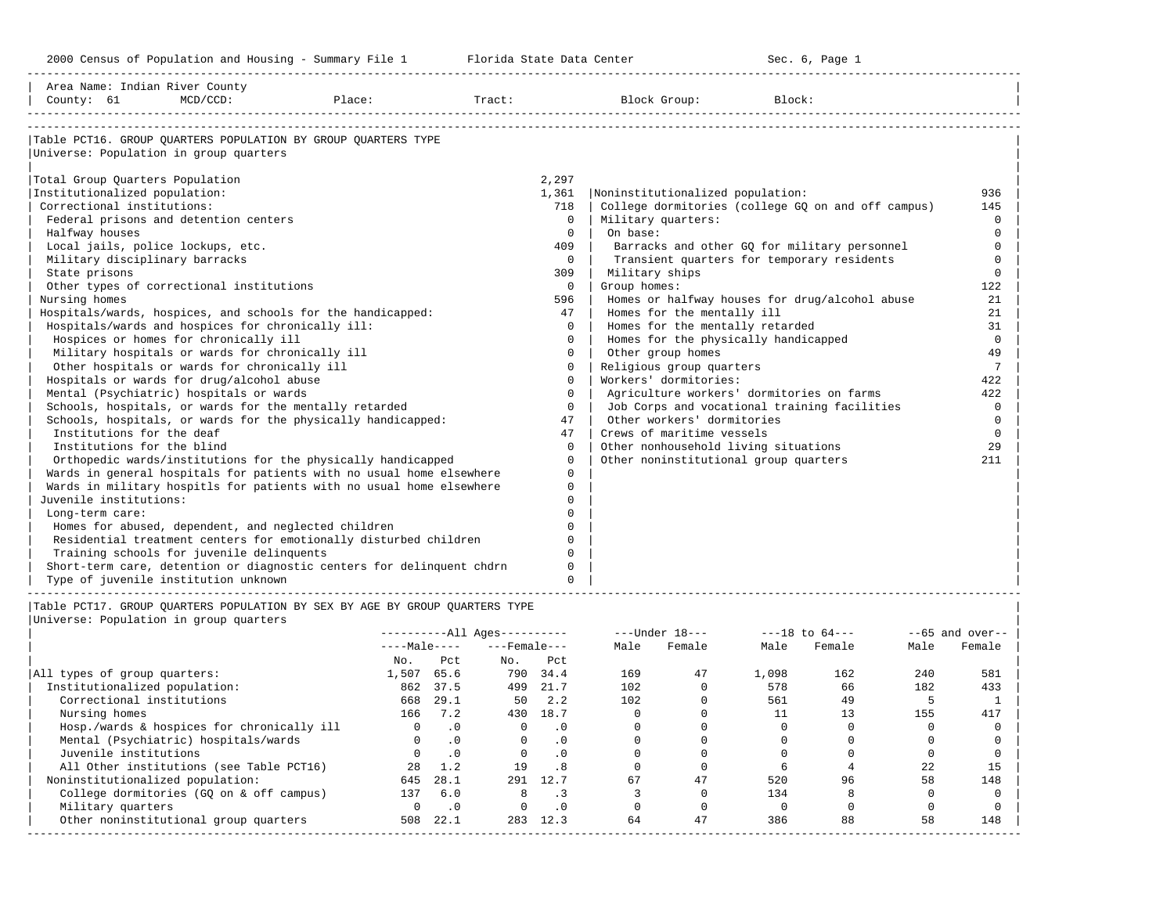-----------------------------------------------------------------------------------------------------------------------------------------------------

| Area Name: Indian River County         |                                                     |                                                                             |        |             |                                       |                                                    |                 |
|----------------------------------------|-----------------------------------------------------|-----------------------------------------------------------------------------|--------|-------------|---------------------------------------|----------------------------------------------------|-----------------|
| County: 61                             | $MCD/CCD$ :                                         | Place:                                                                      | Tract: |             | Block Group:                          | Block:                                             |                 |
|                                        |                                                     |                                                                             |        |             |                                       |                                                    |                 |
|                                        |                                                     | Table PCT16. GROUP OUARTERS POPULATION BY GROUP OUARTERS TYPE               |        |             |                                       |                                                    |                 |
| Universe: Population in group quarters |                                                     |                                                                             |        |             |                                       |                                                    |                 |
|                                        |                                                     |                                                                             |        |             |                                       |                                                    |                 |
| Total Group Quarters Population        |                                                     |                                                                             |        | 2,297       |                                       |                                                    |                 |
| Institutionalized population:          |                                                     |                                                                             |        | 1,361       | Noninstitutionalized population:      |                                                    | 936             |
| Correctional institutions:             |                                                     |                                                                             |        | 718         |                                       | College dormitories (college GQ on and off campus) | 145             |
|                                        | Federal prisons and detention centers               |                                                                             |        | $\Omega$    | Military quarters:                    |                                                    | $\Omega$        |
| Halfway houses                         |                                                     |                                                                             |        | $\Omega$    | On base:                              |                                                    | $\Omega$        |
| Local jails, police lockups, etc.      |                                                     |                                                                             |        | 409         |                                       | Barracks and other GO for military personnel       | $\Omega$        |
| Military disciplinary barracks         |                                                     |                                                                             |        | $\Omega$    |                                       | Transient quarters for temporary residents         | $\Omega$        |
| State prisons                          |                                                     |                                                                             |        | 309         | Military ships                        |                                                    | $\Omega$        |
|                                        | Other types of correctional institutions            |                                                                             |        | $\mathbf 0$ | Group homes:                          |                                                    | 122             |
| Nursing homes                          |                                                     |                                                                             |        | 596         |                                       | Homes or halfway houses for drug/alcohol abuse     | 21              |
|                                        |                                                     | Hospitals/wards, hospices, and schools for the handicapped:                 |        | 47          | Homes for the mentally ill            |                                                    | 21              |
|                                        | Hospitals/wards and hospices for chronically ill:   |                                                                             |        | $\Omega$    | Homes for the mentally retarded       |                                                    | 31              |
|                                        | Hospices or homes for chronically ill               |                                                                             |        | $\Omega$    | Homes for the physically handicapped  |                                                    | $\mathbf 0$     |
|                                        | Military hospitals or wards for chronically ill     |                                                                             |        | $\Omega$    | Other group homes                     |                                                    | 49              |
|                                        | Other hospitals or wards for chronically ill        |                                                                             |        | 0           | Religious group quarters              |                                                    | $7\phantom{.0}$ |
|                                        | Hospitals or wards for drug/alcohol abuse           |                                                                             |        | $\Omega$    | Workers' dormitories:                 |                                                    | 422             |
|                                        | Mental (Psychiatric) hospitals or wards             |                                                                             |        | $\Omega$    |                                       | Agriculture workers' dormitories on farms          | 422             |
|                                        |                                                     | Schools, hospitals, or wards for the mentally retarded                      |        | $\Omega$    |                                       | Job Corps and vocational training facilities       | $\mathbf 0$     |
|                                        |                                                     | Schools, hospitals, or wards for the physically handicapped:                |        | 47          | Other workers' dormitories            |                                                    | $\Omega$        |
| Institutions for the deaf              |                                                     |                                                                             |        | 47          | Crews of maritime vessels             |                                                    | $\mathbf 0$     |
| Institutions for the blind             |                                                     |                                                                             |        | $\Omega$    | Other nonhousehold living situations  |                                                    | 29              |
|                                        |                                                     | Orthopedic wards/institutions for the physically handicapped                |        | $\Omega$    | Other noninstitutional group quarters |                                                    | 211             |
|                                        |                                                     | Wards in general hospitals for patients with no usual home elsewhere        |        | $\Omega$    |                                       |                                                    |                 |
|                                        |                                                     | Wards in military hospitls for patients with no usual home elsewhere        |        | $\Omega$    |                                       |                                                    |                 |
| Juvenile institutions:                 |                                                     |                                                                             |        | $\Omega$    |                                       |                                                    |                 |
| Long-term care:                        |                                                     |                                                                             |        | $\Omega$    |                                       |                                                    |                 |
|                                        | Homes for abused, dependent, and neglected children |                                                                             |        |             |                                       |                                                    |                 |
|                                        |                                                     | Residential treatment centers for emotionally disturbed children            |        | $\Omega$    |                                       |                                                    |                 |
|                                        | Training schools for juvenile delinquents           |                                                                             |        | $\Omega$    |                                       |                                                    |                 |
|                                        |                                                     | Short-term care, detention or diagnostic centers for delinquent chdrn       |        | $\Omega$    |                                       |                                                    |                 |
|                                        | Type of juvenile institution unknown                |                                                                             |        | $\Omega$    |                                       |                                                    |                 |
|                                        |                                                     | Table PCT17. GROUP OUARTERS POPULATION BY SEX BY AGE BY GROUP OUARTERS TYPE |        |             |                                       |                                                    |                 |
| Universe: Population in group quarters |                                                     |                                                                             |        |             |                                       |                                                    |                 |
|                                        |                                                     |                                                                             |        |             |                                       |                                                    |                 |

|                                            | ----Male---- |           | $---$ Female $---$ |           | Male | Female | Male  | Female | Male | Female |
|--------------------------------------------|--------------|-----------|--------------------|-----------|------|--------|-------|--------|------|--------|
|                                            | No.          | Pct       | No.                | Pct       |      |        |       |        |      |        |
| All types of group quarters:               | 1,507        | 65.6      | 790                | 34.4      | 169  | 47     | 1,098 | 162    | 240  | 581    |
| Institutionalized population:              | 862          | 37.5      | 499                | 21.7      | 102  |        | 578   | 66     | 182  | 433    |
| Correctional institutions                  | 668          | 29.1      | 50                 | 2.2       | 102  |        | 561   | 49     |      |        |
| Nursing homes                              | 166          | 7.2       | 430                | 18.7      |      |        | 11    |        | 155  | 417    |
| Hosp./wards & hospices for chronically ill | $\Omega$     | .0        | $\Omega$           | $\cdot$ 0 |      |        |       |        |      |        |
| Mental (Psychiatric) hospitals/wards       |              | .0        |                    | $\cdot$ 0 |      |        |       |        |      |        |
| Juvenile institutions                      | 0            | $\cdot$ 0 | $\Omega$           | $\cdot$ 0 |      |        |       |        |      |        |
| All Other institutions (see Table PCT16)   | 2.8          | 1.2       | 19                 | .8        |      |        |       |        | 22   | 15     |
| Noninstitutionalized population:           | 645          | 28.1      | 291                | 12.7      | 67   | 47     | 520   | 96     | 58   | 148    |
| College dormitories (GO on & off campus)   | 137          | 6.0       | 8                  |           |      |        | 134   |        |      |        |
| Military quarters                          |              | $\cdot$ 0 | $\Omega$           | $\cdot$ 0 |      |        |       |        |      |        |
| Other noninstitutional group quarters      | 508          | 22.1      | 283                | 12.3      | 64   | 47     | 386   | 88     | 58   | 148    |
|                                            |              |           |                    |           |      |        |       |        |      |        |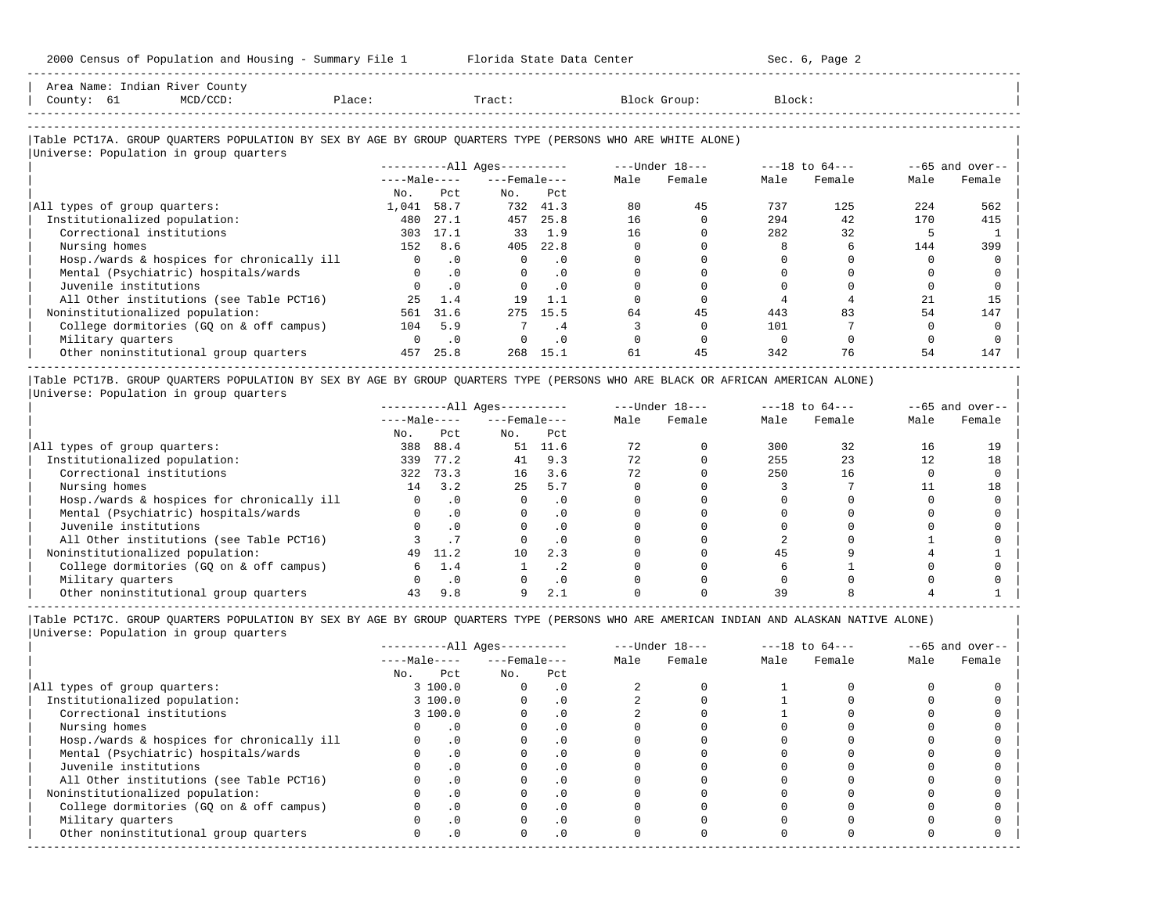| Area Name: Indian River County<br>County: 61<br>MCD/CCD:<br>Place:                                                                                   |            |              | Tract:                     |           |      | Block Group:     | Block: |                    |      |                   |
|------------------------------------------------------------------------------------------------------------------------------------------------------|------------|--------------|----------------------------|-----------|------|------------------|--------|--------------------|------|-------------------|
| Table PCT17A. GROUP OUARTERS POPULATION BY SEX BY AGE BY GROUP OUARTERS TYPE (PERSONS WHO ARE WHITE ALONE)<br>Universe: Population in group quarters |            |              |                            |           |      |                  |        |                    |      |                   |
|                                                                                                                                                      |            |              | $------All \text{Aqes}---$ |           |      | $---Under 18---$ |        | $---18$ to $64---$ |      | $--65$ and over-- |
|                                                                                                                                                      |            | $---Male---$ | $---$ Female $---$         |           | Male | Female           | Male   | Female             | Male | Female            |
|                                                                                                                                                      | No.        | Pct.         | No.                        | Pct       |      |                  |        |                    |      |                   |
| All types of group quarters:                                                                                                                         | 1,041 58.7 |              |                            | 732 41.3  | 80   | 45               | 737    | 125                | 224  | 562               |
| Institutionalized population:                                                                                                                        | 480        | 27.1         | 457                        | 25.8      | 16   |                  | 294    | 42                 | 170  | 415               |
| Correctional institutions                                                                                                                            | 303        | 17.1         | 33                         | 1.9       | 16   |                  | 282    | 32                 |      |                   |
| Nursing homes                                                                                                                                        | 152        | 8.6          | 405                        | 22.8      |      |                  |        |                    | 144  | 399               |
| Hosp./wards & hospices for chronically ill                                                                                                           | $\circ$    | $\cdot$ 0    |                            | $\cdot$ 0 |      |                  |        |                    |      |                   |
| Mental (Psychiatric) hospitals/wards                                                                                                                 | $\Omega$   | $\cdot$ 0    | $\Omega$                   | $\cdot$ 0 |      |                  |        |                    |      |                   |
| Juvenile institutions                                                                                                                                | $\Omega$   | .0           |                            | $\cdot$ 0 |      |                  |        |                    |      |                   |
| All Other institutions (see Table PCT16)                                                                                                             | 25         | 1.4          | 19                         | $1$ . $1$ |      |                  |        |                    | 21   | 15                |

| Noninstitutionalized population: 561 31.6 275 15.5 64 45 443 83 54 147 | | College dormitories (GQ on & off campus) 104 5.9 7 .4 3 0 101 7 0 0 | | Military quarters 0 .0 0 .0 0 0 0 0 0 0 |

 $\vert$  Other $noninstitutional $\rm{group\;quarters}$  457 25.8 268 15.1  $\rm{61}$   $\rm{45}$   $\rm{342}$   $\rm{76}$   $\rm{54}$   $\rm{147}$$ ----------------------------------------------------------------------------------------------------------------------------------------------------- |Table PCT17B. GROUP QUARTERS POPULATION BY SEX BY AGE BY GROUP QUARTERS TYPE (PERSONS WHO ARE BLACK OR AFRICAN AMERICAN ALONE) |

-----------------------------------------------------------------------------------------------------------------------------------------------------

|Universe: Population in group quarters<br>|-

| oniverse, roparacion in group quarecrs     |              |           |                        |           |      |                  |      |                    |      |                    |
|--------------------------------------------|--------------|-----------|------------------------|-----------|------|------------------|------|--------------------|------|--------------------|
|                                            |              |           | $------All Ages------$ |           |      | $---Under 18---$ |      | $---18$ to $64---$ |      | $- -65$ and over-- |
|                                            | $---Male---$ |           | $---$ Female $---$     |           | Male | Female           | Male | Female             | Male | Female             |
|                                            | No.          | Pct.      | No.                    | Pct       |      |                  |      |                    |      |                    |
| All types of group quarters:               | 388          | 88.4      | 51                     | 11.6      | 72   |                  | 300  | 32                 | 16   | 19                 |
| Institutionalized population:              | 339          | 77.2      | 41                     | 9.3       | 72   |                  | 255  | 23                 | 12   | 18                 |
| Correctional institutions                  | 322          | 73.3      | 16                     | 3.6       | 72   |                  | 250  | 16                 |      |                    |
| Nursing homes                              | 14           | 3.2       | 25                     | 5.7       |      |                  |      |                    |      | 18                 |
| Hosp./wards & hospices for chronically ill |              | $\cdot$ 0 |                        |           |      |                  |      |                    |      |                    |
| Mental (Psychiatric) hospitals/wards       |              | $\cdot$ 0 |                        |           |      |                  |      |                    |      |                    |
| Juvenile institutions                      |              | $\Omega$  |                        | . 0       |      |                  |      |                    |      |                    |
| All Other institutions (see Table PCT16)   |              |           |                        |           |      |                  |      |                    |      |                    |
| Noninstitutionalized population:           | 49           | 11.2      | 10                     | 2.3       |      |                  | 45   |                    |      |                    |
| College dormitories (GO on & off campus)   |              | 1.4       |                        | . 4       |      |                  |      |                    |      |                    |
| Military quarters                          |              | . 0       |                        | $\cdot$ 0 |      |                  |      |                    |      |                    |
| Other noninstitutional group quarters      | 43           | 9.8       |                        |           |      |                  |      |                    |      |                    |

-----------------------------------------------------------------------------------------------------------------------------------------------------

|                                            |     |              | $------All Aqes------$ |           |      | $---Under 18---$ |      | $---18$ to $64---$ |      | $--65$ and over-- |
|--------------------------------------------|-----|--------------|------------------------|-----------|------|------------------|------|--------------------|------|-------------------|
|                                            |     | $---Male---$ | $---$ Female $---$     |           | Male | Female           | Male | Female             | Male | Female            |
|                                            | No. | Pct          | No.                    | Pct       |      |                  |      |                    |      |                   |
| All types of group quarters:               |     | 3 100.0      |                        | . 0       |      |                  |      |                    |      |                   |
| Institutionalized population:              |     | 3 100.0      |                        | $\cdot$ 0 |      |                  |      |                    |      |                   |
| Correctional institutions                  |     | 3 100.0      |                        | . 0       |      |                  |      |                    |      |                   |
| Nursing homes                              |     |              |                        | . 0       |      |                  |      |                    |      |                   |
| Hosp./wards & hospices for chronically ill |     |              |                        | . 0       |      |                  |      |                    |      |                   |
| Mental (Psychiatric) hospitals/wards       |     | $\cdot$ 0    |                        | . 0       |      |                  |      |                    |      |                   |
| Juvenile institutions                      |     |              |                        | $\cdot$ 0 |      |                  |      |                    |      |                   |
| All Other institutions (see Table PCT16)   |     |              |                        | . 0       |      |                  |      |                    |      |                   |
| Noninstitutionalized population:           |     | .0           |                        | $\cdot$ 0 |      |                  |      |                    |      |                   |
| College dormitories (GQ on & off campus)   |     |              |                        | $\cdot$ 0 |      |                  |      |                    |      |                   |
| Military quarters                          |     |              |                        | . 0       |      |                  |      |                    |      |                   |
| Other noninstitutional group quarters      |     | .0           |                        | $\cdot$ 0 |      |                  |      |                    |      |                   |
|                                            |     |              |                        |           |      |                  |      |                    |      |                   |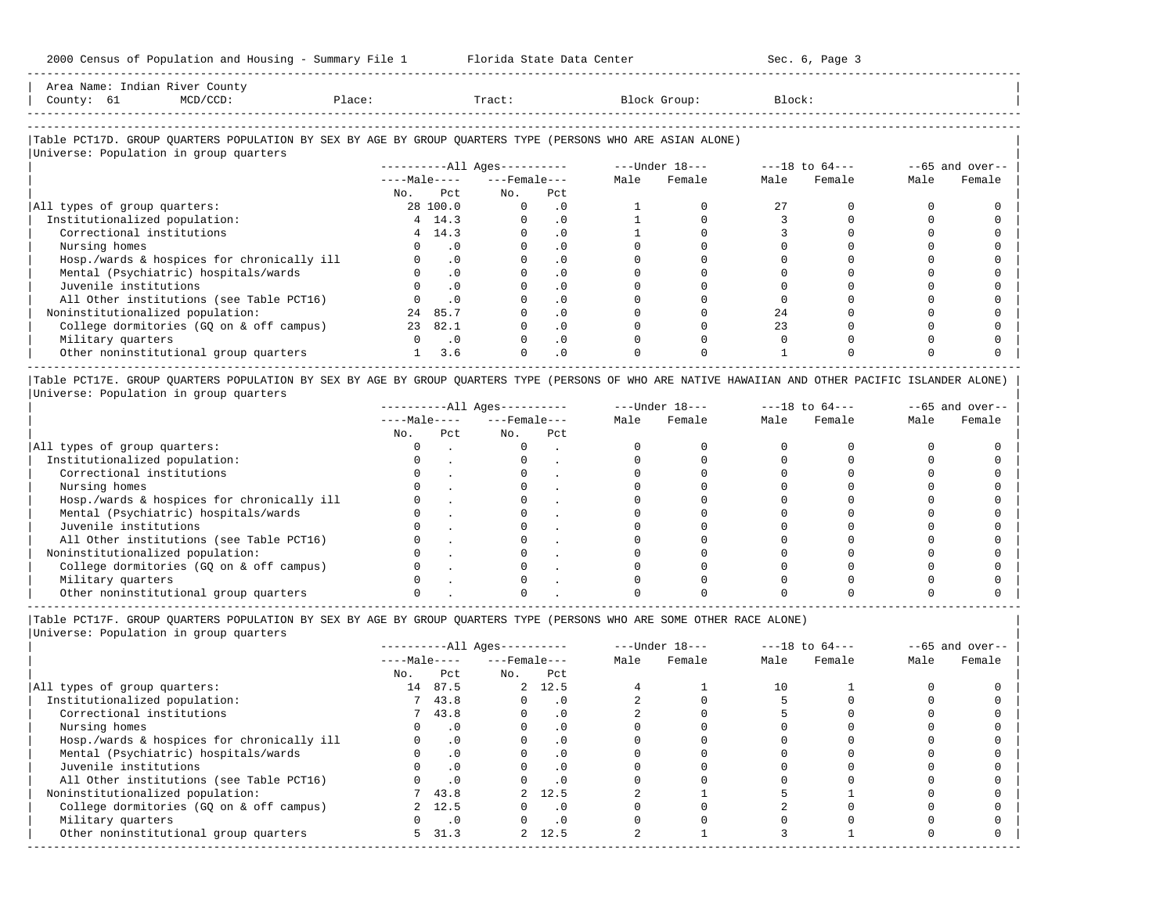| Area Name: |    | Indian River County                                                                                                        |                     |        |                   |        |
|------------|----|----------------------------------------------------------------------------------------------------------------------------|---------------------|--------|-------------------|--------|
| County:    | ρT | "ר CCD-<br>the contract of the contract of the contract of the contract of the contract of the contract of the contract of | $\mathcal{D}$ lace: | Tract. | Block (<br>Group. | Block: |
|            |    |                                                                                                                            |                     |        |                   |        |

-----------------------------------------------------------------------------------------------------------------------------------------------------

-----------------------------------------------------------------------------------------------------------------------------------------------------

### |Table PCT17D. GROUP QUARTERS POPULATION BY SEX BY AGE BY GROUP QUARTERS TYPE (PERSONS WHO ARE ASIAN ALONE) |

|                                            |              |                             | $------All Ages------$ |           |      | $---Under 18---$ |      | $---18$ to $64---$ |      | $--65$ and over-- |
|--------------------------------------------|--------------|-----------------------------|------------------------|-----------|------|------------------|------|--------------------|------|-------------------|
|                                            | $---Male---$ |                             | $---$ Female $---$     |           | Male | Female           | Male | Female             | Male | Female            |
|                                            | No.          | Pct                         | No.                    | Pct       |      |                  |      |                    |      |                   |
| All types of group quarters:               |              | 28 100.0                    | $\Omega$               | $\cdot$ 0 |      |                  | 27   |                    |      |                   |
| Institutionalized population:              |              | 4, 14.3                     |                        | $\cdot$ 0 |      |                  |      |                    |      |                   |
| Correctional institutions                  |              | 4 14.3                      |                        | $\cdot$ 0 |      |                  |      |                    |      |                   |
| Nursing homes                              |              | . 0                         |                        |           |      |                  |      |                    |      |                   |
| Hosp./wards & hospices for chronically ill |              | $\cdot$ 0                   |                        | . 0       |      |                  |      |                    |      |                   |
| Mental (Psychiatric) hospitals/wards       |              | $\cdot$ 0                   |                        | $\cdot$ 0 |      |                  |      |                    |      |                   |
| Juvenile institutions                      |              | $\cdot$ 0                   |                        |           |      |                  |      |                    |      |                   |
| All Other institutions (see Table PCT16)   |              | $\cdot$ 0                   |                        | $\cdot$ 0 |      |                  |      |                    |      |                   |
| Noninstitutionalized population:           | 24           | 85.7                        |                        | $\cdot$ 0 |      |                  | 2.4  |                    |      |                   |
| College dormitories (GQ on & off campus)   | 23           | 82.1                        |                        | $\cdot$ 0 |      |                  | 23   |                    |      |                   |
| Military quarters                          |              | $\overline{\phantom{0}}$ .0 |                        | $\cdot$ 0 |      |                  |      |                    |      |                   |
| Other noninstitutional group quarters      |              | 3.6                         |                        | $\cdot$ 0 |      |                  |      |                    |      |                   |

|Table PCT17E. GROUP QUARTERS POPULATION BY SEX BY AGE BY GROUP QUARTERS TYPE (PERSONS OF WHO ARE NATIVE HAWAIIAN AND OTHER PACIFIC ISLANDER ALONE) | |Universe: Population in group quarters |

|                                            |              |     | $------All Ages------$ |     |      | $---Under 18---$ |      | $---18$ to $64---$ |      | $--65$ and over-- |
|--------------------------------------------|--------------|-----|------------------------|-----|------|------------------|------|--------------------|------|-------------------|
|                                            | $---Male---$ |     | $---$ Female $---$     |     | Male | Female           | Male | Female             | Male | Female            |
|                                            | No.          | Pct | No.                    | Pct |      |                  |      |                    |      |                   |
| All types of group quarters:               |              |     |                        |     |      |                  |      |                    |      |                   |
| Institutionalized population:              |              |     |                        |     |      |                  |      |                    |      |                   |
| Correctional institutions                  |              |     |                        |     |      |                  |      |                    |      |                   |
| Nursing homes                              |              |     |                        |     |      |                  |      |                    |      |                   |
| Hosp./wards & hospices for chronically ill |              |     |                        |     |      |                  |      |                    |      |                   |
| Mental (Psychiatric) hospitals/wards       |              |     |                        |     |      |                  |      |                    |      |                   |
| Juvenile institutions                      |              |     |                        |     |      |                  |      |                    |      |                   |
| All Other institutions (see Table PCT16)   |              |     |                        |     |      |                  |      |                    |      |                   |
| Noninstitutionalized population:           |              |     |                        |     |      |                  |      |                    |      |                   |
| College dormitories (GQ on & off campus)   |              |     |                        |     |      |                  |      |                    |      |                   |
| Military quarters                          |              |     |                        |     |      |                  |      |                    |      |                   |
| Other noninstitutional group quarters      |              |     |                        |     |      |                  |      |                    |      |                   |

|Table PCT17F. GROUP QUARTERS POPULATION BY SEX BY AGE BY GROUP QUARTERS TYPE (PERSONS WHO ARE SOME OTHER RACE ALONE) |

|                                            |              |           | $------All Ages------$ |           |      | $---Under 18---$ |      | $---18$ to $64---$ |      | $--65$ and over-- |
|--------------------------------------------|--------------|-----------|------------------------|-----------|------|------------------|------|--------------------|------|-------------------|
|                                            | $---Male---$ |           | $---$ Female $---$     |           | Male | Female           | Male | Female             | Male | Female            |
|                                            | No.          | Pct       | No.                    | Pct       |      |                  |      |                    |      |                   |
| All types of group quarters:               | 14           | 87.5      |                        | 2, 12.5   |      |                  | 10   |                    |      |                   |
| Institutionalized population:              |              | 743.8     |                        | $\cdot$ 0 |      |                  |      |                    |      |                   |
| Correctional institutions                  |              | 743.8     |                        | $\cdot$ 0 |      |                  |      |                    |      |                   |
| Nursing homes                              |              | $\cdot$ 0 | $\Omega$               | $\cdot$ 0 |      |                  |      |                    |      |                   |
| Hosp./wards & hospices for chronically ill |              | .0        |                        | $\cdot$ 0 |      |                  |      |                    |      |                   |
| Mental (Psychiatric) hospitals/wards       |              | $\cdot$ 0 |                        | $\cdot$ 0 |      |                  |      |                    |      |                   |
| Juvenile institutions                      |              | $\cdot$ 0 |                        | $\cdot$ 0 |      |                  |      |                    |      |                   |
| All Other institutions (see Table PCT16)   |              | $\cdot$ 0 |                        | $\cdot$ 0 |      |                  |      |                    |      |                   |
| Noninstitutionalized population:           |              | 7 43.8    |                        | 2 12.5    |      |                  |      |                    |      |                   |
| College dormitories (GQ on & off campus)   |              | 2, 12.5   |                        |           |      |                  |      |                    |      |                   |
| Military quarters                          |              | $\cdot$ 0 |                        | $\cdot$ 0 |      |                  |      |                    |      |                   |
| Other noninstitutional group quarters      | $5 -$        | 31.3      |                        | 2, 12.5   |      |                  |      |                    |      |                   |
|                                            |              |           |                        |           |      |                  |      |                    |      |                   |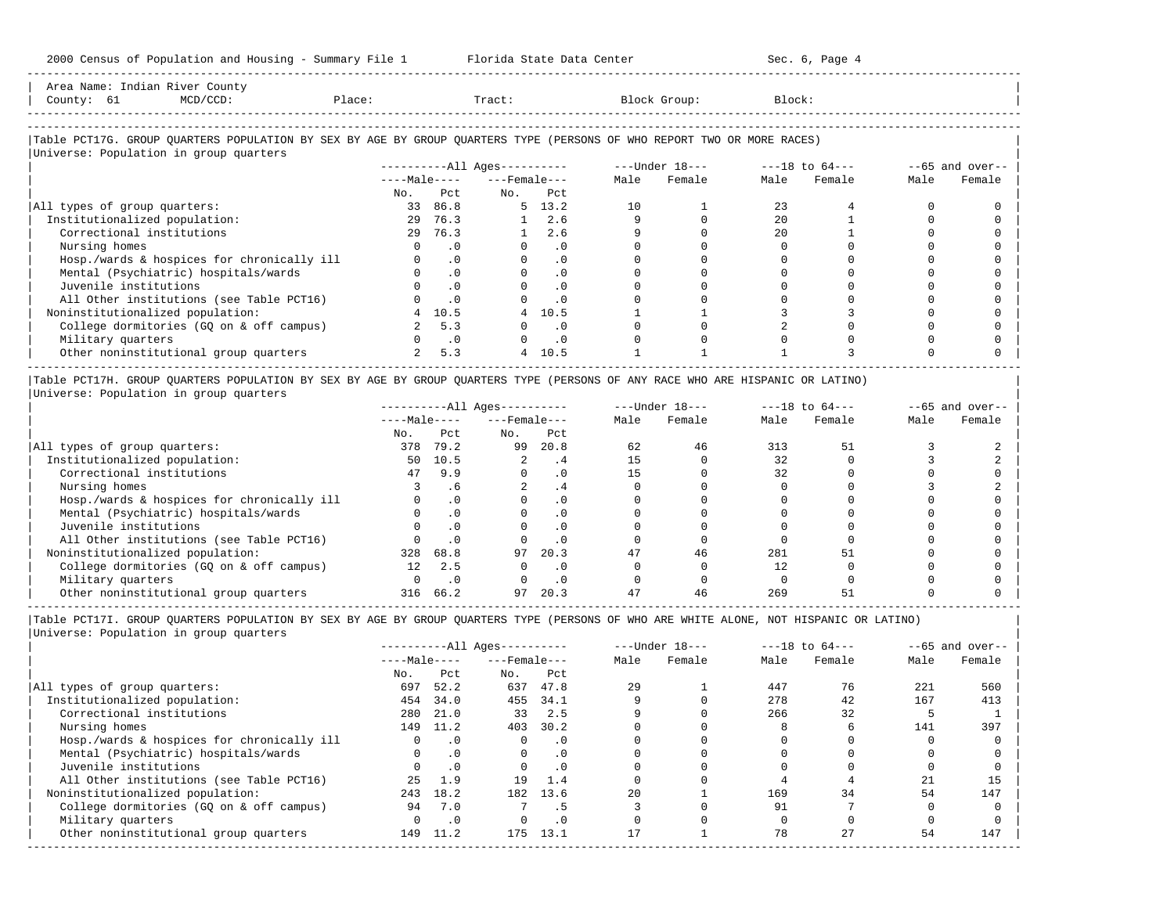| Area Name: Indian River County<br>County: 61<br>$MCD/CCD$ :                                                                                                      | Place:      |           | Tract:                   |                |      | Block Group:                                                     | Block: |             |      |                   |
|------------------------------------------------------------------------------------------------------------------------------------------------------------------|-------------|-----------|--------------------------|----------------|------|------------------------------------------------------------------|--------|-------------|------|-------------------|
| Table PCT17G. GROUP QUARTERS POPULATION BY SEX BY AGE BY GROUP QUARTERS TYPE (PERSONS OF WHO REPORT TWO OR MORE RACES)<br>Universe: Population in group quarters |             |           |                          |                |      |                                                                  |        |             |      |                   |
|                                                                                                                                                                  |             |           |                          |                |      | ----------All Ages----------    ---Under 18---    ---18 to 64--- |        |             |      | $--65$ and over-- |
|                                                                                                                                                                  |             |           | $---Male-- ---Female---$ |                | Male | Female                                                           |        | Male Female | Male | Female            |
|                                                                                                                                                                  | No.         | Pct       | No. Pct                  |                |      |                                                                  |        |             |      |                   |
| All types of group quarters:                                                                                                                                     |             | 33 86.8   |                          | $5 \quad 13.2$ | 10   |                                                                  | 23     |             |      |                   |
| Institutionalized population:                                                                                                                                    |             | 29 76.3   |                          | $1 \quad 2.6$  |      |                                                                  | 2.0    |             |      |                   |
| Correctional institutions                                                                                                                                        |             | 29 76.3   | 1                        | 2.6            |      |                                                                  | 2.0    |             |      |                   |
| Nursing homes                                                                                                                                                    | $\Omega$    | $\cdot$ 0 |                          | $\cdot$ 0      |      |                                                                  |        |             |      |                   |
| Hosp./wards & hospices for chronically ill                                                                                                                       |             | $\cdot$ 0 |                          | $\cdot$ 0      |      |                                                                  |        |             |      |                   |
| Mental (Psychiatric) hospitals/wards                                                                                                                             |             | .0        |                          | $\cdot$ 0      |      |                                                                  |        |             |      |                   |
| Juvenile institutions                                                                                                                                            |             | $\cdot$ 0 |                          | $\cdot$ 0      |      |                                                                  |        |             |      |                   |
| All Other institutions (see Table PCT16)                                                                                                                         |             | .0        |                          | $\cdot$ 0      |      |                                                                  |        |             |      |                   |
| Noninstitutionalized population:                                                                                                                                 | 4           | 10.5      | 4                        | 10.5           |      |                                                                  |        |             |      |                   |
| College dormitories (GQ on & off campus)                                                                                                                         | 2           | 5.3       |                          | $\cdot$ 0      |      |                                                                  |        |             |      |                   |
| Military quarters                                                                                                                                                |             | $\cdot$ 0 |                          | $\cdot$ 0      |      |                                                                  |        |             |      |                   |
| Other noninstitutional group quarters                                                                                                                            | $2^{\circ}$ | 5.3       | $4\overline{ }$          | 10.5           |      |                                                                  |        |             |      |                   |

|Table PCT17H. GROUP QUARTERS POPULATION BY SEX BY AGE BY GROUP QUARTERS TYPE (PERSONS OF ANY RACE WHO ARE HISPANIC OR LATINO) | |Universe: Population in group quarters |

|                                            |                 |           | $------All Ages------$ |           |      | $---Under 18---$ |      | $---18$ to $64---$ |      | $--65$ and over-- |
|--------------------------------------------|-----------------|-----------|------------------------|-----------|------|------------------|------|--------------------|------|-------------------|
|                                            | $---Male---$    |           | $---$ Female $---$     |           | Male | Female           | Male | Female             | Male | Female            |
|                                            | No.             | Pct       | No.                    | Pct       |      |                  |      |                    |      |                   |
| All types of group quarters:               | 378             | 79.2      | 99                     | 20.8      | 62   | 46               | 313  | 51                 |      |                   |
| Institutionalized population:              | 50              | 10.5      |                        | . 4       | 15   |                  | 32   |                    |      |                   |
| Correctional institutions                  | 47              | 9.9       |                        | . 0       | 15   |                  | 32   |                    |      |                   |
| Nursing homes                              |                 | . 6       |                        | . 4       |      |                  |      |                    |      |                   |
| Hosp./wards & hospices for chronically ill |                 | $\cdot$ 0 |                        | . 0       |      |                  |      |                    |      |                   |
| Mental (Psychiatric) hospitals/wards       |                 |           |                        |           |      |                  |      |                    |      |                   |
| Juvenile institutions                      |                 | . 0       |                        | . 0       |      |                  |      |                    |      |                   |
| All Other institutions (see Table PCT16)   |                 | $\cdot$ 0 |                        |           |      |                  |      |                    |      |                   |
| Noninstitutionalized population:           | 328             | 68.8      | 97                     | 20.3      |      | 46               | 281  |                    |      |                   |
| College dormitories (GO on & off campus)   | 12 <sub>1</sub> | 2.5       |                        | $\cdot$ 0 |      |                  | 12   |                    |      |                   |
| Military quarters                          |                 | . 0       |                        |           |      |                  |      |                    |      |                   |
| Other noninstitutional group quarters      |                 | 316 66.2  | 97                     | 20.3      | 47   | 46               | 269  | 51                 |      |                   |

|Table PCT17I. GROUP QUARTERS POPULATION BY SEX BY AGE BY GROUP QUARTERS TYPE (PERSONS OF WHO ARE WHITE ALONE, NOT HISPANIC OR LATINO) | |Universe: Population in group quarters |

|                                            |              |           | ----------All Ages---------- |           |      | $---Under 18---$ |      | $---18$ to $64---$ | $--65$ and over-- |        |
|--------------------------------------------|--------------|-----------|------------------------------|-----------|------|------------------|------|--------------------|-------------------|--------|
|                                            | $---Male---$ |           | $---$ Female $---$           |           | Male | Female           | Male | Female             | Male              | Female |
|                                            | No.          | Pct       | No.                          | Pct       |      |                  |      |                    |                   |        |
| All types of group quarters:               | 697          | 52.2      | 637                          | 47.8      | 29   |                  | 447  | 76                 | 221               | 560    |
| Institutionalized population:              | 454          | 34.0      | 455                          | 34.1      |      |                  | 278  | 42                 | 167               | 413    |
| Correctional institutions                  | 280          | 21.0      | 33                           | 2.5       |      |                  | 266  | 32                 |                   |        |
| Nursing homes                              | 149          | 11.2      | 403                          | 30.2      |      |                  |      |                    | 141               | 397    |
| Hosp./wards & hospices for chronically ill |              | $\cdot$ 0 |                              | $\cdot$ 0 |      |                  |      |                    |                   |        |
| Mental (Psychiatric) hospitals/wards       | $\Omega$     | .0        | $\Omega$                     | $\cdot$ 0 |      |                  |      |                    |                   |        |
| Juvenile institutions                      |              | $\cdot$ 0 |                              | $\cdot$ 0 |      |                  |      |                    |                   |        |
| All Other institutions (see Table PCT16)   | 25           | 1.9       | 19                           | 1.4       |      |                  |      |                    | 21                | 15     |
| Noninstitutionalized population:           | 243          | 18.2      | 182                          | 13.6      | 2.0  |                  | 169  | 34                 | 54                | 147    |
| College dormitories (GQ on & off campus)   | 94           | 7.0       |                              |           |      |                  | 91   |                    |                   |        |
| Military quarters                          |              | $\cdot$ 0 |                              | . 0       |      |                  |      |                    |                   |        |
| Other noninstitutional group quarters      | 149          | 11.2      | 175                          | 13.1      |      |                  | 78   | 27                 | 54                | 147    |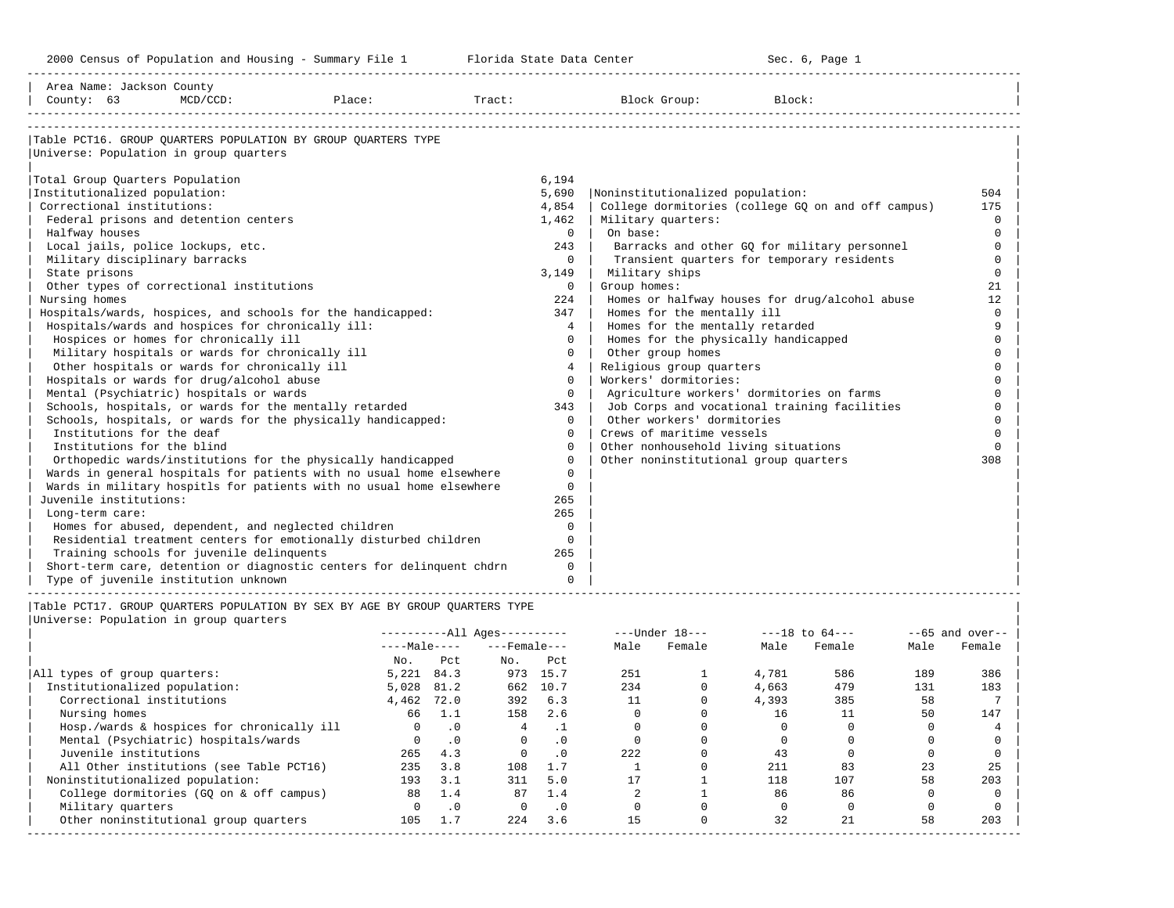| Area Name: Jackson County<br>County: 63                                                                                                                                                                                                                                                                                           | $MCD/CCD$ :                                                                                                                                                                                                                                                                                                                                                                                                                                                                    | Place:                                                                                                                                                                                                                                                                                                                                                                                                                                                                                                                                             | Tract:                                                                                     | Block Group:                                                                                                                                                                                                                                                                                                                                                                                                                                                                                                                       | Block:                                                                                                                                                                                                                                                                                                                                                                                                                   |                                                                                                                                                                                                                  |
|-----------------------------------------------------------------------------------------------------------------------------------------------------------------------------------------------------------------------------------------------------------------------------------------------------------------------------------|--------------------------------------------------------------------------------------------------------------------------------------------------------------------------------------------------------------------------------------------------------------------------------------------------------------------------------------------------------------------------------------------------------------------------------------------------------------------------------|----------------------------------------------------------------------------------------------------------------------------------------------------------------------------------------------------------------------------------------------------------------------------------------------------------------------------------------------------------------------------------------------------------------------------------------------------------------------------------------------------------------------------------------------------|--------------------------------------------------------------------------------------------|------------------------------------------------------------------------------------------------------------------------------------------------------------------------------------------------------------------------------------------------------------------------------------------------------------------------------------------------------------------------------------------------------------------------------------------------------------------------------------------------------------------------------------|--------------------------------------------------------------------------------------------------------------------------------------------------------------------------------------------------------------------------------------------------------------------------------------------------------------------------------------------------------------------------------------------------------------------------|------------------------------------------------------------------------------------------------------------------------------------------------------------------------------------------------------------------|
| Universe: Population in group quarters                                                                                                                                                                                                                                                                                            |                                                                                                                                                                                                                                                                                                                                                                                                                                                                                | Table PCT16. GROUP OUARTERS POPULATION BY GROUP OUARTERS TYPE                                                                                                                                                                                                                                                                                                                                                                                                                                                                                      |                                                                                            |                                                                                                                                                                                                                                                                                                                                                                                                                                                                                                                                    |                                                                                                                                                                                                                                                                                                                                                                                                                          |                                                                                                                                                                                                                  |
| Total Group Quarters Population<br>Institutionalized population:<br>Correctional institutions:<br>Halfway houses<br>Local jails, police lockups, etc.<br>Military disciplinary barracks<br>State prisons<br>Nursing homes<br>Institutions for the deaf<br>Institutions for the blind<br>Juvenile institutions:<br>Long-term care: | Federal prisons and detention centers<br>Other types of correctional institutions<br>Hospitals/wards and hospices for chronically ill:<br>Hospices or homes for chronically ill<br>Military hospitals or wards for chronically ill<br>Other hospitals or wards for chronically ill<br>Hospitals or wards for drug/alcohol abuse<br>Mental (Psychiatric) hospitals or wards<br>Homes for abused, dependent, and neglected children<br>Training schools for juvenile delinquents | Hospitals/wards, hospices, and schools for the handicapped:<br>Schools, hospitals, or wards for the mentally retarded<br>Schools, hospitals, or wards for the physically handicapped:<br>Orthopedic wards/institutions for the physically handicapped<br>Wards in general hospitals for patients with no usual home elsewhere<br>Wards in military hospitls for patients with no usual home elsewhere<br>Residential treatment centers for emotionally disturbed children<br>Short-term care, detention or diagnostic centers for delinquent chdrn | 6,194<br>5,690<br>4,854<br>1,462<br>243<br>3,149<br>224<br>347<br>343<br>265<br>265<br>265 | Noninstitutionalized population:<br>Military quarters:<br>$\Omega$<br>On base:<br>$\Omega$<br>Military ships<br>Group homes:<br>$\Omega$<br>Homes for the mentally ill<br>Homes for the mentally retarded<br>4<br>$\Omega$<br>Other group homes<br>$\Omega$<br>$4\overline{ }$<br>Religious group quarters<br>Workers' dormitories:<br>$\Omega$<br>$\Omega$<br>Other workers' dormitories<br>$\Omega$<br>Crews of maritime vessels<br>$\Omega$<br>$\Omega$<br>$\Omega$<br>$\Omega$<br>$\Omega$<br>$\Omega$<br>$\Omega$<br>$\Omega$ | College dormitories (college GQ on and off campus)<br>Barracks and other GQ for military personnel<br>Transient quarters for temporary residents<br>Homes or halfway houses for drug/alcohol abuse<br>Homes for the physically handicapped<br>Agriculture workers' dormitories on farms<br>Job Corps and vocational training facilities<br>Other nonhousehold living situations<br>Other noninstitutional group quarters | 504<br>175<br>$\mathbf 0$<br>$\Omega$<br>$\Omega$<br>$\mathbf 0$<br>$\Omega$<br>21<br>12<br>$\Omega$<br>9<br>$\Omega$<br>$\Omega$<br>$\Omega$<br>$\Omega$<br>$\Omega$<br>$\Omega$<br>$\Omega$<br>$\Omega$<br>308 |
| Universe: Population in group quarters                                                                                                                                                                                                                                                                                            | Type of juvenile institution unknown                                                                                                                                                                                                                                                                                                                                                                                                                                           | Table PCT17. GROUP OUARTERS POPULATION BY SEX BY AGE BY GROUP OUARTERS TYPE<br>No.<br>Pct                                                                                                                                                                                                                                                                                                                                                                                                                                                          | $---Male-- ---Female---$<br>No.<br>Pct.                                                    | $\Omega$<br>Male<br>Female                                                                                                                                                                                                                                                                                                                                                                                                                                                                                                         | Male<br>Female<br>Male                                                                                                                                                                                                                                                                                                                                                                                                   | $-65$ and over--<br>Female                                                                                                                                                                                       |

|                                            | No.      | Pct       | No.      | Pct       |       |       |     |     |     |
|--------------------------------------------|----------|-----------|----------|-----------|-------|-------|-----|-----|-----|
| All types of group quarters:               | 5,221    | 84.3      | 973      | 15.7      | 251   | 4,781 | 586 | 189 | 386 |
| Institutionalized population:              | 5.028    | 81.2      | 662      | 10.7      | 234   | 4,663 | 479 | 131 | 183 |
| Correctional institutions                  | 4,462    | 72.0      | 392      | 6.3       | 11    | 4,393 | 385 | 58  |     |
| Nursing homes                              | 66       |           | 158      | 2.6       |       | 16    |     | 50  | 147 |
| Hosp./wards & hospices for chronically ill | $\Omega$ | $\cdot$ 0 | 4        |           |       |       |     |     |     |
| Mental (Psychiatric) hospitals/wards       |          | $\cdot$ 0 |          | $\cdot$ 0 |       |       |     |     |     |
| Juvenile institutions                      | 265      | 4.3       |          | .0        | 2.2.2 | 43    |     |     |     |
| All Other institutions (see Table PCT16)   | 235      | 3.8       | 108      | 1.7       |       | 211   | 83  | 23  | 25  |
| Noninstitutionalized population:           | 193      | 3.1       | 311      | 5.0       |       | 118   | 107 | 58  | 203 |
| College dormitories (GO on & off campus)   | 88       | 1.4       | 87       | 1.4       |       | 86    | 86  |     |     |
| Military quarters                          |          | $\cdot$ 0 | $\Omega$ | $\cdot$ 0 |       |       |     |     |     |
| Other noninstitutional group quarters      | 105      | 1.7       | 224      | 3.6       | 15    | 32    | 21  | 58  | 203 |
|                                            |          |           |          |           |       |       |     |     |     |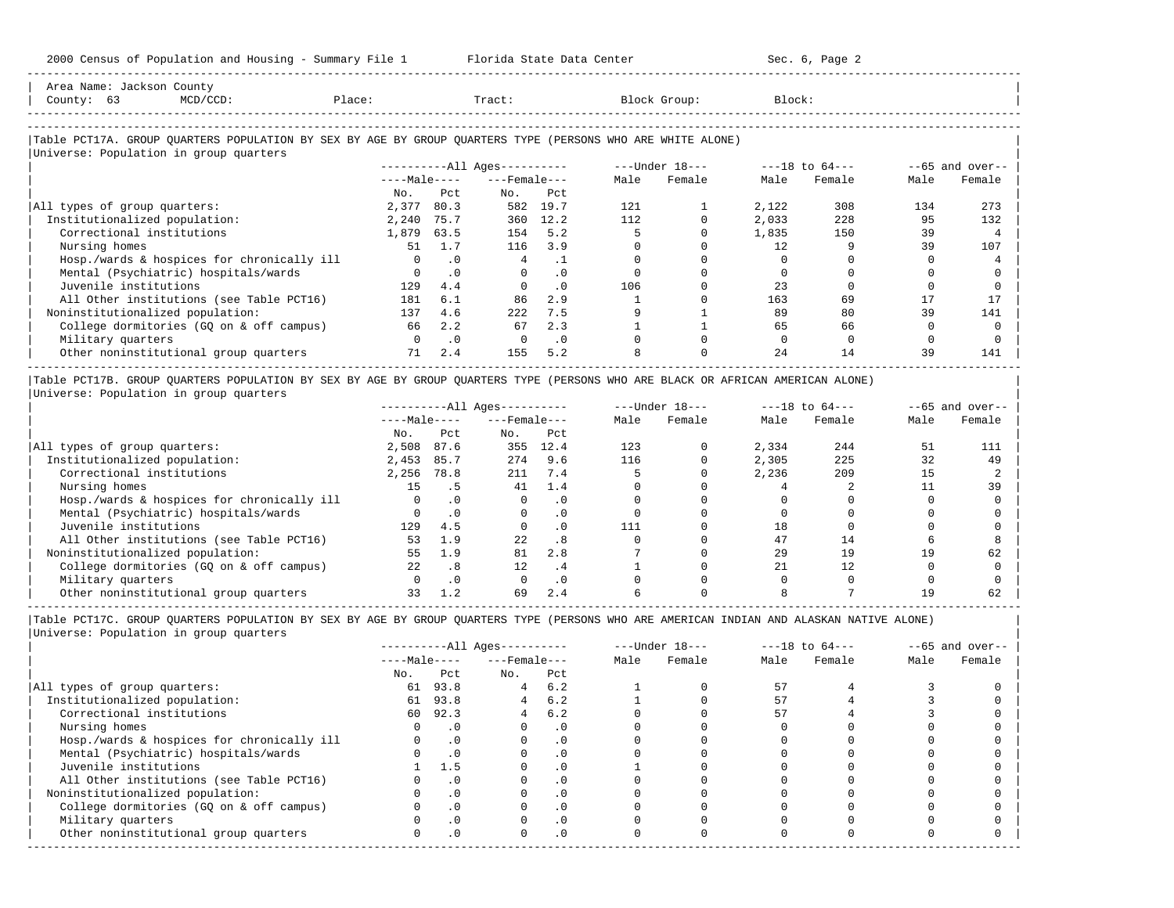-----------------------------------------------------------------------------------------------------------------------------------------------------

| County: 63                       | $MCD/CCD$ :                                                                                                                                          | Place: |                       | Tract:                       |           |      | Block Group:   | Block: |                    |      |                   |
|----------------------------------|------------------------------------------------------------------------------------------------------------------------------------------------------|--------|-----------------------|------------------------------|-----------|------|----------------|--------|--------------------|------|-------------------|
|                                  | Table PCT17A. GROUP QUARTERS POPULATION BY SEX BY AGE BY GROUP QUARTERS TYPE (PERSONS WHO ARE WHITE ALONE)<br>Universe: Population in group quarters |        |                       |                              |           |      |                |        |                    |      |                   |
|                                  |                                                                                                                                                      |        |                       | ----------All Ages---------- |           |      | ---Under 18--- |        | $---18$ to $64---$ |      | $--65$ and over-- |
|                                  |                                                                                                                                                      |        |                       | $---Male-- ---Female---$     |           | Male | Female         | Male   | Female             | Male | Female            |
|                                  |                                                                                                                                                      | No.    | Pct                   | No.                          | Pct       |      |                |        |                    |      |                   |
| All types of group quarters:     |                                                                                                                                                      | 2,377  | 80.3                  |                              | 582 19.7  | 121  |                | 2,122  | 308                | 134  | 273               |
| Institutionalized population:    |                                                                                                                                                      | 2,240  | 75.7                  | 360                          | 12.2      | 112  |                | 2,033  | 228                | 95   | 132               |
| Correctional institutions        |                                                                                                                                                      | 1,879  | 63.5                  | 154                          | 5.2       |      |                | 1,835  | 150                | 39   |                   |
| Nursing homes                    |                                                                                                                                                      | 51     | 1.7                   | 116                          | 3.9       |      |                | 12.    |                    | 39   | 107               |
|                                  | Hosp./wards & hospices for chronically ill                                                                                                           |        | $\cdot$ 0<br>$\Omega$ | 4                            | $\cdot$ 1 |      |                |        |                    |      |                   |
|                                  | Mental (Psychiatric) hospitals/wards                                                                                                                 |        | $\cdot$ 0             | $\Omega$                     | $\cdot$ 0 |      |                |        |                    |      |                   |
| Juvenile institutions            |                                                                                                                                                      | 129    | 4.4                   |                              | .0        | 106  |                | 23     |                    |      |                   |
|                                  | All Other institutions (see Table PCT16)                                                                                                             | 181    | 6.1                   | 86                           | 2.9       |      |                | 163    | 69                 |      | 17                |
| Noninstitutionalized population: |                                                                                                                                                      | 137    | 4.6                   | 222                          | 7.5       |      |                | 89     | 80                 | 39   | 141               |
|                                  | College dormitories (GQ on & off campus)                                                                                                             | 66     | 2.2                   | 67                           | 2.3       |      |                | 65     | 66                 |      |                   |
| Military quarters                |                                                                                                                                                      |        | $\cdot$ 0             | $\Omega$                     | $\cdot$ 0 |      |                |        |                    |      |                   |
|                                  | Other noninstitutional group quarters                                                                                                                | 71     | 2.4                   | 155                          | 5.2       |      |                | 2.4    | 14                 | 39   | 141               |

|Table PCT17B. GROUP QUARTERS POPULATION BY SEX BY AGE BY GROUP QUARTERS TYPE (PERSONS WHO ARE BLACK OR AFRICAN AMERICAN ALONE) | |Universe: Population in group quarters |

|                                            |              |      | $------All Aqes------$ |           |      | $---Under 18---$ | $---18$ to $64---$ |        | $--65$ and over-- |        |
|--------------------------------------------|--------------|------|------------------------|-----------|------|------------------|--------------------|--------|-------------------|--------|
|                                            | $---Male---$ |      | $---$ Female $---$     |           | Male | Female           | Male               | Female | Male              | Female |
|                                            | No.          | Pct  | No.                    | Pct       |      |                  |                    |        |                   |        |
| All types of group quarters:               | 2,508        | 87.6 | 355                    | 12.4      | 123  |                  | 2,334              | 244    | 51                | 111    |
| Institutionalized population:              | 2,453        | 85.7 | 274                    | 9.6       | 116  |                  | 2,305              | 225    | 32                | 49     |
| Correctional institutions                  | 2,256        | 78.8 | 211                    | 7.4       |      |                  | 2,236              | 209    | 15                |        |
| Nursing homes                              | 15           | . 5  | 41                     | 1.4       |      |                  |                    |        |                   | 39     |
| Hosp./wards & hospices for chronically ill |              |      |                        | . 0       |      |                  |                    |        |                   |        |
| Mental (Psychiatric) hospitals/wards       |              |      |                        | $\cdot$ 0 |      |                  |                    |        |                   |        |
| Juvenile institutions                      | 129          | 4.5  |                        | . 0       | 111  |                  | 18                 |        |                   |        |
| All Other institutions (see Table PCT16)   | 53           | 1.9  | 2.2.                   | .8        |      |                  | 47                 | 14     |                   |        |
| Noninstitutionalized population:           | 55           | 1.9  | 81                     | 2.8       |      |                  | 29                 | 19     | 19                | 62     |
| College dormitories (GO on & off campus)   | 22           | .8   | 12                     | .4        |      |                  | 2.1                | 12     |                   |        |
| Military quarters                          |              | .0   |                        | $\cdot$ 0 |      |                  |                    |        |                   |        |
| Other noninstitutional group quarters      | 33           |      | 69                     | 2.4       |      |                  |                    |        |                   | 62     |

-----------------------------------------------------------------------------------------------------------------------------------------------------

|                                            |              |           | $------All Ages------$ |           |      | $---Under 18---$ | $---18$ to $64---$ |        | $--65$ and over-- |        |
|--------------------------------------------|--------------|-----------|------------------------|-----------|------|------------------|--------------------|--------|-------------------|--------|
|                                            | $---Male---$ |           | $---$ Female $---$     |           | Male | Female           | Male               | Female | Male              | Female |
|                                            | No.          | Pct       | No.                    | Pct       |      |                  |                    |        |                   |        |
| All types of group quarters:               | 61           | 93.8      | 4                      | 6.2       |      |                  | 57                 |        |                   |        |
| Institutionalized population:              | 61           | 93.8      |                        | 6.2       |      |                  | 57                 |        |                   |        |
| Correctional institutions                  | 60.          | 92.3      | 4                      | 6.2       |      |                  | 57                 |        |                   |        |
| Nursing homes                              |              | $\cdot$ 0 |                        | $\cdot$ 0 |      |                  |                    |        |                   |        |
| Hosp./wards & hospices for chronically ill |              | $\cdot$ 0 |                        | . 0       |      |                  |                    |        |                   |        |
| Mental (Psychiatric) hospitals/wards       |              | $\cdot$ 0 |                        | . 0       |      |                  |                    |        |                   |        |
| Juvenile institutions                      |              | 1.5       |                        | $\cdot$ 0 |      |                  |                    |        |                   |        |
| All Other institutions (see Table PCT16)   |              | . 0       |                        |           |      |                  |                    |        |                   |        |
| Noninstitutionalized population:           |              | $\cdot$ 0 |                        | $\cdot$ 0 |      |                  |                    |        |                   |        |
| College dormitories (GO on & off campus)   |              |           |                        | $\cdot$ 0 |      |                  |                    |        |                   |        |
| Military quarters                          |              | . 0       |                        | $\cdot$ 0 |      |                  |                    |        |                   |        |
| Other noninstitutional group quarters      | <sup>n</sup> | $\cdot$ 0 |                        | $\cdot$ 0 |      |                  |                    |        |                   |        |
|                                            |              |           |                        |           |      |                  |                    |        |                   |        |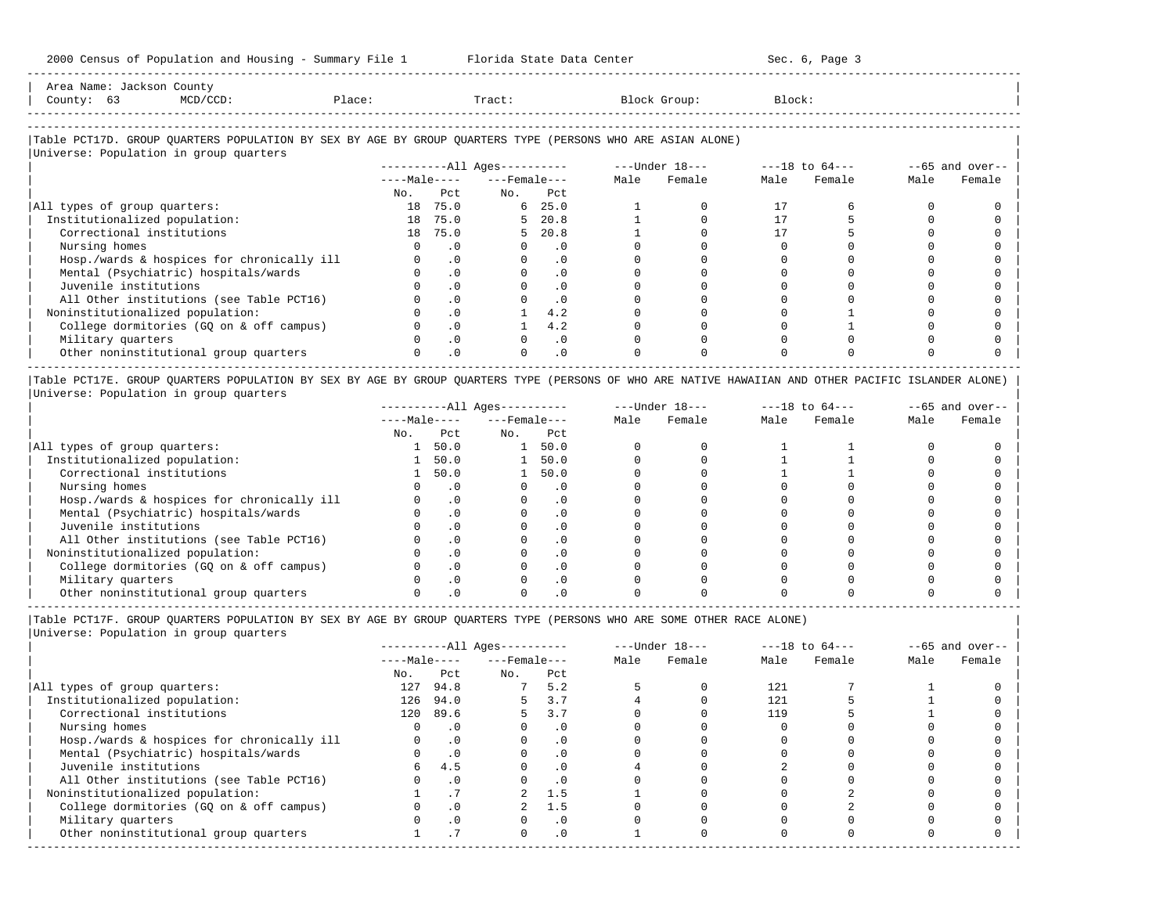| Area   |                          | ullu v                                                                          |          |       |       |
|--------|--------------------------|---------------------------------------------------------------------------------|----------|-------|-------|
| County |                          | the contract of the contract of the contract of the contract of the contract of | . ۱۵۵۵ ت | Tract | rock: |
|        | ------------------------ |                                                                                 |          |       |       |

-----------------------------------------------------------------------------------------------------------------------------------------------------

## |Table PCT17D. GROUP QUARTERS POPULATION BY SEX BY AGE BY GROUP QUARTERS TYPE (PERSONS WHO ARE ASIAN ALONE) |

|                                            |              |           | $------All Ages------$ |           | $---Under 18---$ |        | $---18$ to $64---$ |        |      | $--65$ and over-- |
|--------------------------------------------|--------------|-----------|------------------------|-----------|------------------|--------|--------------------|--------|------|-------------------|
|                                            | $---Male---$ |           | $---$ Female $---$     |           | Male             | Female | Male               | Female | Male | Female            |
|                                            | No.          | Pct       | No.                    | Pct       |                  |        |                    |        |      |                   |
| All types of group quarters:               | 18           | 75.0      |                        | 6, 25.0   |                  |        | 17                 |        |      |                   |
| Institutionalized population:              |              | 18 75.0   |                        | 5, 20.8   |                  |        |                    |        |      |                   |
| Correctional institutions                  |              | 18 75.0   |                        | 5, 20.8   |                  |        |                    |        |      |                   |
| Nursing homes                              |              | . 0       |                        | . 0       |                  |        |                    |        |      |                   |
| Hosp./wards & hospices for chronically ill |              | $\cdot$ 0 |                        | . 0       |                  |        |                    |        |      |                   |
| Mental (Psychiatric) hospitals/wards       |              | $\cdot$ 0 |                        | $\cdot$ 0 |                  |        |                    |        |      |                   |
| Juvenile institutions                      |              | $\cdot$ 0 |                        | $\cdot$ 0 |                  |        |                    |        |      |                   |
| All Other institutions (see Table PCT16)   |              | $\cdot$ 0 |                        | $\cdot$ 0 |                  |        |                    |        |      |                   |
| Noninstitutionalized population:           |              | $\cdot$ 0 |                        | 4.2       |                  |        |                    |        |      |                   |
| College dormitories (GQ on & off campus)   |              | $\cdot$ 0 |                        | 4.2       |                  |        |                    |        |      |                   |
| Military quarters                          |              | $\cdot$ 0 |                        | $\cdot$ 0 |                  |        |                    |        |      |                   |
| Other noninstitutional group quarters      |              | $\cdot$ 0 |                        | $\cdot$ 0 |                  |        |                    |        |      |                   |

|Table PCT17E. GROUP QUARTERS POPULATION BY SEX BY AGE BY GROUP QUARTERS TYPE (PERSONS OF WHO ARE NATIVE HAWAIIAN AND OTHER PACIFIC ISLANDER ALONE) | |Universe: Population in group quarters |

|                                            |              |           | $------All Aqes------$ |           |      | $---Under 18---$ |      | $---18$ to $64---$ |      | $--65$ and over-- |
|--------------------------------------------|--------------|-----------|------------------------|-----------|------|------------------|------|--------------------|------|-------------------|
|                                            | $---Male---$ |           | $---$ Female $---$     |           | Male | Female           | Male | Female             | Male | Female            |
|                                            | No.          | Pct       | No.                    | Pct       |      |                  |      |                    |      |                   |
| All types of group quarters:               |              | 50.0      |                        | 50.0      |      |                  |      |                    |      |                   |
| Institutionalized population:              |              | 50.0      |                        | 50.0      |      |                  |      |                    |      |                   |
| Correctional institutions                  |              | 50.0      |                        | 50.0      |      |                  |      |                    |      |                   |
| Nursing homes                              |              |           |                        | $\cdot$ 0 |      |                  |      |                    |      |                   |
| Hosp./wards & hospices for chronically ill |              | $\cdot$ 0 |                        | $\cdot$ 0 |      |                  |      |                    |      |                   |
| Mental (Psychiatric) hospitals/wards       |              |           |                        | $\cdot$ 0 |      |                  |      |                    |      |                   |
| Juvenile institutions                      |              | $\cdot$ 0 |                        | . 0       |      |                  |      |                    |      |                   |
| All Other institutions (see Table PCT16)   |              |           |                        |           |      |                  |      |                    |      |                   |
| Noninstitutionalized population:           |              |           |                        |           |      |                  |      |                    |      |                   |
| College dormitories (GO on & off campus)   |              |           |                        |           |      |                  |      |                    |      |                   |
| Military quarters                          |              |           |                        |           |      |                  |      |                    |      |                   |
| Other noninstitutional group quarters      |              |           |                        |           |      |                  |      |                    |      |                   |

-----------------------------------------------------------------------------------------------------------------------------------------------------

|Table PCT17F. GROUP QUARTERS POPULATION BY SEX BY AGE BY GROUP QUARTERS TYPE (PERSONS WHO ARE SOME OTHER RACE ALONE) |

|                                            |              |           | $------All Ages------$ |           | $---Under 18---$ |        | $---18$ to $64---$ |        | $--65$ and over-- |        |
|--------------------------------------------|--------------|-----------|------------------------|-----------|------------------|--------|--------------------|--------|-------------------|--------|
|                                            | $---Male---$ |           | $---$ Female $---$     |           | Male             | Female | Male               | Female | Male              | Female |
|                                            | No.          | Pct       | No.                    | Pct       |                  |        |                    |        |                   |        |
| All types of group quarters:               | 127          | 94.8      |                        | 5.2       |                  |        | 121                |        |                   |        |
| Institutionalized population:              | 126          | 94.0      |                        | 3.7       |                  |        | 121                |        |                   |        |
| Correctional institutions                  | 120          | 89.6      |                        | 3.7       |                  |        | 119                |        |                   |        |
| Nursing homes                              |              | $\cdot$ 0 |                        | $\cdot$ 0 |                  |        |                    |        |                   |        |
| Hosp./wards & hospices for chronically ill |              | $\cdot$ 0 |                        | $\cdot$ 0 |                  |        |                    |        |                   |        |
| Mental (Psychiatric) hospitals/wards       |              | $\cdot$ 0 |                        |           |                  |        |                    |        |                   |        |
| Juvenile institutions                      | 6.           | 4.5       |                        | .0        |                  |        |                    |        |                   |        |
| All Other institutions (see Table PCT16)   |              | $\cdot$ 0 |                        |           |                  |        |                    |        |                   |        |
| Noninstitutionalized population:           |              |           |                        | 1.5       |                  |        |                    |        |                   |        |
| College dormitories (GQ on & off campus)   |              | $\cdot$ 0 |                        | 1.5       |                  |        |                    |        |                   |        |
| Military quarters                          |              | $\cdot$ 0 |                        | $\cdot$ 0 |                  |        |                    |        |                   |        |
| Other noninstitutional group quarters      |              |           |                        | $\cdot$ 0 |                  |        |                    |        |                   |        |
|                                            |              |           |                        |           |                  |        |                    |        |                   |        |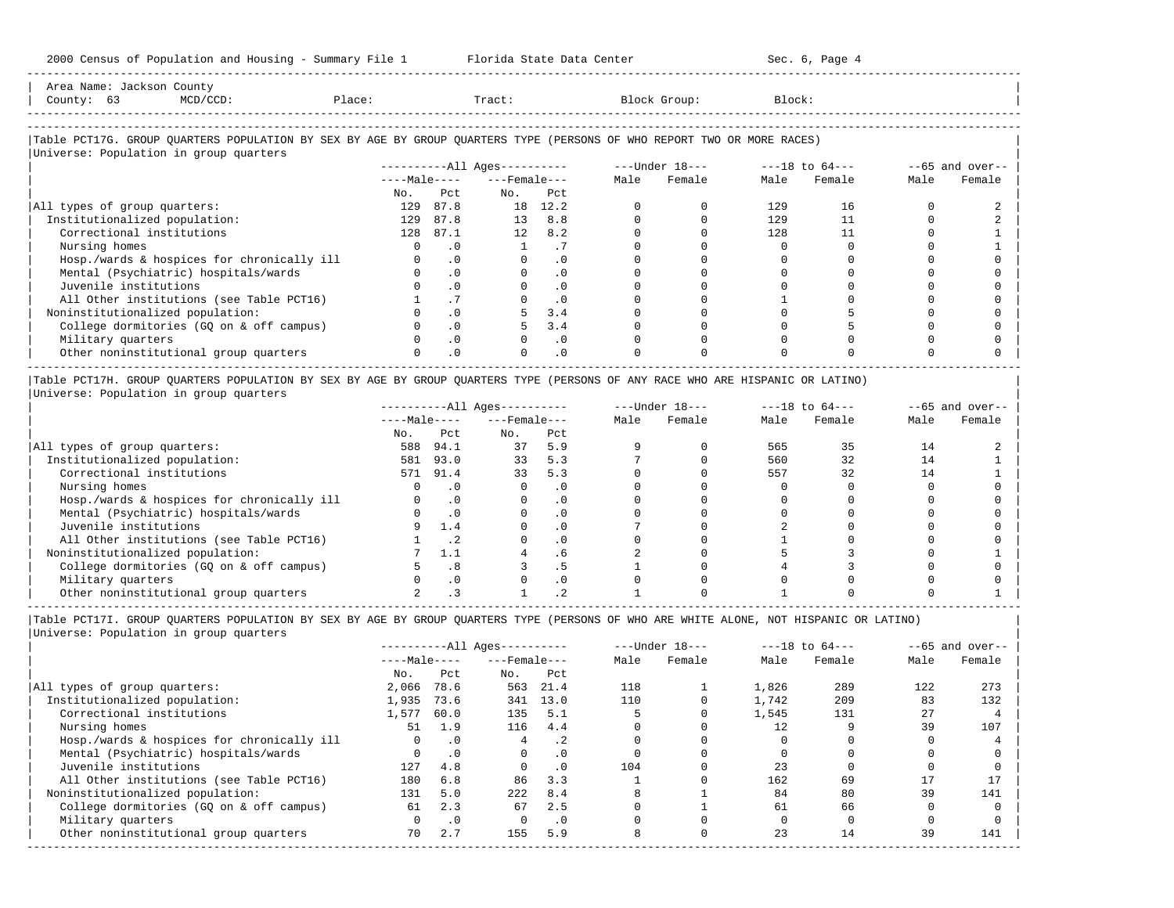| zooo census of ropulation and housing - summary rile I is a ricrida state bata center                                         |     |                            |                          |                |      |              |        | Sec. o, raye 4 |      |                                                  |
|-------------------------------------------------------------------------------------------------------------------------------|-----|----------------------------|--------------------------|----------------|------|--------------|--------|----------------|------|--------------------------------------------------|
| Area Name: Jackson County<br>Place:<br>County: 63<br>MCD/CCD:                                                                 |     |                            | Tract:                   |                |      | Block Group: | Block: |                |      |                                                  |
| Table PCT17G. GROUP QUARTERS POPULATION BY SEX BY AGE BY GROUP QUARTERS TYPE (PERSONS OF WHO REPORT TWO OR MORE RACES)        |     |                            |                          |                |      |              |        |                |      |                                                  |
| Universe: Population in group quarters                                                                                        |     |                            |                          |                |      |              |        |                |      |                                                  |
|                                                                                                                               |     |                            |                          |                |      |              |        |                |      | $-65$ and over--                                 |
|                                                                                                                               |     |                            | $---Male-- ---Female---$ |                | Male | Female       | Male   | Female         | Male | Female                                           |
|                                                                                                                               | No. | Pct.                       | No.                      | Pct.           |      |              |        |                |      |                                                  |
| All types of group quarters:                                                                                                  | 129 | 87.8                       |                          | 18 12.2        |      |              | 129    | 16             |      |                                                  |
| Institutionalized population:                                                                                                 | 129 | 87.8                       |                          | 13 8.8         |      |              | 129    | 11             |      |                                                  |
| Correctional institutions                                                                                                     |     | 128 87.1                   | 12                       | 8.2            |      |              | 128    | 11             |      |                                                  |
| Nursing homes                                                                                                                 |     | .0                         | $\mathbf{1}$             | .7             |      |              |        |                |      |                                                  |
| Hosp./wards & hospices for chronically ill                                                                                    |     | .0                         | $\mathbf 0$              | $\cdot$ 0      |      |              |        |                |      |                                                  |
| Mental (Psychiatric) hospitals/wards                                                                                          |     | $\cdot$ 0                  |                          | $\cdot$ 0      |      |              |        |                |      |                                                  |
| Juvenile institutions                                                                                                         |     | $\cdot$ 0                  |                          | $\cdot$ 0      |      |              |        |                |      |                                                  |
| All Other institutions (see Table PCT16)                                                                                      |     | .7                         |                          | $\overline{0}$ |      |              |        |                |      |                                                  |
| Noninstitutionalized population:                                                                                              |     | $\cdot$ 0                  |                          | 3.4            |      |              |        |                |      |                                                  |
| College dormitories (GQ on & off campus)                                                                                      |     | $\cdot$ 0                  |                          | 3.4            |      |              |        |                |      |                                                  |
| Military quarters                                                                                                             |     | $\overline{\phantom{0}}$ . |                          | $\cdot$ 0      |      |              |        |                |      |                                                  |
| Other noninstitutional group quarters                                                                                         |     | .0                         |                          | $\cdot$ 0      |      |              |        |                |      |                                                  |
| Table PCT17H. GROUP QUARTERS POPULATION BY SEX BY AGE BY GROUP QUARTERS TYPE (PERSONS OF ANY RACE WHO ARE HISPANIC OR LATINO) |     |                            |                          |                |      |              |        |                |      |                                                  |
| Universe: Population in group quarters                                                                                        |     |                            |                          |                |      |              |        |                |      |                                                  |
|                                                                                                                               |     |                            |                          |                |      |              |        |                |      | $--65$ and over--                                |
|                                                                                                                               |     |                            |                          |                |      |              |        | $\mathbf{v}$   |      | $\sim$ $\sim$ $\sim$ $\sim$ $\sim$ $\sim$ $\sim$ |

|                                            | $---Male---$ |      | $---$ Female $---$ |          | Male | Female | Male | Female | Male | Female |
|--------------------------------------------|--------------|------|--------------------|----------|------|--------|------|--------|------|--------|
|                                            | No.          | Pct  | No.                | Pct      |      |        |      |        |      |        |
| All types of group quarters:               | 588          | 94.1 | 37                 | 5.9      |      |        | 565  |        | 4    |        |
| Institutionalized population:              | 581          | 93.0 | 33                 | 5.3      |      |        | 560  | 32     | 14   |        |
| Correctional institutions                  | 571          | 91.4 | 33                 | 5.3      |      |        | 557  | 32     |      |        |
| Nursing homes                              |              |      |                    |          |      |        |      |        |      |        |
| Hosp./wards & hospices for chronically ill |              |      |                    | . 0      |      |        |      |        |      |        |
| Mental (Psychiatric) hospitals/wards       |              |      |                    | $\Omega$ |      |        |      |        |      |        |
| Juvenile institutions                      |              | 1.4  |                    |          |      |        |      |        |      |        |
| All Other institutions (see Table PCT16)   |              |      |                    |          |      |        |      |        |      |        |
| Noninstitutionalized population:           |              |      |                    | . 6      |      |        |      |        |      |        |
| College dormitories (GQ on & off campus)   |              | . 8  |                    |          |      |        |      |        |      |        |
| Military quarters                          |              |      |                    |          |      |        |      |        |      |        |
| Other noninstitutional group quarters      |              |      |                    |          |      |        |      |        |      |        |

|Table PCT17I. GROUP QUARTERS POPULATION BY SEX BY AGE BY GROUP QUARTERS TYPE (PERSONS OF WHO ARE WHITE ALONE, NOT HISPANIC OR LATINO) | |Universe: Population in group quarters |

-----------------------------------------------------------------------------------------------------------------------------------------------------

|                                            | $------All Aqes------$ |           |                    |           | $---Under 18---$ |        | $---18$ to $64---$ |        | $--65$ and over-- |        |
|--------------------------------------------|------------------------|-----------|--------------------|-----------|------------------|--------|--------------------|--------|-------------------|--------|
|                                            | $---Male---$           |           | $---$ Female $---$ |           | Male             | Female | Male               | Female | Male              | Female |
|                                            | No.                    | Pct       | No.                | Pct       |                  |        |                    |        |                   |        |
| All types of group quarters:               | 2,066                  | 78.6      | 563                | 21.4      | 118              |        | 1,826              | 289    | 122               | 273    |
| Institutionalized population:              | 1,935                  | 73.6      | 341                | 13.0      | 110              |        | 1,742              | 209    | 83                | 132    |
| Correctional institutions                  | 1,577                  | 60.0      | 135                | 5.1       |                  |        | 1,545              | 131    | 27                |        |
| Nursing homes                              | 51                     | 1.9       | 116                | 4.4       |                  |        |                    |        | 39                | 107    |
| Hosp./wards & hospices for chronically ill | $\Omega$               | $\cdot$ 0 | 4                  | $\cdot$ 2 |                  |        |                    |        |                   |        |
| Mental (Psychiatric) hospitals/wards       | 0                      | $\cdot$ 0 | $\Omega$           | . 0       |                  |        |                    |        |                   |        |
| Juvenile institutions                      | 127                    | 4.8       |                    | $\cdot$ 0 | 104              |        | 23                 |        |                   |        |
| All Other institutions (see Table PCT16)   | 180                    | 6.8       | 86                 | 3.3       |                  |        | 162                | 69     | 17                |        |
| Noninstitutionalized population:           | 131                    | 5.0       | 222                | 8.4       |                  |        | 84                 | 80     | 39                | 141    |
| College dormitories (GO on & off campus)   | 61                     | 2.3       | 67                 | 2.5       |                  |        | 61                 | 66     |                   |        |
| Military quarters                          |                        | $\cdot$ 0 |                    | $\cdot$ 0 |                  |        |                    |        |                   |        |
| Other noninstitutional group quarters      | 70                     | 2.7       | 155                | 5.9       |                  |        | 23                 | 14     | 39                | 141    |
|                                            |                        |           |                    |           |                  |        |                    |        |                   |        |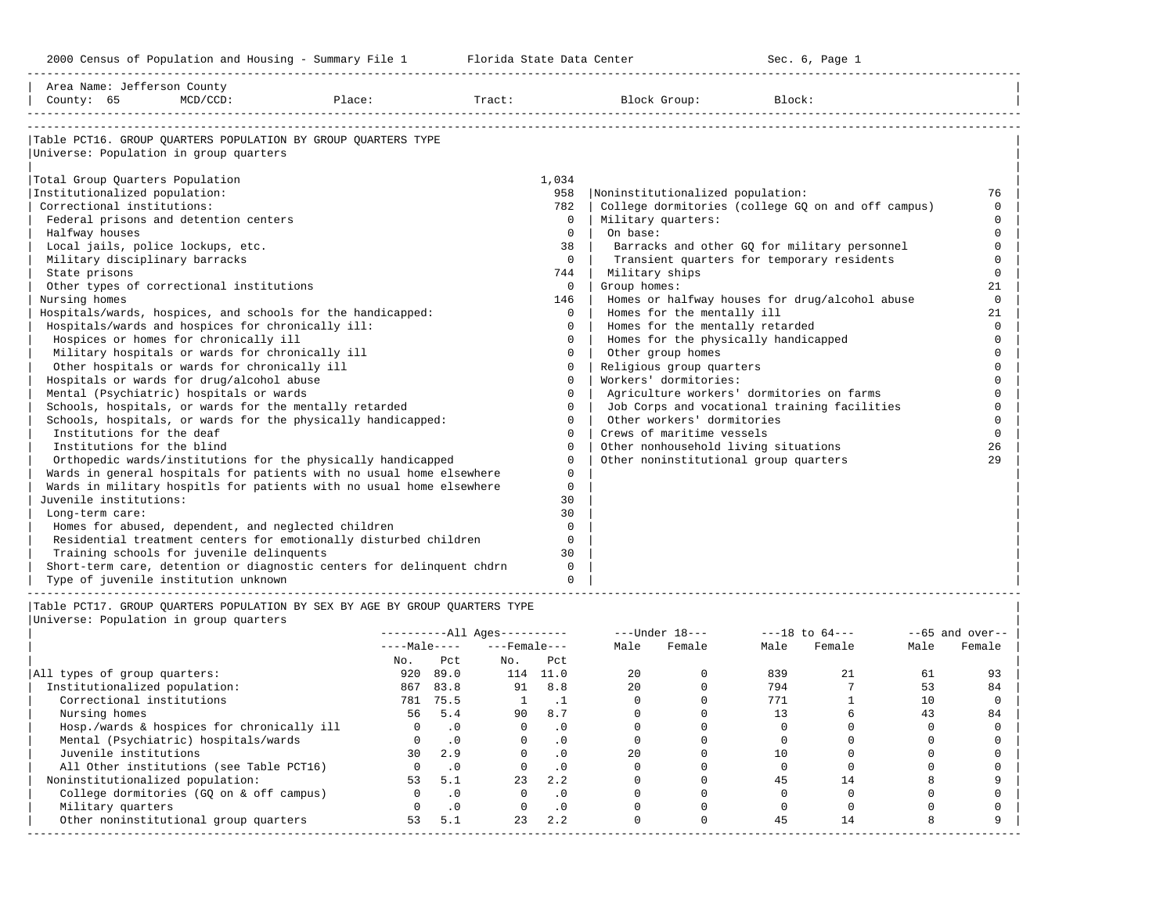-----------------------------------------------------------------------------------------------------------------------------------------------------

| Area Name: Jefferson County                       |             |                                                                       |        |             |                                           |                                                    |          |
|---------------------------------------------------|-------------|-----------------------------------------------------------------------|--------|-------------|-------------------------------------------|----------------------------------------------------|----------|
| County: 65                                        | $MCD/CCD$ : | Place:                                                                | Tract: |             | Block Group:                              | Block:                                             |          |
|                                                   |             |                                                                       |        |             |                                           |                                                    |          |
|                                                   |             | Table PCT16. GROUP QUARTERS POPULATION BY GROUP QUARTERS TYPE         |        |             |                                           |                                                    |          |
| Universe: Population in group quarters            |             |                                                                       |        |             |                                           |                                                    |          |
|                                                   |             |                                                                       |        |             |                                           |                                                    |          |
| Total Group Quarters Population                   |             |                                                                       |        | 1,034       |                                           |                                                    |          |
| Institutionalized population:                     |             |                                                                       |        | 958         | Noninstitutionalized population:          |                                                    | 76       |
| Correctional institutions:                        |             |                                                                       |        | 782         |                                           | College dormitories (college GO on and off campus) | $\Omega$ |
| Federal prisons and detention centers             |             |                                                                       |        | $\Omega$    | Military quarters:                        |                                                    | $\cap$   |
| Halfway houses                                    |             |                                                                       |        | $\Omega$    | On base:                                  |                                                    | $\Omega$ |
| Local jails, police lockups, etc.                 |             |                                                                       |        | 38          |                                           | Barracks and other GQ for military personnel       | $\Omega$ |
| Military disciplinary barracks                    |             |                                                                       |        | $\Omega$    |                                           | Transient quarters for temporary residents         | $\Omega$ |
| State prisons                                     |             |                                                                       |        | 744         | Military ships                            |                                                    | $\cap$   |
| Other types of correctional institutions          |             |                                                                       |        | $\Omega$    | Group homes:                              |                                                    | 21       |
| Nursing homes                                     |             |                                                                       |        | 146         |                                           | Homes or halfway houses for drug/alcohol abuse     | $\Omega$ |
|                                                   |             | Hospitals/wards, hospices, and schools for the handicapped:           |        | $\Omega$    | Homes for the mentally ill                |                                                    | 21       |
| Hospitals/wards and hospices for chronically ill: |             |                                                                       |        | $\Omega$    | Homes for the mentally retarded           |                                                    | $\Omega$ |
| Hospices or homes for chronically ill             |             |                                                                       |        | $\Omega$    | Homes for the physically handicapped      |                                                    | $\Omega$ |
| Military hospitals or wards for chronically ill   |             |                                                                       |        | $\Omega$    | Other group homes                         |                                                    |          |
| Other hospitals or wards for chronically ill      |             |                                                                       |        | $\mathbf 0$ | Religious group quarters                  |                                                    |          |
| Hospitals or wards for drug/alcohol abuse         |             |                                                                       |        | $\Omega$    | Workers' dormitories:                     |                                                    |          |
| Mental (Psychiatric) hospitals or wards           |             |                                                                       |        | $\Omega$    | Agriculture workers' dormitories on farms |                                                    |          |
|                                                   |             | Schools, hospitals, or wards for the mentally retarded                |        | $\Omega$    |                                           | Job Corps and vocational training facilities       | $\cap$   |
|                                                   |             | Schools, hospitals, or wards for the physically handicapped:          |        | $\Omega$    | Other workers' dormitories                |                                                    | $\cap$   |
| Institutions for the deaf                         |             |                                                                       |        | $\Omega$    | Crews of maritime vessels                 |                                                    | $\Omega$ |
| Institutions for the blind                        |             |                                                                       |        | $\Omega$    | Other nonhousehold living situations      |                                                    | 26       |
|                                                   |             | Orthopedic wards/institutions for the physically handicapped          |        | $\Omega$    | Other noninstitutional group quarters     |                                                    | 29       |
|                                                   |             | Wards in general hospitals for patients with no usual home elsewhere  |        | $\Omega$    |                                           |                                                    |          |
|                                                   |             | Wards in military hospitls for patients with no usual home elsewhere  |        | $\Omega$    |                                           |                                                    |          |
| Juvenile institutions:                            |             |                                                                       |        | 30          |                                           |                                                    |          |
| Long-term care:                                   |             |                                                                       |        | 30          |                                           |                                                    |          |
|                                                   |             | Homes for abused, dependent, and neglected children                   |        | $\Omega$    |                                           |                                                    |          |
|                                                   |             | Residential treatment centers for emotionally disturbed children      |        | $\Omega$    |                                           |                                                    |          |
| Training schools for juvenile delinquents         |             |                                                                       |        | 30          |                                           |                                                    |          |
|                                                   |             | Short-term care, detention or diagnostic centers for delinquent chdrn |        | $\Omega$    |                                           |                                                    |          |
| Type of juvenile institution unknown              |             |                                                                       |        | $\Omega$    |                                           |                                                    |          |
|                                                   |             |                                                                       |        |             |                                           |                                                    |          |

|Table PCT17. GROUP QUARTERS POPULATION BY SEX BY AGE BY GROUP QUARTERS TYPE | |Universe: Population in group quarters |

|                                            | $------All Ages------$ |           |                    |           | $---Under 18---$ |        | $---18$ to $64---$ |        | $--65$ and over-- |        |
|--------------------------------------------|------------------------|-----------|--------------------|-----------|------------------|--------|--------------------|--------|-------------------|--------|
|                                            | $---Male---$           |           | $---$ Female $---$ |           | Male             | Female | Male               | Female | Male              | Female |
|                                            | No.                    | Pct.      | No.                | Pct       |                  |        |                    |        |                   |        |
| All types of group quarters:               | 920                    | 89.0      | 114                | 11.0      | 2.0              |        | 839                | 2.1    | 61                | 93     |
| Institutionalized population:              | 867                    | 83.8      | 91                 | 8.8       | 20               |        | 794                |        | 53                | 84     |
| Correctional institutions                  | 781                    | 75.5      |                    |           |                  |        | 771                |        | 10                |        |
| Nursing homes                              | 56                     | 5.4       | 90                 | 8.7       |                  |        |                    |        | 43                | 84     |
| Hosp./wards & hospices for chronically ill |                        | . 0       |                    | . 0       |                  |        |                    |        |                   |        |
| Mental (Psychiatric) hospitals/wards       |                        | .0        |                    | . 0       |                  |        |                    |        |                   |        |
| Juvenile institutions                      | 30                     | 2.9       |                    | . 0       | 2.0              |        |                    |        |                   |        |
| All Other institutions (see Table PCT16)   |                        |           |                    | . 0       |                  |        |                    |        |                   |        |
| Noninstitutionalized population:           | 53                     | 5.1       | 23                 | 2.2       |                  |        | 45                 | 14     |                   |        |
| College dormitories (GQ on & off campus)   |                        | $\cdot$ 0 |                    | $\cdot$ 0 |                  |        |                    |        |                   |        |
| Military quarters                          |                        | .0        |                    | $\cdot$ 0 |                  |        |                    |        |                   |        |
| Other noninstitutional group quarters      | 53                     | 5.1       | 23                 | 2.2       |                  |        | 45                 | 14     |                   |        |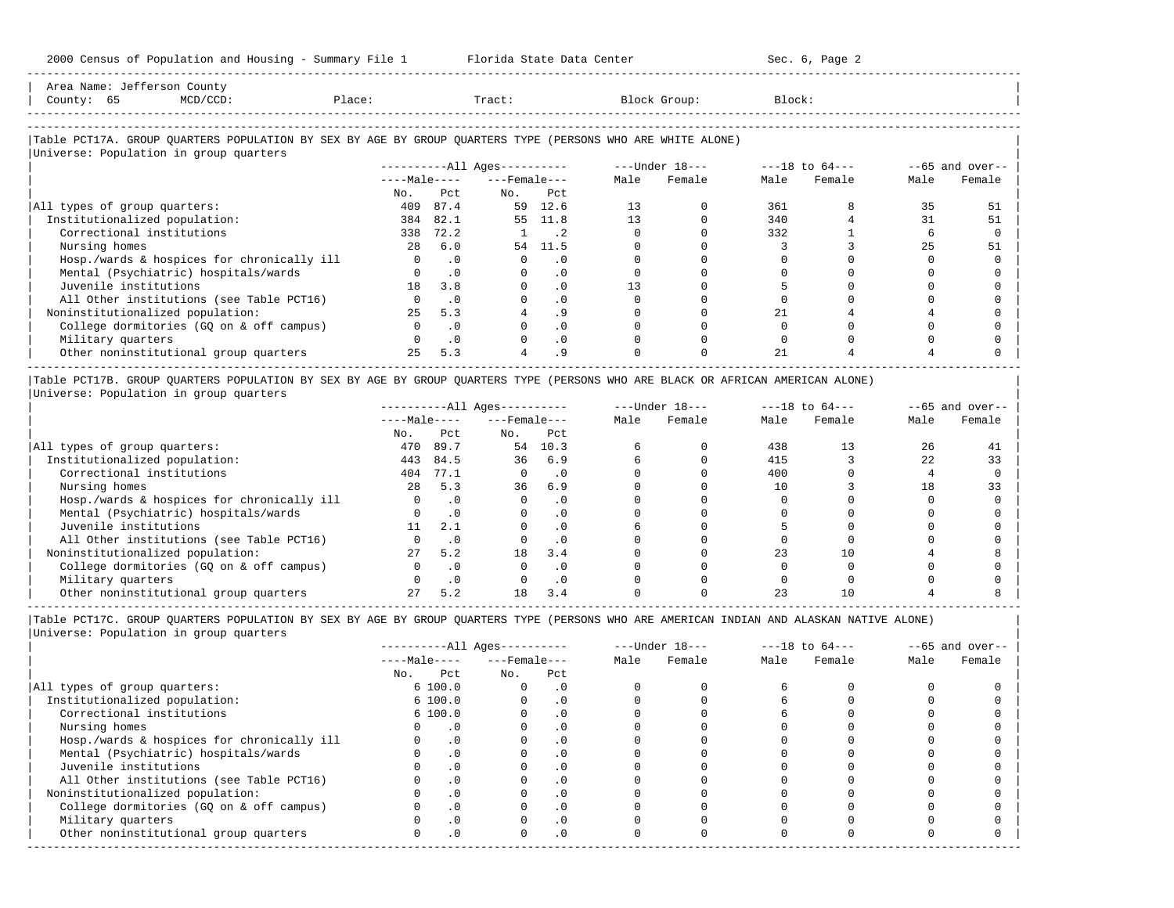| Area Name: | Jefferson  | County |        |       |              |        |
|------------|------------|--------|--------|-------|--------------|--------|
| County:    | $ -$<br>65 |        | Place: | Tract | Block Group: | Block: |
|            |            |        |        |       |              |        |
|            |            |        |        |       |              |        |

-----------------------------------------------------------------------------------------------------------------------------------------------------

#### |Table PCT17A. GROUP QUARTERS POPULATION BY SEX BY AGE BY GROUP QUARTERS TYPE (PERSONS WHO ARE WHITE ALONE) | |<br>|Universe: Population in group quarters

|                                            | $------All \text{Aqes}---$ |           |                    |           |      | $---Under 18---$ |      | $---18$ to $64---$ | $--65$ and over-- |        |
|--------------------------------------------|----------------------------|-----------|--------------------|-----------|------|------------------|------|--------------------|-------------------|--------|
|                                            | $---Male---$               |           | $---$ Female $---$ |           | Male | Female           | Male | Female             | Male              | Female |
|                                            | No.                        | Pct.      | No.                | Pct       |      |                  |      |                    |                   |        |
| All types of group quarters:               | 409                        | 87.4      | 59                 | 12.6      | 13   |                  | 361  |                    | 35                | 51     |
| Institutionalized population:              | 384                        | 82.1      | 55                 | 11.8      | 13   |                  | 340  |                    | 31                | 51     |
| Correctional institutions                  | 338                        | 72.2      |                    | $\cdot$ 2 |      |                  | 332  |                    |                   |        |
| Nursing homes                              | 2.8                        | 6.0       |                    | 54 11.5   |      |                  |      |                    | 25                | 51     |
| Hosp./wards & hospices for chronically ill |                            | $\cdot$ 0 |                    |           |      |                  |      |                    |                   |        |
| Mental (Psychiatric) hospitals/wards       |                            | $\cdot$ 0 |                    | . 0       |      |                  |      |                    |                   |        |
| Juvenile institutions                      | 18                         | 3.8       |                    | . 0       | 13   |                  |      |                    |                   |        |
| All Other institutions (see Table PCT16)   |                            | $\cdot$ 0 |                    | $\cdot$ 0 |      |                  |      |                    |                   |        |
| Noninstitutionalized population:           | 25                         | 5.3       |                    | . 9       |      |                  |      |                    |                   |        |
| College dormitories (GO on & off campus)   |                            | $\cdot$ 0 |                    | $\cdot$ 0 |      |                  |      |                    |                   |        |
| Military quarters                          |                            | $\cdot$ 0 |                    | $\cdot$ 0 |      |                  |      |                    |                   |        |
| Other noninstitutional group quarters      | 2.5                        | 5.3       |                    | .9        |      |                  | 21   |                    |                   |        |

|Table PCT17B. GROUP QUARTERS POPULATION BY SEX BY AGE BY GROUP QUARTERS TYPE (PERSONS WHO ARE BLACK OR AFRICAN AMERICAN ALONE) | |Universe: Population in group quarters |

|                                            | $------All Ages------$ |      |                    |           | $---Under 18---$ |        | $---18$ to $64---$ |        | $--65$ and over-- |        |
|--------------------------------------------|------------------------|------|--------------------|-----------|------------------|--------|--------------------|--------|-------------------|--------|
|                                            | $---Male---$           |      | $---$ Female $---$ |           | Male             | Female | Male               | Female | Male              | Female |
|                                            | No.                    | Pct  | No.                | Pct       |                  |        |                    |        |                   |        |
| All types of group quarters:               | 470                    | 89.7 | 54                 | 10.3      |                  |        | 438                |        | 26                |        |
| Institutionalized population:              | 443                    | 84.5 | 36                 | 6.9       |                  |        | 415                |        | 22                | 33     |
| Correctional institutions                  | 404                    | 77.1 |                    | . 0       |                  |        | 400                |        |                   |        |
| Nursing homes                              | 2.8                    | 5.3  | 36                 | 6.9       |                  |        | 10                 |        | 18                | 33     |
| Hosp./wards & hospices for chronically ill |                        |      |                    |           |                  |        |                    |        |                   |        |
| Mental (Psychiatric) hospitals/wards       |                        |      |                    |           |                  |        |                    |        |                   |        |
| Juvenile institutions                      |                        | 2.1  |                    | . 0       |                  |        |                    |        |                   |        |
| All Other institutions (see Table PCT16)   |                        |      |                    | . 0       |                  |        |                    |        |                   |        |
| Noninstitutionalized population:           | 27                     | 5.2  | 18                 | 3.4       |                  |        | 23                 |        |                   |        |
| College dormitories (GO on & off campus)   |                        |      |                    | $\cdot$ 0 |                  |        |                    |        |                   |        |
| Military quarters                          |                        | . 0  |                    | . 0       |                  |        |                    |        |                   |        |
| Other noninstitutional group quarters      |                        | 5.2  | 18                 | 3.4       |                  |        |                    |        |                   |        |

----------------------------------------------------------------------------------------------------------------------------------------------------- |Table PCT17C. GROUP QUARTERS POPULATION BY SEX BY AGE BY GROUP QUARTERS TYPE (PERSONS WHO ARE AMERICAN INDIAN AND ALASKAN NATIVE ALONE) | |Universe: Population in group quarters |

|                                            | $------All Aqes------$ |           |                    |            |      | $---Under 18---$ | $---18$ to $64---$ |        | $--65$ and over-- |        |
|--------------------------------------------|------------------------|-----------|--------------------|------------|------|------------------|--------------------|--------|-------------------|--------|
|                                            | $---Male---$           |           | $---$ Female $---$ |            | Male | Female           | Male               | Female | Male              | Female |
|                                            | No.                    | Pct       | No.                | Pct        |      |                  |                    |        |                   |        |
| All types of group quarters:               |                        | 6100.0    |                    | . 0        |      |                  |                    |        |                   |        |
| Institutionalized population:              |                        | 6100.0    |                    | $\cdot$ 0  |      |                  |                    |        |                   |        |
| Correctional institutions                  |                        | 6100.0    |                    | . 0        |      |                  |                    |        |                   |        |
| Nursing homes                              |                        |           |                    | $\cdot$ 0  |      |                  |                    |        |                   |        |
| Hosp./wards & hospices for chronically ill |                        | $\cdot$ 0 |                    |            |      |                  |                    |        |                   |        |
| Mental (Psychiatric) hospitals/wards       |                        | $\cdot$ 0 |                    | . 0        |      |                  |                    |        |                   |        |
| Juvenile institutions                      |                        |           |                    | . 0        |      |                  |                    |        |                   |        |
| All Other institutions (see Table PCT16)   |                        | $\cdot$ 0 |                    |            |      |                  |                    |        |                   |        |
| Noninstitutionalized population:           |                        | $\cdot$ 0 |                    | .0         |      |                  |                    |        |                   |        |
| College dormitories (GQ on & off campus)   |                        |           |                    | $\cdot$ 0  |      |                  |                    |        |                   |        |
| Military quarters                          |                        | . 0       |                    | . 0        |      |                  |                    |        |                   |        |
| Other noninstitutional group quarters      | <sup>n</sup>           | $\cdot$ 0 |                    | $.0 \cdot$ |      |                  |                    |        |                   |        |
|                                            |                        |           |                    |            |      |                  |                    |        |                   |        |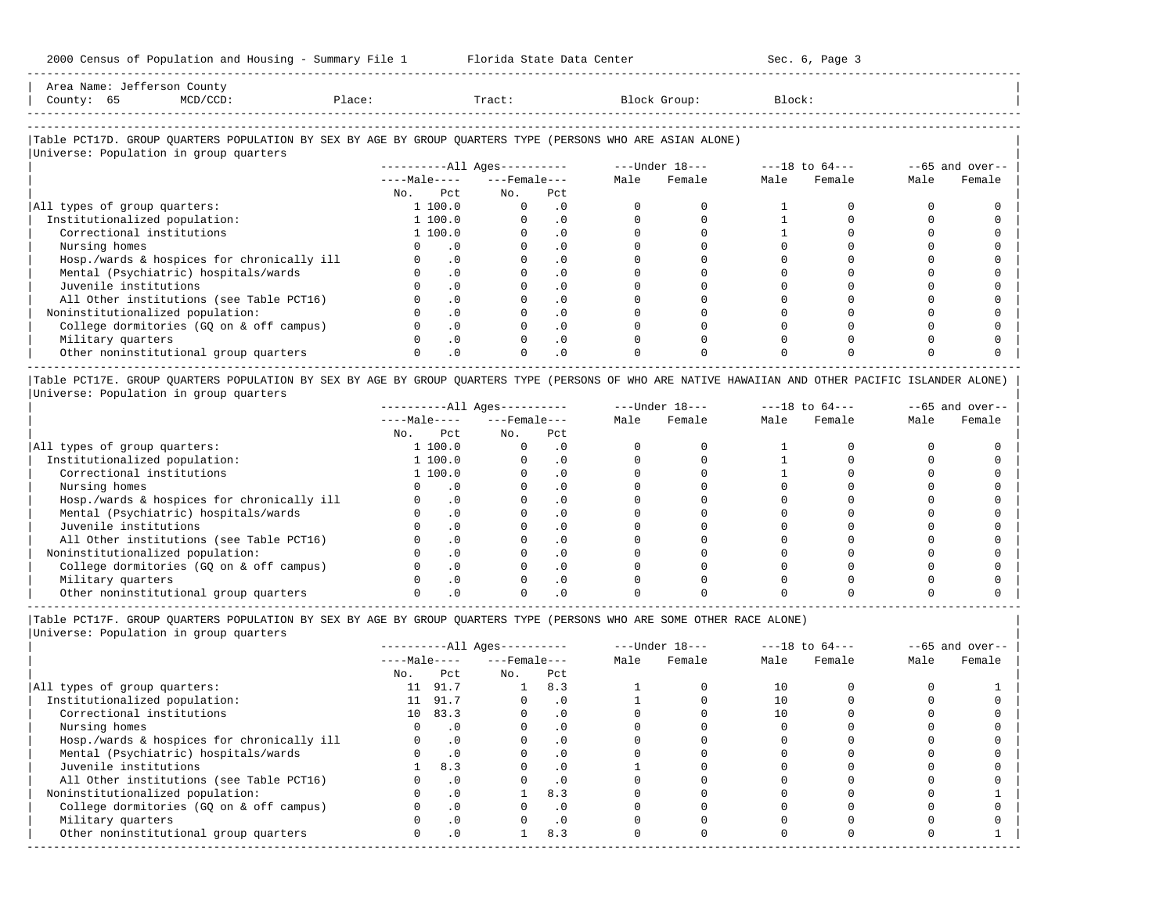-----------------------------------------------------------------------------------------------------------------------------------------------------

| Area<br>Name | \ \ | COUNTY                                                                          |       |       |        |        |
|--------------|-----|---------------------------------------------------------------------------------|-------|-------|--------|--------|
| County       | ັັ  | the contract of the contract of the contract of the contract of the contract of | Place | Tract | uroup: | Block' |
|              |     |                                                                                 |       |       |        |        |

-----------------------------------------------------------------------------------------------------------------------------------------------------

## |Table PCT17D. GROUP QUARTERS POPULATION BY SEX BY AGE BY GROUP QUARTERS TYPE (PERSONS WHO ARE ASIAN ALONE) |

|                                            | $------All Aqes------$ |                    |           |      | $---Under 18---$ |      | $---18$ to $64---$ |      | $--65$ and over-- |
|--------------------------------------------|------------------------|--------------------|-----------|------|------------------|------|--------------------|------|-------------------|
|                                            | $---Male---$           | $---$ Female $---$ |           | Male | Female           | Male | Female             | Male | Female            |
|                                            | Pct<br>No.             | No.                | Pct       |      |                  |      |                    |      |                   |
| All types of group quarters:               | 1 100.0                | $\Omega$           | . 0       |      |                  |      |                    |      |                   |
| Institutionalized population:              | 1 100.0                |                    | $\cdot$ 0 |      |                  |      |                    |      |                   |
| Correctional institutions                  | 1 100.0                |                    | $\cdot$ 0 |      |                  |      |                    |      |                   |
| Nursing homes                              | . 0                    |                    |           |      |                  |      |                    |      |                   |
| Hosp./wards & hospices for chronically ill | $\cdot$ 0              |                    | . 0       |      |                  |      |                    |      |                   |
| Mental (Psychiatric) hospitals/wards       | $\cdot$ 0              |                    | $\cdot$ 0 |      |                  |      |                    |      |                   |
| Juvenile institutions                      | $\cdot$ 0              |                    |           |      |                  |      |                    |      |                   |
| All Other institutions (see Table PCT16)   | $\cdot$ 0              |                    | $\cdot$ 0 |      |                  |      |                    |      |                   |
| Noninstitutionalized population:           | $\cdot$ 0              |                    | $\cdot$ 0 |      |                  |      |                    |      |                   |
| College dormitories (GQ on & off campus)   | $\cdot$ 0              |                    | $\cdot$ 0 |      |                  |      |                    |      |                   |
| Military quarters                          | $\cdot$ 0              |                    | $\cdot$ 0 |      |                  |      |                    |      |                   |
| Other noninstitutional group quarters      | $\cdot$ 0              |                    | $\cdot$ 0 |      |                  |      |                    |      |                   |

|Table PCT17E. GROUP QUARTERS POPULATION BY SEX BY AGE BY GROUP QUARTERS TYPE (PERSONS OF WHO ARE NATIVE HAWAIIAN AND OTHER PACIFIC ISLANDER ALONE) | |Universe: Population in group quarters |

|                                            | $------All Aqes------$ |           |                    | $---Under 18---$ |      |        |      | $---18$ to $64---$ | $--65$ and over-- |        |
|--------------------------------------------|------------------------|-----------|--------------------|------------------|------|--------|------|--------------------|-------------------|--------|
|                                            | $---Male---$           |           | $---$ Female $---$ |                  | Male | Female | Male | Female             | Male              | Female |
|                                            | No.                    | Pct       | No.                | Pct              |      |        |      |                    |                   |        |
| All types of group quarters:               |                        | 1 100.0   |                    |                  |      |        |      |                    |                   |        |
| Institutionalized population:              |                        | 1 100.0   |                    | . 0              |      |        |      |                    |                   |        |
| Correctional institutions                  |                        | 1 100.0   |                    |                  |      |        |      |                    |                   |        |
| Nursing homes                              |                        | .0        |                    |                  |      |        |      |                    |                   |        |
| Hosp./wards & hospices for chronically ill |                        |           |                    |                  |      |        |      |                    |                   |        |
| Mental (Psychiatric) hospitals/wards       |                        | $\cdot$ 0 |                    | . 0              |      |        |      |                    |                   |        |
| Juvenile institutions                      |                        |           |                    |                  |      |        |      |                    |                   |        |
| All Other institutions (see Table PCT16)   |                        | $\Omega$  |                    | $\cdot$ 0        |      |        |      |                    |                   |        |
| Noninstitutionalized population:           |                        |           |                    | $\cdot$ 0        |      |        |      |                    |                   |        |
| College dormitories (GQ on & off campus)   |                        | $\Omega$  |                    | $\cdot$ 0        |      |        |      |                    |                   |        |
| Military quarters                          |                        |           |                    | $\cdot$ 0        |      |        |      |                    |                   |        |
| Other noninstitutional group quarters      |                        |           |                    |                  |      |        |      |                    |                   |        |

-----------------------------------------------------------------------------------------------------------------------------------------------------

|Table PCT17F. GROUP QUARTERS POPULATION BY SEX BY AGE BY GROUP QUARTERS TYPE (PERSONS WHO ARE SOME OTHER RACE ALONE) |

|                                            | $------All Aqes------$ |           |                  |           |      | $---Under 18---$ | $---18$ to $64---$ |        | $--65$ and over-- |        |
|--------------------------------------------|------------------------|-----------|------------------|-----------|------|------------------|--------------------|--------|-------------------|--------|
|                                            | $---Male---$           |           | $---$ Female --- |           | Male | Female           | Male               | Female | Male              | Female |
|                                            | No.                    | Pct       | No.              | Pct       |      |                  |                    |        |                   |        |
| All types of group quarters:               | 11                     | 91.7      |                  | 8.3       |      |                  | 10                 |        |                   |        |
| Institutionalized population:              |                        | 91.7      |                  | $\cdot$ 0 |      |                  |                    |        |                   |        |
| Correctional institutions                  |                        | 10 83.3   |                  | $\cdot$ 0 |      |                  | 10                 |        |                   |        |
| Nursing homes                              |                        | $\cdot$ 0 |                  | $\cdot$ 0 |      |                  |                    |        |                   |        |
| Hosp./wards & hospices for chronically ill |                        | .0        |                  | $\cdot$ 0 |      |                  |                    |        |                   |        |
| Mental (Psychiatric) hospitals/wards       |                        | $\cdot$ 0 |                  | $\cdot$ 0 |      |                  |                    |        |                   |        |
| Juvenile institutions                      |                        | 8.3       |                  | $\cdot$ 0 |      |                  |                    |        |                   |        |
| All Other institutions (see Table PCT16)   |                        | $\cdot$ 0 |                  | $\cdot$ 0 |      |                  |                    |        |                   |        |
| Noninstitutionalized population:           |                        | $\cdot$ 0 |                  | 8.3       |      |                  |                    |        |                   |        |
| College dormitories (GO on & off campus)   |                        | $\cdot$ 0 |                  |           |      |                  |                    |        |                   |        |
| Military quarters                          |                        | $\cdot$ 0 |                  | $\cdot$ 0 |      |                  |                    |        |                   |        |
| Other noninstitutional group quarters      |                        | $\cdot$ 0 |                  | 8.3       |      |                  |                    |        |                   |        |
|                                            |                        |           |                  |           |      |                  |                    |        |                   |        |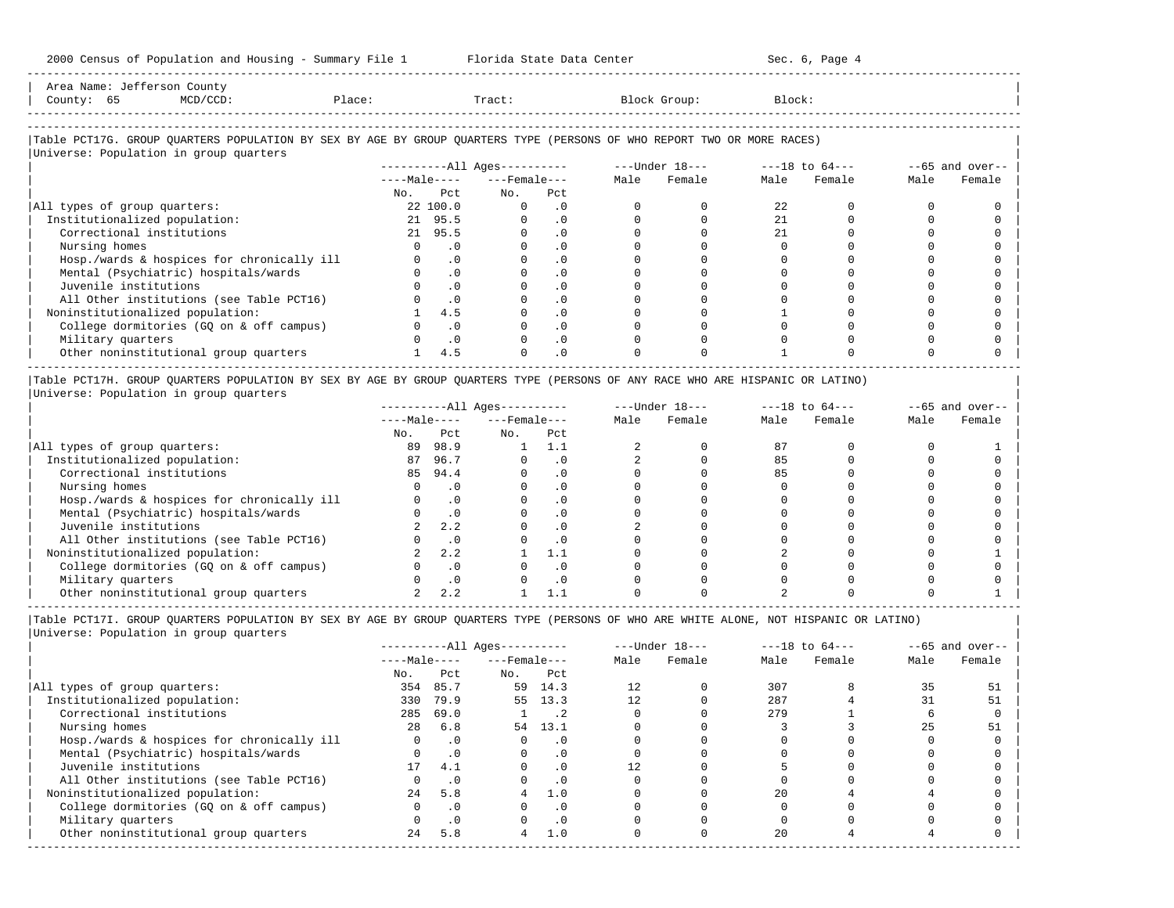2000 Census of Population and Housing - Summary File 1 Florida State Data Center Sec. 6, Page 4 -----------------------------------------------------------------------------------------------------------------------------------------------------

| Area Name: Jefferson County<br>County: 65<br>MCD/CCD:                                                                                                            | Place: |           | Tract:                       |                             | Block Group:   | Block:         |             |      |                 |
|------------------------------------------------------------------------------------------------------------------------------------------------------------------|--------|-----------|------------------------------|-----------------------------|----------------|----------------|-------------|------|-----------------|
| Table PCT17G. GROUP OUARTERS POPULATION BY SEX BY AGE BY GROUP OUARTERS TYPE (PERSONS OF WHO REPORT TWO OR MORE RACES)<br>Universe: Population in group quarters |        |           |                              |                             |                |                |             |      |                 |
|                                                                                                                                                                  |        |           | ----------All Ages---------- |                             | ---Under 18--- | ---18 to 64--- |             |      | --65 and over-- |
|                                                                                                                                                                  |        |           | $---Male-- ---Female---$     |                             | Male Female    |                | Male Female | Male | Female          |
|                                                                                                                                                                  |        | No. Pct   | No.                          | Pct                         |                |                |             |      |                 |
| All types of group quarters:                                                                                                                                     |        | 22 100.0  | $\Omega$                     | $\cdot$ 0                   |                | 2.2.           |             |      |                 |
| Institutionalized population:                                                                                                                                    |        | 21 95.5   | $\Omega$                     | $\overline{\phantom{0}}$ .0 |                | 2.1            |             |      |                 |
| Correctional institutions                                                                                                                                        |        | 21 95.5   | $\Omega$                     | .0                          |                | 21             |             |      |                 |
| Nursing homes                                                                                                                                                    |        | $\cdot$ 0 |                              | $\cdot$ 0                   |                |                |             |      |                 |

| Correctional institutions 21 95.5 0 .0 0 0 21 0 0 0 | | Nursing homes 0 .0 0 .0 0 0 0 0 0 0 | | Hosp./wards & hospices for chronically ill 0 .0 0 .0 0 0 0 0 0 0 | | Mental (Psychiatric) hospitals/wards 0 .0 0 .0 0 0 0 0 0 0 | | Juvenile institutions 0 .0 0 .0 0 0 0 0 0 0 | | All Other institutions (see Table PCT16) 0 .0 0 .0 0 0 0 0 0 0 | | Noninstitutionalized population: 1 4.5 0 .0 0 0 1 0 0 0 | | College dormitories (GQ on & off campus) 0 .0 0 .0 0 0 0 0 0 0 | | Military quarters 0 .0 0 .0 0 0 0 0 0 0 | | Other noninstitutional group quarters 1 4.5 0 .0 0 0 1 0 0 0 |

----------------------------------------------------------------------------------------------------------------------------------------------------- |Table PCT17H. GROUP QUARTERS POPULATION BY SEX BY AGE BY GROUP QUARTERS TYPE (PERSONS OF ANY RACE WHO ARE HISPANIC OR LATINO) | |Universe: Population in group quarters |

|                                            |              |      | $------All Aqes------$ |           | $---Under 18---$ |        | $---18$ to $64---$ |        | $--65$ and over-- |        |
|--------------------------------------------|--------------|------|------------------------|-----------|------------------|--------|--------------------|--------|-------------------|--------|
|                                            | $---Male---$ |      | $---$ Female $---$     |           | Male             | Female | Male               | Female | Male              | Female |
|                                            | No.          | Pct  | No.                    | Pct       |                  |        |                    |        |                   |        |
| All types of group quarters:               | 89           | 98.9 |                        |           |                  |        | 87                 |        |                   |        |
| Institutionalized population:              | 87           | 96.7 |                        | . 0       |                  |        | 85                 |        |                   |        |
| Correctional institutions                  | 85           | 94.4 |                        | . 0       |                  |        | 85                 |        |                   |        |
| Nursing homes                              |              |      |                        | . 0       |                  |        |                    |        |                   |        |
| Hosp./wards & hospices for chronically ill |              |      |                        | . 0       |                  |        |                    |        |                   |        |
| Mental (Psychiatric) hospitals/wards       |              |      |                        | . 0       |                  |        |                    |        |                   |        |
| Juvenile institutions                      |              | 2.2  |                        | . 0       |                  |        |                    |        |                   |        |
| All Other institutions (see Table PCT16)   |              |      |                        | $\cdot$ 0 |                  |        |                    |        |                   |        |
| Noninstitutionalized population:           |              | 2.2  |                        |           |                  |        |                    |        |                   |        |
| College dormitories (GO on & off campus)   |              |      |                        | $\cdot$ 0 |                  |        |                    |        |                   |        |
| Military quarters                          |              |      |                        | . 0       |                  |        |                    |        |                   |        |
| Other noninstitutional group quarters      |              |      |                        |           |                  |        |                    |        |                   |        |

----------------------------------------------------------------------------------------------------------------------------------------------------- |Table PCT17I. GROUP QUARTERS POPULATION BY SEX BY AGE BY GROUP QUARTERS TYPE (PERSONS OF WHO ARE WHITE ALONE, NOT HISPANIC OR LATINO) |

|                                            |              |           | $------All Ages------$ |           |      | $---Under 18---$ |      | $---18$ to $64---$ |      | $--65$ and over-- |
|--------------------------------------------|--------------|-----------|------------------------|-----------|------|------------------|------|--------------------|------|-------------------|
|                                            | $---Male---$ |           | $---$ Female $---$     |           | Male | Female           | Male | Female             | Male | Female            |
|                                            | No.          | Pct       | No.                    | Pct       |      |                  |      |                    |      |                   |
| All types of group quarters:               | 354          | 85.7      |                        | 59 14.3   | 12   |                  | 307  |                    | 35   | 51                |
| Institutionalized population:              | 330          | 79.9      |                        | 55 13.3   |      |                  | 287  |                    |      |                   |
| Correctional institutions                  | 285          | 69.0      |                        | . 2       |      |                  | 279  |                    |      |                   |
| Nursing homes                              | 28           | 6.8       | 54                     | 13.1      |      |                  |      |                    |      | 51                |
| Hosp./wards & hospices for chronically ill |              | $\cdot$ 0 |                        | $\cdot$ 0 |      |                  |      |                    |      |                   |
| Mental (Psychiatric) hospitals/wards       |              | $\cdot$ 0 |                        | . 0       |      |                  |      |                    |      |                   |
| Juvenile institutions                      | 17           | 4.1       |                        |           |      |                  |      |                    |      |                   |
| All Other institutions (see Table PCT16)   |              | $\cdot$ 0 |                        | $\cdot$ 0 |      |                  |      |                    |      |                   |
| Noninstitutionalized population:           | 2.4          | 5.8       | 4                      | 1.0       |      |                  | 2.0  |                    |      |                   |
| College dormitories (GQ on & off campus)   |              | $\cdot$ 0 |                        |           |      |                  |      |                    |      |                   |
| Military quarters                          |              | $\cdot$ 0 |                        | $\cdot$ 0 |      |                  |      |                    |      |                   |
| Other noninstitutional group quarters      | 24           | 5.8       | 4                      | 1.0       |      |                  | 20   |                    |      |                   |
|                                            |              |           |                        |           |      |                  |      |                    |      |                   |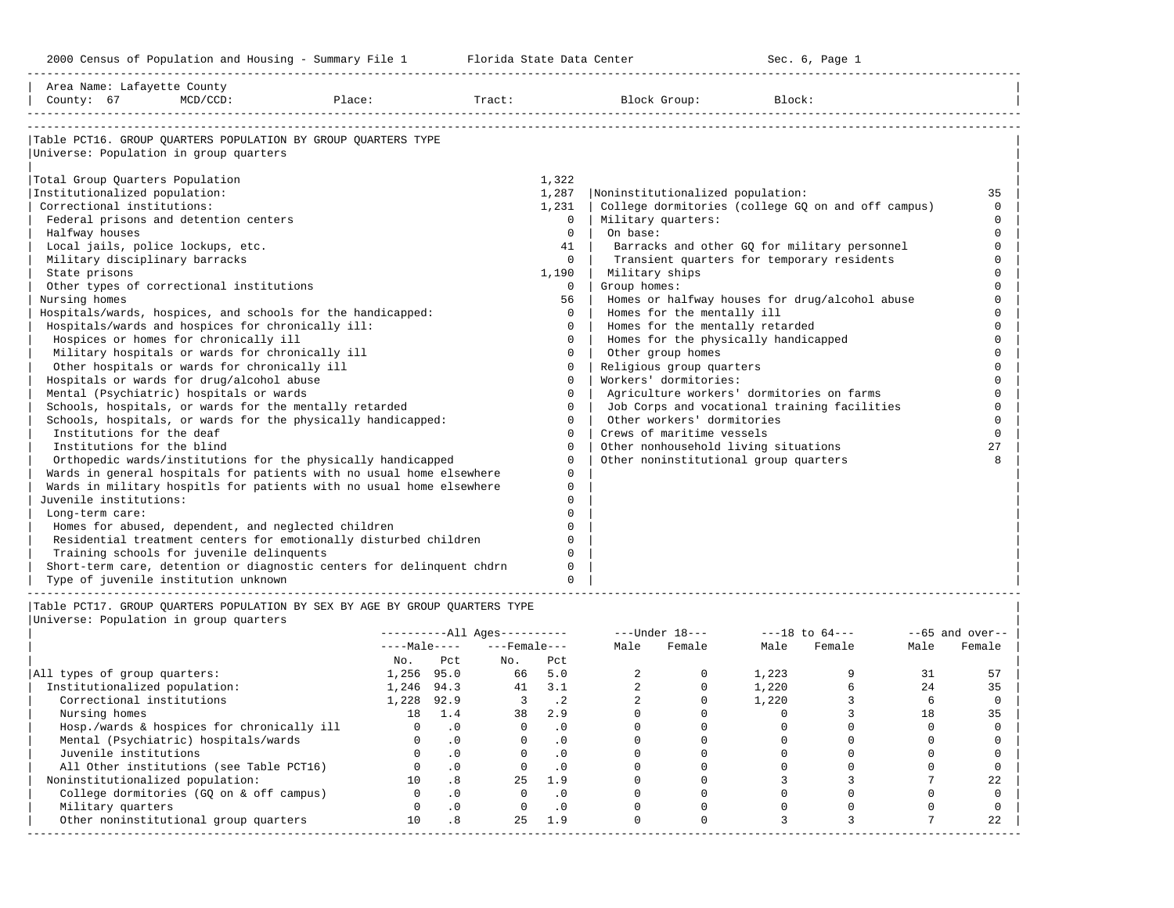-----------------------------------------------------------------------------------------------------------------------------------------------------

| County: 67                      | $MCD/CCD$ :                                         | Place:                                                                | Tract: |          | Block Group:                          | Block:                                             |          |
|---------------------------------|-----------------------------------------------------|-----------------------------------------------------------------------|--------|----------|---------------------------------------|----------------------------------------------------|----------|
|                                 | Universe: Population in group quarters              | Table PCT16. GROUP OUARTERS POPULATION BY GROUP OUARTERS TYPE         |        |          |                                       |                                                    |          |
| Total Group Quarters Population |                                                     |                                                                       |        | 1,322    |                                       |                                                    |          |
| Institutionalized population:   |                                                     |                                                                       |        | 1,287    | Noninstitutionalized population:      |                                                    | 35       |
| Correctional institutions:      |                                                     |                                                                       |        | 1,231    |                                       | College dormitories (college GQ on and off campus) | $\Omega$ |
|                                 | Federal prisons and detention centers               |                                                                       |        | 0        | Military quarters:                    |                                                    | $\Omega$ |
| Halfway houses                  |                                                     |                                                                       |        | $\Omega$ | On base:                              |                                                    | $\Omega$ |
|                                 | Local jails, police lockups, etc.                   |                                                                       |        | 41       |                                       | Barracks and other GQ for military personnel       | $\Omega$ |
|                                 | Military disciplinary barracks                      |                                                                       |        | $\Omega$ |                                       | Transient quarters for temporary residents         | $\Omega$ |
| State prisons                   |                                                     |                                                                       |        | 1,190    | Military ships                        |                                                    |          |
|                                 | Other types of correctional institutions            |                                                                       |        | $\Omega$ | Group homes:                          |                                                    |          |
| Nursing homes                   |                                                     |                                                                       |        | 56       |                                       | Homes or halfway houses for drug/alcohol abuse     |          |
|                                 |                                                     | Hospitals/wards, hospices, and schools for the handicapped:           |        | $\Omega$ | Homes for the mentally ill            |                                                    | $\cap$   |
|                                 | Hospitals/wards and hospices for chronically ill:   |                                                                       |        | $\Omega$ | Homes for the mentally retarded       |                                                    | $\cap$   |
|                                 | Hospices or homes for chronically ill               |                                                                       |        | $\Omega$ | Homes for the physically handicapped  |                                                    |          |
|                                 | Military hospitals or wards for chronically ill     |                                                                       |        | $\Omega$ | Other group homes                     |                                                    |          |
|                                 | Other hospitals or wards for chronically ill        |                                                                       |        | $\Omega$ | Religious group quarters              |                                                    |          |
|                                 | Hospitals or wards for drug/alcohol abuse           |                                                                       |        | $\Omega$ | Workers' dormitories:                 |                                                    |          |
|                                 | Mental (Psychiatric) hospitals or wards             |                                                                       |        | 0        |                                       | Agriculture workers' dormitories on farms          | $\cap$   |
|                                 |                                                     | Schools, hospitals, or wards for the mentally retarded                |        | $\Omega$ |                                       | Job Corps and vocational training facilities       | $\Omega$ |
|                                 |                                                     | Schools, hospitals, or wards for the physically handicapped:          |        | $\Omega$ | Other workers' dormitories            |                                                    | $\Omega$ |
| Institutions for the deaf       |                                                     |                                                                       |        | $\Omega$ | Crews of maritime vessels             |                                                    | $\Omega$ |
| Institutions for the blind      |                                                     |                                                                       |        | $\Omega$ | Other nonhousehold living situations  |                                                    | 27       |
|                                 |                                                     | Orthopedic wards/institutions for the physically handicapped          |        | $\Omega$ | Other noninstitutional group quarters |                                                    |          |
|                                 |                                                     | Wards in general hospitals for patients with no usual home elsewhere  |        | $\Omega$ |                                       |                                                    |          |
|                                 |                                                     | Wards in military hospitls for patients with no usual home elsewhere  |        | U        |                                       |                                                    |          |
| Juvenile institutions:          |                                                     |                                                                       |        | U        |                                       |                                                    |          |
| Long-term care:                 |                                                     |                                                                       |        | U        |                                       |                                                    |          |
|                                 | Homes for abused, dependent, and neglected children |                                                                       |        | U        |                                       |                                                    |          |
|                                 |                                                     | Residential treatment centers for emotionally disturbed children      |        | O        |                                       |                                                    |          |
|                                 | Training schools for juvenile delinquents           |                                                                       |        | U        |                                       |                                                    |          |
|                                 |                                                     | Short-term care, detention or diagnostic centers for delinquent chdrn |        | $\Omega$ |                                       |                                                    |          |
|                                 | Type of juvenile institution unknown                |                                                                       |        | $\cap$   |                                       |                                                    |          |

| Table PCT17. GROUP OUARTERS POPULATION BY SEX BY AGE BY GROUP OUARTERS TYPE |  |
|-----------------------------------------------------------------------------|--|
| Universe: Population in group quarters                                      |  |

|                                            |              |           | $------All Ages------$ |           |      | $---Under 18---$ |       | $---18$ to $64---$ |      | $--65$ and over-- |
|--------------------------------------------|--------------|-----------|------------------------|-----------|------|------------------|-------|--------------------|------|-------------------|
|                                            | $---Male---$ |           | $---$ Female $---$     |           | Male | Female           | Male  | Female             | Male | Female            |
|                                            | No.          | Pct       | No.                    | Pct       |      |                  |       |                    |      |                   |
| All types of group quarters:               | 1,256        | 95.0      | 66                     | 5.0       |      |                  | 1,223 |                    | 31   |                   |
| Institutionalized population:              | 1,246 94.3   |           | 41                     | 3.1       |      |                  | 1,220 |                    | 24   | 35                |
| Correctional institutions                  | 1,228        | 92.9      |                        | $\cdot$ 2 |      |                  | 1,220 |                    |      |                   |
| Nursing homes                              | 18           | 1.4       | 38                     | 2.9       |      |                  |       |                    | 18   | 35                |
| Hosp./wards & hospices for chronically ill |              | $\cdot$ 0 |                        | . 0       |      |                  |       |                    |      |                   |
| Mental (Psychiatric) hospitals/wards       |              |           |                        | . 0       |      |                  |       |                    |      |                   |
| Juvenile institutions                      |              | $\cdot$ 0 |                        | $\cdot$ 0 |      |                  |       |                    |      |                   |
| All Other institutions (see Table PCT16)   |              | $\cdot$ 0 |                        | $\cdot$ 0 |      |                  |       |                    |      |                   |
| Noninstitutionalized population:           | 10           | .8        | 25                     | 1.9       |      |                  |       |                    |      | 22                |
| College dormitories (GO on & off campus)   |              | $\cdot$ 0 |                        | $\cdot$ 0 |      |                  |       |                    |      |                   |
| Military quarters                          |              | $\cdot$ 0 |                        | $\cdot$ 0 |      |                  |       |                    |      |                   |
| Other noninstitutional group quarters      | 10           | .8        | 25                     | 1.9       |      |                  |       |                    |      | 22                |
|                                            |              |           |                        |           |      |                  |       |                    |      |                   |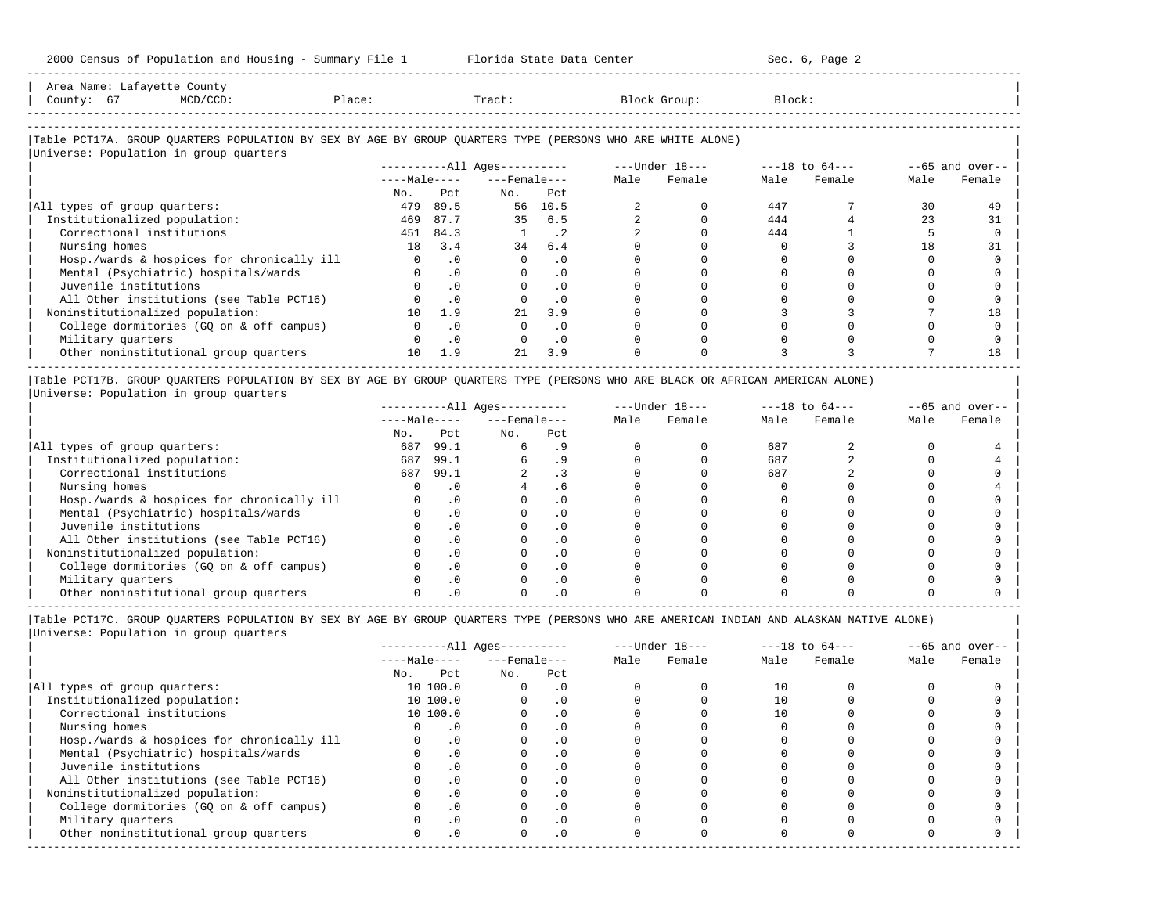-----------------------------------------------------------------------------------------------------------------------------------------------------

| Area Name: | Latayette | : County                                                                                                        |        |        |        |        |
|------------|-----------|-----------------------------------------------------------------------------------------------------------------|--------|--------|--------|--------|
| County:    |           | the contract of the contract of the contract of the contract of the contract of the contract of the contract of | Place: | Tract. | Group' | Block: |
|            |           |                                                                                                                 |        |        |        |        |

-----------------------------------------------------------------------------------------------------------------------------------------------------

## |Table PCT17A. GROUP QUARTERS POPULATION BY SEX BY AGE BY GROUP QUARTERS TYPE (PERSONS WHO ARE WHITE ALONE) |

|                                            |              |           | $------All Ages------$ |           | $---Under 18---$ |        | $---18$ to $64---$ |        | $--65$ and over-- |        |
|--------------------------------------------|--------------|-----------|------------------------|-----------|------------------|--------|--------------------|--------|-------------------|--------|
|                                            | $---Male---$ |           | $---$ Female $---$     |           | Male             | Female | Male               | Female | Male              | Female |
|                                            | No.          | Pct       | No.                    | Pct       |                  |        |                    |        |                   |        |
| All types of group quarters:               | 479          | 89.5      | 56                     | 10.5      |                  |        | 447                |        | 30                | 49     |
| Institutionalized population:              | 469          | 87.7      | 35                     | 6.5       |                  |        | 444                |        | 23                | 31     |
| Correctional institutions                  | 451          | 84.3      |                        | . 2       |                  |        | 444                |        |                   |        |
| Nursing homes                              | 18           | 3.4       | 34                     | 6.4       |                  |        |                    |        | 18                | 31     |
| Hosp./wards & hospices for chronically ill |              | $\cdot$ 0 |                        | $\cdot$ 0 |                  |        |                    |        |                   |        |
| Mental (Psychiatric) hospitals/wards       |              | $\cdot$ 0 |                        | $\cdot$ 0 |                  |        |                    |        |                   |        |
| Juvenile institutions                      |              | $\cdot$ 0 |                        | $\cdot$ 0 |                  |        |                    |        |                   |        |
| All Other institutions (see Table PCT16)   |              | $\cdot$ 0 |                        | $\cdot$ 0 |                  |        |                    |        |                   |        |
| Noninstitutionalized population:           | 10           | 1.9       | 21                     | 3.9       |                  |        |                    |        |                   | 18     |
| College dormitories (GQ on & off campus)   |              | $\cdot$ 0 |                        | $\cdot$ 0 |                  |        |                    |        |                   |        |
| Military quarters                          |              | $\cdot$ 0 |                        | $\cdot$ 0 |                  |        |                    |        |                   |        |
| Other noninstitutional group quarters      | $10^{-}$     | 1.9       | 21                     | 3.9       |                  |        |                    |        |                   | 18     |

|Table PCT17B. GROUP QUARTERS POPULATION BY SEX BY AGE BY GROUP QUARTERS TYPE (PERSONS WHO ARE BLACK OR AFRICAN AMERICAN ALONE) | |Universe: Population in group quarters |

|                                            |              |      | $------All Aqes------$ |           | $---Under 18---$ |        | $---18$ to $64---$ |        | $--65$ and over-- |        |
|--------------------------------------------|--------------|------|------------------------|-----------|------------------|--------|--------------------|--------|-------------------|--------|
|                                            | $---Male---$ |      | $---$ Female $---$     |           | Male             | Female | Male               | Female | Male              | Female |
|                                            | No.          | Pct  | No.                    | Pct       |                  |        |                    |        |                   |        |
| All types of group quarters:               | 687          | 99.1 |                        |           |                  |        | 687                |        |                   |        |
| Institutionalized population:              | 687          | 99.1 |                        |           |                  |        | 687                |        |                   |        |
| Correctional institutions                  | 687          | 99.1 |                        |           |                  |        | 687                |        |                   |        |
| Nursing homes                              |              |      |                        |           |                  |        |                    |        |                   |        |
| Hosp./wards & hospices for chronically ill |              | . 0  |                        | . 0       |                  |        |                    |        |                   |        |
| Mental (Psychiatric) hospitals/wards       |              |      |                        | $\cdot$ 0 |                  |        |                    |        |                   |        |
| Juvenile institutions                      |              |      |                        | . 0       |                  |        |                    |        |                   |        |
| All Other institutions (see Table PCT16)   |              |      |                        | $\cdot$ 0 |                  |        |                    |        |                   |        |
| Noninstitutionalized population:           |              |      |                        | . 0       |                  |        |                    |        |                   |        |
| College dormitories (GO on & off campus)   |              |      |                        | $\cdot$ 0 |                  |        |                    |        |                   |        |
| Military quarters                          |              |      |                        | . 0       |                  |        |                    |        |                   |        |
| Other noninstitutional group quarters      |              |      |                        |           |                  |        |                    |        |                   |        |

-----------------------------------------------------------------------------------------------------------------------------------------------------

|                                            |              |           | $------All Aqes------$ |            |      | $---Under 18---$ |      | $---18$ to $64---$ | $--65$ and over-- |        |
|--------------------------------------------|--------------|-----------|------------------------|------------|------|------------------|------|--------------------|-------------------|--------|
|                                            | $---Male---$ |           | $---$ Female $---$     |            | Male | Female           | Male | Female             | Male              | Female |
|                                            | No.          | Pct       | No.                    | Pct        |      |                  |      |                    |                   |        |
| All types of group quarters:               |              | 10 100.0  |                        | . 0        |      |                  | 10   |                    |                   |        |
| Institutionalized population:              |              | 10 100.0  |                        | $\cdot$ 0  |      |                  |      |                    |                   |        |
| Correctional institutions                  |              | 10 100.0  |                        | . 0        |      |                  | 10   |                    |                   |        |
| Nursing homes                              |              |           |                        | . 0        |      |                  |      |                    |                   |        |
| Hosp./wards & hospices for chronically ill |              | $\cdot$ 0 |                        |            |      |                  |      |                    |                   |        |
| Mental (Psychiatric) hospitals/wards       |              | $\cdot$ 0 |                        | . 0        |      |                  |      |                    |                   |        |
| Juvenile institutions                      |              |           |                        | .0         |      |                  |      |                    |                   |        |
| All Other institutions (see Table PCT16)   |              | $\cdot$ 0 |                        |            |      |                  |      |                    |                   |        |
| Noninstitutionalized population:           |              | $\cdot$ 0 |                        | .0         |      |                  |      |                    |                   |        |
| College dormitories (GQ on & off campus)   |              |           |                        | $\cdot$ 0  |      |                  |      |                    |                   |        |
| Military quarters                          |              | . 0       |                        | $\cdot$ 0  |      |                  |      |                    |                   |        |
| Other noninstitutional group quarters      | <sup>n</sup> | $\cdot$ 0 |                        | $.0 \cdot$ |      |                  |      |                    |                   |        |
|                                            |              |           |                        |            |      |                  |      |                    |                   |        |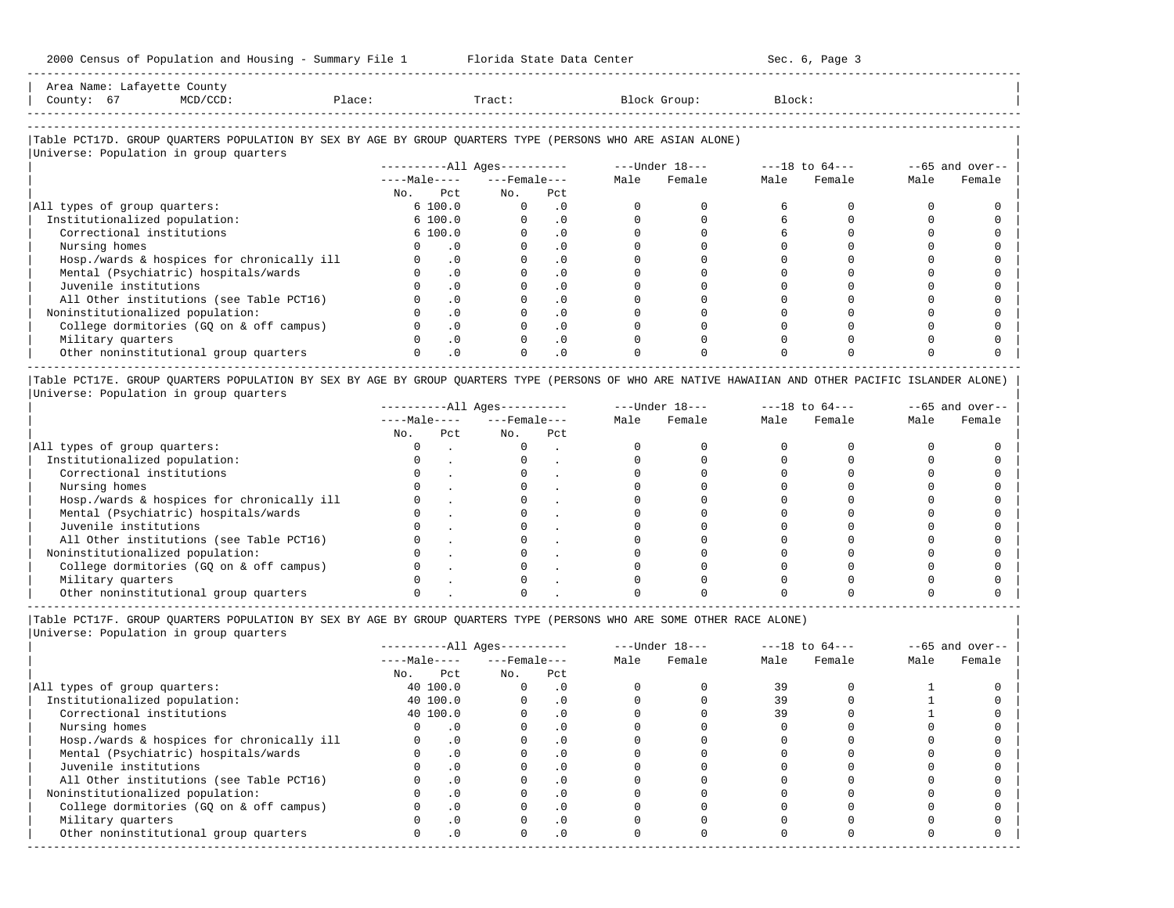-----------------------------------------------------------------------------------------------------------------------------------------------------

| Area Name:    | .ount.v   |        |          |                   |        |  |
|---------------|-----------|--------|----------|-------------------|--------|--|
| County:<br>67 | $1/CCD$ . | Place: | $racct.$ | Block<br>$T$ min. | Block: |  |
|               |           |        |          |                   |        |  |

# |Table PCT17D. GROUP QUARTERS POPULATION BY SEX BY AGE BY GROUP QUARTERS TYPE (PERSONS WHO ARE ASIAN ALONE) |

| Universe: Population in group quarters     |                        |                  |           |                  |        |                    |        |                   |        |
|--------------------------------------------|------------------------|------------------|-----------|------------------|--------|--------------------|--------|-------------------|--------|
|                                            | $------All Ages------$ |                  |           | $---Under 18---$ |        | $---18$ to $64---$ |        | $--65$ and over-- |        |
|                                            | $---Male---$           | $---$ Female --- |           | Male             | Female | Male               | Female | Male              | Female |
|                                            | Pct<br>No.             | No.              | Pct       |                  |        |                    |        |                   |        |
| All types of group quarters:               | 6 100.0                |                  | $\cdot$ 0 |                  |        |                    |        |                   |        |
| Institutionalized population:              | 6 100.0                |                  | $\cdot$ 0 |                  |        |                    |        |                   |        |
| Correctional institutions                  | 6 100.0                |                  | $\cdot$ 0 |                  |        |                    |        |                   |        |
| Nursing homes                              | $\cdot$ 0              |                  | $\cdot$ 0 |                  |        |                    |        |                   |        |
| Hosp./wards & hospices for chronically ill | $\cdot$ 0              |                  | $\cdot$ 0 |                  |        |                    |        |                   |        |
| Mental (Psychiatric) hospitals/wards       | $\cdot$ 0              |                  | . 0       |                  |        |                    |        |                   |        |
| Juvenile institutions                      | $\cdot$ 0              |                  | $\cdot$ 0 |                  |        |                    |        |                   |        |
| All Other institutions (see Table PCT16)   | $\cdot$ 0              |                  |           |                  |        |                    |        |                   |        |
| Noninstitutionalized population:           | $\cdot$ 0              |                  | $\cdot$ 0 |                  |        |                    |        |                   |        |
| College dormitories (GO on & off campus)   | $\cdot$ 0              |                  |           |                  |        |                    |        |                   |        |
| Military quarters                          | $\cdot$ 0              |                  | $\cdot$ 0 |                  |        |                    |        |                   |        |
| Other noninstitutional group quarters      | $\cdot$ 0              |                  | $\cdot$ 0 |                  |        |                    |        |                   |        |
|                                            |                        |                  |           |                  |        |                    |        |                   |        |

|Table PCT17E. GROUP QUARTERS POPULATION BY SEX BY AGE BY GROUP QUARTERS TYPE (PERSONS OF WHO ARE NATIVE HAWAIIAN AND OTHER PACIFIC ISLANDER ALONE) | |Universe: Population in group quarters |

|                                            |              |     | $------All Aqes------$ |     | $---Under 18---$ |        | $---18$ to $64---$ |        | $--65$ and over-- |        |
|--------------------------------------------|--------------|-----|------------------------|-----|------------------|--------|--------------------|--------|-------------------|--------|
|                                            | $---Male---$ |     | $---$ Female $---$     |     | Male             | Female | Male               | Female | Male              | Female |
|                                            | No.          | Pct | No.                    | Pct |                  |        |                    |        |                   |        |
| All types of group quarters:               |              |     |                        |     |                  |        |                    |        |                   |        |
| Institutionalized population:              |              |     |                        |     |                  |        |                    |        |                   |        |
| Correctional institutions                  |              |     |                        |     |                  |        |                    |        |                   |        |
| Nursing homes                              |              |     |                        |     |                  |        |                    |        |                   |        |
| Hosp./wards & hospices for chronically ill |              |     |                        |     |                  |        |                    |        |                   |        |
| Mental (Psychiatric) hospitals/wards       |              |     |                        |     |                  |        |                    |        |                   |        |
| Juvenile institutions                      |              |     |                        |     |                  |        |                    |        |                   |        |
| All Other institutions (see Table PCT16)   |              |     |                        |     |                  |        |                    |        |                   |        |
| Noninstitutionalized population:           |              |     |                        |     |                  |        |                    |        |                   |        |
| College dormitories (GO on & off campus)   |              |     |                        |     |                  |        |                    |        |                   |        |
| Military quarters                          |              |     |                        |     |                  |        |                    |        |                   |        |
| Other noninstitutional group quarters      |              |     |                        |     |                  |        |                    |        |                   |        |

----------------------------------------------------------------------------------------------------------------------------------------------------- |Table PCT17F. GROUP QUARTERS POPULATION BY SEX BY AGE BY GROUP QUARTERS TYPE (PERSONS WHO ARE SOME OTHER RACE ALONE) |

|                                            |              |           | $------All Aqes------$ |            |      | $---Under 18---$ |      | $---18$ to $64---$ |      | $--65$ and over-- |
|--------------------------------------------|--------------|-----------|------------------------|------------|------|------------------|------|--------------------|------|-------------------|
|                                            | $---Male---$ |           | $---$ Female ---       |            | Male | Female           | Male | Female             | Male | Female            |
|                                            | No.          | Pct       | No.                    | Pct        |      |                  |      |                    |      |                   |
| All types of group quarters:               |              | 40 100.0  |                        | . 0        |      |                  | 39   |                    |      |                   |
| Institutionalized population:              |              | 40 100.0  |                        | $\cdot$ 0  |      |                  | 39   |                    |      |                   |
| Correctional institutions                  |              | 40 100.0  |                        | . 0        |      |                  | 39   |                    |      |                   |
| Nursing homes                              |              | . 0       |                        |            |      |                  |      |                    |      |                   |
| Hosp./wards & hospices for chronically ill |              | $\cdot$ 0 |                        | $\cdot$ 0  |      |                  |      |                    |      |                   |
| Mental (Psychiatric) hospitals/wards       |              | $\cdot$ 0 |                        | $\cdot$ 0  |      |                  |      |                    |      |                   |
| Juvenile institutions                      |              |           |                        | $\cdot$ 0  |      |                  |      |                    |      |                   |
| All Other institutions (see Table PCT16)   |              | $\cdot$ 0 |                        | . 0        |      |                  |      |                    |      |                   |
| Noninstitutionalized population:           |              | $\cdot$ 0 |                        | $\cdot$ 0  |      |                  |      |                    |      |                   |
| College dormitories (GO on & off campus)   |              |           |                        | $\cdot$ 0  |      |                  |      |                    |      |                   |
| Military quarters                          |              | $\cdot$ 0 |                        | $\cdot$ 0  |      |                  |      |                    |      |                   |
| Other noninstitutional group quarters      | <sup>n</sup> | $\cdot$ 0 |                        | $.0 \cdot$ |      |                  |      |                    |      |                   |
|                                            |              |           |                        |            |      |                  |      |                    |      |                   |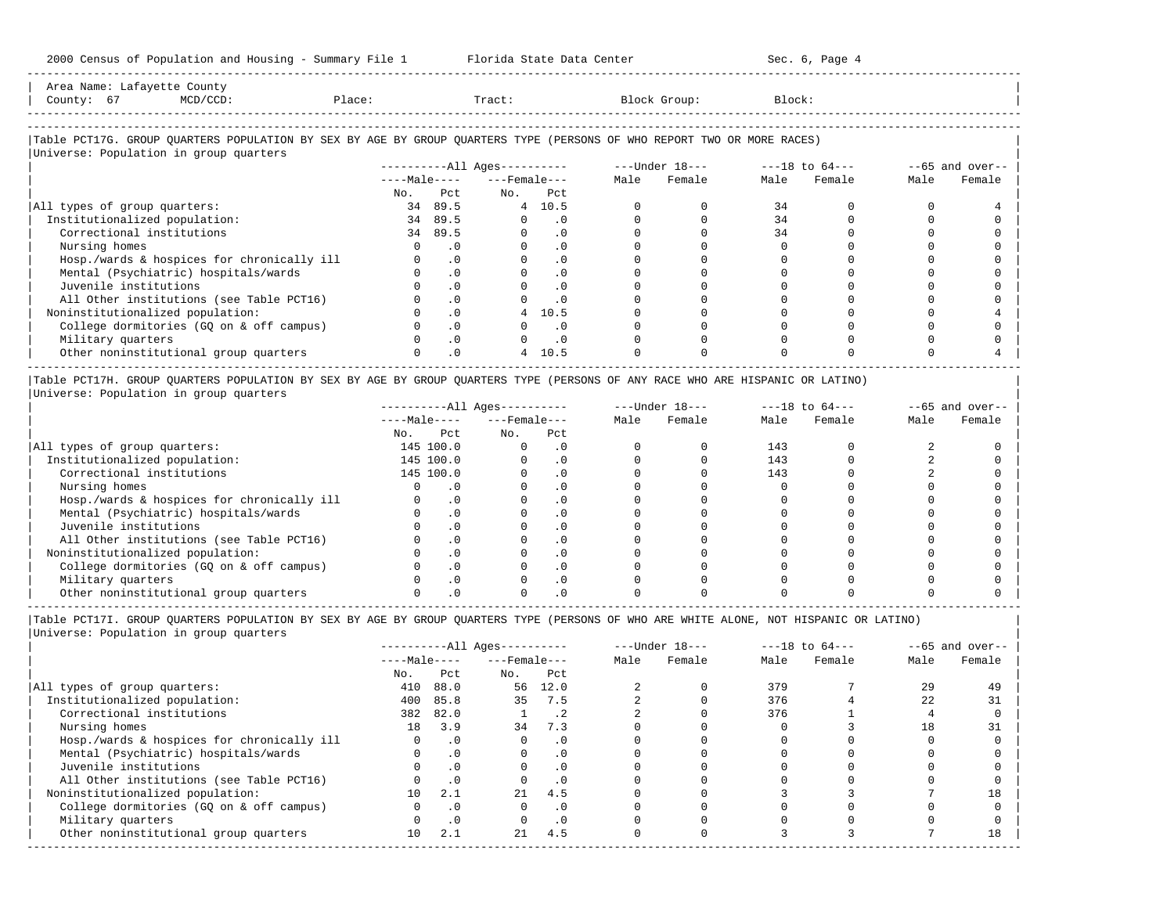| Area Name: Lafayette County<br>County: 67<br>$MCD/CCD$ :                                                                                                         | Place: |            | Tract:                       |           |      | Block Group:                   | Block: |             |      |                    |
|------------------------------------------------------------------------------------------------------------------------------------------------------------------|--------|------------|------------------------------|-----------|------|--------------------------------|--------|-------------|------|--------------------|
| Table PCT17G. GROUP QUARTERS POPULATION BY SEX BY AGE BY GROUP QUARTERS TYPE (PERSONS OF WHO REPORT TWO OR MORE RACES)<br>Universe: Population in group quarters |        |            |                              |           |      |                                |        |             |      |                    |
|                                                                                                                                                                  |        |            | ----------All Ages---------- |           |      | $---Under 18-- ---18 to 64---$ |        |             |      | $- -65$ and over-- |
|                                                                                                                                                                  |        |            | $---Male-- ---Female---$     |           | Male | Female                         |        | Male Female | Male | Female             |
|                                                                                                                                                                  | No.    | Pct        | $NQ$ .                       | Pct.      |      |                                |        |             |      |                    |
| All types of group quarters:                                                                                                                                     |        | 34 89.5    |                              | 4 10.5    |      |                                | 34     |             |      |                    |
| Institutionalized population:                                                                                                                                    |        | 34 89.5    | $\Omega$                     | $\cdot$ 0 |      |                                | 34     |             |      |                    |
| Correctional institutions                                                                                                                                        | 34     | 89.5       |                              | .0        |      |                                | 34     |             |      |                    |
| Nursing homes                                                                                                                                                    |        | .0         |                              | . 0       |      |                                |        |             |      |                    |
| Hosp./wards & hospices for chronically ill                                                                                                                       |        | $\cdot$ 0  |                              | $\cdot$ 0 |      |                                |        |             |      |                    |
| Mental (Psychiatric) hospitals/wards                                                                                                                             |        | $\Omega$ . |                              | $\cdot$ 0 |      |                                |        |             |      |                    |
| Juvenile institutions                                                                                                                                            |        | $\Omega$   |                              | $\cdot$ 0 |      |                                |        |             |      |                    |
| All Other institutions (see Table PCT16)                                                                                                                         |        | $\cdot$ 0  |                              | . 0       |      |                                |        |             |      |                    |
| Noninstitutionalized population:                                                                                                                                 |        | $\Omega$   | 4                            | 10.5      |      |                                |        |             |      |                    |
| College dormitories (GQ on & off campus)                                                                                                                         |        | $\cdot$ 0  |                              | . 0       |      |                                |        |             |      |                    |
| Military quarters                                                                                                                                                |        | $\cdot$ 0  |                              | $\cdot$ 0 |      |                                |        |             |      |                    |
| Other noninstitutional group quarters                                                                                                                            |        | $\cdot$ 0  | $\overline{4}$               | 10.5      |      |                                |        |             |      |                    |

|Table PCT17H. GROUP QUARTERS POPULATION BY SEX BY AGE BY GROUP QUARTERS TYPE (PERSONS OF ANY RACE WHO ARE HISPANIC OR LATINO) | |Universe: Population in group quarters |

|                                            |     |              | $------All Aqes------$ |           |      | $---Under 18---$ | $---18$ to $64---$ |        | $--65$ and over-- |        |
|--------------------------------------------|-----|--------------|------------------------|-----------|------|------------------|--------------------|--------|-------------------|--------|
|                                            |     | $---Male---$ | $---$ Female $---$     |           | Male | Female           | Male               | Female | Male              | Female |
|                                            | No. | Pct          | No.                    | Pct       |      |                  |                    |        |                   |        |
| All types of group quarters:               |     | 145 100.0    |                        | . 0       |      |                  | 143                |        |                   |        |
| Institutionalized population:              |     | 145 100.0    |                        | . 0       |      |                  | 143                |        |                   |        |
| Correctional institutions                  |     | 145 100.0    |                        | . 0       |      |                  | 143                |        |                   |        |
| Nursing homes                              |     |              |                        |           |      |                  |                    |        |                   |        |
| Hosp./wards & hospices for chronically ill |     |              |                        | . 0       |      |                  |                    |        |                   |        |
| Mental (Psychiatric) hospitals/wards       |     |              |                        | . 0       |      |                  |                    |        |                   |        |
| Juvenile institutions                      |     |              |                        | . 0       |      |                  |                    |        |                   |        |
| All Other institutions (see Table PCT16)   |     |              |                        | $\Omega$  |      |                  |                    |        |                   |        |
| Noninstitutionalized population:           |     |              |                        | . 0       |      |                  |                    |        |                   |        |
| College dormitories (GO on & off campus)   |     |              |                        | $\cdot$ 0 |      |                  |                    |        |                   |        |
| Military quarters                          |     |              |                        | $\Omega$  |      |                  |                    |        |                   |        |
| Other noninstitutional group quarters      |     |              |                        |           |      |                  |                    |        |                   |        |

-----------------------------------------------------------------------------------------------------------------------------------------------------

|Table PCT17I. GROUP QUARTERS POPULATION BY SEX BY AGE BY GROUP QUARTERS TYPE (PERSONS OF WHO ARE WHITE ALONE, NOT HISPANIC OR LATINO) |

|                                            |              |           | $------All Aqes------$ |           |      | $---Under 18---$ |      | $---18$ to $64---$ |      | $--65$ and over-- |
|--------------------------------------------|--------------|-----------|------------------------|-----------|------|------------------|------|--------------------|------|-------------------|
|                                            | $---Male---$ |           | $---$ Female $---$     |           | Male | Female           | Male | Female             | Male | Female            |
|                                            | No.          | Pct       | No.                    | Pct       |      |                  |      |                    |      |                   |
| All types of group quarters:               | 410          | 88.0      | 56                     | 12.0      |      |                  | 379  |                    | 29   | 49                |
| Institutionalized population:              | 400          | 85.8      | 35                     | 7.5       |      |                  | 376  |                    | 22   | 31                |
| Correctional institutions                  |              | 382 82.0  |                        | $\cdot$ 2 |      |                  | 376  |                    |      |                   |
| Nursing homes                              | 18           | 3.9       | 34                     | 7.3       |      |                  |      |                    | 18   | 31                |
| Hosp./wards & hospices for chronically ill |              | $\cdot$ 0 |                        | $\cdot$ 0 |      |                  |      |                    |      |                   |
| Mental (Psychiatric) hospitals/wards       |              | $\cdot$ 0 | $\Omega$               | $\cdot$ 0 |      |                  |      |                    |      |                   |
| Juvenile institutions                      |              | $\cdot$ 0 |                        | $\cdot$ 0 |      |                  |      |                    |      |                   |
| All Other institutions (see Table PCT16)   |              | .0        |                        | $\cdot$ 0 |      |                  |      |                    |      |                   |
| Noninstitutionalized population:           | $10^{\circ}$ | 2.1       | 21                     | 4.5       |      |                  |      |                    |      | 18                |
| College dormitories (GO on & off campus)   |              | $\cdot$ 0 |                        | $\cdot$ 0 |      |                  |      |                    |      |                   |
| Military quarters                          |              | $\cdot$ 0 |                        | $\cdot$ 0 |      |                  |      |                    |      |                   |
| Other noninstitutional group quarters      | 10           | 2.1       | 21                     | 4.5       |      |                  |      |                    |      | 18                |
|                                            |              |           |                        |           |      |                  |      |                    |      |                   |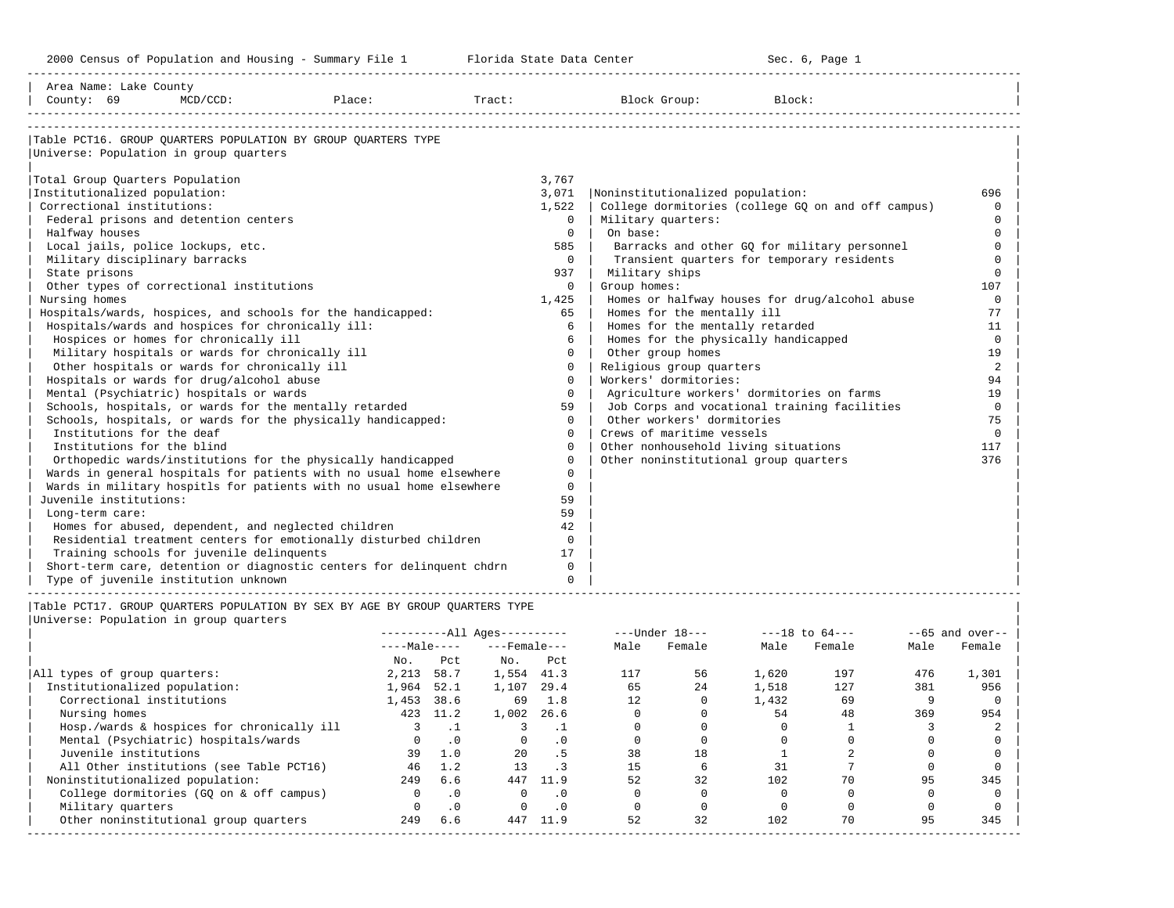| Area Name: Lake County<br>County: 69 | $MCD/CCD$ :                                            | Place:                                                                      |         | Tract:                       |                | Block Group:                                       | Block:             |     |      |                  |
|--------------------------------------|--------------------------------------------------------|-----------------------------------------------------------------------------|---------|------------------------------|----------------|----------------------------------------------------|--------------------|-----|------|------------------|
|                                      |                                                        |                                                                             |         |                              |                |                                                    |                    |     |      |                  |
|                                      |                                                        | Table PCT16. GROUP OUARTERS POPULATION BY GROUP OUARTERS TYPE               |         |                              |                |                                                    |                    |     |      |                  |
|                                      | Universe: Population in group quarters                 |                                                                             |         |                              |                |                                                    |                    |     |      |                  |
| Total Group Quarters Population      |                                                        |                                                                             |         |                              | 3,767          |                                                    |                    |     |      |                  |
| Institutionalized population:        |                                                        |                                                                             |         |                              | 3,071          | Noninstitutionalized population:                   |                    |     |      | 696              |
| Correctional institutions:           |                                                        |                                                                             |         |                              | 1,522          | College dormitories (college GQ on and off campus) |                    |     |      | $\Omega$         |
|                                      | Federal prisons and detention centers                  |                                                                             |         |                              | $\mathbf{0}$   | Military quarters:                                 |                    |     |      | $\Omega$         |
| Halfway houses                       |                                                        |                                                                             |         |                              | $\Omega$       | On base:                                           |                    |     |      | $\Omega$         |
|                                      | Local jails, police lockups, etc.                      |                                                                             |         |                              | 585            | Barracks and other GQ for military personnel       |                    |     |      | $\Omega$         |
| Military disciplinary barracks       |                                                        |                                                                             |         |                              | $\Omega$       | Transient quarters for temporary residents         |                    |     |      | $\Omega$         |
| State prisons                        |                                                        |                                                                             |         |                              | 937            | Military ships                                     |                    |     |      | $\mathbf 0$      |
|                                      | Other types of correctional institutions               |                                                                             |         |                              | $\Omega$       | Group homes:                                       |                    |     |      | 107              |
| Nursing homes                        |                                                        |                                                                             |         |                              | 1,425          | Homes or halfway houses for drug/alcohol abuse     |                    |     |      | $\Omega$         |
|                                      |                                                        | Hospitals/wards, hospices, and schools for the handicapped:                 |         |                              | 65             | Homes for the mentally ill                         |                    |     |      | 77               |
|                                      | Hospitals/wards and hospices for chronically ill:      |                                                                             |         |                              | 6              | Homes for the mentally retarded                    |                    |     |      | 11               |
|                                      | Hospices or homes for chronically ill                  |                                                                             |         |                              | 6              | Homes for the physically handicapped               |                    |     |      | $\mathbf 0$      |
|                                      | Military hospitals or wards for chronically ill        |                                                                             |         |                              | $\Omega$       | Other group homes                                  |                    |     |      | 19               |
|                                      | Other hospitals or wards for chronically ill           |                                                                             |         |                              | $\Omega$       | Religious group quarters                           |                    |     |      | 2                |
|                                      | Hospitals or wards for drug/alcohol abuse              |                                                                             |         |                              | $\Omega$       | Workers' dormitories:                              |                    |     |      | 94               |
|                                      | Mental (Psychiatric) hospitals or wards                |                                                                             |         |                              | $\Omega$       | Agriculture workers' dormitories on farms          |                    |     |      | 19               |
|                                      | Schools, hospitals, or wards for the mentally retarded |                                                                             |         |                              | 59             | Job Corps and vocational training facilities       |                    |     |      | $\Omega$         |
|                                      |                                                        | Schools, hospitals, or wards for the physically handicapped:                |         |                              | $\Omega$       | Other workers' dormitories                         |                    |     |      | 75               |
| Institutions for the deaf            |                                                        |                                                                             |         |                              | $\Omega$       | Crews of maritime vessels                          |                    |     |      | $\mathbf 0$      |
| Institutions for the blind           |                                                        |                                                                             |         |                              | $\Omega$       | Other nonhousehold living situations               |                    |     |      | 117              |
|                                      |                                                        | Orthopedic wards/institutions for the physically handicapped                |         |                              | $\Omega$       | Other noninstitutional group quarters              |                    |     |      | 376              |
|                                      |                                                        | Wards in general hospitals for patients with no usual home elsewhere        |         |                              | $\Omega$       |                                                    |                    |     |      |                  |
|                                      |                                                        | Wards in military hospitls for patients with no usual home elsewhere        |         |                              | $\Omega$       |                                                    |                    |     |      |                  |
| Juvenile institutions:               |                                                        |                                                                             |         |                              | 59             |                                                    |                    |     |      |                  |
| Long-term care:                      |                                                        |                                                                             |         |                              | 59             |                                                    |                    |     |      |                  |
|                                      | Homes for abused, dependent, and neglected children    | Residential treatment centers for emotionally disturbed children            |         |                              | 42<br>$\Omega$ |                                                    |                    |     |      |                  |
|                                      | Training schools for juvenile delinquents              |                                                                             |         |                              | 17             |                                                    |                    |     |      |                  |
|                                      |                                                        | Short-term care, detention or diagnostic centers for delinquent chdrn       |         |                              | $\Omega$       |                                                    |                    |     |      |                  |
|                                      | Type of juvenile institution unknown                   |                                                                             |         |                              | $\Omega$       |                                                    |                    |     |      |                  |
|                                      |                                                        |                                                                             |         |                              |                |                                                    |                    |     |      |                  |
|                                      |                                                        | Table PCT17. GROUP QUARTERS POPULATION BY SEX BY AGE BY GROUP QUARTERS TYPE |         |                              |                |                                                    |                    |     |      |                  |
|                                      | Universe: Population in group quarters                 |                                                                             |         |                              |                |                                                    |                    |     |      |                  |
|                                      |                                                        |                                                                             |         | ----------All Ages---------- |                | ---Under 18---                                     | $---18$ to $64---$ |     |      | $-65$ and over-- |
|                                      |                                                        |                                                                             |         | $---Malle-- ---Female---$    |                | Male Female                                        | Male<br>Female     |     | Male | Female           |
|                                      |                                                        |                                                                             | No. Pct | $NQ$ .                       | Pct            |                                                    |                    |     |      |                  |
| All types of group quarters:         |                                                        | 2,213 58.7                                                                  |         | 1,554 41.3                   |                | 117<br>56                                          | 1,620              | 197 | 476  | 1,301            |

| All types of group quarters:               | 2,213 | 58.7      | 1,554 | 41.3      | 117 | 56 | 1,620 | 197 | 476 | 1,301 |
|--------------------------------------------|-------|-----------|-------|-----------|-----|----|-------|-----|-----|-------|
| Institutionalized population:              | 1,964 | 52.1      | 1,107 | 29.4      | 65  | 24 | 1,518 | 127 | 381 | 956   |
| Correctional institutions                  | 1,453 | 38.6      | 69    | 1.8       | 12  |    | 1,432 | 69  |     |       |
| Nursing homes                              | 423   | 11.2      | 1,002 | 26.6      |     |    | 54    | 48  | 369 | 954   |
| Hosp./wards & hospices for chronically ill |       |           |       |           |     |    |       |     |     |       |
| Mental (Psychiatric) hospitals/wards       |       | $\cdot$ 0 |       |           |     |    |       |     |     |       |
| Juvenile institutions                      | 39    | 1.0       | 20    | . 5       | 38  | 18 |       |     |     |       |
| All Other institutions (see Table PCT16)   | 46    | 1.2       | 13    | $\cdot$ 3 | 15  |    | 31    |     |     |       |
| Noninstitutionalized population:           | 249   | 6.6       | 447   | 11.9      | 52  | 32 | 102   | 70  | 95  | 345   |
| College dormitories (GQ on & off campus)   |       | $\cdot$ 0 |       |           |     |    |       |     |     |       |
| Military quarters                          |       | $\cdot$ 0 |       |           |     |    |       |     |     |       |
| Other noninstitutional group quarters      | 249   | 6.6       | 447   | 11.9      | 52  | 32 | 102   | 70  | 95  | 345   |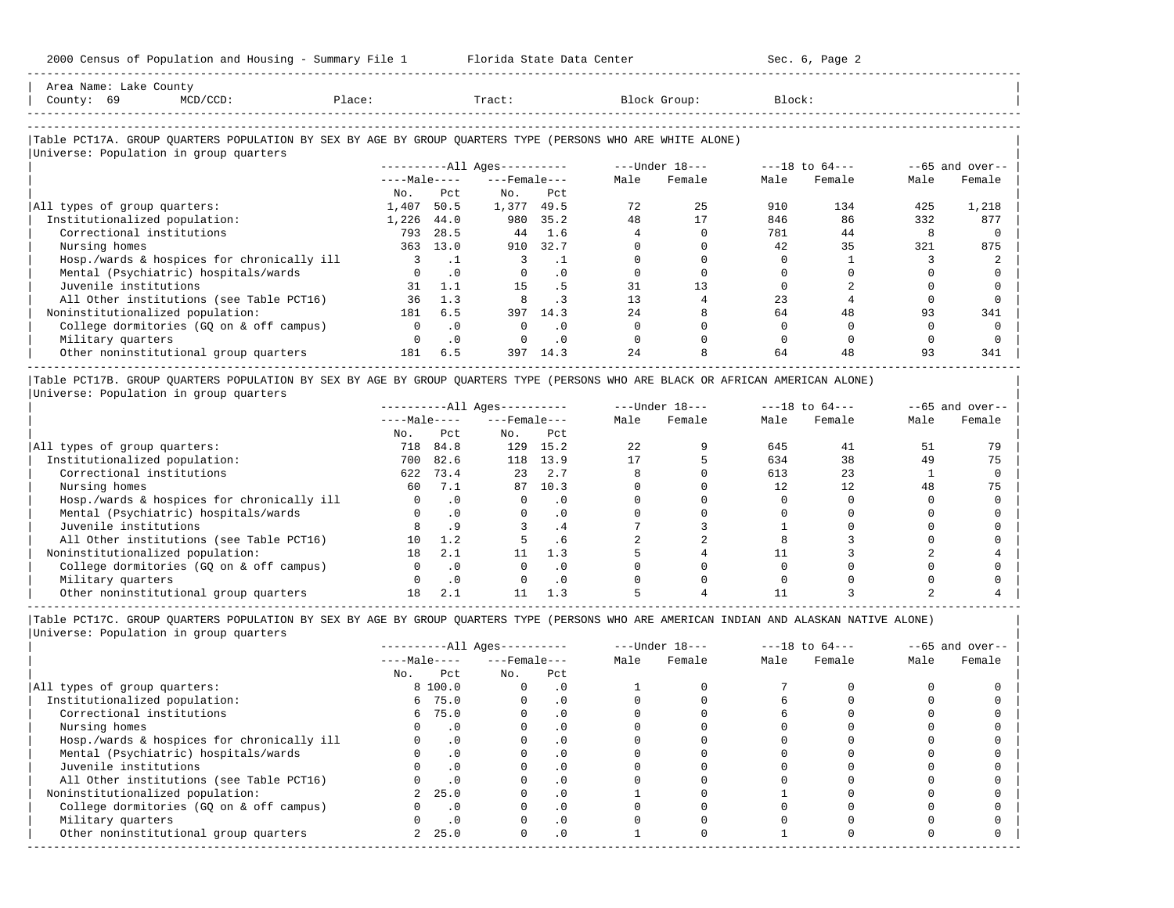-----------------------------------------------------------------------------------------------------------------------------------------------------

| Area Name: Lake County                                                                                     |        |       |              |                            |           |      |                  |        |                    |      |                   |
|------------------------------------------------------------------------------------------------------------|--------|-------|--------------|----------------------------|-----------|------|------------------|--------|--------------------|------|-------------------|
| County: 69<br>$MCD/CCD$ :                                                                                  | Place: |       |              | Tract:                     |           |      | Block Group:     | Block: |                    |      |                   |
|                                                                                                            |        |       |              |                            |           |      |                  |        |                    |      |                   |
| Table PCT17A. GROUP QUARTERS POPULATION BY SEX BY AGE BY GROUP QUARTERS TYPE (PERSONS WHO ARE WHITE ALONE) |        |       |              |                            |           |      |                  |        |                    |      |                   |
| Universe: Population in group quarters                                                                     |        |       |              |                            |           |      |                  |        |                    |      |                   |
|                                                                                                            |        |       |              | $------All \text{Aqes}---$ |           |      | $---Under 18---$ |        | $---18$ to $64---$ |      | $--65$ and over-- |
|                                                                                                            |        |       | $---Male---$ | $---$ Female $---$         |           | Male | Female           | Male   | Female             | Male | Female            |
|                                                                                                            |        | No.   | Pct          | No.                        | Pct       |      |                  |        |                    |      |                   |
| All types of group quarters:                                                                               |        | 1,407 | 50.5         | 1,377                      | 49.5      | 72   | 25               | 910    | 134                | 425  | 1,218             |
| Institutionalized population:                                                                              |        | 1,226 | 44.0         |                            | 980 35.2  | 48   | 17               | 846    | 86                 | 332  | 877               |
| Correctional institutions                                                                                  |        | 793   | 28.5         | 44                         | 1.6       |      |                  | 781    | 44                 |      |                   |
| Nursing homes                                                                                              |        | 363   | 13.0         | 910                        | 32.7      |      |                  | 42     | 35                 | 321  | 875               |
| Hosp./wards & hospices for chronically ill                                                                 |        |       | $\cdot$ 1    | 3                          | $\cdot$ 1 |      |                  |        |                    |      |                   |
| Mental (Psychiatric) hospitals/wards                                                                       |        |       | $\cdot$ 0    | $\mathbf 0$                | . 0       |      |                  |        |                    |      |                   |
| Juvenile institutions                                                                                      |        | 31    | 1.1          | 15                         | . 5       | 31   | 13               |        |                    |      |                   |
| All Other institutions (see Table PCT16)                                                                   |        | 36    | 1.3          | 8                          | $\cdot$ 3 | 13   |                  | 23     |                    |      |                   |
| Noninstitutionalized population:                                                                           |        | 181   | 6.5          | 397                        | 14.3      | 2.4  |                  | 64     | 48                 | 93   | 341               |
| College dormitories (GQ on & off campus)                                                                   |        |       | $\cdot$ 0    | $\Omega$                   | $\Omega$  |      |                  |        |                    |      |                   |
| Military quarters                                                                                          |        |       | $\cdot$ 0    |                            | . 0       |      |                  |        |                    |      |                   |
| Other noninstitutional group quarters                                                                      |        | 181   | 6.5          | 397                        | 14.3      | 2.4  |                  | 64     | 48                 | 93   | 341               |

|Table PCT17B. GROUP QUARTERS POPULATION BY SEX BY AGE BY GROUP QUARTERS TYPE (PERSONS WHO ARE BLACK OR AFRICAN AMERICAN ALONE) | |Universe: Population in group quarters |

-----------------------------------------------------------------------------------------------------------------------------------------------------

|                                            |              |           | $------All Ages------$ |           |      | $---Under 18---$ |      | $---18$ to $64---$ |      | $- -65$ and over-- |
|--------------------------------------------|--------------|-----------|------------------------|-----------|------|------------------|------|--------------------|------|--------------------|
|                                            | $---Male---$ |           | $---$ Female $---$     |           | Male | Female           | Male | Female             | Male | Female             |
|                                            | No.          | Pct       | No.                    | Pct       |      |                  |      |                    |      |                    |
| All types of group quarters:               | 718          | 84.8      | 129                    | 15.2      | 22   |                  | 645  | 41                 |      | 79                 |
| Institutionalized population:              | 700          | 82.6      | 118                    | 13.9      |      |                  | 634  | 38                 | 49   | 75                 |
| Correctional institutions                  | 622          | 73.4      | 23                     | 2.7       |      |                  | 613  | 23                 |      |                    |
| Nursing homes                              | 60           | 7.1       | 87                     | 10.3      |      |                  |      | 12                 | 48   | 75                 |
| Hosp./wards & hospices for chronically ill |              | $\cdot$ 0 |                        | . 0       |      |                  |      |                    |      |                    |
| Mental (Psychiatric) hospitals/wards       |              |           |                        | $\cdot$ 0 |      |                  |      |                    |      |                    |
| Juvenile institutions                      |              |           |                        | . 4       |      |                  |      |                    |      |                    |
| All Other institutions (see Table PCT16)   | 10           | 1.2       |                        | . 6       |      |                  |      |                    |      |                    |
| Noninstitutionalized population:           | 18           | 2.1       |                        | 1.3       |      |                  |      |                    |      |                    |
| College dormitories (GO on & off campus)   |              |           |                        | $\cdot$ 0 |      |                  |      |                    |      |                    |
| Military quarters                          |              | $\cdot$ 0 |                        | . 0       |      |                  |      |                    |      |                    |
| Other noninstitutional group quarters      |              | 2.1       |                        | 1.3       |      |                  |      |                    |      |                    |

|                                            |              |          | $------All Ages------$ |           |      | $---Under 18---$ | $---18$ to $64---$ |        | $--65$ and over-- |        |
|--------------------------------------------|--------------|----------|------------------------|-----------|------|------------------|--------------------|--------|-------------------|--------|
|                                            | $---Male---$ |          | $---$ Female $---$     |           | Male | Female           | Male               | Female | Male              | Female |
|                                            | No.          | Pct      | No.                    | Pct       |      |                  |                    |        |                   |        |
| All types of group quarters:               |              | 8 100.0  |                        | . 0       |      |                  |                    |        |                   |        |
| Institutionalized population:              | 6            | 75.0     |                        | $\cdot$ 0 |      |                  |                    |        |                   |        |
| Correctional institutions                  |              | 6 75.0   |                        | $\cdot$ 0 |      |                  |                    |        |                   |        |
| Nursing homes                              |              | $\Omega$ |                        | $\Omega$  |      |                  |                    |        |                   |        |
| Hosp./wards & hospices for chronically ill |              |          |                        | . 0       |      |                  |                    |        |                   |        |
| Mental (Psychiatric) hospitals/wards       |              | .0       |                        | . 0       |      |                  |                    |        |                   |        |
| Juvenile institutions                      |              |          |                        | . 0       |      |                  |                    |        |                   |        |
| All Other institutions (see Table PCT16)   |              |          |                        |           |      |                  |                    |        |                   |        |
| Noninstitutionalized population:           |              | 25.0     |                        | $\cdot$ 0 |      |                  |                    |        |                   |        |
| College dormitories (GO on & off campus)   |              |          |                        | $\cdot$ 0 |      |                  |                    |        |                   |        |
| Military quarters                          |              |          |                        | . 0       |      |                  |                    |        |                   |        |
| Other noninstitutional group quarters      |              | 25.0     | 0                      | $\cdot$ 0 |      |                  |                    |        |                   |        |
|                                            |              |          |                        |           |      |                  |                    |        |                   |        |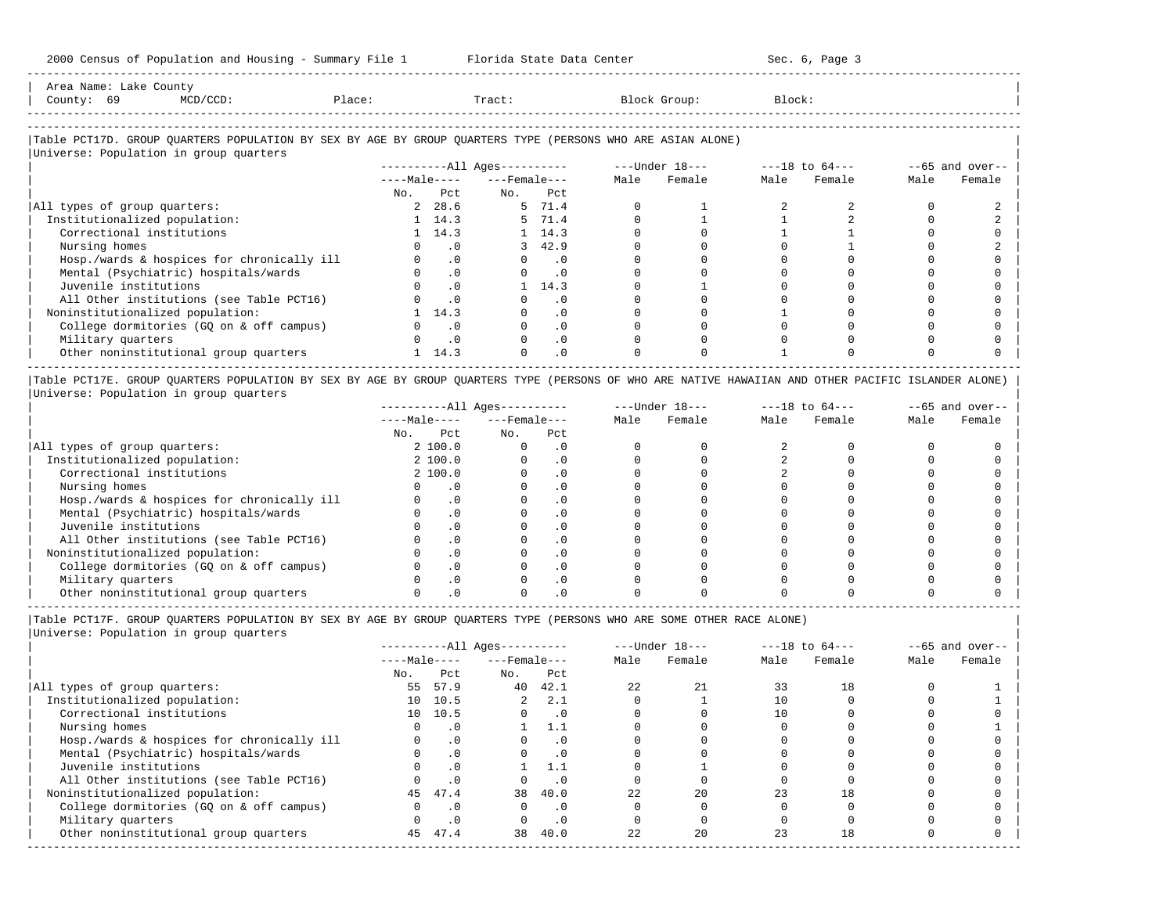| Area Name'           | Lake | County |        |       |       |        |
|----------------------|------|--------|--------|-------|-------|--------|
| County               | 69   |        | Place: | Tract | Group | Block: |
| -------------------- |      |        |        |       |       |        |

-----------------------------------------------------------------------------------------------------------------------------------------------------

### |Table PCT17D. GROUP QUARTERS POPULATION BY SEX BY AGE BY GROUP QUARTERS TYPE (PERSONS WHO ARE ASIAN ALONE) |

|                                            |              |                | $------All Aqes------$ |                       |      | $---Under 18---$ |      | $---18$ to $64---$ |      | $--65$ and over-- |
|--------------------------------------------|--------------|----------------|------------------------|-----------------------|------|------------------|------|--------------------|------|-------------------|
|                                            | $---Male---$ |                | $---$ Female $---$     |                       | Male | Female           | Male | Female             | Male | Female            |
|                                            | No.          | Pct            | No.                    | Pct                   |      |                  |      |                    |      |                   |
| All types of group quarters:               |              | 2, 28.6        |                        | 5 71.4                |      |                  |      |                    |      |                   |
| Institutionalized population:              |              | $1 \quad 14.3$ |                        | 5 71.4                |      |                  |      |                    |      |                   |
| Correctional institutions                  |              | $1 \quad 14.3$ |                        | 1, 14.3               |      |                  |      |                    |      |                   |
| Nursing homes                              |              | . 0            |                        | 3, 42.9               |      |                  |      |                    |      |                   |
| Hosp./wards & hospices for chronically ill |              | $\cdot$ 0      |                        | $\Omega$<br>$\cdot$ 0 |      |                  |      |                    |      |                   |
| Mental (Psychiatric) hospitals/wards       |              | .0             | $\Omega$               | $\cdot$ 0             |      |                  |      |                    |      |                   |
| Juvenile institutions                      |              | .0             |                        | 14.3                  |      |                  |      |                    |      |                   |
| All Other institutions (see Table PCT16)   |              | $\cdot$ 0      |                        | . 0                   |      |                  |      |                    |      |                   |
| Noninstitutionalized population:           |              | 14.3           |                        | $\cdot$ 0             |      |                  |      |                    |      |                   |
| College dormitories (GO on & off campus)   |              | $\cdot$ 0      |                        | $\cdot$ 0             |      |                  |      |                    |      |                   |
| Military quarters                          |              | $\cdot$ 0      |                        | $\cdot$ 0             |      |                  |      |                    |      |                   |
| Other noninstitutional group quarters      |              | 14.3           |                        | $\cdot$ 0             |      |                  |      |                    |      |                   |

|Table PCT17E. GROUP QUARTERS POPULATION BY SEX BY AGE BY GROUP QUARTERS TYPE (PERSONS OF WHO ARE NATIVE HAWAIIAN AND OTHER PACIFIC ISLANDER ALONE) | |Universe: Population in group quarters |

|                                            | $------All Aqes------$ |          |                    |           |      | $---Under 18---$ |      | $---18$ to $64---$ |      | $--65$ and over-- |
|--------------------------------------------|------------------------|----------|--------------------|-----------|------|------------------|------|--------------------|------|-------------------|
|                                            | $---Male---$           |          | $---$ Female $---$ |           | Male | Female           | Male | Female             | Male | Female            |
|                                            | No.                    | Pct      | No.                | Pct       |      |                  |      |                    |      |                   |
| All types of group quarters:               |                        | 2 100.0  |                    | . 0       |      |                  |      |                    |      |                   |
| Institutionalized population:              |                        | 2, 100.0 |                    | $\cdot$ 0 |      |                  |      |                    |      |                   |
| Correctional institutions                  |                        | 2 100.0  |                    | . 0       |      |                  |      |                    |      |                   |
| Nursing homes                              |                        |          |                    | . 0       |      |                  |      |                    |      |                   |
| Hosp./wards & hospices for chronically ill |                        | . 0      |                    | . 0       |      |                  |      |                    |      |                   |
| Mental (Psychiatric) hospitals/wards       |                        |          |                    | $\cdot$ 0 |      |                  |      |                    |      |                   |
| Juvenile institutions                      |                        |          |                    | . 0       |      |                  |      |                    |      |                   |
| All Other institutions (see Table PCT16)   |                        |          |                    | $\cdot$ 0 |      |                  |      |                    |      |                   |
| Noninstitutionalized population:           |                        |          |                    | . 0       |      |                  |      |                    |      |                   |
| College dormitories (GO on & off campus)   |                        |          |                    | . 0       |      |                  |      |                    |      |                   |
| Military quarters                          |                        |          |                    | $\cdot$ 0 |      |                  |      |                    |      |                   |
| Other noninstitutional group quarters      |                        |          |                    |           |      |                  |      |                    |      |                   |

----------------------------------------------------------------------------------------------------------------------------------------------------- |Table PCT17F. GROUP QUARTERS POPULATION BY SEX BY AGE BY GROUP QUARTERS TYPE (PERSONS WHO ARE SOME OTHER RACE ALONE) |

| UNIVELSE, POPULACION IN GIOUP QUALCELS |  |  |
|----------------------------------------|--|--|
|                                        |  |  |

|                                            |              |           | $------All Ages------$ |           |      | $---Under 18---$ |      | $---18$ to $64---$ |      | $--65$ and over-- |
|--------------------------------------------|--------------|-----------|------------------------|-----------|------|------------------|------|--------------------|------|-------------------|
|                                            | $---Male---$ |           | $---$ Female $---$     |           | Male | Female           | Male | Female             | Male | Female            |
|                                            | No.          | Pct       | No.                    | Pct       |      |                  |      |                    |      |                   |
| All types of group quarters:               | 55           | 57.9      | 40                     | 42.1      | 2.2. | 21               | 33   | 18                 |      |                   |
| Institutionalized population:              | 10           | 10.5      | $\overline{a}$         | 2.1       |      |                  |      |                    |      |                   |
| Correctional institutions                  |              | 10 10.5   |                        | $\cdot$ 0 |      |                  |      |                    |      |                   |
| Nursing homes                              |              | $\cdot$ 0 |                        | -1.1      |      |                  |      |                    |      |                   |
| Hosp./wards & hospices for chronically ill |              | $\cdot$ 0 |                        | . 0       |      |                  |      |                    |      |                   |
| Mental (Psychiatric) hospitals/wards       |              | $\cdot$ 0 |                        | $\cdot$ 0 |      |                  |      |                    |      |                   |
| Juvenile institutions                      |              | $\cdot$ 0 |                        | 1.1       |      |                  |      |                    |      |                   |
| All Other institutions (see Table PCT16)   |              | $\cdot$ 0 |                        | $\cdot$ 0 |      |                  |      |                    |      |                   |
| Noninstitutionalized population:           |              | 45 47.4   | 38                     | 40.0      | 22   | 20               | 23   | 18                 |      |                   |
| College dormitories (GQ on & off campus)   |              | $\cdot$ 0 | 0                      | . 0       |      |                  |      |                    |      |                   |
| Military quarters                          |              | $\cdot$ 0 |                        | $\cdot$ 0 |      |                  |      |                    |      |                   |
| Other noninstitutional group quarters      | 45           | 47.4      | 38                     | 40.0      | 22   | 20               | 23   | 18                 |      |                   |
|                                            |              |           |                        |           |      |                  |      |                    |      |                   |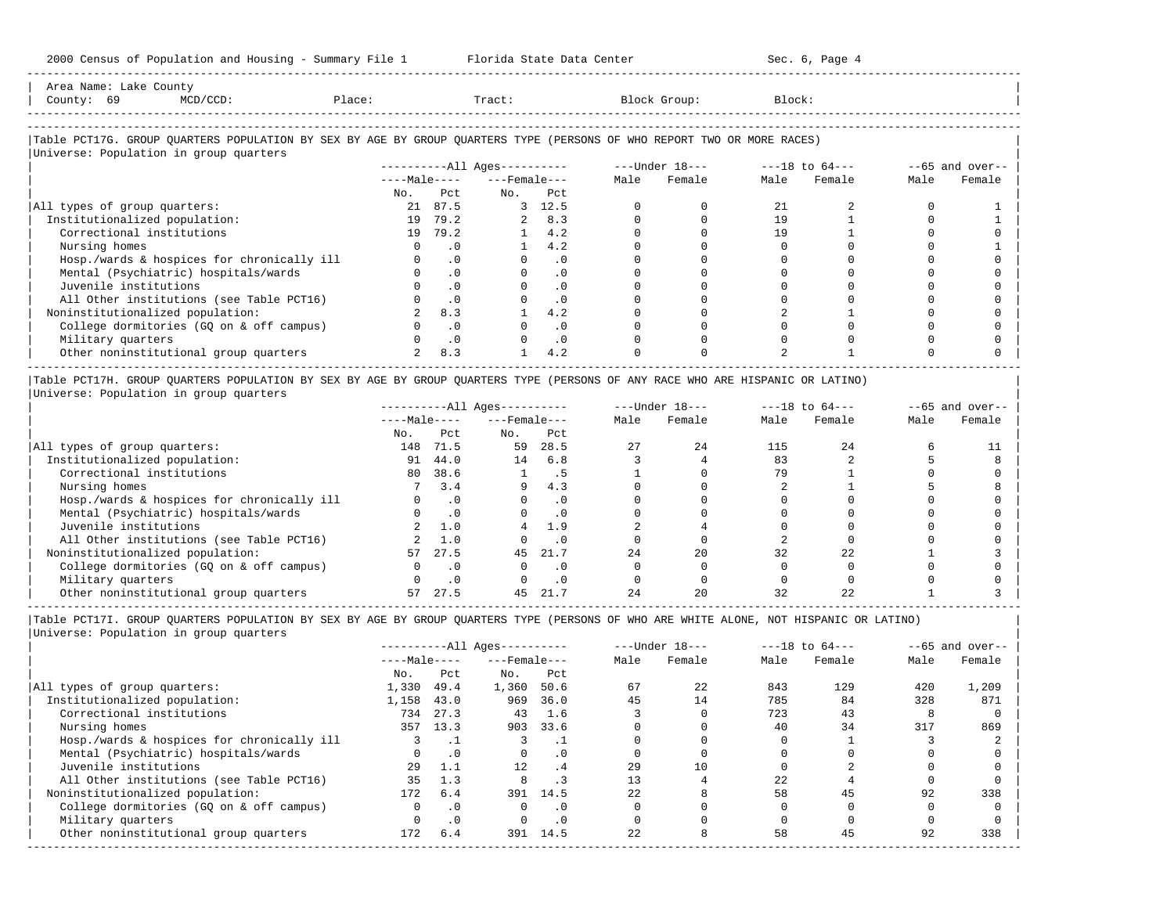| sooo cembab of roparacron and noabring                                                                                                                           | $\omega$ unnuar $\gamma$ r r r r r r |           |                          |            |      |                                                                   |        |        |      |                   |
|------------------------------------------------------------------------------------------------------------------------------------------------------------------|--------------------------------------|-----------|--------------------------|------------|------|-------------------------------------------------------------------|--------|--------|------|-------------------|
| Area Name: Lake County<br>County: 69<br>$MCD/CCD$ :                                                                                                              | Place:                               |           | Tract:                   |            |      | Block Group:                                                      | Block: |        |      |                   |
| Table PCT17G. GROUP QUARTERS POPULATION BY SEX BY AGE BY GROUP QUARTERS TYPE (PERSONS OF WHO REPORT TWO OR MORE RACES)<br>Universe: Population in group quarters |                                      |           |                          |            |      |                                                                   |        |        |      |                   |
|                                                                                                                                                                  |                                      |           |                          |            |      | ----------All Ages---------- ----Under $18$ --- ---18 to $64$ --- |        |        |      | $--65$ and over-- |
|                                                                                                                                                                  |                                      |           | $---Male-- ---Female---$ |            | Male | Female                                                            | Male   | Female | Male | Female            |
|                                                                                                                                                                  | No.                                  | Pct.      | No.                      | Pct        |      |                                                                   |        |        |      |                   |
| All types of group quarters:                                                                                                                                     |                                      | 21 87.5   |                          | 3, 12.5    |      |                                                                   | 21     |        |      |                   |
| Institutionalized population:                                                                                                                                    | 19                                   | 79.2      |                          | $2 \t 8.3$ |      |                                                                   | 19     |        |      |                   |
| Correctional institutions                                                                                                                                        | 19                                   | 79.2      |                          | 4.2        |      |                                                                   | 19     |        |      |                   |
| Nursing homes                                                                                                                                                    |                                      | $\cdot$ 0 |                          | 4.2        |      |                                                                   |        |        |      |                   |
| Hosp./wards & hospices for chronically ill                                                                                                                       |                                      | $\cdot$ 0 |                          | $\cdot$ 0  |      |                                                                   |        |        |      |                   |
| Mental (Psychiatric) hospitals/wards                                                                                                                             |                                      | $\cdot$ 0 |                          | . 0        |      |                                                                   |        |        |      |                   |
| Juvenile institutions                                                                                                                                            |                                      | $\cdot$ 0 |                          | $\Omega$   |      |                                                                   |        |        |      |                   |
| All Other institutions (see Table PCT16)                                                                                                                         |                                      | $\cdot$ 0 |                          | $\cdot$ 0  |      |                                                                   |        |        |      |                   |
| Noninstitutionalized population:                                                                                                                                 |                                      | 8.3       |                          | 4.2        |      |                                                                   |        |        |      |                   |
| College dormitories (GQ on & off campus)                                                                                                                         |                                      | $\cdot$ 0 |                          | $\cdot$ 0  |      |                                                                   |        |        |      |                   |
| Military quarters                                                                                                                                                |                                      | .0        |                          | $\cdot$ 0  |      |                                                                   |        |        |      |                   |
| Other noninstitutional group quarters                                                                                                                            |                                      | 8.3       |                          | 4.2        |      |                                                                   |        |        |      |                   |

|Table PCT17H. GROUP QUARTERS POPULATION BY SEX BY AGE BY GROUP QUARTERS TYPE (PERSONS OF ANY RACE WHO ARE HISPANIC OR LATINO) | |Universe: Population in group quarters |

|                                            |              |           | $------All Ages------$ |           |      | $---Under 18---$ |      | $---18$ to $64---$ | $- -65$ and over-- |        |  |
|--------------------------------------------|--------------|-----------|------------------------|-----------|------|------------------|------|--------------------|--------------------|--------|--|
|                                            | $---Male---$ |           | $---$ Female $---$     |           | Male | Female           | Male | Female             | Male               | Female |  |
|                                            | No.          | Pct       | No.                    | Pct       |      |                  |      |                    |                    |        |  |
| All types of group quarters:               | 148          | 71.5      | 59                     | 28.5      |      | 24               | 115  | 2.4                |                    |        |  |
| Institutionalized population:              | 91           | 44.0      | 14                     | 6.8       |      |                  | 83   |                    |                    |        |  |
| Correctional institutions                  | 80           | 38.6      |                        | د .       |      |                  | 79   |                    |                    |        |  |
| Nursing homes                              |              | 3.4       | 9                      | 4.3       |      |                  |      |                    |                    |        |  |
| Hosp./wards & hospices for chronically ill |              |           |                        | . 0       |      |                  |      |                    |                    |        |  |
| Mental (Psychiatric) hospitals/wards       |              | $\cdot$ 0 |                        | $\cdot$ 0 |      |                  |      |                    |                    |        |  |
| Juvenile institutions                      |              | 1.0       |                        | 1.9       |      |                  |      |                    |                    |        |  |
| All Other institutions (see Table PCT16)   |              | 1.0       |                        | . 0       |      |                  |      |                    |                    |        |  |
| Noninstitutionalized population:           | 57           | 27.5      | 45                     | 21.7      | 24   | 20               | 32   | 22                 |                    |        |  |
| College dormitories (GO on & off campus)   |              |           |                        | $\cdot$ 0 |      |                  |      |                    |                    |        |  |
| Military quarters                          |              | .0        |                        | . 0       |      |                  |      |                    |                    |        |  |
| Other noninstitutional group quarters      |              | 27.5      |                        |           |      | 20               |      |                    |                    |        |  |

-----------------------------------------------------------------------------------------------------------------------------------------------------

|Table PCT17I. GROUP QUARTERS POPULATION BY SEX BY AGE BY GROUP QUARTERS TYPE (PERSONS OF WHO ARE WHITE ALONE, NOT HISPANIC OR LATINO) | |Universe: Population in group quarters |

|                                            |              |           | $------All Ages------$ |           |      | $---Under 18---$ |      | $---18$ to $64---$ |      | $--65$ and over-- |
|--------------------------------------------|--------------|-----------|------------------------|-----------|------|------------------|------|--------------------|------|-------------------|
|                                            | $---Male---$ |           | $---$ Female $---$     |           | Male | Female           | Male | Female             | Male | Female            |
|                                            | No.          | Pct       | No.                    | Pct       |      |                  |      |                    |      |                   |
| All types of group quarters:               | 1,330        | 49.4      | 1,360                  | 50.6      | 67   | 22               | 843  | 129                | 420  | 1,209             |
| Institutionalized population:              | 1,158        | 43.0      | 969                    | 36.0      | 45   | 14               | 785  | 84                 | 328  | 871               |
| Correctional institutions                  | 734          | 27.3      | 43                     | 1.6       |      |                  | 723  | 43                 |      |                   |
| Nursing homes                              | 357          | 13.3      | 903                    | 33.6      |      |                  | 40   | 34                 | 317  | 869               |
| Hosp./wards & hospices for chronically ill |              |           |                        |           |      |                  |      |                    |      |                   |
| Mental (Psychiatric) hospitals/wards       |              | $\cdot$ 0 | $\Omega$               | $\cdot$ 0 |      |                  |      |                    |      |                   |
| Juvenile institutions                      | 29           | 1.1       | 12                     | .4        | 29   | 10               |      |                    |      |                   |
| All Other institutions (see Table PCT16)   | 35           | 1.3       |                        |           |      |                  | 22   |                    |      |                   |
| Noninstitutionalized population:           | 172          | 6.4       | 391                    | 14.5      | 2.2. |                  | 58   | 45                 | 92   | 338               |
| College dormitories (GO on & off campus)   | <sup>n</sup> | $\cdot$ 0 |                        | . 0       |      |                  |      |                    |      |                   |
| Military quarters                          |              | $\cdot$ 0 |                        | $\cdot$ 0 |      |                  |      |                    |      |                   |
| Other noninstitutional group quarters      | 172          | 6.4       | 391                    | 14.5      | 22   |                  | 58   | 45                 | 92   | 338               |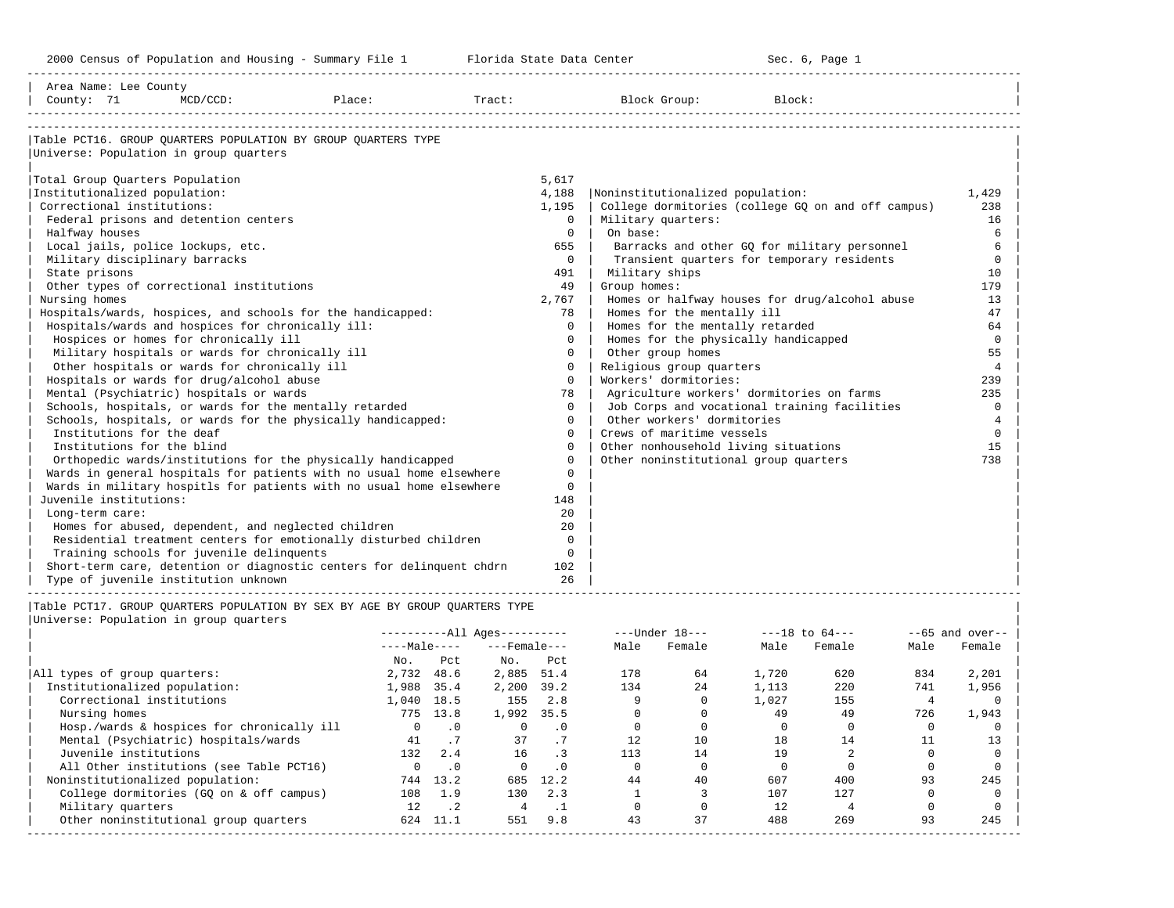| Area Name: Lee County<br>County: 71                                                                                                                                                  | $MCD/CCD$ :                                                                                                                                                                                                                                                                                                                                                                                                                                               | Place:                                                                                                                                                                                                                                                                                                                                                                                                                    | Tract: |                                                                                                                                                                                 | Block Group:                                                                                                                                                                                                                                                                            | Block:                                                                                                                                                                                                                                                                                          |                                                                                                                                             |
|--------------------------------------------------------------------------------------------------------------------------------------------------------------------------------------|-----------------------------------------------------------------------------------------------------------------------------------------------------------------------------------------------------------------------------------------------------------------------------------------------------------------------------------------------------------------------------------------------------------------------------------------------------------|---------------------------------------------------------------------------------------------------------------------------------------------------------------------------------------------------------------------------------------------------------------------------------------------------------------------------------------------------------------------------------------------------------------------------|--------|---------------------------------------------------------------------------------------------------------------------------------------------------------------------------------|-----------------------------------------------------------------------------------------------------------------------------------------------------------------------------------------------------------------------------------------------------------------------------------------|-------------------------------------------------------------------------------------------------------------------------------------------------------------------------------------------------------------------------------------------------------------------------------------------------|---------------------------------------------------------------------------------------------------------------------------------------------|
| Total Group Quarters Population<br>Institutionalized population:<br>Correctional institutions:<br>Halfway houses<br>Military disciplinary barracks<br>State prisons<br>Nursing homes | Universe: Population in group quarters<br>Federal prisons and detention centers<br>Local jails, police lockups, etc.<br>Other types of correctional institutions<br>Hospitals/wards and hospices for chronically ill:<br>Hospices or homes for chronically ill<br>Military hospitals or wards for chronically ill<br>Other hospitals or wards for chronically ill<br>Hospitals or wards for drug/alcohol abuse<br>Mental (Psychiatric) hospitals or wards | Table PCT16. GROUP OUARTERS POPULATION BY GROUP OUARTERS TYPE<br>Hospitals/wards, hospices, and schools for the handicapped:<br>Schools, hospitals, or wards for the mentally retarded                                                                                                                                                                                                                                    |        | 5,617<br>4,188<br>1,195<br>$\Omega$<br>$\Omega$<br>655<br>$\Omega$<br>491<br>49<br>2,767<br>78<br>$\Omega$<br>$\Omega$<br>$\mathbf 0$<br>$\Omega$<br>$\Omega$<br>78<br>$\Omega$ | Noninstitutionalized population:<br>Military quarters:<br>On base:<br>Military ships<br>Group homes:<br>Homes for the mentally ill<br>Homes for the mentally retarded<br>Homes for the physically handicapped<br>Other group homes<br>Religious group quarters<br>Workers' dormitories: | College dormitories (college GO on and off campus)<br>Barracks and other GQ for military personnel<br>Transient quarters for temporary residents<br>Homes or halfway houses for drug/alcohol abuse<br>Agriculture workers' dormitories on farms<br>Job Corps and vocational training facilities | 1,429<br>238<br>16<br>6<br>6<br>$\mathbf 0$<br>10<br>179<br>13<br>47<br>64<br>$\mathbf 0$<br>55<br>$\overline{4}$<br>239<br>235<br>$\Omega$ |
| Institutions for the deaf<br>Institutions for the blind<br>Juvenile institutions:<br>Long-term care:                                                                                 | Homes for abused, dependent, and neglected children<br>Training schools for juvenile delinquents<br>Type of juvenile institution unknown                                                                                                                                                                                                                                                                                                                  | Schools, hospitals, or wards for the physically handicapped:<br>Orthopedic wards/institutions for the physically handicapped<br>Wards in general hospitals for patients with no usual home elsewhere<br>Wards in military hospitls for patients with no usual home elsewhere<br>Residential treatment centers for emotionally disturbed children<br>Short-term care, detention or diagnostic centers for delinquent chdrn |        | $\Omega$<br>$\Omega$<br>$\Omega$<br>$\Omega$<br>$\mathbf 0$<br>$\mathbf 0$<br>148<br>20<br>20<br>$\Omega$<br>$\Omega$<br>102<br>26                                              | Other workers' dormitories<br>Crews of maritime vessels<br>Other nonhousehold living situations<br>Other noninstitutional group quarters                                                                                                                                                |                                                                                                                                                                                                                                                                                                 | $\overline{4}$<br>$\Omega$<br>15<br>738                                                                                                     |
| $211 + \frac{1}{2}$                                                                                                                                                                  | Universe: Population in group quarters                                                                                                                                                                                                                                                                                                                                                                                                                    | Table PCT17. GROUP OUARTERS POPULATION BY SEX BY AGE BY GROUP OUARTERS TYPE<br>$------All Aqes------$<br>$---Male-- ---Female---$<br>No.<br>Pct                                                                                                                                                                                                                                                                           | $NQ$ . | Pct                                                                                                                                                                             | ---Under 18--- ---18 to 64---<br>Male Female<br>170<br>CA                                                                                                                                                                                                                               | Male Female<br>Male<br>1.720<br>$\epsilon$ 20<br>0.21                                                                                                                                                                                                                                           | $--65$ and over--<br>Female<br>2.221                                                                                                        |

|                                            | NO.   | PC L      | NO.        | ビじし       |     |    |       |     |     |       |
|--------------------------------------------|-------|-----------|------------|-----------|-----|----|-------|-----|-----|-------|
| All types of group quarters:               | 2,732 | 48.6      | 2,885 51.4 |           | 178 | 64 | 1,720 | 620 | 834 | 2,201 |
| Institutionalized population:              | 1,988 | 35.4      | 2,200      | 39.2      | 134 | 24 | 1,113 | 220 | 741 | 1,956 |
| Correctional institutions                  | 1,040 | 18.5      | 155        | 2.8       |     |    | 1,027 | 155 |     |       |
| Nursing homes                              | 775   | 13.8      | 1,992      | 35.5      |     |    | 49    | 49  | 726 | 1,943 |
| Hosp./wards & hospices for chronically ill | 0     | . 0       |            | . 0       |     |    |       |     |     |       |
| Mental (Psychiatric) hospitals/wards       | 41    |           | 37         |           | 12. |    | 18    | 14  |     |       |
| Juvenile institutions                      | 132   | 2.4       | 16         |           | 113 | 14 | 19    |     |     |       |
| All Other institutions (see Table PCT16)   |       | .0        |            | $\cdot$ 0 |     |    |       |     |     |       |
| Noninstitutionalized population:           | 744   | 13.2      | 685        | 12.2      | 44  | 40 | 607   | 400 | 93  | 245   |
| College dormitories (GQ on & off campus)   | 108   | 1.9       | 130        | 2.3       |     |    | 107   | 127 |     |       |
| Military quarters                          | 12.   | $\cdot$ 2 |            |           |     |    | 12    |     |     |       |
| Other noninstitutional group quarters      | 624   | 11.1      | 551        | 9.8       | 43  | 37 | 488   | 269 | 93  | 245   |
|                                            |       |           |            |           |     |    |       |     |     |       |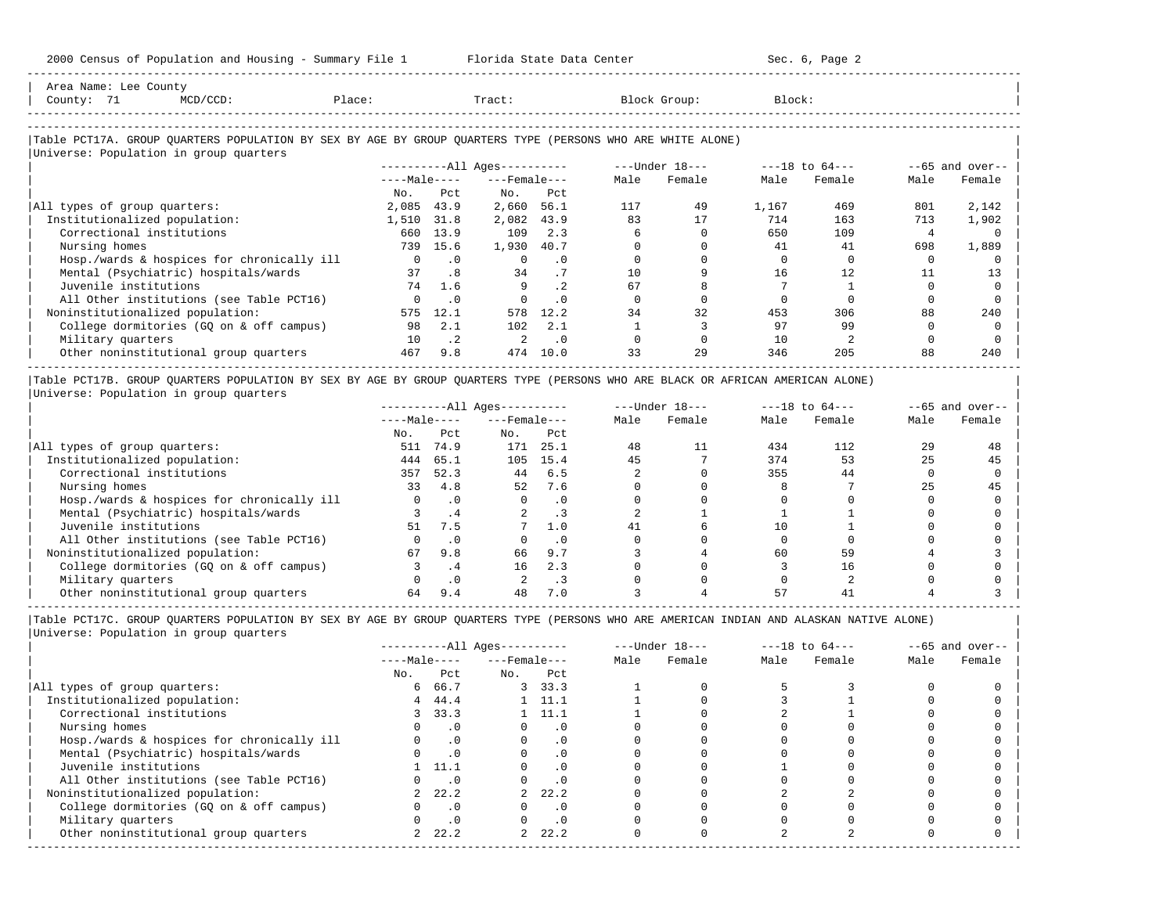| County: 71<br>$MCD/CCD$ :                                                                                                                            | Place:       |           | Tract:                 |           |      | Block Group:   | Block: |                    |          |                   |
|------------------------------------------------------------------------------------------------------------------------------------------------------|--------------|-----------|------------------------|-----------|------|----------------|--------|--------------------|----------|-------------------|
| Table PCT17A. GROUP QUARTERS POPULATION BY SEX BY AGE BY GROUP QUARTERS TYPE (PERSONS WHO ARE WHITE ALONE)<br>Universe: Population in group quarters |              |           |                        |           |      |                |        |                    |          |                   |
|                                                                                                                                                      |              |           | $------All Aqes------$ |           |      | ---Under 18--- |        | $---18$ to $64---$ |          | $--65$ and over-- |
|                                                                                                                                                      | $---Male---$ |           | $---$ Female $---$     |           | Male | Female         | Male   | Female             | Male     | Female            |
|                                                                                                                                                      | No.          | Pct       | No.                    | Pct       |      |                |        |                    |          |                   |
| All types of group quarters:                                                                                                                         | 2,085        | 43.9      | 2,660                  | 56.1      | 117  | 49             | 1,167  | 469                | 801      | 2,142             |
| Institutionalized population:                                                                                                                        | 1,510        | 31.8      | 2,082                  | 43.9      | 83   | 17             | 714    | 163                | 713      | 1,902             |
| Correctional institutions                                                                                                                            | 660          | 13.9      | 109                    | 2.3       |      |                | 650    | 109                | 4        |                   |
| Nursing homes                                                                                                                                        | 739          | 15.6      | 1,930                  | 40.7      |      |                | 41     | 41                 | 698      | 1,889             |
| Hosp./wards & hospices for chronically ill                                                                                                           |              | $\cdot$ 0 |                        | $\cdot$ 0 |      |                |        |                    | $\Omega$ |                   |
| Mental (Psychiatric) hospitals/wards                                                                                                                 | 37           | .8        | 34                     | . 7       | 10   |                | 16     | 12                 | 11       | 13                |
| Juvenile institutions                                                                                                                                | 74           | 1.6       | 9                      | $\cdot$ 2 | 67   |                |        |                    |          |                   |
| All Other institutions (see Table PCT16)                                                                                                             |              | $\cdot$ 0 |                        | $\cdot$ 0 |      |                |        |                    |          |                   |
| Noninstitutionalized population:                                                                                                                     | 575          | 12.1      | 578                    | 12.2      | 34   | 32             | 453    | 306                | 88       | 240               |
| College dormitories (GQ on & off campus)                                                                                                             | 98           | 2.1       | 102                    | 2.1       |      |                | 97     | 99                 |          |                   |
| Military quarters                                                                                                                                    | 10           | $\cdot$ 2 |                        | $\cdot$ 0 |      |                | 10     |                    |          |                   |
| Other noninstitutional group quarters                                                                                                                | 467          | 9.8       | 474                    | 10.0      | 33   | 29             | 346    | 205                | 88       | 240               |

|Table PCT17B. GROUP QUARTERS POPULATION BY SEX BY AGE BY GROUP QUARTERS TYPE (PERSONS WHO ARE BLACK OR AFRICAN AMERICAN ALONE) | |Universe: Population in group quarters |

-----------------------------------------------------------------------------------------------------------------------------------------------------

|                                            | $------All Aqes------$ |           |                    |           |      | $---Under 18---$ | $---18$ to $64---$ |        | $- -65$ and over-- |        |
|--------------------------------------------|------------------------|-----------|--------------------|-----------|------|------------------|--------------------|--------|--------------------|--------|
|                                            | $---Male---$           |           | $---$ Female $---$ |           | Male | Female           | Male               | Female | Male               | Female |
|                                            | No.                    | Pct       | No.                | Pct       |      |                  |                    |        |                    |        |
| All types of group quarters:               | 511                    | 74.9      | 171                | 25.1      | 48   | 11               | 434                | 112    | 29                 | 48     |
| Institutionalized population:              | 444                    | 65.1      | 105                | 15.4      | 45   |                  | 374                | 53     | 25                 | 45     |
| Correctional institutions                  | 357                    | 52.3      | 44                 | 6.5       |      |                  | 355                | 44     |                    |        |
| Nursing homes                              | 33                     | 4.8       | 52                 | 7.6       |      |                  |                    |        | 25                 | 45     |
| Hosp./wards & hospices for chronically ill |                        | $\cdot$ 0 |                    | $\cdot$ 0 |      |                  |                    |        |                    |        |
| Mental (Psychiatric) hospitals/wards       |                        | . 4       |                    |           |      |                  |                    |        |                    |        |
| Juvenile institutions                      | 51                     | 7.5       |                    | 1.0       |      |                  | 10                 |        |                    |        |
| All Other institutions (see Table PCT16)   |                        | $\cdot$ 0 |                    | $\cdot$ 0 |      |                  |                    |        |                    |        |
| Noninstitutionalized population:           | 67                     | 9.8       | 66                 | 9.7       |      |                  | 60                 | 59     |                    |        |
| College dormitories (GO on & off campus)   |                        | . 4       | 16                 | 2.3       |      |                  |                    | 16     |                    |        |
| Military quarters                          |                        | $\cdot$ 0 |                    | . 3       |      |                  |                    |        |                    |        |
| Other noninstitutional group quarters      | 64                     | 9.4       | 48                 | 7.0       |      |                  | 57                 |        |                    |        |

-----------------------------------------------------------------------------------------------------------------------------------------------------

|                                            |              |           | $------All Ages------$ |                |      | $---Under 18---$ |      | $---18$ to $64---$ |      | $--65$ and over-- |
|--------------------------------------------|--------------|-----------|------------------------|----------------|------|------------------|------|--------------------|------|-------------------|
|                                            | $---Male---$ |           | $---$ Female $---$     |                | Male | Female           | Male | Female             | Male | Female            |
|                                            | No.          | Pct       | No.                    | Pct            |      |                  |      |                    |      |                   |
| All types of group quarters:               | 6            | 66.7      |                        | 3, 33.3        |      |                  |      |                    |      |                   |
| Institutionalized population:              | 4            | 44.4      |                        | $1 \quad 11.1$ |      |                  |      |                    |      |                   |
| Correctional institutions                  |              | 3, 33.3   |                        | 1 11.1         |      |                  |      |                    |      |                   |
| Nursing homes                              |              | $\cdot$ 0 |                        | $\cdot$ 0      |      |                  |      |                    |      |                   |
| Hosp./wards & hospices for chronically ill |              | $\cdot$ 0 |                        | $\cdot$ 0      |      |                  |      |                    |      |                   |
| Mental (Psychiatric) hospitals/wards       |              | $\cdot$ 0 |                        | $\cdot$ 0      |      |                  |      |                    |      |                   |
| Juvenile institutions                      |              | 11.1      |                        | $\cdot$ 0      |      |                  |      |                    |      |                   |
| All Other institutions (see Table PCT16)   |              | $\cdot$ 0 |                        |                |      |                  |      |                    |      |                   |
| Noninstitutionalized population:           | $\mathbf{2}$ | 22.2      |                        | 22.2           |      |                  |      |                    |      |                   |
| College dormitories (GQ on & off campus)   |              | $\cdot$ 0 |                        | $\cdot$ 0      |      |                  |      |                    |      |                   |
| Military quarters                          |              | $\cdot$ 0 |                        | $\cdot$ 0      |      |                  |      |                    |      |                   |
| Other noninstitutional group quarters      |              | 22.2      | $\overline{a}$         | 22.2           |      |                  |      |                    |      |                   |
|                                            |              |           |                        |                |      |                  |      |                    |      |                   |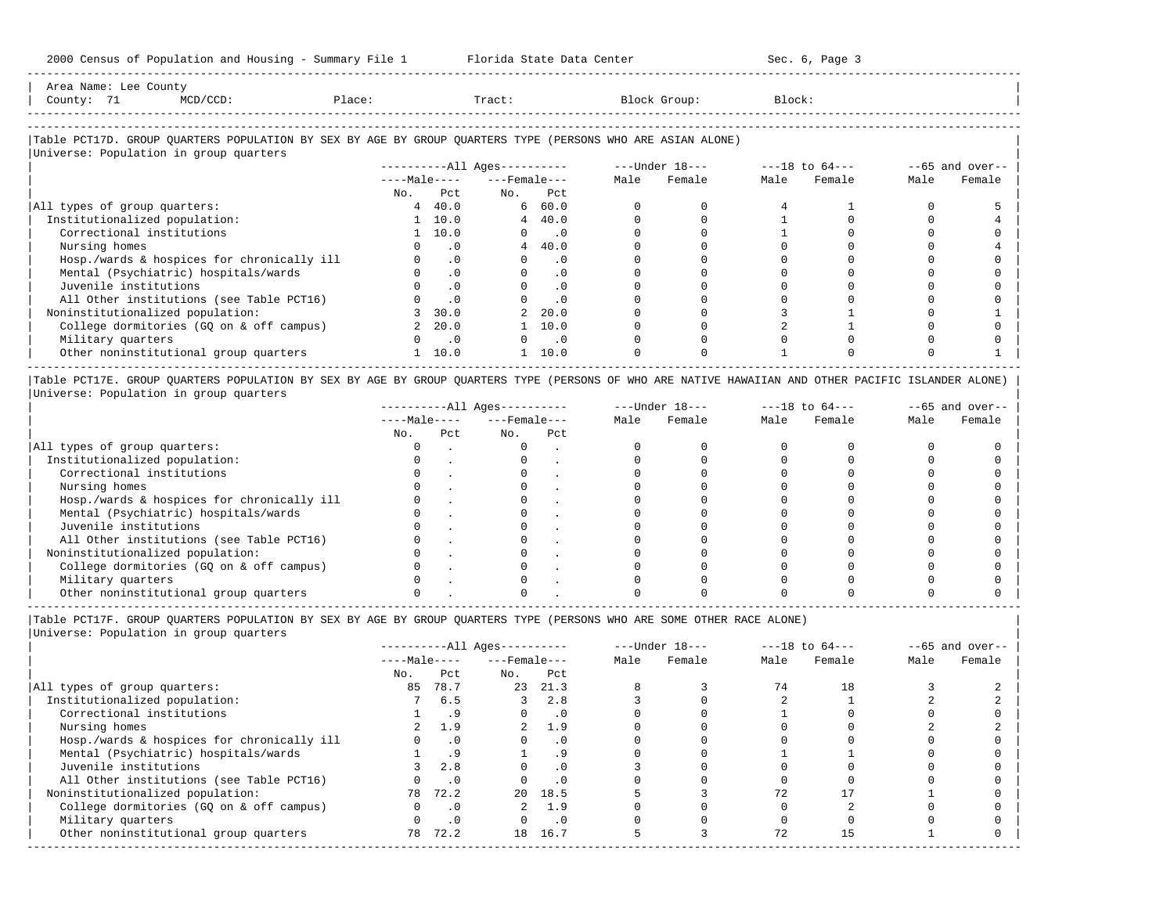| Area Name: Lee County                                                                                      |          |        |  |        |  |              |        |  |  |
|------------------------------------------------------------------------------------------------------------|----------|--------|--|--------|--|--------------|--------|--|--|
| County: 71                                                                                                 | MCD/CCD: | Place: |  | Tract: |  | Block Group: | Block: |  |  |
|                                                                                                            |          |        |  |        |  |              |        |  |  |
|                                                                                                            |          |        |  |        |  |              |        |  |  |
| Table PCT17D. GROUP QUARTERS POPULATION BY SEX BY AGE BY GROUP QUARTERS TYPE (PERSONS WHO ARE ASIAN ALONE) |          |        |  |        |  |              |        |  |  |

-----------------------------------------------------------------------------------------------------------------------------------------------------

### |Universe: Population in group quarters | ----------All Ages---------- ---Under 18---<br>----Male---- ---Female--- Male Female | ----Male---- ---Female--- Male Female Male Female Male Female | No. Pct No. Pct<br>4 40.0 6 60.0<br>1 10.0 4 40.0 |All types of group quarters:  $\begin{array}{cccccccc} 4 & 40.0 & 6 & 60.0 & 0 & 0 & 4 & 1 & 0 & 5 \end{array}$ | Institutionalized population: 1 10.0 4 40.0 0 0 1 0 0 4 | | Correctional institutions 1 10.0 0 .0 0 0 1 0 0 0 | | Nursing homes 0 .0 4 40.0 0 0 0 0 0 4 | | Hosp./wards & hospices for chronically ill 0 .0 0 .0 0 0 0 0 0 0 | | Mental (Psychiatric) hospitals/wards 0 .0 0 .0 0 0 0 0 0 0 | | Juvenile institutions 0 .0 0 .0 0 0 0 0 0 0 | | All Other institutions (see Table PCT16) 0 .0 0 .0 0 0 0 0 0 0 | | Noninstitutionalized population: 3 30.0 2 20.0 0 0 3 1 0 1 | | College dormitories (GQ on & off campus) 2 20.0 1 10.0 0 0 2 1 0 0 | | Military quarters 0 .0 0 .0 0 0 0 0 0 0 | | Other noninstitutional group quarters 1 10.0 1 10.0 0 0 1 0 0 1 | -----------------------------------------------------------------------------------------------------------------------------------------------------

|Table PCT17E. GROUP QUARTERS POPULATION BY SEX BY AGE BY GROUP QUARTERS TYPE (PERSONS OF WHO ARE NATIVE HAWAIIAN AND OTHER PACIFIC ISLANDER ALONE) | |Universe: Population in group quarters |

|                                            |              |     | $------All Aqes------$ |     |      | $---Under 18---$ |      | $---18$ to $64---$ |      | $--65$ and over-- |
|--------------------------------------------|--------------|-----|------------------------|-----|------|------------------|------|--------------------|------|-------------------|
|                                            | $---Male---$ |     | $---$ Female $---$     |     | Male | Female           | Male | Female             | Male | Female            |
|                                            | No.          | Pct | No.                    | Pct |      |                  |      |                    |      |                   |
| All types of group quarters:               |              |     |                        |     |      |                  |      |                    |      |                   |
| Institutionalized population:              |              |     |                        |     |      |                  |      |                    |      |                   |
| Correctional institutions                  |              |     |                        |     |      |                  |      |                    |      |                   |
| Nursing homes                              |              |     |                        |     |      |                  |      |                    |      |                   |
| Hosp./wards & hospices for chronically ill |              |     |                        |     |      |                  |      |                    |      |                   |
| Mental (Psychiatric) hospitals/wards       |              |     |                        |     |      |                  |      |                    |      |                   |
| Juvenile institutions                      |              |     |                        |     |      |                  |      |                    |      |                   |
| All Other institutions (see Table PCT16)   |              |     |                        |     |      |                  |      |                    |      |                   |
| Noninstitutionalized population:           |              |     |                        |     |      |                  |      |                    |      |                   |
| College dormitories (GQ on & off campus)   |              |     |                        |     |      |                  |      |                    |      |                   |
| Military quarters                          |              |     |                        |     |      |                  |      |                    |      |                   |
| Other noninstitutional group quarters      |              |     |                        |     |      |                  |      |                    |      |                   |

----------------------------------------------------------------------------------------------------------------------------------------------------- |Table PCT17F. GROUP QUARTERS POPULATION BY SEX BY AGE BY GROUP QUARTERS TYPE (PERSONS WHO ARE SOME OTHER RACE ALONE) |

|                                            |              |           | $------All Ages------$ |           |      | $---Under 18---$ |      | $---18$ to $64---$ |      | $--65$ and over-- |
|--------------------------------------------|--------------|-----------|------------------------|-----------|------|------------------|------|--------------------|------|-------------------|
|                                            | $---Male---$ |           | $---$ Female $---$     |           | Male | Female           | Male | Female             | Male | Female            |
|                                            | No.          | Pct       | No.                    | Pct       |      |                  |      |                    |      |                   |
| All types of group quarters:               | 85           | 78.7      | 23                     | 21.3      |      |                  | 74   | 18                 |      |                   |
| Institutionalized population:              |              | 6.5       |                        | 2.8       |      |                  |      |                    |      |                   |
| Correctional institutions                  |              | . 9       |                        | $\cdot$ 0 |      |                  |      |                    |      |                   |
| Nursing homes                              |              | 1.9       |                        | 1.9       |      |                  |      |                    |      |                   |
| Hosp./wards & hospices for chronically ill |              | $\cdot$ 0 |                        | $\cdot$ 0 |      |                  |      |                    |      |                   |
| Mental (Psychiatric) hospitals/wards       |              | .9        |                        |           |      |                  |      |                    |      |                   |
| Juvenile institutions                      |              | 2.8       |                        |           |      |                  |      |                    |      |                   |
| All Other institutions (see Table PCT16)   |              | $\cdot$ 0 |                        |           |      |                  |      |                    |      |                   |
| Noninstitutionalized population:           | 78           | 72.2      | $20 -$                 | 18.5      |      |                  |      |                    |      |                   |
| College dormitories (GQ on & off campus)   |              | $\cdot$ 0 |                        | 1.9       |      |                  |      |                    |      |                   |
| Military quarters                          |              | $\cdot$ 0 |                        | $\cdot$ 0 |      |                  |      |                    |      |                   |
| Other noninstitutional group quarters      | 78           | 72.2      | 18                     | 16.7      |      |                  | 72   |                    |      |                   |
|                                            |              |           |                        |           |      |                  |      |                    |      |                   |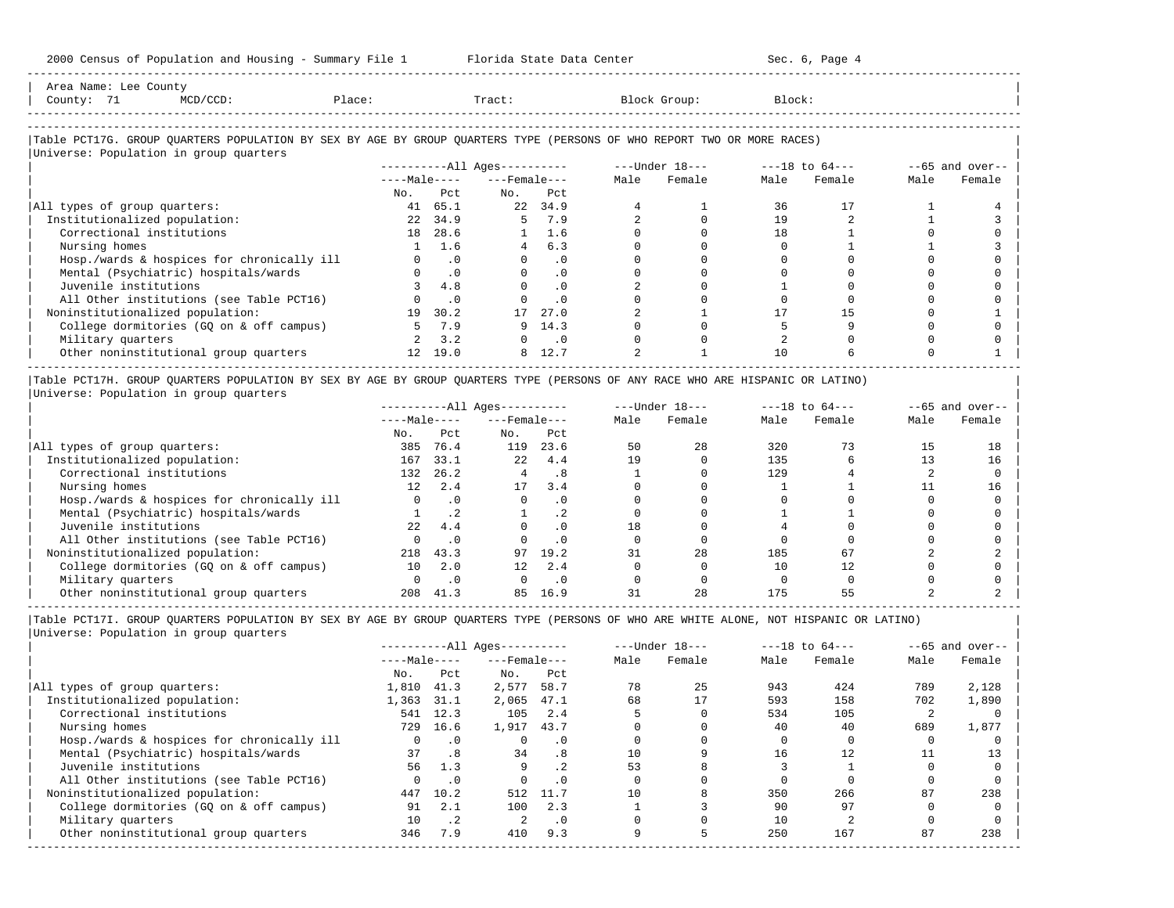| Area Name: Lee County<br>County: 71<br>MCD/CCD:                                                                               | Place:  |               | material and the Tract:  |                       | Block Group:                                                    | Block: |             |      |                   |
|-------------------------------------------------------------------------------------------------------------------------------|---------|---------------|--------------------------|-----------------------|-----------------------------------------------------------------|--------|-------------|------|-------------------|
|                                                                                                                               |         |               |                          |                       |                                                                 |        |             |      |                   |
| Table PCT17G. GROUP QUARTERS POPULATION BY SEX BY AGE BY GROUP QUARTERS TYPE (PERSONS OF WHO REPORT TWO OR MORE RACES)        |         |               |                          |                       |                                                                 |        |             |      |                   |
| Universe: Population in group quarters                                                                                        |         |               |                          |                       |                                                                 |        |             |      |                   |
|                                                                                                                               |         |               |                          |                       | ----------All Ages---------- ---- Under $18--$ ---18 to $64--$  |        |             |      | $--65$ and over-- |
|                                                                                                                               |         |               | $---Male-- ---Female---$ |                       | Male Female                                                     |        | Male Female | Male | Female            |
|                                                                                                                               |         | No. Pct       | No. Pct                  |                       |                                                                 |        |             |      |                   |
| All types of group quarters:                                                                                                  | 41 65.1 |               |                          | 22 34.9               |                                                                 | 36     | 17          |      |                   |
| Institutionalized population:                                                                                                 |         | 22 34.9       | 5 7.9                    |                       | $\Omega$                                                        | 19     |             |      |                   |
| Correctional institutions                                                                                                     |         | 18 28.6       |                          | $1 \quad 1.6$         |                                                                 | 18     |             |      |                   |
| Nursing homes                                                                                                                 |         | 1 1.6         |                          | 4 6.3                 |                                                                 |        |             |      |                   |
| Hosp./wards & hospices for chronically ill                                                                                    |         | $0 \qquad .0$ |                          | $\Omega$<br>$\cdot$ 0 |                                                                 |        |             |      |                   |
| Mental (Psychiatric) hospitals/wards                                                                                          |         | $0 \qquad 0$  |                          | .0                    |                                                                 |        |             |      |                   |
| Juvenile institutions                                                                                                         |         | 3, 4.8        |                          | $0 \qquad .0$         |                                                                 |        |             |      |                   |
| All Other institutions (see Table PCT16)                                                                                      |         | $0 \qquad 0$  | $\Omega$                 | $\cdot$ 0             |                                                                 |        |             |      |                   |
| Noninstitutionalized population:                                                                                              |         | 19 30.2       | 17                       | 27.0                  |                                                                 | 17     | 1.5         |      |                   |
| College dormitories (GQ on & off campus)                                                                                      |         | 5 7.9         |                          | 9, 14.3               |                                                                 |        |             |      |                   |
| Military quarters                                                                                                             |         | $2 \quad 3.2$ |                          | $0 \qquad .0$         |                                                                 |        |             |      |                   |
| Other noninstitutional group quarters                                                                                         |         | 12 19.0       |                          | 8 12.7                |                                                                 | 10     |             |      |                   |
| Table PCT17H. GROUP QUARTERS POPULATION BY SEX BY AGE BY GROUP QUARTERS TYPE (PERSONS OF ANY RACE WHO ARE HISPANIC OR LATINO) |         |               |                          |                       |                                                                 |        |             |      |                   |
| Universe: Population in group quarters                                                                                        |         |               |                          |                       |                                                                 |        |             |      |                   |
|                                                                                                                               |         |               |                          |                       | ----------All Ages---------- ----Under $18---$ ---18 to $64---$ |        |             |      | $--65$ and over-- |
|                                                                                                                               |         |               | $---Male-- ---Female---$ |                       | Male Female                                                     |        | Male Female | Male | Female            |

|                                            | ----waic---- |      | ---Felldie---   |          | Male | r emaie | Male | remaie | Malt | r emaie |
|--------------------------------------------|--------------|------|-----------------|----------|------|---------|------|--------|------|---------|
|                                            | No.          | Pct  | No.             | Pct      |      |         |      |        |      |         |
| All types of group quarters:               | 385          | 76.4 | 119             | 23.6     | 50   | 28      | 320  |        | 15   | 18      |
| Institutionalized population:              | 167          | 33.1 | 22              | 4.4      | 19   |         | 135  |        |      | 16      |
| Correctional institutions                  | 132          | 26.2 |                 | . 8      |      |         | 129  |        |      |         |
| Nursing homes                              | 12.          | 2.4  |                 | 3.4      |      |         |      |        |      |         |
| Hosp./wards & hospices for chronically ill |              |      |                 | . 0      |      |         |      |        |      |         |
| Mental (Psychiatric) hospitals/wards       |              |      |                 | . .      |      |         |      |        |      |         |
| Juvenile institutions                      | 2.2          | 4.4  |                 | . 0      | 18   |         |      |        |      |         |
| All Other institutions (see Table PCT16)   |              |      |                 | $\Omega$ |      |         |      |        |      |         |
| Noninstitutionalized population:           | 218          | 43.3 | 97              | 19.2     |      | 28      | 185  | 67     |      |         |
| College dormitories (GQ on & off campus)   | $10^{\circ}$ | 2.0  | 12 <sup>°</sup> | 2.4      |      |         |      |        |      |         |
| Military quarters                          |              |      |                 | . 0      |      |         |      |        |      |         |
| Other noninstitutional group quarters      | 208          | 41.3 | 85              | 16.9     |      | 28      | 175  |        |      |         |

|Table PCT17I. GROUP QUARTERS POPULATION BY SEX BY AGE BY GROUP QUARTERS TYPE (PERSONS OF WHO ARE WHITE ALONE, NOT HISPANIC OR LATINO) | |Universe: Population in group quarters |

|                                            |              |           | $------All Ages------$ |           |      | $---Under 18---$ |      | $---18$ to $64---$ |      | $--65$ and over-- |
|--------------------------------------------|--------------|-----------|------------------------|-----------|------|------------------|------|--------------------|------|-------------------|
|                                            | $---Male---$ |           | $---$ Female $---$     |           | Male | Female           | Male | Female             | Male | Female            |
|                                            | No.          | Pct       | No.                    | Pct       |      |                  |      |                    |      |                   |
| All types of group quarters:               | 1,810        | 41.3      | 2,577                  | 58.7      | 78   | 25               | 943  | 424                | 789  | 2,128             |
| Institutionalized population:              | 1,363        | 31.1      | 2,065                  | 47.1      | 68   | 17               | 593  | 158                | 702  | 1,890             |
| Correctional institutions                  | 541          | 12.3      | 105                    | 2.4       |      |                  | 534  | 105                |      |                   |
| Nursing homes                              | 729          | 16.6      | 1,917                  | 43.7      |      |                  | 40   | 40                 | 689  | 1,877             |
| Hosp./wards & hospices for chronically ill |              | $\cdot$ 0 |                        | . 0       |      |                  |      |                    |      |                   |
| Mental (Psychiatric) hospitals/wards       | 37           | .8        | 34                     | .8        | 10   |                  | 16   | 12                 |      | 13                |
| Juvenile institutions                      | 56           | 1.3       | 9                      |           | 53   |                  |      |                    |      |                   |
| All Other institutions (see Table PCT16)   |              | $\cdot$ 0 |                        | . 0       |      |                  |      |                    |      |                   |
| Noninstitutionalized population:           | 447          | 10.2      | 512                    | 11.7      | 10   |                  | 350  | 266                | 87   | 238               |
| College dormitories (GO on & off campus)   | 91           | 2.1       | 100                    | 2.3       |      |                  | 90   | 97                 |      |                   |
| Military quarters                          | 10           | $\cdot$ 2 | 2                      | $\cdot$ 0 |      |                  | 10   |                    |      |                   |
| Other noninstitutional group quarters      | 346          | 7.9       | 410                    | 9.3       |      |                  | 250  | 167                | 87   | 238               |
|                                            |              |           |                        |           |      |                  |      |                    |      |                   |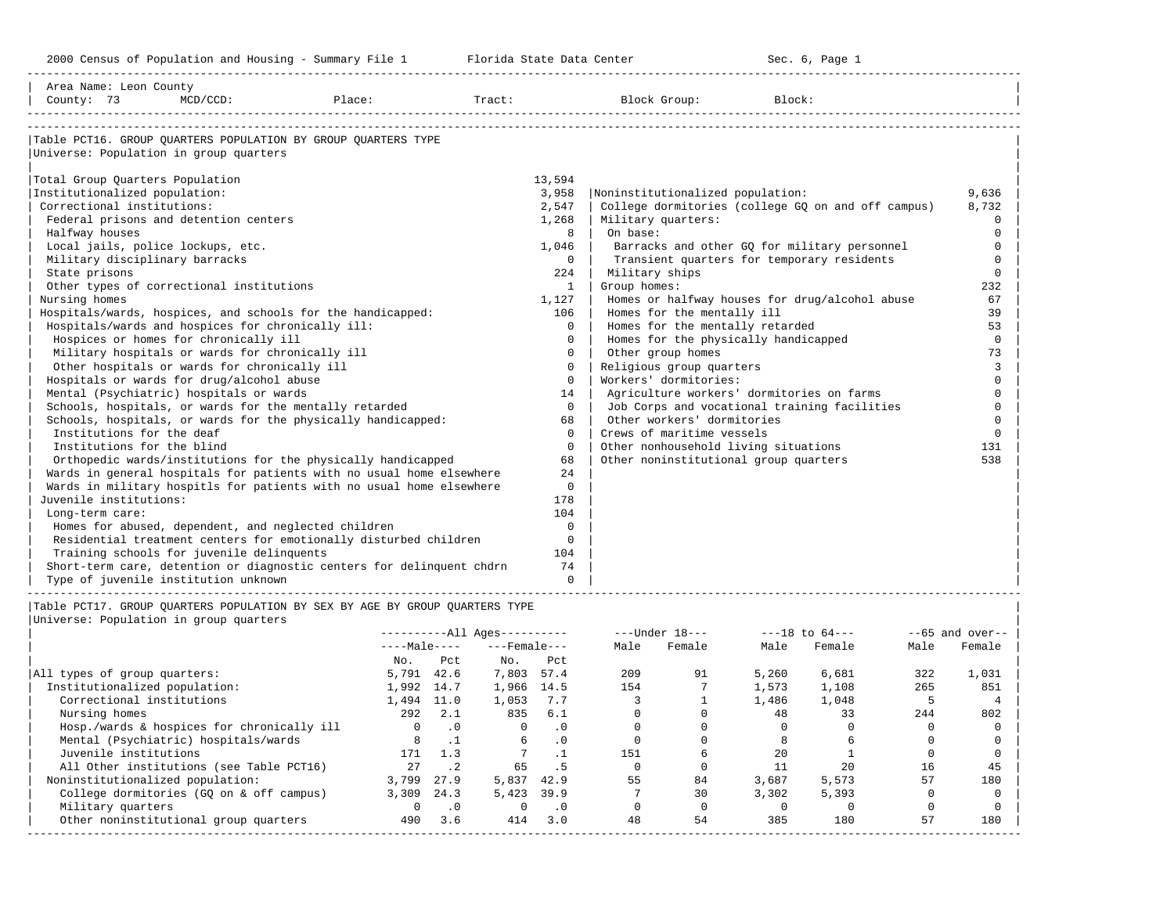| Area Name: Leon County                 |                                                     |                                                                             |                            |         |                       |                             |                                       |        |                                                    |              |                  |
|----------------------------------------|-----------------------------------------------------|-----------------------------------------------------------------------------|----------------------------|---------|-----------------------|-----------------------------|---------------------------------------|--------|----------------------------------------------------|--------------|------------------|
| County: 73                             | $MCD/CCD$ :                                         | Place:                                                                      |                            |         |                       |                             | Tract: Block Group:                   | Block: |                                                    |              |                  |
|                                        |                                                     |                                                                             |                            |         |                       |                             |                                       |        |                                                    |              |                  |
|                                        |                                                     |                                                                             |                            |         |                       |                             |                                       |        |                                                    |              |                  |
|                                        |                                                     | Table PCT16. GROUP OUARTERS POPULATION BY GROUP OUARTERS TYPE               |                            |         |                       |                             |                                       |        |                                                    |              |                  |
| Universe: Population in group quarters |                                                     |                                                                             |                            |         |                       |                             |                                       |        |                                                    |              |                  |
|                                        |                                                     |                                                                             |                            |         |                       |                             |                                       |        |                                                    |              |                  |
| Total Group Quarters Population        |                                                     |                                                                             |                            |         | 13,594                |                             |                                       |        |                                                    |              |                  |
| Institutionalized population:          |                                                     |                                                                             |                            |         | 3,958                 |                             | Noninstitutionalized population:      |        |                                                    |              | 9,636            |
| Correctional institutions:             |                                                     |                                                                             |                            |         | 2,547                 |                             |                                       |        | College dormitories (college GQ on and off campus) |              | 8,732            |
|                                        | Federal prisons and detention centers               |                                                                             |                            |         | 1,268                 |                             | Military quarters:                    |        |                                                    |              | $\mathbf 0$      |
| Halfway houses                         |                                                     |                                                                             |                            |         | 8                     | On base:                    |                                       |        |                                                    |              | $\Omega$         |
| Local jails, police lockups, etc.      |                                                     |                                                                             |                            |         | 1,046                 |                             |                                       |        | Barracks and other GQ for military personnel       |              | $\circ$          |
| Military disciplinary barracks         |                                                     |                                                                             |                            |         | $\mathbf{0}$          |                             |                                       |        | Transient quarters for temporary residents         |              | $\mathbf 0$      |
| State prisons                          |                                                     |                                                                             |                            |         | 224                   | Military ships              |                                       |        |                                                    |              | $\Omega$         |
|                                        | Other types of correctional institutions            |                                                                             |                            |         | 1                     | Group homes:                |                                       |        |                                                    |              | 232              |
| Nursing homes                          |                                                     |                                                                             |                            |         | 1,127                 |                             |                                       |        | Homes or halfway houses for drug/alcohol abuse     |              | 67               |
|                                        |                                                     | Hospitals/wards, hospices, and schools for the handicapped:                 |                            |         | 106                   |                             | Homes for the mentally ill            |        |                                                    |              | 39               |
|                                        | Hospitals/wards and hospices for chronically ill:   |                                                                             |                            |         | $\Omega$              |                             | Homes for the mentally retarded       |        |                                                    |              | 53               |
|                                        | Hospices or homes for chronically ill               |                                                                             |                            |         | $\mathbf{0}$          |                             | Homes for the physically handicapped  |        |                                                    |              | $\mathbf{0}$     |
|                                        | Military hospitals or wards for chronically ill     |                                                                             |                            |         | $\mathbf 0$           |                             | Other group homes                     |        |                                                    |              | 73               |
|                                        | Other hospitals or wards for chronically ill        |                                                                             |                            |         | $\Omega$              |                             | Religious group quarters              |        |                                                    |              | $\overline{3}$   |
|                                        | Hospitals or wards for drug/alcohol abuse           |                                                                             |                            |         | $\Omega$              |                             | Workers' dormitories:                 |        |                                                    |              | $\Omega$         |
|                                        | Mental (Psychiatric) hospitals or wards             |                                                                             |                            |         | 14                    |                             |                                       |        | Agriculture workers' dormitories on farms          |              | $\Omega$         |
|                                        |                                                     | Schools, hospitals, or wards for the mentally retarded                      |                            |         | $\mathbf{0}$          |                             |                                       |        | Job Corps and vocational training facilities       |              | $\mathbf 0$      |
|                                        |                                                     | Schools, hospitals, or wards for the physically handicapped:                |                            |         | 68                    |                             | Other workers' dormitories            |        |                                                    |              | $\Omega$         |
| Institutions for the deaf              |                                                     |                                                                             |                            |         | $\Omega$              |                             | Crews of maritime vessels             |        |                                                    |              | $\Omega$         |
| Institutions for the blind             |                                                     |                                                                             |                            |         | $\mathbf 0$           |                             | Other nonhousehold living situations  |        |                                                    |              | 131              |
|                                        |                                                     | Orthopedic wards/institutions for the physically handicapped                |                            |         | 68                    |                             | Other noninstitutional group quarters |        |                                                    |              | 538              |
|                                        |                                                     | Wards in general hospitals for patients with no usual home elsewhere        |                            |         | 24                    |                             |                                       |        |                                                    |              |                  |
|                                        |                                                     | Wards in military hospitls for patients with no usual home elsewhere        |                            |         | $\mathbf 0$           |                             |                                       |        |                                                    |              |                  |
| Juvenile institutions:                 |                                                     |                                                                             |                            |         | 178                   |                             |                                       |        |                                                    |              |                  |
| Long-term care:                        |                                                     |                                                                             |                            |         | 104                   |                             |                                       |        |                                                    |              |                  |
|                                        | Homes for abused, dependent, and neglected children |                                                                             |                            |         | $\mathbf 0$           |                             |                                       |        |                                                    |              |                  |
|                                        |                                                     | Residential treatment centers for emotionally disturbed children            |                            |         | $\mathbf 0$           |                             |                                       |        |                                                    |              |                  |
|                                        | Training schools for juvenile delinquents           |                                                                             |                            |         | 104                   |                             |                                       |        |                                                    |              |                  |
|                                        |                                                     | Short-term care, detention or diagnostic centers for delinquent chdrn       |                            |         | 74                    |                             |                                       |        |                                                    |              |                  |
|                                        | Type of juvenile institution unknown                |                                                                             |                            |         | $\Omega$              |                             |                                       |        |                                                    |              |                  |
|                                        |                                                     |                                                                             |                            |         |                       |                             |                                       |        |                                                    |              |                  |
|                                        |                                                     | Table PCT17. GROUP QUARTERS POPULATION BY SEX BY AGE BY GROUP QUARTERS TYPE |                            |         |                       |                             |                                       |        |                                                    |              |                  |
| Universe: Population in group quarters |                                                     |                                                                             |                            |         |                       |                             |                                       |        |                                                    |              |                  |
|                                        |                                                     |                                                                             | $------All Aqes------$     |         |                       |                             | ---Under 18---                        |        | $---18$ to $64---$                                 |              | $-65$ and over-- |
|                                        |                                                     |                                                                             | $---Male-- ---Female---$   |         |                       | Male                        | Female                                | Male   | Female                                             | Male         | Female           |
|                                        |                                                     | No.                                                                         | Pct                        | No. Pct |                       |                             |                                       |        |                                                    |              |                  |
| All types of group quarters:           |                                                     |                                                                             |                            |         | 5,791 42.6 7,803 57.4 | 209                         | 91 — 1                                | 5,260  | 6,681                                              | 322          | 1,031            |
| Institutionalized population:          |                                                     |                                                                             | 1,992 14.7                 |         | 1,966 14.5            | 154                         | $7\overline{ }$                       | 1,573  | 1,108                                              | 265          | 851              |
| Correctional institutions              |                                                     |                                                                             | 1 4 9 4 11 0 1 0 5 2 7 7 7 |         |                       | $\sim$ $\sim$ $\sim$ $\sim$ | $\sim$ 1                              | 1.496  | 1.019                                              | $\mathbf{E}$ | $\overline{A}$   |

| All types of group qualiers.               | 74.000 کل در |      | , , , , , |      | 2 U J |    | <b>J, 400</b> | 0,001 | عدد | ⊥ , ∪ ⊃⊥ |
|--------------------------------------------|--------------|------|-----------|------|-------|----|---------------|-------|-----|----------|
| Institutionalized population:              | 1,992        | 14.7 | 1,966     | 14.5 | 154   |    | 1,573         | 1,108 | 265 | 851      |
| Correctional institutions                  | 1,494        | 11.0 | 1,053     | 7.7  |       |    | 1,486         | 1,048 |     |          |
| Nursing homes                              | 292          | 2.1  | 835       | 6.1  |       |    | 48            |       | 244 | 802      |
| Hosp./wards & hospices for chronically ill |              |      |           |      |       |    |               |       |     |          |
| Mental (Psychiatric) hospitals/wards       |              |      |           |      |       |    |               |       |     |          |
| Juvenile institutions                      | 171          | 1.3  |           |      | 151   |    | 2.0           |       |     |          |
| All Other institutions (see Table PCT16)   |              |      | 65        |      |       |    |               | 2.0   | 16  | 45       |
| Noninstitutionalized population:           | 3,799        | 27.9 | 5,837     | 42.9 | 55    | 84 | 3,687         | 5,573 | 57  | 180      |
| College dormitories (GO on & off campus)   | 3,309        | 24.3 | 5,423     | 39.9 |       | 30 | 3,302         | 5,393 |     |          |
| Military quarters                          |              |      |           |      |       |    |               |       |     |          |
| Other noninstitutional group quarters      | 490          | 3.6  | 414       | 3.0  | 48    | 54 | 385           | 180   | 57  | 180      |
|                                            |              |      |           |      |       |    |               |       |     |          |

-----------------------------------------------------------------------------------------------------------------------------------------------------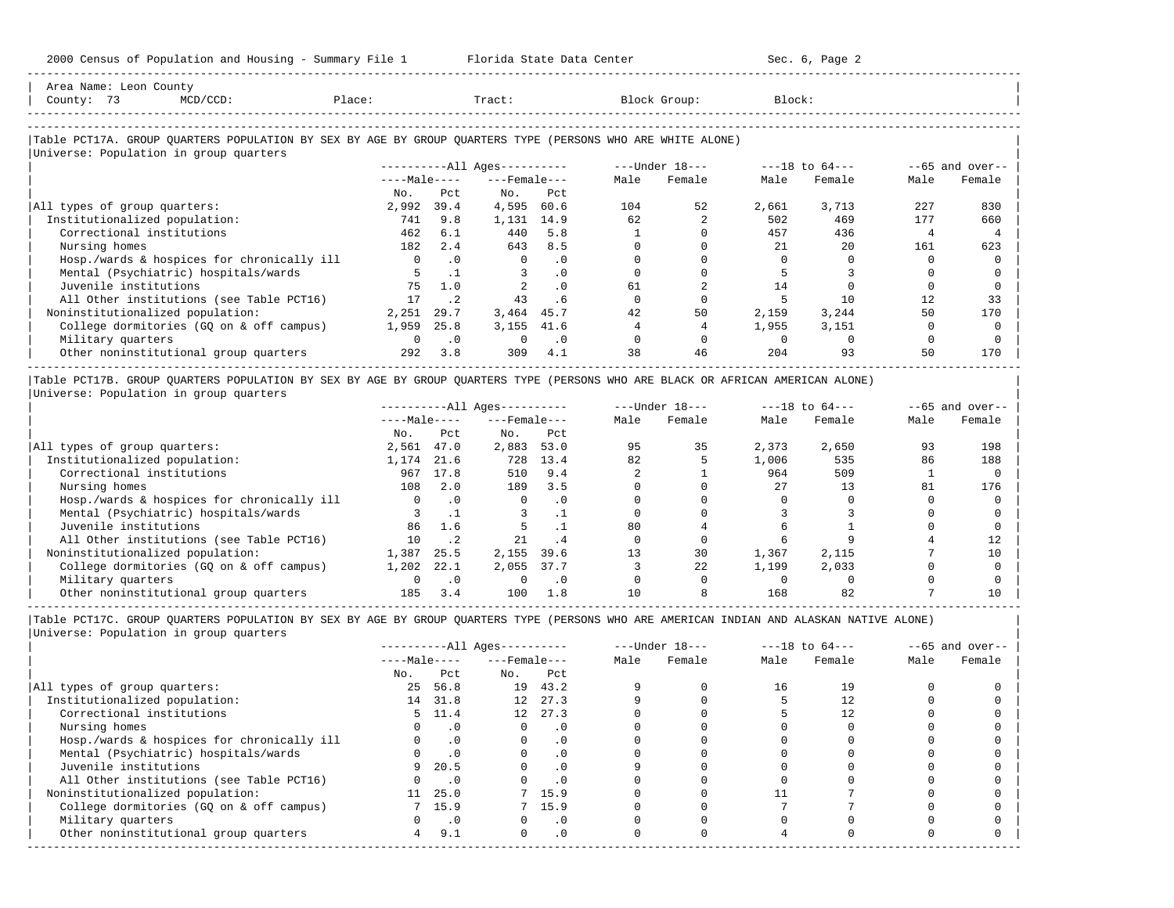| County: 73<br>$MCD/CCD$ :                                                                                  | Place:       |           | Tract:                 |           |      | Block Group:   | Block: |                |      |                   |
|------------------------------------------------------------------------------------------------------------|--------------|-----------|------------------------|-----------|------|----------------|--------|----------------|------|-------------------|
| Table PCT17A. GROUP QUARTERS POPULATION BY SEX BY AGE BY GROUP QUARTERS TYPE (PERSONS WHO ARE WHITE ALONE) |              |           |                        |           |      |                |        |                |      |                   |
| Universe: Population in group quarters                                                                     |              |           | $------All Aqes------$ |           |      | ---Under 18--- |        | ---18 to 64--- |      | $--65$ and over-- |
|                                                                                                            | $---Male---$ |           | $---$ Female $---$     |           | Male | Female         | Male   | Female         | Male | Female            |
|                                                                                                            | No.          | Pct       | No.                    | Pct       |      |                |        |                |      |                   |
| All types of group quarters:                                                                               | 2,992        | 39.4      | 4,595                  | 60.6      | 104  | 52             | 2,661  | 3,713          | 227  | 830               |
| Institutionalized population:                                                                              | 741          | 9.8       | 1,131                  | 14.9      | 62   |                | 502    | 469            | 177  | 660               |
| Correctional institutions                                                                                  | 462          | 6.1       | 440                    | 5.8       |      |                | 457    | 436            |      |                   |
| Nursing homes                                                                                              | 182          | 2.4       | 643                    | 8.5       |      |                |        | 20             | 161  | 623               |
| Hosp./wards & hospices for chronically ill                                                                 | $\mathbf{0}$ | $\cdot$ 0 | $\mathbf{0}$           | $\cdot$ 0 |      |                |        |                |      |                   |
| Mental (Psychiatric) hospitals/wards                                                                       |              |           |                        | $\cdot$ 0 |      |                |        |                |      |                   |
| Juvenile institutions                                                                                      | 75           | 1.0       |                        | $\cdot$ 0 | 61   |                | 14     |                |      |                   |
| All Other institutions (see Table PCT16)                                                                   | 17           | $\cdot$ 2 | 43                     | . 6       |      |                |        | 10             | 12   | 33                |
| Noninstitutionalized population:                                                                           | 2,251        | 29.7      | 3,464                  | 45.7      | 42   | 50             | 2,159  | 3,244          | 50   | 170               |
| College dormitories (GQ on & off campus)                                                                   | 1,959        | 25.8      | 3,155                  | 41.6      |      |                | 1,955  | 3,151          |      |                   |
| Military quarters                                                                                          | $\Omega$     | $\cdot$ 0 |                        | $\cdot$ 0 |      |                |        |                |      |                   |
| Other noninstitutional group quarters                                                                      | 292          | 3.8       | 309                    | 4.1       | 38   | 46             | 204    | 93             | 50   | 170               |

|Table PCT17B. GROUP QUARTERS POPULATION BY SEX BY AGE BY GROUP QUARTERS TYPE (PERSONS WHO ARE BLACK OR AFRICAN AMERICAN ALONE) | |Universe: Population in group quarters |

-----------------------------------------------------------------------------------------------------------------------------------------------------

|                                            |              | $------All Aqes------$ |                    |           | $---Under 18---$ | $---18$ to $64---$ |       | $--65$ and over-- |      |        |
|--------------------------------------------|--------------|------------------------|--------------------|-----------|------------------|--------------------|-------|-------------------|------|--------|
|                                            | $---Male---$ |                        | $---$ Female $---$ |           | Male             | Female             | Male  | Female            | Male | Female |
|                                            | No.          | Pct                    | No.                | Pct       |                  |                    |       |                   |      |        |
| All types of group quarters:               | 2,561        | 47.0                   | 2,883              | 53.0      | 95               | 35                 | 2,373 | 2,650             | 93   | 198    |
| Institutionalized population:              | 1,174        | 21.6                   | 728                | 13.4      | 82               |                    | 1,006 | 535               | 86   | 188    |
| Correctional institutions                  | 967          | 17.8                   | 510                | 9.4       |                  |                    | 964   | 509               |      |        |
| Nursing homes                              | 108          | 2.0                    | 189                | 3.5       |                  |                    | 27    | 13                | 81   | 176    |
| Hosp./wards & hospices for chronically ill |              | $\cdot$ 0              | 0                  | $\cdot$ 0 |                  |                    |       |                   |      |        |
| Mental (Psychiatric) hospitals/wards       |              |                        |                    |           |                  |                    |       |                   |      |        |
| Juvenile institutions                      | 86           | 1.6                    |                    |           | 80               |                    |       |                   |      |        |
| All Other institutions (see Table PCT16)   | 10           | .2                     | 21                 | .4        |                  |                    |       |                   |      |        |
| Noninstitutionalized population:           | 1,387        | 25.5                   | 2,155              | 39.6      | 13               | 30                 | 1,367 | 2,115             |      | 10     |
| College dormitories (GO on & off campus)   | 1,202        | 22.1                   | 2,055              | 37.7      |                  | 22                 | 1,199 | 2,033             |      |        |
| Military quarters                          |              | $\cdot$ 0              |                    | $\cdot$ 0 |                  |                    |       |                   |      |        |
| Other noninstitutional group quarters      | 185          | 3.4                    | 100                | 1.8       | 10               |                    | 168   | 82                |      |        |

-----------------------------------------------------------------------------------------------------------------------------------------------------

|                                            |              |           | $------All Ages------$ |           |      | $---Under 18---$ | $---18$ to $64---$ |        | $--65$ and over-- |        |
|--------------------------------------------|--------------|-----------|------------------------|-----------|------|------------------|--------------------|--------|-------------------|--------|
|                                            | $---Male---$ |           | $---$ Female $---$     |           | Male | Female           | Male               | Female | Male              | Female |
|                                            | No.          | Pct       | No.                    | Pct       |      |                  |                    |        |                   |        |
| All types of group quarters:               | 25           | 56.8      |                        | 19 43.2   |      |                  | 16                 | 19     |                   |        |
| Institutionalized population:              |              | 14 31.8   | 12 <sup>7</sup>        | 27.3      |      |                  |                    | 12     |                   |        |
| Correctional institutions                  |              | 5 11.4    | 12                     | 27.3      |      |                  |                    | 12     |                   |        |
| Nursing homes                              |              | $\cdot$ 0 |                        | $\cdot$ 0 |      |                  |                    |        |                   |        |
| Hosp./wards & hospices for chronically ill |              | $\cdot$ 0 |                        | $\cdot$ 0 |      |                  |                    |        |                   |        |
| Mental (Psychiatric) hospitals/wards       | 0            | $\cdot$ 0 | $\Omega$               | $\cdot$ 0 |      |                  |                    |        |                   |        |
| Juvenile institutions                      | 9            | 20.5      |                        | $\cdot$ 0 |      |                  |                    |        |                   |        |
| All Other institutions (see Table PCT16)   |              | $\cdot$ 0 |                        |           |      |                  |                    |        |                   |        |
| Noninstitutionalized population:           | 11           | 25.0      |                        | 7 15.9    |      |                  |                    |        |                   |        |
| College dormitories (GQ on & off campus)   |              | 7, 15.9   |                        | 15.9      |      |                  |                    |        |                   |        |
| Military quarters                          |              | $\cdot$ 0 |                        | $\cdot$ 0 |      |                  |                    |        |                   |        |
| Other noninstitutional group quarters      | 4            | 9.1       | $\Omega$               | $\cdot$ 0 |      |                  |                    |        |                   |        |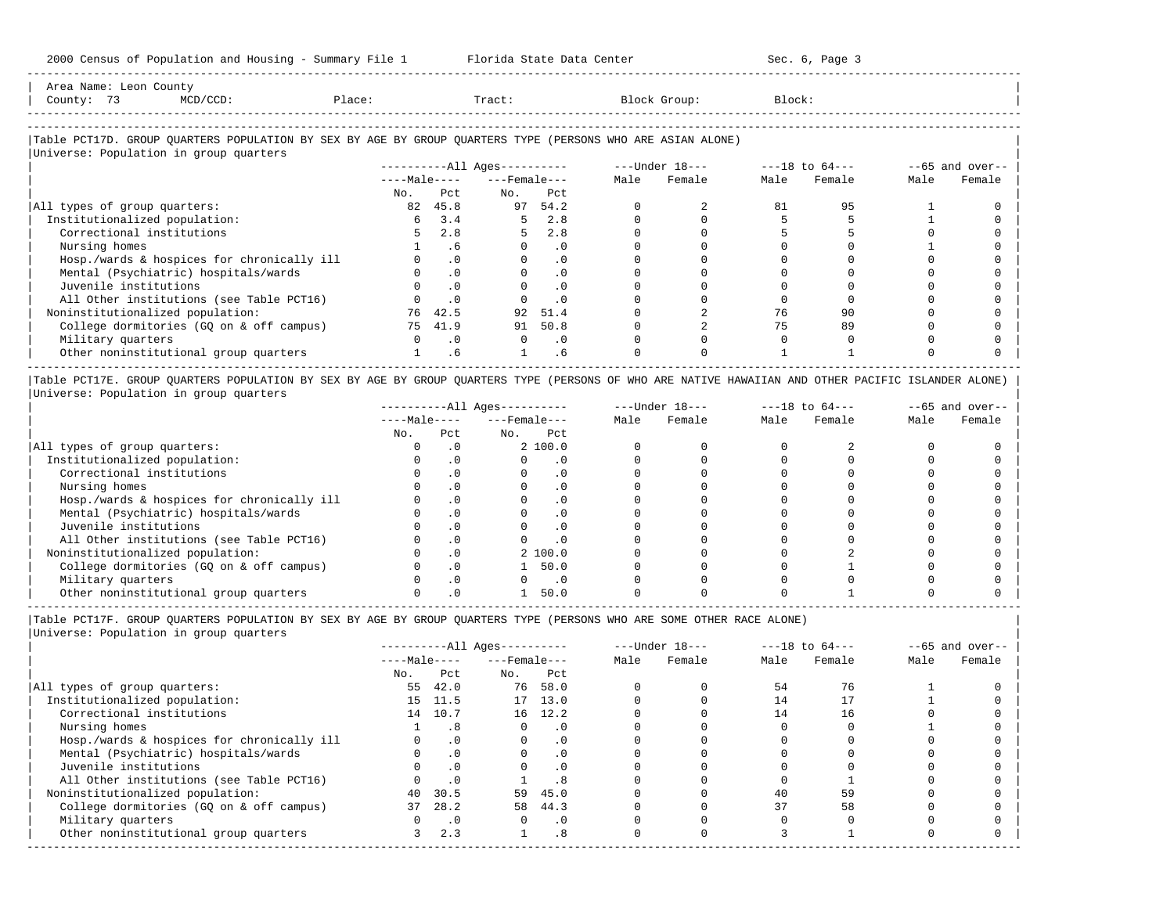| Area Name:               | Leon County |        |       |       |        |  |
|--------------------------|-------------|--------|-------|-------|--------|--|
| $\sim$ $\sim$<br>County: |             | Place: | Tract | Group | Block: |  |
| --------------------     |             |        |       |       |        |  |

-----------------------------------------------------------------------------------------------------------------------------------------------------

### |Table PCT17D. GROUP QUARTERS POPULATION BY SEX BY AGE BY GROUP QUARTERS TYPE (PERSONS WHO ARE ASIAN ALONE) |

|                                            |              |           | $------All Ages------$ |           |      | $---Under 18---$ |      | $---18$ to $64---$ |      | $--65$ and over-- |
|--------------------------------------------|--------------|-----------|------------------------|-----------|------|------------------|------|--------------------|------|-------------------|
|                                            | $---Male---$ |           | $---$ Female $---$     |           | Male | Female           | Male | Female             | Male | Female            |
|                                            | No.          | Pct.      | No.                    | Pct       |      |                  |      |                    |      |                   |
| All types of group quarters:               | 82           | 45.8      | 97                     | 54.2      |      |                  | 81   | 95                 |      |                   |
| Institutionalized population:              | 6            | 3.4       | 5.                     | 2.8       |      |                  |      |                    |      |                   |
| Correctional institutions                  |              | 2.8       | 5                      | 2.8       |      |                  |      |                    |      |                   |
| Nursing homes                              |              | . 6       |                        | . 0       |      |                  |      |                    |      |                   |
| Hosp./wards & hospices for chronically ill |              | $\cdot$ 0 |                        | . 0       |      |                  |      |                    |      |                   |
| Mental (Psychiatric) hospitals/wards       |              | $\cdot$ 0 |                        | $\cdot$ 0 |      |                  |      |                    |      |                   |
| Juvenile institutions                      |              | $\cdot$ 0 |                        | $\cdot$ 0 |      |                  |      |                    |      |                   |
| All Other institutions (see Table PCT16)   |              | $\cdot$ 0 |                        | $\cdot$ 0 |      |                  |      |                    |      |                   |
| Noninstitutionalized population:           | 76           | 42.5      | 92                     | 51.4      |      |                  | 76   | 90                 |      |                   |
| College dormitories (GQ on & off campus)   | 75           | 41.9      | 91                     | 50.8      |      |                  |      | 89                 |      |                   |
| Military quarters                          |              | $\cdot$ 0 | $\Omega$               | $\cdot$ 0 |      |                  |      |                    |      |                   |
| Other noninstitutional group quarters      |              | . 6       |                        | . 6       |      |                  |      |                    |      |                   |

|Table PCT17E. GROUP QUARTERS POPULATION BY SEX BY AGE BY GROUP QUARTERS TYPE (PERSONS OF WHO ARE NATIVE HAWAIIAN AND OTHER PACIFIC ISLANDER ALONE) | |Universe: Population in group quarters |

|                                            |              |           | $------All Aqes------$ |           |      | $---Under 18---$ |      | $---18$ to $64---$ |      | $--65$ and over-- |
|--------------------------------------------|--------------|-----------|------------------------|-----------|------|------------------|------|--------------------|------|-------------------|
|                                            | $---Male---$ |           | $---$ Female $---$     |           | Male | Female           | Male | Female             | Male | Female            |
|                                            | No.          | Pct       | No.                    | Pct       |      |                  |      |                    |      |                   |
| All types of group quarters:               |              |           | 2, 100.0               |           |      |                  |      |                    |      |                   |
| Institutionalized population:              |              |           |                        |           |      |                  |      |                    |      |                   |
| Correctional institutions                  |              |           |                        | . 0       |      |                  |      |                    |      |                   |
| Nursing homes                              |              |           |                        | . 0       |      |                  |      |                    |      |                   |
| Hosp./wards & hospices for chronically ill |              |           |                        | . 0       |      |                  |      |                    |      |                   |
| Mental (Psychiatric) hospitals/wards       |              |           |                        | . 0       |      |                  |      |                    |      |                   |
| Juvenile institutions                      |              |           |                        | . 0       |      |                  |      |                    |      |                   |
| All Other institutions (see Table PCT16)   |              |           |                        | $\cdot$ 0 |      |                  |      |                    |      |                   |
| Noninstitutionalized population:           |              | . 0       | 2, 100.0               |           |      |                  |      |                    |      |                   |
| College dormitories (GO on & off campus)   |              |           |                        | 50.0      |      |                  |      |                    |      |                   |
| Military quarters                          |              | $\cdot$ 0 |                        | $\cdot$ 0 |      |                  |      |                    |      |                   |
| Other noninstitutional group quarters      |              |           |                        | 50.0      |      |                  |      |                    |      |                   |

-----------------------------------------------------------------------------------------------------------------------------------------------------

|Table PCT17F. GROUP QUARTERS POPULATION BY SEX BY AGE BY GROUP QUARTERS TYPE (PERSONS WHO ARE SOME OTHER RACE ALONE) |

|                                            | $------All Aqes------$ |           |                    |           |      | $---Under 18---$ |      | $---18$ to $64---$ |      | $--65$ and over-- |  |
|--------------------------------------------|------------------------|-----------|--------------------|-----------|------|------------------|------|--------------------|------|-------------------|--|
|                                            | $---Male---$           |           | $---$ Female $---$ |           | Male | Female           | Male | Female             | Male | Female            |  |
|                                            | No.                    | Pct       | No.                | Pct       |      |                  |      |                    |      |                   |  |
| All types of group quarters:               | 55                     | 42.0      | 76                 | 58.0      |      |                  | 54   | 76                 |      |                   |  |
| Institutionalized population:              |                        | 15 11.5   |                    | 17 13.0   |      |                  | 14   |                    |      |                   |  |
| Correctional institutions                  |                        | 14 10.7   |                    | 16 12.2   |      |                  | 14   | 16                 |      |                   |  |
| Nursing homes                              |                        | .8        | 0                  | .0        |      |                  |      |                    |      |                   |  |
| Hosp./wards & hospices for chronically ill |                        | .0        |                    | $\cdot$ 0 |      |                  |      |                    |      |                   |  |
| Mental (Psychiatric) hospitals/wards       |                        | $\cdot$ 0 | $\Omega$           | $\cdot$ 0 |      |                  |      |                    |      |                   |  |
| Juvenile institutions                      |                        | $\cdot$ 0 | O                  | .0        |      |                  |      |                    |      |                   |  |
| All Other institutions (see Table PCT16)   |                        | $\cdot$ 0 |                    | . 8       |      |                  |      |                    |      |                   |  |
| Noninstitutionalized population:           | 40                     | 30.5      | 59                 | 45.0      |      |                  | 40   | 59                 |      |                   |  |
| College dormitories (GO on & off campus)   | 37                     | 28.2      | 58                 | 44.3      |      |                  | 37   | 58                 |      |                   |  |
| Military quarters                          |                        | $\cdot$ 0 | 0                  | $\cdot$ 0 |      |                  |      |                    |      |                   |  |
| Other noninstitutional group quarters      |                        | 2.3       |                    | .8        |      |                  |      |                    |      |                   |  |
|                                            |                        |           |                    |           |      |                  |      |                    |      |                   |  |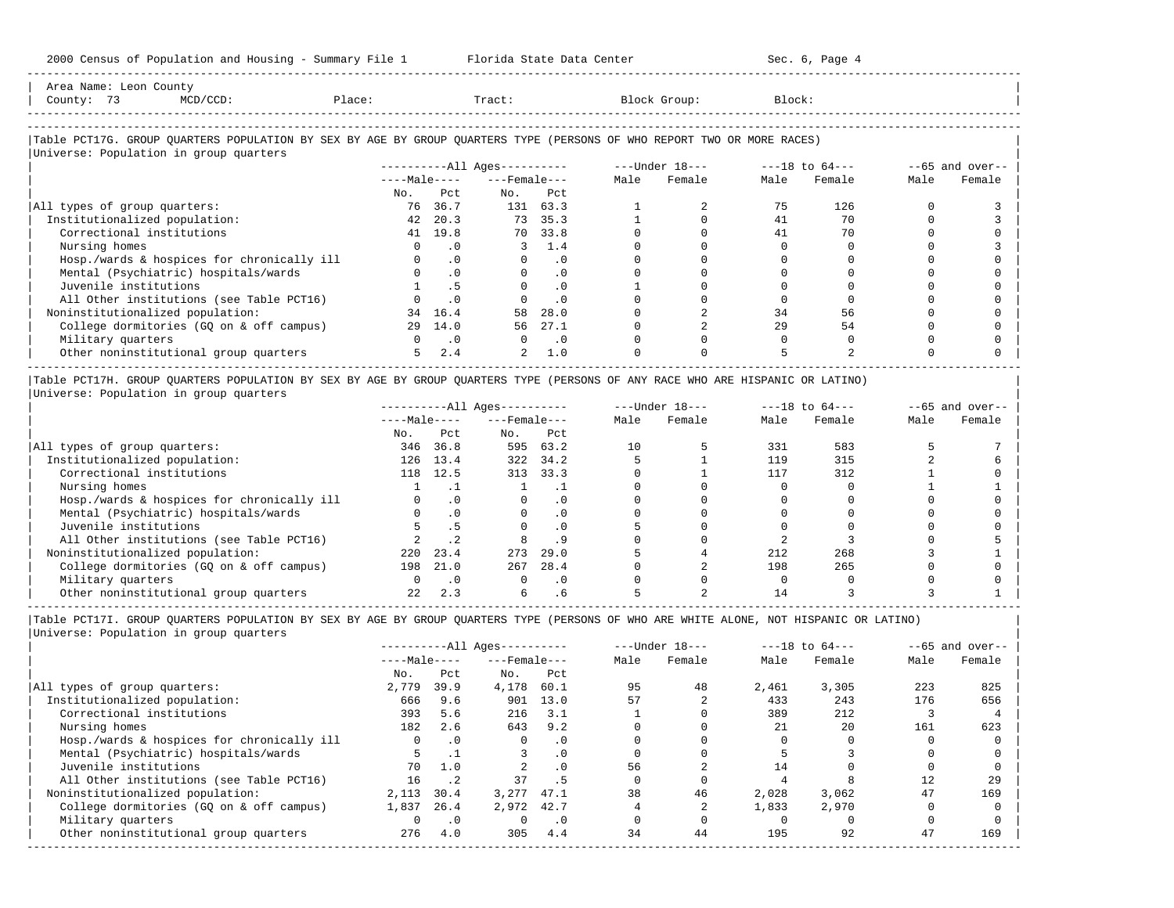-----------------------------------------------------------------------------------------------------------------------------------------------------

| Area Name: Leon County<br>County: 73<br>$MCD/CCD$ :                                                                    | Place:         |           | Tract:                   |           |      | Block Group: | Block: |        |      |                   |
|------------------------------------------------------------------------------------------------------------------------|----------------|-----------|--------------------------|-----------|------|--------------|--------|--------|------|-------------------|
|                                                                                                                        |                |           |                          |           |      |              |        |        |      |                   |
| Table PCT17G. GROUP QUARTERS POPULATION BY SEX BY AGE BY GROUP QUARTERS TYPE (PERSONS OF WHO REPORT TWO OR MORE RACES) |                |           |                          |           |      |              |        |        |      |                   |
| Universe: Population in group quarters                                                                                 |                |           |                          |           |      |              |        |        |      |                   |
|                                                                                                                        |                |           |                          |           |      |              |        |        |      | $--65$ and over-- |
|                                                                                                                        |                |           | $---Male-- ---Female---$ |           | Male | Female       | Male   | Female | Male | Female            |
|                                                                                                                        | No.            | Pct.      | No. Pct                  |           |      |              |        |        |      |                   |
| All types of group quarters:                                                                                           | 76             | 36.7      |                          | 131 63.3  |      |              | 75     | 126    |      |                   |
| Institutionalized population:                                                                                          | 42             | 20.3      |                          | 73 35.3   |      |              | 41     | 70     |      |                   |
| Correctional institutions                                                                                              |                | 41 19.8   | 70                       | 33.8      |      |              | 41     | 70     |      |                   |
| Nursing homes                                                                                                          | $\Omega$       | $\cdot$ 0 | 3                        | 1.4       |      |              |        |        |      |                   |
| Hosp./wards & hospices for chronically ill                                                                             | $\overline{0}$ | $\cdot$ 0 | $\Omega$                 | .0        |      |              |        |        |      |                   |
| Mental (Psychiatric) hospitals/wards                                                                                   |                | .0        |                          | .0        |      |              |        |        |      |                   |
| Juvenile institutions                                                                                                  |                | .5        | $\Omega$                 | $\cdot$ 0 |      |              |        |        |      |                   |
| All Other institutions (see Table PCT16)                                                                               |                | .0        |                          | $\cdot$ 0 |      |              |        |        |      |                   |
| Noninstitutionalized population:                                                                                       | 34             | 16.4      | 58                       | 28.0      |      |              | 34     | 56     |      |                   |
| College dormitories (GQ on & off campus)                                                                               | 29             | 14.0      | 56                       | 27.1      |      |              | 29     | 54     |      |                   |
| Military quarters                                                                                                      | $\Omega$       | $\cdot$ 0 | $\Omega$                 | $\cdot$ 0 |      |              |        |        |      |                   |
| Other noninstitutional group quarters                                                                                  | 5              | 2.4       | 2                        | 1.0       |      |              |        |        |      |                   |
|                                                                                                                        |                |           |                          |           |      |              |        |        |      |                   |

|Table PCT17H. GROUP QUARTERS POPULATION BY SEX BY AGE BY GROUP QUARTERS TYPE (PERSONS OF ANY RACE WHO ARE HISPANIC OR LATINO) |

| Universe: Population in group quarters |  |
|----------------------------------------|--|
|                                        |  |

|                                            | $------All Aqes------$ |      |                    |          | $---Under 18---$ |        | $---18$ to $64---$ |        | $--65$ and over-- |        |
|--------------------------------------------|------------------------|------|--------------------|----------|------------------|--------|--------------------|--------|-------------------|--------|
|                                            | $---Male---$           |      | $---$ Female $---$ |          | Male             | Female | Male               | Female | Male              | Female |
|                                            | No.                    | Pct  | No.                | Pct      |                  |        |                    |        |                   |        |
| All types of group quarters:               | 346                    | 36.8 | 595                | 63.2     | 10               |        | 331                | 583    |                   |        |
| Institutionalized population:              | 126                    | 13.4 | 322                | 34.2     |                  |        | 119                | 315    |                   |        |
| Correctional institutions                  | 118                    | 12.5 | 313                | 33.3     |                  |        | 117                | 312    |                   |        |
| Nursing homes                              |                        |      |                    |          |                  |        |                    |        |                   |        |
| Hosp./wards & hospices for chronically ill |                        |      |                    | $\Omega$ |                  |        |                    |        |                   |        |
| Mental (Psychiatric) hospitals/wards       |                        | .0   |                    | $\Omega$ |                  |        |                    |        |                   |        |
| Juvenile institutions                      |                        |      |                    |          |                  |        |                    |        |                   |        |
| All Other institutions (see Table PCT16)   |                        |      |                    |          |                  |        |                    |        |                   |        |
| Noninstitutionalized population:           | 220                    | 23.4 | 273                | 29.0     |                  |        | 212                | 268    |                   |        |
| College dormitories (GQ on & off campus)   | 198                    | 21.0 | 267                | 28.4     |                  |        | 198                | 265    |                   |        |
| Military quarters                          |                        |      |                    | . 0      |                  |        |                    |        |                   |        |
| Other noninstitutional group quarters      | 2.2.                   | 2.3  |                    | . 6      |                  |        |                    |        |                   |        |

-----------------------------------------------------------------------------------------------------------------------------------------------------

|Table PCT17I. GROUP QUARTERS POPULATION BY SEX BY AGE BY GROUP QUARTERS TYPE (PERSONS OF WHO ARE WHITE ALONE, NOT HISPANIC OR LATINO) | |Universe: Population in group quarters |

|                                            | $------All Aqes------$ |             |                    |           | $---Under 18---$ |        | $---18$ to $64---$ |        | $--65$ and over-- |        |
|--------------------------------------------|------------------------|-------------|--------------------|-----------|------------------|--------|--------------------|--------|-------------------|--------|
|                                            | $---Male---$           |             | $---$ Female $---$ |           | Male             | Female | Male               | Female | Male              | Female |
|                                            | No.                    | Pct         | No.                | Pct       |                  |        |                    |        |                   |        |
| All types of group quarters:               | 2,779                  | 39.9        | 4,178              | 60.1      | 95               | 48     | 2,461              | 3,305  | 223               | 825    |
| Institutionalized population:              | 666                    | 9.6         | 901                | 13.0      | 57               |        | 433                | 243    | 176               | 656    |
| Correctional institutions                  | 393                    | 5.6         | 216                | 3.1       |                  |        | 389                | 212    |                   |        |
| Nursing homes                              | 182                    | 2.6         | 643                | 9.2       |                  |        | 21                 | 2.0    | 161               | 623    |
| Hosp./wards & hospices for chronically ill | $\Omega$               | $\cdot$ 0   |                    | $\cdot$ 0 |                  |        |                    |        |                   |        |
| Mental (Psychiatric) hospitals/wards       |                        |             |                    | .0        |                  |        |                    |        |                   |        |
| Juvenile institutions                      | 70                     | 1.0         |                    |           | 56               |        | 14                 |        |                   |        |
| All Other institutions (see Table PCT16)   | 16                     | $\cdot$ . 2 | 37                 |           |                  |        |                    |        | 12                | 29     |
| Noninstitutionalized population:           | 2,113                  | 30.4        | 3,277              | 47.1      | 38               | 46     | 2,028              | 3,062  | 47                | 169    |
| College dormitories (GO on & off campus)   | 1,837                  | 26.4        | 2,972              | 42.7      |                  |        | 1,833              | 2,970  |                   |        |
| Military quarters                          |                        | $\cdot$ 0   |                    | $\cdot$ 0 |                  |        |                    |        |                   |        |
| Other noninstitutional group quarters      | 276                    | 4.0         | 305                | 4.4       | 34               | 44     | 195                | 92     | 47                | 169    |
|                                            |                        |             |                    |           |                  |        |                    |        |                   |        |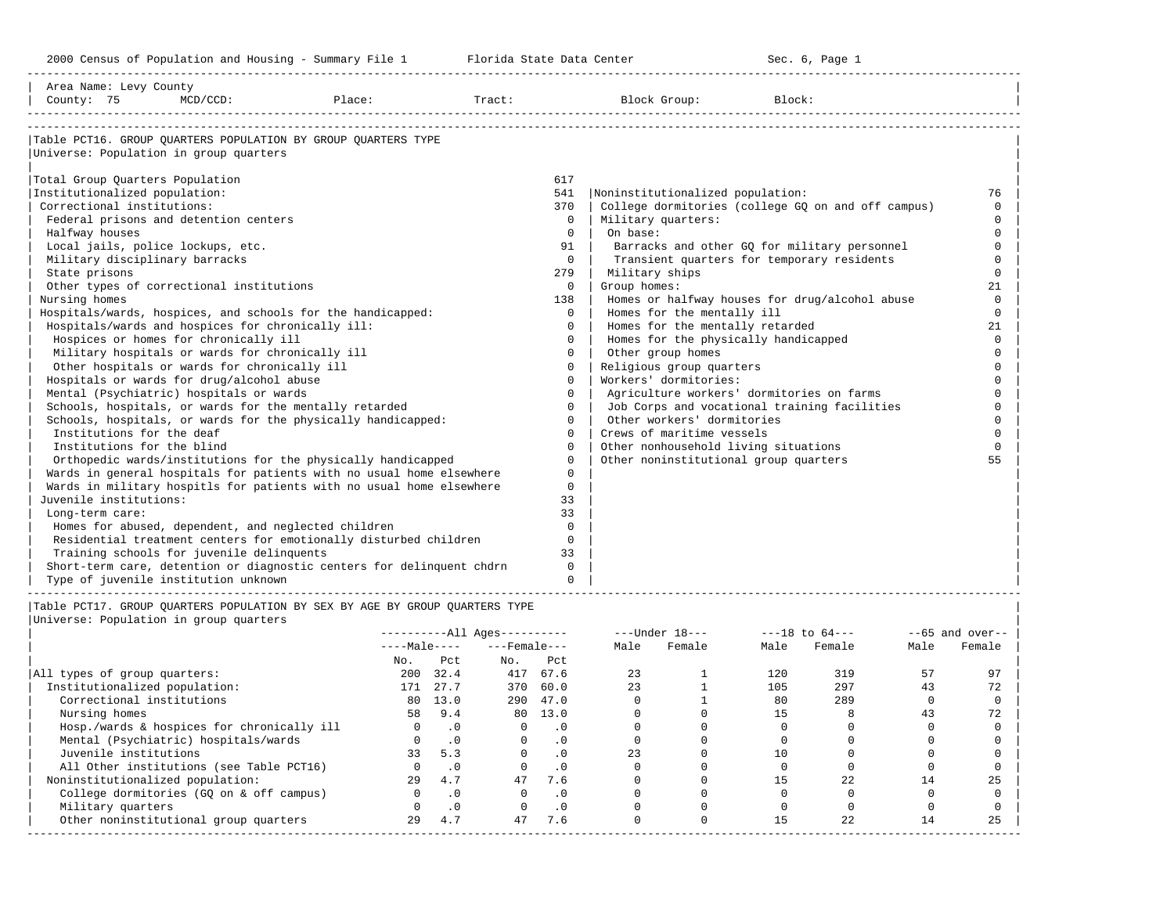-----------------------------------------------------------------------------------------------------------------------------------------------------

| Area Name: Levy County                              |             |                                                                       |        |              |                                                    |          |
|-----------------------------------------------------|-------------|-----------------------------------------------------------------------|--------|--------------|----------------------------------------------------|----------|
| County: 75                                          | $MCD/CCD$ : | Place:                                                                | Tract: |              | Block Group:<br>Block:                             |          |
|                                                     |             |                                                                       |        |              |                                                    |          |
|                                                     |             | Table PCT16. GROUP QUARTERS POPULATION BY GROUP QUARTERS TYPE         |        |              |                                                    |          |
| Universe: Population in group quarters              |             |                                                                       |        |              |                                                    |          |
| Total Group Quarters Population                     |             |                                                                       | 617    |              |                                                    |          |
| Institutionalized population:                       |             |                                                                       | 541    |              | Noninstitutionalized population:                   | 76       |
| Correctional institutions:                          |             |                                                                       | 370    |              | College dormitories (college GQ on and off campus) | $\Omega$ |
| Federal prisons and detention centers               |             |                                                                       |        | $\mathbf{0}$ | Military quarters:                                 | $\Omega$ |
| Halfway houses                                      |             |                                                                       |        | $\Omega$     | On base:                                           | $\Omega$ |
| Local jails, police lockups, etc.                   |             |                                                                       |        | 91           | Barracks and other GO for military personnel       | $\Omega$ |
| Military disciplinary barracks                      |             |                                                                       |        | $\Omega$     | Transient quarters for temporary residents         |          |
| State prisons                                       |             |                                                                       | 279    |              | Military ships                                     | $\cap$   |
| Other types of correctional institutions            |             |                                                                       |        | $\Omega$     | Group homes:                                       | 21       |
| Nursing homes                                       |             |                                                                       | 138    |              | Homes or halfway houses for drug/alcohol abuse     | $\Omega$ |
|                                                     |             | Hospitals/wards, hospices, and schools for the handicapped:           |        | $\Omega$     | Homes for the mentally ill                         | $\Omega$ |
| Hospitals/wards and hospices for chronically ill:   |             |                                                                       |        | $\Omega$     | Homes for the mentally retarded                    | 21       |
| Hospices or homes for chronically ill               |             |                                                                       |        | $\Omega$     | Homes for the physically handicapped               | $\Omega$ |
| Military hospitals or wards for chronically ill     |             |                                                                       |        | $\Omega$     | Other group homes                                  |          |
| Other hospitals or wards for chronically ill        |             |                                                                       |        | $\Omega$     | Religious group quarters                           |          |
| Hospitals or wards for drug/alcohol abuse           |             |                                                                       |        | $\Omega$     | Workers' dormitories:                              |          |
| Mental (Psychiatric) hospitals or wards             |             |                                                                       |        | $\Omega$     | Agriculture workers' dormitories on farms          | $\cap$   |
|                                                     |             | Schools, hospitals, or wards for the mentally retarded                |        | $\Omega$     | Job Corps and vocational training facilities       | $\cap$   |
|                                                     |             | Schools, hospitals, or wards for the physically handicapped:          |        | $\Omega$     | Other workers' dormitories                         |          |
| Institutions for the deaf                           |             |                                                                       |        | $\Omega$     | Crews of maritime vessels                          |          |
| Institutions for the blind                          |             |                                                                       |        | $\Omega$     | Other nonhousehold living situations               |          |
|                                                     |             | Orthopedic wards/institutions for the physically handicapped          |        | $\Omega$     | Other noninstitutional group quarters              | 55       |
|                                                     |             | Wards in general hospitals for patients with no usual home elsewhere  |        | $\Omega$     |                                                    |          |
|                                                     |             | Wards in military hospitls for patients with no usual home elsewhere  |        | $\Omega$     |                                                    |          |
| Juvenile institutions:                              |             |                                                                       |        | 33           |                                                    |          |
| Long-term care:                                     |             |                                                                       |        | 33           |                                                    |          |
| Homes for abused, dependent, and neglected children |             |                                                                       |        | $\Omega$     |                                                    |          |
|                                                     |             | Residential treatment centers for emotionally disturbed children      |        | $\Omega$     |                                                    |          |
| Training schools for juvenile delinquents           |             |                                                                       |        | 33           |                                                    |          |
|                                                     |             | Short-term care, detention or diagnostic centers for delinquent chdrn |        | $\mathbf{0}$ |                                                    |          |
| Type of juvenile institution unknown                |             |                                                                       |        | $\Omega$     |                                                    |          |
|                                                     |             |                                                                       |        |              |                                                    |          |

|Table PCT17. GROUP QUARTERS POPULATION BY SEX BY AGE BY GROUP QUARTERS TYPE | |Universe: Population in group quarters |

|                                            |              |           | $------All Ages------$ |           |      | $---Under 18---$ | $---18$ to $64---$ |        | $--65$ and over-- |        |
|--------------------------------------------|--------------|-----------|------------------------|-----------|------|------------------|--------------------|--------|-------------------|--------|
|                                            | $---Male---$ |           | $---$ Female $---$     |           | Male | Female           | Male               | Female | Male              | Female |
|                                            | No.          | Pct       | No.                    | Pct       |      |                  |                    |        |                   |        |
| All types of group quarters:               | 200          | 32.4      | 417                    | 67.6      | 23   |                  | 120                | 319    | 57                | 97     |
| Institutionalized population:              | 171          | 27.7      | 370                    | 60.0      | 23   |                  | 105                | 297    |                   | 72     |
| Correctional institutions                  | 80           | 13.0      |                        | 290 47.0  |      |                  | 80                 | 289    |                   |        |
| Nursing homes                              | 58           | 9.4       | 80                     | 13.0      |      |                  |                    |        |                   | 72     |
| Hosp./wards & hospices for chronically ill |              | $\cdot$ 0 |                        | . 0       |      |                  |                    |        |                   |        |
| Mental (Psychiatric) hospitals/wards       |              | .0        | $\Omega$               | $\cdot$ 0 |      |                  |                    |        |                   |        |
| Juvenile institutions                      | 33           | 5.3       |                        | $\cdot$ 0 | 23   |                  |                    |        |                   |        |
| All Other institutions (see Table PCT16)   |              | $\cdot$ 0 |                        | $\cdot$ 0 |      |                  |                    |        |                   |        |
| Noninstitutionalized population:           | 29           | 4.7       | 47                     | 7.6       |      |                  |                    | 22     | 14                | 25     |
| College dormitories (GO on & off campus)   |              | $\cdot$ 0 |                        | $\cdot$ 0 |      |                  |                    |        |                   |        |
| Military quarters                          |              | .0        |                        | $\cdot$ 0 |      |                  |                    |        |                   |        |
| Other noninstitutional group quarters      | 29           | 4.7       | 47                     | 7.6       |      |                  |                    | 22     | 14                | 25     |
|                                            |              |           |                        |           |      |                  |                    |        |                   |        |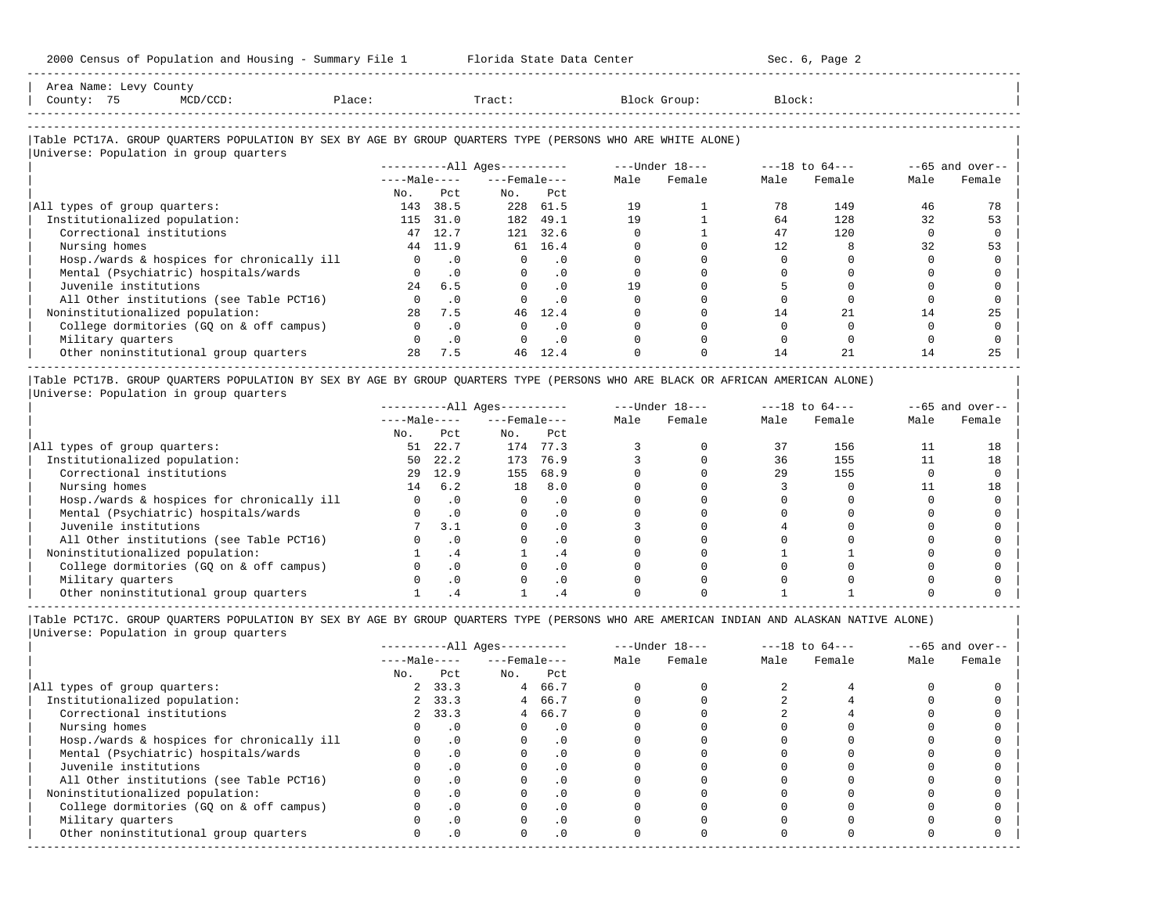| Area Name: Levy County |                                          |        |                                                                                                            |              |        |  |
|------------------------|------------------------------------------|--------|------------------------------------------------------------------------------------------------------------|--------------|--------|--|
| County: 75             | MCD/CCD:                                 | Place: | Tract:                                                                                                     | Block Group: | Block: |  |
|                        |                                          |        |                                                                                                            |              |        |  |
|                        | Illniverse: Population in group quarters |        | Table PCT17A. GROUP OUARTERS POPULATION BY SEX BY AGE BY GROUP OUARTERS TYPE (PERSONS WHO ARE WHITE ALONE) |              |        |  |

-----------------------------------------------------------------------------------------------------------------------------------------------------

|                                            |              |           | $------All Aqes------$ |           |      | $---Under 18---$ | $---18$ to $64---$ |        | $--65$ and over-- |        |
|--------------------------------------------|--------------|-----------|------------------------|-----------|------|------------------|--------------------|--------|-------------------|--------|
|                                            | $---Male---$ |           | $---$ Female $---$     |           | Male | Female           | Male               | Female | Male              | Female |
|                                            | No.          | Pct       | No.                    | Pct       |      |                  |                    |        |                   |        |
| All types of group quarters:               | 143          | 38.5      |                        | 228 61.5  | 19   |                  | 78                 | 149    | 46                | 78     |
| Institutionalized population:              | 115          | 31.0      | 182                    | 49.1      | 19   |                  | 64                 | 128    | 32                | 53     |
| Correctional institutions                  | 47           | 12.7      | 121                    | 32.6      |      |                  | 47                 | 120    |                   |        |
| Nursing homes                              | 44           | 11.9      | 61                     | 16.4      |      |                  | 12                 |        | 32                |        |
| Hosp./wards & hospices for chronically ill |              | $\cdot$ 0 | $\Omega$               | . 0       |      |                  |                    |        |                   |        |
| Mental (Psychiatric) hospitals/wards       |              | .0        | $\Omega$               | $\cdot$ 0 |      |                  |                    |        |                   |        |
| Juvenile institutions                      | 2.4          | 6.5       |                        | $\cdot$ 0 | 19   |                  |                    |        |                   |        |
| All Other institutions (see Table PCT16)   |              | $\cdot$ 0 |                        | $\cdot$ 0 |      |                  |                    |        |                   |        |
| Noninstitutionalized population:           | 2.8          | 7.5       | 46                     | 12.4      |      |                  | 14                 |        | 14                | 25     |
| College dormitories (GO on & off campus)   |              | $\cdot$ 0 |                        | . 0       |      |                  |                    |        |                   |        |
| Military quarters                          |              | $\cdot$ 0 |                        | $\cdot$ 0 |      |                  |                    |        |                   |        |
| Other noninstitutional group quarters      | 2.8          | 7.5       | 46                     | 12.4      |      |                  | 14                 | 2.1    | 14                | 25     |
|                                            |              |           |                        |           |      |                  |                    |        |                   |        |

|Table PCT17B. GROUP QUARTERS POPULATION BY SEX BY AGE BY GROUP QUARTERS TYPE (PERSONS WHO ARE BLACK OR AFRICAN AMERICAN ALONE) | |Universe: Population in group quarters |

|                                            |              |           | $------All Aqes------$ |           | $---Under 18---$ |        | $---18$ to $64---$ |        | $- -65$ and over-- |        |
|--------------------------------------------|--------------|-----------|------------------------|-----------|------------------|--------|--------------------|--------|--------------------|--------|
|                                            | $---Male---$ |           | $---$ Female $---$     |           | Male             | Female | Male               | Female | Male               | Female |
|                                            | No.          | Pct       | No.                    | Pct       |                  |        |                    |        |                    |        |
| All types of group quarters:               | 51           | 22.7      | 174                    | 77.3      |                  |        |                    | 156    |                    |        |
| Institutionalized population:              | 50           | 22.2      | 173                    | 76.9      |                  |        | 36                 | 155    |                    | 18     |
| Correctional institutions                  | 29           | 12.9      | 155                    | 68.9      |                  |        | 29                 | 155    |                    |        |
| Nursing homes                              | 14           | 6.2       | 18                     | 8.0       |                  |        |                    |        |                    | 18     |
| Hosp./wards & hospices for chronically ill |              |           |                        | . 0       |                  |        |                    |        |                    |        |
| Mental (Psychiatric) hospitals/wards       |              |           |                        | $\cdot$ 0 |                  |        |                    |        |                    |        |
| Juvenile institutions                      |              | 3.1       |                        | . 0       |                  |        |                    |        |                    |        |
| All Other institutions (see Table PCT16)   |              |           |                        | $\cdot$ 0 |                  |        |                    |        |                    |        |
| Noninstitutionalized population:           |              | . 4       |                        | . 4       |                  |        |                    |        |                    |        |
| College dormitories (GO on & off campus)   |              |           |                        | $\cdot$ 0 |                  |        |                    |        |                    |        |
| Military quarters                          |              | $\cdot$ 0 |                        | $\cdot$ 0 |                  |        |                    |        |                    |        |
| Other noninstitutional group quarters      |              |           |                        |           |                  |        |                    |        |                    |        |

-----------------------------------------------------------------------------------------------------------------------------------------------------

|              |           |                                               |            | $---Under 18---$                                                           |        | $---18$ to $64---$ |        | $--65$ and over-- |        |
|--------------|-----------|-----------------------------------------------|------------|----------------------------------------------------------------------------|--------|--------------------|--------|-------------------|--------|
|              |           |                                               |            | Male                                                                       | Female | Male               | Female | Male              | Female |
| No.          | Pct       | No.                                           | Pct        |                                                                            |        |                    |        |                   |        |
|              |           |                                               |            |                                                                            |        |                    |        |                   |        |
|              |           |                                               |            |                                                                            |        |                    |        |                   |        |
|              |           |                                               |            |                                                                            |        |                    |        |                   |        |
|              | $\cdot$ 0 |                                               | $\cdot$ 0  |                                                                            |        |                    |        |                   |        |
|              |           |                                               | $\cdot$ 0  |                                                                            |        |                    |        |                   |        |
|              | $\cdot$ 0 |                                               | . 0        |                                                                            |        |                    |        |                   |        |
|              |           |                                               | $\cdot$ 0  |                                                                            |        |                    |        |                   |        |
|              |           |                                               | $\cdot$ 0  |                                                                            |        |                    |        |                   |        |
|              | $\cdot$ 0 |                                               | $\Omega$ . |                                                                            |        |                    |        |                   |        |
|              |           |                                               | $\cdot$ 0  |                                                                            |        |                    |        |                   |        |
|              | . 0       |                                               | $\cdot$ 0  |                                                                            |        |                    |        |                   |        |
| <sup>n</sup> | $\cdot$ 0 |                                               | $\cdot$ 0  |                                                                            |        |                    |        |                   |        |
|              |           | $---Male---$<br>2, 33.3<br>2, 33.3<br>2, 33.3 |            | $------All Ages------$<br>$---$ Female $---$<br>4 66.7<br>4 66.7<br>4 66.7 |        |                    |        |                   |        |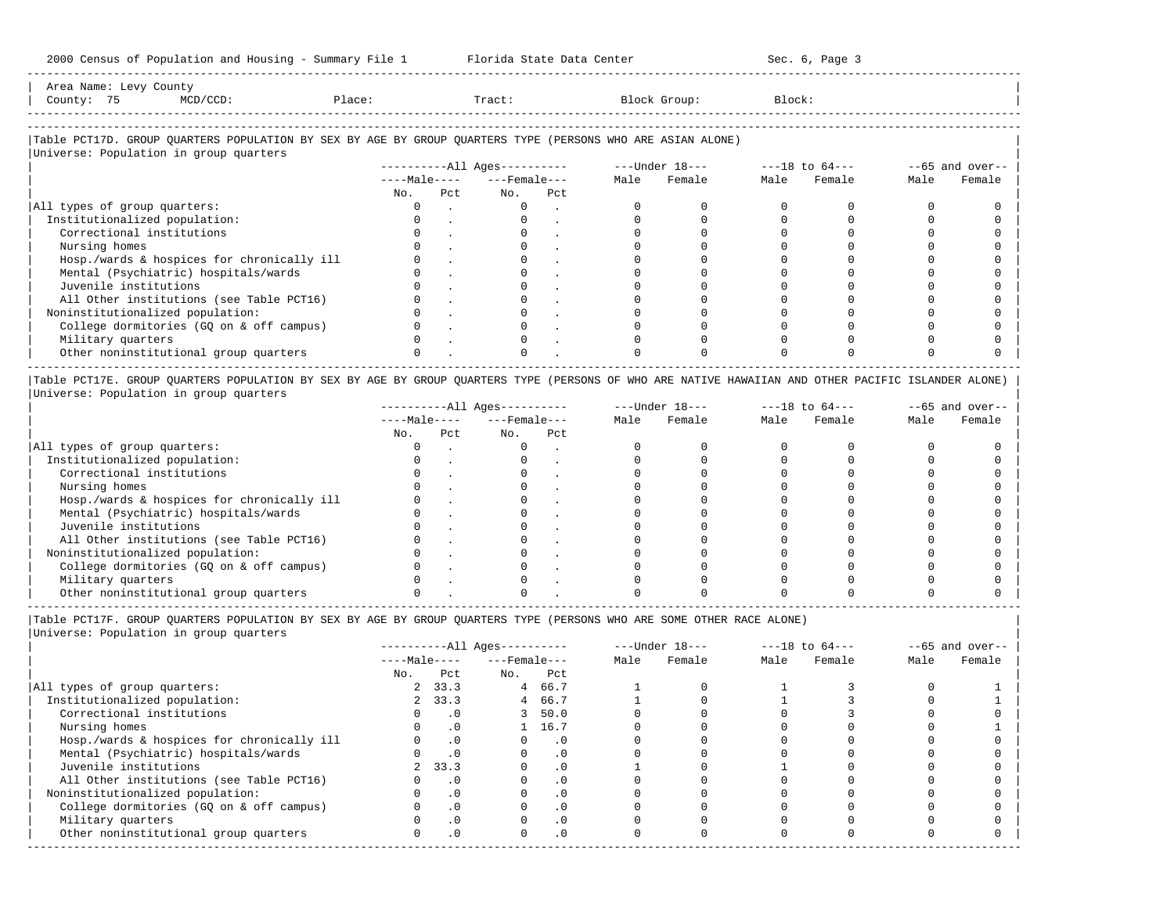Area Name: Levy County | County | County | County | County | County | County | County | County | County | County | County | County | County | County | County | County | County | County | County | County | County | County |

-----------------------------------------------------------------------------------------------------------------------------------------------------

| County: 75 | MCD/CCD:                               | Place: | Tract:                                                                                                     | Block Group:   | Block:         |                 |
|------------|----------------------------------------|--------|------------------------------------------------------------------------------------------------------------|----------------|----------------|-----------------|
|            |                                        |        |                                                                                                            |                |                |                 |
|            | Universe: Population in group quarters |        | Table PCT17D. GROUP OUARTERS POPULATION BY SEX BY AGE BY GROUP OUARTERS TYPE (PERSONS WHO ARE ASIAN ALONE) |                |                |                 |
|            |                                        |        | ----------All Ages----------                                                                               | ---Under 18--- | ---18 to 64--- | --65 and over-- |

|     |     |                |     | Male               | Female | Male | Female | Male | Female |
|-----|-----|----------------|-----|--------------------|--------|------|--------|------|--------|
| No. | Pct | No.            | Pct |                    |        |      |        |      |        |
|     |     |                |     |                    |        |      |        |      |        |
|     |     |                |     |                    |        |      |        |      |        |
|     |     |                |     |                    |        |      |        |      |        |
|     |     |                |     |                    |        |      |        |      |        |
|     |     |                |     |                    |        |      |        |      |        |
|     |     |                |     |                    |        |      |        |      |        |
|     |     |                |     |                    |        |      |        |      |        |
|     |     |                |     |                    |        |      |        |      |        |
|     |     |                |     |                    |        |      |        |      |        |
|     |     |                |     |                    |        |      |        |      |        |
|     |     |                |     |                    |        |      |        |      |        |
|     |     |                |     |                    |        |      |        |      |        |
|     |     | $---Ma$ $e---$ |     | $---$ Female $---$ |        |      |        |      |        |

|Table PCT17E. GROUP QUARTERS POPULATION BY SEX BY AGE BY GROUP QUARTERS TYPE (PERSONS OF WHO ARE NATIVE HAWAIIAN AND OTHER PACIFIC ISLANDER ALONE) | |Universe: Population in group quarters |

|                                            |              |     | $------All Ages------$ |     | $---Under 18---$ |        | $---18$ to $64---$ |        | $--65$ and over-- |        |
|--------------------------------------------|--------------|-----|------------------------|-----|------------------|--------|--------------------|--------|-------------------|--------|
|                                            | $---Male---$ |     | $---$ Female $---$     |     | Male             | Female | Male               | Female | Male              | Female |
|                                            | No.          | Pct | No.                    | Pct |                  |        |                    |        |                   |        |
| All types of group quarters:               |              |     |                        |     |                  |        |                    |        |                   |        |
| Institutionalized population:              |              |     |                        |     |                  |        |                    |        |                   |        |
| Correctional institutions                  |              |     |                        |     |                  |        |                    |        |                   |        |
| Nursing homes                              |              |     |                        |     |                  |        |                    |        |                   |        |
| Hosp./wards & hospices for chronically ill |              |     |                        |     |                  |        |                    |        |                   |        |
| Mental (Psychiatric) hospitals/wards       |              |     |                        |     |                  |        |                    |        |                   |        |
| Juvenile institutions                      |              |     |                        |     |                  |        |                    |        |                   |        |
| All Other institutions (see Table PCT16)   |              |     |                        |     |                  |        |                    |        |                   |        |
| Noninstitutionalized population:           |              |     |                        |     |                  |        |                    |        |                   |        |
| College dormitories (GQ on & off campus)   |              |     |                        |     |                  |        |                    |        |                   |        |
| Military quarters                          |              |     |                        |     |                  |        |                    |        |                   |        |
| Other noninstitutional group quarters      |              |     |                        |     |                  |        |                    |        |                   |        |

----------------------------------------------------------------------------------------------------------------------------------------------------- |Table PCT17F. GROUP QUARTERS POPULATION BY SEX BY AGE BY GROUP QUARTERS TYPE (PERSONS WHO ARE SOME OTHER RACE ALONE) |

|                                            |              |           | $------All Ages------$ |           |      | $---Under 18---$ | $---18$ to $64---$ |        | $--65$ and over-- |        |
|--------------------------------------------|--------------|-----------|------------------------|-----------|------|------------------|--------------------|--------|-------------------|--------|
|                                            | $---Male---$ |           | $---$ Female $---$     |           | Male | Female           | Male               | Female | Male              | Female |
|                                            | No.          | Pct       | No.                    | Pct       |      |                  |                    |        |                   |        |
| All types of group quarters:               |              | 2, 33.3   | 4                      | 66.7      |      |                  |                    |        |                   |        |
| Institutionalized population:              |              | 2, 33.3   | 4                      | 66.7      |      |                  |                    |        |                   |        |
| Correctional institutions                  |              | $\cdot$ 0 |                        | 3, 50.0   |      |                  |                    |        |                   |        |
| Nursing homes                              |              | $\cdot$ 0 |                        | 1 16.7    |      |                  |                    |        |                   |        |
| Hosp./wards & hospices for chronically ill |              | .0        |                        | $\cdot$ 0 |      |                  |                    |        |                   |        |
| Mental (Psychiatric) hospitals/wards       |              | $\cdot$ 0 |                        | $\cdot$ 0 |      |                  |                    |        |                   |        |
| Juvenile institutions                      | 2            | 33.3      |                        | $\cdot$ 0 |      |                  |                    |        |                   |        |
| All Other institutions (see Table PCT16)   |              | $\cdot$ 0 |                        | . 0       |      |                  |                    |        |                   |        |
| Noninstitutionalized population:           |              | $\cdot$ 0 |                        | . 0       |      |                  |                    |        |                   |        |
| College dormitories (GQ on & off campus)   |              | $\cdot$ 0 |                        | $\cdot$ 0 |      |                  |                    |        |                   |        |
| Military quarters                          |              | $\cdot$ 0 |                        | $\cdot$ 0 |      |                  |                    |        |                   |        |
| Other noninstitutional group quarters      |              | $\cdot$ 0 | $\Omega$               | $\cdot$ 0 |      |                  |                    |        |                   |        |
|                                            |              |           |                        |           |      |                  |                    |        |                   |        |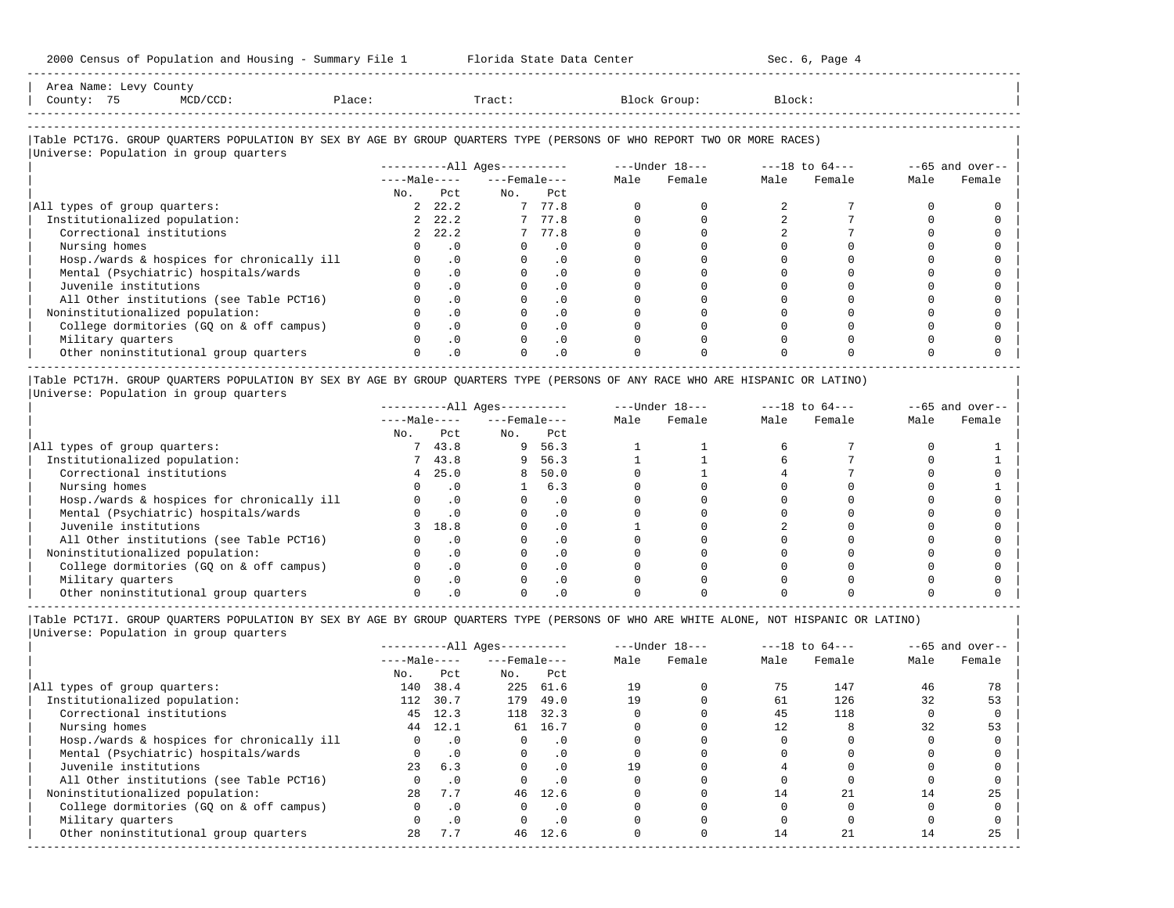| Area Name: Levy County<br>County: 75<br>$MCD/CCD$ :<br>Place:                                                          |           | Tract:                   |           |                                                                   | Block Group: | Block: |             |      |                   |
|------------------------------------------------------------------------------------------------------------------------|-----------|--------------------------|-----------|-------------------------------------------------------------------|--------------|--------|-------------|------|-------------------|
|                                                                                                                        |           |                          |           |                                                                   |              |        |             |      |                   |
| Table PCT17G. GROUP QUARTERS POPULATION BY SEX BY AGE BY GROUP QUARTERS TYPE (PERSONS OF WHO REPORT TWO OR MORE RACES) |           |                          |           |                                                                   |              |        |             |      |                   |
| Universe: Population in group quarters                                                                                 |           |                          |           |                                                                   |              |        |             |      |                   |
|                                                                                                                        |           |                          |           | ----------All Ages---------- ----Under $18$ --- ---18 to $64$ --- |              |        |             |      | $--65$ and over-- |
|                                                                                                                        |           | $---Male-- ---Female---$ |           |                                                                   | Male Female  |        | Male Female | Male | Female            |
|                                                                                                                        | No. Pct   | No. Pct                  |           |                                                                   |              |        |             |      |                   |
| All types of group quarters:                                                                                           | 2, 22.2   | 7 77.8                   |           |                                                                   |              |        |             |      |                   |
| Institutionalized population:                                                                                          | 2, 22.2   |                          | 7 77.8    |                                                                   |              |        |             |      |                   |
| Correctional institutions                                                                                              | 2, 22.2   |                          | 7 77.8    |                                                                   |              |        |             |      |                   |
| Nursing homes                                                                                                          | .0        | $\mathbf{0}$             | $\cdot$ 0 |                                                                   |              |        |             |      |                   |
| Hosp./wards & hospices for chronically ill                                                                             | $\cdot$ 0 |                          | $\cdot$ 0 |                                                                   |              |        |             |      |                   |
| Mental (Psychiatric) hospitals/wards                                                                                   | $\cdot$ 0 |                          | $\cdot$ 0 |                                                                   |              |        |             |      |                   |
| Juvenile institutions                                                                                                  | $\cdot$ 0 |                          | $\cdot$ 0 |                                                                   |              |        |             |      |                   |
| All Other institutions (see Table PCT16)                                                                               | $\cdot$ 0 |                          | $\cdot$ 0 |                                                                   |              |        |             |      |                   |
| Noninstitutionalized population:                                                                                       | $\cdot$ 0 |                          | $\cdot$ 0 |                                                                   |              |        |             |      |                   |
| College dormitories (GQ on & off campus)                                                                               | $\cdot$ 0 |                          | $\cdot$ 0 |                                                                   |              |        |             |      |                   |
| Military quarters                                                                                                      | $\cdot$ 0 |                          | $\cdot$ 0 |                                                                   |              |        |             |      |                   |
| Other noninstitutional group quarters                                                                                  | $\cdot$ 0 |                          | $\cdot$ 0 |                                                                   |              |        |             |      |                   |

|Table PCT17H. GROUP QUARTERS POPULATION BY SEX BY AGE BY GROUP QUARTERS TYPE (PERSONS OF ANY RACE WHO ARE HISPANIC OR LATINO) | |Universe: Population in group quarters |

|                                            |              |            | $------All Aqes------$ |           | $---Under 18---$ |        | $---18$ to $64---$ |        | $--65$ and over-- |        |
|--------------------------------------------|--------------|------------|------------------------|-----------|------------------|--------|--------------------|--------|-------------------|--------|
|                                            | $---Male---$ |            | $---$ Female $---$     |           | Male             | Female | Male               | Female | Male              | Female |
|                                            | No.          | Pct        | No.                    | Pct       |                  |        |                    |        |                   |        |
| All types of group quarters:               |              | 43.8       | 9                      | 56.3      |                  |        |                    |        |                   |        |
| Institutionalized population:              |              | 43.8       | 9.                     | 56.3      |                  |        |                    |        |                   |        |
| Correctional institutions                  |              | 25.0       |                        | 8 50.0    |                  |        |                    |        |                   |        |
| Nursing homes                              |              |            |                        | 6.3       |                  |        |                    |        |                   |        |
| Hosp./wards & hospices for chronically ill |              |            |                        | . 0       |                  |        |                    |        |                   |        |
| Mental (Psychiatric) hospitals/wards       |              |            |                        | $\cdot$ 0 |                  |        |                    |        |                   |        |
| Juvenile institutions                      |              | 18.8       |                        | . 0       |                  |        |                    |        |                   |        |
| All Other institutions (see Table PCT16)   |              |            |                        | $\cdot$ 0 |                  |        |                    |        |                   |        |
| Noninstitutionalized population:           |              |            |                        | . 0       |                  |        |                    |        |                   |        |
| College dormitories (GO on & off campus)   |              | $.0 \cdot$ |                        | $\cdot$ 0 |                  |        |                    |        |                   |        |
| Military quarters                          |              |            |                        | . 0       |                  |        |                    |        |                   |        |
| Other noninstitutional group quarters      |              |            |                        |           |                  |        |                    |        |                   |        |

-----------------------------------------------------------------------------------------------------------------------------------------------------

|                                            |              |           | ----------All Ages---------- |           | $---Under 18---$ |        | $---18$ to $64---$ |        | $--65$ and over-- |        |
|--------------------------------------------|--------------|-----------|------------------------------|-----------|------------------|--------|--------------------|--------|-------------------|--------|
|                                            | $---Male---$ |           | $---$ Female $---$           |           | Male             | Female | Male               | Female | Male              | Female |
|                                            | No.          | Pct       | No.                          | Pct       |                  |        |                    |        |                   |        |
| All types of group quarters:               | 140          | 38.4      | 225                          | 61.6      | 19               |        | 75                 | 147    | 46                | 78     |
| Institutionalized population:              | 112          | 30.7      | 179                          | 49.0      | 19               |        | 61                 | 126    | 32                | 53     |
| Correctional institutions                  | 45           | 12.3      | 118                          | 32.3      |                  |        | 45                 | 118    |                   |        |
| Nursing homes                              | 44           | 12.1      | 61                           | 16.7      |                  |        | 12                 |        | 32                | 53     |
| Hosp./wards & hospices for chronically ill |              | $\cdot$ 0 |                              | . 0       |                  |        |                    |        |                   |        |
| Mental (Psychiatric) hospitals/wards       | $\Omega$     | .0        | $\Omega$                     | $\cdot$ 0 |                  |        |                    |        |                   |        |
| Juvenile institutions                      | 23           | 6.3       |                              | $\cdot$ 0 | 19               |        |                    |        |                   |        |
| All Other institutions (see Table PCT16)   |              | $\cdot$ 0 |                              |           |                  |        |                    |        |                   |        |
| Noninstitutionalized population:           | 2.8          | 7.7       | 46                           | 12.6      |                  |        | 14                 |        | 14                | 25     |
| College dormitories (GQ on & off campus)   |              | $\cdot$ 0 |                              | $\cdot$ 0 |                  |        |                    |        |                   |        |
| Military quarters                          |              | $\cdot$ 0 |                              | $\cdot$ 0 |                  |        |                    |        |                   |        |
| Other noninstitutional group quarters      | 28           | 7.7       | 46                           | 12.6      |                  |        | 14                 | 21     | 14                | 25     |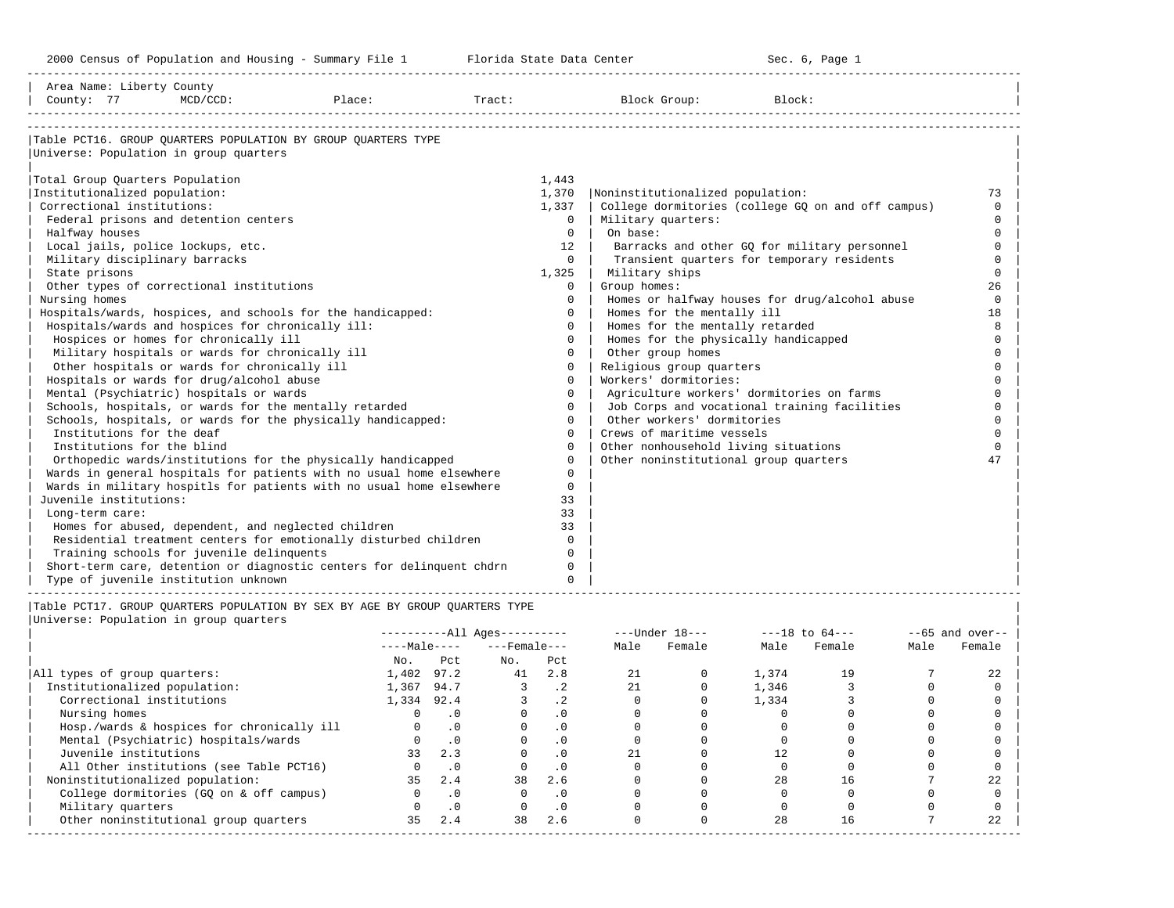-----------------------------------------------------------------------------------------------------------------------------------------------------

| Area Name: Liberty County<br>County: 77           | $MCD/CCD$ : | Place:                                                                      | Tract: |          | Block Group:                          | Block:                                             |          |
|---------------------------------------------------|-------------|-----------------------------------------------------------------------------|--------|----------|---------------------------------------|----------------------------------------------------|----------|
| Universe: Population in group quarters            |             | Table PCT16. GROUP OUARTERS POPULATION BY GROUP OUARTERS TYPE               |        |          |                                       |                                                    |          |
|                                                   |             |                                                                             |        |          |                                       |                                                    |          |
| Total Group Quarters Population                   |             |                                                                             |        | 1,443    |                                       |                                                    |          |
| Institutionalized population:                     |             |                                                                             |        | 1,370    | Noninstitutionalized population:      |                                                    | 73       |
| Correctional institutions:                        |             |                                                                             |        | 1,337    |                                       | College dormitories (college GQ on and off campus) | $\Omega$ |
| Federal prisons and detention centers             |             |                                                                             |        | $\Omega$ | Military quarters:                    |                                                    | $\Omega$ |
| Halfway houses                                    |             |                                                                             |        | $\Omega$ | On base:                              |                                                    | $\Omega$ |
| Local jails, police lockups, etc.                 |             |                                                                             |        | 12       |                                       | Barracks and other GQ for military personnel       | $\Omega$ |
| Military disciplinary barracks                    |             |                                                                             |        | $\Omega$ |                                       | Transient quarters for temporary residents         | $\Omega$ |
| State prisons                                     |             |                                                                             |        | 1,325    | Military ships                        |                                                    | $\Omega$ |
| Other types of correctional institutions          |             |                                                                             |        | $\Omega$ | Group homes:                          |                                                    | 26       |
| Nursing homes                                     |             |                                                                             |        | $\Omega$ |                                       | Homes or halfway houses for drug/alcohol abuse     | $\Omega$ |
|                                                   |             | Hospitals/wards, hospices, and schools for the handicapped:                 |        | $\Omega$ | Homes for the mentally ill            |                                                    | 18       |
| Hospitals/wards and hospices for chronically ill: |             |                                                                             |        | $\Omega$ | Homes for the mentally retarded       |                                                    | 8        |
| Hospices or homes for chronically ill             |             |                                                                             |        | $\Omega$ | Homes for the physically handicapped  |                                                    | $\cap$   |
| Military hospitals or wards for chronically ill   |             |                                                                             |        | $\Omega$ | Other group homes                     |                                                    | $\Omega$ |
| Other hospitals or wards for chronically ill      |             |                                                                             |        | $\Omega$ | Religious group quarters              |                                                    | $\Omega$ |
| Hospitals or wards for drug/alcohol abuse         |             |                                                                             |        | $\Omega$ | Workers' dormitories:                 |                                                    | $\Omega$ |
| Mental (Psychiatric) hospitals or wards           |             |                                                                             |        | $\Omega$ |                                       | Agriculture workers' dormitories on farms          | $\Omega$ |
|                                                   |             | Schools, hospitals, or wards for the mentally retarded                      |        | $\Omega$ |                                       | Job Corps and vocational training facilities       | $\Omega$ |
|                                                   |             | Schools, hospitals, or wards for the physically handicapped:                |        | $\Omega$ | Other workers' dormitories            |                                                    | $\Omega$ |
| Institutions for the deaf                         |             |                                                                             |        | $\Omega$ | Crews of maritime vessels             |                                                    |          |
| Institutions for the blind                        |             |                                                                             |        | $\Omega$ | Other nonhousehold living situations  |                                                    | $\Omega$ |
|                                                   |             | Orthopedic wards/institutions for the physically handicapped                |        | $\Omega$ | Other noninstitutional group quarters |                                                    | 47       |
|                                                   |             | Wards in general hospitals for patients with no usual home elsewhere        |        | $\Omega$ |                                       |                                                    |          |
|                                                   |             | Wards in military hospitls for patients with no usual home elsewhere        |        | $\Omega$ |                                       |                                                    |          |
| Juvenile institutions:                            |             |                                                                             |        | 33       |                                       |                                                    |          |
| Long-term care:                                   |             |                                                                             |        | 33       |                                       |                                                    |          |
|                                                   |             | Homes for abused, dependent, and neglected children                         |        | 33       |                                       |                                                    |          |
|                                                   |             | Residential treatment centers for emotionally disturbed children            |        | $\Omega$ |                                       |                                                    |          |
| Training schools for juvenile delinquents         |             |                                                                             |        | $\Omega$ |                                       |                                                    |          |
|                                                   |             | Short-term care, detention or diagnostic centers for delinquent chdrn       |        | $\Omega$ |                                       |                                                    |          |
| Type of juvenile institution unknown              |             |                                                                             |        | $\Omega$ |                                       |                                                    |          |
|                                                   |             | Table PCT17. GROUP OUARTERS POPULATION BY SEX BY AGE BY GROUP OUARTERS TYPE |        |          |                                       |                                                    |          |

|                                            | $------All Ages------$ |           |                    |           |      | $---Under 18---$ | $---18$ to $64---$ |        | $--65$ and over-- |        |
|--------------------------------------------|------------------------|-----------|--------------------|-----------|------|------------------|--------------------|--------|-------------------|--------|
|                                            | $---Male---$           |           | $---$ Female $---$ |           | Male | Female           | Male               | Female | Male              | Female |
|                                            | No.                    | Pct       | No.                | Pct       |      |                  |                    |        |                   |        |
| All types of group quarters:               | 1,402                  | 97.2      | 41                 | 2.8       | 21   |                  | 1,374              | 19     |                   |        |
| Institutionalized population:              | 1,367                  | 94.7      |                    | $\cdot$ 2 |      |                  | 1,346              |        |                   |        |
| Correctional institutions                  | 1,334 92.4             |           |                    | $\cdot$ 2 |      |                  | 1,334              |        |                   |        |
| Nursing homes                              |                        | . 0       |                    |           |      |                  |                    |        |                   |        |
| Hosp./wards & hospices for chronically ill |                        | $\cdot$ 0 |                    | . 0       |      |                  |                    |        |                   |        |
| Mental (Psychiatric) hospitals/wards       |                        | $\cdot$ 0 |                    | . 0       |      |                  |                    |        |                   |        |
| Juvenile institutions                      | 33                     | 2.3       |                    |           |      |                  |                    |        |                   |        |
| All Other institutions (see Table PCT16)   |                        | . 0       |                    | . 0       |      |                  |                    |        |                   |        |
| Noninstitutionalized population:           | 35                     | 2.4       | 38                 | 2.6       |      |                  | 28                 | 16     |                   | 22     |
| College dormitories (GO on & off campus)   |                        | $\cdot$ 0 |                    | $\cdot$ 0 |      |                  |                    |        |                   |        |
| Military quarters                          |                        | $\cdot$ 0 |                    | $\cdot$ 0 |      |                  |                    |        |                   |        |
| Other noninstitutional group quarters      | 35                     | 2.4       | 38                 | 2.6       |      |                  | 28                 | 16     |                   | 22     |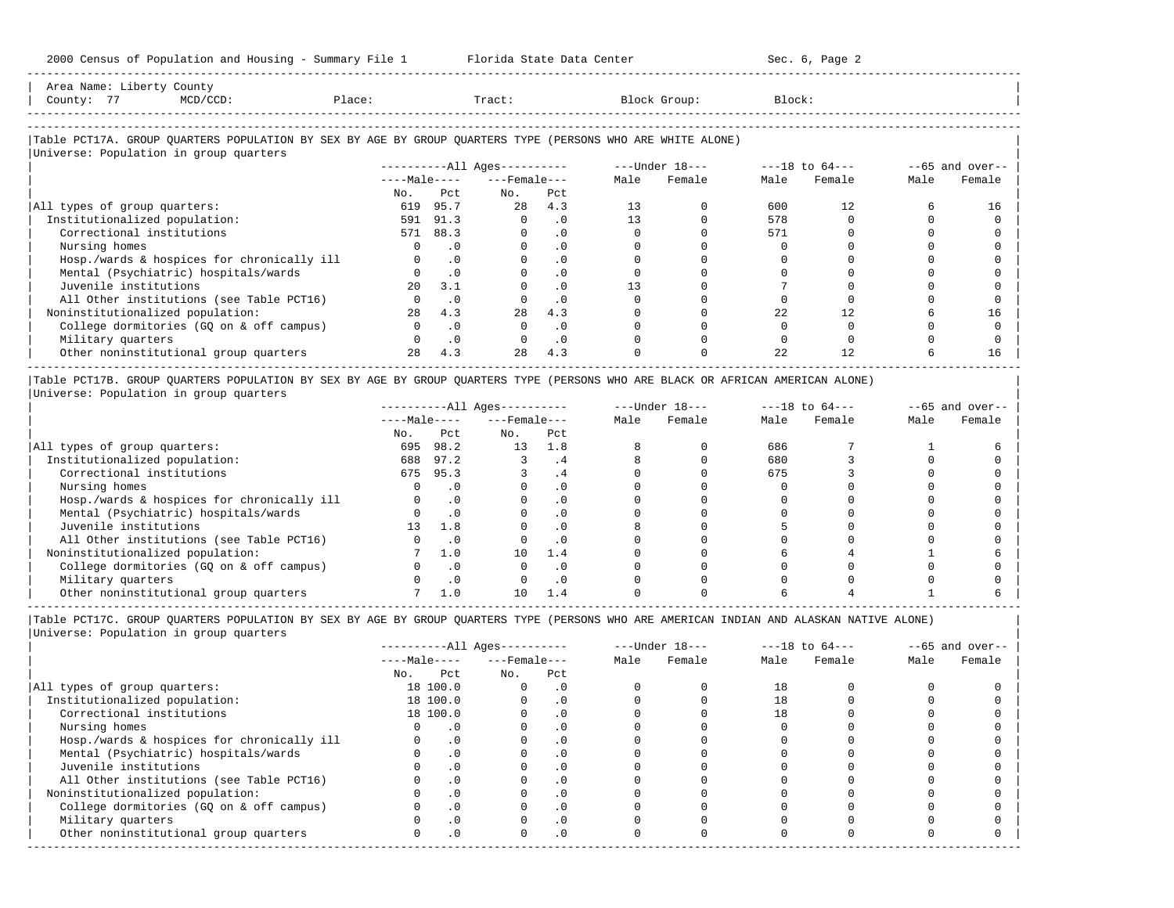| Area<br>Name.<br><b>TTACT C</b> | County                                                                          |       |       |        |        |
|---------------------------------|---------------------------------------------------------------------------------|-------|-------|--------|--------|
| $- -$<br>County                 | the contract of the contract of the contract of the contract of the contract of | Place | Tract | aroup: | Block: |
|                                 |                                                                                 |       |       |        |        |

-----------------------------------------------------------------------------------------------------------------------------------------------------

-----------------------------------------------------------------------------------------------------------------------------------------------------

## |Table PCT17A. GROUP QUARTERS POPULATION BY SEX BY AGE BY GROUP QUARTERS TYPE (PERSONS WHO ARE WHITE ALONE) |

|                                            |              |           | $------All Aqes------$ |           |      | $---Under 18---$ |      | $---18$ to $64---$ |      | $--65$ and over-- |
|--------------------------------------------|--------------|-----------|------------------------|-----------|------|------------------|------|--------------------|------|-------------------|
|                                            | $---Male---$ |           | $---$ Female $---$     |           | Male | Female           | Male | Female             | Male | Female            |
|                                            | No.          | Pct       | No.                    | Pct       |      |                  |      |                    |      |                   |
| All types of group quarters:               | 619          | 95.7      | 2.8                    | 4.3       | 13   |                  | 600  | 12.                |      | 16                |
| Institutionalized population:              | 591          | 91.3      |                        | $\cdot$ 0 | 13   |                  | 578  |                    |      |                   |
| Correctional institutions                  |              | 571 88.3  |                        | $\cdot$ 0 |      |                  | 571  |                    |      |                   |
| Nursing homes                              |              | . 0       |                        |           |      |                  |      |                    |      |                   |
| Hosp./wards & hospices for chronically ill |              | $\cdot$ 0 |                        | $\cdot$ 0 |      |                  |      |                    |      |                   |
| Mental (Psychiatric) hospitals/wards       |              | $\cdot$ 0 |                        | . 0       |      |                  |      |                    |      |                   |
| Juvenile institutions                      | $20^{\circ}$ | 3.1       |                        | $\cdot$ 0 | 13   |                  |      |                    |      |                   |
| All Other institutions (see Table PCT16)   |              | . 0       |                        | $\cdot$ 0 |      |                  |      |                    |      |                   |
| Noninstitutionalized population:           | 2.8          | 4.3       | 28                     | 4.3       |      |                  | 22   | 12                 |      | 16                |
| College dormitories (GO on & off campus)   |              | $\cdot$ 0 |                        | $\cdot$ 0 |      |                  |      |                    |      |                   |
| Military quarters                          |              | $\cdot$ 0 |                        | $\cdot$ 0 |      |                  |      |                    |      |                   |
| Other noninstitutional group quarters      | 2.8          | 4.3       | 2.8                    | 4.3       |      |                  | 2.2. | 12.                |      | 16                |

|Table PCT17B. GROUP QUARTERS POPULATION BY SEX BY AGE BY GROUP QUARTERS TYPE (PERSONS WHO ARE BLACK OR AFRICAN AMERICAN ALONE) | |Universe: Population in group quarters |

|                                            | $------All Aqes------$ |      |                    |           |      | $---Under 18---$ |      | $---18$ to $64---$ | $--65$ and over-- |        |
|--------------------------------------------|------------------------|------|--------------------|-----------|------|------------------|------|--------------------|-------------------|--------|
|                                            | $---Male---$           |      | $---$ Female $---$ |           | Male | Female           | Male | Female             | Male              | Female |
|                                            | No.                    | Pct  | No.                | Pct       |      |                  |      |                    |                   |        |
| All types of group quarters:               | 695                    | 98.2 | 13                 | 1.8       |      |                  | 686  |                    |                   |        |
| Institutionalized population:              | 688                    | 97.2 |                    | . 4       |      |                  | 680  |                    |                   |        |
| Correctional institutions                  | 675                    | 95.3 |                    | . 4       |      |                  | 675  |                    |                   |        |
| Nursing homes                              |                        |      |                    |           |      |                  |      |                    |                   |        |
| Hosp./wards & hospices for chronically ill |                        |      |                    | . 0       |      |                  |      |                    |                   |        |
| Mental (Psychiatric) hospitals/wards       |                        |      |                    | . 0       |      |                  |      |                    |                   |        |
| Juvenile institutions                      | 13                     | 1.8  |                    | . 0       |      |                  |      |                    |                   |        |
| All Other institutions (see Table PCT16)   |                        |      |                    | $\cdot$ 0 |      |                  |      |                    |                   |        |
| Noninstitutionalized population:           |                        | 1.0  | 10                 | 1.4       |      |                  |      |                    |                   |        |
| College dormitories (GO on & off campus)   |                        |      |                    | $\cdot$ 0 |      |                  |      |                    |                   |        |
| Military quarters                          |                        | . 0  |                    | . 0       |      |                  |      |                    |                   |        |
| Other noninstitutional group quarters      |                        |      |                    |           |      |                  |      |                    |                   |        |

-----------------------------------------------------------------------------------------------------------------------------------------------------

|                                            |              |           | $------All Ages------$ |           |      | $---Under 18---$ |      | $---18$ to $64---$ | $--65$ and over-- |        |
|--------------------------------------------|--------------|-----------|------------------------|-----------|------|------------------|------|--------------------|-------------------|--------|
|                                            | $---Male---$ |           | $---$ Female $---$     |           | Male | Female           | Male | Female             | Male              | Female |
|                                            | No.          | Pct       | No.                    | Pct       |      |                  |      |                    |                   |        |
| All types of group quarters:               |              | 18 100.0  | $\Omega$               | $\cdot$ 0 |      |                  | 18   |                    |                   |        |
| Institutionalized population:              |              | 18 100.0  |                        | $\cdot$ 0 |      |                  | 18   |                    |                   |        |
| Correctional institutions                  |              | 18 100.0  |                        | $\cdot$ 0 |      |                  | 18   |                    |                   |        |
| Nursing homes                              |              |           |                        | $\cdot$ 0 |      |                  |      |                    |                   |        |
| Hosp./wards & hospices for chronically ill |              | $\cdot$ 0 |                        |           |      |                  |      |                    |                   |        |
| Mental (Psychiatric) hospitals/wards       |              | $\cdot$ 0 |                        | $\cdot$ 0 |      |                  |      |                    |                   |        |
| Juvenile institutions                      |              |           |                        | . 0       |      |                  |      |                    |                   |        |
| All Other institutions (see Table PCT16)   |              |           |                        |           |      |                  |      |                    |                   |        |
| Noninstitutionalized population:           |              | $\cdot$ 0 |                        | $\cdot$ 0 |      |                  |      |                    |                   |        |
| College dormitories (GO on & off campus)   |              |           |                        | $\cdot$ 0 |      |                  |      |                    |                   |        |
| Military quarters                          |              |           |                        | $\cdot$ 0 |      |                  |      |                    |                   |        |
| Other noninstitutional group quarters      | <sup>n</sup> | $\cdot$ 0 |                        | $\cdot$ 0 |      |                  |      |                    |                   |        |
|                                            |              |           |                        |           |      |                  |      |                    |                   |        |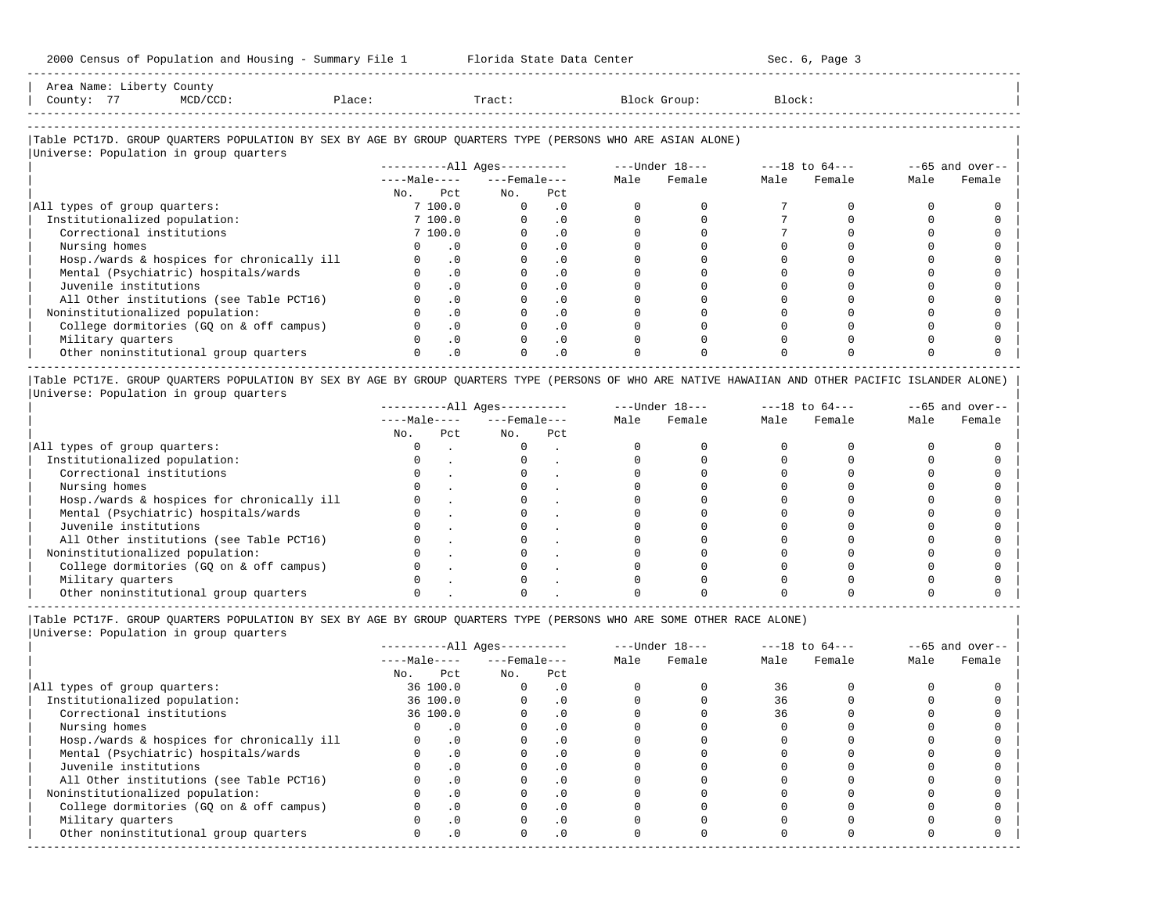-----------------------------------------------------------------------------------------------------------------------------------------------------

| Area<br>Name    | COUNT.<br>∸∸∽∽⊤                                                                 |        |       |        |       |  |
|-----------------|---------------------------------------------------------------------------------|--------|-------|--------|-------|--|
| $- -$<br>County | the contract of the contract of the contract of the contract of the contract of | Place. | Tract | ⊶roup: | Block |  |
|                 |                                                                                 |        |       |        |       |  |

-----------------------------------------------------------------------------------------------------------------------------------------------------

## |Table PCT17D. GROUP QUARTERS POPULATION BY SEX BY AGE BY GROUP QUARTERS TYPE (PERSONS WHO ARE ASIAN ALONE) |

|                                            |              |           | $------All Aqes------$ |                    |  | ---Under 18--- |      | $---18$ to $64---$ |      | $--65$ and over-- |
|--------------------------------------------|--------------|-----------|------------------------|--------------------|--|----------------|------|--------------------|------|-------------------|
|                                            | $---Male---$ |           |                        | $---$ Female $---$ |  | Female         | Male | Female             | Male | Female            |
|                                            | No.          | Pct       | No.                    | Pct                |  |                |      |                    |      |                   |
| All types of group quarters:               |              | 7 100.0   | $\Omega$               | . 0                |  |                |      |                    |      |                   |
| Institutionalized population:              |              | 7 100.0   |                        | $\cdot$ 0          |  |                |      |                    |      |                   |
| Correctional institutions                  |              | 7 100.0   |                        | $\cdot$ 0          |  |                |      |                    |      |                   |
| Nursing homes                              |              | . 0       |                        |                    |  |                |      |                    |      |                   |
| Hosp./wards & hospices for chronically ill |              | $\cdot$ 0 |                        | . 0                |  |                |      |                    |      |                   |
| Mental (Psychiatric) hospitals/wards       |              | $\cdot$ 0 |                        | $\cdot$ 0          |  |                |      |                    |      |                   |
| Juvenile institutions                      |              | $\cdot$ 0 |                        |                    |  |                |      |                    |      |                   |
| All Other institutions (see Table PCT16)   |              | $\cdot$ 0 |                        | $\cdot$ 0          |  |                |      |                    |      |                   |
| Noninstitutionalized population:           |              | $\cdot$ 0 |                        | $\cdot$ 0          |  |                |      |                    |      |                   |
| College dormitories (GQ on & off campus)   |              | $\cdot$ 0 |                        | $\cdot$ 0          |  |                |      |                    |      |                   |
| Military quarters                          |              | $\cdot$ 0 |                        | $\cdot$ 0          |  |                |      |                    |      |                   |
| Other noninstitutional group quarters      |              | $\cdot$ 0 |                        | $\cdot$ 0          |  |                |      |                    |      |                   |

|Table PCT17E. GROUP QUARTERS POPULATION BY SEX BY AGE BY GROUP QUARTERS TYPE (PERSONS OF WHO ARE NATIVE HAWAIIAN AND OTHER PACIFIC ISLANDER ALONE) | |Universe: Population in group quarters |

|                                            | $------All Ages------$ |     |                    |     |      | $---Under 18---$ |      | $---18$ to $64---$ | $--65$ and over-- |        |
|--------------------------------------------|------------------------|-----|--------------------|-----|------|------------------|------|--------------------|-------------------|--------|
|                                            | $---Male---$           |     | $---$ Female $---$ |     | Male | Female           | Male | Female             | Male              | Female |
|                                            | No.                    | Pct | No.                | Pct |      |                  |      |                    |                   |        |
| All types of group quarters:               |                        |     |                    |     |      |                  |      |                    |                   |        |
| Institutionalized population:              |                        |     |                    |     |      |                  |      |                    |                   |        |
| Correctional institutions                  |                        |     |                    |     |      |                  |      |                    |                   |        |
| Nursing homes                              |                        |     |                    |     |      |                  |      |                    |                   |        |
| Hosp./wards & hospices for chronically ill |                        |     |                    |     |      |                  |      |                    |                   |        |
| Mental (Psychiatric) hospitals/wards       |                        |     |                    |     |      |                  |      |                    |                   |        |
| Juvenile institutions                      |                        |     |                    |     |      |                  |      |                    |                   |        |
| All Other institutions (see Table PCT16)   |                        |     |                    |     |      |                  |      |                    |                   |        |
| Noninstitutionalized population:           |                        |     |                    |     |      |                  |      |                    |                   |        |
| College dormitories (GO on & off campus)   |                        |     |                    |     |      |                  |      |                    |                   |        |
| Military quarters                          |                        |     |                    |     |      |                  |      |                    |                   |        |
| Other noninstitutional group quarters      |                        |     |                    |     |      |                  |      |                    |                   |        |

----------------------------------------------------------------------------------------------------------------------------------------------------- |Table PCT17F. GROUP QUARTERS POPULATION BY SEX BY AGE BY GROUP QUARTERS TYPE (PERSONS WHO ARE SOME OTHER RACE ALONE) |

|                                            | $------All Aqes------$ |              |                    |           | $---Under 18---$ | $---18$ to $64---$ |      | $--65$ and over-- |      |        |
|--------------------------------------------|------------------------|--------------|--------------------|-----------|------------------|--------------------|------|-------------------|------|--------|
|                                            |                        | $---Male---$ | $---$ Female $---$ |           | Male             | Female             | Male | Female            | Male | Female |
|                                            | No.                    | Pct          | No.                | Pct       |                  |                    |      |                   |      |        |
| All types of group quarters:               |                        | 36 100.0     | 0                  | $\cdot$ 0 |                  |                    | 36   |                   |      |        |
| Institutionalized population:              |                        | 36 100.0     |                    | $\cdot$ 0 |                  |                    | 36   |                   |      |        |
| Correctional institutions                  |                        | 36 100.0     |                    | $\cdot$ 0 |                  |                    | 36   |                   |      |        |
| Nursing homes                              |                        | $\cdot$ 0    |                    | $\cdot$ 0 |                  |                    |      |                   |      |        |
| Hosp./wards & hospices for chronically ill |                        | .0           |                    | $\cdot$ 0 |                  |                    |      |                   |      |        |
| Mental (Psychiatric) hospitals/wards       |                        | $\cdot$ 0    |                    | $\cdot$ 0 |                  |                    |      |                   |      |        |
| Juvenile institutions                      |                        | $\cdot$ 0    |                    | $\Omega$  |                  |                    |      |                   |      |        |
| All Other institutions (see Table PCT16)   |                        | $\cdot$ 0    |                    | $\cdot$ 0 |                  |                    |      |                   |      |        |
| Noninstitutionalized population:           |                        | $\cdot$ 0    |                    | . 0       |                  |                    |      |                   |      |        |
| College dormitories (GO on & off campus)   |                        | $\cdot$ 0    |                    |           |                  |                    |      |                   |      |        |
| Military quarters                          |                        | $\cdot$ 0    |                    | $\cdot$ 0 |                  |                    |      |                   |      |        |
| Other noninstitutional group quarters      |                        | $\cdot$ 0    | $\Omega$           | $\cdot$ 0 |                  |                    |      |                   |      |        |
|                                            |                        |              |                    |           |                  |                    |      |                   |      |        |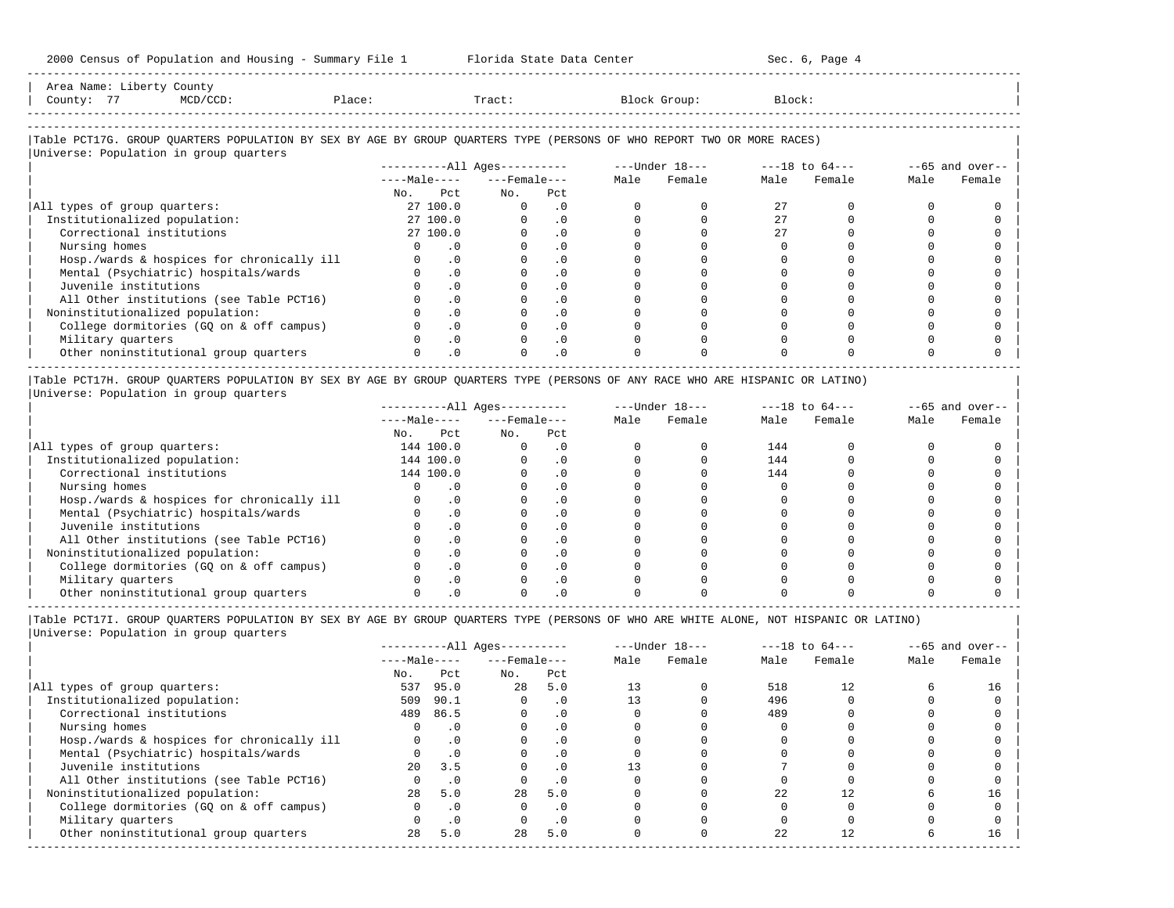|            | Area Name: Liberty County                                                                                              |           |                              |     |      |                |                |      |                   |
|------------|------------------------------------------------------------------------------------------------------------------------|-----------|------------------------------|-----|------|----------------|----------------|------|-------------------|
| County: 77 | MCD/CCD:                                                                                                               | Place:    | Tract:                       |     |      | Block Group:   | Block:         |      |                   |
|            |                                                                                                                        |           |                              |     |      |                |                |      |                   |
|            |                                                                                                                        |           |                              |     |      |                |                |      |                   |
|            | Table PCT17G. GROUP QUARTERS POPULATION BY SEX BY AGE BY GROUP QUARTERS TYPE (PERSONS OF WHO REPORT TWO OR MORE RACES) |           |                              |     |      |                |                |      |                   |
|            | Universe: Population in group quarters                                                                                 |           |                              |     |      |                |                |      |                   |
|            |                                                                                                                        |           | ----------All Ages---------- |     |      | ---Under 18--- | ---18 to 64--- |      | $--65$ and over-- |
|            |                                                                                                                        |           | $---Male-- ---Female---$     |     | Male | Female         | Male Female    | Male | Female            |
|            |                                                                                                                        | No.       | Pct<br>No.                   | Pct |      |                |                |      |                   |
|            | All types of group quarters:                                                                                           | 27, 100.0 |                              |     |      |                |                |      |                   |

| Institutionalized population: 27 100.0 0 .0 0 0 27 0 0 0 | | Correctional institutions 27 100.0 0 .0 0 0 27 0 0 0 | | Nursing homes 0 .0 0 .0 0 0 0 0 0 0 | | Hosp./wards & hospices for chronically ill 0 .0 0 .0 0 0 0 0 0 0 | | Mental (Psychiatric) hospitals/wards 0 .0 0 .0 0 0 0 0 0 0 |

-----------------------------------------------------------------------------------------------------------------------------------------------------

| Juvenile institutions                    |  |  |  |  |  |
|------------------------------------------|--|--|--|--|--|
| All Other institutions (see Table PCT16) |  |  |  |  |  |
| Noninstitutionalized population:         |  |  |  |  |  |
| College dormitories (GQ on & off campus) |  |  |  |  |  |
| Military quarters                        |  |  |  |  |  |
| Other noninstitutional group quarters    |  |  |  |  |  |
|                                          |  |  |  |  |  |

|Table PCT17H. GROUP QUARTERS POPULATION BY SEX BY AGE BY GROUP QUARTERS TYPE (PERSONS OF ANY RACE WHO ARE HISPANIC OR LATINO) | |Universe: Population in group quarters |

|                                            |     |              | $------All Ages------$ |          |      | $---Under 18---$ | $---18$ to $64---$ |        | $--65$ and over-- |        |
|--------------------------------------------|-----|--------------|------------------------|----------|------|------------------|--------------------|--------|-------------------|--------|
|                                            |     | $---Male---$ | $---$ Female $---$     |          | Male | Female           | Male               | Female | Male              | Female |
|                                            | No. | Pct          | No.                    | Pct      |      |                  |                    |        |                   |        |
| All types of group quarters:               |     | 144 100.0    |                        | . 0      |      |                  | 144                |        |                   |        |
| Institutionalized population:              |     | 144 100.0    |                        | . 0      |      |                  | 144                |        |                   |        |
| Correctional institutions                  |     | 144 100.0    |                        |          |      |                  | 144                |        |                   |        |
| Nursing homes                              |     |              |                        |          |      |                  |                    |        |                   |        |
| Hosp./wards & hospices for chronically ill |     |              |                        |          |      |                  |                    |        |                   |        |
| Mental (Psychiatric) hospitals/wards       |     |              |                        |          |      |                  |                    |        |                   |        |
| Juvenile institutions                      |     |              |                        |          |      |                  |                    |        |                   |        |
| All Other institutions (see Table PCT16)   |     |              |                        |          |      |                  |                    |        |                   |        |
| Noninstitutionalized population:           |     |              |                        | . 0      |      |                  |                    |        |                   |        |
| College dormitories (GO on & off campus)   |     |              |                        | $\Omega$ |      |                  |                    |        |                   |        |
| Military quarters                          |     |              |                        | . 0      |      |                  |                    |        |                   |        |
| Other noninstitutional group quarters      |     |              |                        |          |      |                  |                    |        |                   |        |

|                                            |              |           | $------All Ages------$ |           |      | $---Under 18---$ | $---18$ to $64---$ |        | $--65$ and over-- |        |
|--------------------------------------------|--------------|-----------|------------------------|-----------|------|------------------|--------------------|--------|-------------------|--------|
|                                            | $---Male---$ |           | $---$ Female $---$     |           | Male | Female           | Male               | Female | Male              | Female |
|                                            | No.          | Pct       | No.                    | Pct       |      |                  |                    |        |                   |        |
| All types of group quarters:               | 537          | 95.0      | 2.8                    | 5.0       |      |                  | 518                | 12.    |                   | 16     |
| Institutionalized population:              | 509          | 90.1      |                        | . 0       |      |                  | 496                |        |                   |        |
| Correctional institutions                  | 489          | 86.5      |                        | . 0       |      |                  | 489                |        |                   |        |
| Nursing homes                              |              |           |                        | . 0       |      |                  |                    |        |                   |        |
| Hosp./wards & hospices for chronically ill |              |           |                        | . 0       |      |                  |                    |        |                   |        |
| Mental (Psychiatric) hospitals/wards       |              | $\cdot$ 0 |                        | . 0       |      |                  |                    |        |                   |        |
| Juvenile institutions                      | 2.0          | 3.5       |                        | $\cdot$ 0 |      |                  |                    |        |                   |        |
| All Other institutions (see Table PCT16)   |              |           |                        | . 0       |      |                  |                    |        |                   |        |
| Noninstitutionalized population:           | 2.8          | 5.0       | 28                     | 5.0       |      |                  | 22                 |        |                   | 16     |
| College dormitories (GQ on & off campus)   |              | $\cdot$ 0 |                        | . 0       |      |                  |                    |        |                   |        |
| Military quarters                          |              | .0        |                        | . 0       |      |                  |                    |        |                   |        |
| Other noninstitutional group quarters      | 28           | 5.0       | 28                     | 5.0       |      |                  | 22                 |        |                   | 16     |
|                                            |              |           |                        |           |      |                  |                    |        |                   |        |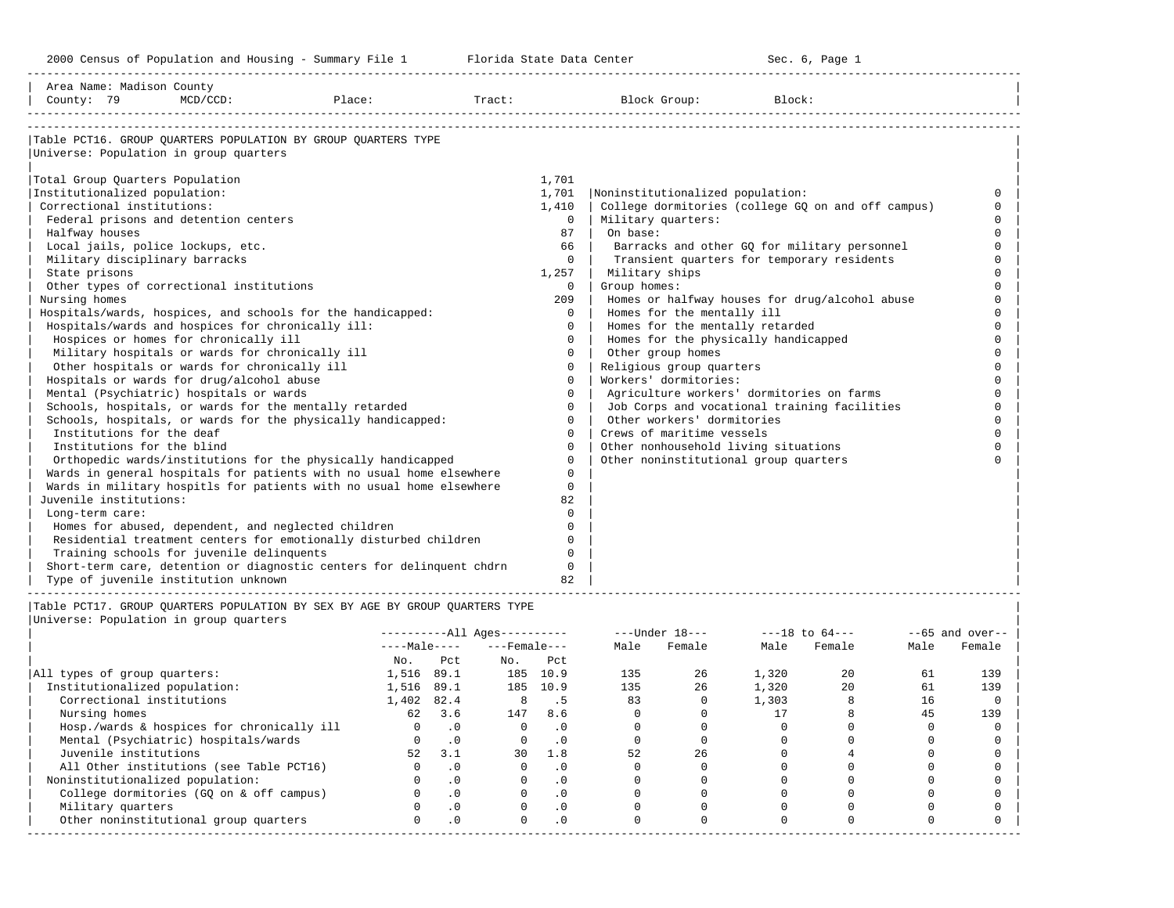-----------------------------------------------------------------------------------------------------------------------------------------------------

| Area Name: Madison County<br>County: 79                               | $MCD/CCD$ : | Place: | Tract: |              | Block Group:                          | Block:                                             |          |
|-----------------------------------------------------------------------|-------------|--------|--------|--------------|---------------------------------------|----------------------------------------------------|----------|
|                                                                       |             |        |        |              |                                       |                                                    |          |
| Table PCT16. GROUP OUARTERS POPULATION BY GROUP OUARTERS TYPE         |             |        |        |              |                                       |                                                    |          |
| Universe: Population in group quarters                                |             |        |        |              |                                       |                                                    |          |
| Total Group Quarters Population                                       |             |        |        | 1,701        |                                       |                                                    |          |
| Institutionalized population:                                         |             |        |        | 1,701        | Noninstitutionalized population:      |                                                    | $\Omega$ |
| Correctional institutions:                                            |             |        |        | 1,410        |                                       | College dormitories (college GQ on and off campus) |          |
| Federal prisons and detention centers                                 |             |        |        | $\Omega$     | Military quarters:                    |                                                    | $\cap$   |
| Halfway houses                                                        |             |        |        | 87           | On base:                              |                                                    | $\cap$   |
| Local jails, police lockups, etc.                                     |             |        |        | 66           |                                       | Barracks and other GQ for military personnel       | $\Omega$ |
| Military disciplinary barracks                                        |             |        |        | $\Omega$     |                                       | Transient quarters for temporary residents         | $\Omega$ |
| State prisons                                                         |             |        |        | 1,257        | Military ships                        |                                                    |          |
| Other types of correctional institutions                              |             |        |        | $\Omega$     | Group homes:                          |                                                    |          |
| Nursing homes                                                         |             |        |        | 209          |                                       | Homes or halfway houses for drug/alcohol abuse     |          |
| Hospitals/wards, hospices, and schools for the handicapped:           |             |        |        | $\Omega$     | Homes for the mentally ill            |                                                    |          |
| Hospitals/wards and hospices for chronically ill:                     |             |        |        | $\Omega$     | Homes for the mentally retarded       |                                                    |          |
| Hospices or homes for chronically ill                                 |             |        |        | $\Omega$     | Homes for the physically handicapped  |                                                    | $\cap$   |
| Military hospitals or wards for chronically ill                       |             |        |        | $\Omega$     | Other group homes                     |                                                    | $\cap$   |
| Other hospitals or wards for chronically ill                          |             |        |        | $\mathbf 0$  | Religious group quarters              |                                                    | $\cap$   |
| Hospitals or wards for drug/alcohol abuse                             |             |        |        | $\Omega$     | Workers' dormitories:                 |                                                    |          |
| Mental (Psychiatric) hospitals or wards                               |             |        |        | $\Omega$     |                                       | Agriculture workers' dormitories on farms          | $\cap$   |
| Schools, hospitals, or wards for the mentally retarded                |             |        |        | $\Omega$     |                                       | Job Corps and vocational training facilities       | $\cap$   |
| Schools, hospitals, or wards for the physically handicapped:          |             |        |        | $\Omega$     | Other workers' dormitories            |                                                    |          |
| Institutions for the deaf                                             |             |        |        | $\Omega$     | Crews of maritime vessels             |                                                    |          |
| Institutions for the blind                                            |             |        |        | $\Omega$     | Other nonhousehold living situations  |                                                    | $\cap$   |
| Orthopedic wards/institutions for the physically handicapped          |             |        |        | $\Omega$     | Other noninstitutional group quarters |                                                    |          |
| Wards in general hospitals for patients with no usual home elsewhere  |             |        |        | $\Omega$     |                                       |                                                    |          |
| Wards in military hospitls for patients with no usual home elsewhere  |             |        |        | $\Omega$     |                                       |                                                    |          |
| Juvenile institutions:                                                |             |        |        | 82           |                                       |                                                    |          |
| Long-term care:                                                       |             |        |        | $\Omega$     |                                       |                                                    |          |
| Homes for abused, dependent, and neglected children                   |             |        |        | U            |                                       |                                                    |          |
| Residential treatment centers for emotionally disturbed children      |             |        |        | <sup>n</sup> |                                       |                                                    |          |
| Training schools for juvenile delinquents                             |             |        |        | $\cap$       |                                       |                                                    |          |
| Short-term care, detention or diagnostic centers for delinquent chdrn |             |        |        | $\Omega$     |                                       |                                                    |          |
| Type of juvenile institution unknown                                  |             |        |        | 82           |                                       |                                                    |          |

|                                            |              |           | $------All Aqes------$ |           |      | $---Under 18---$ |       | $---18$ to $64---$ | $--65$ and over-- |        |
|--------------------------------------------|--------------|-----------|------------------------|-----------|------|------------------|-------|--------------------|-------------------|--------|
|                                            | $---Male---$ |           | $---$ Female $---$     |           | Male | Female           | Male  | Female             | Male              | Female |
|                                            | No.          | Pct       | No.                    | Pct       |      |                  |       |                    |                   |        |
| All types of group quarters:               | 1,516        | 89.1      | 185                    | 10.9      | 135  | 26               | 1,320 | 20                 | 61                | 139    |
| Institutionalized population:              | 1,516        | 89.1      | 185                    | 10.9      | 135  | 26               | 1,320 | 2.0                | 61                | 139    |
| Correctional institutions                  | 1,402        | 82.4      | 8                      | . 5       | 83   |                  | 1,303 |                    | 16                |        |
| Nursing homes                              | 62           | 3.6       | 147                    | 8.6       |      |                  |       |                    | 45                | 139    |
| Hosp./wards & hospices for chronically ill |              | $\cdot$ 0 |                        | $\cdot$ 0 |      |                  |       |                    |                   |        |
| Mental (Psychiatric) hospitals/wards       |              | $\cdot$ 0 |                        | $\cdot$ 0 |      |                  |       |                    |                   |        |
| Juvenile institutions                      | 52           | 3.1       | 30                     | 1.8       | 52   | 26               |       |                    |                   |        |
| All Other institutions (see Table PCT16)   |              | . 0       |                        | $\cdot$ 0 |      |                  |       |                    |                   |        |
| Noninstitutionalized population:           |              | $\cdot$ 0 | $\Omega$               | $\cdot$ 0 |      |                  |       |                    |                   |        |
| College dormitories (GO on & off campus)   |              | $\cdot$ 0 |                        | $\cdot$ 0 |      |                  |       |                    |                   |        |
| Military quarters                          |              | $\cdot$ 0 |                        | $\cdot$ 0 |      |                  |       |                    |                   |        |
| Other noninstitutional group quarters      |              | $\cdot$ 0 | $\Omega$               | $\cdot$ 0 |      |                  |       |                    |                   |        |
|                                            |              |           |                        |           |      |                  |       |                    |                   |        |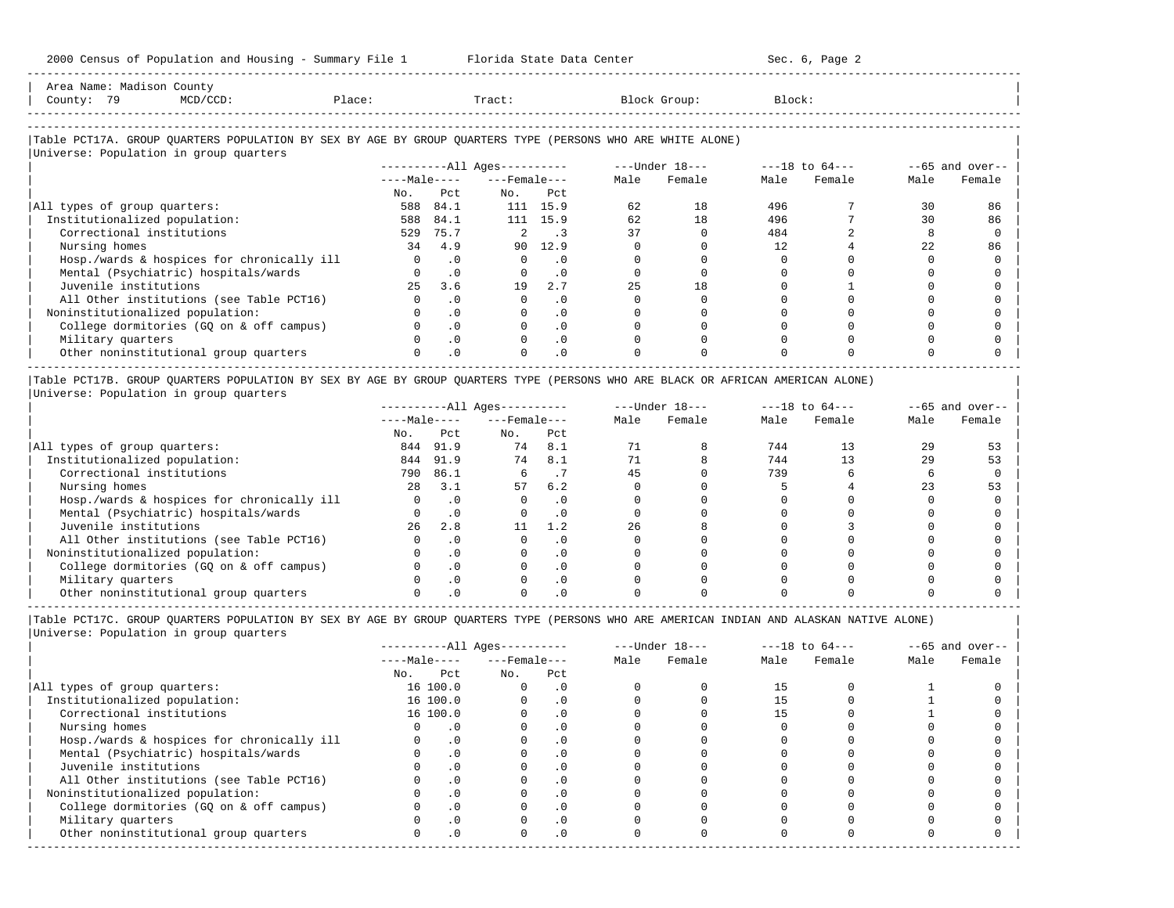| Area Name: Madison County<br>County: 79 | MCD/CCD:                                                                                                                                                                                                                                                                              | Place: | Tract:                                                                                                     | Block Group: | Block: |  |
|-----------------------------------------|---------------------------------------------------------------------------------------------------------------------------------------------------------------------------------------------------------------------------------------------------------------------------------------|--------|------------------------------------------------------------------------------------------------------------|--------------|--------|--|
|                                         |                                                                                                                                                                                                                                                                                       |        |                                                                                                            |              |        |  |
|                                         | $\frac{1}{2}$ , and $\frac{1}{2}$ , and $\frac{1}{2}$ , and $\frac{1}{2}$ , and $\frac{1}{2}$ , and $\frac{1}{2}$ , and $\frac{1}{2}$ , and $\frac{1}{2}$ , and $\frac{1}{2}$ , and $\frac{1}{2}$ , and $\frac{1}{2}$ , and $\frac{1}{2}$ , and $\frac{1}{2}$ , and $\frac{1}{2}$ , a |        | Table PCT17A. GROUP OUARTERS POPULATION BY SEX BY AGE BY GROUP OUARTERS TYPE (PERSONS WHO ARE WHITE ALONE) |              |        |  |

-----------------------------------------------------------------------------------------------------------------------------------------------------

|                                            |              |           | $------All Ages------$ |           |      | $---Under 18---$ | $---18$ to $64---$ |        | $--65$ and over-- |        |
|--------------------------------------------|--------------|-----------|------------------------|-----------|------|------------------|--------------------|--------|-------------------|--------|
|                                            | $---Male---$ |           | $---$ Female $---$     |           | Male | Female           | Male               | Female | Male              | Female |
|                                            | No.          | Pct       | No.                    | Pct       |      |                  |                    |        |                   |        |
| All types of group quarters:               | 588          | 84.1      |                        | 111 15.9  | 62   | 18               | 496                |        | 30                | 86     |
| Institutionalized population:              | 588          | 84.1      |                        | 111 15.9  | 62   | 18               | 496                |        | 30                | 86     |
| Correctional institutions                  | 529          | 75.7      |                        |           | 37   |                  | 484                |        |                   |        |
| Nursing homes                              | 34           | 4.9       | 90                     | 12.9      |      |                  | 12                 |        | 22                | 86     |
| Hosp./wards & hospices for chronically ill | $\Omega$     | $\cdot$ 0 | $\Omega$               | $\cdot$ 0 |      |                  |                    |        |                   |        |
| Mental (Psychiatric) hospitals/wards       |              | $\cdot$ 0 |                        | .0        |      |                  |                    |        |                   |        |
| Juvenile institutions                      | 25           | 3.6       | 19                     | 2.7       | 25   | 18               |                    |        |                   |        |
| All Other institutions (see Table PCT16)   | O.           | $\cdot$ 0 | $\Omega$               | $\cdot$ 0 |      |                  |                    |        |                   |        |
| Noninstitutionalized population:           |              | $\cdot$ 0 |                        | $\cdot$ 0 |      |                  |                    |        |                   |        |
| College dormitories (GQ on & off campus)   |              | $\cdot$ 0 |                        | $\cdot$ 0 |      |                  |                    |        |                   |        |
| Military quarters                          | $\Omega$     | $\cdot$ 0 | $\Omega$               | $\cdot$ 0 |      |                  |                    |        |                   |        |
| Other noninstitutional group quarters      | 0            | $\cdot$ 0 | $\Omega$               | $\cdot$ 0 |      |                  |                    |        |                   |        |

|Table PCT17B. GROUP QUARTERS POPULATION BY SEX BY AGE BY GROUP QUARTERS TYPE (PERSONS WHO ARE BLACK OR AFRICAN AMERICAN ALONE) | |Universe: Population in group quarters |

|                                            |              |           | $------All Ages------$ |           |      | $---Under 18---$ | $---18$ to $64---$ |        | $- -65$ and over-- |        |
|--------------------------------------------|--------------|-----------|------------------------|-----------|------|------------------|--------------------|--------|--------------------|--------|
|                                            | $---Male---$ |           | $---$ Female $---$     |           | Male | Female           | Male               | Female | Male               | Female |
|                                            | No.          | Pct       | No.                    | Pct       |      |                  |                    |        |                    |        |
| All types of group quarters:               | 844          | 91.9      | 74                     | 8.1       |      |                  | 744                |        | 29                 |        |
| Institutionalized population:              | 844          | 91.9      | 74                     | 8.1       |      |                  | 744                |        | 29                 | 53     |
| Correctional institutions                  | 790          | 86.1      |                        |           | 45   |                  | 739                |        |                    |        |
| Nursing homes                              | 2.8          | 3.1       | 57                     | 6.2       |      |                  |                    |        |                    |        |
| Hosp./wards & hospices for chronically ill |              | . 0       |                        | . 0       |      |                  |                    |        |                    |        |
| Mental (Psychiatric) hospitals/wards       |              |           |                        | . 0       |      |                  |                    |        |                    |        |
| Juvenile institutions                      | 26           | 2.8       |                        |           | 26   |                  |                    |        |                    |        |
| All Other institutions (see Table PCT16)   |              |           |                        | $\cdot$ 0 |      |                  |                    |        |                    |        |
| Noninstitutionalized population:           |              |           |                        | . 0       |      |                  |                    |        |                    |        |
| College dormitories (GO on & off campus)   |              | $\cdot$ 0 |                        | $\cdot$ 0 |      |                  |                    |        |                    |        |
| Military quarters                          |              |           |                        | . 0       |      |                  |                    |        |                    |        |
| Other noninstitutional group quarters      |              |           |                        |           |      |                  |                    |        |                    |        |

-----------------------------------------------------------------------------------------------------------------------------------------------------

|              |           |                                                  |            | $---Under 18---$                             |        | $---18$ to $64---$ |        | $--65$ and over-- |        |
|--------------|-----------|--------------------------------------------------|------------|----------------------------------------------|--------|--------------------|--------|-------------------|--------|
|              |           |                                                  |            | Male                                         | Female | Male               | Female | Male              | Female |
| No.          | Pct       | No.                                              | Pct        |                                              |        |                    |        |                   |        |
|              |           | $\Omega$                                         | . 0        |                                              |        |                    |        |                   |        |
|              |           |                                                  | $\cdot$ 0  |                                              |        |                    |        |                   |        |
|              |           |                                                  | $\cdot$ 0  |                                              |        |                    |        |                   |        |
|              |           |                                                  | . 0        |                                              |        |                    |        |                   |        |
|              |           |                                                  | . 0        |                                              |        |                    |        |                   |        |
|              | $\cdot$ 0 |                                                  | $\cdot$ 0  |                                              |        |                    |        |                   |        |
|              |           |                                                  | $\cdot$ 0  |                                              |        |                    |        |                   |        |
|              |           |                                                  | $\cdot$ 0  |                                              |        |                    |        |                   |        |
|              | $\cdot$ 0 |                                                  | $\Omega$ . |                                              |        |                    |        |                   |        |
|              |           |                                                  | $\cdot$ 0  |                                              |        |                    |        |                   |        |
|              | . 0       |                                                  | $\cdot$ 0  |                                              |        |                    |        |                   |        |
| <sup>n</sup> | $\cdot$ 0 |                                                  | $\cdot$ 0  |                                              |        |                    |        |                   |        |
|              |           | $---Male---$<br>16 100.0<br>16 100.0<br>16 100.0 |            | $------All Ages------$<br>$---$ Female $---$ |        |                    |        |                   |        |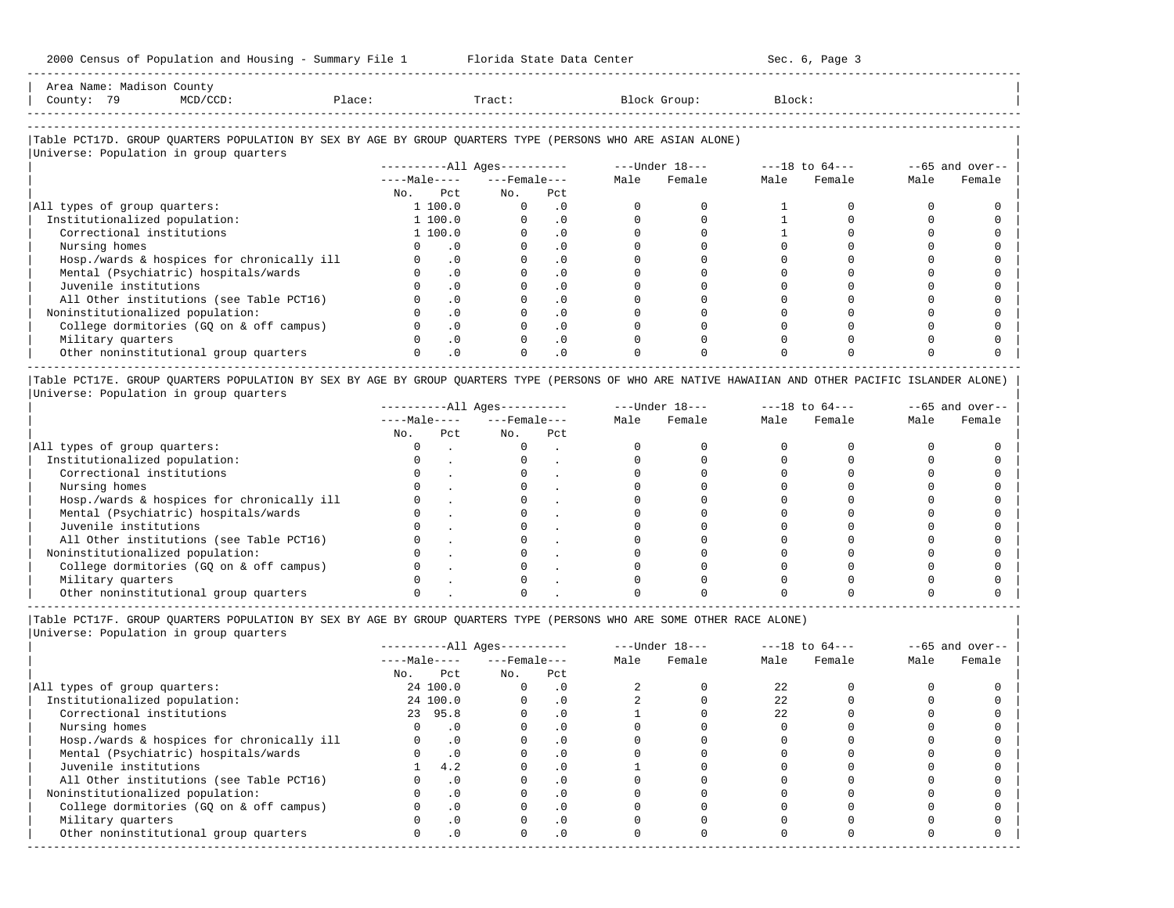| Area                     | $\cdot$ . Julie ,                                                               |        |       |                                                           |
|--------------------------|---------------------------------------------------------------------------------|--------|-------|-----------------------------------------------------------|
| County                   | the contract of the contract of the contract of the contract of the contract of | Place. | Tract | .lock:<br>the contract of the contract of the contract of |
| ------------------------ |                                                                                 |        |       |                                                           |

-----------------------------------------------------------------------------------------------------------------------------------------------------

#### |Table PCT17D. GROUP QUARTERS POPULATION BY SEX BY AGE BY GROUP QUARTERS TYPE (PERSONS WHO ARE ASIAN ALONE) | |<br>|Universe: Population in group quarters

|                                            |              |           |                    | $------All Ages------$<br>$---Under 18---$ |      |        |      | $---18$ to $64---$ | $--65$ and over-- |        |
|--------------------------------------------|--------------|-----------|--------------------|--------------------------------------------|------|--------|------|--------------------|-------------------|--------|
|                                            | $---Male---$ |           | $---$ Female $---$ |                                            | Male | Female | Male | Female             | Male              | Female |
|                                            | No.          | Pct       | No.                | Pct                                        |      |        |      |                    |                   |        |
| All types of group quarters:               |              | 1 100.0   |                    | . 0                                        |      |        |      |                    |                   |        |
| Institutionalized population:              |              | 1 100.0   |                    | $\cdot$ 0                                  |      |        |      |                    |                   |        |
| Correctional institutions                  |              | 1 100.0   |                    | $\cdot$ 0                                  |      |        |      |                    |                   |        |
| Nursing homes                              |              | $\cdot$ 0 |                    | . 0                                        |      |        |      |                    |                   |        |
| Hosp./wards & hospices for chronically ill |              | $\cdot$ 0 |                    | $\cdot$ 0                                  |      |        |      |                    |                   |        |
| Mental (Psychiatric) hospitals/wards       |              | $\cdot$ 0 |                    | $\cdot$ 0                                  |      |        |      |                    |                   |        |
| Juvenile institutions                      |              | . 0       |                    |                                            |      |        |      |                    |                   |        |
| All Other institutions (see Table PCT16)   |              | $\cdot$ 0 |                    | $\cdot$ 0                                  |      |        |      |                    |                   |        |
| Noninstitutionalized population:           |              | $\cdot$ 0 |                    |                                            |      |        |      |                    |                   |        |
| College dormitories (GO on & off campus)   |              | $\cdot$ 0 |                    | $\cdot$ 0                                  |      |        |      |                    |                   |        |
| Military quarters                          |              | $\cdot$ 0 |                    | $\cdot$ 0                                  |      |        |      |                    |                   |        |
| Other noninstitutional group quarters      |              | $\cdot$ 0 |                    | $\cdot$ 0                                  |      |        |      |                    |                   |        |

|Table PCT17E. GROUP QUARTERS POPULATION BY SEX BY AGE BY GROUP QUARTERS TYPE (PERSONS OF WHO ARE NATIVE HAWAIIAN AND OTHER PACIFIC ISLANDER ALONE) | |Universe: Population in group quarters |

|                                            |              |     | $------All Aqes------$ |     |      | $---Under 18---$ | $---18$ to $64---$ |        | $--65$ and over-- |        |
|--------------------------------------------|--------------|-----|------------------------|-----|------|------------------|--------------------|--------|-------------------|--------|
|                                            | $---Male---$ |     | $---$ Female $---$     |     | Male | Female           | Male               | Female | Male              | Female |
|                                            | No.          | Pct | No.                    | Pct |      |                  |                    |        |                   |        |
| All types of group quarters:               |              |     |                        |     |      |                  |                    |        |                   |        |
| Institutionalized population:              |              |     |                        |     |      |                  |                    |        |                   |        |
| Correctional institutions                  |              |     |                        |     |      |                  |                    |        |                   |        |
| Nursing homes                              |              |     |                        |     |      |                  |                    |        |                   |        |
| Hosp./wards & hospices for chronically ill |              |     |                        |     |      |                  |                    |        |                   |        |
| Mental (Psychiatric) hospitals/wards       |              |     |                        |     |      |                  |                    |        |                   |        |
| Juvenile institutions                      |              |     |                        |     |      |                  |                    |        |                   |        |
| All Other institutions (see Table PCT16)   |              |     |                        |     |      |                  |                    |        |                   |        |
| Noninstitutionalized population:           |              |     |                        |     |      |                  |                    |        |                   |        |
| College dormitories (GO on & off campus)   |              |     |                        |     |      |                  |                    |        |                   |        |
| Military quarters                          |              |     |                        |     |      |                  |                    |        |                   |        |
| Other noninstitutional group quarters      |              |     |                        |     |      |                  |                    |        |                   |        |

----------------------------------------------------------------------------------------------------------------------------------------------------- |Table PCT17F. GROUP QUARTERS POPULATION BY SEX BY AGE BY GROUP QUARTERS TYPE (PERSONS WHO ARE SOME OTHER RACE ALONE) |

|                                            |     |              | $------All Ages------$ |           |      | $---Under 18---$ |      | $---18$ to $64---$ |      | $--65$ and over-- |
|--------------------------------------------|-----|--------------|------------------------|-----------|------|------------------|------|--------------------|------|-------------------|
|                                            |     | $---Male---$ | $---$ Female $---$     |           | Male | Female           | Male | Female             | Male | Female            |
|                                            | No. | Pct          | No.                    | Pct       |      |                  |      |                    |      |                   |
| All types of group quarters:               |     | 24 100.0     | $\Omega$               | $\cdot$ 0 |      |                  | 22   |                    |      |                   |
| Institutionalized population:              |     | 24 100.0     |                        | $\cdot$ 0 |      |                  | 22   |                    |      |                   |
| Correctional institutions                  |     | 23 95.8      |                        | $\cdot$ 0 |      |                  | 22   |                    |      |                   |
| Nursing homes                              |     | $\cdot$ 0    |                        | $\cdot$ 0 |      |                  |      |                    |      |                   |
| Hosp./wards & hospices for chronically ill |     | $\cdot$ 0    |                        |           |      |                  |      |                    |      |                   |
| Mental (Psychiatric) hospitals/wards       |     | $\cdot$ 0    |                        | . 0       |      |                  |      |                    |      |                   |
| Juvenile institutions                      |     | 4.2          |                        | $\cdot$ 0 |      |                  |      |                    |      |                   |
| All Other institutions (see Table PCT16)   |     | $\cdot$ 0    |                        | $\cdot$ 0 |      |                  |      |                    |      |                   |
| Noninstitutionalized population:           |     | $\cdot$ 0    |                        | $\cdot$ 0 |      |                  |      |                    |      |                   |
| College dormitories (GQ on & off campus)   |     | $\cdot$ 0    |                        |           |      |                  |      |                    |      |                   |
| Military quarters                          |     | $\cdot$ 0    |                        | $\cdot$ 0 |      |                  |      |                    |      |                   |
| Other noninstitutional group quarters      |     | $\cdot$ 0    | $\Omega$               | $\cdot$ 0 |      |                  |      |                    |      |                   |
|                                            |     |              |                        |           |      |                  |      |                    |      |                   |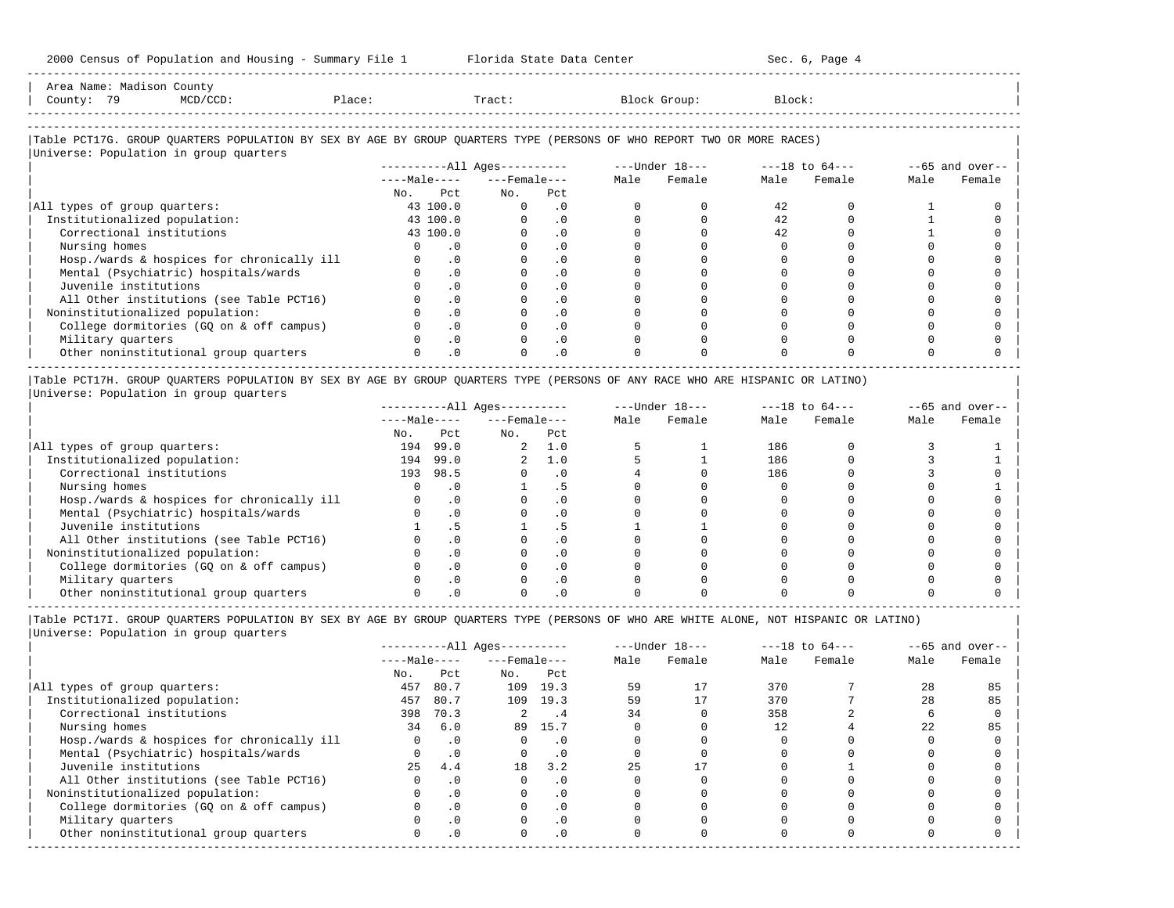| Area Name: Madison County<br>County: 79<br>MCD/CCD:                                                                                                              | Place: |                             | Tract:                       |                             |      | Block Group:   | Block:             |        |      |                   |
|------------------------------------------------------------------------------------------------------------------------------------------------------------------|--------|-----------------------------|------------------------------|-----------------------------|------|----------------|--------------------|--------|------|-------------------|
| Table PCT17G. GROUP OUARTERS POPULATION BY SEX BY AGE BY GROUP OUARTERS TYPE (PERSONS OF WHO REPORT TWO OR MORE RACES)<br>Universe: Population in group quarters |        |                             |                              |                             |      |                |                    |        |      |                   |
|                                                                                                                                                                  |        |                             | ----------All Ages---------- |                             |      | ---Under 18--- | $---18$ to $64---$ |        |      | $--65$ and over-- |
|                                                                                                                                                                  |        |                             | $---Male-- ---Female$        |                             | Male | Female         | Male               | Female | Male | Female            |
|                                                                                                                                                                  |        | No. Pct                     | No.                          | Pct                         |      |                |                    |        |      |                   |
| All types of group quarters:                                                                                                                                     |        | 43 100.0                    | $\circ$                      | $\overline{\phantom{0}}$ .0 |      |                | 42                 |        |      |                   |
| Institutionalized population:                                                                                                                                    |        | 43 100.0                    | $\Omega$                     | $\cdot$ 0                   |      |                | 42                 |        |      |                   |
| Correctional institutions                                                                                                                                        |        | 43 100.0                    | $\Omega$                     | $\cdot$ 0                   |      |                | 42                 |        |      |                   |
| Nursing homes                                                                                                                                                    | 0      | $\overline{\phantom{0}}$ .0 | $\mathbf{0}$                 | $\cdot$ 0                   |      |                |                    |        |      |                   |
| Hosp./wards & hospices for chronically ill                                                                                                                       |        | $0 \qquad .0$               | $\Omega$                     | $\cdot$ 0                   |      |                |                    |        |      |                   |
| Mental (Psychiatric) hospitals/wards                                                                                                                             |        | $\cdot$ 0                   |                              | $\cdot$ 0                   |      |                |                    |        |      |                   |

| Juvenile institutions                    |                |  |  |  |  |
|------------------------------------------|----------------|--|--|--|--|
| All Other institutions (see Table PCT16) |                |  |  |  |  |
| Noninstitutionalized population:         |                |  |  |  |  |
| College dormitories (GQ on & off campus) |                |  |  |  |  |
| Military quarters                        |                |  |  |  |  |
| Other noninstitutional group quarters    | $\therefore$ 0 |  |  |  |  |
|                                          |                |  |  |  |  |

|Table PCT17H. GROUP QUARTERS POPULATION BY SEX BY AGE BY GROUP QUARTERS TYPE (PERSONS OF ANY RACE WHO ARE HISPANIC OR LATINO) | |Universe: Population in group quarters |

|                                            |              |      | $------All Ages------$ |     |      | $---Under 18---$ |      | $---18$ to $64---$ |      | $--65$ and over-- |
|--------------------------------------------|--------------|------|------------------------|-----|------|------------------|------|--------------------|------|-------------------|
|                                            | $---Male---$ |      | $---$ Female $---$     |     | Male | Female           | Male | Female             | Male | Female            |
|                                            | No.          | Pct  | No.                    | Pct |      |                  |      |                    |      |                   |
| All types of group quarters:               | 194          | 99.0 | $\overline{a}$         | 1.0 |      |                  | 186  |                    |      |                   |
| Institutionalized population:              | 194          | 99.0 | 2.                     | 1.0 |      |                  | 186  |                    |      |                   |
| Correctional institutions                  | 193          | 98.5 |                        |     |      |                  | 186  |                    |      |                   |
| Nursing homes                              |              |      |                        |     |      |                  |      |                    |      |                   |
| Hosp./wards & hospices for chronically ill |              |      |                        |     |      |                  |      |                    |      |                   |
| Mental (Psychiatric) hospitals/wards       |              |      |                        |     |      |                  |      |                    |      |                   |
| Juvenile institutions                      |              |      |                        |     |      |                  |      |                    |      |                   |
| All Other institutions (see Table PCT16)   |              |      |                        |     |      |                  |      |                    |      |                   |
| Noninstitutionalized population:           |              |      |                        | . 0 |      |                  |      |                    |      |                   |
| College dormitories (GO on & off campus)   |              |      |                        |     |      |                  |      |                    |      |                   |
| Military quarters                          |              |      |                        | . 0 |      |                  |      |                    |      |                   |
| Other noninstitutional group quarters      |              |      |                        |     |      |                  |      |                    |      |                   |

-----------------------------------------------------------------------------------------------------------------------------------------------------

|                                            |              |           | $------All Aqes------$ |           |      | $---Under 18---$ |      | $---18$ to $64---$ |      | $--65$ and over-- |
|--------------------------------------------|--------------|-----------|------------------------|-----------|------|------------------|------|--------------------|------|-------------------|
|                                            | $---Male---$ |           | $---$ Female $---$     |           | Male | Female           | Male | Female             | Male | Female            |
|                                            | No.          | Pct       | No.                    | Pct       |      |                  |      |                    |      |                   |
| All types of group quarters:               | 457          | 80.7      | 109                    | 19.3      | 59   |                  | 370  |                    | 2.8  | 85                |
| Institutionalized population:              | 457          | 80.7      | 109                    | 19.3      | 59   |                  | 370  |                    | 28   | 85                |
| Correctional institutions                  | 398          | 70.3      | 2.                     | . 4       | 34   |                  | 358  |                    |      |                   |
| Nursing homes                              | 34           | 6.0       | 89                     | 15.7      |      |                  |      |                    | 2.2  | 85                |
| Hosp./wards & hospices for chronically ill |              | $\cdot$ 0 |                        | . 0       |      |                  |      |                    |      |                   |
| Mental (Psychiatric) hospitals/wards       |              | $\cdot$ 0 |                        | $\cdot$ 0 |      |                  |      |                    |      |                   |
| Juvenile institutions                      | 25           | 4.4       | 18                     | 3.2       | 25   |                  |      |                    |      |                   |
| All Other institutions (see Table PCT16)   |              | $\cdot$ 0 |                        | . 0       |      |                  |      |                    |      |                   |
| Noninstitutionalized population:           |              | $\cdot$ 0 | O.                     | $\cdot$ 0 |      |                  |      |                    |      |                   |
| College dormitories (GQ on & off campus)   |              | $\cdot$ 0 |                        | $\cdot$ 0 |      |                  |      |                    |      |                   |
| Military quarters                          |              | $\cdot$ 0 |                        | . 0       |      |                  |      |                    |      |                   |
| Other noninstitutional group quarters      |              | $\cdot$ 0 | O.                     | $\cdot$ 0 |      |                  |      |                    |      |                   |
|                                            |              |           |                        |           |      |                  |      |                    |      |                   |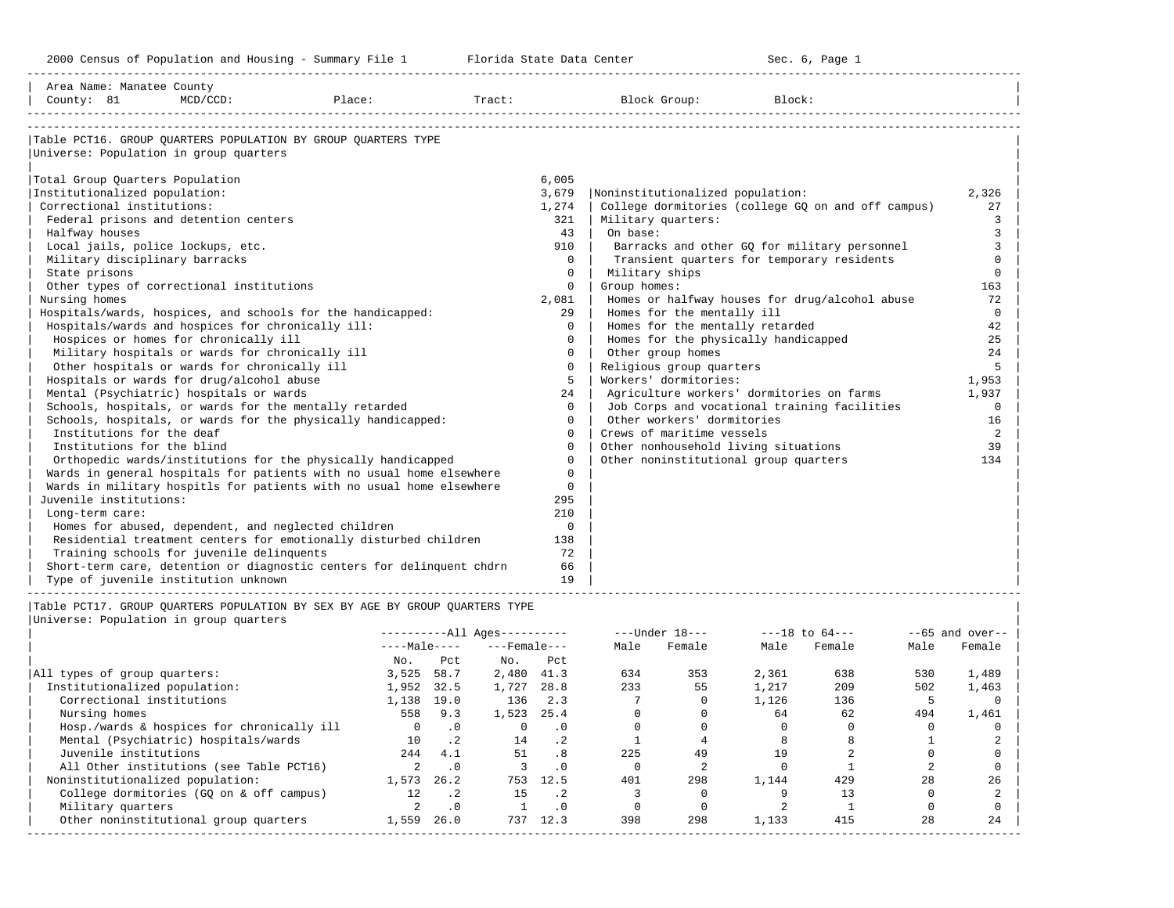| Area Name: Manatee County<br>County: 81                    | $MCD/CCD$ :                                         | Place:                                                                      |                          | Tract:                       |                          |                       | Block Group:                          | Block:         |                                                    |                              |                    |
|------------------------------------------------------------|-----------------------------------------------------|-----------------------------------------------------------------------------|--------------------------|------------------------------|--------------------------|-----------------------|---------------------------------------|----------------|----------------------------------------------------|------------------------------|--------------------|
|                                                            |                                                     |                                                                             |                          |                              |                          |                       |                                       |                |                                                    |                              |                    |
|                                                            |                                                     |                                                                             |                          |                              |                          |                       |                                       |                |                                                    |                              |                    |
|                                                            |                                                     | Table PCT16. GROUP QUARTERS POPULATION BY GROUP QUARTERS TYPE               |                          |                              |                          |                       |                                       |                |                                                    |                              |                    |
| Universe: Population in group quarters                     |                                                     |                                                                             |                          |                              |                          |                       |                                       |                |                                                    |                              |                    |
|                                                            |                                                     |                                                                             |                          |                              |                          |                       |                                       |                |                                                    |                              |                    |
| Total Group Quarters Population                            |                                                     |                                                                             |                          |                              | 6,005                    |                       |                                       |                |                                                    |                              |                    |
| Institutionalized population:                              |                                                     |                                                                             |                          |                              | 3,679                    |                       | Noninstitutionalized population:      |                |                                                    |                              | 2,326              |
| Correctional institutions:                                 |                                                     |                                                                             |                          |                              | 1,274                    |                       |                                       |                | College dormitories (college GQ on and off campus) |                              | 27                 |
|                                                            | Federal prisons and detention centers               |                                                                             |                          |                              | 321                      |                       | Military quarters:                    |                |                                                    |                              | 3                  |
| Halfway houses                                             |                                                     |                                                                             |                          |                              | 43                       | On base:              |                                       |                |                                                    |                              | $\overline{3}$     |
| Local jails, police lockups, etc.                          |                                                     |                                                                             |                          |                              | 910                      |                       |                                       |                | Barracks and other GO for military personnel       |                              | 3                  |
| Military disciplinary barracks                             |                                                     |                                                                             |                          |                              | $\circ$                  |                       |                                       |                | Transient quarters for temporary residents         |                              | $\mathbf 0$        |
| State prisons                                              |                                                     |                                                                             |                          |                              | $\mathbf{0}$<br>$\Omega$ |                       | Military ships                        |                |                                                    |                              | $\mathbf 0$        |
| Nursing homes                                              | Other types of correctional institutions            |                                                                             |                          |                              | 2,081                    | Group homes:          |                                       |                | Homes or halfway houses for drug/alcohol abuse     |                              | 163<br>72          |
|                                                            |                                                     | Hospitals/wards, hospices, and schools for the handicapped:                 |                          |                              | 29                       |                       | Homes for the mentally ill            |                |                                                    |                              | $\Omega$           |
|                                                            | Hospitals/wards and hospices for chronically ill:   |                                                                             |                          |                              | $\Omega$                 |                       | Homes for the mentally retarded       |                |                                                    |                              | 42                 |
|                                                            | Hospices or homes for chronically ill               |                                                                             |                          |                              | $\Omega$                 |                       | Homes for the physically handicapped  |                |                                                    |                              | 25                 |
|                                                            | Military hospitals or wards for chronically ill     |                                                                             |                          |                              | 0                        |                       | Other group homes                     |                |                                                    |                              | 24                 |
|                                                            | Other hospitals or wards for chronically ill        |                                                                             |                          |                              | $\Omega$                 |                       | Religious group quarters              |                |                                                    |                              | 5                  |
|                                                            | Hospitals or wards for drug/alcohol abuse           |                                                                             |                          |                              | 5                        |                       | Workers' dormitories:                 |                |                                                    |                              | 1,953              |
|                                                            | Mental (Psychiatric) hospitals or wards             |                                                                             |                          |                              | 24                       |                       |                                       |                | Agriculture workers' dormitories on farms          |                              | 1,937              |
|                                                            |                                                     | Schools, hospitals, or wards for the mentally retarded                      |                          |                              | $\mathbf 0$              |                       |                                       |                | Job Corps and vocational training facilities       |                              | $\mathbf 0$        |
|                                                            |                                                     | Schools, hospitals, or wards for the physically handicapped:                |                          |                              | $\mathbf 0$              |                       | Other workers' dormitories            |                |                                                    |                              | 16                 |
| Institutions for the deaf                                  |                                                     |                                                                             |                          |                              | $\Omega$                 |                       | Crews of maritime vessels             |                |                                                    |                              | 2                  |
| Institutions for the blind                                 |                                                     |                                                                             |                          |                              | $\Omega$                 |                       | Other nonhousehold living situations  |                |                                                    |                              | 39                 |
|                                                            |                                                     | Orthopedic wards/institutions for the physically handicapped                |                          |                              | $\Omega$                 |                       | Other noninstitutional group quarters |                |                                                    |                              | 134                |
|                                                            |                                                     | Wards in general hospitals for patients with no usual home elsewhere        |                          |                              | $\Omega$                 |                       |                                       |                |                                                    |                              |                    |
| Juvenile institutions:                                     |                                                     | Wards in military hospitls for patients with no usual home elsewhere        |                          |                              | $\mathbf 0$<br>295       |                       |                                       |                |                                                    |                              |                    |
| Long-term care:                                            |                                                     |                                                                             |                          |                              | 210                      |                       |                                       |                |                                                    |                              |                    |
|                                                            | Homes for abused, dependent, and neglected children |                                                                             |                          |                              | $\mathbf 0$              |                       |                                       |                |                                                    |                              |                    |
|                                                            |                                                     | Residential treatment centers for emotionally disturbed children            |                          |                              | 138                      |                       |                                       |                |                                                    |                              |                    |
|                                                            | Training schools for juvenile delinquents           |                                                                             |                          |                              | 72                       |                       |                                       |                |                                                    |                              |                    |
|                                                            |                                                     | Short-term care, detention or diagnostic centers for delinquent chdrn       |                          |                              | 66                       |                       |                                       |                |                                                    |                              |                    |
|                                                            | Type of juvenile institution unknown                |                                                                             |                          |                              | 19                       |                       |                                       |                |                                                    |                              |                    |
|                                                            |                                                     |                                                                             |                          |                              |                          |                       |                                       |                |                                                    |                              |                    |
|                                                            |                                                     | Table PCT17. GROUP QUARTERS POPULATION BY SEX BY AGE BY GROUP QUARTERS TYPE |                          |                              |                          |                       |                                       |                |                                                    |                              |                    |
| Universe: Population in group quarters                     |                                                     |                                                                             |                          |                              |                          |                       |                                       |                |                                                    |                              |                    |
|                                                            |                                                     |                                                                             |                          | ----------All Ages---------- |                          |                       | ---Under 18---                        |                | $---18$ to $64---$                                 |                              | $- -65$ and over-- |
|                                                            |                                                     |                                                                             |                          | $---Male-- ---Female---$     |                          |                       | Male Female                           |                | Male Female                                        | Male                         | Female             |
|                                                            |                                                     | No.                                                                         | Pct                      | $NQ$ .                       | Pct                      |                       |                                       |                |                                                    |                              |                    |
| All types of group quarters:                               |                                                     |                                                                             |                          | 3,525 58.7 2,480 41.3        |                          | 634                   | 353                                   | 2,361          | 638                                                | 530                          | 1,489              |
| Institutionalized population:<br>Correctional institutions |                                                     |                                                                             | 1,952 32.5<br>1,138 19.0 | 1,727 28.8                   | 136 2.3                  | 233<br>$\overline{7}$ | 55<br>$\Omega$                        | 1,217<br>1,126 | 209<br>136                                         | 502<br>5                     | 1,463<br>$\Omega$  |
| $M_{11}$ and $m \sim 1$ americal sets of $M_{11}$          |                                                     |                                                                             | $F F Q$ $Q Q$            | 1.522.75                     |                          | $\sim$ 0              | $\sim$                                | CA             | $\epsilon$                                         | $\Lambda$ $\Omega$ $\Lambda$ | 1.001              |

| Institutionalized population:              | 1,952 | 32.5      | 1,727 | 28.8      | 233 | 55  | $\perp$ , 217 | 209 | 502 | 1,463 |
|--------------------------------------------|-------|-----------|-------|-----------|-----|-----|---------------|-----|-----|-------|
| Correctional institutions                  | 1,138 | 19.0      | 136   | 2.3       |     |     | 1,126         | 136 |     |       |
| Nursing homes                              | 558   | 9.3       | 1,523 | 25.4      |     |     | 64            | 62  | 494 | 1,461 |
| Hosp./wards & hospices for chronically ill |       |           |       |           |     |     |               |     |     |       |
| Mental (Psychiatric) hospitals/wards       | 10    | $\cdot$ 2 | 14    | $\cdot$ 2 |     |     |               |     |     |       |
| Juvenile institutions                      | 244   | 4.1       | 51    | . 8       | 225 | 49  |               |     |     |       |
| All Other institutions (see Table PCT16)   |       |           |       |           |     |     |               |     |     |       |
| Noninstitutionalized population:           | 1.573 | 26.2      | 753   | 12.5      | 401 | 298 | 1,144         | 429 | 28  | 26    |
| College dormitories (GO on & off campus)   | 12    | $\cdot$ 2 | 15    | . 2       |     |     |               |     |     |       |
| Military quarters                          |       |           |       |           |     |     |               |     |     |       |
| Other noninstitutional group quarters      | L.559 | 26.0      | 737   | 12.3      | 398 | 298 | 1,133         | 415 | 28  | 24    |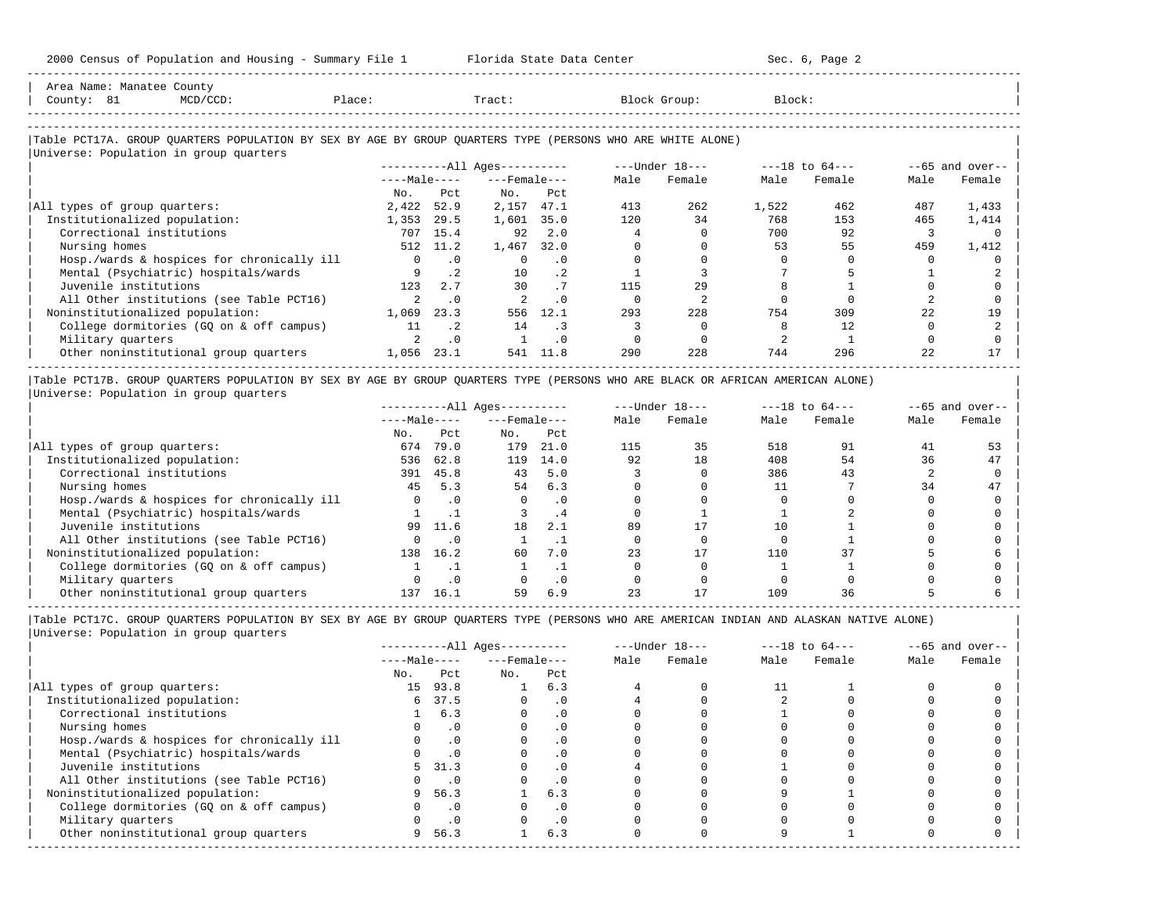| Area Name: Manatee County                                                                                  |              |              |                        |           |      |                |        |                    |      |                   |
|------------------------------------------------------------------------------------------------------------|--------------|--------------|------------------------|-----------|------|----------------|--------|--------------------|------|-------------------|
| County: 81<br>$MCD/CCD$ :                                                                                  | Place:       |              | Tract:                 |           |      | Block Group:   | Block: |                    |      |                   |
|                                                                                                            |              |              |                        |           |      |                |        |                    |      |                   |
| Table PCT17A. GROUP QUARTERS POPULATION BY SEX BY AGE BY GROUP QUARTERS TYPE (PERSONS WHO ARE WHITE ALONE) |              |              |                        |           |      |                |        |                    |      |                   |
| Universe: Population in group quarters                                                                     |              |              |                        |           |      |                |        |                    |      |                   |
|                                                                                                            |              |              | $------All Aqes------$ |           |      | ---Under 18--- |        | $---18$ to $64---$ |      | $--65$ and over-- |
|                                                                                                            |              | $---Male---$ | $---$ Female $---$     |           | Male | Female         | Male   | Female             | Male | Female            |
|                                                                                                            | No.          | Pct          | No.                    | Pct       |      |                |        |                    |      |                   |
| All types of group quarters:                                                                               | 2,422        | 52.9         | 2,157                  | 47.1      | 413  | 262            | 1,522  | 462                | 487  | 1,433             |
| Institutionalized population:                                                                              | 1,353        | 29.5         | 1,601 35.0             |           | 120  | 34             | 768    | 153                | 465  | 1,414             |
| Correctional institutions                                                                                  | 707          | 15.4         | 92                     | 2.0       |      |                | 700    | 92                 |      |                   |
| Nursing homes                                                                                              |              | 512 11.2     | 1,467                  | 32.0      |      |                | 53     | 55                 | 459  | 1,412             |
| Hosp./wards & hospices for chronically ill                                                                 | $\mathbf{0}$ | $\cdot$ 0    |                        | $\cdot$ 0 |      |                |        |                    |      |                   |
| Mental (Psychiatric) hospitals/wards                                                                       |              | $\cdot$ 2    | 10                     | $\cdot$ 2 |      |                |        |                    |      |                   |
| Juvenile institutions                                                                                      | 123          | 2.7          | 30                     | .7        | 115  | 29             |        |                    |      |                   |
| All Other institutions (see Table PCT16)                                                                   | 2            | $\cdot$ 0    |                        | $\cdot$ 0 |      |                |        |                    |      |                   |
| Noninstitutionalized population:                                                                           | 1,069        | 23.3         | 556                    | 12.1      | 293  | 228            | 754    | 309                | 22   | 19                |
| College dormitories (GQ on & off campus)                                                                   | 11           | $\cdot$ 2    | 14                     | $\cdot$ 3 |      |                |        | 12.                |      |                   |
| Military quarters                                                                                          |              | $\cdot$ 0    |                        | . 0       |      |                |        |                    |      |                   |
| Other noninstitutional group quarters                                                                      | 1,056 23.1   |              | 541                    | 11.8      | 290  | 228            | 744    | 296                | 22   |                   |

|Table PCT17B. GROUP QUARTERS POPULATION BY SEX BY AGE BY GROUP QUARTERS TYPE (PERSONS WHO ARE BLACK OR AFRICAN AMERICAN ALONE) | |Universe: Population in group quarters |

-----------------------------------------------------------------------------------------------------------------------------------------------------

|                                            |              |           | $------All Aqes------$ |      |      | $---Under 18---$ |      | $---18$ to $64---$ |      | $- -65$ and over-- |
|--------------------------------------------|--------------|-----------|------------------------|------|------|------------------|------|--------------------|------|--------------------|
|                                            | $---Male---$ |           | $---$ Female $---$     |      | Male | Female           | Male | Female             | Male | Female             |
|                                            | No.          | Pct       | No.                    | Pct  |      |                  |      |                    |      |                    |
| All types of group quarters:               | 674          | 79.0      | 179                    | 21.0 | 115  | 35               | 518  | 91                 | 41   |                    |
| Institutionalized population:              | 536          | 62.8      | 119                    | 14.0 | 92   | 18               | 408  | 54                 | 36   | 47                 |
| Correctional institutions                  | 391          | 45.8      | 43                     | 5.0  |      |                  | 386  | 43                 |      |                    |
| Nursing homes                              | 45           | 5.3       | 54                     | 6.3  |      |                  |      |                    | 34   | 47                 |
| Hosp./wards & hospices for chronically ill |              | . 0       |                        | . 0  |      |                  |      |                    |      |                    |
| Mental (Psychiatric) hospitals/wards       |              |           |                        | . 4  |      |                  |      |                    |      |                    |
| Juvenile institutions                      | 99           | 11.6      | 18                     | 2.1  | 89   |                  |      |                    |      |                    |
| All Other institutions (see Table PCT16)   |              | $\cdot$ 0 |                        |      |      |                  |      |                    |      |                    |
| Noninstitutionalized population:           | 138          | 16.2      | 60                     | 7.0  | 23   |                  | 110  | 37                 |      |                    |
| College dormitories (GO on & off campus)   |              |           |                        |      |      |                  |      |                    |      |                    |
| Military quarters                          |              | . 0       |                        | . 0  |      |                  |      |                    |      |                    |
| Other noninstitutional group quarters      | 137          | 16.1      | 59                     | 6.9  |      |                  | 109  | 36                 |      |                    |

-----------------------------------------------------------------------------------------------------------------------------------------------------

|                                            |              |           | $------All Aqes------$ |           |      | $---Under 18---$ |      | $---18$ to $64---$ |      | $--65$ and over-- |
|--------------------------------------------|--------------|-----------|------------------------|-----------|------|------------------|------|--------------------|------|-------------------|
|                                            | $---Male---$ |           | $---$ Female $---$     |           | Male | Female           | Male | Female             | Male | Female            |
|                                            | No.          | Pct       | No.                    | Pct       |      |                  |      |                    |      |                   |
| All types of group quarters:               | 15           | 93.8      |                        | 6.3       |      |                  |      |                    |      |                   |
| Institutionalized population:              | 6            | 37.5      |                        | . 0       |      |                  |      |                    |      |                   |
| Correctional institutions                  |              | 6.3       |                        | . 0       |      |                  |      |                    |      |                   |
| Nursing homes                              |              |           |                        | . 0       |      |                  |      |                    |      |                   |
| Hosp./wards & hospices for chronically ill |              | $\cdot$ 0 |                        |           |      |                  |      |                    |      |                   |
| Mental (Psychiatric) hospitals/wards       |              | .0        |                        | . 0       |      |                  |      |                    |      |                   |
| Juvenile institutions                      | 5.           | 31.3      |                        | $\cdot$ 0 |      |                  |      |                    |      |                   |
| All Other institutions (see Table PCT16)   |              | $\cdot$ 0 |                        |           |      |                  |      |                    |      |                   |
| Noninstitutionalized population:           | 9            | 56.3      |                        | 6.3       |      |                  |      |                    |      |                   |
| College dormitories (GQ on & off campus)   |              | $\cdot$ 0 |                        | . 0       |      |                  |      |                    |      |                   |
| Military quarters                          |              | $\cdot$ 0 |                        | $\cdot$ 0 |      |                  |      |                    |      |                   |
| Other noninstitutional group quarters      | 9            | 56.3      |                        | 6.3       |      |                  |      |                    |      |                   |
|                                            |              |           |                        |           |      |                  |      |                    |      |                   |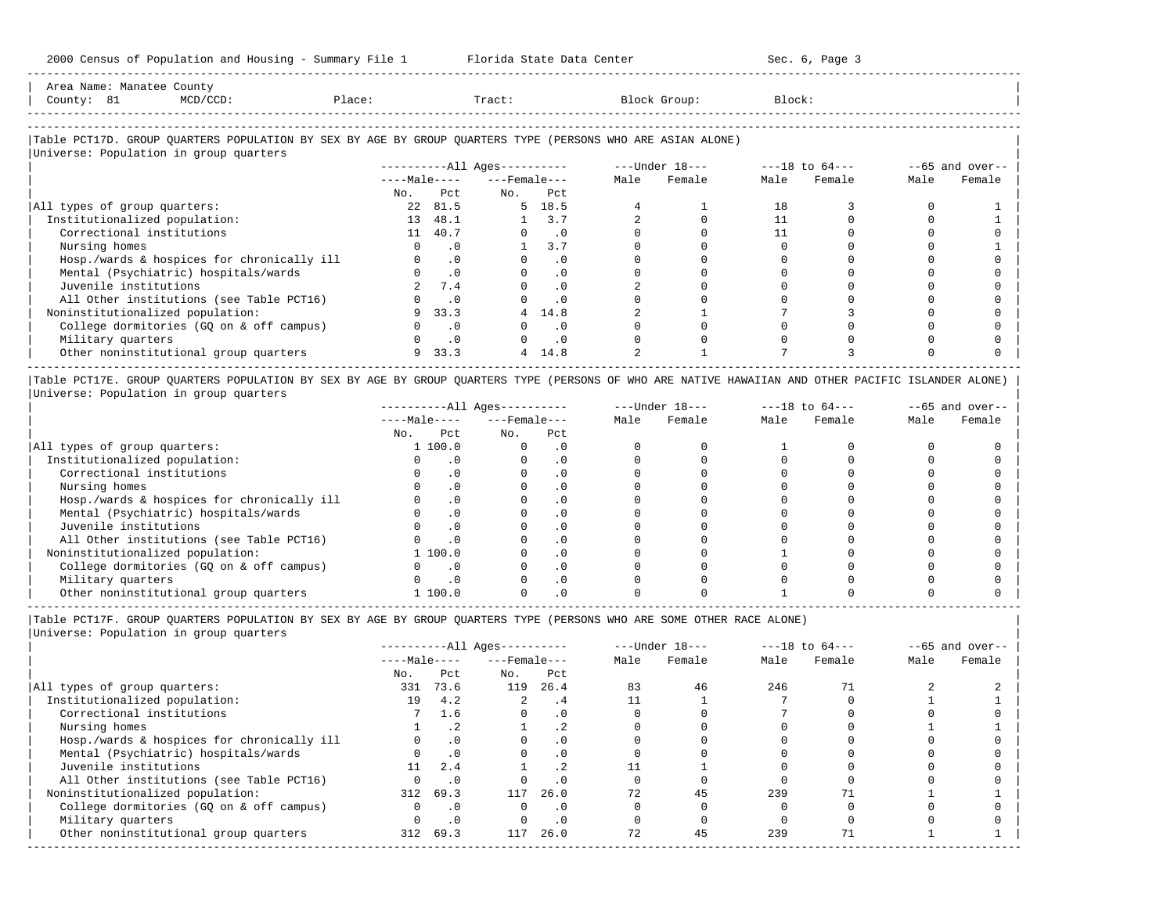| Area<br>Name       | Mallate | COUILL.                                                                         |                |  |     |
|--------------------|---------|---------------------------------------------------------------------------------|----------------|--|-----|
| Count <sup>,</sup> | ັ້      | the contract of the contract of the contract of the contract of the contract of | $\overline{a}$ |  | ددب |
|                    |         |                                                                                 |                |  |     |

-----------------------------------------------------------------------------------------------------------------------------------------------------

-----------------------------------------------------------------------------------------------------------------------------------------------------

## |Table PCT17D. GROUP QUARTERS POPULATION BY SEX BY AGE BY GROUP QUARTERS TYPE (PERSONS WHO ARE ASIAN ALONE) |

|                                            |              |           | $------All Ages------$ |                |      | ---Under 18--- |      | $---18$ to $64---$ |      | $--65$ and over-- |
|--------------------------------------------|--------------|-----------|------------------------|----------------|------|----------------|------|--------------------|------|-------------------|
|                                            | $---Male---$ |           | $---$ Female $---$     |                | Male | Female         | Male | Female             | Male | Female            |
|                                            | No.          | Pct       | No.                    | Pct            |      |                |      |                    |      |                   |
| All types of group quarters:               | 22           | 81.5      |                        | $5 \quad 18.5$ |      |                | 18   |                    |      |                   |
| Institutionalized population:              | 13           | 48.1      |                        | 3.7            |      |                |      |                    |      |                   |
| Correctional institutions                  | 11           | 40.7      |                        | $\cdot$ 0      |      |                |      |                    |      |                   |
| Nursing homes                              |              | $\cdot$ 0 |                        | 3.7            |      |                |      |                    |      |                   |
| Hosp./wards & hospices for chronically ill |              | $\cdot$ 0 |                        | $\cdot$ 0      |      |                |      |                    |      |                   |
| Mental (Psychiatric) hospitals/wards       |              | $\cdot$ 0 |                        | $\cdot$ 0      |      |                |      |                    |      |                   |
| Juvenile institutions                      |              | 7.4       |                        | $\cdot$ 0      |      |                |      |                    |      |                   |
| All Other institutions (see Table PCT16)   |              | $\cdot$ 0 |                        | $\cdot$ 0      |      |                |      |                    |      |                   |
| Noninstitutionalized population:           |              | 33.3      | 4                      | 14.8           |      |                |      |                    |      |                   |
| College dormitories (GQ on & off campus)   |              | $\cdot$ 0 |                        | $\cdot$ 0      |      |                |      |                    |      |                   |
| Military quarters                          |              | $\cdot$ 0 |                        | $\cdot$ 0      |      |                |      |                    |      |                   |
| Other noninstitutional group quarters      | 9            | 33.3      |                        | 4 14.8         |      |                |      |                    |      |                   |

|Table PCT17E. GROUP QUARTERS POPULATION BY SEX BY AGE BY GROUP QUARTERS TYPE (PERSONS OF WHO ARE NATIVE HAWAIIAN AND OTHER PACIFIC ISLANDER ALONE) | |Universe: Population in group quarters |

|                                            |              |          | $------All Aqes------$ |           |      | $---Under 18---$ |      | $---18$ to $64---$ |      | $--65$ and over-- |
|--------------------------------------------|--------------|----------|------------------------|-----------|------|------------------|------|--------------------|------|-------------------|
|                                            | $---Male---$ |          | $---$ Female $---$     |           | Male | Female           | Male | Female             | Male | Female            |
|                                            | No.          | Pct      | No.                    | Pct       |      |                  |      |                    |      |                   |
| All types of group quarters:               |              | 1 100.0  |                        | $\cdot$ 0 |      |                  |      |                    |      |                   |
| Institutionalized population:              |              |          |                        | . 0       |      |                  |      |                    |      |                   |
| Correctional institutions                  |              | . 0      |                        | . 0       |      |                  |      |                    |      |                   |
| Nursing homes                              |              |          |                        | . 0       |      |                  |      |                    |      |                   |
| Hosp./wards & hospices for chronically ill |              | . 0      |                        | . 0       |      |                  |      |                    |      |                   |
| Mental (Psychiatric) hospitals/wards       |              |          |                        | . 0       |      |                  |      |                    |      |                   |
| Juvenile institutions                      |              | $\Omega$ |                        | . 0       |      |                  |      |                    |      |                   |
| All Other institutions (see Table PCT16)   |              |          |                        |           |      |                  |      |                    |      |                   |
| Noninstitutionalized population:           |              | 1 100.0  |                        |           |      |                  |      |                    |      |                   |
| College dormitories (GO on & off campus)   |              |          |                        |           |      |                  |      |                    |      |                   |
| Military quarters                          |              |          |                        |           |      |                  |      |                    |      |                   |
| Other noninstitutional group quarters      |              | 1 100.0  |                        |           |      |                  |      |                    |      |                   |

|Table PCT17F. GROUP QUARTERS POPULATION BY SEX BY AGE BY GROUP QUARTERS TYPE (PERSONS WHO ARE SOME OTHER RACE ALONE) |

|                                            |              |           | $------All Ages------$ |           |      | $---Under 18---$ |      | $---18$ to $64---$ |      | $--65$ and over-- |
|--------------------------------------------|--------------|-----------|------------------------|-----------|------|------------------|------|--------------------|------|-------------------|
|                                            | $---Male---$ |           | $---$ Female $---$     |           | Male | Female           | Male | Female             | Male | Female            |
|                                            | No.          | Pct       | No.                    | Pct       |      |                  |      |                    |      |                   |
| All types of group quarters:               | 331          | 73.6      | 119                    | 26.4      | 83   | 46               | 246  |                    |      |                   |
| Institutionalized population:              | 19           | 4.2       | 2.                     | .4        |      |                  |      |                    |      |                   |
| Correctional institutions                  |              | 1.6       | $\Omega$               | $\cdot$ 0 |      |                  |      |                    |      |                   |
| Nursing homes                              |              | .2        |                        |           |      |                  |      |                    |      |                   |
| Hosp./wards & hospices for chronically ill |              | .0        |                        | $\cdot$ 0 |      |                  |      |                    |      |                   |
| Mental (Psychiatric) hospitals/wards       |              | $\cdot$ 0 | $\Omega$               | $\cdot$ 0 |      |                  |      |                    |      |                   |
| Juvenile institutions                      | 11           | 2.4       |                        |           |      |                  |      |                    |      |                   |
| All Other institutions (see Table PCT16)   |              | $\cdot$ 0 |                        | $\cdot$ 0 |      |                  |      |                    |      |                   |
| Noninstitutionalized population:           | 312          | 69.3      | 117                    | 26.0      | 72   | 45               | 239  |                    |      |                   |
| College dormitories (GQ on & off campus)   |              | $\cdot$ 0 | $\Omega$               | $\cdot$ 0 |      |                  |      |                    |      |                   |
| Military quarters                          |              | $\cdot$ 0 |                        | $\cdot$ 0 |      |                  |      |                    |      |                   |
| Other noninstitutional group quarters      | 312          | 69.3      | 117                    | 26.0      | 72   | 45               | 239  |                    |      |                   |
|                                            |              |           |                        |           |      |                  |      |                    |      |                   |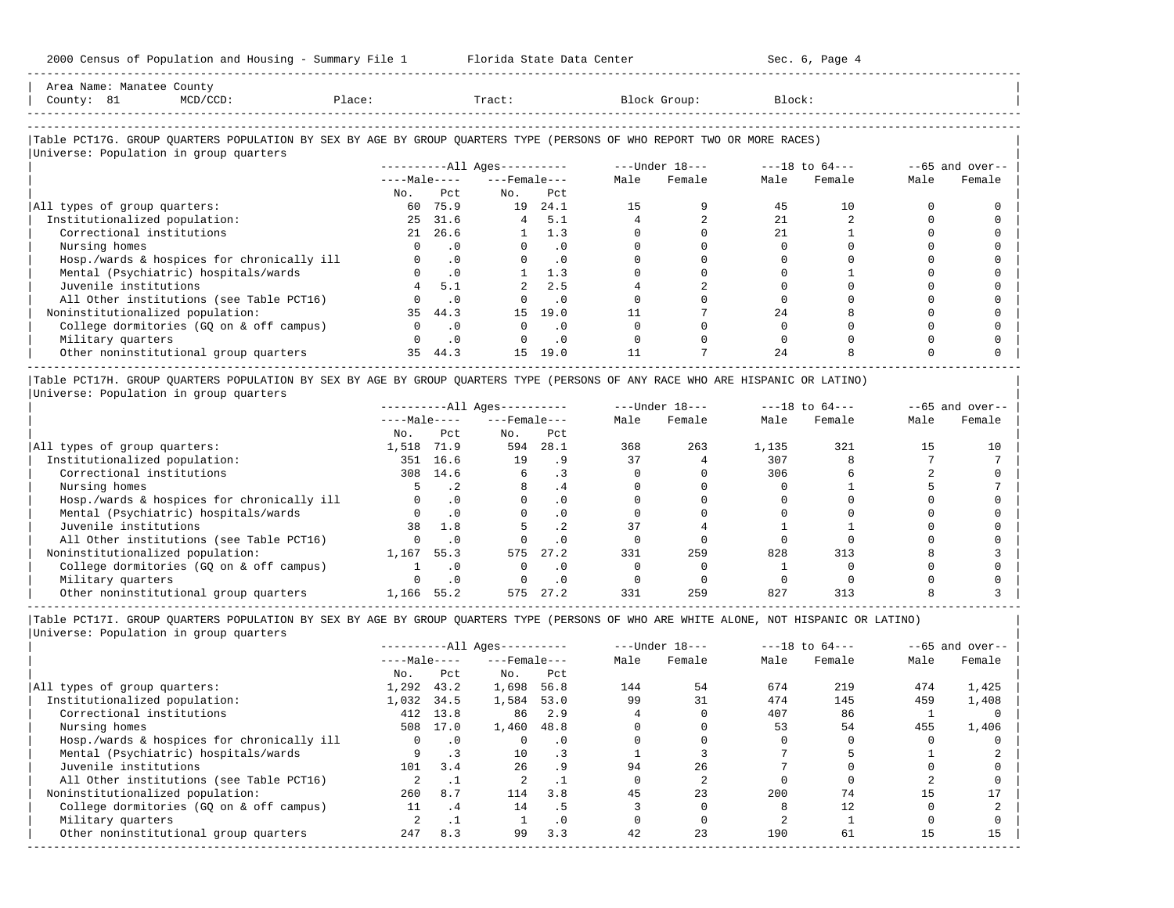| Area Name: Manatee County                                                                                                     |               |                       |                             |                             |                      |                |                                |        |              |                    |
|-------------------------------------------------------------------------------------------------------------------------------|---------------|-----------------------|-----------------------------|-----------------------------|----------------------|----------------|--------------------------------|--------|--------------|--------------------|
| County: 81<br>$MCD/CCD$ :                                                                                                     | Place: Tract: |                       |                             |                             |                      | Block Group:   | Block:                         |        |              |                    |
|                                                                                                                               |               |                       |                             |                             |                      |                |                                |        |              |                    |
| Table PCT17G. GROUP OUARTERS POPULATION BY SEX BY AGE BY GROUP OUARTERS TYPE (PERSONS OF WHO REPORT TWO OR MORE RACES)        |               |                       |                             |                             |                      |                |                                |        |              |                    |
| Universe: Population in group quarters                                                                                        |               |                       |                             |                             |                      |                |                                |        |              |                    |
|                                                                                                                               |               |                       | $------All Ages------$      |                             |                      |                | ---Under 18--- ----18 to 64--- |        |              | $--65$ and over--  |
|                                                                                                                               |               |                       | $---Male-- ---Female$       |                             | Male                 | Female         | Male                           | Female | Male         | Female             |
|                                                                                                                               | No.           |                       | Pct<br>No.                  | Pct                         |                      |                |                                |        |              |                    |
| All types of group quarters:                                                                                                  |               | 60 75.9               |                             | 19 24.1                     | 15                   | 9              | 45                             | 10     | 0            |                    |
| Institutionalized population:                                                                                                 |               | 25 31.6               |                             | 4, 5.1                      |                      | $\overline{a}$ | 21                             |        | $\Omega$     |                    |
| Correctional institutions                                                                                                     | 21            | 26.6                  |                             | 1.3                         |                      |                | 21                             |        |              |                    |
| Nursing homes                                                                                                                 |               | $\cdot$ 0<br>$\Omega$ |                             | $\cdot$ 0<br>$\overline{0}$ |                      | $\Omega$       | $\Omega$                       |        | $\Omega$     |                    |
| Hosp./wards & hospices for chronically ill                                                                                    |               | $0 \qquad .0$         |                             | $\overline{\phantom{0}}$ .0 |                      |                |                                |        |              |                    |
| Mental (Psychiatric) hospitals/wards                                                                                          |               | $0 \qquad .0$         |                             | 1.3                         |                      | $\Omega$       | $\Omega$                       |        | <sup>0</sup> |                    |
| Juvenile institutions                                                                                                         |               | 5.1                   | $2^{\circ}$                 | 2.5                         |                      |                |                                |        |              |                    |
| All Other institutions (see Table PCT16)                                                                                      |               | $0 \qquad .0$         | $\Omega$                    | $\overline{\phantom{0}}$ .0 |                      | $\Omega$       | $\Omega$                       |        | $\Omega$     |                    |
| Noninstitutionalized population:                                                                                              |               | 35 44.3               | 15                          | 19.0                        | 11                   |                | 24                             |        |              |                    |
| College dormitories (GQ on & off campus)                                                                                      |               | $\cdot$ 0<br>$\Omega$ | $\Omega$                    | $\cdot$ 0                   | $\Omega$             | $\Omega$       | $\Omega$                       |        |              |                    |
| Military quarters                                                                                                             |               | $\cdot$ 0<br>$\Omega$ | $\Omega$                    | $\cdot$ 0                   |                      |                | $\Omega$                       |        |              |                    |
| Other noninstitutional group quarters                                                                                         |               | 35 44.3               |                             | 15 19.0                     | 11                   |                | 2.4                            |        |              |                    |
| Table PCT17H. GROUP QUARTERS POPULATION BY SEX BY AGE BY GROUP QUARTERS TYPE (PERSONS OF ANY RACE WHO ARE HISPANIC OR LATINO) |               |                       |                             |                             |                      |                |                                |        |              |                    |
| Universe: Population in group quarters                                                                                        |               |                       |                             |                             |                      |                |                                |        |              |                    |
|                                                                                                                               |               |                       | ----------All Ages--------- |                             |                      |                | ---Under 18--- ----18 to 64--- |        |              | $- -65$ and over-- |
|                                                                                                                               |               |                       | $---Male-- ---Female$       |                             | Male                 | Female         | Male                           | Female | Male         | Female             |
|                                                                                                                               |               | No. Pct               | $NQ$ .                      | Pct                         |                      |                |                                |        |              |                    |
| All types of group quarters:                                                                                                  |               |                       | 1,518 71.9 594 28.1         |                             | 368                  | 263            | 1,135                          | 321    | 15           | 10                 |
| Institutionalized population:                                                                                                 |               | 351 16.6              | $19 \t 9$                   |                             | 37                   | $\overline{4}$ | 307                            | 8      |              |                    |
| the contract of the contract of the contract of the contract of the contract of the contract of the contract of               |               |                       |                             |                             | $\sim$ $\sim$ $\sim$ | $\sim$         | $\sim$ $\sim$                  |        |              |                    |

| Correctional institutions                  | 308   | 14.6 |     |      |     |     | 306 |     |  |
|--------------------------------------------|-------|------|-----|------|-----|-----|-----|-----|--|
| Nursing homes                              |       |      |     |      |     |     |     |     |  |
| Hosp./wards & hospices for chronically ill |       |      |     |      |     |     |     |     |  |
| Mental (Psychiatric) hospitals/wards       |       |      |     |      |     |     |     |     |  |
| Juvenile institutions                      |       | 1.8  |     |      |     |     |     |     |  |
| All Other institutions (see Table PCT16)   |       |      |     |      |     |     |     |     |  |
| Noninstitutionalized population:           | 1,167 | 55.3 | 575 | 27.2 | 331 | 259 | 828 | 313 |  |
| College dormitories (GO on & off campus)   |       |      |     |      |     |     |     |     |  |
| Military quarters                          |       |      |     |      |     |     |     |     |  |
| Other noninstitutional group quarters      | 1.166 | 55.2 | 575 |      | 331 | 259 | 827 | 313 |  |

-----------------------------------------------------------------------------------------------------------------------------------------------------

|                                            |              |                      | $------All Ages------$ |           |      | $---Under 18---$ |      | $---18$ to $64---$ |      | $--65$ and over-- |
|--------------------------------------------|--------------|----------------------|------------------------|-----------|------|------------------|------|--------------------|------|-------------------|
|                                            | $---Male---$ |                      | $---$ Female $---$     |           | Male | Female           | Male | Female             | Male | Female            |
|                                            | No.          | Pct                  | No.                    | Pct       |      |                  |      |                    |      |                   |
| All types of group quarters:               | 1,292        | 43.2                 | 1,698                  | 56.8      | 144  | 54               | 674  | 219                | 474  | 1,425             |
| Institutionalized population:              | 1,032        | 34.5                 | 1,584                  | 53.0      | 99   | 31               | 474  | 145                | 459  | 1,408             |
| Correctional institutions                  |              | 412 13.8             | 86                     | 2.9       |      |                  | 407  | 86                 |      |                   |
| Nursing homes                              | 508          | 17.0                 | 1,460                  | 48.8      |      |                  | 53   | 54                 | 455  | 1,406             |
| Hosp./wards & hospices for chronically ill | $\Omega$     | $\cdot$ 0            |                        | $\cdot$ 0 |      |                  |      |                    |      |                   |
| Mental (Psychiatric) hospitals/wards       | 9            |                      | 10                     | $\cdot$ 3 |      |                  |      |                    |      |                   |
| Juvenile institutions                      | 101          | 3.4                  | 26                     | . 9       | 94   | 26               |      |                    |      |                   |
| All Other institutions (see Table PCT16)   |              |                      |                        |           |      |                  |      |                    |      |                   |
| Noninstitutionalized population:           | 260          | 8.7                  | 114                    | 3.8       | 45   | 23               | 200  | 74                 | 15   |                   |
| College dormitories (GO on & off campus)   | 11           | $\cdot$ <sup>4</sup> | 14                     | . 5       |      |                  |      | 12.                |      |                   |
| Military quarters                          |              | . .                  |                        | $\cdot$ 0 |      |                  |      |                    |      |                   |
| Other noninstitutional group quarters      | 247          | 8.3                  | 99                     | 3.3       | 42   | 23               | 190  | 61                 | 1.5  | 15                |
|                                            |              |                      |                        |           |      |                  |      |                    |      |                   |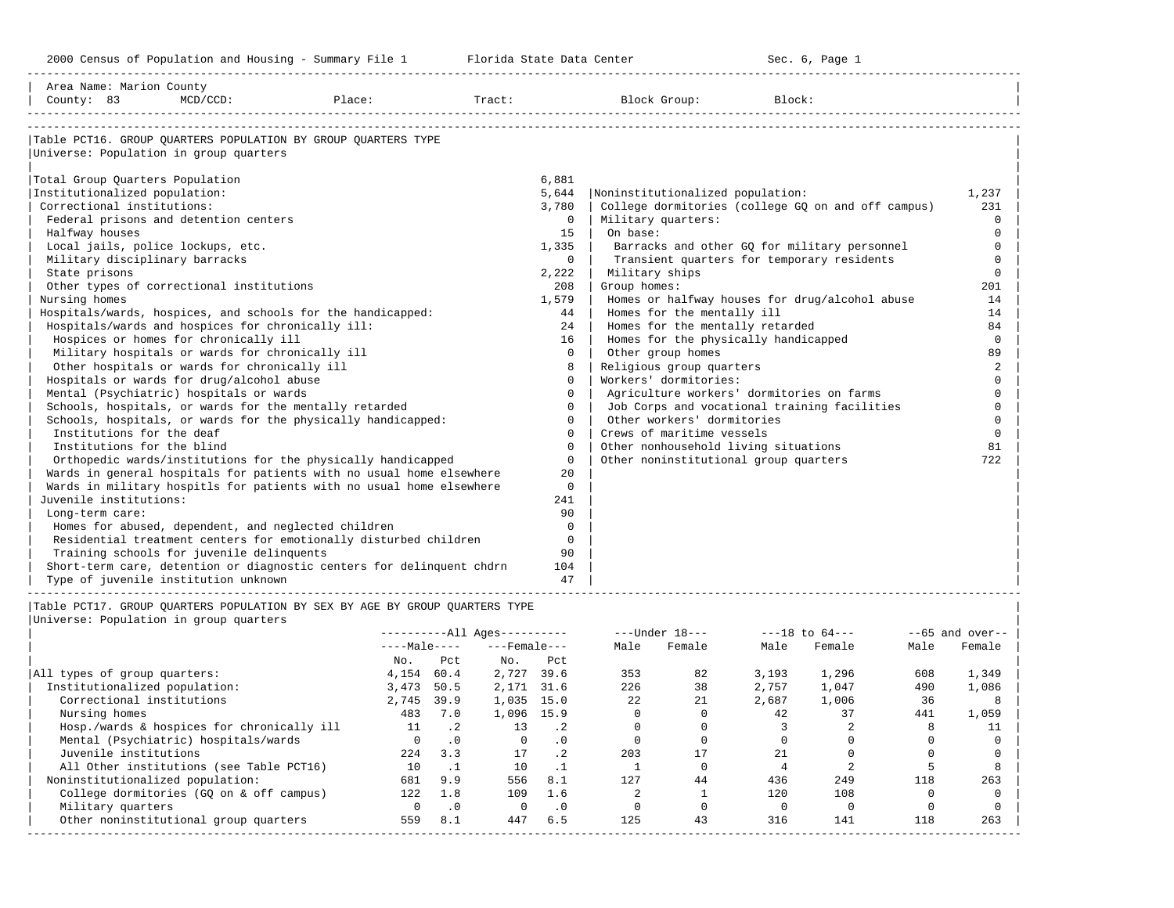| Area Name: Marion County<br>County: 83                                                                                                                                                                                                                                                                                                                                                                                                                                                                                                                              | $MCD/CCD$ :                                                                                                                                                                           | Place:                                                                                                                                                                                                                                                                                                                                                                                                                                                                                                                           | Tract:                                             |                                                                                                                                                                                                                       | Block Group:                                                                                                                                                                                                                                                                                                                                                                                                                                                                     | Block:                                                                                                                                                                                                                                             |                                                                                                                                                                                                            |
|---------------------------------------------------------------------------------------------------------------------------------------------------------------------------------------------------------------------------------------------------------------------------------------------------------------------------------------------------------------------------------------------------------------------------------------------------------------------------------------------------------------------------------------------------------------------|---------------------------------------------------------------------------------------------------------------------------------------------------------------------------------------|----------------------------------------------------------------------------------------------------------------------------------------------------------------------------------------------------------------------------------------------------------------------------------------------------------------------------------------------------------------------------------------------------------------------------------------------------------------------------------------------------------------------------------|----------------------------------------------------|-----------------------------------------------------------------------------------------------------------------------------------------------------------------------------------------------------------------------|----------------------------------------------------------------------------------------------------------------------------------------------------------------------------------------------------------------------------------------------------------------------------------------------------------------------------------------------------------------------------------------------------------------------------------------------------------------------------------|----------------------------------------------------------------------------------------------------------------------------------------------------------------------------------------------------------------------------------------------------|------------------------------------------------------------------------------------------------------------------------------------------------------------------------------------------------------------|
| Universe: Population in group quarters                                                                                                                                                                                                                                                                                                                                                                                                                                                                                                                              |                                                                                                                                                                                       | Table PCT16. GROUP OUARTERS POPULATION BY GROUP OUARTERS TYPE                                                                                                                                                                                                                                                                                                                                                                                                                                                                    |                                                    |                                                                                                                                                                                                                       |                                                                                                                                                                                                                                                                                                                                                                                                                                                                                  |                                                                                                                                                                                                                                                    |                                                                                                                                                                                                            |
| Total Group Quarters Population<br>Institutionalized population:<br>Correctional institutions:<br>Federal prisons and detention centers<br>Halfway houses<br>Local jails, police lockups, etc.<br>Military disciplinary barracks<br>State prisons<br>Other types of correctional institutions<br>Nursing homes<br>Hospitals/wards and hospices for chronically ill:<br>Hospitals or wards for drug/alcohol abuse<br>Mental (Psychiatric) hospitals or wards<br>Institutions for the deaf<br>Institutions for the blind<br>Juvenile institutions:<br>Long-term care: | Hospices or homes for chronically ill<br>Military hospitals or wards for chronically ill<br>Other hospitals or wards for chronically ill<br>Training schools for juvenile delinquents | Hospitals/wards, hospices, and schools for the handicapped:<br>Schools, hospitals, or wards for the mentally retarded<br>Schools, hospitals, or wards for the physically handicapped:<br>Orthopedic wards/institutions for the physically handicapped<br>Wards in general hospitals for patients with no usual home elsewhere<br>Wards in military hospitls for patients with no usual home elsewhere<br>Homes for abused, dependent, and neglected children<br>Residential treatment centers for emotionally disturbed children | 6,881<br>5,644<br>3,780<br>1,335<br>2,222<br>1,579 | $\circ$<br>1.5<br>$\Omega$<br>208<br>44<br>24<br>16<br>$\Omega$<br>8<br>$\Omega$<br>$\Omega$<br>$\Omega$<br>$\Omega$<br>$\Omega$<br>$\Omega$<br>$\Omega$<br>20<br>$\Omega$<br>241<br>90<br>$\Omega$<br>$\Omega$<br>90 | Noninstitutionalized population:<br>Military quarters:<br>On base:<br>Military ships<br>Group homes:<br>Homes for the mentally ill<br>Homes for the mentally retarded<br>Homes for the physically handicapped<br>Other group homes<br>Religious group quarters<br>Workers' dormitories:<br>Agriculture workers' dormitories on farms<br>Other workers' dormitories<br>Crews of maritime vessels<br>Other nonhousehold living situations<br>Other noninstitutional group quarters | College dormitories (college GQ on and off campus)<br>Barracks and other GQ for military personnel<br>Transient quarters for temporary residents<br>Homes or halfway houses for drug/alcohol abuse<br>Job Corps and vocational training facilities | 1,237<br>231<br>$\mathbf 0$<br>$\Omega$<br>$\mathbf 0$<br>$\Omega$<br>$\Omega$<br>201<br>14<br>14<br>84<br>$\mathbf 0$<br>89<br>2<br>$\Omega$<br>$\Omega$<br>$\Omega$<br>$\Omega$<br>$\Omega$<br>81<br>722 |
| Type of juvenile institution unknown                                                                                                                                                                                                                                                                                                                                                                                                                                                                                                                                |                                                                                                                                                                                       | Short-term care, detention or diagnostic centers for delinquent chdrn                                                                                                                                                                                                                                                                                                                                                                                                                                                            |                                                    | 104<br>47                                                                                                                                                                                                             |                                                                                                                                                                                                                                                                                                                                                                                                                                                                                  |                                                                                                                                                                                                                                                    |                                                                                                                                                                                                            |
| Universe: Population in group quarters                                                                                                                                                                                                                                                                                                                                                                                                                                                                                                                              |                                                                                                                                                                                       | Table PCT17. GROUP QUARTERS POPULATION BY SEX BY AGE BY GROUP QUARTERS TYPE<br>$------All \text{Aqes------}$<br>$---Male-- ---Female$<br>No. Pct<br>$1.151 \quad C0.1$ $2.527 \quad 20.6$                                                                                                                                                                                                                                                                                                                                        | No.<br>Pct.                                        |                                                                                                                                                                                                                       | ---Under 18---<br>Male Female<br>200<br>0 <sup>0</sup>                                                                                                                                                                                                                                                                                                                                                                                                                           | ---18 to 64---<br>Male Female<br>Male<br>2.102<br>1.005<br>$\sim$ 0.0                                                                                                                                                                              | $--65$ and over--<br>Female<br>1.210                                                                                                                                                                       |

|                                            | No.   | Pct       | No.        | Pct       |     |    |       |       |     |       |
|--------------------------------------------|-------|-----------|------------|-----------|-----|----|-------|-------|-----|-------|
| All types of group quarters:               | 4,154 | 60.4      | 2,727      | 39.6      | 353 | 82 | 3,193 | 1,296 | 608 | 1,349 |
| Institutionalized population:              | 3,473 | 50.5      | 2,171      | 31.6      | 226 | 38 | 2,757 | 1,047 | 490 | 1,086 |
| Correctional institutions                  | 2,745 | 39.9      | 1,035 15.0 |           | 22  | 21 | 2,687 | 1,006 | 36  |       |
| Nursing homes                              | 483   | 7.0       | 1,096 15.9 |           |     |    | 42    | 37    | 441 | 1,059 |
| Hosp./wards & hospices for chronically ill |       | $\cdot$ 2 | 13         | $\cdot$ 2 |     |    |       |       |     |       |
| Mental (Psychiatric) hospitals/wards       |       | $\cdot$ 0 | $\Omega$   | $\cdot$ 0 |     |    |       |       |     |       |
| Juvenile institutions                      | 224   | 3.3       | 17         |           | 203 |    | 21    |       |     |       |
| All Other institutions (see Table PCT16)   | 10    |           | 10         |           |     |    |       |       |     |       |
| Noninstitutionalized population:           | 681   | 9.9       | 556        | 8.1       | 127 | 44 | 436   | 249   | 118 | 263   |
| College dormitories (GO on & off campus)   | 122   | 1.8       | 109        | 1.6       |     |    | 120   | 108   |     |       |
| Military quarters                          |       | $\cdot$ 0 |            | $\cdot$ 0 |     |    |       |       |     |       |
| Other noninstitutional group quarters      | 559   | 8.1       | 447        | 6.5       | 125 | 43 | 316   | 141   | 118 | 263   |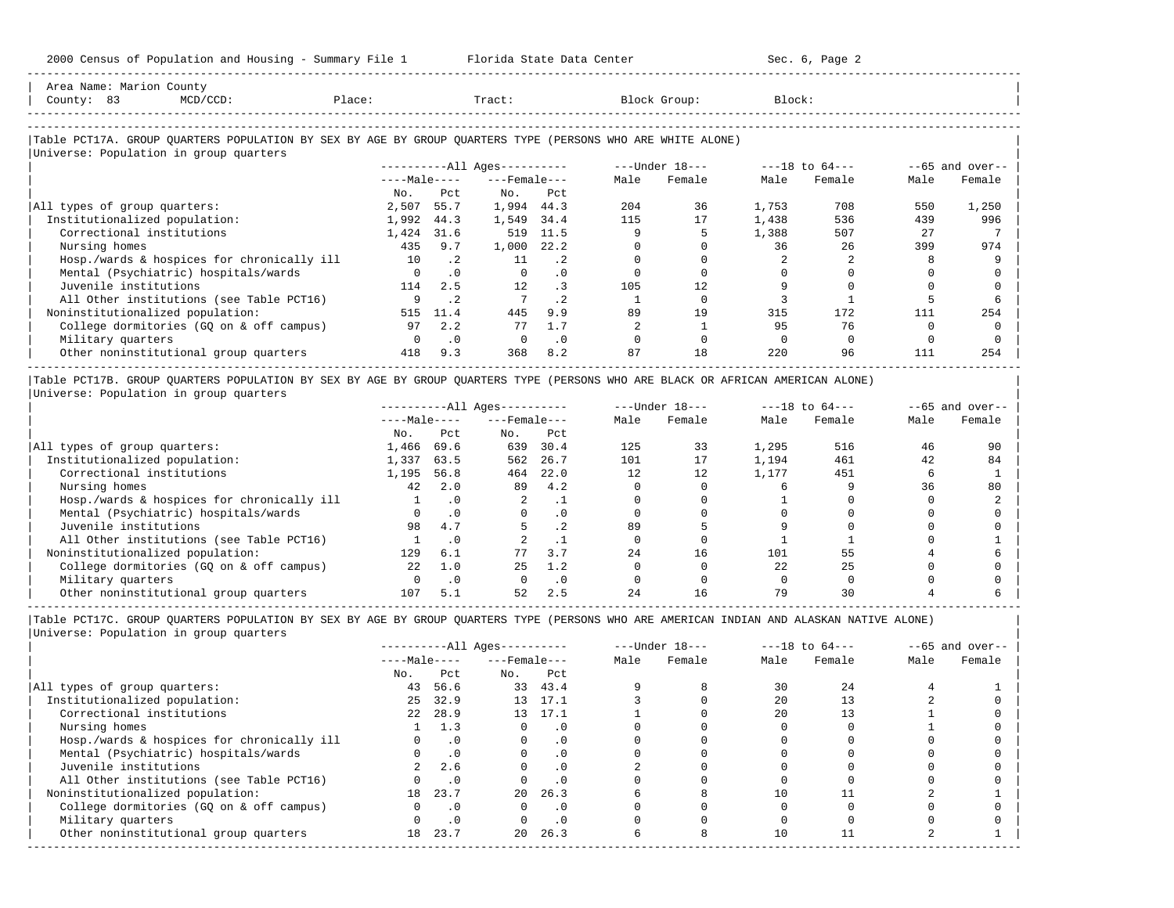-----------------------------------------------------------------------------------------------------------------------------------------------------

| County: 83<br>$MCD/CCD$ :                                                                                                                            | Place: | ------------------ | Tract:                       |           |      | Block Group:                   | Block: |        |      |                   |
|------------------------------------------------------------------------------------------------------------------------------------------------------|--------|--------------------|------------------------------|-----------|------|--------------------------------|--------|--------|------|-------------------|
| Table PCT17A. GROUP QUARTERS POPULATION BY SEX BY AGE BY GROUP QUARTERS TYPE (PERSONS WHO ARE WHITE ALONE)<br>Universe: Population in group quarters |        |                    |                              |           |      |                                |        |        |      |                   |
|                                                                                                                                                      |        |                    | ----------All Ages---------- |           |      | ---Under 18--- ----18 to 64--- |        |        |      | $--65$ and over-- |
|                                                                                                                                                      |        |                    | $---Male---$                 |           | Male | Female                         | Male   | Female | Male | Female            |
|                                                                                                                                                      | No.    | Pct                | No.                          | Pct       |      |                                |        |        |      |                   |
| All types of group quarters:                                                                                                                         | 2,507  | 55.7               | 1,994 44.3                   |           | 204  | 36                             | 1,753  | 708    | 550  | 1,250             |
| Institutionalized population:                                                                                                                        | 1,992  | 44.3               | 1,549                        | 34.4      | 115  | 17                             | 1,438  | 536    | 439  | 996               |
| Correctional institutions                                                                                                                            | 1,424  | 31.6               | 519                          | 11.5      |      |                                | 1,388  | 507    | 27   |                   |
| Nursing homes                                                                                                                                        | 435    | 9.7                | 1,000                        | 22.2      |      |                                | 36     | 26     | 399  | 974               |
| Hosp./wards & hospices for chronically ill                                                                                                           | 10     | $\cdot$ 2          | 11                           | $\cdot$ 2 |      |                                |        |        |      |                   |
| Mental (Psychiatric) hospitals/wards                                                                                                                 |        | $\cdot$ 0          | $\Omega$                     | $\cdot$ 0 |      |                                |        |        |      |                   |
| Juvenile institutions                                                                                                                                | 114    | 2.5                | 12                           | $\cdot$ 3 | 105  | 12.                            |        |        |      |                   |
| All Other institutions (see Table PCT16)                                                                                                             | 9      | $\cdot$ 2          |                              | $\cdot$ 2 |      |                                |        |        |      |                   |
| Noninstitutionalized population:                                                                                                                     | 515    | 11.4               | 445                          | 9.9       | 89   | 19                             | 315    | 172    | 111  | 254               |
| College dormitories (GQ on & off campus)                                                                                                             | 97     | 2.2                | 77                           | 1.7       |      |                                | 95     | 76     |      |                   |
| Military quarters                                                                                                                                    |        | $\cdot$ 0          |                              | $\cdot$ 0 |      |                                |        |        |      |                   |
| Other noninstitutional group quarters                                                                                                                | 418    | 9.3                | 368                          | 8.2       | 87   | 18                             | 220    | 96     | 111  | 254               |

|Table PCT17B. GROUP QUARTERS POPULATION BY SEX BY AGE BY GROUP QUARTERS TYPE (PERSONS WHO ARE BLACK OR AFRICAN AMERICAN ALONE) | |Universe: Population in group quarters |

|                                            |              |           | $------All Aqes------$ |           |      | $---Under 18---$ |       | $---18$ to $64---$ |      | $--65$ and over-- |
|--------------------------------------------|--------------|-----------|------------------------|-----------|------|------------------|-------|--------------------|------|-------------------|
|                                            | $---Male---$ |           | $---$ Female $---$     |           | Male | Female           | Male  | Female             | Male | Female            |
|                                            | No.          | Pct       | No.                    | Pct       |      |                  |       |                    |      |                   |
| All types of group quarters:               | 1,466        | 69.6      | 639                    | 30.4      | 125  | 33               | 1,295 | 516                | 46   | 90                |
| Institutionalized population:              | 1,337        | 63.5      | 562                    | 26.7      | 101  | 17               | 1,194 | 461                | 42   | 84                |
| Correctional institutions                  | 1,195        | 56.8      | 464                    | 22.0      | 12   | 12               | 1,177 | 451                |      |                   |
| Nursing homes                              | 42           | 2.0       | 89                     | 4.2       |      |                  |       |                    | 36   | 80                |
| Hosp./wards & hospices for chronically ill |              | . 0       | 2                      |           |      |                  |       |                    |      |                   |
| Mental (Psychiatric) hospitals/wards       |              | $\cdot$ 0 | $\Omega$               | .0        |      |                  |       |                    |      |                   |
| Juvenile institutions                      | 98           | 4.7       |                        | . 2       | 89   |                  |       |                    |      |                   |
| All Other institutions (see Table PCT16)   |              | $\cdot$ 0 |                        |           |      |                  |       |                    |      |                   |
| Noninstitutionalized population:           | 129          | 6.1       |                        | 3.7       | 24   | 16               | 101   |                    |      |                   |
| College dormitories (GO on & off campus)   | 2.2.         | 1.0       | 25                     | 1.2       |      |                  | 2.2.  | 25                 |      |                   |
| Military quarters                          |              | $\cdot$ 0 |                        | $\cdot$ 0 |      |                  |       |                    |      |                   |
| Other noninstitutional group quarters      | 107          | 5.1       | 52                     | 2.5       | 2.4  | 16               | 79    |                    |      |                   |

-----------------------------------------------------------------------------------------------------------------------------------------------------

|                                            |              |           | $------All Aqes------$ |           |      | $---Under 18---$ |      | $---18$ to $64---$ |      | $--65$ and over-- |
|--------------------------------------------|--------------|-----------|------------------------|-----------|------|------------------|------|--------------------|------|-------------------|
|                                            | $---Male---$ |           | $---$ Female $---$     |           | Male | Female           | Male | Female             | Male | Female            |
|                                            | No.          | Pct       | No.                    | Pct       |      |                  |      |                    |      |                   |
| All types of group quarters:               | 43           | 56.6      |                        | 33 43.4   |      |                  | 30   | 2.4                |      |                   |
| Institutionalized population:              | 25           | 32.9      |                        | 13 17.1   |      |                  | 2.0  |                    |      |                   |
| Correctional institutions                  | 22           | 28.9      |                        | 13 17.1   |      |                  | 2.0  |                    |      |                   |
| Nursing homes                              |              | 1.3       |                        | . 0       |      |                  |      |                    |      |                   |
| Hosp./wards & hospices for chronically ill |              | $\cdot$ 0 |                        | . 0       |      |                  |      |                    |      |                   |
| Mental (Psychiatric) hospitals/wards       |              | $\cdot$ 0 |                        | . 0       |      |                  |      |                    |      |                   |
| Juvenile institutions                      |              | 2.6       |                        | $\cdot$ 0 |      |                  |      |                    |      |                   |
| All Other institutions (see Table PCT16)   |              | $\cdot$ 0 |                        |           |      |                  |      |                    |      |                   |
| Noninstitutionalized population:           | 18           | 23.7      | $20 -$                 | 26.3      |      |                  | 10   |                    |      |                   |
| College dormitories (GQ on & off campus)   |              | $\cdot$ 0 |                        | $\cdot$ 0 |      |                  |      |                    |      |                   |
| Military quarters                          |              | $\cdot$ 0 |                        | $\cdot$ 0 |      |                  |      |                    |      |                   |
| Other noninstitutional group quarters      | 18           | 23.7      | $20 -$                 | 26.3      |      |                  | 10   |                    |      |                   |
|                                            |              |           |                        |           |      |                  |      |                    |      |                   |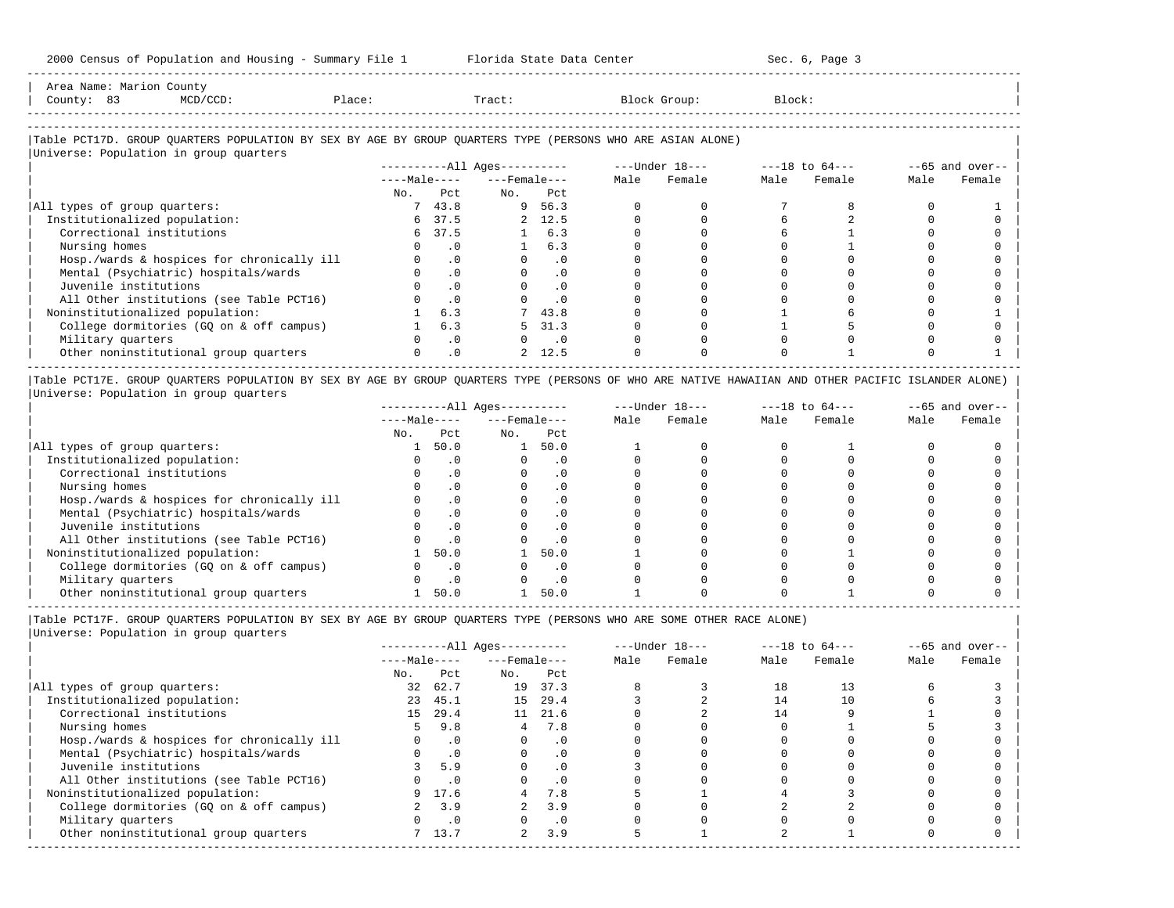| Area   |                        | Count                                                                           |       |       |                                                           |
|--------|------------------------|---------------------------------------------------------------------------------|-------|-------|-----------------------------------------------------------|
| County |                        | the contract of the contract of the contract of the contract of the contract of | Place | Tract | .lock:<br>the contract of the contract of the contract of |
|        | ---------------------- |                                                                                 |       |       |                                                           |

-----------------------------------------------------------------------------------------------------------------------------------------------------

### |Table PCT17D. GROUP QUARTERS POPULATION BY SEX BY AGE BY GROUP QUARTERS TYPE (PERSONS WHO ARE ASIAN ALONE) |

|                                            |              |           | $------All Ages------$ |                             |      | ---Under 18--- |      | $---18$ to $64---$ |      | $--65$ and over-- |
|--------------------------------------------|--------------|-----------|------------------------|-----------------------------|------|----------------|------|--------------------|------|-------------------|
|                                            | $---Male---$ |           | $---$ Female $---$     |                             | Male | Female         | Male | Female             | Male | Female            |
|                                            | No.          | Pct       | No.                    | Pct                         |      |                |      |                    |      |                   |
| All types of group quarters:               |              | 743.8     |                        | 9 56.3                      |      |                |      |                    |      |                   |
| Institutionalized population:              |              | 6 37.5    |                        | 2, 12.5                     |      |                |      |                    |      |                   |
| Correctional institutions                  |              | 6 37.5    |                        | 1 6.3                       |      |                |      |                    |      |                   |
| Nursing homes                              |              | . 0       |                        | 6.3                         |      |                |      |                    |      |                   |
| Hosp./wards & hospices for chronically ill |              | $\cdot$ 0 |                        | $\cdot$ 0                   |      |                |      |                    |      |                   |
| Mental (Psychiatric) hospitals/wards       |              | $\cdot$ 0 |                        | $\cdot$ 0                   |      |                |      |                    |      |                   |
| Juvenile institutions                      |              | $\cdot$ 0 |                        | . 0                         |      |                |      |                    |      |                   |
| All Other institutions (see Table PCT16)   |              | $\cdot$ 0 |                        | $\cdot$ 0                   |      |                |      |                    |      |                   |
| Noninstitutionalized population:           |              | 6.3       |                        | 743.8                       |      |                |      |                    |      |                   |
| College dormitories (GQ on & off campus)   |              | 6.3       | 5.                     | 31.3                        |      |                |      |                    |      |                   |
| Military quarters                          |              | $\cdot$ 0 |                        | $\overline{\phantom{0}}$ .0 |      |                |      |                    |      |                   |
| Other noninstitutional group quarters      |              | $\cdot$ 0 |                        | 2, 12.5                     |      |                |      |                    |      |                   |

|Table PCT17E. GROUP QUARTERS POPULATION BY SEX BY AGE BY GROUP QUARTERS TYPE (PERSONS OF WHO ARE NATIVE HAWAIIAN AND OTHER PACIFIC ISLANDER ALONE) | |Universe: Population in group quarters |

|                                            |              |           | $------All Aqes------$ |           |      | $---Under 18---$ |      | $---18$ to $64---$ |      | $--65$ and over-- |
|--------------------------------------------|--------------|-----------|------------------------|-----------|------|------------------|------|--------------------|------|-------------------|
|                                            | $---Male---$ |           | $---$ Female $---$     |           | Male | Female           | Male | Female             | Male | Female            |
|                                            | No.          | Pct       | No.                    | Pct       |      |                  |      |                    |      |                   |
| All types of group quarters:               |              | 50.0      |                        | 50.0      |      |                  |      |                    |      |                   |
| Institutionalized population:              |              |           |                        |           |      |                  |      |                    |      |                   |
| Correctional institutions                  |              |           |                        | . 0       |      |                  |      |                    |      |                   |
| Nursing homes                              |              |           |                        | $\cdot$ 0 |      |                  |      |                    |      |                   |
| Hosp./wards & hospices for chronically ill |              |           |                        | . 0       |      |                  |      |                    |      |                   |
| Mental (Psychiatric) hospitals/wards       |              |           |                        | . 0       |      |                  |      |                    |      |                   |
| Juvenile institutions                      |              |           |                        | . 0       |      |                  |      |                    |      |                   |
| All Other institutions (see Table PCT16)   |              |           |                        | $\cdot$ 0 |      |                  |      |                    |      |                   |
| Noninstitutionalized population:           |              | 50.0      |                        | 50.0      |      |                  |      |                    |      |                   |
| College dormitories (GO on & off campus)   |              |           |                        | $\cdot$ 0 |      |                  |      |                    |      |                   |
| Military quarters                          |              | $\cdot$ 0 |                        | $\cdot$ 0 |      |                  |      |                    |      |                   |
| Other noninstitutional group quarters      |              | 50.0      |                        | 50.0      |      |                  |      |                    |      |                   |

|Table PCT17F. GROUP QUARTERS POPULATION BY SEX BY AGE BY GROUP QUARTERS TYPE (PERSONS WHO ARE SOME OTHER RACE ALONE) |

|                                            |              |           | $------All Aqes------$ |           |      | $---Under 18---$ |      | $---18$ to $64---$ |      | $--65$ and over-- |
|--------------------------------------------|--------------|-----------|------------------------|-----------|------|------------------|------|--------------------|------|-------------------|
|                                            | $---Male---$ |           | $---$ Female $---$     |           | Male | Female           | Male | Female             | Male | Female            |
|                                            | No.          | Pct       | No.                    | Pct       |      |                  |      |                    |      |                   |
| All types of group quarters:               | 32           | 62.7      | 19                     | 37.3      |      |                  | 18   | 13                 |      |                   |
| Institutionalized population:              | 23           | 45.1      | 15                     | 29.4      |      |                  | 14   |                    |      |                   |
| Correctional institutions                  | 15           | 29.4      |                        | 11 21.6   |      |                  | 14   |                    |      |                   |
| Nursing homes                              | 5.           | 9.8       | 4                      | 7.8       |      |                  |      |                    |      |                   |
| Hosp./wards & hospices for chronically ill |              | $\cdot$ 0 |                        | $\cdot$ 0 |      |                  |      |                    |      |                   |
| Mental (Psychiatric) hospitals/wards       |              | $\cdot$ 0 |                        | $\cdot$ 0 |      |                  |      |                    |      |                   |
| Juvenile institutions                      |              | 5.9       |                        |           |      |                  |      |                    |      |                   |
| All Other institutions (see Table PCT16)   |              | $\cdot$ 0 |                        | $\cdot$ 0 |      |                  |      |                    |      |                   |
| Noninstitutionalized population:           | 9.           | 17.6      |                        | 7.8       |      |                  |      |                    |      |                   |
| College dormitories (GQ on & off campus)   |              | 3.9       |                        | 3.9       |      |                  |      |                    |      |                   |
| Military quarters                          |              | $\cdot$ 0 |                        | $\cdot$ 0 |      |                  |      |                    |      |                   |
| Other noninstitutional group quarters      |              | 13.7      | $\overline{2}$         | 3.9       |      |                  |      |                    |      |                   |
|                                            |              |           |                        |           |      |                  |      |                    |      |                   |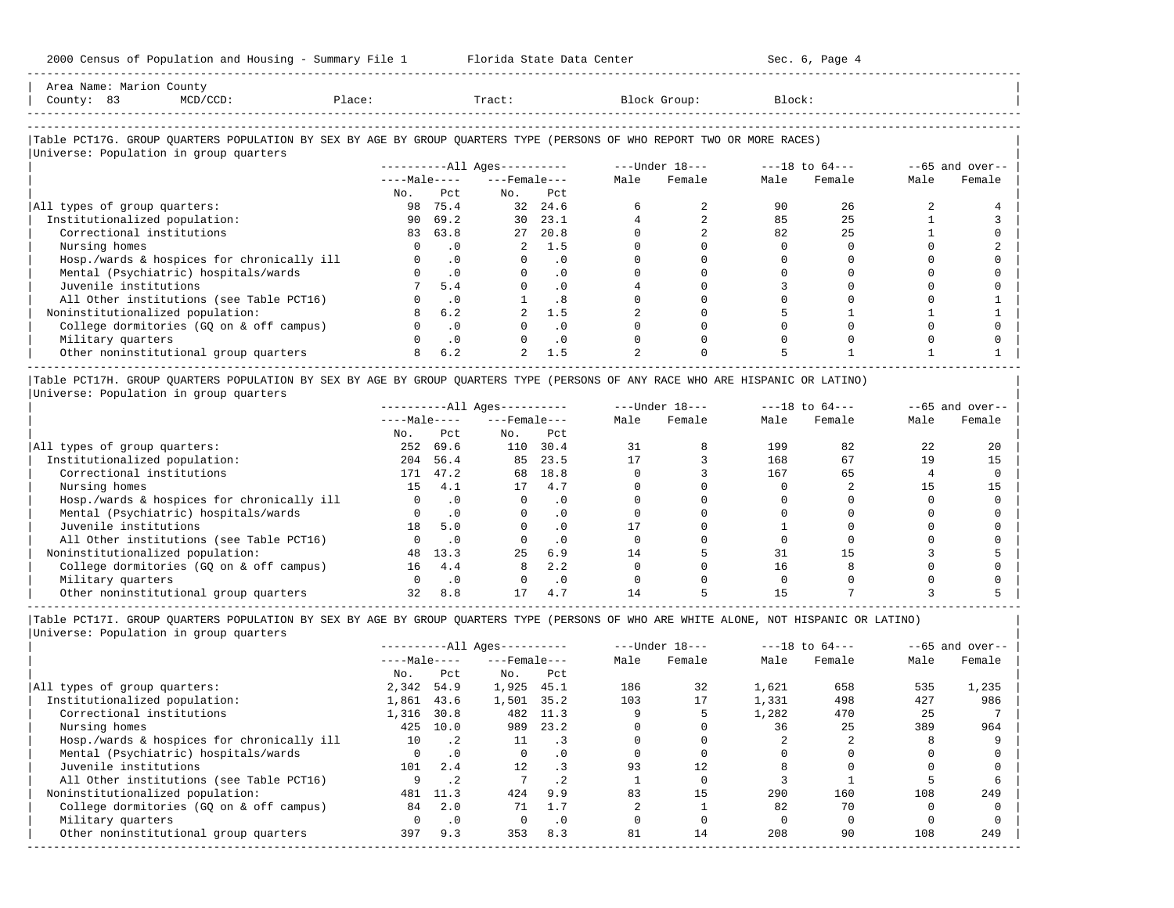| Area Name: Marion County<br>County: 83<br>MCD/CCD:                                                                                                               | Place:   |           | Tract:                   |            |      | Block Group:                                                 | Block: |        |      |                    |
|------------------------------------------------------------------------------------------------------------------------------------------------------------------|----------|-----------|--------------------------|------------|------|--------------------------------------------------------------|--------|--------|------|--------------------|
| Table PCT17G. GROUP QUARTERS POPULATION BY SEX BY AGE BY GROUP QUARTERS TYPE (PERSONS OF WHO REPORT TWO OR MORE RACES)<br>Universe: Population in group quarters |          |           |                          |            |      |                                                              |        |        |      |                    |
|                                                                                                                                                                  |          |           |                          |            |      | ----------All Ages---------- -----Under 18--- ---18 to 64--- |        |        |      | $- -65$ and over-- |
|                                                                                                                                                                  |          |           | $---Male-- ---Female---$ |            | Male | Female                                                       | Male   | Female | Male | Female             |
|                                                                                                                                                                  |          | No. Pct   | No. Pct                  |            |      |                                                              |        |        |      |                    |
| All types of group quarters:                                                                                                                                     | 98       | 75.4      |                          | 32 24.6    |      |                                                              | 90     | 26     |      |                    |
| Institutionalized population:                                                                                                                                    | 90       | 69.2      | 30                       | 23.1       |      |                                                              | 85     | 25     |      |                    |
| Correctional institutions                                                                                                                                        | 83       | 63.8      | 27                       | 20.8       |      |                                                              | 82     | 25     |      |                    |
| Nursing homes                                                                                                                                                    | $\Omega$ | $\cdot$ 0 | $\overline{2}$           | 1.5        |      |                                                              |        |        |      |                    |
| Hosp./wards & hospices for chronically ill                                                                                                                       | $\Omega$ | .0        | $\Omega$                 | $\cdot$ 0  |      |                                                              |        |        |      |                    |
| Mental (Psychiatric) hospitals/wards                                                                                                                             | $\cap$   | $\cdot$ 0 | $\Omega$                 | $\Omega$ . |      |                                                              |        |        |      |                    |
| Juvenile institutions                                                                                                                                            |          | 5.4       |                          | $\cdot$ 0  |      |                                                              |        |        |      |                    |
| All Other institutions (see Table PCT16)                                                                                                                         |          | $\cdot$ 0 |                          | .8         |      |                                                              |        |        |      |                    |
| Noninstitutionalized population:                                                                                                                                 | 8        | 6.2       |                          | 1.5        |      |                                                              |        |        |      |                    |
| College dormitories (GQ on & off campus)                                                                                                                         |          | $\cdot$ 0 |                          | $\cdot$ 0  |      |                                                              |        |        |      |                    |
| Military quarters                                                                                                                                                |          | $\cdot$ 0 |                          | $\cdot$ 0  |      |                                                              |        |        |      |                    |
| Other noninstitutional group quarters                                                                                                                            |          | 6.2       |                          | 1.5        |      |                                                              |        |        |      |                    |

|Universe: Population in group quarters |

|                                            |              |           | $------All Aqes------$ |           |      | $---Under 18---$ |      | $---18$ to $64---$ | $- -65$ and over-- |        |
|--------------------------------------------|--------------|-----------|------------------------|-----------|------|------------------|------|--------------------|--------------------|--------|
|                                            | $---Male---$ |           | $---$ Female $---$     |           | Male | Female           | Male | Female             | Male               | Female |
|                                            | No.          | Pct.      | No.                    | Pct       |      |                  |      |                    |                    |        |
| All types of group quarters:               | 252          | 69.6      | 110                    | 30.4      | 31   |                  | 199  | 82                 | 22                 | 20     |
| Institutionalized population:              | 204          | 56.4      | 85                     | 23.5      |      |                  | 168  | 67                 | 19                 |        |
| Correctional institutions                  | 171          | 47.2      | 68                     | 18.8      |      |                  | 167  | 65                 |                    |        |
| Nursing homes                              | 15           | 4.1       | 17                     | 4.7       |      |                  |      |                    |                    |        |
| Hosp./wards & hospices for chronically ill |              |           |                        | . 0       |      |                  |      |                    |                    |        |
| Mental (Psychiatric) hospitals/wards       |              | $\cdot$ 0 |                        | $\cdot$ 0 |      |                  |      |                    |                    |        |
| Juvenile institutions                      | 18           | 5.0       |                        | . 0       |      |                  |      |                    |                    |        |
| All Other institutions (see Table PCT16)   |              | $\cdot$ 0 |                        | $\cdot$ 0 |      |                  |      |                    |                    |        |
| Noninstitutionalized population:           | 48           | 13.3      | 25                     | 6.9       | 14   |                  |      |                    |                    |        |
| College dormitories (GQ on & off campus)   | 16           | 4.4       | 8                      | 2.2       |      |                  | 16   |                    |                    |        |
| Military quarters                          |              | . 0       |                        | $\cdot$ 0 |      |                  |      |                    |                    |        |
| Other noninstitutional group quarters      | 32           | 8.8       |                        | 4.7       |      |                  |      |                    |                    |        |

-----------------------------------------------------------------------------------------------------------------------------------------------------

|                                            |              |             | $------All Aqes------$ |                              |      | $---Under 18---$ |       | $---18$ to $64---$ |      | $--65$ and over-- |
|--------------------------------------------|--------------|-------------|------------------------|------------------------------|------|------------------|-------|--------------------|------|-------------------|
|                                            | $---Male---$ |             | $---$ Female $---$     |                              | Male | Female           | Male  | Female             | Male | Female            |
|                                            | No.          | Pct         | No.                    | Pct                          |      |                  |       |                    |      |                   |
| All types of group quarters:               | 2,342        | 54.9        | 1,925                  | 45.1                         | 186  | 32               | 1,621 | 658                | 535  | 1,235             |
| Institutionalized population:              | 1,861        | 43.6        | 1,501                  | 35.2                         | 103  | 17               | 1,331 | 498                | 427  | 986               |
| Correctional institutions                  | 1,316        | 30.8        | 482                    | 11.3                         |      |                  | 1,282 | 470                | 25   |                   |
| Nursing homes                              | 425          | 10.0        | 989                    | 23.2                         |      |                  | 36    | 25                 | 389  | 964               |
| Hosp./wards & hospices for chronically ill | 10           | $\cdot$ . 2 | 11                     | $\overline{\phantom{a}}$ . 3 |      |                  |       |                    |      |                   |
| Mental (Psychiatric) hospitals/wards       | 0            | $\cdot$ 0   | $\Omega$               | . 0                          |      |                  |       |                    |      |                   |
| Juvenile institutions                      | 101          | 2.4         | 12                     |                              | 93   | 12.              |       |                    |      |                   |
| All Other institutions (see Table PCT16)   |              | $\cdot$ 2   |                        | $\cdot$ 2                    |      |                  |       |                    |      |                   |
| Noninstitutionalized population:           | 481          | 11.3        | 424                    | 9.9                          | 83   | 15               | 290   | 160                | 108  | 249               |
| College dormitories (GO on & off campus)   | 84           | 2.0         | 71                     | 1.7                          |      |                  | 82    | 70                 |      |                   |
| Military quarters                          |              | $\cdot$ 0   |                        | $\cdot$ 0                    |      |                  |       |                    |      |                   |
| Other noninstitutional group quarters      | 397          | 9.3         | 353                    | 8.3                          | 81   | 14               | 208   | 90                 | 108  | 249               |
|                                            |              |             |                        |                              |      |                  |       |                    |      |                   |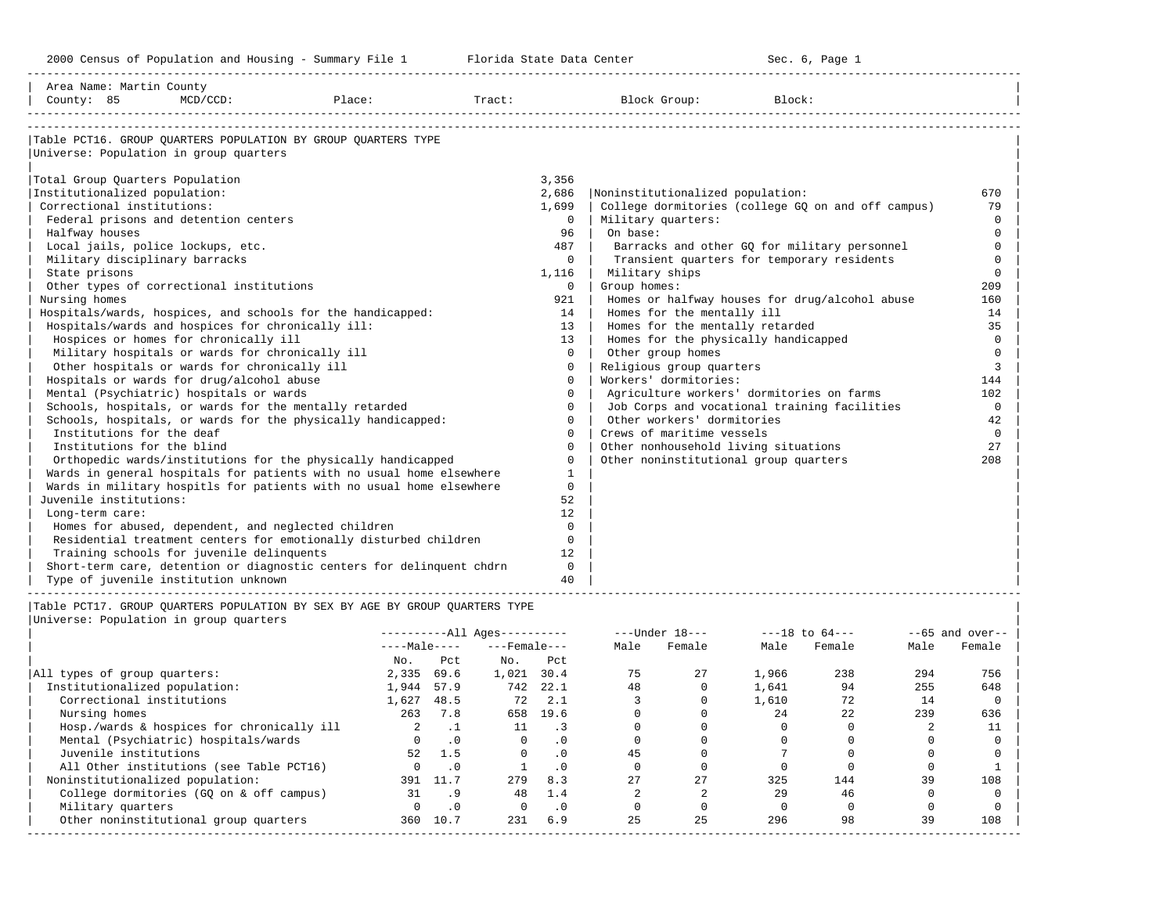-----------------------------------------------------------------------------------------------------------------------------------------------------

| Area Name: Martin County                          |                                                 |                                                                             |        |                   |                                           |                                                    |                  |
|---------------------------------------------------|-------------------------------------------------|-----------------------------------------------------------------------------|--------|-------------------|-------------------------------------------|----------------------------------------------------|------------------|
| County: 85                                        | $MCD/CCD$ :                                     | Place:                                                                      | Tract: |                   | Block Group:                              | Block:                                             |                  |
|                                                   |                                                 |                                                                             |        |                   |                                           |                                                    |                  |
|                                                   |                                                 | Table PCT16. GROUP OUARTERS POPULATION BY GROUP OUARTERS TYPE               |        |                   |                                           |                                                    |                  |
| Universe: Population in group quarters            |                                                 |                                                                             |        |                   |                                           |                                                    |                  |
|                                                   |                                                 |                                                                             |        |                   |                                           |                                                    |                  |
| Total Group Ouarters Population                   |                                                 |                                                                             |        | 3,356             |                                           |                                                    |                  |
| Institutionalized population:                     |                                                 |                                                                             |        | 2,686             | Noninstitutionalized population:          |                                                    | 670              |
| Correctional institutions:                        |                                                 |                                                                             |        | 1,699             |                                           | College dormitories (college GQ on and off campus) | 79               |
| Federal prisons and detention centers             |                                                 |                                                                             |        | $\mathbf{0}$      | Military quarters:                        |                                                    | $\Omega$         |
| Halfway houses                                    |                                                 |                                                                             |        | 96                | On base:                                  |                                                    | $\cap$           |
| Local jails, police lockups, etc.                 |                                                 |                                                                             |        | 487               |                                           | Barracks and other GO for military personnel       | $\Omega$         |
| Military disciplinary barracks                    |                                                 |                                                                             |        | $\Omega$          |                                           | Transient quarters for temporary residents         | $\Omega$         |
| State prisons                                     |                                                 |                                                                             |        | 1,116             | Military ships                            |                                                    | $\Omega$         |
| Other types of correctional institutions          |                                                 |                                                                             |        | $\Omega$          | Group homes:                              |                                                    | 209              |
| Nursing homes                                     |                                                 |                                                                             |        | 921               |                                           | Homes or halfway houses for drug/alcohol abuse     | 160              |
|                                                   |                                                 | Hospitals/wards, hospices, and schools for the handicapped:                 |        | 14                | Homes for the mentally ill                |                                                    | 14               |
| Hospitals/wards and hospices for chronically ill: |                                                 |                                                                             |        | 13                | Homes for the mentally retarded           |                                                    | 35               |
|                                                   | Hospices or homes for chronically ill           |                                                                             |        | 13                | Homes for the physically handicapped      |                                                    | $\mathbf 0$      |
|                                                   | Military hospitals or wards for chronically ill |                                                                             |        | $\Omega$          | Other group homes                         |                                                    | $\Omega$         |
|                                                   | Other hospitals or wards for chronically ill    |                                                                             |        | $\Omega$          | Religious group quarters                  |                                                    | 3                |
| Hospitals or wards for drug/alcohol abuse         |                                                 |                                                                             |        | $\Omega$          | Workers' dormitories:                     |                                                    | 144              |
| Mental (Psychiatric) hospitals or wards           |                                                 |                                                                             |        | $\Omega$          | Agriculture workers' dormitories on farms |                                                    | 102              |
|                                                   |                                                 | Schools, hospitals, or wards for the mentally retarded                      |        | $\Omega$          |                                           | Job Corps and vocational training facilities       | $\mathbf 0$      |
|                                                   |                                                 | Schools, hospitals, or wards for the physically handicapped:                |        | $\Omega$          | Other workers' dormitories                |                                                    | 42               |
| Institutions for the deaf                         |                                                 |                                                                             |        | $\Omega$          | Crews of maritime vessels                 |                                                    | $\Omega$         |
| Institutions for the blind                        |                                                 |                                                                             |        | $\Omega$          | Other nonhousehold living situations      |                                                    | 27               |
|                                                   |                                                 | Orthopedic wards/institutions for the physically handicapped                |        | $\Omega$          | Other noninstitutional group quarters     |                                                    | 208              |
|                                                   |                                                 | Wards in general hospitals for patients with no usual home elsewhere        |        | $\mathbf{1}$      |                                           |                                                    |                  |
|                                                   |                                                 | Wards in military hospitls for patients with no usual home elsewhere        |        | $\Omega$          |                                           |                                                    |                  |
| Juvenile institutions:                            |                                                 |                                                                             |        | 52                |                                           |                                                    |                  |
| Long-term care:                                   |                                                 |                                                                             |        | $12 \overline{ }$ |                                           |                                                    |                  |
|                                                   |                                                 | Homes for abused, dependent, and neglected children                         |        | $\Omega$          |                                           |                                                    |                  |
|                                                   |                                                 | Residential treatment centers for emotionally disturbed children            |        | $\Omega$          |                                           |                                                    |                  |
|                                                   | Training schools for juvenile delinquents       |                                                                             |        | 12                |                                           |                                                    |                  |
|                                                   |                                                 | Short-term care, detention or diagnostic centers for delinquent chdrn       |        | $\Omega$          |                                           |                                                    |                  |
| Type of juvenile institution unknown              |                                                 |                                                                             |        | 40                |                                           |                                                    |                  |
|                                                   |                                                 | Table PCT17. GROUP OUARTERS POPULATION BY SEX BY AGE BY GROUP OUARTERS TYPE |        |                   |                                           |                                                    |                  |
| Universe: Population in group quarters            |                                                 |                                                                             |        |                   |                                           |                                                    |                  |
|                                                   |                                                 | ----------All Ages----------                                                |        |                   | $---Under 18-- ---18 to 64---$            |                                                    | $-65$ and over-- |

|                                            |              |                 | --------- <b>All Ayca---------</b> |           |      | $---$ onder to $---$ |       | ---IU LU UI--- | $--$ 0.0 and 0.0 $-$ |        |
|--------------------------------------------|--------------|-----------------|------------------------------------|-----------|------|----------------------|-------|----------------|----------------------|--------|
|                                            | $---Male---$ |                 | $---$ Female $---$                 |           | Male | Female               | Male  | Female         | Male                 | Female |
|                                            | No.          | Pct             | No.                                | Pct       |      |                      |       |                |                      |        |
| All types of group quarters:               | 2,335        | 69.6            | 1,021                              | 30.4      | 75   | 27                   | 1,966 | 238            | 294                  | 756    |
| Institutionalized population:              | 1,944        | 57.9            | 742                                | 22.1      | 48   |                      | 1,641 | 94             | 255                  | 648    |
| Correctional institutions                  | 1,627        | 48.5            | 72                                 | 2.1       |      |                      | 1,610 | 72             | 14                   |        |
| Nursing homes                              | 263          | 7.8             | 658                                | 19.6      |      |                      | 2.4   | 22             | 239                  | 636    |
| Hosp./wards & hospices for chronically ill |              |                 | 11                                 |           |      |                      |       |                |                      |        |
| Mental (Psychiatric) hospitals/wards       |              | $\cdot$ 0       | $\Omega$                           | $\cdot$ 0 |      |                      |       |                |                      |        |
| Juvenile institutions                      | 52           | 1.5             |                                    | . 0       | 45   |                      |       |                |                      |        |
| All Other institutions (see Table PCT16)   |              | $\cdot$ 0       |                                    | $\cdot$ 0 |      |                      |       |                |                      |        |
| Noninstitutionalized population:           | 391          | 11.7            | 279                                | 8.3       | 27   | 27                   | 325   | 144            | 39                   | 108    |
| College dormitories (GQ on & off campus)   | 31           | .9 <sub>o</sub> | 48                                 | 1.4       |      |                      | 29    | 46             |                      |        |
| Military quarters                          |              | $\cdot$ 0       |                                    | $\cdot$ 0 |      |                      |       |                |                      |        |
| Other noninstitutional group quarters      | 360          | 10.7            | 231                                | 6.9       | 25   | 25                   | 296   | 98             | 39                   | 108    |
|                                            |              |                 |                                    |           |      |                      |       |                |                      |        |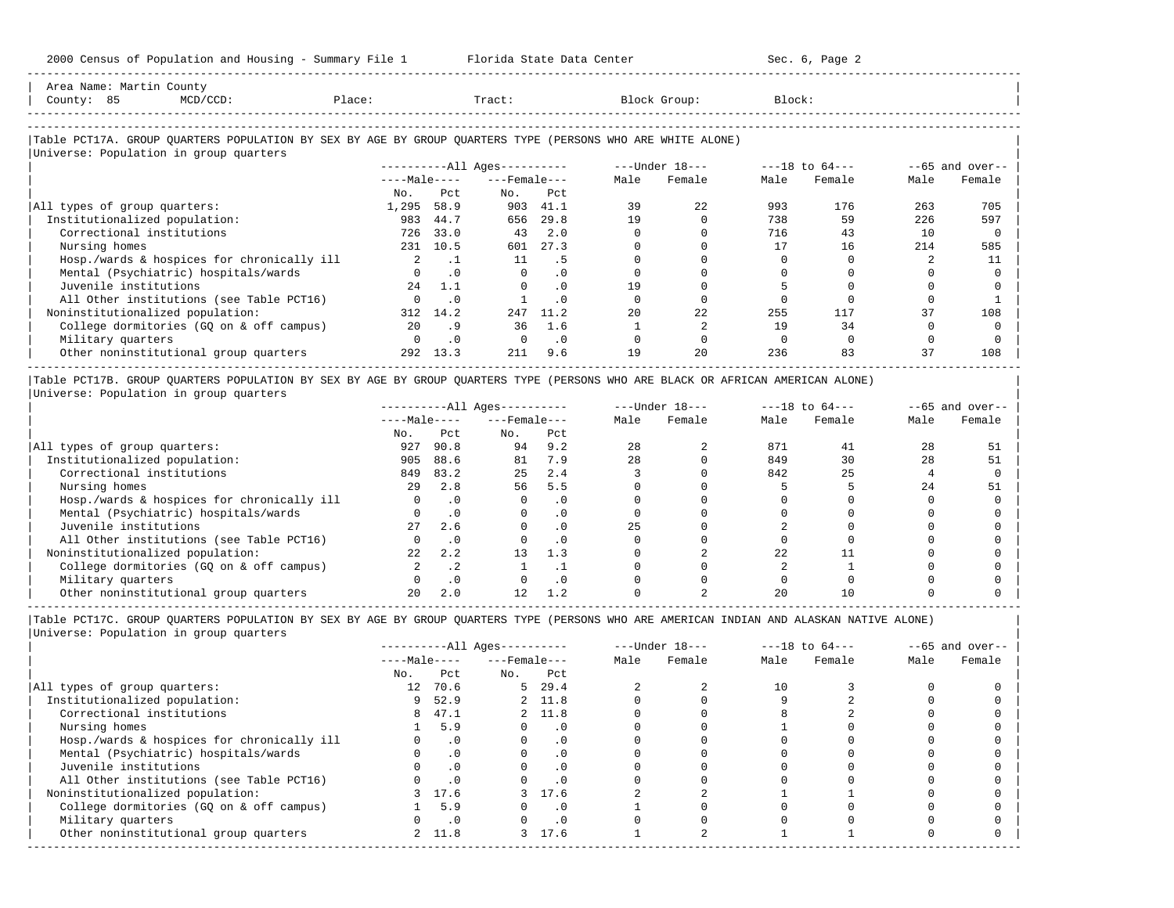2000 Census of Population and Housing - Summary File 1 Florida State Data Center Sec. 6, Page 2 -----------------------------------------------------------------------------------------------------------------------------------------------------

| Area Name: Martin County<br>County: 85<br>$MCD/CCD$ :                                                                                                 | Place:       |           | Tract:                 |           |      | Block Group:   | Block: |                    |      |                   |
|-------------------------------------------------------------------------------------------------------------------------------------------------------|--------------|-----------|------------------------|-----------|------|----------------|--------|--------------------|------|-------------------|
| Table PCT17A. GROUP QUARTERS POPULATION BY SEX BY AGE BY GROUP QUARTERS TYPE (PERSONS WHO ARE WHITE ALONE) <br>Universe: Population in group quarters |              |           |                        |           |      |                |        |                    |      |                   |
|                                                                                                                                                       |              |           | $------All Aqes------$ |           |      | ---Under 18--- |        | $---18$ to $64---$ |      | $--65$ and over-- |
|                                                                                                                                                       | $---Male---$ |           | $---$ Female $---$     |           | Male | Female         | Male   | Female             | Male | Female            |
|                                                                                                                                                       | No.          | Pct       | No.                    | Pct       |      |                |        |                    |      |                   |
| All types of group quarters:                                                                                                                          | 1,295        | 58.9      | 903                    | 41.1      | 39   | 22             | 993    | 176                | 263  | 705               |
| Institutionalized population:                                                                                                                         | 983          | 44.7      | 656                    | 29.8      | 19   |                | 738    | 59                 | 226  | 597               |
| Correctional institutions                                                                                                                             | 726          | 33.0      | 43                     | 2.0       |      |                | 716    | 43                 | 10   |                   |
| Nursing homes                                                                                                                                         | 231          | 10.5      | 601                    | 27.3      |      |                | 17     | 16                 | 214  | 585               |
| Hosp./wards & hospices for chronically ill                                                                                                            |              | $\cdot$ 1 | 11                     | . 5       |      |                |        |                    |      |                   |
| Mental (Psychiatric) hospitals/wards                                                                                                                  |              | $\cdot$ 0 | 0                      | . 0       |      |                |        |                    |      |                   |
| Juvenile institutions                                                                                                                                 | 2.4          | 1.1       |                        | $\cdot$ 0 | 19   |                |        |                    |      |                   |
| All Other institutions (see Table PCT16)                                                                                                              |              | $\cdot$ 0 |                        | $\cdot$ 0 |      |                |        |                    |      |                   |
| Noninstitutionalized population:                                                                                                                      | 312          | 14.2      | 247                    | 11.2      | 20   | 22             | 255    | 117                | 37   | 108               |

| College dormitories (GQ on & off campus) 20 .9 36 1.6 1 2 19 34 0 0 | | Military quarters 0 .0 0 .0 0 0 0 0 0 0 |

| Other noninstitutional group quarters 292 13.3 211 9.6 19 20 236 83 37 108 | ----------------------------------------------------------------------------------------------------------------------------------------------------- |Table PCT17B. GROUP QUARTERS POPULATION BY SEX BY AGE BY GROUP QUARTERS TYPE (PERSONS WHO ARE BLACK OR AFRICAN AMERICAN ALONE) |

|Universe: Population in group quarters |

|                                            |              |           | $------All Aqes------$ |           |      | $---Under 18---$ |      | $---18$ to $64---$ |      | $--65$ and over-- |
|--------------------------------------------|--------------|-----------|------------------------|-----------|------|------------------|------|--------------------|------|-------------------|
|                                            | $---Male---$ |           | $---$ Female $---$     |           | Male | Female           | Male | Female             | Male | Female            |
|                                            | No.          | Pct       | No.                    | Pct       |      |                  |      |                    |      |                   |
| All types of group quarters:               | 927          | 90.8      | 94                     | 9.2       | 28   |                  | 871  | 41                 | 28   | 51                |
| Institutionalized population:              | 905          | 88.6      | 81                     | 7.9       | 2.8  |                  | 849  | 30                 | 28   | 51                |
| Correctional institutions                  | 849          | 83.2      | 25                     | 2.4       |      |                  | 842  | 25                 |      |                   |
| Nursing homes                              | 2.9          | 2.8       | 56                     | 5.5       |      |                  |      |                    | 2.4  | 51                |
| Hosp./wards & hospices for chronically ill |              | $\cdot$ 0 |                        | . 0       |      |                  |      |                    |      |                   |
| Mental (Psychiatric) hospitals/wards       |              |           |                        |           |      |                  |      |                    |      |                   |
| Juvenile institutions                      | 27           | 2.6       |                        | . 0       | 25   |                  |      |                    |      |                   |
| All Other institutions (see Table PCT16)   |              |           |                        | $\cdot$ 0 |      |                  |      |                    |      |                   |
| Noninstitutionalized population:           | 22           | 2.2       | 13                     | 1.3       |      |                  | 2.2. |                    |      |                   |
| College dormitories (GO on & off campus)   |              | $\cdot$ 2 |                        |           |      |                  |      |                    |      |                   |
| Military quarters                          |              | .0        |                        | . 0       |      |                  |      |                    |      |                   |
| Other noninstitutional group quarters      |              | 2.0       |                        | 1.2       |      |                  | 20   |                    |      |                   |

-----------------------------------------------------------------------------------------------------------------------------------------------------

|                 |           | $------All Ages------$         |           |                                                                              | $---Under 18---$ |      | $---18$ to $64---$ |      | $--65$ and over-- |
|-----------------|-----------|--------------------------------|-----------|------------------------------------------------------------------------------|------------------|------|--------------------|------|-------------------|
|                 |           |                                |           | Male                                                                         | Female           | Male | Female             | Male | Female            |
| No.             | Pct       | No.                            | Pct       |                                                                              |                  |      |                    |      |                   |
| 12 <sup>7</sup> | 70.6      |                                | 29.4      |                                                                              |                  | 10   |                    |      |                   |
| 9               | 52.9      |                                |           |                                                                              |                  |      |                    |      |                   |
| 8               |           |                                |           |                                                                              |                  |      |                    |      |                   |
|                 | 5.9       |                                | $\cdot$ 0 |                                                                              |                  |      |                    |      |                   |
|                 | $\cdot$ 0 |                                | . 0       |                                                                              |                  |      |                    |      |                   |
|                 | $\cdot$ 0 |                                | $\cdot$ 0 |                                                                              |                  |      |                    |      |                   |
|                 |           |                                | $\cdot$ 0 |                                                                              |                  |      |                    |      |                   |
|                 |           |                                |           |                                                                              |                  |      |                    |      |                   |
|                 | 17.6      |                                |           |                                                                              |                  |      |                    |      |                   |
|                 | 5.9       |                                | $\cdot$ 0 |                                                                              |                  |      |                    |      |                   |
|                 | $\cdot$ 0 |                                | $\cdot$ 0 |                                                                              |                  |      |                    |      |                   |
|                 |           |                                |           |                                                                              |                  |      |                    |      |                   |
|                 |           | $---Male---$<br>47.1<br>2 11.8 |           | $---$ Female $---$<br>5 <sup>5</sup><br>2 11.8<br>2 11.8<br>3 17.6<br>3 17.6 |                  |      |                    |      |                   |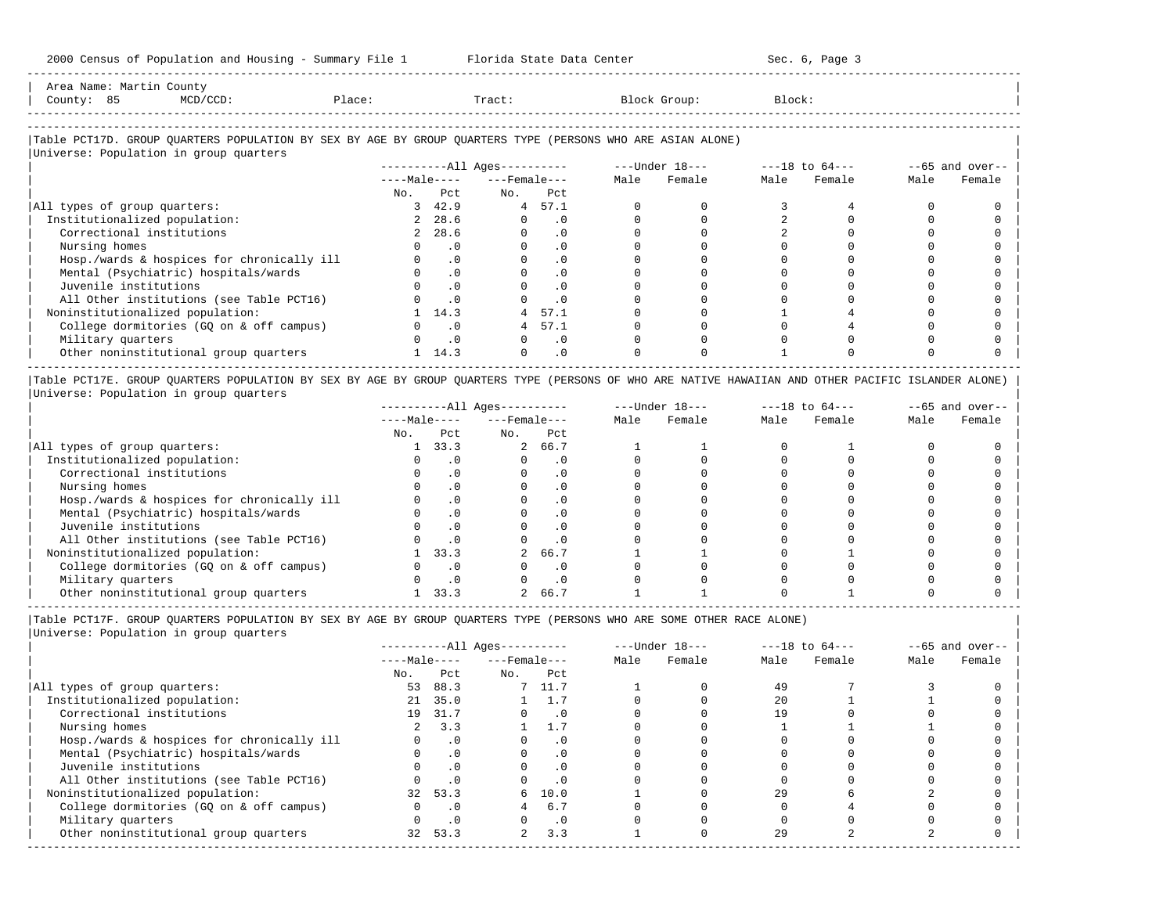-----------------------------------------------------------------------------------------------------------------------------------------------------

| Area<br>Name | ча. | ounc.                                                                                                           |       |       |        |        |
|--------------|-----|-----------------------------------------------------------------------------------------------------------------|-------|-------|--------|--------|
| County       | ັບ  | the contract of the contract of the contract of the contract of the contract of the contract of the contract of | 101.5 | Tract | JL OUD | Block' |
|              |     |                                                                                                                 |       |       |        |        |

-----------------------------------------------------------------------------------------------------------------------------------------------------

# |Table PCT17D. GROUP QUARTERS POPULATION BY SEX BY AGE BY GROUP QUARTERS TYPE (PERSONS WHO ARE ASIAN ALONE) |

|                                            |              |           | ----------All Ages---------- |           |      | $---Under 18---$ |      | $---18$ to $64---$ |      | $--65$ and over-- |
|--------------------------------------------|--------------|-----------|------------------------------|-----------|------|------------------|------|--------------------|------|-------------------|
|                                            | $---Male---$ |           | $---$ Female $---$           |           | Male | Female           | Male | Female             | Male | Female            |
|                                            | No.          | Pct       | No.                          | Pct       |      |                  |      |                    |      |                   |
| All types of group quarters:               |              | 3, 42.9   | $4\overline{ }$              | 57.1      |      |                  |      |                    |      |                   |
| Institutionalized population:              |              | 2 28.6    | $\Omega$                     | $\cdot$ 0 |      |                  |      |                    |      |                   |
| Correctional institutions                  |              | 2 28.6    |                              | $\cdot$ 0 |      |                  |      |                    |      |                   |
| Nursing homes                              |              | $\cdot$ 0 |                              | . 0       |      |                  |      |                    |      |                   |
| Hosp./wards & hospices for chronically ill |              | $\cdot$ 0 |                              | $\cdot$ 0 |      |                  |      |                    |      |                   |
| Mental (Psychiatric) hospitals/wards       |              | $\cdot$ 0 |                              | $\cdot$ 0 |      |                  |      |                    |      |                   |
| Juvenile institutions                      |              | $\cdot$ 0 |                              | $\cdot$ 0 |      |                  |      |                    |      |                   |
| All Other institutions (see Table PCT16)   |              | $\cdot$ 0 |                              | $\cdot$ 0 |      |                  |      |                    |      |                   |
| Noninstitutionalized population:           |              | 14.3      | 4                            | 57.1      |      |                  |      |                    |      |                   |
| College dormitories (GO on & off campus)   |              | $\cdot$ 0 | 4                            | 57.1      |      |                  |      |                    |      |                   |
| Military quarters                          |              | $\cdot$ 0 |                              | $\cdot$ 0 |      |                  |      |                    |      |                   |
| Other noninstitutional group quarters      |              | 14.3      | $\Omega$                     | $\cdot$ 0 |      |                  |      |                    |      |                   |

|Table PCT17E. GROUP QUARTERS POPULATION BY SEX BY AGE BY GROUP QUARTERS TYPE (PERSONS OF WHO ARE NATIVE HAWAIIAN AND OTHER PACIFIC ISLANDER ALONE) | |Universe: Population in group quarters |

|                                            |              |      | $------All Ages------$ |           |      | $---Under 18---$ | $---18$ to $64---$ |        | $--65$ and over-- |        |
|--------------------------------------------|--------------|------|------------------------|-----------|------|------------------|--------------------|--------|-------------------|--------|
|                                            | $---Male---$ |      | $---$ Female $---$     |           | Male | Female           | Male               | Female | Male              | Female |
|                                            | No.          | Pct. | No.                    | Pct       |      |                  |                    |        |                   |        |
| All types of group quarters:               |              | 33.3 |                        | 2 66.7    |      |                  |                    |        |                   |        |
| Institutionalized population:              |              |      |                        | . 0       |      |                  |                    |        |                   |        |
| Correctional institutions                  |              |      |                        | . 0       |      |                  |                    |        |                   |        |
| Nursing homes                              |              |      |                        | $\cdot$ 0 |      |                  |                    |        |                   |        |
| Hosp./wards & hospices for chronically ill |              |      |                        | . 0       |      |                  |                    |        |                   |        |
| Mental (Psychiatric) hospitals/wards       |              |      |                        |           |      |                  |                    |        |                   |        |
| Juvenile institutions                      |              |      |                        | . 0       |      |                  |                    |        |                   |        |
| All Other institutions (see Table PCT16)   |              |      |                        | $\cdot$ 0 |      |                  |                    |        |                   |        |
| Noninstitutionalized population:           |              | 33.3 |                        | 66.7      |      |                  |                    |        |                   |        |
| College dormitories (GQ on & off campus)   |              |      |                        | $\cdot$ 0 |      |                  |                    |        |                   |        |
| Military quarters                          |              |      |                        | $\cdot$ 0 |      |                  |                    |        |                   |        |
| Other noninstitutional group quarters      |              | 33.3 |                        | 66.7      |      |                  |                    |        |                   |        |

----------------------------------------------------------------------------------------------------------------------------------------------------- |Table PCT17F. GROUP QUARTERS POPULATION BY SEX BY AGE BY GROUP QUARTERS TYPE (PERSONS WHO ARE SOME OTHER RACE ALONE) |

|                                            |              |           | $------All Aqes------$ |           |      | $---Under 18---$ |      | $---18$ to $64---$ |      | $--65$ and over-- |
|--------------------------------------------|--------------|-----------|------------------------|-----------|------|------------------|------|--------------------|------|-------------------|
|                                            | $---Male---$ |           | $---$ Female ---       |           | Male | Female           | Male | Female             | Male | Female            |
|                                            | No.          | Pct       | No.                    | Pct       |      |                  |      |                    |      |                   |
| All types of group quarters:               | 53           | 88.3      |                        | 7 11.7    |      |                  | 49   |                    |      |                   |
| Institutionalized population:              | 21           | 35.0      |                        | 1.7       |      |                  | 20   |                    |      |                   |
| Correctional institutions                  | 19           | 31.7      |                        | $\cdot$ 0 |      |                  | 19   |                    |      |                   |
| Nursing homes                              |              | 3.3       |                        | 1.7       |      |                  |      |                    |      |                   |
| Hosp./wards & hospices for chronically ill |              | $\cdot$ 0 |                        | $\cdot$ 0 |      |                  |      |                    |      |                   |
| Mental (Psychiatric) hospitals/wards       |              | $\cdot$ 0 |                        | $\cdot$ 0 |      |                  |      |                    |      |                   |
| Juvenile institutions                      |              | .0        |                        | $\cdot$ 0 |      |                  |      |                    |      |                   |
| All Other institutions (see Table PCT16)   |              | .0        |                        | .0        |      |                  |      |                    |      |                   |
| Noninstitutionalized population:           | 32           | 53.3      | 6                      | 10.0      |      |                  | 29   |                    |      |                   |
| College dormitories (GO on & off campus)   |              | $\cdot$ 0 |                        | 6.7       |      |                  |      |                    |      |                   |
| Military quarters                          |              | $\cdot$ 0 |                        | $\cdot$ 0 |      |                  |      |                    |      |                   |
| Other noninstitutional group quarters      | 32           | 53.3      | $\overline{2}$         | 3.3       |      |                  | 29   |                    |      |                   |
|                                            |              |           |                        |           |      |                  |      |                    |      |                   |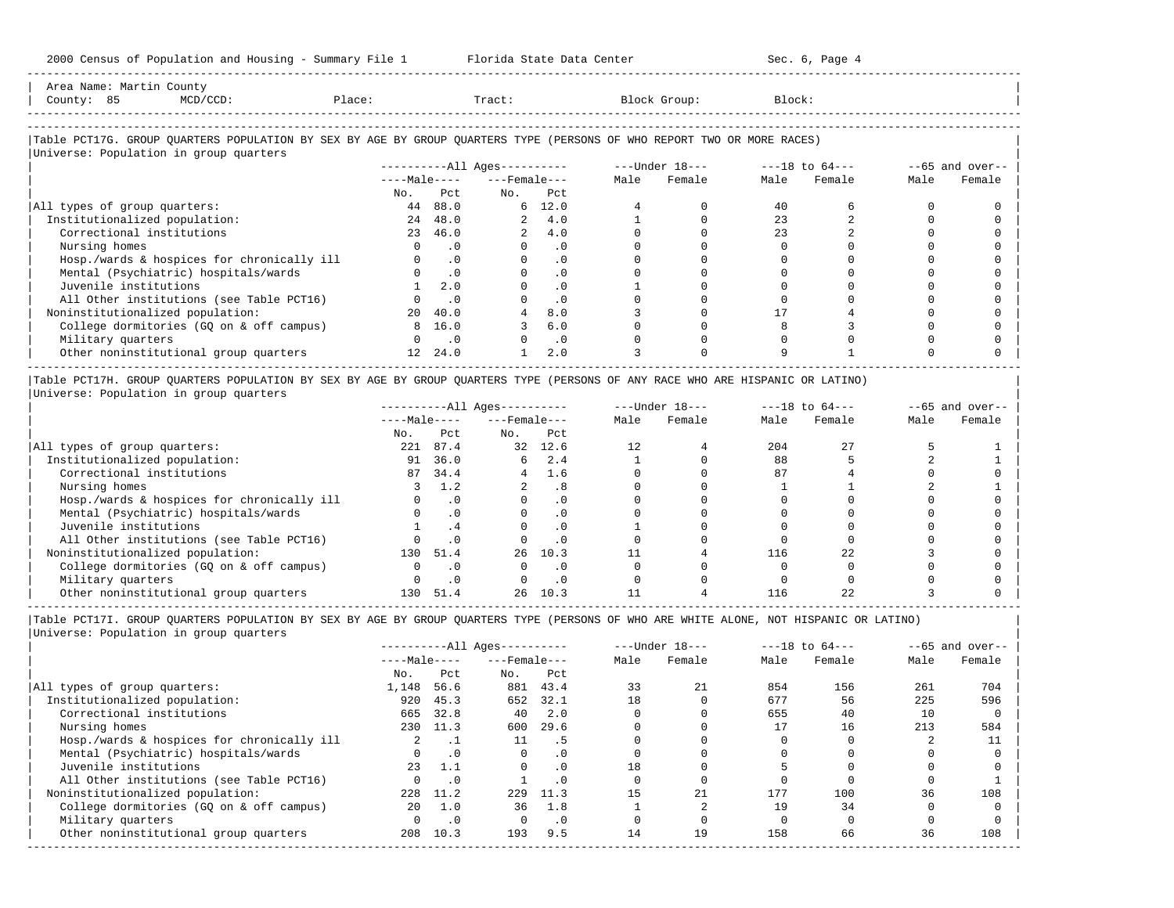| 2000 Census of Population and Housing - Summary File 1 Florida State Data Center                                              |          |               |                          |                                |                         |        | Sec. 6, Page 4 |      |                   |
|-------------------------------------------------------------------------------------------------------------------------------|----------|---------------|--------------------------|--------------------------------|-------------------------|--------|----------------|------|-------------------|
| Area Name: Martin County<br>County: 85<br>Place: Tract: Block Group:<br>$MCD/CCD$ :                                           |          |               |                          |                                |                         | Block: |                |      |                   |
| Table PCT17G. GROUP QUARTERS POPULATION BY SEX BY AGE BY GROUP QUARTERS TYPE (PERSONS OF WHO REPORT TWO OR MORE RACES)        |          |               |                          |                                |                         |        |                |      |                   |
| Universe: Population in group quarters                                                                                        |          |               |                          |                                |                         |        |                |      |                   |
|                                                                                                                               |          |               |                          |                                |                         |        |                |      | $--65$ and over-- |
|                                                                                                                               |          |               | $---Male-- ---Female---$ |                                | Male Female             |        | Male Female    | Male | Female            |
|                                                                                                                               | 44 88.0  |               | No. Pet No.              | Pct                            |                         |        |                |      |                   |
| All types of group quarters:                                                                                                  |          |               |                          | $6\quad 12.0$                  | $\Omega$                | 40     | 6              |      |                   |
| Institutionalized population:                                                                                                 |          | 24 48.0       |                          | 2, 4.0                         |                         | 23     |                |      |                   |
| Correctional institutions                                                                                                     |          | 23 46.0       |                          | 2, 4.0                         | $\Omega$                | 23     |                |      |                   |
| Nursing homes                                                                                                                 | $\Omega$ | .0            |                          | $0 \qquad \qquad$<br>$\cdot$ 0 |                         |        |                |      |                   |
| Hosp./wards & hospices for chronically ill                                                                                    |          | $\cdot$ 0     | $\Omega$                 | $\cdot$ 0                      | $\Omega$                |        |                |      |                   |
| Mental (Psychiatric) hospitals/wards                                                                                          |          | $0 \qquad .0$ |                          | $\cdot$ 0                      |                         |        |                |      |                   |
| Juvenile institutions                                                                                                         |          | $1 \quad 2.0$ |                          | $\cdot$ 0                      |                         |        |                |      |                   |
| All Other institutions (see Table PCT16)                                                                                      |          | $0 \qquad .0$ |                          | .0                             |                         |        |                |      |                   |
| Noninstitutionalized population:                                                                                              |          | 20 40.0       |                          | 8.0                            |                         | 17     |                |      |                   |
| College dormitories (GQ on & off campus)                                                                                      |          | 8 16.0        |                          | 3, 6, 0                        | $\Omega$                | 8      |                |      |                   |
| Military quarters                                                                                                             |          | $0 \qquad .0$ |                          | $0 \qquad .0$                  |                         |        |                |      |                   |
| Other noninstitutional group quarters 12 24.0                                                                                 |          |               |                          | 2.0                            |                         | 9      |                |      |                   |
| Table PCT17H. GROUP QUARTERS POPULATION BY SEX BY AGE BY GROUP QUARTERS TYPE (PERSONS OF ANY RACE WHO ARE HISPANIC OR LATINO) |          |               |                          |                                |                         |        |                |      |                   |
| Universe: Population in group quarters                                                                                        |          |               |                          |                                |                         |        |                |      |                   |
|                                                                                                                               |          |               |                          |                                |                         |        |                |      | $--65$ and over-- |
|                                                                                                                               |          |               | $---Male-- ---Female---$ |                                | Male Female Male Female |        |                | Male | Female            |
|                                                                                                                               |          | No. Pct       | No. Pct                  |                                |                         |        |                |      |                   |

|                                            | ----Male---- |           | ---Female--- |      | Male | Female | Male | Female | Male | Female |
|--------------------------------------------|--------------|-----------|--------------|------|------|--------|------|--------|------|--------|
|                                            | No.          | Pct       | No.          | Pct  |      |        |      |        |      |        |
| All types of group quarters:               | 221          | 87.4      | 32           | 12.6 | 12.  |        | 204  | 27     |      |        |
| Institutionalized population:              | 91           | 36.0      | 6            | 2.4  |      |        | 88   |        |      |        |
| Correctional institutions                  | 87           | 34.4      |              | 1.6  |      |        | 87   |        |      |        |
| Nursing homes                              |              | 1.2       |              | . 8  |      |        |      |        |      |        |
| Hosp./wards & hospices for chronically ill |              | . 0       |              |      |      |        |      |        |      |        |
| Mental (Psychiatric) hospitals/wards       |              | $\cdot$ 0 |              |      |      |        |      |        |      |        |
| Juvenile institutions                      |              |           |              |      |      |        |      |        |      |        |
| All Other institutions (see Table PCT16)   |              |           |              |      |      |        |      |        |      |        |
| Noninstitutionalized population:           | 130          | 51.4      | 26           | 10.3 |      |        | 116  |        |      |        |
| College dormitories (GO on & off campus)   |              |           |              |      |      |        |      |        |      |        |
| Military quarters                          |              |           |              |      |      |        |      |        |      |        |
| Other noninstitutional group quarters      | 130          | 51.4      | 26           | 10.3 |      |        | 116  |        |      |        |

-----------------------------------------------------------------------------------------------------------------------------------------------------

|                                            |              |           | $------All Aqes------$ |           |      | $---Under 18---$ |      | $---18$ to $64---$ |      | $--65$ and over-- |
|--------------------------------------------|--------------|-----------|------------------------|-----------|------|------------------|------|--------------------|------|-------------------|
|                                            | $---Male---$ |           | $---$ Female $---$     |           | Male | Female           | Male | Female             | Male | Female            |
|                                            | No.          | Pct       | No.                    | Pct       |      |                  |      |                    |      |                   |
| All types of group quarters:               | 1,148        | 56.6      | 881                    | 43.4      | 33   | 21               | 854  | 156                | 261  | 704               |
| Institutionalized population:              | 920          | 45.3      | 652                    | 32.1      | 18   |                  | 677  | 56                 | 225  | 596               |
| Correctional institutions                  | 665          | 32.8      | 40                     | 2.0       |      |                  | 655  | 40                 | 10   |                   |
| Nursing homes                              | 230          | 11.3      | 600                    | 29.6      |      |                  | 17   | 16                 | 213  | 584               |
| Hosp./wards & hospices for chronically ill |              |           | 11                     | . 5       |      |                  |      |                    |      |                   |
| Mental (Psychiatric) hospitals/wards       | <sup>n</sup> | $\cdot$ 0 | $\Omega$               | $\cdot$ 0 |      |                  |      |                    |      |                   |
| Juvenile institutions                      | 23           | 1.1       |                        | $\cdot$ 0 | 18   |                  |      |                    |      |                   |
| All Other institutions (see Table PCT16)   |              | $\cdot$ 0 |                        | . 0       |      |                  |      |                    |      |                   |
| Noninstitutionalized population:           | 228          | 11.2      | 229                    | 11.3      | 1.5  | 21               | 177  | 100                | 36   | 108               |
| College dormitories (GO on & off campus)   | 20           | 1.0       | 36                     | 1.8       |      |                  | 19   | 34                 |      |                   |
| Military quarters                          |              | $\cdot$ 0 |                        | $\cdot$ 0 |      |                  |      |                    |      |                   |
| Other noninstitutional group quarters      | 208          | 10.3      | 193                    | 9.5       | 14   | 19               | 158  | 66                 | 36   | 108               |
|                                            |              |           |                        |           |      |                  |      |                    |      |                   |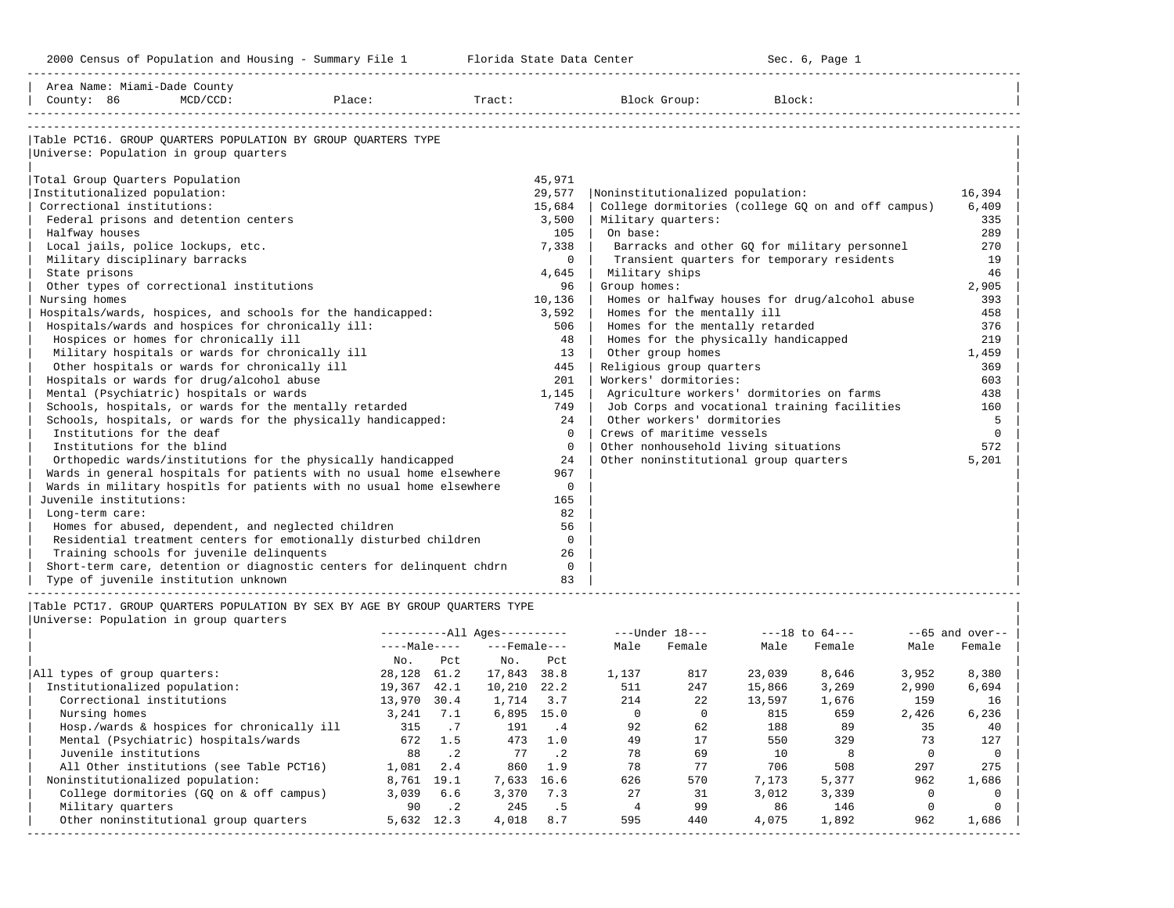| Area Name: Miami-Dade County |

-----------------------------------------------------------------------------------------------------------------------------------------------------

| County: 86<br>$MCD/CCD$ :<br>Place:                                                               |             |  | Tract:                    |                |                | Block Group:                                                               | Block:                                |                                                    |                |                       |  |  |  |  |
|---------------------------------------------------------------------------------------------------|-------------|--|---------------------------|----------------|----------------|----------------------------------------------------------------------------|---------------------------------------|----------------------------------------------------|----------------|-----------------------|--|--|--|--|
|                                                                                                   |             |  |                           |                |                |                                                                            |                                       |                                                    |                |                       |  |  |  |  |
| Table PCT16. GROUP QUARTERS POPULATION BY GROUP QUARTERS TYPE                                     |             |  |                           |                |                |                                                                            |                                       |                                                    |                |                       |  |  |  |  |
| Universe: Population in group quarters                                                            |             |  |                           |                |                |                                                                            |                                       |                                                    |                |                       |  |  |  |  |
|                                                                                                   |             |  |                           |                |                |                                                                            |                                       |                                                    |                |                       |  |  |  |  |
| Total Group Quarters Population                                                                   |             |  |                           | 45,971         |                |                                                                            |                                       |                                                    |                |                       |  |  |  |  |
| Institutionalized population:                                                                     |             |  |                           | 29,577         |                |                                                                            | Noninstitutionalized population:      |                                                    |                | 16,394                |  |  |  |  |
| Correctional institutions:                                                                        |             |  |                           | 15,684         |                |                                                                            |                                       | College dormitories (college GO on and off campus) |                | 6,409                 |  |  |  |  |
| Federal prisons and detention centers                                                             | 3,500       |  |                           |                |                |                                                                            | Military quarters:                    |                                                    |                |                       |  |  |  |  |
| Halfway houses                                                                                    |             |  |                           | 105            | On base:       |                                                                            |                                       |                                                    |                | 289                   |  |  |  |  |
| Local jails, police lockups, etc.                                                                 |             |  |                           | 7,338          |                |                                                                            |                                       | Barracks and other GQ for military personnel       |                | 270                   |  |  |  |  |
| Military disciplinary barracks                                                                    |             |  |                           | $\circ$        |                |                                                                            |                                       | Transient quarters for temporary residents         |                | 19                    |  |  |  |  |
| State prisons                                                                                     |             |  |                           | 4,645          | Military ships |                                                                            |                                       |                                                    |                | 46                    |  |  |  |  |
| Other types of correctional institutions                                                          |             |  |                           | 96             | Group homes:   |                                                                            |                                       |                                                    |                | 2,905                 |  |  |  |  |
| Nursing homes                                                                                     |             |  |                           | 10,136         |                |                                                                            |                                       | Homes or halfway houses for drug/alcohol abuse     |                | 393                   |  |  |  |  |
| Hospitals/wards, hospices, and schools for the handicapped:                                       |             |  |                           | 3,592          |                | Homes for the mentally ill                                                 |                                       |                                                    |                | 458                   |  |  |  |  |
| Hospitals/wards and hospices for chronically ill:                                                 |             |  |                           | 506            |                |                                                                            | Homes for the mentally retarded       |                                                    |                | 376                   |  |  |  |  |
| Hospices or homes for chronically ill                                                             |             |  |                           | 48             |                |                                                                            | Homes for the physically handicapped  |                                                    |                | 219                   |  |  |  |  |
| Military hospitals or wards for chronically ill                                                   |             |  |                           | 13             |                | Other group homes                                                          |                                       |                                                    |                | 1,459                 |  |  |  |  |
| Other hospitals or wards for chronically ill                                                      |             |  |                           | 445<br>201     |                | Religious group quarters                                                   |                                       |                                                    |                | 369                   |  |  |  |  |
| Hospitals or wards for drug/alcohol abuse                                                         |             |  |                           | 1,145          |                | Workers' dormitories:                                                      |                                       | Agriculture workers' dormitories on farms          |                | 603<br>438            |  |  |  |  |
| Mental (Psychiatric) hospitals or wards<br>Schools, hospitals, or wards for the mentally retarded |             |  |                           | 749            |                |                                                                            |                                       |                                                    |                | 160                   |  |  |  |  |
| Schools, hospitals, or wards for the physically handicapped:                                      |             |  |                           | 24             |                | Job Corps and vocational training facilities<br>Other workers' dormitories |                                       |                                                    |                |                       |  |  |  |  |
| Institutions for the deaf                                                                         |             |  |                           | $\Omega$       |                | Crews of maritime vessels                                                  |                                       |                                                    |                |                       |  |  |  |  |
| Institutions for the blind                                                                        |             |  |                           | $\mathbf{0}$   |                |                                                                            | Other nonhousehold living situations  |                                                    |                | $\overline{0}$<br>572 |  |  |  |  |
| Orthopedic wards/institutions for the physically handicapped                                      |             |  |                           | 24             |                |                                                                            | Other noninstitutional group quarters |                                                    |                | 5,201                 |  |  |  |  |
| Wards in general hospitals for patients with no usual home elsewhere                              |             |  |                           | 967            |                |                                                                            |                                       |                                                    |                |                       |  |  |  |  |
| Wards in military hospitls for patients with no usual home elsewhere                              |             |  |                           | $\circ$        |                |                                                                            |                                       |                                                    |                |                       |  |  |  |  |
| Juvenile institutions:                                                                            |             |  |                           | 165            |                |                                                                            |                                       |                                                    |                |                       |  |  |  |  |
| Long-term care:                                                                                   |             |  |                           | 82             |                |                                                                            |                                       |                                                    |                |                       |  |  |  |  |
| Homes for abused, dependent, and neglected children                                               |             |  |                           | 56             |                |                                                                            |                                       |                                                    |                |                       |  |  |  |  |
| Residential treatment centers for emotionally disturbed children                                  |             |  |                           | $\mathbf 0$    |                |                                                                            |                                       |                                                    |                |                       |  |  |  |  |
| Training schools for juvenile delinquents                                                         |             |  |                           | 26             |                |                                                                            |                                       |                                                    |                |                       |  |  |  |  |
| Short-term care, detention or diagnostic centers for delinquent chdrn                             |             |  |                           | $\overline{0}$ |                |                                                                            |                                       |                                                    |                |                       |  |  |  |  |
| Type of juvenile institution unknown                                                              |             |  |                           | 83             |                |                                                                            |                                       |                                                    |                |                       |  |  |  |  |
|                                                                                                   |             |  |                           |                |                |                                                                            |                                       |                                                    |                |                       |  |  |  |  |
| Table PCT17. GROUP QUARTERS POPULATION BY SEX BY AGE BY GROUP QUARTERS TYPE                       |             |  |                           |                |                |                                                                            |                                       |                                                    |                |                       |  |  |  |  |
| Universe: Population in group quarters                                                            |             |  | $------All Aqes------$    |                |                | ---Under 18---                                                             |                                       | $---18$ to $64---$                                 |                | $--65$ and over--     |  |  |  |  |
|                                                                                                   |             |  | $---Male---$ ---Female--- |                | Male           | Female                                                                     | Male                                  | Female                                             | Male           | Female                |  |  |  |  |
|                                                                                                   | No. Pct     |  | $NQ$ .                    | Pct            |                |                                                                            |                                       |                                                    |                |                       |  |  |  |  |
| All types of group quarters:                                                                      | 28,128 61.2 |  | 17,843 38.8               |                | 1,137          | 817                                                                        | 23,039                                | 8,646                                              | 3,952          | 8,380                 |  |  |  |  |
| Institutionalized population:                                                                     | 19,367 42.1 |  | 10,210 22.2               |                | 511            | 247                                                                        | 15,866                                | 3,269                                              | 2,990          | 6,694                 |  |  |  |  |
| Correctional institutions                                                                         | 13,970 30.4 |  | 1,714 3.7                 |                | 214            | 22                                                                         | 13,597                                | 1,676                                              | 159            | 16                    |  |  |  |  |
| Nursing homes                                                                                     | 3,241 7.1   |  | $6,895$ 15.0              |                | $\overline{0}$ | $\overline{0}$                                                             | 815                                   | 659                                                | 2,426          | 6,236                 |  |  |  |  |
| Hosp./wards & hospices for chronically ill                                                        | 315 .7      |  | 191 .4                    |                | 92             | 62                                                                         | 188                                   | 89                                                 | 35             | 40                    |  |  |  |  |
| Mental (Psychiatric) hospitals/wards                                                              | 672 1.5     |  |                           | 473 1.0        | 49             | 17                                                                         | 550                                   | 329                                                | 73             | 127                   |  |  |  |  |
| Juvenile institutions                                                                             | 88 .2       |  | 77.2                      |                | 78             | 69                                                                         | 10                                    | $_{\rm 8}$                                         | $\bigcirc$     | $\overline{0}$        |  |  |  |  |
| All Other institutions (see Table PCT16) 1,081 2.4                                                |             |  |                           | 860 1.9        | 78             | 77                                                                         | 706                                   | 508                                                | 297            | 275                   |  |  |  |  |
| Noninstitutionalized population:                                                                  | 8,761 19.1  |  | 7,633 16.6                |                | 626            | 570                                                                        | 7,173                                 | 5,377                                              | 962            | 1,686                 |  |  |  |  |
| College dormitories (GQ on & off campus) 3,039 6.6                                                |             |  | 3,370 7.3                 |                | 27             | 31                                                                         | 3,012                                 | 3,339                                              | $\overline{0}$ | $\mathbf 0$           |  |  |  |  |
| Military quarters                                                                                 | 90 .2       |  | 245 .5                    |                | $\overline{4}$ | 99                                                                         | 86                                    | 146                                                | $\overline{0}$ | $\mathbf 0$           |  |  |  |  |
| Other noninstitutional group quarters                                                             | 5,632 12.3  |  | 4,018 8.7                 |                | 595            | 440                                                                        | 4,075                                 | 1,892                                              | 962            | 1,686                 |  |  |  |  |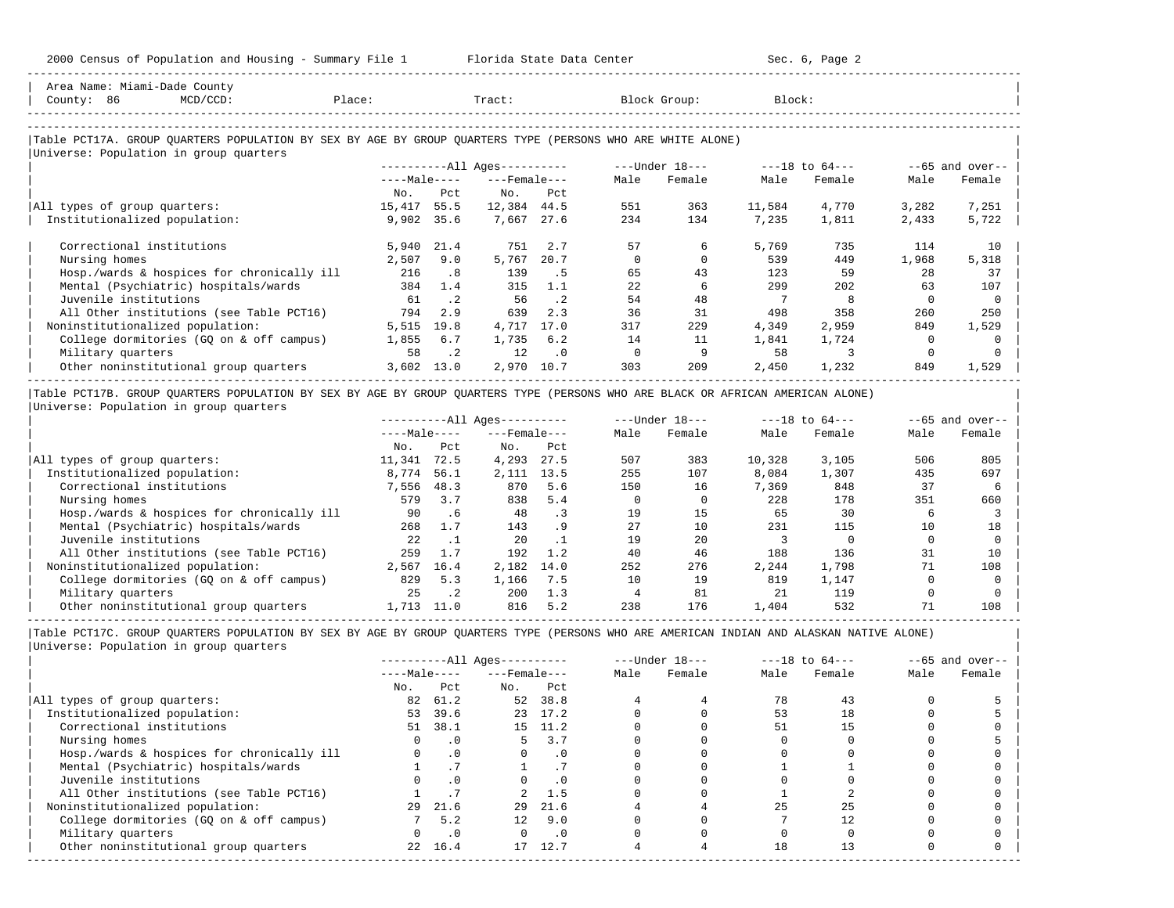-----------------------------------------------------------------------------------------------------------------------------------------------------

| County: 86                    | MCD/CCD:                                                                                                                       | Place: |              | Tract:                       |           |          | Block Group:   | Block:       |                    |          |                                                  |
|-------------------------------|--------------------------------------------------------------------------------------------------------------------------------|--------|--------------|------------------------------|-----------|----------|----------------|--------------|--------------------|----------|--------------------------------------------------|
|                               |                                                                                                                                |        |              |                              |           |          |                |              |                    |          |                                                  |
|                               | Table PCT17A. GROUP QUARTERS POPULATION BY SEX BY AGE BY GROUP QUARTERS TYPE (PERSONS WHO ARE WHITE ALONE)                     |        |              |                              |           |          |                |              |                    |          |                                                  |
|                               | Universe: Population in group quarters                                                                                         |        |              |                              |           |          |                |              |                    |          |                                                  |
|                               |                                                                                                                                |        |              | ----------All Ages---------- |           |          | ---Under 18--- |              | $---18$ to $64---$ |          | $--65$ and over--                                |
|                               |                                                                                                                                |        | $---Male---$ | $---$ Female $---$           |           | Male     | Female         | Male         | Female             | Male     | Female                                           |
|                               |                                                                                                                                | No.    | Pct          | No.                          | Pct       |          |                |              |                    |          |                                                  |
| All types of group quarters:  |                                                                                                                                | 15,417 | 55.5         | 12,384 44.5                  |           | 551      | 363            | 11,584       | 4,770              | 3,282    | 7,251                                            |
| Institutionalized population: |                                                                                                                                |        | 9,902 35.6   | 7,667                        | 27.6      | 234      | 134            | 7,235        | 1,811              | 2,433    | 5,722                                            |
| Correctional institutions     |                                                                                                                                |        | 5,940 21.4   | 751                          | 2.7       | 57       | 6              | 5,769        | 735                | 114      | 10                                               |
| Nursing homes                 |                                                                                                                                | 2,507  | 9.0          | 5,767                        | 20.7      | $\Omega$ | $\Omega$       | 539          | 449                | 1,968    | 5,318                                            |
|                               | Hosp./wards & hospices for chronically ill                                                                                     | 216    | .8           | 139                          | .5        | 65       | 43             | 123          | 59                 | 28       | 37                                               |
|                               | Mental (Psychiatric) hospitals/wards                                                                                           | 384    | 1.4          | 315                          | 1.1       | 22       | 6              | 299          | 202                | 63       | 107                                              |
| Juvenile institutions         |                                                                                                                                | 61     | $\cdot$ 2    | 56                           | $\cdot$ 2 | 54       | 48             |              |                    | $\Omega$ | $\Omega$                                         |
|                               | All Other institutions (see Table PCT16)                                                                                       | 794    | 2.9          | 639                          | 2.3       | 36       | 31             | 498          | 358                | 260      | 250                                              |
|                               | Noninstitutionalized population:                                                                                               | 5,515  | 19.8         | 4,717                        | 17.0      | 317      | 229            | 4,349        | 2,959              | 849      | 1,529                                            |
|                               | College dormitories (GQ on & off campus)                                                                                       | 1,855  | 6.7          | 1,735                        | 6.2       | 14       | 11             | 1,841        | 1,724              | 0        |                                                  |
| Military quarters             |                                                                                                                                | 58     | $\cdot$ 2    | 12                           | $\cdot$ 0 | 0        | 9              | 58           | 3                  | $\Omega$ |                                                  |
|                               | Other noninstitutional group quarters                                                                                          | 3,602  | 13.0         | 2,970 10.7                   |           | 303      | 209            | 2,450        | 1,232              | 849      | 1,529                                            |
|                               | Table PCT17B. GROUP QUARTERS POPULATION BY SEX BY AGE BY GROUP QUARTERS TYPE (PERSONS WHO ARE BLACK OR AFRICAN AMERICAN ALONE) |        |              |                              |           |          |                |              |                    |          |                                                  |
|                               | Universe: Population in group quarters                                                                                         |        |              |                              |           |          |                |              |                    |          |                                                  |
|                               |                                                                                                                                |        |              |                              |           |          |                |              |                    |          | $--65$ and over--                                |
|                               |                                                                                                                                |        |              |                              |           |          |                | $\mathbf{v}$ |                    |          | $\sim$ $\sim$ $\sim$ $\sim$ $\sim$ $\sim$ $\sim$ |

|                                            |              |           | ----------All Ages--------- |      |      | $---$ under to--- |        | ---IQ LU 04--- |      | $--$ bb dilu over |
|--------------------------------------------|--------------|-----------|-----------------------------|------|------|-------------------|--------|----------------|------|-------------------|
|                                            | $---Male---$ |           | $---$ Female $---$          |      | Male | Female            | Male   | Female         | Male | Female            |
|                                            | No.          | Pct       | No.                         | Pct  |      |                   |        |                |      |                   |
| All types of group quarters:               | 11,341       | 72.5      | 4,293                       | 27.5 | 507  | 383               | 10,328 | 3,105          | 506  | 805               |
| Institutionalized population:              | 8,774        | 56.1      | 2,111                       | 13.5 | 255  | 107               | 8,084  | 1,307          | 435  | 697               |
| Correctional institutions                  | 7,556        | 48.3      | 870                         | 5.6  | 150  | 16                | 7,369  | 848            | 37   |                   |
| Nursing homes                              | 579          | 3.7       | 838                         | 5.4  |      |                   | 228    | 178            | 351  | 660               |
| Hosp./wards & hospices for chronically ill | 90           | . 6       | 48                          |      | 19   | 15                | 65     | 30             | h    |                   |
| Mental (Psychiatric) hospitals/wards       | 268          | 1.7       | 143                         | . 9  | 27   | 10                | 231    | 115            | 10   | 18                |
| Juvenile institutions                      | 2.2.         |           | 20                          |      | 19   | 2.0               |        |                |      |                   |
| All Other institutions (see Table PCT16)   | 259          | 1.7       | 192                         | 1.2  | 40   | 46                | 188    | 136            | 31   | 10                |
| Noninstitutionalized population:           | 2,567        | 16.4      | 2,182                       | 14.0 | 252  | 276               | 2,244  | 1,798          | 71   | 108               |
| College dormitories (GO on & off campus)   | 829          | 5.3       | 1,166                       | 7.5  | 10   | 19                | 819    | 1,147          |      |                   |
| Military quarters                          | 25           | $\cdot$ 2 | 200                         | 1.3  |      | 81                | 21     | 119            |      |                   |
| Other noninstitutional group quarters      | 1,713        | 11.0      | 816                         | 5.2  | 238  | 176               | 1,404  | 532            | 71   | 108               |

|                                            |              |           | $------All Aqes------$ |           |      | $---Under 18---$ | $---18$ to $64---$ |        | $--65$ and over-- |        |
|--------------------------------------------|--------------|-----------|------------------------|-----------|------|------------------|--------------------|--------|-------------------|--------|
|                                            | $---Male---$ |           | $---$ Female ---       |           | Male | Female           | Male               | Female | Male              | Female |
|                                            | No.          | Pct       | No.                    | Pct       |      |                  |                    |        |                   |        |
| All types of group quarters:               | 82           | 61.2      | 52                     | 38.8      |      |                  | 78                 | 43     |                   |        |
| Institutionalized population:              | 53           | 39.6      |                        | 23 17.2   |      |                  | 53                 | 18     |                   |        |
| Correctional institutions                  | 51           | 38.1      |                        | 15 11.2   |      |                  | 51                 | 15     |                   |        |
| Nursing homes                              |              | $\cdot$ 0 |                        | 3.7       |      |                  |                    |        |                   |        |
| Hosp./wards & hospices for chronically ill |              | .0        |                        | . 0       |      |                  |                    |        |                   |        |
| Mental (Psychiatric) hospitals/wards       |              |           |                        |           |      |                  |                    |        |                   |        |
| Juvenile institutions                      |              | $\cdot$ 0 |                        | . 0       |      |                  |                    |        |                   |        |
| All Other institutions (see Table PCT16)   |              |           |                        | 1.5       |      |                  |                    |        |                   |        |
| Noninstitutionalized population:           | 29           | 21.6      | 29                     | 21.6      |      |                  | 25                 |        |                   |        |
| College dormitories (GQ on & off campus)   |              | 5.2       | 12.                    | 9.0       |      |                  |                    |        |                   |        |
| Military quarters                          |              |           |                        | $\cdot$ 0 |      |                  |                    |        |                   |        |
| Other noninstitutional group quarters      | 2.2          | 16.4      | 17                     | 12.7      |      |                  | 18                 |        |                   |        |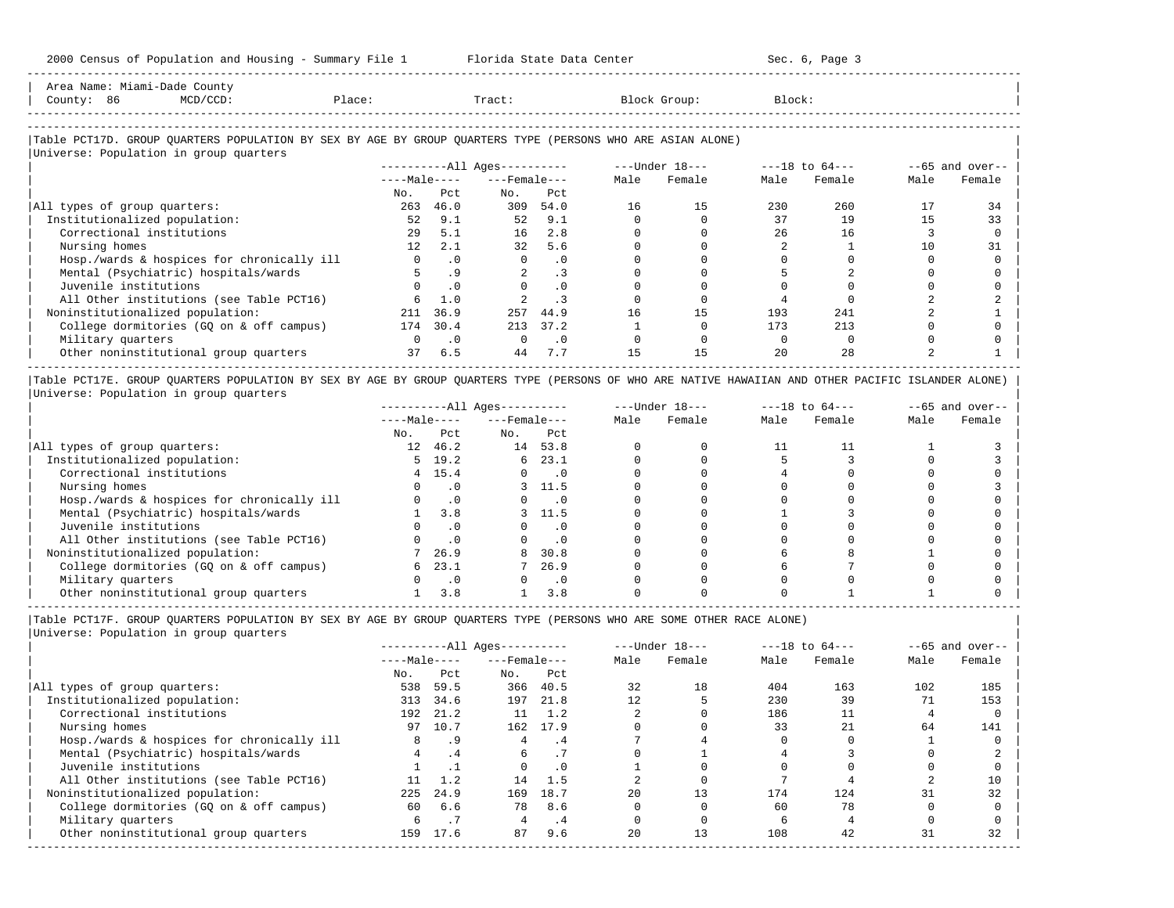-----------------------------------------------------------------------------------------------------------------------------------------------------

| Area Name: | -Dade<br>Miami | County                                                                                           |        |  |        |
|------------|----------------|--------------------------------------------------------------------------------------------------|--------|--|--------|
| Count      | 86             | $\sim$ $\sim$<br>the contract of the contract of the contract of the contract of the contract of | ⊥ace i |  | Block. |
|            |                |                                                                                                  |        |  |        |

-----------------------------------------------------------------------------------------------------------------------------------------------------

## |Table PCT17D. GROUP QUARTERS POPULATION BY SEX BY AGE BY GROUP QUARTERS TYPE (PERSONS WHO ARE ASIAN ALONE) |

|                                            |                 |           | $------All Aqes------$ |           |      | $---Under 18---$ |      | $---18$ to $64---$ |      | $--65$ and over-- |
|--------------------------------------------|-----------------|-----------|------------------------|-----------|------|------------------|------|--------------------|------|-------------------|
|                                            | $---Male---$    |           | $---$ Female $---$     |           | Male | Female           | Male | Female             | Male | Female            |
|                                            | No.             | Pct       | No.                    | Pct       |      |                  |      |                    |      |                   |
| All types of group quarters:               | 263             | 46.0      | 309                    | 54.0      | 16   | 15               | 230  | 260                |      | 34                |
| Institutionalized population:              | 52              | 9.1       | 52                     | 9.1       |      |                  | 37   | 19                 | 1.5  | 33                |
| Correctional institutions                  | 29              | 5.1       | 16                     | 2.8       |      |                  | 26   | 16                 |      |                   |
| Nursing homes                              | 12 <sup>°</sup> | 2.1       | 32                     | 5.6       |      |                  |      |                    | 10   | 31                |
| Hosp./wards & hospices for chronically ill | $\Omega$        | $\cdot$ 0 | $\Omega$               | $\cdot$ 0 |      |                  |      |                    |      |                   |
| Mental (Psychiatric) hospitals/wards       |                 | . 9       |                        | $\cdot$ 3 |      |                  |      |                    |      |                   |
| Juvenile institutions                      |                 | . 0       |                        | $\cdot$ 0 |      |                  |      |                    |      |                   |
| All Other institutions (see Table PCT16)   |                 | 1.0       |                        |           |      |                  |      |                    |      |                   |
| Noninstitutionalized population:           | 211             | 36.9      | 257                    | 44.9      | 16   | 15               | 193  | 241                |      |                   |
| College dormitories (GO on & off campus)   | 174             | 30.4      | 213                    | 37.2      |      |                  | 173  | 213                |      |                   |
| Military quarters                          |                 | $\cdot$ 0 | $\Omega$               | $\cdot$ 0 |      |                  |      |                    |      |                   |
| Other noninstitutional group quarters      | 37              | 6.5       | 44                     | 7.7       | 15   | 15               | 20   | 2.8                |      |                   |

|Table PCT17E. GROUP QUARTERS POPULATION BY SEX BY AGE BY GROUP QUARTERS TYPE (PERSONS OF WHO ARE NATIVE HAWAIIAN AND OTHER PACIFIC ISLANDER ALONE) | |Universe: Population in group quarters |

|                                            |              |                | $------All Ages------$ |           |      | $---Under 18---$ | $---18$ to $64---$ |        | $--65$ and over-- |        |
|--------------------------------------------|--------------|----------------|------------------------|-----------|------|------------------|--------------------|--------|-------------------|--------|
|                                            | $---Male---$ |                | $---$ Female $---$     |           | Male | Female           | Male               | Female | Male              | Female |
|                                            | No.          | Pct            | No.                    | Pct       |      |                  |                    |        |                   |        |
| All types of group quarters:               |              | 12 46.2        | 14                     | 53.8      |      |                  |                    |        |                   |        |
| Institutionalized population:              |              | $5 \quad 19.2$ | б.                     | 23.1      |      |                  |                    |        |                   |        |
| Correctional institutions                  |              | 4 15.4         |                        | $\cdot$ 0 |      |                  |                    |        |                   |        |
| Nursing homes                              |              |                |                        | 3 11.5    |      |                  |                    |        |                   |        |
| Hosp./wards & hospices for chronically ill |              | $\cdot$ 0      |                        | $\cdot$ 0 |      |                  |                    |        |                   |        |
| Mental (Psychiatric) hospitals/wards       |              | 3.8            |                        | 11.5      |      |                  |                    |        |                   |        |
| Juvenile institutions                      |              | $\cdot$ 0      |                        | $\cdot$ 0 |      |                  |                    |        |                   |        |
| All Other institutions (see Table PCT16)   |              |                |                        | $\cdot$ 0 |      |                  |                    |        |                   |        |
| Noninstitutionalized population:           |              | 26.9           | 8                      | 30.8      |      |                  |                    |        |                   |        |
| College dormitories (GQ on & off campus)   | б.           | 23.1           |                        | 26.9      |      |                  |                    |        |                   |        |
| Military quarters                          |              | $\cdot$ 0      |                        | $\cdot$ 0 |      |                  |                    |        |                   |        |
| Other noninstitutional group quarters      |              | 3.8            |                        | 3.8       |      |                  |                    |        |                   |        |

-----------------------------------------------------------------------------------------------------------------------------------------------------

|Table PCT17F. GROUP QUARTERS POPULATION BY SEX BY AGE BY GROUP QUARTERS TYPE (PERSONS WHO ARE SOME OTHER RACE ALONE) |

|                                            |              |      | $------All Ages------$ |           |      | $---Under 18---$ |      | $---18$ to $64---$ |      | $--65$ and over-- |
|--------------------------------------------|--------------|------|------------------------|-----------|------|------------------|------|--------------------|------|-------------------|
|                                            | $---Male---$ |      | $---$ Female $---$     |           | Male | Female           | Male | Female             | Male | Female            |
|                                            | No.          | Pct  | No.                    | Pct       |      |                  |      |                    |      |                   |
| All types of group quarters:               | 538          | 59.5 | 366                    | 40.5      | 32   | 18               | 404  | 163                | 102  | 185               |
| Institutionalized population:              | 313          | 34.6 | 197                    | 21.8      | 12   |                  | 230  | 39                 |      | 153               |
| Correctional institutions                  | 192          | 21.2 | 11                     | 1.2       |      |                  | 186  |                    |      |                   |
| Nursing homes                              | 97           | 10.7 | 162                    | 17.9      |      |                  | 33   | 21                 | 64   | 141               |
| Hosp./wards & hospices for chronically ill | 8            | . 9  | 4                      | . 4       |      |                  |      |                    |      |                   |
| Mental (Psychiatric) hospitals/wards       | 4            | .4   | 6                      |           |      |                  |      |                    |      |                   |
| Juvenile institutions                      |              |      | $\Omega$               | $\cdot$ 0 |      |                  |      |                    |      |                   |
| All Other institutions (see Table PCT16)   |              | 1.2  | 14                     | 1.5       |      |                  |      |                    |      | 10                |
| Noninstitutionalized population:           | 225          | 24.9 | 169                    | 18.7      | 20   |                  | 174  | 124                | 31   | 32                |
| College dormitories (GO on & off campus)   | 60           | 6.6  | 78                     | 8.6       |      |                  | 60   | 78                 |      |                   |
| Military quarters                          | 6.           |      |                        | . 4       |      |                  |      |                    |      |                   |
| Other noninstitutional group quarters      | 159          | 17.6 | 87                     | 9.6       | 20   | 13               | 108  | 42                 | 31   | 32                |
|                                            |              |      |                        |           |      |                  |      |                    |      |                   |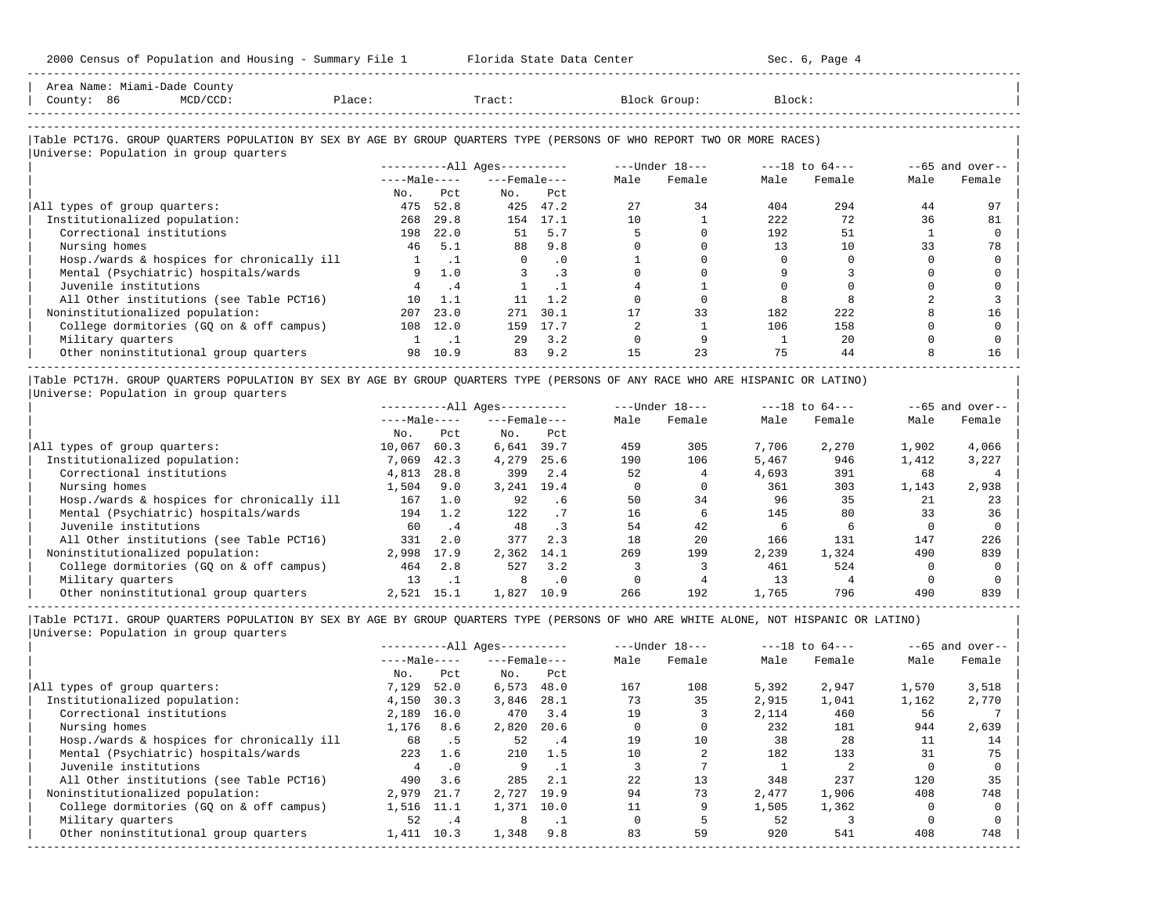| Area Name: Miami-Dade County<br>County: 86<br>$MCD/CCD$ :                                                                                                        | Place: |                | Tract:                       |           |      | Block Group:   | Block: |                |      |                    |
|------------------------------------------------------------------------------------------------------------------------------------------------------------------|--------|----------------|------------------------------|-----------|------|----------------|--------|----------------|------|--------------------|
| Table PCT17G. GROUP QUARTERS POPULATION BY SEX BY AGE BY GROUP QUARTERS TYPE (PERSONS OF WHO REPORT TWO OR MORE RACES)<br>Universe: Population in group quarters |        |                |                              |           |      |                |        |                |      |                    |
|                                                                                                                                                                  |        |                | ----------All Ages---------- |           |      | ---Under 18--- |        | ---18 to 64--- |      | $- -65$ and over-- |
|                                                                                                                                                                  |        | $---Ma$ $e---$ | $---$ Female $---$           |           | Male | Female         | Male   | Female         | Male | Female             |
|                                                                                                                                                                  | No.    | Pct.           | No.                          | Pct.      |      |                |        |                |      |                    |
| All types of group quarters:                                                                                                                                     | 475    | 52.8           | 425                          | 47.2      | 27   | 34             | 404    | 294            | 44   | 97                 |
| Institutionalized population:                                                                                                                                    | 268    | 29.8           |                              | 154 17.1  | 10   |                | 222    | 72             | 36   | 81                 |
| Correctional institutions                                                                                                                                        | 198    | 22.0           | 51                           | 5.7       |      |                | 192    | 51             |      |                    |
| Nursing homes                                                                                                                                                    | 46     | 5.1            | 88                           | 9.8       |      |                | 13     | 10             | 33   | 78                 |
| Hosp./wards & hospices for chronically ill                                                                                                                       |        | $\cdot$ 1      | $\Omega$                     | $\cdot$ 0 |      |                |        |                |      |                    |
| Mental (Psychiatric) hospitals/wards                                                                                                                             | 9      | 1.0            |                              | $\cdot$ 3 |      |                |        |                |      |                    |
| Juvenile institutions                                                                                                                                            |        | . 4            |                              | $\cdot$ 1 |      |                |        |                |      |                    |
| All Other institutions (see Table PCT16)                                                                                                                         | 1 N    | 1.1            | 11                           | 1.2       |      |                |        |                |      |                    |
| Noninstitutionalized population:                                                                                                                                 | 207    | 23.0           | 271                          | 30.1      |      | 33             | 182    | 222            |      | 16                 |
| College dormitories (GQ on & off campus)                                                                                                                         | 108    | 12.0           | 159                          | 17.7      |      |                | 106    | 158            |      |                    |
| Military quarters                                                                                                                                                |        | $\cdot$ 1      | 29                           | 3.2       |      |                |        | 2.0            |      |                    |
| Other noninstitutional group quarters                                                                                                                            | 98     | 10.9           | 83                           | 9.2       | 15   | 23             | 75     | 44             |      | 16                 |

|Table PCT17H. GROUP QUARTERS POPULATION BY SEX BY AGE BY GROUP QUARTERS TYPE (PERSONS OF ANY RACE WHO ARE HISPANIC OR LATINO) | |Universe: Population in group quarters |

|                                            |              |      | $------All Aqes------$ |           | $---Under 18---$ |        | $---18$ to $64---$ |        |       | $--65$ and over-- |
|--------------------------------------------|--------------|------|------------------------|-----------|------------------|--------|--------------------|--------|-------|-------------------|
|                                            | $---Male---$ |      | $---$ Female $---$     |           | Male             | Female | Male               | Female | Male  | Female            |
|                                            | No.          | Pct  | No.                    | Pct       |                  |        |                    |        |       |                   |
| All types of group quarters:               | 10,067       | 60.3 | 6,641                  | 39.7      | 459              | 305    | 7,706              | 2,270  | 1,902 | 4,066             |
| Institutionalized population:              | 7,069        | 42.3 | 4,279                  | 25.6      | 190              | 106    | 5,467              | 946    | 1,412 | 3,227             |
| Correctional institutions                  | 4,813        | 28.8 | 399                    | 2.4       | 52               |        | 4,693              | 391    | 68    |                   |
| Nursing homes                              | 1,504        | 9.0  | 3,241                  | 19.4      |                  |        | 361                | 303    | 1,143 | 2,938             |
| Hosp./wards & hospices for chronically ill | 167          | 1.0  | 92                     | . 6       | 50               | 34     | 96                 | 35     | 21    | 23                |
| Mental (Psychiatric) hospitals/wards       | 194          | 1.2  | 122                    |           | 16               | 6      | 145                | 80     | 33    | 36                |
| Juvenile institutions                      | 60           | .4   | 48                     |           | 54               | 42     |                    |        |       |                   |
| All Other institutions (see Table PCT16)   | 331          | 2.0  | 377                    | 2.3       | 18               | 20     | 166                | 131    | 147   | 226               |
| Noninstitutionalized population:           | 2,998        | 17.9 | 2,362                  | 14.1      | 269              | 199    | 2,239              | 1,324  | 490   | 839               |
| College dormitories (GO on & off campus)   | 464          | 2.8  | 527                    | 3.2       |                  |        | 461                | 524    |       |                   |
| Military quarters                          | 13           | .    | 8                      | $\cdot$ 0 |                  |        | 13                 |        |       |                   |
| Other noninstitutional group quarters      | 2,521        | 15.1 | 1,827                  | 10.9      | 266              | 192    | 1,765              | 796    | 490   | 839               |

-----------------------------------------------------------------------------------------------------------------------------------------------------

|                                            |              |            | $------All Aqes------$ |            |      | $---Under 18---$ | $---18$ to $64---$ |        | $--65$ and over-- |        |
|--------------------------------------------|--------------|------------|------------------------|------------|------|------------------|--------------------|--------|-------------------|--------|
|                                            | $---Male---$ |            | $---$ Female $---$     |            | Male | Female           | Male               | Female | Male              | Female |
|                                            | No.          | Pct        | No.                    | Pct        |      |                  |                    |        |                   |        |
| All types of group quarters:               | 7,129        | 52.0       | 6,573                  | 48.0       | 167  | 108              | 5,392              | 2,947  | 1,570             | 3,518  |
| Institutionalized population:              | 4,150        | 30.3       | 3,846                  | 28.1       | 73   | 35               | 2,915              | 1,041  | 1,162             | 2,770  |
| Correctional institutions                  | 2,189        | 16.0       | 470                    | 3.4        | 19   |                  | 2,114              | 460    | 56                |        |
| Nursing homes                              | 1,176        | 8.6        | 2,820                  | 20.6       |      |                  | 232                | 181    | 944               | 2,639  |
| Hosp./wards & hospices for chronically ill | 68           | . 5        | 52                     | $\cdot$ .4 | 19   | 10               | 38                 | 28     | 11                | 14     |
| Mental (Psychiatric) hospitals/wards       | 223          | 1.6        | 210                    | 1.5        | 10   |                  | 182                | 133    | 31                | 75     |
| Juvenile institutions                      |              | $\cdot$ 0  | 9                      |            |      |                  |                    |        |                   |        |
| All Other institutions (see Table PCT16)   | 490          | 3.6        | 285                    | 2.1        | 22   | 13               | 348                | 237    | 120               | 35     |
| Noninstitutionalized population:           | 2,979        | 21.7       | 2,727                  | 19.9       | 94   | 73               | 2,477              | 1,906  | 408               | 748    |
| College dormitories (GO on & off campus)   | 1,516        | 11.1       | 1,371                  | 10.0       |      |                  | 1,505              | 1,362  |                   |        |
| Military quarters                          | 52           | $\cdot$ .4 | 8                      | $\cdot$ 1  |      |                  | 52                 |        |                   |        |
| Other noninstitutional group quarters      | 1,411        | 10.3       | 1,348                  | 9.8        | 83   | 59               | 920                | 541    | 408               | 748    |
|                                            |              |            |                        |            |      |                  |                    |        |                   |        |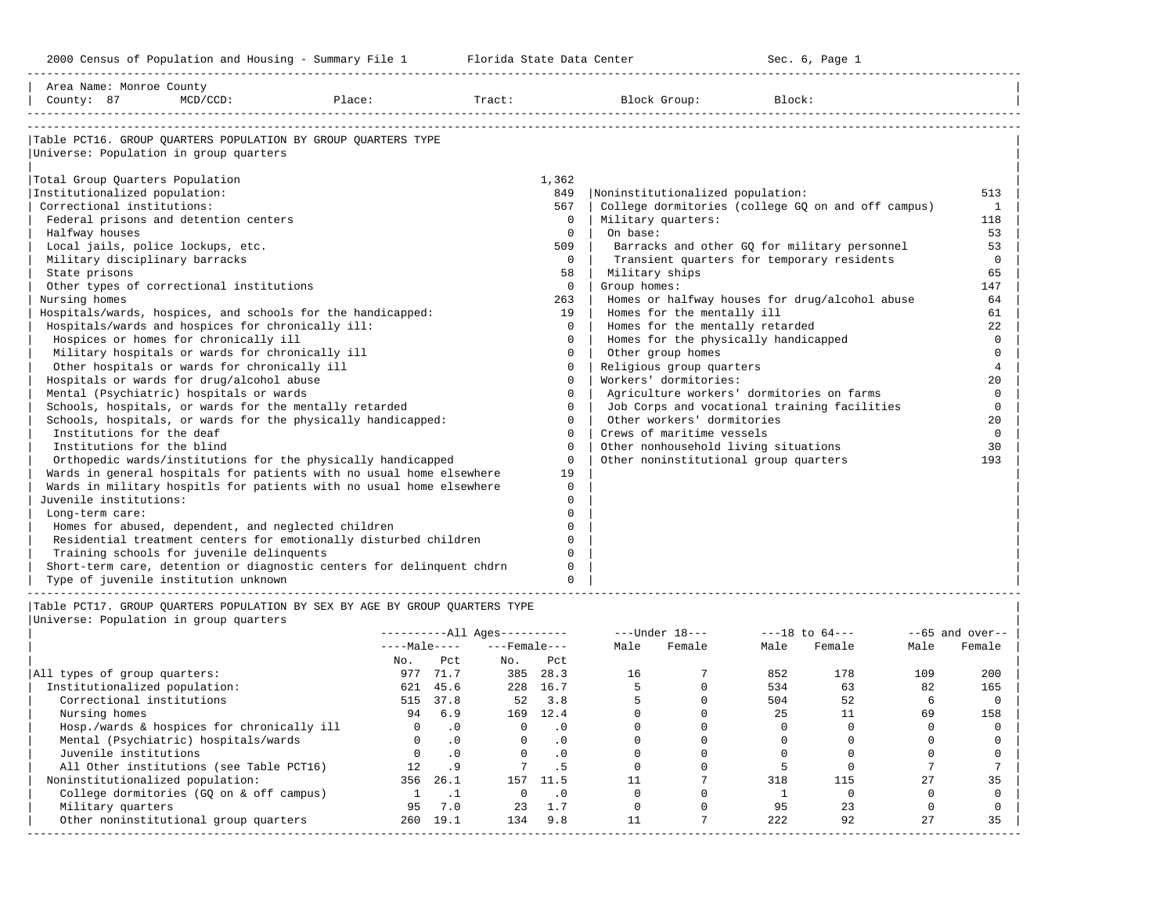-----------------------------------------------------------------------------------------------------------------------------------------------------

| Area Name: Monroe County<br>County: 87<br>$MCD/CCD$ :                       | Place:<br>Tract: |              | Block Group:<br>Block:                             |                |
|-----------------------------------------------------------------------------|------------------|--------------|----------------------------------------------------|----------------|
|                                                                             |                  |              |                                                    |                |
| Table PCT16. GROUP OUARTERS POPULATION BY GROUP OUARTERS TYPE               |                  |              |                                                    |                |
| Universe: Population in group quarters                                      |                  |              |                                                    |                |
| Total Group Quarters Population                                             |                  | 1,362        |                                                    |                |
| Institutionalized population:                                               |                  | 849          | Noninstitutionalized population:                   | 513            |
| Correctional institutions:                                                  |                  | 567          | College dormitories (college GQ on and off campus) | 1              |
| Federal prisons and detention centers                                       |                  | $\Omega$     | Military quarters:                                 |                |
|                                                                             |                  | $\Omega$     | On base:                                           | 118            |
| Halfway houses                                                              |                  |              |                                                    | 53             |
| Local jails, police lockups, etc.                                           |                  | 509          | Barracks and other GQ for military personnel       | 53             |
| Military disciplinary barracks                                              |                  | $\Omega$     | Transient quarters for temporary residents         | $\mathbf 0$    |
| State prisons                                                               |                  | 58           | Military ships                                     | 65             |
| Other types of correctional institutions                                    |                  | $\circ$      | Group homes:                                       | 147            |
| Nursing homes                                                               |                  | 263          | Homes or halfway houses for drug/alcohol abuse     | 64             |
| Hospitals/wards, hospices, and schools for the handicapped:                 |                  | 19           | Homes for the mentally ill                         | 61             |
| Hospitals/wards and hospices for chronically ill:                           |                  | $\Omega$     | Homes for the mentally retarded                    | 22             |
| Hospices or homes for chronically ill                                       |                  | $\Omega$     | Homes for the physically handicapped               | $\Omega$       |
| Military hospitals or wards for chronically ill                             |                  | $\Omega$     | Other group homes                                  | $\Omega$       |
| Other hospitals or wards for chronically ill                                |                  | $\Omega$     | Religious group quarters                           | $\overline{4}$ |
| Hospitals or wards for drug/alcohol abuse                                   |                  | $\Omega$     | Workers' dormitories:                              | $20^{\circ}$   |
| Mental (Psychiatric) hospitals or wards                                     |                  | $\Omega$     | Agriculture workers' dormitories on farms          | $\Omega$       |
| Schools, hospitals, or wards for the mentally retarded                      |                  | $\Omega$     | Job Corps and vocational training facilities       | $\Omega$       |
| Schools, hospitals, or wards for the physically handicapped:                |                  | $\Omega$     | Other workers' dormitories                         | 20             |
| Institutions for the deaf                                                   |                  | $\Omega$     | Crews of maritime vessels                          | $\Omega$       |
| Institutions for the blind                                                  |                  | $\Omega$     | Other nonhousehold living situations               | 30             |
| Orthopedic wards/institutions for the physically handicapped                |                  | $\mathbf{0}$ | Other noninstitutional group quarters              | 193            |
| Wards in general hospitals for patients with no usual home elsewhere        |                  | 19           |                                                    |                |
| Wards in military hospitls for patients with no usual home elsewhere        |                  | $\Omega$     |                                                    |                |
| Juvenile institutions:                                                      |                  | 0            |                                                    |                |
| Long-term care:                                                             |                  | O            |                                                    |                |
| Homes for abused, dependent, and neglected children                         |                  | $\cap$       |                                                    |                |
| Residential treatment centers for emotionally disturbed children            |                  | 0            |                                                    |                |
| Training schools for juvenile delinquents                                   |                  | $\Omega$     |                                                    |                |
| Short-term care, detention or diagnostic centers for delinquent chdrn       |                  | 0            |                                                    |                |
| Type of juvenile institution unknown                                        |                  | $\Omega$     |                                                    |                |
| Table PCT17. GROUP OUARTERS POPULATION BY SEX BY AGE BY GROUP OUARTERS TYPE |                  |              |                                                    |                |

|                                            |              |           | $------All Ages------$ |           |      | $---Under 18---$ | $---18$ to $64---$ |        | $--65$ and over-- |        |
|--------------------------------------------|--------------|-----------|------------------------|-----------|------|------------------|--------------------|--------|-------------------|--------|
|                                            | $---Male---$ |           | $---$ Female $---$     |           | Male | Female           | Male               | Female | Male              | Female |
|                                            | No.          | Pct       | No.                    | Pct       |      |                  |                    |        |                   |        |
| All types of group quarters:               | 977          | 71.7      | 385                    | 28.3      | 16   |                  | 852                | 178    | 109               | 200    |
| Institutionalized population:              | 621          | 45.6      | 228                    | 16.7      |      |                  | 534                | 63     | 82                | 165    |
| Correctional institutions                  | 515          | 37.8      | 52                     | 3.8       |      |                  | 504                | 52     |                   |        |
| Nursing homes                              | 94           | 6.9       | 169                    | 12.4      |      |                  | 25                 |        | 69                | 158    |
| Hosp./wards & hospices for chronically ill |              | $\cdot$ 0 |                        | $\cdot$ 0 |      |                  |                    |        |                   |        |
| Mental (Psychiatric) hospitals/wards       |              | $\cdot$ 0 | $\Omega$               | $\cdot$ 0 |      |                  |                    |        |                   |        |
| Juvenile institutions                      |              | $\cdot$ 0 |                        | $\cdot$ 0 |      |                  |                    |        |                   |        |
| All Other institutions (see Table PCT16)   |              | . 9       |                        | . 5       |      |                  |                    |        |                   |        |
| Noninstitutionalized population:           | 356          | 26.1      | 157                    | 11.5      |      |                  | 318                | 115    | 27                | 35     |
| College dormitories (GO on & off campus)   |              |           |                        | . 0       |      |                  |                    |        |                   |        |
| Military quarters                          | 95           | 7.0       | 23                     | 1.7       |      |                  | 95                 | 23     |                   |        |
| Other noninstitutional group quarters      | 260          | 19.1      | 134                    | 9.8       |      |                  | 222                | 92     | 27                | 35     |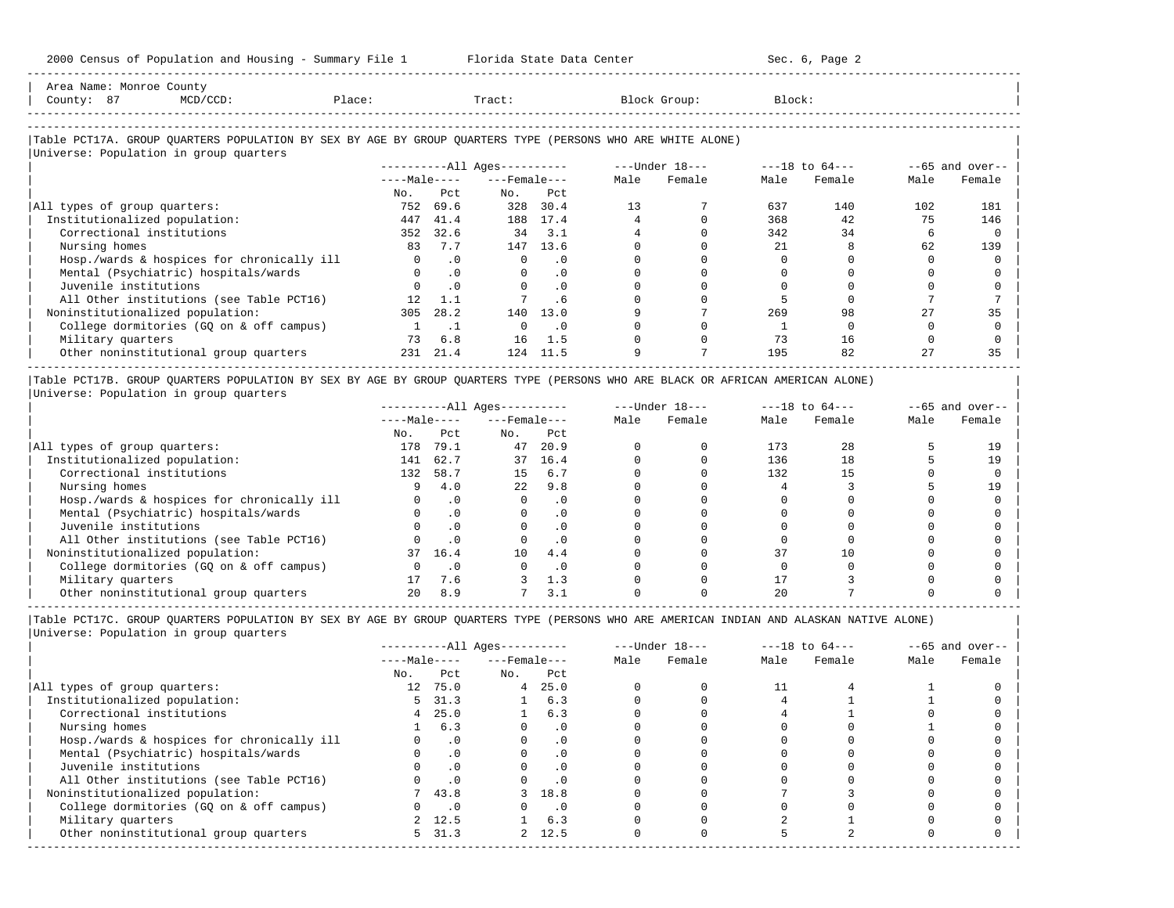-----------------------------------------------------------------------------------------------------------------------------------------------------

| Area Name: Monroe County<br>County: 87<br>MCD/CCD:<br>Place:                                               |              |           | Tract:                       |      |      | Block Group:     | Block: |                    |      |                   |
|------------------------------------------------------------------------------------------------------------|--------------|-----------|------------------------------|------|------|------------------|--------|--------------------|------|-------------------|
|                                                                                                            |              |           |                              |      |      |                  |        |                    |      |                   |
| Table PCT17A. GROUP QUARTERS POPULATION BY SEX BY AGE BY GROUP QUARTERS TYPE (PERSONS WHO ARE WHITE ALONE) |              |           |                              |      |      |                  |        |                    |      |                   |
| Universe: Population in group quarters                                                                     |              |           |                              |      |      |                  |        |                    |      |                   |
|                                                                                                            |              |           | ----------All Ages---------- |      |      | $---Under 18---$ |        | $---18$ to $64---$ |      | $--65$ and over-- |
|                                                                                                            | $---Male---$ |           | $---$ Female $---$           |      | Male | Female           | Male   | Female             | Male | Female            |
|                                                                                                            | No.          | Pct       | No.                          | Pct  |      |                  |        |                    |      |                   |
| All types of group quarters:                                                                               | 752          | 69.6      | 328                          | 30.4 | 13   |                  | 637    | 140                | 102  | 181               |
| Institutionalized population:                                                                              | 447          | 41.4      | 188                          | 17.4 |      |                  | 368    | 42                 | 75   | 146               |
| Correctional institutions                                                                                  | 352          | 32.6      | 34                           | 3.1  |      |                  | 342    | 34                 | b    |                   |
| Nursing homes                                                                                              | 83           | 7.7       | 147                          | 13.6 |      |                  | 21     | 8                  | 62   | 139               |
| Hosp./wards & hospices for chronically ill                                                                 | 0            | $\cdot$ 0 |                              |      |      |                  |        |                    |      |                   |

| Mental (Psychiatric) hospitals/wards 0 .0 0 .0 0 0 0 0 0 0 |

| Juvenile institutions                    |     |      |     |          |  |     |    |    |
|------------------------------------------|-----|------|-----|----------|--|-----|----|----|
| All Other institutions (see Table PCT16) |     |      |     |          |  |     |    |    |
| Noninstitutionalized population:         | 305 | 28.2 |     | 140 13.0 |  | 269 | 98 |    |
| College dormitories (GO on & off campus) |     |      |     |          |  |     |    |    |
| Military quarters                        | 73. | 6.8  | 16. |          |  |     | 16 |    |
| Other noninstitutional group quarters    | 231 | 21.4 |     | 124 11.5 |  | 195 | 82 | 35 |
|                                          |     |      |     |          |  |     |    |    |

|Table PCT17B. GROUP QUARTERS POPULATION BY SEX BY AGE BY GROUP QUARTERS TYPE (PERSONS WHO ARE BLACK OR AFRICAN AMERICAN ALONE) | |Universe: Population in group quarters |

|                                            |              |           | $------All Ages------$ |           | $---Under 18---$ |        | $---18$ to $64---$ |        | $- -65$ and over-- |        |
|--------------------------------------------|--------------|-----------|------------------------|-----------|------------------|--------|--------------------|--------|--------------------|--------|
|                                            | $---Male---$ |           | $---$ Female $---$     |           | Male             | Female | Male               | Female | Male               | Female |
|                                            | No.          | Pct       | No.                    | Pct       |                  |        |                    |        |                    |        |
| All types of group quarters:               | 178          | 79.1      | 47                     | 20.9      |                  |        | 173                | 28     |                    | 19     |
| Institutionalized population:              | 141          | 62.7      | 37                     | 16.4      |                  |        | 136                | 18     |                    | 19     |
| Correctional institutions                  | 132          | 58.7      | 15                     | 6.7       |                  |        | 132                | 15     |                    |        |
| Nursing homes                              |              | 4.0       | 2.2                    | 9.8       |                  |        |                    |        |                    | 19     |
| Hosp./wards & hospices for chronically ill |              | $\cdot$ 0 |                        | . 0       |                  |        |                    |        |                    |        |
| Mental (Psychiatric) hospitals/wards       |              |           |                        | $\cdot$ 0 |                  |        |                    |        |                    |        |
| Juvenile institutions                      |              |           |                        | . 0       |                  |        |                    |        |                    |        |
| All Other institutions (see Table PCT16)   |              | $\cdot$ 0 |                        | $\cdot$ 0 |                  |        |                    |        |                    |        |
| Noninstitutionalized population:           | 37           | 16.4      | 10                     | 4.4       |                  |        | 37                 |        |                    |        |
| College dormitories (GO on & off campus)   |              |           |                        | $\cdot$ 0 |                  |        |                    |        |                    |        |
| Military quarters                          |              | 7.6       |                        | 1.3       |                  |        |                    |        |                    |        |
| Other noninstitutional group quarters      |              | 8.9       |                        | 3.1       |                  |        |                    |        |                    |        |

-----------------------------------------------------------------------------------------------------------------------------------------------------

|                                            |                 |           | $------All Ages------$ |           |      | $---Under 18---$ | $---18$ to $64---$ |        | $--65$ and over-- |        |
|--------------------------------------------|-----------------|-----------|------------------------|-----------|------|------------------|--------------------|--------|-------------------|--------|
|                                            | $---Male---$    |           | $---$ Female $---$     |           | Male | Female           | Male               | Female | Male              | Female |
|                                            | No.             | Pct       | No.                    | Pct       |      |                  |                    |        |                   |        |
| All types of group quarters:               | 12 <sup>1</sup> | 75.0      | $\overline{4}$         | 25.0      |      |                  |                    |        |                   |        |
| Institutionalized population:              | 5.              | 31.3      |                        | 6.3       |      |                  |                    |        |                   |        |
| Correctional institutions                  | 4               | 25.0      |                        | 6.3       |      |                  |                    |        |                   |        |
| Nursing homes                              |                 | 6.3       |                        | $\cdot$ 0 |      |                  |                    |        |                   |        |
| Hosp./wards & hospices for chronically ill |                 | $\cdot$ 0 |                        | . 0       |      |                  |                    |        |                   |        |
| Mental (Psychiatric) hospitals/wards       |                 | $\cdot$ 0 |                        | $\cdot$ 0 |      |                  |                    |        |                   |        |
| Juvenile institutions                      |                 |           |                        | $\cdot$ 0 |      |                  |                    |        |                   |        |
| All Other institutions (see Table PCT16)   |                 |           |                        |           |      |                  |                    |        |                   |        |
| Noninstitutionalized population:           |                 | 743.8     |                        | 3 18.8    |      |                  |                    |        |                   |        |
| College dormitories (GO on & off campus)   |                 | $\cdot$ 0 |                        | $\cdot$ 0 |      |                  |                    |        |                   |        |
| Military quarters                          |                 | 2, 12.5   |                        | 6.3       |      |                  |                    |        |                   |        |
| Other noninstitutional group quarters      |                 | 5, 31.3   |                        | 2, 12.5   |      |                  |                    |        |                   |        |
|                                            |                 |           |                        |           |      |                  |                    |        |                   |        |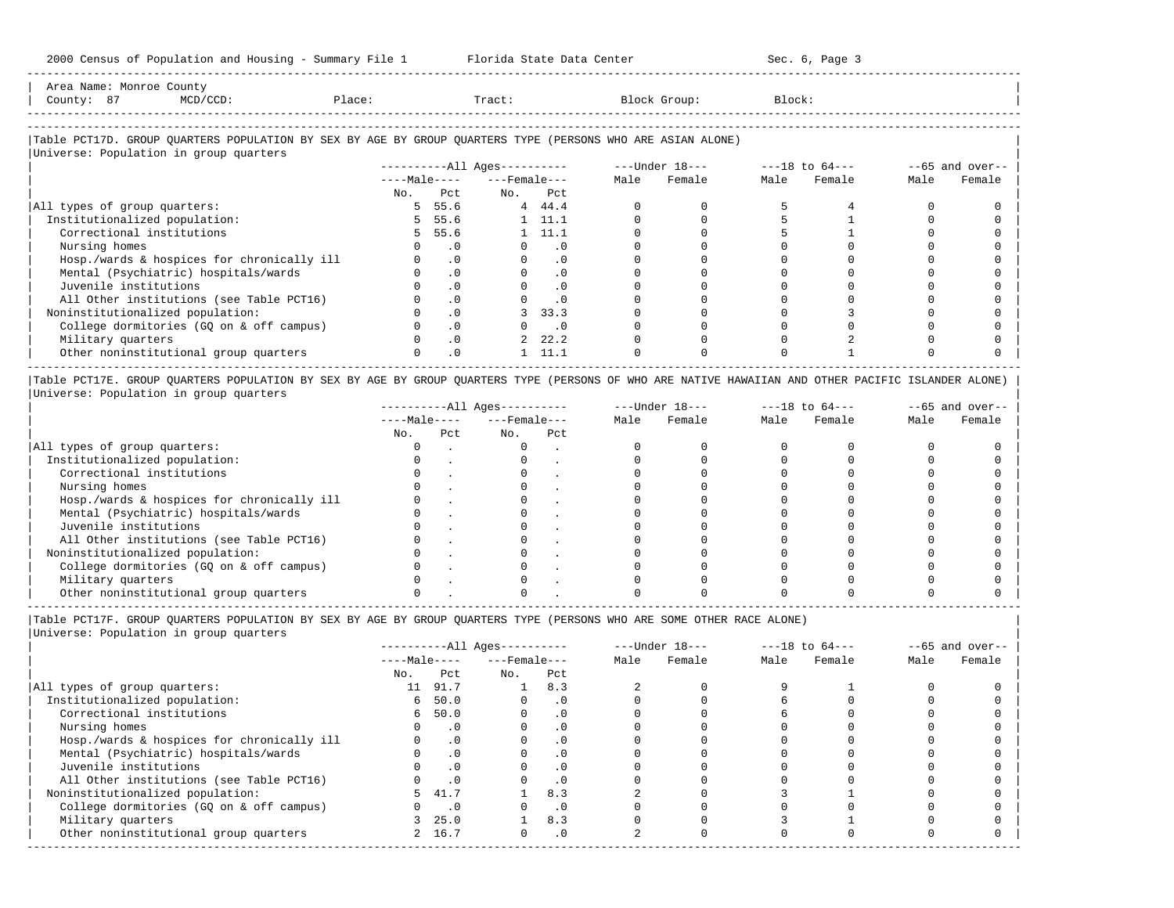| County: 87 | Area Name: Monroe County | MCD/CCD:                               | Place: | Tract: | Block Group:                                                                                               | Block: |  |
|------------|--------------------------|----------------------------------------|--------|--------|------------------------------------------------------------------------------------------------------------|--------|--|
|            |                          |                                        |        |        |                                                                                                            |        |  |
|            |                          | Universe: Population in group quarters |        |        | Table PCT17D. GROUP OUARTERS POPULATION BY SEX BY AGE BY GROUP OUARTERS TYPE (PERSONS WHO ARE ASIAN ALONE) |        |  |

-----------------------------------------------------------------------------------------------------------------------------------------------------

|     |           |                                            |           | $---Under 18---$                                                                           |        | $---18$ to $64---$ |        | $--65$ and over-- |        |
|-----|-----------|--------------------------------------------|-----------|--------------------------------------------------------------------------------------------|--------|--------------------|--------|-------------------|--------|
|     |           |                                            |           | Male                                                                                       | Female | Male               | Female | Male              | Female |
| No. | Pct       | No.                                        | Pct       |                                                                                            |        |                    |        |                   |        |
|     |           |                                            |           |                                                                                            |        |                    |        |                   |        |
|     |           |                                            |           |                                                                                            |        |                    |        |                   |        |
|     |           |                                            |           |                                                                                            |        |                    |        |                   |        |
|     | . 0       |                                            | . 0       |                                                                                            |        |                    |        |                   |        |
|     | $\cdot$ 0 |                                            |           |                                                                                            |        |                    |        |                   |        |
|     | $\cdot$ 0 |                                            | $\cdot$ 0 |                                                                                            |        |                    |        |                   |        |
|     | $\cdot$ 0 |                                            | $\cdot$ 0 |                                                                                            |        |                    |        |                   |        |
|     | $\cdot$ 0 |                                            |           |                                                                                            |        |                    |        |                   |        |
|     | $\cdot$ 0 |                                            |           |                                                                                            |        |                    |        |                   |        |
|     | $\cdot$ 0 |                                            | $\cdot$ 0 |                                                                                            |        |                    |        |                   |        |
|     | $\cdot$ 0 |                                            |           |                                                                                            |        |                    |        |                   |        |
|     | $\cdot$ 0 |                                            | 11.1      |                                                                                            |        |                    |        |                   |        |
|     |           | $---Male---$<br>5 55.6<br>5 55.6<br>5 55.6 |           | $------All Aqes------$<br>$---$ Female $---$<br>44.4<br>11.1<br>- 11.1<br>33.3<br>2, 22, 2 |        |                    |        |                   |        |

|Table PCT17E. GROUP QUARTERS POPULATION BY SEX BY AGE BY GROUP QUARTERS TYPE (PERSONS OF WHO ARE NATIVE HAWAIIAN AND OTHER PACIFIC ISLANDER ALONE) | |Universe: Population in group quarters |

|                                            |              |     | $------All Aqes------$ |     | $---Under 18---$ |        |      | $---18$ to $64---$ | $--65$ and over-- |        |  |
|--------------------------------------------|--------------|-----|------------------------|-----|------------------|--------|------|--------------------|-------------------|--------|--|
|                                            | $---Male---$ |     | $---$ Female $---$     |     | Male             | Female | Male | Female             | Male              | Female |  |
|                                            | No.          | Pct | No.                    | Pct |                  |        |      |                    |                   |        |  |
| All types of group quarters:               |              |     |                        |     |                  |        |      |                    |                   |        |  |
| Institutionalized population:              |              |     |                        |     |                  |        |      |                    |                   |        |  |
| Correctional institutions                  |              |     |                        |     |                  |        |      |                    |                   |        |  |
| Nursing homes                              |              |     |                        |     |                  |        |      |                    |                   |        |  |
| Hosp./wards & hospices for chronically ill |              |     |                        |     |                  |        |      |                    |                   |        |  |
| Mental (Psychiatric) hospitals/wards       |              |     |                        |     |                  |        |      |                    |                   |        |  |
| Juvenile institutions                      |              |     |                        |     |                  |        |      |                    |                   |        |  |
| All Other institutions (see Table PCT16)   |              |     |                        |     |                  |        |      |                    |                   |        |  |
| Noninstitutionalized population:           |              |     |                        |     |                  |        |      |                    |                   |        |  |
| College dormitories (GQ on & off campus)   |              |     |                        |     |                  |        |      |                    |                   |        |  |
| Military quarters                          |              |     |                        |     |                  |        |      |                    |                   |        |  |
| Other noninstitutional group quarters      |              |     |                        |     |                  |        |      |                    |                   |        |  |
|                                            |              |     |                        |     |                  |        |      |                    |                   |        |  |

|Table PCT17F. GROUP QUARTERS POPULATION BY SEX BY AGE BY GROUP QUARTERS TYPE (PERSONS WHO ARE SOME OTHER RACE ALONE) |

|                                            |              |           | $------All Ages------$ |           | $---Under 18---$ |        | $---18$ to $64---$ |        | $--65$ and over-- |        |
|--------------------------------------------|--------------|-----------|------------------------|-----------|------------------|--------|--------------------|--------|-------------------|--------|
|                                            | $---Male---$ |           | $---$ Female $---$     |           | Male             | Female | Male               | Female | Male              | Female |
|                                            | No.          | Pct       | No.                    | Pct       |                  |        |                    |        |                   |        |
| All types of group quarters:               | 11           | 91.7      |                        | 8.3       |                  |        |                    |        |                   |        |
| Institutionalized population:              | 6            | 50.0      |                        | $\cdot$ 0 |                  |        |                    |        |                   |        |
| Correctional institutions                  |              | 6, 50.0   |                        |           |                  |        |                    |        |                   |        |
| Nursing homes                              |              | $\cdot$ 0 |                        | .0        |                  |        |                    |        |                   |        |
| Hosp./wards & hospices for chronically ill |              | $\cdot$ 0 |                        |           |                  |        |                    |        |                   |        |
| Mental (Psychiatric) hospitals/wards       |              | $\cdot$ 0 |                        | . 0       |                  |        |                    |        |                   |        |
| Juvenile institutions                      |              | $\cdot$ 0 |                        |           |                  |        |                    |        |                   |        |
| All Other institutions (see Table PCT16)   |              | $\cdot$ 0 |                        |           |                  |        |                    |        |                   |        |
| Noninstitutionalized population:           | 5.           | 41.7      |                        | 8.3       |                  |        |                    |        |                   |        |
| College dormitories (GQ on & off campus)   |              | $\cdot$ 0 |                        |           |                  |        |                    |        |                   |        |
| Military quarters                          |              | 25.0      |                        | 8.3       |                  |        |                    |        |                   |        |
| Other noninstitutional group quarters      |              | 2 16.7    |                        | $\cdot$ 0 |                  |        |                    |        |                   |        |
|                                            |              |           |                        |           |                  |        |                    |        |                   |        |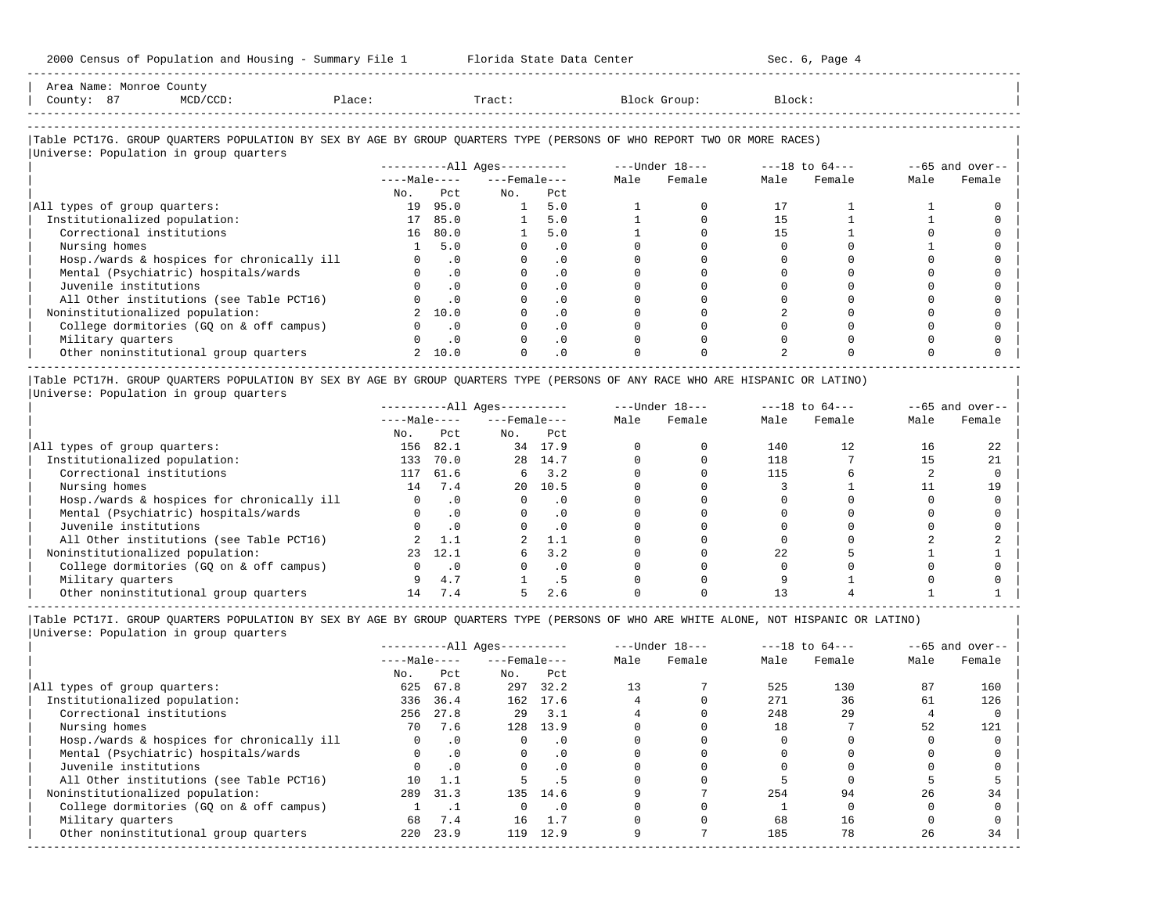| Area Name: Monroe County<br>County: 87<br>MCD/CCD:                                                                     | Place:         |           | Tract:                 |           |      | Block Group:   | Block:         |        |      |                 |
|------------------------------------------------------------------------------------------------------------------------|----------------|-----------|------------------------|-----------|------|----------------|----------------|--------|------|-----------------|
| Table PCT17G. GROUP OUARTERS POPULATION BY SEX BY AGE BY GROUP OUARTERS TYPE (PERSONS OF WHO REPORT TWO OR MORE RACES) |                |           |                        |           |      |                |                |        |      |                 |
| Universe: Population in group quarters                                                                                 |                |           |                        |           |      |                |                |        |      |                 |
|                                                                                                                        |                |           | $------All Aqes------$ |           |      | ---Under 18--- | ---18 to 64--- |        |      | --65 and over-- |
|                                                                                                                        | $---Ma$ $e---$ |           | ---Female---           |           | Male | Female         | Male           | Female | Male | Female          |
|                                                                                                                        | No.            | Pct.      | No.                    | Pct       |      |                |                |        |      |                 |
| All types of group quarters:                                                                                           |                | 19 95.0   |                        | 5.0       |      |                |                |        |      |                 |
| Institutionalized population:                                                                                          |                | 17 85.0   |                        | 5.0       |      |                | 1.5            |        |      |                 |
| Correctional institutions                                                                                              |                | 16 80.0   |                        | 5.0       |      |                | 1.5            |        |      |                 |
| Nursing homes                                                                                                          |                | 5.0       |                        | $\cdot$ 0 |      |                |                |        |      |                 |
| Hosp./wards & hospices for chronically ill                                                                             | $\Omega$       | $\cdot$ 0 | $\Omega$               | $\cdot$ 0 |      |                |                |        |      |                 |
| Mental (Psychiatric) hospitals/wards                                                                                   |                | $\cdot$ 0 |                        | $\cdot$ 0 |      |                |                |        |      |                 |

| Juvenile institutions                    |        |  |  |  |  |
|------------------------------------------|--------|--|--|--|--|
| All Other institutions (see Table PCT16) |        |  |  |  |  |
| Noninstitutionalized population:         | 2 10.0 |  |  |  |  |
| College dormitories (GQ on & off campus) |        |  |  |  |  |
| Military quarters                        |        |  |  |  |  |
| Other noninstitutional group quarters    | 2 10.0 |  |  |  |  |
|                                          |        |  |  |  |  |

|Table PCT17H. GROUP QUARTERS POPULATION BY SEX BY AGE BY GROUP QUARTERS TYPE (PERSONS OF ANY RACE WHO ARE HISPANIC OR LATINO) | |Universe: Population in group quarters |

|                                            |              |           | $------All Aqes------$ |           | $---Under 18---$ |        | $---18$ to $64---$ |        | $--65$ and over-- |        |
|--------------------------------------------|--------------|-----------|------------------------|-----------|------------------|--------|--------------------|--------|-------------------|--------|
|                                            | $---Male---$ |           | $---$ Female $---$     |           | Male             | Female | Male               | Female | Male              | Female |
|                                            | No.          | Pct       | No.                    | Pct       |                  |        |                    |        |                   |        |
| All types of group quarters:               | 156          | 82.1      | 34                     | 17.9      |                  |        | 140                | 12     | 16                | 22     |
| Institutionalized population:              | 133          | 70.0      | 28                     | 14.7      |                  |        | 118                |        |                   | 21     |
| Correctional institutions                  | 117          | 61.6      | 6                      | 3.2       |                  |        | 115                |        |                   |        |
| Nursing homes                              | 14           | 7.4       | $20^{\circ}$           | 10.5      |                  |        |                    |        |                   | 19     |
| Hosp./wards & hospices for chronically ill |              | . 0       |                        | $\cdot$ 0 |                  |        |                    |        |                   |        |
| Mental (Psychiatric) hospitals/wards       |              |           |                        | $\cdot$ 0 |                  |        |                    |        |                   |        |
| Juvenile institutions                      |              | . 0       |                        | . 0       |                  |        |                    |        |                   |        |
| All Other institutions (see Table PCT16)   |              | 1.1       |                        | 1.1       |                  |        |                    |        |                   |        |
| Noninstitutionalized population:           | 23           | 12.1      | 6                      | 3.2       |                  |        | 22                 |        |                   |        |
| College dormitories (GQ on & off campus)   |              | $\cdot$ 0 |                        | $\cdot$ 0 |                  |        |                    |        |                   |        |
| Military quarters                          |              | 4.7       |                        |           |                  |        |                    |        |                   |        |
| Other noninstitutional group quarters      |              | 7.4       |                        | 2.6       |                  |        |                    |        |                   |        |

-----------------------------------------------------------------------------------------------------------------------------------------------------

|                                            |              |           | $------All Ages------$ |           | $---Under 18---$ |        | $---18$ to $64---$ |        | $--65$ and over-- |        |
|--------------------------------------------|--------------|-----------|------------------------|-----------|------------------|--------|--------------------|--------|-------------------|--------|
|                                            | $---Male---$ |           | $---$ Female $---$     |           | Male             | Female | Male               | Female | Male              | Female |
|                                            | No.          | Pct       | No.                    | Pct       |                  |        |                    |        |                   |        |
| All types of group quarters:               | 625          | 67.8      | 297                    | 32.2      |                  |        | 525                | 130    | 87                | 160    |
| Institutionalized population:              | 336          | 36.4      | 162                    | 17.6      |                  |        | 271                | 36     | 61                | 126    |
| Correctional institutions                  | 256          | 27.8      | 29                     | 3.1       |                  |        | 248                | 29     |                   |        |
| Nursing homes                              | 70           | 7.6       | 128                    | 13.9      |                  |        | 18                 |        | 52                | 121    |
| Hosp./wards & hospices for chronically ill | $\Omega$     | $\cdot$ 0 |                        | $\cdot$ 0 |                  |        |                    |        |                   |        |
| Mental (Psychiatric) hospitals/wards       | 0            | $\cdot$ 0 | $\Omega$               | $\cdot$ 0 |                  |        |                    |        |                   |        |
| Juvenile institutions                      |              | $\cdot$ 0 |                        | $\cdot$ 0 |                  |        |                    |        |                   |        |
| All Other institutions (see Table PCT16)   | 10           | 1.1       |                        |           |                  |        |                    |        |                   |        |
| Noninstitutionalized population:           | 289          | 31.3      | 135                    | 14.6      |                  |        | 254                | 94     | 26                | 34     |
| College dormitories (GO on & off campus)   |              |           |                        | $\cdot$ 0 |                  |        |                    |        |                   |        |
| Military quarters                          | 68           | 7.4       | 16                     | 1.7       |                  |        | 68                 | 16     |                   |        |
| Other noninstitutional group quarters      | 220          | 23.9      | 119                    | 12.9      |                  |        | 185                | 78     | 26                | 34     |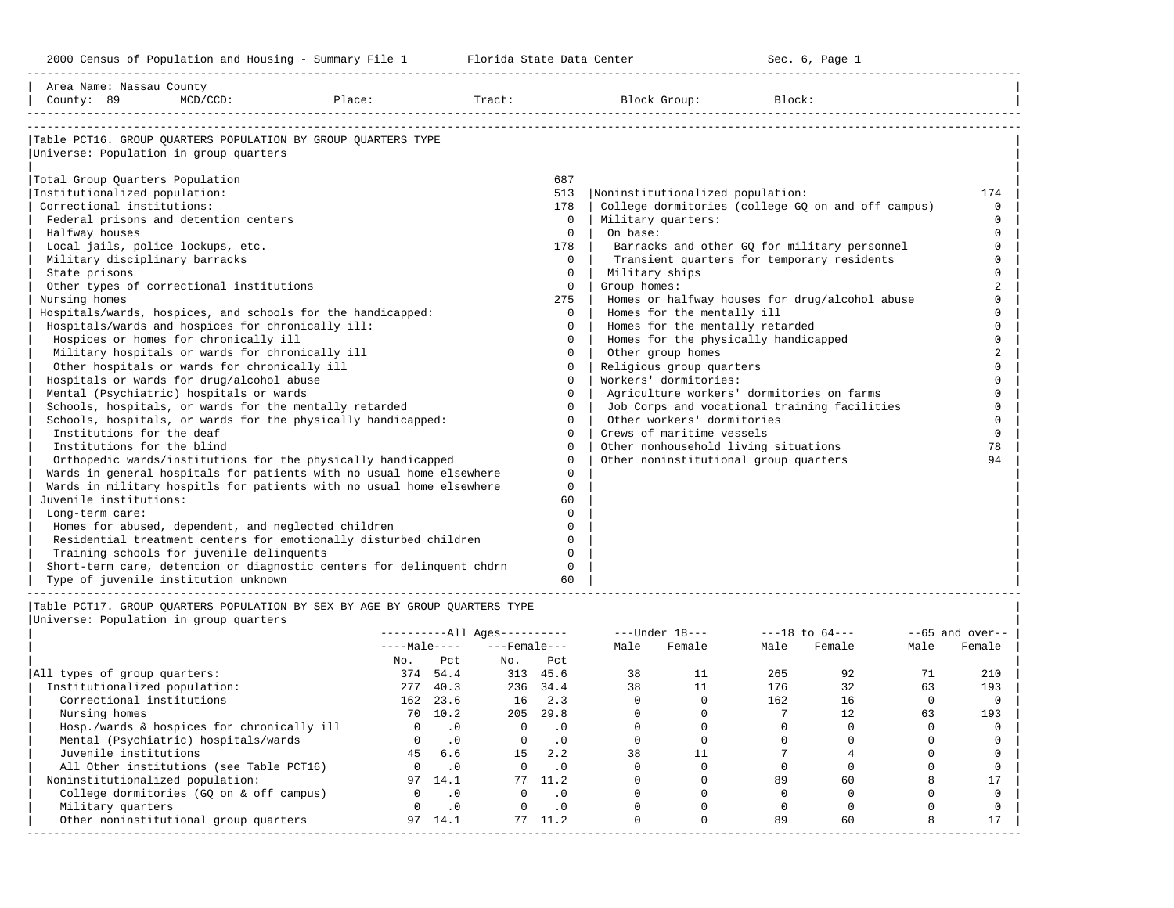-----------------------------------------------------------------------------------------------------------------------------------------------------

| Block Group:<br>Block:                             |                |
|----------------------------------------------------|----------------|
|                                                    |                |
|                                                    |                |
|                                                    |                |
|                                                    |                |
| Noninstitutionalized population:                   | 174            |
| College dormitories (college GQ on and off campus) | $\Omega$       |
| Military quarters:                                 | $\Omega$       |
|                                                    | $\Omega$       |
| Barracks and other GQ for military personnel       | $\Omega$       |
| Transient quarters for temporary residents         | $\Omega$       |
| Military ships                                     |                |
| Group homes:                                       |                |
| Homes or halfway houses for drug/alcohol abuse     |                |
| Homes for the mentally ill                         | $\cap$         |
| Homes for the mentally retarded                    | $\Omega$       |
| Homes for the physically handicapped               | $\Omega$       |
| Other group homes                                  | $\overline{2}$ |
| Religious group quarters                           | $\cap$         |
| Workers' dormitories:                              |                |
| Agriculture workers' dormitories on farms          | $\cap$         |
| Job Corps and vocational training facilities       | $\Omega$       |
| Other workers' dormitories                         | $\Omega$       |
| Crews of maritime vessels                          | $\Omega$       |
| Other nonhousehold living situations               | 78             |
| Other noninstitutional group quarters              | 94             |
|                                                    |                |
|                                                    |                |
|                                                    |                |
|                                                    |                |
|                                                    |                |
|                                                    |                |
|                                                    |                |
|                                                    |                |
|                                                    |                |
|                                                    |                |

|                                            |              |           | $------All Ages------$ |           |      | $---Under 18---$ |      | $---18$ to $64---$ | $--65$ and over-- |        |
|--------------------------------------------|--------------|-----------|------------------------|-----------|------|------------------|------|--------------------|-------------------|--------|
|                                            | $---Male---$ |           | $---$ Female $---$     |           | Male | Female           | Male | Female             | Male              | Female |
|                                            | No.          | Pct       | No.                    | Pct       |      |                  |      |                    |                   |        |
| All types of group quarters:               | 374          | 54.4      |                        | 313 45.6  | 38   | 11               | 265  | 92                 | 71                | 210    |
| Institutionalized population:              | 277          | 40.3      |                        | 236 34.4  | 38   |                  | 176  | 32                 | 63                | 193    |
| Correctional institutions                  | 162          | 23.6      | 16                     | 2.3       |      |                  | 162  | 16                 |                   |        |
| Nursing homes                              | 70           | 10.2      | 205                    | 29.8      |      |                  |      | 12                 | 63                | 193    |
| Hosp./wards & hospices for chronically ill |              | .0        |                        | . 0       |      |                  |      |                    |                   |        |
| Mental (Psychiatric) hospitals/wards       |              | $\cdot$ 0 | $\Omega$               | $\cdot$ 0 |      |                  |      |                    |                   |        |
| Juvenile institutions                      | 45           | 6.6       | 15                     | 2.2       | 38   |                  |      |                    |                   |        |
| All Other institutions (see Table PCT16)   |              | $\cdot$ 0 |                        | . 0       |      |                  |      |                    |                   |        |
| Noninstitutionalized population:           | 97           | 14.1      |                        | 77 11.2   |      |                  | 89   | 60                 |                   |        |
| College dormitories (GO on & off campus)   |              | $\cdot$ 0 |                        | $\cdot$ 0 |      |                  |      |                    |                   |        |
| Military quarters                          |              | $\cdot$ 0 |                        | $\cdot$ 0 |      |                  |      |                    |                   |        |
| Other noninstitutional group quarters      | 97           | 14.1      | 77                     | 11.2      |      |                  | 89   | 60                 |                   |        |
|                                            |              |           |                        |           |      |                  |      |                    |                   |        |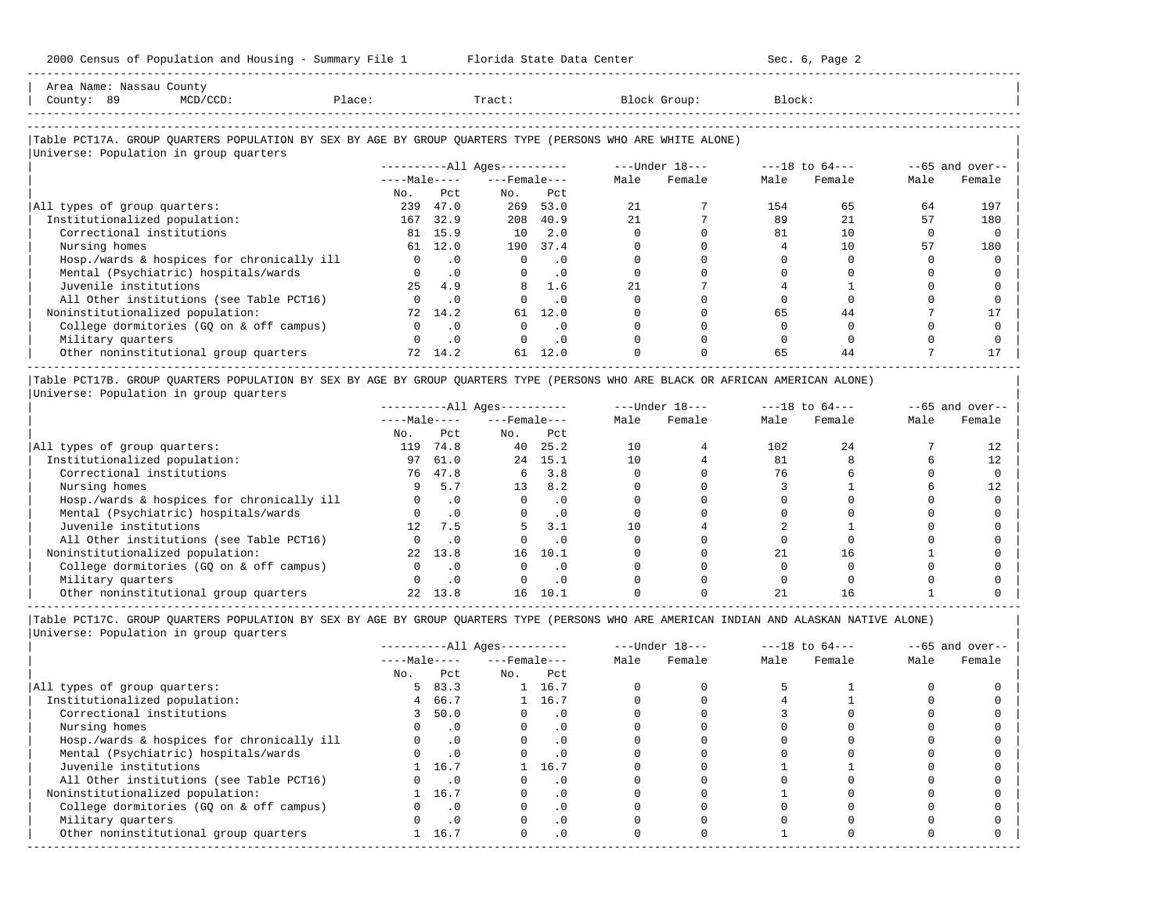2000 Census of Population and Housing - Summary File 1 Florida State Data Center Sec. 6, Page 2 -----------------------------------------------------------------------------------------------------------------------------------------------------

| Area Name: Nassau County<br>County: 89                                                                     | $MCD/CCD$ : | Place: |                | Tract:                       |          |      | Block Group:   | Block: |                    |      |                 |
|------------------------------------------------------------------------------------------------------------|-------------|--------|----------------|------------------------------|----------|------|----------------|--------|--------------------|------|-----------------|
|                                                                                                            |             |        |                |                              |          |      |                |        |                    |      |                 |
| Table PCT17A. GROUP OUARTERS POPULATION BY SEX BY AGE BY GROUP OUARTERS TYPE (PERSONS WHO ARE WHITE ALONE) |             |        |                |                              |          |      |                |        |                    |      |                 |
| Universe: Population in group quarters                                                                     |             |        |                |                              |          |      |                |        |                    |      |                 |
|                                                                                                            |             |        |                | ----------All Ages---------- |          |      | ---Under 18--- |        | $---18$ to $64---$ |      | --65 and over-- |
|                                                                                                            |             |        | $---Ma$ $e---$ | ---Female---                 |          | Male | Female         | Male   | Female             | Male | Female          |
|                                                                                                            |             | No.    | Pct            | No.                          | Pct      |      |                |        |                    |      |                 |
| All types of group quarters:                                                                               |             | 239    | 47.0           | 269                          | 53.0     | 21   |                | 154    | 65                 | 64   | 197             |
| Institutionalized population:                                                                              |             | 167    | 32.9           |                              | 208 40.9 | 21   |                | 89     | 21                 | 57   | 180             |
| Correctional institutions                                                                                  |             | 81     | 15.9           | 10 <sup>1</sup>              | 2.0      |      |                | 81     | 10                 |      |                 |

| Nursing homes 61 12.0 190 37.4 0 0 4 10 57 180 | | Hosp./wards & hospices for chronically ill 0 .0 0 .0 0 0 0 0 0 0 | | Mental (Psychiatric) hospitals/wards 0 .0 0 .0 0 0 0 0 0 0 |

| Juvenile institutions                                                                                                          | 4.9       |      |         |  |  |    |    |  |  |
|--------------------------------------------------------------------------------------------------------------------------------|-----------|------|---------|--|--|----|----|--|--|
| All Other institutions (see Table PCT16)                                                                                       | $\cdot$ 0 |      |         |  |  |    |    |  |  |
| Noninstitutionalized population:                                                                                               | 72 14.2   | 61 - | 12.0    |  |  | 65 | 44 |  |  |
| College dormitories (GQ on & off campus)                                                                                       | $\cdot$ 0 |      |         |  |  |    |    |  |  |
| Military quarters                                                                                                              | $\Box$    |      |         |  |  |    |    |  |  |
| Other noninstitutional group quarters                                                                                          | 72 14.2   |      | 61 12.0 |  |  | 65 | 44 |  |  |
| Table PCT17B. GROUP QUARTERS POPULATION BY SEX BY AGE BY GROUP QUARTERS TYPE (PERSONS WHO ARE BLACK OR AFRICAN AMERICAN ALONE) |           |      |         |  |  |    |    |  |  |

|Universe: Population in group quarters |

|                                            |                 |           | $------All Aqes------$ |           | $---Under 18---$ |        | $---18$ to $64---$ |        | $--65$ and over-- |        |
|--------------------------------------------|-----------------|-----------|------------------------|-----------|------------------|--------|--------------------|--------|-------------------|--------|
|                                            | $---Male---$    |           | $---$ Female $---$     |           | Male             | Female | Male               | Female | Male              | Female |
|                                            | No.             | Pct       | No.                    | Pct       |                  |        |                    |        |                   |        |
| All types of group quarters:               | 119             | 74.8      | 40                     | 25.2      | 10               |        | 102                | 2.4    |                   |        |
| Institutionalized population:              | 97              | 61.0      | 2.4                    | 15.1      | 10               |        | 81                 |        |                   |        |
| Correctional institutions                  | 76              | 47.8      | 6                      | 3.8       |                  |        |                    |        |                   |        |
| Nursing homes                              |                 | 5.7       | 13                     | 8.2       |                  |        |                    |        |                   |        |
| Hosp./wards & hospices for chronically ill |                 |           |                        |           |                  |        |                    |        |                   |        |
| Mental (Psychiatric) hospitals/wards       |                 | $\cdot$ 0 |                        | $\cdot$ 0 |                  |        |                    |        |                   |        |
| Juvenile institutions                      | 12 <sub>1</sub> | 7.5       |                        | 3.1       |                  |        |                    |        |                   |        |
| All Other institutions (see Table PCT16)   |                 | $\cdot$ 0 |                        | $\cdot$ 0 |                  |        |                    |        |                   |        |
| Noninstitutionalized population:           | 2.2             | 13.8      | 16                     | 10.1      |                  |        | 2.1                |        |                   |        |
| College dormitories (GQ on & off campus)   |                 | $\cdot$ 0 |                        |           |                  |        |                    |        |                   |        |
| Military quarters                          |                 |           |                        |           |                  |        |                    |        |                   |        |
| Other noninstitutional group quarters      |                 | 13.8      | 16                     | 10.1      |                  |        |                    |        |                   |        |

-----------------------------------------------------------------------------------------------------------------------------------------------------

|                                            |              |           | $------All Aqes------$ |           |      | $---Under 18---$ | $---18$ to $64---$ |        | $--65$ and over-- |        |
|--------------------------------------------|--------------|-----------|------------------------|-----------|------|------------------|--------------------|--------|-------------------|--------|
|                                            | $---Male---$ |           | $---$ Female $---$     |           | Male | Female           | Male               | Female | Male              | Female |
|                                            | No.          | Pct       | No.                    | Pct       |      |                  |                    |        |                   |        |
| All types of group quarters:               | 5.           | 83.3      |                        | 1 16.7    |      |                  |                    |        |                   |        |
| Institutionalized population:              | 4            | 66.7      |                        | 1 16.7    |      |                  |                    |        |                   |        |
| Correctional institutions                  |              | 50.0      |                        | . 0       |      |                  |                    |        |                   |        |
| Nursing homes                              |              |           |                        | $\cdot$ 0 |      |                  |                    |        |                   |        |
| Hosp./wards & hospices for chronically ill |              |           |                        | . 0       |      |                  |                    |        |                   |        |
| Mental (Psychiatric) hospitals/wards       |              | .0        |                        | . 0       |      |                  |                    |        |                   |        |
| Juvenile institutions                      |              | 16.7      |                        | 16.7      |      |                  |                    |        |                   |        |
| All Other institutions (see Table PCT16)   |              |           |                        | . 0       |      |                  |                    |        |                   |        |
| Noninstitutionalized population:           |              | 16.7      |                        | $\cdot$ 0 |      |                  |                    |        |                   |        |
| College dormitories (GQ on & off campus)   |              | $\cdot$ 0 |                        | $\cdot$ 0 |      |                  |                    |        |                   |        |
| Military quarters                          |              |           |                        | . 0       |      |                  |                    |        |                   |        |
| Other noninstitutional group quarters      |              | 16.7      | $\Omega$               | $\cdot$ 0 |      |                  |                    |        |                   |        |
|                                            |              |           |                        |           |      |                  |                    |        |                   |        |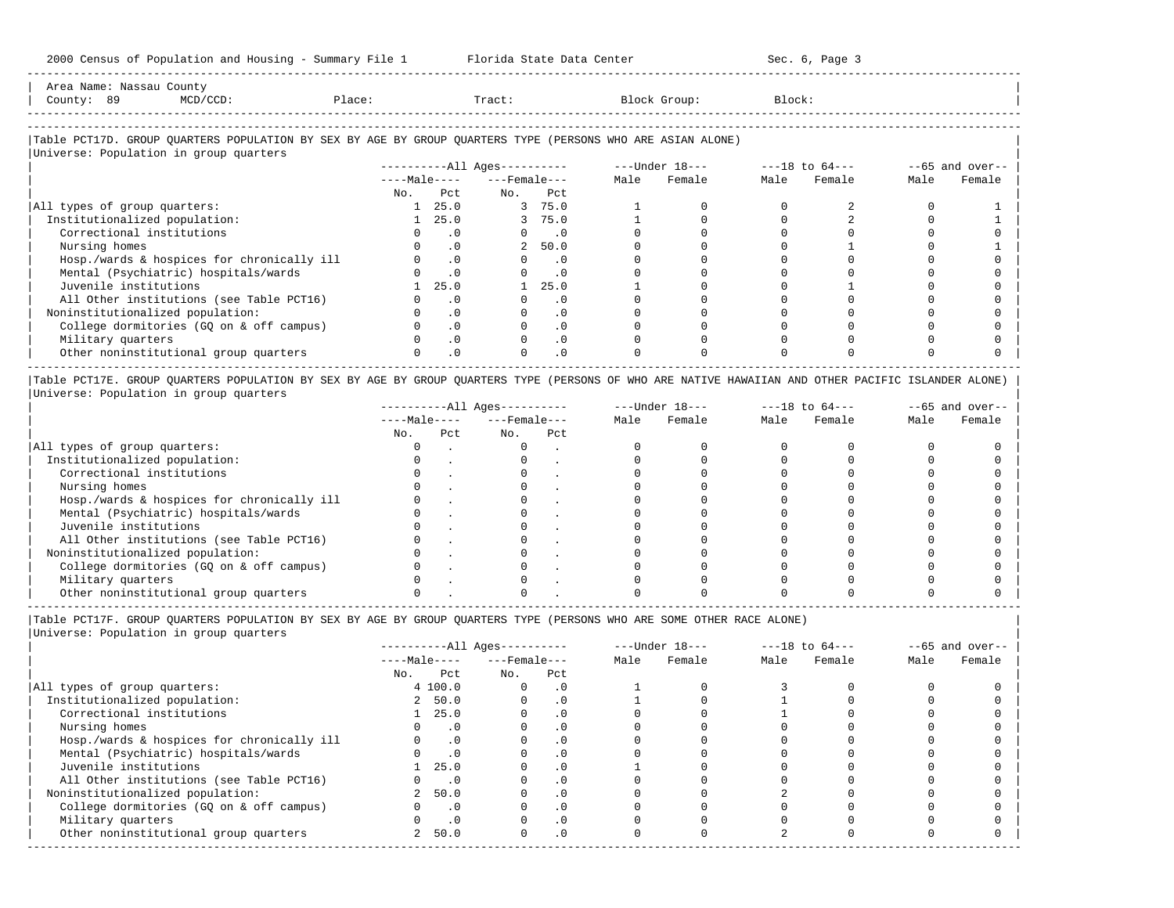| Area Name:         | . Nassau County |        |       |              |        |
|--------------------|-----------------|--------|-------|--------------|--------|
| County:            | 89              | Place: | Tract | Block Group: | Block: |
| ------------------ |                 |        |       |              |        |

-----------------------------------------------------------------------------------------------------------------------------------------------------

#### |Table PCT17D. GROUP QUARTERS POPULATION BY SEX BY AGE BY GROUP QUARTERS TYPE (PERSONS WHO ARE ASIAN ALONE) |

|                                            | $------All Aqes------$ |           |                    |                             | $---Under 18---$ |        | $---18$ to $64---$ |        |      | $--65$ and over-- |
|--------------------------------------------|------------------------|-----------|--------------------|-----------------------------|------------------|--------|--------------------|--------|------|-------------------|
|                                            | $---Male---$           |           | $---$ Female $---$ |                             | Male             | Female | Male               | Female | Male | Female            |
|                                            | No.                    | Pct       | No.                | Pct                         |                  |        |                    |        |      |                   |
| All types of group quarters:               |                        | 25.0      |                    | 3 75.0                      |                  |        |                    |        |      |                   |
| Institutionalized population:              |                        | 25.0      |                    | 3, 75.0                     |                  |        |                    |        |      |                   |
| Correctional institutions                  |                        | . 0       |                    | $\overline{\phantom{0}}$ .0 |                  |        |                    |        |      |                   |
| Nursing homes                              |                        | . 0       |                    | 2, 50.0                     |                  |        |                    |        |      |                   |
| Hosp./wards & hospices for chronically ill |                        | $\cdot$ 0 | $\Omega$           | $\cdot$ 0                   |                  |        |                    |        |      |                   |
| Mental (Psychiatric) hospitals/wards       |                        | $\cdot$ 0 | $\Omega$           | $\cdot$ 0                   |                  |        |                    |        |      |                   |
| Juvenile institutions                      |                        | 25.0      |                    | 25.0                        |                  |        |                    |        |      |                   |
| All Other institutions (see Table PCT16)   |                        | . 0       |                    | $\cdot$ 0                   |                  |        |                    |        |      |                   |
| Noninstitutionalized population:           |                        | $\cdot$ 0 |                    | .0                          |                  |        |                    |        |      |                   |
| College dormitories (GQ on & off campus)   |                        | $\cdot$ 0 |                    | $\cdot$ 0                   |                  |        |                    |        |      |                   |
| Military quarters                          |                        | $\cdot$ 0 |                    | $\cdot$ 0                   |                  |        |                    |        |      |                   |
| Other noninstitutional group quarters      |                        | $\cdot$ 0 |                    | $\cdot$ 0                   |                  |        |                    |        |      |                   |

|Table PCT17E. GROUP QUARTERS POPULATION BY SEX BY AGE BY GROUP QUARTERS TYPE (PERSONS OF WHO ARE NATIVE HAWAIIAN AND OTHER PACIFIC ISLANDER ALONE) | |Universe: Population in group quarters |

|                                            |              |     | $------All Aqes------$ |     | $---Under 18---$ |        | $---18$ to $64---$ |        | $--65$ and over-- |        |
|--------------------------------------------|--------------|-----|------------------------|-----|------------------|--------|--------------------|--------|-------------------|--------|
|                                            | $---Male---$ |     | $---$ Female $---$     |     | Male             | Female | Male               | Female | Male              | Female |
|                                            | No.          | Pct | No.                    | Pct |                  |        |                    |        |                   |        |
| All types of group quarters:               |              |     |                        |     |                  |        |                    |        |                   |        |
| Institutionalized population:              |              |     |                        |     |                  |        |                    |        |                   |        |
| Correctional institutions                  |              |     |                        |     |                  |        |                    |        |                   |        |
| Nursing homes                              |              |     |                        |     |                  |        |                    |        |                   |        |
| Hosp./wards & hospices for chronically ill |              |     |                        |     |                  |        |                    |        |                   |        |
| Mental (Psychiatric) hospitals/wards       |              |     |                        |     |                  |        |                    |        |                   |        |
| Juvenile institutions                      |              |     |                        |     |                  |        |                    |        |                   |        |
| All Other institutions (see Table PCT16)   |              |     |                        |     |                  |        |                    |        |                   |        |
| Noninstitutionalized population:           |              |     |                        |     |                  |        |                    |        |                   |        |
| College dormitories (GO on & off campus)   |              |     |                        |     |                  |        |                    |        |                   |        |
| Military quarters                          |              |     |                        |     |                  |        |                    |        |                   |        |
| Other noninstitutional group quarters      |              |     |                        |     |                  |        |                    |        |                   |        |

-----------------------------------------------------------------------------------------------------------------------------------------------------

|Table PCT17F. GROUP QUARTERS POPULATION BY SEX BY AGE BY GROUP QUARTERS TYPE (PERSONS WHO ARE SOME OTHER RACE ALONE) |

|                                            |                        |                    | $------All Ages------$ |      | $---Under 18---$ |      | $---18$ to $64---$ |      | $--65$ and over-- |
|--------------------------------------------|------------------------|--------------------|------------------------|------|------------------|------|--------------------|------|-------------------|
|                                            | $---Male---$           | $---$ Female $---$ |                        | Male | Female           | Male | Female             | Male | Female            |
|                                            | Pct<br>No.             | No.                | Pct                    |      |                  |      |                    |      |                   |
| All types of group quarters:               | 4 100.0                |                    | $\cdot$ 0              |      |                  |      |                    |      |                   |
| Institutionalized population:              | 2, 50.0                |                    | $\cdot$ 0              |      |                  |      |                    |      |                   |
| Correctional institutions                  | 25.0                   |                    |                        |      |                  |      |                    |      |                   |
| Nursing homes                              |                        | $\cdot$ 0          | $\cdot$ 0              |      |                  |      |                    |      |                   |
| Hosp./wards & hospices for chronically ill |                        | $\cdot$ 0          | $\overline{0}$         |      |                  |      |                    |      |                   |
| Mental (Psychiatric) hospitals/wards       |                        | $\cdot$ 0          |                        |      |                  |      |                    |      |                   |
| Juvenile institutions                      | 25.0                   |                    | $\cdot$ 0              |      |                  |      |                    |      |                   |
| All Other institutions (see Table PCT16)   |                        | $\cdot$ 0          |                        |      |                  |      |                    |      |                   |
| Noninstitutionalized population:           | 2 50.0                 |                    | $\cdot$ 0              |      |                  |      |                    |      |                   |
| College dormitories (GQ on & off campus)   |                        | $\cdot$ 0          |                        |      |                  |      |                    |      |                   |
| Military quarters                          |                        | $\cdot$ 0          | $\cdot$ 0              |      |                  |      |                    |      |                   |
| Other noninstitutional group quarters      | 50.0<br>$\overline{2}$ |                    | .0                     |      |                  |      |                    |      |                   |
|                                            |                        |                    |                        |      |                  |      |                    |      |                   |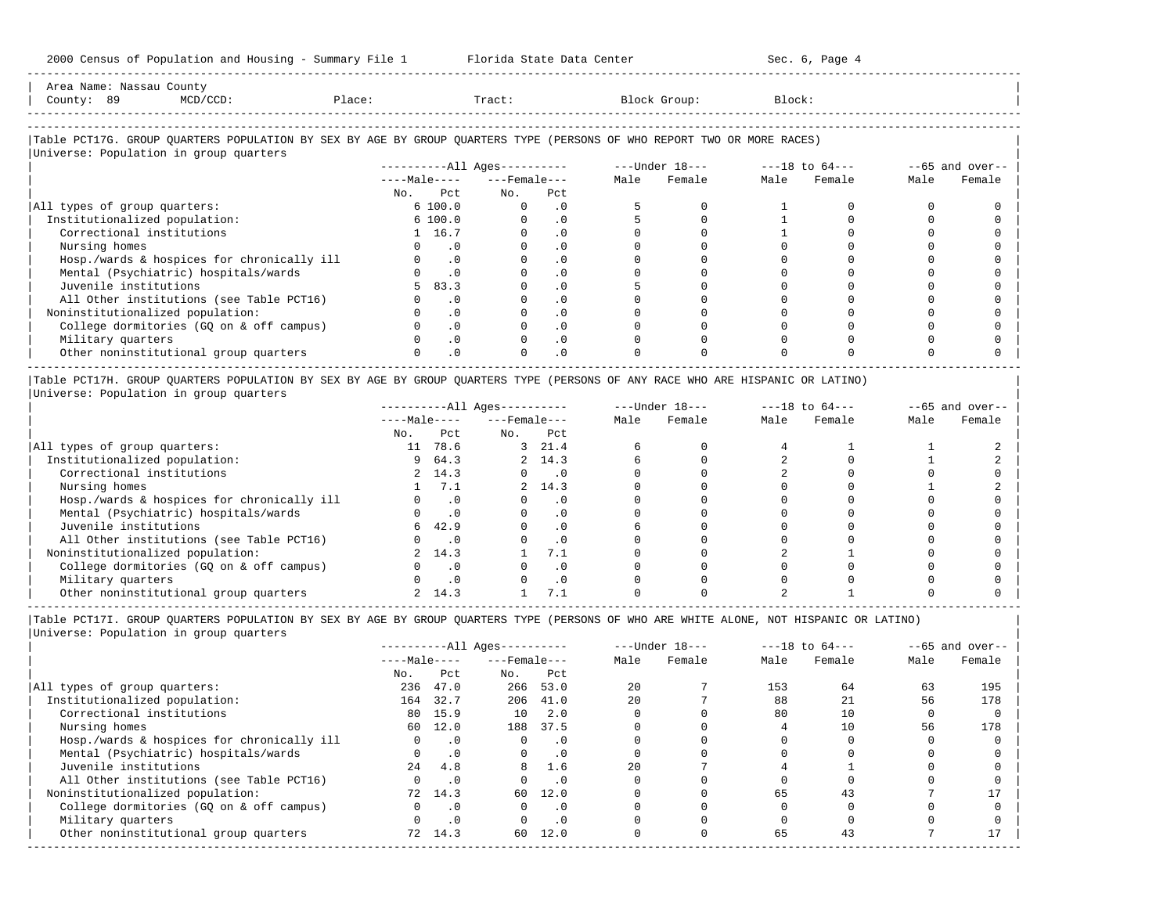2000 Census of Population and Housing - Summary File 1 Florida State Data Center Sec. 6, Page 4 -----------------------------------------------------------------------------------------------------------------------------------------------------

|            | Area Name: Nassau County                |        |        |                                                                                                                        |        |  |
|------------|-----------------------------------------|--------|--------|------------------------------------------------------------------------------------------------------------------------|--------|--|
| County: 89 | MCD/CCD:                                | Place: | Tract: | Block Group:                                                                                                           | Block: |  |
|            |                                         |        |        |                                                                                                                        |        |  |
|            |                                         |        |        | Table PCT17G. GROUP QUARTERS POPULATION BY SEX BY AGE BY GROUP QUARTERS TYPE (PERSONS OF WHO REPORT TWO OR MORE RACES) |        |  |
|            | Indiverse: Population in group quarters |        |        |                                                                                                                        |        |  |

|                                            |              | ----------All Ages---------- |           | $---Under 18---$ |        | $---18$ to $64---$ |        | $--65$ and over-- |        |
|--------------------------------------------|--------------|------------------------------|-----------|------------------|--------|--------------------|--------|-------------------|--------|
|                                            | $---Male---$ | $---$ Female $---$           |           | Male             | Female | Male               | Female | Male              | Female |
|                                            | Pct<br>No.   | No.                          | Pct       |                  |        |                    |        |                   |        |
| All types of group quarters:               | 6 100.0      |                              | $\cdot$ 0 |                  |        |                    |        |                   |        |
| Institutionalized population:              | 6 100.0      |                              | . 0       |                  |        |                    |        |                   |        |
| Correctional institutions                  | 1 16.7       |                              | $\cdot$ 0 |                  |        |                    |        |                   |        |
| Nursing homes                              |              |                              | $\cdot$ 0 |                  |        |                    |        |                   |        |
| Hosp./wards & hospices for chronically ill | $\cdot$ 0    |                              | $\cdot$ 0 |                  |        |                    |        |                   |        |
| Mental (Psychiatric) hospitals/wards       |              |                              | $\cdot$ 0 |                  |        |                    |        |                   |        |
| Juvenile institutions                      | 83.3<br>5.   |                              | $\cdot$ 0 |                  |        |                    |        |                   |        |
| All Other institutions (see Table PCT16)   | . 0          |                              | $\cdot$ 0 |                  |        |                    |        |                   |        |
| Noninstitutionalized population:           | $\cdot$ 0    |                              | $\cdot$ 0 |                  |        |                    |        |                   |        |
| College dormitories (GO on & off campus)   | $\cdot$ 0    |                              | $\cdot$ 0 |                  |        |                    |        |                   |        |
| Military quarters                          | $\cdot$ 0    |                              | $\cdot$ 0 |                  |        |                    |        |                   |        |
| Other noninstitutional group quarters      | $\cdot$ 0    |                              | .0        |                  |        |                    |        |                   |        |

|Table PCT17H. GROUP QUARTERS POPULATION BY SEX BY AGE BY GROUP QUARTERS TYPE (PERSONS OF ANY RACE WHO ARE HISPANIC OR LATINO) | |Universe: Population in group quarters |

|                                            |              |           | $------All Aqes------$ |           | $---Under 18---$ |        | $---18$ to $64---$ |        | $--65$ and over-- |        |
|--------------------------------------------|--------------|-----------|------------------------|-----------|------------------|--------|--------------------|--------|-------------------|--------|
|                                            | $---Male---$ |           | $---$ Female $---$     |           | Male             | Female | Male               | Female | Male              | Female |
|                                            | No.          | Pct       | No.                    | Pct       |                  |        |                    |        |                   |        |
| All types of group quarters:               | 11           | 78.6      | 3                      | 21.4      |                  |        |                    |        |                   |        |
| Institutionalized population:              | 9            | 64.3      |                        | 2, 14.3   |                  |        |                    |        |                   |        |
| Correctional institutions                  |              | 2, 14.3   |                        | . 0       |                  |        |                    |        |                   |        |
| Nursing homes                              |              | 7.1       |                        | 2, 14.3   |                  |        |                    |        |                   |        |
| Hosp./wards & hospices for chronically ill |              |           |                        | . 0       |                  |        |                    |        |                   |        |
| Mental (Psychiatric) hospitals/wards       |              |           |                        | $\cdot$ 0 |                  |        |                    |        |                   |        |
| Juvenile institutions                      | 6.           | 42.9      |                        | . 0       |                  |        |                    |        |                   |        |
| All Other institutions (see Table PCT16)   |              |           |                        | $\cdot$ 0 |                  |        |                    |        |                   |        |
| Noninstitutionalized population:           |              | 2 14.3    |                        | 7.1       |                  |        |                    |        |                   |        |
| College dormitories (GO on & off campus)   |              |           |                        | $\cdot$ 0 |                  |        |                    |        |                   |        |
| Military quarters                          |              | $\cdot$ 0 |                        | . 0       |                  |        |                    |        |                   |        |
| Other noninstitutional group quarters      |              | 14.3      |                        |           |                  |        |                    |        |                   |        |

-----------------------------------------------------------------------------------------------------------------------------------------------------

|Table PCT17I. GROUP QUARTERS POPULATION BY SEX BY AGE BY GROUP QUARTERS TYPE (PERSONS OF WHO ARE WHITE ALONE, NOT HISPANIC OR LATINO) |

| Universe: Population in group quarters |  |
|----------------------------------------|--|
|                                        |  |
|                                        |  |

|                                            |              |           | $------All Ages------$ |           |      | $---Under 18---$ | $---18$ to $64---$ |        |      | $--65$ and over-- |
|--------------------------------------------|--------------|-----------|------------------------|-----------|------|------------------|--------------------|--------|------|-------------------|
|                                            | $---Male---$ |           | $---$ Female ---       |           | Male | Female           | Male               | Female | Male | Female            |
|                                            | No.          | Pct       | No.                    | Pct       |      |                  |                    |        |      |                   |
| All types of group quarters:               | 236          | 47.0      | 266                    | 53.0      | 20   |                  | 153                | 64     | 63   | 195               |
| Institutionalized population:              | 164          | 32.7      | 206                    | 41.0      | 20   |                  | 88                 | 21     | 56   | 178               |
| Correctional institutions                  |              | 80 15.9   | 10                     | 2.0       |      |                  | 80                 | 10     |      |                   |
| Nursing homes                              | 60           | 12.0      | 188                    | 37.5      |      |                  |                    | 10     | 56   | 178               |
| Hosp./wards & hospices for chronically ill | 0            | $\cdot$ 0 | $\Omega$               | $\cdot$ 0 |      |                  |                    |        |      |                   |
| Mental (Psychiatric) hospitals/wards       |              | $\cdot$ 0 | $\Omega$               | $\cdot$ 0 |      |                  |                    |        |      |                   |
| Juvenile institutions                      | 2.4          | 4.8       | 8                      | 1.6       | 2.0  |                  |                    |        |      |                   |
| All Other institutions (see Table PCT16)   |              | $\cdot$ 0 |                        | $\cdot$ 0 |      |                  |                    |        |      |                   |
| Noninstitutionalized population:           |              | 72 14.3   | 60                     | 12.0      |      |                  | 65                 | 43     |      |                   |
| College dormitories (GO on & off campus)   |              | $\cdot$ 0 | $\Omega$               | $\cdot$ 0 |      |                  |                    |        |      |                   |
| Military quarters                          |              | $\cdot$ 0 |                        | $\cdot$ 0 |      |                  |                    |        |      |                   |
| Other noninstitutional group quarters      | 72           | 14.3      | 60                     | 12.0      |      |                  | 65                 | 43     |      |                   |
|                                            |              |           |                        |           |      |                  |                    |        |      |                   |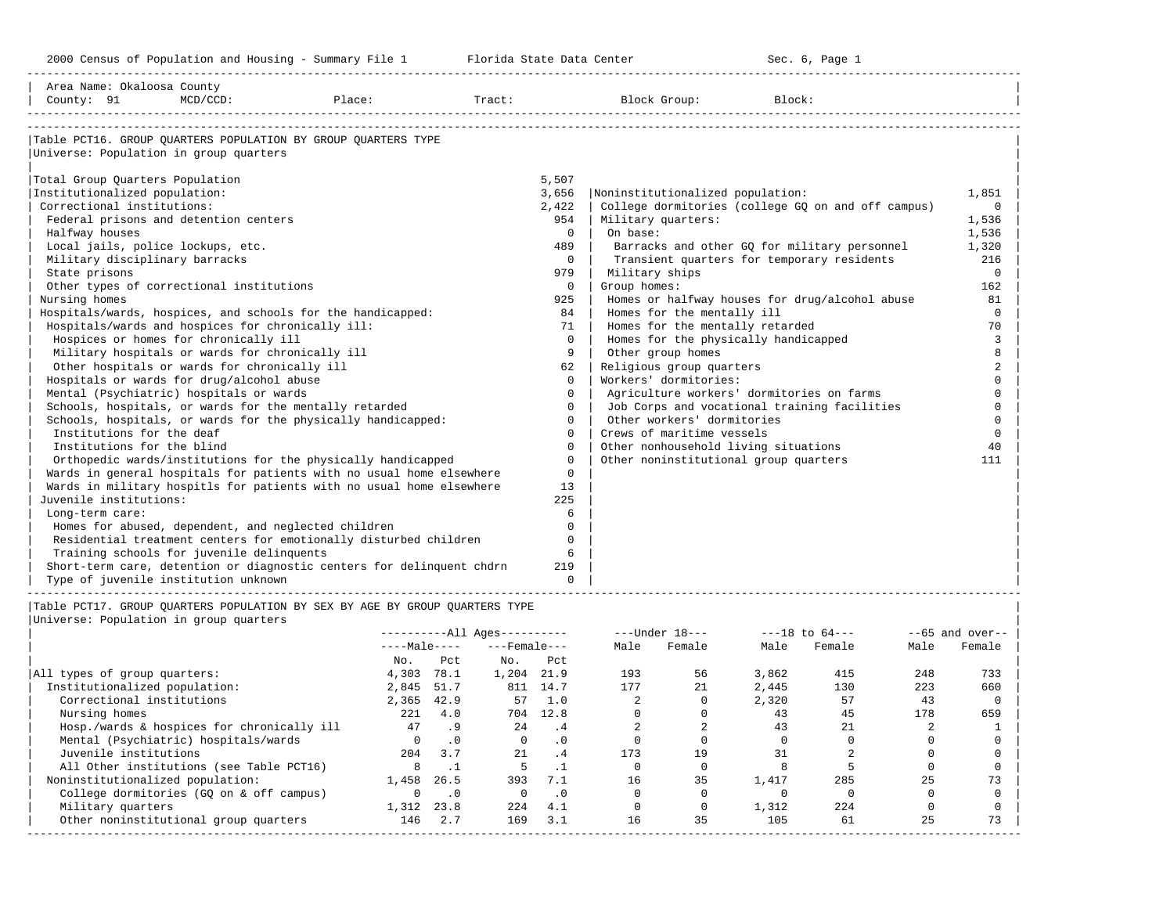2000 Census of Population and Housing - Summary File 1 Telorida State Data Center Sec. 6, Page 1 North Sec. 6, Page

-----------------------------------------------------------------------------------------------------------------------------------------------------

| Area Name: Okaloosa County                |                                                                             |                          |          |                                       |                                                    |                   |
|-------------------------------------------|-----------------------------------------------------------------------------|--------------------------|----------|---------------------------------------|----------------------------------------------------|-------------------|
| County: 91                                | $MCD/CCD$ :<br>Place:                                                       | Tract:                   |          | Block Group:                          | Block:                                             |                   |
|                                           |                                                                             |                          |          |                                       |                                                    |                   |
|                                           | Table PCT16. GROUP OUARTERS POPULATION BY GROUP OUARTERS TYPE               |                          |          |                                       |                                                    |                   |
| Universe: Population in group quarters    |                                                                             |                          |          |                                       |                                                    |                   |
|                                           |                                                                             |                          |          |                                       |                                                    |                   |
| Total Group Quarters Population           |                                                                             |                          | 5,507    |                                       |                                                    |                   |
| Institutionalized population:             |                                                                             |                          | 3,656    | Noninstitutionalized population:      |                                                    | 1,851             |
| Correctional institutions:                |                                                                             |                          | 2,422    |                                       | College dormitories (college GO on and off campus) | $\Omega$          |
| Federal prisons and detention centers     |                                                                             |                          | 954      | Military quarters:                    |                                                    | 1,536             |
| Halfway houses                            |                                                                             |                          | $\Omega$ | On base:                              |                                                    | 1,536             |
| Local jails, police lockups, etc.         |                                                                             |                          | 489      |                                       | Barracks and other GQ for military personnel       | 1,320             |
| Military disciplinary barracks            |                                                                             |                          | $\Omega$ |                                       | Transient quarters for temporary residents         | 216               |
| State prisons                             |                                                                             |                          | 979      | Military ships                        |                                                    | $\circ$           |
| Other types of correctional institutions  |                                                                             |                          | $\Omega$ | Group homes:                          |                                                    | 162               |
| Nursing homes                             |                                                                             |                          | 925      |                                       | Homes or halfway houses for drug/alcohol abuse     | 81                |
|                                           | Hospitals/wards, hospices, and schools for the handicapped:                 |                          | 84       | Homes for the mentally ill            |                                                    | $\Omega$          |
|                                           | Hospitals/wards and hospices for chronically ill:                           |                          | 71       | Homes for the mentally retarded       |                                                    | 70                |
| Hospices or homes for chronically ill     |                                                                             |                          | $\Omega$ | Homes for the physically handicapped  |                                                    | 3                 |
|                                           | Military hospitals or wards for chronically ill                             |                          | 9        | Other group homes                     |                                                    | 8                 |
|                                           | Other hospitals or wards for chronically ill                                |                          | 62       | Religious group quarters              |                                                    | 2                 |
| Hospitals or wards for drug/alcohol abuse |                                                                             |                          | $\Omega$ | Workers' dormitories:                 |                                                    | $\Omega$          |
| Mental (Psychiatric) hospitals or wards   |                                                                             |                          | $\Omega$ |                                       | Agriculture workers' dormitories on farms          | $\Omega$          |
|                                           | Schools, hospitals, or wards for the mentally retarded                      |                          | $\Omega$ |                                       | Job Corps and vocational training facilities       | $\Omega$          |
|                                           | Schools, hospitals, or wards for the physically handicapped:                |                          | $\Omega$ | Other workers' dormitories            |                                                    | $\Omega$          |
| Institutions for the deaf                 |                                                                             |                          | $\Omega$ | Crews of maritime vessels             |                                                    | $\Omega$          |
| Institutions for the blind                |                                                                             |                          | $\Omega$ | Other nonhousehold living situations  |                                                    | 40                |
|                                           | Orthopedic wards/institutions for the physically handicapped                |                          | $\Omega$ | Other noninstitutional group quarters |                                                    | 111               |
|                                           | Wards in general hospitals for patients with no usual home elsewhere        |                          | $\Omega$ |                                       |                                                    |                   |
|                                           | Wards in military hospitls for patients with no usual home elsewhere        |                          | 13       |                                       |                                                    |                   |
| Juvenile institutions:                    |                                                                             |                          | 225      |                                       |                                                    |                   |
| Long-term care:                           |                                                                             |                          | 6        |                                       |                                                    |                   |
|                                           | Homes for abused, dependent, and neglected children                         |                          | $\Omega$ |                                       |                                                    |                   |
|                                           | Residential treatment centers for emotionally disturbed children            |                          | $\Omega$ |                                       |                                                    |                   |
| Training schools for juvenile delinquents |                                                                             |                          | 6        |                                       |                                                    |                   |
|                                           | Short-term care, detention or diagnostic centers for delinquent chdrn       |                          | 219      |                                       |                                                    |                   |
| Type of juvenile institution unknown      |                                                                             |                          | $\Omega$ |                                       |                                                    |                   |
|                                           | Table PCT17. GROUP QUARTERS POPULATION BY SEX BY AGE BY GROUP QUARTERS TYPE |                          |          |                                       |                                                    |                   |
| Universe: Population in group quarters    |                                                                             |                          |          |                                       |                                                    |                   |
|                                           |                                                                             | $------All Aqes------$   |          | ---Under 18---                        | ---18 to 64---                                     | $--65$ and over-- |
|                                           |                                                                             | $---Male-- ---Female---$ |          | Male<br>Female                        | Male<br>Female<br>Male                             | Female            |
|                                           |                                                                             | No. Pct No. Pct          |          |                                       |                                                    |                   |

|                                            | No.          | Pct       | No.          | Pct       |     |    |       |       |     |     |
|--------------------------------------------|--------------|-----------|--------------|-----------|-----|----|-------|-------|-----|-----|
| All types of group quarters:               | 4,303        | 78.1      | 1,204        | 21.9      | 193 | 56 | 3,862 | 415   | 248 | 733 |
| Institutionalized population:              | 2,845        | 51.7      | 811          | 14.7      | 177 | 21 | 2,445 | 130   | 223 | 660 |
| Correctional institutions                  | 2,365        | 42.9      | 57           | 1.0       |     |    | 2,320 | 57    | 43  |     |
| Nursing homes                              | 221          | 4.0       | 704          | 12.8      |     |    | 43    | 45    | 178 | 659 |
| Hosp./wards & hospices for chronically ill | 47           | .9        | 2.4          | . 4       |     |    | 43    | 2.1   |     |     |
| Mental (Psychiatric) hospitals/wards       | <sup>n</sup> | .0        | $\Omega$     | .0        |     |    |       |       |     |     |
| Juvenile institutions                      | 204          | 3.7       | 21           | .4        | 173 | 19 | 31    |       |     |     |
| All Other institutions (see Table PCT16)   |              |           |              |           |     |    |       |       |     |     |
| Noninstitutionalized population:           | 1,458        | 26.5      | 393          | 7.1       | 16  | 35 | 1,417 | 285   | 25  | 73  |
| College dormitories (GQ on & off campus)   |              | $\cdot$ 0 | <sup>n</sup> | $\cdot$ 0 |     |    |       |       |     |     |
| Military quarters                          | 1,312        | 23.8      | 224          | 4.1       |     |    | 1,312 | 2.2.4 |     |     |
| Other noninstitutional group quarters      | 146          | 2.7       | 169          | 3.1       | 16  | 35 | 105   | 61    | 25  | 73  |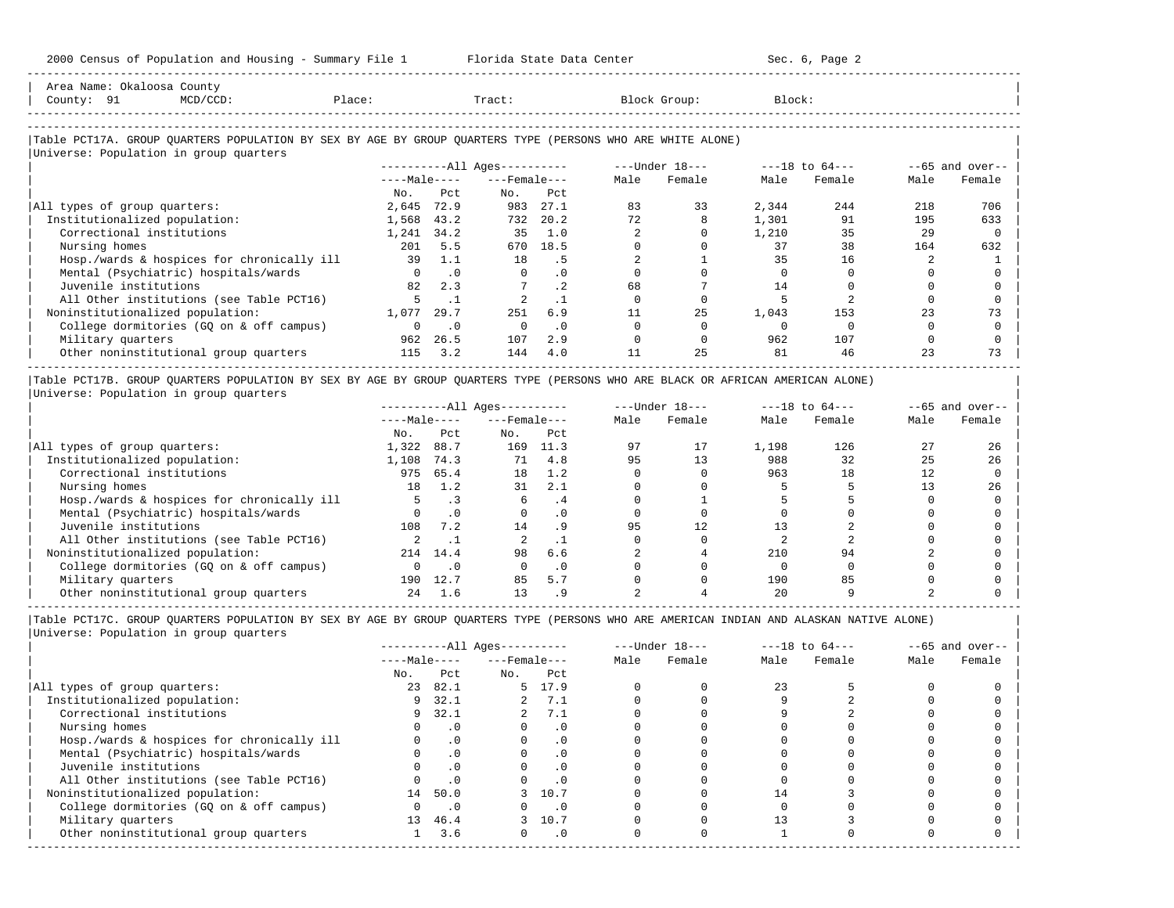-----------------------------------------------------------------------------------------------------------------------------------------------------

| County: 91<br>$MCD/CCD$ :                                                                                                                            | Place:       |           | Tract:                       |           |      | Block Group:   | Block: |                |      |                   |
|------------------------------------------------------------------------------------------------------------------------------------------------------|--------------|-----------|------------------------------|-----------|------|----------------|--------|----------------|------|-------------------|
| Table PCT17A. GROUP QUARTERS POPULATION BY SEX BY AGE BY GROUP QUARTERS TYPE (PERSONS WHO ARE WHITE ALONE)<br>Universe: Population in group quarters |              |           |                              |           |      |                |        |                |      |                   |
|                                                                                                                                                      |              |           | ----------All Ages---------- |           |      | ---Under 18--- |        | ---18 to 64--- |      | $--65$ and over-- |
|                                                                                                                                                      | $---Male---$ |           | $---$ Female $---$           |           | Male | Female         | Male   | Female         | Male | Female            |
|                                                                                                                                                      | No.          | Pct.      | No.                          | Pct       |      |                |        |                |      |                   |
| All types of group quarters:                                                                                                                         | 2,645        | 72.9      | 983                          | 27.1      | 83   | 33             | 2,344  | 244            | 218  | 706               |
| Institutionalized population:                                                                                                                        | 1,568        | 43.2      | 732                          | 20.2      | 72   |                | 1,301  | 91             | 195  | 633               |
| Correctional institutions                                                                                                                            | 1,241        | 34.2      | 35                           | 1.0       |      |                | 1,210  | 35             | 2.9  |                   |
| Nursing homes                                                                                                                                        | 201          | 5.5       | 670                          | 18.5      |      |                | 37     | 38             | 164  | 632               |
| Hosp./wards & hospices for chronically ill                                                                                                           | 39           | 1.1       | 18                           | .5        |      |                | 35     | 16             |      |                   |
| Mental (Psychiatric) hospitals/wards                                                                                                                 | $\Omega$     | $\cdot$ 0 | $\Omega$                     | $\cdot$ 0 |      |                |        |                |      |                   |
| Juvenile institutions                                                                                                                                | 82           | 2.3       |                              | $\cdot$ 2 | 68   |                | 14     |                |      |                   |
| All Other institutions (see Table PCT16)                                                                                                             |              |           |                              | $\cdot$ 1 |      |                |        |                |      |                   |
| Noninstitutionalized population:                                                                                                                     | 1,077        | 29.7      | 251                          | 6.9       | 11   | 25             | 1,043  | 153            | 23   | 73                |
| College dormitories (GQ on & off campus)                                                                                                             |              | $\cdot$ 0 | $\Omega$                     | $\cdot$ 0 |      |                |        |                |      |                   |
| Military quarters                                                                                                                                    | 962          | 26.5      | 107                          | 2.9       |      |                | 962    | 107            |      |                   |
| Other noninstitutional group quarters                                                                                                                | 115          | 3.2       | 144                          | 4.0       | 11   | 25             | 81     | 46             | 23   | 73                |

|Table PCT17B. GROUP QUARTERS POPULATION BY SEX BY AGE BY GROUP QUARTERS TYPE (PERSONS WHO ARE BLACK OR AFRICAN AMERICAN ALONE) | |Universe: Population in group quarters |

|                                            |              |           | $------All Ages------$ |                 |      | $---Under 18---$ |       | $---18$ to $64---$ |      | $--65$ and over-- |
|--------------------------------------------|--------------|-----------|------------------------|-----------------|------|------------------|-------|--------------------|------|-------------------|
|                                            | $---Male---$ |           | $---$ Female $---$     |                 | Male | Female           | Male  | Female             | Male | Female            |
|                                            | No.          | Pct       | No.                    | Pct             |      |                  |       |                    |      |                   |
| All types of group quarters:               | 1,322        | 88.7      | 169                    | 11.3            | 97   | 17               | 1,198 | 126                | 27   | 26                |
| Institutionalized population:              | 1,108        | 74.3      | 71                     | 4.8             | 95   | 13               | 988   | 32                 | 25   | 26                |
| Correctional institutions                  | 975          | 65.4      | 18                     | 1.2             |      |                  | 963   | 18                 | 12   |                   |
| Nursing homes                              | 18           | 1.2       | 31                     | 2.1             |      |                  |       |                    |      | 26                |
| Hosp./wards & hospices for chronically ill |              |           |                        | . 4             |      |                  |       |                    |      |                   |
| Mental (Psychiatric) hospitals/wards       |              | .0        | $\Omega$               | $\cdot$ 0       |      |                  |       |                    |      |                   |
| Juvenile institutions                      | 108          | 7.2       | 14                     |                 | 95   | 12               |       |                    |      |                   |
| All Other institutions (see Table PCT16)   |              |           |                        |                 |      |                  |       |                    |      |                   |
| Noninstitutionalized population:           | 214          | 14.4      | 98                     | 6.6             |      |                  | 210   |                    |      |                   |
| College dormitories (GQ on & off campus)   |              | $\cdot$ 0 |                        | $\cdot$ 0       |      |                  |       |                    |      |                   |
| Military quarters                          | 190          | 12.7      | 85                     | 5.7             |      |                  | 190   |                    |      |                   |
| Other noninstitutional group quarters      | 24           | 1.6       | 13                     | .9 <sub>o</sub> |      |                  | 20    |                    |      |                   |

-----------------------------------------------------------------------------------------------------------------------------------------------------

|                                            |              |           | $------All Aqes------$ |           |      | $---Under 18---$ | $---18$ to $64---$ |        | $--65$ and over-- |        |
|--------------------------------------------|--------------|-----------|------------------------|-----------|------|------------------|--------------------|--------|-------------------|--------|
|                                            | $---Male---$ |           | $---$ Female $---$     |           | Male | Female           | Male               | Female | Male              | Female |
|                                            | No.          | Pct       | No.                    | Pct       |      |                  |                    |        |                   |        |
| All types of group quarters:               | 23           | 82.1      |                        | 5 17.9    |      |                  | 2.3                |        |                   |        |
| Institutionalized population:              | 9            | 32.1      | $\overline{a}$         | 7.1       |      |                  |                    |        |                   |        |
| Correctional institutions                  | 9            | 32.1      |                        | 2, 7.1    |      |                  |                    |        |                   |        |
| Nursing homes                              |              | $\cdot$ 0 |                        | $\cdot$ 0 |      |                  |                    |        |                   |        |
| Hosp./wards & hospices for chronically ill |              | $\cdot$ 0 |                        | . 0       |      |                  |                    |        |                   |        |
| Mental (Psychiatric) hospitals/wards       |              | $\cdot$ 0 |                        | $\cdot$ 0 |      |                  |                    |        |                   |        |
| Juvenile institutions                      |              |           |                        | $\cdot$ 0 |      |                  |                    |        |                   |        |
| All Other institutions (see Table PCT16)   |              | $\cdot$ 0 |                        |           |      |                  |                    |        |                   |        |
| Noninstitutionalized population:           | 14           | 50.0      |                        | 3 10.7    |      |                  | 14                 |        |                   |        |
| College dormitories (GQ on & off campus)   |              | $\cdot$ 0 |                        | $\cdot$ 0 |      |                  |                    |        |                   |        |
| Military quarters                          | 13           | 46.4      |                        | 3 10.7    |      |                  |                    |        |                   |        |
| Other noninstitutional group quarters      |              | 3.6       | $\Omega$               | $\cdot$ 0 |      |                  |                    |        |                   |        |
|                                            |              |           |                        |           |      |                  |                    |        |                   |        |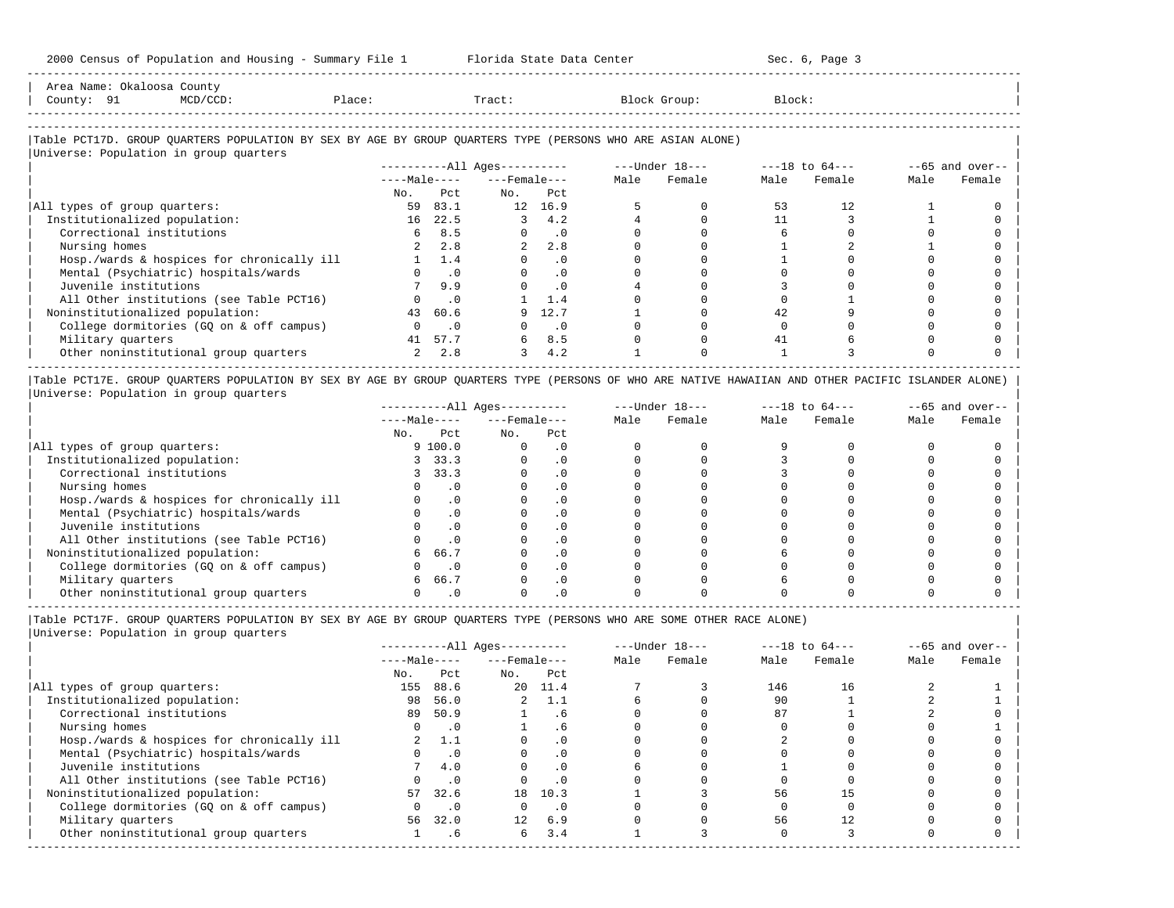| Area<br>Name | )ка        | County.                                                                                                         |     |       |         |        |
|--------------|------------|-----------------------------------------------------------------------------------------------------------------|-----|-------|---------|--------|
| County       | $\sim$ $-$ | the contract of the contract of the contract of the contract of the contract of the contract of the contract of | ⊥ac | Tract | JLOUD : | Block' |
|              |            |                                                                                                                 |     |       |         |        |

-----------------------------------------------------------------------------------------------------------------------------------------------------

-----------------------------------------------------------------------------------------------------------------------------------------------------

## |Table PCT17D. GROUP QUARTERS POPULATION BY SEX BY AGE BY GROUP QUARTERS TYPE (PERSONS WHO ARE ASIAN ALONE) |

|                                            |              |               | $------All Aqes------$ |           |      | $---Under 18---$ |      | $---18$ to $64---$ |      | $--65$ and over-- |
|--------------------------------------------|--------------|---------------|------------------------|-----------|------|------------------|------|--------------------|------|-------------------|
|                                            | $---Male---$ |               | $---$ Female $---$     |           | Male | Female           | Male | Female             | Male | Female            |
|                                            | No.          | Pct           | No.                    | Pct       |      |                  |      |                    |      |                   |
| All types of group quarters:               | 59           | 83.1          | 12                     | 16.9      |      |                  | 53   | 12.                |      |                   |
| Institutionalized population:              | 16           | 22.5          |                        | 4.2       |      |                  |      |                    |      |                   |
| Correctional institutions                  | 6            | 8.5           |                        | $\cdot$ 0 |      |                  |      |                    |      |                   |
| Nursing homes                              |              | 2.8           |                        | 2.8       |      |                  |      |                    |      |                   |
| Hosp./wards & hospices for chronically ill |              | $1 \quad 1.4$ |                        | $\cdot$ 0 |      |                  |      |                    |      |                   |
| Mental (Psychiatric) hospitals/wards       |              | $\cdot$ 0     |                        | $\cdot$ 0 |      |                  |      |                    |      |                   |
| Juvenile institutions                      |              | 9.9           |                        | $\cdot$ 0 |      |                  |      |                    |      |                   |
| All Other institutions (see Table PCT16)   |              | $\cdot$ 0     |                        | 1.4       |      |                  |      |                    |      |                   |
| Noninstitutionalized population:           | 43           | 60.6          | 9                      | 12.7      |      |                  | 42   |                    |      |                   |
| College dormitories (GO on & off campus)   |              | $\cdot$ 0     |                        | $\cdot$ 0 |      |                  |      |                    |      |                   |
| Military quarters                          | 41           | 57.7          | 6                      | 8.5       |      |                  | 41   |                    |      |                   |
| Other noninstitutional group quarters      |              | 2.8           | 3                      | 4.2       |      |                  |      |                    |      |                   |

|Table PCT17E. GROUP QUARTERS POPULATION BY SEX BY AGE BY GROUP QUARTERS TYPE (PERSONS OF WHO ARE NATIVE HAWAIIAN AND OTHER PACIFIC ISLANDER ALONE) | |Universe: Population in group quarters |

|                                            | $------All Aqes------$ |           |                    |           |      | $---Under 18---$ | $---18$ to $64---$ |        | $--65$ and over-- |        |
|--------------------------------------------|------------------------|-----------|--------------------|-----------|------|------------------|--------------------|--------|-------------------|--------|
|                                            | $---Male---$           |           | $---$ Female $---$ |           | Male | Female           | Male               | Female | Male              | Female |
|                                            | No.                    | Pct       | No.                | Pct       |      |                  |                    |        |                   |        |
| All types of group quarters:               |                        | 9100.0    |                    | . 0       |      |                  |                    |        |                   |        |
| Institutionalized population:              |                        | 33.3      |                    | . 0       |      |                  |                    |        |                   |        |
| Correctional institutions                  |                        | 33.3      |                    | . 0       |      |                  |                    |        |                   |        |
| Nursing homes                              |                        |           |                    | $\cdot$ 0 |      |                  |                    |        |                   |        |
| Hosp./wards & hospices for chronically ill |                        | $\cdot$ 0 |                    | $\cdot$ 0 |      |                  |                    |        |                   |        |
| Mental (Psychiatric) hospitals/wards       |                        |           |                    | . 0       |      |                  |                    |        |                   |        |
| Juvenile institutions                      |                        | $\cdot$ 0 |                    | . 0       |      |                  |                    |        |                   |        |
| All Other institutions (see Table PCT16)   |                        |           |                    |           |      |                  |                    |        |                   |        |
| Noninstitutionalized population:           | 6                      | 66.7      |                    |           |      |                  |                    |        |                   |        |
| College dormitories (GO on & off campus)   |                        |           |                    |           |      |                  |                    |        |                   |        |
| Military quarters                          | 6                      | 66.7      |                    |           |      |                  |                    |        |                   |        |
| Other noninstitutional group quarters      |                        |           |                    |           |      |                  |                    |        |                   |        |

|Table PCT17F. GROUP QUARTERS POPULATION BY SEX BY AGE BY GROUP QUARTERS TYPE (PERSONS WHO ARE SOME OTHER RACE ALONE) |

| Male | Female | Male | Female | Male | Female |
|------|--------|------|--------|------|--------|
|      |        |      |        |      |        |
|      |        |      |        |      |        |
|      |        | 146  | 16     |      |        |
|      |        | 90   |        |      |        |
|      |        | 87   |        |      |        |
|      |        |      |        |      |        |
|      |        |      |        |      |        |
|      |        |      |        |      |        |
|      |        |      |        |      |        |
|      |        |      |        |      |        |
|      |        | 56   |        |      |        |
|      |        |      |        |      |        |
|      |        | 56   | 12     |      |        |
|      |        |      |        |      |        |
|      |        |      |        |      |        |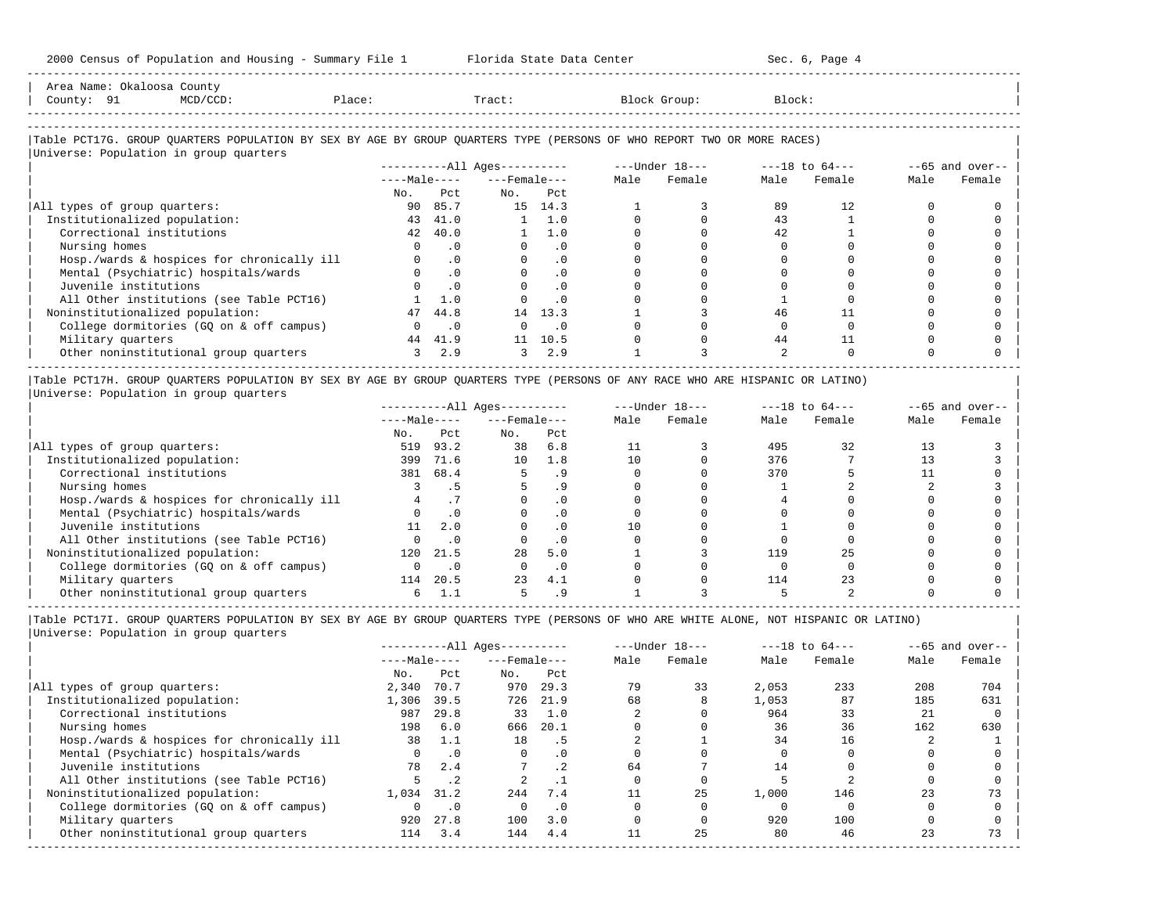| 2000 Census of Population and Housing - Summary File 1 Florida State Data Center                                                                                                                                              |                |                          |                                                  |                             |          |                |                | Sec. 6, Page 4 |              |                    |
|-------------------------------------------------------------------------------------------------------------------------------------------------------------------------------------------------------------------------------|----------------|--------------------------|--------------------------------------------------|-----------------------------|----------|----------------|----------------|----------------|--------------|--------------------|
| Area Name: Okaloosa County<br>$MCD/CCD$ :<br>Place:<br>County: 91                                                                                                                                                             |                |                          | Tract:                                           |                             |          | Block Group:   | Block:         |                |              |                    |
| Table PCT17G. GROUP QUARTERS POPULATION BY SEX BY AGE BY GROUP QUARTERS TYPE (PERSONS OF WHO REPORT TWO OR MORE RACES)                                                                                                        |                |                          |                                                  |                             |          |                |                |                |              |                    |
| Universe: Population in group quarters                                                                                                                                                                                        |                |                          |                                                  |                             |          |                |                |                |              |                    |
|                                                                                                                                                                                                                               |                |                          | ----------All Ages---------                      |                             |          | ---Under 18--- |                | ---18 to 64--- |              | $-65$ and over--   |
|                                                                                                                                                                                                                               |                |                          | $---Male-- ---Female---$                         |                             | Male     | Female         | Male           | Female         | Male         | Female             |
| All types of group quarters:                                                                                                                                                                                                  | No.            | Pct<br>90 85.7           | No.                                              | Pct<br>15 14.3              |          | 3              | 89             | 12             | <sup>0</sup> |                    |
| Institutionalized population:                                                                                                                                                                                                 | 43             | 41.0                     |                                                  | 1 1.0                       | $\Omega$ | $\Omega$       | 43             |                | $\Omega$     |                    |
| Correctional institutions                                                                                                                                                                                                     |                | 42 40.0                  |                                                  | $1 \quad 1.0$               | $\Omega$ | $\Omega$       | 42             |                | $\Omega$     |                    |
| Nursing homes                                                                                                                                                                                                                 | $\Omega$       | .0                       |                                                  | $\Omega$<br>.0              | $\Omega$ | $\Omega$       | $\Omega$       | $\Omega$       | $\Omega$     |                    |
| Hosp./wards & hospices for chronically ill                                                                                                                                                                                    |                | $0 \qquad .0$            | $\mathbf{0}$                                     | .0                          | $\Omega$ | $\Omega$       |                |                |              |                    |
| Mental (Psychiatric) hospitals/wards                                                                                                                                                                                          |                | $\cdot$ 0<br>$\Omega$    |                                                  | .0<br>$0 \qquad \qquad$     | $\Omega$ | $\Omega$       | $\Omega$       |                | $\Omega$     |                    |
| Juvenile institutions                                                                                                                                                                                                         |                | $\cdot$ 0                | $\Omega$                                         | $\cdot$ 0                   | $\Omega$ | $\Omega$       |                | <sup>0</sup>   | $\cap$       |                    |
| All Other institutions (see Table PCT16)                                                                                                                                                                                      | <sup>1</sup>   | 1.0                      | $\Omega$                                         | $\overline{0}$              | $\Omega$ | $\Omega$       |                |                |              |                    |
| Noninstitutionalized population:                                                                                                                                                                                              |                | 47 44.8                  |                                                  | 14 13.3                     |          | 3              | 46             | 11             | $\Omega$     |                    |
|                                                                                                                                                                                                                               | $\overline{0}$ |                          | $\Omega$                                         |                             | $\Omega$ | $\Omega$       | $\Omega$       | $\Omega$       | $\cap$       |                    |
| College dormitories (GQ on & off campus)                                                                                                                                                                                      | 44             | $\overline{0}$ .<br>41.9 |                                                  | $\overline{\phantom{0}}$ .0 |          | $\Omega$       | 44             | 11             |              |                    |
| Military quarters                                                                                                                                                                                                             |                |                          | $\overline{3}$                                   | 11 10.5                     |          | 3              | $\overline{2}$ |                | $\cap$       |                    |
| Other noninstitutional group quarters                                                                                                                                                                                         |                | 3, 2.9                   |                                                  | 2.9                         |          |                |                | $\Omega$       |              |                    |
| Table PCT17H. GROUP OUARTERS POPULATION BY SEX BY AGE BY GROUP OUARTERS TYPE (PERSONS OF ANY RACE WHO ARE HISPANIC OR LATINO)                                                                                                 |                |                          |                                                  |                             |          |                |                |                |              |                    |
| Universe: Population in group quarters                                                                                                                                                                                        |                |                          |                                                  |                             |          |                |                |                |              |                    |
|                                                                                                                                                                                                                               |                |                          | $------All Aqes------$                           |                             |          | ---Under 18--- |                | ---18 to 64--- |              | $- -65$ and over-- |
|                                                                                                                                                                                                                               |                |                          | $---Male-- ---Female---$                         |                             | Male     | Female         | Male           | Female         | Male         | Female             |
|                                                                                                                                                                                                                               |                | No. Pct                  | $NQ$ .                                           | Pct                         |          |                |                |                |              |                    |
| All types of group quarters:                                                                                                                                                                                                  |                | 519 93.2                 | 38 6.8                                           |                             | 11       | 3              | 495            | 32             | 13           |                    |
| Institutionalized population:                                                                                                                                                                                                 |                | 399 71.6                 | 10 1.8                                           |                             | 10       | $\Omega$       | 376            |                | 13           |                    |
| Correctional institutions                                                                                                                                                                                                     |                | 381 68.4                 | $5 \qquad .9$                                    |                             | $\Omega$ | $\Omega$       | 370            |                | 11           |                    |
| the company of the company of the company of the company of the company of the company of the company of the company of the company of the company of the company of the company of the company of the company of the company |                |                          | $\sim$ $\sim$ $\sim$ $\sim$ $\sim$ $\sim$ $\sim$ |                             | $\sim$   | $\sim$         | $\sim$ $\sim$  | $\sim$         |              |                    |

| Nursing homes 3 .5 5 .9 0 0 1 2 2 3 | | Hosp./wards & hospices for chronically ill 4 .7 0 .0 0 0 4 0 0 0 | | Mental (Psychiatric) hospitals/wards 0 .0 0 .0 0 0 0 0 0 0 | | Juvenile institutions 11 2.0 0 .0 10 0 1 0 0 0 |

| All Other institutions (see Table PCT16) |     |      |    |     |  |     |  |  |
|------------------------------------------|-----|------|----|-----|--|-----|--|--|
| Noninstitutionalized population:         | 120 | 21.5 | 28 |     |  |     |  |  |
| College dormitories (GQ on & off campus) |     |      |    |     |  |     |  |  |
| Military quarters                        | 114 | 20.5 |    | 4.1 |  | 114 |  |  |
| Other noninstitutional group quarters    |     |      |    |     |  |     |  |  |

----------------------------------------------------------------------------------------------------------------------------------------------------- |Table PCT17I. GROUP QUARTERS POPULATION BY SEX BY AGE BY GROUP QUARTERS TYPE (PERSONS OF WHO ARE WHITE ALONE, NOT HISPANIC OR LATINO) | |Universe: Population in group quarters |

|                                            | $------All Ages------$ |           |                    |           |      | $---Under 18---$ | $---18$ to $64---$ |        | $--65$ and over-- |        |
|--------------------------------------------|------------------------|-----------|--------------------|-----------|------|------------------|--------------------|--------|-------------------|--------|
|                                            | $---Male---$           |           | $---$ Female $---$ |           | Male | Female           | Male               | Female | Male              | Female |
|                                            | No.                    | Pct       | No.                | Pct       |      |                  |                    |        |                   |        |
| All types of group quarters:               | 2,340                  | 70.7      | 970                | 29.3      | 79   | 33               | 2,053              | 233    | 208               | 704    |
| Institutionalized population:              | 1,306                  | 39.5      | 726                | 21.9      | 68   |                  | 1,053              | 87     | 185               | 631    |
| Correctional institutions                  | 987                    | 29.8      | 33                 | 1.0       |      |                  | 964                | 33     | 21                |        |
| Nursing homes                              | 198                    | 6.0       | 666                | 20.1      |      |                  | 36                 | 36     | 162               | 630    |
| Hosp./wards & hospices for chronically ill | 38                     | 1.1       | 18                 | . 5       |      |                  | 34                 | 16     |                   |        |
| Mental (Psychiatric) hospitals/wards       | $\Omega$               | $\cdot$ 0 | $\Omega$           | $\cdot$ 0 |      |                  |                    |        |                   |        |
| Juvenile institutions                      | 78                     | 2.4       |                    |           | 64   |                  | 14                 |        |                   |        |
| All Other institutions (see Table PCT16)   |                        | $\cdot$ 2 |                    |           |      |                  |                    |        |                   |        |
| Noninstitutionalized population:           | 1,034                  | 31.2      | 244                | 7.4       |      | 25               | 1,000              | 146    | 23                | 73     |
| College dormitories (GO on & off campus)   |                        | $\cdot$ 0 | $\Omega$           | $\cdot$ 0 |      |                  |                    |        |                   |        |
| Military quarters                          | 920                    | 27.8      | 100                | 3.0       |      |                  | 920                | 100    |                   |        |
| Other noninstitutional group quarters      | 114                    | 3.4       | 144                | 4.4       |      | 25               | 80                 | 46     | 23                | 73     |
|                                            |                        |           |                    |           |      |                  |                    |        |                   |        |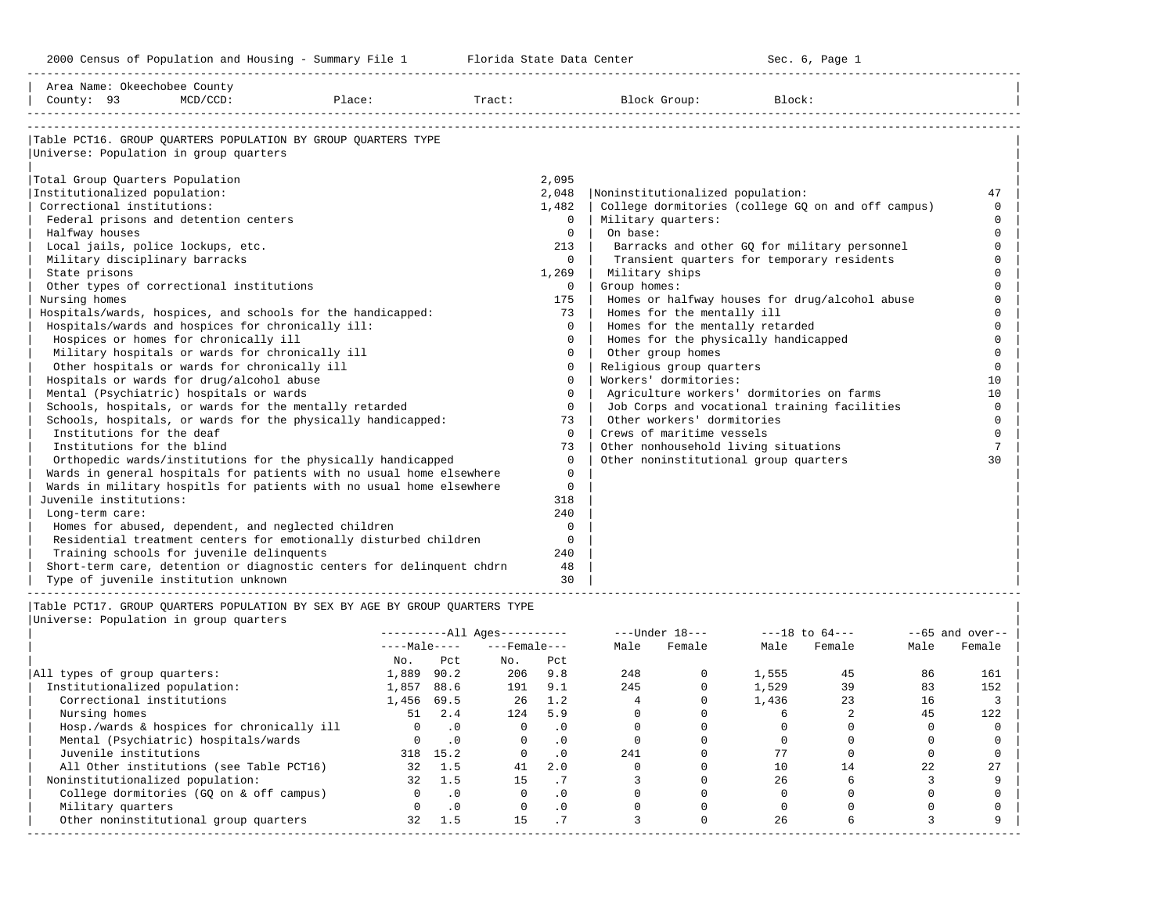2000 Census of Population and Housing - Summary File 1 Telorida State Data Center Sec. 6, Page 1 North Sec. 6, Page

-----------------------------------------------------------------------------------------------------------------------------------------------------

| County: 93                                        | $MCD/CCD$ : | Place:                                                                | Tract: |          | Block Group:<br>Block:                             |          |
|---------------------------------------------------|-------------|-----------------------------------------------------------------------|--------|----------|----------------------------------------------------|----------|
| Universe: Population in group quarters            |             | Table PCT16. GROUP OUARTERS POPULATION BY GROUP OUARTERS TYPE         |        |          |                                                    |          |
|                                                   |             |                                                                       |        |          |                                                    |          |
| Total Group Ouarters Population                   |             |                                                                       | 2,095  |          |                                                    |          |
| Institutionalized population:                     |             |                                                                       | 2,048  |          | Noninstitutionalized population:                   | 47       |
| Correctional institutions:                        |             |                                                                       | 1,482  |          | College dormitories (college GO on and off campus) | $\Omega$ |
| Federal prisons and detention centers             |             |                                                                       |        | $\Omega$ | Military quarters:                                 | $\Omega$ |
| Halfway houses                                    |             |                                                                       |        | $\Omega$ | On base:                                           | $\Omega$ |
| Local jails, police lockups, etc.                 |             |                                                                       |        | 213      | Barracks and other GQ for military personnel       | $\Omega$ |
| Military disciplinary barracks                    |             |                                                                       |        | $\Omega$ | Transient quarters for temporary residents         | $\Omega$ |
| State prisons                                     |             |                                                                       | 1,269  |          | Military ships                                     |          |
| Other types of correctional institutions          |             |                                                                       |        | $\Omega$ | Group homes:                                       |          |
| Nursing homes                                     |             |                                                                       |        | 175      | Homes or halfway houses for drug/alcohol abuse     |          |
|                                                   |             | Hospitals/wards, hospices, and schools for the handicapped:           |        | 73       | Homes for the mentally ill                         | $\cap$   |
| Hospitals/wards and hospices for chronically ill: |             |                                                                       |        | $\Omega$ | Homes for the mentally retarded                    | $\Omega$ |
| Hospices or homes for chronically ill             |             |                                                                       |        | $\Omega$ | Homes for the physically handicapped               |          |
| Military hospitals or wards for chronically ill   |             |                                                                       |        | $\Omega$ | Other group homes                                  | $\cap$   |
| Other hospitals or wards for chronically ill      |             |                                                                       |        | $\Omega$ | Religious group quarters                           | $\Omega$ |
| Hospitals or wards for drug/alcohol abuse         |             |                                                                       |        | $\Omega$ | Workers' dormitories:                              | 10       |
| Mental (Psychiatric) hospitals or wards           |             |                                                                       |        | $\Omega$ | Agriculture workers' dormitories on farms          | 10       |
|                                                   |             | Schools, hospitals, or wards for the mentally retarded                |        | $\Omega$ | Job Corps and vocational training facilities       | $\Omega$ |
|                                                   |             | Schools, hospitals, or wards for the physically handicapped:          |        | 73       | Other workers' dormitories                         | $\Omega$ |
| Institutions for the deaf                         |             |                                                                       |        | $\Omega$ | Crews of maritime vessels                          | $\Omega$ |
| Institutions for the blind                        |             |                                                                       |        | 73       | Other nonhousehold living situations               | 7        |
|                                                   |             | Orthopedic wards/institutions for the physically handicapped          |        | $\Omega$ | Other noninstitutional group quarters              | 30       |
|                                                   |             | Wards in general hospitals for patients with no usual home elsewhere  |        | $\Omega$ |                                                    |          |
|                                                   |             | Wards in military hospitls for patients with no usual home elsewhere  |        | $\Omega$ |                                                    |          |
| Juvenile institutions:                            |             |                                                                       |        | 318      |                                                    |          |
| Long-term care:                                   |             |                                                                       |        | 240      |                                                    |          |
|                                                   |             | Homes for abused, dependent, and neglected children                   |        | $\Omega$ |                                                    |          |
|                                                   |             | Residential treatment centers for emotionally disturbed children      |        | $\Omega$ |                                                    |          |
| Training schools for juvenile delinquents         |             |                                                                       |        | 240      |                                                    |          |
|                                                   |             | Short-term care, detention or diagnostic centers for delinquent chdrn |        | 48       |                                                    |          |
| Type of juvenile institution unknown              |             |                                                                       |        | 30       |                                                    |          |

|                                            |              |           | $------All Aqes------$ |           |      | $---Under 18---$ | $---18$ to $64---$ |        |      | $--65$ and over-- |
|--------------------------------------------|--------------|-----------|------------------------|-----------|------|------------------|--------------------|--------|------|-------------------|
|                                            | $---Male---$ |           | $---$ Female $---$     |           | Male | Female           | Male               | Female | Male | Female            |
|                                            | No.          | Pct       | No.                    | Pct       |      |                  |                    |        |      |                   |
| All types of group quarters:               | 1,889        | 90.2      | 206                    | 9.8       | 248  |                  | 1,555              | 45     | 86   | 161               |
| Institutionalized population:              | 1,857        | 88.6      | 191                    | 9.1       | 245  |                  | 1,529              | 39     | 83   | 152               |
| Correctional institutions                  | 1,456        | 69.5      | 26                     | 1.2       |      |                  | 1,436              | 23     | 16   |                   |
| Nursing homes                              | 51           | 2.4       | 124                    | 5.9       |      |                  |                    |        | 45   | 122               |
| Hosp./wards & hospices for chronically ill |              |           |                        | . 0       |      |                  |                    |        |      |                   |
| Mental (Psychiatric) hospitals/wards       |              | $\cdot$ 0 |                        | . 0       |      |                  |                    |        |      |                   |
| Juvenile institutions                      | 318          | 15.2      |                        | $\cdot$ 0 | 241  |                  |                    |        |      |                   |
| All Other institutions (see Table PCT16)   | 32           | 1.5       | 41                     | 2.0       |      |                  |                    | 14     | 22   |                   |
| Noninstitutionalized population:           | 32           | 1.5       | 15                     | $\cdot$ / |      |                  | 26                 |        |      |                   |
| College dormitories (GQ on & off campus)   |              | $\cdot$ 0 |                        | $\cdot$ 0 |      |                  |                    |        |      |                   |
| Military quarters                          |              | .0        |                        | $\cdot$ 0 |      |                  |                    |        |      |                   |
| Other noninstitutional group quarters      | 32           | 1.5       | 15                     |           |      |                  | 26                 |        |      |                   |
|                                            |              |           |                        |           |      |                  |                    |        |      |                   |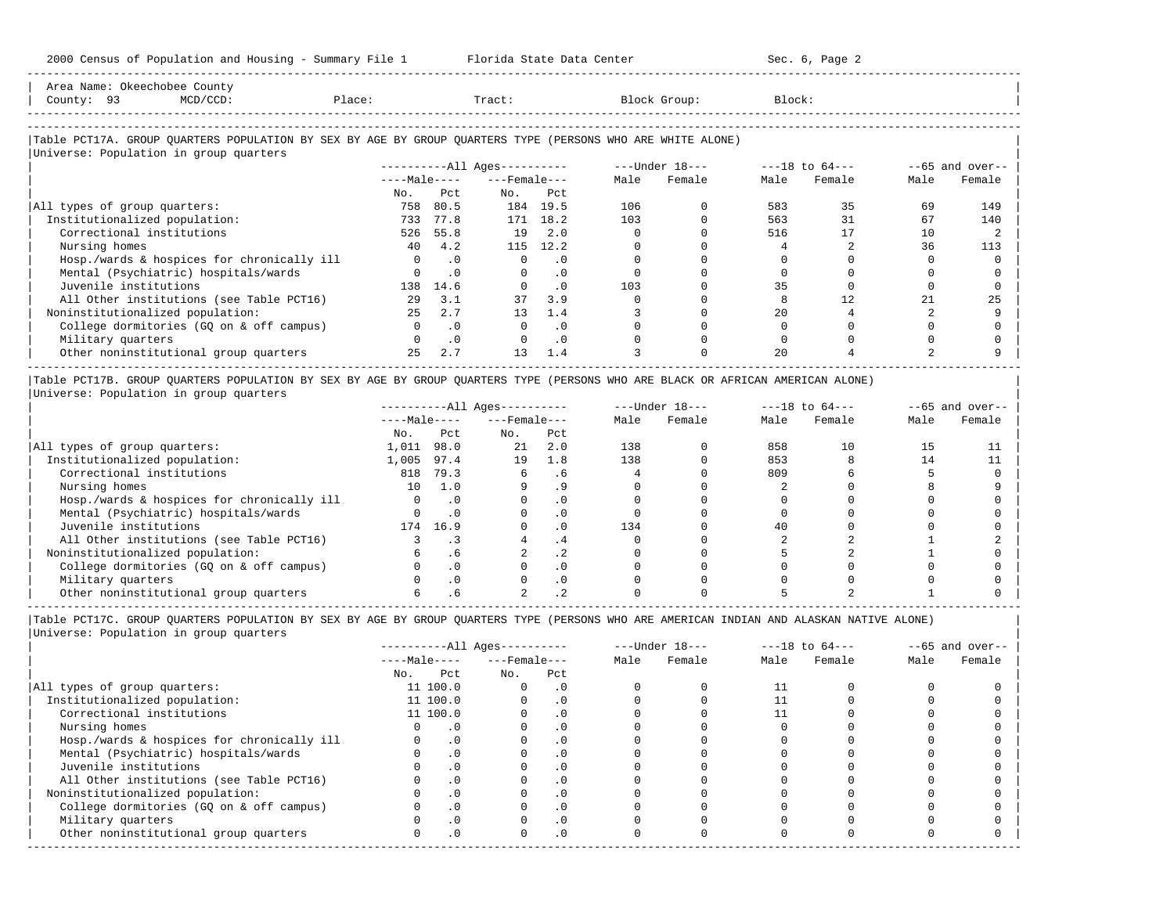| Area Name: Okeechobee County<br>County: 93<br>$MCD/CCD$ :<br>Place:                                                                                  |              |           | Tract:                       |           |      | Block Group:   | Block: |                    |      |                    |
|------------------------------------------------------------------------------------------------------------------------------------------------------|--------------|-----------|------------------------------|-----------|------|----------------|--------|--------------------|------|--------------------|
| Table PCT17A. GROUP QUARTERS POPULATION BY SEX BY AGE BY GROUP QUARTERS TYPE (PERSONS WHO ARE WHITE ALONE)<br>Universe: Population in group quarters |              |           |                              |           |      |                |        |                    |      |                    |
|                                                                                                                                                      |              |           | ----------All Ages---------- |           |      | ---Under 18--- |        | $---18$ to $64---$ |      | $- -65$ and over-- |
|                                                                                                                                                      | $---Male---$ |           | $---$ Female $---$           |           | Male | Female         | Male   | Female             | Male | Female             |
|                                                                                                                                                      | No.          | Pct       | No.                          | Pct       |      |                |        |                    |      |                    |
| All types of group quarters:                                                                                                                         | 758          | 80.5      | 184                          | 19.5      | 106  |                | 583    | 35                 | 69   | 149                |
| Institutionalized population:                                                                                                                        | 733          | 77.8      | 171                          | 18.2      | 103  |                | 563    | 31                 | 67   | 140                |
| Correctional institutions                                                                                                                            | 526          | 55.8      | 19                           | 2.0       |      |                | 516    | 17                 | 10   |                    |
| Nursing homes                                                                                                                                        | 40           | 4.2       | 115                          | 12.2      |      |                |        |                    | 36   | 113                |
| Hosp./wards & hospices for chronically ill                                                                                                           | $\Omega$     | $\cdot$ 0 | 0                            | . 0       |      |                |        |                    |      |                    |
| Mental (Psychiatric) hospitals/wards                                                                                                                 |              | $\cdot$ 0 | 0                            | $\cdot$ 0 |      |                |        |                    |      |                    |
| Juvenile institutions                                                                                                                                | 138          | 14.6      |                              | $\cdot$ 0 | 103  |                | 35     |                    |      |                    |
| All Other institutions (see Table PCT16)                                                                                                             | 2.9          | 3.1       | 37                           | 3.9       |      |                |        | 12                 | 21   | 25                 |
| Noninstitutionalized population:                                                                                                                     | 2.5          | 2.7       | 13                           | 1.4       |      |                | 2.0    |                    |      |                    |
| College dormitories (GO on & off campus)                                                                                                             |              | $\cdot$ 0 | 0                            | $\cdot$ 0 |      |                |        |                    |      |                    |

| Military quarters 0 .0 0 .0 0 0 0 0 0 0 | Military quarters and the computers and the computers and the computers and the computers and the computers and the computers and the computers and the computers are computed as  $25$  2.7 13 1.4 and 3 0 20 4 2 9 9 and 2 9 9

-----------------------------------------------------------------------------------------------------------------------------------------------------

|Table PCT17B. GROUP QUARTERS POPULATION BY SEX BY AGE BY GROUP QUARTERS TYPE (PERSONS WHO ARE BLACK OR AFRICAN AMERICAN ALONE) | |Universe: Population in group quarters |

-----------------------------------------------------------------------------------------------------------------------------------------------------

|                                            |              |           | $------All Ages------$ |           |      | $---Under 18---$ | $---18$ to $64---$ |        | $--65$ and over-- |        |
|--------------------------------------------|--------------|-----------|------------------------|-----------|------|------------------|--------------------|--------|-------------------|--------|
|                                            | $---Male---$ |           | $---$ Female $---$     |           | Male | Female           | Male               | Female | Male              | Female |
|                                            | No.          | Pct       | No.                    | Pct       |      |                  |                    |        |                   |        |
| All types of group quarters:               | 1,011        | 98.0      | 21                     | 2.0       | 138  |                  | 858                | 10     | 15                |        |
| Institutionalized population:              | 1,005        | 97.4      | 19                     | 1.8       | 138  |                  | 853                |        | 14                |        |
| Correctional institutions                  | 818          | 79.3      |                        | . 6       |      |                  | 809                |        |                   |        |
| Nursing homes                              | 10           | 1.0       |                        |           |      |                  |                    |        |                   |        |
| Hosp./wards & hospices for chronically ill |              |           |                        | . 0       |      |                  |                    |        |                   |        |
| Mental (Psychiatric) hospitals/wards       |              |           |                        | . 0       |      |                  |                    |        |                   |        |
| Juvenile institutions                      | 174          | 16.9      |                        | . 0       | 134  |                  | 40                 |        |                   |        |
| All Other institutions (see Table PCT16)   |              |           |                        |           |      |                  |                    |        |                   |        |
| Noninstitutionalized population:           |              | . 6       |                        | . 2       |      |                  |                    |        |                   |        |
| College dormitories (GO on & off campus)   |              | $\cdot$ 0 |                        | $\cdot$ 0 |      |                  |                    |        |                   |        |
| Military quarters                          |              | $\cdot$ 0 |                        | . 0       |      |                  |                    |        |                   |        |
| Other noninstitutional group quarters      |              |           |                        |           |      |                  |                    |        |                   |        |

----------------------------------------------------------------------------------------------------------------------------------------------------- |Table PCT17C. GROUP QUARTERS POPULATION BY SEX BY AGE BY GROUP QUARTERS TYPE (PERSONS WHO ARE AMERICAN INDIAN AND ALASKAN NATIVE ALONE) | |Universe: Population in group quarters |

|                                            |     |              | $------All Aqes------$ |           |      | $---Under 18---$ | $---18$ to $64---$ |        | $--65$ and over-- |        |
|--------------------------------------------|-----|--------------|------------------------|-----------|------|------------------|--------------------|--------|-------------------|--------|
|                                            |     | $---Male---$ | $---$ Female $---$     |           | Male | Female           | Male               | Female | Male              | Female |
|                                            | No. | Pct          | No.                    | Pct       |      |                  |                    |        |                   |        |
| All types of group quarters:               |     | 11 100.0     |                        | . 0       |      |                  |                    |        |                   |        |
| Institutionalized population:              |     | 11 100.0     |                        | $\cdot$ 0 |      |                  |                    |        |                   |        |
| Correctional institutions                  |     | 11 100.0     |                        | . 0       |      |                  |                    |        |                   |        |
| Nursing homes                              |     |              |                        | $\Omega$  |      |                  |                    |        |                   |        |
| Hosp./wards & hospices for chronically ill |     |              |                        | . 0       |      |                  |                    |        |                   |        |
| Mental (Psychiatric) hospitals/wards       |     | .0           |                        | . 0       |      |                  |                    |        |                   |        |
| Juvenile institutions                      |     |              |                        | . 0       |      |                  |                    |        |                   |        |
| All Other institutions (see Table PCT16)   |     |              |                        |           |      |                  |                    |        |                   |        |
| Noninstitutionalized population:           |     | .0           |                        | $\cdot$ 0 |      |                  |                    |        |                   |        |
| College dormitories (GO on & off campus)   |     |              |                        | $\cdot$ 0 |      |                  |                    |        |                   |        |
| Military quarters                          |     |              |                        | . 0       |      |                  |                    |        |                   |        |
| Other noninstitutional group quarters      |     | $\cdot$ 0    |                        | $\cdot$ 0 |      |                  |                    |        |                   |        |
|                                            |     |              |                        |           |      |                  |                    |        |                   |        |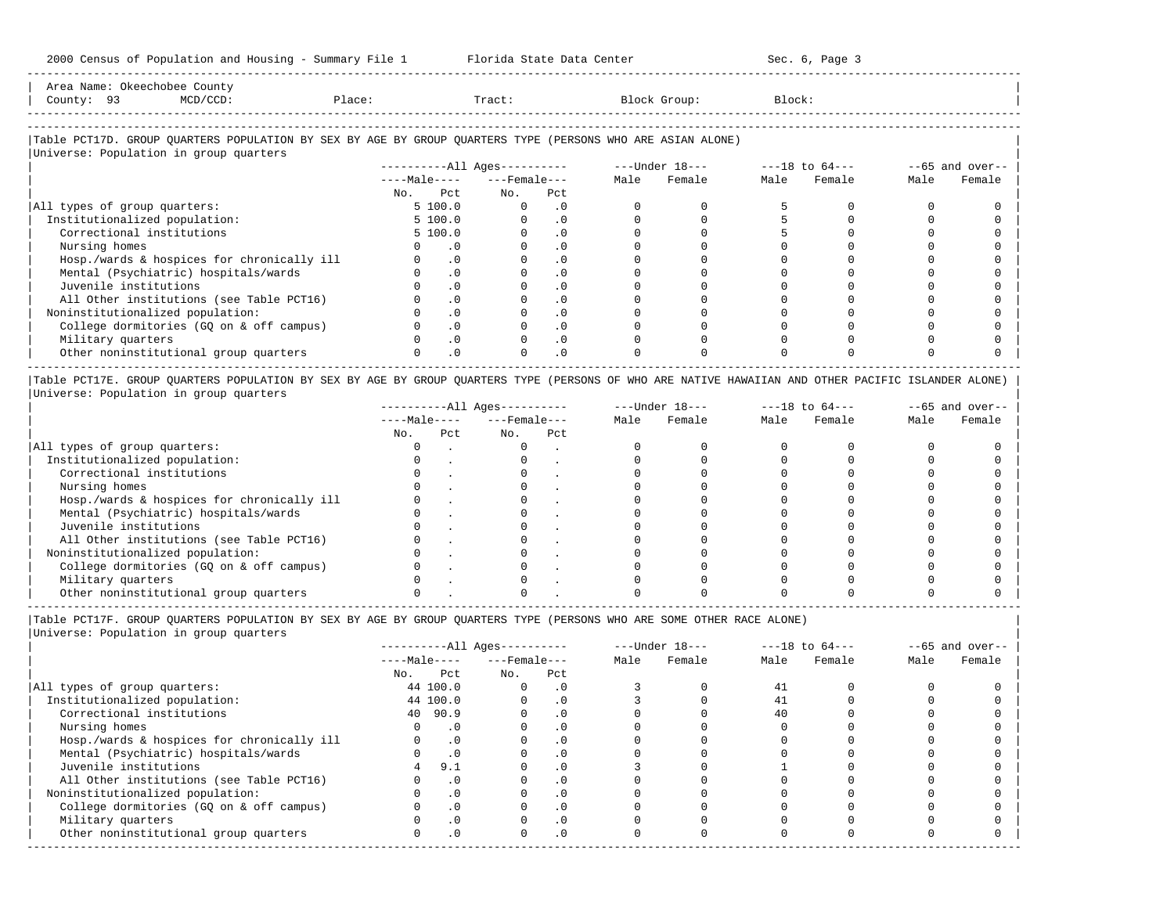| Area<br>Name | 7. <del>.</del><br>,,,, | Count                                                                           |                   |       |        |       |
|--------------|-------------------------|---------------------------------------------------------------------------------|-------------------|-------|--------|-------|
| County       |                         | the contract of the contract of the contract of the contract of the contract of | $\alpha$<br>≀⊥ас∈ | Tract | ⊶roup∶ | Block |
|              |                         |                                                                                 |                   |       |        |       |

-----------------------------------------------------------------------------------------------------------------------------------------------------

-----------------------------------------------------------------------------------------------------------------------------------------------------

## |Table PCT17D. GROUP QUARTERS POPULATION BY SEX BY AGE BY GROUP QUARTERS TYPE (PERSONS WHO ARE ASIAN ALONE) |

|                                            | $------All Aqes------$ |           |                    |           | ---Under 18--- |        | $---18$ to $64---$ |        | $--65$ and over-- |        |
|--------------------------------------------|------------------------|-----------|--------------------|-----------|----------------|--------|--------------------|--------|-------------------|--------|
|                                            | $---Male---$           |           | $---$ Female $---$ |           | Male           | Female | Male               | Female | Male              | Female |
|                                            | Pct<br>No.             |           | No.                | Pct       |                |        |                    |        |                   |        |
| All types of group quarters:               | 5 100.0                |           | $\Omega$           | . 0       |                |        |                    |        |                   |        |
| Institutionalized population:              | 5 100.0                |           |                    | $\cdot$ 0 |                |        |                    |        |                   |        |
| Correctional institutions                  | 5 100.0                |           |                    | $\cdot$ 0 |                |        |                    |        |                   |        |
| Nursing homes                              |                        | . 0       |                    |           |                |        |                    |        |                   |        |
| Hosp./wards & hospices for chronically ill |                        | $\cdot$ 0 |                    | . 0       |                |        |                    |        |                   |        |
| Mental (Psychiatric) hospitals/wards       |                        | $\cdot$ 0 |                    | $\cdot$ 0 |                |        |                    |        |                   |        |
| Juvenile institutions                      |                        | $\cdot$ 0 |                    |           |                |        |                    |        |                   |        |
| All Other institutions (see Table PCT16)   |                        | $\cdot$ 0 |                    | $\cdot$ 0 |                |        |                    |        |                   |        |
| Noninstitutionalized population:           |                        | $\cdot$ 0 |                    | $\cdot$ 0 |                |        |                    |        |                   |        |
| College dormitories (GQ on & off campus)   |                        | $\cdot$ 0 |                    | $\cdot$ 0 |                |        |                    |        |                   |        |
| Military quarters                          |                        | .0        |                    | $\cdot$ 0 |                |        |                    |        |                   |        |
| Other noninstitutional group quarters      |                        | $\cdot$ 0 |                    | $\cdot$ 0 |                |        |                    |        |                   |        |

|Table PCT17E. GROUP QUARTERS POPULATION BY SEX BY AGE BY GROUP QUARTERS TYPE (PERSONS OF WHO ARE NATIVE HAWAIIAN AND OTHER PACIFIC ISLANDER ALONE) | |Universe: Population in group quarters |

|                                            |              |     | $------All Aqes------$ |     | $---Under 18---$ |        | $---18$ to $64---$ |        |      | $--65$ and over-- |
|--------------------------------------------|--------------|-----|------------------------|-----|------------------|--------|--------------------|--------|------|-------------------|
|                                            | $---Male---$ |     | $---$ Female $---$     |     | Male             | Female | Male               | Female | Male | Female            |
|                                            | No.          | Pct | No.                    | Pct |                  |        |                    |        |      |                   |
| All types of group quarters:               |              |     |                        |     |                  |        |                    |        |      |                   |
| Institutionalized population:              |              |     |                        |     |                  |        |                    |        |      |                   |
| Correctional institutions                  |              |     |                        |     |                  |        |                    |        |      |                   |
| Nursing homes                              |              |     |                        |     |                  |        |                    |        |      |                   |
| Hosp./wards & hospices for chronically ill |              |     |                        |     |                  |        |                    |        |      |                   |
| Mental (Psychiatric) hospitals/wards       |              |     |                        |     |                  |        |                    |        |      |                   |
| Juvenile institutions                      |              |     |                        |     |                  |        |                    |        |      |                   |
| All Other institutions (see Table PCT16)   |              |     |                        |     |                  |        |                    |        |      |                   |
| Noninstitutionalized population:           |              |     |                        |     |                  |        |                    |        |      |                   |
| College dormitories (GO on & off campus)   |              |     |                        |     |                  |        |                    |        |      |                   |
| Military quarters                          |              |     |                        |     |                  |        |                    |        |      |                   |
| Other noninstitutional group quarters      |              |     |                        |     |                  |        |                    |        |      |                   |

-----------------------------------------------------------------------------------------------------------------------------------------------------

|Table PCT17F. GROUP QUARTERS POPULATION BY SEX BY AGE BY GROUP QUARTERS TYPE (PERSONS WHO ARE SOME OTHER RACE ALONE) |

|                                            |              | $------All Ages------$ |                |      | $---Under 18---$ | $---18$ to $64---$ |        | $--65$ and over-- |        |
|--------------------------------------------|--------------|------------------------|----------------|------|------------------|--------------------|--------|-------------------|--------|
|                                            | $---Male---$ | $---$ Female $---$     |                | Male | Female           | Male               | Female | Male              | Female |
|                                            | Pct<br>No.   | No.                    | Pct            |      |                  |                    |        |                   |        |
| All types of group quarters:               | 44 100.0     | 0                      | . 0            |      |                  | 41                 |        |                   |        |
| Institutionalized population:              | 44 100.0     |                        | $\cdot$ 0      |      |                  | 41                 |        |                   |        |
| Correctional institutions                  | 40 90.9      |                        |                |      |                  | 40                 |        |                   |        |
| Nursing homes                              | $\cdot$ 0    |                        | $\Omega$ .     |      |                  |                    |        |                   |        |
| Hosp./wards & hospices for chronically ill | $\cdot$ 0    |                        | $\overline{0}$ |      |                  |                    |        |                   |        |
| Mental (Psychiatric) hospitals/wards       |              |                        |                |      |                  |                    |        |                   |        |
| Juvenile institutions                      | 9.1          |                        | .0             |      |                  |                    |        |                   |        |
| All Other institutions (see Table PCT16)   | $\cdot$ 0    |                        |                |      |                  |                    |        |                   |        |
| Noninstitutionalized population:           | $\cdot$ 0    |                        | $\Omega$       |      |                  |                    |        |                   |        |
| College dormitories (GQ on & off campus)   | $\cdot$ 0    |                        |                |      |                  |                    |        |                   |        |
| Military quarters                          | $\cdot$ 0    |                        | $\cdot$ 0      |      |                  |                    |        |                   |        |
| Other noninstitutional group quarters      | $\cdot$ 0    |                        | $\cdot$ 0      |      |                  |                    |        |                   |        |
|                                            |              |                        |                |      |                  |                    |        |                   |        |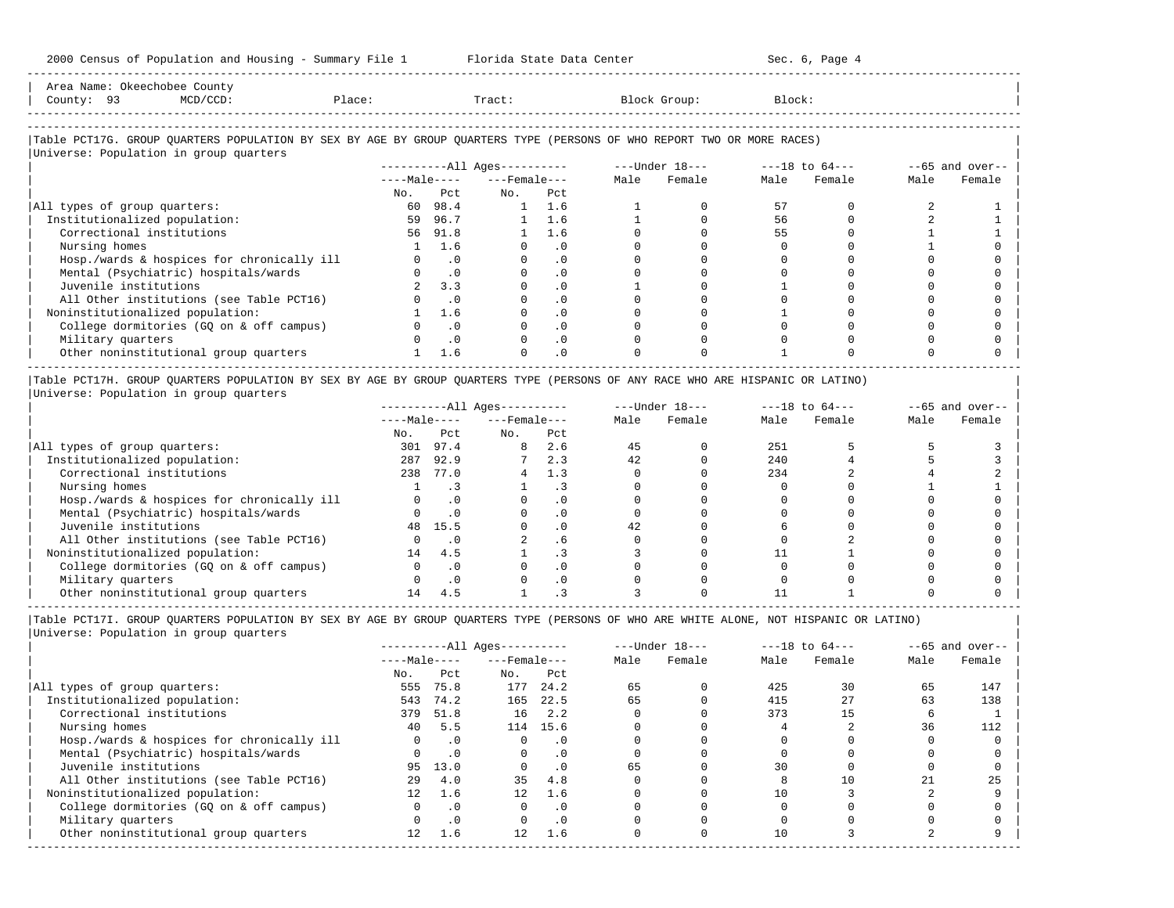| zooo census of Robulation and Housing - Summary File I - - - - Florida State Data Center                                                                         |        |           |                          |               |      |                                                                   |        | SEC. 0, Paye 4 |      |                   |
|------------------------------------------------------------------------------------------------------------------------------------------------------------------|--------|-----------|--------------------------|---------------|------|-------------------------------------------------------------------|--------|----------------|------|-------------------|
| Area Name: Okeechobee County<br>County: 93<br>$MCD/CCD$ :                                                                                                        | Place: |           | Tract:                   |               |      | Block Group:                                                      | Block: |                |      |                   |
| Table PCT17G. GROUP QUARTERS POPULATION BY SEX BY AGE BY GROUP QUARTERS TYPE (PERSONS OF WHO REPORT TWO OR MORE RACES)<br>Universe: Population in group quarters |        |           |                          |               |      |                                                                   |        |                |      |                   |
|                                                                                                                                                                  |        |           |                          |               |      | ----------All Ages---------- ----Under $18$ --- ---18 to $64$ --- |        |                |      | $--65$ and over-- |
|                                                                                                                                                                  |        |           | $---Male-- ---Female---$ |               | Male | Female                                                            | Male   | Female         | Male | Female            |
|                                                                                                                                                                  | No.    | Pct       | No. Pct                  |               |      |                                                                   |        |                |      |                   |
| All types of group quarters:                                                                                                                                     | 60     | 98.4      |                          | $1 \quad 1.6$ |      |                                                                   | 57     |                |      |                   |
| Institutionalized population:                                                                                                                                    | 59     | 96.7      |                          | $1 \quad 1.6$ |      |                                                                   | 56     |                |      |                   |
| Correctional institutions                                                                                                                                        | 56     | 91.8      |                          | 1.6           |      |                                                                   | 55     |                |      |                   |
| Nursing homes                                                                                                                                                    |        | 1.6       |                          | $\cdot$ 0     |      |                                                                   |        |                |      |                   |
| Hosp./wards & hospices for chronically ill                                                                                                                       |        | $\cdot$ 0 |                          | $\cdot$ 0     |      |                                                                   |        |                |      |                   |
| Mental (Psychiatric) hospitals/wards                                                                                                                             |        | $\cdot$ 0 |                          | $\cdot$ 0     |      |                                                                   |        |                |      |                   |
| Juvenile institutions                                                                                                                                            |        | 3.3       |                          | $\cdot$ 0     |      |                                                                   |        |                |      |                   |
| All Other institutions (see Table PCT16)                                                                                                                         |        | $\cdot$ 0 |                          | $\cdot$ 0     |      |                                                                   |        |                |      |                   |
| Noninstitutionalized population:                                                                                                                                 |        | 1.6       |                          | $\cdot$ 0     |      |                                                                   |        |                |      |                   |
| College dormitories (GQ on & off campus)                                                                                                                         |        | $\cdot$ 0 |                          | $\cdot$ 0     |      |                                                                   |        |                |      |                   |
| Military quarters                                                                                                                                                |        | $\cdot$ 0 |                          | $\cdot$ 0     |      |                                                                   |        |                |      |                   |
| Other noninstitutional group quarters                                                                                                                            |        | 1.6       |                          | $\cdot$ 0     |      |                                                                   |        |                |      |                   |

|Table PCT17H. GROUP QUARTERS POPULATION BY SEX BY AGE BY GROUP QUARTERS TYPE (PERSONS OF ANY RACE WHO ARE HISPANIC OR LATINO) | |Universe: Population in group quarters |

|                                            |              |           | $------All Aqes------$ |           |      | $---Under 18---$ | $---18$ to $64---$ |        | $--65$ and over-- |        |
|--------------------------------------------|--------------|-----------|------------------------|-----------|------|------------------|--------------------|--------|-------------------|--------|
|                                            | $---Male---$ |           | $---$ Female $---$     |           | Male | Female           | Male               | Female | Male              | Female |
|                                            | No.          | Pct       | No.                    | Pct       |      |                  |                    |        |                   |        |
| All types of group quarters:               | 301          | 97.4      | 8                      | 2.6       | 45   |                  | 251                |        |                   |        |
| Institutionalized population:              | 287          | 92.9      |                        | 2.3       | 42   |                  | 2.40               |        |                   |        |
| Correctional institutions                  | 238          | 77.0      |                        | 1.3       |      |                  | 234                |        |                   |        |
| Nursing homes                              |              |           |                        |           |      |                  |                    |        |                   |        |
| Hosp./wards & hospices for chronically ill |              |           |                        | . 0       |      |                  |                    |        |                   |        |
| Mental (Psychiatric) hospitals/wards       |              |           |                        | . 0       |      |                  |                    |        |                   |        |
| Juvenile institutions                      | 48           | 15.5      |                        | . 0       | 42   |                  |                    |        |                   |        |
| All Other institutions (see Table PCT16)   |              |           |                        | . 6       |      |                  |                    |        |                   |        |
| Noninstitutionalized population:           | 14           | 4.5       |                        | . 3       |      |                  |                    |        |                   |        |
| College dormitories (GO on & off campus)   |              |           |                        | $\cdot$ 0 |      |                  |                    |        |                   |        |
| Military quarters                          |              | $\cdot$ 0 |                        | . 0       |      |                  |                    |        |                   |        |
| Other noninstitutional group quarters      |              |           |                        |           |      |                  |                    |        |                   |        |

-----------------------------------------------------------------------------------------------------------------------------------------------------

-----------------------------------------------------------------------------------------------------------------------------------------------------

|Table PCT17I. GROUP QUARTERS POPULATION BY SEX BY AGE BY GROUP QUARTERS TYPE (PERSONS OF WHO ARE WHITE ALONE, NOT HISPANIC OR LATINO) | |Universe: Population in group quarters |

|                                            |              |           | $------All Ages------$ |           |      | $---Under 18---$ | $---18$ to $64---$ |        | $--65$ and over-- |        |
|--------------------------------------------|--------------|-----------|------------------------|-----------|------|------------------|--------------------|--------|-------------------|--------|
|                                            | $---Male---$ |           | $---$ Female $---$     |           | Male | Female           | Male               | Female | Male              | Female |
|                                            | No.          | Pct       | No.                    | Pct       |      |                  |                    |        |                   |        |
| All types of group quarters:               | 555          | 75.8      | 177                    | 24.2      | 65   |                  | 425                | 30     | 65                | 147    |
| Institutionalized population:              | 543          | 74.2      | 165                    | 22.5      | 65   |                  | 415                | 27     | 63                | 138    |
| Correctional institutions                  | 379          | 51.8      | 16                     | 2.2       |      |                  | 373                | 15     |                   |        |
| Nursing homes                              | 40           | 5.5       | 114                    | 15.6      |      |                  |                    |        | 36                | 112    |
| Hosp./wards & hospices for chronically ill | $\Omega$     | $\cdot$ 0 |                        | $\cdot$ 0 |      |                  |                    |        |                   |        |
| Mental (Psychiatric) hospitals/wards       |              | .0        | $\Omega$               | $\cdot$ 0 |      |                  |                    |        |                   |        |
| Juvenile institutions                      | 95           | 13.0      |                        | $\cdot$ 0 | 65   |                  | 30                 |        |                   |        |
| All Other institutions (see Table PCT16)   | 29           | 4.0       | 35                     | 4.8       |      |                  |                    | 10     |                   | 25     |
| Noninstitutionalized population:           | 12.          | 1.6       | 12.                    | 1.6       |      |                  | 10                 |        |                   |        |
| College dormitories (GQ on & off campus)   |              | $\cdot$ 0 |                        | $\cdot$ 0 |      |                  |                    |        |                   |        |
| Military quarters                          |              | $\cdot$ 0 |                        | $\cdot$ 0 |      |                  |                    |        |                   |        |
| Other noninstitutional group quarters      | 12           | 1.6       | 12 <sup>°</sup>        | 1.6       |      |                  | 10                 |        |                   |        |
|                                            |              |           |                        |           |      |                  |                    |        |                   |        |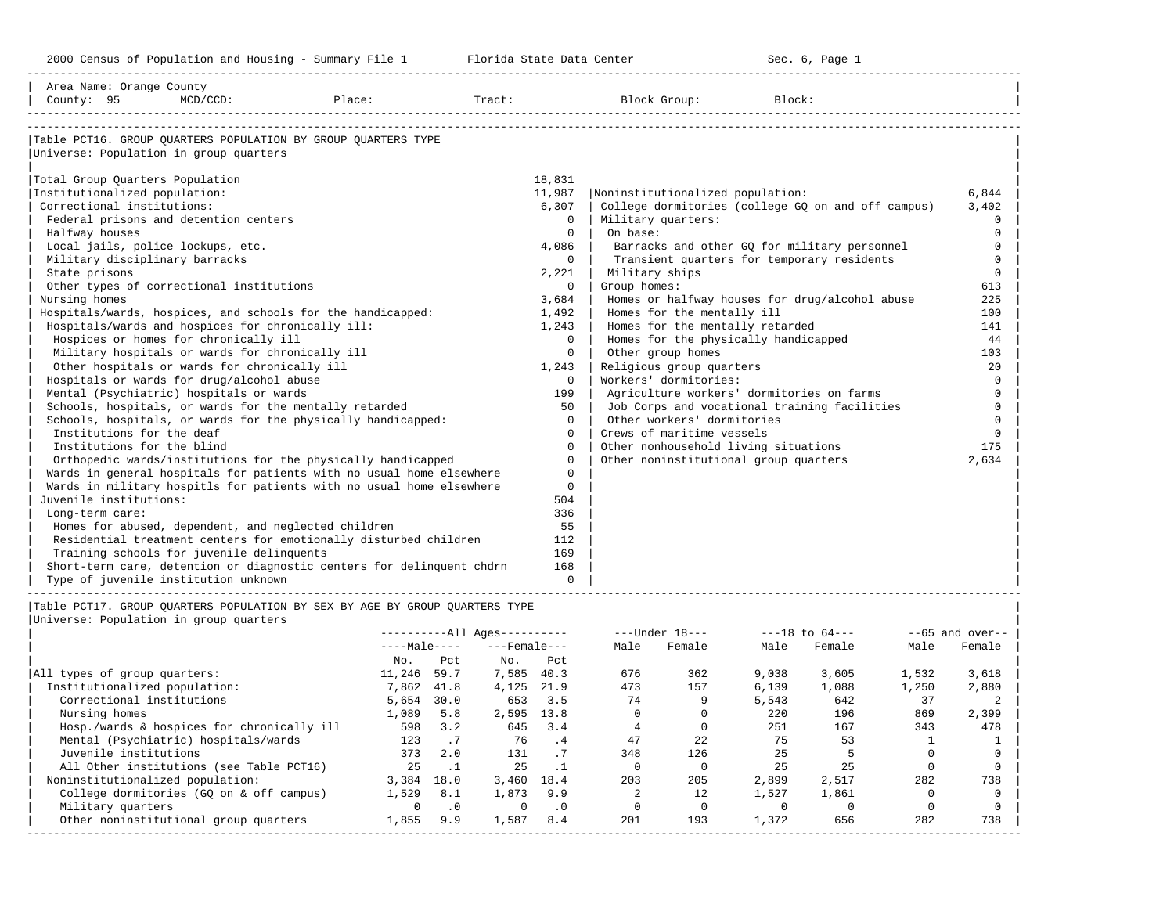-----------------------------------------------------------------------------------------------------------------------------------------------------

| Area Name: Orange County                                                    |        |                |                          |                   |                |                                                                                            |        |                    |              |                            |
|-----------------------------------------------------------------------------|--------|----------------|--------------------------|-------------------|----------------|--------------------------------------------------------------------------------------------|--------|--------------------|--------------|----------------------------|
| County: 95<br>$MCD/CCD$ :                                                   | Place: |                | Tract:                   |                   |                | Block Group:                                                                               | Block: |                    |              |                            |
|                                                                             |        |                |                          |                   |                |                                                                                            |        |                    |              |                            |
| Table PCT16. GROUP QUARTERS POPULATION BY GROUP QUARTERS TYPE               |        |                |                          |                   |                |                                                                                            |        |                    |              |                            |
| Universe: Population in group quarters                                      |        |                |                          |                   |                |                                                                                            |        |                    |              |                            |
|                                                                             |        |                |                          |                   |                |                                                                                            |        |                    |              |                            |
| Total Group Quarters Population                                             |        |                |                          | 18,831            |                |                                                                                            |        |                    |              |                            |
| Institutionalized population:                                               |        |                |                          | 11,987            |                | Noninstitutionalized population:                                                           |        |                    |              | 6,844                      |
| Correctional institutions:                                                  |        |                |                          | 6,307<br>$\Omega$ |                | College dormitories (college GQ on and off campus)                                         |        |                    |              | 3,402                      |
| Federal prisons and detention centers                                       |        |                |                          | $\mathbf{0}$      |                | Military quarters:                                                                         |        |                    |              | $\mathbf 0$<br>$\mathbf 0$ |
| Halfway houses                                                              |        |                |                          | 4,086             | On base:       |                                                                                            |        |                    |              | $\Omega$                   |
| Local jails, police lockups, etc.                                           |        |                |                          | $\Omega$          |                | Barracks and other GQ for military personnel<br>Transient quarters for temporary residents |        |                    |              | $\Omega$                   |
| Military disciplinary barracks<br>State prisons                             |        |                |                          | 2,221             |                | Military ships                                                                             |        |                    |              | $\mathbf 0$                |
| Other types of correctional institutions                                    |        |                |                          | $\Omega$          | Group homes:   |                                                                                            |        |                    |              | 613                        |
| Nursing homes                                                               |        |                |                          | 3,684             |                | Homes or halfway houses for drug/alcohol abuse                                             |        |                    |              | 225                        |
| Hospitals/wards, hospices, and schools for the handicapped:                 |        |                |                          | 1,492             |                | Homes for the mentally ill                                                                 |        |                    |              | 100                        |
| Hospitals/wards and hospices for chronically ill:                           |        |                |                          | 1,243             |                | Homes for the mentally retarded                                                            |        |                    |              | 141                        |
| Hospices or homes for chronically ill                                       |        |                |                          | $\mathbf 0$       |                | Homes for the physically handicapped                                                       |        |                    |              | 44                         |
| Military hospitals or wards for chronically ill                             |        |                |                          | $\mathbf 0$       |                | Other group homes                                                                          |        |                    |              | 103                        |
| Other hospitals or wards for chronically ill                                |        |                |                          | 1,243             |                | Religious group quarters                                                                   |        |                    |              | 20                         |
| Hospitals or wards for drug/alcohol abuse                                   |        |                |                          | $\Omega$          |                | Workers' dormitories:                                                                      |        |                    |              | $\mathbf 0$                |
| Mental (Psychiatric) hospitals or wards                                     |        |                |                          | 199               |                | Agriculture workers' dormitories on farms                                                  |        |                    |              | $\mathbf 0$                |
| Schools, hospitals, or wards for the mentally retarded                      |        |                |                          | 50                |                | Job Corps and vocational training facilities                                               |        |                    |              | $\mathbf 0$                |
| Schools, hospitals, or wards for the physically handicapped:                |        |                |                          | $\Omega$          |                | Other workers' dormitories                                                                 |        |                    |              | $\mathbf 0$                |
| Institutions for the deaf                                                   |        |                |                          | $\Omega$          |                | Crews of maritime vessels                                                                  |        |                    |              | $\Omega$                   |
| Institutions for the blind                                                  |        |                |                          | $\Omega$          |                | Other nonhousehold living situations                                                       |        |                    |              | 175                        |
| Orthopedic wards/institutions for the physically handicapped                |        |                |                          | $\Omega$          |                | Other noninstitutional group quarters                                                      |        |                    |              | 2,634                      |
| Wards in general hospitals for patients with no usual home elsewhere        |        |                |                          | $\Omega$          |                |                                                                                            |        |                    |              |                            |
| Wards in military hospitls for patients with no usual home elsewhere        |        |                |                          | $\Omega$          |                |                                                                                            |        |                    |              |                            |
| Juvenile institutions:                                                      |        |                |                          | 504               |                |                                                                                            |        |                    |              |                            |
| Long-term care:                                                             |        |                |                          | 336               |                |                                                                                            |        |                    |              |                            |
| Homes for abused, dependent, and neglected children                         |        |                |                          | 55                |                |                                                                                            |        |                    |              |                            |
| Residential treatment centers for emotionally disturbed children            |        |                |                          | 112               |                |                                                                                            |        |                    |              |                            |
| Training schools for juvenile delinquents                                   |        |                |                          | 169               |                |                                                                                            |        |                    |              |                            |
| Short-term care, detention or diagnostic centers for delinquent chdrn       |        |                |                          | 168               |                |                                                                                            |        |                    |              |                            |
| Type of juvenile institution unknown                                        |        |                |                          | $\Omega$          |                |                                                                                            |        |                    |              |                            |
|                                                                             |        |                |                          |                   |                |                                                                                            |        |                    |              |                            |
| Table PCT17. GROUP QUARTERS POPULATION BY SEX BY AGE BY GROUP QUARTERS TYPE |        |                |                          |                   |                |                                                                                            |        |                    |              |                            |
| Universe: Population in group quarters                                      |        |                |                          |                   |                |                                                                                            |        |                    |              |                            |
|                                                                             |        |                | $------All Ages------$   |                   |                | ---Under 18---                                                                             |        | $---18$ to $64---$ |              | $--65$ and over--          |
|                                                                             |        |                | $---Male-- ---Female---$ |                   | Male           | Female                                                                                     | Male   | Female             | Male         | Female                     |
|                                                                             |        | No.<br>Pct     | No.                      | Pct               |                |                                                                                            |        |                    |              |                            |
| All types of group quarters:                                                |        | 11,246 59.7    |                          | 7,585 40.3        | 676            | 362                                                                                        | 9,038  | 3,605              | 1,532        | 3,618                      |
| Institutionalized population:                                               |        | 7,862 41.8     |                          | 4,125 21.9        | 473            | 157                                                                                        | 6,139  | 1,088              | 1,250        | 2,880                      |
| Correctional institutions                                                   |        | $5,654$ 30.0   | 653                      | 3.5               | 74             | 9                                                                                          | 5,543  | 642                | 37           | 2                          |
| Nursing homes                                                               |        | 1,089 5.8      |                          | 2,595 13.8        | $\Omega$       | $\Omega$                                                                                   | 220    | 196                | 869          | 2,399                      |
| Hosp./wards & hospices for chronically ill                                  |        | 598 3.2        | 645                      | 3.4               | $\overline{4}$ | $\mathbf 0$                                                                                | 251    | 167                | 343          | 478                        |
| Mental (Psychiatric) hospitals/wards                                        |        | 123<br>.7      | 76                       | $\cdot$ 4         | 47             | 22                                                                                         | 75     | 53                 | <sup>1</sup> | $\mathbf{1}$               |
| Juvenile institutions                                                       |        | 373<br>2.0     | 131                      | $\cdot$ 7         | 348            | 126                                                                                        | 25     | 5                  | $\Omega$     | $\mathbf 0$                |
| All Other institutions (see Table PCT16)                                    |        | $\ldots$<br>25 | 25                       | $\cdot$ 1         | $\overline{0}$ | $\mathbf{0}$                                                                               | 25     | 25                 | $\mathbf 0$  | $\mathbf 0$                |
| Noninstitutionalized population:                                            |        | 3,384 18.0     |                          | 3,460 18.4        | 203            | 205                                                                                        | 2,899  | 2,517              | 282          | 738                        |

| College dormitories (GQ on & off campus) 1,529 8.1 1,873 9.9 2 12 1,527 1,861 0 0 | | Military quarters 0 .0 0 .0 0 0 0 0 0 0 | | Other noninstitutional group quarters 1,855 9.9 1,587 8.4 201 193 1,372 656 282 738 | -----------------------------------------------------------------------------------------------------------------------------------------------------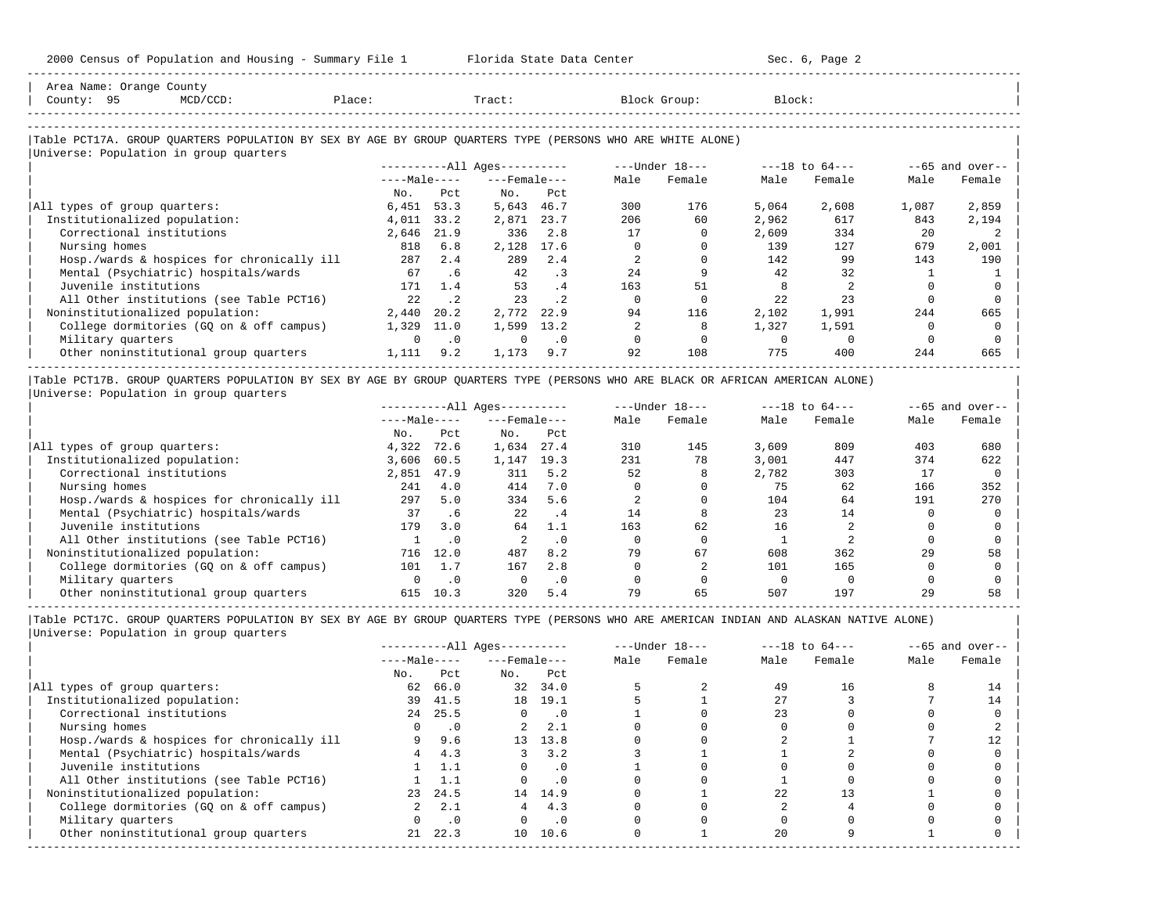| Area Name: Orange County<br>County: 95<br>MCD/CCD:                                                                                                   | Place:       |           | Tract:                 |           |      | Block Group:   | Block: |                    |       |                  |
|------------------------------------------------------------------------------------------------------------------------------------------------------|--------------|-----------|------------------------|-----------|------|----------------|--------|--------------------|-------|------------------|
| Table PCT17A. GROUP QUARTERS POPULATION BY SEX BY AGE BY GROUP QUARTERS TYPE (PERSONS WHO ARE WHITE ALONE)<br>Universe: Population in group quarters |              |           |                        |           |      |                |        |                    |       |                  |
|                                                                                                                                                      |              |           | $------All Aqes------$ |           |      | ---Under 18--- |        | $---18$ to $64---$ |       | $-65$ and over-- |
|                                                                                                                                                      | $---Male---$ |           | $---$ Female $---$     |           | Male | Female         | Male   | Female             | Male  | Female           |
|                                                                                                                                                      | No.          | Pct.      | No.                    | Pct.      |      |                |        |                    |       |                  |
| All types of group quarters:                                                                                                                         | 6,451        | 53.3      | 5,643                  | 46.7      | 300  | 176            | 5,064  | 2,608              | 1,087 | 2,859            |
| Institutionalized population:                                                                                                                        | 4,011        | 33.2      | 2,871                  | 23.7      | 206  | 60             | 2,962  | 617                | 843   | 2,194            |
| Correctional institutions                                                                                                                            | 2,646        | 21.9      | 336                    | 2.8       | 17   |                | 2,609  | 334                | 20    |                  |
| Nursing homes                                                                                                                                        | 818          | 6.8       | 2,128                  | 17.6      |      |                | 139    | 127                | 679   | 2,001            |
| Hosp./wards & hospices for chronically ill                                                                                                           | 287          | 2.4       | 289                    | 2.4       |      |                | 142    | 99                 | 143   | 190              |
| Mental (Psychiatric) hospitals/wards                                                                                                                 | 67           | .6        | 42                     | $\cdot$ 3 | 2.4  |                | 42     | 32                 |       |                  |
| Juvenile institutions                                                                                                                                | 171          | 1.4       | 53                     | .4        | 163  | 51             |        |                    |       |                  |
| All Other institutions (see Table PCT16)                                                                                                             | 22           | $\cdot$ 2 | 23                     | $\cdot$ 2 | 0    | $\Omega$       | 22     | 23                 |       |                  |
| Noninstitutionalized population:                                                                                                                     | 2,440        | 20.2      | 2,772                  | 22.9      | 94   | 116            | 2,102  | 1,991              | 244   | 665              |
| College dormitories (GQ on & off campus)                                                                                                             | 1,329        | 11.0      | 1,599                  | 13.2      |      | R              | 1,327  | 1,591              | n     |                  |
| Military quarters                                                                                                                                    | $\Omega$     | $\cdot$ 0 | $\Omega$               | $\cdot$ 0 |      |                |        | $\Omega$           |       |                  |
| Other noninstitutional group quarters                                                                                                                | 1,111        | 9.2       | 1,173                  | 9.7       | 92   | 108            | 775    | 400                | 244   | 665              |

|Table PCT17B. GROUP QUARTERS POPULATION BY SEX BY AGE BY GROUP QUARTERS TYPE (PERSONS WHO ARE BLACK OR AFRICAN AMERICAN ALONE) | |Universe: Population in group quarters |

|                                            | $------All Aqes------$ |           |                    |           | $---Under 18---$ |        | $---18$ to $64---$ |        | $--65$ and over-- |        |
|--------------------------------------------|------------------------|-----------|--------------------|-----------|------------------|--------|--------------------|--------|-------------------|--------|
|                                            | $---Male---$           |           | $---$ Female $---$ |           | Male             | Female | Male               | Female | Male              | Female |
|                                            | No.                    | Pct       | No.                | Pct       |                  |        |                    |        |                   |        |
| All types of group quarters:               | 4,322                  | 72.6      | 1,634              | 27.4      | 310              | 145    | 3,609              | 809    | 403               | 680    |
| Institutionalized population:              | 3,606                  | 60.5      | 1,147              | 19.3      | 231              | 78     | 3.001              | 447    | 374               | 622    |
| Correctional institutions                  | 2,851                  | 47.9      | 311                | 5.2       | 52               |        | 2,782              | 303    |                   |        |
| Nursing homes                              | 241                    | 4.0       | 414                | 7.0       |                  |        | 75                 | 62     | 166               | 352    |
| Hosp./wards & hospices for chronically ill | 297                    | 5.0       | 334                | 5.6       |                  |        | 104                | 64     | 191               | 270    |
| Mental (Psychiatric) hospitals/wards       | 37                     | .6        | 22.2               | .4        | 14               | 8      | 23                 | 14     |                   |        |
| Juvenile institutions                      | 179                    | 3.0       | 64                 | 1.1       | 163              | 62     | 16                 |        |                   |        |
| All Other institutions (see Table PCT16)   |                        | $\cdot$ 0 |                    | $\cdot$ 0 |                  |        |                    |        |                   |        |
| Noninstitutionalized population:           | 716                    | 12.0      | 487                | 8.2       | 79               | 67     | 608                | 362    | 29                | 58     |
| College dormitories (GQ on & off campus)   | 101                    | 1.7       | 167                | 2.8       |                  |        | 101                | 165    |                   |        |
| Military quarters                          |                        | $\cdot$ 0 |                    | $\cdot$ 0 |                  |        |                    |        |                   |        |
| Other noninstitutional group quarters      | 615                    | 10.3      | 320                | 5.4       | 79               | 65     | 507                | 197    | 29                | 58     |

-----------------------------------------------------------------------------------------------------------------------------------------------------

| $--65$ and over-- |
|-------------------|
| Male<br>Female    |
|                   |
| 14                |
| 14                |
|                   |
|                   |
|                   |
|                   |
|                   |
|                   |
|                   |
|                   |
|                   |
|                   |
|                   |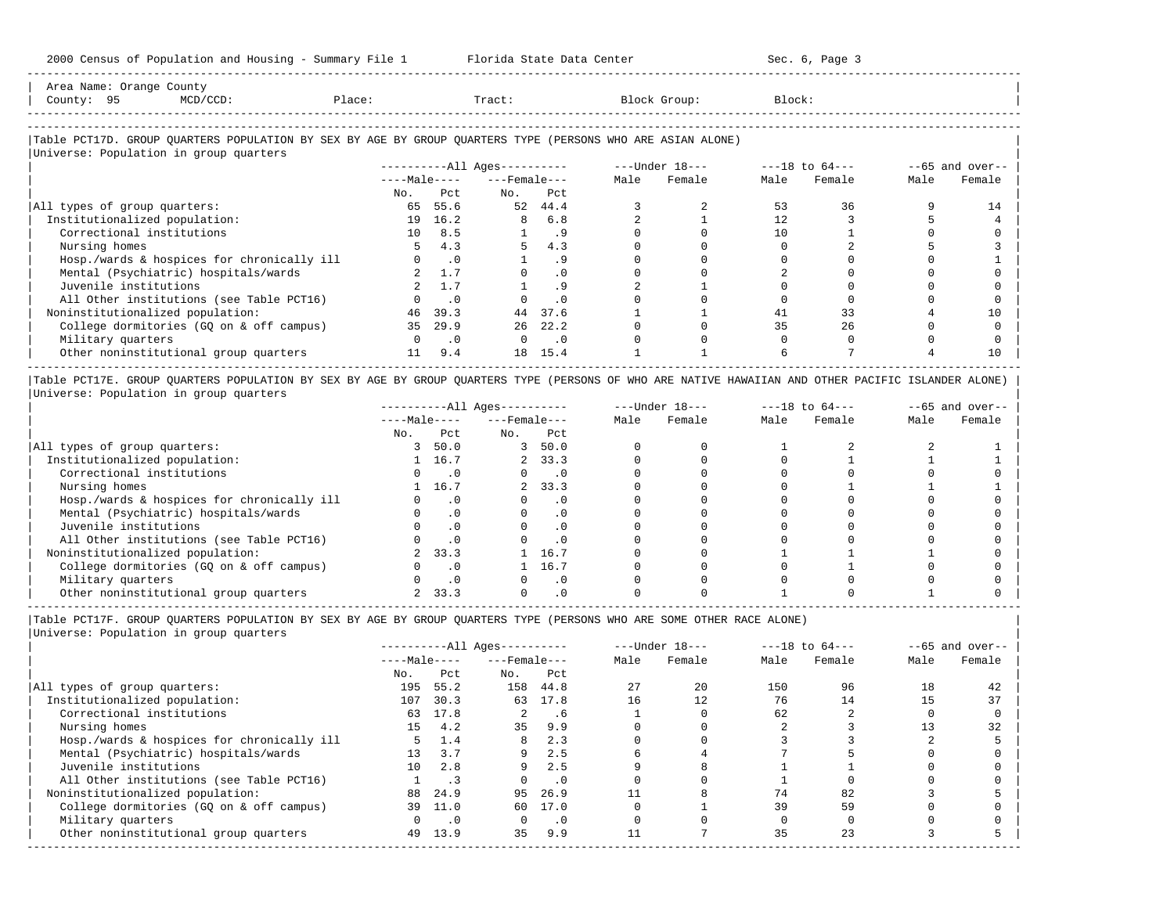| Area<br>Name | Jranqe<br>___ | County                                                                          |                        |       |        |       |
|--------------|---------------|---------------------------------------------------------------------------------|------------------------|-------|--------|-------|
| County       |               | the contract of the contract of the contract of the contract of the contract of | $n \cap \neg$<br>≀⊥асы | Tract | uroup: | Block |
|              |               |                                                                                 |                        |       |        |       |

-----------------------------------------------------------------------------------------------------------------------------------------------------

-----------------------------------------------------------------------------------------------------------------------------------------------------

#### |Table PCT17D. GROUP QUARTERS POPULATION BY SEX BY AGE BY GROUP QUARTERS TYPE (PERSONS WHO ARE ASIAN ALONE) |

|                                            | $------All Aqes------$ |               |                    | $---Under 18---$ |      | $---18$ to $64---$ |      | $--65$ and over-- |      |        |
|--------------------------------------------|------------------------|---------------|--------------------|------------------|------|--------------------|------|-------------------|------|--------|
|                                            | $---Male---$           |               | $---$ Female $---$ |                  | Male | Female             | Male | Female            | Male | Female |
|                                            | No.                    | Pct.          | No.                | Pct              |      |                    |      |                   |      |        |
| All types of group quarters:               | 65                     | 55.6          | 52                 | 44.4             |      |                    | 53   | 36                |      | 14     |
| Institutionalized population:              |                        | 19 16.2       | 8                  | 6.8              |      |                    |      |                   |      |        |
| Correctional institutions                  | 10 <sup>1</sup>        | 8.5           |                    | . 9              |      |                    | 10   |                   |      |        |
| Nursing homes                              | 5.                     | 4.3           | 5                  | 4.3              |      |                    |      |                   |      |        |
| Hosp./wards & hospices for chronically ill |                        | $0 \qquad .0$ |                    | . 9              |      |                    |      |                   |      |        |
| Mental (Psychiatric) hospitals/wards       |                        | 2, 1.7        |                    | . 0              |      |                    |      |                   |      |        |
| Juvenile institutions                      |                        | 1.7           |                    | . 9              |      |                    |      |                   |      |        |
| All Other institutions (see Table PCT16)   |                        | $\cdot$ 0     |                    | $\cdot$ 0        |      |                    |      |                   |      |        |
| Noninstitutionalized population:           | 46                     | 39.3          | 44                 | 37.6             |      |                    | 41   | 33                |      | 10     |
| College dormitories (GQ on & off campus)   | 35                     | 29.9          | 26                 | 22.2             |      |                    | 35   | 26                |      |        |
| Military quarters                          |                        | $\cdot$ 0     | $\Omega$           | $\cdot$ 0        |      |                    |      |                   |      |        |
| Other noninstitutional group quarters      | 11                     | 9.4           | 18                 | 15.4             |      |                    |      |                   |      | 10     |

|Table PCT17E. GROUP QUARTERS POPULATION BY SEX BY AGE BY GROUP QUARTERS TYPE (PERSONS OF WHO ARE NATIVE HAWAIIAN AND OTHER PACIFIC ISLANDER ALONE) | |Universe: Population in group quarters |

|                                            | ----------All Ages--------- |           |                    |                | $---Under 18---$ |        | $---18$ to $64---$ |        | $--65$ and over-- |        |
|--------------------------------------------|-----------------------------|-----------|--------------------|----------------|------------------|--------|--------------------|--------|-------------------|--------|
|                                            | $---Male---$                |           | $---$ Female $---$ |                | Male             | Female | Male               | Female | Male              | Female |
|                                            | No.                         | Pct       | No.                | Pct            |                  |        |                    |        |                   |        |
| All types of group quarters:               |                             | 50.0      | 3                  | 50.0           |                  |        |                    |        |                   |        |
| Institutionalized population:              |                             | 1 16.7    |                    | 2, 33.3        |                  |        |                    |        |                   |        |
| Correctional institutions                  |                             |           |                    |                |                  |        |                    |        |                   |        |
| Nursing homes                              |                             | 1 16.7    | $\overline{a}$     | 33.3           |                  |        |                    |        |                   |        |
| Hosp./wards & hospices for chronically ill |                             | . 0       |                    | . 0            |                  |        |                    |        |                   |        |
| Mental (Psychiatric) hospitals/wards       |                             | $\cdot$ 0 |                    | $\Omega$ .     |                  |        |                    |        |                   |        |
| Juvenile institutions                      |                             |           |                    | $\cdot$ 0      |                  |        |                    |        |                   |        |
| All Other institutions (see Table PCT16)   |                             | .0        |                    | $\overline{0}$ |                  |        |                    |        |                   |        |
| Noninstitutionalized population:           |                             | 33.3      |                    | 16.7           |                  |        |                    |        |                   |        |
| College dormitories (GQ on & off campus)   | $\Omega$                    | $\cdot$ 0 |                    | 16.7           |                  |        |                    |        |                   |        |
| Military quarters                          |                             | $\cdot$ 0 |                    | $\cdot$ 0      |                  |        |                    |        |                   |        |
| Other noninstitutional group quarters      |                             | 33.3      |                    | . 0            |                  |        |                    |        |                   |        |

-----------------------------------------------------------------------------------------------------------------------------------------------------

|Table PCT17F. GROUP QUARTERS POPULATION BY SEX BY AGE BY GROUP QUARTERS TYPE (PERSONS WHO ARE SOME OTHER RACE ALONE) |

|                                            |                 |           | $------All Ages------$ |           |      | $---Under 18---$ |      | $---18$ to $64---$ |      | $--65$ and over-- |
|--------------------------------------------|-----------------|-----------|------------------------|-----------|------|------------------|------|--------------------|------|-------------------|
|                                            | $---Male---$    |           | $---$ Female $---$     |           | Male | Female           | Male | Female             | Male | Female            |
|                                            | No.             | Pct       | No.                    | Pct       |      |                  |      |                    |      |                   |
| All types of group quarters:               | 195             | 55.2      | 158                    | 44.8      | 27   | 20               | 150  | 96                 | 18   | 42                |
| Institutionalized population:              | 107             | 30.3      | 63                     | 17.8      | 16   | 12               | 76   | 14                 |      | 37                |
| Correctional institutions                  | 63              | 17.8      |                        | .6        |      |                  | 62   |                    |      |                   |
| Nursing homes                              | 15              | 4.2       | 35                     | 9.9       |      |                  |      |                    |      | 32                |
| Hosp./wards & hospices for chronically ill |                 | 1.4       | 8                      | 2.3       |      |                  |      |                    |      |                   |
| Mental (Psychiatric) hospitals/wards       | 13 <sup>°</sup> | 3.7       | 9                      | 2.5       |      |                  |      |                    |      |                   |
| Juvenile institutions                      | 1 Q             | 2.8       | 9                      | 2.5       |      |                  |      |                    |      |                   |
| All Other institutions (see Table PCT16)   |                 |           |                        | $\cdot$ 0 |      |                  |      |                    |      |                   |
| Noninstitutionalized population:           | 88              | 24.9      | 95                     | 26.9      |      |                  | 74   | 82                 |      |                   |
| College dormitories (GQ on & off campus)   | 39              | 11.0      | 60                     | 17.0      |      |                  | 39   | 59                 |      |                   |
| Military quarters                          |                 | $\cdot$ 0 |                        | $\cdot$ 0 |      |                  |      |                    |      |                   |
| Other noninstitutional group quarters      | 49              | 13.9      | 35                     | 9.9       |      |                  | 35   | 23                 |      |                   |
|                                            |                 |           |                        |           |      |                  |      |                    |      |                   |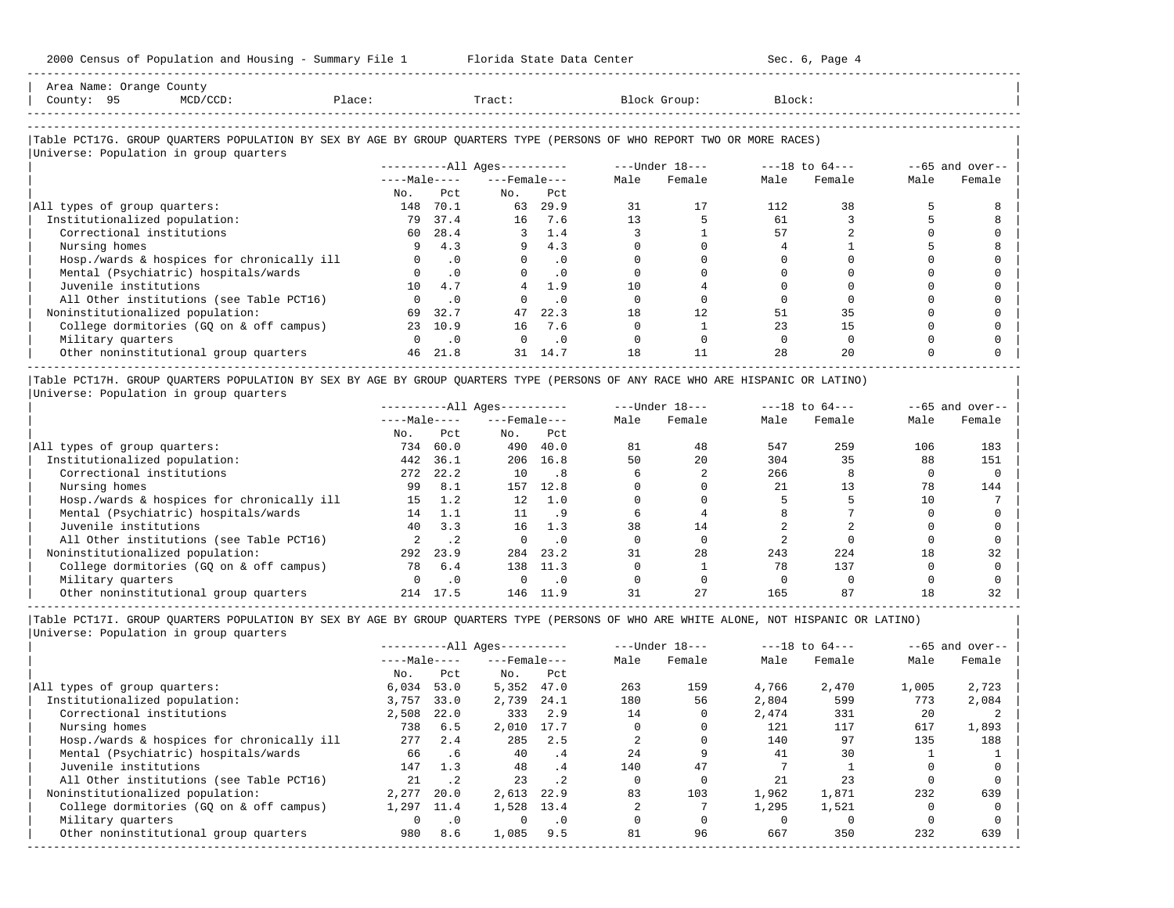-----------------------------------------------------------------------------------------------------------------------------------------------------

| Area Name: Orange County                                                                                               |                 |                |                              |           |      |                                |        |        |      |                   |
|------------------------------------------------------------------------------------------------------------------------|-----------------|----------------|------------------------------|-----------|------|--------------------------------|--------|--------|------|-------------------|
| County: 95<br>$MCD/CCD$ :                                                                                              | Place:          |                | Tract:                       |           |      | Block Group:                   | Block: |        |      |                   |
|                                                                                                                        |                 |                |                              |           |      |                                |        |        |      |                   |
| Table PCT17G. GROUP QUARTERS POPULATION BY SEX BY AGE BY GROUP QUARTERS TYPE (PERSONS OF WHO REPORT TWO OR MORE RACES) |                 |                |                              |           |      |                                |        |        |      |                   |
| Universe: Population in group quarters                                                                                 |                 |                |                              |           |      |                                |        |        |      |                   |
|                                                                                                                        |                 |                | ----------All Ages---------- |           |      | $---Under 18-- ---18 to 64---$ |        |        |      | $--65$ and over-- |
|                                                                                                                        | $---Male---$    |                | $---$ Female $---$           |           | Male | Female                         | Male   | Female | Male | Female            |
|                                                                                                                        | No.             | Pct.           | No.                          | Pct       |      |                                |        |        |      |                   |
| All types of group quarters:                                                                                           | 148             | 70.1           | 63                           | 29.9      | 31   | 17                             | 112    | 38     |      |                   |
| Institutionalized population:                                                                                          | 79              | 37.4           | 16                           | 7.6       | 13   |                                | 61     |        |      |                   |
| Correctional institutions                                                                                              | 60              | 28.4           | 3                            | 1.4       |      |                                | 57     |        |      |                   |
| Nursing homes                                                                                                          |                 | 4.3            | 9                            | 4.3       |      |                                |        |        |      |                   |
| Hosp./wards & hospices for chronically ill                                                                             | $\cap$          | $\cdot$ 0      | $\Omega$                     | $\cdot$ 0 |      |                                |        |        |      |                   |
| Mental (Psychiatric) hospitals/wards                                                                                   |                 | .0             |                              | $\cdot$ 0 |      |                                |        |        |      |                   |
| Juvenile institutions                                                                                                  | 10 <sup>1</sup> | 4.7            |                              | 1.9       | 10   |                                |        |        |      |                   |
| All Other institutions (see Table PCT16)                                                                               |                 | $\cdot$ 0      |                              | $\cdot$ 0 |      |                                |        |        |      |                   |
| Noninstitutionalized population:                                                                                       | 69              | 32.7           | 47                           | 22.3      | 18   | 12                             | 51     | 35     |      |                   |
| College dormitories (GQ on & off campus)                                                                               | 23              | 10.9           | 16                           | 7.6       |      |                                | 23     | 15     |      |                   |
| Military quarters                                                                                                      |                 | $\overline{0}$ |                              | $\cdot$ 0 |      |                                |        |        |      |                   |
| Other noninstitutional group quarters                                                                                  | 46              | 21.8           | 31                           | 14.7      | 18   | 11                             | 2.8    | 2.0    |      |                   |
|                                                                                                                        |                 |                |                              |           |      |                                |        |        |      |                   |

|Table PCT17H. GROUP QUARTERS POPULATION BY SEX BY AGE BY GROUP QUARTERS TYPE (PERSONS OF ANY RACE WHO ARE HISPANIC OR LATINO) | |Universe: Population in group quarters |

|                                            | $------All Ages------$ |      |                    |                             | $---Under 18---$ | $---18$ to $64---$ |      | $--65$ and over-- |      |        |
|--------------------------------------------|------------------------|------|--------------------|-----------------------------|------------------|--------------------|------|-------------------|------|--------|
|                                            | $---Male---$           |      | $---$ Female $---$ |                             | Male             | Female             | Male | Female            | Male | Female |
|                                            | No.                    | Pct  | No.                | Pct                         |                  |                    |      |                   |      |        |
| All types of group quarters:               | 734                    | 60.0 | 490                | 40.0                        | 81               | 48                 | 547  | 259               | 106  | 183    |
| Institutionalized population:              | 442                    | 36.1 | 206                | 16.8                        | 50               | 20                 | 304  | 35                | 88   | 151    |
| Correctional institutions                  | 272                    | 22.2 | 10                 | $\overline{\phantom{0}}$ .8 |                  |                    | 266  |                   |      |        |
| Nursing homes                              | 99                     | 8.1  | 157                | 12.8                        |                  |                    | 21   |                   | 78   | 144    |
| Hosp./wards & hospices for chronically ill | 15                     | 1.2  | 12                 | 1.0                         |                  |                    |      |                   | 10   |        |
| Mental (Psychiatric) hospitals/wards       | 14                     | 1.1  | 11                 | .9                          |                  |                    |      |                   |      |        |
| Juvenile institutions                      | 40                     | 3.3  | 16                 | 1.3                         | 38               | 14                 |      |                   |      |        |
| All Other institutions (see Table PCT16)   |                        | .2   |                    | $\Omega$                    |                  |                    |      |                   |      |        |
| Noninstitutionalized population:           | 292                    | 23.9 | 284                | 23.2                        | 31               | 2.8                | 243  | 2.2.4             | 18   | 32     |
| College dormitories (GO on & off campus)   | 78                     | 6.4  | 138                | 11.3                        |                  |                    | 78   | 137               |      |        |
| Military quarters                          |                        |      |                    | . 0                         |                  |                    |      |                   |      |        |
| Other noninstitutional group quarters      | 214                    | 17.5 | 146                | 11.9                        |                  | 27                 | 165  | 87                |      |        |

-----------------------------------------------------------------------------------------------------------------------------------------------------

|Table PCT17I. GROUP QUARTERS POPULATION BY SEX BY AGE BY GROUP QUARTERS TYPE (PERSONS OF WHO ARE WHITE ALONE, NOT HISPANIC OR LATINO) | |Universe: Population in group quarters |

|                                            | ---All Ages---------- |           |                    | $---Under 18---$ |      | $---18$ to $64---$ |       | $--65$ and over-- |       |        |
|--------------------------------------------|-----------------------|-----------|--------------------|------------------|------|--------------------|-------|-------------------|-------|--------|
|                                            | $---Male---$          |           | $---$ Female $---$ |                  | Male | Female             | Male  | Female            | Male  | Female |
|                                            | No.                   | Pct       | No.                | Pct              |      |                    |       |                   |       |        |
| All types of group quarters:               | 6,034                 | 53.0      | 5,352              | 47.0             | 263  | 159                | 4,766 | 2,470             | 1,005 | 2,723  |
| Institutionalized population:              | 3,757                 | 33.0      | 2,739              | 24.1             | 180  | 56                 | 2,804 | 599               | 773   | 2,084  |
| Correctional institutions                  | 2,508                 | 22.0      | 333                | 2.9              | 14   |                    | 2,474 | 331               | 20    |        |
| Nursing homes                              | 738                   | 6.5       | 2,010              | 17.7             |      |                    | 121   | 117               | 617   | 1,893  |
| Hosp./wards & hospices for chronically ill | 277                   | 2.4       | 285                | 2.5              |      |                    | 140   | 97                | 135   | 188    |
| Mental (Psychiatric) hospitals/wards       | 66                    | .6        | 40                 | .4               | 2.4  |                    | 41    | 30                |       |        |
| Juvenile institutions                      | 147                   | 1.3       | 48                 | .4               | 140  | 47                 |       |                   |       |        |
| All Other institutions (see Table PCT16)   | 21                    | $\cdot$ 2 | 23                 | $\cdot$ 2        |      |                    | 21    | 23                |       |        |
| Noninstitutionalized population:           | 2,277                 | 20.0      | 2,613              | 22.9             | 83   | 103                | 1,962 | 1,871             | 232   | 639    |
| College dormitories (GO on & off campus)   | 1,297                 | 11.4      | 1,528              | 13.4             |      |                    | 1,295 | 1,521             |       |        |
| Military quarters                          |                       | $\cdot$ 0 |                    | $\cdot$ 0        |      |                    |       |                   |       |        |
| Other noninstitutional group quarters      | 980                   | 8.6       | 1,085              | 9.5              | 81   | 96                 | 667   | 350               | 232   | 639    |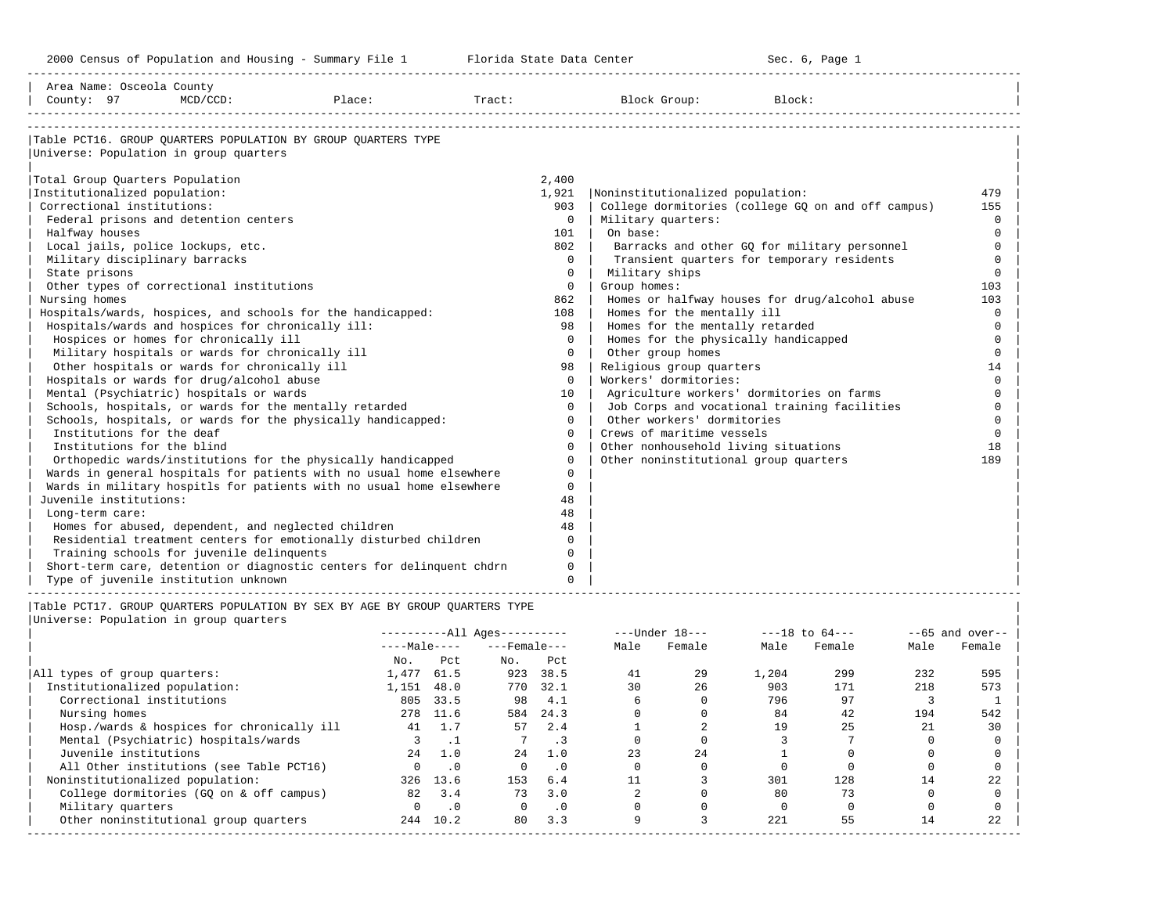2000 Census of Population and Housing - Summary File 1 Telorida State Data Center Sec. 6, Page 1 North Sec. 6, Page

-----------------------------------------------------------------------------------------------------------------------------------------------------

| Area Name: Osceola County                                                   |                         |                                                    |                   |
|-----------------------------------------------------------------------------|-------------------------|----------------------------------------------------|-------------------|
| County: 97<br>$MCD/CCD$ :<br>Place:                                         | $\texttt{Tract}:$       | Block Group:<br>Block:                             |                   |
|                                                                             |                         |                                                    |                   |
| Table PCT16. GROUP OUARTERS POPULATION BY GROUP OUARTERS TYPE               |                         |                                                    |                   |
| Universe: Population in group quarters                                      |                         |                                                    |                   |
|                                                                             |                         |                                                    |                   |
| Total Group Quarters Population                                             | 2,400                   |                                                    |                   |
| Institutionalized population:                                               | 1,921                   | Noninstitutionalized population:                   | 479               |
| Correctional institutions:                                                  | 903                     | College dormitories (college GO on and off campus) | 155               |
| Federal prisons and detention centers                                       | $\circ$                 | Military quarters:                                 | $\Omega$          |
| Halfway houses                                                              | 101                     | On base:                                           | $\Omega$          |
| Local jails, police lockups, etc.                                           | 802                     | Barracks and other GQ for military personnel       | $\Omega$          |
| Military disciplinary barracks                                              | $\Omega$                | Transient quarters for temporary residents         | $\Omega$          |
| State prisons                                                               | 0                       | Military ships                                     | $\Omega$          |
| Other types of correctional institutions                                    | $\mathbf 0$             | Group homes:                                       | 103               |
| Nursing homes                                                               | 862                     | Homes or halfway houses for drug/alcohol abuse     | 103               |
| Hospitals/wards, hospices, and schools for the handicapped:                 | 108                     | Homes for the mentally ill                         | $\mathbf 0$       |
| Hospitals/wards and hospices for chronically ill:                           | 98                      | Homes for the mentally retarded                    | $\mathbf 0$       |
| Hospices or homes for chronically ill                                       | $\mathbf 0$             | Homes for the physically handicapped               | $\Omega$          |
| Military hospitals or wards for chronically ill                             | $\Omega$                | Other group homes                                  | $\Omega$          |
| Other hospitals or wards for chronically ill                                | 98                      | Religious group quarters                           | 14                |
| Hospitals or wards for drug/alcohol abuse                                   | $\mathbf 0$             | Workers' dormitories:                              | $\Omega$          |
| Mental (Psychiatric) hospitals or wards                                     | 10                      | Agriculture workers' dormitories on farms          | $\Omega$          |
| Schools, hospitals, or wards for the mentally retarded                      | $\Omega$                | Job Corps and vocational training facilities       | $\Omega$          |
| Schools, hospitals, or wards for the physically handicapped:                | $\Omega$                | Other workers' dormitories                         | $\Omega$          |
| Institutions for the deaf                                                   | $\Omega$                | Crews of maritime vessels                          | $\Omega$          |
| Institutions for the blind                                                  | $\Omega$                | Other nonhousehold living situations               | 18                |
| Orthopedic wards/institutions for the physically handicapped                | $\Omega$                | Other noninstitutional group quarters              | 189               |
| Wards in general hospitals for patients with no usual home elsewhere        | $\Omega$                |                                                    |                   |
| Wards in military hospitls for patients with no usual home elsewhere        | $\Omega$                |                                                    |                   |
| Juvenile institutions:                                                      | 48                      |                                                    |                   |
| Long-term care:                                                             | 48                      |                                                    |                   |
| Homes for abused, dependent, and neglected children                         | 48                      |                                                    |                   |
| Residential treatment centers for emotionally disturbed children            | $\Omega$<br>$\cap$      |                                                    |                   |
| Training schools for juvenile delinquents                                   |                         |                                                    |                   |
| Short-term care, detention or diagnostic centers for delinquent chdrn       | $\mathbf 0$<br>$\Omega$ |                                                    |                   |
| Type of juvenile institution unknown                                        |                         |                                                    |                   |
| Table PCT17. GROUP OUARTERS POPULATION BY SEX BY AGE BY GROUP OUARTERS TYPE |                         |                                                    |                   |
| Universe: Population in group quarters                                      |                         |                                                    |                   |
|                                                                             |                         |                                                    |                   |
|                                                                             | $------All Aqes------$  | ---Under 18--- ----18 to 64---                     | $--65$ and over-- |

|                                            | ----Mdle---- |           |          |           | Mdle | r emaie | Male  | reware | Male | remaie |
|--------------------------------------------|--------------|-----------|----------|-----------|------|---------|-------|--------|------|--------|
|                                            | No.          | Pct       | No.      | Pct       |      |         |       |        |      |        |
| All types of group quarters:               | 1,477        | 61.5      | 923      | 38.5      | 41   | 29      | 1,204 | 299    | 232  | 595    |
| Institutionalized population:              | 1,151        | 48.0      | 770      | 32.1      | 30   | 2.6     | 903   | 171    | 218  | 573    |
| Correctional institutions                  | 805          | 33.5      | 98       | 4.1       |      |         | 796   | 97     |      |        |
| Nursing homes                              | 278          | 11.6      | 584      | 24.3      |      |         | 84    | 42     | 194  | 542    |
| Hosp./wards & hospices for chronically ill | 41           |           | 57       | 2.4       |      |         | 19    | 25     | 21   | 30     |
| Mental (Psychiatric) hospitals/wards       |              |           |          |           |      |         |       |        |      |        |
| Juvenile institutions                      | 2.4          | 1.0       | 24       | 1.0       | 23   | 24      |       |        |      |        |
| All Other institutions (see Table PCT16)   |              | $\cdot$ 0 | $\Omega$ | $\cdot$ 0 |      |         |       |        |      |        |
| Noninstitutionalized population:           | 326          | 13.6      | 153      | 6.4       |      |         | 301   | 128    | 14   | 22     |
| College dormitories (GQ on & off campus)   | 82           | 3.4       | 73       | 3.0       |      |         | 80    | 73     |      |        |
| Military quarters                          |              | $\cdot$ 0 |          | $\cdot$ 0 |      |         |       |        |      |        |
| Other noninstitutional group quarters      | 244          | 10.2      | 80       | 3.3       |      |         | 221   | 55     | 14   | 22     |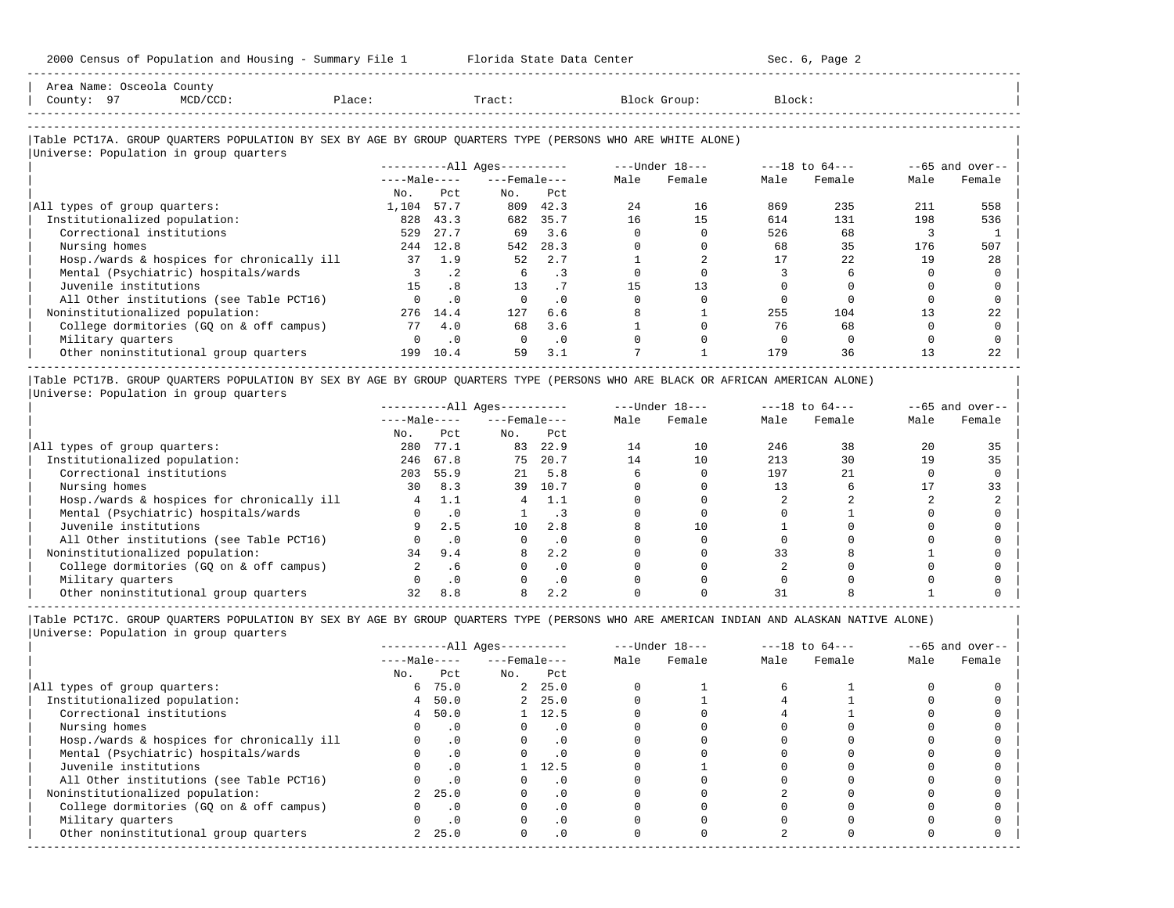-----------------------------------------------------------------------------------------------------------------------------------------------------

| Area Name: Osceola County<br>County: 97<br>$MCD/CCD$ :<br>Place:                                                                                     |              |           | Tract:                 |           |      | Block Group:     | Block: |                    |      |                   |
|------------------------------------------------------------------------------------------------------------------------------------------------------|--------------|-----------|------------------------|-----------|------|------------------|--------|--------------------|------|-------------------|
| Table PCT17A. GROUP QUARTERS POPULATION BY SEX BY AGE BY GROUP QUARTERS TYPE (PERSONS WHO ARE WHITE ALONE)<br>Universe: Population in group quarters |              |           |                        |           |      |                  |        |                    |      |                   |
|                                                                                                                                                      |              |           | $------All Aqes------$ |           |      | $---Under 18---$ |        | $---18$ to $64---$ |      | $--65$ and over-- |
|                                                                                                                                                      | $---Male---$ |           | $---$ Female $---$     |           | Male | Female           | Male   | Female             | Male | Female            |
|                                                                                                                                                      | No.          | Pct       | No.                    | Pct       |      |                  |        |                    |      |                   |
| All types of group quarters:                                                                                                                         | 1,104        | 57.7      | 809                    | 42.3      | 2.4  | 16               | 869    | 235                | 211  | 558               |
| Institutionalized population:                                                                                                                        | 828          | 43.3      | 682                    | 35.7      | 16   | 15               | 614    | 131                | 198  | 536               |
| Correctional institutions                                                                                                                            | 529          | 27.7      | 69                     | 3.6       |      |                  | 526    | 68                 |      |                   |
| Nursing homes                                                                                                                                        | 244          | 12.8      | 542                    | 28.3      |      |                  | 68     | 35                 | 176  | 507               |
| Hosp./wards & hospices for chronically ill                                                                                                           | 37           | 1.9       | 52                     | 2.7       |      |                  | 17     | 2.2.               | 19   | 2.8               |
| Mental (Psychiatric) hospitals/wards                                                                                                                 |              | $\cdot$ 2 | 6                      | $\cdot$ 3 |      |                  |        |                    |      |                   |
| Juvenile institutions                                                                                                                                | 1.5          | .8        | 13                     | .7        | 15   | 13               |        |                    |      |                   |
| All Other institutions (see Table PCT16)                                                                                                             |              | $\cdot$ 0 |                        | .0        |      |                  |        |                    |      |                   |
| Noninstitutionalized population:                                                                                                                     | 276          | 14.4      | 127                    | 6.6       |      |                  | 255    | 104                | 13   | 22                |
| College dormitories (GQ on & off campus)                                                                                                             | 77           | 4.0       | 68                     | 3.6       |      |                  | 76     | 68                 |      |                   |
| Military quarters                                                                                                                                    | $\Omega$     | $\cdot$ 0 | $\Omega$               | $\cdot$ 0 |      |                  |        |                    |      |                   |
| Other noninstitutional group quarters                                                                                                                | 199          | 10.4      | 59                     | 3.1       |      |                  | 179    | 36                 | 13   | 22                |

-----------------------------------------------------------------------------------------------------------------------------------------------------

|Table PCT17B. GROUP QUARTERS POPULATION BY SEX BY AGE BY GROUP QUARTERS TYPE (PERSONS WHO ARE BLACK OR AFRICAN AMERICAN ALONE) | |Universe: Population in group quarters |

|                                            | $------All Ages------$<br>$---Male---$ |           |                    |           |      | $---Under 18---$ |      | $---18$ to $64---$ |      | $- -65$ and over-- |
|--------------------------------------------|----------------------------------------|-----------|--------------------|-----------|------|------------------|------|--------------------|------|--------------------|
|                                            |                                        |           | $---$ Female $---$ |           | Male | Female           | Male | Female             | Male | Female             |
|                                            | No.                                    | Pct       | No.                | Pct       |      |                  |      |                    |      |                    |
| All types of group quarters:               | 280                                    | 77.1      | 83                 | 22.9      | 14   | 10               | 246  | 38                 | 20   | 35                 |
| Institutionalized population:              | 246                                    | 67.8      | 75                 | 20.7      | 14   | 10               | 213  | 30                 | 19   | 35                 |
| Correctional institutions                  | 203                                    | 55.9      | 21                 | 5.8       |      |                  | 197  |                    |      |                    |
| Nursing homes                              | 30                                     | 8.3       | 39                 | 10.7      |      |                  |      |                    |      | 33                 |
| Hosp./wards & hospices for chronically ill |                                        |           |                    | 1.1       |      |                  |      |                    |      |                    |
| Mental (Psychiatric) hospitals/wards       |                                        |           |                    | . 3       |      |                  |      |                    |      |                    |
| Juvenile institutions                      |                                        | 2.5       | 10                 | 2.8       |      | 10               |      |                    |      |                    |
| All Other institutions (see Table PCT16)   |                                        |           |                    | $\cdot$ 0 |      |                  |      |                    |      |                    |
| Noninstitutionalized population:           | 34                                     | 9.4       | 8                  | 2.2       |      |                  | 33   |                    |      |                    |
| College dormitories (GO on & off campus)   |                                        | . 6       |                    | $\cdot$ 0 |      |                  |      |                    |      |                    |
| Military quarters                          |                                        | $\cdot$ 0 |                    | . 0       |      |                  |      |                    |      |                    |
| Other noninstitutional group quarters      |                                        | 8.8       |                    | 2.2       |      |                  |      |                    |      |                    |

-----------------------------------------------------------------------------------------------------------------------------------------------------

|                                            |             |              | $------All Aqes------$ |                    |      | $---Under 18---$ | $---18$ to $64---$ |        | $--65$ and over-- |        |
|--------------------------------------------|-------------|--------------|------------------------|--------------------|------|------------------|--------------------|--------|-------------------|--------|
|                                            |             | $---Male---$ |                        | $---$ Female $---$ | Male | Female           | Male               | Female | Male              | Female |
|                                            | No.         | Pct          | No.                    | Pct                |      |                  |                    |        |                   |        |
| All types of group quarters:               | 6           | 75.0         |                        | 2, 25.0            |      |                  |                    |        |                   |        |
| Institutionalized population:              | $4^{\circ}$ | 50.0         |                        | 2, 25.0            |      |                  |                    |        |                   |        |
| Correctional institutions                  | 4           | 50.0         |                        | $1 \quad 12.5$     |      |                  |                    |        |                   |        |
| Nursing homes                              |             | . 0          |                        | . 0                |      |                  |                    |        |                   |        |
| Hosp./wards & hospices for chronically ill |             |              |                        | . 0                |      |                  |                    |        |                   |        |
| Mental (Psychiatric) hospitals/wards       |             | .0           |                        | .0                 |      |                  |                    |        |                   |        |
| Juvenile institutions                      |             | $\cdot$ 0    |                        | 12.5               |      |                  |                    |        |                   |        |
| All Other institutions (see Table PCT16)   |             |              |                        | . 0                |      |                  |                    |        |                   |        |
| Noninstitutionalized population:           |             | 25.0         |                        | $\cdot$ 0          |      |                  |                    |        |                   |        |
| College dormitories (GQ on & off campus)   |             | $\cdot$ 0    |                        | $\cdot$ 0          |      |                  |                    |        |                   |        |
| Military quarters                          |             |              |                        | . 0                |      |                  |                    |        |                   |        |
| Other noninstitutional group quarters      |             | 25.0         | 0                      | $\cdot$ 0          |      |                  |                    |        |                   |        |
|                                            |             |              |                        |                    |      |                  |                    |        |                   |        |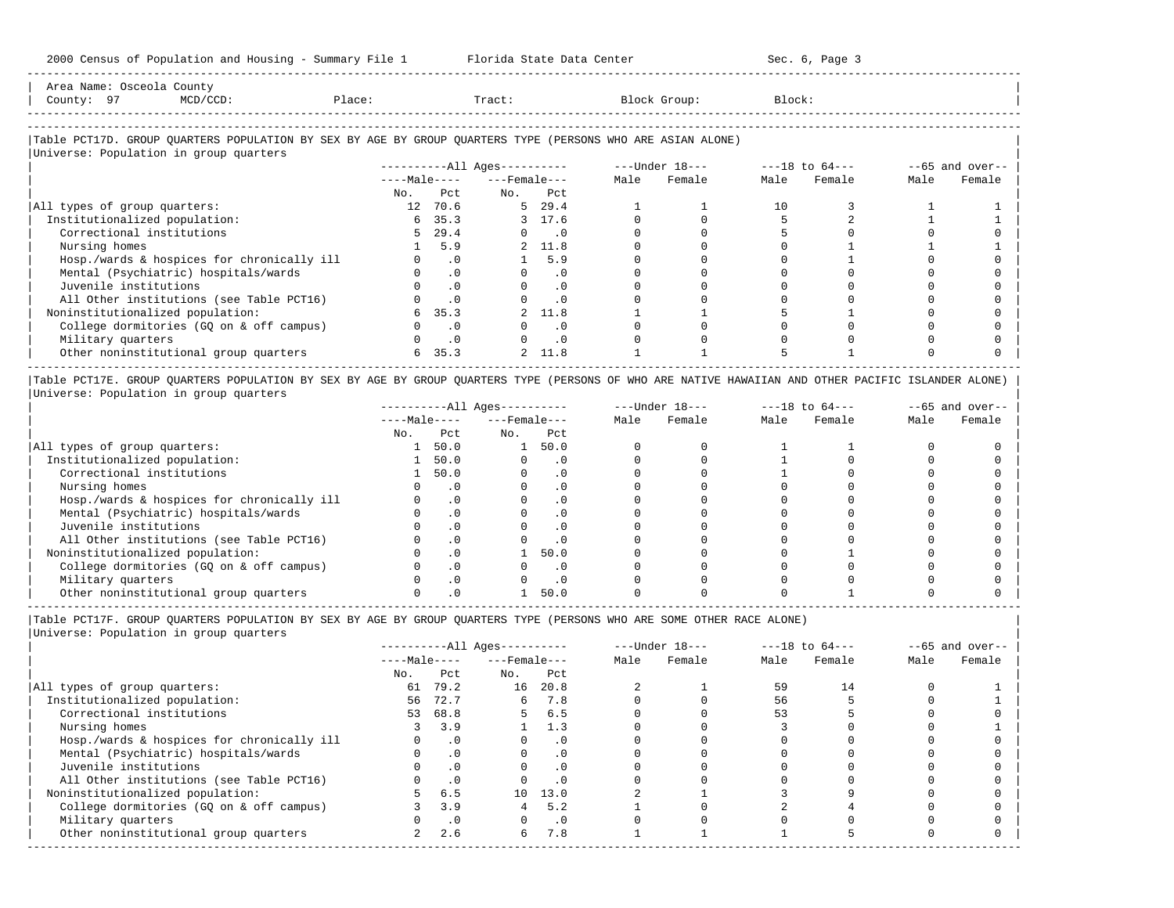| Area<br>Name | e | County                                                                                                          |      |       |         |        |
|--------------|---|-----------------------------------------------------------------------------------------------------------------|------|-------|---------|--------|
| County       |   | the contract of the contract of the contract of the contract of the contract of the contract of the contract of | lact | Tract | JLOUD : | Block' |
|              |   |                                                                                                                 |      |       |         |        |

-----------------------------------------------------------------------------------------------------------------------------------------------------

-----------------------------------------------------------------------------------------------------------------------------------------------------

# |Table PCT17D. GROUP QUARTERS POPULATION BY SEX BY AGE BY GROUP QUARTERS TYPE (PERSONS WHO ARE ASIAN ALONE) |

|                                            |                 |              | $------All Ages------$ |                    |      | ---Under 18--- |      | $---18$ to $64---$ |      | $--65$ and over-- |
|--------------------------------------------|-----------------|--------------|------------------------|--------------------|------|----------------|------|--------------------|------|-------------------|
|                                            |                 | $---Male---$ |                        | $---$ Female $---$ | Male | Female         | Male | Female             | Male | Female            |
|                                            | No.             | Pct.         | No.                    | Pct                |      |                |      |                    |      |                   |
| All types of group quarters:               | 12 <sup>1</sup> | 70.6         |                        | 5, 29.4            |      |                | 10   |                    |      |                   |
| Institutionalized population:              |                 | 6, 35.3      |                        | 3 17.6             |      |                |      |                    |      |                   |
| Correctional institutions                  | 5.              | 29.4         | $\Omega$               | $\sim$ 0           |      |                |      |                    |      |                   |
| Nursing homes                              |                 | 5.9          |                        | 2 11.8             |      |                |      |                    |      |                   |
| Hosp./wards & hospices for chronically ill |                 | $\cdot$ 0    |                        | 5.9                |      |                |      |                    |      |                   |
| Mental (Psychiatric) hospitals/wards       |                 | $\cdot$ 0    |                        | $\cdot$ 0          |      |                |      |                    |      |                   |
| Juvenile institutions                      |                 | $\cdot$ 0    |                        | . 0                |      |                |      |                    |      |                   |
| All Other institutions (see Table PCT16)   |                 | $\cdot$ 0    |                        | $\cdot$ 0          |      |                |      |                    |      |                   |
| Noninstitutionalized population:           |                 | 35.3         |                        | 2 11.8             |      |                |      |                    |      |                   |
| College dormitories (GQ on & off campus)   |                 | $\cdot$ 0    |                        | $\cdot$ 0          |      |                |      |                    |      |                   |
| Military quarters                          |                 | $\cdot$ 0    |                        | $\cdot$ 0          |      |                |      |                    |      |                   |
| Other noninstitutional group quarters      | 6               | 35.3         |                        | 2 11.8             |      |                |      |                    |      |                   |

|Table PCT17E. GROUP QUARTERS POPULATION BY SEX BY AGE BY GROUP QUARTERS TYPE (PERSONS OF WHO ARE NATIVE HAWAIIAN AND OTHER PACIFIC ISLANDER ALONE) | |Universe: Population in group quarters |

|                                            |              |           | $------All Ages------$ |           |      | $---Under 18---$ | $---18$ to $64---$ |        | $--65$ and over-- |        |
|--------------------------------------------|--------------|-----------|------------------------|-----------|------|------------------|--------------------|--------|-------------------|--------|
|                                            | $---Male---$ |           | $---$ Female $---$     |           | Male | Female           | Male               | Female | Male              | Female |
|                                            | No.          | Pct.      | No.                    | Pct       |      |                  |                    |        |                   |        |
| All types of group quarters:               |              | 50.0      |                        | 50.0      |      |                  |                    |        |                   |        |
| Institutionalized population:              |              | 50.0      |                        | . 0       |      |                  |                    |        |                   |        |
| Correctional institutions                  |              | 50.0      |                        | . 0       |      |                  |                    |        |                   |        |
| Nursing homes                              |              |           |                        | $\cdot$ 0 |      |                  |                    |        |                   |        |
| Hosp./wards & hospices for chronically ill |              | . 0       |                        | . 0       |      |                  |                    |        |                   |        |
| Mental (Psychiatric) hospitals/wards       |              |           |                        |           |      |                  |                    |        |                   |        |
| Juvenile institutions                      |              |           |                        | . 0       |      |                  |                    |        |                   |        |
| All Other institutions (see Table PCT16)   |              |           |                        | $\cdot$ 0 |      |                  |                    |        |                   |        |
| Noninstitutionalized population:           |              | . 0       |                        | 50.0      |      |                  |                    |        |                   |        |
| College dormitories (GQ on & off campus)   |              | $\cdot$ 0 |                        | $\cdot$ 0 |      |                  |                    |        |                   |        |
| Military quarters                          |              | . 0       |                        | $\cdot$ 0 |      |                  |                    |        |                   |        |
| Other noninstitutional group quarters      |              |           |                        | 50.0      |      |                  |                    |        |                   |        |

-----------------------------------------------------------------------------------------------------------------------------------------------------

|Table PCT17F. GROUP QUARTERS POPULATION BY SEX BY AGE BY GROUP QUARTERS TYPE (PERSONS WHO ARE SOME OTHER RACE ALONE) |

|                                            | $------All Aqes------$<br>$---Male---$ |           |                    |           |      | $---Under 18---$ |      | $---18$ to $64---$ |      | $--65$ and over-- |
|--------------------------------------------|----------------------------------------|-----------|--------------------|-----------|------|------------------|------|--------------------|------|-------------------|
|                                            |                                        |           | $---$ Female $---$ |           | Male | Female           | Male | Female             | Male | Female            |
|                                            | No.                                    | Pct       | No.                | Pct       |      |                  |      |                    |      |                   |
| All types of group quarters:               | 61                                     | 79.2      | 16                 | 20.8      |      |                  | 59   | 14                 |      |                   |
| Institutionalized population:              | 56                                     | 72.7      | 6                  | 7.8       |      |                  | 56   |                    |      |                   |
| Correctional institutions                  |                                        | 53 68.8   |                    | 6.5       |      |                  | 53   |                    |      |                   |
| Nursing homes                              |                                        | 3.9       |                    | 1.3       |      |                  |      |                    |      |                   |
| Hosp./wards & hospices for chronically ill |                                        | $\cdot$ 0 |                    | $\cdot$ 0 |      |                  |      |                    |      |                   |
| Mental (Psychiatric) hospitals/wards       |                                        | $\cdot$ 0 |                    | $\cdot$ 0 |      |                  |      |                    |      |                   |
| Juvenile institutions                      |                                        | $\cdot$ 0 |                    |           |      |                  |      |                    |      |                   |
| All Other institutions (see Table PCT16)   |                                        | $\cdot$ 0 |                    |           |      |                  |      |                    |      |                   |
| Noninstitutionalized population:           | 5                                      | 6.5       | 10                 | 13.0      |      |                  |      |                    |      |                   |
| College dormitories (GQ on & off campus)   |                                        | 3.9       |                    | 5.2       |      |                  |      |                    |      |                   |
| Military quarters                          |                                        | $\cdot$ 0 |                    | $\cdot$ 0 |      |                  |      |                    |      |                   |
| Other noninstitutional group quarters      |                                        | 2.6       | б.                 | 7.8       |      |                  |      |                    |      |                   |
|                                            |                                        |           |                    |           |      |                  |      |                    |      |                   |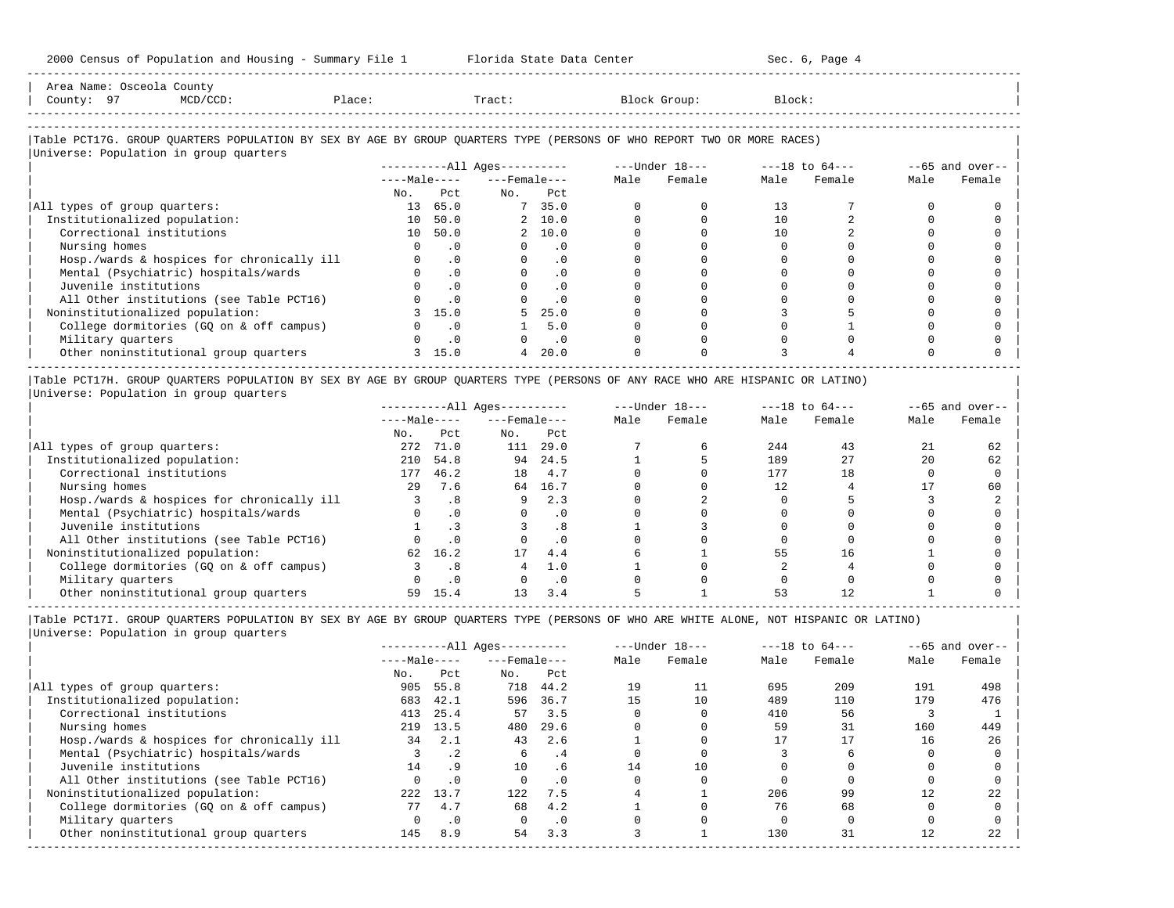$2000$  Census of Dopulation and Housing - Summary File 1  $\blacksquare$  Florida State Data Center

| 2000 Census of Population and Housing - Summary File I Fiorium State Data Center                                                                                 |     |                |                          |            |      |                                                                |        | DEC. U, FAYE I |      |                    |
|------------------------------------------------------------------------------------------------------------------------------------------------------------------|-----|----------------|--------------------------|------------|------|----------------------------------------------------------------|--------|----------------|------|--------------------|
| Area Name: Osceola County<br>County: 97<br>$MCD/CCD$ :<br>Place:                                                                                                 |     |                | Tract:                   |            |      | Block Group:                                                   | Block: |                |      |                    |
| Table PCT17G. GROUP QUARTERS POPULATION BY SEX BY AGE BY GROUP QUARTERS TYPE (PERSONS OF WHO REPORT TWO OR MORE RACES)<br>Universe: Population in group quarters |     |                |                          |            |      |                                                                |        |                |      |                    |
|                                                                                                                                                                  |     |                |                          |            |      | ----------All Ages---------- ---- Under $18--$ ---18 to $64--$ |        |                |      | $- -65$ and over-- |
|                                                                                                                                                                  |     |                | $---Male-- ---Female---$ |            | Male | Female                                                         |        | Male Female    | Male | Female             |
|                                                                                                                                                                  | No. | Pct.           | No. Pct                  |            |      |                                                                |        |                |      |                    |
| All types of group quarters:                                                                                                                                     | 13  | 65.0           |                          | 7, 35.0    |      |                                                                | 13     |                |      |                    |
| Institutionalized population:                                                                                                                                    |     | 10 50.0        |                          | 2, 10.0    |      |                                                                | 10     |                |      |                    |
| Correctional institutions                                                                                                                                        |     | 10 50.0        |                          | 2, 10.0    |      |                                                                | 10     |                |      |                    |
| Nursing homes                                                                                                                                                    |     | .0             |                          | .0         |      |                                                                |        |                |      |                    |
| Hosp./wards & hospices for chronically ill                                                                                                                       |     | $\cdot$ 0      |                          | $\cdot$ 0  |      |                                                                |        |                |      |                    |
| Mental (Psychiatric) hospitals/wards                                                                                                                             |     | $\cdot$ 0      |                          | $\cdot$ 0  |      |                                                                |        |                |      |                    |
| Juvenile institutions                                                                                                                                            |     | $\cdot$ 0      |                          | $\cdot$ 0  |      |                                                                |        |                |      |                    |
| All Other institutions (see Table PCT16)                                                                                                                         |     | $\overline{0}$ |                          | $\Omega$ . |      |                                                                |        |                |      |                    |
| Noninstitutionalized population:                                                                                                                                 |     | 15.0           |                          | 25.0       |      |                                                                |        |                |      |                    |
| College dormitories (GQ on & off campus)                                                                                                                         |     | $\cdot$ 0      |                          | 5.0        |      |                                                                |        |                |      |                    |
| Military quarters                                                                                                                                                |     | $\cdot$ 0      |                          | $\cdot$ 0  |      |                                                                |        |                |      |                    |
| Other noninstitutional group quarters                                                                                                                            |     | 15.0           | 4                        | 20.0       |      |                                                                |        |                |      |                    |

|Table PCT17H. GROUP QUARTERS POPULATION BY SEX BY AGE BY GROUP QUARTERS TYPE (PERSONS OF ANY RACE WHO ARE HISPANIC OR LATINO) | |Universe: Population in group quarters |

|                                            |              |           | $------All Ages------$ |           |      | $---Under 18---$ | $---18$ to $64---$ |        | $--65$ and over-- |        |
|--------------------------------------------|--------------|-----------|------------------------|-----------|------|------------------|--------------------|--------|-------------------|--------|
|                                            | $---Male---$ |           | $---$ Female $---$     |           | Male | Female           | Male               | Female | Male              | Female |
|                                            | No.          | Pct       | No.                    | Pct       |      |                  |                    |        |                   |        |
| All types of group quarters:               | 272          | 71.0      | 111                    | 29.0      |      |                  | 244                | 43     |                   | 62     |
| Institutionalized population:              | 210          | 54.8      | 94                     | 24.5      |      |                  | 189                | 27     | 20                | 62     |
| Correctional institutions                  | 177          | 46.2      | 18                     | 4.7       |      |                  | 177                | 18     |                   |        |
| Nursing homes                              | 2.9          | 7.6       | 64                     | 16.7      |      |                  |                    |        |                   | 60     |
| Hosp./wards & hospices for chronically ill |              | .8        | 9                      | 2.3       |      |                  |                    |        |                   |        |
| Mental (Psychiatric) hospitals/wards       |              |           |                        | . 0       |      |                  |                    |        |                   |        |
| Juvenile institutions                      |              |           |                        | .8        |      |                  |                    |        |                   |        |
| All Other institutions (see Table PCT16)   |              |           |                        | $\cdot$ 0 |      |                  |                    |        |                   |        |
| Noninstitutionalized population:           | 62           | 16.2      | 17                     | 4.4       |      |                  | 55                 | 16     |                   |        |
| College dormitories (GO on & off campus)   |              | .8        |                        | 1.0       |      |                  |                    |        |                   |        |
| Military quarters                          |              | $\cdot$ 0 |                        | . 0       |      |                  |                    |        |                   |        |
| Other noninstitutional group quarters      | 59           | 15.4      | 13                     | 3.4       |      |                  | 53                 |        |                   |        |

-----------------------------------------------------------------------------------------------------------------------------------------------------

-----------------------------------------------------------------------------------------------------------------------------------------------------

|Table PCT17I. GROUP QUARTERS POPULATION BY SEX BY AGE BY GROUP QUARTERS TYPE (PERSONS OF WHO ARE WHITE ALONE, NOT HISPANIC OR LATINO) | |Universe: Population in group quarters |

|                                            |              | $------All Ages------$ |                    |           | $---Under 18---$ | $---18$ to $64---$ |      | $--65$ and over-- |      |        |
|--------------------------------------------|--------------|------------------------|--------------------|-----------|------------------|--------------------|------|-------------------|------|--------|
|                                            | $---Male---$ |                        | $---$ Female $---$ |           | Male             | Female             | Male | Female            | Male | Female |
|                                            | No.          | Pct                    | No.                | Pct       |                  |                    |      |                   |      |        |
| All types of group quarters:               | 905          | 55.8                   | 718                | 44.2      | 19               | 11                 | 695  | 209               | 191  | 498    |
| Institutionalized population:              | 683          | 42.1                   | 596                | 36.7      |                  | 10                 | 489  | 110               | 179  | 476    |
| Correctional institutions                  | 413          | 25.4                   | 57                 | 3.5       |                  |                    | 410  | 56                |      |        |
| Nursing homes                              | 219          | 13.5                   | 480                | 29.6      |                  |                    | 59   | 31                | 160  | 449    |
| Hosp./wards & hospices for chronically ill | 34           | 2.1                    | 43                 | 2.6       |                  |                    |      |                   | 16   | 26     |
| Mental (Psychiatric) hospitals/wards       |              | $\cdot$ 2              | 6                  | . 4       |                  |                    |      |                   |      |        |
| Juvenile institutions                      | 14           | . 9                    | 10                 | . 6       | 14               | 10                 |      |                   |      |        |
| All Other institutions (see Table PCT16)   |              | $\cdot$ 0              |                    | $\cdot$ 0 |                  |                    |      |                   |      |        |
| Noninstitutionalized population:           | 222          | 13.7                   | 122                | 7.5       |                  |                    | 206  | 99                |      | 22     |
| College dormitories (GO on & off campus)   | 77           | 4.7                    | 68                 | 4.2       |                  |                    | 76   | 68                |      |        |
| Military quarters                          |              | $\cdot$ 0              |                    | $\cdot$ 0 |                  |                    |      |                   |      |        |
| Other noninstitutional group quarters      | 145          | 8.9                    | 54                 | 3.3       |                  |                    | 130  | 31                | 12   | 22     |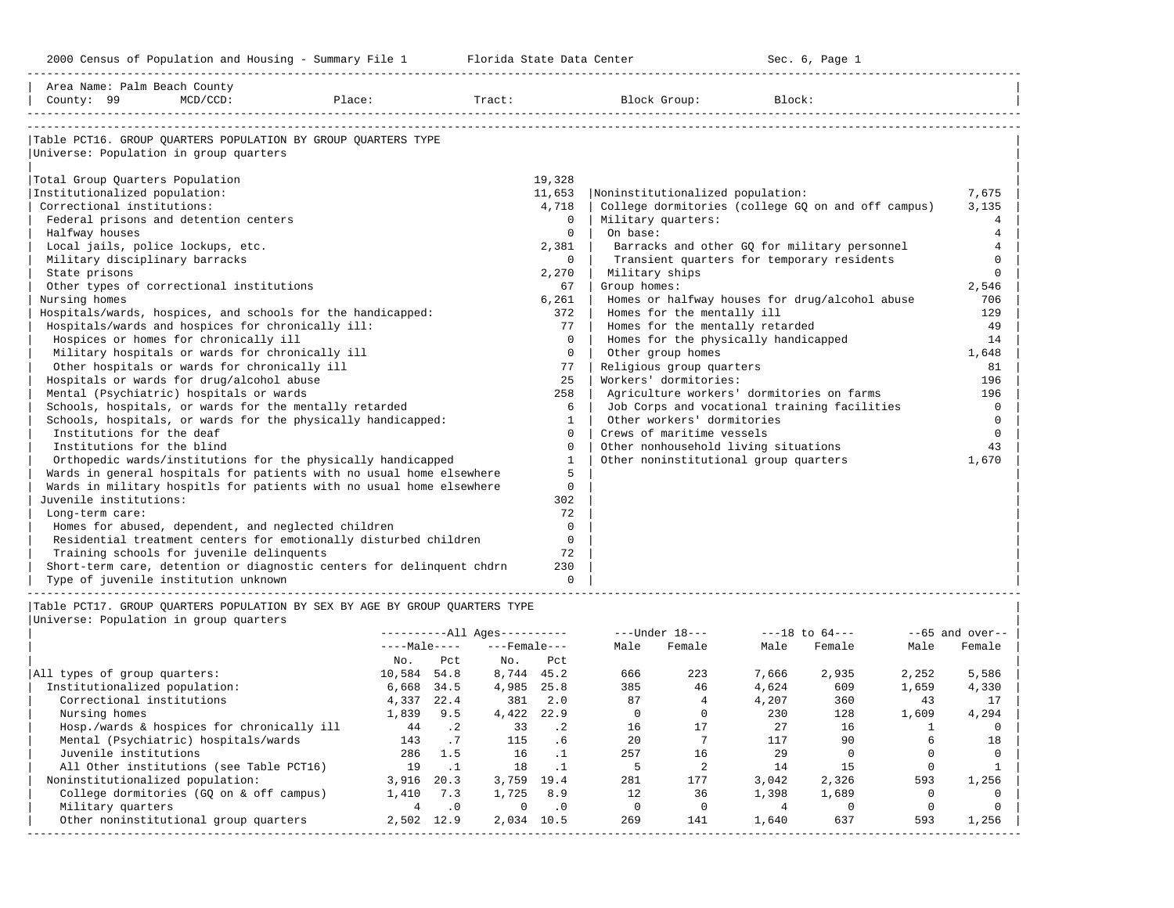-----------------------------------------------------------------------------------------------------------------------------------------------------

| Area Name: Palm Beach County    |                                                                                                         |        |              |                        |              |                        |                                                                              |        |                    |       |                      |
|---------------------------------|---------------------------------------------------------------------------------------------------------|--------|--------------|------------------------|--------------|------------------------|------------------------------------------------------------------------------|--------|--------------------|-------|----------------------|
| County: 99                      | $MCD/CCD$ :                                                                                             | Place: |              | Tract:                 |              |                        | Block Group:                                                                 | Block: |                    |       |                      |
|                                 |                                                                                                         |        |              |                        |              |                        |                                                                              |        |                    |       |                      |
|                                 | Table PCT16. GROUP OUARTERS POPULATION BY GROUP OUARTERS TYPE<br>Universe: Population in group quarters |        |              |                        |              |                        |                                                                              |        |                    |       |                      |
|                                 |                                                                                                         |        |              |                        |              |                        |                                                                              |        |                    |       |                      |
| Total Group Quarters Population |                                                                                                         |        |              |                        | 19,328       |                        |                                                                              |        |                    |       |                      |
| Institutionalized population:   |                                                                                                         |        |              |                        | 11,653       |                        | Noninstitutionalized population:                                             |        |                    |       | 7,675                |
| Correctional institutions:      |                                                                                                         |        |              |                        | 4,718        |                        | College dormitories (college GQ on and off campus)                           |        |                    |       | 3,135                |
|                                 | Federal prisons and detention centers                                                                   |        |              |                        |              | 0   Military quarters: |                                                                              |        |                    |       | 4                    |
| Halfway houses                  |                                                                                                         |        |              |                        | $\Omega$     | On base:               |                                                                              |        |                    |       | $\overline{4}$       |
|                                 | Local jails, police lockups, etc.                                                                       |        |              |                        | $2,381$      |                        | Barracks and other GQ for military personnel                                 |        |                    |       | $\overline{4}$       |
| Military disciplinary barracks  |                                                                                                         |        |              |                        | $\Omega$     |                        | Transient quarters for temporary residents                                   |        |                    |       | $\Omega$             |
| State prisons                   |                                                                                                         |        |              |                        | 2,270        |                        | Military ships                                                               |        |                    |       | $\Omega$             |
| Nursing homes                   | Other types of correctional institutions                                                                |        |              |                        | 67           | Group homes:           |                                                                              |        |                    |       | 2,546<br>706         |
|                                 | Hospitals/wards, hospices, and schools for the handicapped:                                             |        |              |                        | 6,261<br>372 |                        | Homes or halfway houses for drug/alcohol abuse<br>Homes for the mentally ill |        |                    |       | 129                  |
|                                 | Hospitals/wards and hospices for chronically ill:                                                       |        |              |                        | 77           |                        | Homes for the mentally retarded                                              |        |                    |       | 49                   |
|                                 | Hospices or homes for chronically ill                                                                   |        |              |                        | $\Omega$     |                        | Homes for the physically handicapped                                         |        |                    |       | 14                   |
|                                 | Military hospitals or wards for chronically ill                                                         |        |              |                        | $\Omega$     |                        | Other group homes                                                            |        |                    |       | 1,648                |
|                                 | Other hospitals or wards for chronically ill                                                            |        |              |                        | 77           |                        | Religious group quarters                                                     |        |                    |       | 81                   |
|                                 | Hospitals or wards for drug/alcohol abuse                                                               |        |              |                        | 25           |                        | Workers' dormitories:                                                        |        |                    |       | 196                  |
|                                 | Mental (Psychiatric) hospitals or wards                                                                 |        |              |                        | 258          |                        | Agriculture workers' dormitories on farms                                    |        |                    |       | 196                  |
|                                 | Schools, hospitals, or wards for the mentally retarded                                                  |        |              |                        | 6            |                        | Job Corps and vocational training facilities                                 |        |                    |       | $\mathbf 0$          |
|                                 | Schools, hospitals, or wards for the physically handicapped:                                            |        |              |                        | $\mathbf{1}$ |                        | Other workers' dormitories                                                   |        |                    |       | $\Omega$             |
| Institutions for the deaf       |                                                                                                         |        |              |                        | $\Omega$     |                        | Crews of maritime vessels                                                    |        |                    |       | $\mathbf 0$          |
| Institutions for the blind      |                                                                                                         |        |              |                        | $\Omega$     |                        | Other nonhousehold living situations                                         |        |                    |       | 43                   |
|                                 | Orthopedic wards/institutions for the physically handicapped                                            |        |              |                        | $\mathbf{1}$ |                        | Other noninstitutional group quarters                                        |        |                    |       | 1,670                |
|                                 | Wards in general hospitals for patients with no usual home elsewhere                                    |        |              |                        | 5            |                        |                                                                              |        |                    |       |                      |
|                                 | Wards in military hospitls for patients with no usual home elsewhere                                    |        |              |                        | $\mathbf 0$  |                        |                                                                              |        |                    |       |                      |
| Juvenile institutions:          |                                                                                                         |        |              |                        | 302          |                        |                                                                              |        |                    |       |                      |
| Long-term care:                 |                                                                                                         |        |              |                        | 72           |                        |                                                                              |        |                    |       |                      |
|                                 | Homes for abused, dependent, and neglected children                                                     |        |              |                        | $\Omega$     |                        |                                                                              |        |                    |       |                      |
|                                 | Residential treatment centers for emotionally disturbed children                                        |        |              |                        | $\Omega$     |                        |                                                                              |        |                    |       |                      |
|                                 | Training schools for juvenile delinquents                                                               |        |              |                        | 72           |                        |                                                                              |        |                    |       |                      |
|                                 | Short-term care, detention or diagnostic centers for delinquent chdrn                                   |        |              |                        | 230          |                        |                                                                              |        |                    |       |                      |
|                                 | Type of juvenile institution unknown                                                                    |        |              |                        | $\Omega$     |                        |                                                                              |        |                    |       |                      |
|                                 | Table PCT17. GROUP OUARTERS POPULATION BY SEX BY AGE BY GROUP OUARTERS TYPE                             |        |              |                        |              |                        |                                                                              |        |                    |       |                      |
|                                 | Universe: Population in group quarters                                                                  |        |              |                        |              |                        |                                                                              |        |                    |       |                      |
|                                 |                                                                                                         |        |              | $------All Aqes------$ |              |                        | $---Under 18---$                                                             |        | $---18$ to $64---$ |       | $- -65$ and over--   |
|                                 |                                                                                                         |        | $---Male---$ | ---Female---           |              | Male                   | Female                                                                       | Male   | Female             | Male  | Female               |
|                                 |                                                                                                         |        | No.<br>Pct   | No.                    | Pct          |                        |                                                                              |        |                    |       |                      |
| All types of group quarters:    |                                                                                                         |        | 10,584 54.8  | 8,744 45.2             |              | 666                    | 223                                                                          | 7,666  | 2,935              | 2,252 | 5,586                |
| Institutionalized population:   |                                                                                                         |        | 6,668 34.5   | 4,985 25.8             |              | 385                    | 46                                                                           | 4,624  | 609                | 1,659 | 4,330                |
| Correctional institutions       |                                                                                                         |        | 4,337 22.4   |                        | 381 2.0      | 87                     | $\overline{4}$                                                               | 4,207  | 360                | 43    | 17                   |
|                                 |                                                                                                         |        |              | .                      |              |                        |                                                                              |        |                    | ---   | $\sim$ $\sim$ $\sim$ |

| Nursing homes 1,839 9.5 4,422 22.9 0 0 230 128 1,609 4,294 | | Hosp./wards & hospices for chronically ill 44 .2 33 .2 16 17 27 16 1 0 | | Mental (Psychiatric) hospitals/wards 143 .7 115 .6 20 7 117 90 6 18 | | Juvenile institutions 286 1.5 16 .1 257 16 29 0 0 0 | | All Other institutions (see Table PCT16) 19 .1 18 .1 5 2 14 15 0 1 | | Noninstitutionalized population: 3,916 20.3 3,759 19.4 281 177 3,042 2,326 593 1,256 | | College dormitories (GQ on & off campus) 1,410 7.3 1,725 8.9 12 36 1,398 1,689 0 0 | | Military quarters 4 .0 0 .0 0 0 4 0 0 0 | | Other noninstitutional group quarters 2,502 12.9 2,034 10.5 269 141 1,640 637 593 1,256 | -----------------------------------------------------------------------------------------------------------------------------------------------------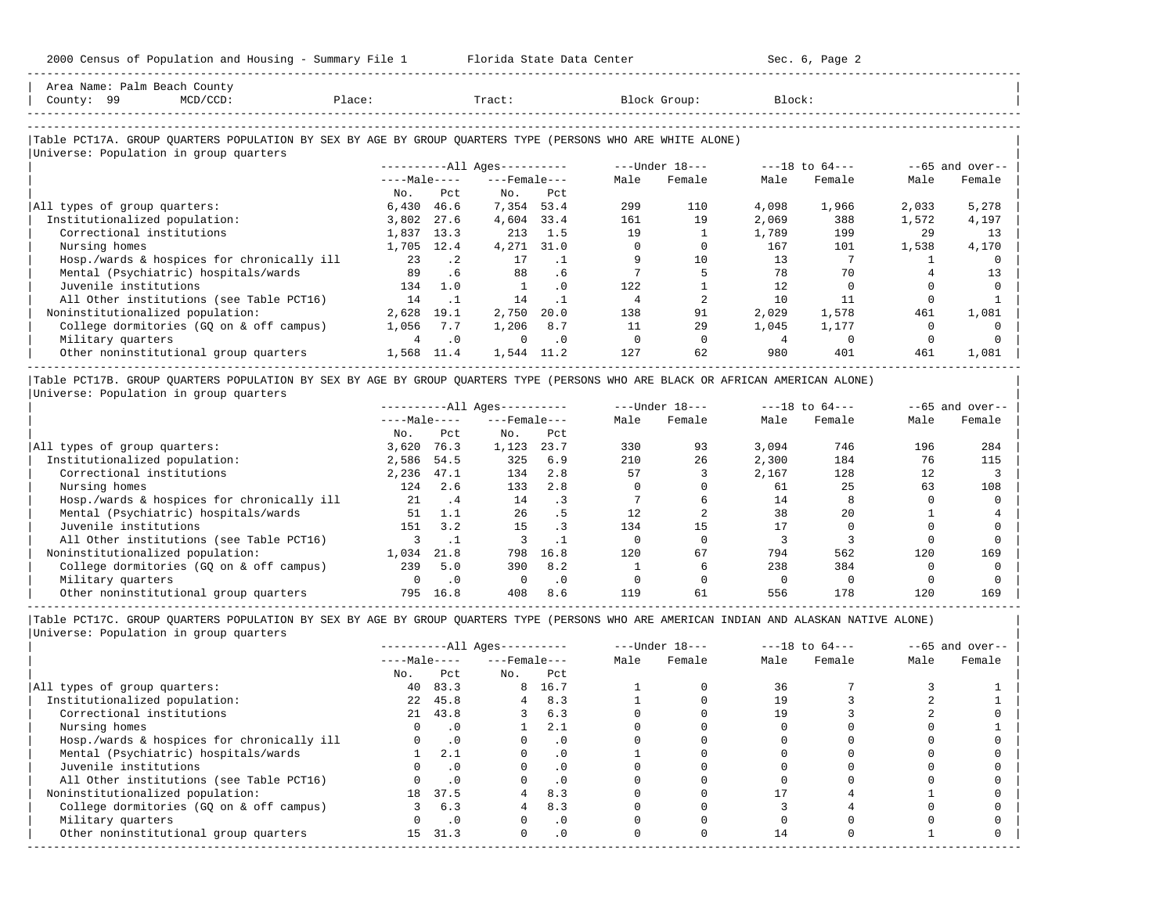-----------------------------------------------------------------------------------------------------------------------------------------------------

| Area Name: Palm Beach County<br>County: 99<br>$MCD/CCD$ :                                                  | Place:         |           | Tract:                       |           |      | Block Group:     | Block: |                    |       |                   |
|------------------------------------------------------------------------------------------------------------|----------------|-----------|------------------------------|-----------|------|------------------|--------|--------------------|-------|-------------------|
| Table PCT17A. GROUP QUARTERS POPULATION BY SEX BY AGE BY GROUP QUARTERS TYPE (PERSONS WHO ARE WHITE ALONE) |                |           |                              |           |      |                  |        |                    |       |                   |
| Universe: Population in group quarters                                                                     |                |           | ----------All Ages---------- |           |      | $---Under 18---$ |        | $---18$ to $64---$ |       | $--65$ and over-- |
|                                                                                                            | $---Male---$   |           | $---$ Female $---$           |           | Male | Female           | Male   | Female             | Male  | Female            |
|                                                                                                            | No.            | Pct       | No.                          | Pct       |      |                  |        |                    |       |                   |
| All types of group quarters:                                                                               | 6,430          | 46.6      | 7,354 53.4                   |           | 299  | 110              | 4,098  | 1,966              | 2,033 | 5,278             |
| Institutionalized population:                                                                              | 3,802          | 27.6      | 4,604                        | 33.4      | 161  | 19               | 2,069  | 388                | 1,572 | 4,197             |
| Correctional institutions                                                                                  | 1,837          | 13.3      | 213                          | 1.5       | 19   |                  | 1,789  | 199                | 29    | 13                |
| Nursing homes                                                                                              | 1,705          | 12.4      | 4,271                        | 31.0      |      |                  | 167    | 101                | 1,538 | 4,170             |
| Hosp./wards & hospices for chronically ill                                                                 | 23             | $\cdot$ 2 | 17                           | $\cdot$ 1 |      | 10               | 13     |                    |       |                   |
| Mental (Psychiatric) hospitals/wards                                                                       | 89             | .6        | 88                           | .6        |      |                  | 78     | 70                 |       | 13                |
| Juvenile institutions                                                                                      | 134            | 1.0       |                              | $\Omega$  | 122  |                  | 12.    |                    |       |                   |
| All Other institutions (see Table PCT16)                                                                   | 14             | $\cdot$ 1 | 14                           | $\cdot$ 1 | 4    |                  | 10     | 11                 |       |                   |
| Noninstitutionalized population:                                                                           | 2,628          | 19.1      | 2,750                        | 20.0      | 138  | 91               | 2,029  | 1,578              | 461   | 1,081             |
| College dormitories (GQ on & off campus)                                                                   | 1,056          | 7.7       | 1,206                        | 8.7       | 11   | 29               | 1,045  | 1,177              |       |                   |
| Military quarters                                                                                          | $\overline{a}$ | $\cdot$ 0 | $\Omega$                     | $\cdot$ 0 |      |                  |        |                    |       |                   |
| Other noninstitutional group quarters                                                                      | 1,568          | 11.4      | 1,544                        | 11.2      | 127  | 62               | 980    | 401                | 461   | 1,081             |

|Table PCT17B. GROUP QUARTERS POPULATION BY SEX BY AGE BY GROUP QUARTERS TYPE (PERSONS WHO ARE BLACK OR AFRICAN AMERICAN ALONE) | |Universe: Population in group quarters |

|                                            |              |      | $------All Aqes------$ |      |      | $---Under 18---$ |       | $---18$ to $64---$ |      | $--65$ and over-- |
|--------------------------------------------|--------------|------|------------------------|------|------|------------------|-------|--------------------|------|-------------------|
|                                            | $---Male---$ |      | $---$ Female $---$     |      | Male | Female           | Male  | Female             | Male | Female            |
|                                            | No.          | Pct  | No.                    | Pct  |      |                  |       |                    |      |                   |
| All types of group quarters:               | 3,620        | 76.3 | 1,123                  | 23.7 | 330  | 93               | 3,094 | 746                | 196  | 284               |
| Institutionalized population:              | 2,586        | 54.5 | 325                    | 6.9  | 210  | 26               | 2,300 | 184                | 76   | 115               |
| Correctional institutions                  | 2,236        | 47.1 | 134                    | 2.8  | 57   |                  | 2,167 | 128                | 12   |                   |
| Nursing homes                              | 124          | 2.6  | 133                    | 2.8  |      |                  | 61    | 25                 | 63   | 108               |
| Hosp./wards & hospices for chronically ill | 21           | . 4  | 14                     |      |      |                  | 14    |                    |      |                   |
| Mental (Psychiatric) hospitals/wards       | 51           | 1.1  | 26                     | . 5  |      |                  | 38    | 2.0                |      |                   |
| Juvenile institutions                      | 151          | 3.2  | 15                     |      | 134  | 15               |       |                    |      |                   |
| All Other institutions (see Table PCT16)   |              |      |                        |      |      |                  |       |                    |      |                   |
| Noninstitutionalized population:           | 1,034        | 21.8 | 798                    | 16.8 | 120  | 67               | 794   | 562                | 120  | 169               |
| College dormitories (GO on & off campus)   | 239          | 5.0  | 390                    | 8.2  |      |                  | 238   | 384                |      |                   |
| Military quarters                          |              | . 0  |                        | . 0  |      |                  |       |                    |      |                   |
| Other noninstitutional group quarters      | 795          | 16.8 | 408                    | 8.6  | 119  | 61               | 556   | 178                | 120  | 169               |

-----------------------------------------------------------------------------------------------------------------------------------------------------

|                                            |                 |           | $------All Aqes------$ |           |      | $---Under 18---$ |      | $---18$ to $64---$ |      | $--65$ and over-- |
|--------------------------------------------|-----------------|-----------|------------------------|-----------|------|------------------|------|--------------------|------|-------------------|
|                                            | $---Male---$    |           | $---$ Female $---$     |           | Male | Female           | Male | Female             | Male | Female            |
|                                            | No.             | Pct       | No.                    | Pct       |      |                  |      |                    |      |                   |
| All types of group quarters:               | 40              | 83.3      |                        | 8 16.7    |      |                  | 36   |                    |      |                   |
| Institutionalized population:              | 2.2             | 45.8      |                        | 8.3       |      |                  | 19   |                    |      |                   |
| Correctional institutions                  |                 | 21 43.8   |                        | 6.3       |      |                  | 19   |                    |      |                   |
| Nursing homes                              |                 | . 0       |                        | 2.1       |      |                  |      |                    |      |                   |
| Hosp./wards & hospices for chronically ill |                 | $\cdot$ 0 |                        | .0        |      |                  |      |                    |      |                   |
| Mental (Psychiatric) hospitals/wards       |                 | 2.1       |                        | $\cdot$ 0 |      |                  |      |                    |      |                   |
| Juvenile institutions                      |                 |           |                        | $\cdot$ 0 |      |                  |      |                    |      |                   |
| All Other institutions (see Table PCT16)   |                 | $\cdot$ 0 |                        |           |      |                  |      |                    |      |                   |
| Noninstitutionalized population:           | 18              | 37.5      |                        | 8.3       |      |                  |      |                    |      |                   |
| College dormitories (GQ on & off campus)   |                 | 6.3       |                        | 8.3       |      |                  |      |                    |      |                   |
| Military quarters                          |                 | $\cdot$ 0 |                        | $\cdot$ 0 |      |                  |      |                    |      |                   |
| Other noninstitutional group quarters      | 15 <sub>1</sub> | 31.3      | $\Omega$               | $\cdot$ 0 |      |                  | 14   |                    |      |                   |
|                                            |                 |           |                        |           |      |                  |      |                    |      |                   |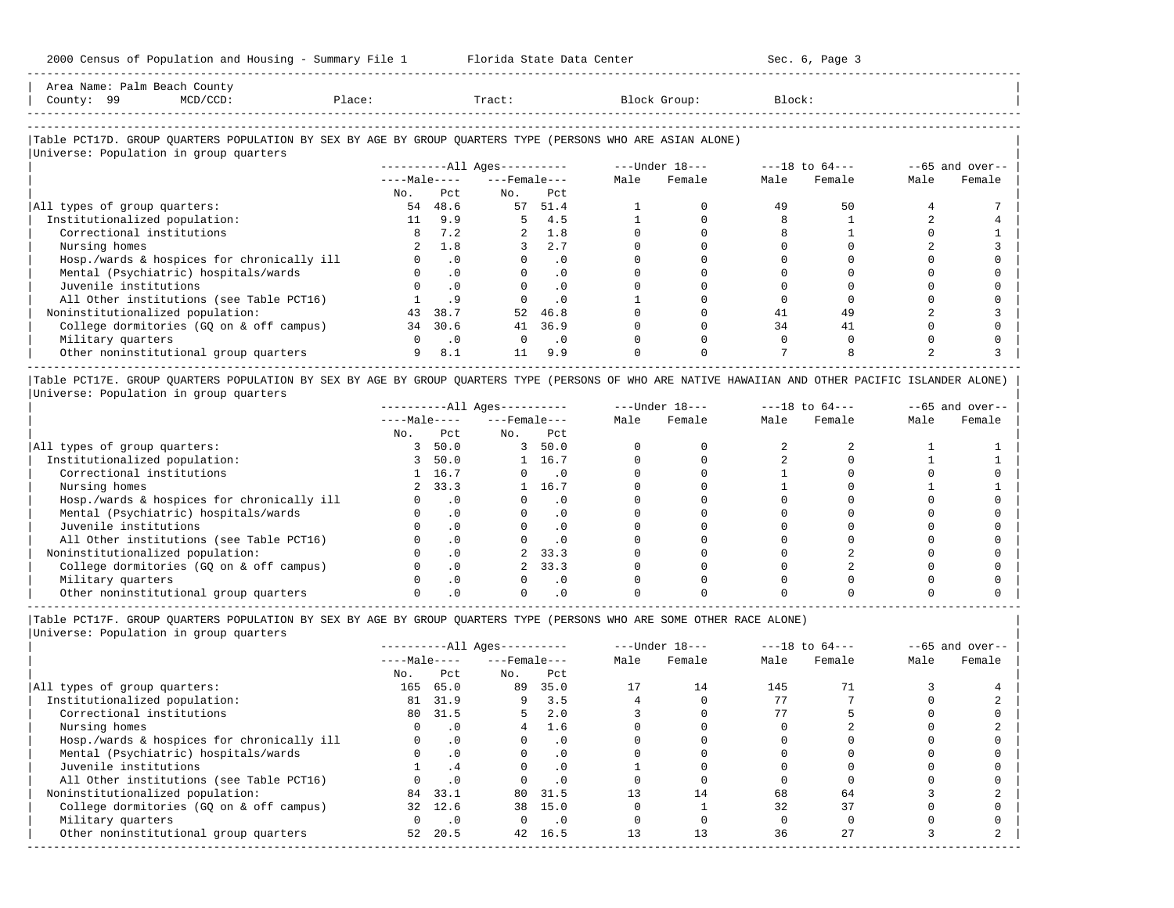|                     | Area Name: Palm Beach County |             |        |        |              |       |
|---------------------|------------------------------|-------------|--------|--------|--------------|-------|
| County:             | 99                           | $MCD/CCD$ : | Place: | Tract. | Block Group: | Block |
| ------------------- |                              |             |        |        |              |       |

-----------------------------------------------------------------------------------------------------------------------------------------------------

#### |Table PCT17D. GROUP QUARTERS POPULATION BY SEX BY AGE BY GROUP QUARTERS TYPE (PERSONS WHO ARE ASIAN ALONE) |

|                                            |              |           | $------All Aqes------$ |           | $---Under 18---$ |        | $---18$ to $64---$ |        | $--65$ and over-- |        |
|--------------------------------------------|--------------|-----------|------------------------|-----------|------------------|--------|--------------------|--------|-------------------|--------|
|                                            | $---Male---$ |           | $---$ Female $---$     |           | Male             | Female | Male               | Female | Male              | Female |
|                                            | No.          | Pct       | No.                    | Pct       |                  |        |                    |        |                   |        |
| All types of group quarters:               | 54           | 48.6      | 57                     | 51.4      |                  |        | 49                 | 50     |                   |        |
| Institutionalized population:              | 11           | 9.9       | 5                      | 4.5       |                  |        |                    |        |                   |        |
| Correctional institutions                  |              | 7.2       | $\overline{a}$         | 1.8       |                  |        |                    |        |                   |        |
| Nursing homes                              |              | 1.8       |                        | 2.7       |                  |        |                    |        |                   |        |
| Hosp./wards & hospices for chronically ill |              | .0        |                        | . 0       |                  |        |                    |        |                   |        |
| Mental (Psychiatric) hospitals/wards       |              | $\cdot$ 0 |                        | $\cdot$ 0 |                  |        |                    |        |                   |        |
| Juvenile institutions                      |              |           |                        | . 0       |                  |        |                    |        |                   |        |
| All Other institutions (see Table PCT16)   |              |           |                        | $\cdot$ 0 |                  |        |                    |        |                   |        |
| Noninstitutionalized population:           | 43           | 38.7      | 52                     | 46.8      |                  |        | 41                 | 49     |                   |        |
| College dormitories (GO on & off campus)   | 34           | 30.6      | 41                     | 36.9      |                  |        | 34                 | 41     |                   |        |
| Military quarters                          |              | $\cdot$ 0 | $\Omega$               | $\cdot$ 0 |                  |        |                    |        |                   |        |
| Other noninstitutional group quarters      | 9            | 8.1       | 11                     | 9.9       |                  |        |                    |        |                   |        |

|Table PCT17E. GROUP QUARTERS POPULATION BY SEX BY AGE BY GROUP QUARTERS TYPE (PERSONS OF WHO ARE NATIVE HAWAIIAN AND OTHER PACIFIC ISLANDER ALONE) | |Universe: Population in group quarters |

|                                            |              |           | $------All Ages------$ |           |      | $---Under 18---$ | $---18$ to $64---$ |        | $--65$ and over-- |        |
|--------------------------------------------|--------------|-----------|------------------------|-----------|------|------------------|--------------------|--------|-------------------|--------|
|                                            | $---Male---$ |           | $---$ Female $---$     |           | Male | Female           | Male               | Female | Male              | Female |
|                                            | No.          | Pct.      | No.                    | Pct       |      |                  |                    |        |                   |        |
| All types of group quarters:               |              | 50.0      | 3                      | 50.0      |      |                  |                    |        |                   |        |
| Institutionalized population:              |              | 50.0      |                        | 16.7      |      |                  |                    |        |                   |        |
| Correctional institutions                  |              | 1 16.7    |                        | $\cdot$ 0 |      |                  |                    |        |                   |        |
| Nursing homes                              | $2^{\circ}$  | 33.3      |                        | 16.7      |      |                  |                    |        |                   |        |
| Hosp./wards & hospices for chronically ill |              | $\cdot$ 0 |                        | . 0       |      |                  |                    |        |                   |        |
| Mental (Psychiatric) hospitals/wards       |              |           |                        | $\cdot$ 0 |      |                  |                    |        |                   |        |
| Juvenile institutions                      |              |           |                        | . 0       |      |                  |                    |        |                   |        |
| All Other institutions (see Table PCT16)   |              |           |                        | $\cdot$ 0 |      |                  |                    |        |                   |        |
| Noninstitutionalized population:           |              | . 0       |                        | 33.3      |      |                  |                    |        |                   |        |
| College dormitories (GQ on & off campus)   |              |           |                        | 33.3      |      |                  |                    |        |                   |        |
| Military quarters                          |              | . 0       |                        | $\cdot$ 0 |      |                  |                    |        |                   |        |
| Other noninstitutional group quarters      |              |           |                        |           |      |                  |                    |        |                   |        |

----------------------------------------------------------------------------------------------------------------------------------------------------- |Table PCT17F. GROUP QUARTERS POPULATION BY SEX BY AGE BY GROUP QUARTERS TYPE (PERSONS WHO ARE SOME OTHER RACE ALONE) |

|                                            |              |           | $------All Ages------$ |           |      | $---Under 18---$ |      | $---18$ to $64---$ |      | $--65$ and over-- |
|--------------------------------------------|--------------|-----------|------------------------|-----------|------|------------------|------|--------------------|------|-------------------|
|                                            | $---Male---$ |           | $---$ Female $---$     |           | Male | Female           | Male | Female             | Male | Female            |
|                                            | No.          | Pct       | No.                    | Pct       |      |                  |      |                    |      |                   |
| All types of group quarters:               | 165          | 65.0      | 89                     | 35.0      |      | 14               | 145  |                    |      |                   |
| Institutionalized population:              | 81           | 31.9      | 9                      | 3.5       |      |                  | 77   |                    |      |                   |
| Correctional institutions                  | 80           | 31.5      |                        | 2.0       |      |                  |      |                    |      |                   |
| Nursing homes                              |              | $\cdot$ 0 |                        | 1.6       |      |                  |      |                    |      |                   |
| Hosp./wards & hospices for chronically ill |              | .0        |                        | $\cdot$ 0 |      |                  |      |                    |      |                   |
| Mental (Psychiatric) hospitals/wards       |              | $\cdot$ 0 |                        | .0        |      |                  |      |                    |      |                   |
| Juvenile institutions                      |              |           |                        |           |      |                  |      |                    |      |                   |
| All Other institutions (see Table PCT16)   |              | $\cdot$ 0 |                        |           |      |                  |      |                    |      |                   |
| Noninstitutionalized population:           | 84           | 33.1      | 80                     | 31.5      |      | 14               | 68   | 64                 |      |                   |
| College dormitories (GQ on & off campus)   | 32           | 12.6      | 38                     | 15.0      |      |                  | 32   | 37                 |      |                   |
| Military quarters                          |              | $\cdot$ 0 |                        | $\cdot$ 0 |      |                  |      |                    |      |                   |
| Other noninstitutional group quarters      | 52           | 20.5      | 42                     | 16.5      |      |                  | 36   | 27                 |      |                   |
|                                            |              |           |                        |           |      |                  |      |                    |      |                   |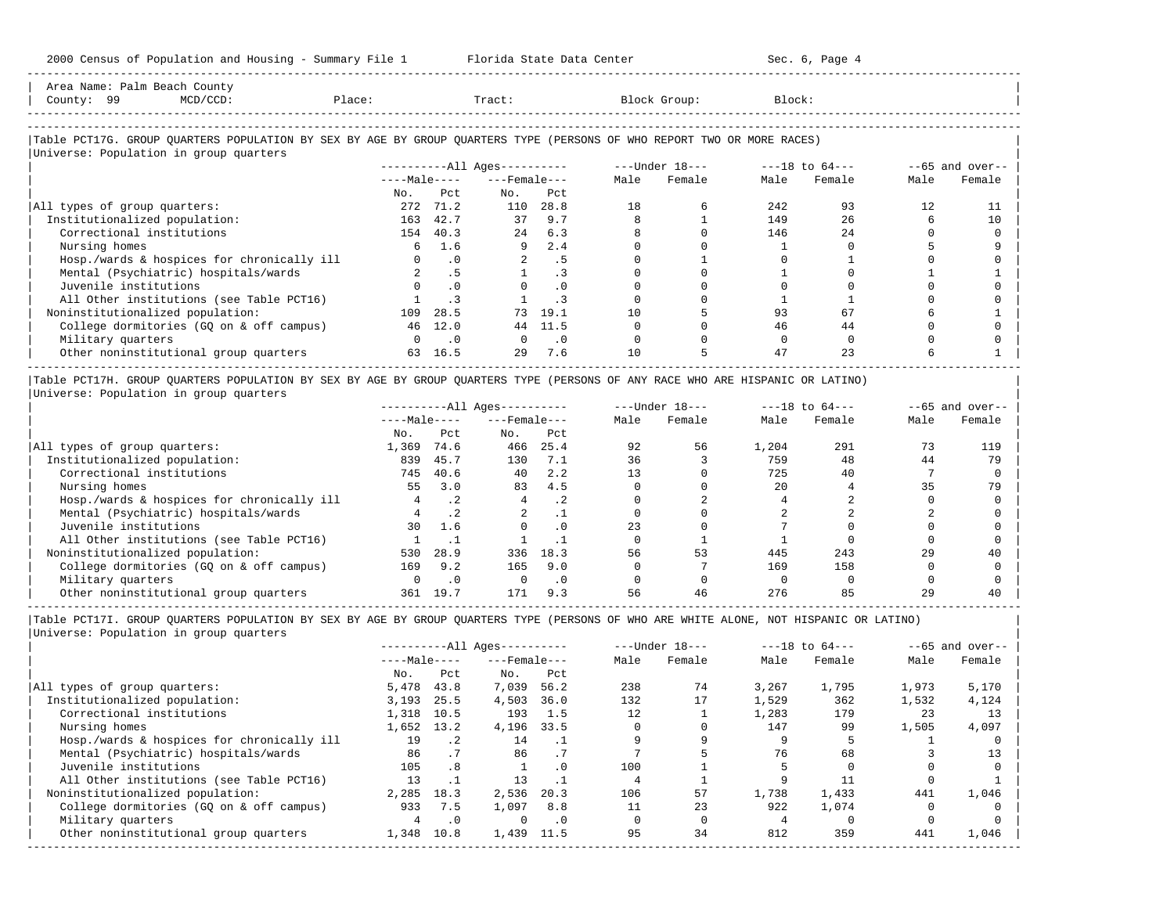-----------------------------------------------------------------------------------------------------------------------------------------------------

| Area Name: Palm Beach County<br>County: 99<br>MCD/CCD:                                                                        | Place:   | Tract:                      |                              |                             |      | Block Group:                   | Block: |           |      |                   |
|-------------------------------------------------------------------------------------------------------------------------------|----------|-----------------------------|------------------------------|-----------------------------|------|--------------------------------|--------|-----------|------|-------------------|
|                                                                                                                               |          |                             |                              |                             |      |                                |        |           |      |                   |
| Table PCT17G. GROUP QUARTERS POPULATION BY SEX BY AGE BY GROUP QUARTERS TYPE (PERSONS OF WHO REPORT TWO OR MORE RACES)        |          |                             |                              |                             |      |                                |        |           |      |                   |
| Universe: Population in group quarters                                                                                        |          |                             |                              |                             |      |                                |        |           |      |                   |
|                                                                                                                               |          |                             | ----------All Ages---------- |                             |      | ---Under 18--- ----18 to 64--- |        |           |      | $--65$ and over-- |
|                                                                                                                               |          |                             | $---Male-- ---Female---$     |                             | Male | Female                         | Male   | Female    | Male | Female            |
|                                                                                                                               | No.      | Pct                         | No.                          | Pct                         |      |                                |        |           |      |                   |
| All types of group quarters:                                                                                                  |          | 272 71.2                    |                              | 110 28.8                    | 18   |                                | 242    | 93        | 12   | 11                |
| Institutionalized population:                                                                                                 |          | 163 42.7                    | 37                           | 9.7                         |      |                                | 149    | 26        |      | 10                |
| Correctional institutions                                                                                                     |          | 154 40.3                    | 24                           | 6.3                         |      |                                | 146    | 2.4       |      |                   |
| Nursing homes                                                                                                                 |          | 6 1.6                       | 9                            | 2.4                         |      |                                |        |           |      |                   |
| Hosp./wards & hospices for chronically ill                                                                                    |          | $\Omega$<br>$\cdot$ 0       |                              | .5                          |      |                                |        |           |      |                   |
| Mental (Psychiatric) hospitals/wards                                                                                          |          | .5                          |                              | $\cdot$ 3                   |      |                                |        |           |      |                   |
| Juvenile institutions                                                                                                         |          | $\cdot$ 0                   |                              | $\cdot$ 0                   |      |                                |        |           |      |                   |
| All Other institutions (see Table PCT16)                                                                                      |          | $\cdot$ 3                   |                              | $\cdot$ 3                   |      |                                |        |           |      |                   |
| Noninstitutionalized population:                                                                                              |          | 109 28.5                    | 73                           | 19.1                        | 10   |                                | 93     | 67        |      |                   |
| College dormitories (GQ on & off campus)                                                                                      |          | 46 12.0                     | 44                           | 11.5                        |      |                                | 46     | 44        |      |                   |
| Military quarters                                                                                                             | $\Omega$ | $\overline{\phantom{0}}$ .0 | $\Omega$                     | $\overline{\phantom{0}}$ .0 |      |                                |        |           |      |                   |
| Other noninstitutional group quarters                                                                                         |          | 63 16.5                     | 2.9                          | 7.6                         | 10   |                                | 47     | 23        |      |                   |
|                                                                                                                               |          |                             |                              |                             |      |                                |        |           |      |                   |
| Table PCT17H. GROUP QUARTERS POPULATION BY SEX BY AGE BY GROUP QUARTERS TYPE (PERSONS OF ANY RACE WHO ARE HISPANIC OR LATINO) |          |                             |                              |                             |      |                                |        |           |      |                   |
| Universe: Population in group quarters                                                                                        |          |                             | $\mathbf{z}$                 |                             |      | $T \sim d \sim 10$             |        | $10 + 64$ |      | $CF$ and array    |

|                                            |              |                  | $------All Ages------$ |      |      | $---Under 18---$ |       | $---18$ to $64---$ |      | $--65$ and over-- |
|--------------------------------------------|--------------|------------------|------------------------|------|------|------------------|-------|--------------------|------|-------------------|
|                                            | $---Male---$ |                  | $---$ Female $---$     |      | Male | Female           | Male  | Female             | Male | Female            |
|                                            | No.          | Pct              | No.                    | Pct  |      |                  |       |                    |      |                   |
| All types of group quarters:               | 1,369        | 74.6             | 466                    | 25.4 | 92   | 56               | 1,204 | 291                |      | 119               |
| Institutionalized population:              | 839          | 45.7             | 130                    | 7.1  | 36   |                  | 759   | 48                 | 44   | 79                |
| Correctional institutions                  | 745          | 40.6             | 40                     | 2.2  | 13   |                  | 725   | 40                 |      |                   |
| Nursing homes                              | 55           | 3.0              | 83                     | 4.5  |      |                  | 20    |                    |      | 79                |
| Hosp./wards & hospices for chronically ill |              | $\cdot$ $\prime$ |                        | .2   |      |                  |       |                    |      |                   |
| Mental (Psychiatric) hospitals/wards       |              | .2               | 2                      |      |      |                  |       |                    |      |                   |
| Juvenile institutions                      | 30           | 1.6              |                        | . 0  |      |                  |       |                    |      |                   |
| All Other institutions (see Table PCT16)   |              |                  |                        |      |      |                  |       |                    |      |                   |
| Noninstitutionalized population:           | 530          | 28.9             | 336                    | 18.3 | 56   | 53               | 445   | 243                | 29   | 40                |
| College dormitories (GQ on & off campus)   | 169          | 9.2              | 165                    | 9.0  |      |                  | 169   | 158                |      |                   |
| Military quarters                          |              |                  |                        | . 0  |      |                  |       |                    |      |                   |
| Other noninstitutional group quarters      | 361          | 19.7             | 171                    | 9.3  | 56   | 46               | 276   | 85                 | 29   |                   |

----------------------------------------------------------------------------------------------------------------------------------------------------- |Table PCT17I. GROUP QUARTERS POPULATION BY SEX BY AGE BY GROUP QUARTERS TYPE (PERSONS OF WHO ARE WHITE ALONE, NOT HISPANIC OR LATINO) | |Universe: Population in group quarters |

|                                            |              |           | $------All Aqes------$ |           |      | $---Under 18---$ |       | $---18$ to $64---$ |       | $--65$ and over-- |
|--------------------------------------------|--------------|-----------|------------------------|-----------|------|------------------|-------|--------------------|-------|-------------------|
|                                            | $---Male---$ |           | $---$ Female $---$     |           | Male | Female           | Male  | Female             | Male  | Female            |
|                                            | No.          | Pct       | No.                    | Pct       |      |                  |       |                    |       |                   |
| All types of group quarters:               | 5,478        | 43.8      | 7,039                  | 56.2      | 238  | 74               | 3,267 | 1,795              | 1,973 | 5,170             |
| Institutionalized population:              | 3,193        | 25.5      | 4,503                  | 36.0      | 132  | 17               | 1,529 | 362                | 1,532 | 4,124             |
| Correctional institutions                  | 1,318        | 10.5      | 193                    | 1.5       | 12   |                  | 1,283 | 179                | 23    | 13                |
| Nursing homes                              | 1,652        | 13.2      | 4,196                  | 33.5      |      |                  | 147   | 99                 | 1,505 | 4,097             |
| Hosp./wards & hospices for chronically ill | 19           | $\cdot$ 2 | 14                     | . . 1     |      |                  |       |                    |       |                   |
| Mental (Psychiatric) hospitals/wards       | 86           | .7        | 86                     | .7        |      |                  | 76    | 68                 |       | 13                |
| Juvenile institutions                      | 105          | 8.8       |                        | $\cdot$ 0 | 100  |                  |       |                    |       |                   |
| All Other institutions (see Table PCT16)   | 13           |           | 13                     |           |      |                  |       |                    |       |                   |
| Noninstitutionalized population:           | 2,285        | 18.3      | 2,536                  | 20.3      | 106  | 57               | 1,738 | 1,433              | 441   | 1,046             |
| College dormitories (GO on & off campus)   | 933          | 7.5       | 1,097                  | 8.8       |      | 23               | 922   | 1,074              |       |                   |
| Military quarters                          |              | .0        | $\Omega$               | $\cdot$ 0 |      |                  |       |                    |       |                   |
| Other noninstitutional group quarters      | 1,348        | 10.8      | 1,439                  | 11.5      | 95   | 34               | 812   | 359                | 441   | 1,046             |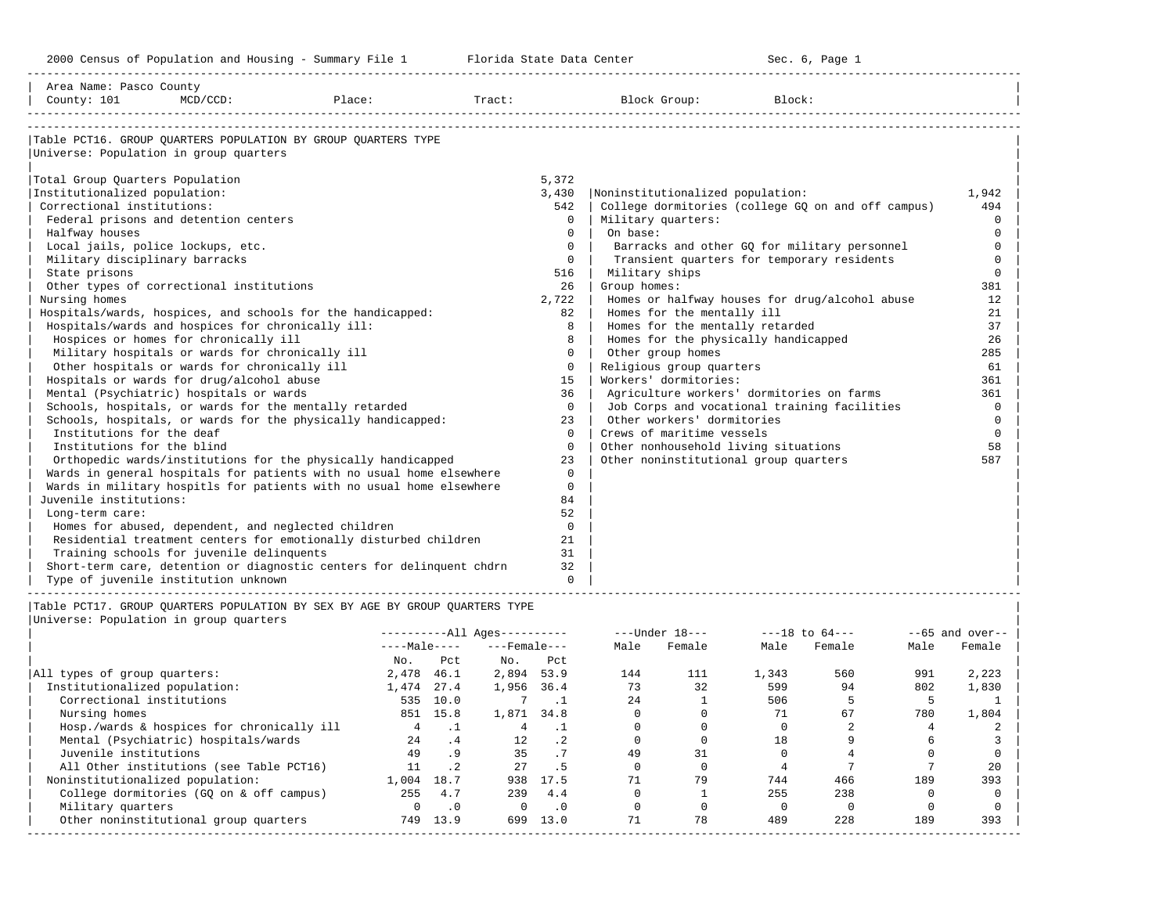2000 Census of Population and Housing - Summary File 1 Telorida State Data Center Sec. 6, Page 1 North Sec. 6, Page

| Area Name: Pasco County<br>County: 101<br>MCD/CCD:                                                                                                                                                                                                                                                                                                                                                                                                                                                                                                                                                                                                                                                                                                                                                                                                                                                                                                                                                                                                                                                                                                                                                                                                                                         | Place: | Tract:                   |                                                                                                                                                                                                                                                 | Block Group:                                                                                                                                                                                                                                                                                                                                                                                                                        | Block:                                                                                                                                                                                                                                                                                          |                                                                                                                                                                                           |
|--------------------------------------------------------------------------------------------------------------------------------------------------------------------------------------------------------------------------------------------------------------------------------------------------------------------------------------------------------------------------------------------------------------------------------------------------------------------------------------------------------------------------------------------------------------------------------------------------------------------------------------------------------------------------------------------------------------------------------------------------------------------------------------------------------------------------------------------------------------------------------------------------------------------------------------------------------------------------------------------------------------------------------------------------------------------------------------------------------------------------------------------------------------------------------------------------------------------------------------------------------------------------------------------|--------|--------------------------|-------------------------------------------------------------------------------------------------------------------------------------------------------------------------------------------------------------------------------------------------|-------------------------------------------------------------------------------------------------------------------------------------------------------------------------------------------------------------------------------------------------------------------------------------------------------------------------------------------------------------------------------------------------------------------------------------|-------------------------------------------------------------------------------------------------------------------------------------------------------------------------------------------------------------------------------------------------------------------------------------------------|-------------------------------------------------------------------------------------------------------------------------------------------------------------------------------------------|
| Table PCT16. GROUP OUARTERS POPULATION BY GROUP OUARTERS TYPE<br>Universe: Population in group quarters<br>Total Group Quarters Population<br>Institutionalized population:<br>Correctional institutions:<br>Federal prisons and detention centers<br>Halfway houses<br>Local jails, police lockups, etc.<br>Military disciplinary barracks<br>State prisons<br>Other types of correctional institutions<br>Nursing homes<br>Hospitals/wards, hospices, and schools for the handicapped:<br>Hospitals/wards and hospices for chronically ill:<br>Hospices or homes for chronically ill<br>Military hospitals or wards for chronically ill<br>Other hospitals or wards for chronically ill<br>Hospitals or wards for drug/alcohol abuse<br>Mental (Psychiatric) hospitals or wards<br>Schools, hospitals, or wards for the mentally retarded<br>Schools, hospitals, or wards for the physically handicapped:<br>Institutions for the deaf<br>Institutions for the blind<br>Orthopedic wards/institutions for the physically handicapped<br>Wards in general hospitals for patients with no usual home elsewhere<br>Wards in military hospitls for patients with no usual home elsewhere<br>Juvenile institutions:<br>Long-term care:<br>Homes for abused, dependent, and neglected children |        |                          | 5,372<br>3,430<br>542<br>$\Omega$<br>$\Omega$<br>$\Omega$<br>$\Omega$<br>516<br>26<br>2,722<br>82<br>8<br>8<br>$\Omega$<br>$\Omega$<br>1.5<br>36<br>$\Omega$<br>23<br>$\Omega$<br>$\Omega$<br>23<br>$\Omega$<br>$\Omega$<br>84<br>52<br>$\circ$ | Noninstitutionalized population:<br>Military quarters:<br>On base:<br>Military ships<br>Group homes:<br>Homes for the mentally ill<br>Homes for the mentally retarded<br>Homes for the physically handicapped<br>Other group homes<br>Religious group quarters<br>Workers' dormitories:<br>Other workers' dormitories<br>Crews of maritime vessels<br>Other nonhousehold living situations<br>Other noninstitutional group quarters | College dormitories (college GQ on and off campus)<br>Barracks and other GQ for military personnel<br>Transient quarters for temporary residents<br>Homes or halfway houses for drug/alcohol abuse<br>Agriculture workers' dormitories on farms<br>Job Corps and vocational training facilities | 1,942<br>494<br>$\Omega$<br>$\mathbf 0$<br>$\Omega$<br>$\Omega$<br>$\Omega$<br>381<br>12<br>21<br>37<br>26<br>285<br>61<br>361<br>361<br>$\Omega$<br>$\mathbf 0$<br>$\Omega$<br>58<br>587 |
| Residential treatment centers for emotionally disturbed children<br>Training schools for juvenile delinquents<br>Short-term care, detention or diagnostic centers for delinquent chdrn<br>Type of juvenile institution unknown                                                                                                                                                                                                                                                                                                                                                                                                                                                                                                                                                                                                                                                                                                                                                                                                                                                                                                                                                                                                                                                             |        |                          | 21<br>31<br>32<br>$\cap$                                                                                                                                                                                                                        |                                                                                                                                                                                                                                                                                                                                                                                                                                     |                                                                                                                                                                                                                                                                                                 |                                                                                                                                                                                           |
| Table PCT17. GROUP QUARTERS POPULATION BY SEX BY AGE BY GROUP QUARTERS TYPE<br>Universe: Population in group quarters                                                                                                                                                                                                                                                                                                                                                                                                                                                                                                                                                                                                                                                                                                                                                                                                                                                                                                                                                                                                                                                                                                                                                                      |        | $---Male-- ---Female---$ |                                                                                                                                                                                                                                                 | $------All \text{A} = -1000$<br>Male<br>Female                                                                                                                                                                                                                                                                                                                                                                                      | Female<br>Male<br>Male                                                                                                                                                                                                                                                                          | $- -65$ and over--<br>Female                                                                                                                                                              |

|                                            | $---maxC---$ |                 | ---remaie--- |                 | ria⊥e | r cmarc | ria⊥c | r ⊂ma⊥⊂ | ria⊥∈ | r emate |
|--------------------------------------------|--------------|-----------------|--------------|-----------------|-------|---------|-------|---------|-------|---------|
|                                            | No.          | Pct             | No.          | Pct             |       |         |       |         |       |         |
| All types of group quarters:               | 2,478        | 46.1            | 2,894        | 53.9            | 144   | 111     | 1,343 | 560     | 991   | 2,223   |
| Institutionalized population:              | 1,474        | 27.4            | 1,956        | 36.4            | 73    | 32      | 599   | 94      | 802   | 1,830   |
| Correctional institutions                  | 535          | 10.0            |              |                 | 2.4   |         | 506   |         |       |         |
| Nursing homes                              |              | 851 15.8        | 1,871        | 34.8            |       |         | 71    | 67      | 780   | 1,804   |
| Hosp./wards & hospices for chronically ill |              |                 |              |                 |       |         |       |         |       |         |
| Mental (Psychiatric) hospitals/wards       | 2.4          | .4              | $12^{\circ}$ | $\cdot$ 2       |       |         | 18    |         |       |         |
| Juvenile institutions                      | 49           | .9 <sub>o</sub> | 35           |                 | 49    | 31      |       |         |       |         |
| All Other institutions (see Table PCT16)   | 11           | .2 <sub>2</sub> | 27           | .5 <sub>1</sub> |       |         |       |         |       | 20      |
| Noninstitutionalized population:           | 1,004        | 18.7            | 938          | 17.5            |       | 79      | 744   | 466     | 189   | 393     |
| College dormitories (GO on & off campus)   | 255          | 4.7             | 239          | 4.4             |       |         | 255   | 238     |       |         |
| Military quarters                          |              | $\cdot$ 0       | $\Omega$     | .0              |       |         |       |         |       |         |
| Other noninstitutional group quarters      | 749          | 13.9            | 699          | 13.0            |       | 78      | 489   | 228     | 189   | 393     |
|                                            |              |                 |              |                 |       |         |       |         |       |         |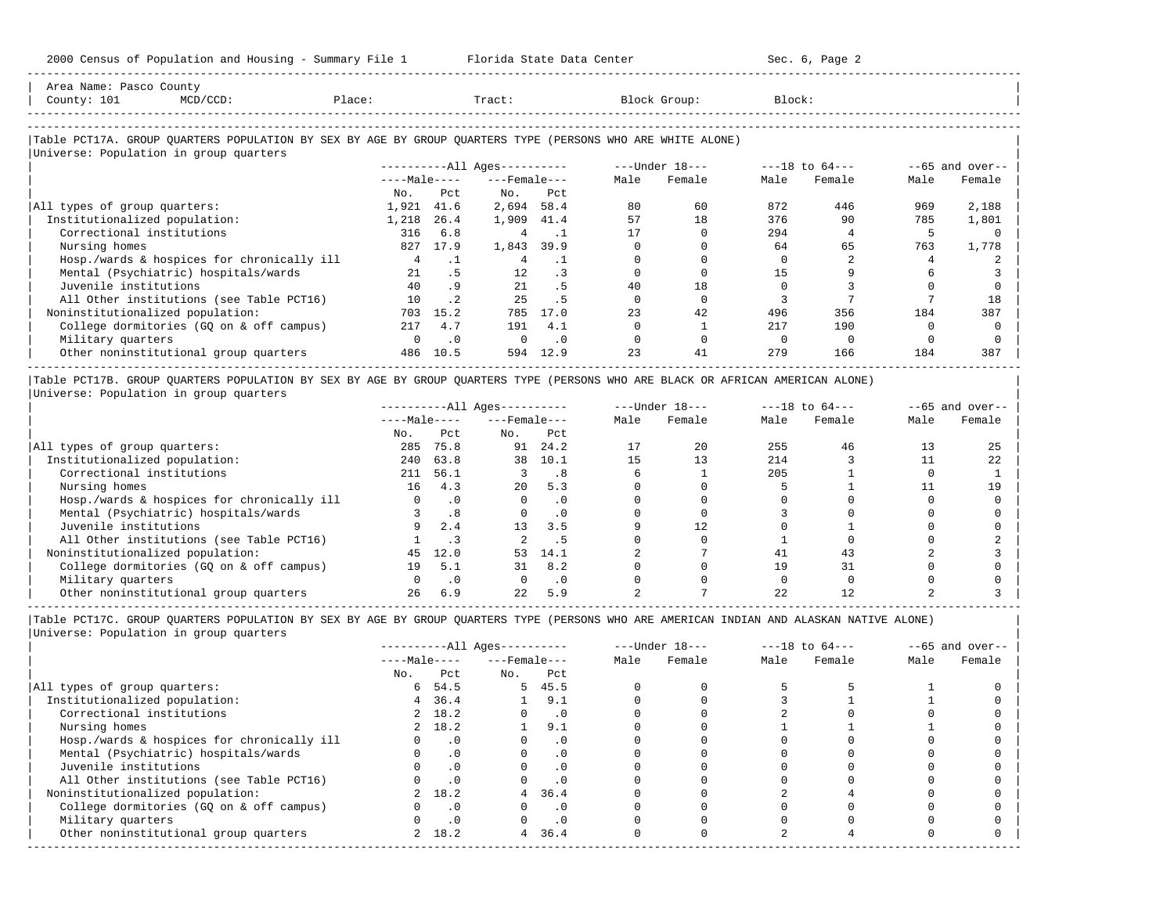| County: 101<br>$MCD/CCD$ :                                                                                 | Place: |              | Tract:                       |           |      | Block Group:   | Block: |                    |      |                   |
|------------------------------------------------------------------------------------------------------------|--------|--------------|------------------------------|-----------|------|----------------|--------|--------------------|------|-------------------|
| Table PCT17A. GROUP QUARTERS POPULATION BY SEX BY AGE BY GROUP QUARTERS TYPE (PERSONS WHO ARE WHITE ALONE) |        |              |                              |           |      |                |        |                    |      |                   |
| Universe: Population in group quarters                                                                     |        |              | ----------All Ages---------- |           |      | ---Under 18--- |        | $---18$ to $64---$ |      | $--65$ and over-- |
|                                                                                                            |        | $---Male---$ | $---$ Female $---$           |           | Male | Female         | Male   | Female             | Male | Female            |
|                                                                                                            | No.    | Pct          | No.                          | Pct       |      |                |        |                    |      |                   |
| All types of group quarters:                                                                               | 1,921  | 41.6         | 2,694 58.4                   |           | 80   | 60             | 872    | 446                | 969  | 2,188             |
| Institutionalized population:                                                                              | 1,218  | 26.4         | 1,909 41.4                   |           | 57   | 18             | 376    | 90                 | 785  | 1,801             |
| Correctional institutions                                                                                  | 316    | 6.8          | 4                            | $\cdot$ 1 |      |                | 294    |                    | 5    |                   |
| Nursing homes                                                                                              | 827    | 17.9         | 1,843                        | 39.9      |      |                | 64     | 65                 | 763  | 1,778             |
| Hosp./wards & hospices for chronically ill                                                                 |        | $\cdot$ 1    | 4                            | $\cdot$ 1 |      |                |        |                    |      |                   |
| Mental (Psychiatric) hospitals/wards                                                                       | 21     | .5           | $12^{\circ}$                 | $\cdot$ 3 |      |                | 15     |                    |      |                   |
| Juvenile institutions                                                                                      | 40     | .9           | 21                           | . 5       | 40   | 18             |        |                    |      |                   |
| All Other institutions (see Table PCT16)                                                                   | 10     | $\cdot$ 2    | 25                           | .5        |      |                |        |                    |      | 18                |
| Noninstitutionalized population:                                                                           | 703    | 15.2         | 785                          | 17.0      | 23   | 42             | 496    | 356                | 184  | 387               |
| College dormitories (GQ on & off campus)                                                                   | 217    | 4.7          | 191                          | 4.1       |      |                | 217    | 190                |      |                   |
| Military quarters                                                                                          |        | $\cdot$ 0    | $\Omega$                     | $\cdot$ 0 |      |                |        |                    |      |                   |
| Other noninstitutional group quarters                                                                      | 486    | 10.5         | 594                          | 12.9      | 23   | 41             | 279    | 166                | 184  | 387               |

|Table PCT17B. GROUP QUARTERS POPULATION BY SEX BY AGE BY GROUP QUARTERS TYPE (PERSONS WHO ARE BLACK OR AFRICAN AMERICAN ALONE) | |Universe: Population in group quarters |

-----------------------------------------------------------------------------------------------------------------------------------------------------

|                                            |              |           | $------All Ages------$ |           |      | $---Under 18---$ |      | $---18$ to $64---$ |      | $--65$ and over-- |
|--------------------------------------------|--------------|-----------|------------------------|-----------|------|------------------|------|--------------------|------|-------------------|
|                                            | $---Male---$ |           | $---$ Female $---$     |           | Male | Female           | Male | Female             | Male | Female            |
|                                            | No.          | Pct       | No.                    | Pct       |      |                  |      |                    |      |                   |
| All types of group quarters:               | 285          | 75.8      | 91                     | 24.2      |      | 20               | 255  | 46                 |      | 25                |
| Institutionalized population:              | 240          | 63.8      | 38                     | 10.1      | 15   | 13               | 214  |                    |      | 22                |
| Correctional institutions                  | 211          | 56.1      |                        | . 8       |      |                  | 205  |                    |      |                   |
| Nursing homes                              | 16           | 4.3       | 20                     | 5.3       |      |                  |      |                    |      | 19                |
| Hosp./wards & hospices for chronically ill |              |           |                        | . 0       |      |                  |      |                    |      |                   |
| Mental (Psychiatric) hospitals/wards       |              | .8        |                        |           |      |                  |      |                    |      |                   |
| Juvenile institutions                      | 9            | 2.4       | 13                     | 3.5       |      | 12.              |      |                    |      |                   |
| All Other institutions (see Table PCT16)   |              |           |                        |           |      |                  |      |                    |      |                   |
| Noninstitutionalized population:           | 45           | 12.0      | 53                     | 14.1      |      |                  | 41   | 43                 |      |                   |
| College dormitories (GQ on & off campus)   | 19           | 5.1       | 31                     | 8.2       |      |                  | 19   |                    |      |                   |
| Military quarters                          |              | $\cdot$ 0 |                        | $\cdot$ 0 |      |                  |      |                    |      |                   |
| Other noninstitutional group quarters      | 26           | 6.9       | 22                     | 5.9       |      |                  |      |                    |      |                   |

|                                            |              |           | $------All Aqes------$ |           |      | $---Under 18---$ |      | $---18$ to $64---$ |      | $- -65$ and over-- |
|--------------------------------------------|--------------|-----------|------------------------|-----------|------|------------------|------|--------------------|------|--------------------|
|                                            | $---Male---$ |           | $---$ Female $---$     |           | Male | Female           | Male | Female             | Male | Female             |
|                                            | No.          | Pct       | No.                    | Pct       |      |                  |      |                    |      |                    |
| All types of group quarters:               | 6            | 54.5      |                        | 5, 45.5   |      |                  |      |                    |      |                    |
| Institutionalized population:              | 4            | 36.4      |                        | 9.1       |      |                  |      |                    |      |                    |
| Correctional institutions                  |              | 2 18.2    |                        | . 0       |      |                  |      |                    |      |                    |
| Nursing homes                              |              | 2 18.2    |                        | 9.1       |      |                  |      |                    |      |                    |
| Hosp./wards & hospices for chronically ill |              | $\cdot$ 0 |                        | . 0       |      |                  |      |                    |      |                    |
| Mental (Psychiatric) hospitals/wards       |              | $\cdot$ 0 |                        | . 0       |      |                  |      |                    |      |                    |
| Juvenile institutions                      |              |           |                        | $\cdot$ 0 |      |                  |      |                    |      |                    |
| All Other institutions (see Table PCT16)   |              |           |                        | . 0       |      |                  |      |                    |      |                    |
| Noninstitutionalized population:           |              | 2 18.2    |                        | 4, 36.4   |      |                  |      |                    |      |                    |
| College dormitories (GQ on & off campus)   |              | $\cdot$ 0 |                        | . 0       |      |                  |      |                    |      |                    |
| Military quarters                          |              |           |                        | . 0       |      |                  |      |                    |      |                    |
| Other noninstitutional group quarters      |              | 2 18.2    |                        | 4, 36.4   |      |                  |      |                    |      |                    |
|                                            |              |           |                        |           |      |                  |      |                    |      |                    |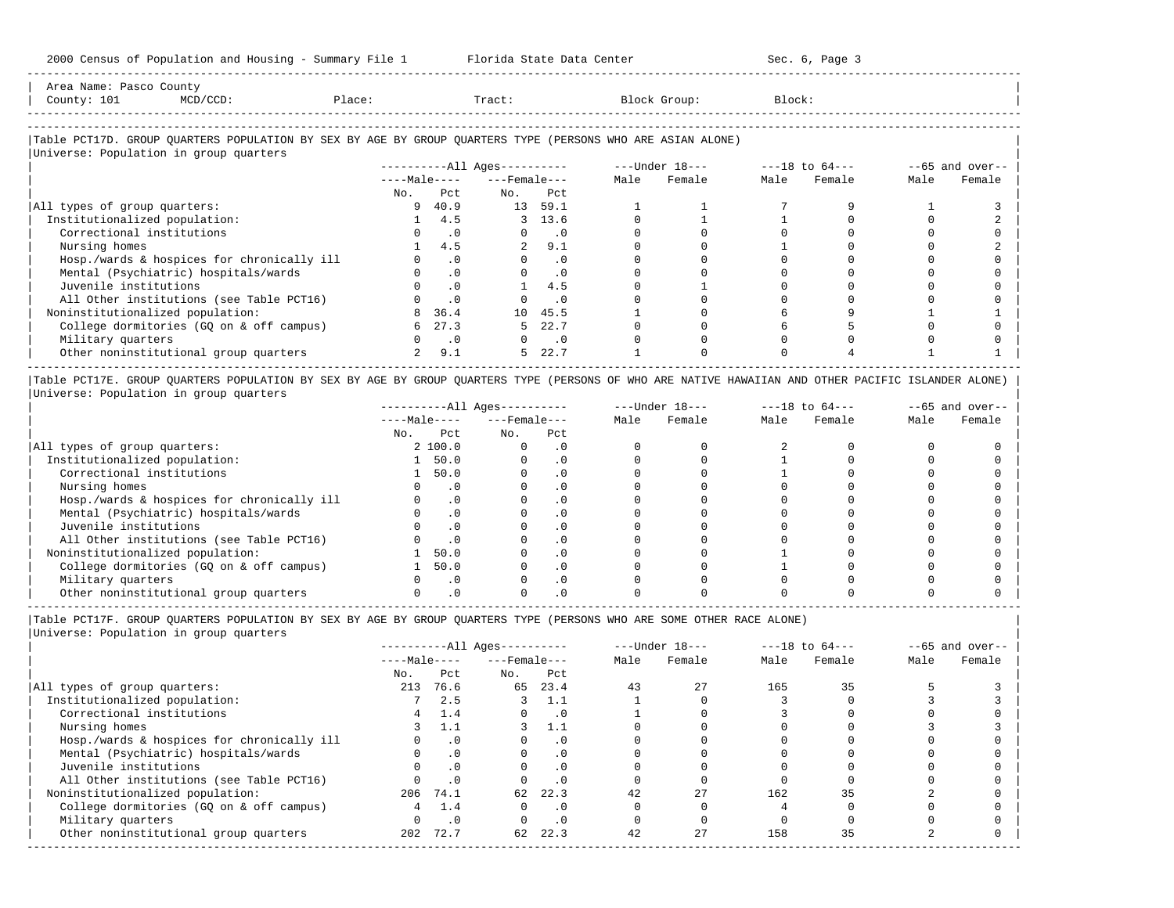| Area<br>Name<br>Pasc. | counc                                                                           |                |  |  |
|-----------------------|---------------------------------------------------------------------------------|----------------|--|--|
| Jount<br>ᆂᇦᆂ          | the contract of the contract of the contract of the contract of the contract of | $\overline{a}$ |  |  |
|                       |                                                                                 |                |  |  |

-----------------------------------------------------------------------------------------------------------------------------------------------------

-----------------------------------------------------------------------------------------------------------------------------------------------------

## |Table PCT17D. GROUP QUARTERS POPULATION BY SEX BY AGE BY GROUP QUARTERS TYPE (PERSONS WHO ARE ASIAN ALONE) |

|                                            |              |                            | $------All Ages------$ |                             |      | $---Under 18---$ |      | $---18$ to $64---$ |      | $--65$ and over-- |
|--------------------------------------------|--------------|----------------------------|------------------------|-----------------------------|------|------------------|------|--------------------|------|-------------------|
|                                            | $---Male---$ |                            | $---$ Female $---$     |                             | Male | Female           | Male | Female             | Male | Female            |
|                                            | No.          | Pct                        | No.                    | Pct                         |      |                  |      |                    |      |                   |
| All types of group quarters:               |              | 9, 40.9                    | 13                     | 59.1                        |      |                  |      |                    |      |                   |
| Institutionalized population:              |              | 4.5                        |                        | 3 13.6                      |      |                  |      |                    |      |                   |
| Correctional institutions                  |              | $\overline{\phantom{0}}$ . |                        | . 0                         |      |                  |      |                    |      |                   |
| Nursing homes                              |              | 4.5                        |                        | 9.1                         |      |                  |      |                    |      |                   |
| Hosp./wards & hospices for chronically ill |              | $\cdot$ 0                  |                        | $\cdot$ 0                   |      |                  |      |                    |      |                   |
| Mental (Psychiatric) hospitals/wards       |              | $\cdot$ 0                  |                        | $\cdot$ 0                   |      |                  |      |                    |      |                   |
| Juvenile institutions                      |              | $\cdot$ 0                  |                        | 4.5                         |      |                  |      |                    |      |                   |
| All Other institutions (see Table PCT16)   |              | $\cdot$ 0                  |                        | $\cdot$ 0                   |      |                  |      |                    |      |                   |
| Noninstitutionalized population:           | 8            | 36.4                       |                        | 10 45.5                     |      |                  |      |                    |      |                   |
| College dormitories (GQ on & off campus)   | 6            | 27.3                       | 5.                     | 22.7                        |      |                  |      |                    |      |                   |
| Military quarters                          |              | $\cdot$ 0                  |                        | $\overline{\phantom{0}}$ .0 |      |                  |      |                    |      |                   |
| Other noninstitutional group quarters      |              | 9.1                        | 5.                     | 22.7                        |      |                  |      |                    |      |                   |

|Table PCT17E. GROUP QUARTERS POPULATION BY SEX BY AGE BY GROUP QUARTERS TYPE (PERSONS OF WHO ARE NATIVE HAWAIIAN AND OTHER PACIFIC ISLANDER ALONE) | |Universe: Population in group quarters |

|                                            |              |           | $------All Aqes------$ |           |      | $---Under 18---$ |      | $---18$ to $64---$ |      | $--65$ and over-- |
|--------------------------------------------|--------------|-----------|------------------------|-----------|------|------------------|------|--------------------|------|-------------------|
|                                            | $---Male---$ |           | $---$ Female $---$     |           | Male | Female           | Male | Female             | Male | Female            |
|                                            | No.          | Pct       | No.                    | Pct       |      |                  |      |                    |      |                   |
| All types of group quarters:               |              | 2 100.0   |                        | . 0       |      |                  |      |                    |      |                   |
| Institutionalized population:              |              | 50.0      |                        | . 0       |      |                  |      |                    |      |                   |
| Correctional institutions                  |              | 50.0      |                        | . 0       |      |                  |      |                    |      |                   |
| Nursing homes                              |              |           |                        | $\cdot$ 0 |      |                  |      |                    |      |                   |
| Hosp./wards & hospices for chronically ill |              | $\cdot$ 0 |                        | $\cdot$ 0 |      |                  |      |                    |      |                   |
| Mental (Psychiatric) hospitals/wards       |              |           |                        | . 0       |      |                  |      |                    |      |                   |
| Juvenile institutions                      |              | $\cdot$ 0 |                        | . 0       |      |                  |      |                    |      |                   |
| All Other institutions (see Table PCT16)   |              |           |                        |           |      |                  |      |                    |      |                   |
| Noninstitutionalized population:           |              | 50.0      |                        |           |      |                  |      |                    |      |                   |
| College dormitories (GO on & off campus)   |              | 50.0      |                        |           |      |                  |      |                    |      |                   |
| Military quarters                          |              | $\Omega$  |                        |           |      |                  |      |                    |      |                   |
| Other noninstitutional group quarters      |              |           |                        |           |      |                  |      |                    |      |                   |

----------------------------------------------------------------------------------------------------------------------------------------------------- |Table PCT17F. GROUP QUARTERS POPULATION BY SEX BY AGE BY GROUP QUARTERS TYPE (PERSONS WHO ARE SOME OTHER RACE ALONE) |

|                                            |              |           | $------All Ages------$ |           |      | $---Under 18---$ |      | $---18$ to $64---$ |      | $--65$ and over-- |
|--------------------------------------------|--------------|-----------|------------------------|-----------|------|------------------|------|--------------------|------|-------------------|
|                                            | $---Male---$ |           | $---$ Female $---$     |           | Male | Female           | Male | Female             | Male | Female            |
|                                            | No.          | Pct       | No.                    | Pct       |      |                  |      |                    |      |                   |
| All types of group quarters:               | 213          | 76.6      | 65                     | 23.4      | 43   | 2.7              | 165  | 35                 |      |                   |
| Institutionalized population:              |              | 2.5       |                        | 1.1       |      |                  |      |                    |      |                   |
| Correctional institutions                  | 4            | 1.4       | 0                      | $\cdot$ 0 |      |                  |      |                    |      |                   |
| Nursing homes                              |              |           |                        | 1.1       |      |                  |      |                    |      |                   |
| Hosp./wards & hospices for chronically ill |              | $\cdot$ 0 |                        | $\cdot$ 0 |      |                  |      |                    |      |                   |
| Mental (Psychiatric) hospitals/wards       |              | $\cdot$ 0 |                        | $\cdot$ 0 |      |                  |      |                    |      |                   |
| Juvenile institutions                      |              | .0        |                        | $\cdot$ 0 |      |                  |      |                    |      |                   |
| All Other institutions (see Table PCT16)   |              | .0        |                        | $\cdot$ 0 |      |                  |      |                    |      |                   |
| Noninstitutionalized population:           |              | 206 74.1  | 62                     | 22.3      | 42   | 27               | 162  | 35                 |      |                   |
| College dormitories (GQ on & off campus)   |              | 1.4       | O.                     | $\cdot$ 0 |      |                  |      |                    |      |                   |
| Military quarters                          |              | $\cdot$ 0 |                        | $\cdot$ 0 |      |                  |      |                    |      |                   |
| Other noninstitutional group quarters      | 202          | 72.7      | 62                     | 22.3      | 42   | 27               | 158  | 35                 |      |                   |
|                                            |              |           |                        |           |      |                  |      |                    |      |                   |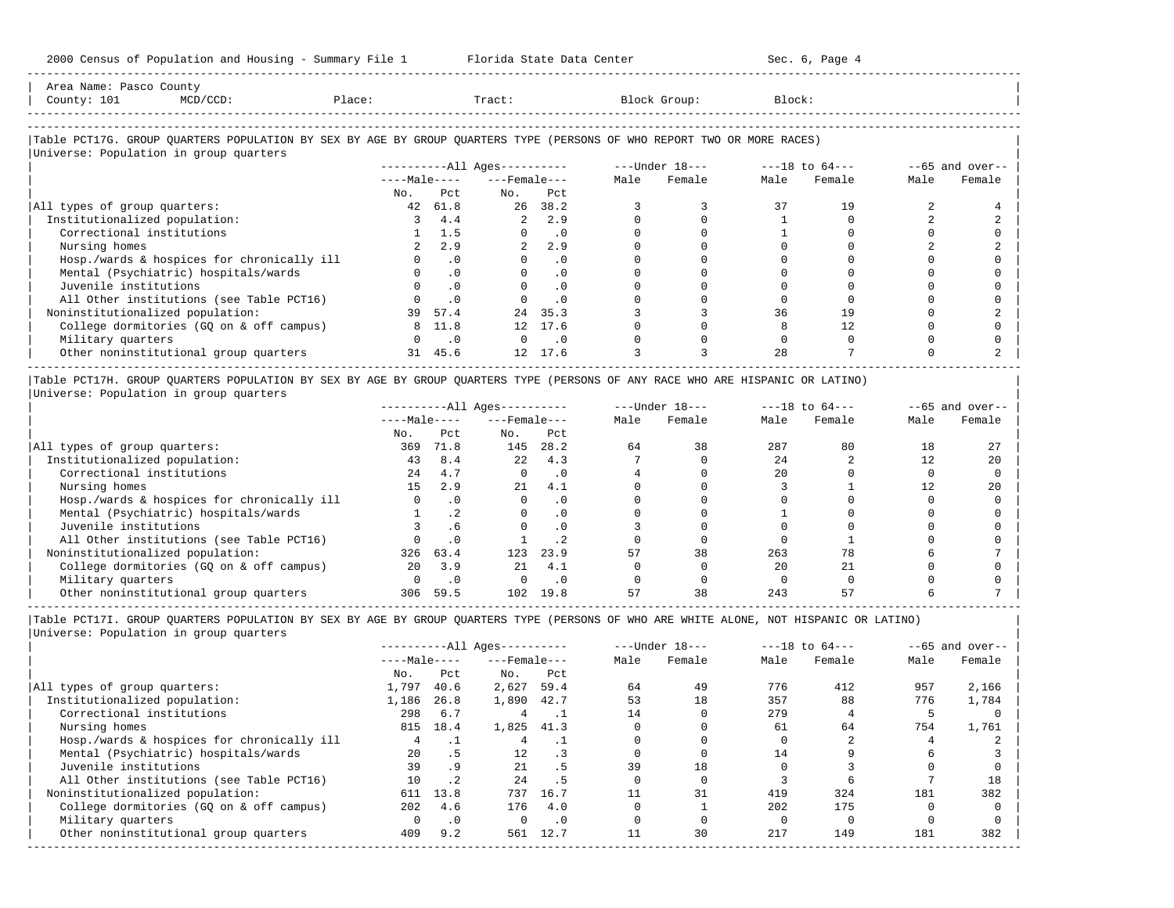| County: 101<br>$MCD/CCD$ :                                                                                             | Place:   |                            | Tract:                |                |      | Block Group: | Block: |        |      |                  |
|------------------------------------------------------------------------------------------------------------------------|----------|----------------------------|-----------------------|----------------|------|--------------|--------|--------|------|------------------|
| Table PCT17G. GROUP QUARTERS POPULATION BY SEX BY AGE BY GROUP QUARTERS TYPE (PERSONS OF WHO REPORT TWO OR MORE RACES) |          |                            |                       |                |      |              |        |        |      |                  |
| Universe: Population in group quarters                                                                                 |          |                            |                       |                |      |              |        |        |      | $-65$ and over-- |
|                                                                                                                        |          |                            | $---Male-- ---Female$ |                | Male | Female       | Male   | Female | Male | Female           |
|                                                                                                                        | No.      | Pct.                       | No. Pct               |                |      |              |        |        |      |                  |
| All types of group quarters:                                                                                           | 42       | 61.8                       |                       | 26 38.2        |      |              | 37     | 19     |      |                  |
| Institutionalized population:                                                                                          |          | 3, 4.4                     |                       | 2, 2.9         |      |              |        |        |      |                  |
| Correctional institutions                                                                                              |          | $1 \quad 1.5$              |                       | $\cdot$ 0      |      |              |        |        |      |                  |
| Nursing homes                                                                                                          |          | 2, 2.9                     |                       | 2.9            |      |              |        |        |      |                  |
| Hosp./wards & hospices for chronically ill                                                                             |          | $\overline{0}$<br>$\Omega$ | $\Omega$              | $\cdot$ 0      |      |              |        |        |      |                  |
| Mental (Psychiatric) hospitals/wards                                                                                   | $\Omega$ | .0                         | $\Omega$              | $\cdot$ 0      |      |              |        |        |      |                  |
| Juvenile institutions                                                                                                  |          | .0                         |                       | $\cdot$ 0      |      |              |        |        |      |                  |
| All Other institutions (see Table PCT16)                                                                               |          | $\cdot$ 0                  |                       | $\cdot$ 0      |      |              |        |        |      |                  |
| Noninstitutionalized population:                                                                                       | 39       | 57.4                       | 2.4                   | 35.3           |      |              | 36     | 19     |      |                  |
| College dormitories (GQ on & off campus)                                                                               |          | 8 11.8                     |                       | 12 17.6        |      |              |        | 12     |      |                  |
| Military quarters                                                                                                      |          | $0 \qquad .0$              | $\Omega$              | $\overline{0}$ |      |              |        |        |      |                  |
| Other noninstitutional group quarters                                                                                  |          | 31 45.6                    |                       | 12 17.6        |      |              | 2.8    |        |      |                  |

|Universe: Population in group quarters |

|                                            |              |           | $------All Aqes------$ |      |      | $---Under 18---$ |      | $---18$ to $64---$ |      | $--65$ and over-- |
|--------------------------------------------|--------------|-----------|------------------------|------|------|------------------|------|--------------------|------|-------------------|
|                                            | $---Male---$ |           | $---$ Female $---$     |      | Male | Female           | Male | Female             | Male | Female            |
|                                            | No.          | Pct.      | No.                    | Pct  |      |                  |      |                    |      |                   |
| All types of group quarters:               | 369          | 71.8      | 145                    | 28.2 | 64   | 38               | 287  | 80                 | 18   |                   |
| Institutionalized population:              | 43           | 8.4       | 2.2                    | 4.3  |      |                  | 2.4  |                    |      | 20                |
| Correctional institutions                  | 2.4          | 4.7       |                        | . 0  |      |                  | 2.0  |                    |      |                   |
| Nursing homes                              | 15           | 2.9       | 21                     | 4.1  |      |                  |      |                    |      | 2.0               |
| Hosp./wards & hospices for chronically ill |              | . 0       |                        | . 0  |      |                  |      |                    |      |                   |
| Mental (Psychiatric) hospitals/wards       |              | .2        |                        |      |      |                  |      |                    |      |                   |
| Juvenile institutions                      |              | . 6       |                        | . 0  |      |                  |      |                    |      |                   |
| All Other institutions (see Table PCT16)   |              | $\cdot$ 0 |                        |      |      |                  |      |                    |      |                   |
| Noninstitutionalized population:           | 326          | 63.4      | 123                    | 23.9 |      | 38               | 263  | 78                 |      |                   |
| College dormitories (GO on & off campus)   | $20^{\circ}$ | 3.9       | 21                     | 4.1  |      |                  | 20   | 2.1                |      |                   |
| Military quarters                          |              |           |                        | . 0  |      |                  |      |                    |      |                   |
| Other noninstitutional group quarters      | 306          | 59.5      | 102                    | 19.8 | 57   | 38               | 243  | 57                 |      |                   |

|Table PCT17I. GROUP QUARTERS POPULATION BY SEX BY AGE BY GROUP QUARTERS TYPE (PERSONS OF WHO ARE WHITE ALONE, NOT HISPANIC OR LATINO) | |Universe: Population in group quarters |

|                                            |              |           | $------All Aqes------$ |           |      | $---Under 18---$ |      | $---18$ to $64---$ |      | $--65$ and over-- |
|--------------------------------------------|--------------|-----------|------------------------|-----------|------|------------------|------|--------------------|------|-------------------|
|                                            | $---Male---$ |           | $---$ Female $---$     |           | Male | Female           | Male | Female             | Male | Female            |
|                                            | No.          | Pct       | No.                    | Pct       |      |                  |      |                    |      |                   |
| All types of group quarters:               | 1,797        | 40.6      | 2,627                  | 59.4      | 64   | 49               | 776  | 412                | 957  | 2,166             |
| Institutionalized population:              | 1,186        | 26.8      | 1,890                  | 42.7      | 53   | 18               | 357  | 88                 | 776  | 1,784             |
| Correctional institutions                  | 298          | 6.7       | 4                      |           | 14   |                  | 279  |                    |      |                   |
| Nursing homes                              | 815          | 18.4      | 1,825                  | 41.3      |      |                  | 61   | 64                 | 754  | 1,761             |
| Hosp./wards & hospices for chronically ill |              |           | 4                      |           |      |                  |      |                    |      |                   |
| Mental (Psychiatric) hospitals/wards       | 20           | . 5       | 12                     | . 3       |      |                  | 14   |                    |      |                   |
| Juvenile institutions                      | 39           | . 9       | 21                     | . 5       | 39   | 18               |      |                    |      |                   |
| All Other institutions (see Table PCT16)   | 10           |           | 24                     |           |      |                  |      |                    |      | 18                |
| Noninstitutionalized population:           | 611          | 13.8      | 737                    | 16.7      |      | 31               | 419  | 324                | 181  | 382               |
| College dormitories (GO on & off campus)   | 202          | 4.6       | 176                    | 4.0       |      |                  | 202  | 175                |      |                   |
| Military quarters                          | 0            | $\cdot$ 0 |                        | $\cdot$ 0 |      |                  |      |                    |      |                   |
| Other noninstitutional group quarters      | 409          | 9.2       | 561                    | 12.7      |      | 30               | 217  | 149                | 181  | 382               |
|                                            |              |           |                        |           |      |                  |      |                    |      |                   |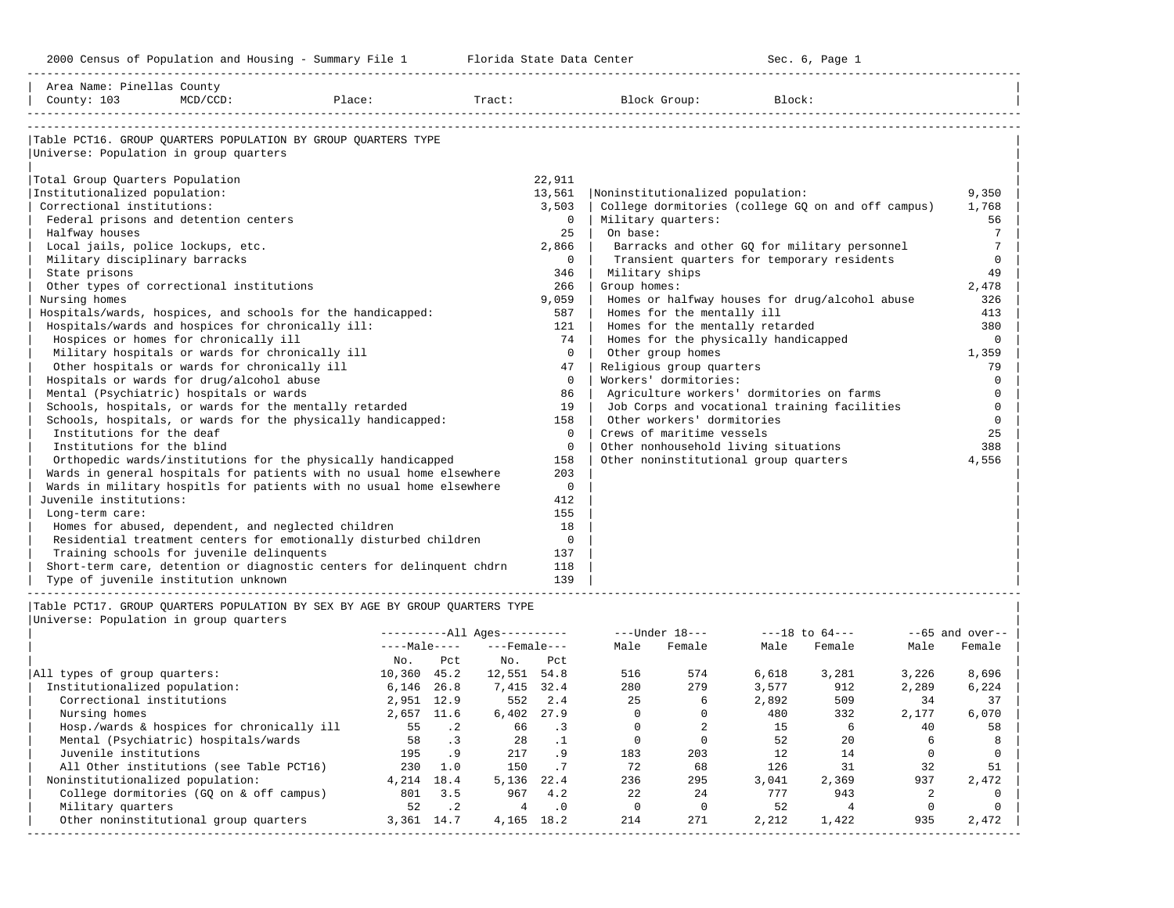-----------------------------------------------------------------------------------------------------------------------------------------------------

| County: 103<br>$MCD/CCD$ :<br>Place:<br>Tract:<br>Block Group:<br>Block:<br>Table PCT16. GROUP OUARTERS POPULATION BY GROUP OUARTERS TYPE<br>Universe: Population in group quarters | 9,350<br>1,768  |
|-------------------------------------------------------------------------------------------------------------------------------------------------------------------------------------|-----------------|
|                                                                                                                                                                                     |                 |
|                                                                                                                                                                                     |                 |
|                                                                                                                                                                                     |                 |
|                                                                                                                                                                                     |                 |
| Total Group Quarters Population<br>22,911                                                                                                                                           |                 |
| Institutionalized population:<br>13,561<br>Noninstitutionalized population:                                                                                                         |                 |
| Correctional institutions:<br>3,503<br>College dormitories (college GQ on and off campus)                                                                                           |                 |
| Federal prisons and detention centers<br>$\mathbf 0$<br>Military quarters:                                                                                                          | 56              |
| On base:<br>Halfway houses<br>25                                                                                                                                                    | $7\phantom{.0}$ |
| Local jails, police lockups, etc.<br>2,866<br>Barracks and other GO for military personnel                                                                                          | $7\phantom{.0}$ |
| Military disciplinary barracks<br>$\Omega$<br>Transient quarters for temporary residents                                                                                            | $\mathbf 0$     |
| State prisons<br>346<br>Military ships                                                                                                                                              | 49              |
| Other types of correctional institutions<br>266<br>Group homes:                                                                                                                     | 2,478           |
| 9,059<br>Nursing homes<br>Homes or halfway houses for drug/alcohol abuse                                                                                                            | 326             |
| Homes for the mentally ill<br>Hospitals/wards, hospices, and schools for the handicapped:<br>587                                                                                    | 413             |
| Hospitals/wards and hospices for chronically ill:<br>Homes for the mentally retarded<br>121                                                                                         | 380             |
| Hospices or homes for chronically ill<br>Homes for the physically handicapped<br>74                                                                                                 | 0               |
| Military hospitals or wards for chronically ill<br>$\Omega$<br>Other group homes                                                                                                    | 1,359           |
| Other hospitals or wards for chronically ill<br>Religious group quarters<br>47                                                                                                      | 79              |
| Hospitals or wards for drug/alcohol abuse<br>Workers' dormitories:<br>$\circ$                                                                                                       | $\mathbf 0$     |
| Mental (Psychiatric) hospitals or wards<br>86<br>Agriculture workers' dormitories on farms                                                                                          | $\mathbf 0$     |
| Schools, hospitals, or wards for the mentally retarded<br>19<br>Job Corps and vocational training facilities                                                                        | $\mathbf 0$     |
| Schools, hospitals, or wards for the physically handicapped:<br>Other workers' dormitories<br>158                                                                                   | $\Omega$        |
| Institutions for the deaf<br>Crews of maritime vessels<br>$\Omega$                                                                                                                  | 25              |
| Institutions for the blind<br>$\mathbf 0$<br>Other nonhousehold living situations                                                                                                   | 388             |
| Other noninstitutional group quarters<br>Orthopedic wards/institutions for the physically handicapped<br>158                                                                        | 4,556           |
| Wards in general hospitals for patients with no usual home elsewhere<br>203                                                                                                         |                 |
| Wards in military hospitls for patients with no usual home elsewhere<br>$\mathbf 0$                                                                                                 |                 |
| Juvenile institutions:<br>412                                                                                                                                                       |                 |
| 155<br>Long-term care:                                                                                                                                                              |                 |
| Homes for abused, dependent, and neglected children<br>18                                                                                                                           |                 |
| Residential treatment centers for emotionally disturbed children<br>$\mathbf 0$                                                                                                     |                 |
| Training schools for juvenile delinquents<br>137                                                                                                                                    |                 |
| Short-term care, detention or diagnostic centers for delinquent chdrn<br>118                                                                                                        |                 |
| Type of juvenile institution unknown<br>139                                                                                                                                         |                 |
|                                                                                                                                                                                     |                 |
| Table PCT17. GROUP QUARTERS POPULATION BY SEX BY AGE BY GROUP QUARTERS TYPE                                                                                                         |                 |
| Universe: Population in group quarters                                                                                                                                              |                 |
| ----------All Ages----------<br>$---Under 18---$<br>$---18$ to $64---$<br>$- -65$ and over--<br>$---Male---$<br>$---$ Female $---$<br>Male<br>Female<br>Male<br>Male                |                 |
| Female                                                                                                                                                                              | Female          |
| No.<br>Pct<br>No.<br>Pct<br>574<br>516                                                                                                                                              |                 |
| All types of group quarters:<br>10,360 45.2<br>12,551 54.8<br>6,618<br>3,281<br>3,226<br>280<br>279<br>912<br>2,289                                                                 | 8,696           |
| 3,577<br>Institutionalized population:<br>6,146 26.8<br>7,415 32.4<br>Correctional institutions<br>2,951 12.9<br>552 2.4<br>2.5<br>2,892<br>509<br>34<br>6                          | 6,224<br>37     |
| 2,657 11.6<br>$\Omega$<br>$\Omega$<br>2,177<br>Nursing homes<br>6,402 27.9<br>480<br>332                                                                                            | 6,070           |
| $\overline{a}$<br>$\cdot$ 2<br>$\Omega$<br>1.5<br>6<br>55<br>66<br>$\cdot$ 3<br>40<br>Hosp./wards & hospices for chronically ill                                                    | 58              |

| Mental (Psychiatric) hospitals/wards 58 .3 28 .1 0 0 52 20 6 8 | | Juvenile institutions 195 .9 217 .9 183 203 12 14 0 0 | | All Other institutions (see Table PCT16) 230 1.0 150 .7 72 68 126 31 32 51 | | Noninstitutionalized population: 4,214 18.4 5,136 22.4 236 295 3,041 2,369 937 2,472 | | College dormitories (GQ on & off campus) 801 3.5 967 4.2 22 24 777 943 2 0 | | Military quarters 52 .2 4 .0 0 0 52 4 0 0 | | Other noninstitutional group quarters 3,361 14.7 4,165 18.2 214 271 2,212 1,422 935 2,472 | -----------------------------------------------------------------------------------------------------------------------------------------------------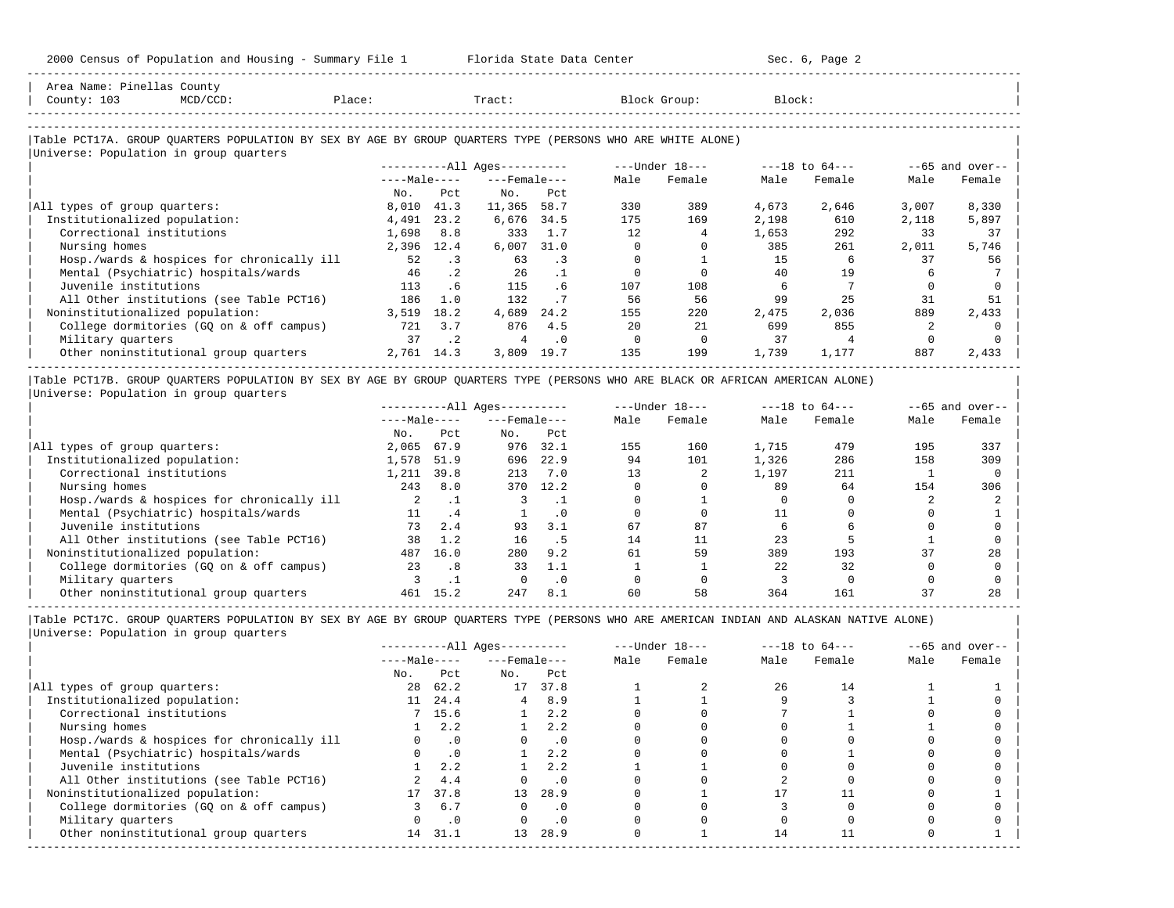-----------------------------------------------------------------------------------------------------------------------------------------------------

| Area Name: Pinellas County<br>County: 103<br>$MCD/CCD$ :                                                                                             | Place: |              |           | Tract:                 |           |      | Block Group:   | Block: |                    |       |                   |
|------------------------------------------------------------------------------------------------------------------------------------------------------|--------|--------------|-----------|------------------------|-----------|------|----------------|--------|--------------------|-------|-------------------|
|                                                                                                                                                      |        |              |           |                        |           |      |                |        |                    |       |                   |
| Table PCT17A. GROUP QUARTERS POPULATION BY SEX BY AGE BY GROUP QUARTERS TYPE (PERSONS WHO ARE WHITE ALONE)<br>Universe: Population in group quarters |        |              |           |                        |           |      |                |        |                    |       |                   |
|                                                                                                                                                      |        |              |           | $------All Aqes------$ |           |      | ---Under 18--- |        | $---18$ to $64---$ |       | $--65$ and over-- |
|                                                                                                                                                      |        | $---Male---$ |           | $---$ Female $---$     |           | Male | Female         | Male   | Female             | Male  | Female            |
|                                                                                                                                                      |        | No.          | Pct.      | No.                    | Pct       |      |                |        |                    |       |                   |
| All types of group quarters:                                                                                                                         |        | 8,010        | 41.3      | 11,365                 | 58.7      | 330  | 389            | 4,673  | 2,646              | 3,007 | 8,330             |
| Institutionalized population:                                                                                                                        |        | 4,491        | 23.2      | 6,676                  | 34.5      | 175  | 169            | 2,198  | 610                | 2,118 | 5,897             |
| Correctional institutions                                                                                                                            |        | 1,698        | 8.8       | 333                    | 1.7       | 12   |                | 1,653  | 292                | 33    | 37                |
| Nursing homes                                                                                                                                        |        | 2,396        | 12.4      | 6,007                  | 31.0      |      |                | 385    | 261                | 2,011 | 5,746             |
| Hosp./wards & hospices for chronically ill                                                                                                           |        | 52           | $\cdot$ 3 | 63                     | $\cdot$ 3 |      |                | 15     | 6                  | 37    | 56                |
| Mental (Psychiatric) hospitals/wards                                                                                                                 |        | 46           | $\cdot$ 2 | 26                     | $\cdot$ 1 |      |                | 40     | 19                 |       |                   |
| Juvenile institutions                                                                                                                                |        | 113          | .6        | 115                    | .6        | 107  | 108            |        |                    |       |                   |
| All Other institutions (see Table PCT16)                                                                                                             |        | 186          | 1.0       | 132                    |           | 56   | 56             | 99     | 25                 | 31    | 51                |
| Noninstitutionalized population:                                                                                                                     |        | 3,519        | 18.2      | 4,689                  | 24.2      | 155  | 220            | 2,475  | 2,036              | 889   | 2,433             |
| College dormitories (GQ on & off campus)                                                                                                             |        | 721          | 3.7       | 876                    | 4.5       | 2.0  | 21             | 699    | 855                |       |                   |
| Military quarters                                                                                                                                    |        | 37           | $\cdot$ 2 | 4                      | .0        |      |                | 37     | 4                  |       |                   |
| Other noninstitutional group quarters                                                                                                                |        | 2,761 14.3   |           | 3,809                  | 19.7      | 135  | 199            | 1,739  | 1,177              | 887   | 2,433             |
|                                                                                                                                                      |        |              |           |                        |           |      |                |        |                    |       |                   |

|Table PCT17B. GROUP QUARTERS POPULATION BY SEX BY AGE BY GROUP QUARTERS TYPE (PERSONS WHO ARE BLACK OR AFRICAN AMERICAN ALONE) | |Universe: Population in group quarters |

|                                            |              |      | $------All Aqes------$ |           |      | $---Under 18---$ |       | $---18$ to $64---$ |      | $--65$ and over-- |
|--------------------------------------------|--------------|------|------------------------|-----------|------|------------------|-------|--------------------|------|-------------------|
|                                            | $---Male---$ |      | $---$ Female $---$     |           | Male | Female           | Male  | Female             | Male | Female            |
|                                            | No.          | Pct  | No.                    | Pct       |      |                  |       |                    |      |                   |
| All types of group quarters:               | 2,065        | 67.9 | 976                    | 32.1      | 155  | 160              | 1,715 | 479                | 195  | 337               |
| Institutionalized population:              | 1,578        | 51.9 | 696                    | 22.9      | 94   | 101              | 1,326 | 286                | 158  | 309               |
| Correctional institutions                  | 1,211        | 39.8 | 213                    | 7.0       |      |                  | 1,197 | 211                |      |                   |
| Nursing homes                              | 243          | 8.0  | 370                    | 12.2      |      |                  | 89    | 64                 | 154  | 306               |
| Hosp./wards & hospices for chronically ill |              |      |                        |           |      |                  |       |                    |      |                   |
| Mental (Psychiatric) hospitals/wards       | 11           | .4   |                        | $\cdot$ 0 |      |                  |       |                    |      |                   |
| Juvenile institutions                      | 73           | 2.4  | 93                     | 3.1       | 67   | 87               |       |                    |      |                   |
| All Other institutions (see Table PCT16)   | 38           | 1.2  | 16                     | . 5       | 14   | 11               | 23    |                    |      |                   |
| Noninstitutionalized population:           | 487          | 16.0 | 280                    | 9.2       | 61   | 59               | 389   | 193                | 37   | 28                |
| College dormitories (GQ on & off campus)   | 23           | .8   | 33                     | 1.1       |      |                  | 2.2.  | 32                 |      |                   |
| Military quarters                          |              |      |                        | $\cdot$ 0 |      |                  |       |                    |      |                   |
| Other noninstitutional group quarters      | 461          | 15.2 | 247                    | 8.1       | 60   | 58               | 364   | 161                |      | 28                |

-----------------------------------------------------------------------------------------------------------------------------------------------------

|     |           |                                          |           |                                                    |        |                  |        |                    | $--65$ and over-- |
|-----|-----------|------------------------------------------|-----------|----------------------------------------------------|--------|------------------|--------|--------------------|-------------------|
|     |           |                                          |           | Male                                               | Female | Male             | Female | Male               | Female            |
| No. | Pct       | No.                                      | Pct       |                                                    |        |                  |        |                    |                   |
|     | 62.2      |                                          | 37.8      |                                                    |        | 26               | 14     |                    |                   |
|     | 24.4      | 4                                        | 8.9       |                                                    |        |                  |        |                    |                   |
|     |           |                                          | 2.2       |                                                    |        |                  |        |                    |                   |
|     | 2.2       |                                          | 2.2       |                                                    |        |                  |        |                    |                   |
|     | $\cdot$ 0 |                                          | $\cdot$ 0 |                                                    |        |                  |        |                    |                   |
|     | $\cdot$ 0 |                                          | 2.2       |                                                    |        |                  |        |                    |                   |
|     | 2.2       |                                          | 2.2       |                                                    |        |                  |        |                    |                   |
|     | 4.4       |                                          | $\cdot$ 0 |                                                    |        |                  |        |                    |                   |
|     | 37.8      | 13 <sup>1</sup>                          | 28.9      |                                                    |        |                  |        |                    |                   |
|     | 6.7       |                                          | $\cdot$ 0 |                                                    |        |                  |        |                    |                   |
|     | $\cdot$ 0 |                                          | $\cdot$ 0 |                                                    |        |                  |        |                    |                   |
| 14  | 31.1      | 13 <sup>1</sup>                          | 28.9      |                                                    |        | 14               |        |                    |                   |
|     |           | $---Male---$<br>28<br>11<br>7 15.6<br>17 |           | $------All Aqes------$<br>$---$ Female $---$<br>17 |        | $---Under 18---$ |        | $---18$ to $64---$ |                   |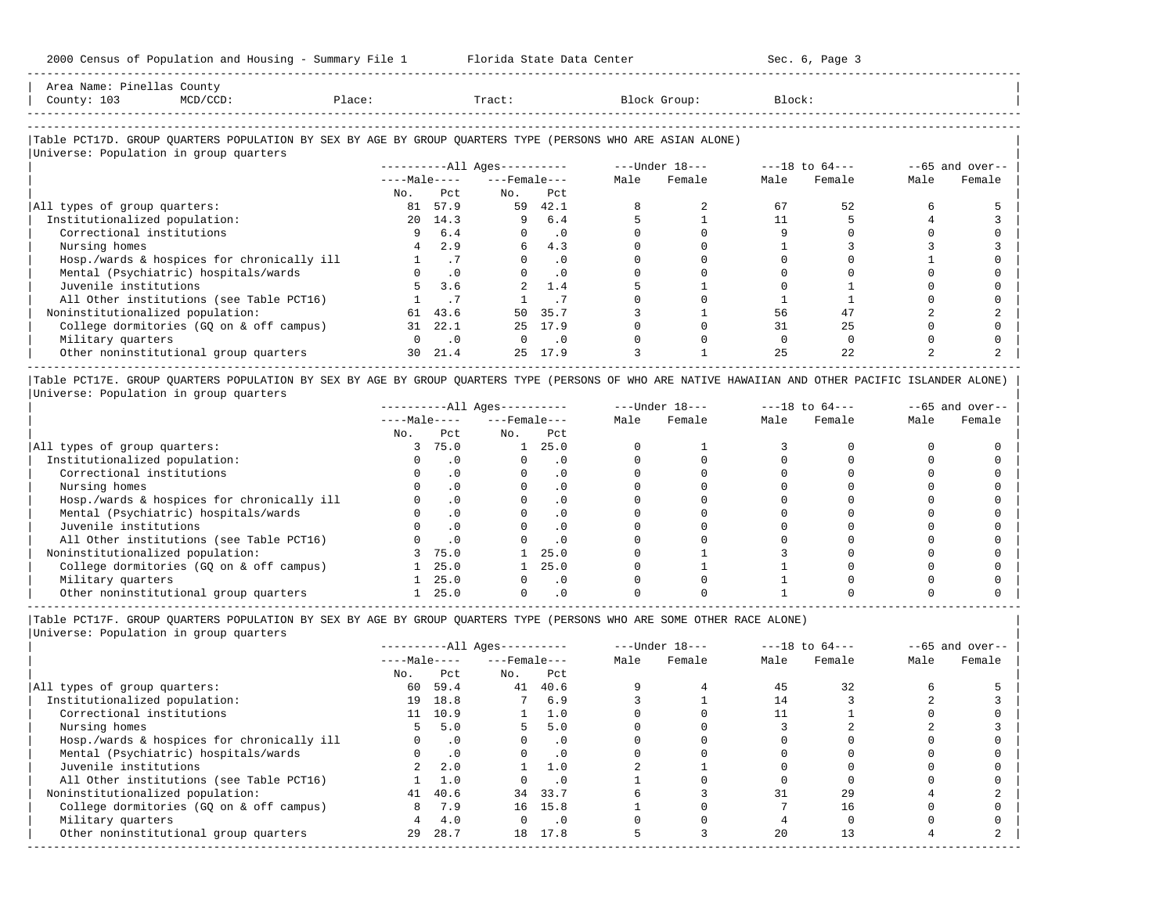-----------------------------------------------------------------------------------------------------------------------------------------------------

| Area<br>Name             | Count,                                                                                                          |      |       |        |        |
|--------------------------|-----------------------------------------------------------------------------------------------------------------|------|-------|--------|--------|
| Count <sup>,</sup><br>ᆂᇦ | the contract of the contract of the contract of the contract of the contract of the contract of the contract of | 1.71 | Tract | 31 OUD | Block' |
|                          |                                                                                                                 |      |       |        |        |

-----------------------------------------------------------------------------------------------------------------------------------------------------

## |Table PCT17D. GROUP QUARTERS POPULATION BY SEX BY AGE BY GROUP QUARTERS TYPE (PERSONS WHO ARE ASIAN ALONE) |

|                                            |              |           | $------All Ages------$ |           |      | ---Under 18--- |      | $---18$ to $64---$ |      | $--65$ and over-- |
|--------------------------------------------|--------------|-----------|------------------------|-----------|------|----------------|------|--------------------|------|-------------------|
|                                            | $---Male---$ |           | $---$ Female $---$     |           | Male | Female         | Male | Female             | Male | Female            |
|                                            | No.          | Pct       | No.                    | Pct       |      |                |      |                    |      |                   |
| All types of group quarters:               | 81           | 57.9      | 59                     | 42.1      |      |                | 67   | 52                 |      |                   |
| Institutionalized population:              | 20           | 14.3      | 9                      | 6.4       |      |                |      |                    |      |                   |
| Correctional institutions                  |              | 6.4       | $\Omega$               | $\cdot$ 0 |      |                |      |                    |      |                   |
| Nursing homes                              |              | 2.9       | б.                     | 4.3       |      |                |      |                    |      |                   |
| Hosp./wards & hospices for chronically ill |              | . 7       | $\Omega$               | $\cdot$ 0 |      |                |      |                    |      |                   |
| Mental (Psychiatric) hospitals/wards       |              | $\cdot$ 0 | $\Omega$               | $\cdot$ 0 |      |                |      |                    |      |                   |
| Juvenile institutions                      |              | 3.6       |                        | 1.4       |      |                |      |                    |      |                   |
| All Other institutions (see Table PCT16)   |              |           |                        |           |      |                |      |                    |      |                   |
| Noninstitutionalized population:           | 61           | 43.6      | 50                     | 35.7      |      |                | 56   |                    |      |                   |
| College dormitories (GQ on & off campus)   | 31           | 22.1      | 2.5                    | 17.9      |      |                | 31   | 25                 |      |                   |
| Military quarters                          |              | $\cdot$ 0 | $\Omega$               | $\cdot$ 0 |      |                |      |                    |      |                   |
| Other noninstitutional group quarters      | 30           | 21.4      | $25 -$                 | 17.9      |      |                | 25   | 2.2.               |      |                   |

|Table PCT17E. GROUP QUARTERS POPULATION BY SEX BY AGE BY GROUP QUARTERS TYPE (PERSONS OF WHO ARE NATIVE HAWAIIAN AND OTHER PACIFIC ISLANDER ALONE) | |Universe: Population in group quarters |

|                                            |              |           | $------All Aqes------$ |           |      | $---Under 18---$ |      | $---18$ to $64---$ |      | $--65$ and over-- |
|--------------------------------------------|--------------|-----------|------------------------|-----------|------|------------------|------|--------------------|------|-------------------|
|                                            | $---Male---$ |           | $---$ Female $---$     |           | Male | Female           | Male | Female             | Male | Female            |
|                                            | No.          | Pct       | No.                    | Pct       |      |                  |      |                    |      |                   |
| All types of group quarters:               |              | 75.0      |                        | 25.0      |      |                  |      |                    |      |                   |
| Institutionalized population:              |              |           |                        |           |      |                  |      |                    |      |                   |
| Correctional institutions                  |              |           |                        | . 0       |      |                  |      |                    |      |                   |
| Nursing homes                              |              | . 0       |                        | $\cdot$ 0 |      |                  |      |                    |      |                   |
| Hosp./wards & hospices for chronically ill |              |           |                        |           |      |                  |      |                    |      |                   |
| Mental (Psychiatric) hospitals/wards       |              | $\cdot$ 0 |                        | . 0       |      |                  |      |                    |      |                   |
| Juvenile institutions                      |              |           |                        |           |      |                  |      |                    |      |                   |
| All Other institutions (see Table PCT16)   |              | $\cdot$ 0 |                        | $\cdot$ 0 |      |                  |      |                    |      |                   |
| Noninstitutionalized population:           |              | 75.0      |                        | 25.0      |      |                  |      |                    |      |                   |
| College dormitories (GO on & off campus)   |              | 25.0      |                        | 25.0      |      |                  |      |                    |      |                   |
| Military quarters                          |              | 25.0      |                        | . 0       |      |                  |      |                    |      |                   |
| Other noninstitutional group quarters      |              | 25.0      |                        |           |      |                  |      |                    |      |                   |

----------------------------------------------------------------------------------------------------------------------------------------------------- |Table PCT17F. GROUP QUARTERS POPULATION BY SEX BY AGE BY GROUP QUARTERS TYPE (PERSONS WHO ARE SOME OTHER RACE ALONE) |

|                                            |              |           | $------All Aqes------$ |           |      | $---Under 18---$ |      | $---18$ to $64---$ |      | $--65$ and over-- |
|--------------------------------------------|--------------|-----------|------------------------|-----------|------|------------------|------|--------------------|------|-------------------|
|                                            | $---Male---$ |           | $---$ Female $---$     |           | Male | Female           | Male | Female             | Male | Female            |
|                                            | No.          | Pct       | No.                    | Pct       |      |                  |      |                    |      |                   |
| All types of group quarters:               | 60           | 59.4      | 41                     | 40.6      |      |                  | 45   | 32                 |      |                   |
| Institutionalized population:              | 19           | 18.8      |                        | 6.9       |      |                  | 14   |                    |      |                   |
| Correctional institutions                  | 11           | 10.9      |                        | 1.0       |      |                  |      |                    |      |                   |
| Nursing homes                              | 5.           | 5.0       | 5.                     | 5.0       |      |                  |      |                    |      |                   |
| Hosp./wards & hospices for chronically ill |              | $\cdot$ 0 |                        | $\cdot$ 0 |      |                  |      |                    |      |                   |
| Mental (Psychiatric) hospitals/wards       |              | $\cdot$ 0 |                        | $\cdot$ 0 |      |                  |      |                    |      |                   |
| Juvenile institutions                      | $2^{\circ}$  | 2.0       |                        | 1.0       |      |                  |      |                    |      |                   |
| All Other institutions (see Table PCT16)   |              | 1.0       |                        | $\cdot$ 0 |      |                  |      |                    |      |                   |
| Noninstitutionalized population:           | 41           | 40.6      |                        | 34 33.7   |      |                  | 31   | 29                 |      |                   |
| College dormitories (GQ on & off campus)   | 8            | 7.9       |                        | 16 15.8   |      |                  |      | 16                 |      |                   |
| Military quarters                          |              | 4.0       |                        | $\cdot$ 0 |      |                  |      |                    |      |                   |
| Other noninstitutional group quarters      | 29           | 28.7      |                        | 18 17.8   |      |                  | 20   | 13                 |      |                   |
|                                            |              |           |                        |           |      |                  |      |                    |      |                   |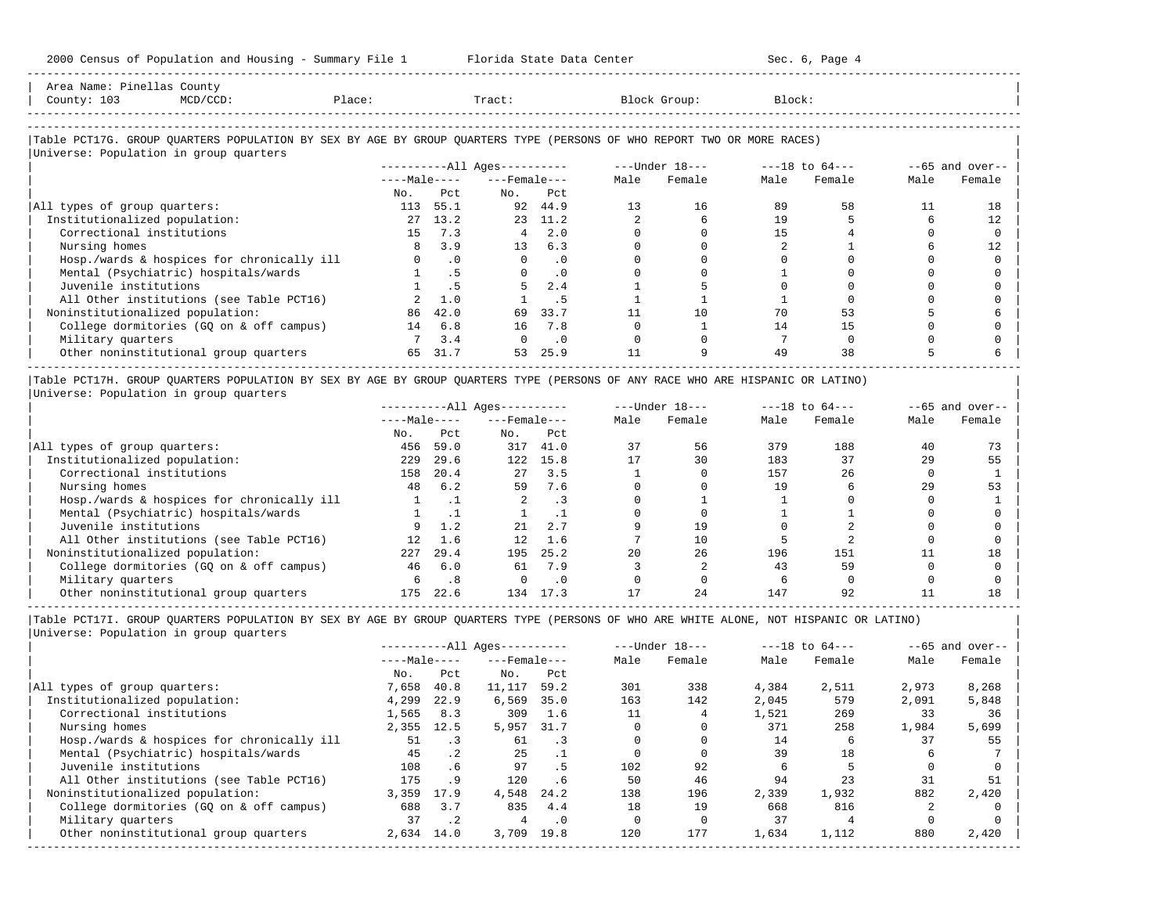-----------------------------------------------------------------------------------------------------------------------------------------------------

| County: 103                            | $MCD/CCD$ :                                                                                                            | Place: |               | Tract:                       |                             |      | Block Group:                   | Block: |             |      |                   |
|----------------------------------------|------------------------------------------------------------------------------------------------------------------------|--------|---------------|------------------------------|-----------------------------|------|--------------------------------|--------|-------------|------|-------------------|
|                                        | Table PCT17G. GROUP QUARTERS POPULATION BY SEX BY AGE BY GROUP QUARTERS TYPE (PERSONS OF WHO REPORT TWO OR MORE RACES) |        |               |                              |                             |      |                                |        |             |      |                   |
| Universe: Population in group quarters |                                                                                                                        |        |               |                              |                             |      |                                |        |             |      |                   |
|                                        |                                                                                                                        |        |               | ----------All Ages---------- |                             |      | ---Under 18--- ----18 to 64--- |        |             |      | $--65$ and over-- |
|                                        |                                                                                                                        |        |               | $---Male-- ---Female---$     |                             | Male | Female                         |        | Male Female | Male | Female            |
|                                        |                                                                                                                        | No.    | Pct.          | No.                          | Pct                         |      |                                |        |             |      |                   |
| All types of group quarters:           |                                                                                                                        |        | 113 55.1      |                              | 92 44.9                     | 13   | 16                             | 89     | 58          | 11   | 18                |
| Institutionalized population:          |                                                                                                                        | 27     | 13.2          |                              | 23 11.2                     |      | 6                              | 19     |             |      | 12                |
| Correctional institutions              |                                                                                                                        |        | 15 7.3        |                              | $4 \quad 2.0$               |      |                                | 15     |             |      |                   |
| Nursing homes                          |                                                                                                                        |        | $8 \quad 3.9$ |                              | $13 \t 6.3$                 |      |                                |        |             |      | 12                |
|                                        | Hosp./wards & hospices for chronically ill                                                                             |        | $\cdot$ 0     | $\Omega$                     | $\cdot$ 0                   |      |                                |        |             |      |                   |
|                                        | Mental (Psychiatric) hospitals/wards                                                                                   |        | .5            |                              | $\overline{\phantom{0}}$ .0 |      |                                |        |             |      |                   |
| Juvenile institutions                  |                                                                                                                        |        | . 5           |                              | 2.4                         |      |                                |        |             |      |                   |
|                                        | All Other institutions (see Table PCT16)                                                                               |        | 2, 1, 0       |                              | .5                          |      |                                |        |             |      |                   |
| Noninstitutionalized population:       |                                                                                                                        | 86     | 42.0          | 69                           | 33.7                        |      | 10                             | 70     | 53          |      |                   |
|                                        | College dormitories (GQ on & off campus)                                                                               |        | 14 6.8        | 16                           | 7.8                         |      |                                | 14     | 15          |      |                   |
| Military quarters                      |                                                                                                                        |        | 7 3.4         | $\cap$                       | $\overline{\phantom{0}}$ .0 |      |                                |        | $\Omega$    |      |                   |
|                                        | Other noninstitutional group quarters                                                                                  |        | 65 31.7       | 53                           | 25.9                        | 11   |                                | 49     | 38          |      |                   |

|                                            |              |      | $------All Aqes------$ |           |      | $---Under 18---$ |      | $---18$ to $64---$ |      | $--65$ and over-- |
|--------------------------------------------|--------------|------|------------------------|-----------|------|------------------|------|--------------------|------|-------------------|
|                                            | $---Male---$ |      | $---$ Female $---$     |           | Male | Female           | Male | Female             | Male | Female            |
|                                            | No.          | Pct. | No.                    | Pct.      |      |                  |      |                    |      |                   |
| All types of group quarters:               | 456          | 59.0 | 317                    | 41.0      | 37   | 56               | 379  | 188                | 40   |                   |
| Institutionalized population:              | 229          | 29.6 | 122                    | 15.8      |      | 30               | 183  | 37                 | 29   | 55                |
| Correctional institutions                  | 158          | 20.4 | 27                     | 3.5       |      |                  | 157  | 26                 |      |                   |
| Nursing homes                              | 48           | 6.2  | 59                     | 7.6       |      |                  | 19   |                    | 29   | 53                |
| Hosp./wards & hospices for chronically ill |              |      |                        | $\cdot$ 3 |      |                  |      |                    |      |                   |
| Mental (Psychiatric) hospitals/wards       |              |      |                        |           |      |                  |      |                    |      |                   |
| Juvenile institutions                      |              | 1.2  | 21                     | 2.7       |      | 19               |      |                    |      |                   |
| All Other institutions (see Table PCT16)   |              | 1.6  | 12 <sup>°</sup>        | 1.6       |      | 10               |      |                    |      |                   |
| Noninstitutionalized population:           | 227          | 29.4 | 195                    | 25.2      | 20   | 26               | 196  | 151                |      | 18                |
| College dormitories (GO on & off campus)   | 46           | 6.0  | 61                     | 7.9       |      |                  | 43   | 59                 |      |                   |
| Military quarters                          |              | .8   |                        | $\cdot$ 0 |      |                  |      |                    |      |                   |
| Other noninstitutional group quarters      | 175          | 22.6 | 134                    | 17.3      |      | 24               | 147  | 92                 |      | 18                |

|Table PCT17I. GROUP QUARTERS POPULATION BY SEX BY AGE BY GROUP QUARTERS TYPE (PERSONS OF WHO ARE WHITE ALONE, NOT HISPANIC OR LATINO) | |Universe: Population in group quarters |

|                                            |              |           | $------All Aqes------$ |           |      | $---Under 18---$ |       | $---18$ to $64---$ |        | $--65$ and over-- |
|--------------------------------------------|--------------|-----------|------------------------|-----------|------|------------------|-------|--------------------|--------|-------------------|
|                                            | $---Male---$ |           | $---$ Female $---$     |           | Male | Female           | Male  | Female             | Male   | Female            |
|                                            | No.          | Pct       | No.                    | Pct       |      |                  |       |                    |        |                   |
| All types of group quarters:               | 7,658        | 40.8      | 11,117                 | 59.2      | 301  | 338              | 4,384 | 2,511              | 2,973  | 8,268             |
| Institutionalized population:              | 4,299        | 22.9      | 6,569                  | 35.0      | 163  | 142              | 2,045 | 579                | 2,091  | 5,848             |
| Correctional institutions                  | 1,565        | 8.3       | 309                    | 1.6       | 11   |                  | 1,521 | 269                | 33     | 36                |
| Nursing homes                              | 2,355        | 12.5      | 5,957                  | 31.7      |      |                  | 371   | 258                | 1,984  | 5,699             |
| Hosp./wards & hospices for chronically ill | 51           |           | 61                     | $\cdot$ 3 |      |                  | 14    | 6                  | 37     | 55                |
| Mental (Psychiatric) hospitals/wards       | 45           | $\cdot$ 2 | 25                     |           |      |                  | 39    | 18                 |        |                   |
| Juvenile institutions                      | 108          | . 6       | 97                     | . 5       | 102  | 92               |       |                    |        |                   |
| All Other institutions (see Table PCT16)   | 175          | .9        | 120                    | . 6       | 50   | 46               | 94    | 23                 | 31     | 51                |
| Noninstitutionalized population:           | 3,359        | 17.9      | 4,548                  | 24.2      | 138  | 196              | 2,339 | 1,932              | 882    | 2,420             |
| College dormitories (GO on & off campus)   | 688          | 3.7       | 835                    | 4.4       | 18   | 19               | 668   | 816                | $\sim$ |                   |
| Military quarters                          | 37           | $\cdot$ 2 |                        | $\cdot$ 0 |      |                  | 37    |                    |        |                   |
| Other noninstitutional group quarters      | 2,634        | 14.0      | 3,709                  | 19.8      | 120  | 177              | 1,634 | 1,112              | 880    | 2,420             |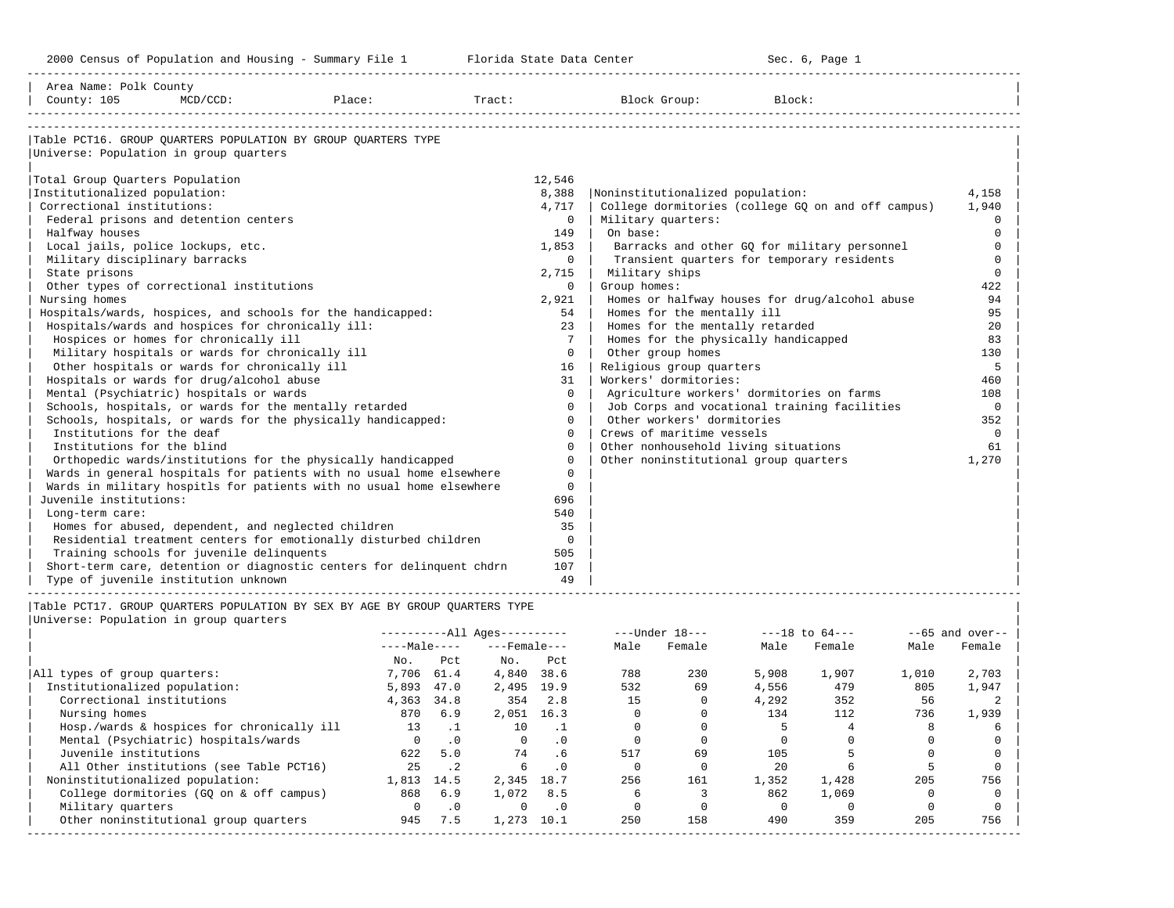2000 Census of Population and Housing - Summary File 1 Telorida State Data Center Sec. 6, Page 1 North Sec. 6, Page

| Area Name: Polk County<br>County: 105<br>$MCD/CCD$ :                                      | Place:     | Tract:                                             |                      |              | Block Group:                                                               | Block: |                              |       |                              |
|-------------------------------------------------------------------------------------------|------------|----------------------------------------------------|----------------------|--------------|----------------------------------------------------------------------------|--------|------------------------------|-------|------------------------------|
|                                                                                           |            |                                                    |                      |              |                                                                            |        |                              |       |                              |
| Table PCT16. GROUP QUARTERS POPULATION BY GROUP QUARTERS TYPE                             |            |                                                    |                      |              |                                                                            |        |                              |       |                              |
| Universe: Population in group quarters                                                    |            |                                                    |                      |              |                                                                            |        |                              |       |                              |
|                                                                                           |            |                                                    |                      |              |                                                                            |        |                              |       |                              |
| Total Group Quarters Population                                                           |            |                                                    | 12,546               |              |                                                                            |        |                              |       |                              |
| Institutionalized population:                                                             |            |                                                    | 8,388                |              | Noninstitutionalized population:                                           |        |                              |       | 4,158                        |
| Correctional institutions:                                                                |            |                                                    | 4,717                |              | College dormitories (college GO on and off campus)                         |        |                              |       | 1,940                        |
| Federal prisons and detention centers                                                     |            |                                                    | $\Omega$             |              | Military quarters:                                                         |        |                              |       | $\Omega$                     |
| Halfway houses                                                                            |            |                                                    | 149                  | On base:     |                                                                            |        |                              |       | $\Omega$                     |
| Local jails, police lockups, etc.                                                         |            |                                                    | 1,853                |              | Barracks and other GQ for military personnel                               |        |                              |       | $\Omega$                     |
| Military disciplinary barracks                                                            |            |                                                    | $\Omega$             |              | Transient quarters for temporary residents                                 |        |                              |       | $\Omega$                     |
| State prisons                                                                             |            |                                                    | 2,715                |              | Military ships                                                             |        |                              |       | $\Omega$                     |
| Other types of correctional institutions                                                  |            |                                                    | $\Omega$             | Group homes: |                                                                            |        |                              |       | 422                          |
| Nursing homes                                                                             |            |                                                    | 2,921                |              | Homes or halfway houses for drug/alcohol abuse                             |        |                              |       | 94                           |
| Hospitals/wards, hospices, and schools for the handicapped:                               |            |                                                    | 54                   |              | Homes for the mentally ill                                                 |        |                              |       | 95                           |
| Hospitals/wards and hospices for chronically ill:                                         |            |                                                    | 23                   |              | Homes for the mentally retarded                                            |        |                              |       | 20                           |
| Hospices or homes for chronically ill                                                     |            |                                                    | $7^{\circ}$          |              | Homes for the physically handicapped                                       |        |                              |       | 83                           |
| Military hospitals or wards for chronically ill                                           |            |                                                    | $\Omega$             |              | Other group homes                                                          |        |                              |       | 130                          |
| Other hospitals or wards for chronically ill                                              |            |                                                    | 16                   |              | Religious group quarters                                                   |        |                              |       | 5                            |
| Hospitals or wards for drug/alcohol abuse                                                 |            |                                                    | 31                   |              | Workers' dormitories:                                                      |        |                              |       | 460                          |
| Mental (Psychiatric) hospitals or wards                                                   |            |                                                    | $\Omega$             |              | Agriculture workers' dormitories on farms                                  |        |                              |       | 108                          |
| Schools, hospitals, or wards for the mentally retarded                                    |            |                                                    | $\Omega$<br>$\Omega$ |              | Job Corps and vocational training facilities<br>Other workers' dormitories |        |                              |       | $\mathbf 0$<br>352           |
| Schools, hospitals, or wards for the physically handicapped:<br>Institutions for the deaf |            |                                                    | $\Omega$             |              | Crews of maritime vessels                                                  |        |                              |       | $\mathbf 0$                  |
| Institutions for the blind                                                                |            |                                                    | $\Omega$             |              | Other nonhousehold living situations                                       |        |                              |       | 61                           |
| Orthopedic wards/institutions for the physically handicapped                              |            |                                                    | $\Omega$             |              | Other noninstitutional group quarters                                      |        |                              |       | 1,270                        |
| Wards in general hospitals for patients with no usual home elsewhere                      |            |                                                    | $\Omega$             |              |                                                                            |        |                              |       |                              |
| Wards in military hospitls for patients with no usual home elsewhere                      |            |                                                    | $\Omega$             |              |                                                                            |        |                              |       |                              |
| Juvenile institutions:                                                                    |            |                                                    | 696                  |              |                                                                            |        |                              |       |                              |
| Long-term care:                                                                           |            |                                                    | 540                  |              |                                                                            |        |                              |       |                              |
| Homes for abused, dependent, and neglected children                                       |            |                                                    | 35                   |              |                                                                            |        |                              |       |                              |
| Residential treatment centers for emotionally disturbed children                          |            |                                                    | $\Omega$             |              |                                                                            |        |                              |       |                              |
| Training schools for juvenile delinquents                                                 |            |                                                    | 505                  |              |                                                                            |        |                              |       |                              |
| Short-term care, detention or diagnostic centers for delinquent chdrn                     |            |                                                    | 107                  |              |                                                                            |        |                              |       |                              |
| Type of juvenile institution unknown                                                      |            |                                                    | 49                   |              |                                                                            |        |                              |       |                              |
|                                                                                           |            |                                                    |                      |              |                                                                            |        |                              |       |                              |
| Table PCT17. GROUP OUARTERS POPULATION BY SEX BY AGE BY GROUP OUARTERS TYPE               |            |                                                    |                      |              |                                                                            |        |                              |       |                              |
| Universe: Population in group quarters                                                    |            |                                                    |                      |              |                                                                            |        |                              |       |                              |
|                                                                                           |            | $------All Aqes------$<br>$---Male-- ---Female---$ |                      |              | ---Under 18---<br>Male Female                                              | Male   | $---18$ to $64---$<br>Female | Male  | $- -65$ and over--<br>Female |
|                                                                                           | No.        | $NQ$ .<br>Pct                                      | Pct                  |              |                                                                            |        |                              |       |                              |
| All types of group quarters:                                                              | 7,706 61.4 |                                                    | 4,840 38.6           | 788          | 230                                                                        | 5,908  | 1,907                        | 1,010 | 2,703                        |
| Institutionalized population:                                                             | 5,893 47.0 |                                                    | 2,495 19.9           | 532          | 69                                                                         | 4,556  | 479                          | 805   | 1,947                        |
| Correctional institutions                                                                 | 4,363 34.8 | 354                                                | 2.8                  | 15           | $\Omega$                                                                   | 4,292  | 352                          | 56    | 2                            |

| Institutionalized population:              | 5,893 47.0 |           | 2,495 19.9 |      | 532 | 69  | 4,556 | 479   | 805 | 1,947 |
|--------------------------------------------|------------|-----------|------------|------|-----|-----|-------|-------|-----|-------|
| Correctional institutions                  | 4,363      | 34.8      | 354        | 2.8  | 15  |     | 4,292 | 352   | 56  |       |
| Nursing homes                              | 870        | 6.9       | 2,051      | 16.3 |     |     | 134   | 112   | 736 | 1,939 |
| Hosp./wards & hospices for chronically ill | 13         |           | 10         |      |     |     |       |       |     |       |
| Mental (Psychiatric) hospitals/wards       |            |           |            |      |     |     |       |       |     |       |
| Juvenile institutions                      | 622        | 5.0       | 74         |      | 517 | 69  | 105   |       |     |       |
| All Other institutions (see Table PCT16)   |            |           |            |      |     |     | 2.0   |       |     |       |
| Noninstitutionalized population:           | 1,813      | 14.5      | 2,345      | 18.7 | 256 | 161 | 1,352 | 1,428 | 205 | 756   |
| College dormitories (GO on & off campus)   | 868        | 6.9       | 1,072      | 8.5  |     |     | 862   | 1,069 |     |       |
| Military quarters                          |            | $\cdot$ 0 |            |      |     |     |       |       |     |       |
| Other noninstitutional group quarters      | 945        | 7.5       | 1.273      | 10.1 | 250 | 158 | 490   | 359   | 205 | 756   |

-----------------------------------------------------------------------------------------------------------------------------------------------------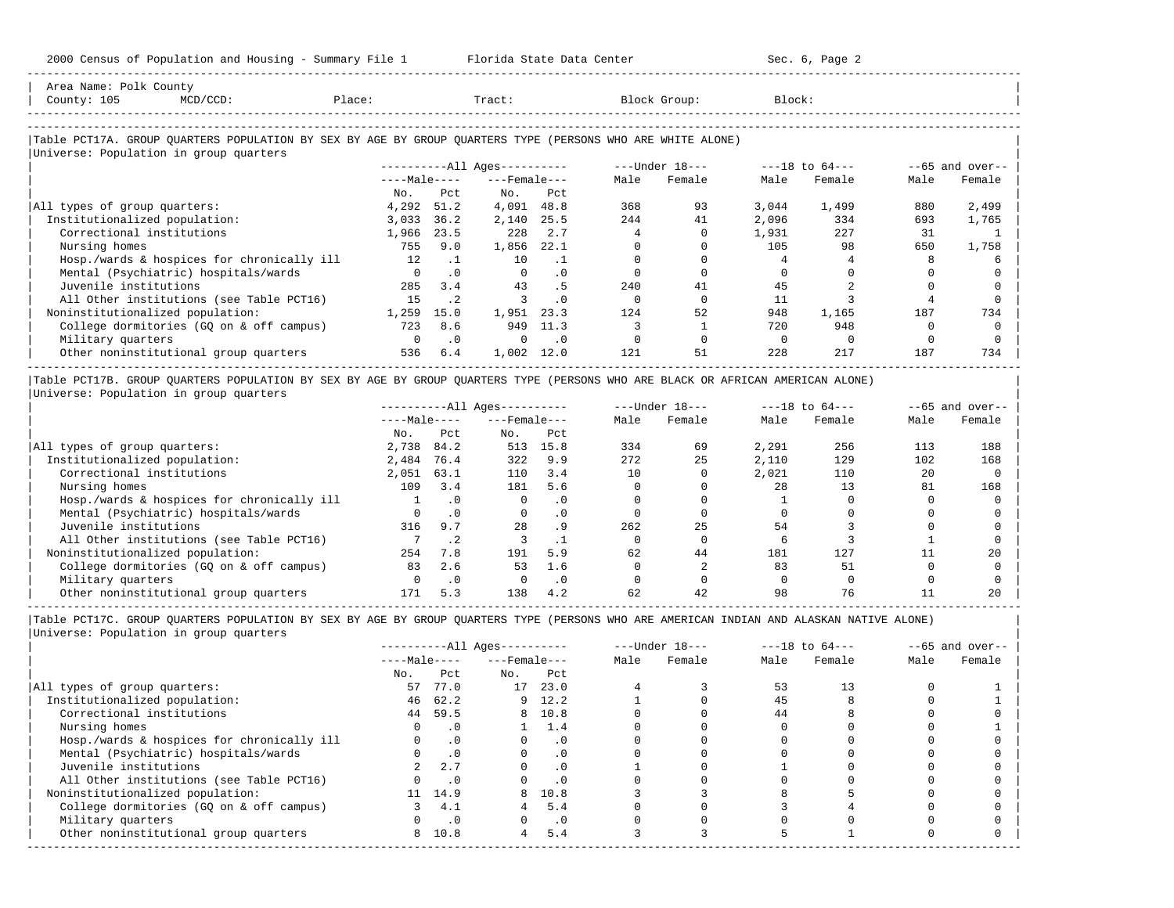| Area Name: Polk County<br>County: 105<br>$MCD/CCD$ :                                                       | Place:       |           | Tract:                       |           |      | Block Group:   | Block:   |                    |      |                   |
|------------------------------------------------------------------------------------------------------------|--------------|-----------|------------------------------|-----------|------|----------------|----------|--------------------|------|-------------------|
| Table PCT17A. GROUP QUARTERS POPULATION BY SEX BY AGE BY GROUP QUARTERS TYPE (PERSONS WHO ARE WHITE ALONE) |              |           |                              |           |      |                |          |                    |      |                   |
| Universe: Population in group quarters                                                                     |              |           | ----------All Ages---------- |           |      | ---Under 18--- |          | $---18$ to $64---$ |      | $--65$ and over-- |
|                                                                                                            | $---Male---$ |           | $---$ Female $---$           |           | Male | Female         | Male     | Female             | Male | Female            |
|                                                                                                            | No.          | Pct.      | $N_{\bigcirc}$ .             | Pct.      |      |                |          |                    |      |                   |
| All types of group quarters:                                                                               | 4,292        | 51.2      | 4,091 48.8                   |           | 368  | 93             | 3,044    | 1,499              | 880  | 2,499             |
| Institutionalized population:                                                                              | 3,033        | 36.2      | 2,140                        | 25.5      | 244  | 41             | 2,096    | 334                | 693  | 1,765             |
| Correctional institutions                                                                                  | 1,966        | 23.5      | 228                          | 2.7       |      |                | 1,931    | 227                | 31   |                   |
| Nursing homes                                                                                              | 755          | 9.0       | 1,856                        | 22.1      |      |                | 105      | 98                 | 650  | 1,758             |
| Hosp./wards & hospices for chronically ill                                                                 | 12.          | $\cdot$ 1 | 10                           | $\cdot$ 1 |      |                |          |                    |      |                   |
| Mental (Psychiatric) hospitals/wards                                                                       |              | $\cdot$ 0 | $\Omega$                     | $\cdot$ 0 |      |                |          |                    |      |                   |
| Juvenile institutions                                                                                      | 285          | 3.4       | 43                           | . 5       | 2.40 | 41             | 45       |                    |      |                   |
| All Other institutions (see Table PCT16)                                                                   | 15           | $\cdot$ 2 |                              | $\Omega$  |      |                | 11       |                    |      |                   |
| Noninstitutionalized population:                                                                           | 1,259        | 15.0      | 1,951                        | 23.3      | 124  | 52             | 948      | 1,165              | 187  | 734               |
| College dormitories (GQ on & off campus)                                                                   | 723          | 8.6       | 949                          | 11.3      |      |                | 720      | 948                |      |                   |
| Military quarters                                                                                          | $\Omega$     | $\cdot$ 0 | $\Omega$                     | $\cdot$ 0 |      |                | $\Omega$ | $\Omega$           |      |                   |
| Other noninstitutional group quarters                                                                      | 536          | 6.4       | 1,002                        | 12.0      | 121  | 51             | 228      | 217                | 187  | 734               |

|Table PCT17B. GROUP QUARTERS POPULATION BY SEX BY AGE BY GROUP QUARTERS TYPE (PERSONS WHO ARE BLACK OR AFRICAN AMERICAN ALONE) | |Universe: Population in group quarters |

|                                            |              |           | $------All Aqes------$ |           | $---Under 18---$ |        | $---18$ to $64---$ |        | $--65$ and over-- |        |
|--------------------------------------------|--------------|-----------|------------------------|-----------|------------------|--------|--------------------|--------|-------------------|--------|
|                                            | $---Male---$ |           | $---$ Female $---$     |           | Male             | Female | Male               | Female | Male              | Female |
|                                            | No.          | Pct       | No.                    | Pct       |                  |        |                    |        |                   |        |
| All types of group quarters:               | 2,738        | 84.2      | 513                    | 15.8      | 334              | 69     | 2,291              | 256    | 113               | 188    |
| Institutionalized population:              | 2,484        | 76.4      | 322                    | 9.9       | 272              | 25     | 2,110              | 129    | 102               | 168    |
| Correctional institutions                  | 2,051        | 63.1      | 110                    | 3.4       | 10               |        | 2,021              | 110    | 20                |        |
| Nursing homes                              | 109          | 3.4       | 181                    | 5.6       |                  |        | 28                 | 13     | 81                | 168    |
| Hosp./wards & hospices for chronically ill |              |           |                        | $\cdot$ 0 |                  |        |                    |        |                   |        |
| Mental (Psychiatric) hospitals/wards       |              | $\cdot$ 0 |                        | $\cdot$ 0 |                  |        |                    |        |                   |        |
| Juvenile institutions                      | 316          | 9.7       | 28                     | . 9       | 262              | 25     | 54                 |        |                   |        |
| All Other institutions (see Table PCT16)   |              |           |                        |           |                  |        |                    |        |                   |        |
| Noninstitutionalized population:           | 254          | 7.8       | 191                    | 5.9       | 62               | 44     | 181                | 127    |                   | 20     |
| College dormitories (GO on & off campus)   | 83           | 2.6       | 53                     | 1.6       |                  |        | 83                 | 51     |                   |        |
| Military quarters                          |              | $\cdot$ 0 |                        | $\cdot$ 0 |                  |        |                    |        |                   |        |
| Other noninstitutional group quarters      | 171          | 5.3       | 138                    | 4.2       | 62               | 42     | 98                 | 76     |                   | 20     |

-----------------------------------------------------------------------------------------------------------------------------------------------------

|                                            |              |           | $------All Aqes------$ |           | $---Under 18---$ |        | $---18$ to $64---$ |        | $--65$ and over-- |        |
|--------------------------------------------|--------------|-----------|------------------------|-----------|------------------|--------|--------------------|--------|-------------------|--------|
|                                            | $---Male---$ |           | $---$ Female $---$     |           | Male             | Female | Male               | Female | Male              | Female |
|                                            | No.          | Pct       | No.                    | Pct       |                  |        |                    |        |                   |        |
| All types of group quarters:               | 57           | 77.0      | 17                     | 23.0      |                  |        | 53                 | 13     |                   |        |
| Institutionalized population:              | 46           | 62.2      |                        | $9$ 12.2  |                  |        | 45                 |        |                   |        |
| Correctional institutions                  | 44           | 59.5      |                        | 8 10.8    |                  |        | 44                 |        |                   |        |
| Nursing homes                              |              | . 0       |                        | 1.4       |                  |        |                    |        |                   |        |
| Hosp./wards & hospices for chronically ill |              | $\cdot$ 0 |                        | $\cdot$ 0 |                  |        |                    |        |                   |        |
| Mental (Psychiatric) hospitals/wards       |              | $\cdot$ 0 |                        | $\cdot$ 0 |                  |        |                    |        |                   |        |
| Juvenile institutions                      |              | 2.7       |                        | $\cdot$ 0 |                  |        |                    |        |                   |        |
| All Other institutions (see Table PCT16)   |              | $\cdot$ 0 |                        |           |                  |        |                    |        |                   |        |
| Noninstitutionalized population:           |              | 11 14.9   | 8                      | 10.8      |                  |        |                    |        |                   |        |
| College dormitories (GQ on & off campus)   |              | 4.1       |                        | 5.4       |                  |        |                    |        |                   |        |
| Military quarters                          |              | $\cdot$ 0 |                        | $\cdot$ 0 |                  |        |                    |        |                   |        |
| Other noninstitutional group quarters      | 8            | 10.8      | 4                      | 5.4       |                  |        |                    |        |                   |        |
|                                            |              |           |                        |           |                  |        |                    |        |                   |        |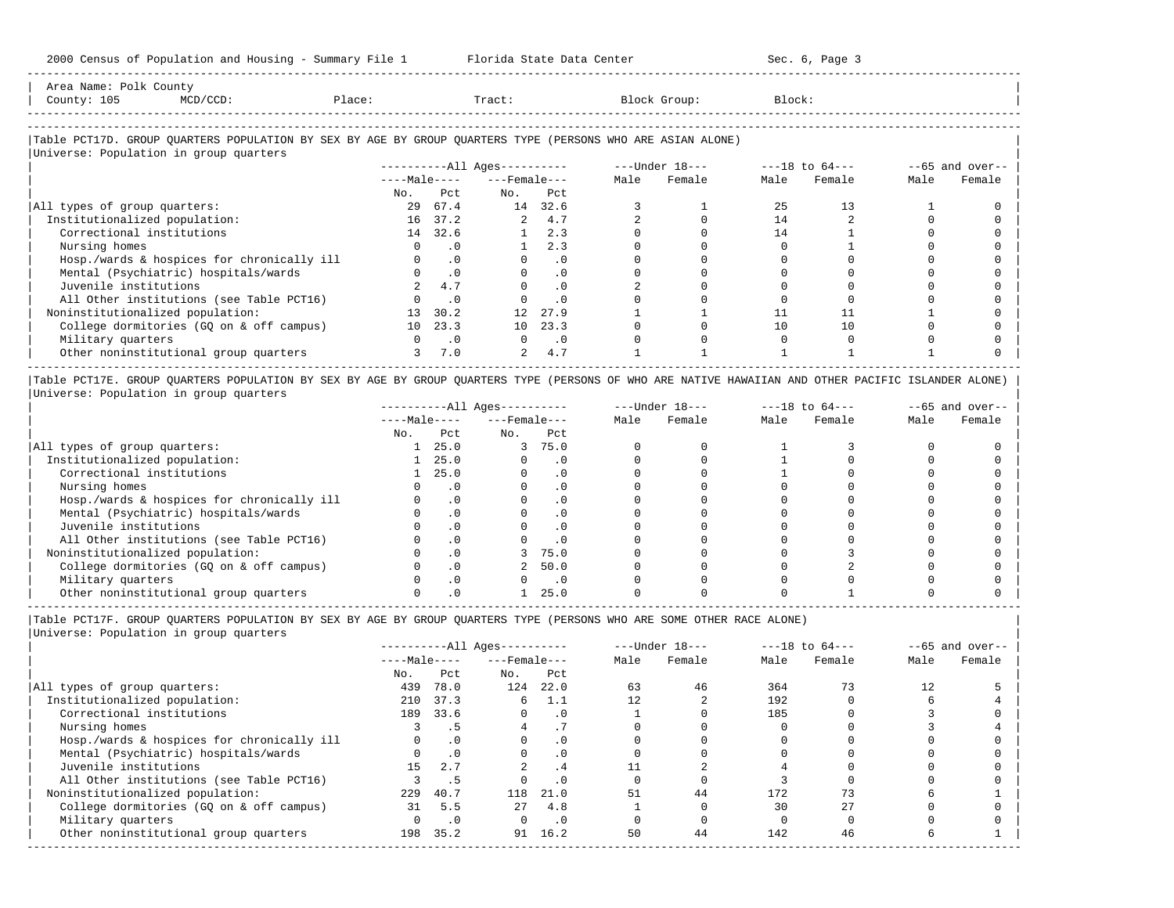| Area Name:<br>Polk County<br>the contract of the contract of the contract of the contract of the contract of the contract of the contract of |        |       |       |        |  |
|----------------------------------------------------------------------------------------------------------------------------------------------|--------|-------|-------|--------|--|
| 105<br>County:<br>$\sim$ $\sim$                                                                                                              | Place: | Tract | Group | Block: |  |
| --------------------                                                                                                                         |        |       |       |        |  |

-----------------------------------------------------------------------------------------------------------------------------------------------------

### |Table PCT17D. GROUP QUARTERS POPULATION BY SEX BY AGE BY GROUP QUARTERS TYPE (PERSONS WHO ARE ASIAN ALONE) |

|                                            |              |           | $------All Ages------$ |           |      | $---Under 18---$ | $---18$ to $64---$ |        | $--65$ and over-- |        |
|--------------------------------------------|--------------|-----------|------------------------|-----------|------|------------------|--------------------|--------|-------------------|--------|
|                                            | $---Male---$ |           | $---$ Female $---$     |           | Male | Female           | Male               | Female | Male              | Female |
|                                            | No.          | Pct.      | No.                    | Pct       |      |                  |                    |        |                   |        |
| All types of group quarters:               | 29           | 67.4      | 14                     | 32.6      |      |                  | 25                 | 13     |                   |        |
| Institutionalized population:              |              | 16 37.2   | $\overline{a}$         | 4.7       |      |                  | 14                 |        |                   |        |
| Correctional institutions                  |              | 14 32.6   |                        | 2.3       |      |                  | 14                 |        |                   |        |
| Nursing homes                              |              | . 0       |                        | 2.3       |      |                  |                    |        |                   |        |
| Hosp./wards & hospices for chronically ill |              | $\cdot$ 0 |                        | $\cdot$ 0 |      |                  |                    |        |                   |        |
| Mental (Psychiatric) hospitals/wards       |              | $\cdot$ 0 |                        | $\cdot$ 0 |      |                  |                    |        |                   |        |
| Juvenile institutions                      |              | 4.7       |                        | $\cdot$ 0 |      |                  |                    |        |                   |        |
| All Other institutions (see Table PCT16)   |              | $\cdot$ 0 |                        | $\cdot$ 0 |      |                  |                    |        |                   |        |
| Noninstitutionalized population:           | 13           | 30.2      | 12 <sup>°</sup>        | 27.9      |      |                  |                    |        |                   |        |
| College dormitories (GQ on & off campus)   | 10           | 23.3      | 10 <sup>1</sup>        | 23.3      |      |                  | 10                 | 10     |                   |        |
| Military quarters                          |              | $\cdot$ 0 | $\Omega$               | $\cdot$ 0 |      |                  |                    |        |                   |        |
| Other noninstitutional group quarters      |              | 7.0       | 2                      | 4.7       |      |                  |                    |        |                   |        |

|Table PCT17E. GROUP QUARTERS POPULATION BY SEX BY AGE BY GROUP QUARTERS TYPE (PERSONS OF WHO ARE NATIVE HAWAIIAN AND OTHER PACIFIC ISLANDER ALONE) | |Universe: Population in group quarters |

|                                            |              |           | $------All Aqes------$ |           |      | $---Under 18---$ |      | $---18$ to $64---$ |      | $--65$ and over-- |
|--------------------------------------------|--------------|-----------|------------------------|-----------|------|------------------|------|--------------------|------|-------------------|
|                                            | $---Male---$ |           | $---$ Female $---$     |           | Male | Female           | Male | Female             | Male | Female            |
|                                            | No.          | Pct       | No.                    | Pct       |      |                  |      |                    |      |                   |
| All types of group quarters:               |              | 25.0      | 3                      | 75.0      |      |                  |      |                    |      |                   |
| Institutionalized population:              |              | 25.0      |                        | . 0       |      |                  |      |                    |      |                   |
| Correctional institutions                  |              | 25.0      |                        | $\cdot$ 0 |      |                  |      |                    |      |                   |
| Nursing homes                              |              |           |                        | $\cdot$ 0 |      |                  |      |                    |      |                   |
| Hosp./wards & hospices for chronically ill |              | $\cdot$ 0 |                        | $\cdot$ 0 |      |                  |      |                    |      |                   |
| Mental (Psychiatric) hospitals/wards       |              |           |                        | $\cdot$ 0 |      |                  |      |                    |      |                   |
| Juvenile institutions                      |              | $\cdot$ 0 |                        | . 0       |      |                  |      |                    |      |                   |
| All Other institutions (see Table PCT16)   |              |           |                        |           |      |                  |      |                    |      |                   |
| Noninstitutionalized population:           |              |           |                        | 75.0      |      |                  |      |                    |      |                   |
| College dormitories (GO on & off campus)   |              |           |                        | 50.0      |      |                  |      |                    |      |                   |
| Military quarters                          |              |           |                        | $\cdot$ 0 |      |                  |      |                    |      |                   |
| Other noninstitutional group quarters      |              |           |                        | 25.0      |      |                  |      |                    |      |                   |

----------------------------------------------------------------------------------------------------------------------------------------------------- |Table PCT17F. GROUP QUARTERS POPULATION BY SEX BY AGE BY GROUP QUARTERS TYPE (PERSONS WHO ARE SOME OTHER RACE ALONE) |

|                                            | $------All Ages------$ |           |                    | $---Under 18---$ |      | $---18$ to $64---$ |      | $--65$ and over-- |      |        |
|--------------------------------------------|------------------------|-----------|--------------------|------------------|------|--------------------|------|-------------------|------|--------|
|                                            | $---Male---$           |           | $---$ Female $---$ |                  | Male | Female             | Male | Female            | Male | Female |
|                                            | No.                    | Pct       | No.                | Pct              |      |                    |      |                   |      |        |
| All types of group quarters:               | 439                    | 78.0      | 124                | 22.0             | 63   | 46                 | 364  | 73                |      |        |
| Institutionalized population:              | 210                    | 37.3      | 6                  | -1.1             | 12   |                    | 192  |                   |      |        |
| Correctional institutions                  | 189                    | 33.6      | $\Omega$           | $\cdot$ 0        |      |                    | 185  |                   |      |        |
| Nursing homes                              |                        | . 5       |                    |                  |      |                    |      |                   |      |        |
| Hosp./wards & hospices for chronically ill |                        | $\cdot$ 0 |                    | $\cdot$ 0        |      |                    |      |                   |      |        |
| Mental (Psychiatric) hospitals/wards       |                        | $\cdot$ 0 |                    | $\cdot$ 0        |      |                    |      |                   |      |        |
| Juvenile institutions                      | 15                     | 2.7       |                    | . 4              |      |                    |      |                   |      |        |
| All Other institutions (see Table PCT16)   |                        | .5        |                    | $\cdot$ 0        |      |                    |      |                   |      |        |
| Noninstitutionalized population:           | 229                    | 40.7      | 118                | 21.0             | 51   | 44                 | 172  | 73                |      |        |
| College dormitories (GQ on & off campus)   | 31                     | 5.5       | 27                 | 4.8              |      |                    | 30   | 27                |      |        |
| Military quarters                          |                        | $\cdot$ 0 | $\Omega$           | $\cdot$ 0        |      |                    |      |                   |      |        |
| Other noninstitutional group quarters      | 198                    | 35.2      | 91                 | 16.2             | 50   | 44                 | 142  | 46                |      |        |
|                                            |                        |           |                    |                  |      |                    |      |                   |      |        |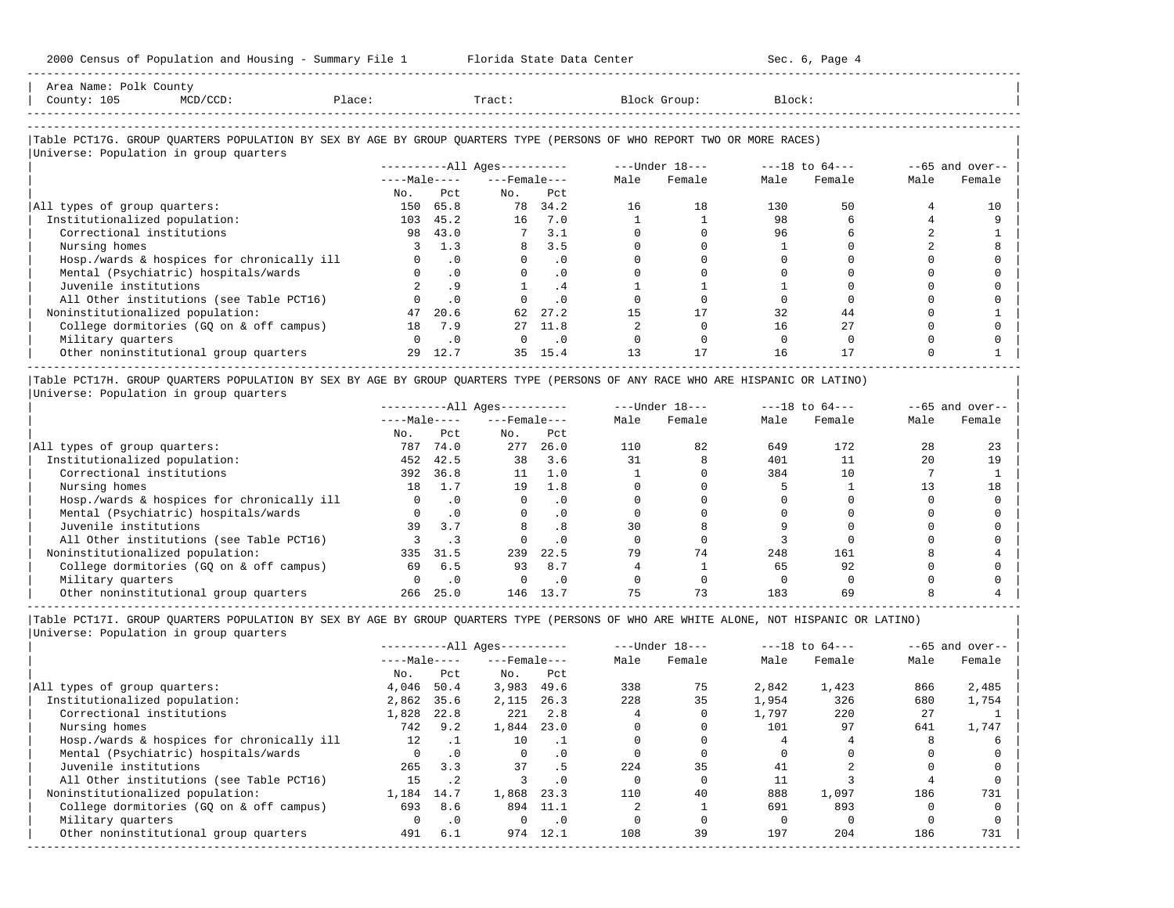-----------------------------------------------------------------------------------------------------------------------------------------------------

| County: 105                   | $MCD/CCD$ :                                                                                                            | Place: |              | Tract:                 |           |      | Block Group:   | Block: |                    |      |                   |
|-------------------------------|------------------------------------------------------------------------------------------------------------------------|--------|--------------|------------------------|-----------|------|----------------|--------|--------------------|------|-------------------|
|                               | Table PCT17G. GROUP QUARTERS POPULATION BY SEX BY AGE BY GROUP QUARTERS TYPE (PERSONS OF WHO REPORT TWO OR MORE RACES) |        |              |                        |           |      |                |        |                    |      |                   |
|                               | Universe: Population in group quarters                                                                                 |        |              |                        |           |      |                |        |                    |      |                   |
|                               |                                                                                                                        |        |              | $------All Aqes------$ |           |      | ---Under 18--- |        | $---18$ to $64---$ |      | $--65$ and over-- |
|                               |                                                                                                                        |        | $---Male---$ | $---$ Female $---$     |           | Male | Female         | Male   | Female             | Male | Female            |
|                               |                                                                                                                        | No.    | Pct          | No.                    | Pct       |      |                |        |                    |      |                   |
| All types of group quarters:  |                                                                                                                        | 150    | 65.8         |                        | 78 34.2   | 16   | 18             | 130    | 50                 |      | 10                |
| Institutionalized population: |                                                                                                                        | 103    | 45.2         | 16                     | 7.0       |      |                | 98     |                    |      |                   |
| Correctional institutions     |                                                                                                                        | 98     | 43.0         |                        | 3.1       |      |                | 96     |                    |      |                   |
| Nursing homes                 |                                                                                                                        |        | 1.3          |                        | 3.5       |      |                |        |                    |      |                   |
|                               | Hosp./wards & hospices for chronically ill                                                                             |        | $\cdot$ 0    |                        | $\cdot$ 0 |      |                |        |                    |      |                   |
|                               | Mental (Psychiatric) hospitals/wards                                                                                   |        | $\cdot$ 0    |                        | $\cdot$ 0 |      |                |        |                    |      |                   |
| Juvenile institutions         |                                                                                                                        |        | . 9          |                        | . 4       |      |                |        |                    |      |                   |
|                               | All Other institutions (see Table PCT16)                                                                               |        | $\cdot$ 0    |                        | .0        |      |                |        |                    |      |                   |
|                               | Noninstitutionalized population:                                                                                       | 47     | 20.6         | 62                     | 27.2      |      |                | 32     | 44                 |      |                   |
|                               | College dormitories (GQ on & off campus)                                                                               | 18     | 7.9          | 27                     | 11.8      |      |                | 16     | 27                 |      |                   |
| Military quarters             |                                                                                                                        |        | $\cdot$ 0    |                        | $\cdot$ 0 |      |                |        |                    |      |                   |
|                               | Other noninstitutional group quarters                                                                                  | 29     | 12.7         | 35                     | 15.4      | 13   | 17             | 16     | 17                 |      |                   |

|Table PCT17H. GROUP QUARTERS POPULATION BY SEX BY AGE BY GROUP QUARTERS TYPE (PERSONS OF ANY RACE WHO ARE HISPANIC OR LATINO) | |Universe: Population in group quarters |

|                                            |              |           | $------All Aqes------$ |           |      | $---Under 18---$ |      | $---18$ to $64---$ |      | $--65$ and over-- |
|--------------------------------------------|--------------|-----------|------------------------|-----------|------|------------------|------|--------------------|------|-------------------|
|                                            | $---Male---$ |           | $---$ Female $---$     |           | Male | Female           | Male | Female             | Male | Female            |
|                                            | No.          | Pct       | No.                    | Pct       |      |                  |      |                    |      |                   |
| All types of group quarters:               | 787          | 74.0      | 277                    | 26.0      | 110  | 82               | 649  | 172                | 28   | 23                |
| Institutionalized population:              | 452          | 42.5      | 38                     | 3.6       | 31   |                  | 401  |                    | 20   | 19                |
| Correctional institutions                  | 392          | 36.8      | 11                     | 1.0       |      |                  | 384  | 10                 |      |                   |
| Nursing homes                              | 18           | 1.7       | 19                     | 1.8       |      |                  |      |                    |      | 18                |
| Hosp./wards & hospices for chronically ill |              | $\cdot$ 0 |                        | $\cdot$ 0 |      |                  |      |                    |      |                   |
| Mental (Psychiatric) hospitals/wards       |              | $\cdot$ 0 |                        | $\cdot$ 0 |      |                  |      |                    |      |                   |
| Juvenile institutions                      | 39           | 3.7       |                        | .8        | 30   |                  |      |                    |      |                   |
| All Other institutions (see Table PCT16)   |              |           |                        | $\cdot$ 0 |      |                  |      |                    |      |                   |
| Noninstitutionalized population:           | 335          | 31.5      | 239                    | 22.5      | 79   | 74               | 248  | 161                |      |                   |
| College dormitories (GO on & off campus)   | 69           | 6.5       | 93                     | 8.7       |      |                  | 65   | 92                 |      |                   |
| Military quarters                          |              | $\cdot$ 0 |                        | $\cdot$ 0 |      |                  |      |                    |      |                   |
| Other noninstitutional group quarters      | 266          | 25.0      | 146                    | 13.7      |      | 73               | 183  | 69                 |      |                   |

-----------------------------------------------------------------------------------------------------------------------------------------------------

|Table PCT17I. GROUP QUARTERS POPULATION BY SEX BY AGE BY GROUP QUARTERS TYPE (PERSONS OF WHO ARE WHITE ALONE, NOT HISPANIC OR LATINO) | |Universe: Population in group quarters |

|                                            |              |             | $------All Aqes------$ |                             |       | $---Under 18---$ | $---18$ to $64---$ |        | $--65$ and over-- |        |
|--------------------------------------------|--------------|-------------|------------------------|-----------------------------|-------|------------------|--------------------|--------|-------------------|--------|
|                                            | $---Male---$ |             | $---$ Female $---$     |                             | Male  | Female           | Male               | Female | Male              | Female |
|                                            | No.          | Pct         | No.                    | Pct                         |       |                  |                    |        |                   |        |
| All types of group quarters:               | 4,046        | 50.4        | 3,983                  | 49.6                        | 338   | 75               | 2,842              | 1,423  | 866               | 2,485  |
| Institutionalized population:              | 2,862        | 35.6        | 2,115                  | 26.3                        | 228   | 35               | 1,954              | 326    | 680               | 1,754  |
| Correctional institutions                  | 1,828        | 22.8        | 221                    | 2.8                         |       |                  | 1,797              | 220    | 27                |        |
| Nursing homes                              | 742          | 9.2         | 1,844                  | 23.0                        |       |                  | 101                | 97     | 641               | 1,747  |
| Hosp./wards & hospices for chronically ill | $12^{\circ}$ |             | 10                     | $\overline{\phantom{0}}$ .1 |       |                  |                    |        |                   |        |
| Mental (Psychiatric) hospitals/wards       | 0            | $\cdot$ 0   | $\Omega$               | $\cdot$ 0                   |       |                  |                    |        |                   |        |
| Juvenile institutions                      | 265          | 3.3         | 37                     | . 5                         | 2.2.4 | 35               | 41                 |        |                   |        |
| All Other institutions (see Table PCT16)   | 15           | $\cdot$ . 2 |                        | . 0                         |       |                  |                    |        |                   |        |
| Noninstitutionalized population:           | 1,184        | 14.7        | 1,868                  | 23.3                        | 110   | 40               | 888                | 1,097  | 186               | 731    |
| College dormitories (GO on & off campus)   | 693          | 8.6         | 894                    | 11.1                        |       |                  | 691                | 893    |                   |        |
| Military quarters                          | 0            | $\cdot$ 0   |                        | $\cdot$ 0                   |       |                  |                    |        |                   |        |
| Other noninstitutional group quarters      | 491          | 6.1         | 974                    | 12.1                        | 108   | 39               | 197                | 204    | 186               | 731    |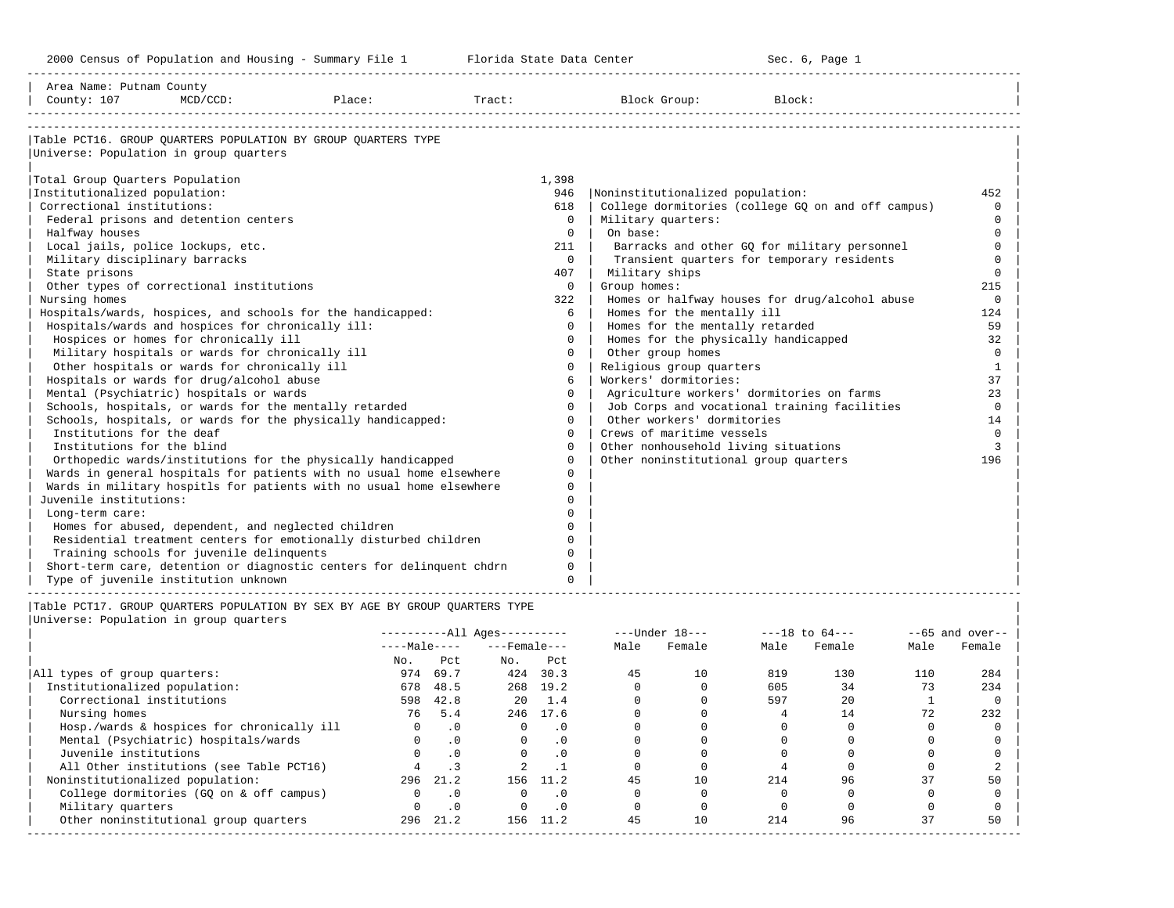2000 Census of Population and Housing - Summary File 1 Telorida State Data Center Sec. 6, Page 1 North Sec. 6, Page

-----------------------------------------------------------------------------------------------------------------------------------------------------

| Area Name: Putnam County<br>County: 107<br>$MCD/CCD$ :<br>Place:            | Tract:       | Block Group:                          | Block:                                             |              |
|-----------------------------------------------------------------------------|--------------|---------------------------------------|----------------------------------------------------|--------------|
|                                                                             |              |                                       |                                                    |              |
| Table PCT16. GROUP OUARTERS POPULATION BY GROUP OUARTERS TYPE               |              |                                       |                                                    |              |
| Universe: Population in group quarters                                      |              |                                       |                                                    |              |
| Total Group Quarters Population                                             | 1,398        |                                       |                                                    |              |
| Institutionalized population:                                               | 946          | Noninstitutionalized population:      |                                                    | 452          |
| Correctional institutions:                                                  | 618          |                                       | College dormitories (college GQ on and off campus) | $\Omega$     |
| Federal prisons and detention centers                                       | $\Omega$     | Military quarters:                    |                                                    | $\Omega$     |
| Halfway houses                                                              | $\Omega$     | On base:                              |                                                    | $\Omega$     |
| Local jails, police lockups, etc.                                           | 211          |                                       | Barracks and other GQ for military personnel       | $\Omega$     |
| Military disciplinary barracks                                              | $\Omega$     |                                       | Transient quarters for temporary residents         | $\Omega$     |
| State prisons                                                               | 407          | Military ships                        |                                                    | $\Omega$     |
| Other types of correctional institutions                                    | $\circ$      | Group homes:                          |                                                    | 215          |
| Nursing homes                                                               | 322          |                                       | Homes or halfway houses for drug/alcohol abuse     | $\Omega$     |
| Hospitals/wards, hospices, and schools for the handicapped:                 | 6            | Homes for the mentally ill            |                                                    | 124          |
| Hospitals/wards and hospices for chronically ill:                           | $\Omega$     | Homes for the mentally retarded       |                                                    | 59           |
| Hospices or homes for chronically ill                                       | $\Omega$     | Homes for the physically handicapped  |                                                    | 32           |
| Military hospitals or wards for chronically ill                             | $\Omega$     | Other group homes                     |                                                    | $\Omega$     |
| Other hospitals or wards for chronically ill                                | $\Omega$     | Religious group quarters              |                                                    | $\mathbf{1}$ |
| Hospitals or wards for drug/alcohol abuse                                   | 6            | Workers' dormitories:                 |                                                    | 37           |
| Mental (Psychiatric) hospitals or wards                                     | $\Omega$     |                                       | Agriculture workers' dormitories on farms          | 23           |
| Schools, hospitals, or wards for the mentally retarded                      | $\Omega$     |                                       | Job Corps and vocational training facilities       | $\Omega$     |
| Schools, hospitals, or wards for the physically handicapped:                | $\Omega$     | Other workers' dormitories            |                                                    | 14           |
| Institutions for the deaf                                                   | $\Omega$     | Crews of maritime vessels             |                                                    | $\Omega$     |
| Institutions for the blind                                                  | $\Omega$     | Other nonhousehold living situations  |                                                    | 3            |
| Orthopedic wards/institutions for the physically handicapped                | $\Omega$     | Other noninstitutional group quarters |                                                    | 196          |
| Wards in general hospitals for patients with no usual home elsewhere        | $\Omega$     |                                       |                                                    |              |
| Wards in military hospitls for patients with no usual home elsewhere        | $\mathbf{0}$ |                                       |                                                    |              |
| Juvenile institutions:                                                      | $\Omega$     |                                       |                                                    |              |
| Long-term care:                                                             | U            |                                       |                                                    |              |
| Homes for abused, dependent, and neglected children                         | $\cap$       |                                       |                                                    |              |
| Residential treatment centers for emotionally disturbed children            | 0            |                                       |                                                    |              |
| Training schools for juvenile delinquents                                   | $\Omega$     |                                       |                                                    |              |
| Short-term care, detention or diagnostic centers for delinquent chdrn       | 0            |                                       |                                                    |              |
| Type of juvenile institution unknown                                        | $\Omega$     |                                       |                                                    |              |
| Table PCT17. GROUP OUARTERS POPULATION BY SEX BY AGE BY GROUP OUARTERS TYPE |              |                                       |                                                    |              |

|                                            | $------All Aqes------$ |           |                    |           | $---Under 18---$ |        | $---18$ to $64---$ |        | $--65$ and over-- |        |
|--------------------------------------------|------------------------|-----------|--------------------|-----------|------------------|--------|--------------------|--------|-------------------|--------|
|                                            | $---Male---$           |           | $---$ Female $---$ |           | Male             | Female | Male               | Female | Male              | Female |
|                                            | No.                    | Pct       | No.                | Pct       |                  |        |                    |        |                   |        |
| All types of group quarters:               | 974                    | 69.7      | 424                | 30.3      | 45               | 10     | 819                | 130    | 110               | 284    |
| Institutionalized population:              | 678                    | 48.5      |                    | 268 19.2  |                  |        | 605                | 34     |                   | 234    |
| Correctional institutions                  | 598                    | 42.8      | 20                 | 1.4       |                  |        | 597                | 20     |                   |        |
| Nursing homes                              | 76                     | 5.4       | 246                | 17.6      |                  |        |                    | 14     | 72                | 232    |
| Hosp./wards & hospices for chronically ill |                        | .0        |                    | . 0       |                  |        |                    |        |                   |        |
| Mental (Psychiatric) hospitals/wards       |                        | $\cdot$ 0 | $\Omega$           | $\cdot$ 0 |                  |        |                    |        |                   |        |
| Juvenile institutions                      |                        | $\cdot$ 0 |                    | $\cdot$ 0 |                  |        |                    |        |                   |        |
| All Other institutions (see Table PCT16)   |                        |           |                    |           |                  |        |                    |        |                   |        |
| Noninstitutionalized population:           | 296                    | 21.2      | 156                | 11.2      | 45               | 10     | 214                | 96     | 37                | 50     |
| College dormitories (GO on & off campus)   |                        | .0        |                    | $\cdot$ 0 |                  |        |                    |        |                   |        |
| Military quarters                          |                        | .0        |                    | . 0       |                  |        |                    |        |                   |        |
| Other noninstitutional group quarters      | 296                    | 21.2      | 156                | 11.2      | 45               | 10     | 214                | 96     | 37                | 50     |
|                                            |                        |           |                    |           |                  |        |                    |        |                   |        |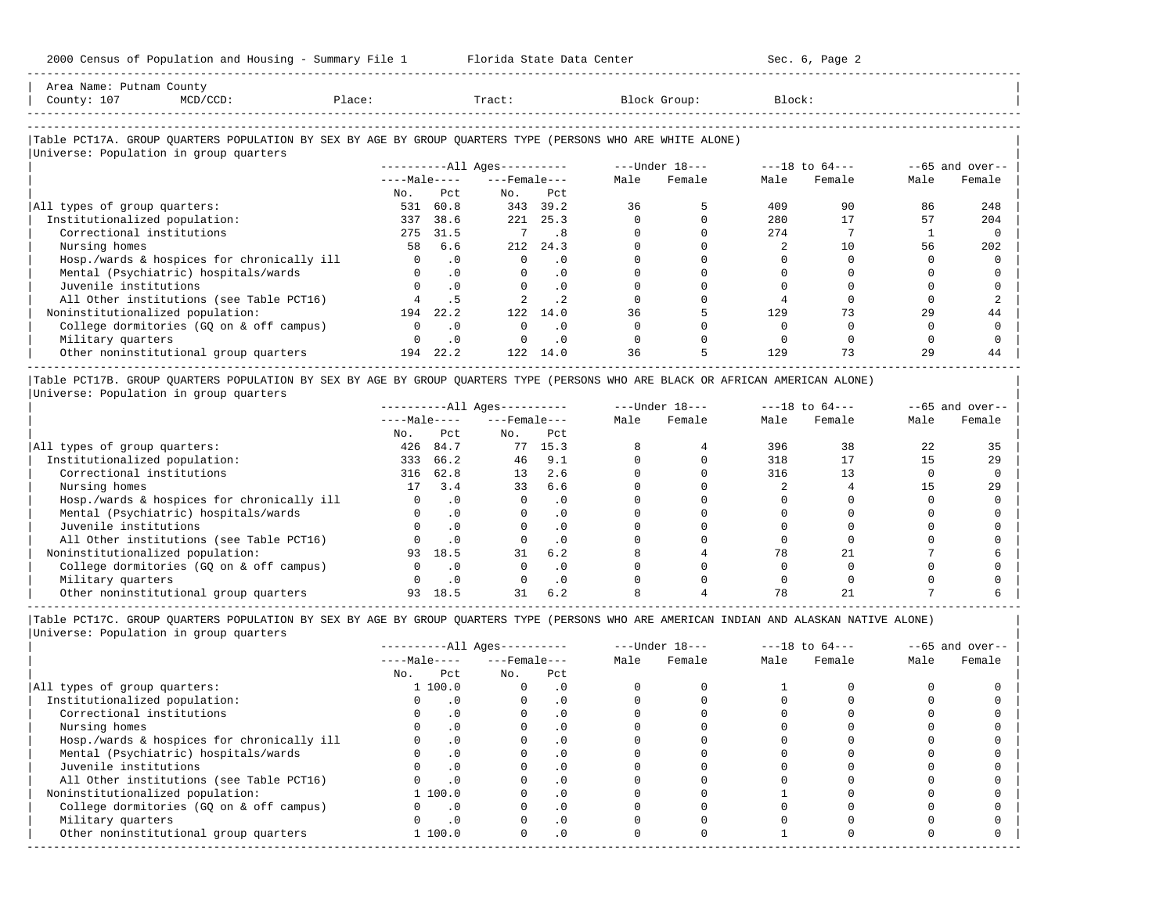| Area Name: Putnam County<br>County: 107<br>$MCD/CCD$ :                                                                                               | Place:         |           | Tract:                       |           |      | Block Group:                   | Block: |        |      |                   |
|------------------------------------------------------------------------------------------------------------------------------------------------------|----------------|-----------|------------------------------|-----------|------|--------------------------------|--------|--------|------|-------------------|
|                                                                                                                                                      |                |           |                              |           |      |                                |        |        |      |                   |
| Table PCT17A. GROUP QUARTERS POPULATION BY SEX BY AGE BY GROUP QUARTERS TYPE (PERSONS WHO ARE WHITE ALONE)<br>Universe: Population in group quarters |                |           |                              |           |      |                                |        |        |      |                   |
|                                                                                                                                                      |                |           | ----------All Ages---------- |           |      | $---Under 18-- ---18 to 64---$ |        |        |      | $--65$ and over-- |
|                                                                                                                                                      |                |           | $---Male-- ---Female$        |           | Male | Female                         | Male   | Female | Male | Female            |
|                                                                                                                                                      | No.            | Pct       |                              | No. Pct   |      |                                |        |        |      |                   |
| All types of group quarters:                                                                                                                         | 531            | 60.8      |                              | 343 39.2  | 36   |                                | 409    | 90     | 86   | 248               |
| Institutionalized population:                                                                                                                        | 337            | 38.6      |                              | 221 25.3  |      |                                | 280    | 17     | 57   | 204               |
| Correctional institutions                                                                                                                            | 275            | 31.5      |                              | .8        |      |                                | 274    |        |      |                   |
| Nursing homes                                                                                                                                        | 58             | 6.6       |                              | 212 24.3  |      |                                |        | 10     | 56   | 202               |
| Hosp./wards & hospices for chronically ill                                                                                                           | $\overline{0}$ | $\cdot$ 0 | $\circ$                      | $\cdot$ 0 |      |                                |        |        |      |                   |
| Mental (Psychiatric) hospitals/wards                                                                                                                 |                | $\cdot$ 0 | $\mathbf{0}$                 | $\cdot$ 0 |      |                                |        |        |      |                   |
| Juvenile institutions                                                                                                                                |                | $\cdot$ 0 |                              | . 0       |      |                                |        |        |      |                   |
| All Other institutions (see Table PCT16)                                                                                                             |                | . 5       |                              | $\cdot$ 2 |      |                                |        |        |      |                   |
| Noninstitutionalized population:                                                                                                                     | 194            | 22.2      | 122                          | 14.0      | 36   |                                | 129    | 73     | 29   | 44                |
| College dormitories (GQ on & off campus)                                                                                                             | $\Omega$       | $\cdot$ 0 | $\Omega$                     | $\cdot$ 0 |      |                                |        |        |      |                   |
| Military quarters                                                                                                                                    |                | $\cdot$ 0 |                              | $\cdot$ 0 |      |                                |        |        |      |                   |
| Other noninstitutional group quarters                                                                                                                |                | 194 22.2  | 122                          | 14.0      | 36   |                                | 129    |        | 29   | 44                |

-----------------------------------------------------------------------------------------------------------------------------------------------------

|Table PCT17B. GROUP QUARTERS POPULATION BY SEX BY AGE BY GROUP QUARTERS TYPE (PERSONS WHO ARE BLACK OR AFRICAN AMERICAN ALONE) | |Universe: Population in group quarters |

|                                            |              |           | $------All Ages------$ |           | $---Under 18---$ |        | $---18$ to $64---$ |        | $- -65$ and over-- |        |
|--------------------------------------------|--------------|-----------|------------------------|-----------|------------------|--------|--------------------|--------|--------------------|--------|
|                                            | $---Male---$ |           | $---$ Female $---$     |           | Male             | Female | Male               | Female | Male               | Female |
|                                            | No.          | Pct       | No.                    | Pct       |                  |        |                    |        |                    |        |
| All types of group quarters:               | 426          | 84.7      | 77                     | 15.3      |                  |        | 396                | 38     | 22                 | 35     |
| Institutionalized population:              | 333          | 66.2      | 46                     | 9.1       |                  |        | 318                |        |                    | 29     |
| Correctional institutions                  | 316          | 62.8      | 13                     | 2.6       |                  |        | 316                |        |                    |        |
| Nursing homes                              | 17           | 3.4       | 33                     | 6.6       |                  |        |                    |        |                    | 2.9    |
| Hosp./wards & hospices for chronically ill |              | $\cdot$ 0 |                        | . 0       |                  |        |                    |        |                    |        |
| Mental (Psychiatric) hospitals/wards       |              |           |                        | $\cdot$ 0 |                  |        |                    |        |                    |        |
| Juvenile institutions                      |              |           |                        | . 0       |                  |        |                    |        |                    |        |
| All Other institutions (see Table PCT16)   |              |           |                        | $\cdot$ 0 |                  |        |                    |        |                    |        |
| Noninstitutionalized population:           | 93           | 18.5      | 31                     | 6.2       |                  |        | 78                 |        |                    |        |
| College dormitories (GO on & off campus)   |              |           |                        | $\cdot$ 0 |                  |        |                    |        |                    |        |
| Military quarters                          |              | $\cdot$ 0 |                        | . 0       |                  |        |                    |        |                    |        |
| Other noninstitutional group quarters      |              | 18.5      |                        | 6.2       |                  |        |                    |        |                    |        |

-----------------------------------------------------------------------------------------------------------------------------------------------------

-----------------------------------------------------------------------------------------------------------------------------------------------------

|                                            | $------All Aqes------$ |                    |           |      | $---Under 18---$ |      | $---18$ to $64---$ | $--65$ and over-- |        |
|--------------------------------------------|------------------------|--------------------|-----------|------|------------------|------|--------------------|-------------------|--------|
|                                            | $---Male---$           | $---$ Female $---$ |           | Male | Female           | Male | Female             | Male              | Female |
|                                            | Pct<br>No.             | No.                | Pct       |      |                  |      |                    |                   |        |
| All types of group quarters:               | 1 100.0                |                    | . 0       |      |                  |      |                    |                   |        |
| Institutionalized population:              |                        |                    | . 0       |      |                  |      |                    |                   |        |
| Correctional institutions                  | $\cdot$ 0              |                    | . 0       |      |                  |      |                    |                   |        |
| Nursing homes                              |                        |                    | . 0       |      |                  |      |                    |                   |        |
| Hosp./wards & hospices for chronically ill |                        |                    |           |      |                  |      |                    |                   |        |
| Mental (Psychiatric) hospitals/wards       | $\cdot$ 0              |                    | . 0       |      |                  |      |                    |                   |        |
| Juvenile institutions                      |                        |                    | .0        |      |                  |      |                    |                   |        |
| All Other institutions (see Table PCT16)   | $\cdot$ 0              |                    |           |      |                  |      |                    |                   |        |
| Noninstitutionalized population:           | 1 100.0                |                    | .0        |      |                  |      |                    |                   |        |
| College dormitories (GQ on & off campus)   | $\cdot$ 0              |                    | $\cdot$ 0 |      |                  |      |                    |                   |        |
| Military quarters                          | $\cdot$ 0              |                    | . 0       |      |                  |      |                    |                   |        |
| Other noninstitutional group quarters      | 1 100.0                |                    | $\cdot$ 0 |      |                  |      |                    |                   |        |
|                                            |                        |                    |           |      |                  |      |                    |                   |        |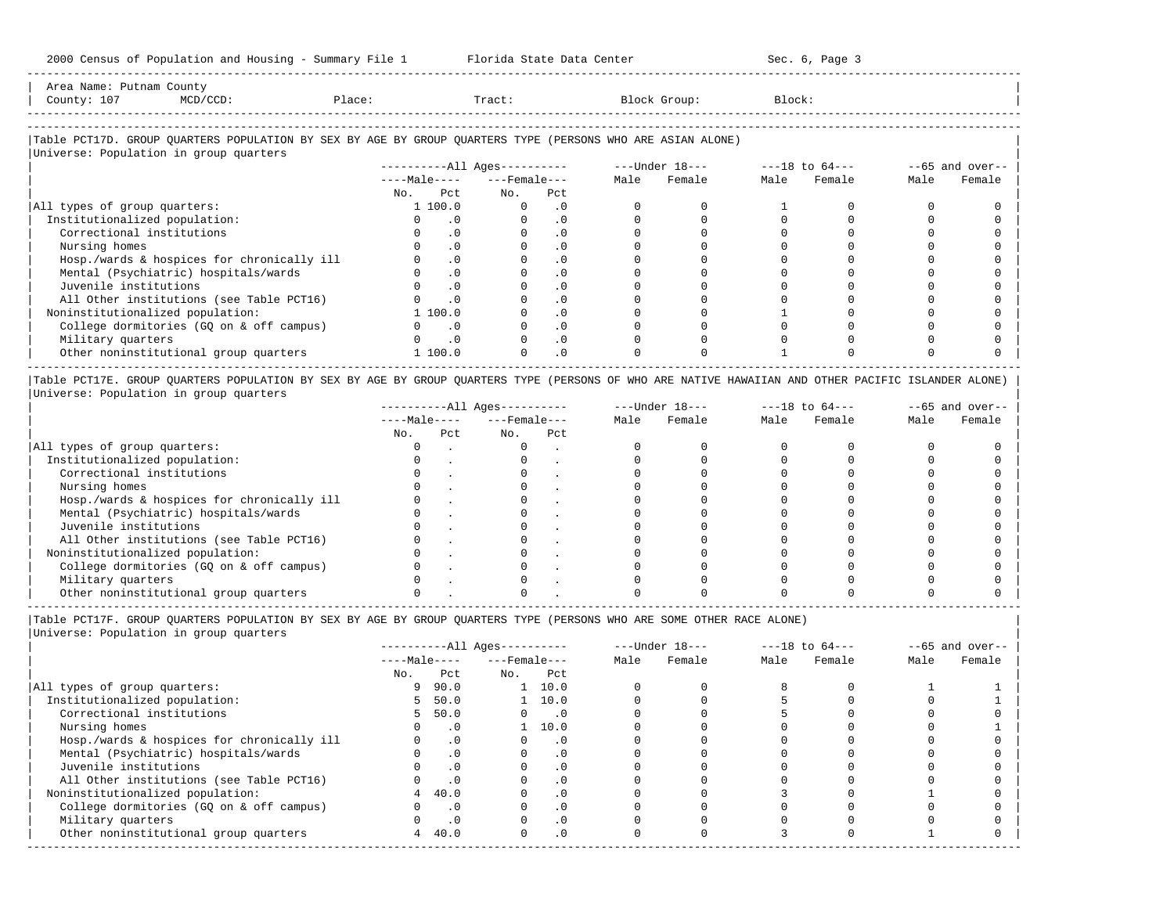| Area<br>Name<br>Putnam | .ounts |      |       |         |        |
|------------------------|--------|------|-------|---------|--------|
| Count,<br><b>LV</b>    |        | 1.71 | Tract | JL OUD. | Block' |
|                        |        |      |       |         |        |

-----------------------------------------------------------------------------------------------------------------------------------------------------

-----------------------------------------------------------------------------------------------------------------------------------------------------

# |Table PCT17D. GROUP QUARTERS POPULATION BY SEX BY AGE BY GROUP QUARTERS TYPE (PERSONS WHO ARE ASIAN ALONE) |

|                                            |     | $------All Aqes------$      |          |                    | $---Under 18---$ |        | $---18$ to $64---$ |        | $--65$ and over-- |        |
|--------------------------------------------|-----|-----------------------------|----------|--------------------|------------------|--------|--------------------|--------|-------------------|--------|
|                                            |     | $---Male---$                |          | $---$ Female $---$ |                  | Female | Male               | Female | Male              | Female |
|                                            | No. | Pct                         | No.      | Pct                |                  |        |                    |        |                   |        |
| All types of group quarters:               |     | 1 100.0                     | $\Omega$ | . 0                |                  |        |                    |        |                   |        |
| Institutionalized population:              |     | . 0                         |          | . 0                |                  |        |                    |        |                   |        |
| Correctional institutions                  |     | $\cdot$ 0                   |          | $\cdot$ 0          |                  |        |                    |        |                   |        |
| Nursing homes                              |     | . 0                         |          |                    |                  |        |                    |        |                   |        |
| Hosp./wards & hospices for chronically ill |     | $\cdot$ 0                   |          | $\cdot$ 0          |                  |        |                    |        |                   |        |
| Mental (Psychiatric) hospitals/wards       |     | $\cdot$ 0                   |          | $\cdot$ 0          |                  |        |                    |        |                   |        |
| Juvenile institutions                      |     | $\cdot$ 0                   |          |                    |                  |        |                    |        |                   |        |
| All Other institutions (see Table PCT16)   |     | $\cdot$ 0                   |          | $\cdot$ 0          |                  |        |                    |        |                   |        |
| Noninstitutionalized population:           |     | 1 100.0                     |          | $\cdot$ 0          |                  |        |                    |        |                   |        |
| College dormitories (GQ on & off campus)   |     | $\overline{\phantom{0}}$ .0 |          | $\cdot$ 0          |                  |        |                    |        |                   |        |
| Military quarters                          |     | $\overline{\phantom{0}}$ .  |          | $\cdot$ 0          |                  |        |                    |        |                   |        |
| Other noninstitutional group quarters      |     | 1 100.0                     |          | $\cdot$ 0          |                  |        |                    |        |                   |        |

|Table PCT17E. GROUP QUARTERS POPULATION BY SEX BY AGE BY GROUP QUARTERS TYPE (PERSONS OF WHO ARE NATIVE HAWAIIAN AND OTHER PACIFIC ISLANDER ALONE) | |Universe: Population in group quarters |

|                                            |              |     | $------All Aqes------$ |     | $---Under 18---$ |        |      | $---18$ to $64---$ | $- -65$ and over-- |        |
|--------------------------------------------|--------------|-----|------------------------|-----|------------------|--------|------|--------------------|--------------------|--------|
|                                            | $---Male---$ |     | $---$ Female $---$     |     | Male             | Female | Male | Female             | Male               | Female |
|                                            | No.          | Pct | No.                    | Pct |                  |        |      |                    |                    |        |
| All types of group quarters:               |              |     |                        |     |                  |        |      |                    |                    |        |
| Institutionalized population:              |              |     |                        |     |                  |        |      |                    |                    |        |
| Correctional institutions                  |              |     |                        |     |                  |        |      |                    |                    |        |
| Nursing homes                              |              |     |                        |     |                  |        |      |                    |                    |        |
| Hosp./wards & hospices for chronically ill |              |     |                        |     |                  |        |      |                    |                    |        |
| Mental (Psychiatric) hospitals/wards       |              |     |                        |     |                  |        |      |                    |                    |        |
| Juvenile institutions                      |              |     |                        |     |                  |        |      |                    |                    |        |
| All Other institutions (see Table PCT16)   |              |     |                        |     |                  |        |      |                    |                    |        |
| Noninstitutionalized population:           |              |     |                        |     |                  |        |      |                    |                    |        |
| College dormitories (GO on & off campus)   |              |     |                        |     |                  |        |      |                    |                    |        |
| Military quarters                          |              |     |                        |     |                  |        |      |                    |                    |        |
| Other noninstitutional group quarters      |              |     |                        |     |                  |        |      |                    |                    |        |

-----------------------------------------------------------------------------------------------------------------------------------------------------

|Table PCT17F. GROUP QUARTERS POPULATION BY SEX BY AGE BY GROUP QUARTERS TYPE (PERSONS WHO ARE SOME OTHER RACE ALONE) |

|                                            |              | $------All Aqes------$ |                    |                |      | $---Under 18---$ |      | $---18$ to $64---$ | $--65$ and over-- |        |
|--------------------------------------------|--------------|------------------------|--------------------|----------------|------|------------------|------|--------------------|-------------------|--------|
|                                            | $---Male---$ |                        | $---$ Female $---$ |                | Male | Female           | Male | Female             | Male              | Female |
|                                            | No.          | Pct                    | No.                | Pct            |      |                  |      |                    |                   |        |
| All types of group quarters:               | 9            | 90.0                   |                    | $1 \quad 10.0$ |      |                  |      |                    |                   |        |
| Institutionalized population:              | $5 -$        | 50.0                   |                    | $1 \quad 10.0$ |      |                  |      |                    |                   |        |
| Correctional institutions                  |              | 5, 50.0                |                    | $\cdot$ 0      |      |                  |      |                    |                   |        |
| Nursing homes                              |              | $\cdot$ 0              |                    | 10.0           |      |                  |      |                    |                   |        |
| Hosp./wards & hospices for chronically ill |              | $\cdot$ 0              |                    | $\cdot$ 0      |      |                  |      |                    |                   |        |
| Mental (Psychiatric) hospitals/wards       |              | $\cdot$ 0              |                    | . 0            |      |                  |      |                    |                   |        |
| Juvenile institutions                      |              | $\cdot$ 0              |                    |                |      |                  |      |                    |                   |        |
| All Other institutions (see Table PCT16)   |              | $\cdot$ 0              |                    |                |      |                  |      |                    |                   |        |
| Noninstitutionalized population:           | 4            | 40.0                   |                    | $\cdot$ 0      |      |                  |      |                    |                   |        |
| College dormitories (GQ on & off campus)   |              | $\cdot$ 0              |                    |                |      |                  |      |                    |                   |        |
| Military quarters                          |              | $\cdot$ 0              |                    | $\cdot$ 0      |      |                  |      |                    |                   |        |
| Other noninstitutional group quarters      | 4            | 40.0                   |                    | .0             |      |                  |      |                    |                   |        |
|                                            |              |                        |                    |                |      |                  |      |                    |                   |        |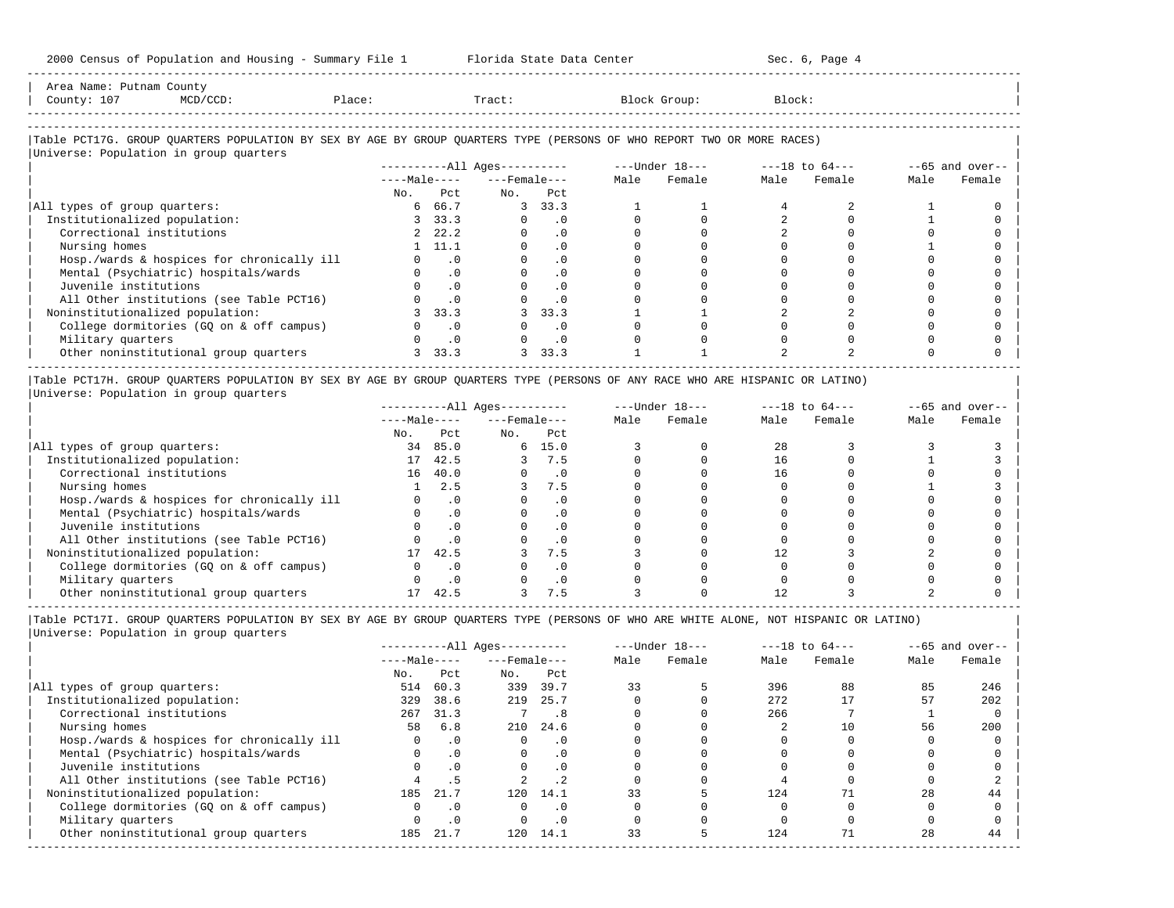2000 Census of Population and Housing - Summary File 1 Florida State Data Center Sec. 6, Page 4 -----------------------------------------------------------------------------------------------------------------------------------------------------

| Area Name: Putnam County<br>County: 107                                                                                | MCD/CCD:                                   | Place: |                | Tract:                       |               |      | Block Group:   | Block:             |        |      |                   |
|------------------------------------------------------------------------------------------------------------------------|--------------------------------------------|--------|----------------|------------------------------|---------------|------|----------------|--------------------|--------|------|-------------------|
| Table PCT17G. GROUP OUARTERS POPULATION BY SEX BY AGE BY GROUP OUARTERS TYPE (PERSONS OF WHO REPORT TWO OR MORE RACES) |                                            |        |                |                              |               |      |                |                    |        |      |                   |
| Universe: Population in group quarters                                                                                 |                                            |        |                |                              |               |      |                |                    |        |      |                   |
|                                                                                                                        |                                            |        |                | ----------All Ages---------- |               |      | ---Under 18--- | $---18$ to $64---$ |        |      | $--65$ and over-- |
|                                                                                                                        |                                            |        |                | $---Male-- ---Female---$     |               | Male | Female         | Male               | Female | Male | Female            |
|                                                                                                                        |                                            | No.    | P.c.t.         | No.                          | Pct           |      |                |                    |        |      |                   |
| All types of group quarters:                                                                                           |                                            |        | 6 66.7         |                              | 3, 33.3       |      |                |                    |        |      |                   |
| Institutionalized population:                                                                                          |                                            |        | 3, 33.3        |                              | $0 \qquad .0$ |      |                |                    |        |      |                   |
| Correctional institutions                                                                                              |                                            |        | 2, 22.2        |                              | $0 \qquad .0$ |      |                |                    |        |      |                   |
| Nursing homes                                                                                                          |                                            |        | $1 \quad 11.1$ | $\Omega$                     | .0            |      |                |                    |        |      |                   |
|                                                                                                                        | Hosp./wards & hospices for chronically ill |        | $\cdot$ 0      |                              | .0            |      |                |                    |        |      |                   |
|                                                                                                                        | Mental (Psychiatric) hospitals/wards       |        |                |                              | $\cap$        |      |                |                    |        |      |                   |

| Mental (Psychiatric) hospitals/wards 0 .0 0 .0 0 0 0 0 0 0 | | Juvenile institutions 0 .0 0 .0 0 0 0 0 0 0 | | All Other institutions (see Table PCT16) 0 .0 0 .0 0 0 0 0 0 0 | | Noninstitutionalized population: 3 33.3 3 33.3 1 1 2 2 0 0 | | College dormitories (GQ on & off campus) 0 .0 0 .0 0 0 0 0 0 0 | | Military quarters 0 .0 0 .0 0 0 0 0 0 0 | | Other noninstitutional group quarters 3 33.3 3 33.3 1 1 2 2 0 0 | -----------------------------------------------------------------------------------------------------------------------------------------------------

|Table PCT17H. GROUP QUARTERS POPULATION BY SEX BY AGE BY GROUP QUARTERS TYPE (PERSONS OF ANY RACE WHO ARE HISPANIC OR LATINO) | |Universe: Population in group quarters |

|                                            |              |           | $------All Aqes------$ |      |      | $---Under 18---$ | $---18$ to $64---$ |        | $--65$ and over-- |        |
|--------------------------------------------|--------------|-----------|------------------------|------|------|------------------|--------------------|--------|-------------------|--------|
|                                            | $---Male---$ |           | $---$ Female $---$     |      | Male | Female           | Male               | Female | Male              | Female |
|                                            | No.          | Pct       | No.                    | Pct  |      |                  |                    |        |                   |        |
| All types of group quarters:               | 34           | 85.0      | 6                      | 15.0 |      |                  | 28                 |        |                   |        |
| Institutionalized population:              | 17           | 42.5      |                        | 7.5  |      |                  | 16                 |        |                   |        |
| Correctional institutions                  | 16           | 40.0      |                        |      |      |                  |                    |        |                   |        |
| Nursing homes                              |              | 2.5       |                        | 7.5  |      |                  |                    |        |                   |        |
| Hosp./wards & hospices for chronically ill |              | . 0       |                        |      |      |                  |                    |        |                   |        |
| Mental (Psychiatric) hospitals/wards       |              |           |                        |      |      |                  |                    |        |                   |        |
| Juvenile institutions                      |              | . 0       |                        |      |      |                  |                    |        |                   |        |
| All Other institutions (see Table PCT16)   |              | $\cdot$ 0 |                        |      |      |                  |                    |        |                   |        |
| Noninstitutionalized population:           |              | 42.5      |                        | 7.5  |      |                  | 12                 |        |                   |        |
| College dormitories (GO on & off campus)   |              | $\cdot$ 0 |                        |      |      |                  |                    |        |                   |        |
| Military quarters                          |              | . 0       |                        |      |      |                  |                    |        |                   |        |
| Other noninstitutional group quarters      |              | 42.5      |                        |      |      |                  |                    |        |                   |        |

|Table PCT17I. GROUP QUARTERS POPULATION BY SEX BY AGE BY GROUP QUARTERS TYPE (PERSONS OF WHO ARE WHITE ALONE, NOT HISPANIC OR LATINO) | |Universe: Population in group quarters |

|                                            |              |           | $------All Ages------$ |           | $---Under 18---$ |        |      | $---18$ to $64---$ | $--65$ and over-- |        |
|--------------------------------------------|--------------|-----------|------------------------|-----------|------------------|--------|------|--------------------|-------------------|--------|
|                                            | $---Male---$ |           | $---$ Female $---$     |           | Male             | Female | Male | Female             | Male              | Female |
|                                            | No.          | Pct       | No.                    | Pct       |                  |        |      |                    |                   |        |
| All types of group quarters:               | 514          | 60.3      | 339                    | 39.7      | 33               |        | 396  | 88                 | 85                | 246    |
| Institutionalized population:              | 329          | 38.6      | 219                    | 25.7      |                  |        | 272  |                    | 57                | 202    |
| Correctional institutions                  | 267          | 31.3      |                        | - 8       |                  |        | 266  |                    |                   |        |
| Nursing homes                              | 58           | 6.8       | 210                    | 24.6      |                  |        |      | 10                 | 56                | 200    |
| Hosp./wards & hospices for chronically ill | $\Omega$     | $\cdot$ 0 |                        | $\cdot$ 0 |                  |        |      |                    |                   |        |
| Mental (Psychiatric) hospitals/wards       |              | $\cdot$ 0 | $\Omega$               | $\cdot$ 0 |                  |        |      |                    |                   |        |
| Juvenile institutions                      |              |           |                        | $\cdot$ 0 |                  |        |      |                    |                   |        |
| All Other institutions (see Table PCT16)   |              |           |                        | .2        |                  |        |      |                    |                   |        |
| Noninstitutionalized population:           | 185          | 21.7      | 120                    | 14.1      | 33               |        | 124  |                    | 28                | 44     |
| College dormitories (GO on & off campus)   |              | . 0       |                        | . 0       |                  |        |      |                    |                   |        |
| Military quarters                          |              | $\cdot$ 0 |                        | . 0       |                  |        |      |                    |                   |        |
| Other noninstitutional group quarters      | 185          | 21.7      | 120                    | 14.1      | 33               |        | 124  |                    | 28                | 44     |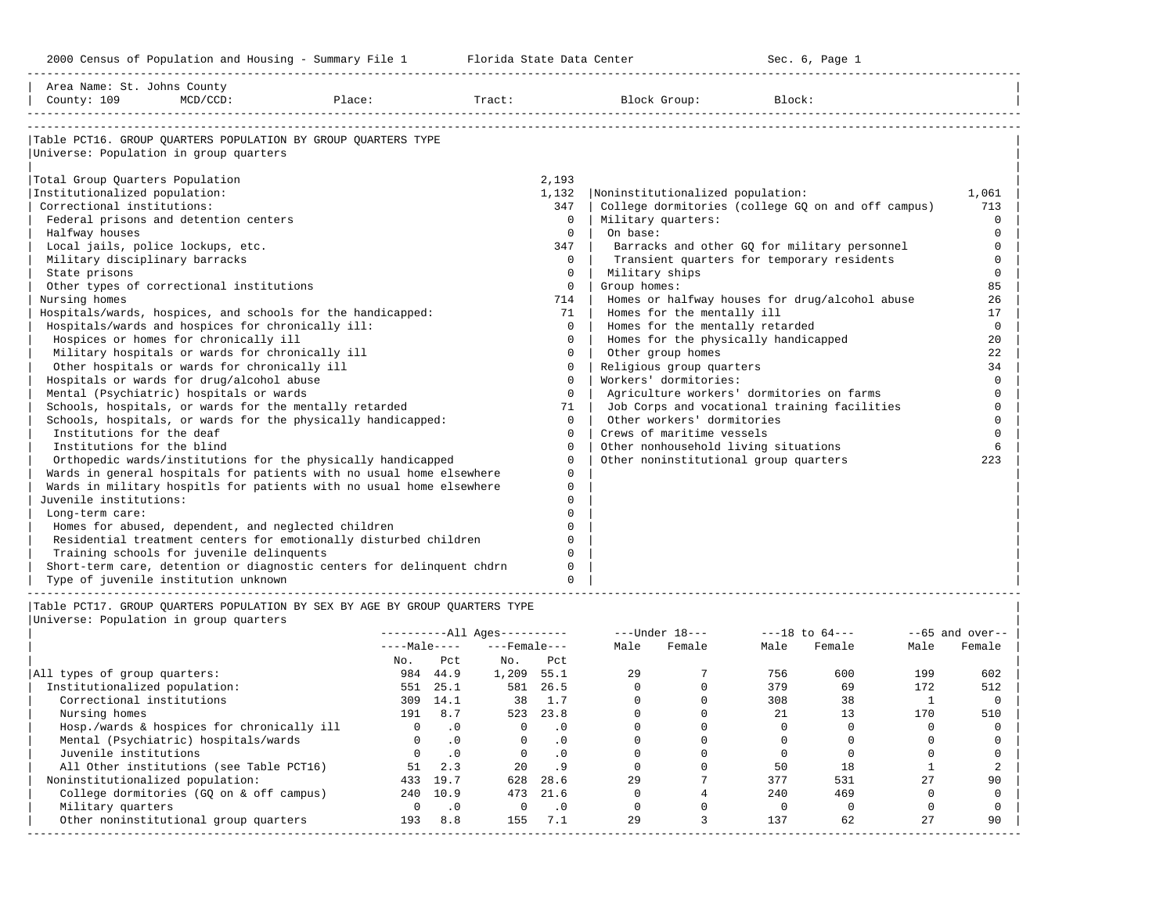| Area Name: St. Johns County<br>County: 109                                                                                                                                                                                                                                                                                                                                  | $MCD / CCD$ :                                                                                                                                                                                                                                                                                                                                                                                                                                                                                                          | Place:                                                                                                                                                                                                                                                                                                                                                                                                                                                                                                                                                                                                              |                                                                           |                                                                                                                                                                                                                                                                                                                                  | Tract: Block Group:                                                                                                                                                                                                                                                                                                                                                                                                                                                              | Block:                                                                                                                                                                                                                                             |                                                                                                                                                                                                        |
|-----------------------------------------------------------------------------------------------------------------------------------------------------------------------------------------------------------------------------------------------------------------------------------------------------------------------------------------------------------------------------|------------------------------------------------------------------------------------------------------------------------------------------------------------------------------------------------------------------------------------------------------------------------------------------------------------------------------------------------------------------------------------------------------------------------------------------------------------------------------------------------------------------------|---------------------------------------------------------------------------------------------------------------------------------------------------------------------------------------------------------------------------------------------------------------------------------------------------------------------------------------------------------------------------------------------------------------------------------------------------------------------------------------------------------------------------------------------------------------------------------------------------------------------|---------------------------------------------------------------------------|----------------------------------------------------------------------------------------------------------------------------------------------------------------------------------------------------------------------------------------------------------------------------------------------------------------------------------|----------------------------------------------------------------------------------------------------------------------------------------------------------------------------------------------------------------------------------------------------------------------------------------------------------------------------------------------------------------------------------------------------------------------------------------------------------------------------------|----------------------------------------------------------------------------------------------------------------------------------------------------------------------------------------------------------------------------------------------------|--------------------------------------------------------------------------------------------------------------------------------------------------------------------------------------------------------|
| Universe: Population in group quarters<br>Total Group Quarters Population<br>Institutionalized population:<br>Correctional institutions:<br>Halfway houses<br>Local jails, police lockups, etc.<br>Military disciplinary barracks<br>State prisons<br>Nursing homes<br>Institutions for the deaf<br>Institutions for the blind<br>Juvenile institutions:<br>Long-term care: | Federal prisons and detention centers<br>Other types of correctional institutions<br>Hospitals/wards and hospices for chronically ill:<br>Hospices or homes for chronically ill<br>Military hospitals or wards for chronically ill<br>Other hospitals or wards for chronically ill<br>Hospitals or wards for drug/alcohol abuse<br>Mental (Psychiatric) hospitals or wards<br>Homes for abused, dependent, and neglected children<br>Training schools for juvenile delinquents<br>Type of juvenile institution unknown | Table PCT16. GROUP OUARTERS POPULATION BY GROUP OUARTERS TYPE<br>Hospitals/wards, hospices, and schools for the handicapped:<br>Schools, hospitals, or wards for the mentally retarded<br>Schools, hospitals, or wards for the physically handicapped:<br>Orthopedic wards/institutions for the physically handicapped<br>Wards in general hospitals for patients with no usual home elsewhere<br>Wards in military hospitls for patients with no usual home elsewhere<br>Residential treatment centers for emotionally disturbed children<br>Short-term care, detention or diagnostic centers for delinquent chdrn |                                                                           | 2,193<br>1,132<br>347<br>$\Omega$<br>$\Omega$<br>347<br>$\Omega$<br>$\mathbf 0$<br>$\Omega$<br>714<br>71<br>0<br>$\Omega$<br>0<br>$\Omega$<br>$\Omega$<br>$\Omega$<br>71<br>$\Omega$<br>$\Omega$<br>$\Omega$<br>$\Omega$<br>$\Omega$<br>$\Omega$<br>$\cap$<br>$\Omega$<br>$\Omega$<br>$\Omega$<br>$\Omega$<br>$\Omega$<br>$\cap$ | Noninstitutionalized population:<br>Military quarters:<br>On base:<br>Military ships<br>Group homes:<br>Homes for the mentally ill<br>Homes for the mentally retarded<br>Homes for the physically handicapped<br>Other group homes<br>Religious group quarters<br>Workers' dormitories:<br>Agriculture workers' dormitories on farms<br>Other workers' dormitories<br>Crews of maritime vessels<br>Other nonhousehold living situations<br>Other noninstitutional group quarters | College dormitories (college GO on and off campus)<br>Barracks and other GQ for military personnel<br>Transient quarters for temporary residents<br>Homes or halfway houses for drug/alcohol abuse<br>Job Corps and vocational training facilities | 1,061<br>713<br>$\Omega$<br>$\Omega$<br>$\Omega$<br>$\Omega$<br>$\mathbf 0$<br>85<br>26<br>17<br>$\mathbf 0$<br>20<br>22<br>34<br>$\Omega$<br>$\Omega$<br>$\Omega$<br>$\Omega$<br>$\Omega$<br>6<br>223 |
| Universe: Population in group quarters                                                                                                                                                                                                                                                                                                                                      |                                                                                                                                                                                                                                                                                                                                                                                                                                                                                                                        | Table PCT17. GROUP OUARTERS POPULATION BY SEX BY AGE BY GROUP OUARTERS TYPE                                                                                                                                                                                                                                                                                                                                                                                                                                                                                                                                         | ----------All Ages----------<br>$---Male-- ---Female---$<br>No Pet No Pet |                                                                                                                                                                                                                                                                                                                                  | ---Under 18--- ---18 to 64---<br>Male Female                                                                                                                                                                                                                                                                                                                                                                                                                                     | Male Female<br>Male                                                                                                                                                                                                                                | $--65$ and over--<br>Female                                                                                                                                                                            |

| No.                                        |              | Pct       | No.      | Pct       |    |     |     |     |     |
|--------------------------------------------|--------------|-----------|----------|-----------|----|-----|-----|-----|-----|
| All types of group quarters:               | 984          | 44.9      | 1,209    | 55.1      | 29 | 756 | 600 | 199 | 602 |
| Institutionalized population:              | 551          | 25.1      | 581      | 26.5      |    | 379 | 69  | 172 | 512 |
| Correctional institutions                  | 309          | 14.1      | 38       | 1.7       |    | 308 | 38  |     |     |
| Nursing homes                              | 191          | 8.7       | 523      | 23.8      |    | 21  |     | 170 | 510 |
| Hosp./wards & hospices for chronically ill |              | $\cdot$ 0 |          | $\cdot$ 0 |    |     |     |     |     |
| Mental (Psychiatric) hospitals/wards       | <sup>n</sup> | .0        | $\Omega$ | $\cdot$ 0 |    |     |     |     |     |
| Juvenile institutions                      |              | .0        |          | $\cdot$ 0 |    |     |     |     |     |
| All Other institutions (see Table PCT16)   | 51           | 2.3       | 2.0      | .9        |    | 50  | 18  |     |     |
| Noninstitutionalized population:           | 433          | 19.7      | 628      | 28.6      | 29 | 377 | 531 | 27  | 90  |
| College dormitories (GQ on & off campus)   | 240          | 10.9      | 473      | 21.6      |    | 240 | 469 |     |     |
| Military quarters                          |              | $\cdot$ 0 |          | $\cdot$ 0 |    |     |     |     |     |
| Other noninstitutional group quarters      | 193          | 8.8       | 155      | 7.1       | 29 | 137 | 62  | 27  | 90  |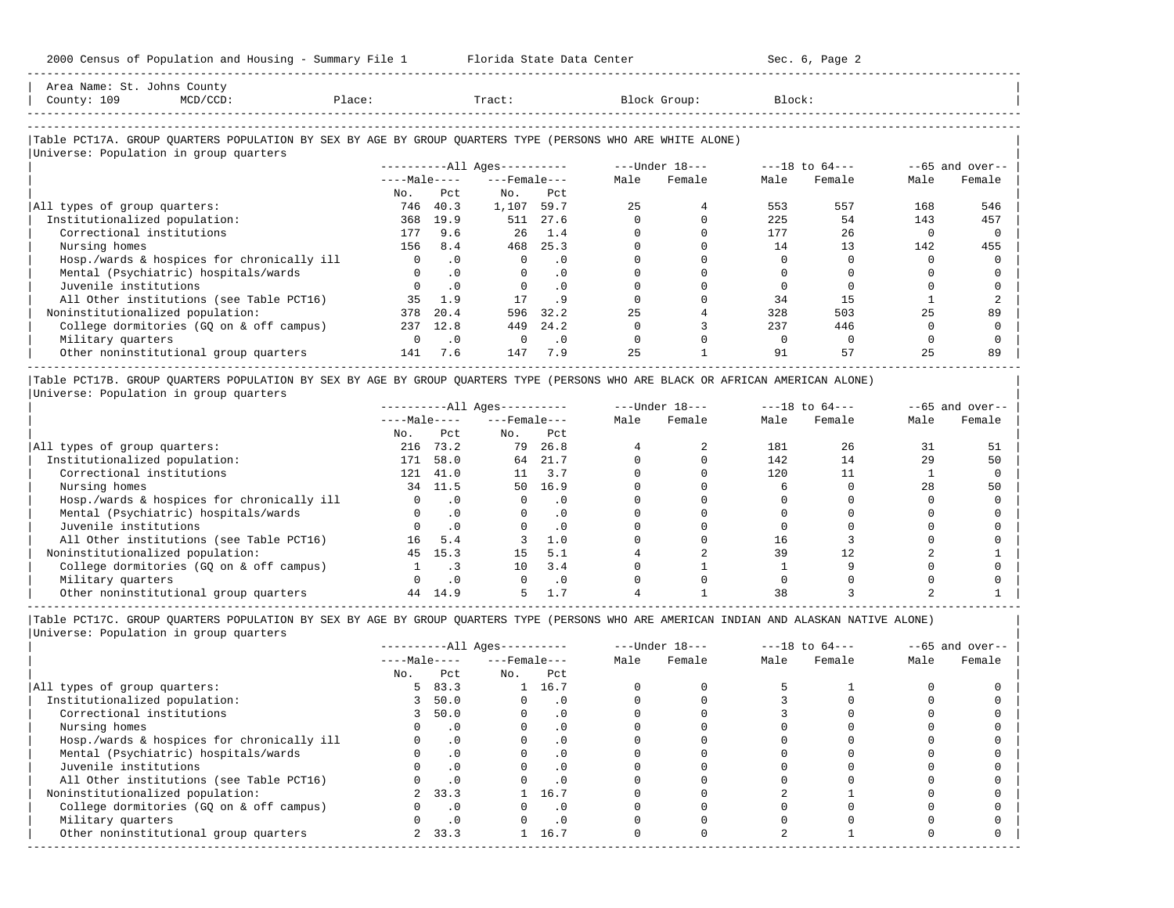| Area Name: St. Johns County<br>County: 109 | MCD/CCD:                               | Place: | Tract:                       | Block Group:                                                                                               | Block:         |                          |
|--------------------------------------------|----------------------------------------|--------|------------------------------|------------------------------------------------------------------------------------------------------------|----------------|--------------------------|
|                                            | Universe: Population in group quarters |        |                              | Table PCT17A. GROUP OUARTERS POPULATION BY SEX BY AGE BY GROUP OUARTERS TYPE (PERSONS WHO ARE WHITE ALONE) |                |                          |
|                                            |                                        |        | ----------All Ages---------- | ---Under 18---                                                                                             | ---18 to 64--- | $-65$ and over-- $\vert$ |

-----------------------------------------------------------------------------------------------------------------------------------------------------

|                                            |              |           | ----------All Ages--------- |           |      | ---vilder ro--- |      | ---IQ LU 04--- |      | $--$ bb dilu over |
|--------------------------------------------|--------------|-----------|-----------------------------|-----------|------|-----------------|------|----------------|------|-------------------|
|                                            | $---Male---$ |           | $---$ Female $---$          |           | Male | Female          | Male | Female         | Male | Female            |
|                                            | No.          | Pct       | No.                         | Pct       |      |                 |      |                |      |                   |
| All types of group quarters:               | 746          | 40.3      | 1,107                       | 59.7      | 2.5  |                 | 553  | 557            | 168  | 546               |
| Institutionalized population:              | 368          | 19.9      | 511                         | 27.6      |      |                 | 225  | 54             | 143  | 457               |
| Correctional institutions                  |              | 9.6       | 26                          | 1.4       |      |                 | 177  | 26             |      |                   |
| Nursing homes                              | 156          | 8.4       | 468                         | 25.3      |      |                 | 14   |                | 142  | 455               |
| Hosp./wards & hospices for chronically ill |              | $\cdot$ 0 |                             | $\Omega$  |      |                 |      |                |      |                   |
| Mental (Psychiatric) hospitals/wards       |              | $\cdot$ 0 |                             | . 0       |      |                 |      |                |      |                   |
| Juvenile institutions                      |              | $\cdot$ 0 |                             | $\cdot$ 0 |      |                 |      |                |      |                   |
| All Other institutions (see Table PCT16)   | 35           | 1.9       |                             |           |      |                 | 34   |                |      |                   |
| Noninstitutionalized population:           | 378          | 20.4      | 596                         | 32.2      | 25   |                 | 328  | 503            | 25   | 89                |
| College dormitories (GO on & off campus)   | 237          | 12.8      | 449                         | 24.2      |      |                 | 237  | 446            |      |                   |
| Military quarters                          |              | . 0       |                             | . 0       |      |                 |      |                |      |                   |
| Other noninstitutional group quarters      | 141          | 7.6       | 147                         | 7.9       | 25   |                 | 91   | 57             | 25   | 89                |

|Table PCT17B. GROUP QUARTERS POPULATION BY SEX BY AGE BY GROUP QUARTERS TYPE (PERSONS WHO ARE BLACK OR AFRICAN AMERICAN ALONE) | |Universe: Population in group quarters |

|                                            |              |           | $------All Aqes------$ |           |      | $---Under 18---$ | $---18$ to $64---$ |        | $--65$ and over-- |        |
|--------------------------------------------|--------------|-----------|------------------------|-----------|------|------------------|--------------------|--------|-------------------|--------|
|                                            | $---Male---$ |           | $---$ Female $---$     |           | Male | Female           | Male               | Female | Male              | Female |
|                                            | No.          | Pct       | No.                    | Pct       |      |                  |                    |        |                   |        |
| All types of group quarters:               | 216          | 73.2      | 79                     | 26.8      |      |                  | 181                | 26     | 31                | 51     |
| Institutionalized population:              | 171          | 58.0      | 64                     | 21.7      |      |                  | 142                | 14     | 29                | 50     |
| Correctional institutions                  | 121          | 41.0      | 11                     | 3.7       |      |                  | 120                |        |                   |        |
| Nursing homes                              | 34           | 11.5      | 50                     | 16.9      |      |                  |                    |        | 28                | 50     |
| Hosp./wards & hospices for chronically ill |              | $\cdot$ 0 |                        | $\cdot$ 0 |      |                  |                    |        |                   |        |
| Mental (Psychiatric) hospitals/wards       |              |           |                        | $\cdot$ 0 |      |                  |                    |        |                   |        |
| Juvenile institutions                      |              | $\cdot$ 0 |                        | . 0       |      |                  |                    |        |                   |        |
| All Other institutions (see Table PCT16)   | 16           | 5.4       |                        | 1.0       |      |                  | 16                 |        |                   |        |
| Noninstitutionalized population:           | 45           | 15.3      | 15                     | 5.1       |      |                  | 39                 |        |                   |        |
| College dormitories (GQ on & off campus)   |              |           | 10                     | 3.4       |      |                  |                    |        |                   |        |
| Military quarters                          |              |           |                        | . 0       |      |                  |                    |        |                   |        |
| Other noninstitutional group quarters      | 44           | 14.9      |                        |           |      |                  |                    |        |                   |        |

-----------------------------------------------------------------------------------------------------------------------------------------------------

|Table PCT17C. GROUP QUARTERS POPULATION BY SEX BY AGE BY GROUP QUARTERS TYPE (PERSONS WHO ARE AMERICAN INDIAN AND ALASKAN NATIVE ALONE) | |Universe: Population in group quarters |

|                                            |              |           | $------All Aqes------$ |           |      | $---Under 18---$ |      | $---18$ to $64---$ |      | $--65$ and over-- |
|--------------------------------------------|--------------|-----------|------------------------|-----------|------|------------------|------|--------------------|------|-------------------|
|                                            | $---Male---$ |           | $---$ Female $---$     |           | Male | Female           | Male | Female             | Male | Female            |
|                                            | No.          | Pct       | No.                    | Pct       |      |                  |      |                    |      |                   |
| All types of group quarters:               | 5.           | 83.3      |                        | 1 16.7    |      |                  |      |                    |      |                   |
| Institutionalized population:              |              | 50.0      |                        | $\cdot$ 0 |      |                  |      |                    |      |                   |
| Correctional institutions                  |              | 50.0      |                        | . 0       |      |                  |      |                    |      |                   |
| Nursing homes                              |              |           |                        | . 0       |      |                  |      |                    |      |                   |
| Hosp./wards & hospices for chronically ill |              | $\cdot$ 0 |                        |           |      |                  |      |                    |      |                   |
| Mental (Psychiatric) hospitals/wards       |              | $\cdot$ 0 |                        | . 0       |      |                  |      |                    |      |                   |
| Juvenile institutions                      |              |           |                        | $\cdot$ 0 |      |                  |      |                    |      |                   |
| All Other institutions (see Table PCT16)   |              | $\cdot$ 0 |                        |           |      |                  |      |                    |      |                   |
| Noninstitutionalized population:           |              | 2 33.3    |                        | 16.7      |      |                  |      |                    |      |                   |
| College dormitories (GQ on & off campus)   |              | $\cdot$ 0 |                        | $\cdot$ 0 |      |                  |      |                    |      |                   |
| Military quarters                          |              | $\cdot$ 0 |                        | $\cdot$ 0 |      |                  |      |                    |      |                   |
| Other noninstitutional group quarters      |              | 2, 33.3   |                        | 16.7      |      |                  |      |                    |      |                   |
|                                            |              |           |                        |           |      |                  |      |                    |      |                   |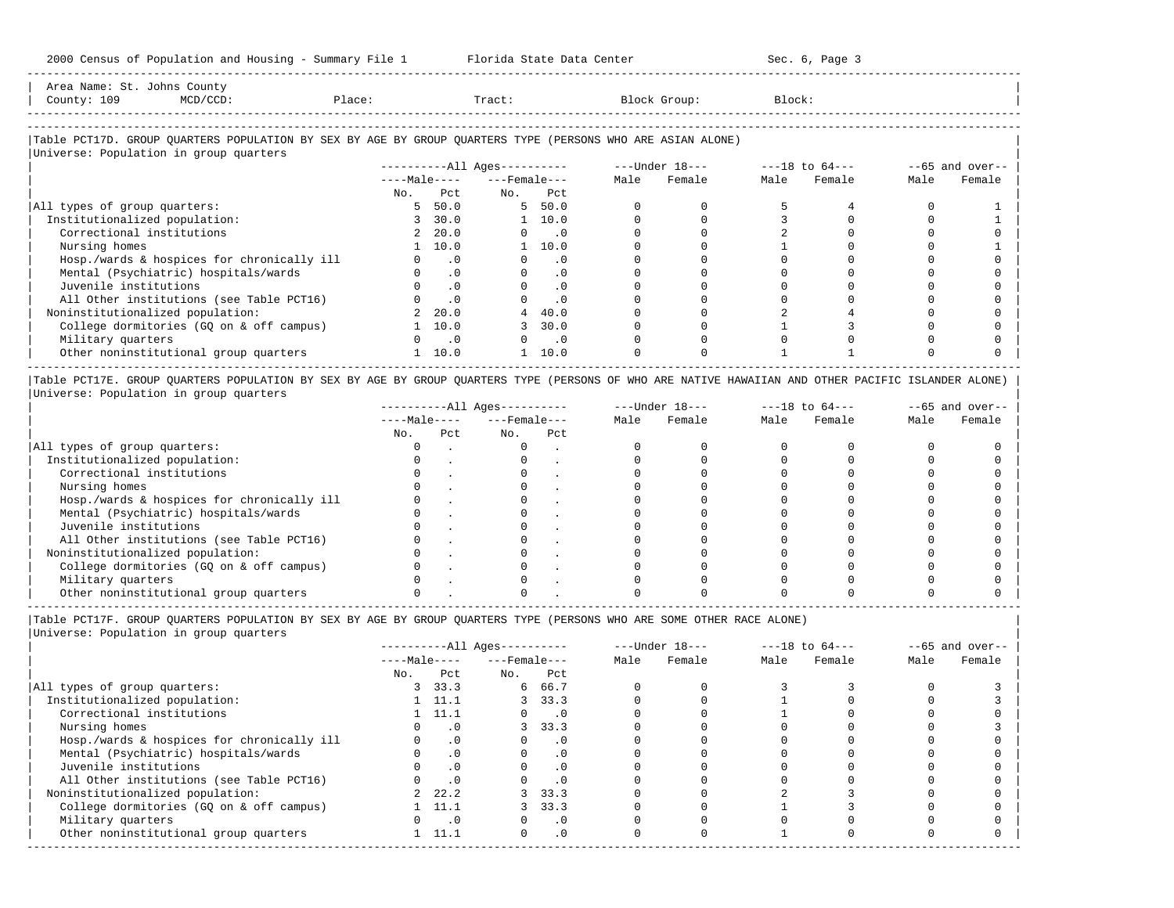|             | Area Name: St. Johns County |        |        |                                                                                                            |        |  |
|-------------|-----------------------------|--------|--------|------------------------------------------------------------------------------------------------------------|--------|--|
| County: 109 | MCD/CCD:                    | Place: | Tract: | Block Group:                                                                                               | Block: |  |
|             |                             |        |        |                                                                                                            |        |  |
|             |                             |        |        |                                                                                                            |        |  |
|             |                             |        |        | Table PCT17D. GROUP OUARTERS POPULATION BY SEX BY AGE BY GROUP OUARTERS TYPE (PERSONS WHO ARE ASIAN ALONE) |        |  |

-----------------------------------------------------------------------------------------------------------------------------------------------------

|                                            |              |                | $------All Aqes------$ |                             |      | ---Under 18--- |      | $---18$ to $64---$ | $--65$ and over-- |        |
|--------------------------------------------|--------------|----------------|------------------------|-----------------------------|------|----------------|------|--------------------|-------------------|--------|
|                                            | $---Male---$ |                | $---$ Female $---$     |                             | Male | Female         | Male | Female             | Male              | Female |
|                                            | No.          | Pct            | No.                    | Pct                         |      |                |      |                    |                   |        |
| All types of group quarters:               | 5.           | 50.0           |                        | 5, 50.0                     |      |                |      |                    |                   |        |
| Institutionalized population:              | 3            | 30.0           |                        | $1 \quad 10.0$              |      |                |      |                    |                   |        |
| Correctional institutions                  | 2            | 20.0           | $\Omega$               | $\overline{\phantom{0}}$ .0 |      |                |      |                    |                   |        |
| Nursing homes                              |              | 1 10.0         |                        | $1 \quad 10.0$              |      |                |      |                    |                   |        |
| Hosp./wards & hospices for chronically ill |              | $\cdot$ 0      |                        | $\cdot$ 0                   |      |                |      |                    |                   |        |
| Mental (Psychiatric) hospitals/wards       |              | $\cdot$ 0      |                        | $\cdot$ 0                   |      |                |      |                    |                   |        |
| Juvenile institutions                      |              | $\cdot$ 0      |                        | $\cdot$ 0                   |      |                |      |                    |                   |        |
| All Other institutions (see Table PCT16)   |              | $\cdot$ 0      |                        | $\cdot$ 0                   |      |                |      |                    |                   |        |
| Noninstitutionalized population:           |              | 20.0           | 4                      | 40.0                        |      |                |      |                    |                   |        |
| College dormitories (GQ on & off campus)   |              | 10.0           |                        | 30.0                        |      |                |      |                    |                   |        |
| Military quarters                          | 0            | $\overline{0}$ |                        | $\overline{\phantom{0}}$ .0 |      |                |      |                    |                   |        |
| Other noninstitutional group quarters      |              | 10.0           |                        | 10.0                        |      |                |      |                    |                   |        |

|Table PCT17E. GROUP QUARTERS POPULATION BY SEX BY AGE BY GROUP QUARTERS TYPE (PERSONS OF WHO ARE NATIVE HAWAIIAN AND OTHER PACIFIC ISLANDER ALONE) | |Universe: Population in group quarters |

|                                            |              |     | $------All Aqes------$ |     |      | $---Under 18---$ | $---18$ to $64---$ |        | $--65$ and over-- |        |
|--------------------------------------------|--------------|-----|------------------------|-----|------|------------------|--------------------|--------|-------------------|--------|
|                                            | $---Male---$ |     | $---$ Female $---$     |     | Male | Female           | Male               | Female | Male              | Female |
|                                            | No.          | Pct | No.                    | Pct |      |                  |                    |        |                   |        |
| All types of group quarters:               |              |     |                        |     |      |                  |                    |        |                   |        |
| Institutionalized population:              |              |     |                        |     |      |                  |                    |        |                   |        |
| Correctional institutions                  |              |     |                        |     |      |                  |                    |        |                   |        |
| Nursing homes                              |              |     |                        |     |      |                  |                    |        |                   |        |
| Hosp./wards & hospices for chronically ill |              |     |                        |     |      |                  |                    |        |                   |        |
| Mental (Psychiatric) hospitals/wards       |              |     |                        |     |      |                  |                    |        |                   |        |
| Juvenile institutions                      |              |     |                        |     |      |                  |                    |        |                   |        |
| All Other institutions (see Table PCT16)   |              |     |                        |     |      |                  |                    |        |                   |        |
| Noninstitutionalized population:           |              |     |                        |     |      |                  |                    |        |                   |        |
| College dormitories (GO on & off campus)   |              |     |                        |     |      |                  |                    |        |                   |        |
| Military quarters                          |              |     |                        |     |      |                  |                    |        |                   |        |
| Other noninstitutional group quarters      |              |     |                        |     |      |                  |                    |        |                   |        |

----------------------------------------------------------------------------------------------------------------------------------------------------- |Table PCT17F. GROUP QUARTERS POPULATION BY SEX BY AGE BY GROUP QUARTERS TYPE (PERSONS WHO ARE SOME OTHER RACE ALONE) |

|                                            |              |                | $------All Aqes------$ |                             | $---Under 18---$ |        | $---18$ to $64---$ |        | $--65$ and over-- |        |
|--------------------------------------------|--------------|----------------|------------------------|-----------------------------|------------------|--------|--------------------|--------|-------------------|--------|
|                                            | $---Male---$ |                | $---$ Female $---$     |                             | Male             | Female | Male               | Female | Male              | Female |
|                                            | No.          | Pct            | No.                    | Pct                         |                  |        |                    |        |                   |        |
| All types of group quarters:               |              | 3, 33.3        | 6                      | 66.7                        |                  |        |                    |        |                   |        |
| Institutionalized population:              |              | $1 \quad 11.1$ |                        | 3, 33.3                     |                  |        |                    |        |                   |        |
| Correctional institutions                  |              | $1 \quad 11.1$ | 0                      | $\overline{\phantom{0}}$ .0 |                  |        |                    |        |                   |        |
| Nursing homes                              |              | $\cdot$ 0      | 3                      | 33.3                        |                  |        |                    |        |                   |        |
| Hosp./wards & hospices for chronically ill |              | .0             |                        | $\cdot$ 0                   |                  |        |                    |        |                   |        |
| Mental (Psychiatric) hospitals/wards       |              | $\cdot$ 0      |                        | $\cdot$ 0                   |                  |        |                    |        |                   |        |
| Juvenile institutions                      |              | .0             |                        | $\cdot$ 0                   |                  |        |                    |        |                   |        |
| All Other institutions (see Table PCT16)   |              | $\cdot$ 0      |                        | .0                          |                  |        |                    |        |                   |        |
| Noninstitutionalized population:           |              | 2, 22, 2       |                        | 3, 33.3                     |                  |        |                    |        |                   |        |
| College dormitories (GQ on & off campus)   |              | 11.1           |                        | 33.3                        |                  |        |                    |        |                   |        |
| Military quarters                          |              | $\cdot$ 0      |                        | $\cdot$ 0                   |                  |        |                    |        |                   |        |
| Other noninstitutional group quarters      |              | 11.1           | $\Omega$               | $\cdot$ 0                   |                  |        |                    |        |                   |        |
|                                            |              |                |                        |                             |                  |        |                    |        |                   |        |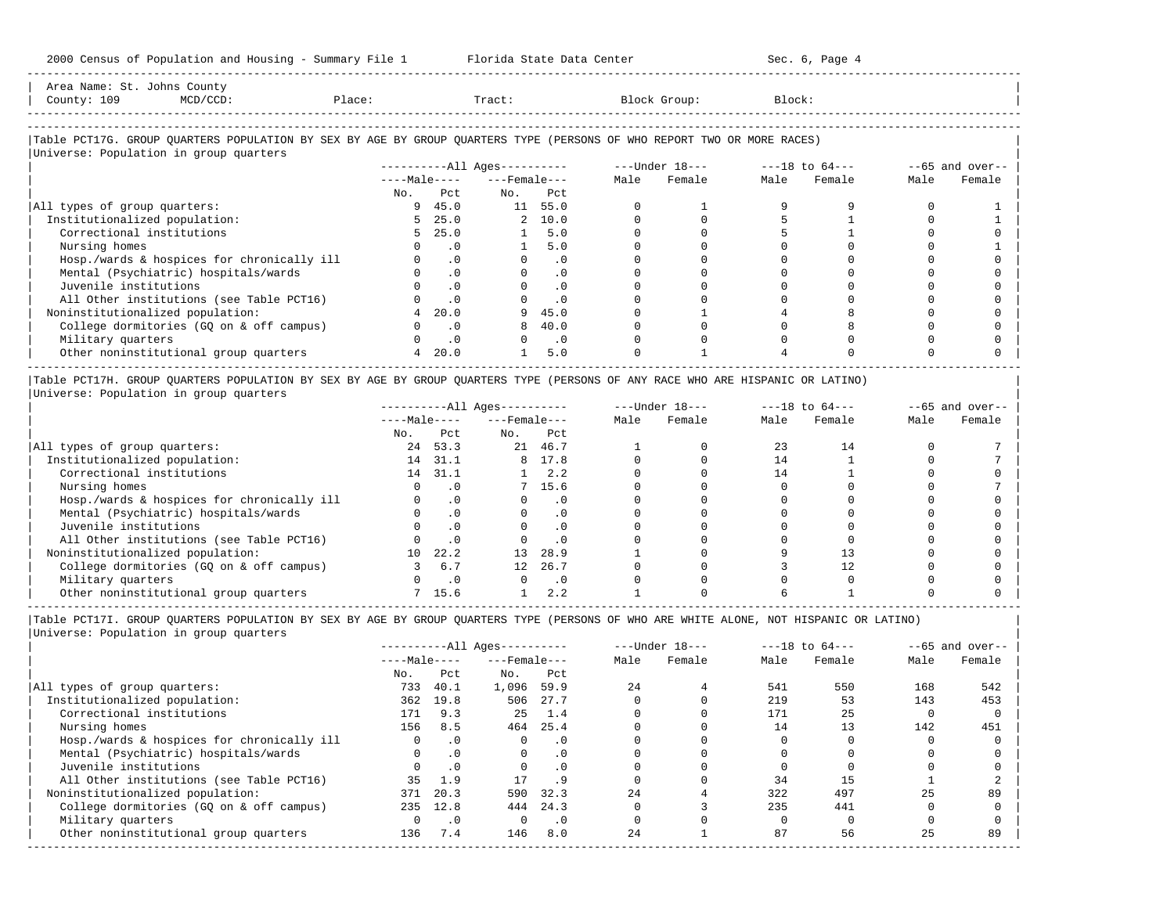2000 Census of Population and Housing - Summary File 1 Florida State Data Center Sec. 6, Page 4 -----------------------------------------------------------------------------------------------------------------------------------------------------

| Area Name: St. Johns County<br>County: 109<br>MCD/CCD:<br>Place:                                                       |     |                             | Tract:                 |         |      | Block Group:   | Block:             |        |      |                   |
|------------------------------------------------------------------------------------------------------------------------|-----|-----------------------------|------------------------|---------|------|----------------|--------------------|--------|------|-------------------|
| Table PCT17G. GROUP QUARTERS POPULATION BY SEX BY AGE BY GROUP QUARTERS TYPE (PERSONS OF WHO REPORT TWO OR MORE RACES) |     |                             |                        |         |      |                |                    |        |      |                   |
| Universe: Population in group quarters                                                                                 |     |                             |                        |         |      |                |                    |        |      |                   |
|                                                                                                                        |     |                             | $------All Aqes------$ |         |      | ---Under 18--- | $---18$ to $64---$ |        |      | $--65$ and over-- |
|                                                                                                                        |     |                             | $---Male-- ---Female$  |         | Male | Female         | Male               | Female | Male | Female            |
|                                                                                                                        | No. | Pct.                        | No.                    | Pct     |      |                |                    |        |      |                   |
| All types of group quarters:                                                                                           |     | 945.0                       |                        | 11 55.0 |      |                |                    |        |      |                   |
| Institutionalized population:                                                                                          |     | 5, 25.0                     |                        | 2 10.0  |      |                |                    |        |      |                   |
| Correctional institutions                                                                                              |     | 5, 25.0                     |                        | 1, 5, 0 |      |                |                    |        |      |                   |
| Nursing homes                                                                                                          |     | $\overline{\phantom{0}}$ .0 |                        | 5.0     |      |                |                    |        |      |                   |
| Hosp./wards & hospices for chronically ill                                                                             |     | $\cdot$ 0                   | $\Omega$               | .0      |      |                |                    |        |      |                   |
| Mental (Psychiatric) hospitals/wards                                                                                   |     | $\cdot$ 0                   |                        | .0      |      |                |                    |        |      |                   |
|                                                                                                                        |     |                             |                        |         |      |                |                    |        |      |                   |

| Correctional institutions 5 25.0 1 5.0 0 0 5 1 0 0 | | Nursing homes 0 .0 1 5.0 0 0 0 0 0 1 | | Hosp./wards & hospices for chronically ill 0 .0 0 .0 0 0 0 0 0 0 | | Mental (Psychiatric) hospitals/wards 0 .0 0 .0 0 0 0 0 0 0 | | Juvenile institutions 0 .0 0 .0 0 0 0 0 0 0 | | All Other institutions (see Table PCT16) 0 .0 0 .0 0 0 0 0 0 0 | | Noninstitutionalized population: 4 20.0 9 45.0 0 1 4 8 0 0 | | College dormitories (GQ on & off campus) 0 .0 8 40.0 0 0 0 8 0 0 | | Military quarters 0 .0 0 .0 0 0 0 0 0 0 | | Other noninstitutional group quarters 4 20.0 1 5.0 0 1 4 0 0 0 |

|Table PCT17H. GROUP QUARTERS POPULATION BY SEX BY AGE BY GROUP QUARTERS TYPE (PERSONS OF ANY RACE WHO ARE HISPANIC OR LATINO) | |Universe: Population in group quarters |

-----------------------------------------------------------------------------------------------------------------------------------------------------

|                                            |              |           | $------All Ages------$ |        | $---Under 18---$ |        | $---18$ to $64---$ |        | $- -65$ and over-- |        |
|--------------------------------------------|--------------|-----------|------------------------|--------|------------------|--------|--------------------|--------|--------------------|--------|
|                                            | $---Male---$ |           | $---$ Female $---$     |        | Male             | Female | Male               | Female | Male               | Female |
|                                            | No.          | Pct       | No.                    | Pct    |                  |        |                    |        |                    |        |
| All types of group quarters:               | 24           | 53.3      | 21                     | 46.7   |                  |        | 23                 | 14     |                    |        |
| Institutionalized population:              | 14           | 31.1      | 8                      | 17.8   |                  |        | 14                 |        |                    |        |
| Correctional institutions                  | 14           | 31.1      |                        | 2.2    |                  |        |                    |        |                    |        |
| Nursing homes                              |              | . 0       |                        | 7 15.6 |                  |        |                    |        |                    |        |
| Hosp./wards & hospices for chronically ill |              | . 0       |                        | . 0    |                  |        |                    |        |                    |        |
| Mental (Psychiatric) hospitals/wards       |              | $\cdot$ 0 |                        |        |                  |        |                    |        |                    |        |
| Juvenile institutions                      |              | . 0       |                        |        |                  |        |                    |        |                    |        |
| All Other institutions (see Table PCT16)   |              | $\cdot$ 0 |                        |        |                  |        |                    |        |                    |        |
| Noninstitutionalized population:           | 10           | 22.2      | 13                     | 28.9   |                  |        |                    |        |                    |        |
| College dormitories (GO on & off campus)   |              | 6.7       | 12                     | 26.7   |                  |        |                    |        |                    |        |
| Military quarters                          |              | . 0       |                        | . 0    |                  |        |                    |        |                    |        |
| Other noninstitutional group quarters      |              | 15.6      |                        | 2.2    |                  |        |                    |        |                    |        |

|Table PCT17I. GROUP QUARTERS POPULATION BY SEX BY AGE BY GROUP QUARTERS TYPE (PERSONS OF WHO ARE WHITE ALONE, NOT HISPANIC OR LATINO) | |Universe: Population in group quarters |

|                                            |              |           | $------All Aqes------$ |           | $---Under 18---$ |        | $---18$ to $64---$ |        |      | $--65$ and over-- |
|--------------------------------------------|--------------|-----------|------------------------|-----------|------------------|--------|--------------------|--------|------|-------------------|
|                                            | $---Male---$ |           | $---$ Female $---$     |           | Male             | Female | Male               | Female | Male | Female            |
|                                            | No.          | Pct       | No.                    | Pct       |                  |        |                    |        |      |                   |
| All types of group quarters:               | 733          | 40.1      | 1,096                  | 59.9      | 2.4              |        | 541                | 550    | 168  | 542               |
| Institutionalized population:              | 362          | 19.8      | 506                    | 27.7      |                  |        | 219                | 53     | 143  | 453               |
| Correctional institutions                  | 171          | 9.3       | 25                     | 1.4       |                  |        | 171                | 25     |      |                   |
| Nursing homes                              | 156          | 8.5       | 464                    | 25.4      |                  |        | 14                 | 13     | 142  | 451               |
| Hosp./wards & hospices for chronically ill | $\Omega$     | $\cdot$ 0 |                        | $\cdot$ 0 |                  |        |                    |        |      |                   |
| Mental (Psychiatric) hospitals/wards       | $\Omega$     | $\cdot$ 0 | $\Omega$               | . 0       |                  |        |                    |        |      |                   |
| Juvenile institutions                      |              |           |                        | $\cdot$ 0 |                  |        |                    |        |      |                   |
| All Other institutions (see Table PCT16)   | 35           | 1.9       |                        | . 9       |                  |        | 34                 |        |      |                   |
| Noninstitutionalized population:           | 371          | 20.3      | 590                    | 32.3      | 24               |        | 322                | 497    | 25   | 89                |
| College dormitories (GO on & off campus)   | 235          | 12.8      | 444                    | 24.3      |                  |        | 235                | 441    |      |                   |
| Military quarters                          |              | $\cdot$ 0 |                        | $\cdot$ 0 |                  |        |                    |        |      |                   |
| Other noninstitutional group quarters      | 136          | 7.4       | 146                    | 8.0       | 24               |        | 87                 | 56     | 25   | 89                |
|                                            |              |           |                        |           |                  |        |                    |        |      |                   |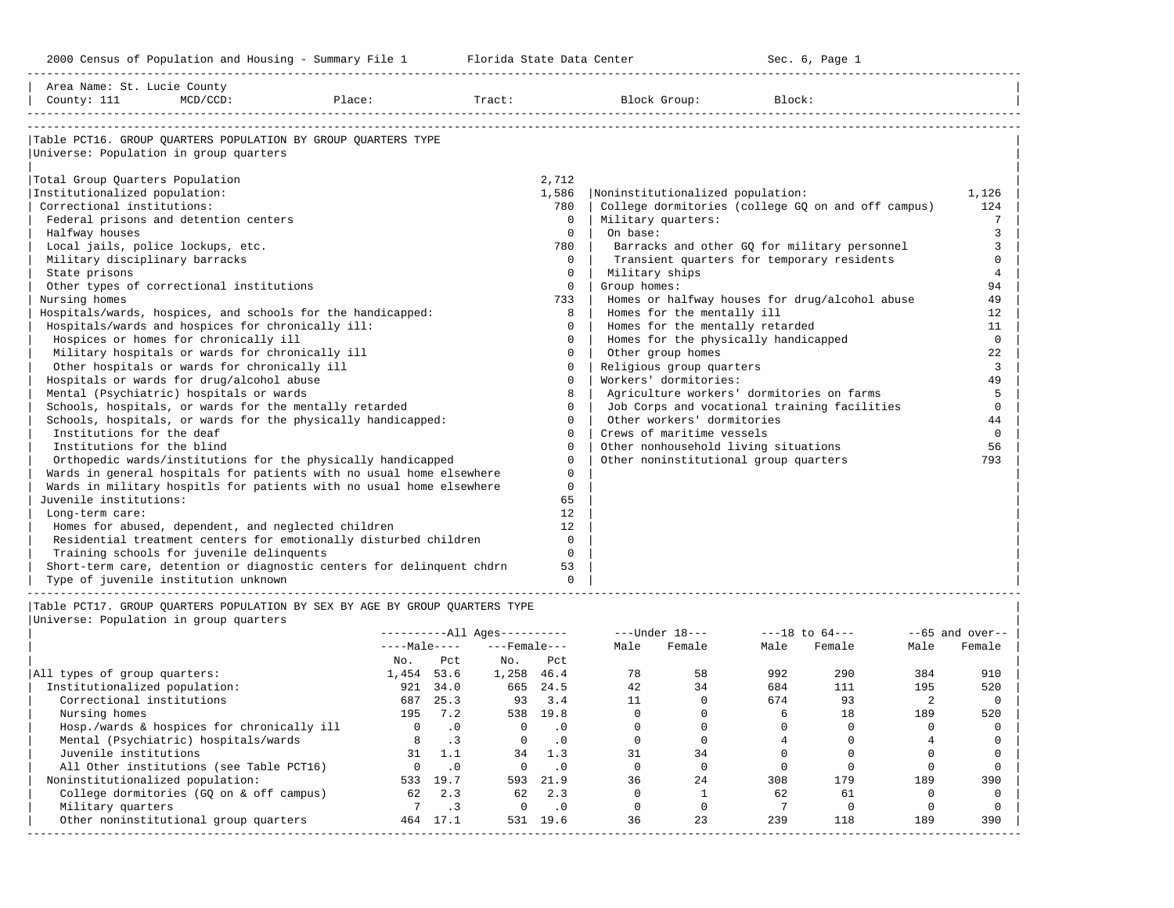| Area Name: St. Lucie County<br>County: 111<br>$MCD/CCD$ :<br>Place:                                                                                                                                                                                                                                                                     |                        |                                              | Tract:                         |                                                                         |                                                                      | Block Group:                                                                                                                             | Block:                             |                                                                                                    |                                                 |                                                    |
|-----------------------------------------------------------------------------------------------------------------------------------------------------------------------------------------------------------------------------------------------------------------------------------------------------------------------------------------|------------------------|----------------------------------------------|--------------------------------|-------------------------------------------------------------------------|----------------------------------------------------------------------|------------------------------------------------------------------------------------------------------------------------------------------|------------------------------------|----------------------------------------------------------------------------------------------------|-------------------------------------------------|----------------------------------------------------|
| Table PCT16. GROUP OUARTERS POPULATION BY GROUP OUARTERS TYPE<br>Universe: Population in group quarters<br>Total Group Quarters Population<br>Institutionalized population:<br>Correctional institutions:<br>Federal prisons and detention centers<br>Halfway houses<br>Local jails, police lockups, etc.                               |                        |                                              |                                | 2,712<br>1,586<br>780<br>$\Omega$<br>$\Omega$<br>780                    | Noninstitutionalized population:<br>Military quarters:  <br>On base: |                                                                                                                                          |                                    | College dormitories (college GQ on and off campus)<br>Barracks and other GQ for military personnel |                                                 | 1,126<br>124<br>7<br>3<br>3                        |
| Military disciplinary barracks<br>State prisons<br>Other types of correctional institutions<br>Nursing homes<br>Hospitals/wards, hospices, and schools for the handicapped:<br>Hospitals/wards and hospices for chronically ill:                                                                                                        |                        |                                              |                                | $\Omega$<br>$\Omega$<br>0<br>733<br>8<br>0                              | Military ships<br>Group homes:                                       | Homes for the mentally ill<br>Homes for the mentally retarded                                                                            |                                    | Transient quarters for temporary residents<br>Homes or halfway houses for drug/alcohol abuse       |                                                 | $\Omega$<br>$\overline{4}$<br>94<br>49<br>12<br>11 |
| Hospices or homes for chronically ill<br>Military hospitals or wards for chronically ill<br>Other hospitals or wards for chronically ill<br>Hospitals or wards for drug/alcohol abuse<br>Mental (Psychiatric) hospitals or wards<br>Schools, hospitals, or wards for the mentally retarded                                              |                        |                                              |                                | $\Omega$<br>0<br>0<br>0<br>8<br>$\Omega$                                |                                                                      | Homes for the physically handicapped<br>Other group homes<br>Religious group quarters<br>Workers' dormitories:                           |                                    | Agriculture workers' dormitories on farms<br>Job Corps and vocational training facilities          |                                                 | 0<br>22<br>3<br>49<br>5<br>$\Omega$                |
| Schools, hospitals, or wards for the physically handicapped:<br>Institutions for the deaf<br>Institutions for the blind<br>Orthopedic wards/institutions for the physically handicapped<br>Wards in general hospitals for patients with no usual home elsewhere<br>Wards in military hospitls for patients with no usual home elsewhere |                        |                                              |                                | $\Omega$<br>$\Omega$<br>$\Omega$<br>$\Omega$<br>$\Omega$<br>$\mathbf 0$ |                                                                      | Other workers' dormitories<br>Crews of maritime vessels<br>Other nonhousehold living situations<br>Other noninstitutional group quarters |                                    |                                                                                                    |                                                 | 44<br>$\Omega$<br>56<br>793                        |
| Juvenile institutions:<br>Long-term care:<br>Homes for abused, dependent, and neglected children<br>Residential treatment centers for emotionally disturbed children<br>Training schools for juvenile delinquents<br>Short-term care, detention or diagnostic centers for delinquent chdrn<br>Type of juvenile institution unknown      |                        |                                              |                                | 65<br>12<br>12<br>$\Omega$<br>$\Omega$<br>53<br>$\Omega$                |                                                                      |                                                                                                                                          |                                    |                                                                                                    |                                                 |                                                    |
| Table PCT17. GROUP OUARTERS POPULATION BY SEX BY AGE BY GROUP OUARTERS TYPE<br>Universe: Population in group quarters                                                                                                                                                                                                                   |                        |                                              | $------All Aqes------$         |                                                                         |                                                                      | $---Under 18---$                                                                                                                         |                                    | $---18$ to $64---$                                                                                 |                                                 | $- -65$ and over--                                 |
|                                                                                                                                                                                                                                                                                                                                         | $---Male---$<br>No.    | Pct                                          | ---Female---<br>$\mathbb N$ o. | Pct                                                                     |                                                                      | Male Female                                                                                                                              | Male                               | Female                                                                                             | Male                                            | Female                                             |
| All types of group quarters:<br>Institutionalized population:<br>Correctional institutions<br>Nursing homes<br>Hosp./wards & hospices for chronically ill                                                                                                                                                                               | 1,454 53.6<br>$\Omega$ | 921 34.0<br>687 25.3<br>195 7.2<br>$\cdot$ 0 | 1,258 46.4<br>$\Omega$         | 665 24.5<br>93 3.4<br>538 19.8<br>$\cdot$ 0                             | 78<br>42<br>11<br>$\circ$<br>$\Omega$                                | 58<br>34<br>$\circ$<br>$\mathbf 0$<br>$\Omega$                                                                                           | 992<br>684<br>674<br>6<br>$\Omega$ | 290<br>111<br>93<br>18<br>$\Omega$                                                                 | 384<br>195<br>$\overline{2}$<br>189<br>$\Omega$ | 910<br>520<br>$\circ$<br>520<br>$\mathbf 0$        |

|                                            |              |           | $------All Ages------$ |           |      | $---$ Under $18---$ |      | $---18$ to $64---$ |      | $--65$ and over-- |
|--------------------------------------------|--------------|-----------|------------------------|-----------|------|---------------------|------|--------------------|------|-------------------|
|                                            | $---Male---$ |           | $---$ Female $---$     |           | Male | Female              | Male | Female             | Male | Female            |
|                                            | No.          | Pct.      | No.                    | Pct       |      |                     |      |                    |      |                   |
| All types of group quarters:               | 1,454        | 53.6      | 1,258                  | 46.4      | 78   | 58                  | 992  | 290                | 384  | 910               |
| Institutionalized population:              | 921          | 34.0      | 665                    | 24.5      | 42   | 34                  | 684  | 111                | 195  | 520               |
| Correctional institutions                  | 687          | 25.3      | 93                     | 3.4       |      |                     | 674  | 93                 |      |                   |
| Nursing homes                              | 195          | 7.2       | 538                    | 19.8      |      |                     |      | 18                 | 189  | 520               |
| Hosp./wards & hospices for chronically ill |              | $\cdot$ 0 | $\Omega$               | $\cdot$ 0 |      |                     |      |                    |      |                   |
| Mental (Psychiatric) hospitals/wards       |              | $\cdot$ 3 |                        | . 0       |      |                     |      |                    |      |                   |
| Juvenile institutions                      | 31           | 1.1       | 34                     | 1.3       | 31   | 34                  |      |                    |      |                   |
| All Other institutions (see Table PCT16)   |              | $\cdot$ 0 |                        | . 0       |      |                     |      |                    |      |                   |
| Noninstitutionalized population:           | 533          | 19.7      | 593                    | 21.9      | 36   | 24                  | 308  | 179                | 189  | 390               |
| College dormitories (GO on & off campus)   | 62           | 2.3       | 62                     | 2.3       |      |                     | 62   | 61                 |      |                   |
| Military quarters                          |              |           |                        | . 0       |      |                     |      |                    |      |                   |
| Other noninstitutional group quarters      | 464          | 17.1      | 531                    | 19.6      | 36   | 23                  | 239  | 118                | 189  | 390               |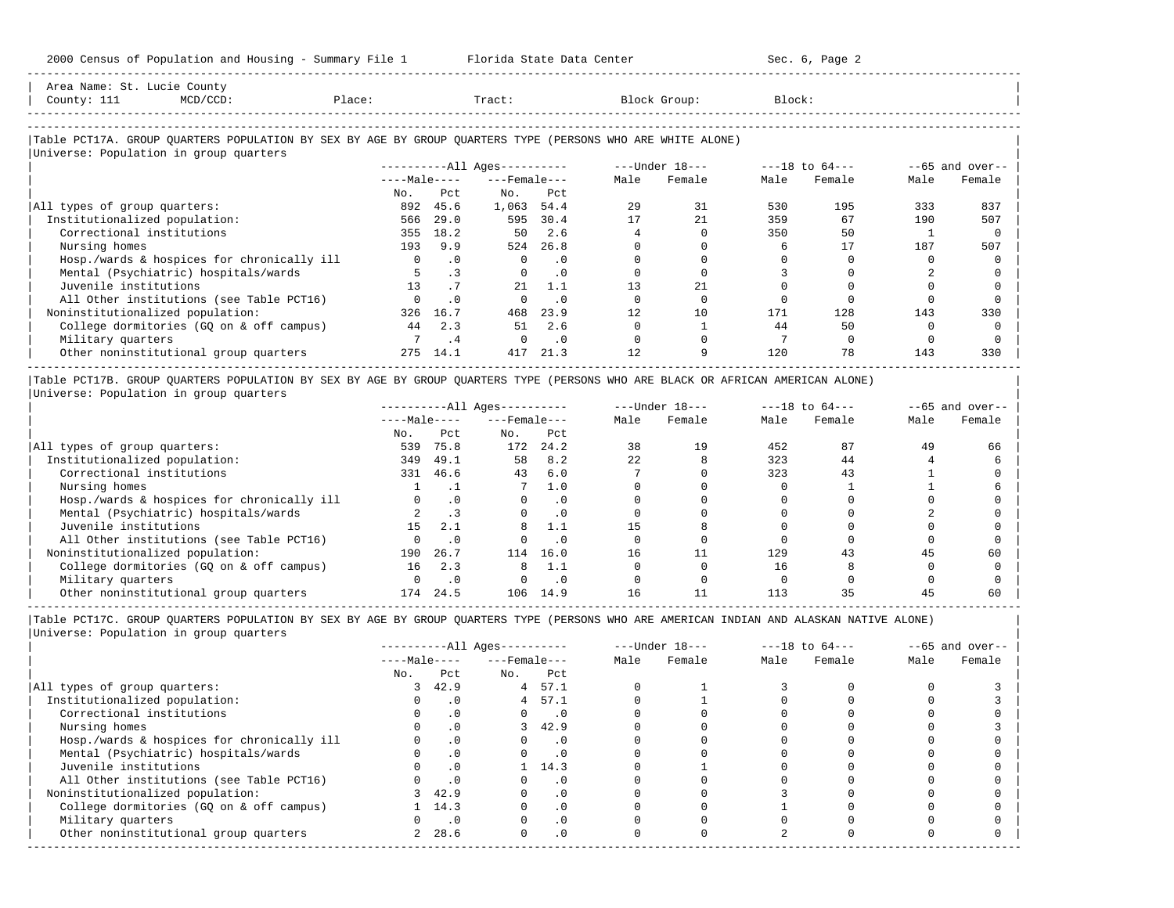| Area Name: St. Lucie County<br>County: 111<br>$MCD/CCD$ :<br>Place:                                        |              |           | Tract:                       |           |      | Block Group:   | Block: |                    |      |                   |
|------------------------------------------------------------------------------------------------------------|--------------|-----------|------------------------------|-----------|------|----------------|--------|--------------------|------|-------------------|
| Table PCT17A. GROUP QUARTERS POPULATION BY SEX BY AGE BY GROUP QUARTERS TYPE (PERSONS WHO ARE WHITE ALONE) |              |           |                              |           |      |                |        |                    |      |                   |
| Universe: Population in group quarters                                                                     |              |           |                              |           |      |                |        |                    |      |                   |
|                                                                                                            |              |           | ----------All Ages---------- |           |      | ---Under 18--- |        | $---18$ to $64---$ |      | $--65$ and over-- |
|                                                                                                            | $---Male---$ |           | $---$ Female $---$           |           | Male | Female         | Male   | Female             | Male | Female            |
|                                                                                                            | No.          | Pct       | No.                          | Pct       |      |                |        |                    |      |                   |
| All types of group quarters:                                                                               | 892          | 45.6      | 1,063                        | 54.4      | 29   | 31             | 530    | 195                | 333  | 837               |
| Institutionalized population:                                                                              | 566          | 29.0      | 595                          | 30.4      |      | 21             | 359    | 67                 | 190  | 507               |
| Correctional institutions                                                                                  | 355          | 18.2      | 50                           | 2.6       |      |                | 350    | 50                 |      |                   |
| Nursing homes                                                                                              | 193          | 9.9       |                              | 524 26.8  |      |                |        |                    | 187  | 507               |
| Hosp./wards & hospices for chronically ill                                                                 | $\mathbf{0}$ | $\cdot$ 0 | $\mathbf{0}$                 | $\cdot$ 0 |      |                |        |                    |      |                   |
| Mental (Psychiatric) hospitals/wards                                                                       |              | $\cdot$ 3 | 0                            | $\cdot$ 0 |      |                |        |                    |      |                   |
| Juvenile institutions                                                                                      | 13           | .7        | 21                           | 1.1       | 13   | 21             |        |                    |      |                   |
| All Other institutions (see Table PCT16)                                                                   |              | $\cdot$ 0 |                              | $\cdot$ 0 |      |                |        |                    |      |                   |
| Noninstitutionalized population:                                                                           | 326          | 16.7      | 468                          | 23.9      | 12   | 10             | 171    | 128                | 143  | 330               |
| College dormitories (GQ on & off campus)                                                                   | 44           | 2.3       | 51                           | 2.6       |      |                | 44     | 50                 |      |                   |

| Military quarters 7 .4 0 .0 0 0 7 0 0 0 | 0ther noninstitutional group quarters  $275 \quad 14.1$   $417 \quad 21.3$   $12$  9  $120$   $78$  143 330

|Table PCT17B. GROUP QUARTERS POPULATION BY SEX BY AGE BY GROUP QUARTERS TYPE (PERSONS WHO ARE BLACK OR AFRICAN AMERICAN ALONE) | |Universe: Population in group quarters |

-----------------------------------------------------------------------------------------------------------------------------------------------------

|                                            |              |           | $------All Aqes------$ |      |      | $---Under 18---$ | $---18$ to $64---$ |        |      | $--65$ and over-- |
|--------------------------------------------|--------------|-----------|------------------------|------|------|------------------|--------------------|--------|------|-------------------|
|                                            | $---Male---$ |           | $---$ Female $---$     |      | Male | Female           | Male               | Female | Male | Female            |
|                                            | No.          | Pct       | No.                    | Pct  |      |                  |                    |        |      |                   |
| All types of group quarters:               | 539          | 75.8      | 172                    | 24.2 | 38   | 19               | 452                | 87     | 49   | 66                |
| Institutionalized population:              | 349          | 49.1      | 58                     | 8.2  | 22   |                  | 323                | 44     |      |                   |
| Correctional institutions                  | 331          | 46.6      | 43                     | 6.0  |      |                  | 323                | 43     |      |                   |
| Nursing homes                              |              |           |                        | 1.0  |      |                  |                    |        |      |                   |
| Hosp./wards & hospices for chronically ill |              |           |                        | . 0  |      |                  |                    |        |      |                   |
| Mental (Psychiatric) hospitals/wards       |              |           |                        | . 0  |      |                  |                    |        |      |                   |
| Juvenile institutions                      | 15           | 2.1       | 8                      | 1.1  |      |                  |                    |        |      |                   |
| All Other institutions (see Table PCT16)   |              |           |                        | . 0  |      |                  |                    |        |      |                   |
| Noninstitutionalized population:           | 190          | 26.7      | 114                    | 16.0 | 16   |                  | 129                | 43     | 45   | 60                |
| College dormitories (GO on & off campus)   | 16           | 2.3       | 8                      | 1.1  |      |                  | 16                 |        |      |                   |
| Military quarters                          |              | $\cdot$ 0 |                        | . 0  |      |                  |                    |        |      |                   |
| Other noninstitutional group quarters      | 174          | 24.5      | 106                    | 14.9 | 16   |                  | 113                |        |      | 60                |

-----------------------------------------------------------------------------------------------------------------------------------------------------

|Table PCT17C. GROUP QUARTERS POPULATION BY SEX BY AGE BY GROUP QUARTERS TYPE (PERSONS WHO ARE AMERICAN INDIAN AND ALASKAN NATIVE ALONE) | |Universe: Population in group quarters |

|                                            |                |           | $------All Ages------$ |                | $---Under 18---$ |        | $---18$ to $64---$ |        |      | $--65$ and over-- |
|--------------------------------------------|----------------|-----------|------------------------|----------------|------------------|--------|--------------------|--------|------|-------------------|
|                                            | $---Male---$   |           | $---$ Female $---$     |                | Male             | Female | Male               | Female | Male | Female            |
|                                            | No.            | Pct       | No.                    | Pct            |                  |        |                    |        |      |                   |
| All types of group quarters:               |                | 42.9      | 4                      | 57.1           |                  |        |                    |        |      |                   |
| Institutionalized population:              |                |           | $4\overline{ }$        | 57.1           |                  |        |                    |        |      |                   |
| Correctional institutions                  |                | .0        | $\Omega$               | $\cdot$ 0      |                  |        |                    |        |      |                   |
| Nursing homes                              |                | $\cdot$ 0 |                        | 42.9           |                  |        |                    |        |      |                   |
| Hosp./wards & hospices for chronically ill |                |           |                        | . 0            |                  |        |                    |        |      |                   |
| Mental (Psychiatric) hospitals/wards       |                | $\cdot$ 0 |                        | $\overline{0}$ |                  |        |                    |        |      |                   |
| Juvenile institutions                      |                | $\cdot$ 0 |                        | 14.3           |                  |        |                    |        |      |                   |
| All Other institutions (see Table PCT16)   |                |           |                        | . 0            |                  |        |                    |        |      |                   |
| Noninstitutionalized population:           |                | 42.9      |                        | $\Omega$ .     |                  |        |                    |        |      |                   |
| College dormitories (GQ on & off campus)   |                | 1, 14.3   |                        | $\cdot$ 0      |                  |        |                    |        |      |                   |
| Military quarters                          |                | $\cdot$ 0 |                        | $\cdot$ 0      |                  |        |                    |        |      |                   |
| Other noninstitutional group quarters      | $\overline{2}$ | 28.6      | $\Omega$               | $\cdot$ 0      |                  |        |                    |        |      |                   |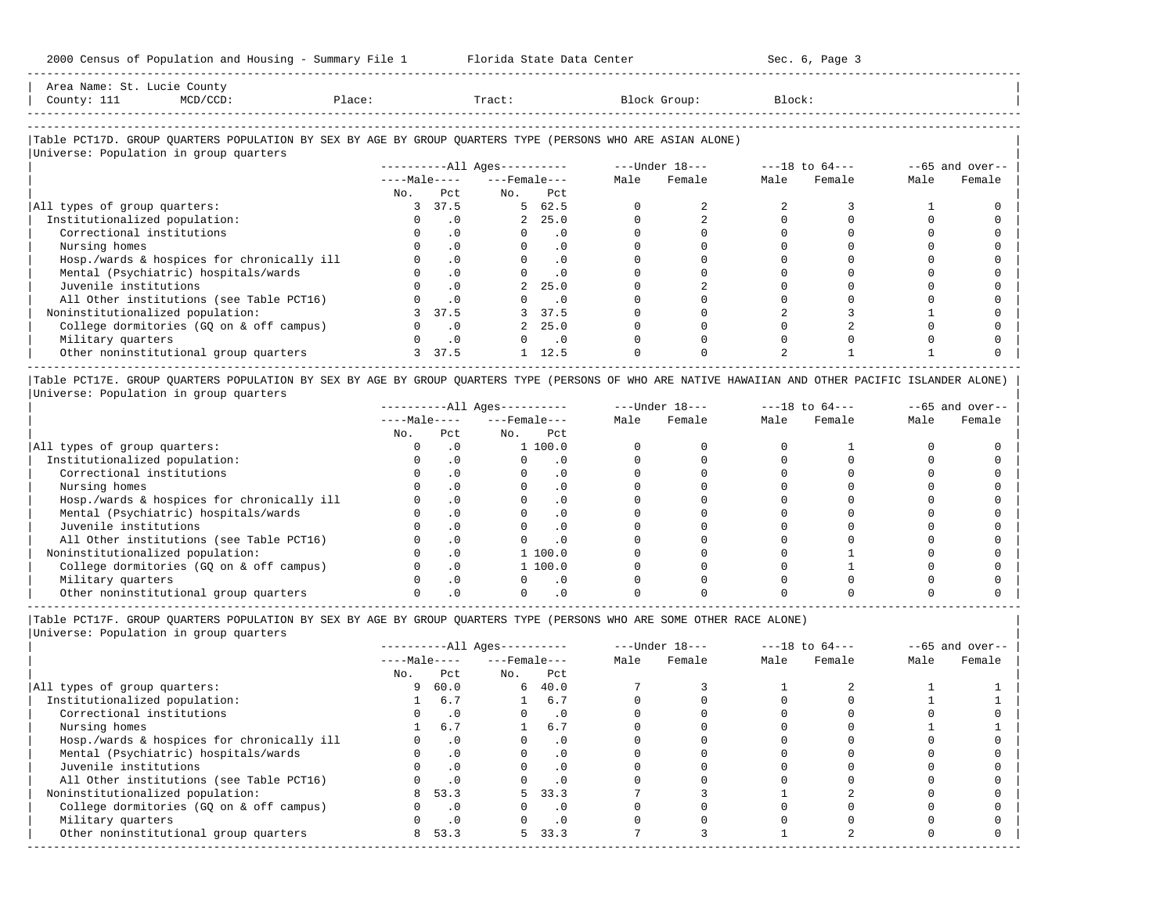| Area Name:<br>.St.   | Lucie Countv |        |       |       |        |  |
|----------------------|--------------|--------|-------|-------|--------|--|
| County:<br>---       |              | Place: | Tract | Group | Block: |  |
| -------------------- |              |        |       |       |        |  |

-----------------------------------------------------------------------------------------------------------------------------------------------------

# |Table PCT17D. GROUP QUARTERS POPULATION BY SEX BY AGE BY GROUP QUARTERS TYPE (PERSONS WHO ARE ASIAN ALONE) |

|                                            |               |           | $------All Ages------$ |                             | $---Under 18---$ |        | $---18$ to $64---$ |        |      | $--65$ and over-- |
|--------------------------------------------|---------------|-----------|------------------------|-----------------------------|------------------|--------|--------------------|--------|------|-------------------|
|                                            | $---Male---$  |           | $---$ Female $---$     |                             | Male             | Female | Male               | Female | Male | Female            |
|                                            | No.           | Pct       | No.                    | Pct                         |                  |        |                    |        |      |                   |
| All types of group quarters:               | 3             | 37.5      |                        | 5 62.5                      |                  |        |                    |        |      |                   |
| Institutionalized population:              |               | $\cdot$ 0 |                        | 2, 25.0                     |                  |        |                    |        |      |                   |
| Correctional institutions                  |               | $\cdot$ 0 |                        | $\cdot$ 0                   |                  |        |                    |        |      |                   |
| Nursing homes                              |               | $\cdot$ 0 |                        | $\cdot$ 0                   |                  |        |                    |        |      |                   |
| Hosp./wards & hospices for chronically ill |               | $\cdot$ 0 |                        | $\cdot$ 0                   |                  |        |                    |        |      |                   |
| Mental (Psychiatric) hospitals/wards       |               | $\cdot$ 0 |                        | $\cdot$ 0                   |                  |        |                    |        |      |                   |
| Juvenile institutions                      |               | $\cdot$ 0 | $\overline{a}$         | 25.0                        |                  |        |                    |        |      |                   |
| All Other institutions (see Table PCT16)   |               | $\cdot$ 0 |                        | $\overline{\phantom{0}}$ .0 |                  |        |                    |        |      |                   |
| Noninstitutionalized population:           |               | 37.5      |                        | 3 37.5                      |                  |        |                    |        |      |                   |
| College dormitories (GQ on & off campus)   |               | $\cdot$ 0 |                        | 2, 25.0                     |                  |        |                    |        |      |                   |
| Military quarters                          |               | $\cdot$ 0 |                        | $\overline{\phantom{0}}$ .0 |                  |        |                    |        |      |                   |
| Other noninstitutional group quarters      | $\mathcal{L}$ | 37.5      |                        | 12.5                        |                  |        |                    |        |      |                   |

|Table PCT17E. GROUP QUARTERS POPULATION BY SEX BY AGE BY GROUP QUARTERS TYPE (PERSONS OF WHO ARE NATIVE HAWAIIAN AND OTHER PACIFIC ISLANDER ALONE) | |Universe: Population in group quarters |

|                                            |              |           | $------All Aqes------$ |           |      | $---Under 18---$ | $---18$ to $64---$ |        |      | $--65$ and over-- |
|--------------------------------------------|--------------|-----------|------------------------|-----------|------|------------------|--------------------|--------|------|-------------------|
|                                            | $---Male---$ |           | $---$ Female $---$     |           | Male | Female           | Male               | Female | Male | Female            |
|                                            | No.          | Pct       | No.                    | Pct       |      |                  |                    |        |      |                   |
| All types of group quarters:               |              |           |                        | 1 100.0   |      |                  |                    |        |      |                   |
| Institutionalized population:              |              |           |                        |           |      |                  |                    |        |      |                   |
| Correctional institutions                  |              |           |                        | . 0       |      |                  |                    |        |      |                   |
| Nursing homes                              |              |           |                        | . 0       |      |                  |                    |        |      |                   |
| Hosp./wards & hospices for chronically ill |              |           |                        | . 0       |      |                  |                    |        |      |                   |
| Mental (Psychiatric) hospitals/wards       |              |           |                        | . 0       |      |                  |                    |        |      |                   |
| Juvenile institutions                      |              |           |                        | . 0       |      |                  |                    |        |      |                   |
| All Other institutions (see Table PCT16)   |              |           |                        | $\cdot$ 0 |      |                  |                    |        |      |                   |
| Noninstitutionalized population:           |              | $\cdot$ 0 |                        | 1100.0    |      |                  |                    |        |      |                   |
| College dormitories (GO on & off campus)   |              |           |                        | 1100.0    |      |                  |                    |        |      |                   |
| Military quarters                          |              |           |                        | $\cdot$ 0 |      |                  |                    |        |      |                   |
| Other noninstitutional group quarters      |              |           |                        |           |      |                  |                    |        |      |                   |

----------------------------------------------------------------------------------------------------------------------------------------------------- |Table PCT17F. GROUP QUARTERS POPULATION BY SEX BY AGE BY GROUP QUARTERS TYPE (PERSONS WHO ARE SOME OTHER RACE ALONE) |

|                                            |              |           | $------All Aqes------$ |           |      | $---Under 18---$ | $---18$ to $64---$ |        |      | $--65$ and over-- |
|--------------------------------------------|--------------|-----------|------------------------|-----------|------|------------------|--------------------|--------|------|-------------------|
|                                            | $---Male---$ |           | $---$ Female $---$     |           | Male | Female           | Male               | Female | Male | Female            |
|                                            | No.          | Pct       | No.                    | Pct       |      |                  |                    |        |      |                   |
| All types of group quarters:               | 9            | 60.0      | 6                      | 40.0      |      |                  |                    |        |      |                   |
| Institutionalized population:              |              | 6.7       |                        | 6.7       |      |                  |                    |        |      |                   |
| Correctional institutions                  |              | $\cdot$ 0 |                        | $\cdot$ 0 |      |                  |                    |        |      |                   |
| Nursing homes                              |              | 6.7       |                        | 6.7       |      |                  |                    |        |      |                   |
| Hosp./wards & hospices for chronically ill |              | $\cdot$ 0 |                        | $\cdot$ 0 |      |                  |                    |        |      |                   |
| Mental (Psychiatric) hospitals/wards       |              | $\cdot$ 0 |                        | $\cdot$ 0 |      |                  |                    |        |      |                   |
| Juvenile institutions                      |              | $\cdot$ 0 |                        |           |      |                  |                    |        |      |                   |
| All Other institutions (see Table PCT16)   |              | .0        |                        |           |      |                  |                    |        |      |                   |
| Noninstitutionalized population:           | 8            | 53.3      | 5.                     | 33.3      |      |                  |                    |        |      |                   |
| College dormitories (GQ on & off campus)   |              | $\cdot$ 0 |                        |           |      |                  |                    |        |      |                   |
| Military quarters                          |              | $\cdot$ 0 |                        | $\cdot$ 0 |      |                  |                    |        |      |                   |
| Other noninstitutional group quarters      | 8            | 53.3      | 5.                     | 33.3      |      |                  |                    |        |      |                   |
|                                            |              |           |                        |           |      |                  |                    |        |      |                   |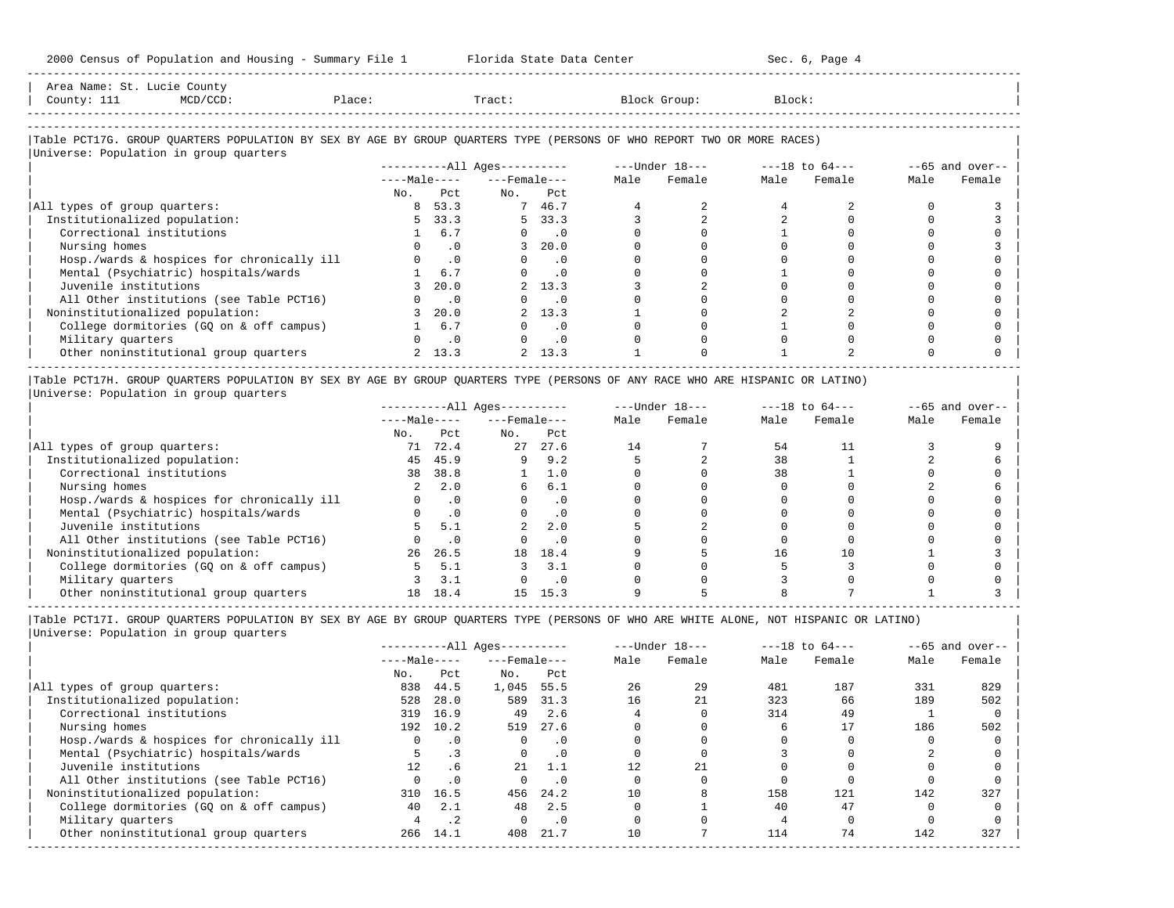| Area Name: St. Lucie County<br>County: 111<br>MCD/CCD:                                                                 | Place: |                | Tract:                 |           | Block Group:   | Block:         |             |      |                   |
|------------------------------------------------------------------------------------------------------------------------|--------|----------------|------------------------|-----------|----------------|----------------|-------------|------|-------------------|
|                                                                                                                        |        |                |                        |           |                |                |             |      |                   |
| Table PCT17G. GROUP OUARTERS POPULATION BY SEX BY AGE BY GROUP OUARTERS TYPE (PERSONS OF WHO REPORT TWO OR MORE RACES) |        |                |                        |           |                |                |             |      |                   |
| Universe: Population in group quarters                                                                                 |        |                |                        |           |                |                |             |      |                   |
|                                                                                                                        |        |                | $------All Aqes------$ |           | ---Under 18--- | ---18 to 64--- |             |      | $--65$ and over-- |
|                                                                                                                        |        | $---Ma$ $e---$ | ---Female---           |           | Male Female    |                | Male Female | Male | Female            |
|                                                                                                                        | No.    | Pct.           | No.                    | Pct       |                |                |             |      |                   |
| All types of group quarters:                                                                                           |        | 8 53.3         |                        | 7 46.7    |                |                |             |      |                   |
| Institutionalized population:                                                                                          |        | 5 33.3         |                        | 5 33.3    |                |                | $\Omega$    |      |                   |
| Correctional institutions                                                                                              |        | 6.7            | $\Omega$               | $\cdot$ 0 |                |                |             |      |                   |

| Nursing homes 0 .0 3 20.0 0 0 0 0 0 3 | | Hosp./wards & hospices for chronically ill 0 .0 0 .0 0 0 0 0 0 0 | | Mental (Psychiatric) hospitals/wards 1 6.7 0 .0 0 0 1 0 0 0 | | Juvenile institutions 3 20.0 2 13.3 3 2 0 0 0 0 |

-----------------------------------------------------------------------------------------------------------------------------------------------------

| All Other institutions (see Table PCT16) |      |        |  |  |  |
|------------------------------------------|------|--------|--|--|--|
| Noninstitutionalized population:         | 20.0 | 2 13.3 |  |  |  |
| College dormitories (GQ on & off campus) | 6.7  |        |  |  |  |
| Military quarters                        |      |        |  |  |  |
| Other noninstitutional group quarters    | 13.3 | 2 13.3 |  |  |  |
|                                          |      |        |  |  |  |

|Table PCT17H. GROUP QUARTERS POPULATION BY SEX BY AGE BY GROUP QUARTERS TYPE (PERSONS OF ANY RACE WHO ARE HISPANIC OR LATINO) | |Universe: Population in group quarters |

|                                            |              |      | $------All Ages------$ |      | $---Under 18---$ |        | $---18$ to $64---$ |        | $--65$ and over-- |        |
|--------------------------------------------|--------------|------|------------------------|------|------------------|--------|--------------------|--------|-------------------|--------|
|                                            | $---Male---$ |      | $---$ Female $---$     |      | Male             | Female | Male               | Female | Male              | Female |
|                                            | No.          | Pct  | No.                    | Pct  |                  |        |                    |        |                   |        |
| All types of group quarters:               | 71           | 72.4 | 27                     | 27.6 | 14               |        | 54                 |        |                   |        |
| Institutionalized population:              | 45           | 45.9 | 9                      | 9.2  |                  |        | 38                 |        |                   |        |
| Correctional institutions                  | 38           | 38.8 |                        | 1.0  |                  |        | 38                 |        |                   |        |
| Nursing homes                              |              | 2.0  | б.                     | 6.1  |                  |        |                    |        |                   |        |
| Hosp./wards & hospices for chronically ill |              |      |                        | . 0  |                  |        |                    |        |                   |        |
| Mental (Psychiatric) hospitals/wards       |              |      |                        | . 0  |                  |        |                    |        |                   |        |
| Juvenile institutions                      |              | 5.1  |                        | 2.0  |                  |        |                    |        |                   |        |
| All Other institutions (see Table PCT16)   |              |      |                        | . 0  |                  |        |                    |        |                   |        |
| Noninstitutionalized population:           | 26           | 26.5 | 18                     | 18.4 |                  |        | 16                 |        |                   |        |
| College dormitories (GO on & off campus)   |              | 5.1  |                        | 3.1  |                  |        |                    |        |                   |        |
| Military quarters                          |              | 3.1  |                        | . 0  |                  |        |                    |        |                   |        |
| Other noninstitutional group quarters      | 18           | 18.4 |                        | 15.3 |                  |        |                    |        |                   |        |

-----------------------------------------------------------------------------------------------------------------------------------------------------

|Table PCT17I. GROUP QUARTERS POPULATION BY SEX BY AGE BY GROUP QUARTERS TYPE (PERSONS OF WHO ARE WHITE ALONE, NOT HISPANIC OR LATINO) | |Universe: Population in group quarters |

|                                            |              |           | $------All Aqes------$ |           |      | $---Under 18---$ |      | $---18$ to $64---$ |      | $--65$ and over-- |
|--------------------------------------------|--------------|-----------|------------------------|-----------|------|------------------|------|--------------------|------|-------------------|
|                                            | $---Male---$ |           | $---$ Female $---$     |           | Male | Female           | Male | Female             | Male | Female            |
|                                            | No.          | Pct       | No.                    | Pct       |      |                  |      |                    |      |                   |
| All types of group quarters:               | 838          | 44.5      | 1,045                  | 55.5      | 26   | 29               | 481  | 187                | 331  | 829               |
| Institutionalized population:              | 528          | 28.0      | 589                    | 31.3      | 16   | 21               | 323  | 66                 | 189  | 502               |
| Correctional institutions                  |              | 319 16.9  | 49                     | 2.6       |      |                  | 314  | 49                 |      |                   |
| Nursing homes                              | 192          | 10.2      | 519                    | 27.6      |      |                  |      |                    | 186  | 502               |
| Hosp./wards & hospices for chronically ill | $\Omega$     | $\cdot$ 0 | $\Omega$               | $\cdot$ 0 |      |                  |      |                    |      |                   |
| Mental (Psychiatric) hospitals/wards       |              |           | $\Omega$               | $\cdot$ 0 |      |                  |      |                    |      |                   |
| Juvenile institutions                      | 12.          | . 6       | 21                     | 1.1       | 12.  | 21               |      |                    |      |                   |
| All Other institutions (see Table PCT16)   |              | $\cdot$ 0 |                        | $\cdot$ 0 |      |                  |      |                    |      |                   |
| Noninstitutionalized population:           | 310          | 16.5      | 456                    | 24.2      | 10   |                  | 158  | 121                | 142  | 327               |
| College dormitories (GO on & off campus)   | 40           | 2.1       | 48                     | 2.5       |      |                  | 40   | 47                 |      |                   |
| Military quarters                          |              | $\cdot$ 2 |                        | $\cdot$ 0 |      |                  |      |                    |      |                   |
| Other noninstitutional group quarters      | 266          | 14.1      | 408                    | 21.7      | 10   |                  | 114  | 74                 | 142  | 327               |
|                                            |              |           |                        |           |      |                  |      |                    |      |                   |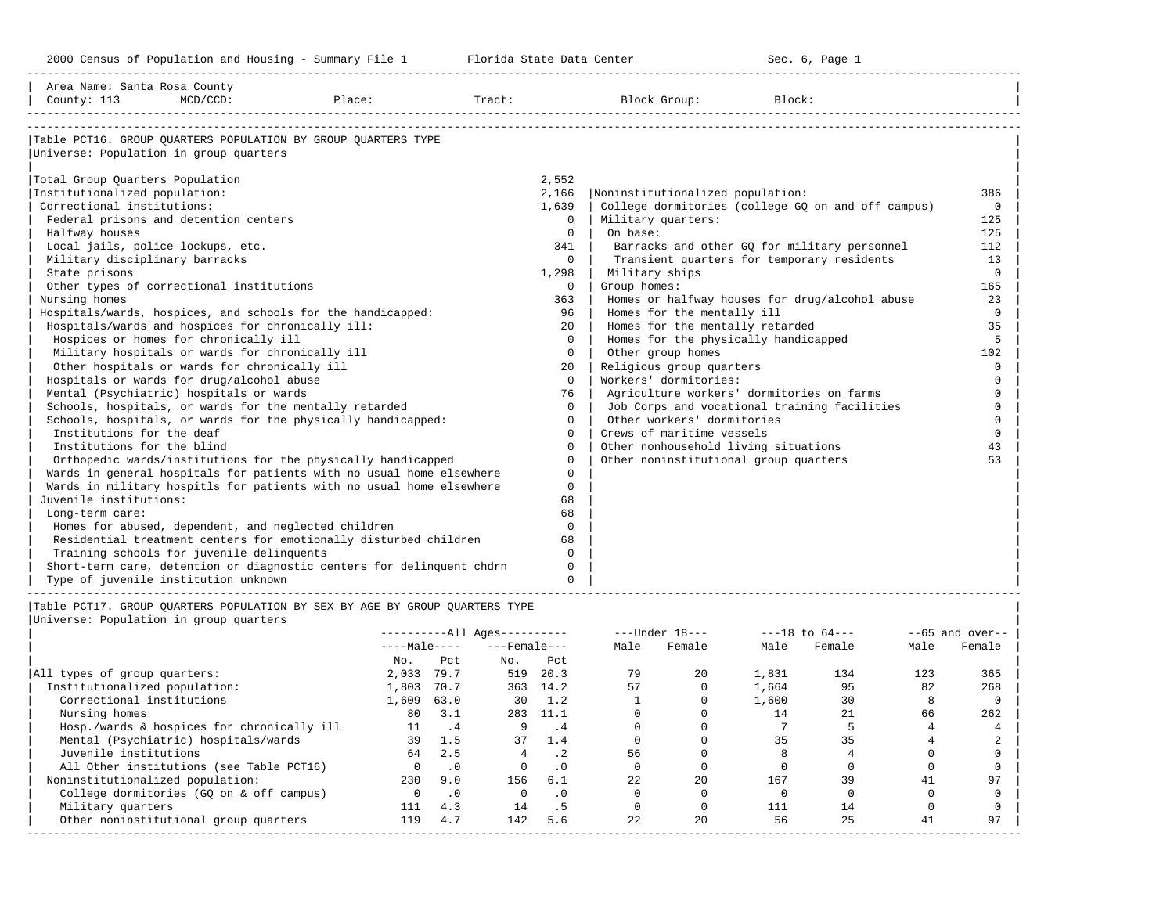-----------------------------------------------------------------------------------------------------------------------------------------------------

| Area Name: Santa Rosa County                      |             |                                                                             |        |              |                                       |                                                    |          |
|---------------------------------------------------|-------------|-----------------------------------------------------------------------------|--------|--------------|---------------------------------------|----------------------------------------------------|----------|
| County: 113                                       | $MCD/CCD$ : | Place:                                                                      | Tract: |              | Block Group:                          | Block:                                             |          |
|                                                   |             |                                                                             |        |              |                                       |                                                    |          |
|                                                   |             | Table PCT16. GROUP OUARTERS POPULATION BY GROUP OUARTERS TYPE               |        |              |                                       |                                                    |          |
| Universe: Population in group quarters            |             |                                                                             |        |              |                                       |                                                    |          |
|                                                   |             |                                                                             |        |              |                                       |                                                    |          |
| Total Group Quarters Population                   |             |                                                                             |        | 2,552        |                                       |                                                    |          |
| Institutionalized population:                     |             |                                                                             |        | 2,166        | Noninstitutionalized population:      |                                                    | 386      |
| Correctional institutions:                        |             |                                                                             |        | 1,639        |                                       | College dormitories (college GQ on and off campus) | $\Omega$ |
| Federal prisons and detention centers             |             |                                                                             |        | $\Omega$     | Military quarters:                    |                                                    | 125      |
| Halfway houses                                    |             |                                                                             |        | $\Omega$     | On base:                              |                                                    | 125      |
| Local jails, police lockups, etc.                 |             |                                                                             |        | 341          |                                       | Barracks and other GQ for military personnel       | 112      |
| Military disciplinary barracks                    |             |                                                                             |        | $\Omega$     |                                       | Transient quarters for temporary residents         | 13       |
| State prisons                                     |             |                                                                             |        | 1,298        | Military ships                        |                                                    | $\Omega$ |
| Other types of correctional institutions          |             |                                                                             |        | $\mathbf{0}$ | Group homes:                          |                                                    | 165      |
| Nursing homes                                     |             |                                                                             |        | 363          |                                       | Homes or halfway houses for drug/alcohol abuse     | 23       |
|                                                   |             | Hospitals/wards, hospices, and schools for the handicapped:                 |        | 96           | Homes for the mentally ill            |                                                    | $\Omega$ |
| Hospitals/wards and hospices for chronically ill: |             |                                                                             |        | 20           | Homes for the mentally retarded       |                                                    | 35       |
| Hospices or homes for chronically ill             |             |                                                                             |        | $\Omega$     | Homes for the physically handicapped  |                                                    | 5        |
| Military hospitals or wards for chronically ill   |             |                                                                             |        | $\Omega$     | Other group homes                     |                                                    | 102      |
| Other hospitals or wards for chronically ill      |             |                                                                             |        | 20           | Religious group quarters              |                                                    | $\Omega$ |
| Hospitals or wards for drug/alcohol abuse         |             |                                                                             |        | $\Omega$     | Workers' dormitories:                 |                                                    | $\Omega$ |
| Mental (Psychiatric) hospitals or wards           |             |                                                                             |        | 76           |                                       | Agriculture workers' dormitories on farms          | $\Omega$ |
|                                                   |             | Schools, hospitals, or wards for the mentally retarded                      |        | $\Omega$     |                                       | Job Corps and vocational training facilities       | $\Omega$ |
|                                                   |             | Schools, hospitals, or wards for the physically handicapped:                |        | $\Omega$     | Other workers' dormitories            |                                                    | $\Omega$ |
| Institutions for the deaf                         |             |                                                                             |        | $\Omega$     | Crews of maritime vessels             |                                                    | $\Omega$ |
| Institutions for the blind                        |             |                                                                             |        | $\Omega$     | Other nonhousehold living situations  |                                                    | 43       |
|                                                   |             | Orthopedic wards/institutions for the physically handicapped                |        | $\Omega$     | Other noninstitutional group quarters |                                                    | 53       |
|                                                   |             | Wards in general hospitals for patients with no usual home elsewhere        |        | $\Omega$     |                                       |                                                    |          |
|                                                   |             | Wards in military hospitls for patients with no usual home elsewhere        |        | $\mathbf 0$  |                                       |                                                    |          |
| Juvenile institutions:                            |             |                                                                             |        | 68           |                                       |                                                    |          |
| Long-term care:                                   |             |                                                                             |        | 68           |                                       |                                                    |          |
|                                                   |             | Homes for abused, dependent, and neglected children                         |        | $\Omega$     |                                       |                                                    |          |
|                                                   |             | Residential treatment centers for emotionally disturbed children            |        | 68           |                                       |                                                    |          |
| Training schools for juvenile delinquents         |             |                                                                             |        | $\Omega$     |                                       |                                                    |          |
|                                                   |             | Short-term care, detention or diagnostic centers for delinquent chdrn       |        | $\Omega$     |                                       |                                                    |          |
| Type of juvenile institution unknown              |             |                                                                             |        | $\Omega$     |                                       |                                                    |          |
|                                                   |             | Table PCT17. GROUP OUARTERS POPULATION BY SEX BY AGE BY GROUP OUARTERS TYPE |        |              |                                       |                                                    |          |
| Universe: Population in group quarters            |             |                                                                             |        |              |                                       |                                                    |          |
|                                                   |             |                                                                             |        |              |                                       |                                                    |          |

|                                            |              |           | $------All Aqes------$ |           |      | $---Under 18---$ | $---18$ to $64---$ |        | $--65$ and over-- |        |
|--------------------------------------------|--------------|-----------|------------------------|-----------|------|------------------|--------------------|--------|-------------------|--------|
|                                            | $---Male---$ |           | $---$ Female $---$     |           | Male | Female           | Male               | Female | Male              | Female |
|                                            | No.          | Pct       | No.                    | Pct       |      |                  |                    |        |                   |        |
| All types of group quarters:               | 2,033        | 79.7      | 519                    | 20.3      | 79   | 20               | 1,831              | 134    | 123               | 365    |
| Institutionalized population:              | 1,803        | 70.7      |                        | 363 14.2  | 57   |                  | 1,664              | 95     | 82                | 268    |
| Correctional institutions                  | 1,609        | 63.0      | 30                     | 1.2       |      |                  | 1,600              | 30     |                   |        |
| Nursing homes                              | 80           | 3.1       | 283                    | - 11.1    |      |                  | 14                 | 21     | 66                | 262    |
| Hosp./wards & hospices for chronically ill | 11           | . 4       | 9                      | . 4       |      |                  |                    |        |                   |        |
| Mental (Psychiatric) hospitals/wards       | 39           | 1.5       | 37                     | 1.4       |      |                  | 35                 | 35     |                   |        |
| Juvenile institutions                      | 64           | 2.5       |                        | .2        | 56   |                  |                    |        |                   |        |
| All Other institutions (see Table PCT16)   | $\Omega$     | $\cdot$ 0 | $\Omega$               | $\cdot$ 0 |      |                  |                    |        |                   |        |
| Noninstitutionalized population:           | 230          | 9.0       | 156                    | 6.1       | 22   | 2.0              | 167                | 39     | 41                | 97     |
| College dormitories (GO on & off campus)   |              | $\cdot$ 0 | $\Omega$               | $\cdot$ 0 |      |                  |                    |        |                   |        |
| Military quarters                          | 111          | 4.3       | 14                     | . 5       |      |                  | 111                | 14     |                   |        |
| Other noninstitutional group quarters      | 119          | 4.7       | 142                    | 5.6       | 22   | 20               | 56                 | 25     | 41                | 97     |
|                                            |              |           |                        |           |      |                  |                    |        |                   |        |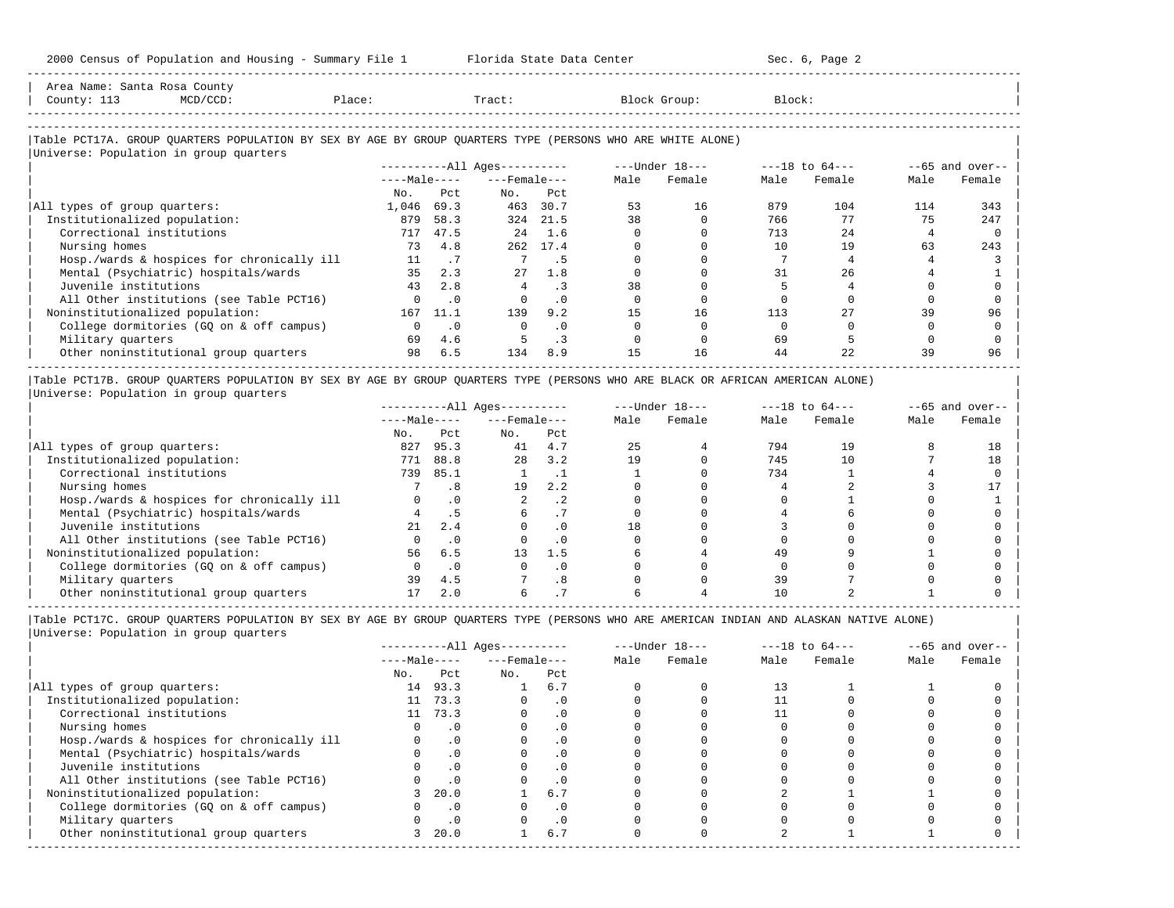-----------------------------------------------------------------------------------------------------------------------------------------------------

| Area Name: Santa Rosa County<br>County: 113<br>$MCD/CCD$ :<br>Place:                                       |                 |           | Tract:                 |           |      | Block Group:   | Block: |                    |      |                   |
|------------------------------------------------------------------------------------------------------------|-----------------|-----------|------------------------|-----------|------|----------------|--------|--------------------|------|-------------------|
|                                                                                                            |                 |           |                        |           |      |                |        |                    |      |                   |
| Table PCT17A. GROUP QUARTERS POPULATION BY SEX BY AGE BY GROUP QUARTERS TYPE (PERSONS WHO ARE WHITE ALONE) |                 |           |                        |           |      |                |        |                    |      |                   |
| Universe: Population in group quarters                                                                     |                 |           |                        |           |      |                |        |                    |      |                   |
|                                                                                                            |                 |           | $------All Aqes------$ |           |      | ---Under 18--- |        | $---18$ to $64---$ |      | $--65$ and over-- |
|                                                                                                            | $---Ma$ ]e ---- |           | $---$ Female $---$     |           | Male | Female         | Male   | Female             | Male | Female            |
|                                                                                                            | No.             | Pct.      | No.                    | Pct       |      |                |        |                    |      |                   |
| All types of group quarters:                                                                               | 1,046           | 69.3      | 463                    | 30.7      | 53   | 16             | 879    | 104                | 114  | 343               |
| Institutionalized population:                                                                              | 879             | 58.3      |                        | 324 21.5  | 38   |                | 766    | 77                 | 75   | 247               |
| Correctional institutions                                                                                  | 717             | 47.5      | 2.4                    | 1.6       |      |                | 713    | 2.4                |      |                   |
| Nursing homes                                                                                              | 73              | 4.8       |                        | 262 17.4  |      |                | 10     | 19                 | 63   | 243               |
| Hosp./wards & hospices for chronically ill                                                                 | 11              | $\cdot$ 7 |                        | . 5       |      |                |        |                    |      |                   |
| Mental (Psychiatric) hospitals/wards                                                                       | 35              | 2.3       | 27                     | 1.8       |      |                | 31     | 26                 |      |                   |
| Juvenile institutions                                                                                      | 43              | 2.8       | $\overline{4}$         | $\cdot$ 3 | 38   |                |        |                    |      |                   |
| All Other institutions (see Table PCT16)                                                                   |                 | $\cdot$ 0 |                        | $\cdot$ 0 |      |                |        |                    |      |                   |
| Noninstitutionalized population:                                                                           | 167             | 11.1      | 139                    | 9.2       | 15   | 16             | 113    | 27                 | 39   | 96                |
| College dormitories (GO on & off campus)                                                                   |                 | $\cdot$ 0 | $\Omega$               | $\cdot$ 0 |      |                |        |                    |      |                   |
| Military quarters                                                                                          | 69              | 4.6       |                        | . 3       |      |                | 69     |                    |      |                   |
| Other noninstitutional group quarters                                                                      | 98              | 6.5       | 134                    | 8.9       | 15   | 16             | 44     | 2.2.               | 39   | 96                |

|Table PCT17B. GROUP QUARTERS POPULATION BY SEX BY AGE BY GROUP QUARTERS TYPE (PERSONS WHO ARE BLACK OR AFRICAN AMERICAN ALONE) | |Universe: Population in group quarters |

|                                            |              |      | $------All Ages------$ |           |      | $---Under 18---$ | $---18$ to $64---$ |        | $--65$ and over-- |        |
|--------------------------------------------|--------------|------|------------------------|-----------|------|------------------|--------------------|--------|-------------------|--------|
|                                            | $---Male---$ |      | $---$ Female $---$     |           | Male | Female           | Male               | Female | Male              | Female |
|                                            | No.          | Pct  | No.                    | Pct       |      |                  |                    |        |                   |        |
| All types of group quarters:               | 827          | 95.3 | 41                     | 4.7       | 25   |                  | 794                | 19     |                   | 18     |
| Institutionalized population:              | 771          | 88.8 | 28                     | 3.2       | 19   |                  | 745                |        |                   | 18     |
| Correctional institutions                  | 739          | 85.1 |                        |           |      |                  | 734                |        |                   |        |
| Nursing homes                              |              |      | 19                     | 2.2       |      |                  |                    |        |                   |        |
| Hosp./wards & hospices for chronically ill |              |      |                        | . 2       |      |                  |                    |        |                   |        |
| Mental (Psychiatric) hospitals/wards       |              |      |                        |           |      |                  |                    |        |                   |        |
| Juvenile institutions                      | 21           | 2.4  |                        | . 0       | 18   |                  |                    |        |                   |        |
| All Other institutions (see Table PCT16)   |              |      |                        | $\cdot$ 0 |      |                  |                    |        |                   |        |
| Noninstitutionalized population:           | 56           | 6.5  | 13                     | 1.5       |      |                  | 49                 |        |                   |        |
| College dormitories (GQ on & off campus)   |              |      |                        | $\cdot$ 0 |      |                  |                    |        |                   |        |
| Military quarters                          | 39           | 4.5  |                        | .8        |      |                  | 39                 |        |                   |        |
| Other noninstitutional group quarters      |              | 2.0  |                        |           |      |                  |                    |        |                   |        |

-----------------------------------------------------------------------------------------------------------------------------------------------------

|Table PCT17C. GROUP QUARTERS POPULATION BY SEX BY AGE BY GROUP QUARTERS TYPE (PERSONS WHO ARE AMERICAN INDIAN AND ALASKAN NATIVE ALONE) | |Universe: Population in group quarters |

|                                            |              |           | $------All Ages------$ |           |      | $---Under 18---$ | $---18$ to $64---$ |        | $--65$ and over-- |        |
|--------------------------------------------|--------------|-----------|------------------------|-----------|------|------------------|--------------------|--------|-------------------|--------|
|                                            | $---Male---$ |           | $---$ Female $---$     |           | Male | Female           | Male               | Female | Male              | Female |
|                                            | No.          | Pct       | No.                    | Pct       |      |                  |                    |        |                   |        |
| All types of group quarters:               | 14           | 93.3      |                        | 6.7       |      |                  | 13                 |        |                   |        |
| Institutionalized population:              | 11           | 73.3      |                        | $\cdot$ 0 |      |                  |                    |        |                   |        |
| Correctional institutions                  | 11           | 73.3      |                        | $\cdot$ 0 |      |                  |                    |        |                   |        |
| Nursing homes                              |              | $\cdot$ 0 |                        | $\cdot$ 0 |      |                  |                    |        |                   |        |
| Hosp./wards & hospices for chronically ill |              | $\cdot$ 0 |                        |           |      |                  |                    |        |                   |        |
| Mental (Psychiatric) hospitals/wards       |              | $\cdot$ 0 |                        | $\cdot$ 0 |      |                  |                    |        |                   |        |
| Juvenile institutions                      |              |           |                        | $\cdot$ 0 |      |                  |                    |        |                   |        |
| All Other institutions (see Table PCT16)   |              |           |                        |           |      |                  |                    |        |                   |        |
| Noninstitutionalized population:           |              | 20.0      |                        | 6.7       |      |                  |                    |        |                   |        |
| College dormitories (GO on & off campus)   |              | $\cdot$ 0 |                        | . 0       |      |                  |                    |        |                   |        |
| Military quarters                          |              | $\cdot$ 0 |                        | $\cdot$ 0 |      |                  |                    |        |                   |        |
| Other noninstitutional group quarters      | 3            | 20.0      |                        | 6.7       |      |                  |                    |        |                   |        |
|                                            |              |           |                        |           |      |                  |                    |        |                   |        |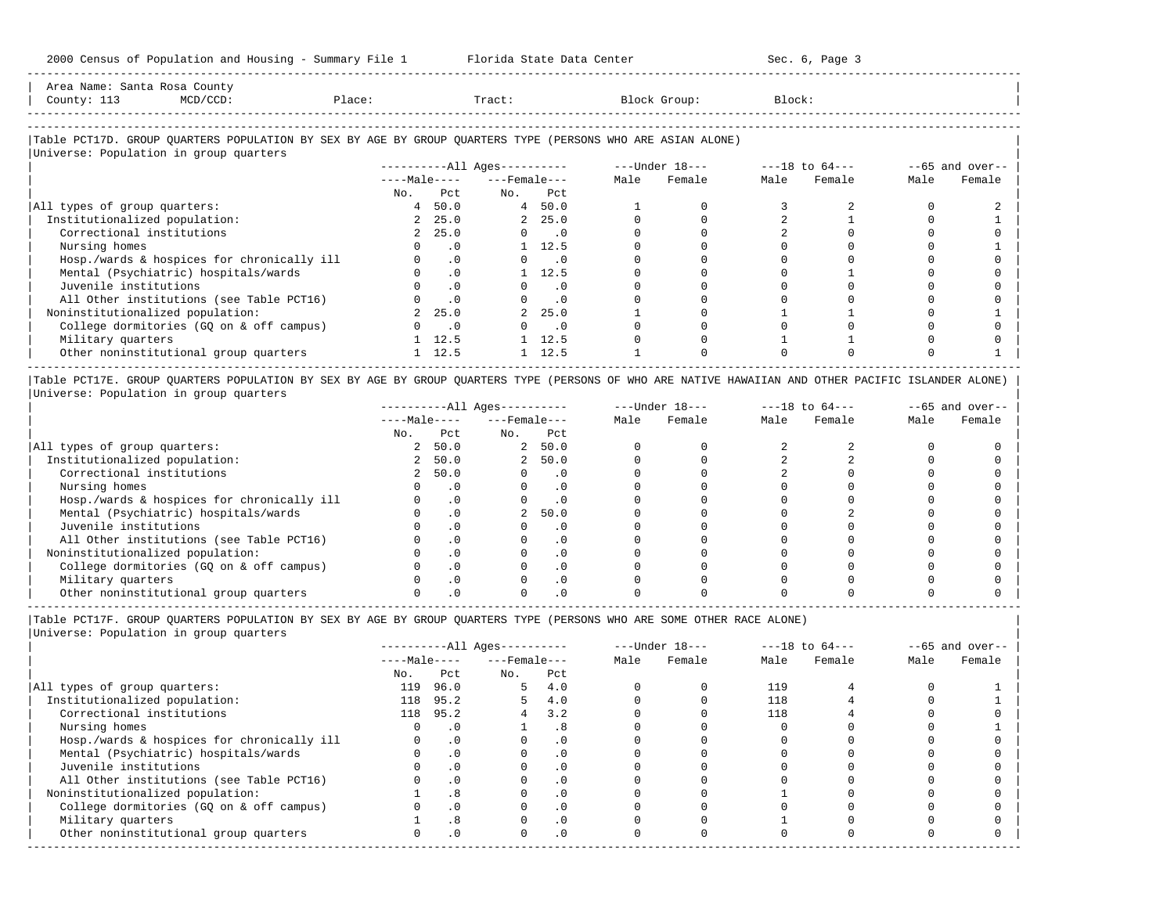| Santa<br>Area<br>Name | Rosa<br>County                                                                                 |       |       |        |        |
|-----------------------|------------------------------------------------------------------------------------------------|-------|-------|--------|--------|
| County'<br>---        | $MCD/CCD$ :<br>the contract of the contract of the contract of the contract of the contract of | lace? | Pract | Group. | Block. |
|                       |                                                                                                |       |       |        |        |

-----------------------------------------------------------------------------------------------------------------------------------------------------

### |Table PCT17D. GROUP QUARTERS POPULATION BY SEX BY AGE BY GROUP QUARTERS TYPE (PERSONS WHO ARE ASIAN ALONE) | |<br>|Universe: Population in group quarters

| UNIVERSE, LONGIQUIQUI IN ATOMN AGGICLIS    |              |                | $------All Aqes------$ |                             | $---Under 18---$ |        | $---18$ to $64---$ |        | $--65$ and over-- |        |
|--------------------------------------------|--------------|----------------|------------------------|-----------------------------|------------------|--------|--------------------|--------|-------------------|--------|
|                                            | $---Male---$ |                | $---$ Female $---$     |                             | Male             | Female | Male               | Female | Male              | Female |
|                                            | No.          | Pct.           | No.                    | Pct                         |                  |        |                    |        |                   |        |
| All types of group quarters:               |              | 4, 50.0        |                        | 4 50.0                      |                  |        |                    |        |                   |        |
| Institutionalized population:              |              | 2, 25.0        |                        | 2, 25.0                     |                  |        |                    |        |                   |        |
| Correctional institutions                  |              | 2, 25.0        |                        | $\overline{\phantom{0}}$ .0 |                  |        |                    |        |                   |        |
| Nursing homes                              |              | . 0            |                        | 12.5                        |                  |        |                    |        |                   |        |
| Hosp./wards & hospices for chronically ill |              | $\cdot$ 0      |                        | $\overline{\phantom{0}}$ .0 |                  |        |                    |        |                   |        |
| Mental (Psychiatric) hospitals/wards       |              | $\cdot$ 0      |                        | 12.5                        |                  |        |                    |        |                   |        |
| Juvenile institutions                      |              | $\cdot$ 0      |                        | $\cdot$ 0                   |                  |        |                    |        |                   |        |
| All Other institutions (see Table PCT16)   |              | $\cdot$ 0      |                        | $\overline{\phantom{0}}$ .0 |                  |        |                    |        |                   |        |
| Noninstitutionalized population:           |              | 2, 25.0        |                        | 2, 25.0                     |                  |        |                    |        |                   |        |
| College dormitories (GO on & off campus)   |              | $\cdot$ 0      |                        | $\overline{\phantom{0}}$ .0 |                  |        |                    |        |                   |        |
| Military quarters                          |              | $1 \quad 12.5$ |                        | 12.5                        |                  |        |                    |        |                   |        |
| Other noninstitutional group quarters      |              | $1 \quad 12.5$ |                        | 12.5                        |                  |        |                    |        |                   |        |

|Table PCT17E. GROUP QUARTERS POPULATION BY SEX BY AGE BY GROUP QUARTERS TYPE (PERSONS OF WHO ARE NATIVE HAWAIIAN AND OTHER PACIFIC ISLANDER ALONE) | |Universe: Population in group quarters |

|                                            |              |      | $------All Aqes------$ |           |      | $---Under 18---$ | $---18$ to $64---$ |        | $--65$ and over-- |        |
|--------------------------------------------|--------------|------|------------------------|-----------|------|------------------|--------------------|--------|-------------------|--------|
|                                            | $---Male---$ |      | $---$ Female $---$     |           | Male | Female           | Male               | Female | Male              | Female |
|                                            | No.          | Pct  | No.                    | Pct       |      |                  |                    |        |                   |        |
| All types of group quarters:               |              | 50.0 |                        | 2, 50.0   |      |                  |                    |        |                   |        |
| Institutionalized population:              |              | 50.0 | $\overline{a}$         | 50.0      |      |                  |                    |        |                   |        |
| Correctional institutions                  |              | 50.0 |                        | . 0       |      |                  |                    |        |                   |        |
| Nursing homes                              |              |      |                        | . 0       |      |                  |                    |        |                   |        |
| Hosp./wards & hospices for chronically ill |              |      |                        | . 0       |      |                  |                    |        |                   |        |
| Mental (Psychiatric) hospitals/wards       |              |      |                        | 50.0      |      |                  |                    |        |                   |        |
| Juvenile institutions                      |              |      |                        | . 0       |      |                  |                    |        |                   |        |
| All Other institutions (see Table PCT16)   |              |      |                        | $\cdot$ 0 |      |                  |                    |        |                   |        |
| Noninstitutionalized population:           |              |      |                        | . 0       |      |                  |                    |        |                   |        |
| College dormitories (GO on & off campus)   |              |      |                        | $\cdot$ 0 |      |                  |                    |        |                   |        |
| Military quarters                          |              |      |                        | . 0       |      |                  |                    |        |                   |        |
| Other noninstitutional group quarters      |              |      |                        |           |      |                  |                    |        |                   |        |

----------------------------------------------------------------------------------------------------------------------------------------------------- |Table PCT17F. GROUP QUARTERS POPULATION BY SEX BY AGE BY GROUP QUARTERS TYPE (PERSONS WHO ARE SOME OTHER RACE ALONE) |

|                                            |              |           | $------All Ages------$ |           |      | $---Under 18---$ |      | $---18$ to $64---$ | $--65$ and over-- |        |
|--------------------------------------------|--------------|-----------|------------------------|-----------|------|------------------|------|--------------------|-------------------|--------|
|                                            | $---Male---$ |           | $---$ Female $---$     |           | Male | Female           | Male | Female             | Male              | Female |
|                                            | No.          | Pct       | No.                    | Pct       |      |                  |      |                    |                   |        |
| All types of group quarters:               | 119          | 96.0      | 5.                     | 4.0       |      |                  | 119  |                    |                   |        |
| Institutionalized population:              |              | 118 95.2  |                        | 4.0       |      |                  | 118  |                    |                   |        |
| Correctional institutions                  |              | 118 95.2  |                        | 3.2       |      |                  | 118  |                    |                   |        |
| Nursing homes                              |              | $\cdot$ 0 |                        | .8        |      |                  |      |                    |                   |        |
| Hosp./wards & hospices for chronically ill |              | $\cdot$ 0 |                        |           |      |                  |      |                    |                   |        |
| Mental (Psychiatric) hospitals/wards       |              | $\cdot$ 0 |                        | . 0       |      |                  |      |                    |                   |        |
| Juvenile institutions                      |              | $\cdot$ 0 |                        | $\cdot$ 0 |      |                  |      |                    |                   |        |
| All Other institutions (see Table PCT16)   |              | .0        |                        | $\cdot$ 0 |      |                  |      |                    |                   |        |
| Noninstitutionalized population:           |              | .8        |                        | $\cdot$ 0 |      |                  |      |                    |                   |        |
| College dormitories (GQ on & off campus)   |              | $\cdot$ 0 |                        | $\cdot$ 0 |      |                  |      |                    |                   |        |
| Military quarters                          |              | .8        |                        | $\cdot$ 0 |      |                  |      |                    |                   |        |
| Other noninstitutional group quarters      |              | $\cdot$ 0 | $\Omega$               | $\cdot$ 0 |      |                  |      |                    |                   |        |
|                                            |              |           |                        |           |      |                  |      |                    |                   |        |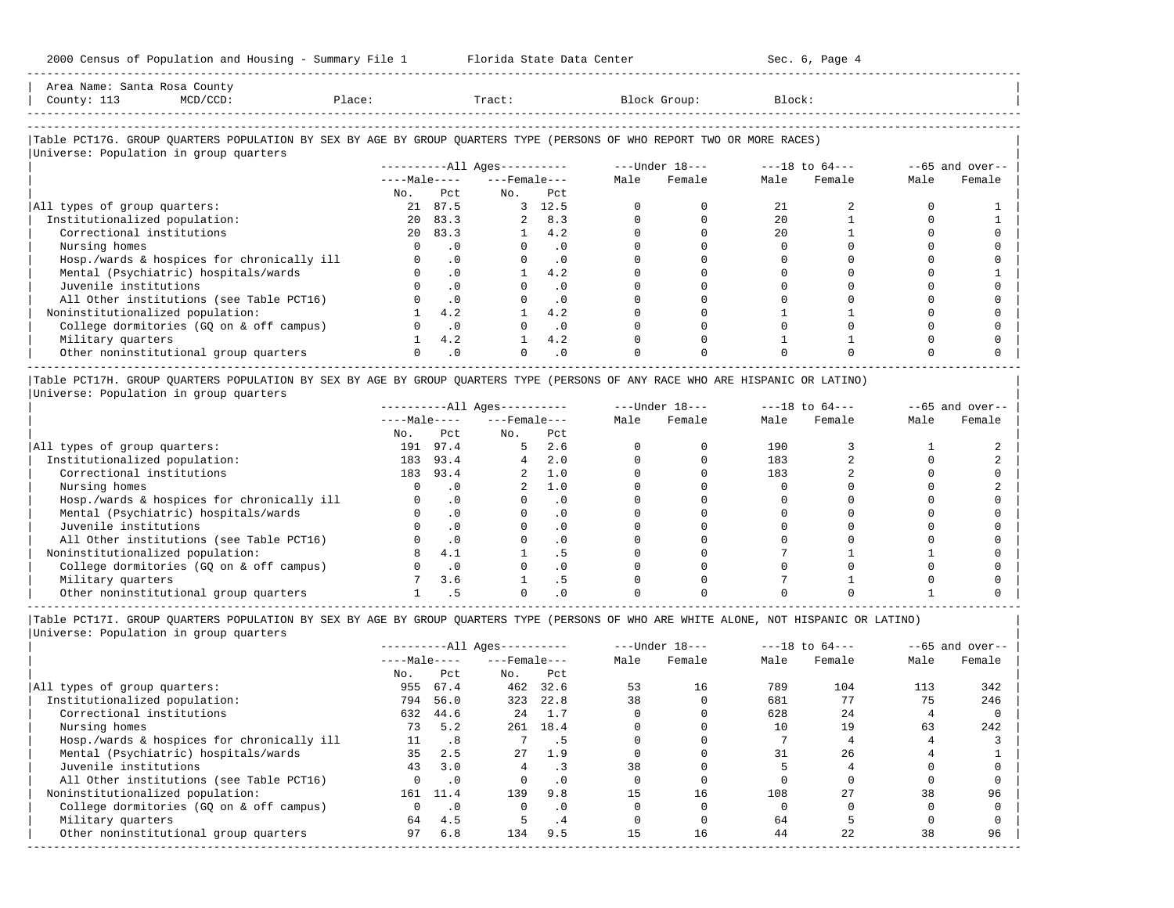2000 Census of Population and Housing - Summary File 1 Florida State Data Center Sec. 6, Page 4 -----------------------------------------------------------------------------------------------------------------------------------------------------

| Area Name: Santa Rosa County<br>County: 113<br>$MCD/CCD$ :                                                             | Place:          |           | Tract:                 |            |      | Block Group:   | Block: |                    |      |                   |
|------------------------------------------------------------------------------------------------------------------------|-----------------|-----------|------------------------|------------|------|----------------|--------|--------------------|------|-------------------|
| Table PCT17G. GROUP OUARTERS POPULATION BY SEX BY AGE BY GROUP OUARTERS TYPE (PERSONS OF WHO REPORT TWO OR MORE RACES) |                 |           |                        |            |      |                |        |                    |      |                   |
| Universe: Population in group quarters                                                                                 |                 |           | $------All Aqes------$ |            |      | ---Under 18--- |        | $---18$ to $64---$ |      | $--65$ and over-- |
|                                                                                                                        | $---Ma$ ]e ---- |           | $---$ Female $---$     |            | Male | Female         | Male   | Female             | Male | Female            |
|                                                                                                                        | No.             | Pct       | No.                    | Pct        |      |                |        |                    |      |                   |
| All types of group quarters:                                                                                           | 21              | 87.5      |                        | 3 12.5     |      |                | 21     |                    |      |                   |
| Institutionalized population:                                                                                          | 20              | 83.3      |                        | 2 8.3      |      |                | 2.0    |                    |      |                   |
| Correctional institutions                                                                                              |                 | 20 83.3   |                        | 1 4.2      |      |                | 2.0    |                    |      |                   |
| Nursing homes                                                                                                          | 0               | $\cdot$ 0 | $\Omega$               | $\cdot$ .0 |      |                |        |                    |      |                   |
| Hosp./wards & hospices for chronically ill                                                                             | 0               | $\cdot$ 0 |                        | $\cdot$ 0  |      |                |        |                    |      |                   |

| Mental (Psychiatric) hospitals/wards 0 .0 1 4.2 0 0 0 0 0 1 | | Juvenile institutions 0 .0 0 .0 0 0 0 0 0 0 | | All Other institutions (see Table PCT16) 0 .0 0 .0 0 0 0 0 0 0 | | Noninstitutionalized population: 1 4.2 1 4.2 0 0 1 1 0 0 | | College dormitories (GQ on & off campus) 0 .0 0 .0 0 0 0 0 0 0 | | Military quarters 1 4.2 1 4.2 0 0 1 1 0 0 | | Other noninstitutional group quarters 0 .0 0 .0 0 0 0 0 0 0 |

----------------------------------------------------------------------------------------------------------------------------------------------------- |Table PCT17H. GROUP QUARTERS POPULATION BY SEX BY AGE BY GROUP QUARTERS TYPE (PERSONS OF ANY RACE WHO ARE HISPANIC OR LATINO) | |Universe: Population in group quarters |

|                                            |              | $------All Aqes------$ |                    |           | $---Under 18---$ |        | $---18$ to $64---$ |        | $--65$ and over-- |        |
|--------------------------------------------|--------------|------------------------|--------------------|-----------|------------------|--------|--------------------|--------|-------------------|--------|
|                                            | $---Male---$ |                        | $---$ Female $---$ |           | Male             | Female | Male               | Female | Male              | Female |
|                                            | No.          | Pct                    | No.                | Pct       |                  |        |                    |        |                   |        |
| All types of group quarters:               | 191          | 97.4                   | 5.                 | 2.6       |                  |        | 190                |        |                   |        |
| Institutionalized population:              | 183          | 93.4                   |                    | 2.0       |                  |        | 183                |        |                   |        |
| Correctional institutions                  | 183          | 93.4                   |                    | 1.0       |                  |        | 183                |        |                   |        |
| Nursing homes                              |              |                        |                    | 1.0       |                  |        |                    |        |                   |        |
| Hosp./wards & hospices for chronically ill |              |                        |                    | . 0       |                  |        |                    |        |                   |        |
| Mental (Psychiatric) hospitals/wards       |              |                        |                    | . 0       |                  |        |                    |        |                   |        |
| Juvenile institutions                      |              |                        |                    | . 0       |                  |        |                    |        |                   |        |
| All Other institutions (see Table PCT16)   |              |                        |                    | $\cdot$ 0 |                  |        |                    |        |                   |        |
| Noninstitutionalized population:           |              | 4.1                    |                    | د .       |                  |        |                    |        |                   |        |
| College dormitories (GO on & off campus)   |              |                        |                    |           |                  |        |                    |        |                   |        |
| Military quarters                          |              | 3.6                    |                    |           |                  |        |                    |        |                   |        |
| Other noninstitutional group quarters      |              |                        |                    |           |                  |        |                    |        |                   |        |

|Table PCT17I. GROUP QUARTERS POPULATION BY SEX BY AGE BY GROUP QUARTERS TYPE (PERSONS OF WHO ARE WHITE ALONE, NOT HISPANIC OR LATINO) |

|                                            |              |           | $------All Aqes------$ |           |      | $---Under 18---$ |      | $---18$ to $64---$ |      | $--65$ and over-- |
|--------------------------------------------|--------------|-----------|------------------------|-----------|------|------------------|------|--------------------|------|-------------------|
|                                            | $---Male---$ |           | $---$ Female $---$     |           | Male | Female           | Male | Female             | Male | Female            |
|                                            | No.          | Pct       | No.                    | Pct       |      |                  |      |                    |      |                   |
| All types of group quarters:               | 955          | 67.4      | 462                    | 32.6      | 53   | 16               | 789  | 104                | 113  | 342               |
| Institutionalized population:              | 794          | 56.0      | 323                    | 22.8      | 38   |                  | 681  |                    | 75   | 246               |
| Correctional institutions                  | 632          | 44.6      | 24                     | 1.7       |      |                  | 628  | 24                 |      |                   |
| Nursing homes                              | 73           | 5.2       | 261                    | 18.4      |      |                  | 10   | 19                 | 63   | 242               |
| Hosp./wards & hospices for chronically ill |              | .8        |                        |           |      |                  |      |                    |      |                   |
| Mental (Psychiatric) hospitals/wards       | 35           | 2.5       | 27                     | 1.9       |      |                  | 31   | 26                 |      |                   |
| Juvenile institutions                      | 43           | 3.0       |                        |           | 38   |                  |      |                    |      |                   |
| All Other institutions (see Table PCT16)   |              | $\cdot$ 0 |                        | $\cdot$ 0 |      |                  |      |                    |      |                   |
| Noninstitutionalized population:           | 161          | 11.4      | 139                    | 9.8       | 15   | 16               | 108  | 27                 | 38   | 96                |
| College dormitories (GO on & off campus)   |              | $\cdot$ 0 | $\Omega$               | $\cdot$ 0 |      |                  |      |                    |      |                   |
| Military quarters                          | 64           | 4.5       |                        | . 4       |      |                  | 64   |                    |      |                   |
| Other noninstitutional group quarters      | 97           | 6.8       | 134                    | 9.5       | 15   | 16               | 44   | 22                 | 38   | 96                |
|                                            |              |           |                        |           |      |                  |      |                    |      |                   |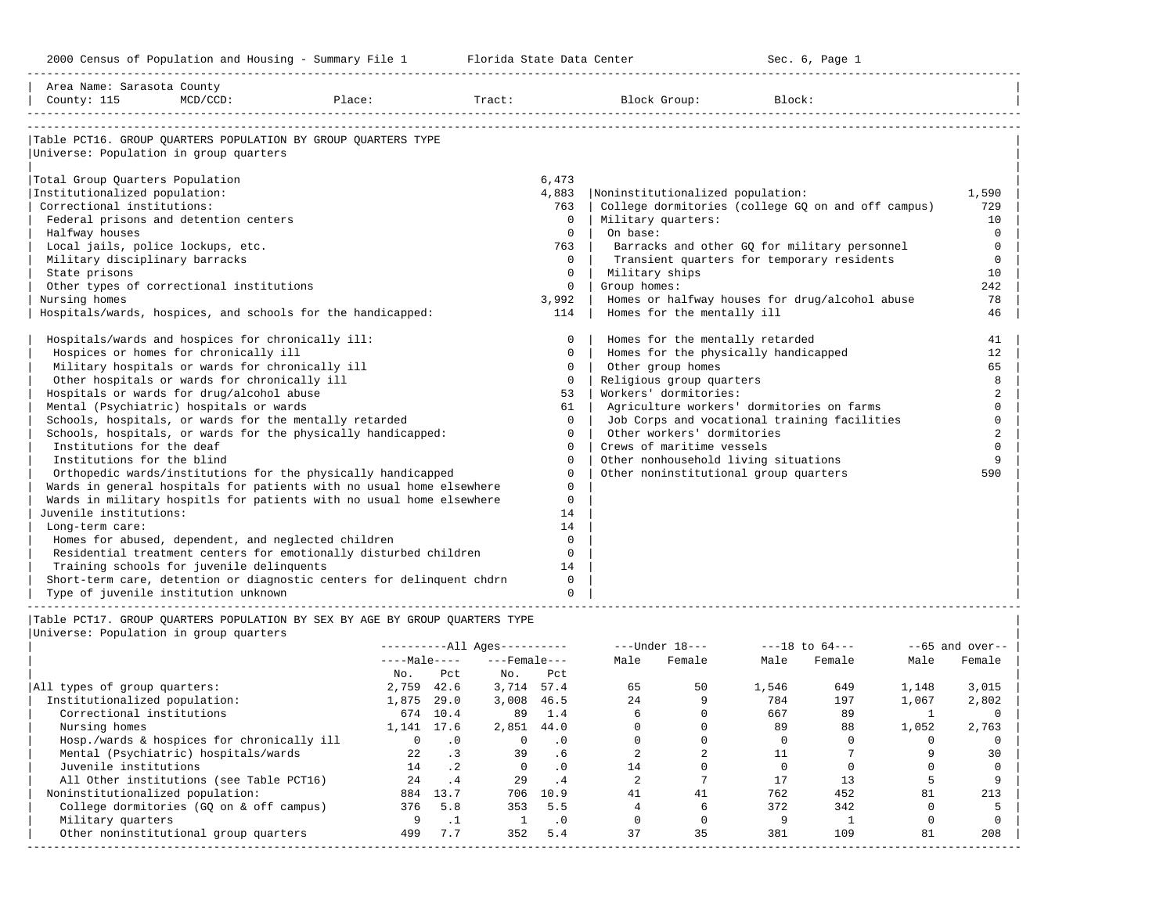| Area Name: Sarasota County |

-----------------------------------------------------------------------------------------------------------------------------------------------------

| County: 115                                               | $MCD/CCD$ :<br>Place:                                                                                                                        |                                              |                          | Tract:                                             |                         |                         | Block Group:                                       | Block:         |                              |                |                              |
|-----------------------------------------------------------|----------------------------------------------------------------------------------------------------------------------------------------------|----------------------------------------------|--------------------------|----------------------------------------------------|-------------------------|-------------------------|----------------------------------------------------|----------------|------------------------------|----------------|------------------------------|
|                                                           |                                                                                                                                              |                                              |                          |                                                    |                         |                         |                                                    |                |                              |                |                              |
|                                                           | Table PCT16. GROUP QUARTERS POPULATION BY GROUP QUARTERS TYPE                                                                                |                                              |                          |                                                    |                         |                         |                                                    |                |                              |                |                              |
| Universe: Population in group quarters                    |                                                                                                                                              |                                              |                          |                                                    |                         |                         |                                                    |                |                              |                |                              |
|                                                           |                                                                                                                                              |                                              |                          |                                                    |                         |                         |                                                    |                |                              |                |                              |
| Total Group Quarters Population                           |                                                                                                                                              |                                              |                          |                                                    | 6,473                   |                         |                                                    |                |                              |                |                              |
| Institutionalized population:                             |                                                                                                                                              |                                              |                          |                                                    | 4,883                   |                         | Noninstitutionalized population:                   |                |                              |                | 1,590                        |
| Correctional institutions:                                |                                                                                                                                              |                                              |                          |                                                    | 763                     |                         | College dormitories (college GQ on and off campus) |                |                              |                | 729                          |
| Federal prisons and detention centers                     |                                                                                                                                              |                                              |                          |                                                    | $\Omega$                |                         | Military quarters:                                 |                |                              |                | 10                           |
| Halfway houses                                            |                                                                                                                                              |                                              |                          |                                                    |                         | $0 \mid$ On base:       |                                                    |                |                              |                | $\mathbf 0$                  |
| Local jails, police lockups, etc.                         |                                                                                                                                              |                                              |                          |                                                    | 763                     |                         | Barracks and other GQ for military personnel       |                |                              |                | $\mathbf 0$                  |
| Military disciplinary barracks                            |                                                                                                                                              |                                              |                          |                                                    | $\Omega$<br>$\Omega$    |                         | Transient quarters for temporary residents         |                |                              |                | $\mathbf 0$                  |
| State prisons<br>Other types of correctional institutions |                                                                                                                                              |                                              |                          |                                                    | $\mathsf{O}$            | Group homes:            | Military ships                                     |                |                              |                | 10<br>242                    |
| Nursing homes                                             |                                                                                                                                              |                                              |                          |                                                    | 3,992                   |                         | Homes or halfway houses for drug/alcohol abuse     |                |                              |                | 78                           |
|                                                           | Hospitals/wards, hospices, and schools for the handicapped:                                                                                  |                                              |                          |                                                    | $114$                   |                         | Homes for the mentally ill                         |                |                              |                | 46                           |
|                                                           |                                                                                                                                              |                                              |                          |                                                    |                         |                         |                                                    |                |                              |                |                              |
|                                                           | Hospitals/wards and hospices for chronically ill:                                                                                            |                                              |                          |                                                    | $\overline{0}$          |                         | Homes for the mentally retarded                    |                |                              |                | 41                           |
| Hospices or homes for chronically ill                     |                                                                                                                                              |                                              |                          |                                                    | $\mathbf{0}$            |                         | Homes for the physically handicapped               |                |                              |                | 12                           |
|                                                           | Military hospitals or wards for chronically ill                                                                                              |                                              |                          |                                                    | $\circ$                 |                         | Other group homes                                  |                |                              |                | 65                           |
|                                                           | Other hospitals or wards for chronically ill                                                                                                 |                                              |                          |                                                    | $\Omega$                |                         | Religious group quarters                           |                |                              |                | 8                            |
| Hospitals or wards for drug/alcohol abuse                 |                                                                                                                                              |                                              |                          |                                                    | 53                      |                         | Workers' dormitories:                              |                |                              |                | $\overline{a}$               |
| Mental (Psychiatric) hospitals or wards                   |                                                                                                                                              |                                              |                          |                                                    | 61                      |                         | Agriculture workers' dormitories on farms          |                |                              |                | $\mathbf 0$                  |
|                                                           | Schools, hospitals, or wards for the mentally retarded                                                                                       |                                              |                          |                                                    | $\Omega$                |                         | Job Corps and vocational training facilities       |                |                              |                | $\mathbf 0$                  |
|                                                           | Schools, hospitals, or wards for the physically handicapped:                                                                                 |                                              |                          |                                                    | $\Omega$                |                         | Other workers' dormitories                         |                |                              |                | $\overline{a}$               |
| Institutions for the deaf                                 |                                                                                                                                              |                                              |                          |                                                    | $\Omega$                |                         | Crews of maritime vessels                          |                |                              |                | $\Omega$                     |
| Institutions for the blind                                |                                                                                                                                              |                                              |                          |                                                    | $\mathbf 0$<br>$\Omega$ |                         | Other nonhousehold living situations               |                |                              |                | 9                            |
|                                                           | Orthopedic wards/institutions for the physically handicapped                                                                                 |                                              |                          |                                                    | $\Omega$                |                         | Other noninstitutional group quarters              |                |                              |                | 590                          |
|                                                           | Wards in general hospitals for patients with no usual home elsewhere<br>Wards in military hospitls for patients with no usual home elsewhere |                                              |                          |                                                    | $\Omega$                |                         |                                                    |                |                              |                |                              |
| Juvenile institutions:                                    |                                                                                                                                              |                                              |                          |                                                    | 14                      |                         |                                                    |                |                              |                |                              |
| Long-term care:                                           |                                                                                                                                              |                                              |                          |                                                    | 14                      |                         |                                                    |                |                              |                |                              |
|                                                           | Homes for abused, dependent, and neglected children                                                                                          |                                              |                          |                                                    | $\Omega$                |                         |                                                    |                |                              |                |                              |
|                                                           | Residential treatment centers for emotionally disturbed children                                                                             |                                              |                          |                                                    | $\Omega$                |                         |                                                    |                |                              |                |                              |
| Training schools for juvenile delinquents                 |                                                                                                                                              |                                              |                          |                                                    | 14                      |                         |                                                    |                |                              |                |                              |
|                                                           | Short-term care, detention or diagnostic centers for delinquent chdrn                                                                        |                                              |                          |                                                    | $\mathbf 0$             |                         |                                                    |                |                              |                |                              |
| Type of juvenile institution unknown                      |                                                                                                                                              |                                              |                          |                                                    | $\mathbf 0$             |                         |                                                    |                |                              |                |                              |
|                                                           |                                                                                                                                              |                                              |                          |                                                    |                         |                         |                                                    |                |                              |                |                              |
|                                                           | Table PCT17. GROUP QUARTERS POPULATION BY SEX BY AGE BY GROUP QUARTERS TYPE                                                                  |                                              |                          |                                                    |                         |                         |                                                    |                |                              |                |                              |
| Universe: Population in group quarters                    |                                                                                                                                              |                                              |                          |                                                    |                         |                         |                                                    |                |                              |                |                              |
|                                                           |                                                                                                                                              |                                              |                          | $------All Aqes------$<br>$---Male-- ---Female---$ |                         | Male                    | ---Under 18---<br>Female                           | Male           | $---18$ to $64---$<br>Female | Male           | $- -65$ and over--<br>Female |
|                                                           |                                                                                                                                              | No. Pct                                      |                          | No. Pct                                            |                         |                         |                                                    |                |                              |                |                              |
| All types of group quarters:                              |                                                                                                                                              | 2,759 42.6                                   |                          | 3,714 57.4                                         |                         | 65                      | 50                                                 | 1,546          | 649                          | 1,148          | 3,015                        |
| Institutionalized population:                             |                                                                                                                                              | 1,875 29.0                                   |                          | 3,008 46.5                                         |                         | 2.4                     | 9                                                  | 784            | 197                          | 1,067          | 2,802                        |
| Correctional institutions                                 |                                                                                                                                              | 674 10.4                                     |                          |                                                    | 89 1.4                  | $6\overline{6}$         | $\Omega$                                           | 667            | 89                           | $\overline{1}$ | 0                            |
| Nursing homes                                             |                                                                                                                                              | 1,141 17.6                                   |                          | 2,851 44.0                                         |                         | $\Omega$                | $\Omega$                                           | 89             | 88                           | 1,052          | 2,763                        |
|                                                           | Hosp./wards & hospices for chronically ill                                                                                                   | $\begin{array}{ccc} & & 0 & \end{array}$ . O |                          | $0 \qquad .0$                                      |                         | $\overline{0}$          | $\circ$                                            | $\overline{0}$ | $\overline{0}$               | $\circ$        | $\circ$                      |
| Mental (Psychiatric) hospitals/wards                      |                                                                                                                                              | 22                                           | $\overline{\phantom{a}}$ |                                                    | 39 .6                   | $\overline{2}$          | 2                                                  | 11             | $7\overline{ }$              | 9              | 30                           |
| Juvenile institutions                                     |                                                                                                                                              |                                              | 14 .2                    | $\Omega$                                           | $\cdot$ 0               | 14                      | $\Omega$                                           | $\Omega$       | $\overline{0}$               | $\Omega$       | $\Omega$                     |
|                                                           | All Other institutions (see Table PCT16)                                                                                                     |                                              | 24 .4                    |                                                    | 29 .4                   | $\overline{\mathbf{2}}$ | $7^{\circ}$                                        | 17             | 13                           | 5              | 9                            |
| Noninstitutionalized population:                          |                                                                                                                                              |                                              | 884 13.7                 |                                                    | 706 10.9                | 41                      | 41                                                 | 762            | 452                          | 81             | 213                          |
|                                                           | College dormitories (GQ on & off campus)                                                                                                     |                                              | 376 5.8                  |                                                    | 353 5.5                 | $\overline{4}$          | 6                                                  | 372            | 342                          | $\mathbf{0}$   | 5                            |
| Military quarters                                         |                                                                                                                                              |                                              | $9 \t 1$                 |                                                    | $1 \qquad .0$           | $\overline{0}$          | $\overline{0}$                                     | 9              | $\overline{1}$               | $\mathbf 0$    | $\mathbf 0$                  |
| Other noninstitutional group quarters                     |                                                                                                                                              |                                              | 499 7.7                  |                                                    | 352 5.4                 | 37                      | 35                                                 | 381            | 109                          | 81             | 208                          |
|                                                           |                                                                                                                                              |                                              |                          |                                                    |                         |                         |                                                    |                |                              |                |                              |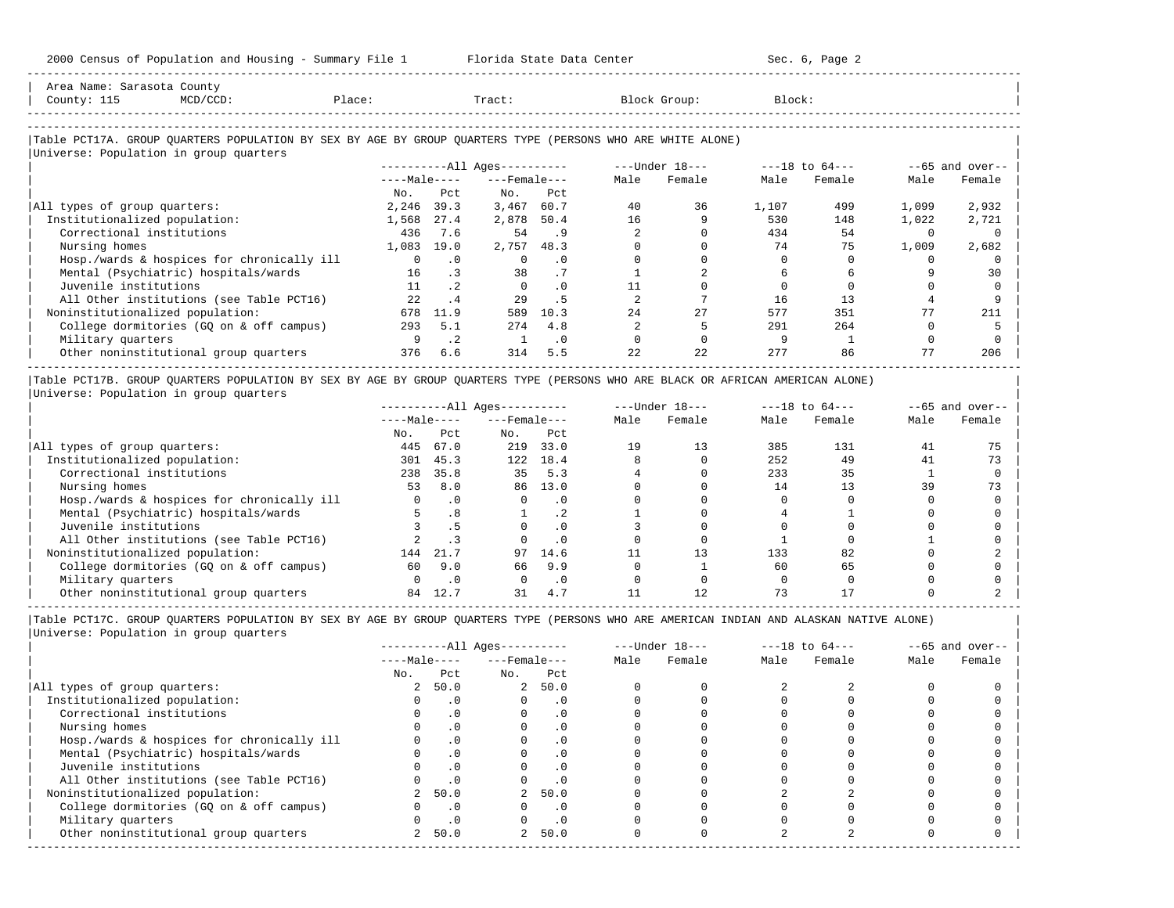| Area Name: Sarasota County             |                                                                                                            |              |           |                              |           |      |                  |        |                    |          |                   |
|----------------------------------------|------------------------------------------------------------------------------------------------------------|--------------|-----------|------------------------------|-----------|------|------------------|--------|--------------------|----------|-------------------|
| County: 115                            | $MCD/CCD$ :                                                                                                | Place:       |           | Tract:                       |           |      | Block Group:     | Block: |                    |          |                   |
|                                        |                                                                                                            |              |           |                              |           |      |                  |        |                    |          |                   |
|                                        | Table PCT17A. GROUP QUARTERS POPULATION BY SEX BY AGE BY GROUP QUARTERS TYPE (PERSONS WHO ARE WHITE ALONE) |              |           |                              |           |      |                  |        |                    |          |                   |
| Universe: Population in group quarters |                                                                                                            |              |           |                              |           |      |                  |        |                    |          |                   |
|                                        |                                                                                                            |              |           | ----------All Ages---------- |           |      | $---Under 18---$ |        | $---18$ to $64---$ |          | $--65$ and over-- |
|                                        |                                                                                                            | $---Male---$ |           | $---$ Female $---$           |           | Male | Female           | Male   | Female             | Male     | Female            |
|                                        |                                                                                                            | No.          | Pct       | No.                          | Pct       |      |                  |        |                    |          |                   |
| All types of group quarters:           |                                                                                                            | 2,246        | 39.3      | 3,467                        | 60.7      | 40   | 36               | 1,107  | 499                | 1,099    | 2,932             |
| Institutionalized population:          |                                                                                                            | 1,568        | 27.4      | 2,878                        | 50.4      | 16   |                  | 530    | 148                | 1,022    | 2,721             |
| Correctional institutions              |                                                                                                            | 436          | 7.6       | 54                           | . 9       |      |                  | 434    | 54                 | $\Omega$ |                   |
| Nursing homes                          |                                                                                                            | 1,083        | 19.0      | 2,757                        | 48.3      |      |                  | 74     | 75                 | 1,009    | 2,682             |
|                                        | Hosp./wards & hospices for chronically ill                                                                 |              | $\cdot$ 0 | $\Omega$                     | $\cdot$ 0 |      |                  |        |                    |          |                   |
|                                        | Mental (Psychiatric) hospitals/wards                                                                       | 16           |           | 38                           | .7        |      |                  |        |                    |          | 30                |
| Juvenile institutions                  |                                                                                                            | 11           | $\cdot$ 2 | $\Omega$                     | $\cdot$ 0 |      |                  |        |                    |          |                   |
|                                        | All Other institutions (see Table PCT16)                                                                   | 22           | $\cdot$ 4 | 29                           | . 5       |      |                  | 16     | 13                 |          |                   |
| Noninstitutionalized population:       |                                                                                                            | 678          | 11.9      | 589                          | 10.3      | 2.4  | 27               | 577    | 351                | 77       | 211               |
|                                        | College dormitories (GQ on & off campus)                                                                   | 293          | 5.1       | 274                          | 4.8       |      |                  | 291    | 264                |          |                   |
| Military quarters                      |                                                                                                            |              | $\cdot$ 2 |                              | $\cdot$ 0 |      |                  |        |                    |          |                   |
|                                        | Other noninstitutional group quarters                                                                      | 376          | 6.6       | 314                          | 5.5       | 22   | 22               | 277    | 86                 |          | 206               |

|Table PCT17B. GROUP QUARTERS POPULATION BY SEX BY AGE BY GROUP QUARTERS TYPE (PERSONS WHO ARE BLACK OR AFRICAN AMERICAN ALONE) | |Universe: Population in group quarters |

-----------------------------------------------------------------------------------------------------------------------------------------------------

|                                            |              | $------All Ages------$ |                    |           | $---Under 18---$ | $---18$ to $64---$ |      |        | $- -65$ and over-- |        |
|--------------------------------------------|--------------|------------------------|--------------------|-----------|------------------|--------------------|------|--------|--------------------|--------|
|                                            | $---Male---$ |                        | $---$ Female $---$ |           | Male             | Female             | Male | Female | Male               | Female |
|                                            | No.          | Pct                    | No.                | Pct       |                  |                    |      |        |                    |        |
| All types of group quarters:               | 445          | 67.0                   | 219                | 33.0      | 19               | 13                 | 385  | 131    | 41                 |        |
| Institutionalized population:              | 301          | 45.3                   | 122.               | 18.4      |                  |                    | 252  | 49     | 41                 | 73     |
| Correctional institutions                  | 238          | 35.8                   | 35                 | 5.3       |                  |                    | 233  | 35     |                    |        |
| Nursing homes                              | 53           | 8.0                    | 86                 | 13.0      |                  |                    | 14   |        | 39                 | 73     |
| Hosp./wards & hospices for chronically ill |              | $\cdot$ 0              |                    | . 0       |                  |                    |      |        |                    |        |
| Mental (Psychiatric) hospitals/wards       |              |                        |                    | $\cdot$ 2 |                  |                    |      |        |                    |        |
| Juvenile institutions                      |              | . 5                    |                    | . 0       |                  |                    |      |        |                    |        |
| All Other institutions (see Table PCT16)   |              |                        |                    | $\cdot$ 0 |                  |                    |      |        |                    |        |
| Noninstitutionalized population:           | 144          | 21.7                   | 97                 | 14.6      |                  | 13                 | 133  | 82     |                    |        |
| College dormitories (GO on & off campus)   | 60           | 9.0                    | 66                 | 9.9       |                  |                    | 60   | 65     |                    |        |
| Military quarters                          |              | $\cdot$ 0              |                    | . 0       |                  |                    |      |        |                    |        |
| Other noninstitutional group quarters      | 84           |                        |                    | 4.7       |                  |                    |      |        |                    |        |

-----------------------------------------------------------------------------------------------------------------------------------------------------

-----------------------------------------------------------------------------------------------------------------------------------------------------

|Table PCT17C. GROUP QUARTERS POPULATION BY SEX BY AGE BY GROUP QUARTERS TYPE (PERSONS WHO ARE AMERICAN INDIAN AND ALASKAN NATIVE ALONE) | |Universe: Population in group quarters |

|                                            |                |           | $------All Ages------$ |            |      | $---Under 18---$ |      | $---18$ to $64---$ |      | $--65$ and over-- |
|--------------------------------------------|----------------|-----------|------------------------|------------|------|------------------|------|--------------------|------|-------------------|
|                                            | $---Male---$   |           | $---$ Female $---$     |            | Male | Female           | Male | Female             | Male | Female            |
|                                            | No.            | Pct       | No.                    | Pct        |      |                  |      |                    |      |                   |
| All types of group quarters:               | $\overline{a}$ | 50.0      |                        | 2, 50.0    |      |                  |      |                    |      |                   |
| Institutionalized population:              |                |           |                        | . 0        |      |                  |      |                    |      |                   |
| Correctional institutions                  |                | .0        |                        | $\cdot$ 0  |      |                  |      |                    |      |                   |
| Nursing homes                              |                |           |                        | . 0        |      |                  |      |                    |      |                   |
| Hosp./wards & hospices for chronically ill |                |           |                        | . 0        |      |                  |      |                    |      |                   |
| Mental (Psychiatric) hospitals/wards       |                | $\cdot$ 0 |                        | $\Omega$ . |      |                  |      |                    |      |                   |
| Juvenile institutions                      |                |           |                        | $\cdot$ 0  |      |                  |      |                    |      |                   |
| All Other institutions (see Table PCT16)   |                |           |                        |            |      |                  |      |                    |      |                   |
| Noninstitutionalized population:           |                | 50.0      |                        | 50.0       |      |                  |      |                    |      |                   |
| College dormitories (GQ on & off campus)   |                | $\cdot$ 0 |                        | $\cdot$ 0  |      |                  |      |                    |      |                   |
| Military quarters                          |                | $\cdot$ 0 |                        | $\cdot$ 0  |      |                  |      |                    |      |                   |
| Other noninstitutional group quarters      | 2              | 50.0      | $\overline{a}$         | 50.0       |      |                  |      |                    |      |                   |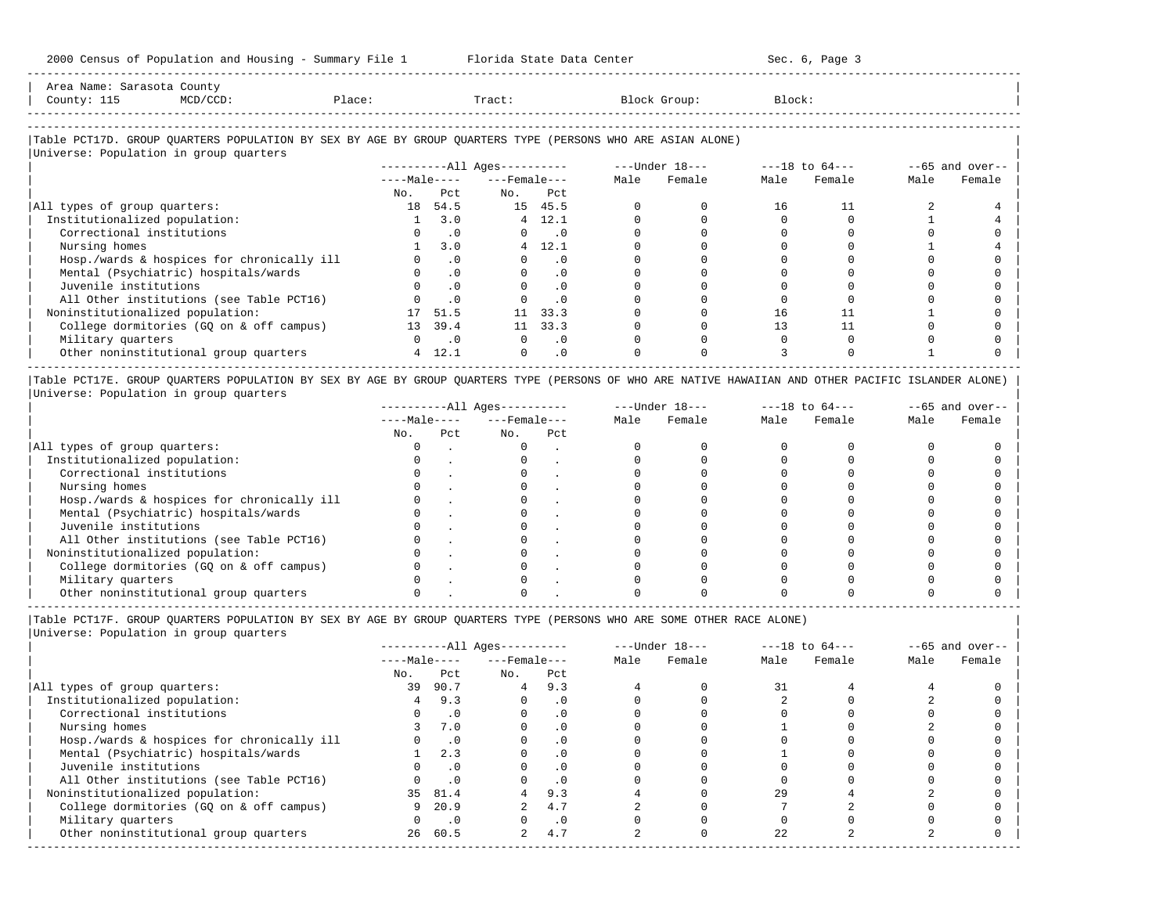| Area Name: Sarasota County<br>County: 115 | MCD/CCD: | Place:                                                                                                     | Tract:                           |      | Block Group:   | Block:         |                           |
|-------------------------------------------|----------|------------------------------------------------------------------------------------------------------------|----------------------------------|------|----------------|----------------|---------------------------|
| Universe: Population in group quarters    |          | Table PCT17D. GROUP QUARTERS POPULATION BY SEX BY AGE BY GROUP QUARTERS TYPE (PERSONS WHO ARE ASIAN ALONE) |                                  |      |                |                |                           |
|                                           |          |                                                                                                            | ----------All Ages----------     |      | ---Under 18--- | ---18 to 64--- | $--65$ and over-- $\vert$ |
|                                           |          |                                                                                                            | $---Ma$ ]e ---- $---$ Female --- | Male | Female         | Male Female    | Female<br>Male            |
|                                           |          | No.                                                                                                        | Pct<br>No.                       | Pct  |                |                |                           |

-----------------------------------------------------------------------------------------------------------------------------------------------------

| All types of group quarters:               | 18 | 54.5            |    | 15 45.5 |  | 16 |  |  |
|--------------------------------------------|----|-----------------|----|---------|--|----|--|--|
| Institutionalized population:              |    | 3.0             | 4  | 12.1    |  |    |  |  |
| Correctional institutions                  |    | $\cdot$ 0       |    |         |  |    |  |  |
| Nursing homes                              |    | 3.0             |    | 12.1    |  |    |  |  |
| Hosp./wards & hospices for chronically ill |    | .0              |    |         |  |    |  |  |
| Mental (Psychiatric) hospitals/wards       |    | .0 <sub>1</sub> |    |         |  |    |  |  |
| Juvenile institutions                      |    | $\cdot$ 0       |    |         |  |    |  |  |
| All Other institutions (see Table PCT16)   |    |                 |    |         |  |    |  |  |
| Noninstitutionalized population:           |    | 51.5            | 11 | 33.3    |  |    |  |  |
| College dormitories (GQ on & off campus)   | 13 | 39.4            | 11 | 33.3    |  |    |  |  |
| Military quarters                          |    | $\cdot$ 0       |    |         |  |    |  |  |
| Other noninstitutional group quarters      |    | 12.1            |    |         |  |    |  |  |
|                                            |    |                 |    |         |  |    |  |  |

|Table PCT17E. GROUP QUARTERS POPULATION BY SEX BY AGE BY GROUP QUARTERS TYPE (PERSONS OF WHO ARE NATIVE HAWAIIAN AND OTHER PACIFIC ISLANDER ALONE) | |Universe: Population in group quarters |

|                                            |              | $------All Aqes------$ |                    |     |      | $---Under 18---$ |      | $---18$ to $64---$ | $--65$ and over-- |        |  |
|--------------------------------------------|--------------|------------------------|--------------------|-----|------|------------------|------|--------------------|-------------------|--------|--|
|                                            | $---Male---$ |                        | $---$ Female $---$ |     | Male | Female           | Male | Female             | Male              | Female |  |
|                                            | No.          | Pct                    | No.                | Pct |      |                  |      |                    |                   |        |  |
| All types of group quarters:               |              |                        |                    |     |      |                  |      |                    |                   |        |  |
| Institutionalized population:              |              |                        |                    |     |      |                  |      |                    |                   |        |  |
| Correctional institutions                  |              |                        |                    |     |      |                  |      |                    |                   |        |  |
| Nursing homes                              |              |                        |                    |     |      |                  |      |                    |                   |        |  |
| Hosp./wards & hospices for chronically ill |              |                        |                    |     |      |                  |      |                    |                   |        |  |
| Mental (Psychiatric) hospitals/wards       |              |                        |                    |     |      |                  |      |                    |                   |        |  |
| Juvenile institutions                      |              |                        |                    |     |      |                  |      |                    |                   |        |  |
| All Other institutions (see Table PCT16)   |              |                        |                    |     |      |                  |      |                    |                   |        |  |
| Noninstitutionalized population:           |              |                        |                    |     |      |                  |      |                    |                   |        |  |
| College dormitories (GQ on & off campus)   |              |                        |                    |     |      |                  |      |                    |                   |        |  |
| Military quarters                          |              |                        |                    |     |      |                  |      |                    |                   |        |  |
| Other noninstitutional group quarters      |              |                        |                    |     |      |                  |      |                    |                   |        |  |

-----------------------------------------------------------------------------------------------------------------------------------------------------

|Table PCT17F. GROUP QUARTERS POPULATION BY SEX BY AGE BY GROUP QUARTERS TYPE (PERSONS WHO ARE SOME OTHER RACE ALONE) |

|                                            |              |           | $------All Aqes------$ |           |      | $---Under 18---$ |      | $---18$ to $64---$ | $--65$ and over-- |        |
|--------------------------------------------|--------------|-----------|------------------------|-----------|------|------------------|------|--------------------|-------------------|--------|
|                                            | $---Male---$ |           | $---$ Female $---$     |           | Male | Female           | Male | Female             | Male              | Female |
|                                            | No.          | Pct       | No.                    | Pct       |      |                  |      |                    |                   |        |
| All types of group quarters:               | 39           | 90.7      | 4                      | 9.3       |      |                  | 31   |                    |                   |        |
| Institutionalized population:              |              | 9.3       |                        | $\cdot$ 0 |      |                  |      |                    |                   |        |
| Correctional institutions                  |              | $\cdot$ 0 |                        |           |      |                  |      |                    |                   |        |
| Nursing homes                              |              | 7.0       |                        | .0        |      |                  |      |                    |                   |        |
| Hosp./wards & hospices for chronically ill |              | $\cdot$ 0 |                        |           |      |                  |      |                    |                   |        |
| Mental (Psychiatric) hospitals/wards       |              | 2.3       |                        | $\cdot$ 0 |      |                  |      |                    |                   |        |
| Juvenile institutions                      |              | $\cdot$ 0 |                        | $\cdot$ 0 |      |                  |      |                    |                   |        |
| All Other institutions (see Table PCT16)   |              | $\cdot$ 0 |                        | .0        |      |                  |      |                    |                   |        |
| Noninstitutionalized population:           |              | 35 81.4   |                        | 9.3       |      |                  | 29   |                    |                   |        |
| College dormitories (GQ on & off campus)   | 9            | 20.9      |                        | 4.7       |      |                  |      |                    |                   |        |
| Military quarters                          |              | $\cdot$ 0 |                        | $\cdot$ 0 |      |                  |      |                    |                   |        |
| Other noninstitutional group quarters      | 26           | 60.5      | 2                      | 4.7       |      |                  | 22   |                    |                   |        |
|                                            |              |           |                        |           |      |                  |      |                    |                   |        |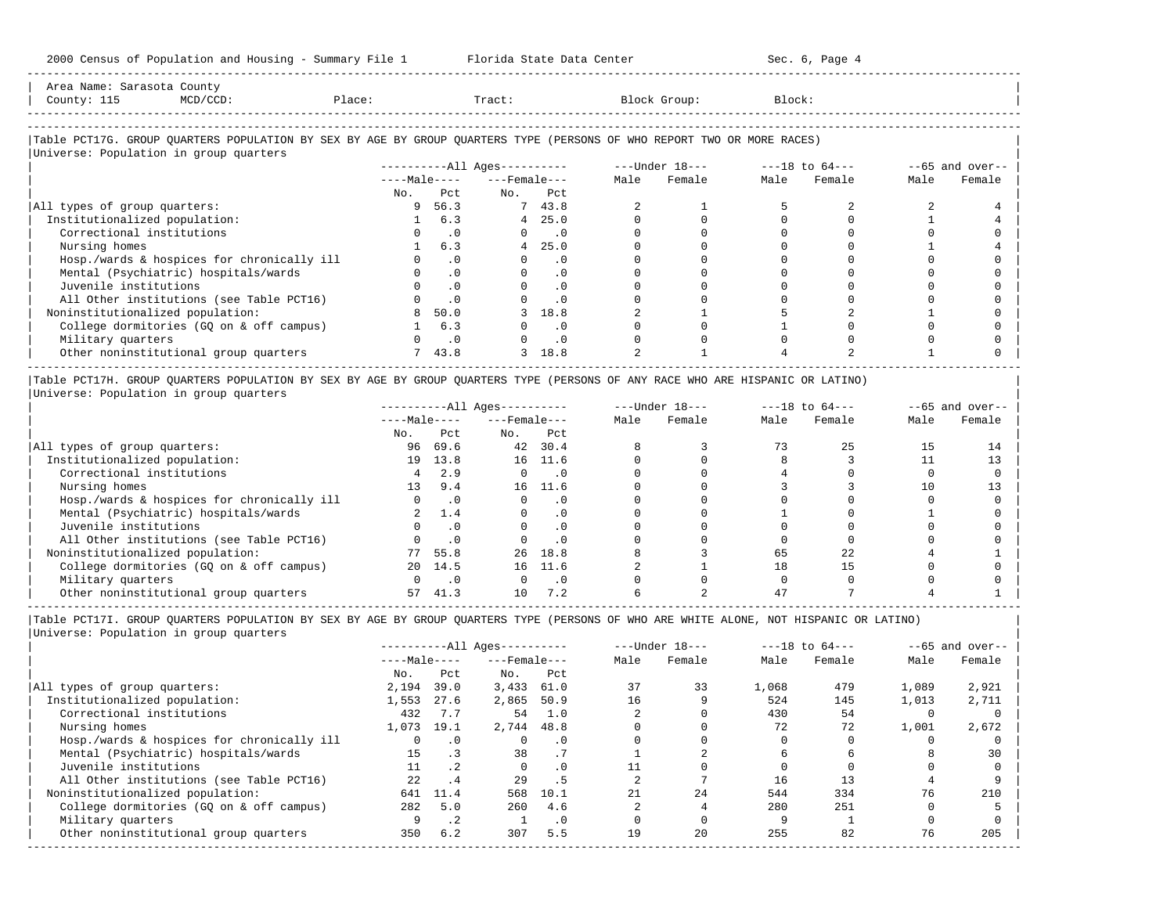| 2000 Census of Population and Housing - Summary File 1 Florida State Data Center                                              |             |                             |                              |           |      |                |        | Sec. 6, Page 4     |      |                    |
|-------------------------------------------------------------------------------------------------------------------------------|-------------|-----------------------------|------------------------------|-----------|------|----------------|--------|--------------------|------|--------------------|
| Area Name: Sarasota County<br>explorer in the Place:<br>County: 115<br>$MCD/CCD$ :                                            |             |                             | <b>Tract:</b>                |           |      | Block Group:   | Block: |                    |      |                    |
| Table PCT17G. GROUP OUARTERS POPULATION BY SEX BY AGE BY GROUP OUARTERS TYPE (PERSONS OF WHO REPORT TWO OR MORE RACES)        |             |                             |                              |           |      |                |        |                    |      |                    |
| Universe: Population in group quarters                                                                                        |             |                             |                              |           |      |                |        |                    |      |                    |
|                                                                                                                               |             |                             | ----------All Ages---------- |           |      | ---Under 18--- |        | $---18$ to $64---$ |      | $-65$ and over--   |
|                                                                                                                               |             |                             | $---Male-- ---Female---$     |           | Male | Female         | Male   | Female             | Male | Female             |
|                                                                                                                               | No.         | Pct.                        | No. Pct                      |           |      |                |        |                    |      |                    |
| All types of group quarters:                                                                                                  | 9           | 56.3                        |                              | 7 43.8    |      |                |        |                    |      |                    |
| Institutionalized population:                                                                                                 |             | 6.3                         | $4\overline{ }$              | 25.0      |      | $\Omega$       |        |                    |      |                    |
| Correctional institutions                                                                                                     |             | $\cdot$ 0                   |                              | $\cdot$ 0 |      |                |        |                    |      |                    |
| Nursing homes                                                                                                                 |             | 6.3                         | $4\overline{ }$              | 25.0      |      |                |        |                    |      |                    |
| Hosp./wards & hospices for chronically ill                                                                                    |             | $\cdot$ 0                   | $\Omega$                     | $\cdot$ 0 |      |                |        |                    |      |                    |
| Mental (Psychiatric) hospitals/wards                                                                                          | $\Omega$    | $\cdot$ 0                   | $\Omega$                     | $\cdot$ 0 |      | 0              |        |                    |      |                    |
| Juvenile institutions                                                                                                         |             | $\cdot$ 0                   |                              | $\cdot$ 0 |      |                |        |                    |      |                    |
| All Other institutions (see Table PCT16)                                                                                      |             | $\cdot$ 0                   |                              | .0        |      |                |        |                    |      |                    |
| Noninstitutionalized population:                                                                                              | 8           | 50.0                        |                              | 18.8      |      |                |        |                    |      |                    |
| College dormitories (GQ on & off campus)                                                                                      |             | 6.3                         |                              | $\cdot$ 0 |      |                |        |                    |      |                    |
| Military quarters                                                                                                             |             | $\overline{\phantom{0}}$ .0 |                              | $\cdot$ 0 |      |                |        |                    |      |                    |
| Other noninstitutional group quarters                                                                                         | $7^{\circ}$ | 43.8                        | 3                            | 18.8      |      |                |        |                    |      |                    |
| Table PCT17H. GROUP QUARTERS POPULATION BY SEX BY AGE BY GROUP QUARTERS TYPE (PERSONS OF ANY RACE WHO ARE HISPANIC OR LATINO) |             |                             |                              |           |      |                |        |                    |      |                    |
| Universe: Population in group quarters                                                                                        |             |                             |                              |           |      |                |        |                    |      |                    |
|                                                                                                                               |             |                             |                              |           |      |                |        |                    |      | $- -65$ and over-- |
|                                                                                                                               |             |                             | $---Male-- ---Female---$     |           | Male | Female         | Male   | Female             | Male | Female             |
|                                                                                                                               | No.         | Pct                         | No. Pct                      |           |      |                |        |                    |      |                    |

|                                            | No. | Pct         | No.    | Pct       |  |    |  |  |
|--------------------------------------------|-----|-------------|--------|-----------|--|----|--|--|
| All types of group quarters:               | 96  | 69.6        | 42     | 30.4      |  |    |  |  |
| Institutionalized population:              | 19  | 13.8        | 16     | 11.6      |  |    |  |  |
| Correctional institutions                  |     | 2.9         |        |           |  |    |  |  |
| Nursing homes                              |     | 9.4         | 16     | 11.6      |  |    |  |  |
| Hosp./wards & hospices for chronically ill |     |             |        |           |  |    |  |  |
| Mental (Psychiatric) hospitals/wards       |     | $\perp$ . 4 |        |           |  |    |  |  |
| Juvenile institutions                      |     |             |        | . 0       |  |    |  |  |
| All Other institutions (see Table PCT16)   |     |             |        | $\cdot$ 0 |  |    |  |  |
| Noninstitutionalized population:           |     | 55.8        | $26 -$ | 18.8      |  | 65 |  |  |
| College dormitories (GQ on & off campus)   | 2.0 | 14.5        | 16     | 11.6      |  |    |  |  |
| Military quarters                          |     |             |        |           |  |    |  |  |
| Other noninstitutional group quarters      |     |             |        | 7.2       |  |    |  |  |

-----------------------------------------------------------------------------------------------------------------------------------------------------

|Table PCT17I. GROUP QUARTERS POPULATION BY SEX BY AGE BY GROUP QUARTERS TYPE (PERSONS OF WHO ARE WHITE ALONE, NOT HISPANIC OR LATINO) | |Universe: Population in group quarters |

|                                            |              |                 | $------All Ages------$ |           |      | $---Under 18---$ | $---18$ to $64---$ |        | $--65$ and over-- |        |
|--------------------------------------------|--------------|-----------------|------------------------|-----------|------|------------------|--------------------|--------|-------------------|--------|
|                                            | $---Male---$ |                 | $---$ Female $---$     |           | Male | Female           | Male               | Female | Male              | Female |
|                                            | No.          | Pct             | No.                    | Pct       |      |                  |                    |        |                   |        |
| All types of group quarters:               | 2,194        | 39.0            | 3,433                  | 61.0      | 37   | 33               | 1,068              | 479    | 1,089             | 2,921  |
| Institutionalized population:              | 1,553        | 27.6            | 2,865                  | 50.9      | 16   |                  | 524                | 145    | 1,013             | 2,711  |
| Correctional institutions                  | 432          | 7.7             | 54                     | 1.0       |      |                  | 430                | 54     |                   |        |
| Nursing homes                              | 1,073        | 19.1            | 2,744                  | 48.8      |      |                  | 72                 | 72     | 1,001             | 2,672  |
| Hosp./wards & hospices for chronically ill | 0            | $\cdot$ 0       |                        | . 0       |      |                  |                    |        |                   |        |
| Mental (Psychiatric) hospitals/wards       | 15           |                 | 38                     | .7        |      |                  |                    |        |                   | 30     |
| Juvenile institutions                      | 11           | .2 <sub>2</sub> | $\Omega$               | $\cdot$ 0 |      |                  |                    |        |                   |        |
| All Other institutions (see Table PCT16)   | 22           | .4              | 29                     | . 5       |      |                  | 16                 | 13     |                   |        |
| Noninstitutionalized population:           | 641          | 11.4            | 568                    | 10.1      |      | 24               | 544                | 334    | 76                | 210    |
| College dormitories (GO on & off campus)   | 282          | 5.0             | 260                    | 4.6       |      |                  | 280                | 251    |                   |        |
| Military quarters                          | 9            | $\cdot$ 2       |                        | $\cdot$ 0 |      |                  |                    |        |                   |        |
| Other noninstitutional group quarters      | 350          | 6.2             | 307                    | 5.5       | 19   | 20               | 255                | 82     | 76                | 205    |
|                                            |              |                 |                        |           |      |                  |                    |        |                   |        |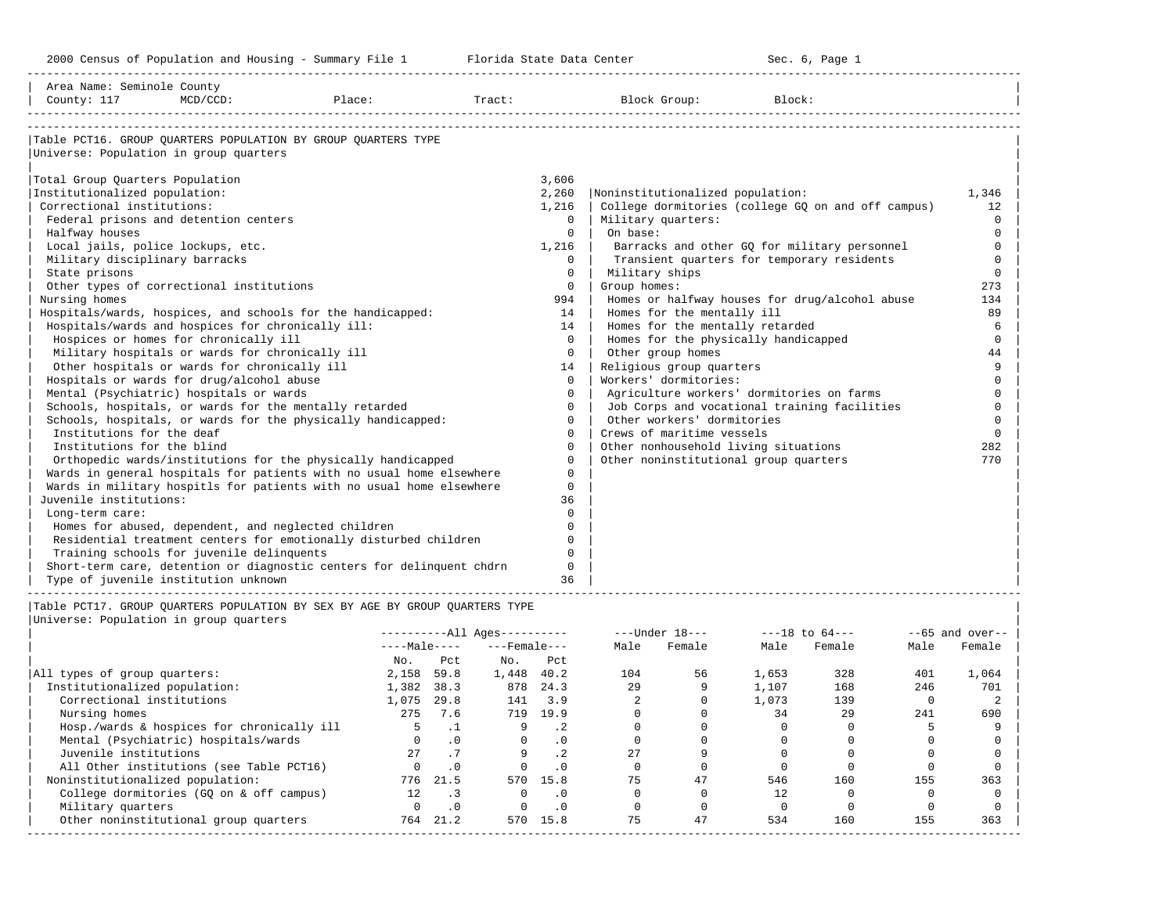| Area Name: Seminole County<br>County: 117                                                                                                                                                                                                                                                                                                                                                                                                                                                                                                                                                                                                             | MCD/CCD:                                                                                                                                                                              | Place:                                                                                                                                                                                                                                                                                                                                                                                                                                                                                                                                                                                                                                                                     |         | Tract:                                                |                                                                                                                                                                                                                                                                                                                          |                                            | Block Group:                                                                                                                                                                                                                                                                                                                                                                                                                                                                                                                                                                                                                                                                             | Block:         |                                   |            |                                                                                                                                                                                                      |
|-------------------------------------------------------------------------------------------------------------------------------------------------------------------------------------------------------------------------------------------------------------------------------------------------------------------------------------------------------------------------------------------------------------------------------------------------------------------------------------------------------------------------------------------------------------------------------------------------------------------------------------------------------|---------------------------------------------------------------------------------------------------------------------------------------------------------------------------------------|----------------------------------------------------------------------------------------------------------------------------------------------------------------------------------------------------------------------------------------------------------------------------------------------------------------------------------------------------------------------------------------------------------------------------------------------------------------------------------------------------------------------------------------------------------------------------------------------------------------------------------------------------------------------------|---------|-------------------------------------------------------|--------------------------------------------------------------------------------------------------------------------------------------------------------------------------------------------------------------------------------------------------------------------------------------------------------------------------|--------------------------------------------|------------------------------------------------------------------------------------------------------------------------------------------------------------------------------------------------------------------------------------------------------------------------------------------------------------------------------------------------------------------------------------------------------------------------------------------------------------------------------------------------------------------------------------------------------------------------------------------------------------------------------------------------------------------------------------------|----------------|-----------------------------------|------------|------------------------------------------------------------------------------------------------------------------------------------------------------------------------------------------------------|
| Universe: Population in group quarters<br>Total Group Quarters Population<br>Institutionalized population:<br>Correctional institutions:<br>Federal prisons and detention centers<br>Halfway houses<br>Local jails, police lockups, etc.<br>Military disciplinary barracks<br>State prisons<br>Other types of correctional institutions<br>Nursing homes<br>Hospitals/wards and hospices for chronically ill:<br>Hospitals or wards for drug/alcohol abuse<br>Mental (Psychiatric) hospitals or wards<br>Institutions for the deaf<br>Institutions for the blind<br>Juvenile institutions:<br>Long-term care:<br>Type of juvenile institution unknown | Hospices or homes for chronically ill<br>Military hospitals or wards for chronically ill<br>Other hospitals or wards for chronically ill<br>Training schools for juvenile delinquents | Table PCT16. GROUP QUARTERS POPULATION BY GROUP QUARTERS TYPE<br>Hospitals/wards, hospices, and schools for the handicapped:<br>Schools, hospitals, or wards for the mentally retarded<br>Schools, hospitals, or wards for the physically handicapped:<br>Orthopedic wards/institutions for the physically handicapped<br>Wards in general hospitals for patients with no usual home elsewhere<br>Wards in military hospitls for patients with no usual home elsewhere<br>Homes for abused, dependent, and neglected children<br>Residential treatment centers for emotionally disturbed children<br>Short-term care, detention or diagnostic centers for delinquent chdrn |         |                                                       | 3,606<br>2,260<br>1,216<br>$\Omega$<br>$\Omega$<br>1,216<br>$\Omega$<br>$\Omega$<br>$\circ$<br>994<br>14<br>14<br>$\Omega$<br>$\circ$<br>14<br>$\Omega$<br>$\Omega$<br>$\Omega$<br>$\Omega$<br>$\Omega$<br>$\Omega$<br>$\Omega$<br>$\Omega$<br>$\Omega$<br>36<br>$\Omega$<br>0<br>$\Omega$<br>$\Omega$<br>$\Omega$<br>36 | On base:<br>Military ships<br>Group homes: | Noninstitutionalized population:<br>College dormitories (college GQ on and off campus)<br>Military quarters:<br>Barracks and other GQ for military personnel<br>Transient quarters for temporary residents<br>Homes or halfway houses for drug/alcohol abuse<br>Homes for the mentally ill<br>Homes for the mentally retarded<br>Homes for the physically handicapped<br>Other group homes<br>Religious group quarters<br>Workers' dormitories:<br>Agriculture workers' dormitories on farms<br>Job Corps and vocational training facilities<br>Other workers' dormitories<br>Crews of maritime vessels<br>Other nonhousehold living situations<br>Other noninstitutional group quarters |                |                                   |            | 1,346<br>12<br>$\Omega$<br>$\Omega$<br>$\Omega$<br>$\mathbf 0$<br>$\Omega$<br>273<br>134<br>89<br>6<br>$\Omega$<br>44<br>9<br>$\Omega$<br>$\Omega$<br>$\Omega$<br>$\Omega$<br>$\Omega$<br>282<br>770 |
| Universe: Population in group quarters                                                                                                                                                                                                                                                                                                                                                                                                                                                                                                                                                                                                                |                                                                                                                                                                                       | Table PCT17. GROUP OUARTERS POPULATION BY SEX BY AGE BY GROUP OUARTERS TYPE                                                                                                                                                                                                                                                                                                                                                                                                                                                                                                                                                                                                |         | ----------All Ages----------<br>$---Male-- ---Female$ |                                                                                                                                                                                                                                                                                                                          |                                            | ---Under 18---<br>Male Female                                                                                                                                                                                                                                                                                                                                                                                                                                                                                                                                                                                                                                                            |                | $---18$ to $64---$<br>Male Female | Male       | $- -65$ and over--<br>Female                                                                                                                                                                         |
| All types of group quarters:<br>Institutionalized population:                                                                                                                                                                                                                                                                                                                                                                                                                                                                                                                                                                                         |                                                                                                                                                                                       | 2,158 59.8<br>1,382 38.3                                                                                                                                                                                                                                                                                                                                                                                                                                                                                                                                                                                                                                                   | No. Pct | No.<br>1,448 40.2                                     | Pct<br>878 24.3                                                                                                                                                                                                                                                                                                          | 104<br>29                                  | 56<br>$\mathsf{Q}$                                                                                                                                                                                                                                                                                                                                                                                                                                                                                                                                                                                                                                                                       | 1,653<br>1,107 | 328<br>168                        | 401<br>246 | 1,064<br>701                                                                                                                                                                                         |

|                                            | $---Male---$ |           | $---$ Female $---$ |           | Male | Female | Male  | Female | Male | Female |
|--------------------------------------------|--------------|-----------|--------------------|-----------|------|--------|-------|--------|------|--------|
|                                            | No.          | Pct       | No.                | Pct       |      |        |       |        |      |        |
| All types of group quarters:               | 2,158        | 59.8      | 1,448              | 40.2      | 104  | 56     | 1,653 | 328    | 401  | 1,064  |
| Institutionalized population:              | 1,382        | 38.3      | 878                | 24.3      | 29   |        | 1,107 | 168    | 246  | 701    |
| Correctional institutions                  | 1,075        | 29.8      | 141                | 3.9       |      |        | 1,073 | 139    |      |        |
| Nursing homes                              | 275          | 7.6       |                    | 719 19.9  |      |        | 34    | 29     | 241  | 690    |
| Hosp./wards & hospices for chronically ill |              |           |                    |           |      |        |       |        |      |        |
| Mental (Psychiatric) hospitals/wards       | <sup>n</sup> | .0        | $\Omega$           | .0        |      |        |       |        |      |        |
| Juvenile institutions                      | 27           |           |                    |           | 2.7  |        |       |        |      |        |
| All Other institutions (see Table PCT16)   |              | $\cdot$ 0 | $\Omega$           | $\cdot$ 0 |      |        |       |        |      |        |
| Noninstitutionalized population:           | 776          | 21.5      | 570                | 15.8      | 75   | 47     | 546   | 160    | 155  | 363    |
| College dormitories (GO on & off campus)   | 12.          |           | O.                 | $\cdot$ 0 |      |        | 12    |        |      |        |
| Military quarters                          |              | $\cdot$ 0 | $\Omega$           | $\cdot$ 0 |      |        |       |        |      |        |
| Other noninstitutional group quarters      | 764          | 21.2      | 570                | 15.8      | 75   | 47     | 534   | 160    | 155  | 363    |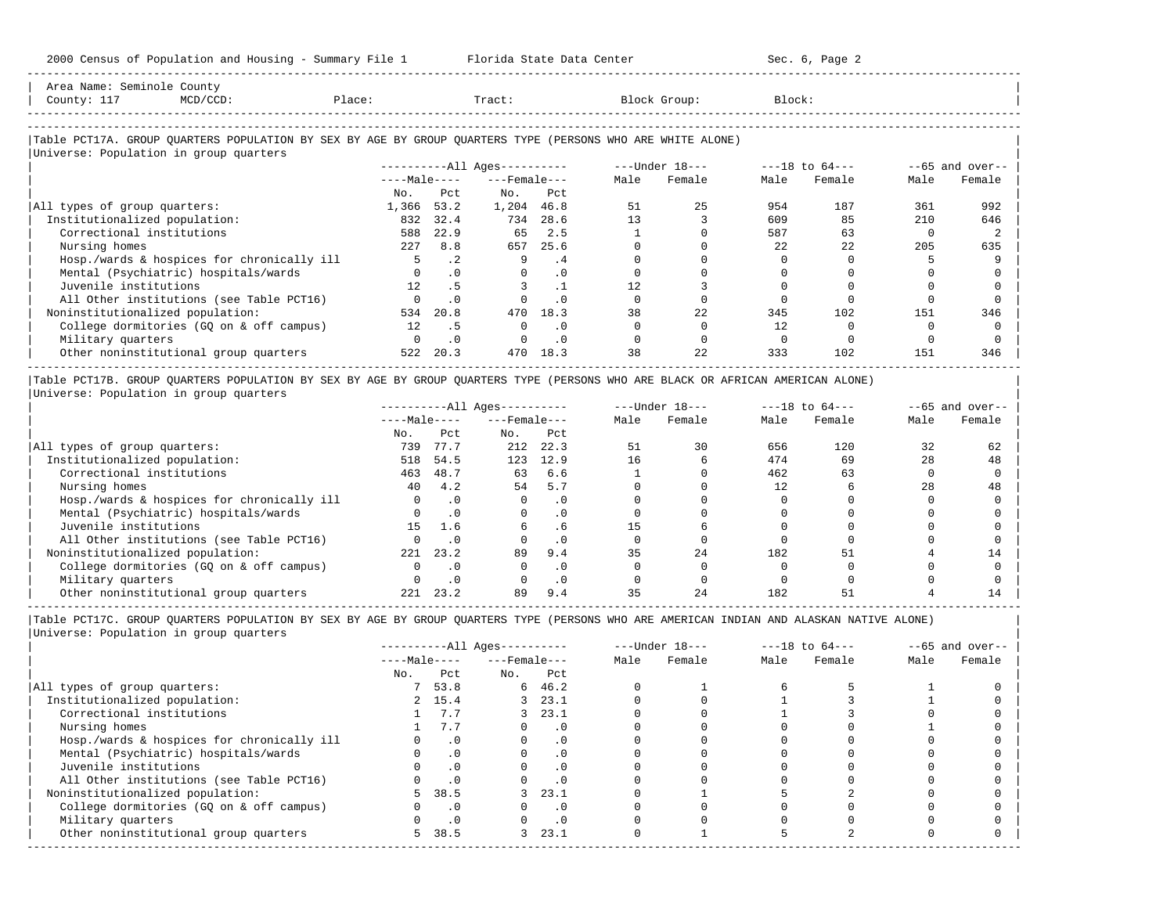2000 Census of Population and Housing - Summary File 1 Florida State Data Center Sec. 6, Page 2 -----------------------------------------------------------------------------------------------------------------------------------------------------

| Area Name: Seminole County<br>County: 117<br>$MCD/CCD$ :<br>Place:                                         | Tract:       |           |                        |           | Block Group: | Block:         |      |                    |      |                   |
|------------------------------------------------------------------------------------------------------------|--------------|-----------|------------------------|-----------|--------------|----------------|------|--------------------|------|-------------------|
|                                                                                                            |              |           |                        |           |              |                |      |                    |      |                   |
| Table PCT17A. GROUP OUARTERS POPULATION BY SEX BY AGE BY GROUP OUARTERS TYPE (PERSONS WHO ARE WHITE ALONE) |              |           |                        |           |              |                |      |                    |      |                   |
| Universe: Population in group quarters                                                                     |              |           |                        |           |              |                |      |                    |      |                   |
|                                                                                                            |              |           | $------All Aqes------$ |           |              | ---Under 18--- |      | $---18$ to $64---$ |      | $--65$ and over-- |
|                                                                                                            | $---Male---$ |           | $---$ Female $---$     |           | Male         | Female         | Male | Female             | Male | Female            |
|                                                                                                            | No.          | Pct       | No.                    | Pct       |              |                |      |                    |      |                   |
| All types of group quarters:                                                                               | 1,366 53.2   |           | 1,204 46.8             |           | 51           | 25             | 954  | 187                | 361  | 992               |
| Institutionalized population:                                                                              | 832          | 32.4      | 734                    | 28.6      | 13           |                | 609  | 85                 | 210  | 646               |
| Correctional institutions                                                                                  | 588          | 22.9      | 65                     | 2.5       |              |                | 587  | 63                 |      |                   |
| Nursing homes                                                                                              |              | 227 8.8   | 657                    | 25.6      |              |                | 22   | 22                 | 205  | 635               |
| Hosp./wards & hospices for chronically ill                                                                 | 5            | $\cdot$ 2 | 9                      | . 4       |              |                |      |                    |      |                   |
| Mental (Psychiatric) hospitals/wards                                                                       | $\Omega$     | $\cdot$ 0 | $\Omega$               | $\cdot$ 0 |              |                |      |                    |      |                   |
| Juvenile institutions                                                                                      | 12           | .5        |                        | $\cdot$ 1 | 12.          |                |      |                    |      |                   |
| All Other institutions (see Table PCT16)                                                                   |              | $\cdot$ 0 |                        | $\cdot$ 0 |              |                |      |                    |      |                   |

| Noninstitutionalized population: 534 20.8 470 18.3 38 22 345 102 151 346 | | College dormitories (GQ on & off campus) 12 .5 0 .0 0 0 12 0 0 0 | | Military quarters 0 .0 0 .0 0 0 0 0 0 0 |

| Other noninstitutional group quarters 522 20.3 470 18.3 38 22 333 102 151 346 | ----------------------------------------------------------------------------------------------------------------------------------------------------- |Table PCT17B. GROUP QUARTERS POPULATION BY SEX BY AGE BY GROUP QUARTERS TYPE (PERSONS WHO ARE BLACK OR AFRICAN AMERICAN ALONE) |

|<br>| Universe: Population in group quarters |<br>| Pace | Pace | Under 19 | Pace | Pace | Pace | Pace | Pace | Pace | Pace | Pace | Pace | Pace | Pace | Pace |

|                                            |              |           | ----------All Ages---------- |           |      | $---Under 18---$ |      | $---18$ to $64---$ |      | $--65$ and over-- |
|--------------------------------------------|--------------|-----------|------------------------------|-----------|------|------------------|------|--------------------|------|-------------------|
|                                            | $---Male---$ |           | $---$ Female $---$           |           | Male | Female           | Male | Female             | Male | Female            |
|                                            | No.          | Pct       | No.                          | Pct       |      |                  |      |                    |      |                   |
| All types of group quarters:               | 739          | 77.7      | 212                          | 22.3      | 51   | 30               | 656  | 120                | 32   | 62                |
| Institutionalized population:              | 518          | 54.5      | 123                          | 12.9      | 16   |                  | 474  | 69                 | 28   | 48                |
| Correctional institutions                  | 463          | 48.7      | 63                           | 6.6       |      |                  | 462  | 63                 |      |                   |
| Nursing homes                              | 40           | 4.2       | 54                           | 5.7       |      |                  | 12   |                    | 28   | 48                |
| Hosp./wards & hospices for chronically ill |              | $\cdot$ 0 |                              | $\cdot$ 0 |      |                  |      |                    |      |                   |
| Mental (Psychiatric) hospitals/wards       |              | $\cdot$ 0 |                              |           |      |                  |      |                    |      |                   |
| Juvenile institutions                      | 15           | 1.6       | 6                            | . 6       | 15   |                  |      |                    |      |                   |
| All Other institutions (see Table PCT16)   |              |           |                              | $\cdot$ 0 |      |                  |      |                    |      |                   |
| Noninstitutionalized population:           | 221          | 23.2      | 89                           | 9.4       | 35   | 24               | 182  |                    |      |                   |
| College dormitories (GO on & off campus)   |              | $\cdot$ 0 |                              | $\cdot$ 0 |      |                  |      |                    |      |                   |
| Military quarters                          |              | . 0       |                              | $\cdot$ 0 |      |                  |      |                    |      |                   |
| Other noninstitutional group quarters      | 221          | 23.2      | 89                           | 9.4       |      | 24               | 182  |                    |      |                   |

-----------------------------------------------------------------------------------------------------------------------------------------------------

|Table PCT17C. GROUP QUARTERS POPULATION BY SEX BY AGE BY GROUP QUARTERS TYPE (PERSONS WHO ARE AMERICAN INDIAN AND ALASKAN NATIVE ALONE) | |Universe: Population in group quarters |

|                                            |              |           | $------All Aqes------$ |           |      | $---Under 18---$ |      | $---18$ to $64---$ |      | $--65$ and over-- |
|--------------------------------------------|--------------|-----------|------------------------|-----------|------|------------------|------|--------------------|------|-------------------|
|                                            | $---Male---$ |           | $---$ Female $---$     |           | Male | Female           | Male | Female             | Male | Female            |
|                                            | No.          | Pct       | No.                    | Pct       |      |                  |      |                    |      |                   |
| All types of group quarters:               |              | 53.8      |                        | 646.2     |      |                  |      |                    |      |                   |
| Institutionalized population:              |              | 2, 15.4   |                        | 3, 23.1   |      |                  |      |                    |      |                   |
| Correctional institutions                  |              | 7.7       |                        | 3, 23.1   |      |                  |      |                    |      |                   |
| Nursing homes                              |              | 7.7       |                        | $\cdot$ 0 |      |                  |      |                    |      |                   |
| Hosp./wards & hospices for chronically ill |              | $\cdot$ 0 |                        | . 0       |      |                  |      |                    |      |                   |
| Mental (Psychiatric) hospitals/wards       |              | $\cdot$ 0 |                        | $\cdot$ 0 |      |                  |      |                    |      |                   |
| Juvenile institutions                      |              |           |                        | $\cdot$ 0 |      |                  |      |                    |      |                   |
| All Other institutions (see Table PCT16)   |              |           |                        |           |      |                  |      |                    |      |                   |
| Noninstitutionalized population:           | 5.           | 38.5      | 3                      | 23.1      |      |                  |      |                    |      |                   |
| College dormitories (GQ on & off campus)   |              | $\cdot$ 0 |                        | $\cdot$ 0 |      |                  |      |                    |      |                   |
| Military quarters                          |              | $\cdot$ 0 |                        | $\cdot$ 0 |      |                  |      |                    |      |                   |
| Other noninstitutional group quarters      | 5.           | 38.5      | 3                      | 23.1      |      |                  |      |                    |      |                   |
|                                            |              |           |                        |           |      |                  |      |                    |      |                   |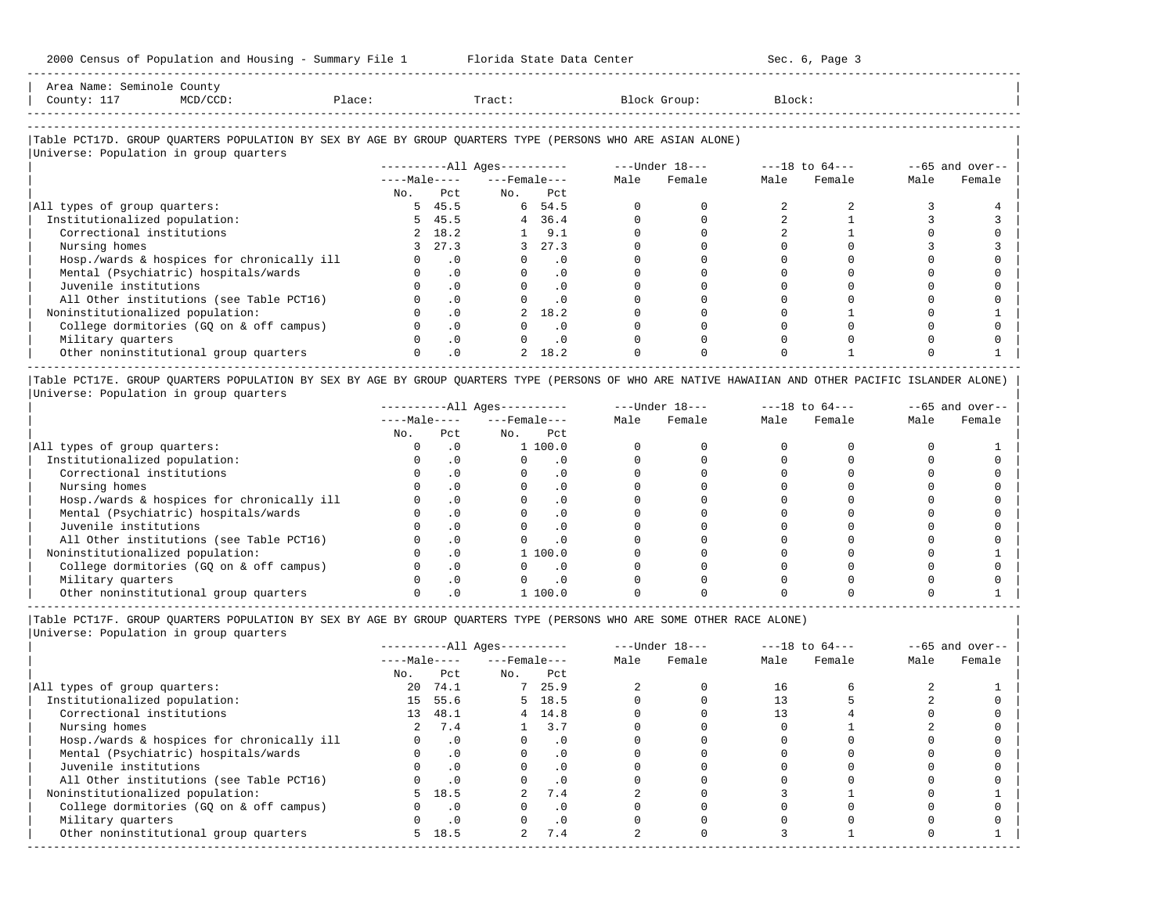| Area Name'<br>Seminole County<br>$\begin{array}{ccc} \multicolumn{3}{c}{} & \multicolumn{3}{c}{} & \multicolumn{3}{c}{} & \multicolumn{3}{c}{} & \multicolumn{3}{c}{} & \multicolumn{3}{c}{} & \multicolumn{3}{c}{} & \multicolumn{3}{c}{} & \multicolumn{3}{c}{} & \multicolumn{3}{c}{} & \multicolumn{3}{c}{} & \multicolumn{3}{c}{} & \multicolumn{3}{c}{} & \multicolumn{3}{c}{} & \multicolumn{3}{c}{} & \multicolumn{3}{c}{} & \multicolumn{3}{c}{} & \multicolumn{3}{c}{} & \multicolumn{3}{c}{} & \multicolumn$ |        |       |       |        |
|-------------------------------------------------------------------------------------------------------------------------------------------------------------------------------------------------------------------------------------------------------------------------------------------------------------------------------------------------------------------------------------------------------------------------------------------------------------------------------------------------------------------------|--------|-------|-------|--------|
| County:<br>---                                                                                                                                                                                                                                                                                                                                                                                                                                                                                                          | Place: | Tract | Group | Block: |
| --------------------                                                                                                                                                                                                                                                                                                                                                                                                                                                                                                    |        |       |       |        |

-----------------------------------------------------------------------------------------------------------------------------------------------------

# |Table PCT17D. GROUP QUARTERS POPULATION BY SEX BY AGE BY GROUP QUARTERS TYPE (PERSONS WHO ARE ASIAN ALONE) |

|                                            |              |           | $------All Ages------$ |            |      | $---Under 18---$ |      | $---18$ to $64---$ |      | $--65$ and over-- |
|--------------------------------------------|--------------|-----------|------------------------|------------|------|------------------|------|--------------------|------|-------------------|
|                                            | $---Male---$ |           | $---$ Female $---$     |            | Male | Female           | Male | Female             | Male | Female            |
|                                            | No.          | Pct       | No.                    | Pct        |      |                  |      |                    |      |                   |
| All types of group quarters:               |              | 5, 45.5   |                        | 6 54.5     |      |                  |      |                    |      |                   |
| Institutionalized population:              |              | 5 45.5    |                        | 4 36.4     |      |                  |      |                    |      |                   |
| Correctional institutions                  |              | 2 18.2    |                        | $1 \t 9.1$ |      |                  |      |                    |      |                   |
| Nursing homes                              |              | 27.3      |                        | 3, 27.3    |      |                  |      |                    |      |                   |
| Hosp./wards & hospices for chronically ill |              | . 0       |                        | $\cdot$ 0  |      |                  |      |                    |      |                   |
| Mental (Psychiatric) hospitals/wards       |              | $\cdot$ 0 | $\Omega$               | $\cdot$ 0  |      |                  |      |                    |      |                   |
| Juvenile institutions                      |              | $\cdot$ 0 |                        | $\cdot$ 0  |      |                  |      |                    |      |                   |
| All Other institutions (see Table PCT16)   |              | $\cdot$ 0 |                        | .0         |      |                  |      |                    |      |                   |
| Noninstitutionalized population:           |              | $\cdot$ 0 |                        | 18.2       |      |                  |      |                    |      |                   |
| College dormitories (GQ on & off campus)   |              | $\cdot$ 0 |                        | $\cdot$ 0  |      |                  |      |                    |      |                   |
| Military quarters                          |              | $\cdot$ 0 |                        | $\cdot$ 0  |      |                  |      |                    |      |                   |
| Other noninstitutional group quarters      |              | $\cdot$ 0 |                        | 2 18.2     |      |                  |      |                    |      |                   |

|Table PCT17E. GROUP QUARTERS POPULATION BY SEX BY AGE BY GROUP QUARTERS TYPE (PERSONS OF WHO ARE NATIVE HAWAIIAN AND OTHER PACIFIC ISLANDER ALONE) | |Universe: Population in group quarters |

|                                            |              |           | $------All Aqes------$ |           |      | $---Under 18---$ |      | $---18$ to $64---$ |      | $--65$ and over-- |
|--------------------------------------------|--------------|-----------|------------------------|-----------|------|------------------|------|--------------------|------|-------------------|
|                                            | $---Male---$ |           | $---$ Female $---$     |           | Male | Female           | Male | Female             | Male | Female            |
|                                            | No.          | Pct       | No.                    | Pct       |      |                  |      |                    |      |                   |
| All types of group quarters:               |              |           |                        | 1 100.0   |      |                  |      |                    |      |                   |
| Institutionalized population:              |              |           |                        |           |      |                  |      |                    |      |                   |
| Correctional institutions                  |              |           |                        | . 0       |      |                  |      |                    |      |                   |
| Nursing homes                              |              |           |                        | . 0       |      |                  |      |                    |      |                   |
| Hosp./wards & hospices for chronically ill |              |           |                        | . 0       |      |                  |      |                    |      |                   |
| Mental (Psychiatric) hospitals/wards       |              |           |                        | . 0       |      |                  |      |                    |      |                   |
| Juvenile institutions                      |              |           |                        | . 0       |      |                  |      |                    |      |                   |
| All Other institutions (see Table PCT16)   |              |           |                        | $\cdot$ 0 |      |                  |      |                    |      |                   |
| Noninstitutionalized population:           |              | . 0       |                        | 1100.0    |      |                  |      |                    |      |                   |
| College dormitories (GO on & off campus)   |              | $\cdot$ 0 |                        | . 0       |      |                  |      |                    |      |                   |
| Military quarters                          |              |           |                        | . 0       |      |                  |      |                    |      |                   |
| Other noninstitutional group quarters      |              |           |                        | 1 100.0   |      |                  |      |                    |      |                   |

-----------------------------------------------------------------------------------------------------------------------------------------------------

|Table PCT17F. GROUP QUARTERS POPULATION BY SEX BY AGE BY GROUP QUARTERS TYPE (PERSONS WHO ARE SOME OTHER RACE ALONE) |

|                                            |              |           | $------All Aqes------$ |           |      | $---Under 18---$ |      | $---18$ to $64---$ |      | $--65$ and over-- |
|--------------------------------------------|--------------|-----------|------------------------|-----------|------|------------------|------|--------------------|------|-------------------|
|                                            | $---Male---$ |           | $---$ Female $---$     |           | Male | Female           | Male | Female             | Male | Female            |
|                                            | No.          | Pct       | No.                    | Pct       |      |                  |      |                    |      |                   |
| All types of group quarters:               | 20           | 74.1      |                        | 7, 25.9   |      |                  | 16   |                    |      |                   |
| Institutionalized population:              |              | 15 55.6   |                        | 5, 18.5   |      |                  |      |                    |      |                   |
| Correctional institutions                  | 13           | 48.1      |                        | 4, 14.8   |      |                  | 13   |                    |      |                   |
| Nursing homes                              |              | 7.4       |                        | 3.7       |      |                  |      |                    |      |                   |
| Hosp./wards & hospices for chronically ill |              | .0        |                        | $\cdot$ 0 |      |                  |      |                    |      |                   |
| Mental (Psychiatric) hospitals/wards       |              | $\cdot$ 0 | $\Omega$               | $\cdot$ 0 |      |                  |      |                    |      |                   |
| Juvenile institutions                      |              | .0        |                        | $\cdot$ 0 |      |                  |      |                    |      |                   |
| All Other institutions (see Table PCT16)   |              | $\cdot$ 0 |                        | $\cdot$ 0 |      |                  |      |                    |      |                   |
| Noninstitutionalized population:           | 5.           | 18.5      |                        | 7.4       |      |                  |      |                    |      |                   |
| College dormitories (GO on & off campus)   |              | $\cdot$ 0 |                        | $\cdot$ 0 |      |                  |      |                    |      |                   |
| Military quarters                          |              | $\cdot$ 0 |                        | $\cdot$ 0 |      |                  |      |                    |      |                   |
| Other noninstitutional group quarters      |              | 5, 18.5   | $\overline{2}$         | 7.4       |      |                  |      |                    |      |                   |
|                                            |              |           |                        |           |      |                  |      |                    |      |                   |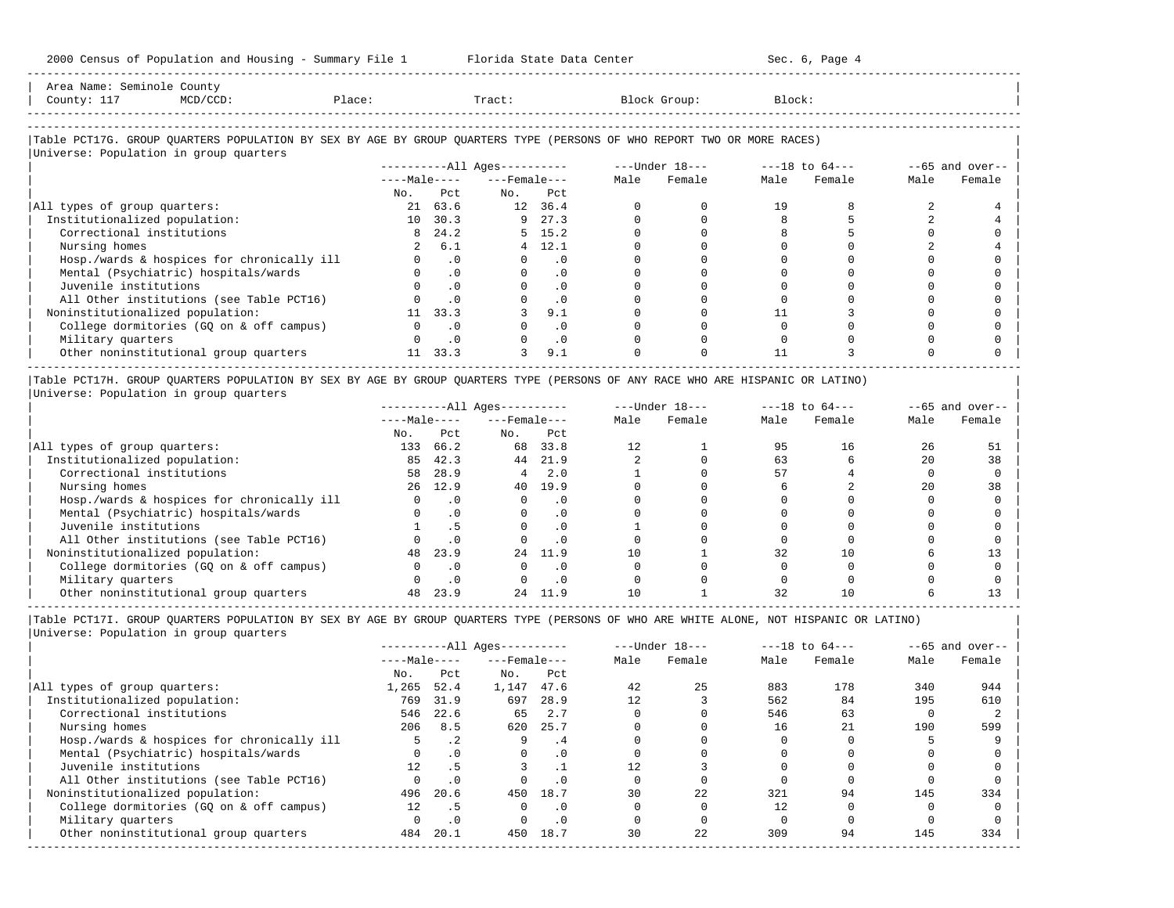| 2000 Census of Population and Housing - Summary File 1 Florida State Data Center                                              |          |                             |                              |                |                |             | Sec. 6, Page 4 |                               |                |                    |
|-------------------------------------------------------------------------------------------------------------------------------|----------|-----------------------------|------------------------------|----------------|----------------|-------------|----------------|-------------------------------|----------------|--------------------|
| Area Name: Seminole County<br>Place: Tract: Block Group:<br>County: 117<br>$MCD / CCD$ :                                      |          |                             |                              |                |                |             | Block:         |                               |                |                    |
| Table PCT17G. GROUP QUARTERS POPULATION BY SEX BY AGE BY GROUP QUARTERS TYPE (PERSONS OF WHO REPORT TWO OR MORE RACES)        |          |                             |                              |                |                |             |                |                               |                |                    |
| Universe: Population in group quarters                                                                                        |          |                             |                              |                |                |             |                |                               |                |                    |
|                                                                                                                               |          |                             | ----------All Ages---------- |                |                |             |                |                               |                | $-65$ and over--   |
|                                                                                                                               |          |                             | $---Male-- ---Female---$     |                |                | Male Female | Male           | Female                        | Male           | Female             |
|                                                                                                                               | No.      | Pct.                        | $NQ$ .                       | Pct.           |                |             |                |                               |                |                    |
| All types of group quarters:                                                                                                  |          | 21 63.6                     | 12 36.4                      |                | $\Omega$       | $\Omega$    | 19             | 8                             | $\mathfrak{D}$ |                    |
| Institutionalized population:                                                                                                 |          | 10 30.3                     | $9 \t 27.3$                  |                | $\Omega$       | $\Omega$    | 8              |                               |                |                    |
| Correctional institutions                                                                                                     |          | 8 24.2                      |                              | $5 \quad 15.2$ | $\Omega$       | $\Omega$    | 8              |                               | $\Omega$       |                    |
| Nursing homes                                                                                                                 |          | 2 6.1                       |                              | $4$ 12.1       | $\Omega$       | $\Omega$    | $\Omega$       |                               |                |                    |
| Hosp./wards & hospices for chronically ill                                                                                    |          | $\cdot$ 0<br>$\overline{0}$ |                              | $\cdot$ 0      |                | $\Omega$    | $\Omega$       |                               | $\Omega$       |                    |
| Mental (Psychiatric) hospitals/wards                                                                                          |          | $\cdot$ 0                   |                              | $0 \qquad .0$  | $\Omega$       | $\Omega$    |                |                               | U              |                    |
| Juvenile institutions                                                                                                         |          | $\overline{0}$              |                              | $0 \qquad .0$  | $\Omega$       | $\Omega$    |                |                               |                |                    |
| All Other institutions (see Table PCT16)                                                                                      |          | $\overline{0}$              |                              | $\cdot$ 0      | $\Omega$       | $\Omega$    | $\Omega$       |                               |                |                    |
| Noninstitutionalized population:                                                                                              |          | 11 33.3                     |                              | 9.1            |                |             | 11             |                               |                |                    |
| College dormitories (GQ on & off campus)                                                                                      |          | $0 \qquad .0$               |                              | $\cdot$ 0      |                | $\Omega$    | $\Omega$       |                               |                |                    |
| Military quarters                                                                                                             | $\Omega$ | $\cdot$ 0                   |                              | $\cdot$ 0      | $\Omega$       | $\Omega$    | $\Omega$       |                               |                |                    |
| Other noninstitutional group quarters                                                                                         | 11 33.3  |                             | 3                            | 9.1            | $\Omega$       |             | 11             |                               |                |                    |
| Table PCT17H. GROUP QUARTERS POPULATION BY SEX BY AGE BY GROUP QUARTERS TYPE (PERSONS OF ANY RACE WHO ARE HISPANIC OR LATINO) |          |                             |                              |                |                |             |                |                               |                |                    |
| Universe: Population in group quarters                                                                                        |          |                             |                              |                |                |             |                |                               |                |                    |
|                                                                                                                               |          |                             | ----------All Ages---------  |                |                |             |                | ---Under 18--- ---18 to 64--- |                | $- -65$ and over-- |
|                                                                                                                               |          |                             | $---Male-- ---Female$        |                |                | Male Female | Male           | Female                        | Male           | Female             |
|                                                                                                                               |          | No. Pct                     | No. Pct                      |                |                |             |                |                               |                |                    |
| All types of group quarters:                                                                                                  | 133 66.2 |                             | 68 33.8                      |                | 12             |             | 95             | 16                            | 26             | 51                 |
| Institutionalized population:                                                                                                 |          | 85 42.3                     | 44 21.9                      |                | $\overline{2}$ | $\Omega$    | 63             | 6                             | 20             | 38                 |

| Correctional institutions 58 28.9 4 2.0 1 0 57 4 0 0 | | Nursing homes 26 12.9 40 19.9 0 0 6 2 20 38 | | Hosp./wards & hospices for chronically ill 0 .0 0 .0 0 0 0 0 0 0 | | Mental (Psychiatric) hospitals/wards 0 .0 0 .0 0 0 0 0 0 0 |

| All Other institutions (see Table PCT16) 0 .0 0 .0 0 0 0 0 0 0 | | Noninstitutionalized population: 48 23.9 24 11.9 10 1 32 10 6 13 | | College dormitories (GQ on & off campus) 0 .0 0 .0 0 0 0 0 0 0 | | Military quarters 0 .0 0 .0 0 0 0 0 0 0 | 0ther noninstitutional group quarters 48 23.9 42 11.9 10 1 32 10 6 13

| Juvenile institutions 1 .5 0 .0 1 0 0 0 0 0 |

----------------------------------------------------------------------------------------------------------------------------------------------------- |Table PCT17I. GROUP QUARTERS POPULATION BY SEX BY AGE BY GROUP QUARTERS TYPE (PERSONS OF WHO ARE WHITE ALONE, NOT HISPANIC OR LATINO) | |Universe: Population in group quarters |

|                                            |              |           | $------All Ages------$ |      |      | $---Under 18---$ |      | $---18$ to $64---$ |      | $--65$ and over-- |
|--------------------------------------------|--------------|-----------|------------------------|------|------|------------------|------|--------------------|------|-------------------|
|                                            | $---Male---$ |           | $---$ Female $---$     |      | Male | Female           | Male | Female             | Male | Female            |
|                                            | No.          | Pct       | No.                    | Pct  |      |                  |      |                    |      |                   |
| All types of group quarters:               | 1,265        | 52.4      | 1,147                  | 47.6 | 42   | 25               | 883  | 178                | 340  | 944               |
| Institutionalized population:              | 769          | 31.9      | 697                    | 28.9 | 12.  |                  | 562  | 84                 | 195  | 610               |
| Correctional institutions                  | 546          | 22.6      | 65                     | 2.7  |      |                  | 546  | 63                 |      |                   |
| Nursing homes                              | 206          | 8.5       | 620                    | 25.7 |      |                  | 16   | 2.1                | 190  | 599               |
| Hosp./wards & hospices for chronically ill |              | $\cdot$ 2 | 9                      | . 4  |      |                  |      |                    |      |                   |
| Mental (Psychiatric) hospitals/wards       |              | $\cdot$ 0 | $\Omega$               | . 0  |      |                  |      |                    |      |                   |
| Juvenile institutions                      | 12.          |           |                        |      | 12.  |                  |      |                    |      |                   |
| All Other institutions (see Table PCT16)   |              |           |                        | . 0  |      |                  |      |                    |      |                   |
| Noninstitutionalized population:           | 496          | 20.6      | 450                    | 18.7 | 30   | 22               | 321  | 94                 | 145  | 334               |
| College dormitories (GO on & off campus)   | 12           | . 5       |                        | . 0  |      |                  |      |                    |      |                   |
| Military quarters                          |              | .0        |                        | . 0  |      |                  |      |                    |      |                   |
| Other noninstitutional group quarters      | 484          | 20.1      | 450                    | 18.7 | 30   | 22               | 309  | 94                 | 145  | 334               |
|                                            |              |           |                        |      |      |                  |      |                    |      |                   |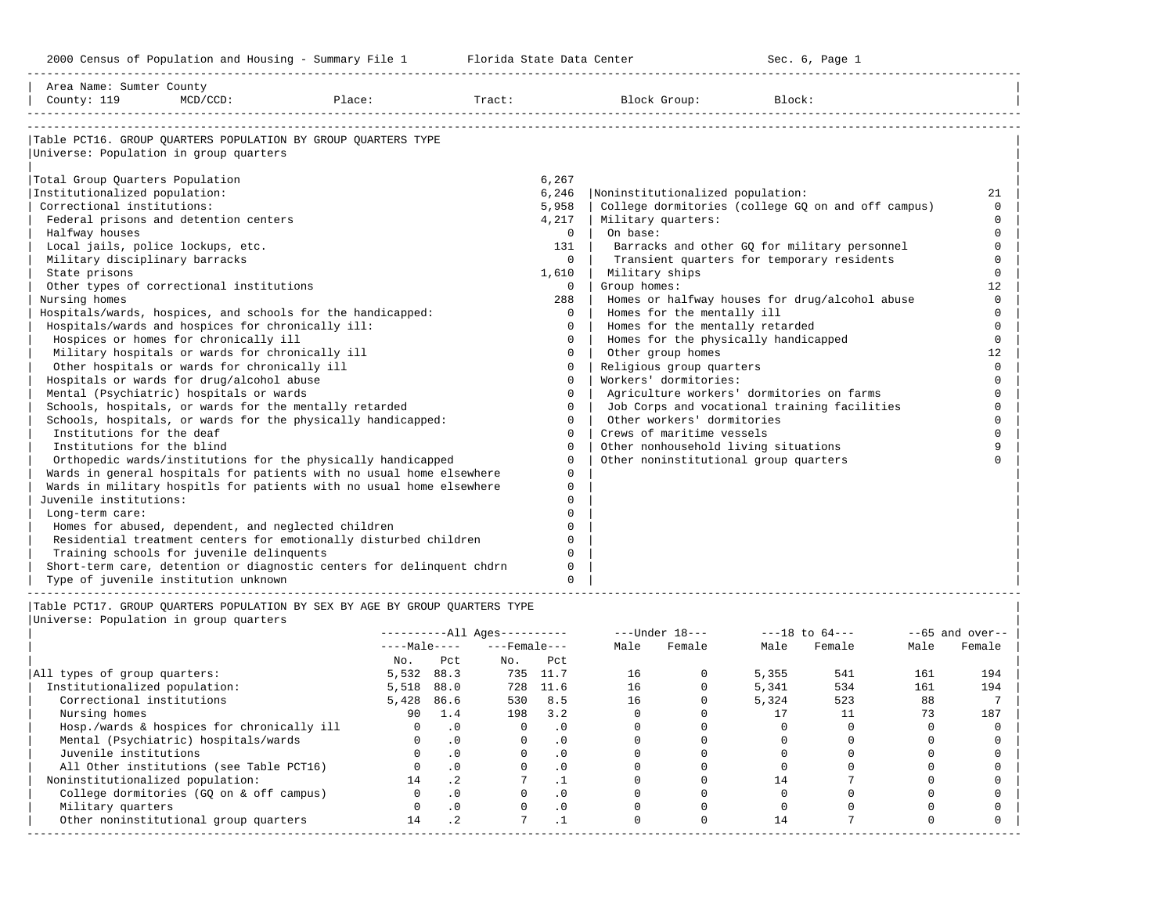-----------------------------------------------------------------------------------------------------------------------------------------------------

| Area Name: Sumter County<br>County: 119             | $MCD/CCD$ : | Place:                                                                      | Tract: |             | Block Group:                          | Block:                                             |              |
|-----------------------------------------------------|-------------|-----------------------------------------------------------------------------|--------|-------------|---------------------------------------|----------------------------------------------------|--------------|
|                                                     |             |                                                                             |        |             |                                       |                                                    |              |
|                                                     |             | Table PCT16. GROUP OUARTERS POPULATION BY GROUP OUARTERS TYPE               |        |             |                                       |                                                    |              |
| Universe: Population in group quarters              |             |                                                                             |        |             |                                       |                                                    |              |
| Total Group Quarters Population                     |             |                                                                             |        | 6,267       |                                       |                                                    |              |
| Institutionalized population:                       |             |                                                                             |        | 6,246       | Noninstitutionalized population:      |                                                    | 21           |
| Correctional institutions:                          |             |                                                                             |        | 5,958       |                                       | College dormitories (college GO on and off campus) | $\Omega$     |
| Federal prisons and detention centers               |             |                                                                             |        | 4,217       | Military quarters:                    |                                                    | $\Omega$     |
| Halfway houses                                      |             |                                                                             |        | $\Omega$    | On base:                              |                                                    | $\Omega$     |
| Local jails, police lockups, etc.                   |             |                                                                             |        | 131         |                                       | Barracks and other GQ for military personnel       | $\Omega$     |
| Military disciplinary barracks                      |             |                                                                             |        | $\Omega$    |                                       | Transient quarters for temporary residents         | $\Omega$     |
| State prisons                                       |             |                                                                             |        | 1,610       | Military ships                        |                                                    | $\Omega$     |
| Other types of correctional institutions            |             |                                                                             |        | $\Omega$    | Group homes:                          |                                                    | 12           |
| Nursing homes                                       |             |                                                                             |        | 288         |                                       | Homes or halfway houses for drug/alcohol abuse     | $\Omega$     |
|                                                     |             | Hospitals/wards, hospices, and schools for the handicapped:                 |        | $\Omega$    | Homes for the mentally ill            |                                                    |              |
| Hospitals/wards and hospices for chronically ill:   |             |                                                                             |        | $\Omega$    | Homes for the mentally retarded       |                                                    | $\cap$       |
| Hospices or homes for chronically ill               |             |                                                                             |        | $\Omega$    | Homes for the physically handicapped  |                                                    | $\Omega$     |
| Military hospitals or wards for chronically ill     |             |                                                                             |        | $\Omega$    | Other group homes                     |                                                    | 12           |
| Other hospitals or wards for chronically ill        |             |                                                                             |        | $\mathbf 0$ | Religious group quarters              |                                                    | $\Omega$     |
| Hospitals or wards for drug/alcohol abuse           |             |                                                                             |        | $\Omega$    | Workers' dormitories:                 |                                                    | $\Omega$     |
| Mental (Psychiatric) hospitals or wards             |             |                                                                             |        | $\Omega$    |                                       | Agriculture workers' dormitories on farms          | $\Omega$     |
|                                                     |             | Schools, hospitals, or wards for the mentally retarded                      |        | $\Omega$    |                                       | Job Corps and vocational training facilities       | $\Omega$     |
|                                                     |             | Schools, hospitals, or wards for the physically handicapped:                |        | $\Omega$    | Other workers' dormitories            |                                                    |              |
| Institutions for the deaf                           |             |                                                                             |        | $\Omega$    | Crews of maritime vessels             |                                                    |              |
| Institutions for the blind                          |             |                                                                             |        | $\Omega$    | Other nonhousehold living situations  |                                                    | $\mathsf{Q}$ |
|                                                     |             | Orthopedic wards/institutions for the physically handicapped                |        | $\Omega$    | Other noninstitutional group quarters |                                                    |              |
|                                                     |             | Wards in general hospitals for patients with no usual home elsewhere        |        | $\Omega$    |                                       |                                                    |              |
|                                                     |             | Wards in military hospitls for patients with no usual home elsewhere        |        | $\Omega$    |                                       |                                                    |              |
| Juvenile institutions:                              |             |                                                                             |        | $\Omega$    |                                       |                                                    |              |
| Long-term care:                                     |             |                                                                             |        | $\Omega$    |                                       |                                                    |              |
| Homes for abused, dependent, and neglected children |             |                                                                             |        | $\Omega$    |                                       |                                                    |              |
|                                                     |             | Residential treatment centers for emotionally disturbed children            |        | $\cap$      |                                       |                                                    |              |
| Training schools for juvenile delinquents           |             |                                                                             |        | $\cap$      |                                       |                                                    |              |
|                                                     |             | Short-term care, detention or diagnostic centers for delinquent chdrn       |        | $\Omega$    |                                       |                                                    |              |
| Type of juvenile institution unknown                |             |                                                                             |        | $\Omega$    |                                       |                                                    |              |
|                                                     |             | Table PCT17. GROUP OUARTERS POPULATION BY SEX BY AGE BY GROUP OUARTERS TYPE |        |             |                                       |                                                    |              |

|                                            |              |           | $------All Aqes------$ |           |      | $---Under 18---$ |       | $---18$ to $64---$ |      | $--65$ and over-- |
|--------------------------------------------|--------------|-----------|------------------------|-----------|------|------------------|-------|--------------------|------|-------------------|
|                                            | $---Male---$ |           | $---$ Female $---$     |           | Male | Female           | Male  | Female             | Male | Female            |
|                                            | No.          | Pct       | No.                    | Pct       |      |                  |       |                    |      |                   |
| All types of group quarters:               | 5,532        | 88.3      | 735                    | 11.7      | 16   |                  | 5,355 | 541                | 161  | 194               |
| Institutionalized population:              | 5,518        | 88.0      | 728                    | 11.6      | 16   |                  | 5,341 | 534                | 161  | 194               |
| Correctional institutions                  | 5,428        | 86.6      | 530                    | 8.5       | 16   |                  | 5,324 | 523                | 88   |                   |
| Nursing homes                              | 90           | 1.4       | 198                    | 3.2       |      |                  |       |                    | 73   | 187               |
| Hosp./wards & hospices for chronically ill |              | $\cdot$ 0 |                        | $\cdot$ 0 |      |                  |       |                    |      |                   |
| Mental (Psychiatric) hospitals/wards       |              | .0        | 0                      | $\cdot$ 0 |      |                  |       |                    |      |                   |
| Juvenile institutions                      |              | $\cdot$ 0 |                        | $\cdot$ 0 |      |                  |       |                    |      |                   |
| All Other institutions (see Table PCT16)   |              |           |                        | $\cdot$ 0 |      |                  |       |                    |      |                   |
| Noninstitutionalized population:           | 14           | .2        |                        |           |      |                  | 14    |                    |      |                   |
| College dormitories (GQ on & off campus)   |              | $\cdot$ 0 |                        | $\cdot$ 0 |      |                  |       |                    |      |                   |
| Military quarters                          |              | .0        |                        | $\cdot$ 0 |      |                  |       |                    |      |                   |
| Other noninstitutional group quarters      | 14           | $\cdot$ 2 |                        |           |      |                  | 14    |                    |      |                   |
|                                            |              |           |                        |           |      |                  |       |                    |      |                   |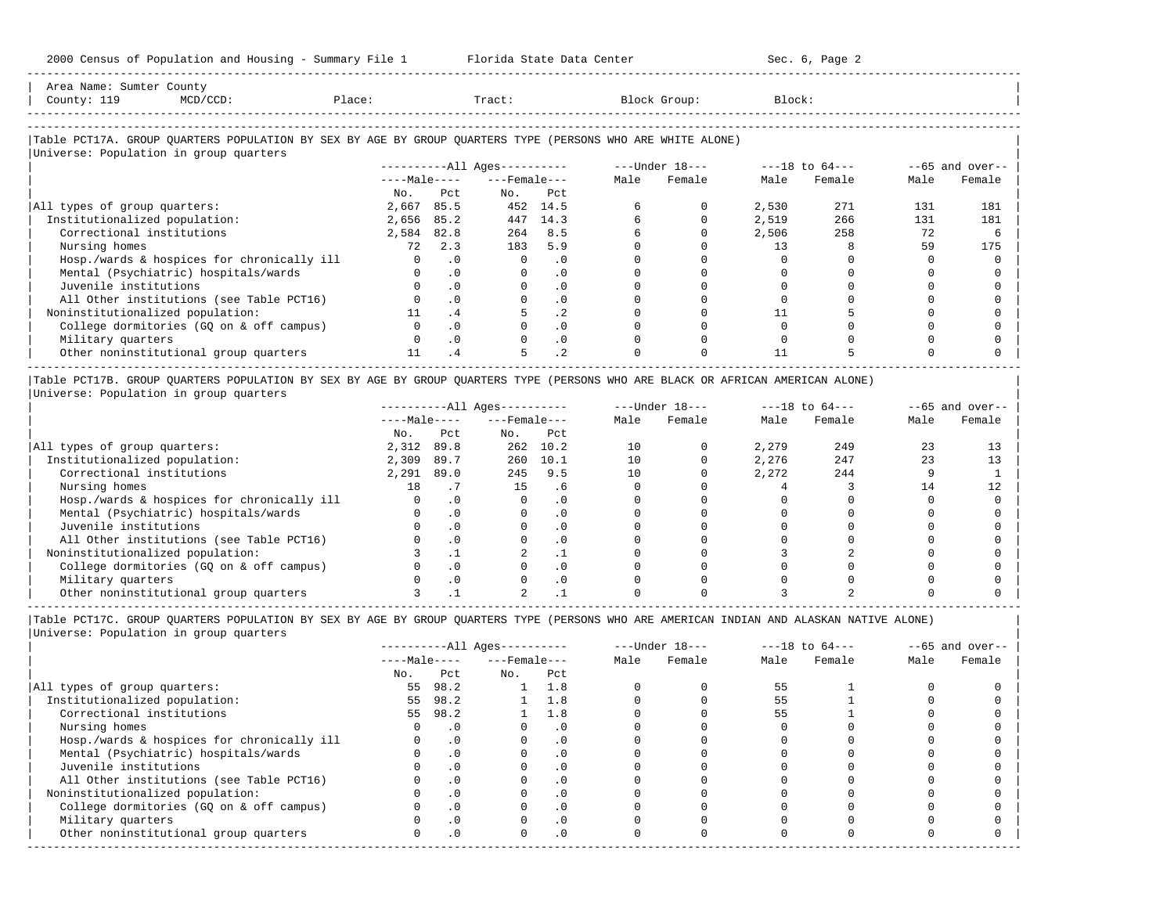| County: 119<br>MCD/CCD:                                                                                                                              | Place:   |              | Tract:                       |                 |      | Block Group:   | Block: |                    |      |                   |
|------------------------------------------------------------------------------------------------------------------------------------------------------|----------|--------------|------------------------------|-----------------|------|----------------|--------|--------------------|------|-------------------|
| Table PCT17A. GROUP QUARTERS POPULATION BY SEX BY AGE BY GROUP QUARTERS TYPE (PERSONS WHO ARE WHITE ALONE)<br>Universe: Population in group quarters |          |              |                              |                 |      |                |        |                    |      |                   |
|                                                                                                                                                      |          |              | ----------All Ages---------- |                 |      | ---Under 18--- |        | $---18$ to $64---$ |      | $--65$ and over-- |
|                                                                                                                                                      |          | $---Male---$ | ---Female---                 |                 | Male | Female         | Male   | Female             | Male | Female            |
|                                                                                                                                                      | No.      | Pct.         | No.                          | Pct.            |      |                |        |                    |      |                   |
| All types of group quarters:                                                                                                                         | 2,667    | 85.5         |                              | 452 14.5        |      |                | 2,530  | 271                | 131  | 181               |
| Institutionalized population:                                                                                                                        | 2,656    | 85.2         | 447                          | 14.3            |      |                | 2,519  | 266                | 131  | 181               |
| Correctional institutions                                                                                                                            | 2,584    | 82.8         | 264                          | 8.5             |      |                | 2,506  | 258                | 72   |                   |
| Nursing homes                                                                                                                                        | 72       | 2.3          | 183                          | 5.9             |      |                | 13     |                    | 59   | 175               |
| Hosp./wards & hospices for chronically ill                                                                                                           | $\Omega$ | $\cdot$ 0    | $\Omega$                     | .0              |      |                |        |                    |      |                   |
| Mental (Psychiatric) hospitals/wards                                                                                                                 |          | $\cdot$ 0    | $\Omega$                     | $\cdot$ 0       |      |                |        |                    |      |                   |
| Juvenile institutions                                                                                                                                |          | $\cdot$ 0    |                              | $\cdot$ 0       |      |                |        |                    |      |                   |
| All Other institutions (see Table PCT16)                                                                                                             |          | $\cdot$ 0    |                              | $\cdot$ 0       |      |                |        |                    |      |                   |
| Noninstitutionalized population:                                                                                                                     |          | .4           |                              | .2 <sub>2</sub> |      |                |        |                    |      |                   |
| College dormitories (GQ on & off campus)                                                                                                             |          | $\cdot$ 0    |                              | .0              |      |                |        |                    |      |                   |
| Military quarters                                                                                                                                    |          | $\cdot$ 0    |                              | $\cdot$ 0       |      |                |        |                    |      |                   |
| Other noninstitutional group quarters                                                                                                                |          | .4           | 5                            | $\cdot$ 2       |      |                | 11     |                    |      |                   |

|Universe: Population in group quarters |

|                                            |              |            | $------All Aqes------$ |           |      | $---Under 18---$ |       | $---18$ to $64---$ |      | $--65$ and over-- |
|--------------------------------------------|--------------|------------|------------------------|-----------|------|------------------|-------|--------------------|------|-------------------|
|                                            | $---Male---$ |            | $---$ Female $---$     |           | Male | Female           | Male  | Female             | Male | Female            |
|                                            | No.          | Pct        | No.                    | Pct       |      |                  |       |                    |      |                   |
| All types of group quarters:               | 2,312        | 89.8       | 262                    | 10.2      | 10   |                  | 2,279 | 249                |      |                   |
| Institutionalized population:              | 2,309        | 89.7       | 260                    | 10.1      | 10   |                  | 2,276 | 247                | 23   |                   |
| Correctional institutions                  | 2,291        | 89.0       | 245                    | 9.5       | 10   |                  | 2,272 | 244                |      |                   |
| Nursing homes                              | 18           |            | 15                     | - 6       |      |                  |       |                    |      |                   |
| Hosp./wards & hospices for chronically ill |              |            |                        |           |      |                  |       |                    |      |                   |
| Mental (Psychiatric) hospitals/wards       |              | $\Omega$   |                        | $\cdot$ 0 |      |                  |       |                    |      |                   |
| Juvenile institutions                      |              |            |                        |           |      |                  |       |                    |      |                   |
| All Other institutions (see Table PCT16)   |              | $\Omega$   |                        |           |      |                  |       |                    |      |                   |
| Noninstitutionalized population:           |              |            |                        |           |      |                  |       |                    |      |                   |
| College dormitories (GQ on & off campus)   |              | $\Omega$ . |                        |           |      |                  |       |                    |      |                   |
| Military quarters                          |              | . 0        |                        |           |      |                  |       |                    |      |                   |
| Other noninstitutional group quarters      |              |            |                        |           |      |                  |       |                    |      |                   |

-----------------------------------------------------------------------------------------------------------------------------------------------------

|Table PCT17C. GROUP QUARTERS POPULATION BY SEX BY AGE BY GROUP QUARTERS TYPE (PERSONS WHO ARE AMERICAN INDIAN AND ALASKAN NATIVE ALONE) | |Universe: Population in group quarters |

|                                            |              |           | $------All Aqes------$ |            |      | $---Under 18---$ |      | $---18$ to $64---$ |      | $--65$ and over-- |
|--------------------------------------------|--------------|-----------|------------------------|------------|------|------------------|------|--------------------|------|-------------------|
|                                            | $---Male---$ |           | $---$ Female $---$     |            | Male | Female           | Male | Female             | Male | Female            |
|                                            | No.          | Pct       | No.                    | Pct        |      |                  |      |                    |      |                   |
| All types of group quarters:               | 55           | 98.2      |                        | 1.8        |      |                  | 55   |                    |      |                   |
| Institutionalized population:              | 55           | 98.2      |                        | $1 \t1.8$  |      |                  | 55   |                    |      |                   |
| Correctional institutions                  | 55           | 98.2      |                        | 1.8        |      |                  | 55   |                    |      |                   |
| Nursing homes                              |              | $\cdot$ 0 |                        | $\cdot$ 0  |      |                  |      |                    |      |                   |
| Hosp./wards & hospices for chronically ill |              | $\cdot$ 0 |                        | . 0        |      |                  |      |                    |      |                   |
| Mental (Psychiatric) hospitals/wards       |              | $\cdot$ 0 |                        | . 0        |      |                  |      |                    |      |                   |
| Juvenile institutions                      |              |           |                        | . 0        |      |                  |      |                    |      |                   |
| All Other institutions (see Table PCT16)   |              | $\cdot$ 0 |                        | . 0        |      |                  |      |                    |      |                   |
| Noninstitutionalized population:           |              | $\cdot$ 0 |                        | .0         |      |                  |      |                    |      |                   |
| College dormitories (GQ on & off campus)   |              |           |                        | $\cdot$ 0  |      |                  |      |                    |      |                   |
| Military quarters                          |              | . 0       |                        | $\cdot$ 0  |      |                  |      |                    |      |                   |
| Other noninstitutional group quarters      | <sup>n</sup> | $\cdot$ 0 |                        | $.0 \cdot$ |      |                  |      |                    |      |                   |
|                                            |              |           |                        |            |      |                  |      |                    |      |                   |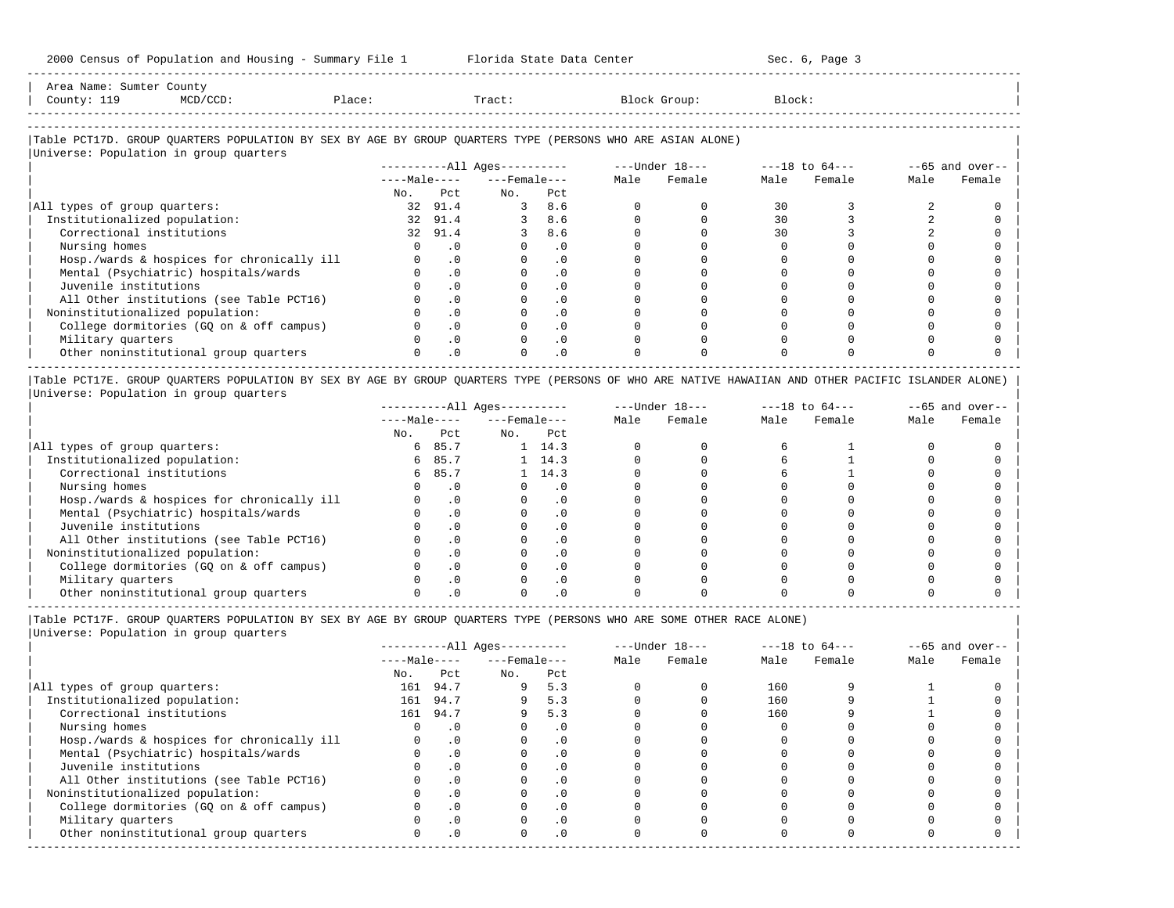| Area Name'<br>Sumter<br>$\begin{array}{ccc} \multicolumn{3}{c}{} & \multicolumn{3}{c}{} & \multicolumn{3}{c}{} & \multicolumn{3}{c}{} & \multicolumn{3}{c}{} & \multicolumn{3}{c}{} & \multicolumn{3}{c}{} & \multicolumn{3}{c}{} & \multicolumn{3}{c}{} & \multicolumn{3}{c}{} & \multicolumn{3}{c}{} & \multicolumn{3}{c}{} & \multicolumn{3}{c}{} & \multicolumn{3}{c}{} & \multicolumn{3}{c}{} & \multicolumn{3}{c}{} & \multicolumn{3}{c}{} & \multicolumn{3}{c}{} & \multicolumn{3}{c}{} & \multicolumn$ | County |        |       |       |        |
|----------------------------------------------------------------------------------------------------------------------------------------------------------------------------------------------------------------------------------------------------------------------------------------------------------------------------------------------------------------------------------------------------------------------------------------------------------------------------------------------------------------|--------|--------|-------|-------|--------|
| County:<br>---<br>$\sim$                                                                                                                                                                                                                                                                                                                                                                                                                                                                                       |        | Place: | Tract | Group | Block: |
| --------------------                                                                                                                                                                                                                                                                                                                                                                                                                                                                                           |        |        |       |       |        |

-----------------------------------------------------------------------------------------------------------------------------------------------------

# |Table PCT17D. GROUP QUARTERS POPULATION BY SEX BY AGE BY GROUP QUARTERS TYPE (PERSONS WHO ARE ASIAN ALONE) |

|                                            |              |           | $------All Ages------$ |           |      | ---Under 18--- |      | $---18$ to $64---$ |      | $--65$ and over-- |
|--------------------------------------------|--------------|-----------|------------------------|-----------|------|----------------|------|--------------------|------|-------------------|
|                                            | $---Male---$ |           | $---$ Female $---$     |           | Male | Female         | Male | Female             | Male | Female            |
|                                            | No.          | Pct       | No.                    | Pct       |      |                |      |                    |      |                   |
| All types of group quarters:               | 32           | 91.4      | 3                      | 8.6       |      |                | 30   |                    |      |                   |
| Institutionalized population:              |              | 32 91.4   |                        | 8.6       |      |                | 30   |                    |      |                   |
| Correctional institutions                  |              | 32 91.4   |                        | 8.6       |      |                | 30   |                    |      |                   |
| Nursing homes                              |              | . 0       |                        | . 0       |      |                |      |                    |      |                   |
| Hosp./wards & hospices for chronically ill |              | $\cdot$ 0 |                        | $\cdot$ 0 |      |                |      |                    |      |                   |
| Mental (Psychiatric) hospitals/wards       |              | $\cdot$ 0 |                        | . 0       |      |                |      |                    |      |                   |
| Juvenile institutions                      |              | $\cdot$ 0 |                        | $\cdot$ 0 |      |                |      |                    |      |                   |
| All Other institutions (see Table PCT16)   |              | $\cdot$ 0 |                        | $\cdot$ 0 |      |                |      |                    |      |                   |
| Noninstitutionalized population:           |              | $\cdot$ 0 |                        | $\cdot$ 0 |      |                |      |                    |      |                   |
| College dormitories (GQ on & off campus)   |              | $\cdot$ 0 |                        | $\cdot$ 0 |      |                |      |                    |      |                   |
| Military quarters                          |              | $\cdot$ 0 |                        | $\cdot$ 0 |      |                |      |                    |      |                   |
| Other noninstitutional group quarters      |              | $\cdot$ 0 |                        | $\cdot$ 0 |      |                |      |                    |      |                   |

|Table PCT17E. GROUP QUARTERS POPULATION BY SEX BY AGE BY GROUP QUARTERS TYPE (PERSONS OF WHO ARE NATIVE HAWAIIAN AND OTHER PACIFIC ISLANDER ALONE) | |Universe: Population in group quarters |

|                                            |              |           | $------All Ages------$ |           |      | $---Under 18---$ |      | $---18$ to $64---$ |      | $--65$ and over-- |
|--------------------------------------------|--------------|-----------|------------------------|-----------|------|------------------|------|--------------------|------|-------------------|
|                                            | $---Male---$ |           | $---$ Female $---$     |           | Male | Female           | Male | Female             | Male | Female            |
|                                            | No.          | Pct       | No.                    | Pct       |      |                  |      |                    |      |                   |
| All types of group quarters:               | 6            | 85.7      |                        | 1, 14.3   |      |                  |      |                    |      |                   |
| Institutionalized population:              | 6            | 85.7      |                        | 1, 14.3   |      |                  |      |                    |      |                   |
| Correctional institutions                  | 6            | 85.7      |                        | 14.3      |      |                  |      |                    |      |                   |
| Nursing homes                              |              |           |                        | $\cdot$ 0 |      |                  |      |                    |      |                   |
| Hosp./wards & hospices for chronically ill |              | $\cdot$ 0 |                        | $\cdot$ 0 |      |                  |      |                    |      |                   |
| Mental (Psychiatric) hospitals/wards       |              |           |                        | $\cdot$ 0 |      |                  |      |                    |      |                   |
| Juvenile institutions                      |              | $\cdot$ 0 |                        | . 0       |      |                  |      |                    |      |                   |
| All Other institutions (see Table PCT16)   |              |           |                        |           |      |                  |      |                    |      |                   |
| Noninstitutionalized population:           |              |           |                        |           |      |                  |      |                    |      |                   |
| College dormitories (GO on & off campus)   |              |           |                        |           |      |                  |      |                    |      |                   |
| Military quarters                          |              |           |                        |           |      |                  |      |                    |      |                   |
| Other noninstitutional group quarters      |              |           |                        |           |      |                  |      |                    |      |                   |

-----------------------------------------------------------------------------------------------------------------------------------------------------

|Table PCT17F. GROUP QUARTERS POPULATION BY SEX BY AGE BY GROUP QUARTERS TYPE (PERSONS WHO ARE SOME OTHER RACE ALONE) |

|                                            |              |           | ----------All Ages---------- |           |      | $---Under 18---$ |      | $---18$ to $64---$ |      | $--65$ and over-- |
|--------------------------------------------|--------------|-----------|------------------------------|-----------|------|------------------|------|--------------------|------|-------------------|
|                                            | $---Male---$ |           | $---$ Female $---$           |           | Male | Female           | Male | Female             | Male | Female            |
|                                            | No.          | Pct       | No.                          | Pct       |      |                  |      |                    |      |                   |
| All types of group quarters:               | 161          | 94.7      | 9                            | 5.3       |      |                  | 160  |                    |      |                   |
| Institutionalized population:              | 161          | 94.7      | 9                            | 5.3       |      |                  | 160  |                    |      |                   |
| Correctional institutions                  | 161          | 94.7      |                              | 5.3       |      |                  | 160  |                    |      |                   |
| Nursing homes                              |              | $\cdot$ 0 |                              | .0        |      |                  |      |                    |      |                   |
| Hosp./wards & hospices for chronically ill |              | $\cdot$ 0 |                              | $\cdot$ 0 |      |                  |      |                    |      |                   |
| Mental (Psychiatric) hospitals/wards       |              | $\cdot$ 0 |                              |           |      |                  |      |                    |      |                   |
| Juvenile institutions                      |              | .0        |                              | $\cdot$ 0 |      |                  |      |                    |      |                   |
| All Other institutions (see Table PCT16)   |              | $\cdot$ 0 |                              |           |      |                  |      |                    |      |                   |
| Noninstitutionalized population:           |              | $\cdot$ 0 |                              | $\cdot$ 0 |      |                  |      |                    |      |                   |
| College dormitories (GQ on & off campus)   |              | $\cdot$ 0 |                              | $\cdot$ 0 |      |                  |      |                    |      |                   |
| Military quarters                          |              | $\cdot$ 0 |                              | $\cdot$ 0 |      |                  |      |                    |      |                   |
| Other noninstitutional group quarters      |              | $\cdot$ 0 | $\Omega$                     | $\cdot$ 0 |      |                  |      |                    |      |                   |
|                                            |              |           |                              |           |      |                  |      |                    |      |                   |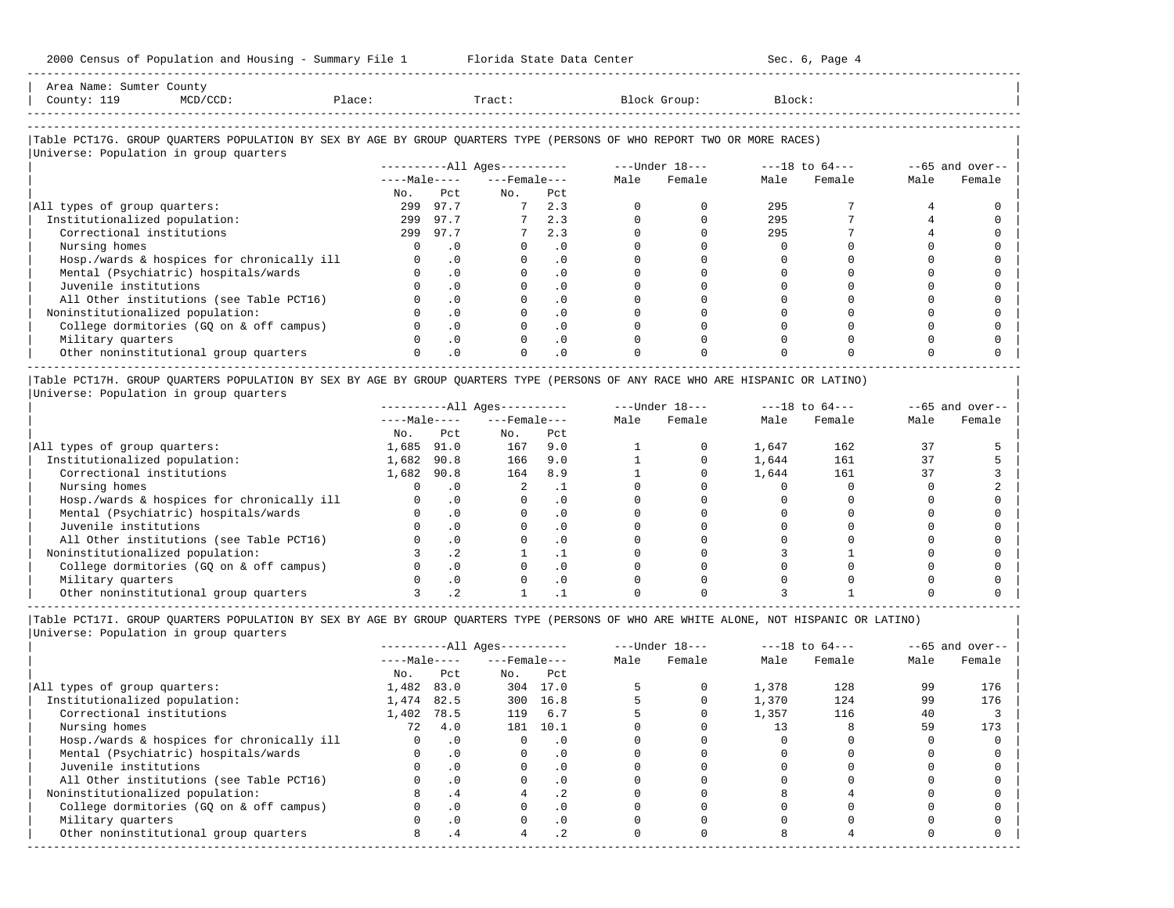| 2000 Census of Population and Housing - Summary File 1 Florida State Data Center                                              | ----------------------------- |                  |                              |           |                  |              |          | Sec. 6, Page 4                 |          |                    |
|-------------------------------------------------------------------------------------------------------------------------------|-------------------------------|------------------|------------------------------|-----------|------------------|--------------|----------|--------------------------------|----------|--------------------|
| Area Name: Sumter County<br>County: 119<br>$MCD/CCD$ :<br>Place: Tract:                                                       |                               |                  |                              |           |                  | Block Group: | Block:   |                                |          |                    |
|                                                                                                                               |                               |                  |                              |           |                  |              |          |                                |          |                    |
| Table PCT17G. GROUP OUARTERS POPULATION BY SEX BY AGE BY GROUP OUARTERS TYPE (PERSONS OF WHO REPORT TWO OR MORE RACES)        |                               |                  |                              |           |                  |              |          |                                |          |                    |
| Universe: Population in group quarters                                                                                        |                               |                  | ----------All Ages---------- |           |                  |              |          |                                |          |                    |
|                                                                                                                               |                               |                  | $---Male-- ---Female---$     |           |                  |              |          |                                |          | $--65$ and over--  |
|                                                                                                                               |                               |                  |                              |           | Male             | Female       | Male     | Female                         | Male     | Female             |
|                                                                                                                               | No.                           | Pct              | No. Pct                      |           |                  |              |          |                                |          |                    |
| All types of group quarters:                                                                                                  |                               | 299 97.7         | $7\phantom{0000}$            | 2.3       | $\Omega$         | $\Omega$     | 295      |                                |          | $\cap$             |
| Institutionalized population:                                                                                                 | 299                           | 97.7             | 7                            | 2.3       | $\Omega$         | $\Omega$     | 295      |                                |          |                    |
| Correctional institutions                                                                                                     |                               | 299 97.7         |                              | 2.3       | $\Omega$         | $\Omega$     | 295      |                                |          |                    |
| Nursing homes                                                                                                                 | $\overline{0}$                | $\cdot$ 0        |                              | .0        | $\Omega$         | $\Omega$     | $\Omega$ |                                |          |                    |
| Hosp./wards & hospices for chronically ill                                                                                    | $\overline{0}$                | $\cdot$ 0        | $\mathbf{0}$                 | .0        | $\mathbf 0$      | $\Omega$     | $\Omega$ |                                | $\Omega$ |                    |
| Mental (Psychiatric) hospitals/wards                                                                                          | $\overline{0}$                | $\cdot$ 0        | $\mathbf{0}$                 | $\cdot$ 0 | $\Omega$         | $\Omega$     | $\Omega$ |                                | $\cap$   |                    |
| Juvenile institutions                                                                                                         | $\Omega$                      | .0               | $\Omega$                     | .0        | $\Omega$         | $\Omega$     | $\Omega$ |                                |          |                    |
| All Other institutions (see Table PCT16)                                                                                      |                               | $\overline{0}$ . |                              | $\cdot$ 0 | $\Omega$         | $\Omega$     |          |                                |          |                    |
| Noninstitutionalized population:                                                                                              |                               | $\cdot$ 0        |                              | $\cdot$ 0 | $\Omega$         | $\Omega$     |          |                                |          |                    |
| College dormitories (GQ on & off campus)                                                                                      |                               | $\cdot$ 0        | $\Omega$                     | $\cdot$ 0 | $\Omega$         | $\Omega$     | $\Omega$ |                                |          |                    |
| Military quarters                                                                                                             | $\Omega$                      | $\cdot$ 0        | $\circ$                      | .0        | $\Omega$         | $\Omega$     | $\Omega$ |                                |          |                    |
| Other noninstitutional group quarters                                                                                         | $\Omega$                      | $\overline{0}$   | $\Omega$                     | $\cdot$ 0 | $\Omega$         | $\Omega$     |          |                                |          |                    |
| Table PCT17H. GROUP QUARTERS POPULATION BY SEX BY AGE BY GROUP QUARTERS TYPE (PERSONS OF ANY RACE WHO ARE HISPANIC OR LATINO) |                               |                  |                              |           |                  |              |          |                                |          |                    |
| Universe: Population in group quarters                                                                                        |                               |                  |                              |           |                  |              |          |                                |          |                    |
|                                                                                                                               |                               |                  | $------All Ages------$       |           |                  |              |          | ---Under 18--- ----18 to 64--- |          | $- -65$ and over-- |
|                                                                                                                               |                               |                  | $---Male-- ---Female---$     |           | Male             | Female       | Male     | Female                         | Male     | Female             |
|                                                                                                                               | No.                           | Pct              | No.                          | Pct       |                  |              |          |                                |          |                    |
| All types of group quarters:                                                                                                  | 1,685 91.0                    |                  | 167 9.0                      |           |                  | $\Omega$     | 1,647    | 162                            | 37       |                    |
| Institutionalized population:                                                                                                 | 1,682 90.8                    |                  | 166 9.0                      |           |                  | $\Omega$     |          | 1,644 161                      | 37       |                    |
| Correctional institutions                                                                                                     | 1,682 90.8                    |                  | 164 8.9                      |           | $1 \quad \cdots$ | $\Omega$     |          | 1,644 161                      | 37       |                    |
| Nursing homes                                                                                                                 |                               | $0 \qquad .0$    | $\mathbf{2}$                 | $\cdot$ 1 |                  | $\Omega$     | $\Omega$ | 0                              | $\Omega$ |                    |
| Hosp./wards & hospices for chronically ill                                                                                    | $0 \qquad .0$                 |                  | $0 \qquad \qquad$            | $\cdot$ 0 | $\Omega$         | $\Omega$     | $\Omega$ |                                |          |                    |
| .                                                                                                                             |                               |                  |                              |           |                  |              |          |                                |          |                    |

 $\frac{m}{m}$  =  $\frac{m}{m}$  =  $\frac{m}{m}$  =  $\frac{m}{m}$  =  $\frac{m}{m}$  =  $\frac{m}{m}$  =  $\frac{m}{m}$  =  $\frac{m}{m}$  =  $\frac{m}{m}$  =  $\frac{m}{m}$  =  $\frac{m}{m}$  =  $\frac{m}{m}$  =  $\frac{m}{m}$  =  $\frac{m}{m}$  =  $\frac{m}{m}$  =  $\frac{m}{m}$  =  $\frac{m}{m}$  =  $\frac{m}{m}$  =  $\frac{m}{$ | Mental (Psychiatric) hospitals/wards 0 .0 0 .0 0 0 0 0 0 0 | | Juvenile institutions 0 .0 0 .0 0 0 0 0 0 0 | | All Other institutions (see Table PCT16) 0 .0 0 .0 0 0 0 0 0 0 | | Noninstitutionalized population: 3 .2 1 .1 0 0 3 1 0 0 | | College dormitories (GQ on & off campus) 0 .0 0 .0 0 0 0 0 0 0 | | Military quarters 0 .0 0 .0 0 0 0 0 0 0 | | Other noninstitutional group quarters 3 .2 1 .1 0 0 3 1 0 0 | -----------------------------------------------------------------------------------------------------------------------------------------------------

|Table PCT17I. GROUP QUARTERS POPULATION BY SEX BY AGE BY GROUP QUARTERS TYPE (PERSONS OF WHO ARE WHITE ALONE, NOT HISPANIC OR LATINO) | |Universe: Population in group quarters |

|                                            |              |           | $------All Ages------$ |           |      | $---Under 18---$ |       | $---18$ to $64---$ |      | $--65$ and over-- |
|--------------------------------------------|--------------|-----------|------------------------|-----------|------|------------------|-------|--------------------|------|-------------------|
|                                            | $---Male---$ |           | $---$ Female $---$     |           | Male | Female           | Male  | Female             | Male | Female            |
|                                            | No.          | Pct       | No.                    | Pct       |      |                  |       |                    |      |                   |
| All types of group quarters:               | 1,482        | 83.0      | 304                    | 17.0      |      |                  | 1,378 | 128                | 99   | 176               |
| Institutionalized population:              | 1,474        | 82.5      | 300                    | 16.8      |      |                  | 1,370 | 124                | 99   | 176               |
| Correctional institutions                  | 1,402        | 78.5      | 119                    | 6.7       |      |                  | 1,357 | 116                | 40   |                   |
| Nursing homes                              | 72           | 4.0       | 181                    | 10.1      |      |                  |       |                    | 59   | 173               |
| Hosp./wards & hospices for chronically ill |              | .0        |                        | . 0       |      |                  |       |                    |      |                   |
| Mental (Psychiatric) hospitals/wards       |              | $\cdot$ 0 | $\Omega$               | $\cdot$ 0 |      |                  |       |                    |      |                   |
| Juvenile institutions                      |              | $\cdot$ 0 |                        | $\cdot$ 0 |      |                  |       |                    |      |                   |
| All Other institutions (see Table PCT16)   |              | $\cdot$ 0 |                        | . 0       |      |                  |       |                    |      |                   |
| Noninstitutionalized population:           |              | $\cdot$ 4 |                        | $\cdot$ 2 |      |                  |       |                    |      |                   |
| College dormitories (GO on & off campus)   |              | .0        |                        | $\cdot$ 0 |      |                  |       |                    |      |                   |
| Military quarters                          |              | $\cdot$ 0 |                        | $\cdot$ 0 |      |                  |       |                    |      |                   |
| Other noninstitutional group quarters      |              | . 4       |                        | $\cdot$ 2 |      |                  |       |                    |      |                   |
|                                            |              |           |                        |           |      |                  |       |                    |      |                   |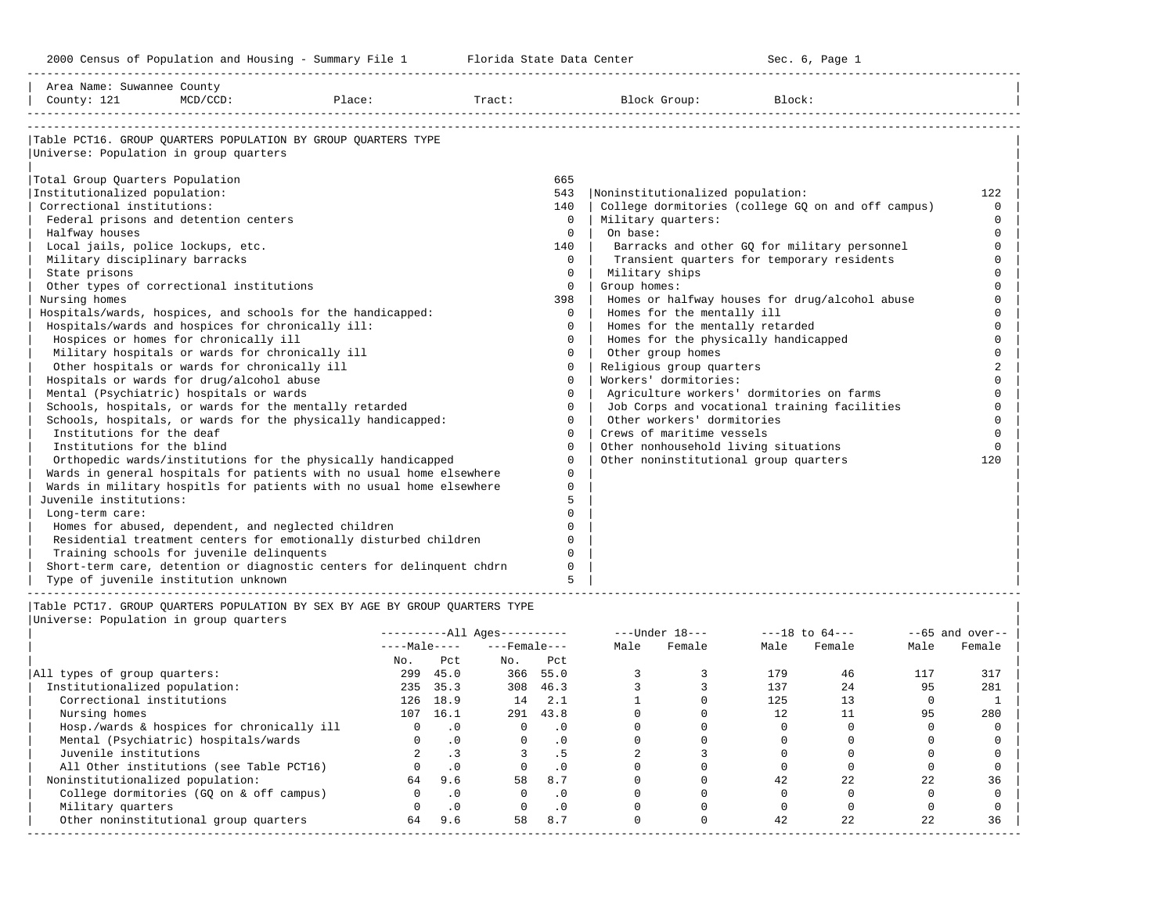-----------------------------------------------------------------------------------------------------------------------------------------------------

| Area Name: Suwannee County<br>County: 121 | $MCD/CCD$ :                                       | Place:                                                                | Tract: Tract: |          | Block Group:                              | Block:                                             |                |
|-------------------------------------------|---------------------------------------------------|-----------------------------------------------------------------------|---------------|----------|-------------------------------------------|----------------------------------------------------|----------------|
|                                           |                                                   |                                                                       |               |          |                                           |                                                    |                |
|                                           |                                                   | Table PCT16. GROUP OUARTERS POPULATION BY GROUP OUARTERS TYPE         |               |          |                                           |                                                    |                |
| Universe: Population in group quarters    |                                                   |                                                                       |               |          |                                           |                                                    |                |
| Total Group Ouarters Population           |                                                   |                                                                       |               | 665      |                                           |                                                    |                |
| Institutionalized population:             |                                                   |                                                                       |               | 543      | Noninstitutionalized population:          |                                                    | 122            |
| Correctional institutions:                |                                                   |                                                                       |               | 140      |                                           | College dormitories (college GQ on and off campus) | $\Omega$       |
|                                           | Federal prisons and detention centers             |                                                                       |               | $\Omega$ | Military quarters:                        |                                                    | $\Omega$       |
| Halfway houses                            |                                                   |                                                                       |               | $\Omega$ | On base:                                  |                                                    | $\Omega$       |
| Local jails, police lockups, etc.         |                                                   |                                                                       |               | 140      |                                           | Barracks and other GQ for military personnel       | $\Omega$       |
| Military disciplinary barracks            |                                                   |                                                                       |               | $\Omega$ |                                           | Transient quarters for temporary residents         | $\Omega$       |
| State prisons                             |                                                   |                                                                       |               | $\Omega$ | Military ships                            |                                                    |                |
|                                           | Other types of correctional institutions          |                                                                       |               | $\Omega$ | Group homes:                              |                                                    |                |
| Nursing homes                             |                                                   |                                                                       |               | 398      |                                           | Homes or halfway houses for drug/alcohol abuse     |                |
|                                           |                                                   | Hospitals/wards, hospices, and schools for the handicapped:           |               | $\Omega$ | Homes for the mentally ill                |                                                    | $\cap$         |
|                                           | Hospitals/wards and hospices for chronically ill: |                                                                       |               | $\Omega$ | Homes for the mentally retarded           |                                                    | $\Omega$       |
|                                           | Hospices or homes for chronically ill             |                                                                       |               | $\Omega$ | Homes for the physically handicapped      |                                                    | $\Omega$       |
|                                           | Military hospitals or wards for chronically ill   |                                                                       |               | $\Omega$ | Other group homes                         |                                                    |                |
|                                           | Other hospitals or wards for chronically ill      |                                                                       |               | $\Omega$ | Religious group quarters                  |                                                    | $\mathfrak{D}$ |
|                                           | Hospitals or wards for drug/alcohol abuse         |                                                                       |               | $\Omega$ | Workers' dormitories:                     |                                                    |                |
|                                           | Mental (Psychiatric) hospitals or wards           |                                                                       |               | $\Omega$ | Agriculture workers' dormitories on farms |                                                    | $\cap$         |
|                                           |                                                   | Schools, hospitals, or wards for the mentally retarded                |               | $\Omega$ |                                           | Job Corps and vocational training facilities       | $\Omega$       |
|                                           |                                                   | Schools, hospitals, or wards for the physically handicapped:          |               | $\Omega$ | Other workers' dormitories                |                                                    | $\Omega$       |
| Institutions for the deaf                 |                                                   |                                                                       |               | $\Omega$ | Crews of maritime vessels                 |                                                    |                |
| Institutions for the blind                |                                                   |                                                                       |               | $\Omega$ | Other nonhousehold living situations      |                                                    | $\cap$         |
|                                           |                                                   | Orthopedic wards/institutions for the physically handicapped          |               | $\Omega$ | Other noninstitutional group quarters     |                                                    | 120            |
|                                           |                                                   | Wards in general hospitals for patients with no usual home elsewhere  |               | $\cap$   |                                           |                                                    |                |
|                                           |                                                   | Wards in military hospitls for patients with no usual home elsewhere  |               | $\Omega$ |                                           |                                                    |                |
| Juvenile institutions:                    |                                                   |                                                                       |               | 5        |                                           |                                                    |                |
| Long-term care:                           |                                                   |                                                                       |               | U        |                                           |                                                    |                |
|                                           |                                                   | Homes for abused, dependent, and neglected children                   |               | $\Omega$ |                                           |                                                    |                |
|                                           |                                                   | Residential treatment centers for emotionally disturbed children      |               | $\Omega$ |                                           |                                                    |                |
|                                           | Training schools for juvenile delinquents         |                                                                       |               | $\Omega$ |                                           |                                                    |                |
|                                           |                                                   | Short-term care, detention or diagnostic centers for delinquent chdrn |               | $\Omega$ |                                           |                                                    |                |
|                                           | Type of juvenile institution unknown              |                                                                       |               | 5        |                                           |                                                    |                |

|                                            |              |           | $------All Aqes------$ |           |      | $---Under 18---$ |      | $---18$ to $64---$ |      | $--65$ and over-- |
|--------------------------------------------|--------------|-----------|------------------------|-----------|------|------------------|------|--------------------|------|-------------------|
|                                            | $---Male---$ |           | $---$ Female $---$     |           | Male | Female           | Male | Female             | Male | Female            |
|                                            | No.          | Pct       | No.                    | Pct       |      |                  |      |                    |      |                   |
| All types of group quarters:               | 299          | 45.0      |                        | 366 55.0  |      |                  | 179  | 46                 | 117  | 317               |
| Institutionalized population:              | 235          | 35.3      | 308                    | 46.3      |      |                  | 137  | 2.4                | 95   | 281               |
| Correctional institutions                  | 126          | 18.9      | 14                     | 2.1       |      |                  | 125  | 13                 |      |                   |
| Nursing homes                              | 107          | 16.1      | 291                    | 43.8      |      |                  | 12   |                    | 95   | 280               |
| Hosp./wards & hospices for chronically ill |              | $\cdot$ 0 |                        | . 0       |      |                  |      |                    |      |                   |
| Mental (Psychiatric) hospitals/wards       |              | $\cdot$ 0 |                        | $\cdot$ 0 |      |                  |      |                    |      |                   |
| Juvenile institutions                      |              |           |                        |           |      |                  |      |                    |      |                   |
| All Other institutions (see Table PCT16)   |              | $\cdot$ 0 |                        | . 0       |      |                  |      |                    |      |                   |
| Noninstitutionalized population:           | 64           | 9.6       | 58                     | 8.7       |      |                  | 42   | 2.2.               | 22   | 36                |
| College dormitories (GO on & off campus)   |              | $\cdot$ 0 |                        | $\cdot$ 0 |      |                  |      |                    |      |                   |
| Military quarters                          |              | $\cdot$ 0 |                        | $\cdot$ 0 |      |                  |      |                    |      |                   |
| Other noninstitutional group quarters      | 64           | 9.6       | 58                     | 8.7       |      |                  | 42   | 2.2.               | 22   | 36                |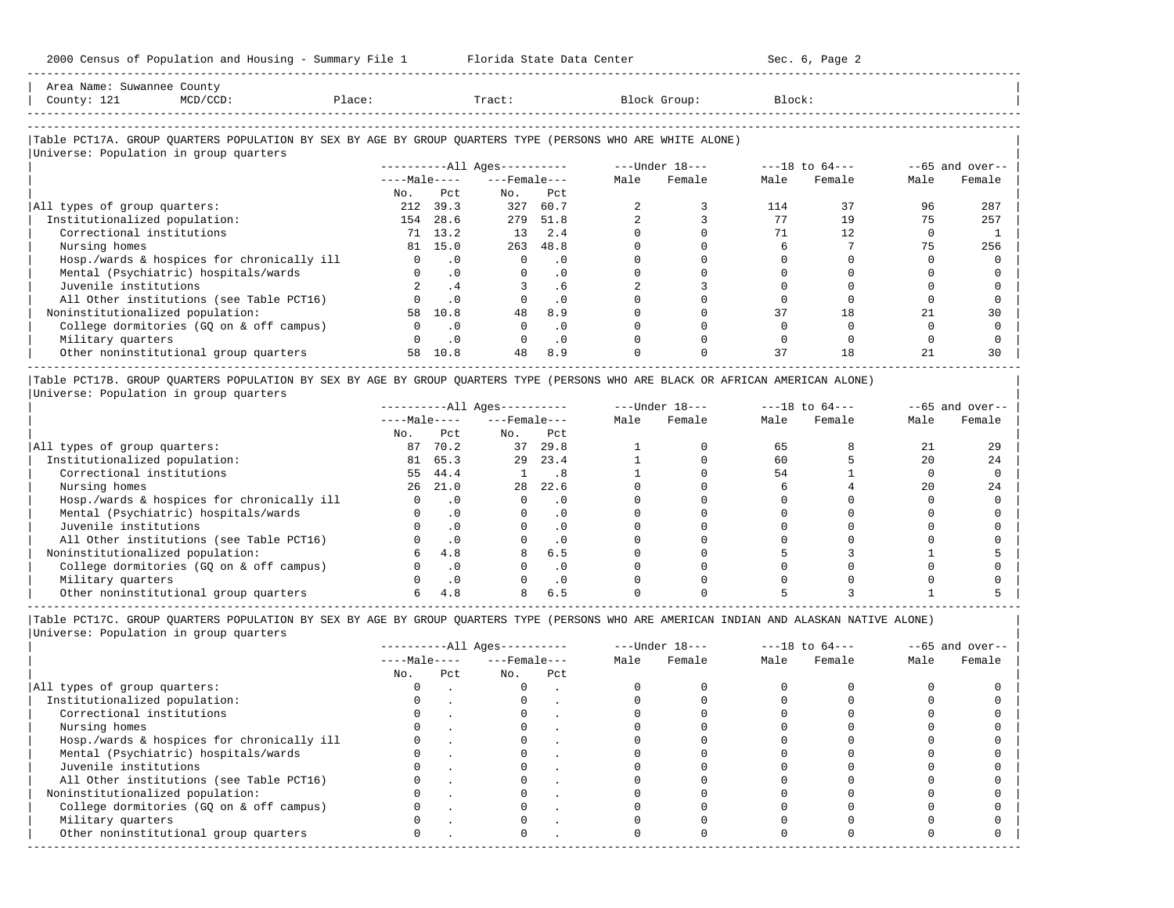| Area<br>Name              | Count                                                                           |         |       |       |
|---------------------------|---------------------------------------------------------------------------------|---------|-------|-------|
| Count <sup>.</sup><br>ᆂᅀᆂ | the contract of the contract of the contract of the contract of the contract of | . مصدات | Tract | rock: |
|                           |                                                                                 |         |       |       |
| ------------------------  |                                                                                 |         |       |       |

-----------------------------------------------------------------------------------------------------------------------------------------------------

### |Table PCT17A. GROUP QUARTERS POPULATION BY SEX BY AGE BY GROUP QUARTERS TYPE (PERSONS WHO ARE WHITE ALONE) | |<br>|Universe: Population in group quarters

| UNIVELSE, FUPULACION IN GIUUP GUALLEIS     |              |           |                            |           |      |                  |      |                    |      |                   |
|--------------------------------------------|--------------|-----------|----------------------------|-----------|------|------------------|------|--------------------|------|-------------------|
|                                            |              |           | $------All \text{Aqes}---$ |           |      | $---Under 18---$ |      | $---18$ to $64---$ |      | $--65$ and over-- |
|                                            | $---Male---$ |           | $---$ Female $---$         |           | Male | Female           | Male | Female             | Male | Female            |
|                                            | No.          | Pct       | No.                        | Pct       |      |                  |      |                    |      |                   |
| All types of group quarters:               | 212          | 39.3      | 327                        | 60.7      |      |                  | 114  | 37                 | 96   | 287               |
| Institutionalized population:              | 154          | 28.6      | 279                        | 51.8      |      |                  |      | 19                 | 75   | 257               |
| Correctional institutions                  |              | 71 13.2   | 13                         | 2.4       |      |                  |      | 12.                |      |                   |
| Nursing homes                              | 81           | 15.0      | 263                        | 48.8      |      |                  |      |                    | 75   | 256               |
| Hosp./wards & hospices for chronically ill |              | . 0       |                            | $\cdot$ 0 |      |                  |      |                    |      |                   |
| Mental (Psychiatric) hospitals/wards       |              | $\cdot$ 0 |                            | . 0       |      |                  |      |                    |      |                   |
| Juvenile institutions                      |              | .4        |                            | . 6       |      |                  |      |                    |      |                   |
| All Other institutions (see Table PCT16)   |              |           |                            |           |      |                  |      |                    |      |                   |
| Noninstitutionalized population:           | 58           | 10.8      | 48                         | 8.9       |      |                  | 37   | 18                 |      | 30                |
| College dormitories (GO on & off campus)   |              | $\cdot$ 0 |                            |           |      |                  |      |                    |      |                   |
| Military quarters                          |              | $\cdot$ 0 |                            | $\cdot$ 0 |      |                  |      |                    |      |                   |
| Other noninstitutional group quarters      | 58           | 10.8      | 48                         | 8.9       |      |                  | 37   | 18                 |      | 30                |

|Table PCT17B. GROUP QUARTERS POPULATION BY SEX BY AGE BY GROUP QUARTERS TYPE (PERSONS WHO ARE BLACK OR AFRICAN AMERICAN ALONE) | |Universe: Population in group quarters |

|                                            |              |           | $------All Ages------$ |           |      | $---Under 18---$ |      | $---18$ to $64---$ |      | $--65$ and over-- |
|--------------------------------------------|--------------|-----------|------------------------|-----------|------|------------------|------|--------------------|------|-------------------|
|                                            | $---Male---$ |           | $---$ Female $---$     |           | Male | Female           | Male | Female             | Male | Female            |
|                                            | No.          | Pct       | No.                    | Pct       |      |                  |      |                    |      |                   |
| All types of group quarters:               | 87           | 70.2      | 37                     | 29.8      |      |                  | 65   |                    |      | 29                |
| Institutionalized population:              | 81           | 65.3      | 29                     | 23.4      |      |                  | 60   |                    | 20   | 24                |
| Correctional institutions                  | 55           | 44.4      |                        | . 8       |      |                  | 54   |                    |      |                   |
| Nursing homes                              | 26           | 21.0      | 28                     | 22.6      |      |                  |      |                    | 20   | 24                |
| Hosp./wards & hospices for chronically ill |              | .0        |                        | . 0       |      |                  |      |                    |      |                   |
| Mental (Psychiatric) hospitals/wards       |              |           |                        | $\cdot$ 0 |      |                  |      |                    |      |                   |
| Juvenile institutions                      |              | . 0       |                        | . 0       |      |                  |      |                    |      |                   |
| All Other institutions (see Table PCT16)   |              |           |                        | $\cdot$ 0 |      |                  |      |                    |      |                   |
| Noninstitutionalized population:           |              | 4.8       | 8                      | 6.5       |      |                  |      |                    |      |                   |
| College dormitories (GQ on & off campus)   |              |           |                        | $\cdot$ 0 |      |                  |      |                    |      |                   |
| Military quarters                          |              | $\cdot$ 0 |                        | . 0       |      |                  |      |                    |      |                   |
| Other noninstitutional group quarters      |              |           |                        | 6.5       |      |                  |      |                    |      |                   |

-----------------------------------------------------------------------------------------------------------------------------------------------------

|Table PCT17C. GROUP QUARTERS POPULATION BY SEX BY AGE BY GROUP QUARTERS TYPE (PERSONS WHO ARE AMERICAN INDIAN AND ALASKAN NATIVE ALONE) | |Universe: Population in group quarters |

|                                            |              |     | $------All Aqes------$ |     |      | $---Under 18---$ |      | $---18$ to $64---$ |      | $--65$ and over-- |
|--------------------------------------------|--------------|-----|------------------------|-----|------|------------------|------|--------------------|------|-------------------|
|                                            | $---Male---$ |     | $---$ Female $---$     |     | Male | Female           | Male | Female             | Male | Female            |
|                                            | No.          | Pct | No.                    | Pct |      |                  |      |                    |      |                   |
| All types of group quarters:               |              |     |                        |     |      |                  |      |                    |      |                   |
| Institutionalized population:              |              |     |                        |     |      |                  |      |                    |      |                   |
| Correctional institutions                  |              |     |                        |     |      |                  |      |                    |      |                   |
| Nursing homes                              |              |     |                        |     |      |                  |      |                    |      |                   |
| Hosp./wards & hospices for chronically ill |              |     |                        |     |      |                  |      |                    |      |                   |
| Mental (Psychiatric) hospitals/wards       |              |     |                        |     |      |                  |      |                    |      |                   |
| Juvenile institutions                      |              |     |                        |     |      |                  |      |                    |      |                   |
| All Other institutions (see Table PCT16)   |              |     |                        |     |      |                  |      |                    |      |                   |
| Noninstitutionalized population:           |              |     |                        |     |      |                  |      |                    |      |                   |
| College dormitories (GQ on & off campus)   |              |     |                        |     |      |                  |      |                    |      |                   |
| Military quarters                          |              |     |                        |     |      |                  |      |                    |      |                   |
| Other noninstitutional group quarters      | <sup>n</sup> |     |                        |     |      |                  |      |                    |      |                   |
|                                            |              |     |                        |     |      |                  |      |                    |      |                   |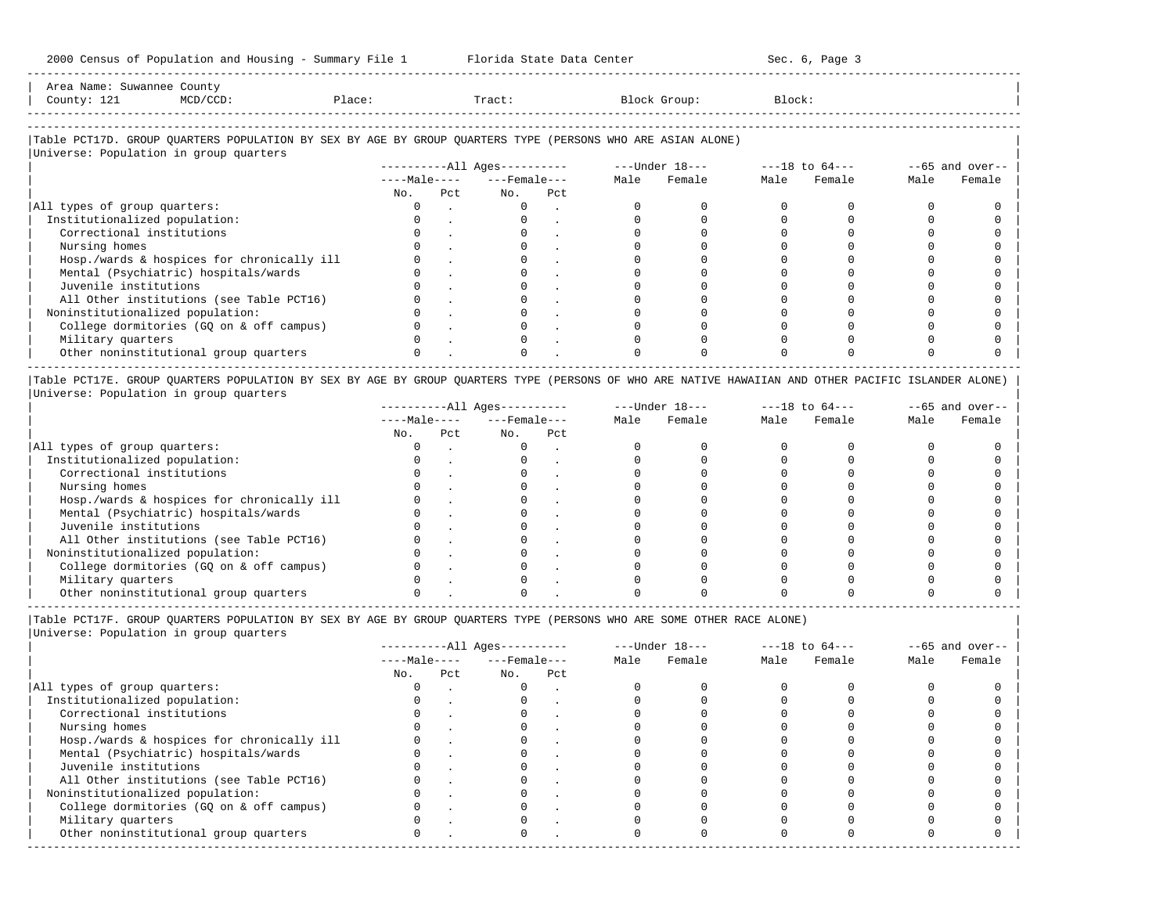Area Name: Suwannee County | County: 121 MCD/CCD: Place: Tract: Block Group: Block: Block:

-----------------------------------------------------------------------------------------------------------------------------------------------------

-----------------------------------------------------------------------------------------------------------------------------------------------------

|Table PCT17D. GROUP QUARTERS POPULATION BY SEX BY AGE BY GROUP QUARTERS TYPE (PERSONS WHO ARE ASIAN ALONE) |

|                                            |              |     | $------All Aqes------$ |     |      | ---Under 18--- |      | $---18$ to $64---$ |      | $--65$ and over-- |
|--------------------------------------------|--------------|-----|------------------------|-----|------|----------------|------|--------------------|------|-------------------|
|                                            | $---Male---$ |     | $---$ Female $---$     |     | Male | Female         | Male | Female             | Male | Female            |
|                                            | No.          | Pct | No.                    | Pct |      |                |      |                    |      |                   |
| All types of group quarters:               |              |     |                        |     |      |                |      |                    |      |                   |
| Institutionalized population:              |              |     |                        |     |      |                |      |                    |      |                   |
| Correctional institutions                  |              |     |                        |     |      |                |      |                    |      |                   |
| Nursing homes                              |              |     |                        |     |      |                |      |                    |      |                   |
| Hosp./wards & hospices for chronically ill |              |     |                        |     |      |                |      |                    |      |                   |
| Mental (Psychiatric) hospitals/wards       |              |     |                        |     |      |                |      |                    |      |                   |
| Juvenile institutions                      |              |     |                        |     |      |                |      |                    |      |                   |
| All Other institutions (see Table PCT16)   |              |     |                        |     |      |                |      |                    |      |                   |
| Noninstitutionalized population:           |              |     |                        |     |      |                |      |                    |      |                   |
| College dormitories (GQ on & off campus)   |              |     |                        |     |      |                |      |                    |      |                   |
| Military quarters                          |              |     |                        |     |      |                |      |                    |      |                   |
| Other noninstitutional group quarters      |              |     |                        |     |      |                |      |                    |      |                   |

|Table PCT17E. GROUP QUARTERS POPULATION BY SEX BY AGE BY GROUP QUARTERS TYPE (PERSONS OF WHO ARE NATIVE HAWAIIAN AND OTHER PACIFIC ISLANDER ALONE) | |Universe: Population in group quarters |

|                                            |              |     | $------All Aqes------$ |     |      | $---Under 18---$ |      | $---18$ to $64---$ |      | $--65$ and over-- |
|--------------------------------------------|--------------|-----|------------------------|-----|------|------------------|------|--------------------|------|-------------------|
|                                            | $---Male---$ |     | $---$ Female $---$     |     | Male | Female           | Male | Female             | Male | Female            |
|                                            | No.          | Pct | No.                    | Pct |      |                  |      |                    |      |                   |
| All types of group quarters:               |              |     |                        |     |      |                  |      |                    |      |                   |
| Institutionalized population:              |              |     |                        |     |      |                  |      |                    |      |                   |
| Correctional institutions                  |              |     |                        |     |      |                  |      |                    |      |                   |
| Nursing homes                              |              |     |                        |     |      |                  |      |                    |      |                   |
| Hosp./wards & hospices for chronically ill |              |     |                        |     |      |                  |      |                    |      |                   |
| Mental (Psychiatric) hospitals/wards       |              |     |                        |     |      |                  |      |                    |      |                   |
| Juvenile institutions                      |              |     |                        |     |      |                  |      |                    |      |                   |
| All Other institutions (see Table PCT16)   |              |     |                        |     |      |                  |      |                    |      |                   |
| Noninstitutionalized population:           |              |     |                        |     |      |                  |      |                    |      |                   |
| College dormitories (GQ on & off campus)   |              |     |                        |     |      |                  |      |                    |      |                   |
| Military quarters                          |              |     |                        |     |      |                  |      |                    |      |                   |
| Other noninstitutional group quarters      |              |     |                        |     |      |                  |      |                    |      |                   |

----------------------------------------------------------------------------------------------------------------------------------------------------- |Table PCT17F. GROUP QUARTERS POPULATION BY SEX BY AGE BY GROUP QUARTERS TYPE (PERSONS WHO ARE SOME OTHER RACE ALONE) |

|                                            |              |     | $------All Ages------$ |     |      | $---Under 18---$ |      | $---18$ to $64---$ |      | $--65$ and over-- |
|--------------------------------------------|--------------|-----|------------------------|-----|------|------------------|------|--------------------|------|-------------------|
|                                            | $---Male---$ |     | $---$ Female $---$     |     | Male | Female           | Male | Female             | Male | Female            |
|                                            | No.          | Pct | No.                    | Pct |      |                  |      |                    |      |                   |
| All types of group quarters:               |              |     | $\Omega$               |     |      |                  |      |                    |      |                   |
| Institutionalized population:              |              |     |                        |     |      |                  |      |                    |      |                   |
| Correctional institutions                  |              |     |                        |     |      |                  |      |                    |      |                   |
| Nursing homes                              |              |     |                        |     |      |                  |      |                    |      |                   |
| Hosp./wards & hospices for chronically ill |              |     |                        |     |      |                  |      |                    |      |                   |
| Mental (Psychiatric) hospitals/wards       |              |     |                        |     |      |                  |      |                    |      |                   |
| Juvenile institutions                      |              |     |                        |     |      |                  |      |                    |      |                   |
| All Other institutions (see Table PCT16)   |              |     |                        |     |      |                  |      |                    |      |                   |
| Noninstitutionalized population:           |              |     |                        |     |      |                  |      |                    |      |                   |
| College dormitories (GQ on & off campus)   |              |     |                        |     |      |                  |      |                    |      |                   |
| Military quarters                          |              |     |                        |     |      |                  |      |                    |      |                   |
| Other noninstitutional group quarters      |              |     |                        |     |      |                  |      |                    |      |                   |
|                                            |              |     |                        |     |      |                  |      |                    |      |                   |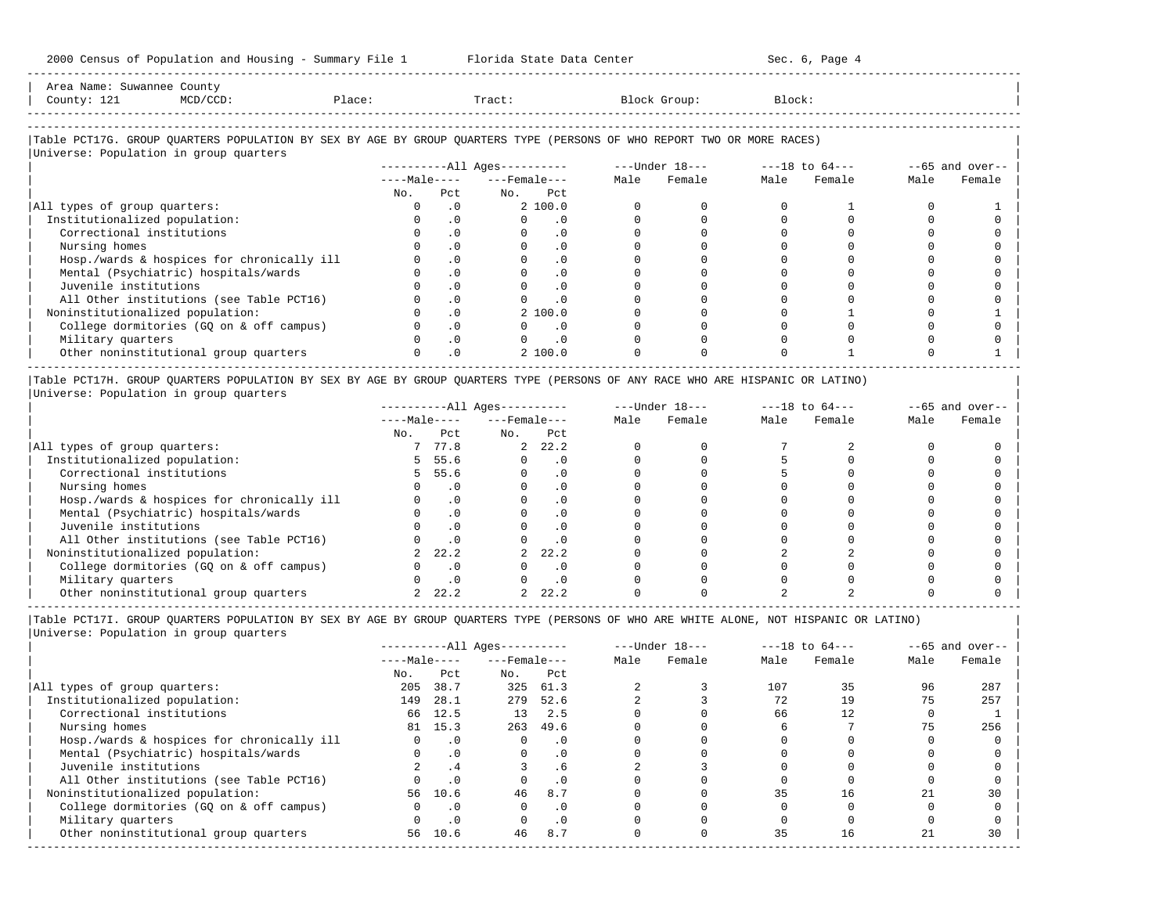| Area Name: Suwannee County<br>County: 121<br>$MCD/CCD$ :<br>Place:                                                     |              |           | Tract:                       |      | Block Group: | Block: |        |      |                   |
|------------------------------------------------------------------------------------------------------------------------|--------------|-----------|------------------------------|------|--------------|--------|--------|------|-------------------|
| Table PCT17G. GROUP QUARTERS POPULATION BY SEX BY AGE BY GROUP QUARTERS TYPE (PERSONS OF WHO REPORT TWO OR MORE RACES) |              |           |                              |      |              |        |        |      |                   |
| Universe: Population in group quarters                                                                                 |              |           |                              |      |              |        |        |      |                   |
|                                                                                                                        |              |           | ----------All Ages---------- |      |              |        |        |      | $--65$ and over-- |
|                                                                                                                        |              |           | $---Male---$                 | Male | Female       | Male   | Female | Male | Female            |
|                                                                                                                        | No.          | Pct.      | No. Pct                      |      |              |        |        |      |                   |
| All types of group quarters:                                                                                           | $\Omega$     | .0        | 2, 100.0                     |      |              |        |        |      |                   |
| Institutionalized population:                                                                                          | $\mathbf{0}$ | .0        | $\cdot$ 0<br>$\Omega$        |      |              |        |        |      |                   |
| Correctional institutions                                                                                              | $\Omega$     | $\cdot$ 0 | $\Omega$<br>$\cdot$ 0        |      |              |        |        |      |                   |
| Nursing homes                                                                                                          |              | .0        | $\cdot$ 0                    |      |              |        |        |      |                   |
| Hosp./wards & hospices for chronically ill                                                                             |              | .0        | $\cdot$ 0                    |      |              |        |        |      |                   |
| Mental (Psychiatric) hospitals/wards                                                                                   |              | $\cdot$ 0 | $\cdot$ 0                    |      |              |        |        |      |                   |
| Juvenile institutions                                                                                                  |              | $\cdot$ 0 | $\cdot$ 0                    |      |              |        |        |      |                   |
| All Other institutions (see Table PCT16)                                                                               |              | .0        | $\cdot$ 0                    |      |              |        |        |      |                   |
| Noninstitutionalized population:                                                                                       |              | $\cdot$ 0 | 2 100.0                      |      |              |        |        |      |                   |
| College dormitories (GQ on & off campus)                                                                               |              | $\cdot$ 0 | $\cdot$ 0                    |      |              |        |        |      |                   |
| Military quarters                                                                                                      |              | .0        | $\cdot$ 0                    |      |              |        |        |      |                   |
| Other noninstitutional group quarters                                                                                  |              | $\cdot$ 0 | 2, 100.0                     |      |              |        |        |      |                   |

|Table PCT17H. GROUP QUARTERS POPULATION BY SEX BY AGE BY GROUP QUARTERS TYPE (PERSONS OF ANY RACE WHO ARE HISPANIC OR LATINO) | |Universe: Population in group quarters |

|                                            |              |           | $------All Ages------$ |           |      | $---Under 18---$ |      | $---18$ to $64---$ |      | $--65$ and over-- |
|--------------------------------------------|--------------|-----------|------------------------|-----------|------|------------------|------|--------------------|------|-------------------|
|                                            | $---Male---$ |           | $---$ Female $---$     |           | Male | Female           | Male | Female             | Male | Female            |
|                                            | No.          | Pct       | No.                    | Pct       |      |                  |      |                    |      |                   |
| All types of group quarters:               |              | 77.8      |                        | 2, 22.2   |      |                  |      |                    |      |                   |
| Institutionalized population:              |              | 55.6      |                        | . 0       |      |                  |      |                    |      |                   |
| Correctional institutions                  |              | 55.6      |                        | . 0       |      |                  |      |                    |      |                   |
| Nursing homes                              |              |           |                        | . 0       |      |                  |      |                    |      |                   |
| Hosp./wards & hospices for chronically ill |              |           |                        | . 0       |      |                  |      |                    |      |                   |
| Mental (Psychiatric) hospitals/wards       |              |           |                        | . 0       |      |                  |      |                    |      |                   |
| Juvenile institutions                      |              | . 0       |                        | . 0       |      |                  |      |                    |      |                   |
| All Other institutions (see Table PCT16)   |              |           |                        |           |      |                  |      |                    |      |                   |
| Noninstitutionalized population:           |              | 22.2      |                        | 22.2      |      |                  |      |                    |      |                   |
| College dormitories (GQ on & off campus)   |              |           |                        | $\cdot$ 0 |      |                  |      |                    |      |                   |
| Military quarters                          |              | $\cdot$ 0 |                        | . 0       |      |                  |      |                    |      |                   |
| Other noninstitutional group quarters      |              | 22.2      |                        | 22.2      |      |                  |      |                    |      |                   |

-----------------------------------------------------------------------------------------------------------------------------------------------------

-----------------------------------------------------------------------------------------------------------------------------------------------------

|Table PCT17I. GROUP QUARTERS POPULATION BY SEX BY AGE BY GROUP QUARTERS TYPE (PERSONS OF WHO ARE WHITE ALONE, NOT HISPANIC OR LATINO) | |Universe: Population in group quarters |

|                                            |              |           | ----------All Ages---------- |           |      | $---Under 18---$ |      | $---18$ to $64---$ |      | $--65$ and over-- |
|--------------------------------------------|--------------|-----------|------------------------------|-----------|------|------------------|------|--------------------|------|-------------------|
|                                            | $---Male---$ |           | $---$ Female $---$           |           | Male | Female           | Male | Female             | Male | Female            |
|                                            | No.          | Pct       | No.                          | Pct       |      |                  |      |                    |      |                   |
| All types of group quarters:               | 205          | 38.7      | 325                          | 61.3      |      |                  | 107  | 35                 | 96   | 287               |
| Institutionalized population:              | 149          | 28.1      | 279                          | 52.6      |      |                  | 72   | 19                 | 75   | 257               |
| Correctional institutions                  | 66           | 12.5      | 13                           | 2.5       |      |                  | 66   | 12                 |      |                   |
| Nursing homes                              |              | 81 15.3   | 263                          | 49.6      |      |                  |      |                    | 75   | 256               |
| Hosp./wards & hospices for chronically ill |              | $\cdot$ 0 |                              | . 0       |      |                  |      |                    |      |                   |
| Mental (Psychiatric) hospitals/wards       | $\Omega$     | $\cdot$ 0 | $\Omega$                     | $\cdot$ 0 |      |                  |      |                    |      |                   |
| Juvenile institutions                      |              | .4        |                              | . 6       |      |                  |      |                    |      |                   |
| All Other institutions (see Table PCT16)   |              |           |                              | $\cdot$ 0 |      |                  |      |                    |      |                   |
| Noninstitutionalized population:           | 56           | 10.6      | 46                           | 8.7       |      |                  | 35   | 16                 |      | 30                |
| College dormitories (GQ on & off campus)   |              | $\cdot$ 0 |                              | $\cdot$ 0 |      |                  |      |                    |      |                   |
| Military quarters                          |              | $\cdot$ 0 |                              | $\cdot$ 0 |      |                  |      |                    |      |                   |
| Other noninstitutional group quarters      | 56           | 10.6      | 46                           | 8.7       |      |                  | 35   | 16                 |      | 30                |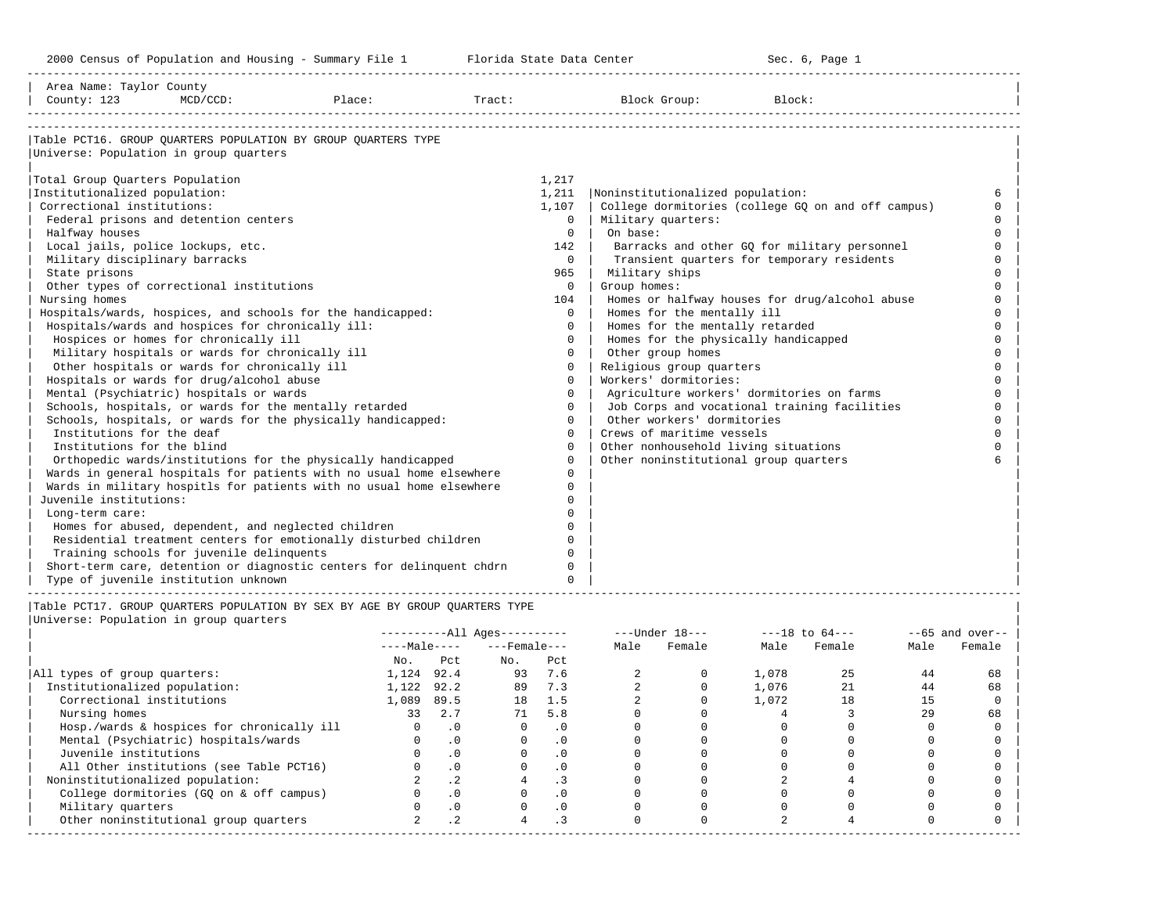-----------------------------------------------------------------------------------------------------------------------------------------------------

| Area Name: Taylor County<br>County: 123 | $MCD/CCD$ :                                         | Place:                                                                | Tract: |              | Block Group:                          | Block:                                             |        |
|-----------------------------------------|-----------------------------------------------------|-----------------------------------------------------------------------|--------|--------------|---------------------------------------|----------------------------------------------------|--------|
|                                         |                                                     | Table PCT16. GROUP OUARTERS POPULATION BY GROUP OUARTERS TYPE         |        |              |                                       |                                                    |        |
|                                         | Universe: Population in group quarters              |                                                                       |        |              |                                       |                                                    |        |
| Total Group Quarters Population         |                                                     |                                                                       |        | 1,217        |                                       |                                                    |        |
| Institutionalized population:           |                                                     |                                                                       |        | 1,211        | Noninstitutionalized population:      |                                                    | 6      |
| Correctional institutions:              |                                                     |                                                                       |        | 1,107        |                                       | College dormitories (college GO on and off campus) | $\cap$ |
|                                         | Federal prisons and detention centers               |                                                                       |        | $\Omega$     | Military quarters:                    |                                                    |        |
| Halfway houses                          |                                                     |                                                                       |        | $\cap$       | On base:                              |                                                    |        |
|                                         | Local jails, police lockups, etc.                   |                                                                       |        | 142          |                                       | Barracks and other GQ for military personnel       |        |
| Military disciplinary barracks          |                                                     |                                                                       |        | $\Omega$     |                                       | Transient quarters for temporary residents         | $\cap$ |
| State prisons                           |                                                     |                                                                       |        | 965          | Military ships                        |                                                    |        |
|                                         | Other types of correctional institutions            |                                                                       |        | $\Omega$     | Group homes:                          |                                                    |        |
| Nursing homes                           |                                                     |                                                                       |        | 104          |                                       | Homes or halfway houses for drug/alcohol abuse     |        |
|                                         |                                                     | Hospitals/wards, hospices, and schools for the handicapped:           |        | $\Omega$     | Homes for the mentally ill            |                                                    |        |
|                                         | Hospitals/wards and hospices for chronically ill:   |                                                                       |        | $\Omega$     | Homes for the mentally retarded       |                                                    |        |
|                                         | Hospices or homes for chronically ill               |                                                                       |        | $\Omega$     | Homes for the physically handicapped  |                                                    |        |
|                                         | Military hospitals or wards for chronically ill     |                                                                       |        | $\Omega$     | Other group homes                     |                                                    |        |
|                                         | Other hospitals or wards for chronically ill        |                                                                       |        | $\Omega$     | Religious group quarters              |                                                    |        |
|                                         | Hospitals or wards for drug/alcohol abuse           |                                                                       |        | $\Omega$     | Workers' dormitories:                 |                                                    |        |
|                                         | Mental (Psychiatric) hospitals or wards             |                                                                       |        | $\Omega$     |                                       | Agriculture workers' dormitories on farms          | $\cap$ |
|                                         |                                                     | Schools, hospitals, or wards for the mentally retarded                |        | $\Omega$     |                                       | Job Corps and vocational training facilities       | $\cap$ |
|                                         |                                                     | Schools, hospitals, or wards for the physically handicapped:          |        | $\Omega$     | Other workers' dormitories            |                                                    | $\cap$ |
| Institutions for the deaf               |                                                     |                                                                       |        | $\Omega$     | Crews of maritime vessels             |                                                    | $\cap$ |
| Institutions for the blind              |                                                     |                                                                       |        | $\Omega$     | Other nonhousehold living situations  |                                                    |        |
|                                         |                                                     | Orthopedic wards/institutions for the physically handicapped          |        | $\Omega$     | Other noninstitutional group quarters |                                                    |        |
|                                         |                                                     | Wards in general hospitals for patients with no usual home elsewhere  |        | $\Omega$     |                                       |                                                    |        |
|                                         |                                                     | Wards in military hospitls for patients with no usual home elsewhere  |        | $\Omega$     |                                       |                                                    |        |
| Juvenile institutions:                  |                                                     |                                                                       |        | U            |                                       |                                                    |        |
| Long-term care:                         |                                                     |                                                                       |        |              |                                       |                                                    |        |
|                                         | Homes for abused, dependent, and neglected children |                                                                       |        | $\cap$       |                                       |                                                    |        |
|                                         |                                                     | Residential treatment centers for emotionally disturbed children      |        | <sup>n</sup> |                                       |                                                    |        |
|                                         | Training schools for juvenile delinquents           |                                                                       |        | $\Omega$     |                                       |                                                    |        |
|                                         |                                                     | Short-term care, detention or diagnostic centers for delinquent chdrn |        | $\Omega$     |                                       |                                                    |        |
|                                         | Type of juvenile institution unknown                |                                                                       |        | $\cap$       |                                       |                                                    |        |

|Table PCT17. GROUP QUARTERS POPULATION BY SEX BY AGE BY GROUP QUARTERS TYPE | |Universe: Population in group quarters |

| Male<br>Female |        | $---18$ to $64---$ |        | $---Under 18---$ |           | $------All Ages------$ |                 |              |                                            |
|----------------|--------|--------------------|--------|------------------|-----------|------------------------|-----------------|--------------|--------------------------------------------|
|                | Female | Male               | Female | Male             |           | $---$ Female $---$     |                 | $---Male---$ |                                            |
|                |        |                    |        |                  | Pct       | No.                    | Pct             | No.          |                                            |
| 44<br>68       | 25     | 1,078              |        |                  | 7.6       | 93                     | 92.4            | 1,124        | All types of group quarters:               |
| 44<br>68       |        | 1,076              |        |                  | 7.3       | 89                     | 92.2            | 1,122        | Institutionalized population:              |
| 15             | 18     | 1,072              |        |                  | 1.5       | 18                     | 89.5            | 1,089        | Correctional institutions                  |
| 29<br>68       |        |                    |        |                  | 5.8       | 71                     | 2.7             | 33           | Nursing homes                              |
|                |        |                    |        |                  | . 0       |                        | $\cdot$ 0       |              | Hosp./wards & hospices for chronically ill |
|                |        |                    |        |                  | .0        |                        | $\cdot$ 0       |              | Mental (Psychiatric) hospitals/wards       |
|                |        |                    |        |                  | $\cdot$ 0 |                        | $\cdot$ 0       |              | Juvenile institutions                      |
|                |        |                    |        |                  | $\cdot$ 0 |                        | $\cdot$ 0       |              | All Other institutions (see Table PCT16)   |
|                |        |                    |        |                  | $\cdot$ 3 |                        | .2 <sub>2</sub> |              | Noninstitutionalized population:           |
|                |        |                    |        |                  | $\cdot$ 0 |                        |                 |              | College dormitories (GQ on & off campus)   |
|                |        |                    |        |                  | $\cdot$ 0 |                        | $\cdot$ 0       |              | Military quarters                          |
|                |        |                    |        |                  | . 3       |                        | $\cdot$ 2       |              | Other noninstitutional group quarters      |
|                |        |                    |        |                  |           |                        |                 |              |                                            |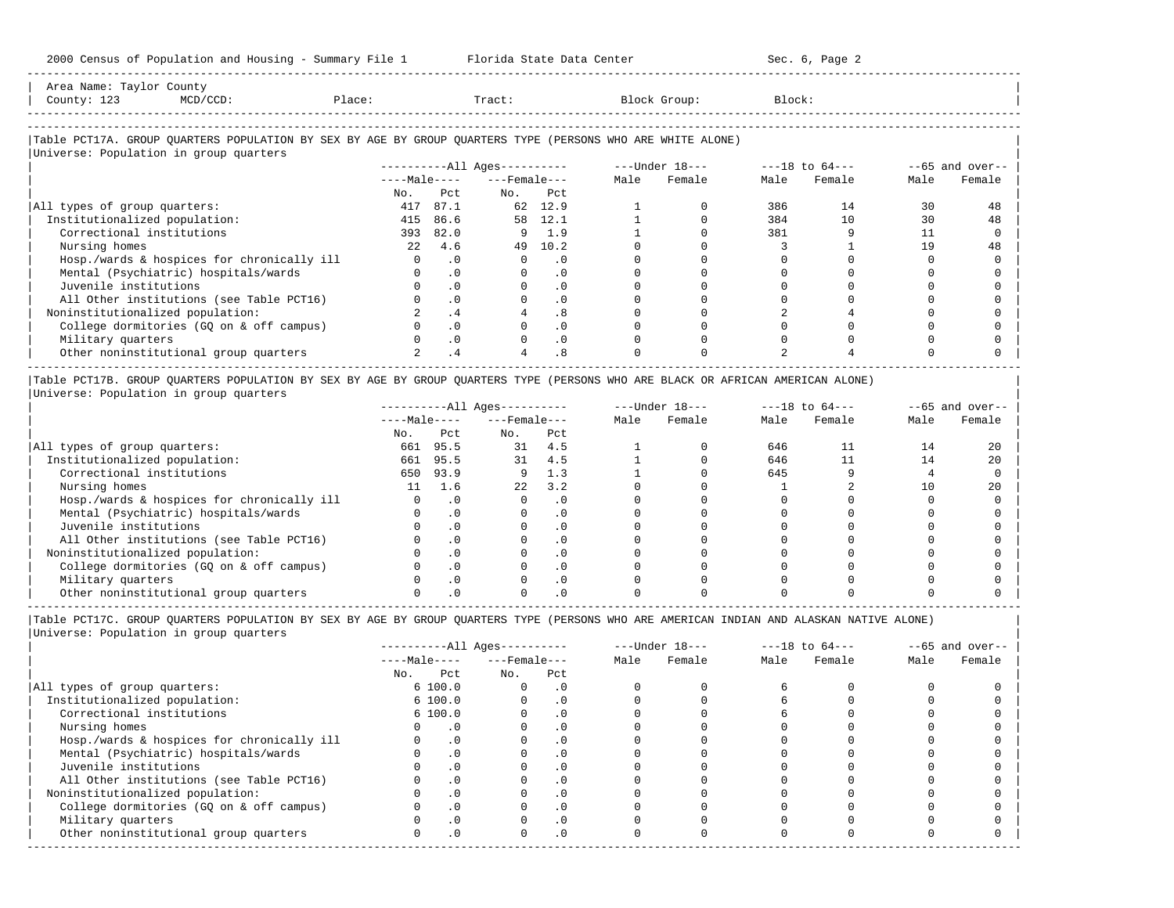| Area<br>Name. |        |        |        |
|---------------|--------|--------|--------|
| .<br>Count:   | Place: | Tract. | Block: |
|               |        |        |        |
|               |        |        |        |

-----------------------------------------------------------------------------------------------------------------------------------------------------

#### |Table PCT17A. GROUP QUARTERS POPULATION BY SEX BY AGE BY GROUP QUARTERS TYPE (PERSONS WHO ARE WHITE ALONE) |  $\overline{\phantom{a}}$ Universe: Population in group quarters

| UNIVELSE. POPULACION IN Group quarters     |              |           |                            |           |      |                  |      |                    |      |                    |
|--------------------------------------------|--------------|-----------|----------------------------|-----------|------|------------------|------|--------------------|------|--------------------|
|                                            |              |           | $------All \text{Aqes}---$ |           |      | $---Under 18---$ |      | $---18$ to $64---$ |      | $- -65$ and over-- |
|                                            | $---Male---$ |           | $---$ Female $---$         |           | Male | Female           | Male | Female             | Male | Female             |
|                                            | No.          | Pct       | No.                        | Pct       |      |                  |      |                    |      |                    |
| All types of group quarters:               | 417          | 87.1      | 62                         | 12.9      |      |                  | 386  | 14                 | 30   | 48                 |
| Institutionalized population:              | 415          | 86.6      | 58                         | 12.1      |      |                  | 384  | 10                 | 30   | 48                 |
| Correctional institutions                  | 393          | 82.0      | 9                          | 1.9       |      |                  | 381  |                    |      |                    |
| Nursing homes                              | 2.2          | 4.6       | 49                         | 10.2      |      |                  |      |                    | 1 Q  | 48                 |
| Hosp./wards & hospices for chronically ill |              | $\cdot$ 0 |                            | . 0       |      |                  |      |                    |      |                    |
| Mental (Psychiatric) hospitals/wards       |              | $\cdot$ 0 |                            | $\cdot$ 0 |      |                  |      |                    |      |                    |
| Juvenile institutions                      |              | $\cdot$ 0 |                            |           |      |                  |      |                    |      |                    |
| All Other institutions (see Table PCT16)   |              | $\cdot$ 0 |                            |           |      |                  |      |                    |      |                    |
| Noninstitutionalized population:           |              | .4        |                            | . 8       |      |                  |      |                    |      |                    |
| College dormitories (GO on & off campus)   |              | $\cdot$ 0 |                            |           |      |                  |      |                    |      |                    |
| Military quarters                          |              | $\cdot$ 0 |                            | $\cdot$ 0 |      |                  |      |                    |      |                    |
| Other noninstitutional group quarters      |              | $\cdot$ 4 |                            | . 8       |      |                  |      |                    |      |                    |

|Table PCT17B. GROUP QUARTERS POPULATION BY SEX BY AGE BY GROUP QUARTERS TYPE (PERSONS WHO ARE BLACK OR AFRICAN AMERICAN ALONE) | |Universe: Population in group quarters |

|                                            |              | $------All Ages------$ |                    |           |      | $---Under 18---$ | $---18$ to $64---$ |        | $--65$ and over-- |        |
|--------------------------------------------|--------------|------------------------|--------------------|-----------|------|------------------|--------------------|--------|-------------------|--------|
|                                            | $---Male---$ |                        | $---$ Female $---$ |           | Male | Female           | Male               | Female | Male              | Female |
|                                            | No.          | Pct                    | No.                | Pct       |      |                  |                    |        |                   |        |
| All types of group quarters:               | 661          | 95.5                   | 31                 | 4.5       |      |                  | 646                |        | 14                | 20     |
| Institutionalized population:              | 661          | 95.5                   | 31                 | 4.5       |      |                  | 646                |        | 14                | 20     |
| Correctional institutions                  | 650          | 93.9                   |                    | 1.3       |      |                  | 645                |        |                   |        |
| Nursing homes                              | 11           | 1.6                    | 22                 | 3.2       |      |                  |                    |        |                   | 2.0    |
| Hosp./wards & hospices for chronically ill |              |                        |                    | . 0       |      |                  |                    |        |                   |        |
| Mental (Psychiatric) hospitals/wards       |              |                        |                    |           |      |                  |                    |        |                   |        |
| Juvenile institutions                      |              |                        |                    | . 0       |      |                  |                    |        |                   |        |
| All Other institutions (see Table PCT16)   |              |                        |                    |           |      |                  |                    |        |                   |        |
| Noninstitutionalized population:           |              |                        |                    | . 0       |      |                  |                    |        |                   |        |
| College dormitories (GO on & off campus)   |              |                        |                    | $\cdot$ 0 |      |                  |                    |        |                   |        |
| Military quarters                          |              |                        |                    | . 0       |      |                  |                    |        |                   |        |
| Other noninstitutional group quarters      |              |                        |                    |           |      |                  |                    |        |                   |        |

----------------------------------------------------------------------------------------------------------------------------------------------------- |Table PCT17C. GROUP QUARTERS POPULATION BY SEX BY AGE BY GROUP QUARTERS TYPE (PERSONS WHO ARE AMERICAN INDIAN AND ALASKAN NATIVE ALONE) | |Universe: Population in group quarters |

|                                            |              |           | $------All Ages------$ |           |      | $---Under 18---$ |      | $---18$ to $64---$ |      | $--65$ and over-- |
|--------------------------------------------|--------------|-----------|------------------------|-----------|------|------------------|------|--------------------|------|-------------------|
|                                            | $---Male---$ |           | $---$ Female $---$     |           | Male | Female           | Male | Female             | Male | Female            |
|                                            | No.          | Pct       | No.                    | Pct       |      |                  |      |                    |      |                   |
| All types of group quarters:               |              | 6100.0    | $\Omega$               | $\cdot$ 0 |      |                  |      |                    |      |                   |
| Institutionalized population:              |              | 6100.0    |                        | $\cdot$ 0 |      |                  |      |                    |      |                   |
| Correctional institutions                  |              | 6100.0    |                        | $\cdot$ 0 |      |                  |      |                    |      |                   |
| Nursing homes                              |              |           |                        | $\cdot$ 0 |      |                  |      |                    |      |                   |
| Hosp./wards & hospices for chronically ill |              | $\cdot$ 0 |                        |           |      |                  |      |                    |      |                   |
| Mental (Psychiatric) hospitals/wards       |              | $\cdot$ 0 |                        | . 0       |      |                  |      |                    |      |                   |
| Juvenile institutions                      |              |           |                        | . 0       |      |                  |      |                    |      |                   |
| All Other institutions (see Table PCT16)   |              |           |                        |           |      |                  |      |                    |      |                   |
| Noninstitutionalized population:           |              | $\cdot$ 0 |                        | $\cdot$ 0 |      |                  |      |                    |      |                   |
| College dormitories (GO on & off campus)   |              |           |                        | $\cdot$ 0 |      |                  |      |                    |      |                   |
| Military quarters                          |              |           |                        | $\cdot$ 0 |      |                  |      |                    |      |                   |
| Other noninstitutional group quarters      |              | $\cdot$ 0 |                        | $\cdot$ 0 |      |                  |      |                    |      |                   |
|                                            |              |           |                        |           |      |                  |      |                    |      |                   |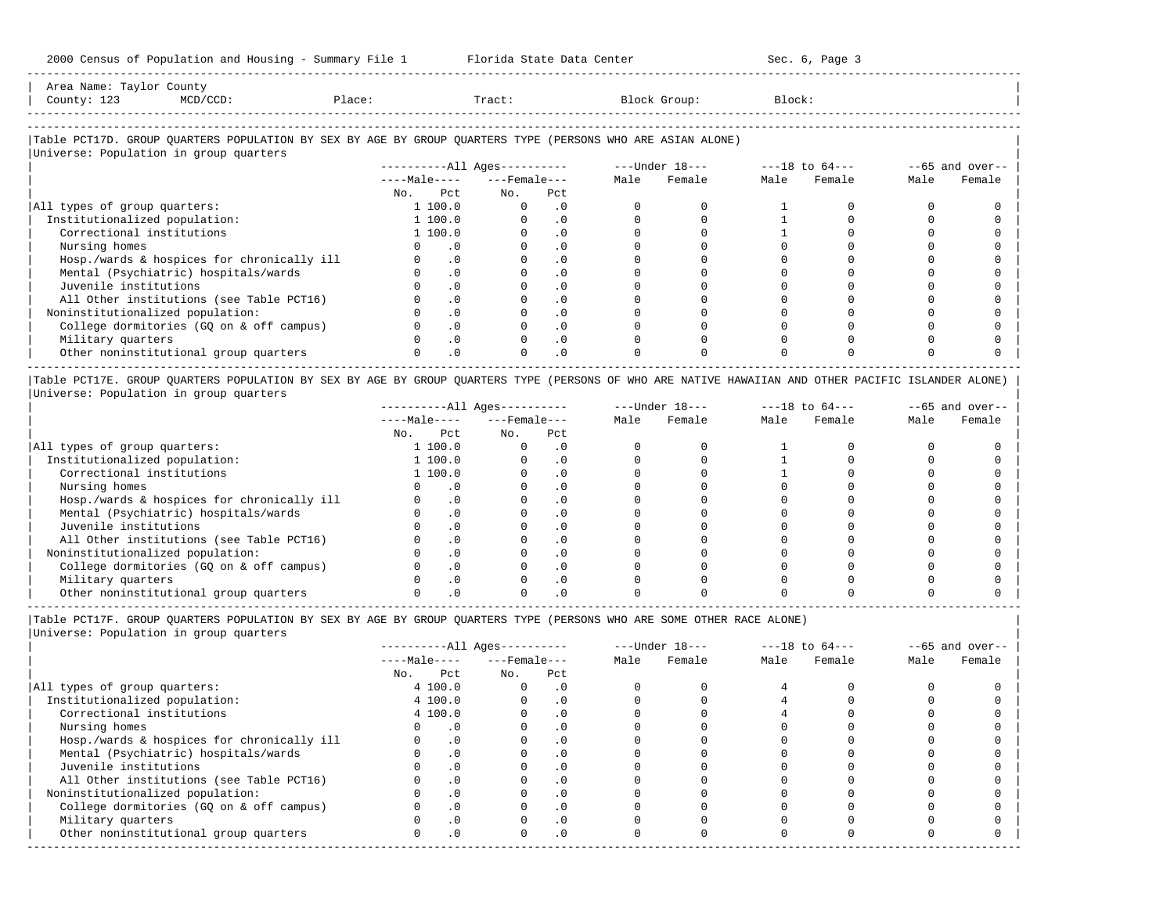-----------------------------------------------------------------------------------------------------------------------------------------------------

| Area<br>Name<br>. . | Count,                                                                                                          |       |       |        |        |
|---------------------|-----------------------------------------------------------------------------------------------------------------|-------|-------|--------|--------|
| Count,<br>ر ہے ہ    | the contract of the contract of the contract of the contract of the contract of the contract of the contract of | 101.5 | Tract | … ∪up∴ | Block' |
|                     |                                                                                                                 |       |       |        |        |

-----------------------------------------------------------------------------------------------------------------------------------------------------

# |Table PCT17D. GROUP QUARTERS POPULATION BY SEX BY AGE BY GROUP QUARTERS TYPE (PERSONS WHO ARE ASIAN ALONE) |

| Universe: Population in group quarters     |     |              |                        |                  |      |                |      |                    |      |                   |
|--------------------------------------------|-----|--------------|------------------------|------------------|------|----------------|------|--------------------|------|-------------------|
|                                            |     |              | $------All Ages------$ |                  | Male | ---Under 18--- |      | $---18$ to $64---$ |      | $--65$ and over-- |
|                                            |     | $---Male---$ |                        | $---$ Female --- |      | Female         | Male | Female             | Male | Female            |
|                                            | No. | Pct          | No.                    | Pct              |      |                |      |                    |      |                   |
| All types of group quarters:               |     | 1 100.0      |                        | $\cdot$ 0        |      |                |      |                    |      |                   |
| Institutionalized population:              |     | 1 100.0      |                        | . 0              |      |                |      |                    |      |                   |
| Correctional institutions                  |     | 1 100.0      |                        | $\cdot$ 0        |      |                |      |                    |      |                   |
| Nursing homes                              |     | $\cdot$ 0    |                        | $\cdot$ 0        |      |                |      |                    |      |                   |
| Hosp./wards & hospices for chronically ill |     | $\cdot$ 0    |                        | $\cdot$ 0        |      |                |      |                    |      |                   |
| Mental (Psychiatric) hospitals/wards       |     | $\cdot$ 0    |                        | . 0              |      |                |      |                    |      |                   |
| Juvenile institutions                      |     | $\cdot$ 0    |                        | $\cdot$ 0        |      |                |      |                    |      |                   |
| All Other institutions (see Table PCT16)   |     | $\cdot$ 0    |                        |                  |      |                |      |                    |      |                   |
| Noninstitutionalized population:           |     | $\cdot$ 0    |                        | $\cdot$ 0        |      |                |      |                    |      |                   |
| College dormitories (GO on & off campus)   |     | $\cdot$ 0    |                        |                  |      |                |      |                    |      |                   |
| Military quarters                          |     | $\cdot$ 0    |                        | $\cdot$ 0        |      |                |      |                    |      |                   |
| Other noninstitutional group quarters      |     | $\cdot$ 0    |                        | $\cdot$ 0        |      |                |      |                    |      |                   |

|Table PCT17E. GROUP QUARTERS POPULATION BY SEX BY AGE BY GROUP QUARTERS TYPE (PERSONS OF WHO ARE NATIVE HAWAIIAN AND OTHER PACIFIC ISLANDER ALONE) | |Universe: Population in group quarters |

|                                            |              |           | $------All Ages------$ |           |      | $---Under 18---$ | $---18$ to $64---$ |        | $--65$ and over-- |        |
|--------------------------------------------|--------------|-----------|------------------------|-----------|------|------------------|--------------------|--------|-------------------|--------|
|                                            | $---Male---$ |           | $---$ Female $---$     |           | Male | Female           | Male               | Female | Male              | Female |
|                                            | No.          | Pct       | No.                    | Pct       |      |                  |                    |        |                   |        |
| All types of group quarters:               |              | 1 100.0   |                        | . 0       |      |                  |                    |        |                   |        |
| Institutionalized population:              |              | 1 100.0   |                        | . 0       |      |                  |                    |        |                   |        |
| Correctional institutions                  |              | 1 100.0   |                        | . 0       |      |                  |                    |        |                   |        |
| Nursing homes                              |              |           |                        | . 0       |      |                  |                    |        |                   |        |
| Hosp./wards & hospices for chronically ill |              | $\cdot$ 0 |                        | $\cdot$ 0 |      |                  |                    |        |                   |        |
| Mental (Psychiatric) hospitals/wards       |              |           |                        | . 0       |      |                  |                    |        |                   |        |
| Juvenile institutions                      |              | $\Omega$  |                        | . 0       |      |                  |                    |        |                   |        |
| All Other institutions (see Table PCT16)   |              |           |                        |           |      |                  |                    |        |                   |        |
| Noninstitutionalized population:           |              |           |                        |           |      |                  |                    |        |                   |        |
| College dormitories (GO on & off campus)   |              |           |                        |           |      |                  |                    |        |                   |        |
| Military quarters                          |              |           |                        |           |      |                  |                    |        |                   |        |
| Other noninstitutional group quarters      |              |           |                        |           |      |                  |                    |        |                   |        |

-----------------------------------------------------------------------------------------------------------------------------------------------------

|Table PCT17F. GROUP QUARTERS POPULATION BY SEX BY AGE BY GROUP QUARTERS TYPE (PERSONS WHO ARE SOME OTHER RACE ALONE) |

|                                            |              |           | ----------All Ages---------- |           |      | $---Under 18---$ | $---18$ to $64---$ |        |      | $--65$ and over-- |
|--------------------------------------------|--------------|-----------|------------------------------|-----------|------|------------------|--------------------|--------|------|-------------------|
|                                            | $---Male---$ |           | $---$ Female $---$           |           | Male | Female           | Male               | Female | Male | Female            |
|                                            | No.          | Pct       | No.                          | Pct       |      |                  |                    |        |      |                   |
| All types of group quarters:               |              | 4 100.0   | 0                            | $\cdot$ 0 |      |                  |                    |        |      |                   |
| Institutionalized population:              |              | 4 100.0   |                              | $\cdot$ 0 |      |                  |                    |        |      |                   |
| Correctional institutions                  |              | 4 100.0   |                              | $\cdot$ 0 |      |                  |                    |        |      |                   |
| Nursing homes                              |              | $\cdot$ 0 |                              | .0        |      |                  |                    |        |      |                   |
| Hosp./wards & hospices for chronically ill |              | $\cdot$ 0 |                              | $\cdot$ 0 |      |                  |                    |        |      |                   |
| Mental (Psychiatric) hospitals/wards       |              | $\cdot$ 0 |                              |           |      |                  |                    |        |      |                   |
| Juvenile institutions                      |              | $\cdot$ 0 |                              | $\cdot$ 0 |      |                  |                    |        |      |                   |
| All Other institutions (see Table PCT16)   |              | $\cdot$ 0 |                              |           |      |                  |                    |        |      |                   |
| Noninstitutionalized population:           |              | $\cdot$ 0 |                              | $\cdot$ 0 |      |                  |                    |        |      |                   |
| College dormitories (GQ on & off campus)   |              | .0        |                              |           |      |                  |                    |        |      |                   |
| Military quarters                          |              | $\cdot$ 0 |                              | . 0       |      |                  |                    |        |      |                   |
| Other noninstitutional group quarters      |              | $\cdot$ 0 | O.                           | $\cdot$ 0 |      |                  |                    |        |      |                   |
|                                            |              |           |                              |           |      |                  |                    |        |      |                   |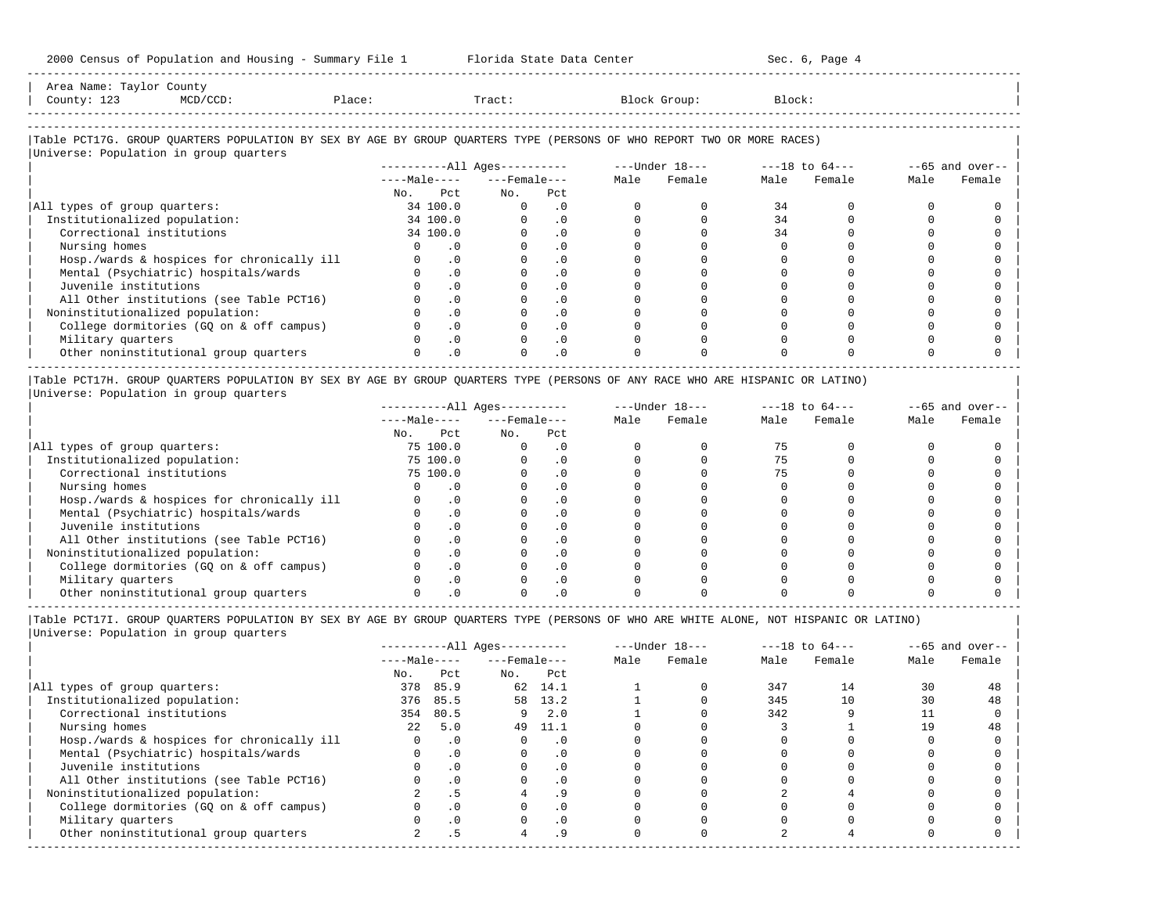-----------------------------------------------------------------------------------------------------------------------------------------------------

| Area Name: Taylor County<br>County: 123 | MCD/CCD:                               | Place:                                                                                                                 |     | Tract:                          | Block Group:   | Block:         |                   |
|-----------------------------------------|----------------------------------------|------------------------------------------------------------------------------------------------------------------------|-----|---------------------------------|----------------|----------------|-------------------|
|                                         |                                        |                                                                                                                        |     |                                 |                |                |                   |
|                                         | Universe: Population in group quarters | Table PCT17G. GROUP QUARTERS POPULATION BY SEX BY AGE BY GROUP QUARTERS TYPE (PERSONS OF WHO REPORT TWO OR MORE RACES) |     |                                 |                |                |                   |
|                                         |                                        |                                                                                                                        |     | ----------All Ages----------    | ---Under 18--- | ---18 to 64--- | $--65$ and over-- |
|                                         |                                        |                                                                                                                        |     | $---Ma$ $e-- -- -- Fema$ $e---$ | Female<br>Male | Male Female    | Female<br>Male    |
|                                         |                                        | No.                                                                                                                    | Pct | Pct<br>No.                      |                |                |                   |

-----------------------------------------------------------------------------------------------------------------------------------------------------

| All types of group quarters:               | 34 100.0 |  |  |  |  |
|--------------------------------------------|----------|--|--|--|--|
| Institutionalized population:              | 34 100.0 |  |  |  |  |
| Correctional institutions                  | 34 100.0 |  |  |  |  |
| Nursing homes                              |          |  |  |  |  |
| Hosp./wards & hospices for chronically ill |          |  |  |  |  |
| Mental (Psychiatric) hospitals/wards       |          |  |  |  |  |
| Juvenile institutions                      |          |  |  |  |  |
| All Other institutions (see Table PCT16)   |          |  |  |  |  |
| Noninstitutionalized population:           |          |  |  |  |  |
| College dormitories (GQ on & off campus)   |          |  |  |  |  |
| Military quarters                          |          |  |  |  |  |
| Other noninstitutional group quarters      |          |  |  |  |  |

|Table PCT17H. GROUP QUARTERS POPULATION BY SEX BY AGE BY GROUP QUARTERS TYPE (PERSONS OF ANY RACE WHO ARE HISPANIC OR LATINO) | |Universe: Population in group quarters |

|                                            |     |              | $------All Aqes------$ |           |      | $---Under 18---$ | $---18$ to $64---$ |        | $--65$ and over-- |        |
|--------------------------------------------|-----|--------------|------------------------|-----------|------|------------------|--------------------|--------|-------------------|--------|
|                                            |     | $---Male---$ | $---$ Female $---$     |           | Male | Female           | Male               | Female | Male              | Female |
|                                            | No. | Pct          | No.                    | Pct       |      |                  |                    |        |                   |        |
| All types of group quarters:               |     | 75 100.0     |                        | . 0       |      |                  |                    |        |                   |        |
| Institutionalized population:              |     | 75 100.0     |                        | . 0       |      |                  |                    |        |                   |        |
| Correctional institutions                  |     | 75 100.0     |                        | . 0       |      |                  |                    |        |                   |        |
| Nursing homes                              |     |              |                        |           |      |                  |                    |        |                   |        |
| Hosp./wards & hospices for chronically ill |     |              |                        | . 0       |      |                  |                    |        |                   |        |
| Mental (Psychiatric) hospitals/wards       |     |              |                        | . 0       |      |                  |                    |        |                   |        |
| Juvenile institutions                      |     |              |                        | . 0       |      |                  |                    |        |                   |        |
| All Other institutions (see Table PCT16)   |     |              |                        | $\Omega$  |      |                  |                    |        |                   |        |
| Noninstitutionalized population:           |     |              |                        | . 0       |      |                  |                    |        |                   |        |
| College dormitories (GO on & off campus)   |     |              |                        | $\cdot$ 0 |      |                  |                    |        |                   |        |
| Military quarters                          |     |              |                        | $\Omega$  |      |                  |                    |        |                   |        |
| Other noninstitutional group quarters      |     |              |                        |           |      |                  |                    |        |                   |        |

|Table PCT17I. GROUP QUARTERS POPULATION BY SEX BY AGE BY GROUP QUARTERS TYPE (PERSONS OF WHO ARE WHITE ALONE, NOT HISPANIC OR LATINO) |

|                                            |                  |           | ----------All Ages---------- |           |      | $---Under 18---$ |      | $---18$ to $64---$ |      | $--65$ and over-- |
|--------------------------------------------|------------------|-----------|------------------------------|-----------|------|------------------|------|--------------------|------|-------------------|
|                                            | $---Male---$     |           | $---$ Female $---$           |           | Male | Female           | Male | Female             | Male | Female            |
|                                            | No.              | Pct       | No.                          | Pct       |      |                  |      |                    |      |                   |
| All types of group quarters:               | 378              | 85.9      |                              | 62 14.1   |      |                  | 347  | 14                 | 30   | 48                |
| Institutionalized population:              | 376              | 85.5      | 58                           | 13.2      |      |                  | 345  | 10                 | 30   | 48                |
| Correctional institutions                  | 354              | 80.5      |                              | 2.0       |      |                  | 342  |                    |      |                   |
| Nursing homes                              | 2.2 <sub>1</sub> | 5.0       | 49                           | 11.1      |      |                  |      |                    | 19   | 48                |
| Hosp./wards & hospices for chronically ill |                  | . 0       |                              | . 0       |      |                  |      |                    |      |                   |
| Mental (Psychiatric) hospitals/wards       |                  | $\cdot$ 0 |                              | . 0       |      |                  |      |                    |      |                   |
| Juvenile institutions                      |                  | $\cdot$ 0 |                              | . 0       |      |                  |      |                    |      |                   |
| All Other institutions (see Table PCT16)   |                  | $\cdot$ 0 |                              | $\cdot$ 0 |      |                  |      |                    |      |                   |
| Noninstitutionalized population:           |                  | . 5       |                              | . 9       |      |                  |      |                    |      |                   |
| College dormitories (GQ on & off campus)   |                  |           |                              | $\cdot$ 0 |      |                  |      |                    |      |                   |
| Military quarters                          |                  | $\cdot$ 0 |                              | $\cdot$ 0 |      |                  |      |                    |      |                   |
| Other noninstitutional group quarters      |                  |           |                              | . 9       |      |                  |      |                    |      |                   |
|                                            |                  |           |                              |           |      |                  |      |                    |      |                   |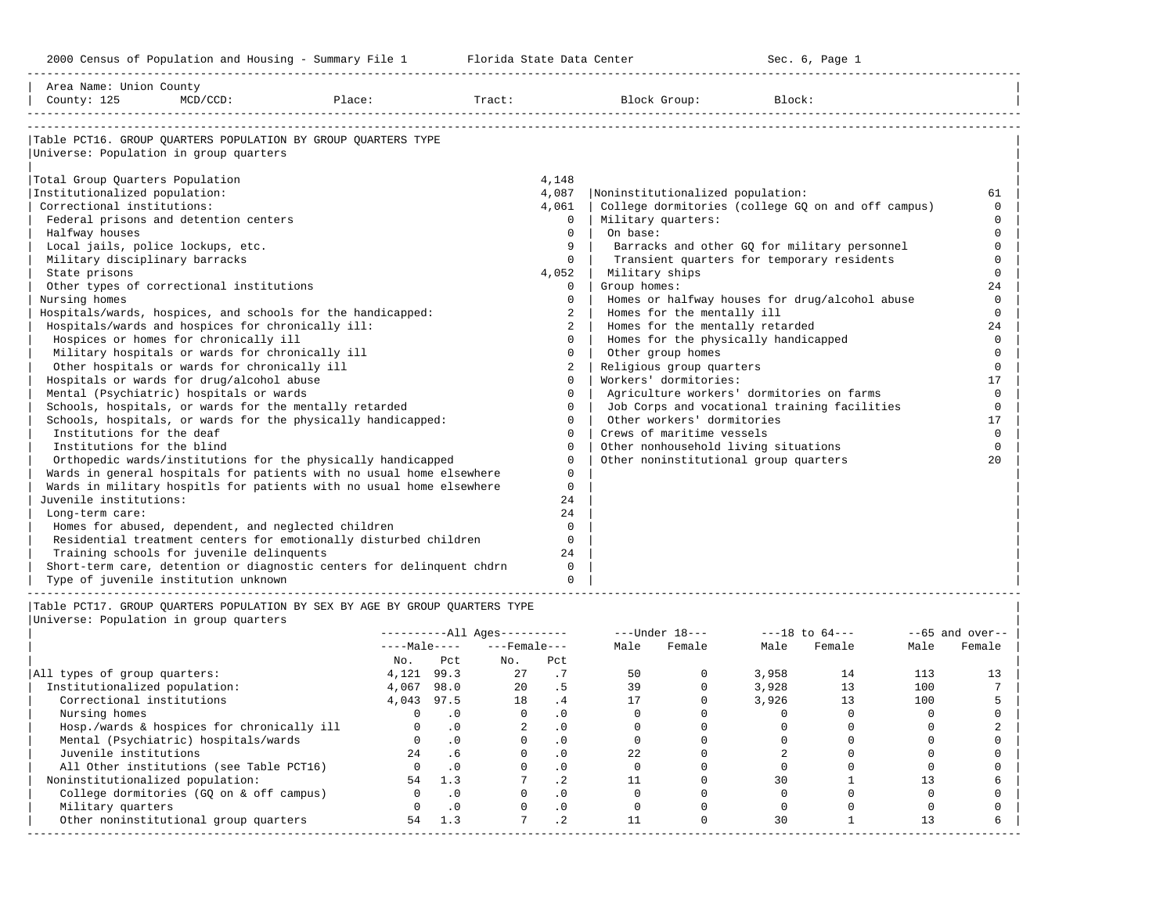-----------------------------------------------------------------------------------------------------------------------------------------------------

| Noninstitutionalized population:<br>College dormitories (college GQ on and off campus)<br>Military quarters:<br>On base:<br>Barracks and other GQ for military personnel<br>Transient quarters for temporary residents<br>Military ships<br>Group homes:<br>Homes or halfway houses for drug/alcohol abuse<br>Homes for the mentally ill<br>Homes for the mentally retarded<br>Homes for the physically handicapped<br>Other group homes<br>Religious group quarters | 61<br>$\Omega$<br>$\cap$<br>$\Omega$<br>$\Omega$<br>$\Omega$<br>$\Omega$<br>24<br>$\Omega$<br>$\Omega$<br>24<br>$\Omega$ |
|----------------------------------------------------------------------------------------------------------------------------------------------------------------------------------------------------------------------------------------------------------------------------------------------------------------------------------------------------------------------------------------------------------------------------------------------------------------------|--------------------------------------------------------------------------------------------------------------------------|
|                                                                                                                                                                                                                                                                                                                                                                                                                                                                      |                                                                                                                          |
|                                                                                                                                                                                                                                                                                                                                                                                                                                                                      |                                                                                                                          |
|                                                                                                                                                                                                                                                                                                                                                                                                                                                                      |                                                                                                                          |
|                                                                                                                                                                                                                                                                                                                                                                                                                                                                      |                                                                                                                          |
|                                                                                                                                                                                                                                                                                                                                                                                                                                                                      |                                                                                                                          |
|                                                                                                                                                                                                                                                                                                                                                                                                                                                                      |                                                                                                                          |
|                                                                                                                                                                                                                                                                                                                                                                                                                                                                      |                                                                                                                          |
|                                                                                                                                                                                                                                                                                                                                                                                                                                                                      |                                                                                                                          |
|                                                                                                                                                                                                                                                                                                                                                                                                                                                                      |                                                                                                                          |
|                                                                                                                                                                                                                                                                                                                                                                                                                                                                      |                                                                                                                          |
|                                                                                                                                                                                                                                                                                                                                                                                                                                                                      |                                                                                                                          |
|                                                                                                                                                                                                                                                                                                                                                                                                                                                                      |                                                                                                                          |
|                                                                                                                                                                                                                                                                                                                                                                                                                                                                      |                                                                                                                          |
|                                                                                                                                                                                                                                                                                                                                                                                                                                                                      |                                                                                                                          |
|                                                                                                                                                                                                                                                                                                                                                                                                                                                                      |                                                                                                                          |
|                                                                                                                                                                                                                                                                                                                                                                                                                                                                      |                                                                                                                          |
|                                                                                                                                                                                                                                                                                                                                                                                                                                                                      | $\Omega$                                                                                                                 |
|                                                                                                                                                                                                                                                                                                                                                                                                                                                                      | $\Omega$                                                                                                                 |
| Workers' dormitories:                                                                                                                                                                                                                                                                                                                                                                                                                                                | 17                                                                                                                       |
| Agriculture workers' dormitories on farms                                                                                                                                                                                                                                                                                                                                                                                                                            | $\Omega$                                                                                                                 |
| Job Corps and vocational training facilities                                                                                                                                                                                                                                                                                                                                                                                                                         | $\Omega$                                                                                                                 |
| Other workers' dormitories                                                                                                                                                                                                                                                                                                                                                                                                                                           | 17                                                                                                                       |
| Crews of maritime vessels                                                                                                                                                                                                                                                                                                                                                                                                                                            | $\Omega$                                                                                                                 |
| Other nonhousehold living situations                                                                                                                                                                                                                                                                                                                                                                                                                                 | $\Omega$                                                                                                                 |
| Other noninstitutional group quarters                                                                                                                                                                                                                                                                                                                                                                                                                                | 20                                                                                                                       |
|                                                                                                                                                                                                                                                                                                                                                                                                                                                                      |                                                                                                                          |
|                                                                                                                                                                                                                                                                                                                                                                                                                                                                      |                                                                                                                          |
|                                                                                                                                                                                                                                                                                                                                                                                                                                                                      |                                                                                                                          |
|                                                                                                                                                                                                                                                                                                                                                                                                                                                                      |                                                                                                                          |
|                                                                                                                                                                                                                                                                                                                                                                                                                                                                      |                                                                                                                          |
|                                                                                                                                                                                                                                                                                                                                                                                                                                                                      |                                                                                                                          |
|                                                                                                                                                                                                                                                                                                                                                                                                                                                                      |                                                                                                                          |
|                                                                                                                                                                                                                                                                                                                                                                                                                                                                      |                                                                                                                          |
|                                                                                                                                                                                                                                                                                                                                                                                                                                                                      |                                                                                                                          |
|                                                                                                                                                                                                                                                                                                                                                                                                                                                                      |                                                                                                                          |

|       |           |                      |           |                                              | $---Under 18---$ |       | $---18$ to $64---$ |      | $--65$ and over-- |
|-------|-----------|----------------------|-----------|----------------------------------------------|------------------|-------|--------------------|------|-------------------|
|       |           |                      |           | Male                                         | Female           | Male  | Female             | Male | Female            |
| No.   | Pct       | No.                  | Pct       |                                              |                  |       |                    |      |                   |
| 4,121 | 99.3      | 27                   |           | 50                                           |                  | 3,958 | 14                 | 113  | 13                |
| 4,067 | 98.0      | $20^{\circ}$         | . 5       | 39                                           |                  | 3,928 |                    | 100  |                   |
| 4,043 |           | 18                   | . 4       |                                              |                  | 3,926 | 13                 | 100  |                   |
|       |           |                      | . 0       |                                              |                  |       |                    |      |                   |
|       | .0        |                      | $\cdot$ 0 |                                              |                  |       |                    |      |                   |
|       | $\cdot$ 0 |                      | $\cdot$ 0 |                                              |                  |       |                    |      |                   |
| 2.4   | .6        |                      | $\cdot$ 0 | 22                                           |                  |       |                    |      |                   |
|       | .0        |                      | . 0       |                                              |                  |       |                    |      |                   |
| 54    | 1.3       |                      | $\cdot$ 2 |                                              |                  | 30    |                    |      |                   |
|       |           |                      | $\cdot$ 0 |                                              |                  |       |                    |      |                   |
|       |           |                      | $\cdot$ 0 |                                              |                  |       |                    |      |                   |
| 54    | 1.3       |                      | $\cdot$ 2 |                                              |                  | 30    |                    |      |                   |
|       |           | $---Male---$<br>97.5 |           | $------All Ages------$<br>$---$ Female $---$ |                  |       |                    |      |                   |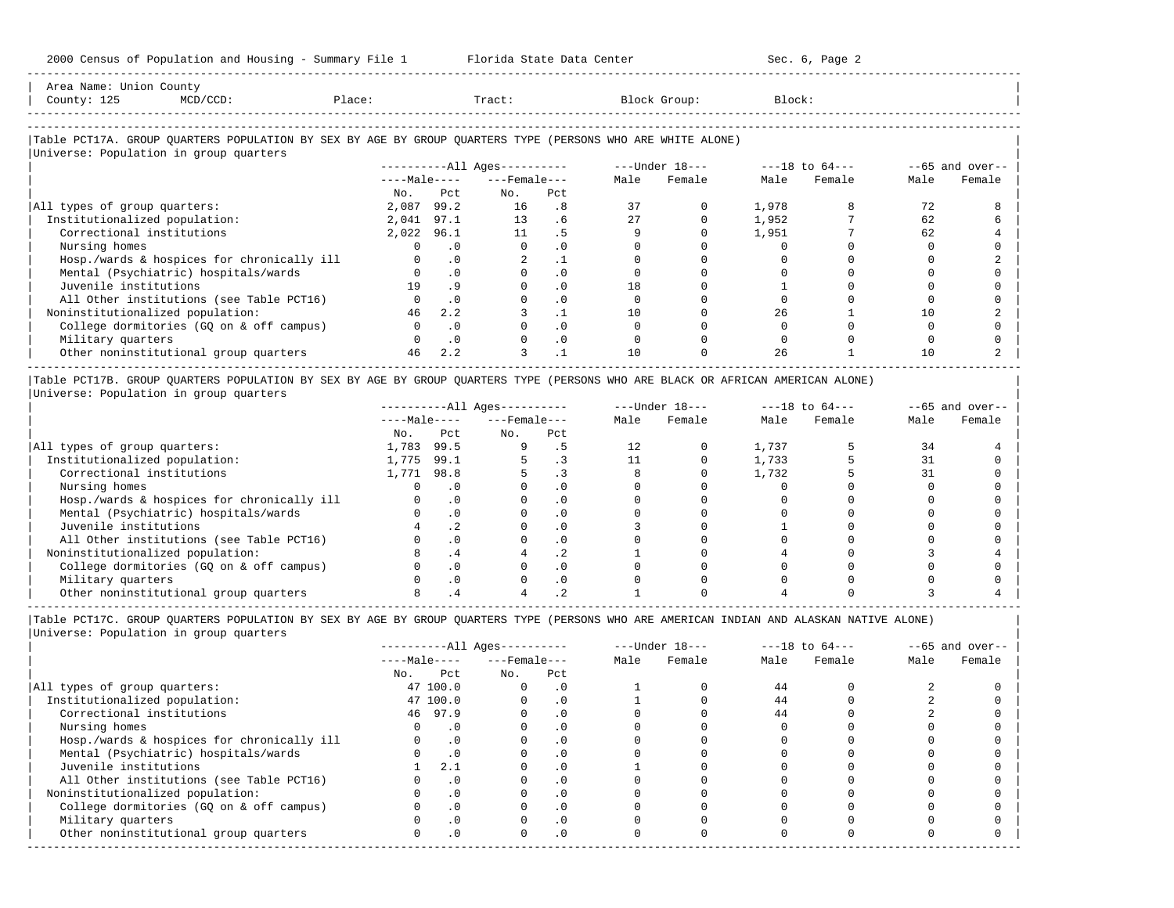| Area Name: Union County<br>County: 125<br>$MCD/CCD$ :                                                                                                | Place:     |           | Tract:                       |           |    | Block Group:   | Block:             |        |      |                   |
|------------------------------------------------------------------------------------------------------------------------------------------------------|------------|-----------|------------------------------|-----------|----|----------------|--------------------|--------|------|-------------------|
| Table PCT17A. GROUP OUARTERS POPULATION BY SEX BY AGE BY GROUP OUARTERS TYPE (PERSONS WHO ARE WHITE ALONE)<br>Universe: Population in group quarters |            |           |                              |           |    |                |                    |        |      |                   |
|                                                                                                                                                      |            |           | ----------All Ages---------- |           |    | ---Under 18--- | $---18$ to $64---$ |        |      | $--65$ and over-- |
|                                                                                                                                                      |            |           | $---Male-- ---Female---$     |           |    | Male Female    | Male               | Female | Male | Female            |
|                                                                                                                                                      | No.        | Pct.      | No.                          | Pct       |    |                |                    |        |      |                   |
| All types of group quarters:                                                                                                                         | 2,087      | 99.2      | 16                           | .8        | 37 |                | 1,978              |        | 72   |                   |
| Institutionalized population:                                                                                                                        | 2,041      | 97.1      | 13 <sup>7</sup>              | .6        | 27 |                | 1,952              |        | 62   |                   |
| Correctional institutions                                                                                                                            | 2,022 96.1 |           | 11                           | . 5       |    |                | 1,951              |        | 62   |                   |
| Nursing homes                                                                                                                                        |            | $\cdot$ 0 |                              | $\cdot$ 0 |    |                |                    |        |      |                   |
| Hosp./wards & hospices for chronically ill                                                                                                           |            | $\cdot$ 0 |                              | $\cdot$ 1 |    |                |                    |        |      |                   |
| Mental (Psychiatric) hospitals/wards                                                                                                                 |            | $\cdot$ 0 |                              | $\cdot$ 0 |    |                |                    |        |      |                   |
| Juvenile institutions                                                                                                                                | 19         | .9        |                              | $\cdot$ 0 | 18 |                |                    |        |      |                   |
| All Other institutions (see Table PCT16)                                                                                                             |            | $\cdot$ 0 |                              | $\cdot$ 0 |    |                |                    |        |      |                   |
| Noninstitutionalized population:                                                                                                                     | 46         | 2.2       |                              | $\cdot$ 1 | 10 |                | 26                 |        | 10   |                   |
| College dormitories (GQ on & off campus)                                                                                                             | 0          | $\cdot$ 0 |                              | .0        |    |                |                    |        |      |                   |

|Table PCT17B. GROUP QUARTERS POPULATION BY SEX BY AGE BY GROUP QUARTERS TYPE (PERSONS WHO ARE BLACK OR AFRICAN AMERICAN ALONE) | |Universe: Population in group quarters |

|                                            |              | $------All Ages------$ |                    |                          |      | $---Under 18---$ | $---18$ to $64---$ |        | $--65$ and over-- |        |
|--------------------------------------------|--------------|------------------------|--------------------|--------------------------|------|------------------|--------------------|--------|-------------------|--------|
|                                            | $---Male---$ |                        | $---$ Female $---$ |                          | Male | Female           | Male               | Female | Male              | Female |
|                                            | No.          | Pct                    | No.                | Pct                      |      |                  |                    |        |                   |        |
| All types of group quarters:               | 1,783        | 99.5                   |                    |                          | 12   |                  | 1,737              |        | 34                |        |
| Institutionalized population:              | 1,775        | 99.1                   |                    |                          |      |                  | 1,733              |        |                   |        |
| Correctional institutions                  | 1,771        | 98.8                   |                    |                          |      |                  | 1,732              |        |                   |        |
| Nursing homes                              |              |                        |                    | . 0                      |      |                  |                    |        |                   |        |
| Hosp./wards & hospices for chronically ill |              |                        |                    | . 0                      |      |                  |                    |        |                   |        |
| Mental (Psychiatric) hospitals/wards       |              |                        |                    | . 0                      |      |                  |                    |        |                   |        |
| Juvenile institutions                      |              | . .                    |                    | . 0                      |      |                  |                    |        |                   |        |
| All Other institutions (see Table PCT16)   |              |                        |                    | $\cdot$ 0                |      |                  |                    |        |                   |        |
| Noninstitutionalized population:           |              | . 4                    |                    | $\overline{\phantom{a}}$ |      |                  |                    |        |                   |        |
| College dormitories (GQ on & off campus)   |              |                        |                    | $\cdot$ 0                |      |                  |                    |        |                   |        |
| Military quarters                          |              | .0                     |                    | . 0                      |      |                  |                    |        |                   |        |
| Other noninstitutional group quarters      |              |                        |                    |                          |      |                  |                    |        |                   |        |

| Military quarters 0 .0 0 .0 0 0 0 0 0 0 | 0ther noninstitutional group quarters <br>  $\begin{array}{cccccccc} 46 & 2.2 & 3 & .1 & 10 & 0 & 26 & 1 & 10 & 2 \end{array}$ 

----------------------------------------------------------------------------------------------------------------------------------------------------- |Table PCT17C. GROUP QUARTERS POPULATION BY SEX BY AGE BY GROUP QUARTERS TYPE (PERSONS WHO ARE AMERICAN INDIAN AND ALASKAN NATIVE ALONE) | |Universe: Population in group quarters |

|                                            |     |              | $------All Aqes------$ |           |      | $---Under 18---$ |      | $---18$ to $64---$ |      | $--65$ and over-- |
|--------------------------------------------|-----|--------------|------------------------|-----------|------|------------------|------|--------------------|------|-------------------|
|                                            |     | $---Male---$ | $---$ Female ---       |           | Male | Female           | Male | Female             | Male | Female            |
|                                            | No. | Pct          | No.                    | Pct       |      |                  |      |                    |      |                   |
| All types of group quarters:               |     | 47 100.0     |                        | $\cdot$ 0 |      |                  | 44   |                    |      |                   |
| Institutionalized population:              |     | 47 100.0     |                        | $\cdot$ 0 |      |                  | 44   |                    |      |                   |
| Correctional institutions                  |     | 46 97.9      |                        | . 0       |      |                  | 44   |                    |      |                   |
| Nursing homes                              |     |              |                        | . 0       |      |                  |      |                    |      |                   |
| Hosp./wards & hospices for chronically ill |     |              |                        | . 0       |      |                  |      |                    |      |                   |
| Mental (Psychiatric) hospitals/wards       |     | $\cdot$ 0    |                        | . 0       |      |                  |      |                    |      |                   |
| Juvenile institutions                      |     | 2.1          |                        | $\cdot$ 0 |      |                  |      |                    |      |                   |
| All Other institutions (see Table PCT16)   |     |              |                        | . 0       |      |                  |      |                    |      |                   |
| Noninstitutionalized population:           |     | $\Omega$ .   |                        | $\cdot$ 0 |      |                  |      |                    |      |                   |
| College dormitories (GQ on & off campus)   |     |              |                        | $\cdot$ 0 |      |                  |      |                    |      |                   |
| Military quarters                          |     |              |                        | . 0       |      |                  |      |                    |      |                   |
| Other noninstitutional group quarters      |     | .0           | <sup>n</sup>           | $\cdot$ 0 |      |                  |      |                    |      |                   |
|                                            |     |              |                        |           |      |                  |      |                    |      |                   |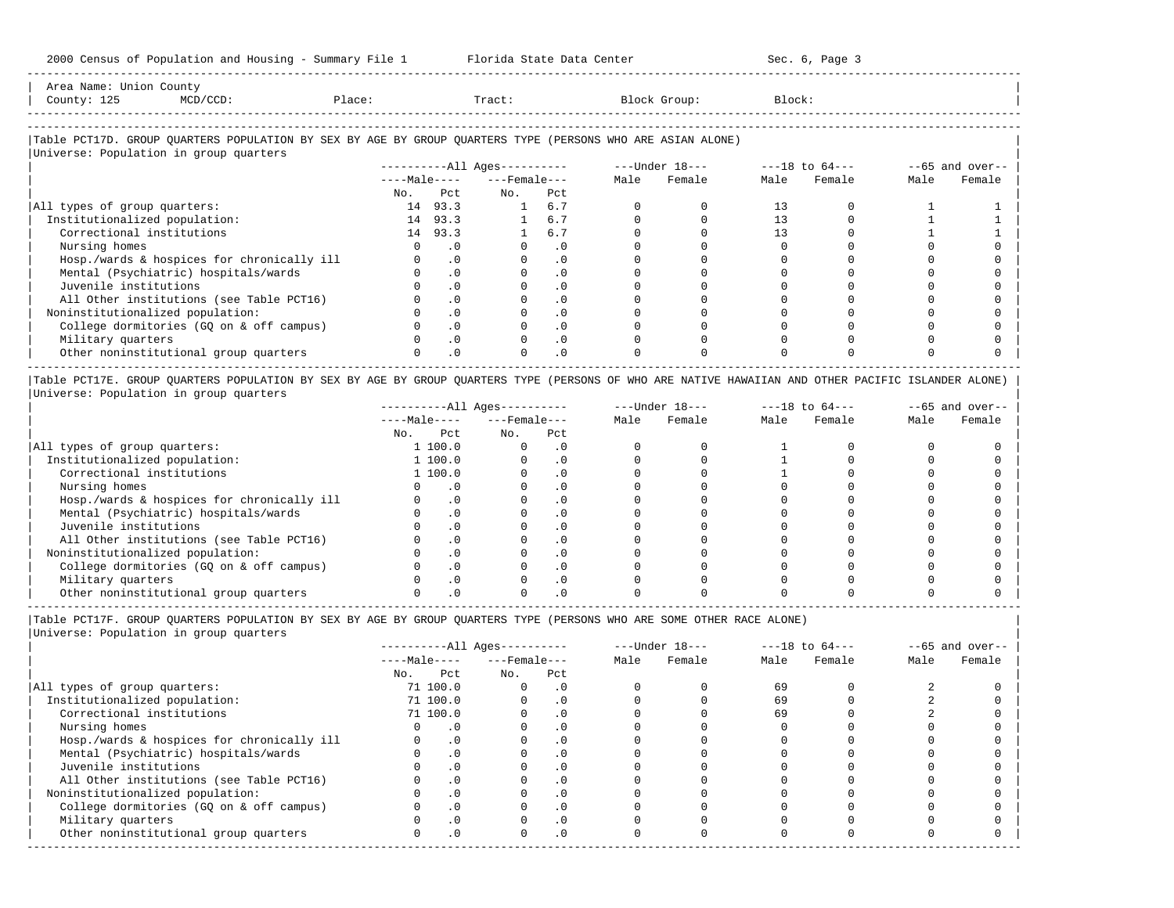| Area<br>Name          | counc                                                                                                           |       |       |         |        |
|-----------------------|-----------------------------------------------------------------------------------------------------------------|-------|-------|---------|--------|
| Count,<br><b>سمـد</b> | the contract of the contract of the contract of the contract of the contract of the contract of the contract of | 101.5 | Tract | ar o mn | Block. |
|                       |                                                                                                                 |       |       |         |        |

-----------------------------------------------------------------------------------------------------------------------------------------------------

-----------------------------------------------------------------------------------------------------------------------------------------------------

## |Table PCT17D. GROUP QUARTERS POPULATION BY SEX BY AGE BY GROUP QUARTERS TYPE (PERSONS WHO ARE ASIAN ALONE) |

|                                            |              |            | $------All Aqes------$ |           | ---Under 18--- |        | $---18$ to $64---$ |        | $--65$ and over-- |        |
|--------------------------------------------|--------------|------------|------------------------|-----------|----------------|--------|--------------------|--------|-------------------|--------|
|                                            | $---Male---$ |            | $---$ Female $---$     |           | Male           | Female | Male               | Female | Male              | Female |
|                                            | No.          | Pct        | No.                    | Pct       |                |        |                    |        |                   |        |
| All types of group quarters:               | 14           | 93.3       | $\mathbf{1}$           | 6.7       |                |        | 13                 |        |                   |        |
| Institutionalized population:              | 14           | 93.3       |                        | 6.7       |                |        |                    |        |                   |        |
| Correctional institutions                  | 14           | 93.3       |                        | 6.7       |                |        |                    |        |                   |        |
| Nursing homes                              |              | . 0        |                        | . 0       |                |        |                    |        |                   |        |
| Hosp./wards & hospices for chronically ill |              | .0         |                        | $\cdot$ 0 |                |        |                    |        |                   |        |
| Mental (Psychiatric) hospitals/wards       |              | .0         |                        | $\cdot$ 0 |                |        |                    |        |                   |        |
| Juvenile institutions                      |              |            |                        | $\cdot$ 0 |                |        |                    |        |                   |        |
| All Other institutions (see Table PCT16)   |              | .0         |                        | $\cdot$ 0 |                |        |                    |        |                   |        |
| Noninstitutionalized population:           |              | $.0 \cdot$ |                        | $\cdot$ 0 |                |        |                    |        |                   |        |
| College dormitories (GO on & off campus)   |              | $\cdot$ 0  |                        | $\cdot$ 0 |                |        |                    |        |                   |        |
| Military quarters                          |              | $\Omega$ . |                        | $\cdot$ 0 |                |        |                    |        |                   |        |
| Other noninstitutional group quarters      |              | .0         |                        | $\cdot$ 0 |                |        |                    |        |                   |        |

|Table PCT17E. GROUP QUARTERS POPULATION BY SEX BY AGE BY GROUP QUARTERS TYPE (PERSONS OF WHO ARE NATIVE HAWAIIAN AND OTHER PACIFIC ISLANDER ALONE) | |Universe: Population in group quarters |

|                                            |              |         | $------All Aqes------$ |            |      | $---Under 18---$ | $---18$ to $64---$ |        | $--65$ and over-- |        |
|--------------------------------------------|--------------|---------|------------------------|------------|------|------------------|--------------------|--------|-------------------|--------|
|                                            | $---Male---$ |         | $---$ Female $---$     |            | Male | Female           | Male               | Female | Male              | Female |
|                                            | No.          | Pct     | No.                    | Pct        |      |                  |                    |        |                   |        |
| All types of group quarters:               |              | 1 100.0 |                        | . 0        |      |                  |                    |        |                   |        |
| Institutionalized population:              |              | 1 100.0 |                        |            |      |                  |                    |        |                   |        |
| Correctional institutions                  |              | 1 100.0 |                        | . 0        |      |                  |                    |        |                   |        |
| Nursing homes                              |              |         |                        |            |      |                  |                    |        |                   |        |
| Hosp./wards & hospices for chronically ill |              |         |                        | . 0        |      |                  |                    |        |                   |        |
| Mental (Psychiatric) hospitals/wards       |              |         |                        | . 0        |      |                  |                    |        |                   |        |
| Juvenile institutions                      |              |         |                        | . 0        |      |                  |                    |        |                   |        |
| All Other institutions (see Table PCT16)   |              |         |                        | $\Omega$   |      |                  |                    |        |                   |        |
| Noninstitutionalized population:           |              |         |                        | . 0        |      |                  |                    |        |                   |        |
| College dormitories (GO on & off campus)   |              |         |                        | $\Omega$ . |      |                  |                    |        |                   |        |
| Military quarters                          |              |         |                        | $\Omega$   |      |                  |                    |        |                   |        |
| Other noninstitutional group quarters      |              |         |                        |            |      |                  |                    |        |                   |        |

-----------------------------------------------------------------------------------------------------------------------------------------------------

|Table PCT17F. GROUP QUARTERS POPULATION BY SEX BY AGE BY GROUP QUARTERS TYPE (PERSONS WHO ARE SOME OTHER RACE ALONE) |

|                                            |     |              | $------All Ages------$ |            |      | $---Under 18---$ |      | $---18$ to $64---$ |      | $--65$ and over-- |
|--------------------------------------------|-----|--------------|------------------------|------------|------|------------------|------|--------------------|------|-------------------|
|                                            |     | $---Male---$ | $---$ Female $---$     |            | Male | Female           | Male | Female             | Male | Female            |
|                                            | No. | Pct          | No.                    | Pct        |      |                  |      |                    |      |                   |
| All types of group quarters:               |     | 71 100.0     | $\Omega$               | $\cdot$ 0  |      |                  | 69   |                    |      |                   |
| Institutionalized population:              |     | 71 100.0     |                        | $\cdot$ 0  |      |                  | 69   |                    |      |                   |
| Correctional institutions                  |     | 71 100.0     |                        | $\cdot$ 0  |      |                  | 69   |                    |      |                   |
| Nursing homes                              |     | $\cdot$ 0    |                        | $\cdot$ 0  |      |                  |      |                    |      |                   |
| Hosp./wards & hospices for chronically ill |     | $\cdot$ 0    |                        |            |      |                  |      |                    |      |                   |
| Mental (Psychiatric) hospitals/wards       |     | $\cdot$ 0    |                        | . 0        |      |                  |      |                    |      |                   |
| Juvenile institutions                      |     | $\cdot$ 0    |                        | $\Omega$ . |      |                  |      |                    |      |                   |
| All Other institutions (see Table PCT16)   |     | .0           |                        | $\cdot$ 0  |      |                  |      |                    |      |                   |
| Noninstitutionalized population:           |     | $\cdot$ 0    |                        | $\cdot$ 0  |      |                  |      |                    |      |                   |
| College dormitories (GO on & off campus)   |     | $\cdot$ 0    |                        |            |      |                  |      |                    |      |                   |
| Military quarters                          |     | $\cdot$ 0    |                        | $\cdot$ 0  |      |                  |      |                    |      |                   |
| Other noninstitutional group quarters      |     | $\cdot$ 0    | $\Omega$               | $\cdot$ 0  |      |                  |      |                    |      |                   |
|                                            |     |              |                        |            |      |                  |      |                    |      |                   |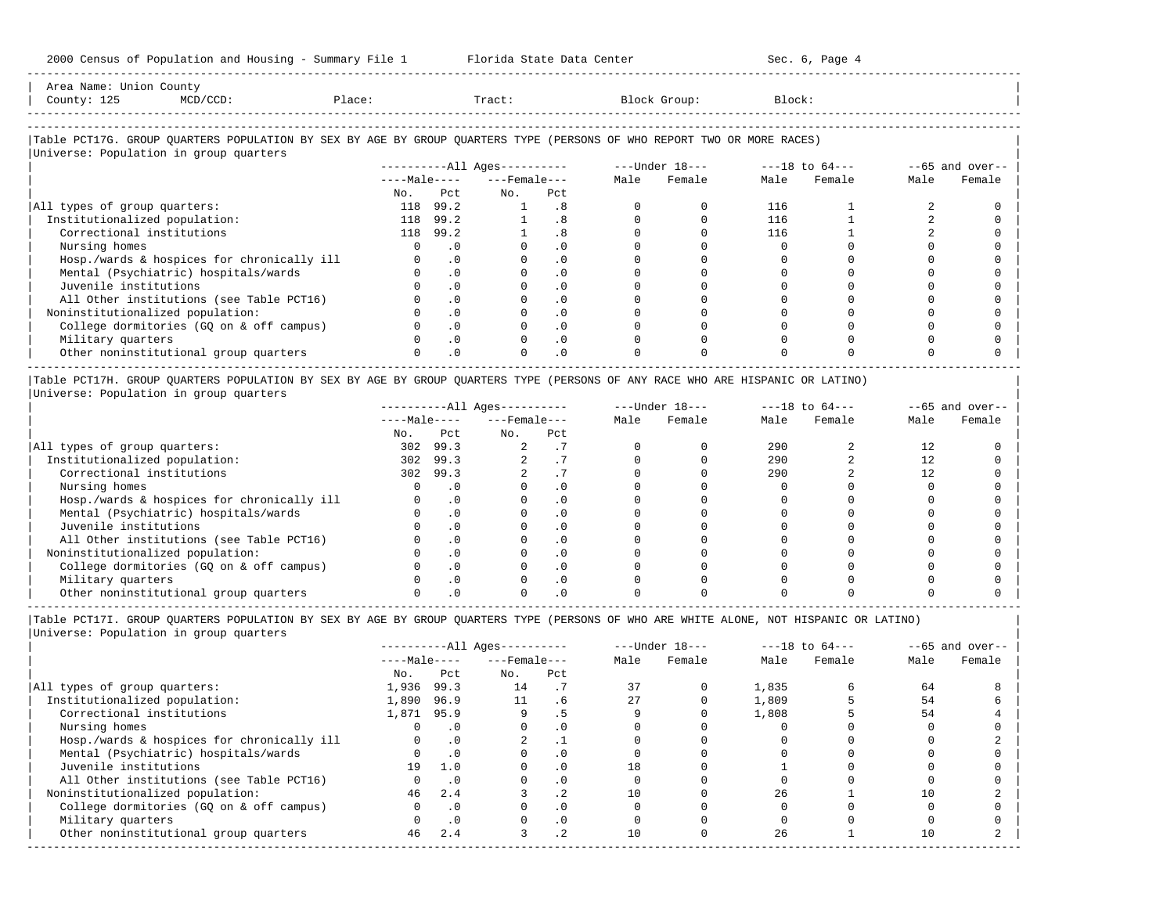|                                        | 2000 Census of Population and Housing - Summary File 1 Florida State Data Center                                                                                        |     |           |                          |            |              |        | Sec. 6, Page 4 |      |                   |
|----------------------------------------|-------------------------------------------------------------------------------------------------------------------------------------------------------------------------|-----|-----------|--------------------------|------------|--------------|--------|----------------|------|-------------------|
| Area Name: Union County<br>County: 125 | Place:<br>MCD/CCD:                                                                                                                                                      |     |           | Tract:                   |            | Block Group: | Block: |                |      |                   |
|                                        | Table PCT17G. GROUP QUARTERS POPULATION BY SEX BY AGE BY GROUP QUARTERS TYPE (PERSONS OF WHO REPORT TWO OR MORE RACES)<br>Universe: Population in group quarters        |     |           |                          |            |              |        |                |      |                   |
|                                        |                                                                                                                                                                         |     |           | $---Male-- ---Female---$ |            | Male Female  |        | Female         | Male | $--65$ and over-- |
|                                        |                                                                                                                                                                         |     |           |                          |            |              | Male   |                |      | Female            |
|                                        |                                                                                                                                                                         | No. | Pct       | $N_{\text{O}}$ .         | Pct        |              |        |                |      |                   |
| All types of group quarters:           |                                                                                                                                                                         |     | 118 99.2  | 1                        | .8         |              | 116    |                |      |                   |
| Institutionalized population:          |                                                                                                                                                                         |     | 118 99.2  |                          | .8         |              | 116    |                |      |                   |
| Correctional institutions              |                                                                                                                                                                         |     | 118 99.2  |                          | .8         |              | 116    |                |      |                   |
| Nursing homes                          |                                                                                                                                                                         |     | $\cdot$ 0 |                          | $\cdot$ 0  |              |        |                |      |                   |
|                                        | Hosp./wards & hospices for chronically ill                                                                                                                              |     | $\cdot$ 0 |                          | $\cdot$ 0  |              |        |                |      |                   |
|                                        | Mental (Psychiatric) hospitals/wards                                                                                                                                    |     | $\cdot$ 0 |                          | $\cdot$ 0  |              |        |                |      |                   |
| Juvenile institutions                  |                                                                                                                                                                         |     | $\cdot$ 0 |                          | $\cdot$ 0  |              |        |                |      |                   |
|                                        | All Other institutions (see Table PCT16)                                                                                                                                |     | $\cdot$ 0 |                          | $\cdot$ 0  |              |        |                |      |                   |
|                                        | Noninstitutionalized population:                                                                                                                                        |     | $\cdot$ 0 |                          | $\cdot$ 0  |              |        |                |      |                   |
|                                        | College dormitories (GQ on & off campus)                                                                                                                                |     | $\cdot$ 0 |                          | $\cdot$ 0  |              |        |                |      |                   |
| Military quarters                      |                                                                                                                                                                         |     | $\cdot$ 0 |                          | $\cdot$ 0  |              |        |                |      |                   |
|                                        | Other noninstitutional group quarters                                                                                                                                   |     | .0        |                          | $\Omega$ . |              |        |                |      |                   |
|                                        | Table PCT17H. GROUP QUARTERS POPULATION BY SEX BY AGE BY GROUP QUARTERS TYPE (PERSONS OF ANY RACE WHO ARE HISPANIC OR LATINO)<br>Universe: Population in group quarters |     |           |                          |            |              |        |                |      |                   |

|                                            | $------All Ages------$ |            |                    |     | $---Under 18---$ |        | $---18$ to $64---$ |        | $--65$ and over-- |        |
|--------------------------------------------|------------------------|------------|--------------------|-----|------------------|--------|--------------------|--------|-------------------|--------|
|                                            | $---Male---$           |            | $---$ Female $---$ |     | Male             | Female | Male               | Female | Male              | Female |
|                                            | No.                    | Pct        | No.                | Pct |                  |        |                    |        |                   |        |
| All types of group quarters:               | 302                    | 99.3       |                    |     |                  |        | 290                |        |                   |        |
| Institutionalized population:              | 302                    | 99.3       |                    |     |                  |        | 290                |        |                   |        |
| Correctional institutions                  | 302                    | 99.3       |                    |     |                  |        | 290                |        |                   |        |
| Nursing homes                              |                        |            |                    |     |                  |        |                    |        |                   |        |
| Hosp./wards & hospices for chronically ill |                        | . 0        |                    |     |                  |        |                    |        |                   |        |
| Mental (Psychiatric) hospitals/wards       |                        |            |                    |     |                  |        |                    |        |                   |        |
| Juvenile institutions                      |                        | . 0        |                    |     |                  |        |                    |        |                   |        |
| All Other institutions (see Table PCT16)   |                        |            |                    |     |                  |        |                    |        |                   |        |
| Noninstitutionalized population:           |                        |            |                    |     |                  |        |                    |        |                   |        |
| College dormitories (GO on & off campus)   |                        | $\Omega$ . |                    |     |                  |        |                    |        |                   |        |
| Military quarters                          |                        |            |                    |     |                  |        |                    |        |                   |        |
| Other noninstitutional group quarters      |                        |            |                    |     |                  |        |                    |        |                   |        |

----------------------------------------------------------------------------------------------------------------------------------------------------- |Table PCT17I. GROUP QUARTERS POPULATION BY SEX BY AGE BY GROUP QUARTERS TYPE (PERSONS OF WHO ARE WHITE ALONE, NOT HISPANIC OR LATINO) | |Universe: Population in group quarters |

|                                            | $------All Aqes------$ |           |                    |           | $---Under 18---$ |        | $---18$ to $64---$ |        | $--65$ and over-- |        |
|--------------------------------------------|------------------------|-----------|--------------------|-----------|------------------|--------|--------------------|--------|-------------------|--------|
|                                            | $---Male---$           |           | $---$ Female $---$ |           | Male             | Female | Male               | Female | Male              | Female |
|                                            | No.                    | Pct       | No.                | Pct       |                  |        |                    |        |                   |        |
| All types of group quarters:               | 1,936                  | 99.3      | 14                 |           |                  |        | 1,835              |        | 64                |        |
| Institutionalized population:              | 1,890                  | 96.9      | 11                 | . 6       |                  |        | 1,809              |        | 54                |        |
| Correctional institutions                  | 1,871 95.9             |           |                    |           |                  |        | 1,808              |        | 54                |        |
| Nursing homes                              |                        |           |                    | . 0       |                  |        |                    |        |                   |        |
| Hosp./wards & hospices for chronically ill |                        | . 0       |                    |           |                  |        |                    |        |                   |        |
| Mental (Psychiatric) hospitals/wards       |                        | $\cdot$ 0 |                    | . 0       |                  |        |                    |        |                   |        |
| Juvenile institutions                      | 19                     | 1.0       |                    | . 0       | 18               |        |                    |        |                   |        |
| All Other institutions (see Table PCT16)   |                        | $\cdot$ 0 |                    | . 0       |                  |        |                    |        |                   |        |
| Noninstitutionalized population:           | 46                     | 2.4       |                    | $\cdot$ 2 |                  |        | 26                 |        | 10                |        |
| College dormitories (GQ on & off campus)   |                        | $\cdot$ 0 |                    | $\cdot$ 0 |                  |        |                    |        |                   |        |
| Military quarters                          |                        | $\cdot$ 0 |                    | $\cdot$ 0 |                  |        |                    |        |                   |        |
| Other noninstitutional group quarters      | 46                     | 2.4       |                    | $\cdot$ 2 |                  |        | 26                 |        | 10                |        |
|                                            |                        |           |                    |           |                  |        |                    |        |                   |        |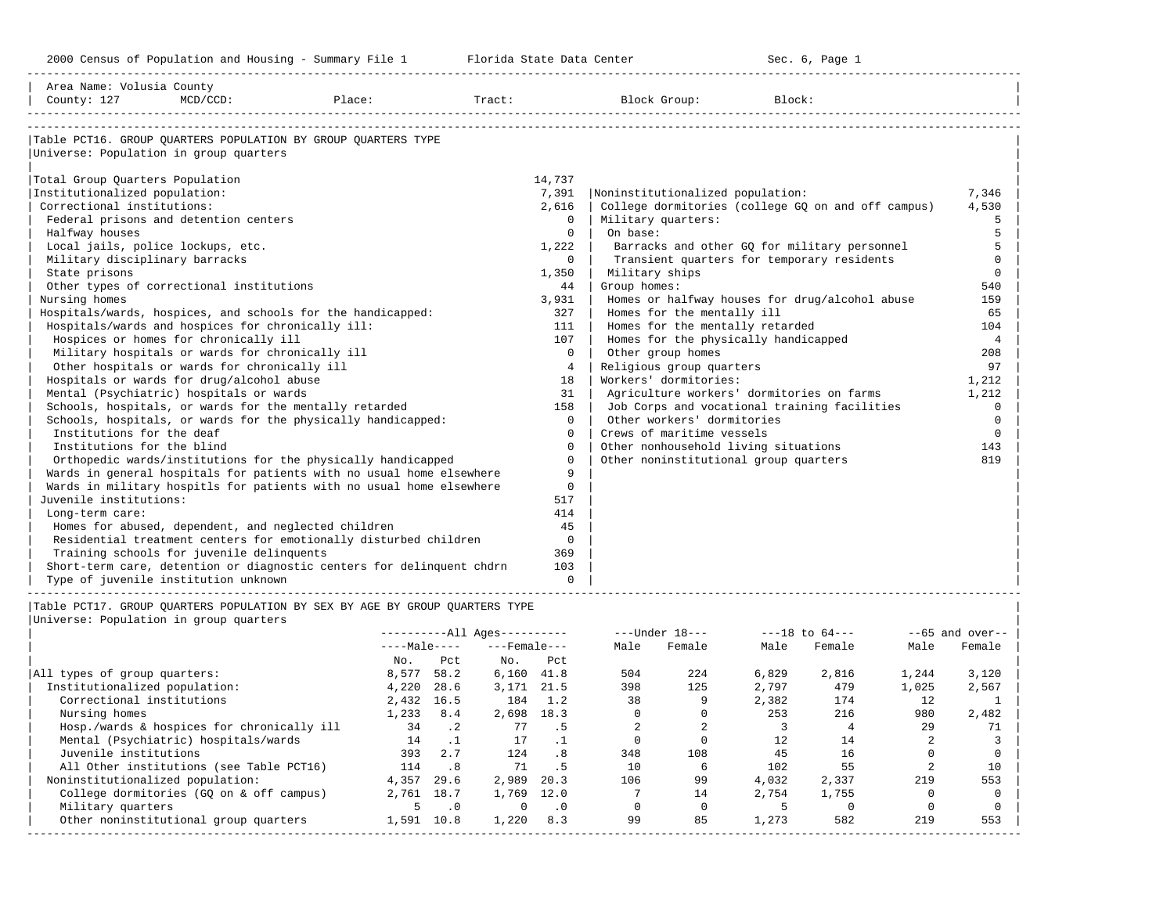| Area Name: Volusia County                                                   |                                            |         |               |                          |                   |                |                                                                          |                              |                    |                |                   |
|-----------------------------------------------------------------------------|--------------------------------------------|---------|---------------|--------------------------|-------------------|----------------|--------------------------------------------------------------------------|------------------------------|--------------------|----------------|-------------------|
| County: 127                                                                 | $MCD/CCD$ :                                | Place:  |               | Tract:                   |                   |                | Block Group:                                                             | Block:                       |                    |                |                   |
|                                                                             |                                            |         |               |                          |                   |                |                                                                          |                              |                    |                |                   |
|                                                                             |                                            |         |               |                          |                   |                |                                                                          |                              |                    |                |                   |
| Table PCT16. GROUP OUARTERS POPULATION BY GROUP OUARTERS TYPE               |                                            |         |               |                          |                   |                |                                                                          |                              |                    |                |                   |
| Universe: Population in group quarters                                      |                                            |         |               |                          |                   |                |                                                                          |                              |                    |                |                   |
|                                                                             |                                            |         |               |                          |                   |                |                                                                          |                              |                    |                |                   |
| Total Group Quarters Population                                             |                                            |         |               |                          | 14,737            |                |                                                                          |                              |                    |                |                   |
| Institutionalized population:<br>Correctional institutions:                 |                                            |         |               |                          | 7,391             |                | Noninstitutionalized population:                                         |                              |                    |                | 7,346             |
| Federal prisons and detention centers                                       |                                            |         |               |                          | 2,616<br>$\Omega$ |                | College dormitories (college GQ on and off campus)<br>Military quarters: |                              |                    |                | 4,530<br>5        |
| Halfway houses                                                              |                                            |         |               |                          | $\mathbf{0}$      | On base:       |                                                                          |                              |                    |                | 5                 |
| Local jails, police lockups, etc.                                           |                                            |         |               |                          | 1,222             |                | Barracks and other GQ for military personnel                             |                              |                    |                | 5                 |
| Military disciplinary barracks                                              |                                            |         |               |                          | $\mathbf{0}$      |                | Transient quarters for temporary residents                               |                              |                    |                | $\Omega$          |
| State prisons                                                               |                                            |         |               |                          | 1,350             |                | Military ships                                                           |                              |                    |                | $\circ$           |
| Other types of correctional institutions                                    |                                            |         |               |                          | 44                | Group homes:   |                                                                          |                              |                    |                | 540               |
| Nursing homes                                                               |                                            |         |               |                          | 3,931             |                | Homes or halfway houses for drug/alcohol abuse                           |                              |                    |                | 159               |
| Hospitals/wards, hospices, and schools for the handicapped:                 |                                            |         |               |                          | 327               |                | Homes for the mentally ill                                               |                              |                    |                | 65                |
| Hospitals/wards and hospices for chronically ill:                           |                                            |         |               |                          | 111               |                | Homes for the mentally retarded                                          |                              |                    |                | 104               |
| Hospices or homes for chronically ill                                       |                                            |         |               |                          | 107               |                | Homes for the physically handicapped                                     |                              |                    |                | $\overline{4}$    |
| Military hospitals or wards for chronically ill                             |                                            |         |               |                          | $\Omega$          |                | Other group homes                                                        |                              |                    |                | 208               |
| Other hospitals or wards for chronically ill                                |                                            |         |               |                          | $4\overline{ }$   |                | Religious group quarters                                                 |                              |                    |                | 97                |
| Hospitals or wards for drug/alcohol abuse                                   |                                            |         |               |                          | 18                |                | Workers' dormitories:                                                    |                              |                    |                | 1,212             |
| Mental (Psychiatric) hospitals or wards                                     |                                            |         |               |                          | 31                |                | Agriculture workers' dormitories on farms                                |                              |                    |                | 1,212             |
| Schools, hospitals, or wards for the mentally retarded                      |                                            |         |               |                          | 158               |                | Job Corps and vocational training facilities                             |                              |                    |                | $\mathbf 0$       |
| Schools, hospitals, or wards for the physically handicapped:                |                                            |         |               |                          | $\mathbf 0$       |                | Other workers' dormitories                                               |                              |                    |                | $\mathbf 0$       |
| Institutions for the deaf                                                   |                                            |         |               |                          | $\Omega$          |                | Crews of maritime vessels                                                |                              |                    |                | $\mathbf 0$       |
| Institutions for the blind                                                  |                                            |         |               |                          | $\mathbf 0$       |                | Other nonhousehold living situations                                     |                              |                    |                | 143               |
| Orthopedic wards/institutions for the physically handicapped                |                                            |         |               |                          | $\Omega$          |                | Other noninstitutional group quarters                                    |                              |                    |                | 819               |
| Wards in general hospitals for patients with no usual home elsewhere        |                                            |         |               |                          | 9                 |                |                                                                          |                              |                    |                |                   |
| Wards in military hospitls for patients with no usual home elsewhere        |                                            |         |               |                          | $\mathbf 0$       |                |                                                                          |                              |                    |                |                   |
| Juvenile institutions:                                                      |                                            |         |               |                          | 517               |                |                                                                          |                              |                    |                |                   |
| Long-term care:                                                             |                                            |         |               |                          | 414               |                |                                                                          |                              |                    |                |                   |
| Homes for abused, dependent, and neglected children                         |                                            |         |               |                          | 45                |                |                                                                          |                              |                    |                |                   |
| Residential treatment centers for emotionally disturbed children            |                                            |         |               |                          | $\mathbf 0$       |                |                                                                          |                              |                    |                |                   |
| Training schools for juvenile delinquents                                   |                                            |         |               |                          | 369               |                |                                                                          |                              |                    |                |                   |
| Short-term care, detention or diagnostic centers for delinquent chdrn       |                                            |         |               |                          | 103               |                |                                                                          |                              |                    |                |                   |
| Type of juvenile institution unknown                                        |                                            |         |               |                          | $\Omega$          |                |                                                                          | ---------------------------- |                    |                |                   |
|                                                                             |                                            |         |               |                          |                   |                |                                                                          |                              |                    |                |                   |
| Table PCT17. GROUP OUARTERS POPULATION BY SEX BY AGE BY GROUP OUARTERS TYPE |                                            |         |               |                          |                   |                |                                                                          |                              |                    |                |                   |
| Universe: Population in group quarters                                      |                                            |         |               | $------All Aqes------$   |                   |                | $---Under 18---$                                                         |                              | $---18$ to $64---$ |                | $--65$ and over-- |
|                                                                             |                                            |         |               | $---Male-- ---Female---$ |                   | Male           | Female                                                                   | Male                         | Female             | Male           | Female            |
|                                                                             |                                            | $N_O$ . | Pct           | $NQ$ .                   | Pct               |                |                                                                          |                              |                    |                |                   |
| All types of group quarters:                                                |                                            |         | 8,577 58.2    | $6,160$ $41.8$           |                   | 504            | 224                                                                      | 6,829                        | 2,816              | 1,244          | 3,120             |
| Institutionalized population:                                               |                                            |         | 4,220 28.6    | 3, 171 21.5              |                   | 398            | 125                                                                      | 2,797                        | 479                | 1,025          | 2,567             |
| Correctional institutions                                                   |                                            |         | 2,432 16.5    | 184 1.2                  |                   | 38             | 9                                                                        | 2,382                        | 174                | 12             | 1                 |
| Nursing homes                                                               |                                            |         | $1,233$ $8.4$ | 2,698 18.3               |                   | $\overline{0}$ | $\overline{0}$                                                           | 253                          | 216                | 980            | 2,482             |
|                                                                             | Hosp./wards & hospices for chronically ill | 34 .2   |               |                          | 77 .5             | 2              | 2                                                                        | $\overline{\mathbf{3}}$      | $\overline{4}$     | 29             | 71                |
| Mental (Psychiatric) hospitals/wards                                        |                                            | 14      | $\cdot$ 1     | 17                       | $\cdot$ 1         | $\mathbf 0$    | $\mathbf 0$                                                              | 12                           | 14                 | $\overline{a}$ | $\mathbf{3}$      |
| Juvenile institutions                                                       |                                            |         | $393 \t 77$   | $124$ R                  |                   | 348            | 108                                                                      | 45                           | 16                 | $\cap$         | $\cap$            |

|                                            |              |           | $------All Aqes------$ |                 |      | $---Under 18---$ |       | $---18$ to $64---$ |       | $--65$ and over-- |
|--------------------------------------------|--------------|-----------|------------------------|-----------------|------|------------------|-------|--------------------|-------|-------------------|
|                                            | $---Male---$ |           | $---$ Female $---$     |                 | Male | Female           | Male  | Female             | Male  | Female            |
|                                            | No.          | Pct       | No.                    | Pct             |      |                  |       |                    |       |                   |
| All types of group quarters:               | 8,577        | 58.2      | 6,160                  | 41.8            | 504  | 224              | 6,829 | 2,816              | 1,244 | 3,120             |
| Institutionalized population:              | 4,220        | 28.6      | 3,171                  | 21.5            | 398  | 125              | 2,797 | 479                | 1,025 | 2,567             |
| Correctional institutions                  | 2,432        | 16.5      | 184                    | 1.2             | 38   |                  | 2,382 | 174                | 12    |                   |
| Nursing homes                              | 1,233        | 8.4       | 2,698                  | 18.3            |      |                  | 253   | 216                | 980   | 2,482             |
| Hosp./wards & hospices for chronically ill | 34           | $\cdot$ 2 | 77                     | . 5             |      |                  |       |                    | 29    | 71                |
| Mental (Psychiatric) hospitals/wards       | 14           | $\cdot$ 1 | 17                     |                 |      |                  | 12    | 14                 |       |                   |
| Juvenile institutions                      | 393          | 2.7       | 124                    | .8 <sub>1</sub> | 348  | 108              | 45    | 16                 |       |                   |
| All Other institutions (see Table PCT16)   | 114          | .8        | 71                     | . 5             | 10   |                  | 102   | 55                 |       | 10                |
| Noninstitutionalized population:           | 4,357        | 29.6      | 2,989                  | 20.3            | 106  | 99               | 4,032 | 2,337              | 219   | 553               |
| College dormitories (GQ on & off campus)   | 2,761        | 18.7      | 1,769                  | 12.0            |      | 14               | 2,754 | 1,755              |       |                   |
| Military quarters                          | 5            | $\cdot$ 0 | 0                      | $\cdot$ 0       |      |                  |       |                    |       |                   |
| Other noninstitutional group quarters      | 1,591        | 10.8      | 1,220                  | 8.3             | 99   | 85               | 1,273 | 582                | 219   | 553               |
|                                            |              |           |                        |                 |      |                  |       |                    |       |                   |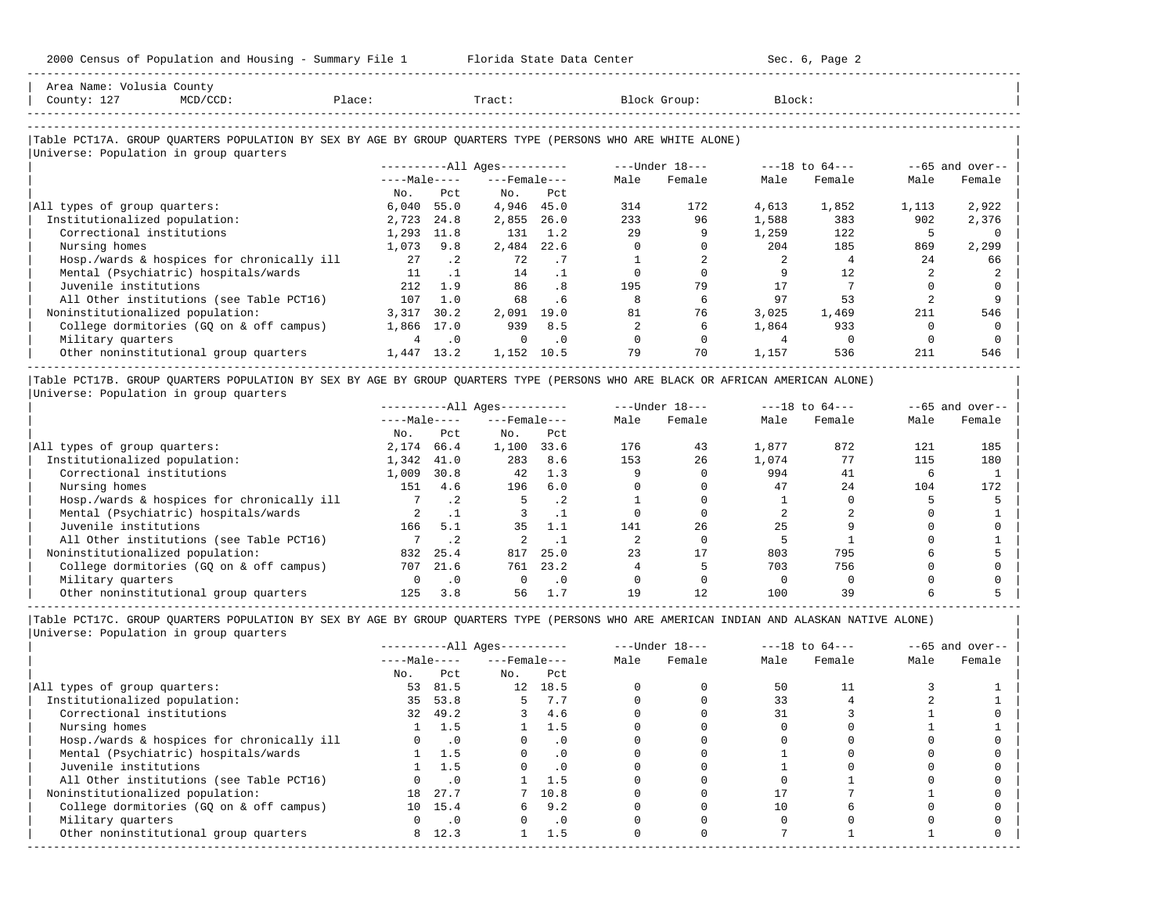-----------------------------------------------------------------------------------------------------------------------------------------------------

| County: 127<br>$MCD/CCD$ :                                                                                 | Place:       |           | Tract:                 |           |      | Block Group:   | Block: |                    |       |                   |
|------------------------------------------------------------------------------------------------------------|--------------|-----------|------------------------|-----------|------|----------------|--------|--------------------|-------|-------------------|
| Table PCT17A. GROUP QUARTERS POPULATION BY SEX BY AGE BY GROUP QUARTERS TYPE (PERSONS WHO ARE WHITE ALONE) |              |           |                        |           |      |                |        |                    |       |                   |
| Universe: Population in group quarters                                                                     |              |           | $------All Aqes------$ |           |      | ---Under 18--- |        | $---18$ to $64---$ |       | $--65$ and over-- |
|                                                                                                            | $---Male---$ |           | $---$ Female $---$     |           | Male | Female         | Male   | Female             | Male  | Female            |
|                                                                                                            | No.          | Pct       | No.                    | Pct       |      |                |        |                    |       |                   |
| All types of group quarters:                                                                               | 6,040        | 55.0      | 4,946                  | 45.0      | 314  | 172            | 4,613  | 1,852              | 1,113 | 2,922             |
| Institutionalized population:                                                                              | 2,723        | 24.8      | 2,855                  | 26.0      | 233  | 96             | 1,588  | 383                | 902   | 2,376             |
| Correctional institutions                                                                                  | 1,293        | 11.8      | 131                    | 1.2       | 29   |                | 1,259  | 122                |       |                   |
| Nursing homes                                                                                              | 1,073        | 9.8       | 2,484                  | 22.6      |      |                | 204    | 185                | 869   | 2,299             |
| Hosp./wards & hospices for chronically ill                                                                 | 27           | $\cdot$ 2 | 72                     | . 7       |      |                |        |                    | 24    | 66                |
| Mental (Psychiatric) hospitals/wards                                                                       | 11           |           | 14                     | $\cdot$ 1 |      |                |        | 12                 |       |                   |
| Juvenile institutions                                                                                      | 212          | 1.9       | 86                     | . 8       | 195  | 79             | 17     |                    |       |                   |
| All Other institutions (see Table PCT16)                                                                   | 107          | 1.0       | 68                     | . 6       |      | 6              | 97     | 53                 |       |                   |
| Noninstitutionalized population:                                                                           | 3,317        | 30.2      | 2,091                  | 19.0      | 81   | 76             | 3,025  | 1,469              | 211   | 546               |
| College dormitories (GQ on & off campus)                                                                   | 1,866        | 17.0      | 939                    | 8.5       |      |                | 1,864  | 933                |       |                   |
| Military quarters                                                                                          | 4            | $\cdot$ 0 | $\Omega$               | $\cdot$ 0 |      |                |        |                    |       |                   |
| Other noninstitutional group quarters                                                                      | 1,447        | 13.2      | 1,152                  | 10.5      | 79   | 70             | 1,157  | 536                | 211   | 546               |

|Table PCT17B. GROUP QUARTERS POPULATION BY SEX BY AGE BY GROUP QUARTERS TYPE (PERSONS WHO ARE BLACK OR AFRICAN AMERICAN ALONE) | |Universe: Population in group quarters |

|                                            |              |           | $------All Aqes------$ |           |      | $---Under 18---$ |       | $---18$ to $64---$ |      | $--65$ and over-- |
|--------------------------------------------|--------------|-----------|------------------------|-----------|------|------------------|-------|--------------------|------|-------------------|
|                                            | $---Male---$ |           | $---$ Female $---$     |           | Male | Female           | Male  | Female             | Male | Female            |
|                                            | No.          | Pct       | No.                    | Pct       |      |                  |       |                    |      |                   |
| All types of group quarters:               | 2,174        | 66.4      | 1,100                  | 33.6      | 176  | 43               | 1,877 | 872                | 121  | 185               |
| Institutionalized population:              | 1,342        | 41.0      | 283                    | 8.6       | 153  | 26               | 1,074 | 77                 | 115  | 180               |
| Correctional institutions                  | 1,009        | 30.8      | 42                     | 1.3       |      |                  | 994   | 41                 |      |                   |
| Nursing homes                              | 151          | 4.6       | 196                    | 6.0       |      |                  | 47    | 2.4                | 104  | 172               |
| Hosp./wards & hospices for chronically ill |              | $\cdot$ 2 |                        | $\cdot$ 2 |      |                  |       |                    |      |                   |
| Mental (Psychiatric) hospitals/wards       |              |           |                        |           |      |                  |       |                    |      |                   |
| Juvenile institutions                      | 166          | 5.1       | 35                     | 1.1       | 141  | 26               | 25    |                    |      |                   |
| All Other institutions (see Table PCT16)   |              | .2        |                        |           |      |                  |       |                    |      |                   |
| Noninstitutionalized population:           | 832          | 25.4      | 817                    | 25.0      | 23   | 17               | 803   | 795                |      |                   |
| College dormitories (GO on & off campus)   | 707          | 21.6      | 761                    | 23.2      |      |                  | 703   | 756                |      |                   |
| Military quarters                          |              | $\cdot$ 0 |                        | $\cdot$ 0 |      |                  |       |                    |      |                   |
| Other noninstitutional group quarters      | 125          | 3.8       | 56                     |           | 19   |                  | 100   | 39                 |      |                   |

-----------------------------------------------------------------------------------------------------------------------------------------------------

|Table PCT17C. GROUP QUARTERS POPULATION BY SEX BY AGE BY GROUP QUARTERS TYPE (PERSONS WHO ARE AMERICAN INDIAN AND ALASKAN NATIVE ALONE) | |Universe: Population in group quarters |

|     |           |                                           |           |                                                                     |        |                  |        |                    | $--65$ and over-- |
|-----|-----------|-------------------------------------------|-----------|---------------------------------------------------------------------|--------|------------------|--------|--------------------|-------------------|
|     |           |                                           |           | Male                                                                | Female | Male             | Female | Male               | Female            |
| No. | Pct       | No.                                       | Pct       |                                                                     |        |                  |        |                    |                   |
|     | 81.5      |                                           | 18.5      |                                                                     |        | 50               |        |                    |                   |
|     | 53.8      |                                           | 7.7       |                                                                     |        | 33               |        |                    |                   |
|     | 49.2      | 3                                         | 4.6       |                                                                     |        | 31               |        |                    |                   |
|     | 1.5       |                                           | 1.5       |                                                                     |        |                  |        |                    |                   |
|     | $\cdot$ 0 |                                           | . 0       |                                                                     |        |                  |        |                    |                   |
|     | 1.5       |                                           | $\cdot$ 0 |                                                                     |        |                  |        |                    |                   |
|     | 1.5       |                                           | $\cdot$ 0 |                                                                     |        |                  |        |                    |                   |
|     | $\cdot$ 0 |                                           | 1.5       |                                                                     |        |                  |        |                    |                   |
| 18  | 27.7      |                                           |           |                                                                     |        |                  |        |                    |                   |
|     | 15.4      | 6.                                        | 9.2       |                                                                     |        |                  |        |                    |                   |
|     | $\cdot$ 0 |                                           | $\cdot$ 0 |                                                                     |        |                  |        |                    |                   |
|     | 12.3      |                                           | 1.5       |                                                                     |        |                  |        |                    |                   |
|     |           | $---Male---$<br>53<br>35<br>32<br>10<br>8 |           | ----------All Ages----------<br>$---$ Female $---$<br>12<br>7, 10.8 |        | $---Under 18---$ |        | $---18$ to $64---$ |                   |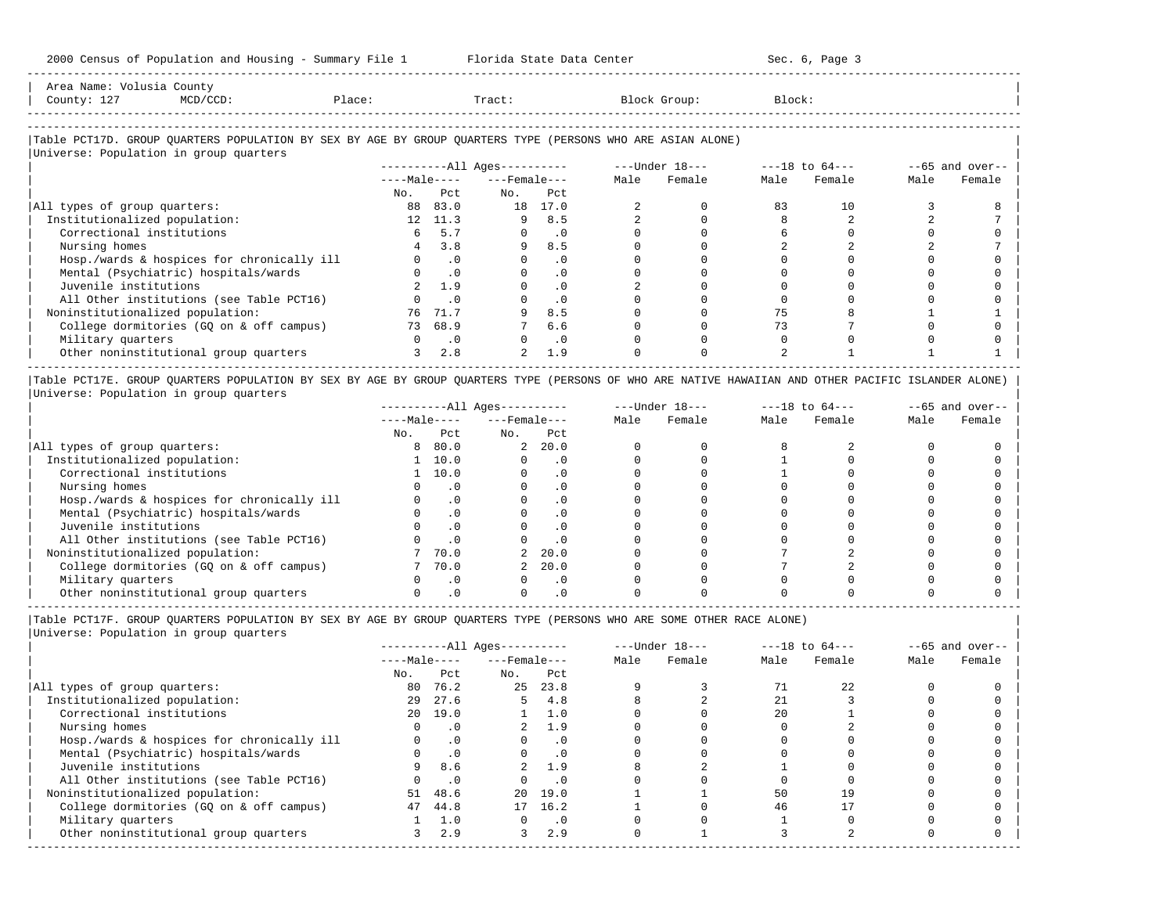-----------------------------------------------------------------------------------------------------------------------------------------------------

| Area<br>Name        | count                                                                                                           |     |       |          |        |
|---------------------|-----------------------------------------------------------------------------------------------------------------|-----|-------|----------|--------|
| Count,<br><b>+4</b> | the contract of the contract of the contract of the contract of the contract of the contract of the contract of | ⊥ac | Tract | JL OUD : | Block' |
|                     |                                                                                                                 |     |       |          |        |

-----------------------------------------------------------------------------------------------------------------------------------------------------

## |Table PCT17D. GROUP QUARTERS POPULATION BY SEX BY AGE BY GROUP QUARTERS TYPE (PERSONS WHO ARE ASIAN ALONE) |

|                                            |              |           | $------All Ages------$ |           |      | ---Under 18--- | $---18$ to $64---$ |        |      | $--65$ and over-- |
|--------------------------------------------|--------------|-----------|------------------------|-----------|------|----------------|--------------------|--------|------|-------------------|
|                                            | $---Male---$ |           | $---$ Female $---$     |           | Male | Female         | Male               | Female | Male | Female            |
|                                            | No.          | Pct.      | No.                    | Pct       |      |                |                    |        |      |                   |
| All types of group quarters:               | 88           | 83.0      | 18                     | 17.0      |      |                | 83                 | 10     |      |                   |
| Institutionalized population:              | 12           | 11.3      | 9                      | 8.5       |      |                |                    |        |      |                   |
| Correctional institutions                  |              | 5.7       |                        | $\cdot$ 0 |      |                |                    |        |      |                   |
| Nursing homes                              |              | 3.8       | 9                      | 8.5       |      |                |                    |        |      |                   |
| Hosp./wards & hospices for chronically ill |              | $\cdot$ 0 |                        | . 0       |      |                |                    |        |      |                   |
| Mental (Psychiatric) hospitals/wards       |              | $\cdot$ 0 |                        | $\cdot$ 0 |      |                |                    |        |      |                   |
| Juvenile institutions                      |              | 1.9       |                        | $\cdot$ 0 |      |                |                    |        |      |                   |
| All Other institutions (see Table PCT16)   |              | . 0       |                        | $\cdot$ 0 |      |                |                    |        |      |                   |
| Noninstitutionalized population:           | 76           | 71.7      |                        | 8.5       |      |                |                    |        |      |                   |
| College dormitories (GO on & off campus)   |              | 73 68.9   |                        | 6.6       |      |                | 73                 |        |      |                   |
| Military quarters                          |              | $\cdot$ 0 |                        | $\cdot$ 0 |      |                |                    |        |      |                   |
| Other noninstitutional group quarters      |              | 2.8       | $\overline{2}$         | 1.9       |      |                |                    |        |      |                   |

|Table PCT17E. GROUP QUARTERS POPULATION BY SEX BY AGE BY GROUP QUARTERS TYPE (PERSONS OF WHO ARE NATIVE HAWAIIAN AND OTHER PACIFIC ISLANDER ALONE) | |Universe: Population in group quarters |

|                                            |              |           | $------All Ages------$ |           |      | $---Under 18---$ |      | $---18$ to $64---$ |      | $--65$ and over-- |
|--------------------------------------------|--------------|-----------|------------------------|-----------|------|------------------|------|--------------------|------|-------------------|
|                                            | $---Male---$ |           | $---$ Female $---$     |           | Male | Female           | Male | Female             | Male | Female            |
|                                            | No.          | Pct       | No.                    | Pct       |      |                  |      |                    |      |                   |
| All types of group quarters:               | 8            | 80.0      | $\overline{a}$         | 20.0      |      |                  |      |                    |      |                   |
| Institutionalized population:              |              | 10.0      |                        | . 0       |      |                  |      |                    |      |                   |
| Correctional institutions                  |              | 10.0      |                        | $\cdot$ 0 |      |                  |      |                    |      |                   |
| Nursing homes                              |              |           |                        | $\cdot$ 0 |      |                  |      |                    |      |                   |
| Hosp./wards & hospices for chronically ill |              | $\cdot$ 0 |                        | $\cdot$ 0 |      |                  |      |                    |      |                   |
| Mental (Psychiatric) hospitals/wards       |              |           |                        | $\cdot$ 0 |      |                  |      |                    |      |                   |
| Juvenile institutions                      |              | $\cdot$ 0 |                        | $\cdot$ 0 |      |                  |      |                    |      |                   |
| All Other institutions (see Table PCT16)   |              |           |                        |           |      |                  |      |                    |      |                   |
| Noninstitutionalized population:           |              | 70.0      |                        | 2, 20.0   |      |                  |      |                    |      |                   |
| College dormitories (GO on & off campus)   |              | 70.0      |                        | 20.0      |      |                  |      |                    |      |                   |
| Military quarters                          |              | $\cdot$ 0 |                        | $\cdot$ 0 |      |                  |      |                    |      |                   |
| Other noninstitutional group quarters      |              |           |                        |           |      |                  |      |                    |      |                   |

|Table PCT17F. GROUP QUARTERS POPULATION BY SEX BY AGE BY GROUP QUARTERS TYPE (PERSONS WHO ARE SOME OTHER RACE ALONE) |

|                                            |              |           | $------All Ages------$ |           |      | $---Under 18---$ |      | $---18$ to $64---$ |      | $--65$ and over-- |
|--------------------------------------------|--------------|-----------|------------------------|-----------|------|------------------|------|--------------------|------|-------------------|
|                                            | $---Male---$ |           | $---$ Female $---$     |           | Male | Female           | Male | Female             | Male | Female            |
|                                            | No.          | Pct       | No.                    | Pct       |      |                  |      |                    |      |                   |
| All types of group quarters:               | 80           | 76.2      | 25                     | 23.8      |      |                  |      | 22                 |      |                   |
| Institutionalized population:              | 29           | 27.6      |                        | 4.8       |      |                  | 21   |                    |      |                   |
| Correctional institutions                  |              | 20 19.0   |                        | 1.0       |      |                  | 20   |                    |      |                   |
| Nursing homes                              |              | $\cdot$ 0 |                        | 1.9       |      |                  |      |                    |      |                   |
| Hosp./wards & hospices for chronically ill |              | .0        |                        | $\cdot$ 0 |      |                  |      |                    |      |                   |
| Mental (Psychiatric) hospitals/wards       |              | $\cdot$ 0 |                        | $\cdot$ 0 |      |                  |      |                    |      |                   |
| Juvenile institutions                      | 9            | 8.6       |                        | 1.9       |      |                  |      |                    |      |                   |
| All Other institutions (see Table PCT16)   |              | $\cdot$ 0 |                        | $\cdot$ 0 |      |                  |      |                    |      |                   |
| Noninstitutionalized population:           | 51           | 48.6      |                        | 20 19.0   |      |                  | 50   | 19                 |      |                   |
| College dormitories (GQ on & off campus)   | 47           | 44.8      | 17                     | 16.2      |      |                  | 46   |                    |      |                   |
| Military quarters                          |              | 1.0       |                        | $\cdot$ 0 |      |                  |      |                    |      |                   |
| Other noninstitutional group quarters      |              | 2.9       | 3                      | 2.9       |      |                  |      |                    |      |                   |
|                                            |              |           |                        |           |      |                  |      |                    |      |                   |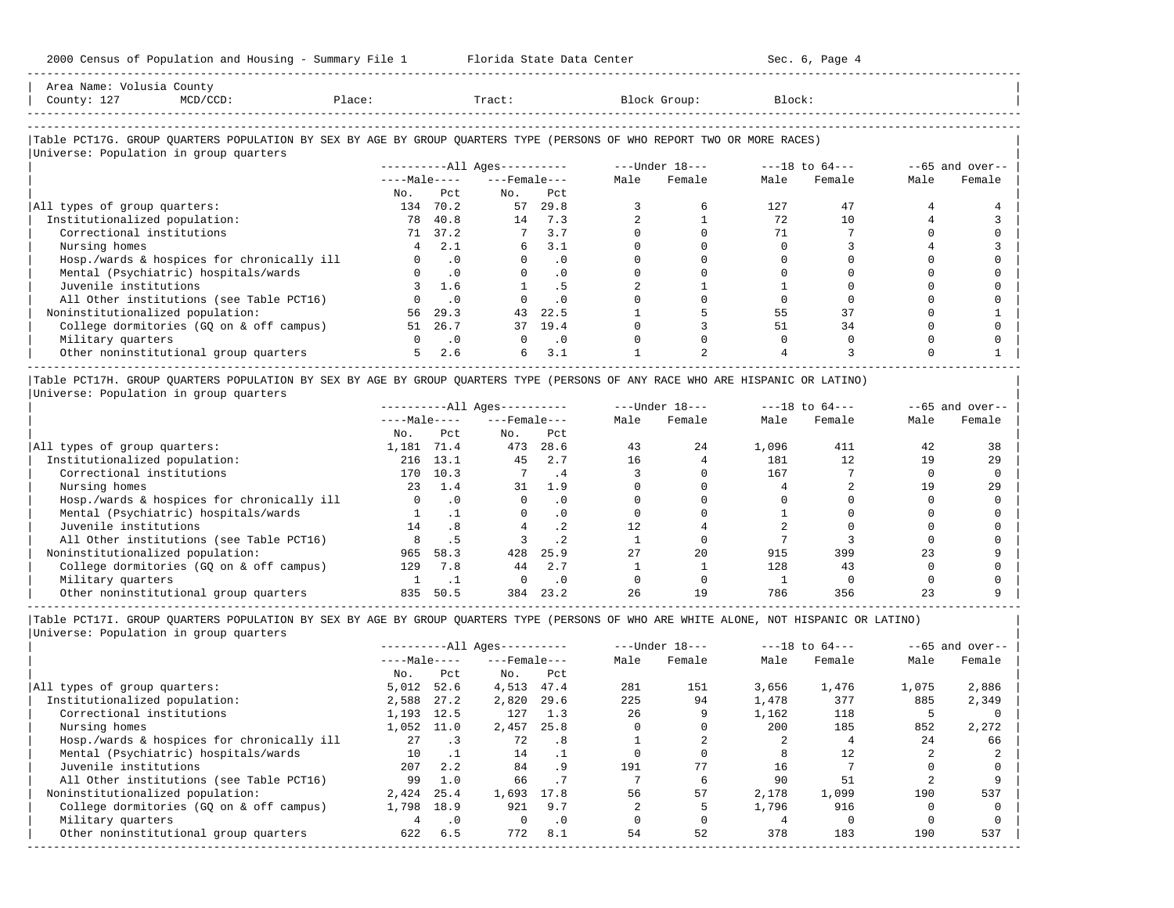| 2000 Census of Population and Housing - Summary File 1 Florida State Data Center 5 8 Sec. 6, Page 4                           |                                              |               |                                              |               |                         |                                                      |                                        |                                   |              |                   |
|-------------------------------------------------------------------------------------------------------------------------------|----------------------------------------------|---------------|----------------------------------------------|---------------|-------------------------|------------------------------------------------------|----------------------------------------|-----------------------------------|--------------|-------------------|
| Area Name: Volusia County<br>MCD/CCD: Place:<br>County: 127                                                                   |                                              |               |                                              |               | Tract: Block Group:     |                                                      | Block:                                 |                                   |              |                   |
| Table PCT17G. GROUP QUARTERS POPULATION BY SEX BY AGE BY GROUP QUARTERS TYPE (PERSONS OF WHO REPORT TWO OR MORE RACES)        |                                              |               |                                              |               |                         |                                                      |                                        |                                   |              |                   |
| Universe: Population in group quarters                                                                                        |                                              |               |                                              |               |                         |                                                      |                                        |                                   |              |                   |
|                                                                                                                               |                                              |               | $------All \text{Aqes------}$                |               |                         |                                                      |                                        | ---Under 18--- ---18 to 64---     |              | $--65$ and over-- |
|                                                                                                                               |                                              |               | $---Male-- ---Female---$                     |               | Male                    | Female                                               | Male                                   | Female                            | Male         | Female            |
|                                                                                                                               | No.                                          | Pct           | $NQ$ .                                       | Pct           |                         |                                                      |                                        |                                   |              |                   |
| All types of group quarters:                                                                                                  |                                              | 134 70.2      |                                              | 57 29.8       | 3                       | 6                                                    | 127 — 127                              | 47                                | 4            |                   |
| Institutionalized population:                                                                                                 |                                              | 78 40.8       | 14 7.3                                       |               | $\overline{a}$          | 1                                                    | 72                                     | 10                                | 4            |                   |
| Correctional institutions                                                                                                     |                                              | 71 37.2       | $7 \t3.7$                                    |               | $\Omega$                | $\Omega$                                             | 71                                     | 7                                 | $\Omega$     |                   |
| Nursing homes                                                                                                                 |                                              | $4 \quad 2.1$ | $6 \t 3.1$                                   |               | $\Omega$                | $\Omega$                                             | $\Omega$                               | 3                                 |              |                   |
| Hosp./wards & hospices for chronically ill                                                                                    |                                              | $0 \qquad .0$ |                                              | $0 \qquad .0$ | $\Omega$                | $\Omega$                                             | $\Omega$                               | $\Omega$                          | $\Omega$     |                   |
| Mental (Psychiatric) hospitals/wards                                                                                          |                                              | $0 \qquad .0$ |                                              | $0 \qquad .0$ | $\Omega$                | $\Omega$                                             | $\Omega$                               | $\Omega$                          | $\Omega$     |                   |
| Juvenile institutions                                                                                                         |                                              | 3, 1.6        |                                              | $1 \quad .5$  | 2                       |                                                      |                                        | $\Omega$                          | $\cap$       |                   |
| All Other institutions (see Table PCT16)                                                                                      |                                              | $0 \qquad .0$ |                                              | $0 \qquad .0$ | $\mathbf{0}$            | $\Omega$                                             | $\circ$                                | $\mathbf 0$                       | $\Omega$     |                   |
| Noninstitutionalized population:                                                                                              |                                              | 56 29.3       |                                              | 43 22.5       |                         | 5                                                    |                                        | 55 8 10 11<br>37                  | $\Omega$     |                   |
| College dormitories (GQ on & off campus)                                                                                      |                                              | 51 26.7       |                                              | 37 19.4       |                         | $\Omega$<br>$\overline{3}$                           |                                        | 34<br>51 7                        | $\Omega$     | $\Omega$          |
| Military quarters                                                                                                             | $\begin{array}{ccc} & & 0 & \end{array}$ . O |               | $\begin{array}{ccc} & & 0 & \end{array}$ . 0 |               |                         | $\Omega$                                             | $\Omega$<br>$\Omega$                   | $\Omega$                          | $\Omega$     |                   |
| Other noninstitutional group quarters 5 2.6                                                                                   |                                              |               |                                              | $6 \quad 3.1$ |                         | $\overline{2}$                                       |                                        | 3                                 | <sup>n</sup> |                   |
| Table PCT17H. GROUP QUARTERS POPULATION BY SEX BY AGE BY GROUP QUARTERS TYPE (PERSONS OF ANY RACE WHO ARE HISPANIC OR LATINO) |                                              |               |                                              |               |                         |                                                      |                                        |                                   |              |                   |
| Universe: Population in group quarters                                                                                        |                                              |               |                                              |               |                         |                                                      |                                        |                                   |              |                   |
|                                                                                                                               |                                              |               | ----------All Ages----------                 |               |                         |                                                      |                                        | ---Under 18--- --- ---18 to 64--- |              | $-65$ and over--  |
|                                                                                                                               |                                              |               | $---Male-- ---Female---$                     |               |                         | Male Female Male                                     |                                        | Female                            | Male         | Female            |
|                                                                                                                               |                                              | No. Pct       | $NQ$ .                                       | Pct           |                         |                                                      |                                        |                                   |              |                   |
| All types of group quarters:                                                                                                  |                                              |               |                                              |               | 1, 181 71.4 473 28.6 43 |                                                      | 24 1,096                               | 411                               | 42           | 38                |
| Institutionalized population:                                                                                                 | 216 13.1                                     |               |                                              |               |                         | 45 2.7 16 4 181 12                                   |                                        |                                   | 19           | 29                |
| Correctional institutions                                                                                                     |                                              |               | 170 10.3 7 .4                                |               |                         | 3 0 167                                              |                                        | $7\overline{ }$                   | $\Omega$     | $\Omega$          |
| Nursing homes                                                                                                                 |                                              | 23 1.4        | 31 1.9                                       |               | $\Omega$                |                                                      | $\begin{array}{ccc} 0 & 4 \end{array}$ | $\overline{2}$                    | 19           | 2.9               |
| Hosp (wards & hospices for chronically ill $\qquad \qquad 0 \qquad 0 \qquad 0$                                                |                                              |               |                                              |               |                         | $\begin{array}{ccc} & & & \circ & \circ \end{array}$ | $\overline{a}$                         | $\cap$                            | $\cap$       |                   |

| Hosp./wards & hospices for chronically ill |     |      |     |      |    |    |     |     |  |
|--------------------------------------------|-----|------|-----|------|----|----|-----|-----|--|
| Mental (Psychiatric) hospitals/wards       |     |      |     |      |    |    |     |     |  |
| Juvenile institutions                      |     | .8   |     |      |    |    |     |     |  |
| All Other institutions (see Table PCT16)   |     |      |     |      |    |    |     |     |  |
| Noninstitutionalized population:           | 965 | 58.3 | 428 | 25.9 | 27 | 20 | 915 | 399 |  |
| College dormitories (GQ on & off campus)   | 129 | 7.8  | 44  | 2.7  |    |    | 128 | 43  |  |
| Military quarters                          |     |      |     |      |    |    |     |     |  |
| Other noninstitutional group quarters      | 835 | 50.5 | 384 | 23.2 | 26 |    | 786 | 356 |  |

|Table PCT17I. GROUP QUARTERS POPULATION BY SEX BY AGE BY GROUP QUARTERS TYPE (PERSONS OF WHO ARE WHITE ALONE, NOT HISPANIC OR LATINO) | |Universe: Population in group quarters |

|                                            |              |           | $------All Aqes------$ |           | $---Under 18---$ |        | $---18$ to $64---$ |        | $--65$ and over-- |        |
|--------------------------------------------|--------------|-----------|------------------------|-----------|------------------|--------|--------------------|--------|-------------------|--------|
|                                            | $---Male---$ |           | $---$ Female $---$     |           | Male             | Female | Male               | Female | Male              | Female |
|                                            | No.          | Pct       | No.                    | Pct       |                  |        |                    |        |                   |        |
| All types of group quarters:               | 5.012        | 52.6      | 4,513                  | 47.4      | 281              | 151    | 3,656              | 1,476  | 1,075             | 2,886  |
| Institutionalized population:              | 2,588        | 27.2      | 2,820                  | 29.6      | 225              | 94     | 1,478              | 377    | 885               | 2,349  |
| Correctional institutions                  | 1,193        | 12.5      | 127                    | 1.3       | 26               |        | 1,162              | 118    |                   |        |
| Nursing homes                              | 1,052        | 11.0      | 2,457                  | 25.8      |                  |        | 200                | 185    | 852               | 2,272  |
| Hosp./wards & hospices for chronically ill | 27           | $\cdot$ 3 | 72                     | .8        |                  |        |                    |        | 24                | 66     |
| Mental (Psychiatric) hospitals/wards       | 10           |           | 14                     |           |                  |        |                    | 12     |                   |        |
| Juvenile institutions                      | 207          | 2.2       | 84                     | . 9       | 191              | 77     | 16                 |        |                   |        |
| All Other institutions (see Table PCT16)   | 99           | 1.0       | 66                     | .7        |                  | 6      | 90                 | 51     |                   |        |
| Noninstitutionalized population:           | 2,424        | 25.4      | 1,693                  | 17.8      | 56               | 57     | 2,178              | 1,099  | 190               | 537    |
| College dormitories (GO on & off campus)   | 1,798        | 18.9      | 921                    | 9.7       |                  |        | 1,796              | 916    |                   |        |
| Military quarters                          |              | $\cdot$ 0 | $\Omega$               | $\cdot$ 0 |                  |        |                    |        |                   |        |
| Other noninstitutional group quarters      | 622          | 6.5       | 772                    | 8.1       | 54               | 52     | 378                | 183    | 190               | 537    |
|                                            |              |           |                        |           |                  |        |                    |        |                   |        |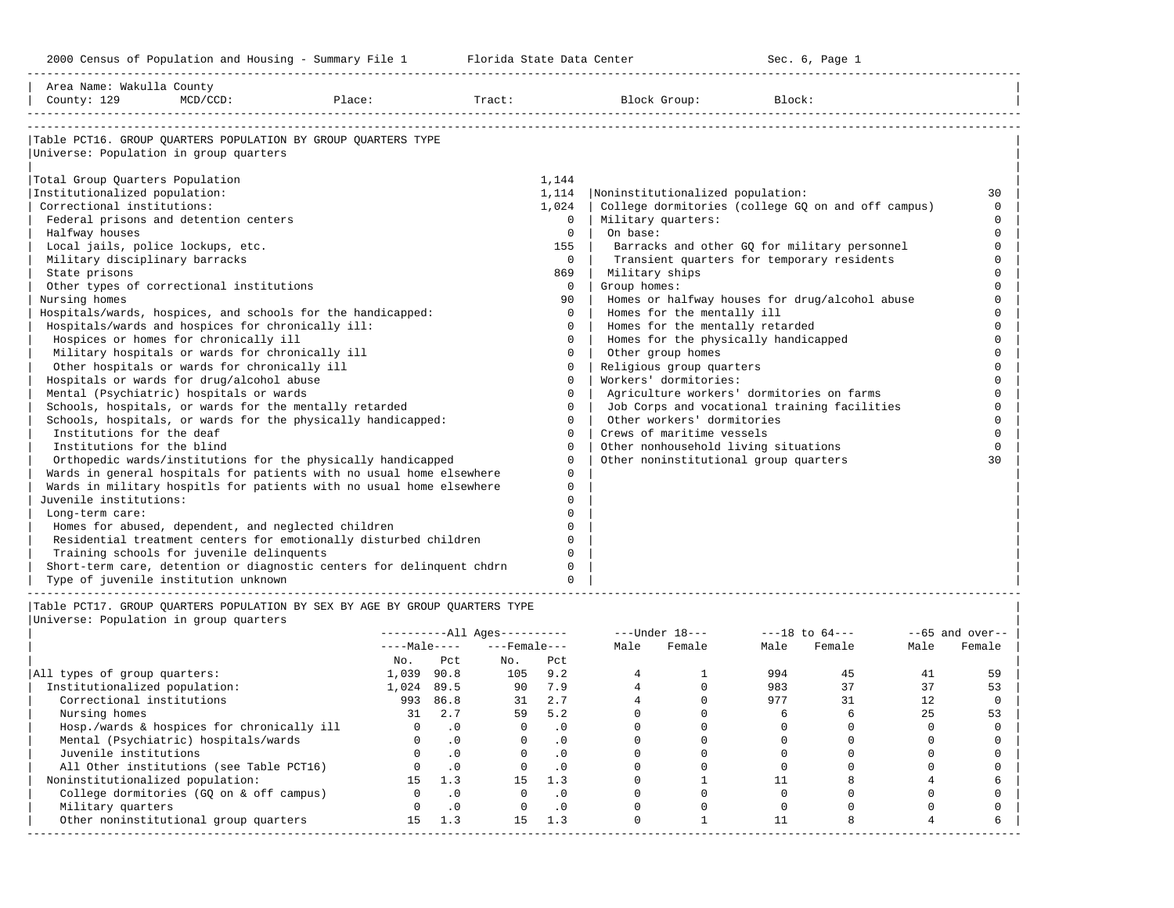-----------------------------------------------------------------------------------------------------------------------------------------------------

| Area Name: Wakulla County<br>County: 129            | $MCD/CCD$ : | Place:                                                                      | Tract: |          | Block Group:                          | Block:                                             |          |
|-----------------------------------------------------|-------------|-----------------------------------------------------------------------------|--------|----------|---------------------------------------|----------------------------------------------------|----------|
|                                                     |             |                                                                             |        |          |                                       |                                                    |          |
|                                                     |             | Table PCT16. GROUP OUARTERS POPULATION BY GROUP OUARTERS TYPE               |        |          |                                       |                                                    |          |
| Universe: Population in group quarters              |             |                                                                             |        |          |                                       |                                                    |          |
| Total Group Quarters Population                     |             |                                                                             |        | 1,144    |                                       |                                                    |          |
| Institutionalized population:                       |             |                                                                             |        | 1,114    | Noninstitutionalized population:      |                                                    | 30       |
| Correctional institutions:                          |             |                                                                             |        | 1,024    |                                       | College dormitories (college GQ on and off campus) | $\Omega$ |
| Federal prisons and detention centers               |             |                                                                             |        | $\Omega$ | Military quarters:                    |                                                    | $\Omega$ |
| Halfway houses                                      |             |                                                                             |        | $\Omega$ | On base:                              |                                                    | $\Omega$ |
| Local jails, police lockups, etc.                   |             |                                                                             |        | 155      |                                       | Barracks and other GQ for military personnel       | $\Omega$ |
| Military disciplinary barracks                      |             |                                                                             |        | $\Omega$ |                                       | Transient quarters for temporary residents         | $\Omega$ |
| State prisons                                       |             |                                                                             |        | 869      | Military ships                        |                                                    |          |
| Other types of correctional institutions            |             |                                                                             |        | $\Omega$ | Group homes:                          |                                                    |          |
| Nursing homes                                       |             |                                                                             |        | 90       |                                       | Homes or halfway houses for drug/alcohol abuse     |          |
|                                                     |             | Hospitals/wards, hospices, and schools for the handicapped:                 |        | $\Omega$ | Homes for the mentally ill            |                                                    |          |
| Hospitals/wards and hospices for chronically ill:   |             |                                                                             |        | $\Omega$ | Homes for the mentally retarded       |                                                    |          |
| Hospices or homes for chronically ill               |             |                                                                             |        | $\Omega$ | Homes for the physically handicapped  |                                                    |          |
| Military hospitals or wards for chronically ill     |             |                                                                             |        | $\Omega$ | Other group homes                     |                                                    | $\cap$   |
| Other hospitals or wards for chronically ill        |             |                                                                             |        | $\Omega$ | Religious group quarters              |                                                    | $\cap$   |
| Hospitals or wards for drug/alcohol abuse           |             |                                                                             |        | $\Omega$ | Workers' dormitories:                 |                                                    | $\cap$   |
| Mental (Psychiatric) hospitals or wards             |             |                                                                             |        | $\Omega$ |                                       | Agriculture workers' dormitories on farms          | $\cap$   |
|                                                     |             | Schools, hospitals, or wards for the mentally retarded                      |        | $\Omega$ |                                       | Job Corps and vocational training facilities       | $\Omega$ |
|                                                     |             | Schools, hospitals, or wards for the physically handicapped:                |        | $\Omega$ | Other workers' dormitories            |                                                    |          |
| Institutions for the deaf                           |             |                                                                             |        | $\Omega$ | Crews of maritime vessels             |                                                    |          |
| Institutions for the blind                          |             |                                                                             |        | $\Omega$ | Other nonhousehold living situations  |                                                    | $\cap$   |
|                                                     |             | Orthopedic wards/institutions for the physically handicapped                |        | $\Omega$ | Other noninstitutional group quarters |                                                    | 30       |
|                                                     |             | Wards in general hospitals for patients with no usual home elsewhere        |        | $\Omega$ |                                       |                                                    |          |
|                                                     |             | Wards in military hospitls for patients with no usual home elsewhere        |        | $\Omega$ |                                       |                                                    |          |
| Juvenile institutions:                              |             |                                                                             |        | $\Omega$ |                                       |                                                    |          |
| Long-term care:                                     |             |                                                                             |        | $\Omega$ |                                       |                                                    |          |
| Homes for abused, dependent, and neglected children |             |                                                                             |        | $\Omega$ |                                       |                                                    |          |
|                                                     |             | Residential treatment centers for emotionally disturbed children            |        | $\Omega$ |                                       |                                                    |          |
| Training schools for juvenile delinquents           |             |                                                                             |        |          |                                       |                                                    |          |
|                                                     |             | Short-term care, detention or diagnostic centers for delinquent chdrn       |        | $\Omega$ |                                       |                                                    |          |
| Type of juvenile institution unknown                |             |                                                                             |        | $\Omega$ |                                       |                                                    |          |
|                                                     |             | Table PCT17. GROUP OUARTERS POPULATION BY SEX BY AGE BY GROUP OUARTERS TYPE |        |          |                                       |                                                    |          |

|                                            |              |           | $------All Ages------$ |           |      | $---Under 18---$ | $---18$ to $64---$ |        | $--65$ and over-- |        |
|--------------------------------------------|--------------|-----------|------------------------|-----------|------|------------------|--------------------|--------|-------------------|--------|
|                                            | $---Male---$ |           | $---$ Female $---$     |           | Male | Female           | Male               | Female | Male              | Female |
|                                            | No.          | Pct       | No.                    | Pct       |      |                  |                    |        |                   |        |
| All types of group quarters:               | 1,039        | 90.8      | 105                    | 9.2       |      |                  | 994                | 45     | 41                | 59     |
| Institutionalized population:              | 1,024        | 89.5      | 90                     | 7.9       |      |                  | 983                |        |                   | 53     |
| Correctional institutions                  | 993          | 86.8      | 31                     | 2.7       |      |                  | 977                | 31     | 12                |        |
| Nursing homes                              | 31           | 2.7       | 59                     | 5.2       |      |                  |                    |        | 25                | 53     |
| Hosp./wards & hospices for chronically ill |              | $\cdot$ 0 |                        | . 0       |      |                  |                    |        |                   |        |
| Mental (Psychiatric) hospitals/wards       |              | $\cdot$ 0 |                        | $\cdot$ 0 |      |                  |                    |        |                   |        |
| Juvenile institutions                      |              | $\cdot$ 0 |                        |           |      |                  |                    |        |                   |        |
| All Other institutions (see Table PCT16)   |              | $\cdot$ 0 |                        | . 0       |      |                  |                    |        |                   |        |
| Noninstitutionalized population:           |              | 1.3       | 15                     | 1.3       |      |                  |                    |        |                   |        |
| College dormitories (GO on & off campus)   |              | $\cdot$ 0 |                        | $\cdot$ 0 |      |                  |                    |        |                   |        |
| Military quarters                          |              | $\cdot$ 0 |                        | . 0       |      |                  |                    |        |                   |        |
| Other noninstitutional group quarters      | 15           | 1.3       | 15                     | 1.3       |      |                  |                    |        |                   |        |
|                                            |              |           |                        |           |      |                  |                    |        |                   |        |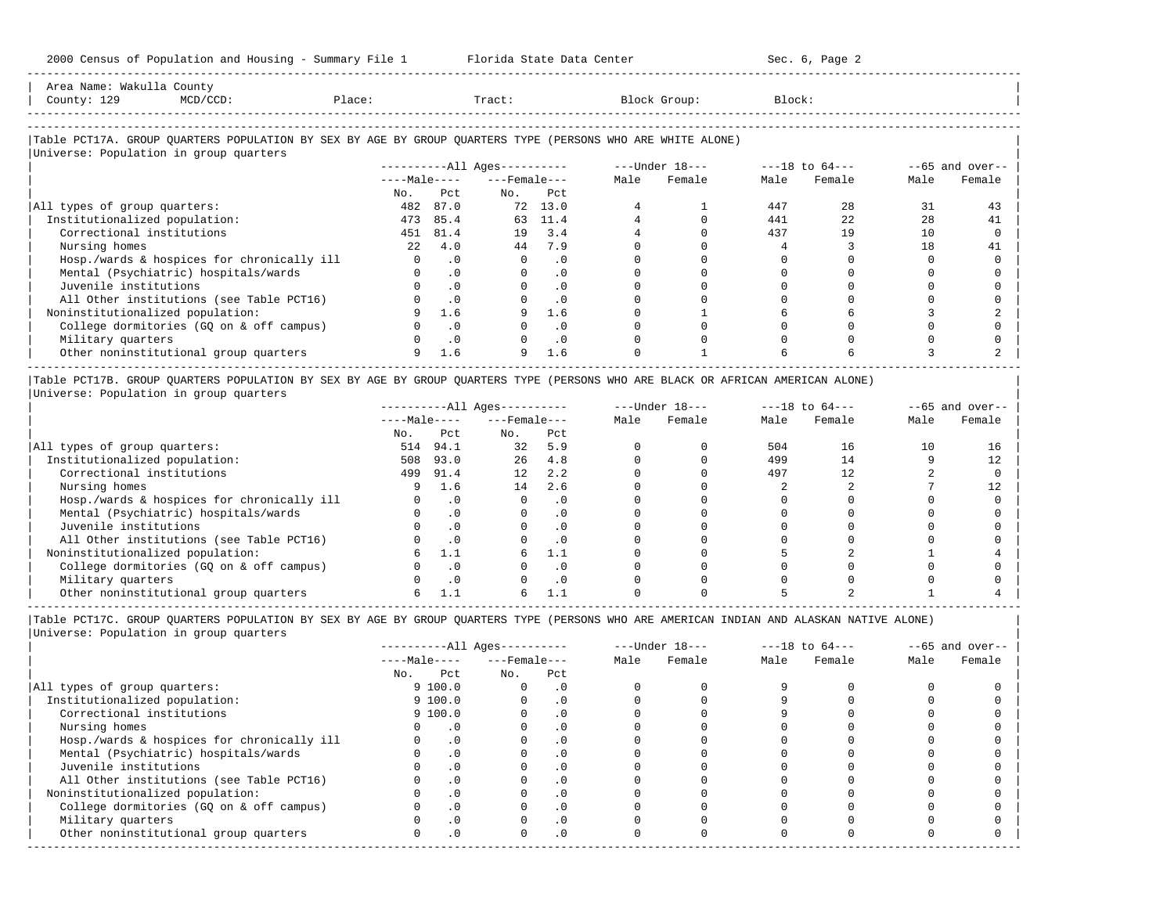| Aros                            |  |  |  |
|---------------------------------|--|--|--|
| 'ດນກາ                           |  |  |  |
| ------------------------------- |  |  |  |

-----------------------------------------------------------------------------------------------------------------------------------------------------

### |Table PCT17A. GROUP QUARTERS POPULATION BY SEX BY AGE BY GROUP QUARTERS TYPE (PERSONS WHO ARE WHITE ALONE) |

|                                            |              |           | $------All Ages------$ |           |      | $---Under 18---$ |      | $---18$ to $64---$ | $--65$ and over-- |        |
|--------------------------------------------|--------------|-----------|------------------------|-----------|------|------------------|------|--------------------|-------------------|--------|
|                                            | $---Male---$ |           | $---$ Female $---$     |           | Male | Female           | Male | Female             | Male              | Female |
|                                            | No.          | Pct       | No.                    | Pct       |      |                  |      |                    |                   |        |
| All types of group quarters:               | 482          | 87.0      | 72                     | 13.0      |      |                  | 447  | 2.8                | 31                | 43     |
| Institutionalized population:              | 473          | 85.4      | 63                     | 11.4      |      |                  | 441  | 2.2.               | 28                | 41     |
| Correctional institutions                  | 451          | 81.4      | 19                     | 3.4       |      |                  | 437  | 19                 | 10                |        |
| Nursing homes                              | 22           | 4.0       | 44                     | 7.9       |      |                  |      |                    | 18                | 41     |
| Hosp./wards & hospices for chronically ill |              | $\cdot$ 0 | $\Omega$               | $\cdot$ 0 |      |                  |      |                    |                   |        |
| Mental (Psychiatric) hospitals/wards       |              | $\cdot$ 0 |                        | $\cdot$ 0 |      |                  |      |                    |                   |        |
| Juvenile institutions                      |              | $\cdot$ 0 |                        | $\cdot$ 0 |      |                  |      |                    |                   |        |
| All Other institutions (see Table PCT16)   |              | $\cdot$ 0 |                        | $\cdot$ 0 |      |                  |      |                    |                   |        |
| Noninstitutionalized population:           |              | 1.6       |                        | 1.6       |      |                  |      |                    |                   |        |
| College dormitories (GQ on & off campus)   |              | $\cdot$ 0 |                        | $\cdot$ 0 |      |                  |      |                    |                   |        |
| Military quarters                          |              | .0        |                        | $\cdot$ 0 |      |                  |      |                    |                   |        |
| Other noninstitutional group quarters      |              | 1.6       | 9                      | 1.6       |      |                  |      |                    |                   |        |

|Table PCT17B. GROUP QUARTERS POPULATION BY SEX BY AGE BY GROUP QUARTERS TYPE (PERSONS WHO ARE BLACK OR AFRICAN AMERICAN ALONE) | |Universe: Population in group quarters |

|                                            |              |           | $------All Ages------$ |           |      | $---Under 18---$ | $---18$ to $64---$ |        | $- -65$ and over-- |        |
|--------------------------------------------|--------------|-----------|------------------------|-----------|------|------------------|--------------------|--------|--------------------|--------|
|                                            | $---Male---$ |           | $---$ Female $---$     |           | Male | Female           | Male               | Female | Male               | Female |
|                                            | No.          | Pct       | No.                    | Pct       |      |                  |                    |        |                    |        |
| All types of group quarters:               | 514          | 94.1      | 32                     | 5.9       |      |                  | 504                | 16     | 10                 | 16     |
| Institutionalized population:              | 508          | 93.0      | 26                     | 4.8       |      |                  | 499                | 14     |                    |        |
| Correctional institutions                  | 499          | 91.4      | 12                     | 2.2       |      |                  | 497                | 12     |                    |        |
| Nursing homes                              |              | 1.6       | 14                     | 2.6       |      |                  |                    |        |                    |        |
| Hosp./wards & hospices for chronically ill |              | . 0       |                        | . 0       |      |                  |                    |        |                    |        |
| Mental (Psychiatric) hospitals/wards       |              |           |                        | $\cdot$ 0 |      |                  |                    |        |                    |        |
| Juvenile institutions                      |              |           |                        | . 0       |      |                  |                    |        |                    |        |
| All Other institutions (see Table PCT16)   |              |           |                        | $\cdot$ 0 |      |                  |                    |        |                    |        |
| Noninstitutionalized population:           |              |           | 6.                     | 1.1       |      |                  |                    |        |                    |        |
| College dormitories (GO on & off campus)   |              |           |                        | $\cdot$ 0 |      |                  |                    |        |                    |        |
| Military quarters                          |              | $\cdot$ 0 |                        | . 0       |      |                  |                    |        |                    |        |
| Other noninstitutional group quarters      |              |           |                        |           |      |                  |                    |        |                    |        |

----------------------------------------------------------------------------------------------------------------------------------------------------- |Table PCT17C. GROUP QUARTERS POPULATION BY SEX BY AGE BY GROUP QUARTERS TYPE (PERSONS WHO ARE AMERICAN INDIAN AND ALASKAN NATIVE ALONE) | |Universe: Population in group quarters |

|                                            |              |              | $------All Aqes------$ |            |      | $---Under 18---$ |      | $---18$ to $64---$ |      | $--65$ and over-- |
|--------------------------------------------|--------------|--------------|------------------------|------------|------|------------------|------|--------------------|------|-------------------|
|                                            |              | $---Male---$ | $---$ Female $---$     |            | Male | Female           | Male | Female             | Male | Female            |
|                                            | No.          | Pct          | No.                    | Pct        |      |                  |      |                    |      |                   |
| All types of group quarters:               |              | 9100.0       |                        | . 0        |      |                  |      |                    |      |                   |
| Institutionalized population:              |              | 9100.0       |                        | $\cdot$ 0  |      |                  |      |                    |      |                   |
| Correctional institutions                  |              | 9100.0       |                        | . 0        |      |                  |      |                    |      |                   |
| Nursing homes                              |              |              |                        | . 0        |      |                  |      |                    |      |                   |
| Hosp./wards & hospices for chronically ill |              | $\cdot$ 0    |                        |            |      |                  |      |                    |      |                   |
| Mental (Psychiatric) hospitals/wards       |              | $\cdot$ 0    |                        | . 0        |      |                  |      |                    |      |                   |
| Juvenile institutions                      |              |              |                        | .0         |      |                  |      |                    |      |                   |
| All Other institutions (see Table PCT16)   |              | $\cdot$ 0    |                        |            |      |                  |      |                    |      |                   |
| Noninstitutionalized population:           |              | $\cdot$ 0    |                        | .0         |      |                  |      |                    |      |                   |
| College dormitories (GQ on & off campus)   |              |              |                        | $\cdot$ 0  |      |                  |      |                    |      |                   |
| Military quarters                          |              | . 0          |                        | . 0        |      |                  |      |                    |      |                   |
| Other noninstitutional group quarters      | <sup>n</sup> | $\cdot$ 0    |                        | $.0 \cdot$ |      |                  |      |                    |      |                   |
|                                            |              |              |                        |            |      |                  |      |                    |      |                   |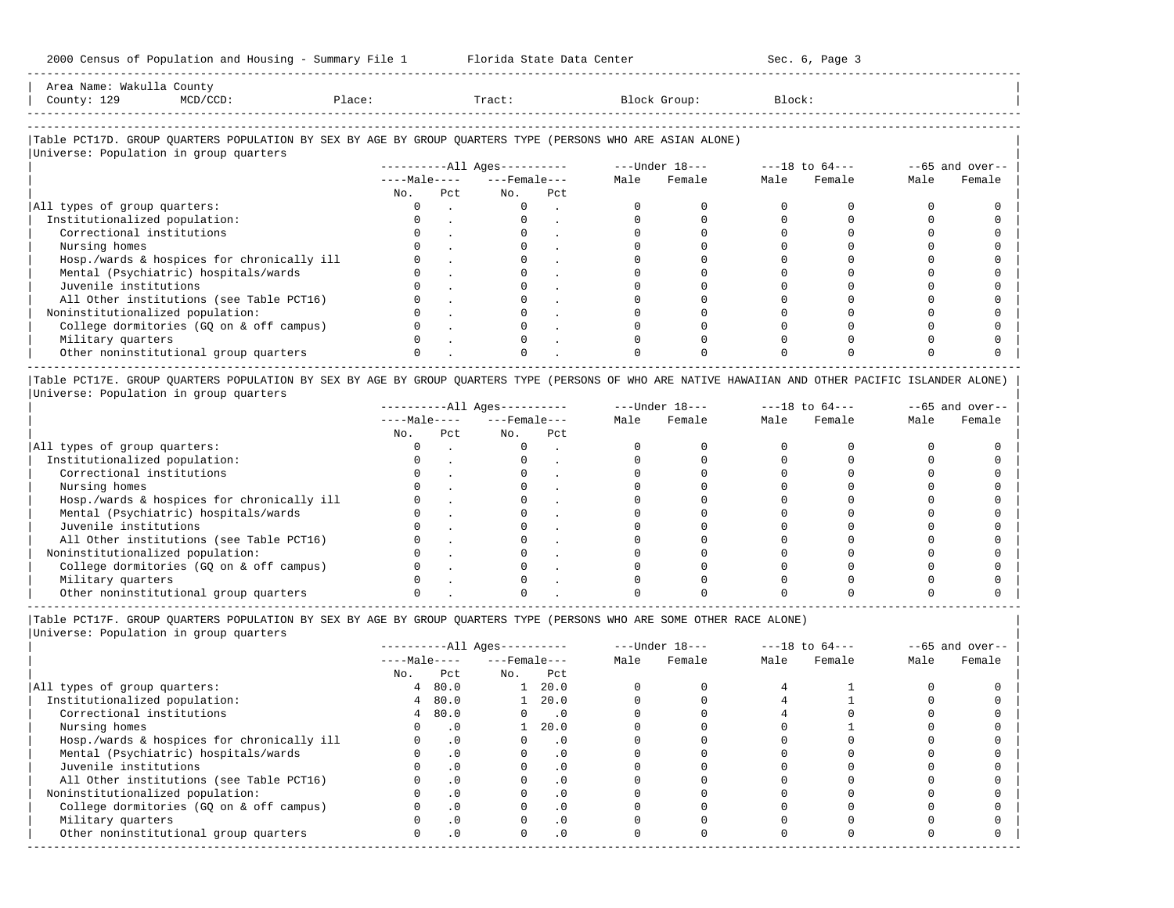| Area Name: Wakulla County |

-----------------------------------------------------------------------------------------------------------------------------------------------------

| Alca Name: Wanulia county<br>County: 129<br>MCD/CCD:                                                       | Place: |      | Tract:                       |     |      | Block Group:   | Block: |                |      |                   |
|------------------------------------------------------------------------------------------------------------|--------|------|------------------------------|-----|------|----------------|--------|----------------|------|-------------------|
| Table PCT17D. GROUP OUARTERS POPULATION BY SEX BY AGE BY GROUP OUARTERS TYPE (PERSONS WHO ARE ASIAN ALONE) |        |      |                              |     |      |                |        |                |      |                   |
| Universe: Population in group quarters                                                                     |        |      | ----------All Ages---------- |     |      | ---Under 18--- |        | ---18 to 64--- |      | $--65$ and over-- |
|                                                                                                            |        |      | $---Male-- ---Female---$     |     | Male | Female         | Male   | Female         | Male | Female            |
|                                                                                                            | No.    | Pct. | No.                          | Pct |      |                |        |                |      |                   |
| All types of group quarters:                                                                               |        |      | $\Omega$                     |     |      |                |        |                |      |                   |
| Institutionalized population:                                                                              |        |      | $\Omega$                     |     |      |                |        |                |      |                   |
| Correctional institutions                                                                                  |        |      |                              |     |      |                |        |                |      |                   |
| Nursing homes                                                                                              |        |      |                              |     |      |                |        |                |      |                   |
| Hosp./wards & hospices for chronically ill                                                                 |        |      |                              |     |      |                |        |                |      |                   |

| College dormitories (GQ on & off campus) 0 . 0 . 0 0 0 0 0 0 | | Military quarters 0 . 0 . 0 0 0 0 0 0 | | Other noninstitutional group quarters 0 . 0 . 0 0 0 0 0 0 | ----------------------------------------------------------------------------------------------------------------------------------------------------- |Table PCT17E. GROUP QUARTERS POPULATION BY SEX BY AGE BY GROUP QUARTERS TYPE (PERSONS OF WHO ARE NATIVE HAWAIIAN AND OTHER PACIFIC ISLANDER ALONE) |

| Mental (Psychiatric) hospitals/wards 0 . 0 . 0 0 0 0 0 0 | | Juvenile institutions 0 . 0 . 0 0 0 0 0 0 | | All Other institutions (see Table PCT16) 0 . 0 . 0 0 0 0 0 0 | | Noninstitutionalized population: 0 . 0 . 0 0 0 0 0 0 |

|Universe: Population in group quarters |

|                                            |              |     | $------All Aqes------$ |     |      | $---Under 18---$ |      | $---18$ to $64---$ |      | $--65$ and over-- |
|--------------------------------------------|--------------|-----|------------------------|-----|------|------------------|------|--------------------|------|-------------------|
|                                            | $---Male---$ |     | $---$ Female $---$     |     | Male | Female           | Male | Female             | Male | Female            |
|                                            | No.          | Pct | No.                    | Pct |      |                  |      |                    |      |                   |
| All types of group quarters:               |              |     |                        |     |      |                  |      |                    |      |                   |
| Institutionalized population:              |              |     |                        |     |      |                  |      |                    |      |                   |
| Correctional institutions                  |              |     |                        |     |      |                  |      |                    |      |                   |
| Nursing homes                              |              |     |                        |     |      |                  |      |                    |      |                   |
| Hosp./wards & hospices for chronically ill |              |     |                        |     |      |                  |      |                    |      |                   |
| Mental (Psychiatric) hospitals/wards       |              |     |                        |     |      |                  |      |                    |      |                   |
| Juvenile institutions                      |              |     |                        |     |      |                  |      |                    |      |                   |
| All Other institutions (see Table PCT16)   |              |     |                        |     |      |                  |      |                    |      |                   |
| Noninstitutionalized population:           |              |     |                        |     |      |                  |      |                    |      |                   |
| College dormitories (GQ on & off campus)   |              |     |                        |     |      |                  |      |                    |      |                   |
| Military quarters                          |              |     |                        |     |      |                  |      |                    |      |                   |
| Other noninstitutional group quarters      |              |     |                        |     |      |                  |      |                    |      |                   |

|Table PCT17F. GROUP QUARTERS POPULATION BY SEX BY AGE BY GROUP QUARTERS TYPE (PERSONS WHO ARE SOME OTHER RACE ALONE) |

|                                            |              |           | ----------All Ages---------- |                             |      | $---Under 18---$ | $---18$ to $64---$ |        | $--65$ and over-- |        |
|--------------------------------------------|--------------|-----------|------------------------------|-----------------------------|------|------------------|--------------------|--------|-------------------|--------|
|                                            | $---Male---$ |           | $---$ Female $---$           |                             | Male | Female           | Male               | Female | Male              | Female |
|                                            | No.          | Pct       | No.                          | Pct                         |      |                  |                    |        |                   |        |
| All types of group quarters:               |              | 480.0     |                              | 20.0                        |      |                  |                    |        |                   |        |
| Institutionalized population:              | 4            | 80.0      |                              | 20.0                        |      |                  |                    |        |                   |        |
| Correctional institutions                  |              | 480.0     |                              | $\overline{\phantom{0}}$ .0 |      |                  |                    |        |                   |        |
| Nursing homes                              |              | $\cdot$ 0 |                              | 20.0                        |      |                  |                    |        |                   |        |
| Hosp./wards & hospices for chronically ill |              | $\cdot$ 0 |                              | $\cdot$ 0                   |      |                  |                    |        |                   |        |
| Mental (Psychiatric) hospitals/wards       |              | $\cdot$ 0 |                              |                             |      |                  |                    |        |                   |        |
| Juvenile institutions                      |              | .0        |                              | $\cdot$ 0                   |      |                  |                    |        |                   |        |
| All Other institutions (see Table PCT16)   |              | $\cdot$ 0 |                              |                             |      |                  |                    |        |                   |        |
| Noninstitutionalized population:           |              | $\cdot$ 0 |                              | $\cdot$ 0                   |      |                  |                    |        |                   |        |
| College dormitories (GQ on & off campus)   |              | $\cdot$ 0 |                              | $\cdot$ 0                   |      |                  |                    |        |                   |        |
| Military quarters                          |              | $\cdot$ 0 |                              | $\cdot$ 0                   |      |                  |                    |        |                   |        |
| Other noninstitutional group quarters      |              | $\cdot$ 0 | O.                           | $\cdot$ 0                   |      |                  |                    |        |                   |        |
|                                            |              |           |                              |                             |      |                  |                    |        |                   |        |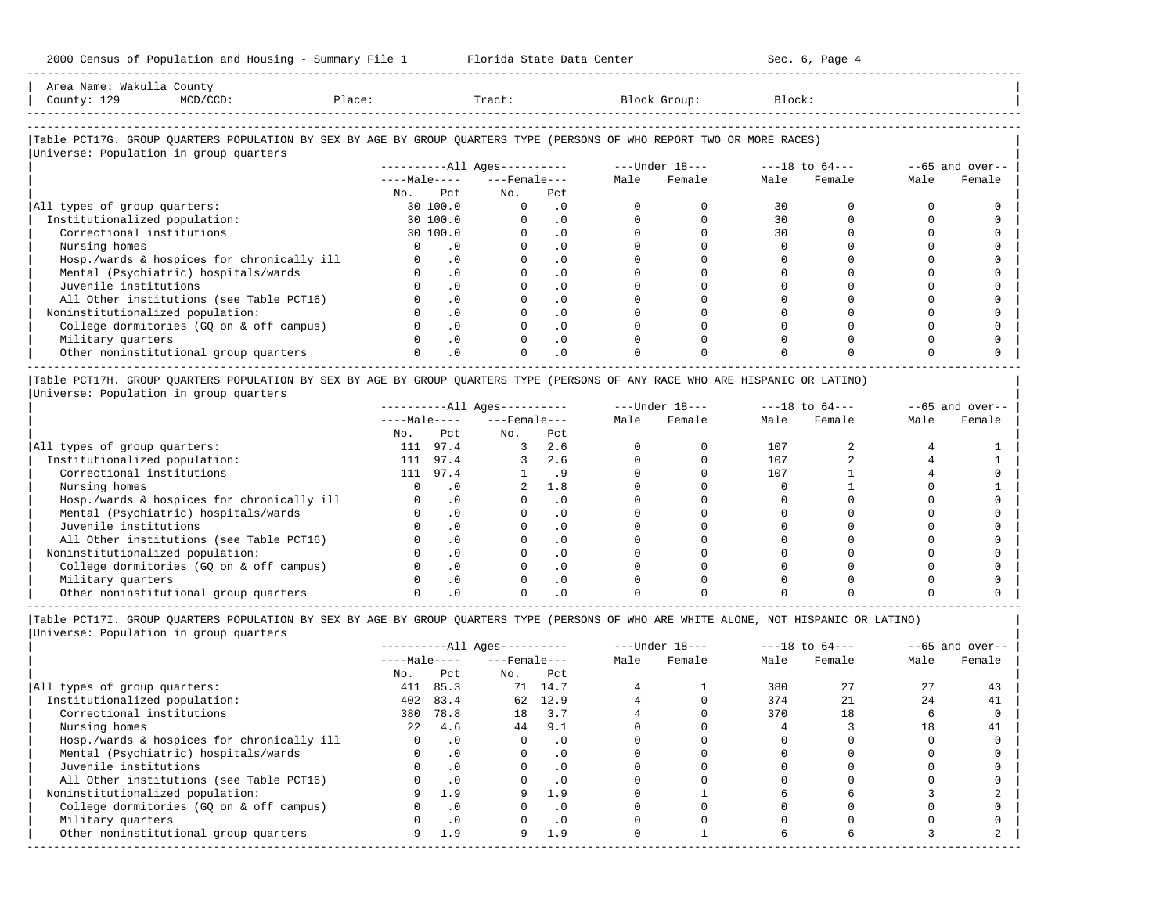| Area Name: Wakulla County<br>County: 129 | MCD/CCD: | Place: | Tract: | Block Group:                                                                                                           | Block: |  |
|------------------------------------------|----------|--------|--------|------------------------------------------------------------------------------------------------------------------------|--------|--|
|                                          |          |        |        |                                                                                                                        |        |  |
| Universe: Population in group quarters   |          |        |        | Table PCT17G. GROUP QUARTERS POPULATION BY SEX BY AGE BY GROUP QUARTERS TYPE (PERSONS OF WHO REPORT TWO OR MORE RACES) |        |  |

-----------------------------------------------------------------------------------------------------------------------------------------------------

|                                            |              |           | $------All Aqes------$ |           |      | $---Under 18---$ | $---18$ to $64---$ |        | $- -65$ and over-- |        |
|--------------------------------------------|--------------|-----------|------------------------|-----------|------|------------------|--------------------|--------|--------------------|--------|
|                                            | $---Male---$ |           | $---$ Female $---$     |           | Male | Female           | Male               | Female | Male               | Female |
|                                            | No.          | Pct.      | No.                    | Pct       |      |                  |                    |        |                    |        |
| All types of group quarters:               |              | 30 100.0  |                        | . 0       |      |                  | 30                 |        |                    |        |
| Institutionalized population:              |              | 30 100.0  |                        |           |      |                  | 30                 |        |                    |        |
| Correctional institutions                  |              | 30 100.0  |                        |           |      |                  | 30                 |        |                    |        |
| Nursing homes                              |              |           |                        |           |      |                  |                    |        |                    |        |
| Hosp./wards & hospices for chronically ill |              | $\cdot$ 0 |                        |           |      |                  |                    |        |                    |        |
| Mental (Psychiatric) hospitals/wards       |              |           |                        |           |      |                  |                    |        |                    |        |
| Juvenile institutions                      |              | . 0       |                        |           |      |                  |                    |        |                    |        |
| All Other institutions (see Table PCT16)   |              |           |                        |           |      |                  |                    |        |                    |        |
| Noninstitutionalized population:           |              |           |                        |           |      |                  |                    |        |                    |        |
| College dormitories (GO on & off campus)   |              | $\Omega$  |                        | $\cdot$ 0 |      |                  |                    |        |                    |        |
| Military quarters                          |              |           |                        |           |      |                  |                    |        |                    |        |
| Other noninstitutional group quarters      |              | $\cdot$ 0 |                        | $\cdot$ 0 |      |                  |                    |        |                    |        |

|Table PCT17H. GROUP QUARTERS POPULATION BY SEX BY AGE BY GROUP QUARTERS TYPE (PERSONS OF ANY RACE WHO ARE HISPANIC OR LATINO) | |Universe: Population in group quarters |

|                                            |              |      | $------All Aqes------$ |     |      | $---Under 18---$ | $---18$ to $64---$ |        | $--65$ and over-- |        |
|--------------------------------------------|--------------|------|------------------------|-----|------|------------------|--------------------|--------|-------------------|--------|
|                                            | $---Male---$ |      | $---$ Female $---$     |     | Male | Female           | Male               | Female | Male              | Female |
|                                            | No.          | Pct  | No.                    | Pct |      |                  |                    |        |                   |        |
| All types of group quarters:               | 111          | 97.4 |                        | 2.6 |      |                  | 107                |        |                   |        |
| Institutionalized population:              | 111          | 97.4 |                        | 2.6 |      |                  | 107                |        |                   |        |
| Correctional institutions                  | 111          | 97.4 |                        |     |      |                  | 107                |        |                   |        |
| Nursing homes                              |              |      |                        | 1.8 |      |                  |                    |        |                   |        |
| Hosp./wards & hospices for chronically ill |              |      |                        |     |      |                  |                    |        |                   |        |
| Mental (Psychiatric) hospitals/wards       |              |      |                        |     |      |                  |                    |        |                   |        |
| Juvenile institutions                      |              |      |                        |     |      |                  |                    |        |                   |        |
| All Other institutions (see Table PCT16)   |              |      |                        |     |      |                  |                    |        |                   |        |
| Noninstitutionalized population:           |              |      |                        | . 0 |      |                  |                    |        |                   |        |
| College dormitories (GO on & off campus)   |              |      |                        |     |      |                  |                    |        |                   |        |
| Military quarters                          |              |      |                        | . 0 |      |                  |                    |        |                   |        |
| Other noninstitutional group quarters      |              |      |                        |     |      |                  |                    |        |                   |        |

-----------------------------------------------------------------------------------------------------------------------------------------------------

|Table PCT17I. GROUP QUARTERS POPULATION BY SEX BY AGE BY GROUP QUARTERS TYPE (PERSONS OF WHO ARE WHITE ALONE, NOT HISPANIC OR LATINO) | |Universe: Population in group quarters |

|                                            |                  |          | $------All Ages------$ |           |      | $---Under 18---$ | $---18$ to $64---$ |        | $--65$ and over-- |        |
|--------------------------------------------|------------------|----------|------------------------|-----------|------|------------------|--------------------|--------|-------------------|--------|
|                                            | $---Male---$     |          | $---$ Female $---$     |           | Male | Female           | Male               | Female | Male              | Female |
|                                            | No.              | Pct      | No.                    | Pct       |      |                  |                    |        |                   |        |
| All types of group quarters:               | 411              | 85.3     | 71                     | 14.7      |      |                  | 380                |        |                   |        |
| Institutionalized population:              | 402              | 83.4     | 62                     | 12.9      |      |                  | 374                |        | 24                | 41     |
| Correctional institutions                  | 380              | 78.8     | 18                     | 3.7       |      |                  | 370                | 18     |                   |        |
| Nursing homes                              | 2.2 <sub>1</sub> | 4.6      | 44                     | 9.1       |      |                  |                    |        | 18                | 41     |
| Hosp./wards & hospices for chronically ill |                  |          |                        | . 0       |      |                  |                    |        |                   |        |
| Mental (Psychiatric) hospitals/wards       |                  | .0       |                        | $\cdot$ 0 |      |                  |                    |        |                   |        |
| Juvenile institutions                      |                  |          |                        | $\cdot$ 0 |      |                  |                    |        |                   |        |
| All Other institutions (see Table PCT16)   |                  | $\Omega$ |                        | $\cdot$ 0 |      |                  |                    |        |                   |        |
| Noninstitutionalized population:           |                  | 1.9      |                        | 1.9       |      |                  |                    |        |                   |        |
| College dormitories (GQ on & off campus)   |                  | $\Omega$ |                        | . 0       |      |                  |                    |        |                   |        |
| Military quarters                          |                  |          |                        |           |      |                  |                    |        |                   |        |
| Other noninstitutional group quarters      |                  |          |                        |           |      |                  |                    |        |                   |        |

-----------------------------------------------------------------------------------------------------------------------------------------------------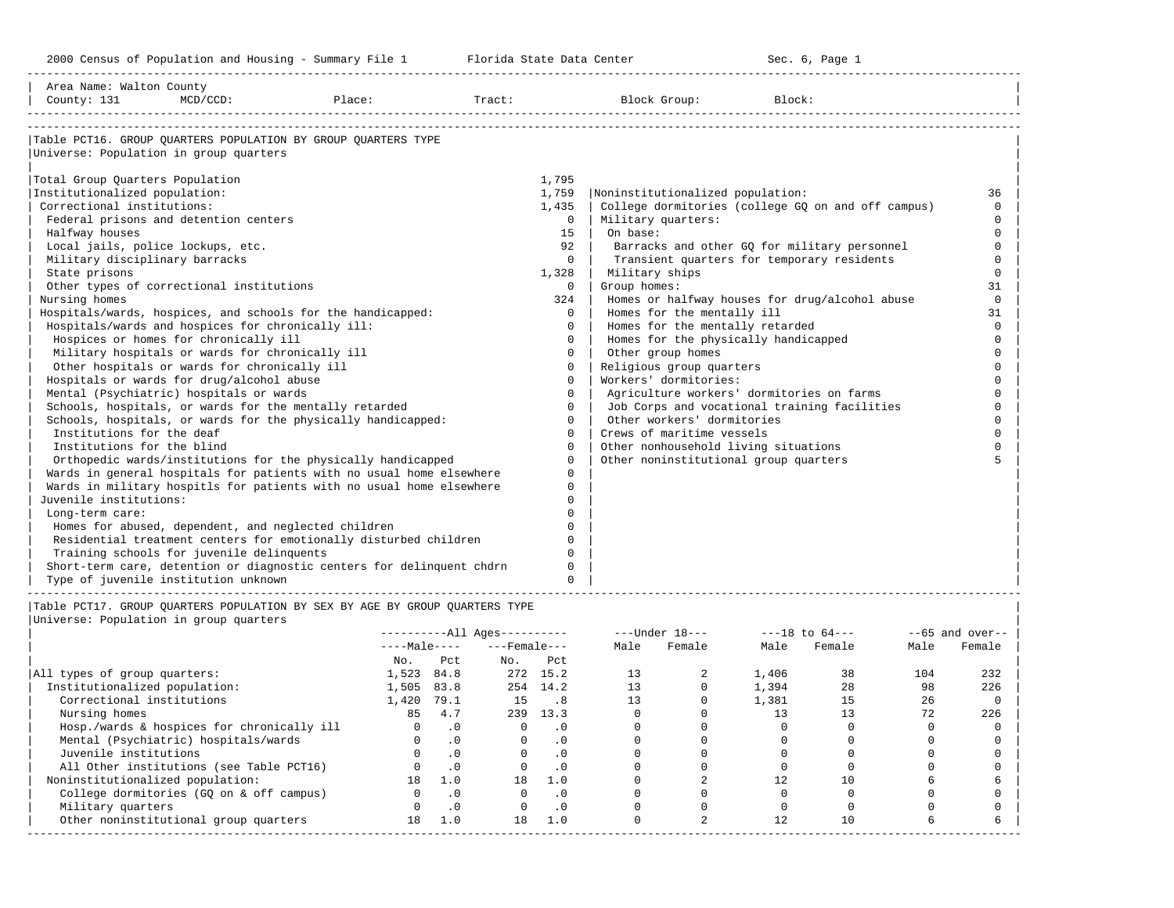-----------------------------------------------------------------------------------------------------------------------------------------------------

| Area Name: Walton County<br>County: 131           | $MCD/CCD$ : | Place:                                                                      | Tract: |          | Block Group:                          | Block:                                             |          |
|---------------------------------------------------|-------------|-----------------------------------------------------------------------------|--------|----------|---------------------------------------|----------------------------------------------------|----------|
|                                                   |             |                                                                             |        |          |                                       |                                                    |          |
|                                                   |             | Table PCT16. GROUP OUARTERS POPULATION BY GROUP OUARTERS TYPE               |        |          |                                       |                                                    |          |
| Universe: Population in group quarters            |             |                                                                             |        |          |                                       |                                                    |          |
| Total Group Quarters Population                   |             |                                                                             |        | 1,795    |                                       |                                                    |          |
| Institutionalized population:                     |             |                                                                             |        | 1,759    | Noninstitutionalized population:      |                                                    | 36       |
| Correctional institutions:                        |             |                                                                             |        | 1,435    |                                       | College dormitories (college GQ on and off campus) | $\Omega$ |
| Federal prisons and detention centers             |             |                                                                             |        | $\Omega$ | Military quarters:                    |                                                    | $\Omega$ |
| Halfway houses                                    |             |                                                                             |        | 1.5      | On base:                              |                                                    | $\Omega$ |
| Local jails, police lockups, etc.                 |             |                                                                             |        | 92       |                                       | Barracks and other GQ for military personnel       | $\Omega$ |
| Military disciplinary barracks                    |             |                                                                             |        | $\Omega$ |                                       | Transient quarters for temporary residents         | $\Omega$ |
| State prisons                                     |             |                                                                             |        | 1,328    | Military ships                        |                                                    | $\Omega$ |
| Other types of correctional institutions          |             |                                                                             |        | $\Omega$ | Group homes:                          |                                                    | 31       |
| Nursing homes                                     |             |                                                                             |        | 324      |                                       | Homes or halfway houses for drug/alcohol abuse     | $\Omega$ |
|                                                   |             | Hospitals/wards, hospices, and schools for the handicapped:                 |        | $\Omega$ | Homes for the mentally ill            |                                                    | 31       |
| Hospitals/wards and hospices for chronically ill: |             |                                                                             |        | $\Omega$ | Homes for the mentally retarded       |                                                    | $\Omega$ |
| Hospices or homes for chronically ill             |             |                                                                             |        | $\Omega$ | Homes for the physically handicapped  |                                                    | $\cap$   |
| Military hospitals or wards for chronically ill   |             |                                                                             |        | $\Omega$ | Other group homes                     |                                                    | $\Omega$ |
| Other hospitals or wards for chronically ill      |             |                                                                             |        | $\Omega$ | Religious group quarters              |                                                    | $\Omega$ |
| Hospitals or wards for drug/alcohol abuse         |             |                                                                             |        | $\Omega$ | Workers' dormitories:                 |                                                    | $\cap$   |
| Mental (Psychiatric) hospitals or wards           |             |                                                                             |        | $\Omega$ |                                       | Agriculture workers' dormitories on farms          | $\cap$   |
|                                                   |             | Schools, hospitals, or wards for the mentally retarded                      |        | $\Omega$ |                                       | Job Corps and vocational training facilities       | $\Omega$ |
|                                                   |             | Schools, hospitals, or wards for the physically handicapped:                |        | $\Omega$ | Other workers' dormitories            |                                                    |          |
| Institutions for the deaf                         |             |                                                                             |        | $\Omega$ | Crews of maritime vessels             |                                                    |          |
| Institutions for the blind                        |             |                                                                             |        | $\Omega$ | Other nonhousehold living situations  |                                                    |          |
|                                                   |             | Orthopedic wards/institutions for the physically handicapped                |        | $\Omega$ | Other noninstitutional group quarters |                                                    |          |
|                                                   |             | Wards in general hospitals for patients with no usual home elsewhere        |        | $\Omega$ |                                       |                                                    |          |
|                                                   |             | Wards in military hospitls for patients with no usual home elsewhere        |        | $\Omega$ |                                       |                                                    |          |
| Juvenile institutions:                            |             |                                                                             |        | $\Omega$ |                                       |                                                    |          |
| Long-term care:                                   |             |                                                                             |        | $\Omega$ |                                       |                                                    |          |
|                                                   |             | Homes for abused, dependent, and neglected children                         |        | $\Omega$ |                                       |                                                    |          |
|                                                   |             | Residential treatment centers for emotionally disturbed children            |        | $\Omega$ |                                       |                                                    |          |
| Training schools for juvenile delinquents         |             |                                                                             |        |          |                                       |                                                    |          |
|                                                   |             | Short-term care, detention or diagnostic centers for delinquent chdrn       |        | $\Omega$ |                                       |                                                    |          |
| Type of juvenile institution unknown              |             |                                                                             |        | $\Omega$ |                                       |                                                    |          |
|                                                   |             | Table PCT17. GROUP OUARTERS POPULATION BY SEX BY AGE BY GROUP OUARTERS TYPE |        |          |                                       |                                                    |          |

|                                            |              |           | $------All Aqes------$ |           |      | $---Under 18---$ |       | $---18$ to $64---$ | $- -65$ and over-- |        |
|--------------------------------------------|--------------|-----------|------------------------|-----------|------|------------------|-------|--------------------|--------------------|--------|
|                                            | $---Male---$ |           | $---$ Female $---$     |           | Male | Female           | Male  | Female             | Male               | Female |
|                                            | No.          | Pct       | No.                    | Pct       |      |                  |       |                    |                    |        |
| All types of group quarters:               | 1,523        | 84.8      | 272                    | 15.2      | 13   |                  | 1,406 | 38                 | 104                | 232    |
| Institutionalized population:              | 1,505        | 83.8      |                        | 254 14.2  | 13   |                  | 1,394 | 28                 | 98                 | 226    |
| Correctional institutions                  | 1,420        | 79.1      | 15                     | . 8       | 13   |                  | 1,381 | 15                 | 26                 |        |
| Nursing homes                              | 85           | 4.7       | 239                    | 13.3      |      |                  |       | 13                 | 72                 | 226    |
| Hosp./wards & hospices for chronically ill |              | $\cdot$ 0 |                        | . 0       |      |                  |       |                    |                    |        |
| Mental (Psychiatric) hospitals/wards       |              | $\cdot$ 0 |                        | $\cdot$ 0 |      |                  |       |                    |                    |        |
| Juvenile institutions                      |              | $\cdot$ 0 |                        | $\cdot$ 0 |      |                  |       |                    |                    |        |
| All Other institutions (see Table PCT16)   |              | $\cdot$ 0 |                        | . 0       |      |                  |       |                    |                    |        |
| Noninstitutionalized population:           | 18           | 1.0       | 18                     | 1.0       |      |                  | 12    | 10                 |                    |        |
| College dormitories (GO on & off campus)   |              | $\cdot$ 0 |                        | $\cdot$ 0 |      |                  |       |                    |                    |        |
| Military quarters                          |              | $\cdot$ 0 |                        | $\cdot$ 0 |      |                  |       |                    |                    |        |
| Other noninstitutional group quarters      | 18           | 1.0       | 18                     | 1.0       |      |                  |       | 10                 |                    |        |
|                                            |              |           |                        |           |      |                  |       |                    |                    |        |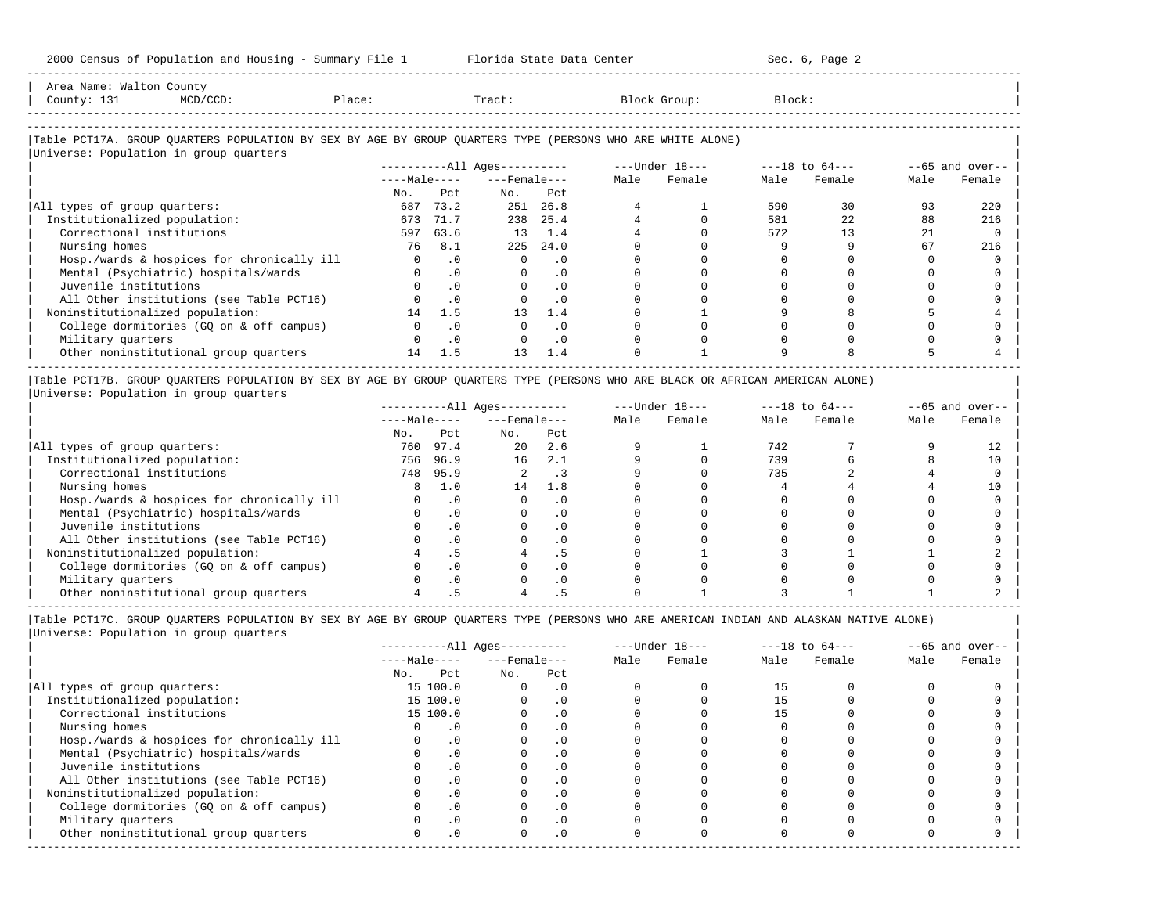| Area Name:                |        |       |        |
|---------------------------|--------|-------|--------|
| Count <sup>-</sup><br>ᆂᇦᆂ | Place: | "ract | Block: |
|                           |        |       |        |
|                           |        |       |        |

-----------------------------------------------------------------------------------------------------------------------------------------------------

#### |Table PCT17A. GROUP QUARTERS POPULATION BY SEX BY AGE BY GROUP QUARTERS TYPE (PERSONS WHO ARE WHITE ALONE) |  $\overline{\phantom{a}}$ Universe: Population in group quarters

| UNIVELSE, POPULACION IN GIOUP QUALCELS     |              |           |                        |           |      |                  |      |                    |                    |        |
|--------------------------------------------|--------------|-----------|------------------------|-----------|------|------------------|------|--------------------|--------------------|--------|
|                                            |              |           | $------All Ages------$ |           |      | $---Under 18---$ |      | $---18$ to $64---$ | $- -65$ and over-- |        |
|                                            | $---Male---$ |           | $---$ Female $---$     |           | Male | Female           | Male | Female             | Male               | Female |
|                                            | No.          | Pct       | No.                    | Pct       |      |                  |      |                    |                    |        |
| All types of group quarters:               | 687          | 73.2      | 251                    | 26.8      |      |                  | 590  | 30                 | 93                 | 220    |
| Institutionalized population:              | 673          | 71.7      | 238                    | 25.4      |      |                  | 581  | 22                 | 88                 | 216    |
| Correctional institutions                  | 597          | 63.6      | 13                     | 1.4       |      |                  | 572  | 13                 | 21                 |        |
| Nursing homes                              | 76           | 8.1       | 225                    | 24.0      |      |                  |      |                    | 67                 | 216    |
| Hosp./wards & hospices for chronically ill |              | $\cdot$ 0 |                        | . 0       |      |                  |      |                    |                    |        |
| Mental (Psychiatric) hospitals/wards       |              | $\cdot$ 0 |                        | $\cdot$ 0 |      |                  |      |                    |                    |        |
| Juvenile institutions                      |              | $\cdot$ 0 |                        |           |      |                  |      |                    |                    |        |
| All Other institutions (see Table PCT16)   |              | $\cdot$ 0 |                        | $\cdot$ 0 |      |                  |      |                    |                    |        |
| Noninstitutionalized population:           | 14           | 1.5       | 13                     | 1.4       |      |                  |      |                    |                    |        |
| College dormitories (GQ on & off campus)   |              |           |                        |           |      |                  |      |                    |                    |        |
| Military quarters                          |              | $\cdot$ 0 |                        | $\cdot$ 0 |      |                  |      |                    |                    |        |
| Other noninstitutional group quarters      | 14           | 1.5       | 13                     | 1.4       |      |                  |      |                    |                    |        |

|Table PCT17B. GROUP QUARTERS POPULATION BY SEX BY AGE BY GROUP QUARTERS TYPE (PERSONS WHO ARE BLACK OR AFRICAN AMERICAN ALONE) | |Universe: Population in group quarters |

|                                            |              |      | $------All Aqes------$ |           | $---Under 18---$ |        | $---18$ to $64---$ |        | $- -65$ and over-- |        |
|--------------------------------------------|--------------|------|------------------------|-----------|------------------|--------|--------------------|--------|--------------------|--------|
|                                            | $---Male---$ |      | $---$ Female $---$     |           | Male             | Female | Male               | Female | Male               | Female |
|                                            | No.          | Pct  | No.                    | Pct       |                  |        |                    |        |                    |        |
| All types of group quarters:               | 760          | 97.4 | 20                     | 2.6       |                  |        | 742                |        |                    |        |
| Institutionalized population:              | 756          | 96.9 | 16                     | 2.1       |                  |        | 739                |        |                    | 10     |
| Correctional institutions                  | 748          | 95.9 |                        | . 3       |                  |        | 735                |        |                    |        |
| Nursing homes                              |              | 1.0  | 14                     | 1.8       |                  |        |                    |        |                    |        |
| Hosp./wards & hospices for chronically ill |              | . 0  |                        | . 0       |                  |        |                    |        |                    |        |
| Mental (Psychiatric) hospitals/wards       |              |      |                        | . 0       |                  |        |                    |        |                    |        |
| Juvenile institutions                      |              |      |                        | . 0       |                  |        |                    |        |                    |        |
| All Other institutions (see Table PCT16)   |              |      |                        | $\cdot$ 0 |                  |        |                    |        |                    |        |
| Noninstitutionalized population:           |              |      |                        | د .       |                  |        |                    |        |                    |        |
| College dormitories (GO on & off campus)   |              |      |                        | $\cdot$ 0 |                  |        |                    |        |                    |        |
| Military quarters                          |              |      |                        | . 0       |                  |        |                    |        |                    |        |
| Other noninstitutional group quarters      |              |      |                        |           |                  |        |                    |        |                    |        |

-----------------------------------------------------------------------------------------------------------------------------------------------------

|Table PCT17C. GROUP QUARTERS POPULATION BY SEX BY AGE BY GROUP QUARTERS TYPE (PERSONS WHO ARE AMERICAN INDIAN AND ALASKAN NATIVE ALONE) | |Universe: Population in group quarters |

|                                            |              | $------All Aqes------$ |                    |            |      | $---Under 18---$ |      | $---18$ to $64---$ | $- -65$ and over-- |        |
|--------------------------------------------|--------------|------------------------|--------------------|------------|------|------------------|------|--------------------|--------------------|--------|
|                                            | $---Male---$ |                        | $---$ Female $---$ |            | Male | Female           | Male | Female             | Male               | Female |
|                                            | No.          | Pct                    | No.                | Pct        |      |                  |      |                    |                    |        |
| All types of group quarters:               |              | 15 100.0               |                    | . 0        |      |                  | 15   |                    |                    |        |
| Institutionalized population:              |              | 15 100.0               |                    | $\cdot$ 0  |      |                  |      |                    |                    |        |
| Correctional institutions                  |              | 15 100.0               |                    | . 0        |      |                  |      |                    |                    |        |
| Nursing homes                              |              |                        |                    | $\cdot$ 0  |      |                  |      |                    |                    |        |
| Hosp./wards & hospices for chronically ill |              | $\cdot$ 0              |                    |            |      |                  |      |                    |                    |        |
| Mental (Psychiatric) hospitals/wards       |              | $\cdot$ 0              |                    | . 0        |      |                  |      |                    |                    |        |
| Juvenile institutions                      |              |                        |                    | . 0        |      |                  |      |                    |                    |        |
| All Other institutions (see Table PCT16)   |              | $\cdot$ 0              |                    |            |      |                  |      |                    |                    |        |
| Noninstitutionalized population:           |              | $\cdot$ 0              |                    | .0         |      |                  |      |                    |                    |        |
| College dormitories (GQ on & off campus)   |              |                        |                    | $\cdot$ 0  |      |                  |      |                    |                    |        |
| Military quarters                          |              | . 0                    |                    | $\cdot$ 0  |      |                  |      |                    |                    |        |
| Other noninstitutional group quarters      | <sup>n</sup> | $\cdot$ 0              |                    | $.0 \cdot$ |      |                  |      |                    |                    |        |
|                                            |              |                        |                    |            |      |                  |      |                    |                    |        |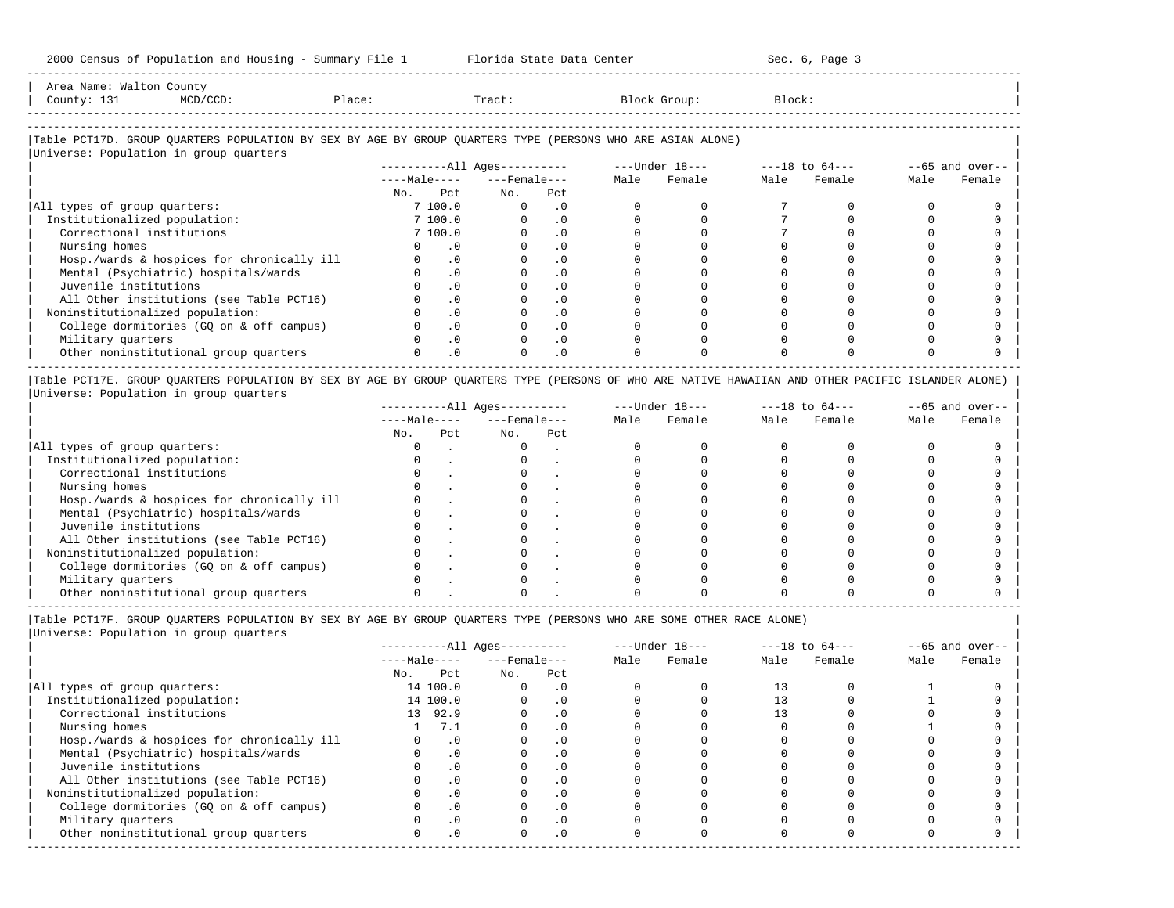-----------------------------------------------------------------------------------------------------------------------------------------------------

| Area<br>Name<br>va. | Count,                                                                                                          |      |       |        |        |
|---------------------|-----------------------------------------------------------------------------------------------------------------|------|-------|--------|--------|
| County<br>-- - -    | the contract of the contract of the contract of the contract of the contract of the contract of the contract of | lact | Tract | Jroup: | Block' |
|                     |                                                                                                                 |      |       |        |        |

-----------------------------------------------------------------------------------------------------------------------------------------------------

## |Table PCT17D. GROUP QUARTERS POPULATION BY SEX BY AGE BY GROUP QUARTERS TYPE (PERSONS WHO ARE ASIAN ALONE) |

|                                            |              |           | $------All Aqes------$ |           |      | ---Under 18--- |      | $---18$ to $64---$ | $--65$ and over-- |        |
|--------------------------------------------|--------------|-----------|------------------------|-----------|------|----------------|------|--------------------|-------------------|--------|
|                                            | $---Male---$ |           | $---$ Female $---$     |           | Male | Female         | Male | Female             | Male              | Female |
|                                            | No.          | Pct       | No.                    | Pct       |      |                |      |                    |                   |        |
| All types of group quarters:               |              | 7 100.0   | $\Omega$               | . 0       |      |                |      |                    |                   |        |
| Institutionalized population:              |              | 7 100.0   |                        | $\cdot$ 0 |      |                |      |                    |                   |        |
| Correctional institutions                  |              | 7 100.0   |                        | $\cdot$ 0 |      |                |      |                    |                   |        |
| Nursing homes                              |              | . 0       |                        |           |      |                |      |                    |                   |        |
| Hosp./wards & hospices for chronically ill |              | $\cdot$ 0 |                        | . 0       |      |                |      |                    |                   |        |
| Mental (Psychiatric) hospitals/wards       |              | $\cdot$ 0 |                        | $\cdot$ 0 |      |                |      |                    |                   |        |
| Juvenile institutions                      |              | $\cdot$ 0 |                        |           |      |                |      |                    |                   |        |
| All Other institutions (see Table PCT16)   |              | $\cdot$ 0 |                        | $\cdot$ 0 |      |                |      |                    |                   |        |
| Noninstitutionalized population:           |              | $\cdot$ 0 |                        | $\cdot$ 0 |      |                |      |                    |                   |        |
| College dormitories (GQ on & off campus)   |              | $\cdot$ 0 |                        | $\cdot$ 0 |      |                |      |                    |                   |        |
| Military quarters                          |              | $\cdot$ 0 |                        | $\cdot$ 0 |      |                |      |                    |                   |        |
| Other noninstitutional group quarters      |              | $\cdot$ 0 |                        | $\cdot$ 0 |      |                |      |                    |                   |        |

|Table PCT17E. GROUP QUARTERS POPULATION BY SEX BY AGE BY GROUP QUARTERS TYPE (PERSONS OF WHO ARE NATIVE HAWAIIAN AND OTHER PACIFIC ISLANDER ALONE) | |Universe: Population in group quarters |

|                                            |              |     | $------All Aqes------$ |     | $---Under 18---$ |        | $---18$ to $64---$ |        | $--65$ and over-- |        |
|--------------------------------------------|--------------|-----|------------------------|-----|------------------|--------|--------------------|--------|-------------------|--------|
|                                            | $---Male---$ |     | $---$ Female $---$     |     | Male             | Female | Male               | Female | Male              | Female |
|                                            | No.          | Pct | No.                    | Pct |                  |        |                    |        |                   |        |
| All types of group quarters:               |              |     |                        |     |                  |        |                    |        |                   |        |
| Institutionalized population:              |              |     |                        |     |                  |        |                    |        |                   |        |
| Correctional institutions                  |              |     |                        |     |                  |        |                    |        |                   |        |
| Nursing homes                              |              |     |                        |     |                  |        |                    |        |                   |        |
| Hosp./wards & hospices for chronically ill |              |     |                        |     |                  |        |                    |        |                   |        |
| Mental (Psychiatric) hospitals/wards       |              |     |                        |     |                  |        |                    |        |                   |        |
| Juvenile institutions                      |              |     |                        |     |                  |        |                    |        |                   |        |
| All Other institutions (see Table PCT16)   |              |     |                        |     |                  |        |                    |        |                   |        |
| Noninstitutionalized population:           |              |     |                        |     |                  |        |                    |        |                   |        |
| College dormitories (GO on & off campus)   |              |     |                        |     |                  |        |                    |        |                   |        |
| Military quarters                          |              |     |                        |     |                  |        |                    |        |                   |        |
| Other noninstitutional group quarters      |              |     |                        |     |                  |        |                    |        |                   |        |

----------------------------------------------------------------------------------------------------------------------------------------------------- |Table PCT17F. GROUP QUARTERS POPULATION BY SEX BY AGE BY GROUP QUARTERS TYPE (PERSONS WHO ARE SOME OTHER RACE ALONE) |

|                                            |              | $------All Aqes------$ |                    |           |      | $---Under 18---$ |      | $---18$ to $64---$ | $- -65$ and over-- |        |
|--------------------------------------------|--------------|------------------------|--------------------|-----------|------|------------------|------|--------------------|--------------------|--------|
|                                            | $---Male---$ |                        | $---$ Female $---$ |           | Male | Female           | Male | Female             | Male               | Female |
|                                            | No.          | Pct                    | No.                | Pct       |      |                  |      |                    |                    |        |
| All types of group quarters:               |              | 14 100.0               | 0                  | $\cdot$ 0 |      |                  | 13   |                    |                    |        |
| Institutionalized population:              |              | 14 100.0               |                    | $\cdot$ 0 |      |                  |      |                    |                    |        |
| Correctional institutions                  |              | 13 92.9                |                    | $\cdot$ 0 |      |                  | 13   |                    |                    |        |
| Nursing homes                              |              | 7.1                    |                    | $\cdot$ 0 |      |                  |      |                    |                    |        |
| Hosp./wards & hospices for chronically ill |              | $\cdot$ 0              |                    | $\cdot$ 0 |      |                  |      |                    |                    |        |
| Mental (Psychiatric) hospitals/wards       |              | $\cdot$ 0              |                    | $\cdot$ 0 |      |                  |      |                    |                    |        |
| Juvenile institutions                      |              | $\cdot$ 0              |                    | $\Omega$  |      |                  |      |                    |                    |        |
| All Other institutions (see Table PCT16)   |              | .0                     |                    | $\cdot$ 0 |      |                  |      |                    |                    |        |
| Noninstitutionalized population:           |              | $\cdot$ 0              |                    | . 0       |      |                  |      |                    |                    |        |
| College dormitories (GO on & off campus)   |              | $\cdot$ 0              |                    |           |      |                  |      |                    |                    |        |
| Military quarters                          |              | $\cdot$ 0              |                    | $\cdot$ 0 |      |                  |      |                    |                    |        |
| Other noninstitutional group quarters      |              | $\cdot$ 0              | $\Omega$           | $\cdot$ 0 |      |                  |      |                    |                    |        |
|                                            |              |                        |                    |           |      |                  |      |                    |                    |        |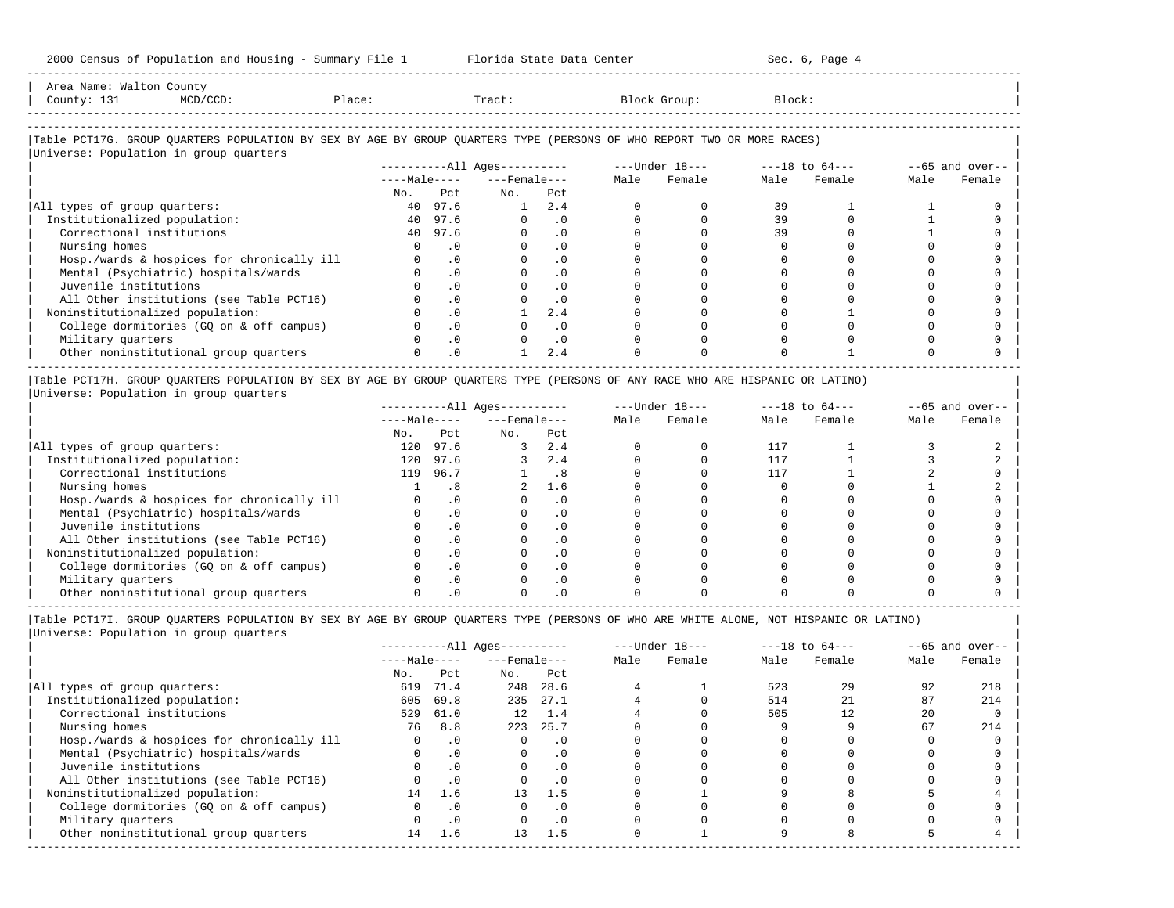| Area Name: Walton County<br>County: 131<br>$MCD/CCD$ :                                                                                                           | Place: |           | Tract:                       |           | Block Group:                   | Block: |        |      |                   |
|------------------------------------------------------------------------------------------------------------------------------------------------------------------|--------|-----------|------------------------------|-----------|--------------------------------|--------|--------|------|-------------------|
| Table PCT17G. GROUP QUARTERS POPULATION BY SEX BY AGE BY GROUP QUARTERS TYPE (PERSONS OF WHO REPORT TWO OR MORE RACES)<br>Universe: Population in group quarters |        |           |                              |           |                                |        |        |      |                   |
|                                                                                                                                                                  |        |           | ----------All Ages---------- |           | $---Under 18-- ---18 to 64---$ |        |        |      | $--65$ and over-- |
|                                                                                                                                                                  |        |           | $---Male-- ---Female---$     |           | Male Female                    | Male   | Female | Male | Female            |
|                                                                                                                                                                  |        | No. Pct   | No.                          | Pct       |                                |        |        |      |                   |
| All types of group quarters:                                                                                                                                     |        | 40 97.6   | 1                            | 2.4       |                                | 39     |        |      |                   |
| Institutionalized population:                                                                                                                                    |        | 40 97.6   | $\Omega$                     | $\cdot$ 0 |                                | 39     |        |      |                   |
| Correctional institutions                                                                                                                                        |        | 40 97.6   |                              | $\cdot$ 0 |                                | 39     |        |      |                   |
| Nursing homes                                                                                                                                                    |        | $\cdot$ 0 |                              | $\cdot$ 0 |                                |        |        |      |                   |
| Hosp./wards & hospices for chronically ill                                                                                                                       |        | $\cdot$ 0 |                              | .0        |                                |        |        |      |                   |
| Mental (Psychiatric) hospitals/wards                                                                                                                             |        | $\cdot$ 0 |                              | $\cdot$ 0 |                                |        |        |      |                   |
| Juvenile institutions                                                                                                                                            |        | $\cdot$ 0 |                              | . 0       |                                |        |        |      |                   |
| All Other institutions (see Table PCT16)                                                                                                                         |        | $\cdot$ 0 |                              | $\cdot$ 0 |                                |        |        |      |                   |
| Noninstitutionalized population:                                                                                                                                 |        | $\cdot$ 0 |                              | 2.4       |                                |        |        |      |                   |
| College dormitories (GQ on & off campus)                                                                                                                         |        | $\cdot$ 0 |                              | $\cdot$ 0 |                                |        |        |      |                   |

| Military quarters 0 .0 0 .0 0 0 0 0 0 0 | | Other noninstitutional group quarters 0 .0 1 2.4 0 0 0 1 0 0 |

----------------------------------------------------------------------------------------------------------------------------------------------------- |Table PCT17H. GROUP QUARTERS POPULATION BY SEX BY AGE BY GROUP QUARTERS TYPE (PERSONS OF ANY RACE WHO ARE HISPANIC OR LATINO) | |Universe: Population in group quarters |

|                                            | $------All Ages------$ |           |                  |            |      | $---Under 18---$ |      | $---18$ to $64---$ | $- -65$ and over-- |        |
|--------------------------------------------|------------------------|-----------|------------------|------------|------|------------------|------|--------------------|--------------------|--------|
|                                            | $---Male---$           |           | $---$ Female --- |            | Male | Female           | Male | Female             | Male               | Female |
|                                            | No.                    | Pct.      | No.              | Pct        |      |                  |      |                    |                    |        |
| All types of group quarters:               | 120                    | 97.6      |                  | 2.4        |      |                  | 117  |                    |                    |        |
| Institutionalized population:              | 120                    | 97.6      |                  | 2.4        |      |                  | 117  |                    |                    |        |
| Correctional institutions                  | 119                    | 96.7      |                  | - 8        |      |                  | 117  |                    |                    |        |
| Nursing homes                              |                        |           |                  | 1.6        |      |                  |      |                    |                    |        |
| Hosp./wards & hospices for chronically ill |                        | $\cdot$ 0 |                  | $\cdot$ 0  |      |                  |      |                    |                    |        |
| Mental (Psychiatric) hospitals/wards       |                        | $\cdot$ 0 |                  |            |      |                  |      |                    |                    |        |
| Juvenile institutions                      |                        | $\cdot$ 0 |                  | $\Omega$ . |      |                  |      |                    |                    |        |
| All Other institutions (see Table PCT16)   |                        | $\Omega$  |                  |            |      |                  |      |                    |                    |        |
| Noninstitutionalized population:           |                        | $\cdot$ 0 |                  | $\Omega$   |      |                  |      |                    |                    |        |
| College dormitories (GO on & off campus)   |                        |           |                  |            |      |                  |      |                    |                    |        |
| Military quarters                          |                        |           |                  |            |      |                  |      |                    |                    |        |
| Other noninstitutional group quarters      |                        |           |                  |            |      |                  |      |                    |                    |        |

|Table PCT17I. GROUP QUARTERS POPULATION BY SEX BY AGE BY GROUP QUARTERS TYPE (PERSONS OF WHO ARE WHITE ALONE, NOT HISPANIC OR LATINO) |

|                                            | $------All Ages------$ |           |                    |           | $---Under 18---$ |        | $---18$ to $64---$ |        | $--65$ and over-- |        |
|--------------------------------------------|------------------------|-----------|--------------------|-----------|------------------|--------|--------------------|--------|-------------------|--------|
|                                            | $---Male---$           |           | $---$ Female $---$ |           | Male             | Female | Male               | Female | Male              | Female |
|                                            | No.                    | Pct       | No.                | Pct       |                  |        |                    |        |                   |        |
| All types of group quarters:               | 619                    | 71.4      | 248                | 28.6      |                  |        | 523                | 29     | 92                | 218    |
| Institutionalized population:              | 605                    | 69.8      | 235                | 27.1      |                  |        | 514                | 21     | 87                | 214    |
| Correctional institutions                  | 529                    | 61.0      | 12 <sup>°</sup>    | 1.4       |                  |        | 505                | 12     | 20                |        |
| Nursing homes                              | 76                     | 8.8       | 223                | 25.7      |                  |        |                    |        | 67                | 214    |
| Hosp./wards & hospices for chronically ill | 0                      | $\cdot$ 0 | $\Omega$           | $\cdot$ 0 |                  |        |                    |        |                   |        |
| Mental (Psychiatric) hospitals/wards       | 0                      | $\cdot$ 0 | $\Omega$           | $\cdot$ 0 |                  |        |                    |        |                   |        |
| Juvenile institutions                      |                        | $\cdot$ 0 |                    | $\cdot$ 0 |                  |        |                    |        |                   |        |
| All Other institutions (see Table PCT16)   |                        | $\cdot$ 0 |                    | $\cdot$ 0 |                  |        |                    |        |                   |        |
| Noninstitutionalized population:           | 14                     | 1.6       | 13                 | 1.5       |                  |        |                    |        |                   |        |
| College dormitories (GO on & off campus)   |                        | $\cdot$ 0 |                    | $\cdot$ 0 |                  |        |                    |        |                   |        |
| Military quarters                          |                        | $\cdot$ 0 |                    | $\cdot$ 0 |                  |        |                    |        |                   |        |
| Other noninstitutional group quarters      | 14                     | 1.6       | 13                 | 1.5       |                  |        |                    |        |                   |        |
|                                            |                        |           |                    |           |                  |        |                    |        |                   |        |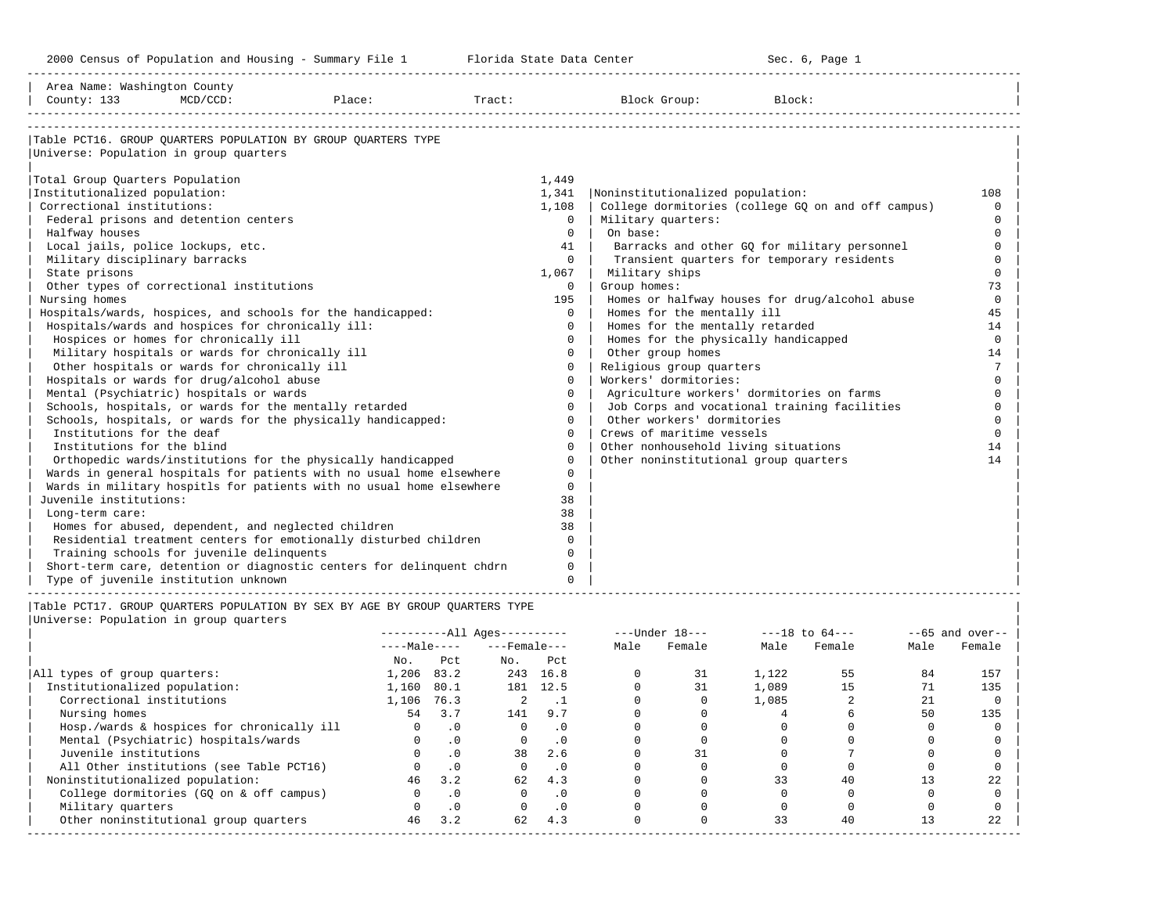-----------------------------------------------------------------------------------------------------------------------------------------------------

| Area Name: Washington County<br>County: 133 | $MCD/CCD$ :                                       | Place:                                                                | Tract: |              | Block Group:                              | Block:                                             |                 |
|---------------------------------------------|---------------------------------------------------|-----------------------------------------------------------------------|--------|--------------|-------------------------------------------|----------------------------------------------------|-----------------|
|                                             |                                                   |                                                                       |        |              |                                           |                                                    |                 |
| Universe: Population in group quarters      |                                                   | Table PCT16. GROUP OUARTERS POPULATION BY GROUP OUARTERS TYPE         |        |              |                                           |                                                    |                 |
|                                             |                                                   |                                                                       |        |              |                                           |                                                    |                 |
| Total Group Quarters Population             |                                                   |                                                                       |        | 1,449        |                                           |                                                    |                 |
| Institutionalized population:               |                                                   |                                                                       |        | 1,341        | Noninstitutionalized population:          |                                                    | 108             |
| Correctional institutions:                  |                                                   |                                                                       |        | 1,108        |                                           | College dormitories (college GQ on and off campus) | $\Omega$        |
|                                             | Federal prisons and detention centers             |                                                                       |        | $\Omega$     | Military quarters:                        |                                                    | $\Omega$        |
| Halfway houses                              |                                                   |                                                                       |        | $\Omega$     | On base:                                  |                                                    | $\Omega$        |
|                                             | Local jails, police lockups, etc.                 |                                                                       |        | 41           |                                           | Barracks and other GQ for military personnel       | $\Omega$        |
| Military disciplinary barracks              |                                                   |                                                                       |        | $\Omega$     |                                           | Transient quarters for temporary residents         | $\Omega$        |
| State prisons                               |                                                   |                                                                       |        | 1,067        | Military ships                            |                                                    | $\Omega$        |
|                                             | Other types of correctional institutions          |                                                                       |        | $\mathbf{0}$ | Group homes:                              |                                                    | 73              |
| Nursing homes                               |                                                   |                                                                       |        | 195          |                                           | Homes or halfway houses for drug/alcohol abuse     | $\Omega$        |
|                                             |                                                   | Hospitals/wards, hospices, and schools for the handicapped:           |        | $\Omega$     | Homes for the mentally ill                |                                                    | 45              |
|                                             | Hospitals/wards and hospices for chronically ill: |                                                                       |        | $\Omega$     | Homes for the mentally retarded           |                                                    | 14              |
|                                             | Hospices or homes for chronically ill             |                                                                       |        | $\Omega$     | Homes for the physically handicapped      |                                                    | $\Omega$        |
|                                             | Military hospitals or wards for chronically ill   |                                                                       |        | $\Omega$     | Other group homes                         |                                                    | 14              |
|                                             | Other hospitals or wards for chronically ill      |                                                                       |        | $\Omega$     | Religious group quarters                  |                                                    | $7\phantom{.0}$ |
|                                             | Hospitals or wards for drug/alcohol abuse         |                                                                       |        | $\Omega$     | Workers' dormitories:                     |                                                    | $\Omega$        |
|                                             | Mental (Psychiatric) hospitals or wards           |                                                                       |        | $\Omega$     | Agriculture workers' dormitories on farms |                                                    | $\Omega$        |
|                                             |                                                   | Schools, hospitals, or wards for the mentally retarded                |        | $\Omega$     |                                           | Job Corps and vocational training facilities       | $\Omega$        |
|                                             |                                                   | Schools, hospitals, or wards for the physically handicapped:          |        | $\Omega$     | Other workers' dormitories                |                                                    | $\Omega$        |
| Institutions for the deaf                   |                                                   |                                                                       |        | $\Omega$     | Crews of maritime vessels                 |                                                    | $\Omega$        |
| Institutions for the blind                  |                                                   |                                                                       |        | $\Omega$     | Other nonhousehold living situations      |                                                    | 14              |
|                                             |                                                   | Orthopedic wards/institutions for the physically handicapped          |        | $\Omega$     | Other noninstitutional group quarters     |                                                    | 14              |
|                                             |                                                   | Wards in general hospitals for patients with no usual home elsewhere  |        | $\Omega$     |                                           |                                                    |                 |
|                                             |                                                   | Wards in military hospitls for patients with no usual home elsewhere  |        | $\Omega$     |                                           |                                                    |                 |
| Juvenile institutions:                      |                                                   |                                                                       |        | 38           |                                           |                                                    |                 |
| Long-term care:                             |                                                   |                                                                       |        | 38           |                                           |                                                    |                 |
|                                             |                                                   | Homes for abused, dependent, and neglected children                   |        | 38           |                                           |                                                    |                 |
|                                             |                                                   | Residential treatment centers for emotionally disturbed children      |        | $\Omega$     |                                           |                                                    |                 |
|                                             | Training schools for juvenile delinquents         |                                                                       |        | $\Omega$     |                                           |                                                    |                 |
|                                             |                                                   | Short-term care, detention or diagnostic centers for delinguent chdrn |        | $\Omega$     |                                           |                                                    |                 |
|                                             | Type of juvenile institution unknown              |                                                                       |        | $\Omega$     |                                           |                                                    |                 |

| ----------All Ages---------- ---Under 18--- ---18 to 64--- --65 and over-- | | ----Male---- ---Female--- Male Female Male Female Male Female | | No. Pct No. Pct No. Pct No. Prediction of the set of the set of the set of the set of the set of the set of the set of the set of the set of the set of the set of the set of the set of the set of the set of the set of th |All types of group quarters:  $\begin{array}{cccccccc} 1,206 & 83.2 & 243 & 16.8 & 0 & 31 & 1,122 & 55 & 84 & 157 \end{array}$ | Institutionalized population: 1,160 80.1 181 12.5 0 31 1,089 15 71 135 | | Correctional institutions 1,106 76.3 2 .1 0 0 1,085 2 21 0 | | Nursing homes 54 3.7 141 9.7 0 0 4 6 50 135 | | Hosp./wards & hospices for chronically ill 0 .0 0 .0 0 0 0 0 0 0 | | Mental (Psychiatric) hospitals/wards 0 .0 0 .0 0 0 0 0 0 0 | | Juvenile institutions 0 .0 38 2.6 0 31 0 7 0 0 | | All Other institutions (see Table PCT16) 0 .0 0 .0 0 0 0 0 0 0 | | Noninstitutionalized population: 46 3.2 62 4.3 0 0 33 40 13 22 | | College dormitories (GQ on & off campus) 0 .0 0 .0 0 0 0 0 0 0 | | Military quarters 0 .0 0 .0 0 0 0 0 0 0 |  $\vert$  Other noninstitutional group quarters  $\vert$  46  $\vert$  3.2  $\vert$  62  $\vert$  4.3  $\vert$  0  $\vert$  0  $\vert$  33  $\vert$  40  $\vert$  13  $\vert$  22  $\vert$ -----------------------------------------------------------------------------------------------------------------------------------------------------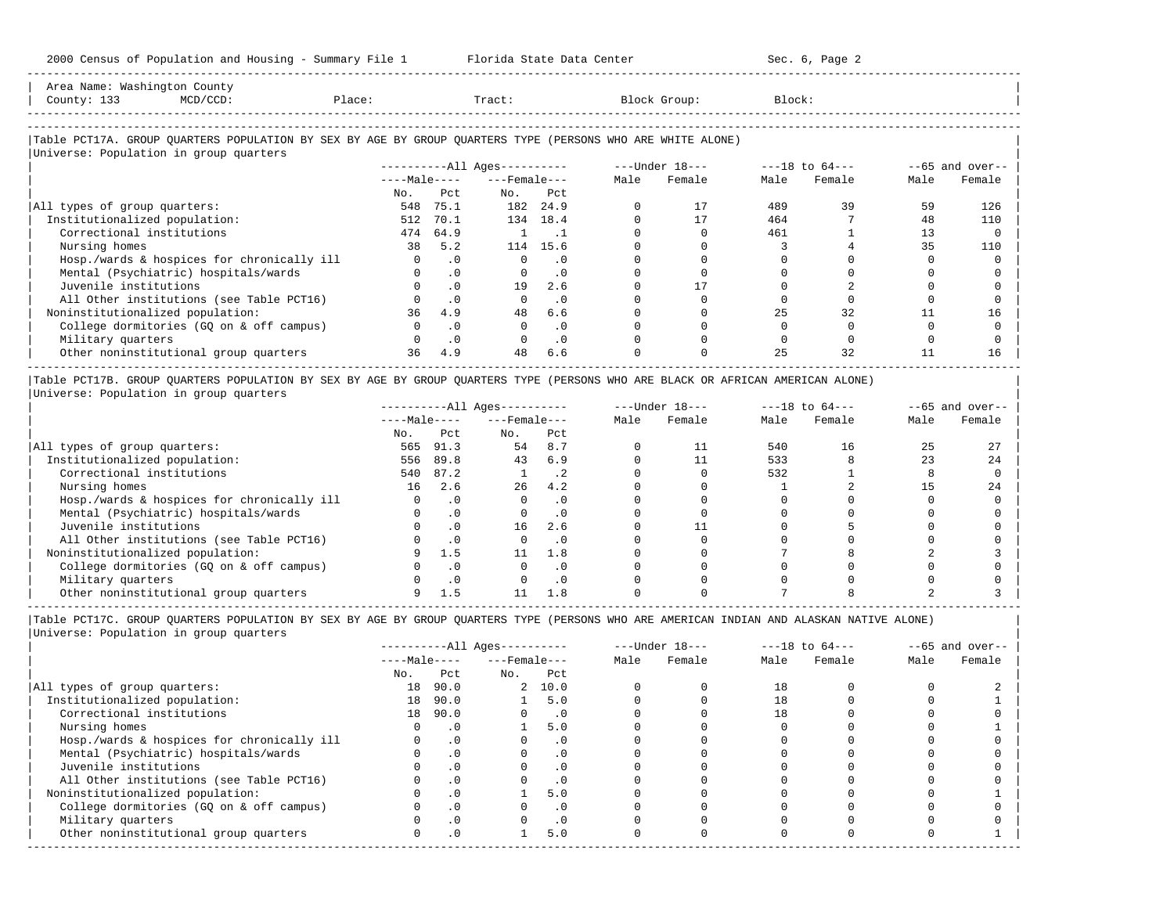-----------------------------------------------------------------------------------------------------------------------------------------------------

| County: 133 | Area Name: Washington County<br>MCD/CCD: | Place: | Tract: | Block Group:                                                                                               | Block: |  |
|-------------|------------------------------------------|--------|--------|------------------------------------------------------------------------------------------------------------|--------|--|
|             |                                          |        |        |                                                                                                            |        |  |
|             | Universe: Population in group quarters   |        |        | Table PCT17A. GROUP OUARTERS POPULATION BY SEX BY AGE BY GROUP OUARTERS TYPE (PERSONS WHO ARE WHITE ALONE) |        |  |

|                                            | $------All Aqes------$ |           |                    |           | $---Under 18---$ |        | $---18$ to $64---$ |        | $--65$ and over-- |        |
|--------------------------------------------|------------------------|-----------|--------------------|-----------|------------------|--------|--------------------|--------|-------------------|--------|
|                                            | $---Male---$           |           | $---$ Female $---$ |           | Male             | Female | Male               | Female | Male              | Female |
|                                            | No.                    | Pct       | No.                | Pct       |                  |        |                    |        |                   |        |
| All types of group quarters:               | 548                    | 75.1      | 182                | 24.9      |                  |        | 489                | 39     | 59                | 126    |
| Institutionalized population:              | 512                    | 70.1      | 134                | 18.4      |                  |        | 464                |        | 48                | 110    |
| Correctional institutions                  | 474                    | 64.9      |                    |           |                  |        | 461                |        |                   |        |
| Nursing homes                              | 38                     | 5.2       | 114                | 15.6      |                  |        |                    |        | 35                | 110    |
| Hosp./wards & hospices for chronically ill |                        | . 0       |                    | .0        |                  |        |                    |        |                   |        |
| Mental (Psychiatric) hospitals/wards       |                        | $\cdot$ 0 | $\Omega$           | $\cdot$ 0 |                  |        |                    |        |                   |        |
| Juvenile institutions                      |                        | $\cdot$ 0 | 19                 | 2.6       |                  |        |                    |        |                   |        |
| All Other institutions (see Table PCT16)   |                        | $\cdot$ 0 |                    | .0        |                  |        |                    |        |                   |        |
| Noninstitutionalized population:           | 36                     | 4.9       | 48                 | 6.6       |                  |        | 25                 | 32     |                   | 16     |
| College dormitories (GQ on & off campus)   |                        | $\cdot$ 0 |                    | .0        |                  |        |                    |        |                   |        |
| Military quarters                          |                        | $\cdot$ 0 |                    | .0        |                  |        |                    |        |                   |        |
| Other noninstitutional group quarters      | 36                     | 4.9       | 48                 | 6.6       |                  |        | 25                 | 32     |                   | 16     |
|                                            |                        |           |                    |           |                  |        |                    |        |                   |        |

|Table PCT17B. GROUP QUARTERS POPULATION BY SEX BY AGE BY GROUP QUARTERS TYPE (PERSONS WHO ARE BLACK OR AFRICAN AMERICAN ALONE) | |Universe: Population in group quarters |

|                                            |              |           | $------All Ages------$ |           | $---Under 18---$ |        | $---18$ to $64---$ |        | $- -65$ and over-- |        |
|--------------------------------------------|--------------|-----------|------------------------|-----------|------------------|--------|--------------------|--------|--------------------|--------|
|                                            | $---Male---$ |           | $---$ Female $---$     |           | Male             | Female | Male               | Female | Male               | Female |
|                                            | No.          | Pct       | No.                    | Pct       |                  |        |                    |        |                    |        |
| All types of group quarters:               | 565          | 91.3      | 54                     | 8.7       |                  | 11     | 540                | 16     |                    |        |
| Institutionalized population:              | 556          | 89.8      | 43                     | 6.9       |                  |        | 533                |        |                    | 24     |
| Correctional institutions                  | 540          | 87.2      |                        | . 2       |                  |        | 532                |        |                    |        |
| Nursing homes                              | 16           | 2.6       | 26                     | 4.2       |                  |        |                    |        |                    | 2.4    |
| Hosp./wards & hospices for chronically ill |              |           |                        | . 0       |                  |        |                    |        |                    |        |
| Mental (Psychiatric) hospitals/wards       |              |           |                        | . 0       |                  |        |                    |        |                    |        |
| Juvenile institutions                      |              | $\cdot$ 0 | 16                     | 2.6       |                  |        |                    |        |                    |        |
| All Other institutions (see Table PCT16)   |              | $\cdot$ 0 |                        | $\cdot$ 0 |                  |        |                    |        |                    |        |
| Noninstitutionalized population:           |              | 1.5       |                        | 1.8       |                  |        |                    |        |                    |        |
| College dormitories (GO on & off campus)   |              |           |                        | $\cdot$ 0 |                  |        |                    |        |                    |        |
| Military quarters                          |              | .0        |                        | . 0       |                  |        |                    |        |                    |        |
| Other noninstitutional group quarters      |              |           |                        | 1.8       |                  |        |                    |        |                    |        |

-----------------------------------------------------------------------------------------------------------------------------------------------------

|Table PCT17C. GROUP QUARTERS POPULATION BY SEX BY AGE BY GROUP QUARTERS TYPE (PERSONS WHO ARE AMERICAN INDIAN AND ALASKAN NATIVE ALONE) | |Universe: Population in group quarters |

|                                            | $------All Ages------$ |           |                    |           |      | $---Under 18---$ |      | $---18$ to $64---$ | $--65$ and over-- |        |
|--------------------------------------------|------------------------|-----------|--------------------|-----------|------|------------------|------|--------------------|-------------------|--------|
|                                            | $---Male---$           |           | $---$ Female $---$ |           | Male | Female           | Male | Female             | Male              | Female |
|                                            | No.                    | Pct       | No.                | Pct       |      |                  |      |                    |                   |        |
| All types of group quarters:               | 18                     | 90.0      |                    | 2, 10.0   |      |                  | 18   |                    |                   |        |
| Institutionalized population:              | 18                     | 90.0      |                    | 5.0       |      |                  | 18   |                    |                   |        |
| Correctional institutions                  | 18                     | 90.0      |                    | $\cdot$ 0 |      |                  | 18   |                    |                   |        |
| Nursing homes                              |                        | $\cdot$ 0 |                    | 5.0       |      |                  |      |                    |                   |        |
| Hosp./wards & hospices for chronically ill |                        | $\cdot$ 0 |                    | . 0       |      |                  |      |                    |                   |        |
| Mental (Psychiatric) hospitals/wards       |                        | $\cdot$ 0 |                    | $\cdot$ 0 |      |                  |      |                    |                   |        |
| Juvenile institutions                      |                        |           |                    | .0        |      |                  |      |                    |                   |        |
| All Other institutions (see Table PCT16)   |                        |           |                    |           |      |                  |      |                    |                   |        |
| Noninstitutionalized population:           |                        | $\cdot$ 0 |                    | 5.0       |      |                  |      |                    |                   |        |
| College dormitories (GO on & off campus)   |                        |           |                    | . 0       |      |                  |      |                    |                   |        |
| Military quarters                          |                        | $\cdot$ 0 |                    | $\cdot$ 0 |      |                  |      |                    |                   |        |
| Other noninstitutional group quarters      | <sup>n</sup>           | $\cdot$ 0 |                    | 5.0       |      |                  |      |                    |                   |        |
|                                            |                        |           |                    |           |      |                  |      |                    |                   |        |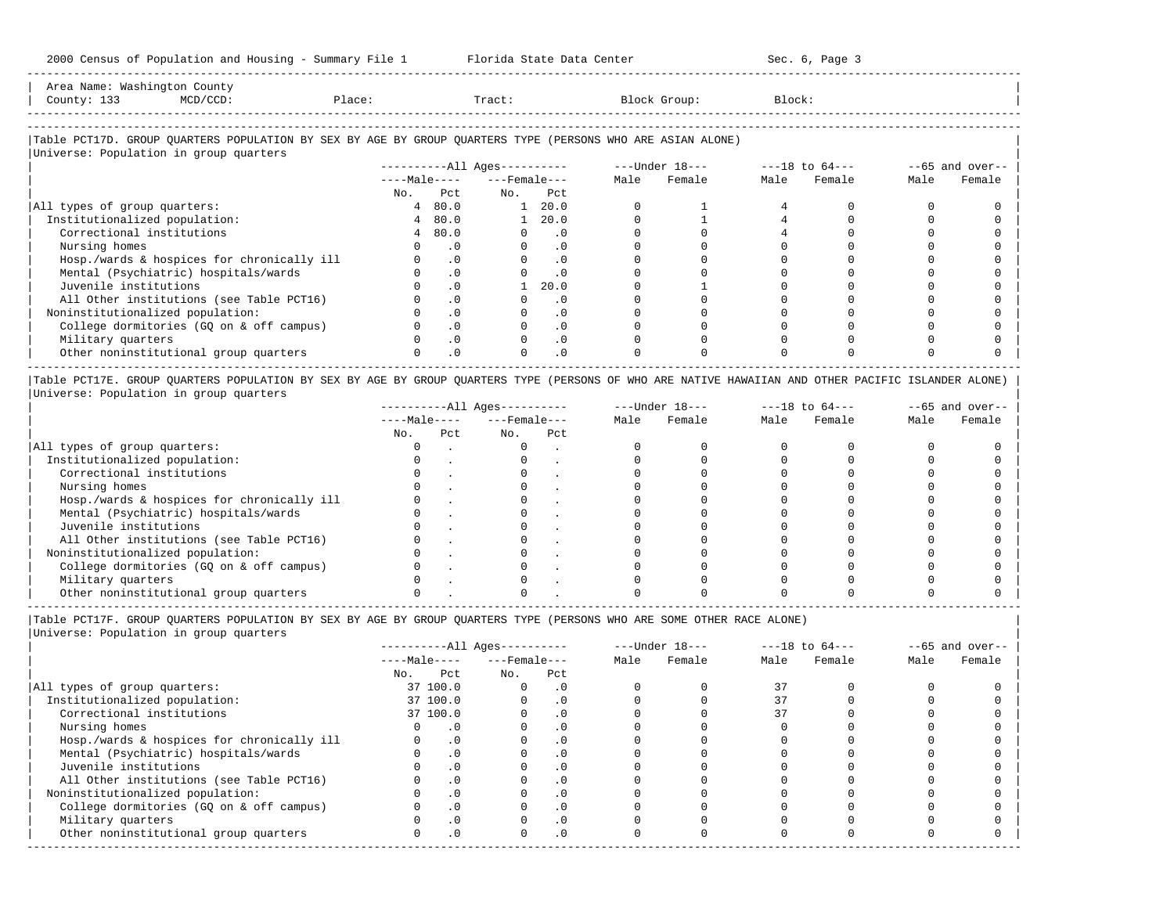-----------------------------------------------------------------------------------------------------------------------------------------------------

| Area Name: Washington County |             |        |        |              |        |
|------------------------------|-------------|--------|--------|--------------|--------|
| 133<br>County:               | $MCD/CCD$ : | rlace: | Tract. | Block Group: | Block: |
|                              |             |        |        |              |        |

-----------------------------------------------------------------------------------------------------------------------------------------------------

# |Table PCT17D. GROUP QUARTERS POPULATION BY SEX BY AGE BY GROUP QUARTERS TYPE (PERSONS WHO ARE ASIAN ALONE) |

| Universe: Population in group quarters     |              |           |                              |                |      |                |      |                    |                   |        |
|--------------------------------------------|--------------|-----------|------------------------------|----------------|------|----------------|------|--------------------|-------------------|--------|
|                                            |              |           | ----------All Ages---------- |                |      | ---Under 18--- |      | $---18$ to $64---$ | $--65$ and over-- |        |
|                                            | $---Male---$ |           | $---$ Female $---$           |                | Male | Female         | Male | Female             | Male              | Female |
|                                            | No.          | Pct       | No.                          | Pct            |      |                |      |                    |                   |        |
| All types of group quarters:               |              | 480.0     | $\mathbf{1}$                 | 20.0           |      |                |      |                    |                   |        |
| Institutionalized population:              |              | 480.0     |                              | $1 \quad 20.0$ |      |                |      |                    |                   |        |
| Correctional institutions                  |              | 480.0     | $\Omega$                     | $\cdot$ 0      |      |                |      |                    |                   |        |
| Nursing homes                              |              | $\cdot$ 0 |                              | . 0            |      |                |      |                    |                   |        |
| Hosp./wards & hospices for chronically ill |              | $\cdot$ 0 |                              | $\cdot$ 0      |      |                |      |                    |                   |        |
| Mental (Psychiatric) hospitals/wards       |              | $\cdot$ 0 |                              | . 0            |      |                |      |                    |                   |        |
| Juvenile institutions                      |              | $\cdot$ 0 |                              | 20.0           |      |                |      |                    |                   |        |
| All Other institutions (see Table PCT16)   |              | $\cdot$ 0 |                              | . 0            |      |                |      |                    |                   |        |
| Noninstitutionalized population:           |              | $\cdot$ 0 |                              | $\cdot$ 0      |      |                |      |                    |                   |        |
| College dormitories (GO on & off campus)   |              | $\cdot$ 0 |                              | $\cdot$ 0      |      |                |      |                    |                   |        |
| Military quarters                          |              | $\cdot$ 0 |                              | $\cdot$ 0      |      |                |      |                    |                   |        |
| Other noninstitutional group quarters      |              | $\cdot$ 0 |                              | $\cdot$ 0      |      |                |      |                    |                   |        |

|Table PCT17E. GROUP QUARTERS POPULATION BY SEX BY AGE BY GROUP QUARTERS TYPE (PERSONS OF WHO ARE NATIVE HAWAIIAN AND OTHER PACIFIC ISLANDER ALONE) | |Universe: Population in group quarters |

|                                            |              |     | $------All Aqes------$ |     | $---Under 18---$ |        | $---18$ to $64---$ |        | $- -65$ and over-- |        |
|--------------------------------------------|--------------|-----|------------------------|-----|------------------|--------|--------------------|--------|--------------------|--------|
|                                            | $---Male---$ |     | $---$ Female $---$     |     | Male             | Female | Male               | Female | Male               | Female |
|                                            | No.          | Pct | No.                    | Pct |                  |        |                    |        |                    |        |
| All types of group quarters:               |              |     |                        |     |                  |        |                    |        |                    |        |
| Institutionalized population:              |              |     |                        |     |                  |        |                    |        |                    |        |
| Correctional institutions                  |              |     |                        |     |                  |        |                    |        |                    |        |
| Nursing homes                              |              |     |                        |     |                  |        |                    |        |                    |        |
| Hosp./wards & hospices for chronically ill |              |     |                        |     |                  |        |                    |        |                    |        |
| Mental (Psychiatric) hospitals/wards       |              |     |                        |     |                  |        |                    |        |                    |        |
| Juvenile institutions                      |              |     |                        |     |                  |        |                    |        |                    |        |
| All Other institutions (see Table PCT16)   |              |     |                        |     |                  |        |                    |        |                    |        |
| Noninstitutionalized population:           |              |     |                        |     |                  |        |                    |        |                    |        |
| College dormitories (GO on & off campus)   |              |     |                        |     |                  |        |                    |        |                    |        |
| Military quarters                          |              |     |                        |     |                  |        |                    |        |                    |        |
| Other noninstitutional group quarters      |              |     |                        |     |                  |        |                    |        |                    |        |

----------------------------------------------------------------------------------------------------------------------------------------------------- |Table PCT17F. GROUP QUARTERS POPULATION BY SEX BY AGE BY GROUP QUARTERS TYPE (PERSONS WHO ARE SOME OTHER RACE ALONE) |

|                                            | $------All Aqes------$ |              |                    |            |      | $---Under 18---$ |      | $---18$ to $64---$ |      | $- -65$ and over-- |
|--------------------------------------------|------------------------|--------------|--------------------|------------|------|------------------|------|--------------------|------|--------------------|
|                                            |                        | $---Male---$ | $---$ Female $---$ |            | Male | Female           | Male | Female             | Male | Female             |
|                                            | No.                    | Pct          | No.                | Pct        |      |                  |      |                    |      |                    |
| All types of group quarters:               |                        | 37 100.0     | $\Omega$           | . 0        |      |                  | 37   |                    |      |                    |
| Institutionalized population:              |                        | 37 100.0     |                    | $\cdot$ 0  |      |                  |      |                    |      |                    |
| Correctional institutions                  |                        | 37 100.0     |                    |            |      |                  |      |                    |      |                    |
| Nursing homes                              |                        | $\cdot$ 0    |                    | $\cdot$ 0  |      |                  |      |                    |      |                    |
| Hosp./wards & hospices for chronically ill |                        | $\cdot$ 0    |                    |            |      |                  |      |                    |      |                    |
| Mental (Psychiatric) hospitals/wards       |                        | $\cdot$ 0    |                    | . 0        |      |                  |      |                    |      |                    |
| Juvenile institutions                      |                        | $\cdot$ 0    |                    |            |      |                  |      |                    |      |                    |
| All Other institutions (see Table PCT16)   |                        | $\cdot$ 0    |                    |            |      |                  |      |                    |      |                    |
| Noninstitutionalized population:           |                        | $\cdot$ 0    |                    | $\cdot$ 0  |      |                  |      |                    |      |                    |
| College dormitories (GQ on & off campus)   |                        | $\cdot$ 0    |                    |            |      |                  |      |                    |      |                    |
| Military quarters                          |                        | $\cdot$ 0    |                    |            |      |                  |      |                    |      |                    |
| Other noninstitutional group quarters      |                        | $\cdot$ 0    |                    | $.0 \cdot$ |      |                  |      |                    |      |                    |
|                                            |                        |              |                    |            |      |                  |      |                    |      |                    |